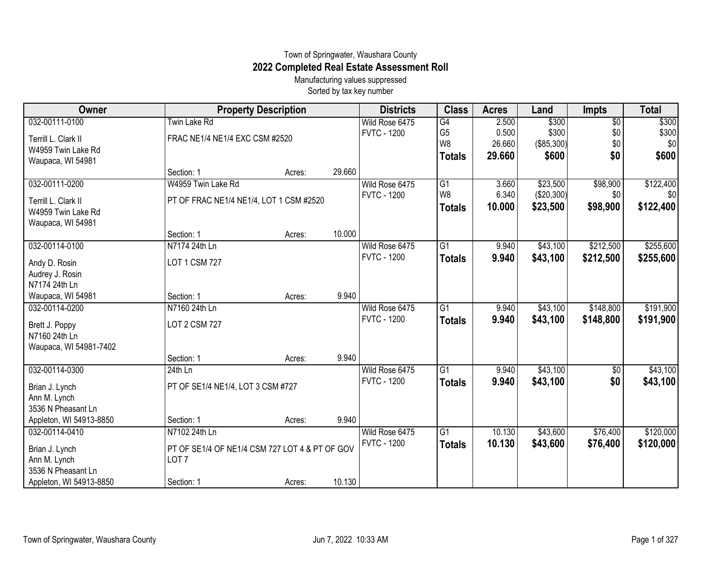## Town of Springwater, Waushara County **2022 Completed Real Estate Assessment Roll**

Manufacturing values suppressed Sorted by tax key number

| Owner                   | <b>Property Description</b>                    |        |        | <b>Districts</b>   | <b>Class</b>    | <b>Acres</b> | Land       | <b>Impts</b>    | <b>Total</b> |
|-------------------------|------------------------------------------------|--------|--------|--------------------|-----------------|--------------|------------|-----------------|--------------|
| 032-00111-0100          | <b>Twin Lake Rd</b>                            |        |        | Wild Rose 6475     | G4              | 2.500        | \$300      | $\overline{50}$ | \$300        |
| Terrill L. Clark II     | FRAC NE1/4 NE1/4 EXC CSM #2520                 |        |        | <b>FVTC - 1200</b> | G <sub>5</sub>  | 0.500        | \$300      | \$0             | \$300        |
| W4959 Twin Lake Rd      |                                                |        |        |                    | W <sub>8</sub>  | 26.660       | (\$85,300) | \$0             | \$0          |
| Waupaca, WI 54981       |                                                |        |        |                    | <b>Totals</b>   | 29,660       | \$600      | \$0             | \$600        |
|                         | Section: 1                                     | Acres: | 29.660 |                    |                 |              |            |                 |              |
| 032-00111-0200          | W4959 Twin Lake Rd                             |        |        | Wild Rose 6475     | G1              | 3.660        | \$23,500   | \$98,900        | \$122,400    |
| Terrill L. Clark II     | PT OF FRAC NE1/4 NE1/4, LOT 1 CSM #2520        |        |        | <b>FVTC - 1200</b> | W <sub>8</sub>  | 6.340        | (\$20,300) | \$0             | -\$01        |
| W4959 Twin Lake Rd      |                                                |        |        |                    | <b>Totals</b>   | 10.000       | \$23,500   | \$98,900        | \$122,400    |
| Waupaca, WI 54981       |                                                |        |        |                    |                 |              |            |                 |              |
|                         | Section: 1                                     | Acres: | 10.000 |                    |                 |              |            |                 |              |
| 032-00114-0100          | N7174 24th Ln                                  |        |        | Wild Rose 6475     | G1              | 9.940        | \$43,100   | \$212,500       | \$255,600    |
| Andy D. Rosin           | <b>LOT 1 CSM 727</b>                           |        |        | <b>FVTC - 1200</b> | <b>Totals</b>   | 9.940        | \$43,100   | \$212,500       | \$255,600    |
| Audrey J. Rosin         |                                                |        |        |                    |                 |              |            |                 |              |
| N7174 24th Ln           |                                                |        |        |                    |                 |              |            |                 |              |
| Waupaca, WI 54981       | Section: 1                                     | Acres: | 9.940  |                    |                 |              |            |                 |              |
| 032-00114-0200          | N7160 24th Ln                                  |        |        | Wild Rose 6475     | G1              | 9.940        | \$43,100   | \$148,800       | \$191,900    |
| Brett J. Poppy          | <b>LOT 2 CSM 727</b>                           |        |        | <b>FVTC - 1200</b> | <b>Totals</b>   | 9.940        | \$43,100   | \$148,800       | \$191,900    |
| N7160 24th Ln           |                                                |        |        |                    |                 |              |            |                 |              |
| Waupaca, WI 54981-7402  |                                                |        |        |                    |                 |              |            |                 |              |
|                         | Section: 1                                     | Acres: | 9.940  |                    |                 |              |            |                 |              |
| 032-00114-0300          | $24th$ Ln                                      |        |        | Wild Rose 6475     | $\overline{G1}$ | 9.940        | \$43,100   | \$0             | \$43,100     |
| Brian J. Lynch          | PT OF SE1/4 NE1/4, LOT 3 CSM #727              |        |        | <b>FVTC - 1200</b> | <b>Totals</b>   | 9.940        | \$43,100   | \$0             | \$43,100     |
| Ann M. Lynch            |                                                |        |        |                    |                 |              |            |                 |              |
| 3536 N Pheasant Ln      |                                                |        |        |                    |                 |              |            |                 |              |
| Appleton, WI 54913-8850 | Section: 1                                     | Acres: | 9.940  |                    |                 |              |            |                 |              |
| 032-00114-0410          | N7102 24th Ln                                  |        |        | Wild Rose 6475     | $\overline{G1}$ | 10.130       | \$43,600   | \$76,400        | \$120,000    |
| Brian J. Lynch          | PT OF SE1/4 OF NE1/4 CSM 727 LOT 4 & PT OF GOV |        |        | <b>FVTC - 1200</b> | <b>Totals</b>   | 10.130       | \$43,600   | \$76,400        | \$120,000    |
| Ann M. Lynch            | LOT <sub>7</sub>                               |        |        |                    |                 |              |            |                 |              |
| 3536 N Pheasant Ln      |                                                |        |        |                    |                 |              |            |                 |              |
| Appleton, WI 54913-8850 | Section: 1                                     | Acres: | 10.130 |                    |                 |              |            |                 |              |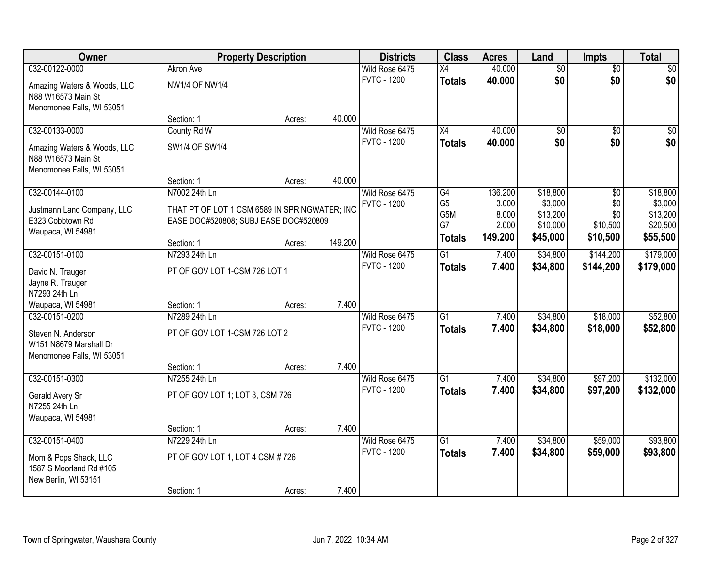| Owner                                               | <b>Property Description</b>                   |        | <b>Districts</b> | <b>Class</b>                         | <b>Acres</b>         | Land             | <b>Impts</b>        | <b>Total</b>    |                     |
|-----------------------------------------------------|-----------------------------------------------|--------|------------------|--------------------------------------|----------------------|------------------|---------------------|-----------------|---------------------|
| 032-00122-0000                                      | <b>Akron Ave</b>                              |        |                  | Wild Rose 6475                       | X4                   | 40.000           | $\overline{50}$     | $\overline{50}$ | $\overline{30}$     |
| Amazing Waters & Woods, LLC                         | <b>NW1/4 OF NW1/4</b>                         |        |                  | <b>FVTC - 1200</b>                   | <b>Totals</b>        | 40.000           | \$0                 | \$0             | \$0                 |
| N88 W16573 Main St                                  |                                               |        |                  |                                      |                      |                  |                     |                 |                     |
| Menomonee Falls, WI 53051                           |                                               |        |                  |                                      |                      |                  |                     |                 |                     |
|                                                     | Section: 1                                    | Acres: | 40.000           |                                      |                      |                  |                     |                 |                     |
| 032-00133-0000                                      | County Rd W                                   |        |                  | Wild Rose 6475                       | X4                   | 40.000           | $\overline{50}$     | $\overline{30}$ | $\overline{30}$     |
| Amazing Waters & Woods, LLC                         | SW1/4 OF SW1/4                                |        |                  | <b>FVTC - 1200</b>                   | <b>Totals</b>        | 40.000           | \$0                 | \$0             | \$0                 |
| N88 W16573 Main St                                  |                                               |        |                  |                                      |                      |                  |                     |                 |                     |
| Menomonee Falls, WI 53051                           |                                               |        |                  |                                      |                      |                  |                     |                 |                     |
|                                                     | Section: 1                                    | Acres: | 40.000           |                                      |                      |                  |                     |                 |                     |
| 032-00144-0100                                      | N7002 24th Ln                                 |        |                  | Wild Rose 6475<br><b>FVTC - 1200</b> | G4<br>G <sub>5</sub> | 136.200<br>3.000 | \$18,800<br>\$3,000 | \$0<br>\$0      | \$18,800<br>\$3,000 |
| Justmann Land Company, LLC                          | THAT PT OF LOT 1 CSM 6589 IN SPRINGWATER; INC |        |                  |                                      | G5M                  | 8.000            | \$13,200            | \$0             | \$13,200            |
| E323 Cobbtown Rd                                    | EASE DOC#520808; SUBJ EASE DOC#520809         |        |                  |                                      | G7                   | 2.000            | \$10,000            | \$10,500        | \$20,500            |
| Waupaca, WI 54981                                   |                                               |        | 149.200          |                                      | <b>Totals</b>        | 149.200          | \$45,000            | \$10,500        | \$55,500            |
| 032-00151-0100                                      | Section: 1<br>N7293 24th Ln                   | Acres: |                  | Wild Rose 6475                       | $\overline{G1}$      | 7.400            | \$34,800            | \$144,200       | \$179,000           |
|                                                     |                                               |        |                  | <b>FVTC - 1200</b>                   | <b>Totals</b>        | 7.400            | \$34,800            | \$144,200       | \$179,000           |
| David N. Trauger                                    | PT OF GOV LOT 1-CSM 726 LOT 1                 |        |                  |                                      |                      |                  |                     |                 |                     |
| Jayne R. Trauger                                    |                                               |        |                  |                                      |                      |                  |                     |                 |                     |
| N7293 24th Ln<br>Waupaca, WI 54981                  | Section: 1                                    | Acres: | 7.400            |                                      |                      |                  |                     |                 |                     |
| 032-00151-0200                                      | N7289 24th Ln                                 |        |                  | Wild Rose 6475                       | $\overline{G1}$      | 7.400            | \$34,800            | \$18,000        | \$52,800            |
|                                                     |                                               |        |                  | <b>FVTC - 1200</b>                   | <b>Totals</b>        | 7.400            | \$34,800            | \$18,000        | \$52,800            |
| Steven N. Anderson                                  | PT OF GOV LOT 1-CSM 726 LOT 2                 |        |                  |                                      |                      |                  |                     |                 |                     |
| W151 N8679 Marshall Dr<br>Menomonee Falls, WI 53051 |                                               |        |                  |                                      |                      |                  |                     |                 |                     |
|                                                     | Section: 1                                    | Acres: | 7.400            |                                      |                      |                  |                     |                 |                     |
| 032-00151-0300                                      | N7255 24th Ln                                 |        |                  | Wild Rose 6475                       | $\overline{G1}$      | 7.400            | \$34,800            | \$97,200        | \$132,000           |
|                                                     | PT OF GOV LOT 1; LOT 3, CSM 726               |        |                  | <b>FVTC - 1200</b>                   | <b>Totals</b>        | 7.400            | \$34,800            | \$97,200        | \$132,000           |
| Gerald Avery Sr<br>N7255 24th Ln                    |                                               |        |                  |                                      |                      |                  |                     |                 |                     |
| Waupaca, WI 54981                                   |                                               |        |                  |                                      |                      |                  |                     |                 |                     |
|                                                     | Section: 1                                    | Acres: | 7.400            |                                      |                      |                  |                     |                 |                     |
| 032-00151-0400                                      | N7229 24th Ln                                 |        |                  | Wild Rose 6475                       | $\overline{G1}$      | 7.400            | \$34,800            | \$59,000        | \$93,800            |
| Mom & Pops Shack, LLC                               | PT OF GOV LOT 1, LOT 4 CSM #726               |        |                  | <b>FVTC - 1200</b>                   | <b>Totals</b>        | 7.400            | \$34,800            | \$59,000        | \$93,800            |
| 1587 S Moorland Rd #105                             |                                               |        |                  |                                      |                      |                  |                     |                 |                     |
| New Berlin, WI 53151                                |                                               |        |                  |                                      |                      |                  |                     |                 |                     |
|                                                     | Section: 1                                    | Acres: | 7.400            |                                      |                      |                  |                     |                 |                     |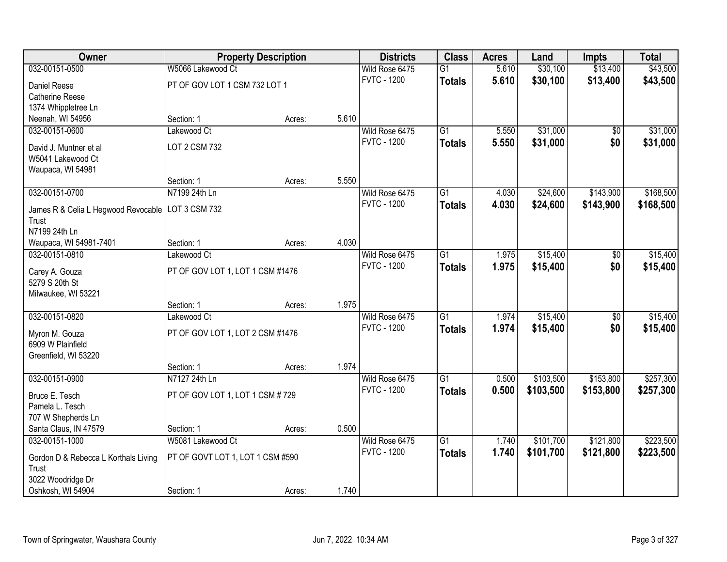| Owner                                               | <b>Property Description</b>      |        | <b>Districts</b> | <b>Class</b>                         | <b>Acres</b>    | Land  | <b>Impts</b> | <b>Total</b>    |           |
|-----------------------------------------------------|----------------------------------|--------|------------------|--------------------------------------|-----------------|-------|--------------|-----------------|-----------|
| 032-00151-0500                                      | W5066 Lakewood Ct                |        |                  | Wild Rose 6475                       | $\overline{G1}$ | 5.610 | \$30,100     | \$13,400        | \$43,500  |
| Daniel Reese                                        | PT OF GOV LOT 1 CSM 732 LOT 1    |        |                  | <b>FVTC - 1200</b>                   | <b>Totals</b>   | 5.610 | \$30,100     | \$13,400        | \$43,500  |
| <b>Catherine Reese</b>                              |                                  |        |                  |                                      |                 |       |              |                 |           |
| 1374 Whippletree Ln                                 |                                  |        |                  |                                      |                 |       |              |                 |           |
| Neenah, WI 54956                                    | Section: 1                       | Acres: | 5.610            |                                      |                 |       |              |                 |           |
| 032-00151-0600                                      | Lakewood Ct                      |        |                  | Wild Rose 6475                       | $\overline{G1}$ | 5.550 | \$31,000     | $\overline{50}$ | \$31,000  |
| David J. Muntner et al                              | LOT 2 CSM 732                    |        |                  | <b>FVTC - 1200</b>                   | <b>Totals</b>   | 5.550 | \$31,000     | \$0             | \$31,000  |
| W5041 Lakewood Ct                                   |                                  |        |                  |                                      |                 |       |              |                 |           |
| Waupaca, WI 54981                                   |                                  |        |                  |                                      |                 |       |              |                 |           |
|                                                     | Section: 1                       | Acres: | 5.550            |                                      |                 |       |              |                 |           |
| 032-00151-0700                                      | N7199 24th Ln                    |        |                  | Wild Rose 6475                       | $\overline{G1}$ | 4.030 | \$24,600     | \$143,900       | \$168,500 |
| James R & Celia L Hegwood Revocable   LOT 3 CSM 732 |                                  |        |                  | <b>FVTC - 1200</b>                   | <b>Totals</b>   | 4.030 | \$24,600     | \$143,900       | \$168,500 |
| Trust                                               |                                  |        |                  |                                      |                 |       |              |                 |           |
| N7199 24th Ln                                       |                                  |        |                  |                                      |                 |       |              |                 |           |
| Waupaca, WI 54981-7401                              | Section: 1                       | Acres: | 4.030            |                                      |                 |       |              |                 |           |
| 032-00151-0810                                      | Lakewood Ct                      |        |                  | Wild Rose 6475                       | $\overline{G1}$ | 1.975 | \$15,400     | \$0             | \$15,400  |
|                                                     |                                  |        |                  | <b>FVTC - 1200</b>                   | <b>Totals</b>   | 1.975 | \$15,400     | \$0             | \$15,400  |
| Carey A. Gouza<br>5279 S 20th St                    | PT OF GOV LOT 1, LOT 1 CSM #1476 |        |                  |                                      |                 |       |              |                 |           |
| Milwaukee, WI 53221                                 |                                  |        |                  |                                      |                 |       |              |                 |           |
|                                                     | Section: 1                       | Acres: | 1.975            |                                      |                 |       |              |                 |           |
| 032-00151-0820                                      | Lakewood Ct                      |        |                  | Wild Rose 6475                       | $\overline{G1}$ | 1.974 | \$15,400     | \$0             | \$15,400  |
|                                                     |                                  |        |                  | <b>FVTC - 1200</b>                   | <b>Totals</b>   | 1.974 | \$15,400     | \$0             | \$15,400  |
| Myron M. Gouza                                      | PT OF GOV LOT 1, LOT 2 CSM #1476 |        |                  |                                      |                 |       |              |                 |           |
| 6909 W Plainfield<br>Greenfield, WI 53220           |                                  |        |                  |                                      |                 |       |              |                 |           |
|                                                     | Section: 1                       | Acres: | 1.974            |                                      |                 |       |              |                 |           |
| 032-00151-0900                                      | N7127 24th Ln                    |        |                  | Wild Rose 6475                       | $\overline{G1}$ | 0.500 | \$103,500    | \$153,800       | \$257,300 |
|                                                     |                                  |        |                  | <b>FVTC - 1200</b>                   | <b>Totals</b>   | 0.500 | \$103,500    | \$153,800       | \$257,300 |
| Bruce E. Tesch                                      | PT OF GOV LOT 1, LOT 1 CSM #729  |        |                  |                                      |                 |       |              |                 |           |
| Pamela L. Tesch                                     |                                  |        |                  |                                      |                 |       |              |                 |           |
| 707 W Shepherds Ln                                  |                                  |        |                  |                                      |                 |       |              |                 |           |
| Santa Claus, IN 47579<br>032-00151-1000             | Section: 1<br>W5081 Lakewood Ct  | Acres: | 0.500            |                                      | $\overline{G1}$ | 1.740 | \$101,700    | \$121,800       | \$223,500 |
|                                                     |                                  |        |                  | Wild Rose 6475<br><b>FVTC - 1200</b> |                 | 1.740 |              |                 |           |
| Gordon D & Rebecca L Korthals Living                | PT OF GOVT LOT 1, LOT 1 CSM #590 |        |                  |                                      | <b>Totals</b>   |       | \$101,700    | \$121,800       | \$223,500 |
| Trust                                               |                                  |        |                  |                                      |                 |       |              |                 |           |
| 3022 Woodridge Dr                                   |                                  |        |                  |                                      |                 |       |              |                 |           |
| Oshkosh, WI 54904                                   | Section: 1                       | Acres: | 1.740            |                                      |                 |       |              |                 |           |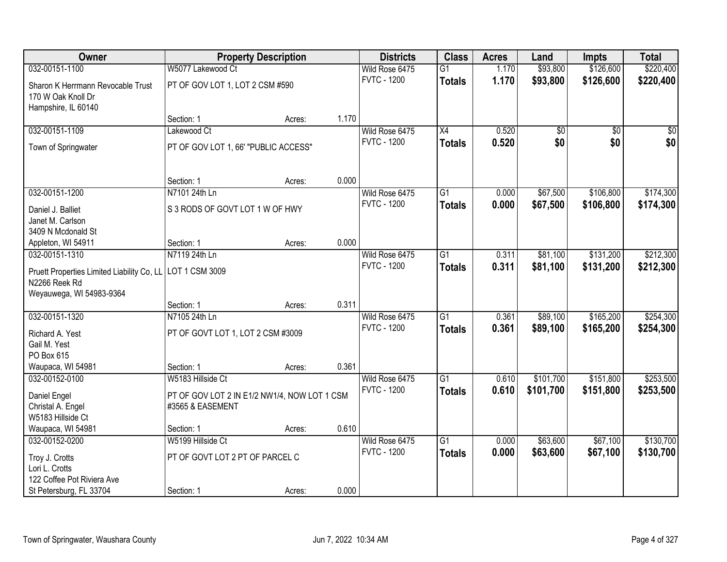| Owner                                                                                                       |                                                                    | <b>Property Description</b> |       | <b>Districts</b>                     | <b>Class</b>                     | <b>Acres</b>   | Land                 | Impts                  | <b>Total</b>           |
|-------------------------------------------------------------------------------------------------------------|--------------------------------------------------------------------|-----------------------------|-------|--------------------------------------|----------------------------------|----------------|----------------------|------------------------|------------------------|
| 032-00151-1100                                                                                              | W5077 Lakewood Ct                                                  |                             |       | Wild Rose 6475                       | $\overline{G1}$                  | 1.170          | \$93,800             | \$126,600              | \$220,400              |
| Sharon K Herrmann Revocable Trust<br>170 W Oak Knoll Dr<br>Hampshire, IL 60140                              | PT OF GOV LOT 1, LOT 2 CSM #590                                    |                             |       | <b>FVTC - 1200</b>                   | <b>Totals</b>                    | 1.170          | \$93,800             | \$126,600              | \$220,400              |
|                                                                                                             | Section: 1                                                         | Acres:                      | 1.170 |                                      |                                  |                |                      |                        |                        |
| 032-00151-1109                                                                                              | Lakewood Ct                                                        |                             |       | Wild Rose 6475                       | $\overline{X4}$                  | 0.520          | $\overline{50}$      | $\overline{30}$        | \$0                    |
| Town of Springwater                                                                                         | PT OF GOV LOT 1, 66' "PUBLIC ACCESS"                               |                             |       | <b>FVTC - 1200</b>                   | <b>Totals</b>                    | 0.520          | \$0                  | \$0                    | \$0                    |
|                                                                                                             | Section: 1                                                         | Acres:                      | 0.000 |                                      |                                  |                |                      |                        |                        |
| 032-00151-1200                                                                                              | N7101 24th Ln                                                      |                             |       | Wild Rose 6475                       | G1                               | 0.000          | \$67,500             | \$106,800              | \$174,300              |
| Daniel J. Balliet<br>Janet M. Carlson<br>3409 N Mcdonald St                                                 | S 3 RODS OF GOVT LOT 1 W OF HWY                                    |                             |       | <b>FVTC - 1200</b>                   | <b>Totals</b>                    | 0.000          | \$67,500             | \$106,800              | \$174,300              |
| Appleton, WI 54911                                                                                          | Section: 1                                                         | Acres:                      | 0.000 |                                      |                                  |                |                      |                        |                        |
| 032-00151-1310                                                                                              | N7119 24th Ln                                                      |                             |       | Wild Rose 6475                       | $\overline{G1}$                  | 0.311          | \$81,100             | \$131,200              | \$212,300              |
| Pruett Properties Limited Liability Co, LL<br>N2266 Reek Rd<br>Weyauwega, WI 54983-9364                     | LOT 1 CSM 3009                                                     |                             |       | <b>FVTC - 1200</b>                   | <b>Totals</b>                    | 0.311          | \$81,100             | \$131,200              | \$212,300              |
|                                                                                                             | Section: 1                                                         | Acres:                      | 0.311 |                                      |                                  |                |                      |                        |                        |
| 032-00151-1320<br>Richard A. Yest<br>Gail M. Yest<br>PO Box 615                                             | N7105 24th Ln<br>PT OF GOVT LOT 1, LOT 2 CSM #3009                 |                             |       | Wild Rose 6475<br><b>FVTC - 1200</b> | $\overline{G1}$<br><b>Totals</b> | 0.361<br>0.361 | \$89,100<br>\$89,100 | \$165,200<br>\$165,200 | \$254,300<br>\$254,300 |
| Waupaca, WI 54981                                                                                           | Section: 1                                                         | Acres:                      | 0.361 |                                      |                                  |                |                      |                        |                        |
| 032-00152-0100                                                                                              | W5183 Hillside Ct                                                  |                             |       | Wild Rose 6475                       | $\overline{G1}$                  | 0.610          | \$101,700            | \$151,800              | \$253,500              |
| Daniel Engel<br>Christal A. Engel<br>W5183 Hillside Ct                                                      | PT OF GOV LOT 2 IN E1/2 NW1/4, NOW LOT 1 CSM<br>#3565 & EASEMENT   |                             |       | <b>FVTC - 1200</b>                   | <b>Totals</b>                    | 0.610          | \$101,700            | \$151,800              | \$253,500              |
| Waupaca, WI 54981                                                                                           | Section: 1                                                         | Acres:                      | 0.610 |                                      | $\overline{G1}$                  |                |                      |                        |                        |
| 032-00152-0200<br>Troy J. Crotts<br>Lori L. Crotts<br>122 Coffee Pot Riviera Ave<br>St Petersburg, FL 33704 | W5199 Hillside Ct<br>PT OF GOVT LOT 2 PT OF PARCEL C<br>Section: 1 |                             | 0.000 | Wild Rose 6475<br><b>FVTC - 1200</b> | <b>Totals</b>                    | 0.000<br>0.000 | \$63,600<br>\$63,600 | \$67,100<br>\$67,100   | \$130,700<br>\$130,700 |
|                                                                                                             |                                                                    | Acres:                      |       |                                      |                                  |                |                      |                        |                        |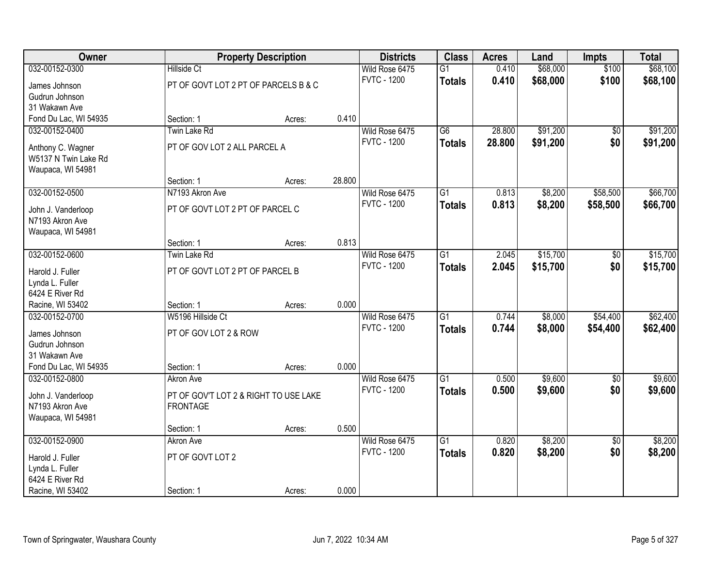| Owner                                     | <b>Property Description</b>           |        |        | <b>Districts</b>   | <b>Class</b>    | <b>Acres</b> | Land     | <b>Impts</b>    | <b>Total</b> |
|-------------------------------------------|---------------------------------------|--------|--------|--------------------|-----------------|--------------|----------|-----------------|--------------|
| 032-00152-0300                            | <b>Hillside Ct</b>                    |        |        | Wild Rose 6475     | $\overline{G1}$ | 0.410        | \$68,000 | \$100           | \$68,100     |
| James Johnson                             | PT OF GOVT LOT 2 PT OF PARCELS B & C  |        |        | <b>FVTC - 1200</b> | <b>Totals</b>   | 0.410        | \$68,000 | \$100           | \$68,100     |
| Gudrun Johnson                            |                                       |        |        |                    |                 |              |          |                 |              |
| 31 Wakawn Ave                             |                                       |        |        |                    |                 |              |          |                 |              |
| Fond Du Lac, WI 54935                     | Section: 1                            | Acres: | 0.410  |                    |                 |              |          |                 |              |
| 032-00152-0400                            | Twin Lake Rd                          |        |        | Wild Rose 6475     | $\overline{G6}$ | 28.800       | \$91,200 | \$0             | \$91,200     |
|                                           | PT OF GOV LOT 2 ALL PARCEL A          |        |        | <b>FVTC - 1200</b> | <b>Totals</b>   | 28.800       | \$91,200 | \$0             | \$91,200     |
| Anthony C. Wagner<br>W5137 N Twin Lake Rd |                                       |        |        |                    |                 |              |          |                 |              |
| Waupaca, WI 54981                         |                                       |        |        |                    |                 |              |          |                 |              |
|                                           | Section: 1                            | Acres: | 28.800 |                    |                 |              |          |                 |              |
| 032-00152-0500                            | N7193 Akron Ave                       |        |        | Wild Rose 6475     | $\overline{G1}$ | 0.813        | \$8,200  | \$58,500        | \$66,700     |
|                                           |                                       |        |        | <b>FVTC - 1200</b> |                 |              |          |                 |              |
| John J. Vanderloop                        | PT OF GOVT LOT 2 PT OF PARCEL C       |        |        |                    | <b>Totals</b>   | 0.813        | \$8,200  | \$58,500        | \$66,700     |
| N7193 Akron Ave                           |                                       |        |        |                    |                 |              |          |                 |              |
| Waupaca, WI 54981                         |                                       |        |        |                    |                 |              |          |                 |              |
|                                           | Section: 1                            | Acres: | 0.813  |                    |                 |              |          |                 |              |
| 032-00152-0600                            | Twin Lake Rd                          |        |        | Wild Rose 6475     | $\overline{G1}$ | 2.045        | \$15,700 | \$0             | \$15,700     |
| Harold J. Fuller                          | PT OF GOVT LOT 2 PT OF PARCEL B       |        |        | <b>FVTC - 1200</b> | <b>Totals</b>   | 2.045        | \$15,700 | \$0             | \$15,700     |
| Lynda L. Fuller                           |                                       |        |        |                    |                 |              |          |                 |              |
| 6424 E River Rd                           |                                       |        |        |                    |                 |              |          |                 |              |
| Racine, WI 53402                          | Section: 1                            | Acres: | 0.000  |                    |                 |              |          |                 |              |
| 032-00152-0700                            | W5196 Hillside Ct                     |        |        | Wild Rose 6475     | $\overline{G1}$ | 0.744        | \$8,000  | \$54,400        | \$62,400     |
|                                           |                                       |        |        | <b>FVTC - 1200</b> | <b>Totals</b>   | 0.744        | \$8,000  | \$54,400        | \$62,400     |
| James Johnson                             | PT OF GOV LOT 2 & ROW                 |        |        |                    |                 |              |          |                 |              |
| Gudrun Johnson                            |                                       |        |        |                    |                 |              |          |                 |              |
| 31 Wakawn Ave                             |                                       |        |        |                    |                 |              |          |                 |              |
| Fond Du Lac, WI 54935                     | Section: 1                            | Acres: | 0.000  |                    |                 |              |          |                 |              |
| 032-00152-0800                            | <b>Akron Ave</b>                      |        |        | Wild Rose 6475     | $\overline{G1}$ | 0.500        | \$9,600  | $\sqrt{$0}$     | \$9,600      |
| John J. Vanderloop                        | PT OF GOV'T LOT 2 & RIGHT TO USE LAKE |        |        | <b>FVTC - 1200</b> | <b>Totals</b>   | 0.500        | \$9,600  | \$0             | \$9,600      |
| N7193 Akron Ave                           | <b>FRONTAGE</b>                       |        |        |                    |                 |              |          |                 |              |
| Waupaca, WI 54981                         |                                       |        |        |                    |                 |              |          |                 |              |
|                                           | Section: 1                            | Acres: | 0.500  |                    |                 |              |          |                 |              |
| 032-00152-0900                            | Akron Ave                             |        |        | Wild Rose 6475     | $\overline{G1}$ | 0.820        | \$8,200  | $\overline{50}$ | \$8,200      |
| Harold J. Fuller                          | PT OF GOVT LOT 2                      |        |        | <b>FVTC - 1200</b> | <b>Totals</b>   | 0.820        | \$8,200  | \$0             | \$8,200      |
| Lynda L. Fuller                           |                                       |        |        |                    |                 |              |          |                 |              |
| 6424 E River Rd                           |                                       |        |        |                    |                 |              |          |                 |              |
| Racine, WI 53402                          | Section: 1                            | Acres: | 0.000  |                    |                 |              |          |                 |              |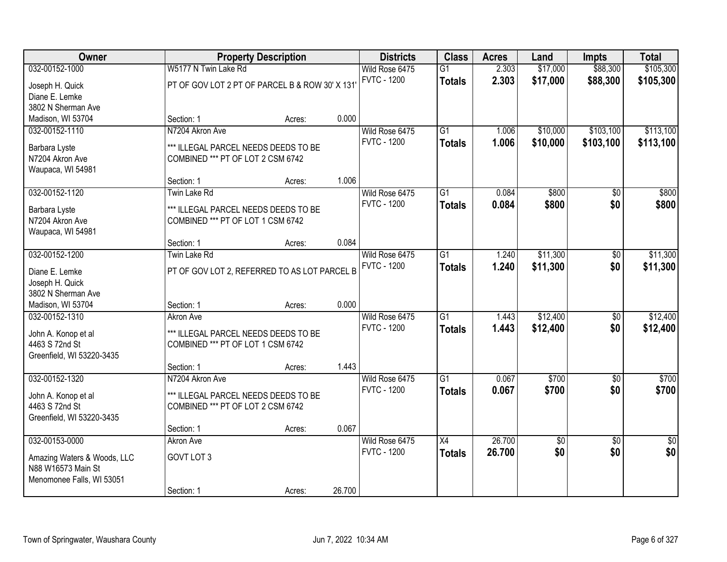| Owner                                             | <b>Property Description</b>                                               |        |        | <b>Districts</b>   | <b>Class</b>    | <b>Acres</b> | Land     | <b>Impts</b>    | <b>Total</b>    |
|---------------------------------------------------|---------------------------------------------------------------------------|--------|--------|--------------------|-----------------|--------------|----------|-----------------|-----------------|
| 032-00152-1000                                    | W5177 N Twin Lake Rd                                                      |        |        | Wild Rose 6475     | $\overline{G1}$ | 2.303        | \$17,000 | \$88,300        | \$105,300       |
| Joseph H. Quick                                   | PT OF GOV LOT 2 PT OF PARCEL B & ROW 30' X 131                            |        |        | <b>FVTC - 1200</b> | <b>Totals</b>   | 2.303        | \$17,000 | \$88,300        | \$105,300       |
| Diane E. Lemke                                    |                                                                           |        |        |                    |                 |              |          |                 |                 |
| 3802 N Sherman Ave                                |                                                                           |        |        |                    |                 |              |          |                 |                 |
| Madison, WI 53704                                 | Section: 1                                                                | Acres: | 0.000  |                    |                 |              |          |                 |                 |
| 032-00152-1110                                    | N7204 Akron Ave                                                           |        |        | Wild Rose 6475     | $\overline{G1}$ | 1.006        | \$10,000 | \$103,100       | \$113,100       |
| Barbara Lyste                                     | *** ILLEGAL PARCEL NEEDS DEEDS TO BE                                      |        |        | <b>FVTC - 1200</b> | <b>Totals</b>   | 1.006        | \$10,000 | \$103,100       | \$113,100       |
| N7204 Akron Ave                                   | COMBINED *** PT OF LOT 2 CSM 6742                                         |        |        |                    |                 |              |          |                 |                 |
| Waupaca, WI 54981                                 |                                                                           |        |        |                    |                 |              |          |                 |                 |
|                                                   | Section: 1                                                                | Acres: | 1.006  |                    |                 |              |          |                 |                 |
| 032-00152-1120                                    | Twin Lake Rd                                                              |        |        | Wild Rose 6475     | G1              | 0.084        | \$800    | \$0             | \$800           |
| Barbara Lyste                                     | *** ILLEGAL PARCEL NEEDS DEEDS TO BE                                      |        |        | <b>FVTC - 1200</b> | <b>Totals</b>   | 0.084        | \$800    | \$0             | \$800           |
| N7204 Akron Ave                                   | COMBINED *** PT OF LOT 1 CSM 6742                                         |        |        |                    |                 |              |          |                 |                 |
| Waupaca, WI 54981                                 |                                                                           |        |        |                    |                 |              |          |                 |                 |
|                                                   | Section: 1                                                                | Acres: | 0.084  |                    |                 |              |          |                 |                 |
| 032-00152-1200                                    | Twin Lake Rd                                                              |        |        | Wild Rose 6475     | $\overline{G1}$ | 1.240        | \$11,300 | \$0             | \$11,300        |
| Diane E. Lemke                                    | PT OF GOV LOT 2, REFERRED TO AS LOT PARCEL B                              |        |        | <b>FVTC - 1200</b> | <b>Totals</b>   | 1.240        | \$11,300 | \$0             | \$11,300        |
| Joseph H. Quick                                   |                                                                           |        |        |                    |                 |              |          |                 |                 |
| 3802 N Sherman Ave                                |                                                                           |        |        |                    |                 |              |          |                 |                 |
| Madison, WI 53704                                 | Section: 1                                                                | Acres: | 0.000  |                    |                 |              |          |                 |                 |
| 032-00152-1310                                    | <b>Akron Ave</b>                                                          |        |        | Wild Rose 6475     | $\overline{G1}$ | 1.443        | \$12,400 | $\overline{50}$ | \$12,400        |
| John A. Konop et al                               | *** ILLEGAL PARCEL NEEDS DEEDS TO BE                                      |        |        | <b>FVTC - 1200</b> | <b>Totals</b>   | 1.443        | \$12,400 | \$0             | \$12,400        |
| 4463 S 72nd St                                    | COMBINED *** PT OF LOT 1 CSM 6742                                         |        |        |                    |                 |              |          |                 |                 |
| Greenfield, WI 53220-3435                         |                                                                           |        |        |                    |                 |              |          |                 |                 |
|                                                   | Section: 1                                                                | Acres: | 1.443  |                    |                 |              |          |                 |                 |
| 032-00152-1320                                    | N7204 Akron Ave                                                           |        |        | Wild Rose 6475     | $\overline{G1}$ | 0.067        | \$700    | \$0             | \$700           |
|                                                   |                                                                           |        |        | <b>FVTC - 1200</b> | <b>Totals</b>   | 0.067        | \$700    | \$0             | \$700           |
| John A. Konop et al<br>4463 S 72nd St             | *** ILLEGAL PARCEL NEEDS DEEDS TO BE<br>COMBINED *** PT OF LOT 2 CSM 6742 |        |        |                    |                 |              |          |                 |                 |
| Greenfield, WI 53220-3435                         |                                                                           |        |        |                    |                 |              |          |                 |                 |
|                                                   | Section: 1                                                                | Acres: | 0.067  |                    |                 |              |          |                 |                 |
| 032-00153-0000                                    | Akron Ave                                                                 |        |        | Wild Rose 6475     | $\overline{X4}$ | 26.700       | \$0      | $\overline{50}$ | $\overline{30}$ |
|                                                   |                                                                           |        |        | <b>FVTC - 1200</b> | <b>Totals</b>   | 26.700       | \$0      | \$0             | \$0             |
| Amazing Waters & Woods, LLC<br>N88 W16573 Main St | GOVT LOT 3                                                                |        |        |                    |                 |              |          |                 |                 |
| Menomonee Falls, WI 53051                         |                                                                           |        |        |                    |                 |              |          |                 |                 |
|                                                   | Section: 1                                                                | Acres: | 26.700 |                    |                 |              |          |                 |                 |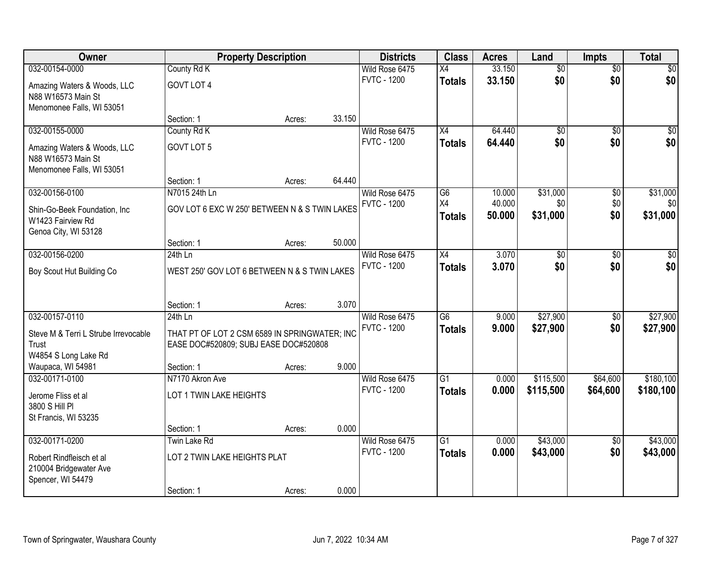| Owner                                | <b>Property Description</b>                   |        | <b>Districts</b> | <b>Class</b>                         | <b>Acres</b>    | Land             | <b>Impts</b>    | <b>Total</b>    |                 |
|--------------------------------------|-----------------------------------------------|--------|------------------|--------------------------------------|-----------------|------------------|-----------------|-----------------|-----------------|
| 032-00154-0000                       | County Rd K                                   |        |                  | Wild Rose 6475                       | $\overline{X4}$ | 33.150           | $\overline{50}$ | $\overline{50}$ | \$0             |
| Amazing Waters & Woods, LLC          | GOVT LOT 4                                    |        |                  | <b>FVTC - 1200</b>                   | <b>Totals</b>   | 33.150           | \$0             | \$0             | \$0             |
| N88 W16573 Main St                   |                                               |        |                  |                                      |                 |                  |                 |                 |                 |
| Menomonee Falls, WI 53051            |                                               |        |                  |                                      |                 |                  |                 |                 |                 |
|                                      | Section: 1                                    | Acres: | 33.150           |                                      |                 |                  |                 |                 |                 |
| 032-00155-0000                       | County Rd K                                   |        |                  | Wild Rose 6475                       | $\overline{X4}$ | 64.440           | $\overline{50}$ | $\overline{50}$ | \$0             |
| Amazing Waters & Woods, LLC          | GOVT LOT 5                                    |        |                  | <b>FVTC - 1200</b>                   | <b>Totals</b>   | 64.440           | \$0             | \$0             | \$0             |
| N88 W16573 Main St                   |                                               |        |                  |                                      |                 |                  |                 |                 |                 |
| Menomonee Falls, WI 53051            |                                               |        |                  |                                      |                 |                  |                 |                 |                 |
|                                      | Section: 1                                    | Acres: | 64.440           |                                      | G6              |                  |                 |                 |                 |
| 032-00156-0100                       | N7015 24th Ln                                 |        |                  | Wild Rose 6475<br><b>FVTC - 1200</b> | X4              | 10.000<br>40.000 | \$31,000<br>\$0 | \$0<br>\$0      | \$31,000<br>\$0 |
| Shin-Go-Beek Foundation, Inc.        | GOV LOT 6 EXC W 250' BETWEEN N & S TWIN LAKES |        |                  |                                      | <b>Totals</b>   | 50.000           | \$31,000        | \$0             | \$31,000        |
| W1423 Fairview Rd                    |                                               |        |                  |                                      |                 |                  |                 |                 |                 |
| Genoa City, WI 53128                 | Section: 1                                    | Acres: | 50.000           |                                      |                 |                  |                 |                 |                 |
| 032-00156-0200                       | $24th$ Ln                                     |        |                  | Wild Rose 6475                       | X4              | 3.070            | \$0             | $\sqrt[6]{3}$   | \$0             |
|                                      |                                               |        |                  | <b>FVTC - 1200</b>                   | <b>Totals</b>   | 3.070            | \$0             | \$0             | \$0             |
| Boy Scout Hut Building Co            | WEST 250' GOV LOT 6 BETWEEN N & S TWIN LAKES  |        |                  |                                      |                 |                  |                 |                 |                 |
|                                      |                                               |        |                  |                                      |                 |                  |                 |                 |                 |
|                                      | Section: 1                                    | Acres: | 3.070            |                                      |                 |                  |                 |                 |                 |
| 032-00157-0110                       | 24th Ln                                       |        |                  | Wild Rose 6475                       | $\overline{G6}$ | 9.000            | \$27,900        | $\overline{50}$ | \$27,900        |
| Steve M & Terri L Strube Irrevocable | THAT PT OF LOT 2 CSM 6589 IN SPRINGWATER; INC |        |                  | <b>FVTC - 1200</b>                   | <b>Totals</b>   | 9.000            | \$27,900        | \$0             | \$27,900        |
| Trust                                | EASE DOC#520809; SUBJ EASE DOC#520808         |        |                  |                                      |                 |                  |                 |                 |                 |
| W4854 S Long Lake Rd                 |                                               |        |                  |                                      |                 |                  |                 |                 |                 |
| Waupaca, WI 54981                    | Section: 1                                    | Acres: | 9.000            |                                      |                 |                  |                 |                 |                 |
| 032-00171-0100                       | N7170 Akron Ave                               |        |                  | Wild Rose 6475                       | $\overline{G1}$ | 0.000            | \$115,500       | \$64,600        | \$180,100       |
| Jerome Fliss et al                   | LOT 1 TWIN LAKE HEIGHTS                       |        |                  | <b>FVTC - 1200</b>                   | <b>Totals</b>   | 0.000            | \$115,500       | \$64,600        | \$180,100       |
| 3800 S Hill PI                       |                                               |        |                  |                                      |                 |                  |                 |                 |                 |
| St Francis, WI 53235                 |                                               |        |                  |                                      |                 |                  |                 |                 |                 |
|                                      | Section: 1                                    | Acres: | 0.000            |                                      |                 |                  |                 |                 |                 |
| 032-00171-0200                       | Twin Lake Rd                                  |        |                  | Wild Rose 6475                       | $\overline{G1}$ | 0.000            | \$43,000        | $\overline{50}$ | \$43,000        |
| Robert Rindfleisch et al             | LOT 2 TWIN LAKE HEIGHTS PLAT                  |        |                  | <b>FVTC - 1200</b>                   | <b>Totals</b>   | 0.000            | \$43,000        | \$0             | \$43,000        |
| 210004 Bridgewater Ave               |                                               |        |                  |                                      |                 |                  |                 |                 |                 |
| Spencer, WI 54479                    |                                               |        |                  |                                      |                 |                  |                 |                 |                 |
|                                      | Section: 1                                    | Acres: | 0.000            |                                      |                 |                  |                 |                 |                 |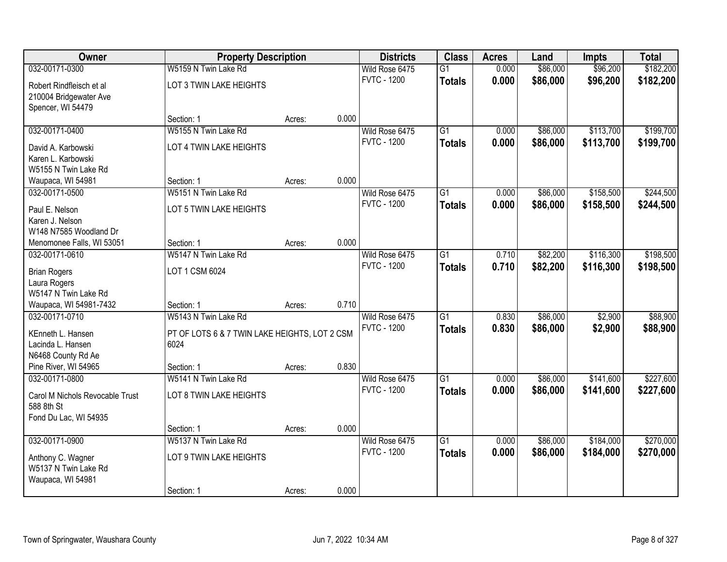| Owner                           |                                               | <b>Property Description</b> |       |                    | <b>Class</b>    | <b>Acres</b> | Land     | <b>Impts</b> | <b>Total</b> |
|---------------------------------|-----------------------------------------------|-----------------------------|-------|--------------------|-----------------|--------------|----------|--------------|--------------|
| 032-00171-0300                  | W5159 N Twin Lake Rd                          |                             |       | Wild Rose 6475     | $\overline{G1}$ | 0.000        | \$86,000 | \$96,200     | \$182,200    |
| Robert Rindfleisch et al        | LOT 3 TWIN LAKE HEIGHTS                       |                             |       | <b>FVTC - 1200</b> | <b>Totals</b>   | 0.000        | \$86,000 | \$96,200     | \$182,200    |
| 210004 Bridgewater Ave          |                                               |                             |       |                    |                 |              |          |              |              |
| Spencer, WI 54479               |                                               |                             |       |                    |                 |              |          |              |              |
|                                 | Section: 1                                    | Acres:                      | 0.000 |                    |                 |              |          |              |              |
| 032-00171-0400                  | W5155 N Twin Lake Rd                          |                             |       | Wild Rose 6475     | $\overline{G1}$ | 0.000        | \$86,000 | \$113,700    | \$199,700    |
| David A. Karbowski              | LOT 4 TWIN LAKE HEIGHTS                       |                             |       | <b>FVTC - 1200</b> | <b>Totals</b>   | 0.000        | \$86,000 | \$113,700    | \$199,700    |
| Karen L. Karbowski              |                                               |                             |       |                    |                 |              |          |              |              |
| W5155 N Twin Lake Rd            |                                               |                             |       |                    |                 |              |          |              |              |
| Waupaca, WI 54981               | Section: 1                                    | Acres:                      | 0.000 |                    |                 |              |          |              |              |
| 032-00171-0500                  | W5151 N Twin Lake Rd                          |                             |       | Wild Rose 6475     | $\overline{G1}$ | 0.000        | \$86,000 | \$158,500    | \$244,500    |
| Paul E. Nelson                  | LOT 5 TWIN LAKE HEIGHTS                       |                             |       | <b>FVTC - 1200</b> | <b>Totals</b>   | 0.000        | \$86,000 | \$158,500    | \$244,500    |
| Karen J. Nelson                 |                                               |                             |       |                    |                 |              |          |              |              |
| W148 N7585 Woodland Dr          |                                               |                             |       |                    |                 |              |          |              |              |
| Menomonee Falls, WI 53051       | Section: 1                                    | Acres:                      | 0.000 |                    |                 |              |          |              |              |
| 032-00171-0610                  | W5147 N Twin Lake Rd                          |                             |       | Wild Rose 6475     | $\overline{G1}$ | 0.710        | \$82,200 | \$116,300    | \$198,500    |
| <b>Brian Rogers</b>             | LOT 1 CSM 6024                                |                             |       | <b>FVTC - 1200</b> | <b>Totals</b>   | 0.710        | \$82,200 | \$116,300    | \$198,500    |
| Laura Rogers                    |                                               |                             |       |                    |                 |              |          |              |              |
| W5147 N Twin Lake Rd            |                                               |                             |       |                    |                 |              |          |              |              |
| Waupaca, WI 54981-7432          | Section: 1                                    | Acres:                      | 0.710 |                    |                 |              |          |              |              |
| 032-00171-0710                  | W5143 N Twin Lake Rd                          |                             |       | Wild Rose 6475     | $\overline{G1}$ | 0.830        | \$86,000 | \$2,900      | \$88,900     |
| KEnneth L. Hansen               | PT OF LOTS 6 & 7 TWIN LAKE HEIGHTS, LOT 2 CSM |                             |       | <b>FVTC - 1200</b> | <b>Totals</b>   | 0.830        | \$86,000 | \$2,900      | \$88,900     |
| Lacinda L. Hansen               | 6024                                          |                             |       |                    |                 |              |          |              |              |
| N6468 County Rd Ae              |                                               |                             |       |                    |                 |              |          |              |              |
| Pine River, WI 54965            | Section: 1                                    | Acres:                      | 0.830 |                    |                 |              |          |              |              |
| 032-00171-0800                  | W5141 N Twin Lake Rd                          |                             |       | Wild Rose 6475     | $\overline{G1}$ | 0.000        | \$86,000 | \$141,600    | \$227,600    |
| Carol M Nichols Revocable Trust | LOT 8 TWIN LAKE HEIGHTS                       |                             |       | <b>FVTC - 1200</b> | <b>Totals</b>   | 0.000        | \$86,000 | \$141,600    | \$227,600    |
| 588 8th St                      |                                               |                             |       |                    |                 |              |          |              |              |
| Fond Du Lac, WI 54935           |                                               |                             |       |                    |                 |              |          |              |              |
|                                 | Section: 1                                    | Acres:                      | 0.000 |                    |                 |              |          |              |              |
| 032-00171-0900                  | W5137 N Twin Lake Rd                          |                             |       | Wild Rose 6475     | $\overline{G1}$ | 0.000        | \$86,000 | \$184,000    | \$270,000    |
| Anthony C. Wagner               | LOT 9 TWIN LAKE HEIGHTS                       |                             |       | <b>FVTC - 1200</b> | <b>Totals</b>   | 0.000        | \$86,000 | \$184,000    | \$270,000    |
| W5137 N Twin Lake Rd            |                                               |                             |       |                    |                 |              |          |              |              |
| Waupaca, WI 54981               |                                               |                             |       |                    |                 |              |          |              |              |
|                                 | Section: 1                                    | Acres:                      | 0.000 |                    |                 |              |          |              |              |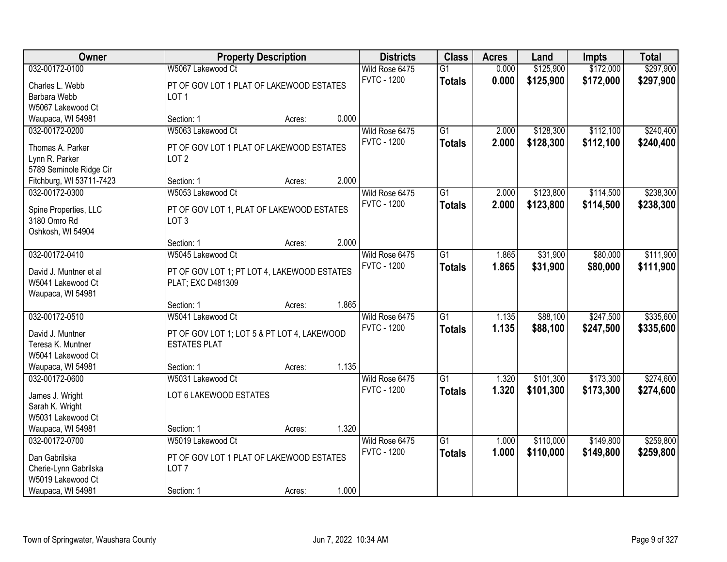| <b>Class</b><br>Owner<br><b>Districts</b><br><b>Acres</b><br><b>Property Description</b><br>Land<br><b>Impts</b>                             |                       |
|----------------------------------------------------------------------------------------------------------------------------------------------|-----------------------|
| 032-00172-0100<br>\$125,900<br>\$172,000<br>W5067 Lakewood Ct<br>Wild Rose 6475<br>$\overline{G1}$<br>0.000                                  | \$297,900             |
| <b>FVTC - 1200</b><br>0.000<br>\$125,900<br>\$172,000<br><b>Totals</b><br>PT OF GOV LOT 1 PLAT OF LAKEWOOD ESTATES<br>Charles L. Webb        | \$297,900             |
| Barbara Webb<br>LOT <sub>1</sub>                                                                                                             |                       |
| W5067 Lakewood Ct                                                                                                                            |                       |
| 0.000<br>Waupaca, WI 54981<br>Section: 1<br>Acres:                                                                                           |                       |
| W5063 Lakewood Ct<br>\$112,100<br>Wild Rose 6475<br>$\overline{G1}$<br>\$128,300<br>032-00172-0200<br>2.000                                  | \$240,400             |
| <b>FVTC - 1200</b><br>2.000<br>\$128,300<br>\$112,100<br><b>Totals</b><br>Thomas A. Parker<br>PT OF GOV LOT 1 PLAT OF LAKEWOOD ESTATES       | \$240,400             |
| Lynn R. Parker<br>LOT <sub>2</sub>                                                                                                           |                       |
| 5789 Seminole Ridge Cir                                                                                                                      |                       |
| 2.000<br>Fitchburg, WI 53711-7423<br>Section: 1<br>Acres:                                                                                    |                       |
| \$123,800<br>032-00172-0300<br>W5053 Lakewood Ct<br>Wild Rose 6475<br>G1<br>2.000<br>\$114,500                                               | \$238,300             |
| <b>FVTC - 1200</b><br>2.000<br>\$123,800<br>\$114,500<br><b>Totals</b><br>PT OF GOV LOT 1, PLAT OF LAKEWOOD ESTATES<br>Spine Properties, LLC | \$238,300             |
| 3180 Omro Rd<br>LOT <sub>3</sub>                                                                                                             |                       |
| Oshkosh, WI 54904                                                                                                                            |                       |
| 2.000<br>Section: 1<br>Acres:                                                                                                                |                       |
| \$31,900<br>032-00172-0410<br>W5045 Lakewood Ct<br>Wild Rose 6475<br>$\overline{G1}$<br>1.865                                                | \$111,900<br>\$80,000 |
| <b>FVTC - 1200</b><br>1.865<br>\$31,900<br>\$80,000<br><b>Totals</b><br>David J. Muntner et al                                               | \$111,900             |
| PT OF GOV LOT 1; PT LOT 4, LAKEWOOD ESTATES<br>W5041 Lakewood Ct<br>PLAT; EXC D481309                                                        |                       |
| Waupaca, WI 54981                                                                                                                            |                       |
| 1.865<br>Section: 1<br>Acres:                                                                                                                |                       |
| \$247,500<br>032-00172-0510<br>W5041 Lakewood Ct<br>$\overline{G1}$<br>\$88,100<br>1.135<br>Wild Rose 6475                                   | \$335,600             |
| <b>FVTC - 1200</b><br>1.135<br>\$88,100<br>\$247,500<br><b>Totals</b><br>David J. Muntner                                                    | \$335,600             |
| PT OF GOV LOT 1; LOT 5 & PT LOT 4, LAKEWOOD<br>Teresa K. Muntner<br><b>ESTATES PLAT</b>                                                      |                       |
| W5041 Lakewood Ct                                                                                                                            |                       |
| 1.135<br>Waupaca, WI 54981<br>Section: 1<br>Acres:                                                                                           |                       |
| $\overline{G1}$<br>\$173,300<br>032-00172-0600<br>W5031 Lakewood Ct<br>Wild Rose 6475<br>1.320<br>\$101,300                                  | \$274,600             |
| <b>FVTC - 1200</b><br>1.320<br>\$101,300<br>\$173,300<br><b>Totals</b><br>LOT 6 LAKEWOOD ESTATES                                             | \$274,600             |
| James J. Wright<br>Sarah K. Wright                                                                                                           |                       |
| W5031 Lakewood Ct                                                                                                                            |                       |
| 1.320<br>Waupaca, WI 54981<br>Section: 1<br>Acres:                                                                                           |                       |
| \$110,000<br>\$149,800<br>032-00172-0700<br>W5019 Lakewood Ct<br>Wild Rose 6475<br>$\overline{G1}$<br>1.000                                  | \$259,800             |
| <b>FVTC - 1200</b><br>1.000<br>\$110,000<br>\$149,800<br><b>Totals</b>                                                                       | \$259,800             |
| Dan Gabrilska<br>PT OF GOV LOT 1 PLAT OF LAKEWOOD ESTATES                                                                                    |                       |
| Cherie-Lynn Gabrilska<br>LOT <sub>7</sub><br>W5019 Lakewood Ct                                                                               |                       |
| 1.000<br>Waupaca, WI 54981<br>Section: 1<br>Acres:                                                                                           |                       |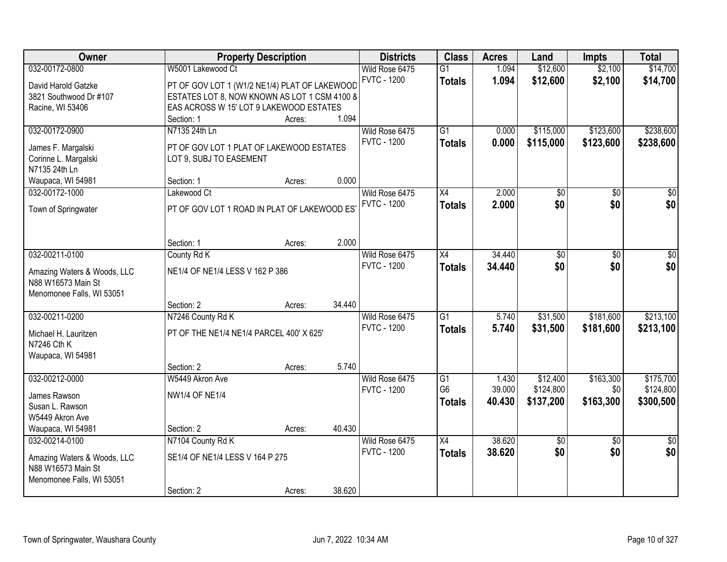| Owner                                             |                                               | <b>Property Description</b> |        | <b>Districts</b>   | <b>Class</b>    | <b>Acres</b> | Land            | <b>Impts</b>    | <b>Total</b>    |
|---------------------------------------------------|-----------------------------------------------|-----------------------------|--------|--------------------|-----------------|--------------|-----------------|-----------------|-----------------|
| 032-00172-0800                                    | W5001 Lakewood Ct                             |                             |        | Wild Rose 6475     | $\overline{G1}$ | 1.094        | \$12,600        | \$2,100         | \$14,700        |
| David Harold Gatzke                               | PT OF GOV LOT 1 (W1/2 NE1/4) PLAT OF LAKEWOOD |                             |        | <b>FVTC - 1200</b> | <b>Totals</b>   | 1.094        | \$12,600        | \$2,100         | \$14,700        |
| 3821 Southwood Dr #107                            | ESTATES LOT 8, NOW KNOWN AS LOT 1 CSM 4100 8  |                             |        |                    |                 |              |                 |                 |                 |
| Racine, WI 53406                                  | EAS ACROSS W 15' LOT 9 LAKEWOOD ESTATES       |                             |        |                    |                 |              |                 |                 |                 |
|                                                   | Section: 1                                    | Acres:                      | 1.094  |                    |                 |              |                 |                 |                 |
| 032-00172-0900                                    | N7135 24th Ln                                 |                             |        | Wild Rose 6475     | $\overline{G1}$ | 0.000        | \$115,000       | \$123,600       | \$238,600       |
| James F. Margalski                                | PT OF GOV LOT 1 PLAT OF LAKEWOOD ESTATES      |                             |        | <b>FVTC - 1200</b> | <b>Totals</b>   | 0.000        | \$115,000       | \$123,600       | \$238,600       |
| Corinne L. Margalski                              | LOT 9, SUBJ TO EASEMENT                       |                             |        |                    |                 |              |                 |                 |                 |
| N7135 24th Ln                                     |                                               |                             |        |                    |                 |              |                 |                 |                 |
| Waupaca, WI 54981                                 | Section: 1                                    | Acres:                      | 0.000  |                    |                 |              |                 |                 |                 |
| 032-00172-1000                                    | Lakewood Ct                                   |                             |        | Wild Rose 6475     | X4              | 2.000        | $\overline{50}$ | $\overline{50}$ | $\overline{30}$ |
|                                                   |                                               |                             |        | <b>FVTC - 1200</b> | <b>Totals</b>   | 2.000        | \$0             | \$0             | \$0             |
| Town of Springwater                               | PT OF GOV LOT 1 ROAD IN PLAT OF LAKEWOOD ES'  |                             |        |                    |                 |              |                 |                 |                 |
|                                                   |                                               |                             |        |                    |                 |              |                 |                 |                 |
|                                                   | Section: 1                                    | Acres:                      | 2.000  |                    |                 |              |                 |                 |                 |
| 032-00211-0100                                    | County Rd K                                   |                             |        | Wild Rose 6475     | $\overline{X4}$ | 34.440       | $\overline{50}$ | \$0             | \$0             |
|                                                   |                                               |                             |        | <b>FVTC - 1200</b> | <b>Totals</b>   | 34.440       | \$0             | \$0             | \$0             |
| Amazing Waters & Woods, LLC<br>N88 W16573 Main St | NE1/4 OF NE1/4 LESS V 162 P 386               |                             |        |                    |                 |              |                 |                 |                 |
| Menomonee Falls, WI 53051                         |                                               |                             |        |                    |                 |              |                 |                 |                 |
|                                                   | Section: 2                                    | Acres:                      | 34.440 |                    |                 |              |                 |                 |                 |
| 032-00211-0200                                    | N7246 County Rd K                             |                             |        | Wild Rose 6475     | $\overline{G1}$ | 5.740        | \$31,500        | \$181,600       | \$213,100       |
|                                                   |                                               |                             |        | <b>FVTC - 1200</b> | <b>Totals</b>   | 5.740        | \$31,500        | \$181,600       | \$213,100       |
| Michael H. Lauritzen                              | PT OF THE NE1/4 NE1/4 PARCEL 400' X 625'      |                             |        |                    |                 |              |                 |                 |                 |
| N7246 Cth K                                       |                                               |                             |        |                    |                 |              |                 |                 |                 |
| Waupaca, WI 54981                                 | Section: 2                                    | Acres:                      | 5.740  |                    |                 |              |                 |                 |                 |
| 032-00212-0000                                    | W5449 Akron Ave                               |                             |        | Wild Rose 6475     | G1              | 1.430        | \$12,400        | \$163,300       | \$175,700       |
|                                                   |                                               |                             |        | <b>FVTC - 1200</b> | G <sub>6</sub>  | 39.000       | \$124,800       | \$0             | \$124,800       |
| James Rawson                                      | <b>NW1/4 OF NE1/4</b>                         |                             |        |                    | <b>Totals</b>   | 40.430       | \$137,200       | \$163,300       | \$300,500       |
| Susan L. Rawson                                   |                                               |                             |        |                    |                 |              |                 |                 |                 |
| W5449 Akron Ave                                   |                                               |                             |        |                    |                 |              |                 |                 |                 |
| Waupaca, WI 54981                                 | Section: 2                                    | Acres:                      | 40.430 |                    |                 |              |                 |                 |                 |
| 032-00214-0100                                    | N7104 County Rd K                             |                             |        | Wild Rose 6475     | $\overline{X4}$ | 38.620       | $\overline{50}$ | $\overline{50}$ | $\overline{50}$ |
| Amazing Waters & Woods, LLC                       | SE1/4 OF NE1/4 LESS V 164 P 275               |                             |        | <b>FVTC - 1200</b> | <b>Totals</b>   | 38.620       | \$0             | \$0             | \$0             |
| N88 W16573 Main St                                |                                               |                             |        |                    |                 |              |                 |                 |                 |
| Menomonee Falls, WI 53051                         |                                               |                             |        |                    |                 |              |                 |                 |                 |
|                                                   | Section: 2                                    | Acres:                      | 38.620 |                    |                 |              |                 |                 |                 |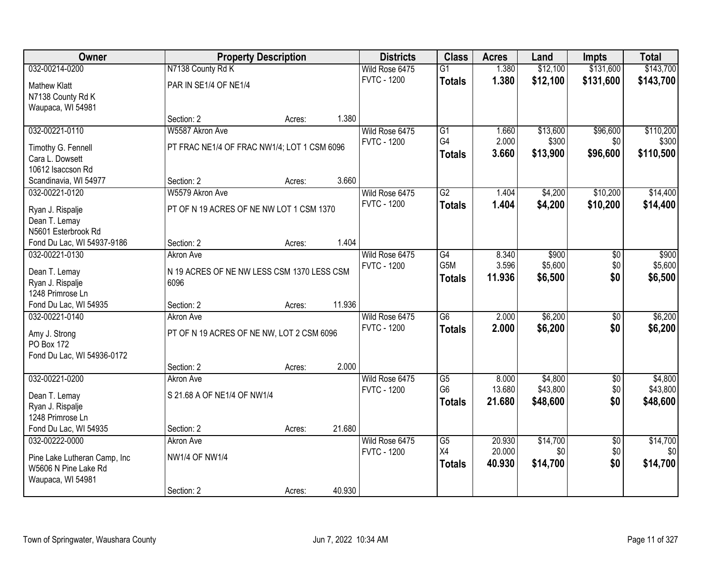| <b>Owner</b>                  |                                             | <b>Property Description</b> |        |                    | <b>Class</b>     | <b>Acres</b> | Land     | <b>Impts</b>    | <b>Total</b> |
|-------------------------------|---------------------------------------------|-----------------------------|--------|--------------------|------------------|--------------|----------|-----------------|--------------|
| 032-00214-0200                | N7138 County Rd K                           |                             |        | Wild Rose 6475     | $\overline{G1}$  | 1.380        | \$12,100 | \$131,600       | \$143,700    |
| <b>Mathew Klatt</b>           | PAR IN SE1/4 OF NE1/4                       |                             |        | <b>FVTC - 1200</b> | <b>Totals</b>    | 1.380        | \$12,100 | \$131,600       | \$143,700    |
| N7138 County Rd K             |                                             |                             |        |                    |                  |              |          |                 |              |
| Waupaca, WI 54981             |                                             |                             |        |                    |                  |              |          |                 |              |
|                               | Section: 2                                  | Acres:                      | 1.380  |                    |                  |              |          |                 |              |
| 032-00221-0110                | W5587 Akron Ave                             |                             |        | Wild Rose 6475     | $\overline{G1}$  | 1.660        | \$13,600 | \$96,600        | \$110,200    |
| Timothy G. Fennell            | PT FRAC NE1/4 OF FRAC NW1/4; LOT 1 CSM 6096 |                             |        | <b>FVTC - 1200</b> | G4               | 2.000        | \$300    | \$0             | \$300        |
| Cara L. Dowsett               |                                             |                             |        |                    | <b>Totals</b>    | 3.660        | \$13,900 | \$96,600        | \$110,500    |
| 10612 Isaccson Rd             |                                             |                             |        |                    |                  |              |          |                 |              |
| Scandinavia, WI 54977         | Section: 2                                  | Acres:                      | 3.660  |                    |                  |              |          |                 |              |
| 032-00221-0120                | W5579 Akron Ave                             |                             |        | Wild Rose 6475     | G2               | 1.404        | \$4,200  | \$10,200        | \$14,400     |
| Ryan J. Rispalje              | PT OF N 19 ACRES OF NE NW LOT 1 CSM 1370    |                             |        | <b>FVTC - 1200</b> | <b>Totals</b>    | 1.404        | \$4,200  | \$10,200        | \$14,400     |
| Dean T. Lemay                 |                                             |                             |        |                    |                  |              |          |                 |              |
| N5601 Esterbrook Rd           |                                             |                             |        |                    |                  |              |          |                 |              |
| Fond Du Lac, WI 54937-9186    | Section: 2                                  | Acres:                      | 1.404  |                    |                  |              |          |                 |              |
| 032-00221-0130                | <b>Akron Ave</b>                            |                             |        | Wild Rose 6475     | $\overline{G4}$  | 8.340        | \$900    | \$0             | \$900        |
| Dean T. Lemay                 | N 19 ACRES OF NE NW LESS CSM 1370 LESS CSM  |                             |        | <b>FVTC - 1200</b> | G <sub>5</sub> M | 3.596        | \$5,600  | \$0             | \$5,600      |
| Ryan J. Rispalje              | 6096                                        |                             |        |                    | <b>Totals</b>    | 11.936       | \$6,500  | \$0             | \$6,500      |
| 1248 Primrose Ln              |                                             |                             |        |                    |                  |              |          |                 |              |
| Fond Du Lac, WI 54935         | Section: 2                                  | Acres:                      | 11.936 |                    |                  |              |          |                 |              |
| 032-00221-0140                | <b>Akron Ave</b>                            |                             |        | Wild Rose 6475     | $\overline{G6}$  | 2.000        | \$6,200  | $\overline{30}$ | \$6,200      |
| Amy J. Strong                 | PT OF N 19 ACRES OF NE NW, LOT 2 CSM 6096   |                             |        | <b>FVTC - 1200</b> | <b>Totals</b>    | 2.000        | \$6,200  | \$0             | \$6,200      |
| PO Box 172                    |                                             |                             |        |                    |                  |              |          |                 |              |
| Fond Du Lac, WI 54936-0172    |                                             |                             |        |                    |                  |              |          |                 |              |
|                               | Section: 2                                  | Acres:                      | 2.000  |                    |                  |              |          |                 |              |
| 032-00221-0200                | Akron Ave                                   |                             |        | Wild Rose 6475     | $\overline{G5}$  | 8.000        | \$4,800  | $\overline{60}$ | \$4,800      |
| Dean T. Lemay                 | S 21.68 A OF NE1/4 OF NW1/4                 |                             |        | <b>FVTC - 1200</b> | G <sub>6</sub>   | 13.680       | \$43,800 | \$0             | \$43,800     |
| Ryan J. Rispalje              |                                             |                             |        |                    | <b>Totals</b>    | 21.680       | \$48,600 | \$0             | \$48,600     |
| 1248 Primrose Ln              |                                             |                             |        |                    |                  |              |          |                 |              |
| Fond Du Lac, WI 54935         | Section: 2                                  | Acres:                      | 21.680 |                    |                  |              |          |                 |              |
| 032-00222-0000                | Akron Ave                                   |                             |        | Wild Rose 6475     | $\overline{G5}$  | 20.930       | \$14,700 | $\overline{50}$ | \$14,700     |
| Pine Lake Lutheran Camp, Inc. | <b>NW1/4 OF NW1/4</b>                       |                             |        | <b>FVTC - 1200</b> | X4               | 20.000       | \$0      | \$0             | \$0          |
| W5606 N Pine Lake Rd          |                                             |                             |        |                    | <b>Totals</b>    | 40.930       | \$14,700 | \$0             | \$14,700     |
| Waupaca, WI 54981             |                                             |                             |        |                    |                  |              |          |                 |              |
|                               | Section: 2                                  | Acres:                      | 40.930 |                    |                  |              |          |                 |              |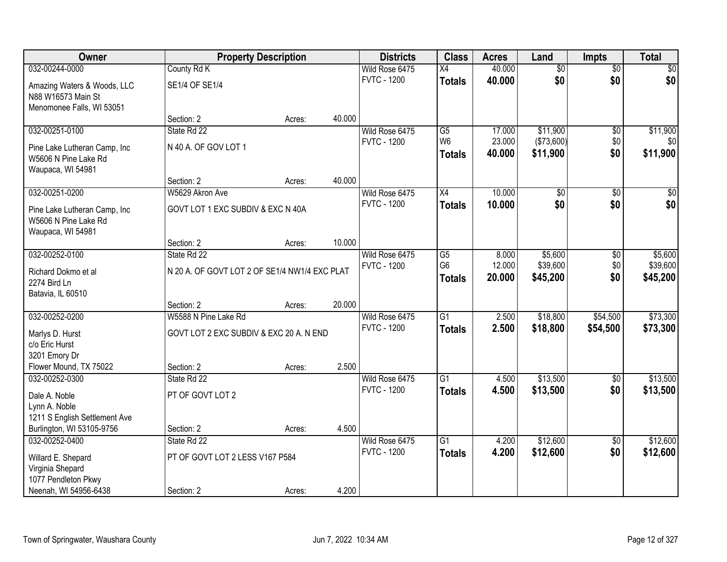| Owner                                             |                                               | <b>Property Description</b> |        | <b>Districts</b>   | <b>Class</b>    | <b>Acres</b> | Land            | <b>Impts</b>    | <b>Total</b>    |
|---------------------------------------------------|-----------------------------------------------|-----------------------------|--------|--------------------|-----------------|--------------|-----------------|-----------------|-----------------|
| 032-00244-0000                                    | County Rd K                                   |                             |        | Wild Rose 6475     | X4              | 40.000       | $\overline{50}$ | $\overline{50}$ | $\overline{30}$ |
| Amazing Waters & Woods, LLC<br>N88 W16573 Main St | SE1/4 OF SE1/4                                |                             |        | <b>FVTC - 1200</b> | <b>Totals</b>   | 40.000       | \$0             | \$0             | \$0             |
| Menomonee Falls, WI 53051                         |                                               |                             |        |                    |                 |              |                 |                 |                 |
|                                                   | Section: 2                                    | Acres:                      | 40.000 |                    |                 |              |                 |                 |                 |
| 032-00251-0100                                    | State Rd 22                                   |                             |        | Wild Rose 6475     | $\overline{G5}$ | 17.000       | \$11,900        | \$0             | \$11,900        |
| Pine Lake Lutheran Camp, Inc                      | N 40 A. OF GOV LOT 1                          |                             |        | <b>FVTC - 1200</b> | W <sub>6</sub>  | 23.000       | (\$73,600)      | \$0             | \$0             |
| W5606 N Pine Lake Rd                              |                                               |                             |        |                    | <b>Totals</b>   | 40.000       | \$11,900        | \$0             | \$11,900        |
| Waupaca, WI 54981                                 |                                               |                             |        |                    |                 |              |                 |                 |                 |
|                                                   | Section: 2                                    | Acres:                      | 40.000 |                    |                 |              |                 |                 |                 |
| 032-00251-0200                                    | W5629 Akron Ave                               |                             |        | Wild Rose 6475     | X4              | 10.000       | \$0             | $\sqrt[6]{3}$   | $\overline{50}$ |
| Pine Lake Lutheran Camp, Inc                      | GOVT LOT 1 EXC SUBDIV & EXC N 40A             |                             |        | <b>FVTC - 1200</b> | <b>Totals</b>   | 10.000       | \$0             | \$0             | \$0             |
| W5606 N Pine Lake Rd                              |                                               |                             |        |                    |                 |              |                 |                 |                 |
| Waupaca, WI 54981                                 |                                               |                             |        |                    |                 |              |                 |                 |                 |
|                                                   | Section: 2                                    | Acres:                      | 10.000 |                    |                 |              |                 |                 |                 |
| 032-00252-0100                                    | State Rd 22                                   |                             |        | Wild Rose 6475     | $\overline{G5}$ | 8.000        | \$5,600         | $\sqrt[6]{3}$   | \$5,600         |
| Richard Dokmo et al                               | N 20 A. OF GOVT LOT 2 OF SE1/4 NW1/4 EXC PLAT |                             |        | <b>FVTC - 1200</b> | G <sub>6</sub>  | 12.000       | \$39,600        | \$0             | \$39,600        |
| 2274 Bird Ln                                      |                                               |                             |        |                    | <b>Totals</b>   | 20.000       | \$45,200        | \$0             | \$45,200        |
| Batavia, IL 60510                                 |                                               |                             |        |                    |                 |              |                 |                 |                 |
|                                                   | Section: 2                                    | Acres:                      | 20.000 |                    |                 |              |                 |                 |                 |
| 032-00252-0200                                    | W5588 N Pine Lake Rd                          |                             |        | Wild Rose 6475     | $\overline{G1}$ | 2.500        | \$18,800        | \$54,500        | \$73,300        |
| Marlys D. Hurst                                   | GOVT LOT 2 EXC SUBDIV & EXC 20 A. N END       |                             |        | <b>FVTC - 1200</b> | <b>Totals</b>   | 2.500        | \$18,800        | \$54,500        | \$73,300        |
| c/o Eric Hurst                                    |                                               |                             |        |                    |                 |              |                 |                 |                 |
| 3201 Emory Dr                                     |                                               |                             |        |                    |                 |              |                 |                 |                 |
| Flower Mound, TX 75022                            | Section: 2                                    | Acres:                      | 2.500  |                    |                 |              |                 |                 |                 |
| 032-00252-0300                                    | State Rd 22                                   |                             |        | Wild Rose 6475     | $\overline{G1}$ | 4.500        | \$13,500        | \$0             | \$13,500        |
| Dale A. Noble                                     | PT OF GOVT LOT 2                              |                             |        | <b>FVTC - 1200</b> | <b>Totals</b>   | 4.500        | \$13,500        | \$0             | \$13,500        |
| Lynn A. Noble                                     |                                               |                             |        |                    |                 |              |                 |                 |                 |
| 1211 S English Settlement Ave                     |                                               |                             |        |                    |                 |              |                 |                 |                 |
| Burlington, WI 53105-9756                         | Section: 2                                    | Acres:                      | 4.500  |                    |                 |              |                 |                 |                 |
| 032-00252-0400                                    | State Rd 22                                   |                             |        | Wild Rose 6475     | $\overline{G1}$ | 4.200        | \$12,600        | $\overline{30}$ | \$12,600        |
| Willard E. Shepard                                | PT OF GOVT LOT 2 LESS V167 P584               |                             |        | <b>FVTC - 1200</b> | <b>Totals</b>   | 4.200        | \$12,600        | \$0             | \$12,600        |
| Virginia Shepard                                  |                                               |                             |        |                    |                 |              |                 |                 |                 |
| 1077 Pendleton Pkwy                               |                                               |                             |        |                    |                 |              |                 |                 |                 |
| Neenah, WI 54956-6438                             | Section: 2                                    | Acres:                      | 4.200  |                    |                 |              |                 |                 |                 |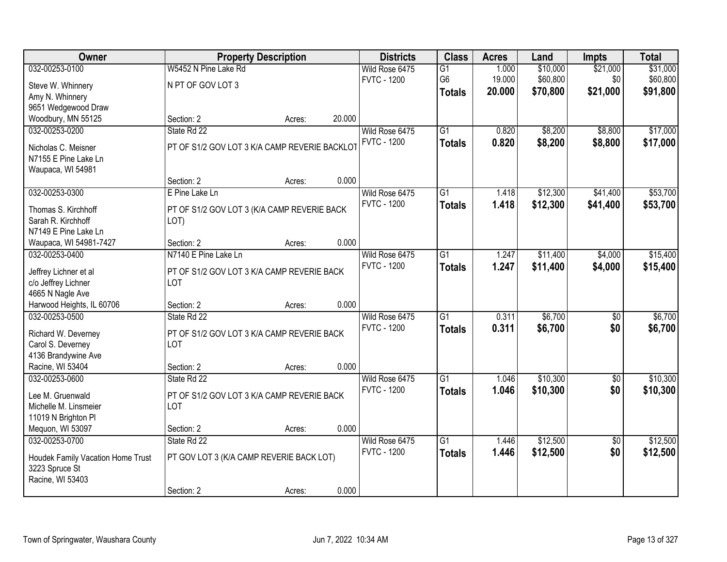| Owner                                   |                                               | <b>Property Description</b> |        | <b>Districts</b>   | <b>Class</b>    | <b>Acres</b> | Land     | <b>Impts</b>    | <b>Total</b> |
|-----------------------------------------|-----------------------------------------------|-----------------------------|--------|--------------------|-----------------|--------------|----------|-----------------|--------------|
| 032-00253-0100                          | W5452 N Pine Lake Rd                          |                             |        | Wild Rose 6475     | $\overline{G1}$ | 1.000        | \$10,000 | \$21,000        | \$31,000     |
| Steve W. Whinnery                       | N PT OF GOV LOT 3                             |                             |        | <b>FVTC - 1200</b> | G <sub>6</sub>  | 19.000       | \$60,800 | \$0             | \$60,800     |
| Amy N. Whinnery                         |                                               |                             |        |                    | <b>Totals</b>   | 20.000       | \$70,800 | \$21,000        | \$91,800     |
| 9651 Wedgewood Draw                     |                                               |                             |        |                    |                 |              |          |                 |              |
| Woodbury, MN 55125                      | Section: 2                                    | Acres:                      | 20.000 |                    |                 |              |          |                 |              |
| 032-00253-0200                          | State Rd 22                                   |                             |        | Wild Rose 6475     | $\overline{G1}$ | 0.820        | \$8,200  | \$8,800         | \$17,000     |
| Nicholas C. Meisner                     | PT OF S1/2 GOV LOT 3 K/A CAMP REVERIE BACKLOT |                             |        | <b>FVTC - 1200</b> | <b>Totals</b>   | 0.820        | \$8,200  | \$8,800         | \$17,000     |
| N7155 E Pine Lake Ln                    |                                               |                             |        |                    |                 |              |          |                 |              |
| Waupaca, WI 54981                       |                                               |                             |        |                    |                 |              |          |                 |              |
|                                         | Section: 2                                    | Acres:                      | 0.000  |                    |                 |              |          |                 |              |
| 032-00253-0300                          | E Pine Lake Ln                                |                             |        | Wild Rose 6475     | $\overline{G1}$ | 1.418        | \$12,300 | \$41,400        | \$53,700     |
|                                         |                                               |                             |        | <b>FVTC - 1200</b> | <b>Totals</b>   | 1.418        | \$12,300 | \$41,400        | \$53,700     |
| Thomas S. Kirchhoff                     | PT OF S1/2 GOV LOT 3 (K/A CAMP REVERIE BACK   |                             |        |                    |                 |              |          |                 |              |
| Sarah R. Kirchhoff                      | LOT)                                          |                             |        |                    |                 |              |          |                 |              |
| N7149 E Pine Lake Ln                    |                                               |                             |        |                    |                 |              |          |                 |              |
| Waupaca, WI 54981-7427                  | Section: 2                                    | Acres:                      | 0.000  |                    |                 |              |          |                 |              |
| 032-00253-0400                          | N7140 E Pine Lake Ln                          |                             |        | Wild Rose 6475     | $\overline{G1}$ | 1.247        | \$11,400 | \$4,000         | \$15,400     |
| Jeffrey Lichner et al                   | PT OF S1/2 GOV LOT 3 K/A CAMP REVERIE BACK    |                             |        | <b>FVTC - 1200</b> | <b>Totals</b>   | 1.247        | \$11,400 | \$4,000         | \$15,400     |
| c/o Jeffrey Lichner                     | <b>LOT</b>                                    |                             |        |                    |                 |              |          |                 |              |
| 4665 N Nagle Ave                        |                                               |                             |        |                    |                 |              |          |                 |              |
| Harwood Heights, IL 60706               | Section: 2                                    | Acres:                      | 0.000  |                    |                 |              |          |                 |              |
| 032-00253-0500                          | State Rd 22                                   |                             |        | Wild Rose 6475     | $\overline{G1}$ | 0.311        | \$6,700  | $\overline{50}$ | \$6,700      |
| Richard W. Deverney                     | PT OF S1/2 GOV LOT 3 K/A CAMP REVERIE BACK    |                             |        | <b>FVTC - 1200</b> | <b>Totals</b>   | 0.311        | \$6,700  | \$0             | \$6,700      |
| Carol S. Deverney                       | <b>LOT</b>                                    |                             |        |                    |                 |              |          |                 |              |
| 4136 Brandywine Ave                     |                                               |                             |        |                    |                 |              |          |                 |              |
| Racine, WI 53404                        | Section: 2                                    | Acres:                      | 0.000  |                    |                 |              |          |                 |              |
| 032-00253-0600                          | State Rd 22                                   |                             |        | Wild Rose 6475     | $\overline{G1}$ | 1.046        | \$10,300 | $\sqrt{$0}$     | \$10,300     |
|                                         |                                               |                             |        | <b>FVTC - 1200</b> | <b>Totals</b>   | 1.046        | \$10,300 | \$0             | \$10,300     |
| Lee M. Gruenwald                        | PT OF S1/2 GOV LOT 3 K/A CAMP REVERIE BACK    |                             |        |                    |                 |              |          |                 |              |
| Michelle M. Linsmeier                   | LOT                                           |                             |        |                    |                 |              |          |                 |              |
| 11019 N Brighton PI<br>Mequon, WI 53097 | Section: 2                                    |                             | 0.000  |                    |                 |              |          |                 |              |
| 032-00253-0700                          | State Rd 22                                   | Acres:                      |        | Wild Rose 6475     | $\overline{G1}$ | 1.446        | \$12,500 |                 | \$12,500     |
|                                         |                                               |                             |        | <b>FVTC - 1200</b> |                 |              |          | $\overline{50}$ |              |
| Houdek Family Vacation Home Trust       | PT GOV LOT 3 (K/A CAMP REVERIE BACK LOT)      |                             |        |                    | <b>Totals</b>   | 1.446        | \$12,500 | \$0             | \$12,500     |
| 3223 Spruce St                          |                                               |                             |        |                    |                 |              |          |                 |              |
| Racine, WI 53403                        |                                               |                             |        |                    |                 |              |          |                 |              |
|                                         | Section: 2                                    | Acres:                      | 0.000  |                    |                 |              |          |                 |              |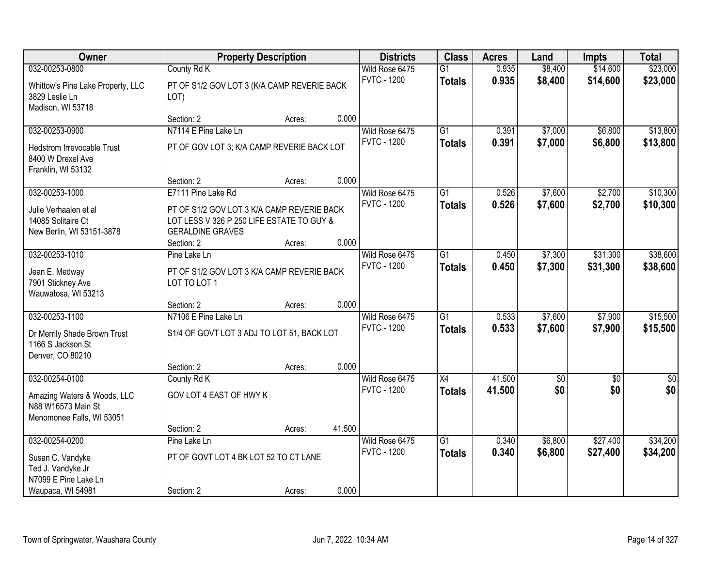| Owner                                                                          |                                                                                                                    | <b>Property Description</b> |        | <b>Districts</b>                     | <b>Class</b>                     | <b>Acres</b>   | Land               | <b>Impts</b>         | <b>Total</b>         |
|--------------------------------------------------------------------------------|--------------------------------------------------------------------------------------------------------------------|-----------------------------|--------|--------------------------------------|----------------------------------|----------------|--------------------|----------------------|----------------------|
| 032-00253-0800                                                                 | County Rd K                                                                                                        |                             |        | Wild Rose 6475                       | $\overline{G1}$                  | 0.935          | \$8,400            | \$14,600             | \$23,000             |
| Whittow's Pine Lake Property, LLC<br>3829 Leslie Ln<br>Madison, WI 53718       | PT OF S1/2 GOV LOT 3 (K/A CAMP REVERIE BACK<br>LOT)                                                                |                             |        | <b>FVTC - 1200</b>                   | <b>Totals</b>                    | 0.935          | \$8,400            | \$14,600             | \$23,000             |
|                                                                                | Section: 2                                                                                                         | Acres:                      | 0.000  |                                      |                                  |                |                    |                      |                      |
| 032-00253-0900                                                                 | N7114 E Pine Lake Ln                                                                                               |                             |        | Wild Rose 6475                       | $\overline{G1}$                  | 0.391          | \$7,000            | \$6,800              | \$13,800             |
| <b>Hedstrom Irrevocable Trust</b><br>8400 W Drexel Ave<br>Franklin, WI 53132   | PT OF GOV LOT 3; K/A CAMP REVERIE BACK LOT                                                                         |                             |        | <b>FVTC - 1200</b>                   | <b>Totals</b>                    | 0.391          | \$7,000            | \$6,800              | \$13,800             |
|                                                                                | Section: 2                                                                                                         | Acres:                      | 0.000  |                                      |                                  |                |                    |                      |                      |
| 032-00253-1000                                                                 | E7111 Pine Lake Rd                                                                                                 |                             |        | Wild Rose 6475                       | G1                               | 0.526          | \$7,600            | \$2,700              | \$10,300             |
| Julie Verhaalen et al<br>14085 Solitaire Ct<br>New Berlin, WI 53151-3878       | PT OF S1/2 GOV LOT 3 K/A CAMP REVERIE BACK<br>LOT LESS V 326 P 250 LIFE ESTATE TO GUY &<br><b>GERALDINE GRAVES</b> |                             |        | <b>FVTC - 1200</b>                   | <b>Totals</b>                    | 0.526          | \$7,600            | \$2,700              | \$10,300             |
|                                                                                | Section: 2                                                                                                         | Acres:                      | 0.000  |                                      |                                  |                |                    |                      |                      |
| 032-00253-1010<br>Jean E. Medway<br>7901 Stickney Ave                          | Pine Lake Ln<br>PT OF S1/2 GOV LOT 3 K/A CAMP REVERIE BACK<br>LOT TO LOT 1                                         |                             |        | Wild Rose 6475<br><b>FVTC - 1200</b> | $\overline{G1}$<br><b>Totals</b> | 0.450<br>0.450 | \$7,300<br>\$7,300 | \$31,300<br>\$31,300 | \$38,600<br>\$38,600 |
| Wauwatosa, WI 53213                                                            |                                                                                                                    |                             |        |                                      |                                  |                |                    |                      |                      |
|                                                                                | Section: 2                                                                                                         | Acres:                      | 0.000  |                                      |                                  |                |                    |                      |                      |
| 032-00253-1100                                                                 | N7106 E Pine Lake Ln                                                                                               |                             |        | Wild Rose 6475                       | $\overline{G1}$                  | 0.533          | \$7,600            | \$7,900              | \$15,500             |
| Dr Merrily Shade Brown Trust<br>1166 S Jackson St<br>Denver, CO 80210          | S1/4 OF GOVT LOT 3 ADJ TO LOT 51, BACK LOT                                                                         |                             |        | <b>FVTC - 1200</b>                   | <b>Totals</b>                    | 0.533          | \$7,600            | \$7,900              | \$15,500             |
|                                                                                | Section: 2                                                                                                         | Acres:                      | 0.000  |                                      |                                  |                |                    |                      |                      |
| 032-00254-0100                                                                 | County Rd K                                                                                                        |                             |        | Wild Rose 6475                       | $\overline{X4}$                  | 41.500         | \$0                | $\overline{50}$      | $\overline{50}$      |
| Amazing Waters & Woods, LLC<br>N88 W16573 Main St<br>Menomonee Falls, WI 53051 | GOV LOT 4 EAST OF HWY K                                                                                            |                             |        | <b>FVTC - 1200</b>                   | <b>Totals</b>                    | 41.500         | \$0                | \$0                  | \$0                  |
|                                                                                | Section: 2                                                                                                         | Acres:                      | 41.500 |                                      |                                  |                |                    |                      |                      |
| 032-00254-0200                                                                 | Pine Lake Ln                                                                                                       |                             |        | Wild Rose 6475                       | $\overline{G1}$                  | 0.340          | \$6,800            | \$27,400             | \$34,200             |
| Susan C. Vandyke<br>Ted J. Vandyke Jr                                          | PT OF GOVT LOT 4 BK LOT 52 TO CT LANE                                                                              |                             |        | <b>FVTC - 1200</b>                   | <b>Totals</b>                    | 0.340          | \$6,800            | \$27,400             | \$34,200             |
| N7099 E Pine Lake Ln<br>Waupaca, WI 54981                                      | Section: 2                                                                                                         | Acres:                      | 0.000  |                                      |                                  |                |                    |                      |                      |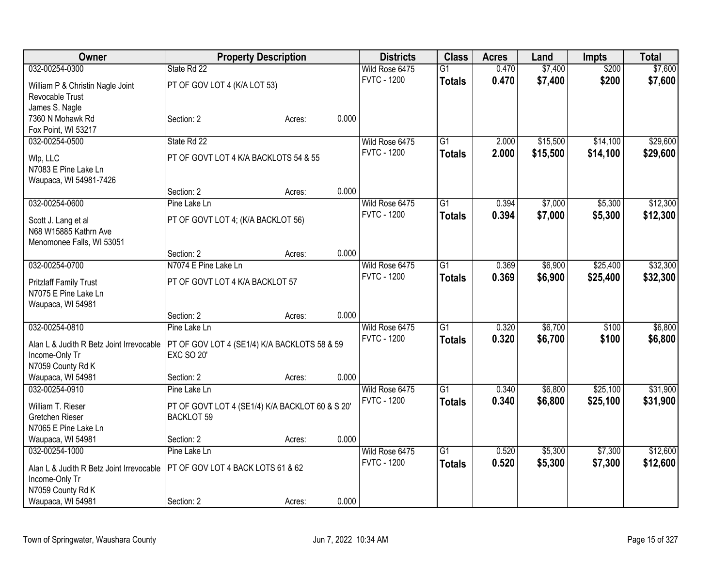| Owner                                                      |                                                 | <b>Property Description</b> |       | <b>Districts</b>   | <b>Class</b>    | <b>Acres</b> | Land     | <b>Impts</b> | <b>Total</b> |
|------------------------------------------------------------|-------------------------------------------------|-----------------------------|-------|--------------------|-----------------|--------------|----------|--------------|--------------|
| 032-00254-0300                                             | State Rd 22                                     |                             |       | Wild Rose 6475     | $\overline{G1}$ | 0.470        | \$7,400  | \$200        | \$7,600      |
| William P & Christin Nagle Joint                           | PT OF GOV LOT 4 (K/A LOT 53)                    |                             |       | <b>FVTC - 1200</b> | <b>Totals</b>   | 0.470        | \$7,400  | \$200        | \$7,600      |
| Revocable Trust                                            |                                                 |                             |       |                    |                 |              |          |              |              |
| James S. Nagle                                             |                                                 |                             |       |                    |                 |              |          |              |              |
| 7360 N Mohawk Rd                                           | Section: 2                                      | Acres:                      | 0.000 |                    |                 |              |          |              |              |
| Fox Point, WI 53217                                        |                                                 |                             |       |                    |                 |              |          |              |              |
| 032-00254-0500                                             | State Rd 22                                     |                             |       | Wild Rose 6475     | $\overline{G1}$ | 2.000        | \$15,500 | \$14,100     | \$29,600     |
| Wlp, LLC                                                   | PT OF GOVT LOT 4 K/A BACKLOTS 54 & 55           |                             |       | <b>FVTC - 1200</b> | <b>Totals</b>   | 2.000        | \$15,500 | \$14,100     | \$29,600     |
| N7083 E Pine Lake Ln                                       |                                                 |                             |       |                    |                 |              |          |              |              |
| Waupaca, WI 54981-7426                                     |                                                 |                             |       |                    |                 |              |          |              |              |
|                                                            | Section: 2                                      | Acres:                      | 0.000 |                    |                 |              |          |              |              |
| 032-00254-0600                                             | Pine Lake Ln                                    |                             |       | Wild Rose 6475     | $\overline{G1}$ | 0.394        | \$7,000  | \$5,300      | \$12,300     |
| Scott J. Lang et al                                        | PT OF GOVT LOT 4; (K/A BACKLOT 56)              |                             |       | <b>FVTC - 1200</b> | <b>Totals</b>   | 0.394        | \$7,000  | \$5,300      | \$12,300     |
| N68 W15885 Kathrn Ave                                      |                                                 |                             |       |                    |                 |              |          |              |              |
| Menomonee Falls, WI 53051                                  |                                                 |                             |       |                    |                 |              |          |              |              |
|                                                            | Section: 2                                      | Acres:                      | 0.000 |                    |                 |              |          |              |              |
| 032-00254-0700                                             | N7074 E Pine Lake Ln                            |                             |       | Wild Rose 6475     | $\overline{G1}$ | 0.369        | \$6,900  | \$25,400     | \$32,300     |
| <b>Pritzlaff Family Trust</b>                              | PT OF GOVT LOT 4 K/A BACKLOT 57                 |                             |       | <b>FVTC - 1200</b> | <b>Totals</b>   | 0.369        | \$6,900  | \$25,400     | \$32,300     |
| N7075 E Pine Lake Ln                                       |                                                 |                             |       |                    |                 |              |          |              |              |
| Waupaca, WI 54981                                          |                                                 |                             |       |                    |                 |              |          |              |              |
|                                                            | Section: 2                                      | Acres:                      | 0.000 |                    |                 |              |          |              |              |
| 032-00254-0810                                             | Pine Lake Ln                                    |                             |       | Wild Rose 6475     | $\overline{G1}$ | 0.320        | \$6,700  | \$100        | \$6,800      |
| Alan L & Judith R Betz Joint Irrevocable                   | PT OF GOV LOT 4 (SE1/4) K/A BACKLOTS 58 & 59    |                             |       | <b>FVTC - 1200</b> | <b>Totals</b>   | 0.320        | \$6,700  | \$100        | \$6,800      |
| Income-Only Tr                                             | <b>EXC SO 20'</b>                               |                             |       |                    |                 |              |          |              |              |
| N7059 County Rd K                                          |                                                 |                             |       |                    |                 |              |          |              |              |
| Waupaca, WI 54981                                          | Section: 2                                      | Acres:                      | 0.000 |                    |                 |              |          |              |              |
| 032-00254-0910                                             | Pine Lake Ln                                    |                             |       | Wild Rose 6475     | $\overline{G1}$ | 0.340        | \$6,800  | \$25,100     | \$31,900     |
| William T. Rieser                                          | PT OF GOVT LOT 4 (SE1/4) K/A BACKLOT 60 & S 20' |                             |       | <b>FVTC - 1200</b> | <b>Totals</b>   | 0.340        | \$6,800  | \$25,100     | \$31,900     |
| Gretchen Rieser                                            | <b>BACKLOT 59</b>                               |                             |       |                    |                 |              |          |              |              |
| N7065 E Pine Lake Ln                                       |                                                 |                             |       |                    |                 |              |          |              |              |
| Waupaca, WI 54981                                          | Section: 2                                      | Acres:                      | 0.000 |                    |                 |              |          |              |              |
| 032-00254-1000                                             | Pine Lake Ln                                    |                             |       | Wild Rose 6475     | $\overline{G1}$ | 0.520        | \$5,300  | \$7,300      | \$12,600     |
|                                                            | PT OF GOV LOT 4 BACK LOTS 61 & 62               |                             |       | <b>FVTC - 1200</b> | <b>Totals</b>   | 0.520        | \$5,300  | \$7,300      | \$12,600     |
| Alan L & Judith R Betz Joint Irrevocable<br>Income-Only Tr |                                                 |                             |       |                    |                 |              |          |              |              |
| N7059 County Rd K                                          |                                                 |                             |       |                    |                 |              |          |              |              |
| Waupaca, WI 54981                                          | Section: 2                                      | Acres:                      | 0.000 |                    |                 |              |          |              |              |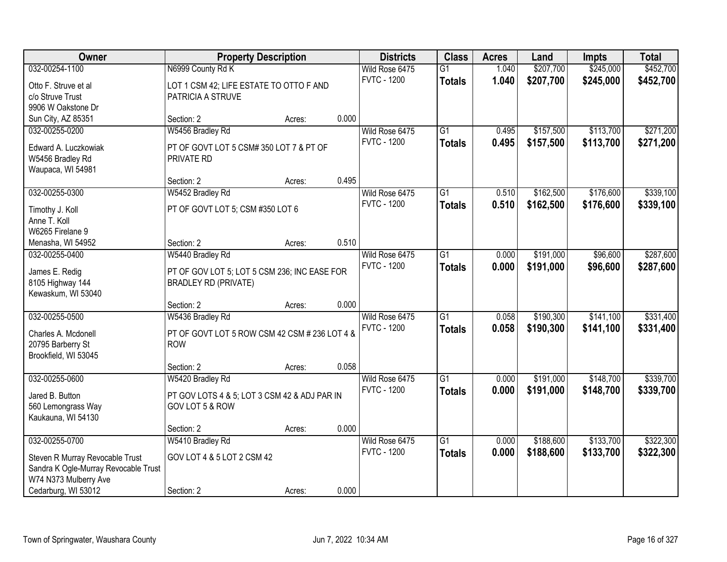| Owner                                 | <b>Property Description</b>                           |        |       | <b>Districts</b>   | <b>Class</b>    | <b>Acres</b> | Land      | <b>Impts</b> | <b>Total</b> |
|---------------------------------------|-------------------------------------------------------|--------|-------|--------------------|-----------------|--------------|-----------|--------------|--------------|
| 032-00254-1100                        | N6999 County Rd K                                     |        |       | Wild Rose 6475     | $\overline{G1}$ | 1.040        | \$207,700 | \$245,000    | \$452,700    |
| Otto F. Struve et al                  | LOT 1 CSM 42; LIFE ESTATE TO OTTO F AND               |        |       | <b>FVTC - 1200</b> | <b>Totals</b>   | 1.040        | \$207,700 | \$245,000    | \$452,700    |
| c/o Struve Trust                      | PATRICIA A STRUVE                                     |        |       |                    |                 |              |           |              |              |
| 9906 W Oakstone Dr                    |                                                       |        |       |                    |                 |              |           |              |              |
| Sun City, AZ 85351                    | Section: 2                                            | Acres: | 0.000 |                    |                 |              |           |              |              |
| 032-00255-0200                        | W5456 Bradley Rd                                      |        |       | Wild Rose 6475     | $\overline{G1}$ | 0.495        | \$157,500 | \$113,700    | \$271,200    |
|                                       |                                                       |        |       | <b>FVTC - 1200</b> | <b>Totals</b>   | 0.495        | \$157,500 | \$113,700    | \$271,200    |
| Edward A. Luczkowiak                  | PT OF GOVT LOT 5 CSM# 350 LOT 7 & PT OF<br>PRIVATE RD |        |       |                    |                 |              |           |              |              |
| W5456 Bradley Rd<br>Waupaca, WI 54981 |                                                       |        |       |                    |                 |              |           |              |              |
|                                       | Section: 2                                            | Acres: | 0.495 |                    |                 |              |           |              |              |
| 032-00255-0300                        | W5452 Bradley Rd                                      |        |       | Wild Rose 6475     | $\overline{G1}$ | 0.510        | \$162,500 | \$176,600    | \$339,100    |
|                                       |                                                       |        |       | <b>FVTC - 1200</b> | <b>Totals</b>   | 0.510        | \$162,500 | \$176,600    | \$339,100    |
| Timothy J. Koll                       | PT OF GOVT LOT 5; CSM #350 LOT 6                      |        |       |                    |                 |              |           |              |              |
| Anne T. Koll                          |                                                       |        |       |                    |                 |              |           |              |              |
| W6265 Firelane 9                      |                                                       |        | 0.510 |                    |                 |              |           |              |              |
| Menasha, WI 54952                     | Section: 2                                            | Acres: |       | Wild Rose 6475     | $\overline{G1}$ | 0.000        | \$191,000 | \$96,600     | \$287,600    |
| 032-00255-0400                        | W5440 Bradley Rd                                      |        |       | <b>FVTC - 1200</b> |                 |              |           |              |              |
| James E. Redig                        | PT OF GOV LOT 5; LOT 5 CSM 236; INC EASE FOR          |        |       |                    | <b>Totals</b>   | 0.000        | \$191,000 | \$96,600     | \$287,600    |
| 8105 Highway 144                      | <b>BRADLEY RD (PRIVATE)</b>                           |        |       |                    |                 |              |           |              |              |
| Kewaskum, WI 53040                    |                                                       |        |       |                    |                 |              |           |              |              |
|                                       | Section: 2                                            | Acres: | 0.000 |                    |                 |              |           |              |              |
| 032-00255-0500                        | W5436 Bradley Rd                                      |        |       | Wild Rose 6475     | $\overline{G1}$ | 0.058        | \$190,300 | \$141,100    | \$331,400    |
| Charles A. Mcdonell                   | PT OF GOVT LOT 5 ROW CSM 42 CSM # 236 LOT 4 &         |        |       | <b>FVTC - 1200</b> | <b>Totals</b>   | 0.058        | \$190,300 | \$141,100    | \$331,400    |
| 20795 Barberry St                     | <b>ROW</b>                                            |        |       |                    |                 |              |           |              |              |
| Brookfield, WI 53045                  |                                                       |        |       |                    |                 |              |           |              |              |
|                                       | Section: 2                                            | Acres: | 0.058 |                    |                 |              |           |              |              |
| 032-00255-0600                        | W5420 Bradley Rd                                      |        |       | Wild Rose 6475     | $\overline{G1}$ | 0.000        | \$191,000 | \$148,700    | \$339,700    |
| Jared B. Button                       | PT GOV LOTS 4 & 5; LOT 3 CSM 42 & ADJ PAR IN          |        |       | <b>FVTC - 1200</b> | <b>Totals</b>   | 0.000        | \$191,000 | \$148,700    | \$339,700    |
| 560 Lemongrass Way                    | GOV LOT 5 & ROW                                       |        |       |                    |                 |              |           |              |              |
| Kaukauna, WI 54130                    |                                                       |        |       |                    |                 |              |           |              |              |
|                                       | Section: 2                                            | Acres: | 0.000 |                    |                 |              |           |              |              |
| 032-00255-0700                        | W5410 Bradley Rd                                      |        |       | Wild Rose 6475     | $\overline{G1}$ | 0.000        | \$188,600 | \$133,700    | \$322,300    |
|                                       |                                                       |        |       | <b>FVTC - 1200</b> | <b>Totals</b>   | 0.000        | \$188,600 | \$133,700    | \$322,300    |
| Steven R Murray Revocable Trust       | GOV LOT 4 & 5 LOT 2 CSM 42                            |        |       |                    |                 |              |           |              |              |
| Sandra K Ogle-Murray Revocable Trust  |                                                       |        |       |                    |                 |              |           |              |              |
| W74 N373 Mulberry Ave                 |                                                       |        |       |                    |                 |              |           |              |              |
| Cedarburg, WI 53012                   | Section: 2                                            | Acres: | 0.000 |                    |                 |              |           |              |              |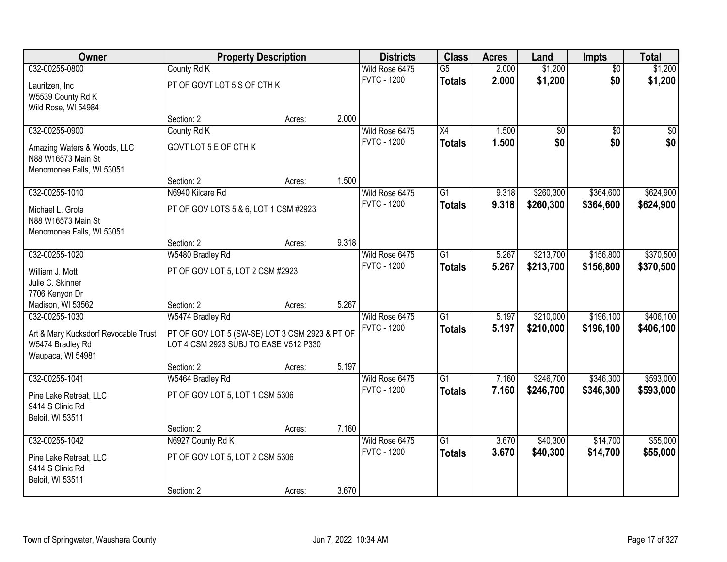| Owner                                | <b>Property Description</b>                    |        |       | <b>Districts</b>   | <b>Class</b>    | <b>Acres</b> | Land      | <b>Impts</b>    | <b>Total</b> |
|--------------------------------------|------------------------------------------------|--------|-------|--------------------|-----------------|--------------|-----------|-----------------|--------------|
| 032-00255-0800                       | County Rd K                                    |        |       | Wild Rose 6475     | $\overline{G5}$ | 2.000        | \$1,200   | $\overline{50}$ | \$1,200      |
| Lauritzen, Inc                       | PT OF GOVT LOT 5 S OF CTH K                    |        |       | <b>FVTC - 1200</b> | <b>Totals</b>   | 2.000        | \$1,200   | \$0             | \$1,200      |
| W5539 County Rd K                    |                                                |        |       |                    |                 |              |           |                 |              |
| Wild Rose, WI 54984                  |                                                |        |       |                    |                 |              |           |                 |              |
|                                      | Section: 2                                     | Acres: | 2.000 |                    |                 |              |           |                 |              |
| 032-00255-0900                       | County Rd K                                    |        |       | Wild Rose 6475     | $\overline{X4}$ | 1.500        | \$0       | $\overline{50}$ | \$0          |
| Amazing Waters & Woods, LLC          | GOVT LOT 5 E OF CTH K                          |        |       | <b>FVTC - 1200</b> | <b>Totals</b>   | 1.500        | \$0       | \$0             | \$0          |
| N88 W16573 Main St                   |                                                |        |       |                    |                 |              |           |                 |              |
| Menomonee Falls, WI 53051            |                                                |        |       |                    |                 |              |           |                 |              |
|                                      | Section: 2                                     | Acres: | 1.500 |                    |                 |              |           |                 |              |
| 032-00255-1010                       | N6940 Kilcare Rd                               |        |       | Wild Rose 6475     | $\overline{G1}$ | 9.318        | \$260,300 | \$364,600       | \$624,900    |
| Michael L. Grota                     | PT OF GOV LOTS 5 & 6, LOT 1 CSM #2923          |        |       | <b>FVTC - 1200</b> | <b>Totals</b>   | 9.318        | \$260,300 | \$364,600       | \$624,900    |
| N88 W16573 Main St                   |                                                |        |       |                    |                 |              |           |                 |              |
| Menomonee Falls, WI 53051            |                                                |        |       |                    |                 |              |           |                 |              |
|                                      | Section: 2                                     | Acres: | 9.318 |                    |                 |              |           |                 |              |
| 032-00255-1020                       | W5480 Bradley Rd                               |        |       | Wild Rose 6475     | G1              | 5.267        | \$213,700 | \$156,800       | \$370,500    |
| William J. Mott                      | PT OF GOV LOT 5, LOT 2 CSM #2923               |        |       | <b>FVTC - 1200</b> | <b>Totals</b>   | 5.267        | \$213,700 | \$156,800       | \$370,500    |
| Julie C. Skinner                     |                                                |        |       |                    |                 |              |           |                 |              |
| 7706 Kenyon Dr                       |                                                |        |       |                    |                 |              |           |                 |              |
| Madison, WI 53562                    | Section: 2                                     | Acres: | 5.267 |                    |                 |              |           |                 |              |
| 032-00255-1030                       | W5474 Bradley Rd                               |        |       | Wild Rose 6475     | $\overline{G1}$ | 5.197        | \$210,000 | \$196,100       | \$406,100    |
| Art & Mary Kucksdorf Revocable Trust | PT OF GOV LOT 5 (SW-SE) LOT 3 CSM 2923 & PT OF |        |       | <b>FVTC - 1200</b> | <b>Totals</b>   | 5.197        | \$210,000 | \$196,100       | \$406,100    |
| W5474 Bradley Rd                     | LOT 4 CSM 2923 SUBJ TO EASE V512 P330          |        |       |                    |                 |              |           |                 |              |
| Waupaca, WI 54981                    |                                                |        |       |                    |                 |              |           |                 |              |
|                                      | Section: 2                                     | Acres: | 5.197 |                    |                 |              |           |                 |              |
| 032-00255-1041                       | W5464 Bradley Rd                               |        |       | Wild Rose 6475     | $\overline{G1}$ | 7.160        | \$246,700 | \$346,300       | \$593,000    |
| Pine Lake Retreat, LLC               | PT OF GOV LOT 5, LOT 1 CSM 5306                |        |       | <b>FVTC - 1200</b> | <b>Totals</b>   | 7.160        | \$246,700 | \$346,300       | \$593,000    |
| 9414 S Clinic Rd                     |                                                |        |       |                    |                 |              |           |                 |              |
| Beloit, WI 53511                     |                                                |        |       |                    |                 |              |           |                 |              |
|                                      | Section: 2                                     | Acres: | 7.160 |                    |                 |              |           |                 |              |
| 032-00255-1042                       | N6927 County Rd K                              |        |       | Wild Rose 6475     | $\overline{G1}$ | 3.670        | \$40,300  | \$14,700        | \$55,000     |
| Pine Lake Retreat, LLC               | PT OF GOV LOT 5, LOT 2 CSM 5306                |        |       | <b>FVTC - 1200</b> | <b>Totals</b>   | 3.670        | \$40,300  | \$14,700        | \$55,000     |
| 9414 S Clinic Rd                     |                                                |        |       |                    |                 |              |           |                 |              |
| Beloit, WI 53511                     |                                                |        |       |                    |                 |              |           |                 |              |
|                                      | Section: 2                                     | Acres: | 3.670 |                    |                 |              |           |                 |              |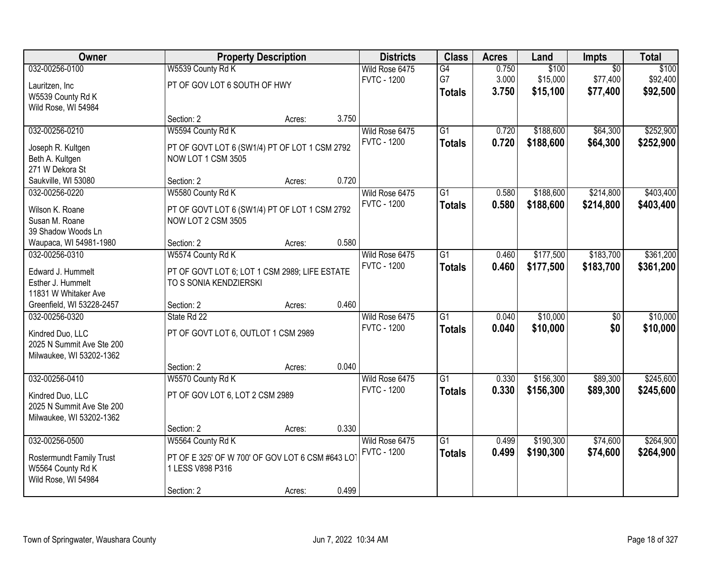| Owner                     |                                                 | <b>Property Description</b> |       | <b>Districts</b>   | <b>Class</b>    | <b>Acres</b> | Land      | <b>Impts</b>    | <b>Total</b> |
|---------------------------|-------------------------------------------------|-----------------------------|-------|--------------------|-----------------|--------------|-----------|-----------------|--------------|
| 032-00256-0100            | W5539 County Rd K                               |                             |       | Wild Rose 6475     | G4              | 0.750        | \$100     | $\overline{50}$ | \$100        |
| Lauritzen, Inc            | PT OF GOV LOT 6 SOUTH OF HWY                    |                             |       | <b>FVTC - 1200</b> | G7              | 3.000        | \$15,000  | \$77,400        | \$92,400     |
| W5539 County Rd K         |                                                 |                             |       |                    | <b>Totals</b>   | 3.750        | \$15,100  | \$77,400        | \$92,500     |
| Wild Rose, WI 54984       |                                                 |                             |       |                    |                 |              |           |                 |              |
|                           | Section: 2                                      | Acres:                      | 3.750 |                    |                 |              |           |                 |              |
| 032-00256-0210            | W5594 County Rd K                               |                             |       | Wild Rose 6475     | $\overline{G1}$ | 0.720        | \$188,600 | \$64,300        | \$252,900    |
| Joseph R. Kultgen         | PT OF GOVT LOT 6 (SW1/4) PT OF LOT 1 CSM 2792   |                             |       | <b>FVTC - 1200</b> | <b>Totals</b>   | 0.720        | \$188,600 | \$64,300        | \$252,900    |
| Beth A. Kultgen           | NOW LOT 1 CSM 3505                              |                             |       |                    |                 |              |           |                 |              |
| 271 W Dekora St           |                                                 |                             |       |                    |                 |              |           |                 |              |
| Saukville, WI 53080       | Section: 2                                      | Acres:                      | 0.720 |                    |                 |              |           |                 |              |
| 032-00256-0220            | W5580 County Rd K                               |                             |       | Wild Rose 6475     | G1              | 0.580        | \$188,600 | \$214,800       | \$403,400    |
| Wilson K. Roane           | PT OF GOVT LOT 6 (SW1/4) PT OF LOT 1 CSM 2792   |                             |       | <b>FVTC - 1200</b> | <b>Totals</b>   | 0.580        | \$188,600 | \$214,800       | \$403,400    |
| Susan M. Roane            | NOW LOT 2 CSM 3505                              |                             |       |                    |                 |              |           |                 |              |
| 39 Shadow Woods Ln        |                                                 |                             |       |                    |                 |              |           |                 |              |
| Waupaca, WI 54981-1980    | Section: 2                                      | Acres:                      | 0.580 |                    |                 |              |           |                 |              |
| 032-00256-0310            | W5574 County Rd K                               |                             |       | Wild Rose 6475     | $\overline{G1}$ | 0.460        | \$177,500 | \$183,700       | \$361,200    |
| Edward J. Hummelt         | PT OF GOVT LOT 6; LOT 1 CSM 2989; LIFE ESTATE   |                             |       | <b>FVTC - 1200</b> | <b>Totals</b>   | 0.460        | \$177,500 | \$183,700       | \$361,200    |
| Esther J. Hummelt         | TO S SONIA KENDZIERSKI                          |                             |       |                    |                 |              |           |                 |              |
| 11831 W Whitaker Ave      |                                                 |                             |       |                    |                 |              |           |                 |              |
| Greenfield, WI 53228-2457 | Section: 2                                      | Acres:                      | 0.460 |                    |                 |              |           |                 |              |
| 032-00256-0320            | State Rd 22                                     |                             |       | Wild Rose 6475     | $\overline{G1}$ | 0.040        | \$10,000  | \$0             | \$10,000     |
| Kindred Duo, LLC          | PT OF GOVT LOT 6, OUTLOT 1 CSM 2989             |                             |       | <b>FVTC - 1200</b> | <b>Totals</b>   | 0.040        | \$10,000  | \$0             | \$10,000     |
| 2025 N Summit Ave Ste 200 |                                                 |                             |       |                    |                 |              |           |                 |              |
| Milwaukee, WI 53202-1362  |                                                 |                             |       |                    |                 |              |           |                 |              |
|                           | Section: 2                                      | Acres:                      | 0.040 |                    |                 |              |           |                 |              |
| 032-00256-0410            | W5570 County Rd K                               |                             |       | Wild Rose 6475     | $\overline{G1}$ | 0.330        | \$156,300 | \$89,300        | \$245,600    |
| Kindred Duo, LLC          | PT OF GOV LOT 6, LOT 2 CSM 2989                 |                             |       | <b>FVTC - 1200</b> | <b>Totals</b>   | 0.330        | \$156,300 | \$89,300        | \$245,600    |
| 2025 N Summit Ave Ste 200 |                                                 |                             |       |                    |                 |              |           |                 |              |
| Milwaukee, WI 53202-1362  |                                                 |                             |       |                    |                 |              |           |                 |              |
|                           | Section: 2                                      | Acres:                      | 0.330 |                    |                 |              |           |                 |              |
| 032-00256-0500            | W5564 County Rd K                               |                             |       | Wild Rose 6475     | $\overline{G1}$ | 0.499        | \$190,300 | \$74,600        | \$264,900    |
| Rostermundt Family Trust  | PT OF E 325' OF W 700' OF GOV LOT 6 CSM #643 LO |                             |       | <b>FVTC - 1200</b> | <b>Totals</b>   | 0.499        | \$190,300 | \$74,600        | \$264,900    |
| W5564 County Rd K         | 1 LESS V898 P316                                |                             |       |                    |                 |              |           |                 |              |
| Wild Rose, WI 54984       |                                                 |                             |       |                    |                 |              |           |                 |              |
|                           | Section: 2                                      | Acres:                      | 0.499 |                    |                 |              |           |                 |              |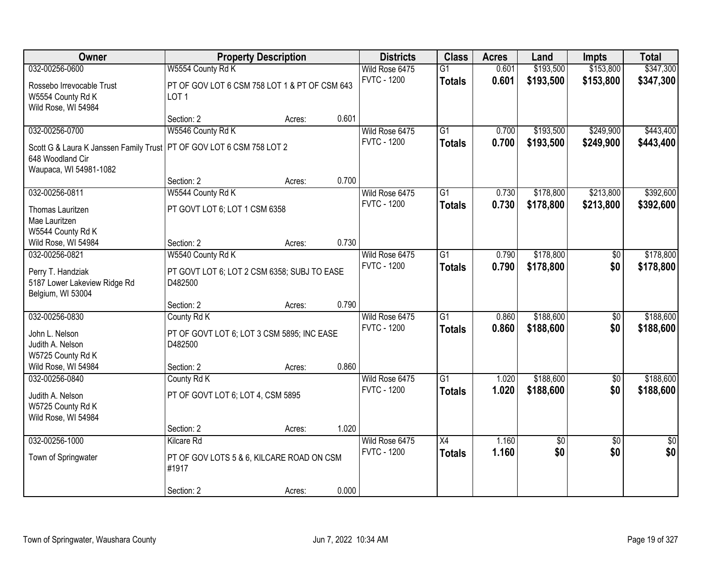| Owner                                          |                                                                   | <b>Property Description</b> |       | <b>Districts</b>   | <b>Class</b>    | <b>Acres</b> | Land      | Impts           | <b>Total</b>    |
|------------------------------------------------|-------------------------------------------------------------------|-----------------------------|-------|--------------------|-----------------|--------------|-----------|-----------------|-----------------|
| 032-00256-0600                                 | W5554 County Rd K                                                 |                             |       | Wild Rose 6475     | $\overline{G1}$ | 0.601        | \$193,500 | \$153,800       | \$347,300       |
| Rossebo Irrevocable Trust<br>W5554 County Rd K | PT OF GOV LOT 6 CSM 758 LOT 1 & PT OF CSM 643<br>LOT <sub>1</sub> |                             |       | <b>FVTC - 1200</b> | <b>Totals</b>   | 0.601        | \$193,500 | \$153,800       | \$347,300       |
| Wild Rose, WI 54984                            |                                                                   |                             |       |                    |                 |              |           |                 |                 |
|                                                | Section: 2                                                        | Acres:                      | 0.601 |                    |                 |              |           |                 |                 |
| 032-00256-0700                                 | W5546 County Rd K                                                 |                             |       | Wild Rose 6475     | $\overline{G1}$ | 0.700        | \$193,500 | \$249,900       | \$443,400       |
| Scott G & Laura K Janssen Family Trust         | PT OF GOV LOT 6 CSM 758 LOT 2                                     |                             |       | <b>FVTC - 1200</b> | <b>Totals</b>   | 0.700        | \$193,500 | \$249,900       | \$443,400       |
| 648 Woodland Cir                               |                                                                   |                             |       |                    |                 |              |           |                 |                 |
| Waupaca, WI 54981-1082                         |                                                                   |                             |       |                    |                 |              |           |                 |                 |
|                                                | Section: 2                                                        | Acres:                      | 0.700 |                    |                 |              |           |                 |                 |
| 032-00256-0811                                 | W5544 County Rd K                                                 |                             |       | Wild Rose 6475     | $\overline{G1}$ | 0.730        | \$178,800 | \$213,800       | \$392,600       |
| Thomas Lauritzen                               | PT GOVT LOT 6; LOT 1 CSM 6358                                     |                             |       | <b>FVTC - 1200</b> | <b>Totals</b>   | 0.730        | \$178,800 | \$213,800       | \$392,600       |
| Mae Lauritzen                                  |                                                                   |                             |       |                    |                 |              |           |                 |                 |
| W5544 County Rd K                              |                                                                   |                             |       |                    |                 |              |           |                 |                 |
| Wild Rose, WI 54984                            | Section: 2                                                        | Acres:                      | 0.730 |                    |                 |              |           |                 |                 |
| 032-00256-0821                                 | W5540 County Rd K                                                 |                             |       | Wild Rose 6475     | $\overline{G1}$ | 0.790        | \$178,800 | \$0             | \$178,800       |
| Perry T. Handziak                              | PT GOVT LOT 6; LOT 2 CSM 6358; SUBJ TO EASE                       |                             |       | <b>FVTC - 1200</b> | <b>Totals</b>   | 0.790        | \$178,800 | \$0             | \$178,800       |
| 5187 Lower Lakeview Ridge Rd                   | D482500                                                           |                             |       |                    |                 |              |           |                 |                 |
| Belgium, WI 53004                              |                                                                   |                             |       |                    |                 |              |           |                 |                 |
|                                                | Section: 2                                                        | Acres:                      | 0.790 |                    |                 |              |           |                 |                 |
| 032-00256-0830                                 | County Rd K                                                       |                             |       | Wild Rose 6475     | $\overline{G1}$ | 0.860        | \$188,600 | $\overline{50}$ | \$188,600       |
| John L. Nelson                                 | PT OF GOVT LOT 6; LOT 3 CSM 5895; INC EASE                        |                             |       | <b>FVTC - 1200</b> | <b>Totals</b>   | 0.860        | \$188,600 | \$0             | \$188,600       |
| Judith A. Nelson                               | D482500                                                           |                             |       |                    |                 |              |           |                 |                 |
| W5725 County Rd K                              |                                                                   |                             |       |                    |                 |              |           |                 |                 |
| Wild Rose, WI 54984                            | Section: 2                                                        | Acres:                      | 0.860 |                    |                 |              |           |                 |                 |
| 032-00256-0840                                 | County Rd K                                                       |                             |       | Wild Rose 6475     | $\overline{G1}$ | 1.020        | \$188,600 | $\overline{50}$ | \$188,600       |
| Judith A. Nelson                               | PT OF GOVT LOT 6; LOT 4, CSM 5895                                 |                             |       | <b>FVTC - 1200</b> | <b>Totals</b>   | 1.020        | \$188,600 | \$0             | \$188,600       |
| W5725 County Rd K                              |                                                                   |                             |       |                    |                 |              |           |                 |                 |
| Wild Rose, WI 54984                            |                                                                   |                             |       |                    |                 |              |           |                 |                 |
|                                                | Section: 2                                                        | Acres:                      | 1.020 |                    |                 |              |           |                 |                 |
| 032-00256-1000                                 | Kilcare Rd                                                        |                             |       | Wild Rose 6475     | X4              | 1.160        | \$0       | $\overline{50}$ | $\overline{50}$ |
| Town of Springwater                            | PT OF GOV LOTS 5 & 6, KILCARE ROAD ON CSM                         |                             |       | <b>FVTC - 1200</b> | <b>Totals</b>   | 1.160        | \$0       | \$0             | \$0             |
|                                                | #1917                                                             |                             |       |                    |                 |              |           |                 |                 |
|                                                |                                                                   |                             |       |                    |                 |              |           |                 |                 |
|                                                | Section: 2                                                        | Acres:                      | 0.000 |                    |                 |              |           |                 |                 |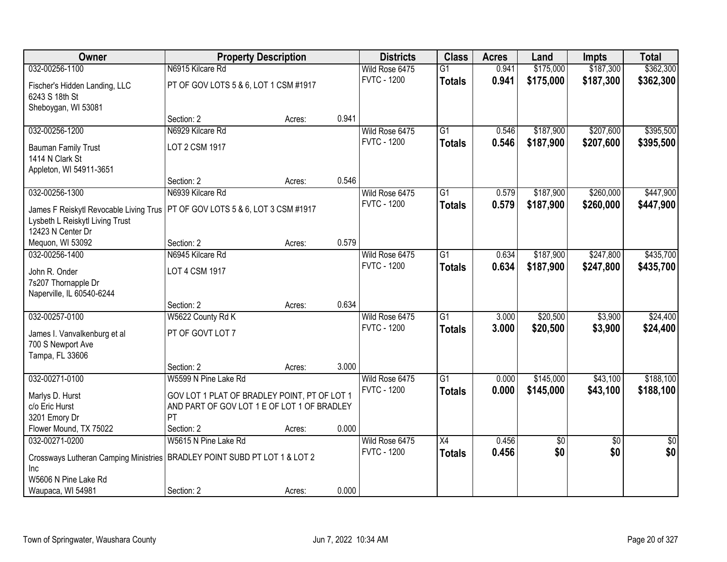| Owner                                                                     | <b>Property Description</b>                  |        |       | <b>Districts</b>   | <b>Class</b>    | <b>Acres</b> | Land      | <b>Impts</b>    | <b>Total</b>    |
|---------------------------------------------------------------------------|----------------------------------------------|--------|-------|--------------------|-----------------|--------------|-----------|-----------------|-----------------|
| 032-00256-1100                                                            | N6915 Kilcare Rd                             |        |       | Wild Rose 6475     | $\overline{G1}$ | 0.941        | \$175,000 | \$187,300       | \$362,300       |
| Fischer's Hidden Landing, LLC<br>6243 S 18th St                           | PT OF GOV LOTS 5 & 6, LOT 1 CSM #1917        |        |       | <b>FVTC - 1200</b> | <b>Totals</b>   | 0.941        | \$175,000 | \$187,300       | \$362,300       |
| Sheboygan, WI 53081                                                       |                                              |        |       |                    |                 |              |           |                 |                 |
|                                                                           | Section: 2                                   | Acres: | 0.941 |                    |                 |              |           |                 |                 |
| 032-00256-1200                                                            | N6929 Kilcare Rd                             |        |       | Wild Rose 6475     | $\overline{G1}$ | 0.546        | \$187,900 | \$207,600       | \$395,500       |
| <b>Bauman Family Trust</b><br>1414 N Clark St                             | LOT 2 CSM 1917                               |        |       | <b>FVTC - 1200</b> | <b>Totals</b>   | 0.546        | \$187,900 | \$207,600       | \$395,500       |
| Appleton, WI 54911-3651                                                   |                                              |        |       |                    |                 |              |           |                 |                 |
|                                                                           | Section: 2                                   | Acres: | 0.546 |                    |                 |              |           |                 |                 |
| 032-00256-1300                                                            | N6939 Kilcare Rd                             |        |       | Wild Rose 6475     | G1              | 0.579        | \$187,900 | \$260,000       | \$447,900       |
| James F Reiskytl Revocable Living Trus<br>Lysbeth L Reiskytl Living Trust | PT OF GOV LOTS 5 & 6, LOT 3 CSM #1917        |        |       | <b>FVTC - 1200</b> | <b>Totals</b>   | 0.579        | \$187,900 | \$260,000       | \$447,900       |
| 12423 N Center Dr                                                         |                                              |        |       |                    |                 |              |           |                 |                 |
| Mequon, WI 53092                                                          | Section: 2                                   | Acres: | 0.579 |                    |                 |              |           |                 |                 |
| 032-00256-1400                                                            | N6945 Kilcare Rd                             |        |       | Wild Rose 6475     | G1              | 0.634        | \$187,900 | \$247,800       | \$435,700       |
| John R. Onder                                                             | LOT 4 CSM 1917                               |        |       | <b>FVTC - 1200</b> | <b>Totals</b>   | 0.634        | \$187,900 | \$247,800       | \$435,700       |
| 7s207 Thornapple Dr                                                       |                                              |        |       |                    |                 |              |           |                 |                 |
| Naperville, IL 60540-6244                                                 |                                              |        |       |                    |                 |              |           |                 |                 |
|                                                                           | Section: 2                                   | Acres: | 0.634 |                    |                 |              |           |                 |                 |
| 032-00257-0100                                                            | W5622 County Rd K                            |        |       | Wild Rose 6475     | $\overline{G1}$ | 3.000        | \$20,500  | \$3,900         | \$24,400        |
| James I. Vanvalkenburg et al                                              | PT OF GOVT LOT 7                             |        |       | <b>FVTC - 1200</b> | <b>Totals</b>   | 3.000        | \$20,500  | \$3,900         | \$24,400        |
| 700 S Newport Ave                                                         |                                              |        |       |                    |                 |              |           |                 |                 |
| Tampa, FL 33606                                                           |                                              |        |       |                    |                 |              |           |                 |                 |
|                                                                           | Section: 2                                   | Acres: | 3.000 |                    |                 |              |           |                 |                 |
| 032-00271-0100                                                            | W5599 N Pine Lake Rd                         |        |       | Wild Rose 6475     | $\overline{G1}$ | 0.000        | \$145,000 | \$43,100        | \$188,100       |
| Marlys D. Hurst                                                           | GOV LOT 1 PLAT OF BRADLEY POINT, PT OF LOT 1 |        |       | <b>FVTC - 1200</b> | <b>Totals</b>   | 0.000        | \$145,000 | \$43,100        | \$188,100       |
| c/o Eric Hurst                                                            | AND PART OF GOV LOT 1 E OF LOT 1 OF BRADLEY  |        |       |                    |                 |              |           |                 |                 |
| 3201 Emory Dr                                                             | PT                                           |        |       |                    |                 |              |           |                 |                 |
| Flower Mound, TX 75022                                                    | Section: 2                                   | Acres: | 0.000 |                    |                 |              |           |                 |                 |
| 032-00271-0200                                                            | W5615 N Pine Lake Rd                         |        |       | Wild Rose 6475     | $\overline{X4}$ | 0.456        | \$0       | $\overline{50}$ | $\overline{50}$ |
| Crossways Lutheran Camping Ministries<br><b>Inc</b>                       | BRADLEY POINT SUBD PT LOT 1 & LOT 2          |        |       | <b>FVTC - 1200</b> | <b>Totals</b>   | 0.456        | \$0       | \$0             | \$0             |
| W5606 N Pine Lake Rd                                                      |                                              |        |       |                    |                 |              |           |                 |                 |
| Waupaca, WI 54981                                                         | Section: 2                                   | Acres: | 0.000 |                    |                 |              |           |                 |                 |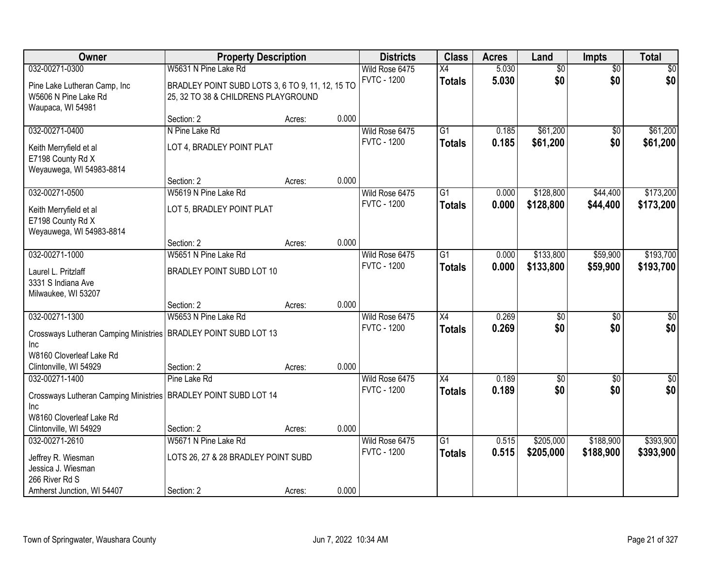| Owner                                                                     | <b>Property Description</b>                                                             |        |       | <b>Districts</b>   | <b>Class</b>    | <b>Acres</b> | Land            | <b>Impts</b>    | <b>Total</b>     |
|---------------------------------------------------------------------------|-----------------------------------------------------------------------------------------|--------|-------|--------------------|-----------------|--------------|-----------------|-----------------|------------------|
| 032-00271-0300                                                            | W5631 N Pine Lake Rd                                                                    |        |       | Wild Rose 6475     | $\overline{X4}$ | 5.030        | $\overline{50}$ | $\overline{50}$ | \$0              |
| Pine Lake Lutheran Camp, Inc<br>W5606 N Pine Lake Rd<br>Waupaca, WI 54981 | BRADLEY POINT SUBD LOTS 3, 6 TO 9, 11, 12, 15 TO<br>25, 32 TO 38 & CHILDRENS PLAYGROUND |        |       | <b>FVTC - 1200</b> | <b>Totals</b>   | 5.030        | \$0             | \$0             | \$0              |
|                                                                           | Section: 2                                                                              | Acres: | 0.000 |                    |                 |              |                 |                 |                  |
| 032-00271-0400                                                            | N Pine Lake Rd                                                                          |        |       | Wild Rose 6475     | $\overline{G1}$ | 0.185        | \$61,200        | $\overline{50}$ | \$61,200         |
| Keith Merryfield et al<br>E7198 County Rd X<br>Weyauwega, WI 54983-8814   | LOT 4, BRADLEY POINT PLAT                                                               |        |       | <b>FVTC - 1200</b> | <b>Totals</b>   | 0.185        | \$61,200        | \$0             | \$61,200         |
|                                                                           | Section: 2                                                                              | Acres: | 0.000 |                    |                 |              |                 |                 |                  |
| 032-00271-0500                                                            | W5619 N Pine Lake Rd                                                                    |        |       | Wild Rose 6475     | G1              | 0.000        | \$128,800       | \$44,400        | \$173,200        |
| Keith Merryfield et al<br>E7198 County Rd X<br>Weyauwega, WI 54983-8814   | LOT 5, BRADLEY POINT PLAT                                                               |        |       | <b>FVTC - 1200</b> | <b>Totals</b>   | 0.000        | \$128,800       | \$44,400        | \$173,200        |
|                                                                           | Section: 2                                                                              | Acres: | 0.000 |                    |                 |              |                 |                 |                  |
| 032-00271-1000                                                            | W5651 N Pine Lake Rd                                                                    |        |       | Wild Rose 6475     | $\overline{G1}$ | 0.000        | \$133,800       | \$59,900        | \$193,700        |
| Laurel L. Pritzlaff<br>3331 S Indiana Ave<br>Milwaukee, WI 53207          | BRADLEY POINT SUBD LOT 10                                                               |        |       | <b>FVTC - 1200</b> | <b>Totals</b>   | 0.000        | \$133,800       | \$59,900        | \$193,700        |
|                                                                           | Section: 2                                                                              | Acres: | 0.000 |                    |                 |              |                 |                 |                  |
| 032-00271-1300                                                            | W5653 N Pine Lake Rd                                                                    |        |       | Wild Rose 6475     | $\overline{X4}$ | 0.269        | \$0             | \$0             | $\sqrt{50}$      |
| Crossways Lutheran Camping Ministries   BRADLEY POINT SUBD LOT 13         |                                                                                         |        |       | <b>FVTC - 1200</b> | <b>Totals</b>   | 0.269        | \$0             | \$0             | \$0              |
| <b>Inc</b>                                                                |                                                                                         |        |       |                    |                 |              |                 |                 |                  |
| W8160 Cloverleaf Lake Rd                                                  |                                                                                         |        |       |                    |                 |              |                 |                 |                  |
| Clintonville, WI 54929<br>032-00271-1400                                  | Section: 2<br>Pine Lake Rd                                                              | Acres: | 0.000 | Wild Rose 6475     | $\overline{X4}$ | 0.189        | $\overline{50}$ |                 | $\overline{\$0}$ |
|                                                                           |                                                                                         |        |       | <b>FVTC - 1200</b> | <b>Totals</b>   | 0.189        | \$0             | \$0<br>\$0      | \$0              |
| Crossways Lutheran Camping Ministries   BRADLEY POINT SUBD LOT 14         |                                                                                         |        |       |                    |                 |              |                 |                 |                  |
| Inc                                                                       |                                                                                         |        |       |                    |                 |              |                 |                 |                  |
| W8160 Cloverleaf Lake Rd<br>Clintonville, WI 54929                        | Section: 2                                                                              | Acres: | 0.000 |                    |                 |              |                 |                 |                  |
| 032-00271-2610                                                            | W5671 N Pine Lake Rd                                                                    |        |       | Wild Rose 6475     | $\overline{G1}$ | 0.515        | \$205,000       | \$188,900       | \$393,900        |
|                                                                           |                                                                                         |        |       | <b>FVTC - 1200</b> | <b>Totals</b>   | 0.515        | \$205,000       | \$188,900       | \$393,900        |
| Jeffrey R. Wiesman<br>Jessica J. Wiesman                                  | LOTS 26, 27 & 28 BRADLEY POINT SUBD                                                     |        |       |                    |                 |              |                 |                 |                  |
| 266 River Rd S                                                            |                                                                                         |        |       |                    |                 |              |                 |                 |                  |
| Amherst Junction, WI 54407                                                | Section: 2                                                                              | Acres: | 0.000 |                    |                 |              |                 |                 |                  |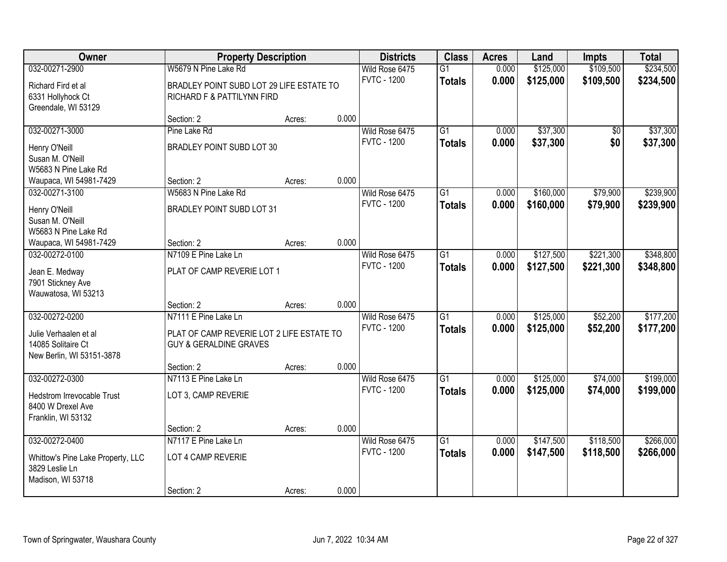| Owner                                       | <b>Property Description</b>                                                    |        |       | <b>Districts</b>                     | <b>Class</b>    | <b>Acres</b> | Land      | <b>Impts</b>    | <b>Total</b> |
|---------------------------------------------|--------------------------------------------------------------------------------|--------|-------|--------------------------------------|-----------------|--------------|-----------|-----------------|--------------|
| 032-00271-2900                              | W5679 N Pine Lake Rd                                                           |        |       | Wild Rose 6475                       | $\overline{G1}$ | 0.000        | \$125,000 | \$109,500       | \$234,500    |
| Richard Fird et al                          | BRADLEY POINT SUBD LOT 29 LIFE ESTATE TO                                       |        |       | <b>FVTC - 1200</b>                   | <b>Totals</b>   | 0.000        | \$125,000 | \$109,500       | \$234,500    |
| 6331 Hollyhock Ct                           | RICHARD F & PATTILYNN FIRD                                                     |        |       |                                      |                 |              |           |                 |              |
| Greendale, WI 53129                         |                                                                                |        |       |                                      |                 |              |           |                 |              |
|                                             | Section: 2                                                                     | Acres: | 0.000 |                                      |                 |              |           |                 |              |
| 032-00271-3000                              | Pine Lake Rd                                                                   |        |       | Wild Rose 6475                       | $\overline{G1}$ | 0.000        | \$37,300  | $\overline{30}$ | \$37,300     |
| Henry O'Neill                               | BRADLEY POINT SUBD LOT 30                                                      |        |       | <b>FVTC - 1200</b>                   | <b>Totals</b>   | 0.000        | \$37,300  | \$0             | \$37,300     |
| Susan M. O'Neill                            |                                                                                |        |       |                                      |                 |              |           |                 |              |
| W5683 N Pine Lake Rd                        |                                                                                |        |       |                                      |                 |              |           |                 |              |
| Waupaca, WI 54981-7429                      | Section: 2                                                                     | Acres: | 0.000 |                                      |                 |              |           |                 |              |
| 032-00271-3100                              | W5683 N Pine Lake Rd                                                           |        |       | Wild Rose 6475<br><b>FVTC - 1200</b> | $\overline{G1}$ | 0.000        | \$160,000 | \$79,900        | \$239,900    |
| Henry O'Neill                               | BRADLEY POINT SUBD LOT 31                                                      |        |       |                                      | <b>Totals</b>   | 0.000        | \$160,000 | \$79,900        | \$239,900    |
| Susan M. O'Neill                            |                                                                                |        |       |                                      |                 |              |           |                 |              |
| W5683 N Pine Lake Rd                        |                                                                                |        | 0.000 |                                      |                 |              |           |                 |              |
| Waupaca, WI 54981-7429<br>032-00272-0100    | Section: 2<br>N7109 E Pine Lake Ln                                             | Acres: |       | Wild Rose 6475                       | $\overline{G1}$ | 0.000        | \$127,500 | \$221,300       | \$348,800    |
|                                             |                                                                                |        |       | <b>FVTC - 1200</b>                   | <b>Totals</b>   | 0.000        | \$127,500 | \$221,300       | \$348,800    |
| Jean E. Medway                              | PLAT OF CAMP REVERIE LOT 1                                                     |        |       |                                      |                 |              |           |                 |              |
| 7901 Stickney Ave<br>Wauwatosa, WI 53213    |                                                                                |        |       |                                      |                 |              |           |                 |              |
|                                             | Section: 2                                                                     | Acres: | 0.000 |                                      |                 |              |           |                 |              |
| 032-00272-0200                              | N7111 E Pine Lake Ln                                                           |        |       | Wild Rose 6475                       | $\overline{G1}$ | 0.000        | \$125,000 | \$52,200        | \$177,200    |
|                                             |                                                                                |        |       | <b>FVTC - 1200</b>                   | <b>Totals</b>   | 0.000        | \$125,000 | \$52,200        | \$177,200    |
| Julie Verhaalen et al<br>14085 Solitaire Ct | PLAT OF CAMP REVERIE LOT 2 LIFE ESTATE TO<br><b>GUY &amp; GERALDINE GRAVES</b> |        |       |                                      |                 |              |           |                 |              |
| New Berlin, WI 53151-3878                   |                                                                                |        |       |                                      |                 |              |           |                 |              |
|                                             | Section: 2                                                                     | Acres: | 0.000 |                                      |                 |              |           |                 |              |
| 032-00272-0300                              | N7113 E Pine Lake Ln                                                           |        |       | Wild Rose 6475                       | $\overline{G1}$ | 0.000        | \$125,000 | \$74,000        | \$199,000    |
| Hedstrom Irrevocable Trust                  | LOT 3, CAMP REVERIE                                                            |        |       | <b>FVTC - 1200</b>                   | <b>Totals</b>   | 0.000        | \$125,000 | \$74,000        | \$199,000    |
| 8400 W Drexel Ave                           |                                                                                |        |       |                                      |                 |              |           |                 |              |
| Franklin, WI 53132                          |                                                                                |        |       |                                      |                 |              |           |                 |              |
|                                             | Section: 2                                                                     | Acres: | 0.000 |                                      |                 |              |           |                 |              |
| 032-00272-0400                              | N7117 E Pine Lake Ln                                                           |        |       | Wild Rose 6475                       | $\overline{G1}$ | 0.000        | \$147,500 | \$118,500       | \$266,000    |
| Whittow's Pine Lake Property, LLC           | LOT 4 CAMP REVERIE                                                             |        |       | <b>FVTC - 1200</b>                   | <b>Totals</b>   | 0.000        | \$147,500 | \$118,500       | \$266,000    |
| 3829 Leslie Ln                              |                                                                                |        |       |                                      |                 |              |           |                 |              |
| Madison, WI 53718                           |                                                                                |        |       |                                      |                 |              |           |                 |              |
|                                             | Section: 2                                                                     | Acres: | 0.000 |                                      |                 |              |           |                 |              |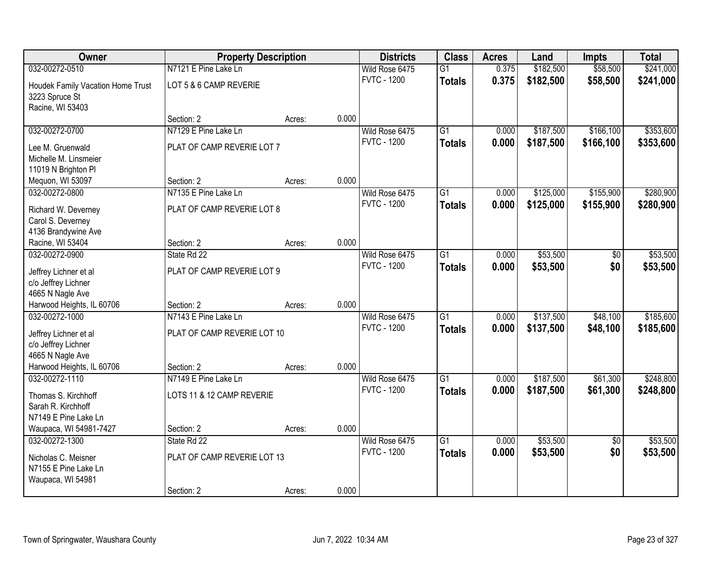| Owner                                   | <b>Property Description</b> |        |       | <b>Districts</b>   | <b>Class</b>    | <b>Acres</b> | Land      | <b>Impts</b>    | <b>Total</b> |
|-----------------------------------------|-----------------------------|--------|-------|--------------------|-----------------|--------------|-----------|-----------------|--------------|
| 032-00272-0510                          | N7121 E Pine Lake Ln        |        |       | Wild Rose 6475     | $\overline{G1}$ | 0.375        | \$182,500 | \$58,500        | \$241,000    |
| Houdek Family Vacation Home Trust       | LOT 5 & 6 CAMP REVERIE      |        |       | <b>FVTC - 1200</b> | <b>Totals</b>   | 0.375        | \$182,500 | \$58,500        | \$241,000    |
| 3223 Spruce St<br>Racine, WI 53403      |                             |        |       |                    |                 |              |           |                 |              |
|                                         | Section: 2                  | Acres: | 0.000 |                    |                 |              |           |                 |              |
| 032-00272-0700                          | N7129 E Pine Lake Ln        |        |       | Wild Rose 6475     | $\overline{G1}$ | 0.000        | \$187,500 | \$166,100       | \$353,600    |
|                                         |                             |        |       | <b>FVTC - 1200</b> | <b>Totals</b>   | 0.000        | \$187,500 | \$166,100       | \$353,600    |
| Lee M. Gruenwald                        | PLAT OF CAMP REVERIE LOT 7  |        |       |                    |                 |              |           |                 |              |
| Michelle M. Linsmeier                   |                             |        |       |                    |                 |              |           |                 |              |
| 11019 N Brighton PI<br>Mequon, WI 53097 | Section: 2                  | Acres: | 0.000 |                    |                 |              |           |                 |              |
| 032-00272-0800                          | N7135 E Pine Lake Ln        |        |       | Wild Rose 6475     | $\overline{G1}$ | 0.000        | \$125,000 | \$155,900       | \$280,900    |
|                                         |                             |        |       | <b>FVTC - 1200</b> | <b>Totals</b>   | 0.000        | \$125,000 | \$155,900       | \$280,900    |
| Richard W. Deverney                     | PLAT OF CAMP REVERIE LOT 8  |        |       |                    |                 |              |           |                 |              |
| Carol S. Deverney                       |                             |        |       |                    |                 |              |           |                 |              |
| 4136 Brandywine Ave                     |                             |        |       |                    |                 |              |           |                 |              |
| Racine, WI 53404                        | Section: 2                  | Acres: | 0.000 |                    |                 |              |           |                 |              |
| 032-00272-0900                          | State Rd 22                 |        |       | Wild Rose 6475     | $\overline{G1}$ | 0.000        | \$53,500  | \$0             | \$53,500     |
| Jeffrey Lichner et al                   | PLAT OF CAMP REVERIE LOT 9  |        |       | <b>FVTC - 1200</b> | <b>Totals</b>   | 0.000        | \$53,500  | \$0             | \$53,500     |
| c/o Jeffrey Lichner                     |                             |        |       |                    |                 |              |           |                 |              |
| 4665 N Nagle Ave                        |                             |        |       |                    |                 |              |           |                 |              |
| Harwood Heights, IL 60706               | Section: 2                  | Acres: | 0.000 |                    |                 |              |           |                 |              |
| 032-00272-1000                          | N7143 E Pine Lake Ln        |        |       | Wild Rose 6475     | $\overline{G1}$ | 0.000        | \$137,500 | \$48,100        | \$185,600    |
| Jeffrey Lichner et al                   | PLAT OF CAMP REVERIE LOT 10 |        |       | <b>FVTC - 1200</b> | <b>Totals</b>   | 0.000        | \$137,500 | \$48,100        | \$185,600    |
| c/o Jeffrey Lichner                     |                             |        |       |                    |                 |              |           |                 |              |
| 4665 N Nagle Ave                        |                             |        |       |                    |                 |              |           |                 |              |
| Harwood Heights, IL 60706               | Section: 2                  | Acres: | 0.000 |                    |                 |              |           |                 |              |
| 032-00272-1110                          | N7149 E Pine Lake Ln        |        |       | Wild Rose 6475     | $\overline{G1}$ | 0.000        | \$187,500 | \$61,300        | \$248,800    |
| Thomas S. Kirchhoff                     | LOTS 11 & 12 CAMP REVERIE   |        |       | <b>FVTC - 1200</b> | <b>Totals</b>   | 0.000        | \$187,500 | \$61,300        | \$248,800    |
| Sarah R. Kirchhoff                      |                             |        |       |                    |                 |              |           |                 |              |
| N7149 E Pine Lake Ln                    |                             |        |       |                    |                 |              |           |                 |              |
| Waupaca, WI 54981-7427                  | Section: 2                  | Acres: | 0.000 |                    |                 |              |           |                 |              |
| 032-00272-1300                          | State Rd 22                 |        |       | Wild Rose 6475     | $\overline{G1}$ | 0.000        | \$53,500  | $\overline{30}$ | \$53,500     |
| Nicholas C. Meisner                     | PLAT OF CAMP REVERIE LOT 13 |        |       | <b>FVTC - 1200</b> | <b>Totals</b>   | 0.000        | \$53,500  | \$0             | \$53,500     |
| N7155 E Pine Lake Ln                    |                             |        |       |                    |                 |              |           |                 |              |
| Waupaca, WI 54981                       |                             |        |       |                    |                 |              |           |                 |              |
|                                         | Section: 2                  | Acres: | 0.000 |                    |                 |              |           |                 |              |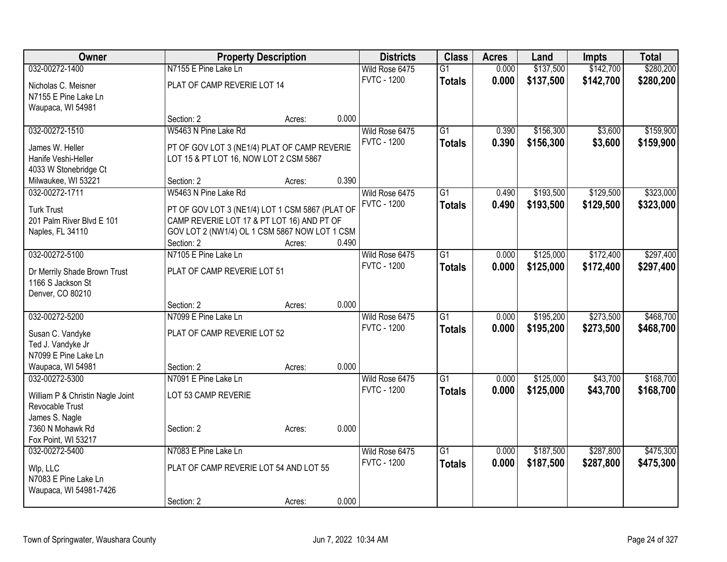| <b>Owner</b>                     |                                                 | <b>Property Description</b> |       | <b>Districts</b>   | <b>Class</b>    | <b>Acres</b> | Land      | <b>Impts</b> | <b>Total</b> |
|----------------------------------|-------------------------------------------------|-----------------------------|-------|--------------------|-----------------|--------------|-----------|--------------|--------------|
| 032-00272-1400                   | N7155 E Pine Lake Ln                            |                             |       | Wild Rose 6475     | $\overline{G1}$ | 0.000        | \$137,500 | \$142,700    | \$280,200    |
| Nicholas C. Meisner              | PLAT OF CAMP REVERIE LOT 14                     |                             |       | <b>FVTC - 1200</b> | <b>Totals</b>   | 0.000        | \$137,500 | \$142,700    | \$280,200    |
| N7155 E Pine Lake Ln             |                                                 |                             |       |                    |                 |              |           |              |              |
| Waupaca, WI 54981                |                                                 |                             |       |                    |                 |              |           |              |              |
|                                  | Section: 2                                      | Acres:                      | 0.000 |                    |                 |              |           |              |              |
| 032-00272-1510                   | W5463 N Pine Lake Rd                            |                             |       | Wild Rose 6475     | $\overline{G1}$ | 0.390        | \$156,300 | \$3,600      | \$159,900    |
| James W. Heller                  | PT OF GOV LOT 3 (NE1/4) PLAT OF CAMP REVERIE    |                             |       | <b>FVTC - 1200</b> | <b>Totals</b>   | 0.390        | \$156,300 | \$3,600      | \$159,900    |
| Hanife Veshi-Heller              | LOT 15 & PT LOT 16, NOW LOT 2 CSM 5867          |                             |       |                    |                 |              |           |              |              |
| 4033 W Stonebridge Ct            |                                                 |                             |       |                    |                 |              |           |              |              |
| Milwaukee, WI 53221              | Section: 2                                      | Acres:                      | 0.390 |                    |                 |              |           |              |              |
| 032-00272-1711                   | W5463 N Pine Lake Rd                            |                             |       | Wild Rose 6475     | $\overline{G1}$ | 0.490        | \$193,500 | \$129,500    | \$323,000    |
| <b>Turk Trust</b>                | PT OF GOV LOT 3 (NE1/4) LOT 1 CSM 5867 (PLAT OF |                             |       | <b>FVTC - 1200</b> | <b>Totals</b>   | 0.490        | \$193,500 | \$129,500    | \$323,000    |
| 201 Palm River Blvd E 101        | CAMP REVERIE LOT 17 & PT LOT 16) AND PT OF      |                             |       |                    |                 |              |           |              |              |
| Naples, FL 34110                 | GOV LOT 2 (NW1/4) OL 1 CSM 5867 NOW LOT 1 CSM   |                             |       |                    |                 |              |           |              |              |
|                                  | Section: 2                                      | Acres:                      | 0.490 |                    |                 |              |           |              |              |
| 032-00272-5100                   | N7105 E Pine Lake Ln                            |                             |       | Wild Rose 6475     | $\overline{G1}$ | 0.000        | \$125,000 | \$172,400    | \$297,400    |
| Dr Merrily Shade Brown Trust     | PLAT OF CAMP REVERIE LOT 51                     |                             |       | <b>FVTC - 1200</b> | <b>Totals</b>   | 0.000        | \$125,000 | \$172,400    | \$297,400    |
| 1166 S Jackson St                |                                                 |                             |       |                    |                 |              |           |              |              |
| Denver, CO 80210                 |                                                 |                             |       |                    |                 |              |           |              |              |
|                                  | Section: 2                                      | Acres:                      | 0.000 |                    |                 |              |           |              |              |
| 032-00272-5200                   | N7099 E Pine Lake Ln                            |                             |       | Wild Rose 6475     | $\overline{G1}$ | 0.000        | \$195,200 | \$273,500    | \$468,700    |
| Susan C. Vandyke                 | PLAT OF CAMP REVERIE LOT 52                     |                             |       | <b>FVTC - 1200</b> | <b>Totals</b>   | 0.000        | \$195,200 | \$273,500    | \$468,700    |
| Ted J. Vandyke Jr                |                                                 |                             |       |                    |                 |              |           |              |              |
| N7099 E Pine Lake Ln             |                                                 |                             |       |                    |                 |              |           |              |              |
| Waupaca, WI 54981                | Section: 2                                      | Acres:                      | 0.000 |                    |                 |              |           |              |              |
| 032-00272-5300                   | N7091 E Pine Lake Ln                            |                             |       | Wild Rose 6475     | $\overline{G1}$ | 0.000        | \$125,000 | \$43,700     | \$168,700    |
| William P & Christin Nagle Joint | LOT 53 CAMP REVERIE                             |                             |       | <b>FVTC - 1200</b> | <b>Totals</b>   | 0.000        | \$125,000 | \$43,700     | \$168,700    |
| Revocable Trust                  |                                                 |                             |       |                    |                 |              |           |              |              |
| James S. Nagle                   |                                                 |                             |       |                    |                 |              |           |              |              |
| 7360 N Mohawk Rd                 | Section: 2                                      | Acres:                      | 0.000 |                    |                 |              |           |              |              |
| Fox Point, WI 53217              |                                                 |                             |       |                    |                 |              |           |              |              |
| 032-00272-5400                   | N7083 E Pine Lake Ln                            |                             |       | Wild Rose 6475     | $\overline{G1}$ | 0.000        | \$187,500 | \$287,800    | \$475,300    |
| Wlp, LLC                         | PLAT OF CAMP REVERIE LOT 54 AND LOT 55          |                             |       | <b>FVTC - 1200</b> | <b>Totals</b>   | 0.000        | \$187,500 | \$287,800    | \$475,300    |
| N7083 E Pine Lake Ln             |                                                 |                             |       |                    |                 |              |           |              |              |
| Waupaca, WI 54981-7426           |                                                 |                             |       |                    |                 |              |           |              |              |
|                                  | Section: 2                                      | Acres:                      | 0.000 |                    |                 |              |           |              |              |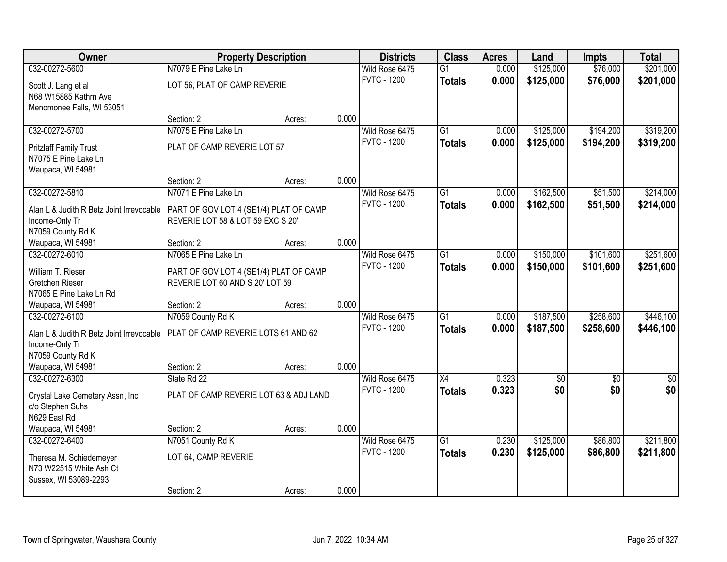| Owner                                              |                                        | <b>Property Description</b> |       | <b>Districts</b>   | <b>Class</b>    | <b>Acres</b> | Land            | <b>Impts</b> | <b>Total</b> |
|----------------------------------------------------|----------------------------------------|-----------------------------|-------|--------------------|-----------------|--------------|-----------------|--------------|--------------|
| 032-00272-5600                                     | N7079 E Pine Lake Ln                   |                             |       | Wild Rose 6475     | $\overline{G1}$ | 0.000        | \$125,000       | \$76,000     | \$201,000    |
| Scott J. Lang et al                                | LOT 56, PLAT OF CAMP REVERIE           |                             |       | <b>FVTC - 1200</b> | <b>Totals</b>   | 0.000        | \$125,000       | \$76,000     | \$201,000    |
| N68 W15885 Kathrn Ave                              |                                        |                             |       |                    |                 |              |                 |              |              |
| Menomonee Falls, WI 53051                          |                                        |                             |       |                    |                 |              |                 |              |              |
|                                                    | Section: 2                             | Acres:                      | 0.000 |                    |                 |              |                 |              |              |
| 032-00272-5700                                     | N7075 E Pine Lake Ln                   |                             |       | Wild Rose 6475     | $\overline{G1}$ | 0.000        | \$125,000       | \$194,200    | \$319,200    |
| <b>Pritzlaff Family Trust</b>                      | PLAT OF CAMP REVERIE LOT 57            |                             |       | <b>FVTC - 1200</b> | <b>Totals</b>   | 0.000        | \$125,000       | \$194,200    | \$319,200    |
| N7075 E Pine Lake Ln                               |                                        |                             |       |                    |                 |              |                 |              |              |
| Waupaca, WI 54981                                  |                                        |                             |       |                    |                 |              |                 |              |              |
|                                                    | Section: 2                             | Acres:                      | 0.000 |                    |                 |              |                 |              |              |
| 032-00272-5810                                     | N7071 E Pine Lake Ln                   |                             |       | Wild Rose 6475     | $\overline{G1}$ | 0.000        | \$162,500       | \$51,500     | \$214,000    |
| Alan L & Judith R Betz Joint Irrevocable           | PART OF GOV LOT 4 (SE1/4) PLAT OF CAMP |                             |       | <b>FVTC - 1200</b> | <b>Totals</b>   | 0.000        | \$162,500       | \$51,500     | \$214,000    |
| Income-Only Tr                                     | REVERIE LOT 58 & LOT 59 EXC S 20'      |                             |       |                    |                 |              |                 |              |              |
| N7059 County Rd K                                  |                                        |                             |       |                    |                 |              |                 |              |              |
| Waupaca, WI 54981                                  | Section: 2                             | Acres:                      | 0.000 |                    |                 |              |                 |              |              |
| 032-00272-6010                                     | N7065 E Pine Lake Ln                   |                             |       | Wild Rose 6475     | $\overline{G1}$ | 0.000        | \$150,000       | \$101,600    | \$251,600    |
|                                                    |                                        |                             |       | <b>FVTC - 1200</b> | <b>Totals</b>   | 0.000        | \$150,000       | \$101,600    | \$251,600    |
| William T. Rieser                                  | PART OF GOV LOT 4 (SE1/4) PLAT OF CAMP |                             |       |                    |                 |              |                 |              |              |
| Gretchen Rieser                                    | REVERIE LOT 60 AND S 20' LOT 59        |                             |       |                    |                 |              |                 |              |              |
| N7065 E Pine Lake Ln Rd                            |                                        |                             |       |                    |                 |              |                 |              |              |
| Waupaca, WI 54981                                  | Section: 2                             | Acres:                      | 0.000 |                    |                 |              |                 |              |              |
| 032-00272-6100                                     | N7059 County Rd K                      |                             |       | Wild Rose 6475     | $\overline{G1}$ | 0.000        | \$187,500       | \$258,600    | \$446,100    |
| Alan L & Judith R Betz Joint Irrevocable           | PLAT OF CAMP REVERIE LOTS 61 AND 62    |                             |       | <b>FVTC - 1200</b> | <b>Totals</b>   | 0.000        | \$187,500       | \$258,600    | \$446,100    |
| Income-Only Tr                                     |                                        |                             |       |                    |                 |              |                 |              |              |
| N7059 County Rd K                                  |                                        |                             |       |                    |                 |              |                 |              |              |
| Waupaca, WI 54981                                  | Section: 2                             | Acres:                      | 0.000 |                    |                 |              |                 |              |              |
| 032-00272-6300                                     | State Rd 22                            |                             |       | Wild Rose 6475     | X4              | 0.323        | $\overline{50}$ | \$0          | $\sqrt{50}$  |
| Crystal Lake Cemetery Assn, Inc                    | PLAT OF CAMP REVERIE LOT 63 & ADJ LAND |                             |       | <b>FVTC - 1200</b> | <b>Totals</b>   | 0.323        | \$0             | \$0          | \$0          |
| c/o Stephen Suhs                                   |                                        |                             |       |                    |                 |              |                 |              |              |
| N629 East Rd                                       |                                        |                             |       |                    |                 |              |                 |              |              |
| Waupaca, WI 54981                                  | Section: 2                             | Acres:                      | 0.000 |                    |                 |              |                 |              |              |
| 032-00272-6400                                     | N7051 County Rd K                      |                             |       | Wild Rose 6475     | $\overline{G1}$ | 0.230        | \$125,000       | \$86,800     | \$211,800    |
|                                                    |                                        |                             |       | <b>FVTC - 1200</b> | <b>Totals</b>   | 0.230        | \$125,000       | \$86,800     | \$211,800    |
| Theresa M. Schiedemeyer<br>N73 W22515 White Ash Ct | LOT 64, CAMP REVERIE                   |                             |       |                    |                 |              |                 |              |              |
|                                                    |                                        |                             |       |                    |                 |              |                 |              |              |
| Sussex, WI 53089-2293                              | Section: 2                             |                             | 0.000 |                    |                 |              |                 |              |              |
|                                                    |                                        | Acres:                      |       |                    |                 |              |                 |              |              |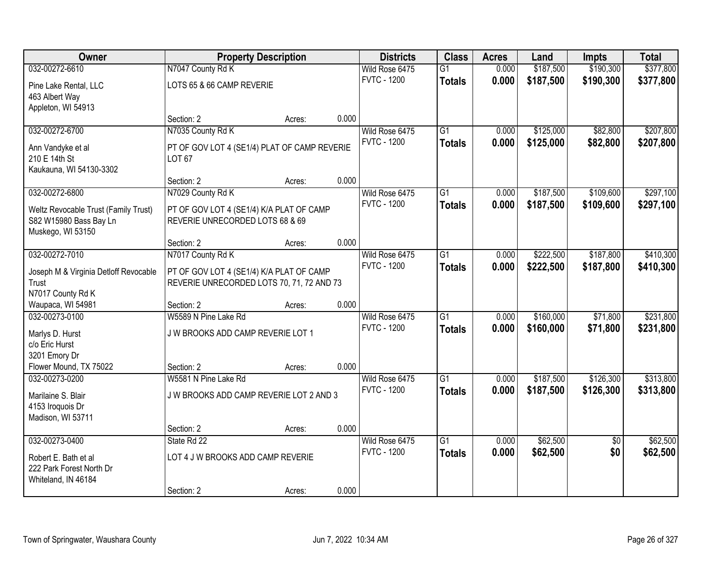| Owner                                 | <b>Property Description</b>                  |        |       | <b>Districts</b>   | <b>Class</b>    | <b>Acres</b> | Land      | <b>Impts</b>    | <b>Total</b> |
|---------------------------------------|----------------------------------------------|--------|-------|--------------------|-----------------|--------------|-----------|-----------------|--------------|
| 032-00272-6610                        | N7047 County Rd K                            |        |       | Wild Rose 6475     | $\overline{G1}$ | 0.000        | \$187,500 | \$190,300       | \$377,800    |
| Pine Lake Rental, LLC                 | LOTS 65 & 66 CAMP REVERIE                    |        |       | <b>FVTC - 1200</b> | <b>Totals</b>   | 0.000        | \$187,500 | \$190,300       | \$377,800    |
| 463 Albert Way                        |                                              |        |       |                    |                 |              |           |                 |              |
| Appleton, WI 54913                    |                                              |        |       |                    |                 |              |           |                 |              |
|                                       | Section: 2                                   | Acres: | 0.000 |                    |                 |              |           |                 |              |
| 032-00272-6700                        | N7035 County Rd K                            |        |       | Wild Rose 6475     | G1              | 0.000        | \$125,000 | \$82,800        | \$207,800    |
| Ann Vandyke et al                     | PT OF GOV LOT 4 (SE1/4) PLAT OF CAMP REVERIE |        |       | <b>FVTC - 1200</b> | <b>Totals</b>   | 0.000        | \$125,000 | \$82,800        | \$207,800    |
| 210 E 14th St                         | <b>LOT 67</b>                                |        |       |                    |                 |              |           |                 |              |
| Kaukauna, WI 54130-3302               |                                              |        |       |                    |                 |              |           |                 |              |
|                                       | Section: 2                                   | Acres: | 0.000 |                    |                 |              |           |                 |              |
| 032-00272-6800                        | N7029 County Rd K                            |        |       | Wild Rose 6475     | $\overline{G1}$ | 0.000        | \$187,500 | \$109,600       | \$297,100    |
| Weltz Revocable Trust (Family Trust)  | PT OF GOV LOT 4 (SE1/4) K/A PLAT OF CAMP     |        |       | <b>FVTC - 1200</b> | <b>Totals</b>   | 0.000        | \$187,500 | \$109,600       | \$297,100    |
| S82 W15980 Bass Bay Ln                | REVERIE UNRECORDED LOTS 68 & 69              |        |       |                    |                 |              |           |                 |              |
| Muskego, WI 53150                     |                                              |        |       |                    |                 |              |           |                 |              |
|                                       | Section: 2                                   | Acres: | 0.000 |                    |                 |              |           |                 |              |
| 032-00272-7010                        | N7017 County Rd K                            |        |       | Wild Rose 6475     | $\overline{G1}$ | 0.000        | \$222,500 | \$187,800       | \$410,300    |
| Joseph M & Virginia Detloff Revocable | PT OF GOV LOT 4 (SE1/4) K/A PLAT OF CAMP     |        |       | <b>FVTC - 1200</b> | <b>Totals</b>   | 0.000        | \$222,500 | \$187,800       | \$410,300    |
| Trust                                 | REVERIE UNRECORDED LOTS 70, 71, 72 AND 73    |        |       |                    |                 |              |           |                 |              |
| N7017 County Rd K                     |                                              |        |       |                    |                 |              |           |                 |              |
| Waupaca, WI 54981                     | Section: 2                                   | Acres: | 0.000 |                    |                 |              |           |                 |              |
| 032-00273-0100                        | W5589 N Pine Lake Rd                         |        |       | Wild Rose 6475     | $\overline{G1}$ | 0.000        | \$160,000 | \$71,800        | \$231,800    |
| Marlys D. Hurst                       | J W BROOKS ADD CAMP REVERIE LOT 1            |        |       | <b>FVTC - 1200</b> | <b>Totals</b>   | 0.000        | \$160,000 | \$71,800        | \$231,800    |
| c/o Eric Hurst                        |                                              |        |       |                    |                 |              |           |                 |              |
| 3201 Emory Dr                         |                                              |        |       |                    |                 |              |           |                 |              |
| Flower Mound, TX 75022                | Section: 2                                   | Acres: | 0.000 |                    |                 |              |           |                 |              |
| 032-00273-0200                        | W5581 N Pine Lake Rd                         |        |       | Wild Rose 6475     | G1              | 0.000        | \$187,500 | \$126,300       | \$313,800    |
| Marilaine S. Blair                    | J W BROOKS ADD CAMP REVERIE LOT 2 AND 3      |        |       | <b>FVTC - 1200</b> | <b>Totals</b>   | 0.000        | \$187,500 | \$126,300       | \$313,800    |
| 4153 Iroquois Dr                      |                                              |        |       |                    |                 |              |           |                 |              |
| Madison, WI 53711                     |                                              |        |       |                    |                 |              |           |                 |              |
|                                       | Section: 2                                   | Acres: | 0.000 |                    |                 |              |           |                 |              |
| 032-00273-0400                        | State Rd 22                                  |        |       | Wild Rose 6475     | $\overline{G1}$ | 0.000        | \$62,500  | $\overline{50}$ | \$62,500     |
| Robert E. Bath et al                  | LOT 4 J W BROOKS ADD CAMP REVERIE            |        |       | <b>FVTC - 1200</b> | <b>Totals</b>   | 0.000        | \$62,500  | \$0             | \$62,500     |
| 222 Park Forest North Dr              |                                              |        |       |                    |                 |              |           |                 |              |
| Whiteland, IN 46184                   |                                              |        |       |                    |                 |              |           |                 |              |
|                                       | Section: 2                                   | Acres: | 0.000 |                    |                 |              |           |                 |              |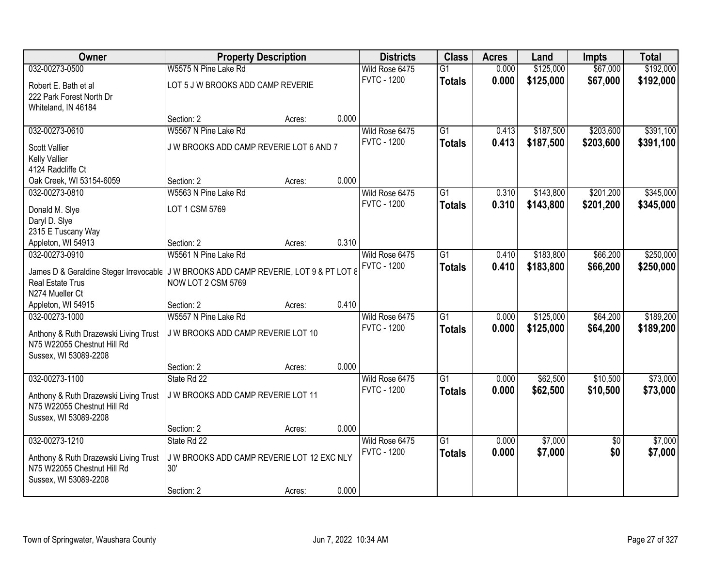| <b>Owner</b>                                                                         |                                                   | <b>Property Description</b> |       | <b>Districts</b>   | <b>Class</b>    | <b>Acres</b> | Land      | <b>Impts</b>    | <b>Total</b> |
|--------------------------------------------------------------------------------------|---------------------------------------------------|-----------------------------|-------|--------------------|-----------------|--------------|-----------|-----------------|--------------|
| 032-00273-0500                                                                       | W5575 N Pine Lake Rd                              |                             |       | Wild Rose 6475     | $\overline{G1}$ | 0.000        | \$125,000 | \$67,000        | \$192,000    |
| Robert E. Bath et al                                                                 | LOT 5 J W BROOKS ADD CAMP REVERIE                 |                             |       | <b>FVTC - 1200</b> | <b>Totals</b>   | 0.000        | \$125,000 | \$67,000        | \$192,000    |
| 222 Park Forest North Dr                                                             |                                                   |                             |       |                    |                 |              |           |                 |              |
| Whiteland, IN 46184                                                                  |                                                   |                             |       |                    |                 |              |           |                 |              |
|                                                                                      | Section: 2                                        | Acres:                      | 0.000 |                    |                 |              |           |                 |              |
| 032-00273-0610                                                                       | W5567 N Pine Lake Rd                              |                             |       | Wild Rose 6475     | $\overline{G1}$ | 0.413        | \$187,500 | \$203,600       | \$391,100    |
| <b>Scott Vallier</b>                                                                 | J W BROOKS ADD CAMP REVERIE LOT 6 AND 7           |                             |       | <b>FVTC - 1200</b> | <b>Totals</b>   | 0.413        | \$187,500 | \$203,600       | \$391,100    |
| Kelly Vallier                                                                        |                                                   |                             |       |                    |                 |              |           |                 |              |
| 4124 Radcliffe Ct                                                                    |                                                   |                             |       |                    |                 |              |           |                 |              |
| Oak Creek, WI 53154-6059                                                             | Section: 2                                        | Acres:                      | 0.000 |                    |                 |              |           |                 |              |
| 032-00273-0810                                                                       | W5563 N Pine Lake Rd                              |                             |       | Wild Rose 6475     | G1              | 0.310        | \$143,800 | \$201,200       | \$345,000    |
| Donald M. Slye                                                                       | LOT 1 CSM 5769                                    |                             |       | <b>FVTC - 1200</b> | <b>Totals</b>   | 0.310        | \$143,800 | \$201,200       | \$345,000    |
| Daryl D. Slye                                                                        |                                                   |                             |       |                    |                 |              |           |                 |              |
| 2315 E Tuscany Way                                                                   |                                                   |                             |       |                    |                 |              |           |                 |              |
| Appleton, WI 54913                                                                   | Section: 2                                        | Acres:                      | 0.310 |                    |                 |              |           |                 |              |
| 032-00273-0910                                                                       | W5561 N Pine Lake Rd                              |                             |       | Wild Rose 6475     | $\overline{G1}$ | 0.410        | \$183,800 | \$66,200        | \$250,000    |
| James D & Geraldine Steger Irrevocable J W BROOKS ADD CAMP REVERIE, LOT 9 & PT LOT 8 |                                                   |                             |       | <b>FVTC - 1200</b> | <b>Totals</b>   | 0.410        | \$183,800 | \$66,200        | \$250,000    |
| <b>Real Estate Trus</b>                                                              | NOW LOT 2 CSM 5769                                |                             |       |                    |                 |              |           |                 |              |
| N274 Mueller Ct                                                                      |                                                   |                             |       |                    |                 |              |           |                 |              |
| Appleton, WI 54915                                                                   | Section: 2                                        | Acres:                      | 0.410 |                    |                 |              |           |                 |              |
| 032-00273-1000                                                                       | W5557 N Pine Lake Rd                              |                             |       | Wild Rose 6475     | $\overline{G1}$ | 0.000        | \$125,000 | \$64,200        | \$189,200    |
| Anthony & Ruth Drazewski Living Trust                                                | J W BROOKS ADD CAMP REVERIE LOT 10                |                             |       | <b>FVTC - 1200</b> | <b>Totals</b>   | 0.000        | \$125,000 | \$64,200        | \$189,200    |
| N75 W22055 Chestnut Hill Rd                                                          |                                                   |                             |       |                    |                 |              |           |                 |              |
| Sussex, WI 53089-2208                                                                |                                                   |                             |       |                    |                 |              |           |                 |              |
|                                                                                      | Section: 2                                        | Acres:                      | 0.000 |                    |                 |              |           |                 |              |
| 032-00273-1100                                                                       | State Rd 22                                       |                             |       | Wild Rose 6475     | $\overline{G1}$ | 0.000        | \$62,500  | \$10,500        | \$73,000     |
| Anthony & Ruth Drazewski Living Trust                                                | J W BROOKS ADD CAMP REVERIE LOT 11                |                             |       | <b>FVTC - 1200</b> | <b>Totals</b>   | 0.000        | \$62,500  | \$10,500        | \$73,000     |
| N75 W22055 Chestnut Hill Rd                                                          |                                                   |                             |       |                    |                 |              |           |                 |              |
| Sussex, WI 53089-2208                                                                |                                                   |                             |       |                    |                 |              |           |                 |              |
|                                                                                      | Section: 2                                        | Acres:                      | 0.000 |                    |                 |              |           |                 |              |
| 032-00273-1210                                                                       | State Rd 22                                       |                             |       | Wild Rose 6475     | $\overline{G1}$ | 0.000        | \$7,000   | $\overline{30}$ | \$7,000      |
|                                                                                      |                                                   |                             |       | <b>FVTC - 1200</b> | <b>Totals</b>   | 0.000        | \$7,000   | \$0             | \$7,000      |
| Anthony & Ruth Drazewski Living Trust<br>N75 W22055 Chestnut Hill Rd                 | J W BROOKS ADD CAMP REVERIE LOT 12 EXC NLY<br>30' |                             |       |                    |                 |              |           |                 |              |
| Sussex, WI 53089-2208                                                                |                                                   |                             |       |                    |                 |              |           |                 |              |
|                                                                                      | Section: 2                                        | Acres:                      | 0.000 |                    |                 |              |           |                 |              |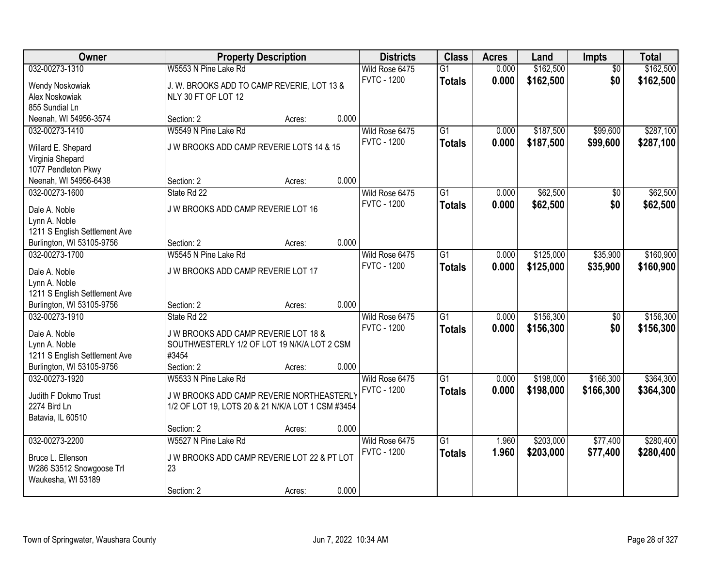| Owner                                                      |                                                   | <b>Property Description</b> |       | <b>Districts</b>   | <b>Class</b>    | <b>Acres</b> | Land      | Impts           | <b>Total</b> |
|------------------------------------------------------------|---------------------------------------------------|-----------------------------|-------|--------------------|-----------------|--------------|-----------|-----------------|--------------|
| 032-00273-1310                                             | W5553 N Pine Lake Rd                              |                             |       | Wild Rose 6475     | $\overline{G1}$ | 0.000        | \$162,500 | $\overline{50}$ | \$162,500    |
| <b>Wendy Noskowiak</b>                                     | J. W. BROOKS ADD TO CAMP REVERIE, LOT 13 &        |                             |       | <b>FVTC - 1200</b> | <b>Totals</b>   | 0.000        | \$162,500 | \$0             | \$162,500    |
| Alex Noskowiak                                             | NLY 30 FT OF LOT 12                               |                             |       |                    |                 |              |           |                 |              |
| 855 Sundial Ln                                             |                                                   |                             |       |                    |                 |              |           |                 |              |
| Neenah, WI 54956-3574                                      | Section: 2                                        | Acres:                      | 0.000 |                    |                 |              |           |                 |              |
| 032-00273-1410                                             | W5549 N Pine Lake Rd                              |                             |       | Wild Rose 6475     | $\overline{G1}$ | 0.000        | \$187,500 | \$99,600        | \$287,100    |
| Willard E. Shepard                                         | J W BROOKS ADD CAMP REVERIE LOTS 14 & 15          |                             |       | <b>FVTC - 1200</b> | <b>Totals</b>   | 0.000        | \$187,500 | \$99,600        | \$287,100    |
| Virginia Shepard                                           |                                                   |                             |       |                    |                 |              |           |                 |              |
| 1077 Pendleton Pkwy                                        |                                                   |                             |       |                    |                 |              |           |                 |              |
| Neenah, WI 54956-6438                                      | Section: 2                                        | Acres:                      | 0.000 |                    |                 |              |           |                 |              |
| 032-00273-1600                                             | State Rd 22                                       |                             |       | Wild Rose 6475     | G1              | 0.000        | \$62,500  | \$0             | \$62,500     |
|                                                            |                                                   |                             |       | <b>FVTC - 1200</b> | <b>Totals</b>   | 0.000        | \$62,500  | \$0             | \$62,500     |
| Dale A. Noble                                              | J W BROOKS ADD CAMP REVERIE LOT 16                |                             |       |                    |                 |              |           |                 |              |
| Lynn A. Noble                                              |                                                   |                             |       |                    |                 |              |           |                 |              |
| 1211 S English Settlement Ave<br>Burlington, WI 53105-9756 | Section: 2                                        | Acres:                      | 0.000 |                    |                 |              |           |                 |              |
| 032-00273-1700                                             | W5545 N Pine Lake Rd                              |                             |       | Wild Rose 6475     | G1              | 0.000        | \$125,000 | \$35,900        | \$160,900    |
|                                                            |                                                   |                             |       | <b>FVTC - 1200</b> | <b>Totals</b>   | 0.000        | \$125,000 | \$35,900        | \$160,900    |
| Dale A. Noble                                              | J W BROOKS ADD CAMP REVERIE LOT 17                |                             |       |                    |                 |              |           |                 |              |
| Lynn A. Noble                                              |                                                   |                             |       |                    |                 |              |           |                 |              |
| 1211 S English Settlement Ave                              |                                                   |                             |       |                    |                 |              |           |                 |              |
| Burlington, WI 53105-9756                                  | Section: 2                                        | Acres:                      | 0.000 |                    |                 |              |           |                 |              |
| 032-00273-1910                                             | State Rd 22                                       |                             |       | Wild Rose 6475     | $\overline{G1}$ | 0.000        | \$156,300 | $\overline{50}$ | \$156,300    |
| Dale A. Noble                                              | J W BROOKS ADD CAMP REVERIE LOT 18 &              |                             |       | <b>FVTC - 1200</b> | <b>Totals</b>   | 0.000        | \$156,300 | \$0             | \$156,300    |
| Lynn A. Noble                                              | SOUTHWESTERLY 1/2 OF LOT 19 N/K/A LOT 2 CSM       |                             |       |                    |                 |              |           |                 |              |
| 1211 S English Settlement Ave                              | #3454                                             |                             |       |                    |                 |              |           |                 |              |
| Burlington, WI 53105-9756                                  | Section: 2                                        | Acres:                      | 0.000 |                    |                 |              |           |                 |              |
| 032-00273-1920                                             | W5533 N Pine Lake Rd                              |                             |       | Wild Rose 6475     | $\overline{G1}$ | 0.000        | \$198,000 | \$166,300       | \$364,300    |
| Judith F Dokmo Trust                                       | J W BROOKS ADD CAMP REVERIE NORTHEASTERLY         |                             |       | <b>FVTC - 1200</b> | <b>Totals</b>   | 0.000        | \$198,000 | \$166,300       | \$364,300    |
| 2274 Bird Ln                                               | 1/2 OF LOT 19, LOTS 20 & 21 N/K/A LOT 1 CSM #3454 |                             |       |                    |                 |              |           |                 |              |
| Batavia, IL 60510                                          |                                                   |                             |       |                    |                 |              |           |                 |              |
|                                                            | Section: 2                                        | Acres:                      | 0.000 |                    |                 |              |           |                 |              |
| 032-00273-2200                                             | W5527 N Pine Lake Rd                              |                             |       | Wild Rose 6475     | $\overline{G1}$ | 1.960        | \$203,000 | \$77,400        | \$280,400    |
| Bruce L. Ellenson                                          | J W BROOKS ADD CAMP REVERIE LOT 22 & PT LOT       |                             |       | <b>FVTC - 1200</b> | <b>Totals</b>   | 1.960        | \$203,000 | \$77,400        | \$280,400    |
| W286 S3512 Snowgoose Trl                                   | 23                                                |                             |       |                    |                 |              |           |                 |              |
| Waukesha, WI 53189                                         |                                                   |                             |       |                    |                 |              |           |                 |              |
|                                                            | Section: 2                                        | Acres:                      | 0.000 |                    |                 |              |           |                 |              |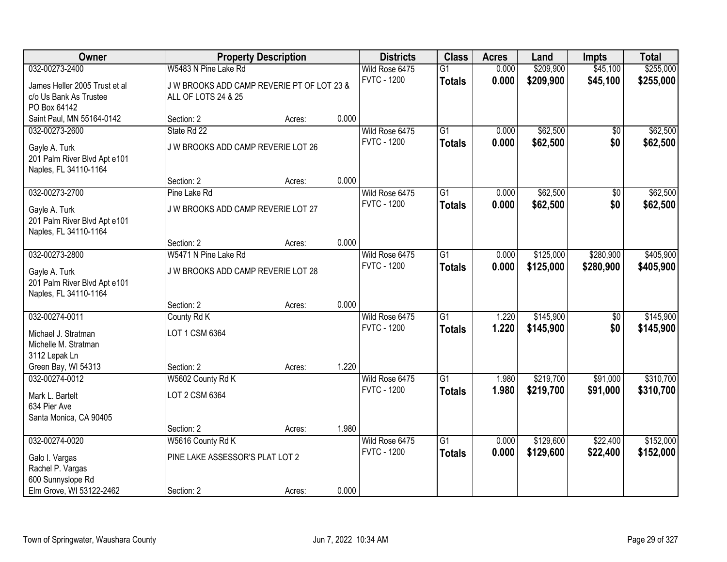| <b>Owner</b>                                  |                                            | <b>Property Description</b> |       | <b>Districts</b>                     | <b>Class</b>    | <b>Acres</b>   | Land      | <b>Impts</b> | <b>Total</b> |
|-----------------------------------------------|--------------------------------------------|-----------------------------|-------|--------------------------------------|-----------------|----------------|-----------|--------------|--------------|
| 032-00273-2400                                | W5483 N Pine Lake Rd                       |                             |       | Wild Rose 6475                       | $\overline{G1}$ | 0.000          | \$209,900 | \$45,100     | \$255,000    |
| James Heller 2005 Trust et al                 | J W BROOKS ADD CAMP REVERIE PT OF LOT 23 & |                             |       | <b>FVTC - 1200</b>                   | <b>Totals</b>   | 0.000          | \$209,900 | \$45,100     | \$255,000    |
| c/o Us Bank As Trustee                        | ALL OF LOTS 24 & 25                        |                             |       |                                      |                 |                |           |              |              |
| PO Box 64142                                  |                                            |                             |       |                                      |                 |                |           |              |              |
| Saint Paul, MN 55164-0142                     | Section: 2                                 | Acres:                      | 0.000 |                                      |                 |                |           |              |              |
| 032-00273-2600                                | State Rd 22                                |                             |       | Wild Rose 6475                       | $\overline{G1}$ | 0.000          | \$62,500  | $\sqrt{6}$   | \$62,500     |
| Gayle A. Turk                                 | J W BROOKS ADD CAMP REVERIE LOT 26         |                             |       | <b>FVTC - 1200</b>                   | <b>Totals</b>   | 0.000          | \$62,500  | \$0          | \$62,500     |
| 201 Palm River Blvd Apt e101                  |                                            |                             |       |                                      |                 |                |           |              |              |
| Naples, FL 34110-1164                         |                                            |                             |       |                                      |                 |                |           |              |              |
|                                               | Section: 2                                 | Acres:                      | 0.000 |                                      |                 |                |           |              |              |
| 032-00273-2700                                | Pine Lake Rd                               |                             |       | Wild Rose 6475                       | $\overline{G1}$ | 0.000          | \$62,500  | \$0          | \$62,500     |
| Gayle A. Turk                                 | J W BROOKS ADD CAMP REVERIE LOT 27         |                             |       | <b>FVTC - 1200</b>                   | <b>Totals</b>   | 0.000          | \$62,500  | \$0          | \$62,500     |
| 201 Palm River Blvd Apt e101                  |                                            |                             |       |                                      |                 |                |           |              |              |
| Naples, FL 34110-1164                         |                                            |                             |       |                                      |                 |                |           |              |              |
|                                               | Section: 2                                 | Acres:                      | 0.000 |                                      |                 |                |           |              |              |
| 032-00273-2800                                | W5471 N Pine Lake Rd                       |                             |       | Wild Rose 6475<br><b>FVTC - 1200</b> | $\overline{G1}$ | 0.000          | \$125,000 | \$280,900    | \$405,900    |
| Gayle A. Turk                                 | J W BROOKS ADD CAMP REVERIE LOT 28         |                             |       |                                      | <b>Totals</b>   | 0.000          | \$125,000 | \$280,900    | \$405,900    |
| 201 Palm River Blvd Apt e101                  |                                            |                             |       |                                      |                 |                |           |              |              |
| Naples, FL 34110-1164                         |                                            |                             |       |                                      |                 |                |           |              |              |
|                                               | Section: 2                                 | Acres:                      | 0.000 |                                      | $\overline{G1}$ |                |           |              |              |
| 032-00274-0011                                | County Rd K                                |                             |       | Wild Rose 6475<br><b>FVTC - 1200</b> |                 | 1.220<br>1.220 | \$145,900 | \$0<br>\$0   | \$145,900    |
| Michael J. Stratman                           | LOT 1 CSM 6364                             |                             |       |                                      | <b>Totals</b>   |                | \$145,900 |              | \$145,900    |
| Michelle M. Stratman                          |                                            |                             |       |                                      |                 |                |           |              |              |
| 3112 Lepak Ln                                 |                                            |                             |       |                                      |                 |                |           |              |              |
| Green Bay, WI 54313<br>032-00274-0012         | Section: 2<br>W5602 County Rd K            | Acres:                      | 1.220 | Wild Rose 6475                       | $\overline{G1}$ | 1.980          | \$219,700 | \$91,000     | \$310,700    |
|                                               |                                            |                             |       | <b>FVTC - 1200</b>                   | <b>Totals</b>   | 1.980          | \$219,700 | \$91,000     | \$310,700    |
| Mark L. Bartelt                               | LOT 2 CSM 6364                             |                             |       |                                      |                 |                |           |              |              |
| 634 Pier Ave                                  |                                            |                             |       |                                      |                 |                |           |              |              |
| Santa Monica, CA 90405                        |                                            |                             | 1.980 |                                      |                 |                |           |              |              |
| 032-00274-0020                                | Section: 2<br>W5616 County Rd K            | Acres:                      |       | Wild Rose 6475                       | $\overline{G1}$ | 0.000          | \$129,600 | \$22,400     | \$152,000    |
|                                               |                                            |                             |       | <b>FVTC - 1200</b>                   | <b>Totals</b>   | 0.000          | \$129,600 | \$22,400     | \$152,000    |
| Galo I. Vargas                                | PINE LAKE ASSESSOR'S PLAT LOT 2            |                             |       |                                      |                 |                |           |              |              |
| Rachel P. Vargas                              |                                            |                             |       |                                      |                 |                |           |              |              |
| 600 Sunnyslope Rd<br>Elm Grove, WI 53122-2462 | Section: 2                                 |                             | 0.000 |                                      |                 |                |           |              |              |
|                                               |                                            | Acres:                      |       |                                      |                 |                |           |              |              |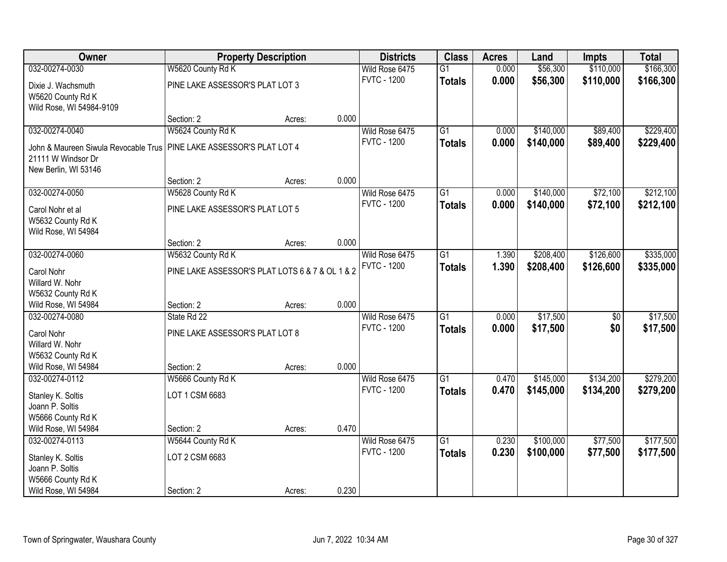| Owner                                |                                                 | <b>Property Description</b> |       | <b>Districts</b>   | <b>Class</b>    | <b>Acres</b> | Land      | Impts           | <b>Total</b> |
|--------------------------------------|-------------------------------------------------|-----------------------------|-------|--------------------|-----------------|--------------|-----------|-----------------|--------------|
| 032-00274-0030                       | W5620 County Rd K                               |                             |       | Wild Rose 6475     | $\overline{G1}$ | 0.000        | \$56,300  | \$110,000       | \$166,300    |
| Dixie J. Wachsmuth                   | PINE LAKE ASSESSOR'S PLAT LOT 3                 |                             |       | <b>FVTC - 1200</b> | <b>Totals</b>   | 0.000        | \$56,300  | \$110,000       | \$166,300    |
| W5620 County Rd K                    |                                                 |                             |       |                    |                 |              |           |                 |              |
| Wild Rose, WI 54984-9109             |                                                 |                             |       |                    |                 |              |           |                 |              |
|                                      | Section: 2                                      | Acres:                      | 0.000 |                    |                 |              |           |                 |              |
| 032-00274-0040                       | W5624 County Rd K                               |                             |       | Wild Rose 6475     | $\overline{G1}$ | 0.000        | \$140,000 | \$89,400        | \$229,400    |
| John & Maureen Siwula Revocable Trus | PINE LAKE ASSESSOR'S PLAT LOT 4                 |                             |       | <b>FVTC - 1200</b> | <b>Totals</b>   | 0.000        | \$140,000 | \$89,400        | \$229,400    |
| 21111 W Windsor Dr                   |                                                 |                             |       |                    |                 |              |           |                 |              |
| New Berlin, WI 53146                 |                                                 |                             |       |                    |                 |              |           |                 |              |
|                                      | Section: 2                                      | Acres:                      | 0.000 |                    |                 |              |           |                 |              |
| 032-00274-0050                       | W5628 County Rd K                               |                             |       | Wild Rose 6475     | G1              | 0.000        | \$140,000 | \$72,100        | \$212,100    |
| Carol Nohr et al                     | PINE LAKE ASSESSOR'S PLAT LOT 5                 |                             |       | <b>FVTC - 1200</b> | <b>Totals</b>   | 0.000        | \$140,000 | \$72,100        | \$212,100    |
| W5632 County Rd K                    |                                                 |                             |       |                    |                 |              |           |                 |              |
| Wild Rose, WI 54984                  |                                                 |                             |       |                    |                 |              |           |                 |              |
|                                      | Section: 2                                      | Acres:                      | 0.000 |                    |                 |              |           |                 |              |
| 032-00274-0060                       | W5632 County Rd K                               |                             |       | Wild Rose 6475     | $\overline{G1}$ | 1.390        | \$208,400 | \$126,600       | \$335,000    |
| Carol Nohr                           | PINE LAKE ASSESSOR'S PLAT LOTS 6 & 7 & OL 1 & 2 |                             |       | <b>FVTC - 1200</b> | <b>Totals</b>   | 1.390        | \$208,400 | \$126,600       | \$335,000    |
| Willard W. Nohr                      |                                                 |                             |       |                    |                 |              |           |                 |              |
| W5632 County Rd K                    |                                                 |                             |       |                    |                 |              |           |                 |              |
| Wild Rose, WI 54984                  | Section: 2                                      | Acres:                      | 0.000 |                    |                 |              |           |                 |              |
| 032-00274-0080                       | State Rd 22                                     |                             |       | Wild Rose 6475     | $\overline{G1}$ | 0.000        | \$17,500  | $\overline{50}$ | \$17,500     |
| Carol Nohr                           | PINE LAKE ASSESSOR'S PLAT LOT 8                 |                             |       | <b>FVTC - 1200</b> | <b>Totals</b>   | 0.000        | \$17,500  | \$0             | \$17,500     |
| Willard W. Nohr                      |                                                 |                             |       |                    |                 |              |           |                 |              |
| W5632 County Rd K                    |                                                 |                             |       |                    |                 |              |           |                 |              |
| Wild Rose, WI 54984                  | Section: 2                                      | Acres:                      | 0.000 |                    |                 |              |           |                 |              |
| 032-00274-0112                       | W5666 County Rd K                               |                             |       | Wild Rose 6475     | G1              | 0.470        | \$145,000 | \$134,200       | \$279,200    |
| Stanley K. Soltis                    | LOT 1 CSM 6683                                  |                             |       | <b>FVTC - 1200</b> | <b>Totals</b>   | 0.470        | \$145,000 | \$134,200       | \$279,200    |
| Joann P. Soltis                      |                                                 |                             |       |                    |                 |              |           |                 |              |
| W5666 County Rd K                    |                                                 |                             |       |                    |                 |              |           |                 |              |
| Wild Rose, WI 54984                  | Section: 2                                      | Acres:                      | 0.470 |                    |                 |              |           |                 |              |
| 032-00274-0113                       | W5644 County Rd K                               |                             |       | Wild Rose 6475     | $\overline{G1}$ | 0.230        | \$100,000 | \$77,500        | \$177,500    |
| Stanley K. Soltis                    | LOT 2 CSM 6683                                  |                             |       | <b>FVTC - 1200</b> | <b>Totals</b>   | 0.230        | \$100,000 | \$77,500        | \$177,500    |
| Joann P. Soltis                      |                                                 |                             |       |                    |                 |              |           |                 |              |
| W5666 County Rd K                    |                                                 |                             |       |                    |                 |              |           |                 |              |
| Wild Rose, WI 54984                  | Section: 2                                      | Acres:                      | 0.230 |                    |                 |              |           |                 |              |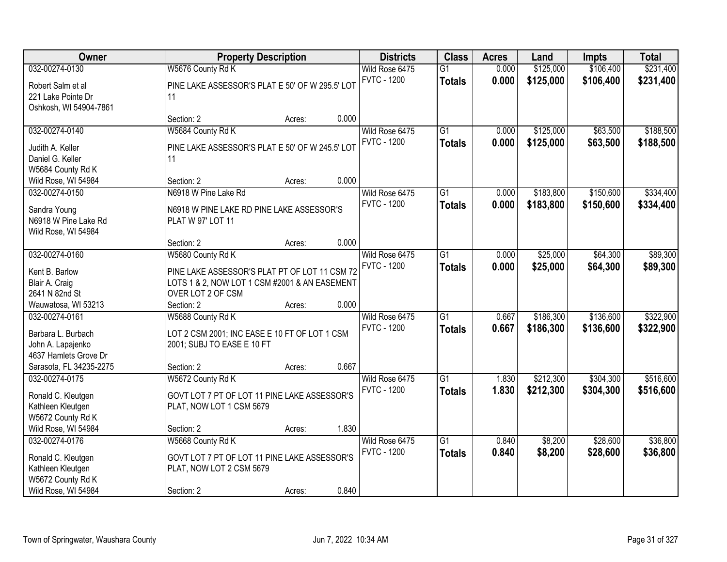| Owner                                |                                                 | <b>Property Description</b> |       | <b>Districts</b>   | <b>Class</b>    | <b>Acres</b> | Land      | <b>Impts</b> | <b>Total</b> |
|--------------------------------------|-------------------------------------------------|-----------------------------|-------|--------------------|-----------------|--------------|-----------|--------------|--------------|
| 032-00274-0130                       | W5676 County Rd K                               |                             |       | Wild Rose 6475     | $\overline{G1}$ | 0.000        | \$125,000 | \$106,400    | \$231,400    |
| Robert Salm et al                    | PINE LAKE ASSESSOR'S PLAT E 50' OF W 295.5' LOT |                             |       | <b>FVTC - 1200</b> | <b>Totals</b>   | 0.000        | \$125,000 | \$106,400    | \$231,400    |
| 221 Lake Pointe Dr                   | 11                                              |                             |       |                    |                 |              |           |              |              |
| Oshkosh, WI 54904-7861               |                                                 |                             |       |                    |                 |              |           |              |              |
|                                      | Section: 2                                      | Acres:                      | 0.000 |                    |                 |              |           |              |              |
| 032-00274-0140                       | W5684 County Rd K                               |                             |       | Wild Rose 6475     | $\overline{G1}$ | 0.000        | \$125,000 | \$63,500     | \$188,500    |
|                                      | PINE LAKE ASSESSOR'S PLAT E 50' OF W 245.5' LOT |                             |       | <b>FVTC - 1200</b> | <b>Totals</b>   | 0.000        | \$125,000 | \$63,500     | \$188,500    |
| Judith A. Keller<br>Daniel G. Keller | 11                                              |                             |       |                    |                 |              |           |              |              |
| W5684 County Rd K                    |                                                 |                             |       |                    |                 |              |           |              |              |
| Wild Rose, WI 54984                  | Section: 2                                      | Acres:                      | 0.000 |                    |                 |              |           |              |              |
| 032-00274-0150                       | N6918 W Pine Lake Rd                            |                             |       | Wild Rose 6475     | G1              | 0.000        | \$183,800 | \$150,600    | \$334,400    |
|                                      |                                                 |                             |       | <b>FVTC - 1200</b> | <b>Totals</b>   | 0.000        | \$183,800 | \$150,600    | \$334,400    |
| Sandra Young                         | N6918 W PINE LAKE RD PINE LAKE ASSESSOR'S       |                             |       |                    |                 |              |           |              |              |
| N6918 W Pine Lake Rd                 | PLAT W 97' LOT 11                               |                             |       |                    |                 |              |           |              |              |
| Wild Rose, WI 54984                  |                                                 |                             |       |                    |                 |              |           |              |              |
|                                      | Section: 2                                      | Acres:                      | 0.000 |                    |                 |              |           |              |              |
| 032-00274-0160                       | W5680 County Rd K                               |                             |       | Wild Rose 6475     | $\overline{G1}$ | 0.000        | \$25,000  | \$64,300     | \$89,300     |
| Kent B. Barlow                       | PINE LAKE ASSESSOR'S PLAT PT OF LOT 11 CSM 72   |                             |       | <b>FVTC - 1200</b> | <b>Totals</b>   | 0.000        | \$25,000  | \$64,300     | \$89,300     |
| Blair A. Craig                       | LOTS 1 & 2, NOW LOT 1 CSM #2001 & AN EASEMENT   |                             |       |                    |                 |              |           |              |              |
| 2641 N 82nd St                       | OVER LOT 2 OF CSM                               |                             |       |                    |                 |              |           |              |              |
| Wauwatosa, WI 53213                  | Section: 2                                      | Acres:                      | 0.000 |                    |                 |              |           |              |              |
| 032-00274-0161                       | W5688 County Rd K                               |                             |       | Wild Rose 6475     | $\overline{G1}$ | 0.667        | \$186,300 | \$136,600    | \$322,900    |
| Barbara L. Burbach                   | LOT 2 CSM 2001; INC EASE E 10 FT OF LOT 1 CSM   |                             |       | <b>FVTC - 1200</b> | <b>Totals</b>   | 0.667        | \$186,300 | \$136,600    | \$322,900    |
| John A. Lapajenko                    | 2001; SUBJ TO EASE E 10 FT                      |                             |       |                    |                 |              |           |              |              |
| 4637 Hamlets Grove Dr                |                                                 |                             |       |                    |                 |              |           |              |              |
| Sarasota, FL 34235-2275              | Section: 2                                      | Acres:                      | 0.667 |                    |                 |              |           |              |              |
| 032-00274-0175                       | W5672 County Rd K                               |                             |       | Wild Rose 6475     | $\overline{G1}$ | 1.830        | \$212,300 | \$304,300    | \$516,600    |
| Ronald C. Kleutgen                   | GOVT LOT 7 PT OF LOT 11 PINE LAKE ASSESSOR'S    |                             |       | <b>FVTC - 1200</b> | <b>Totals</b>   | 1.830        | \$212,300 | \$304,300    | \$516,600    |
| Kathleen Kleutgen                    | PLAT, NOW LOT 1 CSM 5679                        |                             |       |                    |                 |              |           |              |              |
| W5672 County Rd K                    |                                                 |                             |       |                    |                 |              |           |              |              |
| Wild Rose, WI 54984                  | Section: 2                                      | Acres:                      | 1.830 |                    |                 |              |           |              |              |
| 032-00274-0176                       | W5668 County Rd K                               |                             |       | Wild Rose 6475     | $\overline{G1}$ | 0.840        | \$8,200   | \$28,600     | \$36,800     |
|                                      |                                                 |                             |       | <b>FVTC - 1200</b> | <b>Totals</b>   | 0.840        | \$8,200   | \$28,600     | \$36,800     |
| Ronald C. Kleutgen                   | GOVT LOT 7 PT OF LOT 11 PINE LAKE ASSESSOR'S    |                             |       |                    |                 |              |           |              |              |
| Kathleen Kleutgen                    | PLAT, NOW LOT 2 CSM 5679                        |                             |       |                    |                 |              |           |              |              |
| W5672 County Rd K                    |                                                 |                             |       |                    |                 |              |           |              |              |
| Wild Rose, WI 54984                  | Section: 2                                      | Acres:                      | 0.840 |                    |                 |              |           |              |              |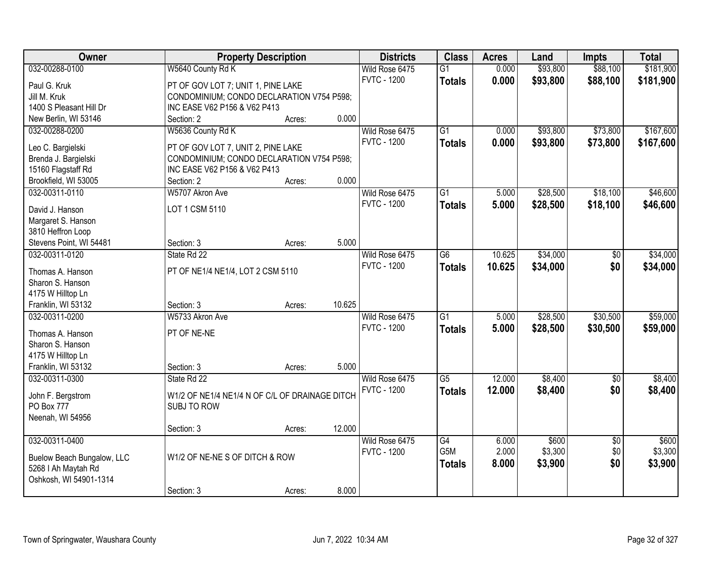| Owner                      |                                                | <b>Property Description</b> |        | <b>Districts</b>   | <b>Class</b>    | <b>Acres</b> | Land     | <b>Impts</b>    | <b>Total</b> |
|----------------------------|------------------------------------------------|-----------------------------|--------|--------------------|-----------------|--------------|----------|-----------------|--------------|
| 032-00288-0100             | W5640 County Rd K                              |                             |        | Wild Rose 6475     | $\overline{G1}$ | 0.000        | \$93,800 | \$88,100        | \$181,900    |
| Paul G. Kruk               | PT OF GOV LOT 7; UNIT 1, PINE LAKE             |                             |        | <b>FVTC - 1200</b> | <b>Totals</b>   | 0.000        | \$93,800 | \$88,100        | \$181,900    |
| Jill M. Kruk               | CONDOMINIUM; CONDO DECLARATION V754 P598;      |                             |        |                    |                 |              |          |                 |              |
| 1400 S Pleasant Hill Dr    | INC EASE V62 P156 & V62 P413                   |                             |        |                    |                 |              |          |                 |              |
| New Berlin, WI 53146       | Section: 2                                     | Acres:                      | 0.000  |                    |                 |              |          |                 |              |
| 032-00288-0200             | W5636 County Rd K                              |                             |        | Wild Rose 6475     | $\overline{G1}$ | 0.000        | \$93,800 | \$73,800        | \$167,600    |
|                            |                                                |                             |        | <b>FVTC - 1200</b> | <b>Totals</b>   | 0.000        | \$93,800 | \$73,800        | \$167,600    |
| Leo C. Bargielski          | PT OF GOV LOT 7, UNIT 2, PINE LAKE             |                             |        |                    |                 |              |          |                 |              |
| Brenda J. Bargielski       | CONDOMINIUM; CONDO DECLARATION V754 P598;      |                             |        |                    |                 |              |          |                 |              |
| 15160 Flagstaff Rd         | INC EASE V62 P156 & V62 P413                   |                             |        |                    |                 |              |          |                 |              |
| Brookfield, WI 53005       | Section: 2                                     | Acres:                      | 0.000  |                    |                 |              |          |                 |              |
| 032-00311-0110             | W5707 Akron Ave                                |                             |        | Wild Rose 6475     | G1              | 5.000        | \$28,500 | \$18,100        | \$46,600     |
| David J. Hanson            | LOT 1 CSM 5110                                 |                             |        | <b>FVTC - 1200</b> | <b>Totals</b>   | 5.000        | \$28,500 | \$18,100        | \$46,600     |
| Margaret S. Hanson         |                                                |                             |        |                    |                 |              |          |                 |              |
| 3810 Heffron Loop          |                                                |                             |        |                    |                 |              |          |                 |              |
| Stevens Point, WI 54481    | Section: 3                                     | Acres:                      | 5.000  |                    |                 |              |          |                 |              |
| 032-00311-0120             | State Rd 22                                    |                             |        | Wild Rose 6475     | $\overline{G6}$ | 10.625       | \$34,000 | $\sqrt[6]{3}$   | \$34,000     |
|                            |                                                |                             |        | <b>FVTC - 1200</b> | <b>Totals</b>   | 10.625       | \$34,000 | \$0             | \$34,000     |
| Thomas A. Hanson           | PT OF NE1/4 NE1/4, LOT 2 CSM 5110              |                             |        |                    |                 |              |          |                 |              |
| Sharon S. Hanson           |                                                |                             |        |                    |                 |              |          |                 |              |
| 4175 W Hilltop Ln          |                                                |                             |        |                    |                 |              |          |                 |              |
| Franklin, WI 53132         | Section: 3                                     | Acres:                      | 10.625 |                    |                 |              |          |                 |              |
| 032-00311-0200             | W5733 Akron Ave                                |                             |        | Wild Rose 6475     | $\overline{G1}$ | 5.000        | \$28,500 | \$30,500        | \$59,000     |
| Thomas A. Hanson           | PT OF NE-NE                                    |                             |        | <b>FVTC - 1200</b> | <b>Totals</b>   | 5.000        | \$28,500 | \$30,500        | \$59,000     |
| Sharon S. Hanson           |                                                |                             |        |                    |                 |              |          |                 |              |
| 4175 W Hilltop Ln          |                                                |                             |        |                    |                 |              |          |                 |              |
| Franklin, WI 53132         | Section: 3                                     | Acres:                      | 5.000  |                    |                 |              |          |                 |              |
| 032-00311-0300             | State Rd 22                                    |                             |        | Wild Rose 6475     | $\overline{G5}$ | 12.000       | \$8,400  | $\sqrt{6}$      | \$8,400      |
|                            |                                                |                             |        | <b>FVTC - 1200</b> | <b>Totals</b>   | 12.000       | \$8,400  | \$0             | \$8,400      |
| John F. Bergstrom          | W1/2 OF NE1/4 NE1/4 N OF C/L OF DRAINAGE DITCH |                             |        |                    |                 |              |          |                 |              |
| <b>PO Box 777</b>          | SUBJ TO ROW                                    |                             |        |                    |                 |              |          |                 |              |
| Neenah, WI 54956           |                                                |                             |        |                    |                 |              |          |                 |              |
|                            | Section: 3                                     | Acres:                      | 12.000 |                    |                 |              |          |                 |              |
| 032-00311-0400             |                                                |                             |        | Wild Rose 6475     | G4              | 6.000        | \$600    | $\overline{30}$ | \$600        |
| Buelow Beach Bungalow, LLC | W1/2 OF NE-NE S OF DITCH & ROW                 |                             |        | <b>FVTC - 1200</b> | G5M             | 2.000        | \$3,300  | \$0             | \$3,300      |
| 5268   Ah Maytah Rd        |                                                |                             |        |                    | <b>Totals</b>   | 8.000        | \$3,900  | \$0             | \$3,900      |
| Oshkosh, WI 54901-1314     |                                                |                             |        |                    |                 |              |          |                 |              |
|                            | Section: 3                                     | Acres:                      | 8.000  |                    |                 |              |          |                 |              |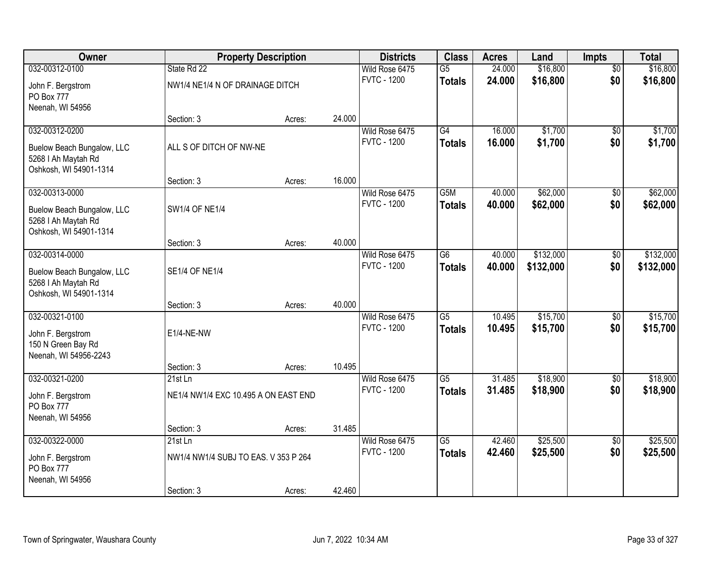| Owner                                         | <b>Property Description</b>          |        |        | <b>Districts</b>                     | <b>Class</b>     | <b>Acres</b>     | Land               | <b>Impts</b>           | <b>Total</b>         |
|-----------------------------------------------|--------------------------------------|--------|--------|--------------------------------------|------------------|------------------|--------------------|------------------------|----------------------|
| 032-00312-0100                                | State Rd 22                          |        |        | Wild Rose 6475                       | $\overline{G5}$  | 24.000           | \$16,800           | $\overline{50}$        | \$16,800             |
| John F. Bergstrom                             | NW1/4 NE1/4 N OF DRAINAGE DITCH      |        |        | <b>FVTC - 1200</b>                   | <b>Totals</b>    | 24.000           | \$16,800           | \$0                    | \$16,800             |
| PO Box 777                                    |                                      |        |        |                                      |                  |                  |                    |                        |                      |
| Neenah, WI 54956                              |                                      |        |        |                                      |                  |                  |                    |                        |                      |
|                                               | Section: 3                           | Acres: | 24.000 |                                      | $\overline{G4}$  |                  |                    |                        | \$1,700              |
| 032-00312-0200                                |                                      |        |        | Wild Rose 6475<br><b>FVTC - 1200</b> | <b>Totals</b>    | 16.000<br>16,000 | \$1,700<br>\$1,700 | $\overline{50}$<br>\$0 | \$1,700              |
| Buelow Beach Bungalow, LLC                    | ALL S OF DITCH OF NW-NE              |        |        |                                      |                  |                  |                    |                        |                      |
| 5268   Ah Maytah Rd<br>Oshkosh, WI 54901-1314 |                                      |        |        |                                      |                  |                  |                    |                        |                      |
|                                               | Section: 3                           | Acres: | 16.000 |                                      |                  |                  |                    |                        |                      |
| 032-00313-0000                                |                                      |        |        | Wild Rose 6475                       | G <sub>5</sub> M | 40.000           | \$62,000           | \$0                    | \$62,000             |
| Buelow Beach Bungalow, LLC                    | <b>SW1/4 OF NE1/4</b>                |        |        | <b>FVTC - 1200</b>                   | <b>Totals</b>    | 40.000           | \$62,000           | \$0                    | \$62,000             |
| 5268   Ah Maytah Rd                           |                                      |        |        |                                      |                  |                  |                    |                        |                      |
| Oshkosh, WI 54901-1314                        |                                      |        |        |                                      |                  |                  |                    |                        |                      |
|                                               | Section: 3                           | Acres: | 40.000 |                                      |                  |                  |                    |                        |                      |
| 032-00314-0000                                |                                      |        |        | Wild Rose 6475                       | $\overline{G6}$  | 40.000           | \$132,000          | \$0                    | \$132,000            |
| Buelow Beach Bungalow, LLC                    | <b>SE1/4 OF NE1/4</b>                |        |        | <b>FVTC - 1200</b>                   | <b>Totals</b>    | 40.000           | \$132,000          | \$0                    | \$132,000            |
| 5268   Ah Maytah Rd                           |                                      |        |        |                                      |                  |                  |                    |                        |                      |
| Oshkosh, WI 54901-1314                        |                                      |        |        |                                      |                  |                  |                    |                        |                      |
| 032-00321-0100                                | Section: 3                           | Acres: | 40.000 |                                      | $\overline{G5}$  | 10.495           | \$15,700           |                        |                      |
|                                               |                                      |        |        | Wild Rose 6475<br><b>FVTC - 1200</b> | <b>Totals</b>    | 10.495           | \$15,700           | \$0<br>\$0             | \$15,700<br>\$15,700 |
| John F. Bergstrom                             | E1/4-NE-NW                           |        |        |                                      |                  |                  |                    |                        |                      |
| 150 N Green Bay Rd<br>Neenah, WI 54956-2243   |                                      |        |        |                                      |                  |                  |                    |                        |                      |
|                                               | Section: 3                           | Acres: | 10.495 |                                      |                  |                  |                    |                        |                      |
| 032-00321-0200                                | 21st Ln                              |        |        | Wild Rose 6475                       | G5               | 31.485           | \$18,900           | $\sqrt{$0}$            | \$18,900             |
| John F. Bergstrom                             | NE1/4 NW1/4 EXC 10.495 A ON EAST END |        |        | <b>FVTC - 1200</b>                   | <b>Totals</b>    | 31.485           | \$18,900           | \$0                    | \$18,900             |
| PO Box 777                                    |                                      |        |        |                                      |                  |                  |                    |                        |                      |
| Neenah, WI 54956                              |                                      |        |        |                                      |                  |                  |                    |                        |                      |
|                                               | Section: 3                           | Acres: | 31.485 |                                      |                  |                  |                    |                        |                      |
| 032-00322-0000                                | 21st Ln                              |        |        | Wild Rose 6475                       | $\overline{G5}$  | 42.460           | \$25,500           | $\overline{30}$        | \$25,500             |
| John F. Bergstrom                             | NW1/4 NW1/4 SUBJ TO EAS. V 353 P 264 |        |        | <b>FVTC - 1200</b>                   | <b>Totals</b>    | 42.460           | \$25,500           | \$0                    | \$25,500             |
| PO Box 777                                    |                                      |        |        |                                      |                  |                  |                    |                        |                      |
| Neenah, WI 54956                              |                                      |        |        |                                      |                  |                  |                    |                        |                      |
|                                               | Section: 3                           | Acres: | 42.460 |                                      |                  |                  |                    |                        |                      |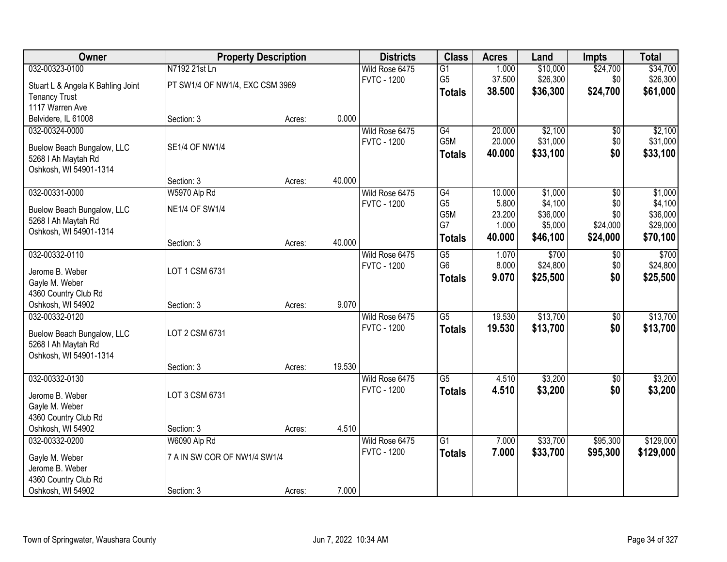| Owner                                         | <b>Property Description</b>     |        |        | <b>Districts</b>   | <b>Class</b>     | <b>Acres</b> | Land     | <b>Impts</b>    | <b>Total</b> |
|-----------------------------------------------|---------------------------------|--------|--------|--------------------|------------------|--------------|----------|-----------------|--------------|
| 032-00323-0100                                | N7192 21st Ln                   |        |        | Wild Rose 6475     | $\overline{G1}$  | 1.000        | \$10,000 | \$24,700        | \$34,700     |
| Stuart L & Angela K Bahling Joint             | PT SW1/4 OF NW1/4, EXC CSM 3969 |        |        | <b>FVTC - 1200</b> | G <sub>5</sub>   | 37.500       | \$26,300 | \$0             | \$26,300     |
| <b>Tenancy Trust</b>                          |                                 |        |        |                    | <b>Totals</b>    | 38.500       | \$36,300 | \$24,700        | \$61,000     |
| 1117 Warren Ave                               |                                 |        |        |                    |                  |              |          |                 |              |
| Belvidere, IL 61008                           | Section: 3                      | Acres: | 0.000  |                    |                  |              |          |                 |              |
| 032-00324-0000                                |                                 |        |        | Wild Rose 6475     | G4               | 20.000       | \$2,100  | \$0             | \$2,100      |
|                                               |                                 |        |        | <b>FVTC - 1200</b> | G <sub>5</sub> M | 20.000       | \$31,000 | \$0             | \$31,000     |
| Buelow Beach Bungalow, LLC                    | <b>SE1/4 OF NW1/4</b>           |        |        |                    | <b>Totals</b>    | 40.000       | \$33,100 | \$0             | \$33,100     |
| 5268   Ah Maytah Rd<br>Oshkosh, WI 54901-1314 |                                 |        |        |                    |                  |              |          |                 |              |
|                                               | Section: 3                      | Acres: | 40.000 |                    |                  |              |          |                 |              |
| 032-00331-0000                                | W5970 Alp Rd                    |        |        | Wild Rose 6475     | G4               | 10.000       | \$1,000  | \$0             | \$1,000      |
|                                               |                                 |        |        | <b>FVTC - 1200</b> | G <sub>5</sub>   | 5.800        | \$4,100  | \$0             | \$4,100      |
| Buelow Beach Bungalow, LLC                    | <b>NE1/4 OF SW1/4</b>           |        |        |                    | G <sub>5</sub> M | 23.200       | \$36,000 | \$0             | \$36,000     |
| 5268   Ah Maytah Rd                           |                                 |        |        |                    | G7               | 1.000        | \$5,000  | \$24,000        | \$29,000     |
| Oshkosh, WI 54901-1314                        |                                 |        |        |                    | <b>Totals</b>    | 40.000       | \$46,100 | \$24,000        | \$70,100     |
|                                               | Section: 3                      | Acres: | 40.000 |                    |                  |              |          |                 |              |
| 032-00332-0110                                |                                 |        |        | Wild Rose 6475     | $\overline{G5}$  | 1.070        | \$700    | \$0             | \$700        |
| Jerome B. Weber                               | LOT 1 CSM 6731                  |        |        | <b>FVTC - 1200</b> | G <sub>6</sub>   | 8.000        | \$24,800 | \$0             | \$24,800     |
| Gayle M. Weber                                |                                 |        |        |                    | <b>Totals</b>    | 9.070        | \$25,500 | \$0             | \$25,500     |
| 4360 Country Club Rd                          |                                 |        |        |                    |                  |              |          |                 |              |
| Oshkosh, WI 54902                             | Section: 3                      | Acres: | 9.070  |                    |                  |              |          |                 |              |
| 032-00332-0120                                |                                 |        |        | Wild Rose 6475     | $\overline{G5}$  | 19.530       | \$13,700 | $\overline{50}$ | \$13,700     |
| Buelow Beach Bungalow, LLC                    | LOT 2 CSM 6731                  |        |        | <b>FVTC - 1200</b> | <b>Totals</b>    | 19.530       | \$13,700 | \$0             | \$13,700     |
| 5268   Ah Maytah Rd                           |                                 |        |        |                    |                  |              |          |                 |              |
| Oshkosh, WI 54901-1314                        |                                 |        |        |                    |                  |              |          |                 |              |
|                                               | Section: 3                      | Acres: | 19.530 |                    |                  |              |          |                 |              |
| 032-00332-0130                                |                                 |        |        | Wild Rose 6475     | $\overline{G5}$  | 4.510        | \$3,200  | $\overline{50}$ | \$3,200      |
|                                               |                                 |        |        | <b>FVTC - 1200</b> | <b>Totals</b>    | 4.510        | \$3,200  | \$0             | \$3,200      |
| Jerome B. Weber                               | LOT 3 CSM 6731                  |        |        |                    |                  |              |          |                 |              |
| Gayle M. Weber<br>4360 Country Club Rd        |                                 |        |        |                    |                  |              |          |                 |              |
| Oshkosh, WI 54902                             | Section: 3                      | Acres: | 4.510  |                    |                  |              |          |                 |              |
| 032-00332-0200                                | W6090 Alp Rd                    |        |        | Wild Rose 6475     | $\overline{G1}$  | 7.000        | \$33,700 | \$95,300        | \$129,000    |
|                                               |                                 |        |        | <b>FVTC - 1200</b> | <b>Totals</b>    | 7.000        | \$33,700 | \$95,300        | \$129,000    |
| Gayle M. Weber                                | 7 A IN SW COR OF NW1/4 SW1/4    |        |        |                    |                  |              |          |                 |              |
| Jerome B. Weber                               |                                 |        |        |                    |                  |              |          |                 |              |
| 4360 Country Club Rd                          |                                 |        |        |                    |                  |              |          |                 |              |
| Oshkosh, WI 54902                             | Section: 3                      | Acres: | 7.000  |                    |                  |              |          |                 |              |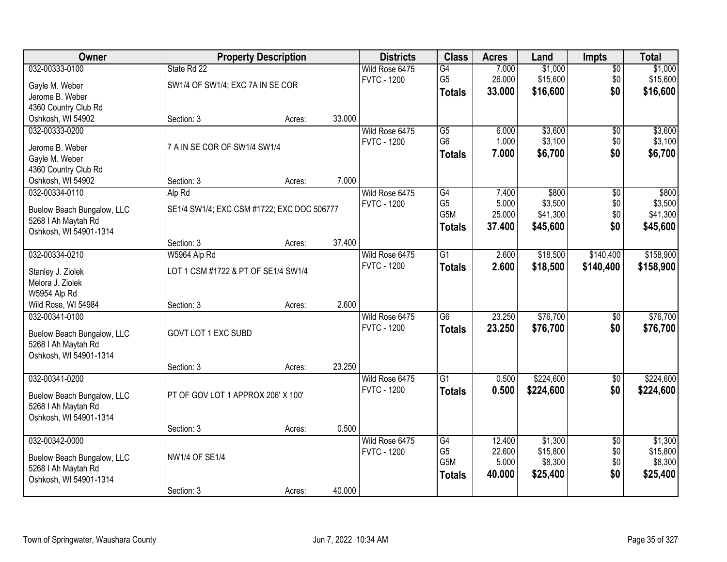| <b>Owner</b>                                  |                                            | <b>Property Description</b> |        | <b>Districts</b>                     | <b>Class</b>    | <b>Acres</b> | Land      | <b>Impts</b>    | <b>Total</b> |
|-----------------------------------------------|--------------------------------------------|-----------------------------|--------|--------------------------------------|-----------------|--------------|-----------|-----------------|--------------|
| 032-00333-0100                                | State Rd 22                                |                             |        | Wild Rose 6475                       | G4              | 7.000        | \$1,000   | $\sqrt{$0}$     | \$1,000      |
| Gayle M. Weber                                | SW1/4 OF SW1/4; EXC 7A IN SE COR           |                             |        | <b>FVTC - 1200</b>                   | G <sub>5</sub>  | 26.000       | \$15,600  | \$0             | \$15,600     |
| Jerome B. Weber                               |                                            |                             |        |                                      | <b>Totals</b>   | 33.000       | \$16,600  | \$0             | \$16,600     |
| 4360 Country Club Rd                          |                                            |                             |        |                                      |                 |              |           |                 |              |
| Oshkosh, WI 54902                             | Section: 3                                 | Acres:                      | 33.000 |                                      |                 |              |           |                 |              |
| 032-00333-0200                                |                                            |                             |        | Wild Rose 6475                       | $\overline{G5}$ | 6.000        | \$3,600   | \$0             | \$3,600      |
|                                               | 7 A IN SE COR OF SW1/4 SW1/4               |                             |        | <b>FVTC - 1200</b>                   | G <sub>6</sub>  | 1.000        | \$3,100   | \$0             | \$3,100      |
| Jerome B. Weber<br>Gayle M. Weber             |                                            |                             |        |                                      | <b>Totals</b>   | 7.000        | \$6,700   | \$0             | \$6,700      |
| 4360 Country Club Rd                          |                                            |                             |        |                                      |                 |              |           |                 |              |
| Oshkosh, WI 54902                             | Section: 3                                 | Acres:                      | 7.000  |                                      |                 |              |           |                 |              |
| 032-00334-0110                                | Alp Rd                                     |                             |        | Wild Rose 6475                       | G4              | 7.400        | \$800     | \$0             | \$800        |
|                                               |                                            |                             |        | <b>FVTC - 1200</b>                   | G <sub>5</sub>  | 5.000        | \$3,500   | \$0             | \$3,500      |
| Buelow Beach Bungalow, LLC                    | SE1/4 SW1/4; EXC CSM #1722; EXC DOC 506777 |                             |        |                                      | G5M             | 25.000       | \$41,300  | \$0             | \$41,300     |
| 5268   Ah Maytah Rd                           |                                            |                             |        |                                      | <b>Totals</b>   | 37.400       | \$45,600  | \$0             | \$45,600     |
| Oshkosh, WI 54901-1314                        |                                            |                             |        |                                      |                 |              |           |                 |              |
|                                               | Section: 3                                 | Acres:                      | 37.400 |                                      | $\overline{G1}$ |              |           |                 |              |
| 032-00334-0210                                | W5964 Alp Rd                               |                             |        | Wild Rose 6475<br><b>FVTC - 1200</b> |                 | 2.600        | \$18,500  | \$140,400       | \$158,900    |
| Stanley J. Ziolek                             | LOT 1 CSM #1722 & PT OF SE1/4 SW1/4        |                             |        |                                      | <b>Totals</b>   | 2.600        | \$18,500  | \$140,400       | \$158,900    |
| Melora J. Ziolek                              |                                            |                             |        |                                      |                 |              |           |                 |              |
| W5954 Alp Rd                                  |                                            |                             |        |                                      |                 |              |           |                 |              |
| Wild Rose, WI 54984                           | Section: 3                                 | Acres:                      | 2.600  |                                      |                 |              |           |                 |              |
| 032-00341-0100                                |                                            |                             |        | Wild Rose 6475                       | $\overline{G6}$ | 23.250       | \$76,700  | $\overline{50}$ | \$76,700     |
| Buelow Beach Bungalow, LLC                    | GOVT LOT 1 EXC SUBD                        |                             |        | <b>FVTC - 1200</b>                   | <b>Totals</b>   | 23.250       | \$76,700  | \$0             | \$76,700     |
| 5268   Ah Maytah Rd                           |                                            |                             |        |                                      |                 |              |           |                 |              |
| Oshkosh, WI 54901-1314                        |                                            |                             |        |                                      |                 |              |           |                 |              |
|                                               | Section: 3                                 | Acres:                      | 23.250 |                                      |                 |              |           |                 |              |
| 032-00341-0200                                |                                            |                             |        | Wild Rose 6475                       | $\overline{G1}$ | 0.500        | \$224,600 | $\sqrt{6}$      | \$224,600    |
| Buelow Beach Bungalow, LLC                    | PT OF GOV LOT 1 APPROX 206' X 100'         |                             |        | <b>FVTC - 1200</b>                   | <b>Totals</b>   | 0.500        | \$224,600 | \$0             | \$224,600    |
| 5268   Ah Maytah Rd                           |                                            |                             |        |                                      |                 |              |           |                 |              |
| Oshkosh, WI 54901-1314                        |                                            |                             |        |                                      |                 |              |           |                 |              |
|                                               | Section: 3                                 | Acres:                      | 0.500  |                                      |                 |              |           |                 |              |
| 032-00342-0000                                |                                            |                             |        | Wild Rose 6475                       | G4              | 12.400       | \$1,300   | $\overline{50}$ | \$1,300      |
|                                               |                                            |                             |        | <b>FVTC - 1200</b>                   | G <sub>5</sub>  | 22.600       | \$15,800  | \$0             | \$15,800     |
| Buelow Beach Bungalow, LLC                    | NW1/4 OF SE1/4                             |                             |        |                                      | G5M             | 5.000        | \$8,300   | \$0             | \$8,300      |
| 5268   Ah Maytah Rd<br>Oshkosh, WI 54901-1314 |                                            |                             |        |                                      | <b>Totals</b>   | 40.000       | \$25,400  | \$0             | \$25,400     |
|                                               | Section: 3                                 | Acres:                      | 40.000 |                                      |                 |              |           |                 |              |
|                                               |                                            |                             |        |                                      |                 |              |           |                 |              |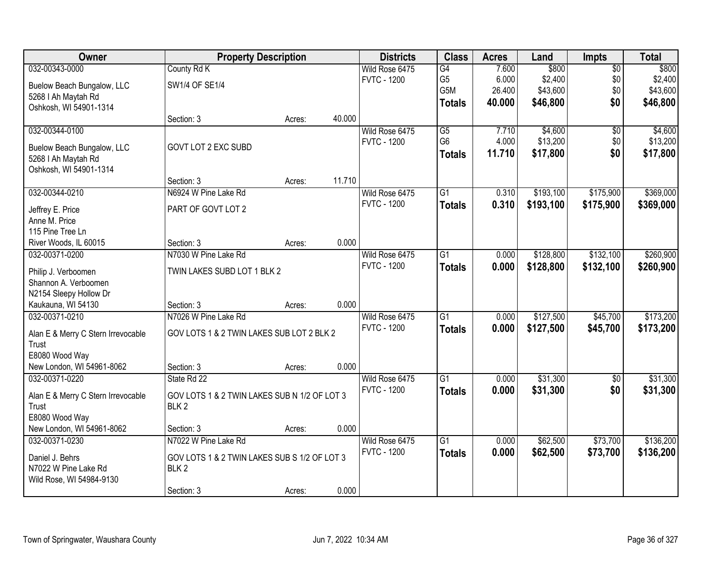| Owner                                         | <b>Property Description</b>                  |        |        | <b>Districts</b>   | <b>Class</b>     | <b>Acres</b> | Land      | <b>Impts</b>    | <b>Total</b> |
|-----------------------------------------------|----------------------------------------------|--------|--------|--------------------|------------------|--------------|-----------|-----------------|--------------|
| 032-00343-0000                                | County Rd K                                  |        |        | Wild Rose 6475     | G4               | 7.600        | \$800     | $\overline{50}$ | \$800        |
| Buelow Beach Bungalow, LLC                    | SW1/4 OF SE1/4                               |        |        | <b>FVTC - 1200</b> | G <sub>5</sub>   | 6.000        | \$2,400   | \$0             | \$2,400      |
| 5268   Ah Maytah Rd                           |                                              |        |        |                    | G <sub>5</sub> M | 26.400       | \$43,600  | \$0             | \$43,600     |
| Oshkosh, WI 54901-1314                        |                                              |        |        |                    | <b>Totals</b>    | 40.000       | \$46,800  | \$0             | \$46,800     |
|                                               | Section: 3                                   | Acres: | 40.000 |                    |                  |              |           |                 |              |
| 032-00344-0100                                |                                              |        |        | Wild Rose 6475     | $\overline{G5}$  | 7.710        | \$4,600   | $\overline{50}$ | \$4,600      |
|                                               |                                              |        |        | <b>FVTC - 1200</b> | G <sub>6</sub>   | 4.000        | \$13,200  | \$0             | \$13,200     |
| Buelow Beach Bungalow, LLC                    | GOVT LOT 2 EXC SUBD                          |        |        |                    | <b>Totals</b>    | 11.710       | \$17,800  | \$0             | \$17,800     |
| 5268   Ah Maytah Rd<br>Oshkosh, WI 54901-1314 |                                              |        |        |                    |                  |              |           |                 |              |
|                                               | Section: 3                                   | Acres: | 11.710 |                    |                  |              |           |                 |              |
| 032-00344-0210                                | N6924 W Pine Lake Rd                         |        |        | Wild Rose 6475     | G1               | 0.310        | \$193,100 | \$175,900       | \$369,000    |
|                                               |                                              |        |        | <b>FVTC - 1200</b> |                  | 0.310        | \$193,100 | \$175,900       | \$369,000    |
| Jeffrey E. Price                              | PART OF GOVT LOT 2                           |        |        |                    | <b>Totals</b>    |              |           |                 |              |
| Anne M. Price                                 |                                              |        |        |                    |                  |              |           |                 |              |
| 115 Pine Tree Ln                              |                                              |        |        |                    |                  |              |           |                 |              |
| River Woods, IL 60015                         | Section: 3                                   | Acres: | 0.000  |                    |                  |              |           |                 |              |
| 032-00371-0200                                | N7030 W Pine Lake Rd                         |        |        | Wild Rose 6475     | $\overline{G1}$  | 0.000        | \$128,800 | \$132,100       | \$260,900    |
| Philip J. Verboomen                           | TWIN LAKES SUBD LOT 1 BLK 2                  |        |        | <b>FVTC - 1200</b> | <b>Totals</b>    | 0.000        | \$128,800 | \$132,100       | \$260,900    |
| Shannon A. Verboomen                          |                                              |        |        |                    |                  |              |           |                 |              |
| N2154 Sleepy Hollow Dr                        |                                              |        |        |                    |                  |              |           |                 |              |
| Kaukauna, WI 54130                            | Section: 3                                   | Acres: | 0.000  |                    |                  |              |           |                 |              |
| 032-00371-0210                                | N7026 W Pine Lake Rd                         |        |        | Wild Rose 6475     | $\overline{G1}$  | 0.000        | \$127,500 | \$45,700        | \$173,200    |
|                                               | GOV LOTS 1 & 2 TWIN LAKES SUB LOT 2 BLK 2    |        |        | <b>FVTC - 1200</b> | <b>Totals</b>    | 0.000        | \$127,500 | \$45,700        | \$173,200    |
| Alan E & Merry C Stern Irrevocable<br>Trust   |                                              |        |        |                    |                  |              |           |                 |              |
| E8080 Wood Way                                |                                              |        |        |                    |                  |              |           |                 |              |
| New London, WI 54961-8062                     | Section: 3                                   | Acres: | 0.000  |                    |                  |              |           |                 |              |
| 032-00371-0220                                | State Rd 22                                  |        |        | Wild Rose 6475     | $\overline{G1}$  | 0.000        | \$31,300  | $\overline{60}$ | \$31,300     |
|                                               |                                              |        |        | <b>FVTC - 1200</b> | <b>Totals</b>    | 0.000        | \$31,300  | \$0             | \$31,300     |
| Alan E & Merry C Stern Irrevocable            | GOV LOTS 1 & 2 TWIN LAKES SUB N 1/2 OF LOT 3 |        |        |                    |                  |              |           |                 |              |
| Trust                                         | BLK <sub>2</sub>                             |        |        |                    |                  |              |           |                 |              |
| E8080 Wood Way                                |                                              |        |        |                    |                  |              |           |                 |              |
| New London, WI 54961-8062                     | Section: 3                                   | Acres: | 0.000  |                    |                  |              |           |                 |              |
| 032-00371-0230                                | N7022 W Pine Lake Rd                         |        |        | Wild Rose 6475     | $\overline{G1}$  | 0.000        | \$62,500  | \$73,700        | \$136,200    |
| Daniel J. Behrs                               | GOV LOTS 1 & 2 TWIN LAKES SUB S 1/2 OF LOT 3 |        |        | <b>FVTC - 1200</b> | <b>Totals</b>    | 0.000        | \$62,500  | \$73,700        | \$136,200    |
| N7022 W Pine Lake Rd                          | BLK <sub>2</sub>                             |        |        |                    |                  |              |           |                 |              |
| Wild Rose, WI 54984-9130                      |                                              |        |        |                    |                  |              |           |                 |              |
|                                               | Section: 3                                   | Acres: | 0.000  |                    |                  |              |           |                 |              |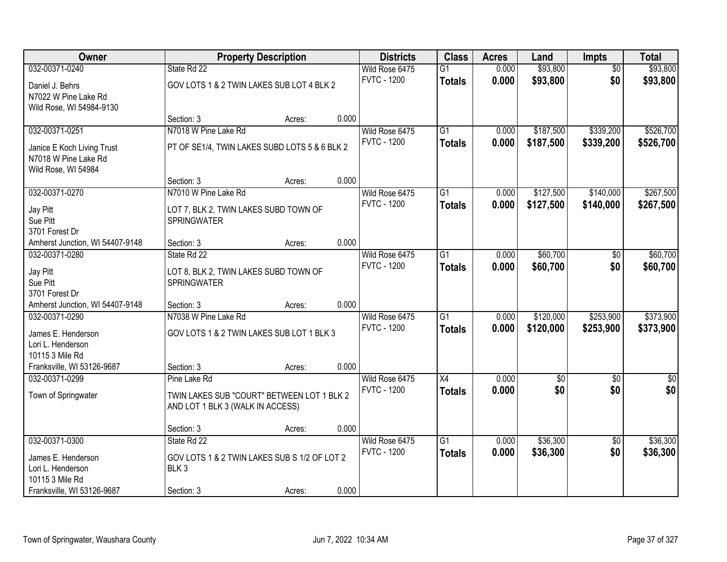| Owner                           |                                               | <b>Property Description</b> |       | <b>Districts</b>   | <b>Class</b>    | <b>Acres</b> | Land            | <b>Impts</b>    | <b>Total</b> |
|---------------------------------|-----------------------------------------------|-----------------------------|-------|--------------------|-----------------|--------------|-----------------|-----------------|--------------|
| 032-00371-0240                  | State Rd 22                                   |                             |       | Wild Rose 6475     | $\overline{G1}$ | 0.000        | \$93,800        | \$0             | \$93,800     |
| Daniel J. Behrs                 | GOV LOTS 1 & 2 TWIN LAKES SUB LOT 4 BLK 2     |                             |       | <b>FVTC - 1200</b> | <b>Totals</b>   | 0.000        | \$93,800        | \$0             | \$93,800     |
| N7022 W Pine Lake Rd            |                                               |                             |       |                    |                 |              |                 |                 |              |
| Wild Rose, WI 54984-9130        |                                               |                             |       |                    |                 |              |                 |                 |              |
|                                 | Section: 3                                    | Acres:                      | 0.000 |                    |                 |              |                 |                 |              |
| 032-00371-0251                  | N7018 W Pine Lake Rd                          |                             |       | Wild Rose 6475     | $\overline{G1}$ | 0.000        | \$187,500       | \$339,200       | \$526,700    |
| Janice E Koch Living Trust      | PT OF SE1/4, TWIN LAKES SUBD LOTS 5 & 6 BLK 2 |                             |       | <b>FVTC - 1200</b> | <b>Totals</b>   | 0.000        | \$187,500       | \$339,200       | \$526,700    |
| N7018 W Pine Lake Rd            |                                               |                             |       |                    |                 |              |                 |                 |              |
| Wild Rose, WI 54984             |                                               |                             |       |                    |                 |              |                 |                 |              |
|                                 | Section: 3                                    | Acres:                      | 0.000 |                    |                 |              |                 |                 |              |
| 032-00371-0270                  | N7010 W Pine Lake Rd                          |                             |       | Wild Rose 6475     | $\overline{G1}$ | 0.000        | \$127,500       | \$140,000       | \$267,500    |
| Jay Pitt                        | LOT 7, BLK 2, TWIN LAKES SUBD TOWN OF         |                             |       | <b>FVTC - 1200</b> | <b>Totals</b>   | 0.000        | \$127,500       | \$140,000       | \$267,500    |
| Sue Pitt                        | <b>SPRINGWATER</b>                            |                             |       |                    |                 |              |                 |                 |              |
| 3701 Forest Dr                  |                                               |                             |       |                    |                 |              |                 |                 |              |
| Amherst Junction, WI 54407-9148 | Section: 3                                    | Acres:                      | 0.000 |                    |                 |              |                 |                 |              |
| 032-00371-0280                  | State Rd 22                                   |                             |       | Wild Rose 6475     | G1              | 0.000        | \$60,700        | \$0             | \$60,700     |
| Jay Pitt                        | LOT 8, BLK 2, TWIN LAKES SUBD TOWN OF         |                             |       | <b>FVTC - 1200</b> | <b>Totals</b>   | 0.000        | \$60,700        | \$0             | \$60,700     |
| Sue Pitt                        | <b>SPRINGWATER</b>                            |                             |       |                    |                 |              |                 |                 |              |
| 3701 Forest Dr                  |                                               |                             |       |                    |                 |              |                 |                 |              |
| Amherst Junction, WI 54407-9148 | Section: 3                                    | Acres:                      | 0.000 |                    |                 |              |                 |                 |              |
| 032-00371-0290                  | N7038 W Pine Lake Rd                          |                             |       | Wild Rose 6475     | $\overline{G1}$ | 0.000        | \$120,000       | \$253,900       | \$373,900    |
| James E. Henderson              | GOV LOTS 1 & 2 TWIN LAKES SUB LOT 1 BLK 3     |                             |       | <b>FVTC - 1200</b> | <b>Totals</b>   | 0.000        | \$120,000       | \$253,900       | \$373,900    |
| Lori L. Henderson               |                                               |                             |       |                    |                 |              |                 |                 |              |
| 10115 3 Mile Rd                 |                                               |                             |       |                    |                 |              |                 |                 |              |
| Franksville, WI 53126-9687      | Section: 3                                    | Acres:                      | 0.000 |                    |                 |              |                 |                 |              |
| 032-00371-0299                  | Pine Lake Rd                                  |                             |       | Wild Rose 6475     | X4              | 0.000        | $\overline{50}$ | $\overline{50}$ | $\sqrt{30}$  |
| Town of Springwater             | TWIN LAKES SUB "COURT" BETWEEN LOT 1 BLK 2    |                             |       | <b>FVTC - 1200</b> | <b>Totals</b>   | 0.000        | \$0             | \$0             | \$0          |
|                                 | AND LOT 1 BLK 3 (WALK IN ACCESS)              |                             |       |                    |                 |              |                 |                 |              |
|                                 |                                               |                             |       |                    |                 |              |                 |                 |              |
|                                 | Section: 3                                    | Acres:                      | 0.000 |                    |                 |              |                 |                 |              |
| 032-00371-0300                  | State Rd 22                                   |                             |       | Wild Rose 6475     | $\overline{G1}$ | 0.000        | \$36,300        | $\overline{50}$ | \$36,300     |
| James E. Henderson              | GOV LOTS 1 & 2 TWIN LAKES SUB S 1/2 OF LOT 2  |                             |       | <b>FVTC - 1200</b> | <b>Totals</b>   | 0.000        | \$36,300        | \$0             | \$36,300     |
| Lori L. Henderson               | BLK <sub>3</sub>                              |                             |       |                    |                 |              |                 |                 |              |
| 10115 3 Mile Rd                 |                                               |                             |       |                    |                 |              |                 |                 |              |
| Franksville, WI 53126-9687      | Section: 3                                    | Acres:                      | 0.000 |                    |                 |              |                 |                 |              |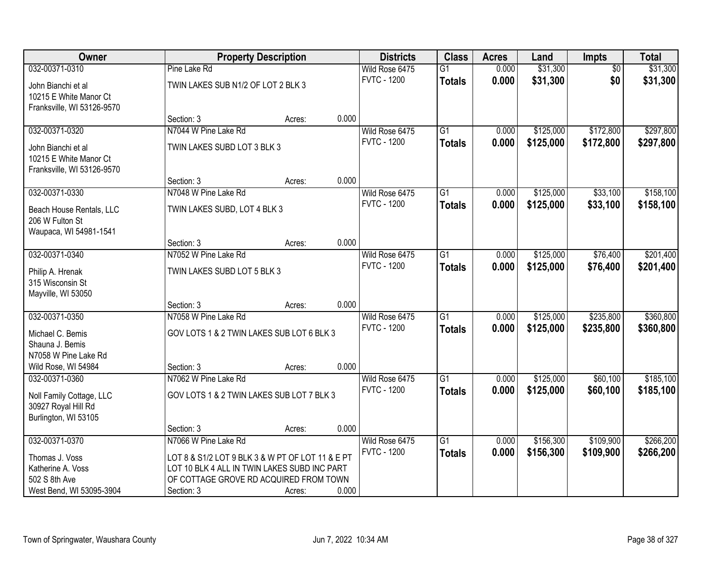| Owner                      |                                                  | <b>Property Description</b> |       | <b>Districts</b>   | <b>Class</b>    | <b>Acres</b> | Land      | <b>Impts</b>    | <b>Total</b> |
|----------------------------|--------------------------------------------------|-----------------------------|-------|--------------------|-----------------|--------------|-----------|-----------------|--------------|
| 032-00371-0310             | Pine Lake Rd                                     |                             |       | Wild Rose 6475     | $\overline{G1}$ | 0.000        | \$31,300  | $\overline{50}$ | \$31,300     |
| John Bianchi et al         | TWIN LAKES SUB N1/2 OF LOT 2 BLK 3               |                             |       | <b>FVTC - 1200</b> | <b>Totals</b>   | 0.000        | \$31,300  | \$0             | \$31,300     |
| 10215 E White Manor Ct     |                                                  |                             |       |                    |                 |              |           |                 |              |
| Franksville, WI 53126-9570 |                                                  |                             |       |                    |                 |              |           |                 |              |
|                            | Section: 3                                       | Acres:                      | 0.000 |                    |                 |              |           |                 |              |
| 032-00371-0320             | N7044 W Pine Lake Rd                             |                             |       | Wild Rose 6475     | $\overline{G1}$ | 0.000        | \$125,000 | \$172,800       | \$297,800    |
| John Bianchi et al         | TWIN LAKES SUBD LOT 3 BLK 3                      |                             |       | <b>FVTC - 1200</b> | <b>Totals</b>   | 0.000        | \$125,000 | \$172,800       | \$297,800    |
| 10215 E White Manor Ct     |                                                  |                             |       |                    |                 |              |           |                 |              |
| Franksville, WI 53126-9570 |                                                  |                             |       |                    |                 |              |           |                 |              |
|                            | Section: 3                                       | Acres:                      | 0.000 |                    |                 |              |           |                 |              |
| 032-00371-0330             | N7048 W Pine Lake Rd                             |                             |       | Wild Rose 6475     | G1              | 0.000        | \$125,000 | \$33,100        | \$158,100    |
| Beach House Rentals, LLC   | TWIN LAKES SUBD, LOT 4 BLK 3                     |                             |       | <b>FVTC - 1200</b> | <b>Totals</b>   | 0.000        | \$125,000 | \$33,100        | \$158,100    |
| 206 W Fulton St            |                                                  |                             |       |                    |                 |              |           |                 |              |
| Waupaca, WI 54981-1541     |                                                  |                             |       |                    |                 |              |           |                 |              |
|                            | Section: 3                                       | Acres:                      | 0.000 |                    |                 |              |           |                 |              |
| 032-00371-0340             | N7052 W Pine Lake Rd                             |                             |       | Wild Rose 6475     | $\overline{G1}$ | 0.000        | \$125,000 | \$76,400        | \$201,400    |
| Philip A. Hrenak           | TWIN LAKES SUBD LOT 5 BLK 3                      |                             |       | <b>FVTC - 1200</b> | <b>Totals</b>   | 0.000        | \$125,000 | \$76,400        | \$201,400    |
| 315 Wisconsin St           |                                                  |                             |       |                    |                 |              |           |                 |              |
| Mayville, WI 53050         |                                                  |                             |       |                    |                 |              |           |                 |              |
|                            | Section: 3                                       | Acres:                      | 0.000 |                    |                 |              |           |                 |              |
| 032-00371-0350             | N7058 W Pine Lake Rd                             |                             |       | Wild Rose 6475     | $\overline{G1}$ | 0.000        | \$125,000 | \$235,800       | \$360,800    |
| Michael C. Bemis           | GOV LOTS 1 & 2 TWIN LAKES SUB LOT 6 BLK 3        |                             |       | <b>FVTC - 1200</b> | <b>Totals</b>   | 0.000        | \$125,000 | \$235,800       | \$360,800    |
| Shauna J. Bemis            |                                                  |                             |       |                    |                 |              |           |                 |              |
| N7058 W Pine Lake Rd       |                                                  |                             |       |                    |                 |              |           |                 |              |
| Wild Rose, WI 54984        | Section: 3                                       | Acres:                      | 0.000 |                    |                 |              |           |                 |              |
| 032-00371-0360             | N7062 W Pine Lake Rd                             |                             |       | Wild Rose 6475     | $\overline{G1}$ | 0.000        | \$125,000 | \$60,100        | \$185,100    |
| Noll Family Cottage, LLC   | GOV LOTS 1 & 2 TWIN LAKES SUB LOT 7 BLK 3        |                             |       | <b>FVTC - 1200</b> | <b>Totals</b>   | 0.000        | \$125,000 | \$60,100        | \$185,100    |
| 30927 Royal Hill Rd        |                                                  |                             |       |                    |                 |              |           |                 |              |
| Burlington, WI 53105       |                                                  |                             |       |                    |                 |              |           |                 |              |
|                            | Section: 3                                       | Acres:                      | 0.000 |                    |                 |              |           |                 |              |
| 032-00371-0370             | N7066 W Pine Lake Rd                             |                             |       | Wild Rose 6475     | $\overline{G1}$ | 0.000        | \$156,300 | \$109,900       | \$266,200    |
| Thomas J. Voss             | LOT 8 & S1/2 LOT 9 BLK 3 & W PT OF LOT 11 & E PT |                             |       | <b>FVTC - 1200</b> | <b>Totals</b>   | 0.000        | \$156,300 | \$109,900       | \$266,200    |
| Katherine A. Voss          | LOT 10 BLK 4 ALL IN TWIN LAKES SUBD INC PART     |                             |       |                    |                 |              |           |                 |              |
| 502 S 8th Ave              | OF COTTAGE GROVE RD ACQUIRED FROM TOWN           |                             |       |                    |                 |              |           |                 |              |
| West Bend, WI 53095-3904   | Section: 3                                       | Acres:                      | 0.000 |                    |                 |              |           |                 |              |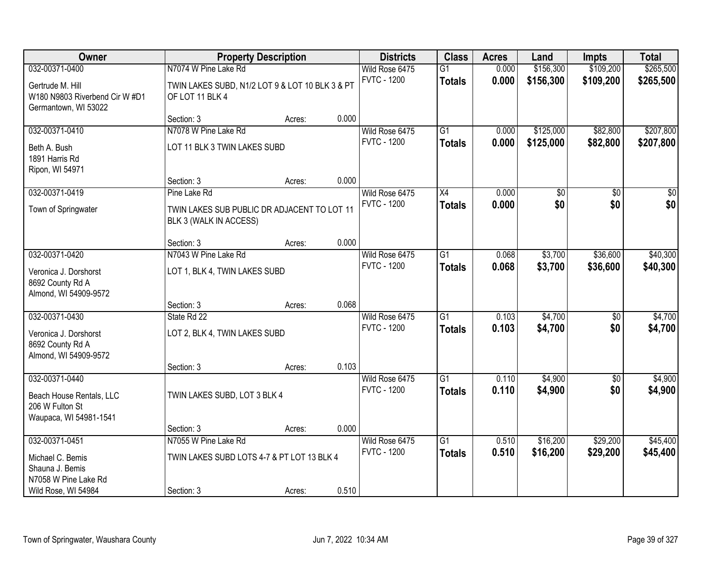| Owner                                                                      |                                                                       | <b>Property Description</b> |       | <b>Districts</b>   | <b>Class</b>    | <b>Acres</b> | Land      | <b>Impts</b>    | <b>Total</b> |
|----------------------------------------------------------------------------|-----------------------------------------------------------------------|-----------------------------|-------|--------------------|-----------------|--------------|-----------|-----------------|--------------|
| 032-00371-0400                                                             | N7074 W Pine Lake Rd                                                  |                             |       | Wild Rose 6475     | $\overline{G1}$ | 0.000        | \$156,300 | \$109,200       | \$265,500    |
| Gertrude M. Hill<br>W180 N9803 Riverbend Cir W #D1<br>Germantown, WI 53022 | TWIN LAKES SUBD, N1/2 LOT 9 & LOT 10 BLK 3 & PT<br>OF LOT 11 BLK 4    |                             |       | <b>FVTC - 1200</b> | <b>Totals</b>   | 0.000        | \$156,300 | \$109,200       | \$265,500    |
|                                                                            | Section: 3                                                            | Acres:                      | 0.000 |                    |                 |              |           |                 |              |
| 032-00371-0410                                                             | N7078 W Pine Lake Rd                                                  |                             |       | Wild Rose 6475     | $\overline{G1}$ | 0.000        | \$125,000 | \$82,800        | \$207,800    |
| Beth A. Bush<br>1891 Harris Rd<br>Ripon, WI 54971                          | LOT 11 BLK 3 TWIN LAKES SUBD                                          |                             |       | <b>FVTC - 1200</b> | <b>Totals</b>   | 0.000        | \$125,000 | \$82,800        | \$207,800    |
|                                                                            | Section: 3                                                            | Acres:                      | 0.000 |                    |                 |              |           |                 |              |
| 032-00371-0419                                                             | Pine Lake Rd                                                          |                             |       | Wild Rose 6475     | X4              | 0.000        | \$0       | \$0             | \$0          |
| Town of Springwater                                                        | TWIN LAKES SUB PUBLIC DR ADJACENT TO LOT 11<br>BLK 3 (WALK IN ACCESS) |                             |       | <b>FVTC - 1200</b> | <b>Totals</b>   | 0.000        | \$0       | \$0             | \$0          |
|                                                                            | Section: 3                                                            | Acres:                      | 0.000 |                    |                 |              |           |                 |              |
| 032-00371-0420                                                             | N7043 W Pine Lake Rd                                                  |                             |       | Wild Rose 6475     | $\overline{G1}$ | 0.068        | \$3,700   | \$36,600        | \$40,300     |
| Veronica J. Dorshorst<br>8692 County Rd A<br>Almond, WI 54909-9572         | LOT 1, BLK 4, TWIN LAKES SUBD                                         |                             |       | <b>FVTC - 1200</b> | <b>Totals</b>   | 0.068        | \$3,700   | \$36,600        | \$40,300     |
|                                                                            | Section: 3                                                            | Acres:                      | 0.068 |                    |                 |              |           |                 |              |
| 032-00371-0430                                                             | State Rd 22                                                           |                             |       | Wild Rose 6475     | $\overline{G1}$ | 0.103        | \$4,700   | \$0             | \$4,700      |
| Veronica J. Dorshorst<br>8692 County Rd A<br>Almond, WI 54909-9572         | LOT 2, BLK 4, TWIN LAKES SUBD                                         |                             |       | <b>FVTC - 1200</b> | <b>Totals</b>   | 0.103        | \$4,700   | \$0             | \$4,700      |
|                                                                            | Section: 3                                                            | Acres:                      | 0.103 |                    |                 |              |           |                 |              |
| 032-00371-0440                                                             |                                                                       |                             |       | Wild Rose 6475     | $\overline{G1}$ | 0.110        | \$4,900   | $\overline{50}$ | \$4,900      |
| Beach House Rentals, LLC<br>206 W Fulton St<br>Waupaca, WI 54981-1541      | TWIN LAKES SUBD, LOT 3 BLK 4                                          |                             |       | <b>FVTC - 1200</b> | <b>Totals</b>   | 0.110        | \$4,900   | \$0             | \$4,900      |
|                                                                            | Section: 3                                                            | Acres:                      | 0.000 |                    |                 |              |           |                 |              |
| 032-00371-0451                                                             | N7055 W Pine Lake Rd                                                  |                             |       | Wild Rose 6475     | $\overline{G1}$ | 0.510        | \$16,200  | \$29,200        | \$45,400     |
| Michael C. Bemis<br>Shauna J. Bemis                                        | TWIN LAKES SUBD LOTS 4-7 & PT LOT 13 BLK 4                            |                             |       | <b>FVTC - 1200</b> | <b>Totals</b>   | 0.510        | \$16,200  | \$29,200        | \$45,400     |
| N7058 W Pine Lake Rd<br>Wild Rose, WI 54984                                | Section: 3                                                            | Acres:                      | 0.510 |                    |                 |              |           |                 |              |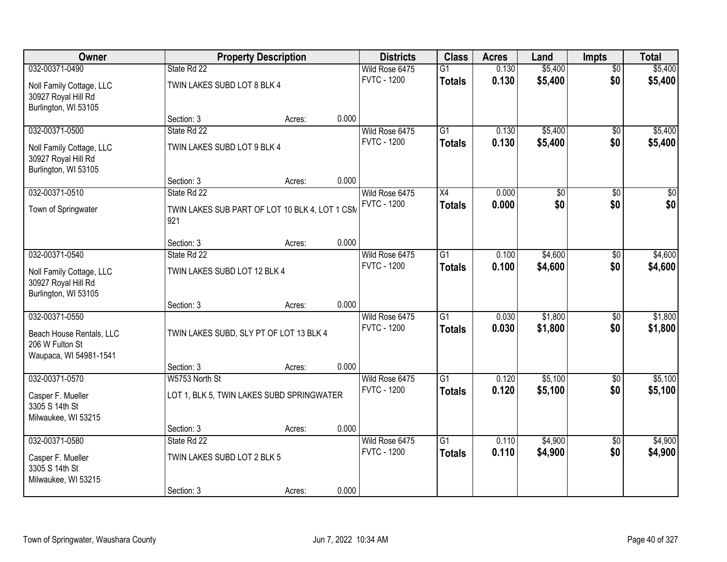| Owner                                                                   |                                                       | <b>Property Description</b> |       | <b>Districts</b>                     | <b>Class</b>    | <b>Acres</b>    | Land               | <b>Impts</b>           | <b>Total</b>       |
|-------------------------------------------------------------------------|-------------------------------------------------------|-----------------------------|-------|--------------------------------------|-----------------|-----------------|--------------------|------------------------|--------------------|
| 032-00371-0490                                                          | State Rd 22                                           |                             |       | Wild Rose 6475<br><b>FVTC - 1200</b> | $\overline{G1}$ | 0.130<br>0.130  | \$5,400<br>\$5,400 | $\overline{50}$<br>\$0 | \$5,400<br>\$5,400 |
| Noll Family Cottage, LLC<br>30927 Royal Hill Rd<br>Burlington, WI 53105 | TWIN LAKES SUBD LOT 8 BLK 4                           |                             |       |                                      | <b>Totals</b>   |                 |                    |                        |                    |
|                                                                         | Section: 3                                            | Acres:                      | 0.000 |                                      |                 |                 |                    |                        |                    |
| 032-00371-0500                                                          | State Rd 22                                           |                             |       | Wild Rose 6475                       | $\overline{G1}$ | 0.130           | \$5,400            | \$0                    | \$5,400            |
| Noll Family Cottage, LLC<br>30927 Royal Hill Rd<br>Burlington, WI 53105 | TWIN LAKES SUBD LOT 9 BLK 4                           |                             |       | <b>FVTC - 1200</b>                   | <b>Totals</b>   | 0.130           | \$5,400            | \$0                    | \$5,400            |
|                                                                         | Section: 3                                            | Acres:                      | 0.000 |                                      |                 |                 |                    |                        |                    |
| 032-00371-0510                                                          | State Rd 22                                           |                             |       | Wild Rose 6475                       | X4              | $\boxed{0.000}$ | $\overline{50}$    | \$0                    | $\overline{50}$    |
| Town of Springwater                                                     | TWIN LAKES SUB PART OF LOT 10 BLK 4, LOT 1 CSN<br>921 |                             |       | <b>FVTC - 1200</b>                   | <b>Totals</b>   | 0.000           | \$0                | \$0                    | \$0                |
|                                                                         | Section: 3                                            | Acres:                      | 0.000 |                                      |                 |                 |                    |                        |                    |
| 032-00371-0540                                                          | State Rd 22                                           |                             |       | Wild Rose 6475                       | $\overline{G1}$ | 0.100           | \$4,600            | \$0                    | \$4,600            |
| Noll Family Cottage, LLC<br>30927 Royal Hill Rd<br>Burlington, WI 53105 | TWIN LAKES SUBD LOT 12 BLK 4                          |                             |       | <b>FVTC - 1200</b>                   | <b>Totals</b>   | 0.100           | \$4,600            | \$0                    | \$4,600            |
|                                                                         | Section: 3                                            | Acres:                      | 0.000 |                                      |                 |                 |                    |                        |                    |
| 032-00371-0550                                                          |                                                       |                             |       | Wild Rose 6475                       | $\overline{G1}$ | 0.030           | \$1,800            | \$0                    | \$1,800            |
| Beach House Rentals, LLC<br>206 W Fulton St<br>Waupaca, WI 54981-1541   | TWIN LAKES SUBD, SLY PT OF LOT 13 BLK 4               |                             |       | <b>FVTC - 1200</b>                   | <b>Totals</b>   | 0.030           | \$1,800            | \$0                    | \$1,800            |
|                                                                         | Section: 3                                            | Acres:                      | 0.000 |                                      |                 |                 |                    |                        |                    |
| 032-00371-0570                                                          | W5753 North St                                        |                             |       | Wild Rose 6475                       | $\overline{G1}$ | 0.120           | \$5,100            | \$0                    | \$5,100            |
| Casper F. Mueller<br>3305 S 14th St<br>Milwaukee, WI 53215              | LOT 1, BLK 5, TWIN LAKES SUBD SPRINGWATER             |                             |       | <b>FVTC - 1200</b>                   | <b>Totals</b>   | 0.120           | \$5,100            | \$0                    | \$5,100            |
|                                                                         | Section: 3                                            | Acres:                      | 0.000 |                                      |                 |                 |                    |                        |                    |
| 032-00371-0580                                                          | State Rd 22                                           |                             |       | Wild Rose 6475                       | $\overline{G1}$ | 0.110           | \$4,900            | $\overline{50}$        | \$4,900            |
| Casper F. Mueller<br>3305 S 14th St<br>Milwaukee, WI 53215              | TWIN LAKES SUBD LOT 2 BLK 5                           |                             |       | <b>FVTC - 1200</b>                   | <b>Totals</b>   | 0.110           | \$4,900            | \$0                    | \$4,900            |
|                                                                         | Section: 3                                            | Acres:                      | 0.000 |                                      |                 |                 |                    |                        |                    |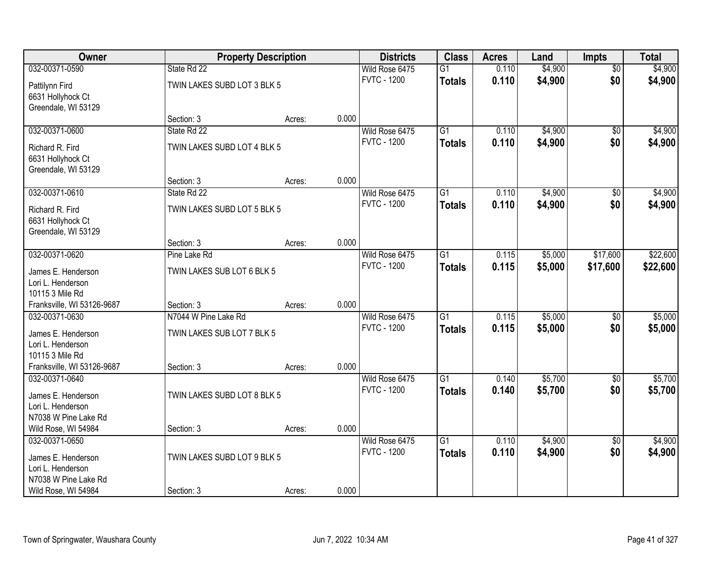| Owner                      | <b>Property Description</b> |        |       | <b>Districts</b>   | <b>Class</b>    | <b>Acres</b> | Land    | <b>Impts</b>    | <b>Total</b> |
|----------------------------|-----------------------------|--------|-------|--------------------|-----------------|--------------|---------|-----------------|--------------|
| 032-00371-0590             | State Rd 22                 |        |       | Wild Rose 6475     | $\overline{G1}$ | 0.110        | \$4,900 | $\overline{50}$ | \$4,900      |
| Pattilynn Fird             | TWIN LAKES SUBD LOT 3 BLK 5 |        |       | <b>FVTC - 1200</b> | <b>Totals</b>   | 0.110        | \$4,900 | \$0             | \$4,900      |
| 6631 Hollyhock Ct          |                             |        |       |                    |                 |              |         |                 |              |
| Greendale, WI 53129        |                             |        |       |                    |                 |              |         |                 |              |
|                            | Section: 3                  | Acres: | 0.000 |                    |                 |              |         |                 |              |
| 032-00371-0600             | State Rd 22                 |        |       | Wild Rose 6475     | $\overline{G1}$ | 0.110        | \$4,900 | \$0             | \$4,900      |
| Richard R. Fird            | TWIN LAKES SUBD LOT 4 BLK 5 |        |       | <b>FVTC - 1200</b> | <b>Totals</b>   | 0.110        | \$4,900 | \$0             | \$4,900      |
| 6631 Hollyhock Ct          |                             |        |       |                    |                 |              |         |                 |              |
| Greendale, WI 53129        |                             |        |       |                    |                 |              |         |                 |              |
|                            | Section: 3                  | Acres: | 0.000 |                    |                 |              |         |                 |              |
| 032-00371-0610             | State Rd 22                 |        |       | Wild Rose 6475     | $\overline{G1}$ | 0.110        | \$4,900 | \$0             | \$4,900      |
| Richard R. Fird            | TWIN LAKES SUBD LOT 5 BLK 5 |        |       | <b>FVTC - 1200</b> | <b>Totals</b>   | 0.110        | \$4,900 | \$0             | \$4,900      |
| 6631 Hollyhock Ct          |                             |        |       |                    |                 |              |         |                 |              |
| Greendale, WI 53129        |                             |        |       |                    |                 |              |         |                 |              |
|                            | Section: 3                  | Acres: | 0.000 |                    |                 |              |         |                 |              |
| 032-00371-0620             | Pine Lake Rd                |        |       | Wild Rose 6475     | G1              | 0.115        | \$5,000 | \$17,600        | \$22,600     |
| James E. Henderson         | TWIN LAKES SUB LOT 6 BLK 5  |        |       | <b>FVTC - 1200</b> | <b>Totals</b>   | 0.115        | \$5,000 | \$17,600        | \$22,600     |
| Lori L. Henderson          |                             |        |       |                    |                 |              |         |                 |              |
| 10115 3 Mile Rd            |                             |        |       |                    |                 |              |         |                 |              |
| Franksville, WI 53126-9687 | Section: 3                  | Acres: | 0.000 |                    |                 |              |         |                 |              |
| 032-00371-0630             | N7044 W Pine Lake Rd        |        |       | Wild Rose 6475     | $\overline{G1}$ | 0.115        | \$5,000 | $\overline{50}$ | \$5,000      |
| James E. Henderson         | TWIN LAKES SUB LOT 7 BLK 5  |        |       | <b>FVTC - 1200</b> | <b>Totals</b>   | 0.115        | \$5,000 | \$0             | \$5,000      |
| Lori L. Henderson          |                             |        |       |                    |                 |              |         |                 |              |
| 10115 3 Mile Rd            |                             |        |       |                    |                 |              |         |                 |              |
| Franksville, WI 53126-9687 | Section: 3                  | Acres: | 0.000 |                    |                 |              |         |                 |              |
| 032-00371-0640             |                             |        |       | Wild Rose 6475     | $\overline{G1}$ | 0.140        | \$5,700 | $\sqrt{6}$      | \$5,700      |
| James E. Henderson         | TWIN LAKES SUBD LOT 8 BLK 5 |        |       | <b>FVTC - 1200</b> | <b>Totals</b>   | 0.140        | \$5,700 | \$0             | \$5,700      |
| Lori L. Henderson          |                             |        |       |                    |                 |              |         |                 |              |
| N7038 W Pine Lake Rd       |                             |        |       |                    |                 |              |         |                 |              |
| Wild Rose, WI 54984        | Section: 3                  | Acres: | 0.000 |                    |                 |              |         |                 |              |
| 032-00371-0650             |                             |        |       | Wild Rose 6475     | $\overline{G1}$ | 0.110        | \$4,900 | $\overline{50}$ | \$4,900      |
| James E. Henderson         | TWIN LAKES SUBD LOT 9 BLK 5 |        |       | <b>FVTC - 1200</b> | <b>Totals</b>   | 0.110        | \$4,900 | \$0             | \$4,900      |
| Lori L. Henderson          |                             |        |       |                    |                 |              |         |                 |              |
| N7038 W Pine Lake Rd       |                             |        |       |                    |                 |              |         |                 |              |
| Wild Rose, WI 54984        | Section: 3                  | Acres: | 0.000 |                    |                 |              |         |                 |              |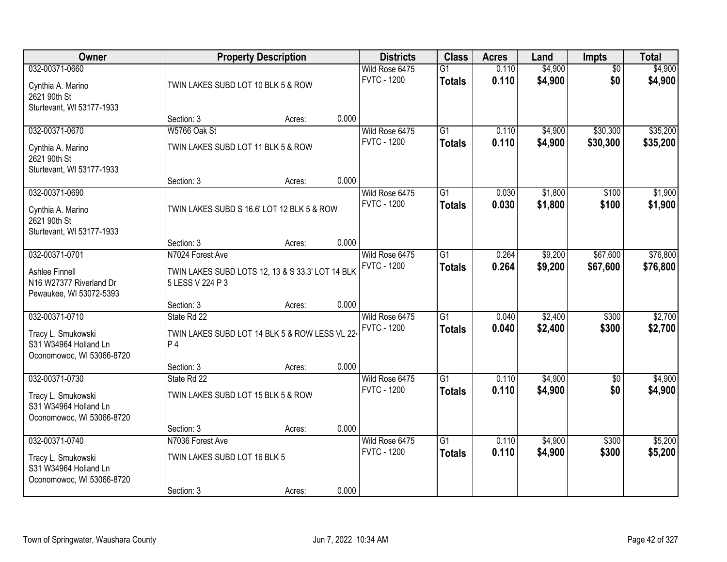| <b>Owner</b>                                                             |                                    | <b>Property Description</b>                      |       | <b>Districts</b>                     | <b>Class</b>                     | <b>Acres</b>   | Land               | <b>Impts</b>           | <b>Total</b>       |
|--------------------------------------------------------------------------|------------------------------------|--------------------------------------------------|-------|--------------------------------------|----------------------------------|----------------|--------------------|------------------------|--------------------|
| 032-00371-0660<br>Cynthia A. Marino                                      | TWIN LAKES SUBD LOT 10 BLK 5 & ROW |                                                  |       | Wild Rose 6475<br><b>FVTC - 1200</b> | $\overline{G1}$<br><b>Totals</b> | 0.110<br>0.110 | \$4,900<br>\$4,900 | $\overline{50}$<br>\$0 | \$4,900<br>\$4,900 |
| 2621 90th St<br>Sturtevant, WI 53177-1933                                |                                    |                                                  |       |                                      |                                  |                |                    |                        |                    |
|                                                                          | Section: 3                         | Acres:                                           | 0.000 |                                      |                                  |                |                    |                        |                    |
| 032-00371-0670                                                           | W5766 Oak St                       |                                                  |       | Wild Rose 6475                       | $\overline{G1}$                  | 0.110          | \$4,900            | \$30,300               | \$35,200           |
| Cynthia A. Marino<br>2621 90th St                                        | TWIN LAKES SUBD LOT 11 BLK 5 & ROW |                                                  |       | <b>FVTC - 1200</b>                   | <b>Totals</b>                    | 0.110          | \$4,900            | \$30,300               | \$35,200           |
| Sturtevant, WI 53177-1933                                                | Section: 3                         | Acres:                                           | 0.000 |                                      |                                  |                |                    |                        |                    |
| 032-00371-0690                                                           |                                    |                                                  |       | Wild Rose 6475                       | $\overline{G1}$                  | 0.030          | \$1,800            | \$100                  | \$1,900            |
| Cynthia A. Marino<br>2621 90th St                                        |                                    | TWIN LAKES SUBD S 16.6' LOT 12 BLK 5 & ROW       |       | <b>FVTC - 1200</b>                   | <b>Totals</b>                    | 0.030          | \$1,800            | \$100                  | \$1,900            |
| Sturtevant, WI 53177-1933                                                |                                    |                                                  |       |                                      |                                  |                |                    |                        |                    |
| 032-00371-0701                                                           | Section: 3<br>N7024 Forest Ave     | Acres:                                           | 0.000 |                                      | $\overline{G1}$                  |                |                    | \$67,600               | \$76,800           |
|                                                                          |                                    |                                                  |       | Wild Rose 6475<br><b>FVTC - 1200</b> | <b>Totals</b>                    | 0.264<br>0.264 | \$9,200<br>\$9,200 | \$67,600               | \$76,800           |
| Ashlee Finnell<br>N16 W27377 Riverland Dr<br>Pewaukee, WI 53072-5393     | 5 LESS V 224 P 3                   | TWIN LAKES SUBD LOTS 12, 13 & S 33.3' LOT 14 BLK |       |                                      |                                  |                |                    |                        |                    |
|                                                                          | Section: 3                         | Acres:                                           | 0.000 |                                      |                                  |                |                    |                        |                    |
| 032-00371-0710                                                           | State Rd 22                        |                                                  |       | Wild Rose 6475                       | $\overline{G1}$                  | 0.040          | \$2,400            | \$300                  | \$2,700            |
| Tracy L. Smukowski                                                       |                                    | TWIN LAKES SUBD LOT 14 BLK 5 & ROW LESS VL 22-   |       | <b>FVTC - 1200</b>                   | <b>Totals</b>                    | 0.040          | \$2,400            | \$300                  | \$2,700            |
| S31 W34964 Holland Ln<br>Oconomowoc, WI 53066-8720                       | P <sub>4</sub>                     |                                                  |       |                                      |                                  |                |                    |                        |                    |
|                                                                          | Section: 3                         | Acres:                                           | 0.000 |                                      |                                  |                |                    |                        |                    |
| 032-00371-0730                                                           | State Rd 22                        |                                                  |       | Wild Rose 6475                       | $\overline{G1}$                  | 0.110          | \$4,900            | \$0                    | \$4,900            |
| Tracy L. Smukowski<br>S31 W34964 Holland Ln<br>Oconomowoc, WI 53066-8720 | TWIN LAKES SUBD LOT 15 BLK 5 & ROW |                                                  |       | <b>FVTC - 1200</b>                   | <b>Totals</b>                    | 0.110          | \$4,900            | \$0                    | \$4,900            |
|                                                                          | Section: 3                         | Acres:                                           | 0.000 |                                      |                                  |                |                    |                        |                    |
| 032-00371-0740                                                           | N7036 Forest Ave                   |                                                  |       | Wild Rose 6475                       | $\overline{G1}$                  | 0.110          | \$4,900            | \$300                  | \$5,200            |
| Tracy L. Smukowski<br>S31 W34964 Holland Ln                              | TWIN LAKES SUBD LOT 16 BLK 5       |                                                  |       | <b>FVTC - 1200</b>                   | <b>Totals</b>                    | 0.110          | \$4,900            | \$300                  | \$5,200            |
| Oconomowoc, WI 53066-8720                                                | Section: 3                         | Acres:                                           | 0.000 |                                      |                                  |                |                    |                        |                    |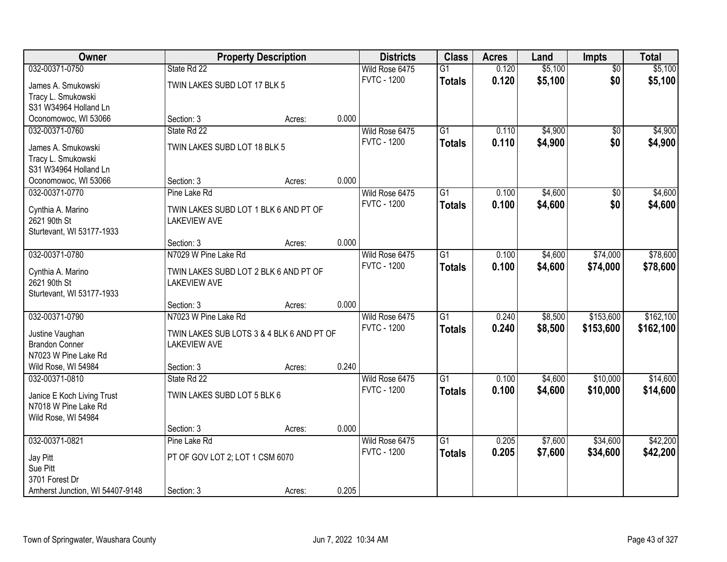| Owner                           |                                           | <b>Property Description</b> |       | <b>Districts</b>   | <b>Class</b>    | <b>Acres</b> | Land    | <b>Impts</b>    | <b>Total</b> |
|---------------------------------|-------------------------------------------|-----------------------------|-------|--------------------|-----------------|--------------|---------|-----------------|--------------|
| 032-00371-0750                  | State Rd 22                               |                             |       | Wild Rose 6475     | $\overline{G1}$ | 0.120        | \$5,100 | $\overline{50}$ | \$5,100      |
| James A. Smukowski              | TWIN LAKES SUBD LOT 17 BLK 5              |                             |       | <b>FVTC - 1200</b> | <b>Totals</b>   | 0.120        | \$5,100 | \$0             | \$5,100      |
| Tracy L. Smukowski              |                                           |                             |       |                    |                 |              |         |                 |              |
| S31 W34964 Holland Ln           |                                           |                             |       |                    |                 |              |         |                 |              |
| Oconomowoc, WI 53066            | Section: 3                                | Acres:                      | 0.000 |                    |                 |              |         |                 |              |
| 032-00371-0760                  | State Rd 22                               |                             |       | Wild Rose 6475     | $\overline{G1}$ | 0.110        | \$4,900 | $\overline{50}$ | \$4,900      |
| James A. Smukowski              | TWIN LAKES SUBD LOT 18 BLK 5              |                             |       | <b>FVTC - 1200</b> | <b>Totals</b>   | 0.110        | \$4,900 | \$0             | \$4,900      |
| Tracy L. Smukowski              |                                           |                             |       |                    |                 |              |         |                 |              |
| S31 W34964 Holland Ln           |                                           |                             |       |                    |                 |              |         |                 |              |
| Oconomowoc, WI 53066            | Section: 3                                | Acres:                      | 0.000 |                    |                 |              |         |                 |              |
| 032-00371-0770                  | Pine Lake Rd                              |                             |       | Wild Rose 6475     | $\overline{G1}$ | 0.100        | \$4,600 | \$0             | \$4,600      |
| Cynthia A. Marino               | TWIN LAKES SUBD LOT 1 BLK 6 AND PT OF     |                             |       | <b>FVTC - 1200</b> | <b>Totals</b>   | 0.100        | \$4,600 | \$0             | \$4,600      |
| 2621 90th St                    | <b>LAKEVIEW AVE</b>                       |                             |       |                    |                 |              |         |                 |              |
| Sturtevant, WI 53177-1933       |                                           |                             |       |                    |                 |              |         |                 |              |
|                                 | Section: 3                                | Acres:                      | 0.000 |                    |                 |              |         |                 |              |
| 032-00371-0780                  | N7029 W Pine Lake Rd                      |                             |       | Wild Rose 6475     | $\overline{G1}$ | 0.100        | \$4,600 | \$74,000        | \$78,600     |
| Cynthia A. Marino               | TWIN LAKES SUBD LOT 2 BLK 6 AND PT OF     |                             |       | <b>FVTC - 1200</b> | <b>Totals</b>   | 0.100        | \$4,600 | \$74,000        | \$78,600     |
| 2621 90th St                    | <b>LAKEVIEW AVE</b>                       |                             |       |                    |                 |              |         |                 |              |
| Sturtevant, WI 53177-1933       |                                           |                             |       |                    |                 |              |         |                 |              |
|                                 | Section: 3                                | Acres:                      | 0.000 |                    |                 |              |         |                 |              |
| 032-00371-0790                  | N7023 W Pine Lake Rd                      |                             |       | Wild Rose 6475     | $\overline{G1}$ | 0.240        | \$8,500 | \$153,600       | \$162,100    |
| Justine Vaughan                 | TWIN LAKES SUB LOTS 3 & 4 BLK 6 AND PT OF |                             |       | <b>FVTC - 1200</b> | <b>Totals</b>   | 0.240        | \$8,500 | \$153,600       | \$162,100    |
| <b>Brandon Conner</b>           | <b>LAKEVIEW AVE</b>                       |                             |       |                    |                 |              |         |                 |              |
| N7023 W Pine Lake Rd            |                                           |                             |       |                    |                 |              |         |                 |              |
| Wild Rose, WI 54984             | Section: 3                                | Acres:                      | 0.240 |                    |                 |              |         |                 |              |
| 032-00371-0810                  | State Rd 22                               |                             |       | Wild Rose 6475     | $\overline{G1}$ | 0.100        | \$4,600 | \$10,000        | \$14,600     |
| Janice E Koch Living Trust      | TWIN LAKES SUBD LOT 5 BLK 6               |                             |       | <b>FVTC - 1200</b> | <b>Totals</b>   | 0.100        | \$4,600 | \$10,000        | \$14,600     |
| N7018 W Pine Lake Rd            |                                           |                             |       |                    |                 |              |         |                 |              |
| Wild Rose, WI 54984             |                                           |                             |       |                    |                 |              |         |                 |              |
|                                 | Section: 3                                | Acres:                      | 0.000 |                    |                 |              |         |                 |              |
| 032-00371-0821                  | Pine Lake Rd                              |                             |       | Wild Rose 6475     | $\overline{G1}$ | 0.205        | \$7,600 | \$34,600        | \$42,200     |
| Jay Pitt                        | PT OF GOV LOT 2; LOT 1 CSM 6070           |                             |       | <b>FVTC - 1200</b> | <b>Totals</b>   | 0.205        | \$7,600 | \$34,600        | \$42,200     |
| Sue Pitt                        |                                           |                             |       |                    |                 |              |         |                 |              |
| 3701 Forest Dr                  |                                           |                             |       |                    |                 |              |         |                 |              |
| Amherst Junction, WI 54407-9148 | Section: 3                                | Acres:                      | 0.205 |                    |                 |              |         |                 |              |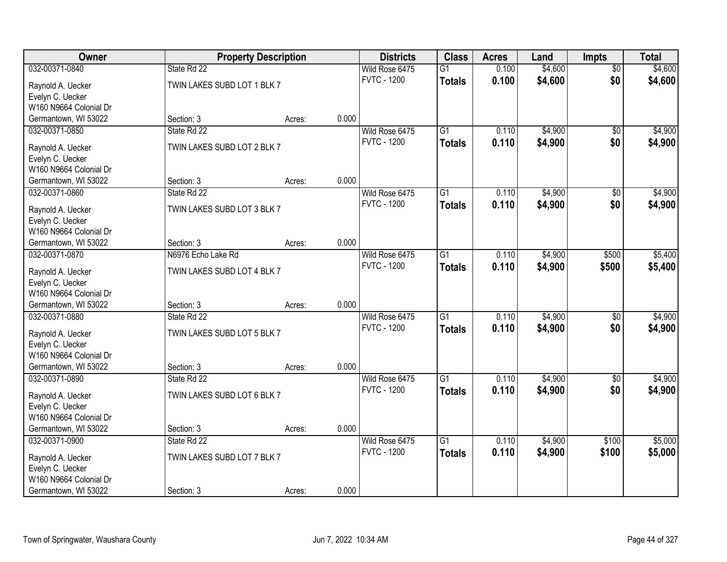| Owner                                 | <b>Property Description</b> |        |       | <b>Districts</b>   | <b>Class</b>    | <b>Acres</b> | Land    | <b>Impts</b>    | <b>Total</b> |
|---------------------------------------|-----------------------------|--------|-------|--------------------|-----------------|--------------|---------|-----------------|--------------|
| 032-00371-0840                        | State Rd 22                 |        |       | Wild Rose 6475     | $\overline{G1}$ | 0.100        | \$4,600 | \$0             | \$4,600      |
| Raynold A. Uecker                     | TWIN LAKES SUBD LOT 1 BLK 7 |        |       | <b>FVTC - 1200</b> | <b>Totals</b>   | 0.100        | \$4,600 | \$0             | \$4,600      |
| Evelyn C. Uecker                      |                             |        |       |                    |                 |              |         |                 |              |
| W160 N9664 Colonial Dr                |                             |        |       |                    |                 |              |         |                 |              |
| Germantown, WI 53022                  | Section: 3                  | Acres: | 0.000 |                    |                 |              |         |                 |              |
| 032-00371-0850                        | State Rd 22                 |        |       | Wild Rose 6475     | $\overline{G1}$ | 0.110        | \$4,900 | \$0             | \$4,900      |
|                                       |                             |        |       | <b>FVTC - 1200</b> | <b>Totals</b>   | 0.110        | \$4,900 | \$0             | \$4,900      |
| Raynold A. Uecker                     | TWIN LAKES SUBD LOT 2 BLK 7 |        |       |                    |                 |              |         |                 |              |
| Evelyn C. Uecker                      |                             |        |       |                    |                 |              |         |                 |              |
| W160 N9664 Colonial Dr                |                             |        | 0.000 |                    |                 |              |         |                 |              |
| Germantown, WI 53022                  | Section: 3                  | Acres: |       |                    |                 |              |         |                 |              |
| 032-00371-0860                        | State Rd 22                 |        |       | Wild Rose 6475     | $\overline{G1}$ | 0.110        | \$4,900 | \$0             | \$4,900      |
| Raynold A. Uecker                     | TWIN LAKES SUBD LOT 3 BLK 7 |        |       | <b>FVTC - 1200</b> | <b>Totals</b>   | 0.110        | \$4,900 | \$0             | \$4,900      |
| Evelyn C. Uecker                      |                             |        |       |                    |                 |              |         |                 |              |
| W160 N9664 Colonial Dr                |                             |        |       |                    |                 |              |         |                 |              |
| Germantown, WI 53022                  | Section: 3                  | Acres: | 0.000 |                    |                 |              |         |                 |              |
| 032-00371-0870                        | N6976 Echo Lake Rd          |        |       | Wild Rose 6475     | G1              | 0.110        | \$4,900 | \$500           | \$5,400      |
|                                       | TWIN LAKES SUBD LOT 4 BLK 7 |        |       | <b>FVTC - 1200</b> | <b>Totals</b>   | 0.110        | \$4,900 | \$500           | \$5,400      |
| Raynold A. Uecker<br>Evelyn C. Uecker |                             |        |       |                    |                 |              |         |                 |              |
| W160 N9664 Colonial Dr                |                             |        |       |                    |                 |              |         |                 |              |
| Germantown, WI 53022                  | Section: 3                  | Acres: | 0.000 |                    |                 |              |         |                 |              |
| 032-00371-0880                        | State Rd 22                 |        |       | Wild Rose 6475     | $\overline{G1}$ | 0.110        | \$4,900 | $\overline{50}$ | \$4,900      |
|                                       |                             |        |       | <b>FVTC - 1200</b> |                 | 0.110        | \$4,900 | \$0             |              |
| Raynold A. Uecker                     | TWIN LAKES SUBD LOT 5 BLK 7 |        |       |                    | <b>Totals</b>   |              |         |                 | \$4,900      |
| Evelyn C. Uecker                      |                             |        |       |                    |                 |              |         |                 |              |
| W160 N9664 Colonial Dr                |                             |        |       |                    |                 |              |         |                 |              |
| Germantown, WI 53022                  | Section: 3                  | Acres: | 0.000 |                    |                 |              |         |                 |              |
| 032-00371-0890                        | State Rd 22                 |        |       | Wild Rose 6475     | $\overline{G1}$ | 0.110        | \$4,900 | $\sqrt{$0}$     | \$4,900      |
| Raynold A. Uecker                     | TWIN LAKES SUBD LOT 6 BLK 7 |        |       | <b>FVTC - 1200</b> | <b>Totals</b>   | 0.110        | \$4,900 | \$0             | \$4,900      |
| Evelyn C. Uecker                      |                             |        |       |                    |                 |              |         |                 |              |
| W160 N9664 Colonial Dr                |                             |        |       |                    |                 |              |         |                 |              |
| Germantown, WI 53022                  | Section: 3                  | Acres: | 0.000 |                    |                 |              |         |                 |              |
| 032-00371-0900                        | State Rd 22                 |        |       | Wild Rose 6475     | $\overline{G1}$ | 0.110        | \$4,900 | \$100           | \$5,000      |
|                                       |                             |        |       | <b>FVTC - 1200</b> | <b>Totals</b>   | 0.110        | \$4,900 | \$100           | \$5,000      |
| Raynold A. Uecker                     | TWIN LAKES SUBD LOT 7 BLK 7 |        |       |                    |                 |              |         |                 |              |
| Evelyn C. Uecker                      |                             |        |       |                    |                 |              |         |                 |              |
| W160 N9664 Colonial Dr                |                             |        |       |                    |                 |              |         |                 |              |
| Germantown, WI 53022                  | Section: 3                  | Acres: | 0.000 |                    |                 |              |         |                 |              |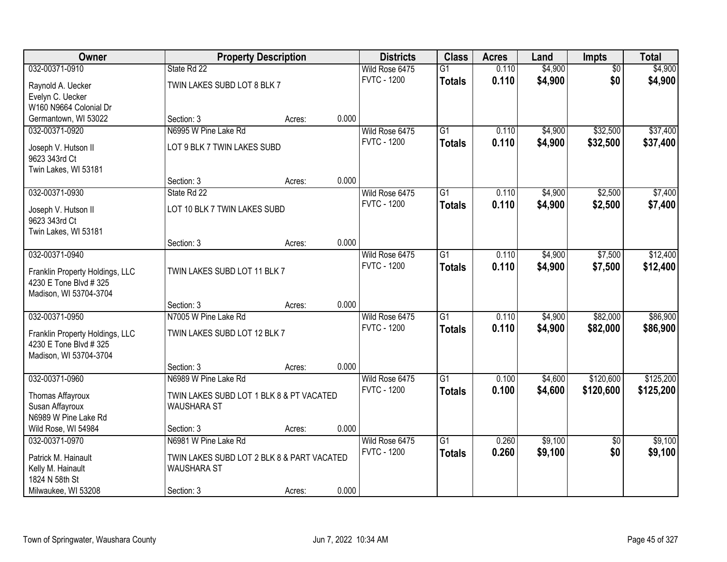| Owner                                |                                            | <b>Property Description</b> |       | <b>Districts</b>   | <b>Class</b>    | <b>Acres</b> | Land    | <b>Impts</b>    | <b>Total</b> |
|--------------------------------------|--------------------------------------------|-----------------------------|-------|--------------------|-----------------|--------------|---------|-----------------|--------------|
| 032-00371-0910                       | State Rd 22                                |                             |       | Wild Rose 6475     | $\overline{G1}$ | 0.110        | \$4,900 | $\overline{50}$ | \$4,900      |
| Raynold A. Uecker                    | TWIN LAKES SUBD LOT 8 BLK 7                |                             |       | <b>FVTC - 1200</b> | <b>Totals</b>   | 0.110        | \$4,900 | \$0             | \$4,900      |
| Evelyn C. Uecker                     |                                            |                             |       |                    |                 |              |         |                 |              |
| W160 N9664 Colonial Dr               |                                            |                             |       |                    |                 |              |         |                 |              |
| Germantown, WI 53022                 | Section: 3                                 | Acres:                      | 0.000 |                    |                 |              |         |                 |              |
| 032-00371-0920                       | N6995 W Pine Lake Rd                       |                             |       | Wild Rose 6475     | $\overline{G1}$ | 0.110        | \$4,900 | \$32,500        | \$37,400     |
| Joseph V. Hutson II                  | LOT 9 BLK 7 TWIN LAKES SUBD                |                             |       | <b>FVTC - 1200</b> | <b>Totals</b>   | 0.110        | \$4,900 | \$32,500        | \$37,400     |
| 9623 343rd Ct                        |                                            |                             |       |                    |                 |              |         |                 |              |
| Twin Lakes, WI 53181                 |                                            |                             |       |                    |                 |              |         |                 |              |
|                                      | Section: 3                                 | Acres:                      | 0.000 |                    |                 |              |         |                 |              |
| 032-00371-0930                       | State Rd 22                                |                             |       | Wild Rose 6475     | $\overline{G1}$ | 0.110        | \$4,900 | \$2,500         | \$7,400      |
|                                      | LOT 10 BLK 7 TWIN LAKES SUBD               |                             |       | <b>FVTC - 1200</b> | <b>Totals</b>   | 0.110        | \$4,900 | \$2,500         | \$7,400      |
| Joseph V. Hutson II<br>9623 343rd Ct |                                            |                             |       |                    |                 |              |         |                 |              |
| Twin Lakes, WI 53181                 |                                            |                             |       |                    |                 |              |         |                 |              |
|                                      | Section: 3                                 | Acres:                      | 0.000 |                    |                 |              |         |                 |              |
| 032-00371-0940                       |                                            |                             |       | Wild Rose 6475     | $\overline{G1}$ | 0.110        | \$4,900 | \$7,500         | \$12,400     |
|                                      |                                            |                             |       | <b>FVTC - 1200</b> | <b>Totals</b>   | 0.110        | \$4,900 | \$7,500         | \$12,400     |
| Franklin Property Holdings, LLC      | TWIN LAKES SUBD LOT 11 BLK 7               |                             |       |                    |                 |              |         |                 |              |
| 4230 E Tone Blvd # 325               |                                            |                             |       |                    |                 |              |         |                 |              |
| Madison, WI 53704-3704               | Section: 3                                 | Acres:                      | 0.000 |                    |                 |              |         |                 |              |
| 032-00371-0950                       | N7005 W Pine Lake Rd                       |                             |       | Wild Rose 6475     | $\overline{G1}$ | 0.110        | \$4,900 | \$82,000        | \$86,900     |
|                                      |                                            |                             |       | <b>FVTC - 1200</b> | <b>Totals</b>   | 0.110        | \$4,900 | \$82,000        | \$86,900     |
| Franklin Property Holdings, LLC      | TWIN LAKES SUBD LOT 12 BLK 7               |                             |       |                    |                 |              |         |                 |              |
| 4230 E Tone Blvd # 325               |                                            |                             |       |                    |                 |              |         |                 |              |
| Madison, WI 53704-3704               |                                            |                             |       |                    |                 |              |         |                 |              |
|                                      | Section: 3                                 | Acres:                      | 0.000 |                    |                 |              |         |                 |              |
| 032-00371-0960                       | N6989 W Pine Lake Rd                       |                             |       | Wild Rose 6475     | $\overline{G1}$ | 0.100        | \$4,600 | \$120,600       | \$125,200    |
| Thomas Affayroux                     | TWIN LAKES SUBD LOT 1 BLK 8 & PT VACATED   |                             |       | <b>FVTC - 1200</b> | <b>Totals</b>   | 0.100        | \$4,600 | \$120,600       | \$125,200    |
| Susan Affayroux                      | <b>WAUSHARA ST</b>                         |                             |       |                    |                 |              |         |                 |              |
| N6989 W Pine Lake Rd                 |                                            |                             |       |                    |                 |              |         |                 |              |
| Wild Rose, WI 54984                  | Section: 3                                 | Acres:                      | 0.000 |                    |                 |              |         |                 |              |
| 032-00371-0970                       | N6981 W Pine Lake Rd                       |                             |       | Wild Rose 6475     | $\overline{G1}$ | 0.260        | \$9,100 | $\overline{30}$ | \$9,100      |
| Patrick M. Hainault                  | TWIN LAKES SUBD LOT 2 BLK 8 & PART VACATED |                             |       | <b>FVTC - 1200</b> | <b>Totals</b>   | 0.260        | \$9,100 | \$0             | \$9,100      |
| Kelly M. Hainault                    | <b>WAUSHARA ST</b>                         |                             |       |                    |                 |              |         |                 |              |
| 1824 N 58th St                       |                                            |                             |       |                    |                 |              |         |                 |              |
| Milwaukee, WI 53208                  | Section: 3                                 | Acres:                      | 0.000 |                    |                 |              |         |                 |              |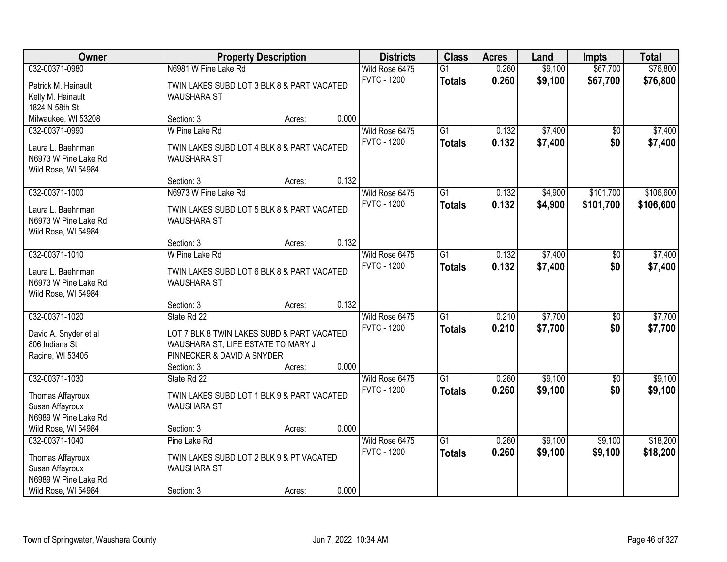| Owner                                     |                                                                  | <b>Property Description</b> |       | <b>Districts</b>   | <b>Class</b>    | <b>Acres</b> | Land    | <b>Impts</b>    | <b>Total</b> |
|-------------------------------------------|------------------------------------------------------------------|-----------------------------|-------|--------------------|-----------------|--------------|---------|-----------------|--------------|
| 032-00371-0980                            | N6981 W Pine Lake Rd                                             |                             |       | Wild Rose 6475     | $\overline{G1}$ | 0.260        | \$9,100 | \$67,700        | \$76,800     |
| Patrick M. Hainault                       | TWIN LAKES SUBD LOT 3 BLK 8 & PART VACATED                       |                             |       | <b>FVTC - 1200</b> | <b>Totals</b>   | 0.260        | \$9,100 | \$67,700        | \$76,800     |
| Kelly M. Hainault                         | <b>WAUSHARA ST</b>                                               |                             |       |                    |                 |              |         |                 |              |
| 1824 N 58th St                            |                                                                  |                             |       |                    |                 |              |         |                 |              |
| Milwaukee, WI 53208                       | Section: 3                                                       | Acres:                      | 0.000 |                    |                 |              |         |                 |              |
| 032-00371-0990                            | W Pine Lake Rd                                                   |                             |       | Wild Rose 6475     | $\overline{G1}$ | 0.132        | \$7,400 | $\overline{50}$ | \$7,400      |
| Laura L. Baehnman                         | TWIN LAKES SUBD LOT 4 BLK 8 & PART VACATED                       |                             |       | <b>FVTC - 1200</b> | <b>Totals</b>   | 0.132        | \$7,400 | \$0             | \$7,400      |
| N6973 W Pine Lake Rd                      | <b>WAUSHARA ST</b>                                               |                             |       |                    |                 |              |         |                 |              |
| Wild Rose, WI 54984                       |                                                                  |                             |       |                    |                 |              |         |                 |              |
|                                           | Section: 3                                                       | Acres:                      | 0.132 |                    |                 |              |         |                 |              |
| 032-00371-1000                            | N6973 W Pine Lake Rd                                             |                             |       | Wild Rose 6475     | G1              | 0.132        | \$4,900 | \$101,700       | \$106,600    |
| Laura L. Baehnman                         | TWIN LAKES SUBD LOT 5 BLK 8 & PART VACATED                       |                             |       | <b>FVTC - 1200</b> | <b>Totals</b>   | 0.132        | \$4,900 | \$101,700       | \$106,600    |
| N6973 W Pine Lake Rd                      | <b>WAUSHARA ST</b>                                               |                             |       |                    |                 |              |         |                 |              |
| Wild Rose, WI 54984                       |                                                                  |                             |       |                    |                 |              |         |                 |              |
|                                           | Section: 3                                                       | Acres:                      | 0.132 |                    |                 |              |         |                 |              |
| 032-00371-1010                            | W Pine Lake Rd                                                   |                             |       | Wild Rose 6475     | $\overline{G1}$ | 0.132        | \$7,400 | \$0             | \$7,400      |
|                                           |                                                                  |                             |       | <b>FVTC - 1200</b> | <b>Totals</b>   | 0.132        | \$7,400 | \$0             | \$7,400      |
| Laura L. Baehnman<br>N6973 W Pine Lake Rd | TWIN LAKES SUBD LOT 6 BLK 8 & PART VACATED<br><b>WAUSHARA ST</b> |                             |       |                    |                 |              |         |                 |              |
| Wild Rose, WI 54984                       |                                                                  |                             |       |                    |                 |              |         |                 |              |
|                                           | Section: 3                                                       | Acres:                      | 0.132 |                    |                 |              |         |                 |              |
| 032-00371-1020                            | State Rd 22                                                      |                             |       | Wild Rose 6475     | $\overline{G1}$ | 0.210        | \$7,700 | $\overline{50}$ | \$7,700      |
|                                           |                                                                  |                             |       | <b>FVTC - 1200</b> | <b>Totals</b>   | 0.210        | \$7,700 | \$0             | \$7,700      |
| David A. Snyder et al                     | LOT 7 BLK 8 TWIN LAKES SUBD & PART VACATED                       |                             |       |                    |                 |              |         |                 |              |
| 806 Indiana St                            | WAUSHARA ST; LIFE ESTATE TO MARY J                               |                             |       |                    |                 |              |         |                 |              |
| Racine, WI 53405                          | PINNECKER & DAVID A SNYDER<br>Section: 3                         |                             | 0.000 |                    |                 |              |         |                 |              |
| 032-00371-1030                            | State Rd 22                                                      | Acres:                      |       | Wild Rose 6475     | $\overline{G1}$ | 0.260        | \$9,100 | $\overline{50}$ | \$9,100      |
|                                           |                                                                  |                             |       | <b>FVTC - 1200</b> | <b>Totals</b>   | 0.260        | \$9,100 | \$0             | \$9,100      |
| Thomas Affayroux                          | TWIN LAKES SUBD LOT 1 BLK 9 & PART VACATED                       |                             |       |                    |                 |              |         |                 |              |
| Susan Affayroux                           | <b>WAUSHARA ST</b>                                               |                             |       |                    |                 |              |         |                 |              |
| N6989 W Pine Lake Rd                      |                                                                  |                             |       |                    |                 |              |         |                 |              |
| Wild Rose, WI 54984                       | Section: 3                                                       | Acres:                      | 0.000 |                    |                 |              |         |                 |              |
| 032-00371-1040                            | Pine Lake Rd                                                     |                             |       | Wild Rose 6475     | $\overline{G1}$ | 0.260        | \$9,100 | \$9,100         | \$18,200     |
| Thomas Affayroux                          | TWIN LAKES SUBD LOT 2 BLK 9 & PT VACATED                         |                             |       | <b>FVTC - 1200</b> | <b>Totals</b>   | 0.260        | \$9,100 | \$9,100         | \$18,200     |
| Susan Affayroux                           | <b>WAUSHARA ST</b>                                               |                             |       |                    |                 |              |         |                 |              |
| N6989 W Pine Lake Rd                      |                                                                  |                             |       |                    |                 |              |         |                 |              |
| Wild Rose, WI 54984                       | Section: 3                                                       | Acres:                      | 0.000 |                    |                 |              |         |                 |              |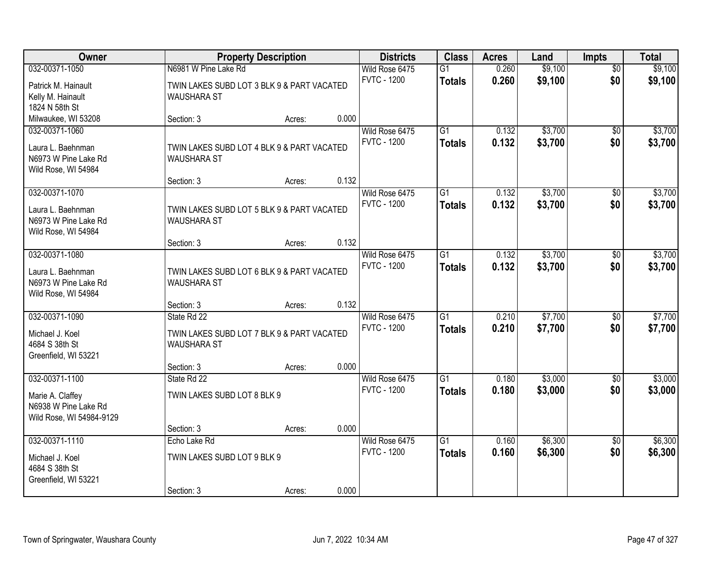| Owner                                                                              |                                                                                 | <b>Property Description</b> |       | <b>Districts</b>                     | <b>Class</b>                     | <b>Acres</b>   | Land               | <b>Impts</b>           | <b>Total</b>       |
|------------------------------------------------------------------------------------|---------------------------------------------------------------------------------|-----------------------------|-------|--------------------------------------|----------------------------------|----------------|--------------------|------------------------|--------------------|
| 032-00371-1050                                                                     | N6981 W Pine Lake Rd                                                            |                             |       | Wild Rose 6475                       | $\overline{G1}$                  | 0.260          | \$9,100            | $\overline{50}$        | \$9,100            |
| Patrick M. Hainault<br>Kelly M. Hainault<br>1824 N 58th St                         | TWIN LAKES SUBD LOT 3 BLK 9 & PART VACATED<br><b>WAUSHARA ST</b>                |                             |       | <b>FVTC - 1200</b>                   | <b>Totals</b>                    | 0.260          | \$9,100            | \$0                    | \$9,100            |
| Milwaukee, WI 53208                                                                | Section: 3                                                                      | Acres:                      | 0.000 |                                      |                                  |                |                    |                        |                    |
| 032-00371-1060<br>Laura L. Baehnman<br>N6973 W Pine Lake Rd<br>Wild Rose, WI 54984 | TWIN LAKES SUBD LOT 4 BLK 9 & PART VACATED<br><b>WAUSHARA ST</b>                |                             |       | Wild Rose 6475<br><b>FVTC - 1200</b> | $\overline{G1}$<br>Totals        | 0.132<br>0.132 | \$3,700<br>\$3,700 | $\overline{50}$<br>\$0 | \$3,700<br>\$3,700 |
| 032-00371-1070                                                                     | Section: 3                                                                      | Acres:                      | 0.132 | Wild Rose 6475                       | $\overline{G1}$                  | 0.132          | \$3,700            | $\sqrt[6]{30}$         | \$3,700            |
| Laura L. Baehnman<br>N6973 W Pine Lake Rd<br>Wild Rose, WI 54984                   | TWIN LAKES SUBD LOT 5 BLK 9 & PART VACATED<br><b>WAUSHARA ST</b>                |                             |       | <b>FVTC - 1200</b>                   | <b>Totals</b>                    | 0.132          | \$3,700            | \$0                    | \$3,700            |
|                                                                                    | Section: 3                                                                      | Acres:                      | 0.132 |                                      |                                  |                |                    |                        |                    |
| 032-00371-1080<br>Laura L. Baehnman<br>N6973 W Pine Lake Rd<br>Wild Rose, WI 54984 | TWIN LAKES SUBD LOT 6 BLK 9 & PART VACATED<br><b>WAUSHARA ST</b>                |                             |       | Wild Rose 6475<br><b>FVTC - 1200</b> | $\overline{G1}$<br><b>Totals</b> | 0.132<br>0.132 | \$3,700<br>\$3,700 | \$0<br>\$0             | \$3,700<br>\$3,700 |
|                                                                                    | Section: 3                                                                      | Acres:                      | 0.132 |                                      |                                  |                |                    |                        |                    |
| 032-00371-1090<br>Michael J. Koel<br>4684 S 38th St<br>Greenfield, WI 53221        | State Rd 22<br>TWIN LAKES SUBD LOT 7 BLK 9 & PART VACATED<br><b>WAUSHARA ST</b> |                             |       | Wild Rose 6475<br><b>FVTC - 1200</b> | $\overline{G1}$<br><b>Totals</b> | 0.210<br>0.210 | \$7,700<br>\$7,700 | \$0<br>\$0             | \$7,700<br>\$7,700 |
| 032-00371-1100                                                                     | Section: 3<br>State Rd 22                                                       | Acres:                      | 0.000 | Wild Rose 6475                       | $\overline{G1}$                  | 0.180          | \$3,000            |                        | \$3,000            |
| Marie A. Claffey<br>N6938 W Pine Lake Rd<br>Wild Rose, WI 54984-9129               | TWIN LAKES SUBD LOT 8 BLK 9                                                     |                             |       | <b>FVTC - 1200</b>                   | <b>Totals</b>                    | 0.180          | \$3,000            | \$0<br>\$0             | \$3,000            |
|                                                                                    | Section: 3                                                                      | Acres:                      | 0.000 |                                      |                                  |                |                    |                        |                    |
| 032-00371-1110<br>Michael J. Koel<br>4684 S 38th St<br>Greenfield, WI 53221        | Echo Lake Rd<br>TWIN LAKES SUBD LOT 9 BLK 9                                     |                             |       | Wild Rose 6475<br><b>FVTC - 1200</b> | $\overline{G1}$<br><b>Totals</b> | 0.160<br>0.160 | \$6,300<br>\$6,300 | $\overline{50}$<br>\$0 | \$6,300<br>\$6,300 |
|                                                                                    | Section: 3                                                                      | Acres:                      | 0.000 |                                      |                                  |                |                    |                        |                    |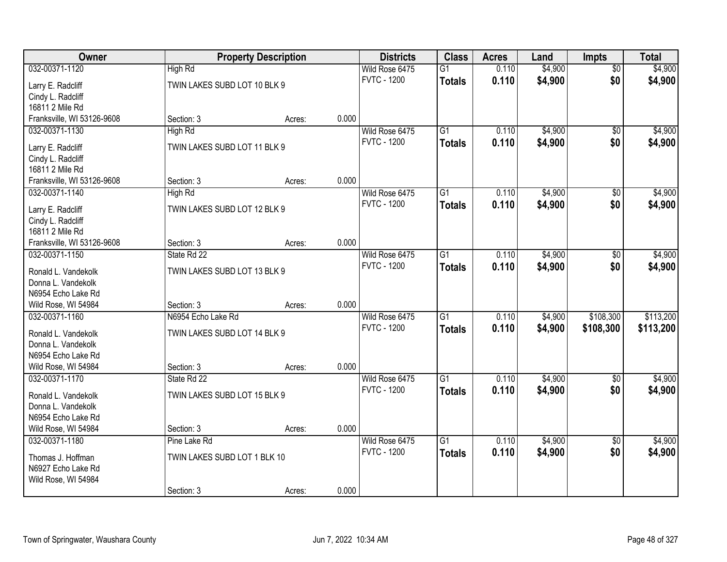| Owner                                     |                              | <b>Property Description</b> |       | <b>Districts</b>   | <b>Class</b>    | <b>Acres</b> | Land    | <b>Impts</b>    | <b>Total</b> |
|-------------------------------------------|------------------------------|-----------------------------|-------|--------------------|-----------------|--------------|---------|-----------------|--------------|
| 032-00371-1120                            | High Rd                      |                             |       | Wild Rose 6475     | G1              | 0.110        | \$4,900 | $\overline{50}$ | \$4,900      |
| Larry E. Radcliff                         | TWIN LAKES SUBD LOT 10 BLK 9 |                             |       | <b>FVTC - 1200</b> | <b>Totals</b>   | 0.110        | \$4,900 | \$0             | \$4,900      |
| Cindy L. Radcliff                         |                              |                             |       |                    |                 |              |         |                 |              |
| 16811 2 Mile Rd                           |                              |                             |       |                    |                 |              |         |                 |              |
| Franksville, WI 53126-9608                | Section: 3                   | Acres:                      | 0.000 |                    |                 |              |         |                 |              |
| 032-00371-1130                            | High Rd                      |                             |       | Wild Rose 6475     | $\overline{G1}$ | 0.110        | \$4,900 | \$0             | \$4,900      |
| Larry E. Radcliff                         | TWIN LAKES SUBD LOT 11 BLK 9 |                             |       | <b>FVTC - 1200</b> | <b>Totals</b>   | 0.110        | \$4,900 | \$0             | \$4,900      |
| Cindy L. Radcliff                         |                              |                             |       |                    |                 |              |         |                 |              |
| 16811 2 Mile Rd                           |                              |                             |       |                    |                 |              |         |                 |              |
| Franksville, WI 53126-9608                | Section: 3                   | Acres:                      | 0.000 |                    |                 |              |         |                 |              |
| 032-00371-1140                            | High Rd                      |                             |       | Wild Rose 6475     | G1              | 0.110        | \$4,900 | \$0             | \$4,900      |
| Larry E. Radcliff                         | TWIN LAKES SUBD LOT 12 BLK 9 |                             |       | <b>FVTC - 1200</b> | <b>Totals</b>   | 0.110        | \$4,900 | \$0             | \$4,900      |
| Cindy L. Radcliff                         |                              |                             |       |                    |                 |              |         |                 |              |
| 16811 2 Mile Rd                           |                              |                             |       |                    |                 |              |         |                 |              |
| Franksville, WI 53126-9608                | Section: 3                   | Acres:                      | 0.000 |                    |                 |              |         |                 |              |
| 032-00371-1150                            | State Rd 22                  |                             |       | Wild Rose 6475     | G1              | 0.110        | \$4,900 | $\sqrt[6]{}$    | \$4,900      |
| Ronald L. Vandekolk                       | TWIN LAKES SUBD LOT 13 BLK 9 |                             |       | <b>FVTC - 1200</b> | <b>Totals</b>   | 0.110        | \$4,900 | \$0             | \$4,900      |
| Donna L. Vandekolk                        |                              |                             |       |                    |                 |              |         |                 |              |
| N6954 Echo Lake Rd                        |                              |                             |       |                    |                 |              |         |                 |              |
| Wild Rose, WI 54984                       | Section: 3                   | Acres:                      | 0.000 |                    |                 |              |         |                 |              |
| 032-00371-1160                            | N6954 Echo Lake Rd           |                             |       | Wild Rose 6475     | $\overline{G1}$ | 0.110        | \$4,900 | \$108,300       | \$113,200    |
|                                           |                              |                             |       | <b>FVTC - 1200</b> | <b>Totals</b>   | 0.110        | \$4,900 | \$108,300       | \$113,200    |
| Ronald L. Vandekolk<br>Donna L. Vandekolk | TWIN LAKES SUBD LOT 14 BLK 9 |                             |       |                    |                 |              |         |                 |              |
| N6954 Echo Lake Rd                        |                              |                             |       |                    |                 |              |         |                 |              |
| Wild Rose, WI 54984                       | Section: 3                   | Acres:                      | 0.000 |                    |                 |              |         |                 |              |
| 032-00371-1170                            | State Rd 22                  |                             |       | Wild Rose 6475     | $\overline{G1}$ | 0.110        | \$4,900 | $\overline{30}$ | \$4,900      |
|                                           |                              |                             |       | <b>FVTC - 1200</b> | <b>Totals</b>   | 0.110        | \$4,900 | \$0             | \$4,900      |
| Ronald L. Vandekolk                       | TWIN LAKES SUBD LOT 15 BLK 9 |                             |       |                    |                 |              |         |                 |              |
| Donna L. Vandekolk<br>N6954 Echo Lake Rd  |                              |                             |       |                    |                 |              |         |                 |              |
| Wild Rose, WI 54984                       | Section: 3                   | Acres:                      | 0.000 |                    |                 |              |         |                 |              |
| 032-00371-1180                            | Pine Lake Rd                 |                             |       | Wild Rose 6475     | $\overline{G1}$ | 0.110        | \$4,900 | $\overline{50}$ | \$4,900      |
|                                           |                              |                             |       | <b>FVTC - 1200</b> | <b>Totals</b>   | 0.110        | \$4,900 | \$0             | \$4,900      |
| Thomas J. Hoffman                         | TWIN LAKES SUBD LOT 1 BLK 10 |                             |       |                    |                 |              |         |                 |              |
| N6927 Echo Lake Rd                        |                              |                             |       |                    |                 |              |         |                 |              |
| Wild Rose, WI 54984                       |                              |                             |       |                    |                 |              |         |                 |              |
|                                           | Section: 3                   | Acres:                      | 0.000 |                    |                 |              |         |                 |              |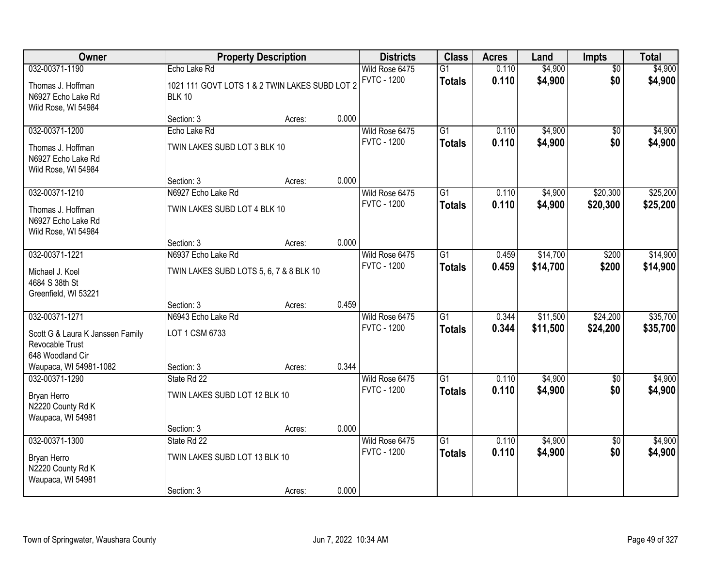| Owner                                                          |                                                                 | <b>Property Description</b> |       | <b>Districts</b>                     | <b>Class</b>                     | <b>Acres</b>   | Land                 | <b>Impts</b>         | <b>Total</b>         |
|----------------------------------------------------------------|-----------------------------------------------------------------|-----------------------------|-------|--------------------------------------|----------------------------------|----------------|----------------------|----------------------|----------------------|
| 032-00371-1190                                                 | Echo Lake Rd                                                    |                             |       | Wild Rose 6475                       | $\overline{G1}$                  | 0.110          | \$4,900              | $\overline{50}$      | \$4,900              |
| Thomas J. Hoffman<br>N6927 Echo Lake Rd<br>Wild Rose, WI 54984 | 1021 111 GOVT LOTS 1 & 2 TWIN LAKES SUBD LOT 2<br><b>BLK 10</b> |                             |       | <b>FVTC - 1200</b>                   | <b>Totals</b>                    | 0.110          | \$4,900              | \$0                  | \$4,900              |
|                                                                | Section: 3                                                      | Acres:                      | 0.000 |                                      |                                  |                |                      |                      |                      |
| 032-00371-1200                                                 | Echo Lake Rd                                                    |                             |       | Wild Rose 6475                       | $\overline{G1}$                  | 0.110          | \$4,900              | $\overline{50}$      | \$4,900              |
| Thomas J. Hoffman<br>N6927 Echo Lake Rd<br>Wild Rose, WI 54984 | TWIN LAKES SUBD LOT 3 BLK 10                                    |                             |       | <b>FVTC - 1200</b>                   | <b>Totals</b>                    | 0.110          | \$4,900              | \$0                  | \$4,900              |
|                                                                | Section: 3                                                      | Acres:                      | 0.000 |                                      |                                  |                |                      |                      |                      |
| 032-00371-1210                                                 | N6927 Echo Lake Rd                                              |                             |       | Wild Rose 6475                       | $\overline{G1}$                  | 0.110          | \$4,900              | \$20,300             | \$25,200             |
| Thomas J. Hoffman<br>N6927 Echo Lake Rd<br>Wild Rose, WI 54984 | TWIN LAKES SUBD LOT 4 BLK 10                                    |                             |       | <b>FVTC - 1200</b>                   | <b>Totals</b>                    | 0.110          | \$4,900              | \$20,300             | \$25,200             |
|                                                                | Section: 3                                                      | Acres:                      | 0.000 |                                      |                                  |                |                      |                      |                      |
| 032-00371-1221                                                 | N6937 Echo Lake Rd                                              |                             |       | Wild Rose 6475                       | $\overline{G1}$                  | 0.459          | \$14,700             | \$200                | \$14,900             |
| Michael J. Koel<br>4684 S 38th St<br>Greenfield, WI 53221      | TWIN LAKES SUBD LOTS 5, 6, 7 & 8 BLK 10                         |                             |       | <b>FVTC - 1200</b>                   | <b>Totals</b>                    | 0.459          | \$14,700             | \$200                | \$14,900             |
|                                                                | Section: 3                                                      | Acres:                      | 0.459 |                                      |                                  |                |                      |                      |                      |
| 032-00371-1271<br>Scott G & Laura K Janssen Family             | N6943 Echo Lake Rd<br>LOT 1 CSM 6733                            |                             |       | Wild Rose 6475<br><b>FVTC - 1200</b> | $\overline{G1}$<br><b>Totals</b> | 0.344<br>0.344 | \$11,500<br>\$11,500 | \$24,200<br>\$24,200 | \$35,700<br>\$35,700 |
| Revocable Trust                                                |                                                                 |                             |       |                                      |                                  |                |                      |                      |                      |
| 648 Woodland Cir<br>Waupaca, WI 54981-1082                     | Section: 3                                                      | Acres:                      | 0.344 |                                      |                                  |                |                      |                      |                      |
| 032-00371-1290                                                 | State Rd 22                                                     |                             |       | Wild Rose 6475                       | $\overline{G1}$                  | 0.110          | \$4,900              | $\sqrt{6}$           | \$4,900              |
| Bryan Herro<br>N2220 County Rd K<br>Waupaca, WI 54981          | TWIN LAKES SUBD LOT 12 BLK 10                                   |                             |       | <b>FVTC - 1200</b>                   | <b>Totals</b>                    | 0.110          | \$4,900              | \$0                  | \$4,900              |
|                                                                | Section: 3                                                      | Acres:                      | 0.000 |                                      |                                  |                |                      |                      |                      |
| 032-00371-1300                                                 | State Rd 22                                                     |                             |       | Wild Rose 6475                       | $\overline{G1}$                  | 0.110          | \$4,900              | $\overline{30}$      | \$4,900              |
| Bryan Herro<br>N2220 County Rd K<br>Waupaca, WI 54981          | TWIN LAKES SUBD LOT 13 BLK 10                                   |                             |       | <b>FVTC - 1200</b>                   | <b>Totals</b>                    | 0.110          | \$4,900              | \$0                  | \$4,900              |
|                                                                | Section: 3                                                      | Acres:                      | 0.000 |                                      |                                  |                |                      |                      |                      |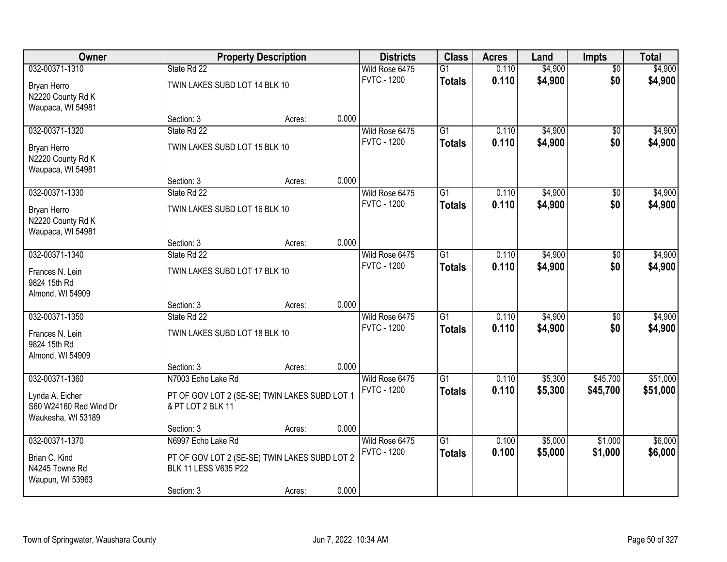| Owner                                     |                                                                    | <b>Property Description</b> |       | <b>Districts</b>                     | <b>Class</b>    | <b>Acres</b> | Land    | <b>Impts</b>    | <b>Total</b> |
|-------------------------------------------|--------------------------------------------------------------------|-----------------------------|-------|--------------------------------------|-----------------|--------------|---------|-----------------|--------------|
| 032-00371-1310                            | State Rd 22                                                        |                             |       | Wild Rose 6475                       | $\overline{G1}$ | 0.110        | \$4,900 | \$0             | \$4,900      |
| Bryan Herro                               | TWIN LAKES SUBD LOT 14 BLK 10                                      |                             |       | <b>FVTC - 1200</b>                   | <b>Totals</b>   | 0.110        | \$4,900 | \$0             | \$4,900      |
| N2220 County Rd K                         |                                                                    |                             |       |                                      |                 |              |         |                 |              |
| Waupaca, WI 54981                         |                                                                    |                             |       |                                      |                 |              |         |                 |              |
|                                           | Section: 3                                                         | Acres:                      | 0.000 |                                      |                 |              |         |                 |              |
| 032-00371-1320                            | State Rd 22                                                        |                             |       | Wild Rose 6475                       | $\overline{G1}$ | 0.110        | \$4,900 | \$0             | \$4,900      |
| Bryan Herro                               | TWIN LAKES SUBD LOT 15 BLK 10                                      |                             |       | <b>FVTC - 1200</b>                   | <b>Totals</b>   | 0.110        | \$4,900 | \$0             | \$4,900      |
| N2220 County Rd K                         |                                                                    |                             |       |                                      |                 |              |         |                 |              |
| Waupaca, WI 54981                         |                                                                    |                             |       |                                      |                 |              |         |                 |              |
|                                           | Section: 3                                                         | Acres:                      | 0.000 |                                      |                 |              |         |                 |              |
| 032-00371-1330                            | State Rd 22                                                        |                             |       | Wild Rose 6475<br><b>FVTC - 1200</b> | $\overline{G1}$ | 0.110        | \$4,900 | \$0             | \$4,900      |
| Bryan Herro                               | TWIN LAKES SUBD LOT 16 BLK 10                                      |                             |       |                                      | <b>Totals</b>   | 0.110        | \$4,900 | \$0             | \$4,900      |
| N2220 County Rd K                         |                                                                    |                             |       |                                      |                 |              |         |                 |              |
| Waupaca, WI 54981                         |                                                                    |                             |       |                                      |                 |              |         |                 |              |
| 032-00371-1340                            | Section: 3<br>State Rd 22                                          | Acres:                      | 0.000 | Wild Rose 6475                       | G1              | 0.110        | \$4,900 |                 | \$4,900      |
|                                           |                                                                    |                             |       | <b>FVTC - 1200</b>                   | <b>Totals</b>   | 0.110        | \$4,900 | \$0<br>\$0      | \$4,900      |
| Frances N. Lein                           | TWIN LAKES SUBD LOT 17 BLK 10                                      |                             |       |                                      |                 |              |         |                 |              |
| 9824 15th Rd                              |                                                                    |                             |       |                                      |                 |              |         |                 |              |
| Almond, WI 54909                          | Section: 3                                                         | Acres:                      | 0.000 |                                      |                 |              |         |                 |              |
| 032-00371-1350                            | State Rd 22                                                        |                             |       | Wild Rose 6475                       | $\overline{G1}$ | 0.110        | \$4,900 | $\overline{50}$ | \$4,900      |
|                                           |                                                                    |                             |       | <b>FVTC - 1200</b>                   | <b>Totals</b>   | 0.110        | \$4,900 | \$0             | \$4,900      |
| Frances N. Lein                           | TWIN LAKES SUBD LOT 18 BLK 10                                      |                             |       |                                      |                 |              |         |                 |              |
| 9824 15th Rd<br>Almond, WI 54909          |                                                                    |                             |       |                                      |                 |              |         |                 |              |
|                                           | Section: 3                                                         | Acres:                      | 0.000 |                                      |                 |              |         |                 |              |
| 032-00371-1360                            | N7003 Echo Lake Rd                                                 |                             |       | Wild Rose 6475                       | $\overline{G1}$ | 0.110        | \$5,300 | \$45,700        | \$51,000     |
|                                           |                                                                    |                             |       | <b>FVTC - 1200</b>                   | <b>Totals</b>   | 0.110        | \$5,300 | \$45,700        | \$51,000     |
| Lynda A. Eicher<br>S60 W24160 Red Wind Dr | PT OF GOV LOT 2 (SE-SE) TWIN LAKES SUBD LOT 1<br>& PT LOT 2 BLK 11 |                             |       |                                      |                 |              |         |                 |              |
| Waukesha, WI 53189                        |                                                                    |                             |       |                                      |                 |              |         |                 |              |
|                                           | Section: 3                                                         | Acres:                      | 0.000 |                                      |                 |              |         |                 |              |
| 032-00371-1370                            | N6997 Echo Lake Rd                                                 |                             |       | Wild Rose 6475                       | $\overline{G1}$ | 0.100        | \$5,000 | \$1,000         | \$6,000      |
| Brian C. Kind                             | PT OF GOV LOT 2 (SE-SE) TWIN LAKES SUBD LOT 2                      |                             |       | <b>FVTC - 1200</b>                   | <b>Totals</b>   | 0.100        | \$5,000 | \$1,000         | \$6,000      |
| N4245 Towne Rd                            | BLK 11 LESS V635 P22                                               |                             |       |                                      |                 |              |         |                 |              |
| Waupun, WI 53963                          |                                                                    |                             |       |                                      |                 |              |         |                 |              |
|                                           | Section: 3                                                         | Acres:                      | 0.000 |                                      |                 |              |         |                 |              |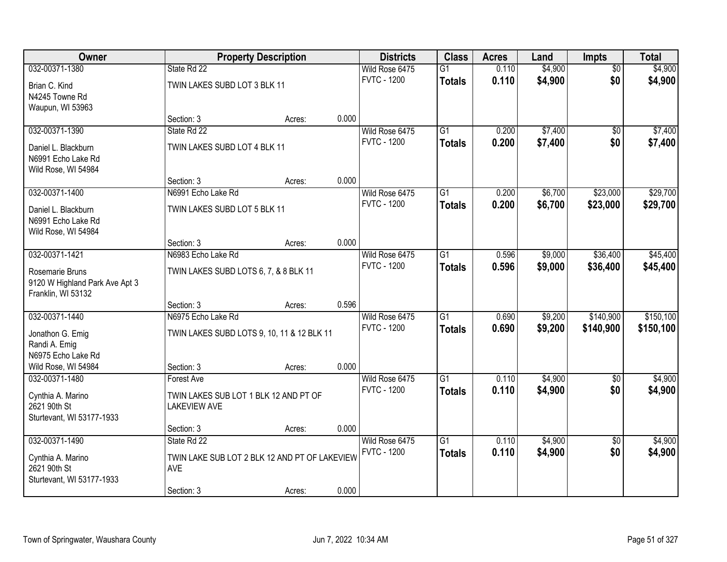| Owner                                     |                                                      | <b>Property Description</b> |       | <b>Districts</b>                     | <b>Class</b>    | <b>Acres</b>   | Land               | <b>Impts</b>         | <b>Total</b> |
|-------------------------------------------|------------------------------------------------------|-----------------------------|-------|--------------------------------------|-----------------|----------------|--------------------|----------------------|--------------|
| 032-00371-1380                            | State Rd 22                                          |                             |       | Wild Rose 6475                       | $\overline{G1}$ | 0.110          | \$4,900            | $\overline{50}$      | \$4,900      |
| Brian C. Kind                             | TWIN LAKES SUBD LOT 3 BLK 11                         |                             |       | <b>FVTC - 1200</b>                   | <b>Totals</b>   | 0.110          | \$4,900            | \$0                  | \$4,900      |
| N4245 Towne Rd                            |                                                      |                             |       |                                      |                 |                |                    |                      |              |
| Waupun, WI 53963                          |                                                      |                             |       |                                      |                 |                |                    |                      |              |
|                                           | Section: 3                                           | Acres:                      | 0.000 |                                      |                 |                |                    |                      |              |
| 032-00371-1390                            | State Rd 22                                          |                             |       | Wild Rose 6475                       | $\overline{G1}$ | 0.200          | \$7,400            | $\overline{30}$      | \$7,400      |
| Daniel L. Blackburn                       | TWIN LAKES SUBD LOT 4 BLK 11                         |                             |       | <b>FVTC - 1200</b>                   | <b>Totals</b>   | 0.200          | \$7,400            | \$0                  | \$7,400      |
| N6991 Echo Lake Rd                        |                                                      |                             |       |                                      |                 |                |                    |                      |              |
| Wild Rose, WI 54984                       |                                                      |                             |       |                                      |                 |                |                    |                      |              |
|                                           | Section: 3                                           | Acres:                      | 0.000 |                                      |                 |                |                    |                      |              |
| 032-00371-1400                            | N6991 Echo Lake Rd                                   |                             |       | Wild Rose 6475<br><b>FVTC - 1200</b> | $\overline{G1}$ | 0.200          | \$6,700            | \$23,000             | \$29,700     |
| Daniel L. Blackburn                       | TWIN LAKES SUBD LOT 5 BLK 11                         |                             |       |                                      | <b>Totals</b>   | 0.200          | \$6,700            | \$23,000             | \$29,700     |
| N6991 Echo Lake Rd                        |                                                      |                             |       |                                      |                 |                |                    |                      |              |
| Wild Rose, WI 54984                       |                                                      |                             |       |                                      |                 |                |                    |                      |              |
| 032-00371-1421                            | Section: 3                                           | Acres:                      | 0.000 |                                      |                 |                |                    |                      |              |
|                                           | N6983 Echo Lake Rd                                   |                             |       | Wild Rose 6475<br><b>FVTC - 1200</b> | $\overline{G1}$ | 0.596<br>0.596 | \$9,000<br>\$9,000 | \$36,400<br>\$36,400 | \$45,400     |
| Rosemarie Bruns                           | TWIN LAKES SUBD LOTS 6, 7, & 8 BLK 11                |                             |       |                                      | <b>Totals</b>   |                |                    |                      | \$45,400     |
| 9120 W Highland Park Ave Apt 3            |                                                      |                             |       |                                      |                 |                |                    |                      |              |
| Franklin, WI 53132                        |                                                      |                             | 0.596 |                                      |                 |                |                    |                      |              |
| 032-00371-1440                            | Section: 3<br>N6975 Echo Lake Rd                     | Acres:                      |       | Wild Rose 6475                       | $\overline{G1}$ | 0.690          | \$9,200            | \$140,900            | \$150,100    |
|                                           |                                                      |                             |       | <b>FVTC - 1200</b>                   | <b>Totals</b>   | 0.690          | \$9,200            | \$140,900            | \$150,100    |
| Jonathon G. Emig                          | TWIN LAKES SUBD LOTS 9, 10, 11 & 12 BLK 11           |                             |       |                                      |                 |                |                    |                      |              |
| Randi A. Emig                             |                                                      |                             |       |                                      |                 |                |                    |                      |              |
| N6975 Echo Lake Rd<br>Wild Rose, WI 54984 | Section: 3                                           | Acres:                      | 0.000 |                                      |                 |                |                    |                      |              |
| 032-00371-1480                            | <b>Forest Ave</b>                                    |                             |       | Wild Rose 6475                       | $\overline{G1}$ | 0.110          | \$4,900            | $\overline{50}$      | \$4,900      |
|                                           |                                                      |                             |       | <b>FVTC - 1200</b>                   | <b>Totals</b>   | 0.110          | \$4,900            | \$0                  | \$4,900      |
| Cynthia A. Marino                         | TWIN LAKES SUB LOT 1 BLK 12 AND PT OF                |                             |       |                                      |                 |                |                    |                      |              |
| 2621 90th St<br>Sturtevant, WI 53177-1933 | <b>LAKEVIEW AVE</b>                                  |                             |       |                                      |                 |                |                    |                      |              |
|                                           | Section: 3                                           | Acres:                      | 0.000 |                                      |                 |                |                    |                      |              |
| 032-00371-1490                            | State Rd 22                                          |                             |       | Wild Rose 6475                       | $\overline{G1}$ | 0.110          | \$4,900            | $\overline{30}$      | \$4,900      |
|                                           |                                                      |                             |       | <b>FVTC - 1200</b>                   | <b>Totals</b>   | 0.110          | \$4,900            | \$0                  | \$4,900      |
| Cynthia A. Marino<br>2621 90th St         | TWIN LAKE SUB LOT 2 BLK 12 AND PT OF LAKEVIEW<br>AVE |                             |       |                                      |                 |                |                    |                      |              |
| Sturtevant, WI 53177-1933                 |                                                      |                             |       |                                      |                 |                |                    |                      |              |
|                                           | Section: 3                                           | Acres:                      | 0.000 |                                      |                 |                |                    |                      |              |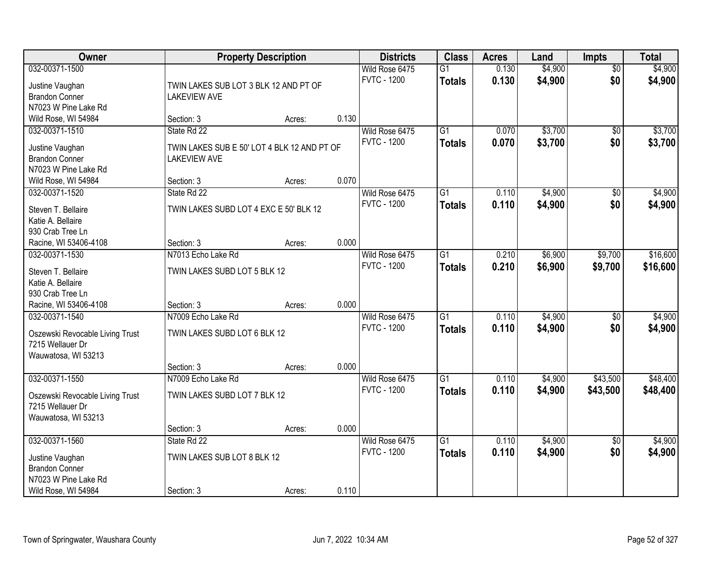| Owner                                    | <b>Property Description</b>                                  |        |       | <b>Districts</b>                     | <b>Class</b>                     | <b>Acres</b>   | Land               | <b>Impts</b>    | <b>Total</b>       |
|------------------------------------------|--------------------------------------------------------------|--------|-------|--------------------------------------|----------------------------------|----------------|--------------------|-----------------|--------------------|
| 032-00371-1500                           |                                                              |        |       | Wild Rose 6475<br><b>FVTC - 1200</b> | $\overline{G1}$<br><b>Totals</b> | 0.130<br>0.130 | \$4,900<br>\$4,900 | \$0<br>\$0      | \$4,900<br>\$4,900 |
| Justine Vaughan<br><b>Brandon Conner</b> | TWIN LAKES SUB LOT 3 BLK 12 AND PT OF<br><b>LAKEVIEW AVE</b> |        |       |                                      |                                  |                |                    |                 |                    |
| N7023 W Pine Lake Rd                     |                                                              |        |       |                                      |                                  |                |                    |                 |                    |
| Wild Rose, WI 54984                      | Section: 3                                                   | Acres: | 0.130 |                                      |                                  |                |                    |                 |                    |
| 032-00371-1510                           | State Rd 22                                                  |        |       | Wild Rose 6475                       | $\overline{G1}$                  | 0.070          | \$3,700            | \$0             | \$3,700            |
|                                          |                                                              |        |       | <b>FVTC - 1200</b>                   | <b>Totals</b>                    | 0.070          | \$3,700            | \$0             | \$3,700            |
| Justine Vaughan                          | TWIN LAKES SUB E 50' LOT 4 BLK 12 AND PT OF                  |        |       |                                      |                                  |                |                    |                 |                    |
| <b>Brandon Conner</b>                    | <b>LAKEVIEW AVE</b>                                          |        |       |                                      |                                  |                |                    |                 |                    |
| N7023 W Pine Lake Rd                     |                                                              |        |       |                                      |                                  |                |                    |                 |                    |
| Wild Rose, WI 54984                      | Section: 3                                                   | Acres: | 0.070 |                                      |                                  |                |                    |                 |                    |
| 032-00371-1520                           | State Rd 22                                                  |        |       | Wild Rose 6475                       | $\overline{G1}$                  | 0.110          | \$4,900            | \$0             | \$4,900            |
| Steven T. Bellaire                       | TWIN LAKES SUBD LOT 4 EXC E 50' BLK 12                       |        |       | <b>FVTC - 1200</b>                   | <b>Totals</b>                    | 0.110          | \$4,900            | \$0             | \$4,900            |
| Katie A. Bellaire                        |                                                              |        |       |                                      |                                  |                |                    |                 |                    |
| 930 Crab Tree Ln                         |                                                              |        |       |                                      |                                  |                |                    |                 |                    |
| Racine, WI 53406-4108                    | Section: 3                                                   | Acres: | 0.000 |                                      |                                  |                |                    |                 |                    |
| 032-00371-1530                           | N7013 Echo Lake Rd                                           |        |       | Wild Rose 6475                       | $\overline{G1}$                  | 0.210          | \$6,900            | \$9,700         | \$16,600           |
|                                          |                                                              |        |       | <b>FVTC - 1200</b>                   | <b>Totals</b>                    | 0.210          | \$6,900            | \$9,700         | \$16,600           |
| Steven T. Bellaire                       | TWIN LAKES SUBD LOT 5 BLK 12                                 |        |       |                                      |                                  |                |                    |                 |                    |
| Katie A. Bellaire                        |                                                              |        |       |                                      |                                  |                |                    |                 |                    |
| 930 Crab Tree Ln                         |                                                              |        |       |                                      |                                  |                |                    |                 |                    |
| Racine, WI 53406-4108                    | Section: 3                                                   | Acres: | 0.000 |                                      |                                  |                |                    |                 |                    |
| 032-00371-1540                           | N7009 Echo Lake Rd                                           |        |       | Wild Rose 6475                       | $\overline{G1}$                  | 0.110          | \$4,900            | \$0             | \$4,900            |
| Oszewski Revocable Living Trust          | TWIN LAKES SUBD LOT 6 BLK 12                                 |        |       | <b>FVTC - 1200</b>                   | <b>Totals</b>                    | 0.110          | \$4,900            | \$0             | \$4,900            |
| 7215 Wellauer Dr                         |                                                              |        |       |                                      |                                  |                |                    |                 |                    |
| Wauwatosa, WI 53213                      |                                                              |        |       |                                      |                                  |                |                    |                 |                    |
|                                          | Section: 3                                                   | Acres: | 0.000 |                                      |                                  |                |                    |                 |                    |
| 032-00371-1550                           | N7009 Echo Lake Rd                                           |        |       | Wild Rose 6475                       | $\overline{G1}$                  | 0.110          | \$4,900            | \$43,500        | \$48,400           |
| Oszewski Revocable Living Trust          | TWIN LAKES SUBD LOT 7 BLK 12                                 |        |       | <b>FVTC - 1200</b>                   | <b>Totals</b>                    | 0.110          | \$4,900            | \$43,500        | \$48,400           |
| 7215 Wellauer Dr                         |                                                              |        |       |                                      |                                  |                |                    |                 |                    |
| Wauwatosa, WI 53213                      |                                                              |        |       |                                      |                                  |                |                    |                 |                    |
|                                          | Section: 3                                                   | Acres: | 0.000 |                                      |                                  |                |                    |                 |                    |
| 032-00371-1560                           | State Rd 22                                                  |        |       | Wild Rose 6475                       | $\overline{G1}$                  | 0.110          | \$4,900            | $\overline{50}$ | \$4,900            |
|                                          |                                                              |        |       | <b>FVTC - 1200</b>                   | <b>Totals</b>                    | 0.110          | \$4,900            | \$0             | \$4,900            |
| Justine Vaughan                          | TWIN LAKES SUB LOT 8 BLK 12                                  |        |       |                                      |                                  |                |                    |                 |                    |
| <b>Brandon Conner</b>                    |                                                              |        |       |                                      |                                  |                |                    |                 |                    |
| N7023 W Pine Lake Rd                     |                                                              |        |       |                                      |                                  |                |                    |                 |                    |
| Wild Rose, WI 54984                      | Section: 3                                                   | Acres: | 0.110 |                                      |                                  |                |                    |                 |                    |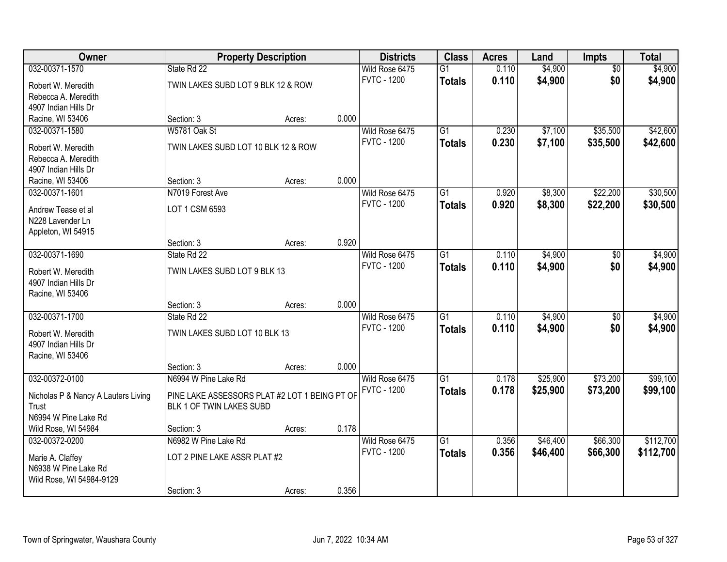| \$4,900<br>032-00371-1570<br>State Rd 22<br>\$4,900<br>Wild Rose 6475<br>$\overline{G1}$<br>0.110<br>$\overline{30}$<br>\$0<br><b>FVTC - 1200</b><br>0.110<br>\$4,900<br>\$4,900<br><b>Totals</b><br>TWIN LAKES SUBD LOT 9 BLK 12 & ROW<br>Robert W. Meredith<br>Rebecca A. Meredith<br>4907 Indian Hills Dr<br>0.000<br>Racine, WI 53406<br>Section: 3<br>Acres:<br>W5781 Oak St<br>$\overline{G1}$<br>\$7,100<br>\$35,500<br>\$42,600<br>032-00371-1580<br>Wild Rose 6475<br>0.230<br><b>FVTC - 1200</b><br>0.230<br>\$7,100<br>\$35,500<br>\$42,600<br><b>Totals</b><br>TWIN LAKES SUBD LOT 10 BLK 12 & ROW<br>Robert W. Meredith<br>Rebecca A. Meredith<br>4907 Indian Hills Dr<br>0.000<br>Section: 3<br>Racine, WI 53406<br>Acres:<br>\$30,500<br>032-00371-1601<br>N7019 Forest Ave<br>$\overline{G1}$<br>\$8,300<br>\$22,200<br>Wild Rose 6475<br>0.920 |
|-----------------------------------------------------------------------------------------------------------------------------------------------------------------------------------------------------------------------------------------------------------------------------------------------------------------------------------------------------------------------------------------------------------------------------------------------------------------------------------------------------------------------------------------------------------------------------------------------------------------------------------------------------------------------------------------------------------------------------------------------------------------------------------------------------------------------------------------------------------------|
|                                                                                                                                                                                                                                                                                                                                                                                                                                                                                                                                                                                                                                                                                                                                                                                                                                                                 |
|                                                                                                                                                                                                                                                                                                                                                                                                                                                                                                                                                                                                                                                                                                                                                                                                                                                                 |
|                                                                                                                                                                                                                                                                                                                                                                                                                                                                                                                                                                                                                                                                                                                                                                                                                                                                 |
|                                                                                                                                                                                                                                                                                                                                                                                                                                                                                                                                                                                                                                                                                                                                                                                                                                                                 |
|                                                                                                                                                                                                                                                                                                                                                                                                                                                                                                                                                                                                                                                                                                                                                                                                                                                                 |
|                                                                                                                                                                                                                                                                                                                                                                                                                                                                                                                                                                                                                                                                                                                                                                                                                                                                 |
|                                                                                                                                                                                                                                                                                                                                                                                                                                                                                                                                                                                                                                                                                                                                                                                                                                                                 |
|                                                                                                                                                                                                                                                                                                                                                                                                                                                                                                                                                                                                                                                                                                                                                                                                                                                                 |
|                                                                                                                                                                                                                                                                                                                                                                                                                                                                                                                                                                                                                                                                                                                                                                                                                                                                 |
|                                                                                                                                                                                                                                                                                                                                                                                                                                                                                                                                                                                                                                                                                                                                                                                                                                                                 |
|                                                                                                                                                                                                                                                                                                                                                                                                                                                                                                                                                                                                                                                                                                                                                                                                                                                                 |
| <b>FVTC - 1200</b><br>0.920<br>\$8,300<br>\$22,200<br>\$30,500<br><b>Totals</b><br>LOT 1 CSM 6593<br>Andrew Tease et al                                                                                                                                                                                                                                                                                                                                                                                                                                                                                                                                                                                                                                                                                                                                         |
| N228 Lavender Ln                                                                                                                                                                                                                                                                                                                                                                                                                                                                                                                                                                                                                                                                                                                                                                                                                                                |
| Appleton, WI 54915                                                                                                                                                                                                                                                                                                                                                                                                                                                                                                                                                                                                                                                                                                                                                                                                                                              |
| 0.920<br>Section: 3<br>Acres:                                                                                                                                                                                                                                                                                                                                                                                                                                                                                                                                                                                                                                                                                                                                                                                                                                   |
| \$4,900<br>032-00371-1690<br>Wild Rose 6475<br>$\overline{G1}$<br>0.110<br>\$4,900<br>State Rd 22<br>\$0                                                                                                                                                                                                                                                                                                                                                                                                                                                                                                                                                                                                                                                                                                                                                        |
| <b>FVTC - 1200</b><br>0.110<br>\$0<br>\$4,900<br>\$4,900<br><b>Totals</b><br>TWIN LAKES SUBD LOT 9 BLK 13<br>Robert W. Meredith                                                                                                                                                                                                                                                                                                                                                                                                                                                                                                                                                                                                                                                                                                                                 |
| 4907 Indian Hills Dr                                                                                                                                                                                                                                                                                                                                                                                                                                                                                                                                                                                                                                                                                                                                                                                                                                            |
| Racine, WI 53406                                                                                                                                                                                                                                                                                                                                                                                                                                                                                                                                                                                                                                                                                                                                                                                                                                                |
| 0.000<br>Section: 3<br>Acres:                                                                                                                                                                                                                                                                                                                                                                                                                                                                                                                                                                                                                                                                                                                                                                                                                                   |
| 032-00371-1700<br>$\overline{G1}$<br>\$4,900<br>State Rd 22<br>0.110<br>\$4,900<br>Wild Rose 6475<br>\$0                                                                                                                                                                                                                                                                                                                                                                                                                                                                                                                                                                                                                                                                                                                                                        |
| <b>FVTC - 1200</b><br>\$4,900<br>\$0<br>0.110<br>\$4,900<br><b>Totals</b>                                                                                                                                                                                                                                                                                                                                                                                                                                                                                                                                                                                                                                                                                                                                                                                       |
| TWIN LAKES SUBD LOT 10 BLK 13<br>Robert W. Meredith<br>4907 Indian Hills Dr                                                                                                                                                                                                                                                                                                                                                                                                                                                                                                                                                                                                                                                                                                                                                                                     |
| Racine, WI 53406                                                                                                                                                                                                                                                                                                                                                                                                                                                                                                                                                                                                                                                                                                                                                                                                                                                |
| 0.000<br>Section: 3<br>Acres:                                                                                                                                                                                                                                                                                                                                                                                                                                                                                                                                                                                                                                                                                                                                                                                                                                   |
| N6994 W Pine Lake Rd<br>$\overline{G1}$<br>\$25,900<br>\$73,200<br>\$99,100<br>032-00372-0100<br>Wild Rose 6475<br>0.178                                                                                                                                                                                                                                                                                                                                                                                                                                                                                                                                                                                                                                                                                                                                        |
| <b>FVTC - 1200</b><br>0.178<br>\$25,900<br>\$73,200<br>\$99,100<br><b>Totals</b>                                                                                                                                                                                                                                                                                                                                                                                                                                                                                                                                                                                                                                                                                                                                                                                |
| PINE LAKE ASSESSORS PLAT #2 LOT 1 BEING PT OF<br>Nicholas P & Nancy A Lauters Living<br>Trust<br>BLK 1 OF TWIN LAKES SUBD                                                                                                                                                                                                                                                                                                                                                                                                                                                                                                                                                                                                                                                                                                                                       |
| N6994 W Pine Lake Rd                                                                                                                                                                                                                                                                                                                                                                                                                                                                                                                                                                                                                                                                                                                                                                                                                                            |
| 0.178<br>Wild Rose, WI 54984<br>Section: 3<br>Acres:                                                                                                                                                                                                                                                                                                                                                                                                                                                                                                                                                                                                                                                                                                                                                                                                            |
| N6982 W Pine Lake Rd<br>$\overline{G1}$<br>\$46,400<br>\$66,300<br>\$112,700<br>032-00372-0200<br>Wild Rose 6475<br>0.356                                                                                                                                                                                                                                                                                                                                                                                                                                                                                                                                                                                                                                                                                                                                       |
| <b>FVTC - 1200</b><br>0.356<br>\$46,400<br>\$66,300<br>\$112,700<br><b>Totals</b>                                                                                                                                                                                                                                                                                                                                                                                                                                                                                                                                                                                                                                                                                                                                                                               |
| LOT 2 PINE LAKE ASSR PLAT #2<br>Marie A. Claffey<br>N6938 W Pine Lake Rd                                                                                                                                                                                                                                                                                                                                                                                                                                                                                                                                                                                                                                                                                                                                                                                        |
| Wild Rose, WI 54984-9129                                                                                                                                                                                                                                                                                                                                                                                                                                                                                                                                                                                                                                                                                                                                                                                                                                        |
| 0.356<br>Section: 3<br>Acres:                                                                                                                                                                                                                                                                                                                                                                                                                                                                                                                                                                                                                                                                                                                                                                                                                                   |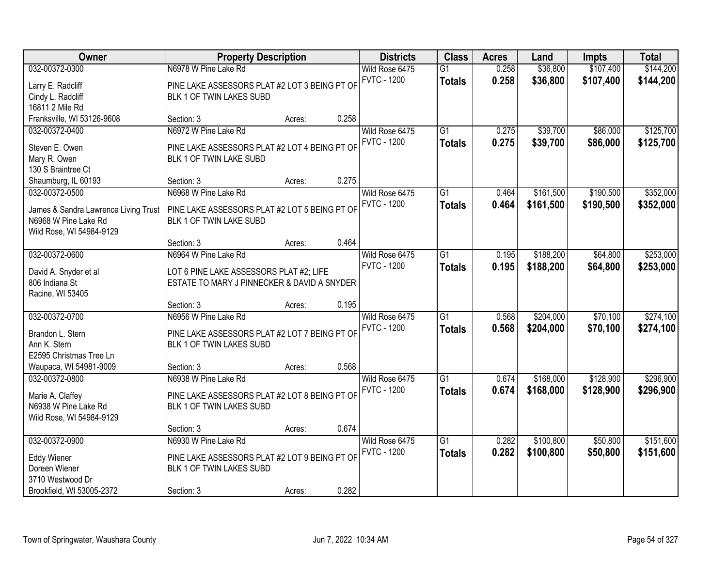| Owner                                 | <b>Property Description</b>                   |        |       | <b>Districts</b>   | <b>Class</b>    | <b>Acres</b> | Land      | Impts     | <b>Total</b> |
|---------------------------------------|-----------------------------------------------|--------|-------|--------------------|-----------------|--------------|-----------|-----------|--------------|
| 032-00372-0300                        | N6978 W Pine Lake Rd                          |        |       | Wild Rose 6475     | $\overline{G1}$ | 0.258        | \$36,800  | \$107,400 | \$144,200    |
| Larry E. Radcliff                     | PINE LAKE ASSESSORS PLAT #2 LOT 3 BEING PT OF |        |       | <b>FVTC - 1200</b> | <b>Totals</b>   | 0.258        | \$36,800  | \$107,400 | \$144,200    |
| Cindy L. Radcliff                     | BLK 1 OF TWIN LAKES SUBD                      |        |       |                    |                 |              |           |           |              |
| 16811 2 Mile Rd                       |                                               |        |       |                    |                 |              |           |           |              |
| Franksville, WI 53126-9608            | Section: 3                                    | Acres: | 0.258 |                    |                 |              |           |           |              |
| 032-00372-0400                        | N6972 W Pine Lake Rd                          |        |       | Wild Rose 6475     | $\overline{G1}$ | 0.275        | \$39,700  | \$86,000  | \$125,700    |
|                                       |                                               |        |       | <b>FVTC - 1200</b> | <b>Totals</b>   | 0.275        | \$39,700  | \$86,000  | \$125,700    |
| Steven E. Owen                        | PINE LAKE ASSESSORS PLAT #2 LOT 4 BEING PT OF |        |       |                    |                 |              |           |           |              |
| Mary R. Owen<br>130 S Braintree Ct    | BLK 1 OF TWIN LAKE SUBD                       |        |       |                    |                 |              |           |           |              |
|                                       | Section: 3                                    |        | 0.275 |                    |                 |              |           |           |              |
| Shaumburg, IL 60193<br>032-00372-0500 | N6968 W Pine Lake Rd                          | Acres: |       |                    | G1              |              |           |           |              |
|                                       |                                               |        |       | Wild Rose 6475     |                 | 0.464        | \$161,500 | \$190,500 | \$352,000    |
| James & Sandra Lawrence Living Trust  | PINE LAKE ASSESSORS PLAT #2 LOT 5 BEING PT OF |        |       | <b>FVTC - 1200</b> | <b>Totals</b>   | 0.464        | \$161,500 | \$190,500 | \$352,000    |
| N6968 W Pine Lake Rd                  | BLK 1 OF TWIN LAKE SUBD                       |        |       |                    |                 |              |           |           |              |
| Wild Rose, WI 54984-9129              |                                               |        |       |                    |                 |              |           |           |              |
|                                       | Section: 3                                    | Acres: | 0.464 |                    |                 |              |           |           |              |
| 032-00372-0600                        | N6964 W Pine Lake Rd                          |        |       | Wild Rose 6475     | $\overline{G1}$ | 0.195        | \$188,200 | \$64,800  | \$253,000    |
| David A. Snyder et al                 | LOT 6 PINE LAKE ASSESSORS PLAT #2; LIFE       |        |       | <b>FVTC - 1200</b> | <b>Totals</b>   | 0.195        | \$188,200 | \$64,800  | \$253,000    |
| 806 Indiana St                        | ESTATE TO MARY J PINNECKER & DAVID A SNYDER   |        |       |                    |                 |              |           |           |              |
| Racine, WI 53405                      |                                               |        |       |                    |                 |              |           |           |              |
|                                       | Section: 3                                    | Acres: | 0.195 |                    |                 |              |           |           |              |
| 032-00372-0700                        | N6956 W Pine Lake Rd                          |        |       | Wild Rose 6475     | $\overline{G1}$ | 0.568        | \$204,000 | \$70,100  | \$274,100    |
|                                       |                                               |        |       | <b>FVTC - 1200</b> | <b>Totals</b>   | 0.568        | \$204,000 | \$70,100  | \$274,100    |
| Brandon L. Stern                      | PINE LAKE ASSESSORS PLAT #2 LOT 7 BEING PT OF |        |       |                    |                 |              |           |           |              |
| Ann K. Stern                          | BLK 1 OF TWIN LAKES SUBD                      |        |       |                    |                 |              |           |           |              |
| E2595 Christmas Tree Ln               |                                               |        |       |                    |                 |              |           |           |              |
| Waupaca, WI 54981-9009                | Section: 3                                    | Acres: | 0.568 |                    |                 |              |           |           |              |
| 032-00372-0800                        | N6938 W Pine Lake Rd                          |        |       | Wild Rose 6475     | $\overline{G1}$ | 0.674        | \$168,000 | \$128,900 | \$296,900    |
| Marie A. Claffey                      | PINE LAKE ASSESSORS PLAT #2 LOT 8 BEING PT OF |        |       | <b>FVTC - 1200</b> | <b>Totals</b>   | 0.674        | \$168,000 | \$128,900 | \$296,900    |
| N6938 W Pine Lake Rd                  | BLK 1 OF TWIN LAKES SUBD                      |        |       |                    |                 |              |           |           |              |
| Wild Rose, WI 54984-9129              |                                               |        |       |                    |                 |              |           |           |              |
|                                       | Section: 3                                    | Acres: | 0.674 |                    |                 |              |           |           |              |
| 032-00372-0900                        | N6930 W Pine Lake Rd                          |        |       | Wild Rose 6475     | $\overline{G1}$ | 0.282        | \$100,800 | \$50,800  | \$151,600    |
|                                       |                                               |        |       | <b>FVTC - 1200</b> | <b>Totals</b>   | 0.282        | \$100,800 | \$50,800  | \$151,600    |
| <b>Eddy Wiener</b>                    | PINE LAKE ASSESSORS PLAT #2 LOT 9 BEING PT OF |        |       |                    |                 |              |           |           |              |
| Doreen Wiener                         | BLK 1 OF TWIN LAKES SUBD                      |        |       |                    |                 |              |           |           |              |
| 3710 Westwood Dr                      |                                               |        |       |                    |                 |              |           |           |              |
| Brookfield, WI 53005-2372             | Section: 3                                    | Acres: | 0.282 |                    |                 |              |           |           |              |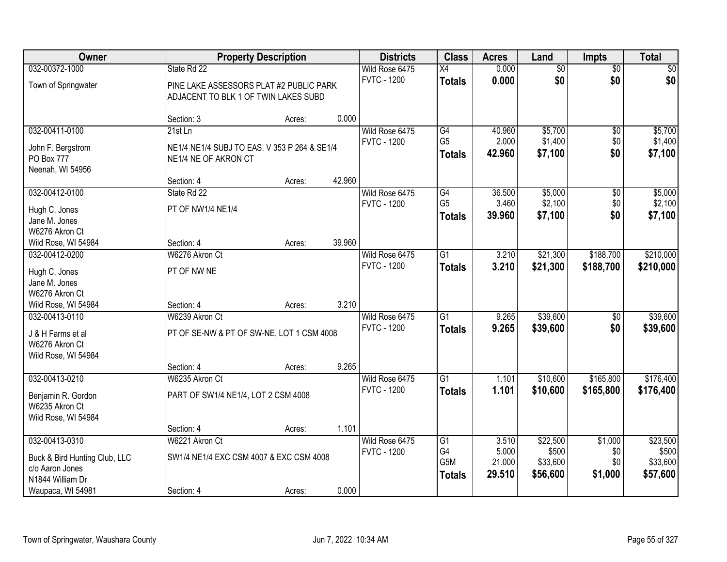| Owner                         |                                              | <b>Property Description</b> |        | <b>Districts</b>   | <b>Class</b>     | <b>Acres</b> | Land            | <b>Impts</b>    | <b>Total</b> |
|-------------------------------|----------------------------------------------|-----------------------------|--------|--------------------|------------------|--------------|-----------------|-----------------|--------------|
| 032-00372-1000                | State Rd 22                                  |                             |        | Wild Rose 6475     | $\overline{X4}$  | 0.000        | $\overline{60}$ | $\overline{50}$ | \$0          |
| Town of Springwater           | PINE LAKE ASSESSORS PLAT #2 PUBLIC PARK      |                             |        | <b>FVTC - 1200</b> | <b>Totals</b>    | 0.000        | \$0             | \$0             | \$0          |
|                               | ADJACENT TO BLK 1 OF TWIN LAKES SUBD         |                             |        |                    |                  |              |                 |                 |              |
|                               |                                              |                             |        |                    |                  |              |                 |                 |              |
|                               | Section: 3                                   | Acres:                      | 0.000  |                    |                  |              |                 |                 |              |
| 032-00411-0100                | $21st$ Ln                                    |                             |        | Wild Rose 6475     | G4               | 40.960       | \$5,700         | \$0             | \$5,700      |
| John F. Bergstrom             | NE1/4 NE1/4 SUBJ TO EAS. V 353 P 264 & SE1/4 |                             |        | <b>FVTC - 1200</b> | G <sub>5</sub>   | 2.000        | \$1,400         | \$0<br>\$0      | \$1,400      |
| PO Box 777                    | NE1/4 NE OF AKRON CT                         |                             |        |                    | <b>Totals</b>    | 42.960       | \$7,100         |                 | \$7,100      |
| Neenah, WI 54956              |                                              |                             |        |                    |                  |              |                 |                 |              |
|                               | Section: 4                                   | Acres:                      | 42.960 |                    |                  |              |                 |                 |              |
| 032-00412-0100                | State Rd 22                                  |                             |        | Wild Rose 6475     | G4               | 36.500       | \$5,000         | \$0             | \$5,000      |
| Hugh C. Jones                 | PT OF NW1/4 NE1/4                            |                             |        | <b>FVTC - 1200</b> | G <sub>5</sub>   | 3.460        | \$2,100         | \$0             | \$2,100      |
| Jane M. Jones                 |                                              |                             |        |                    | <b>Totals</b>    | 39.960       | \$7,100         | \$0             | \$7,100      |
| W6276 Akron Ct                |                                              |                             |        |                    |                  |              |                 |                 |              |
| Wild Rose, WI 54984           | Section: 4                                   | Acres:                      | 39.960 |                    |                  |              |                 |                 |              |
| 032-00412-0200                | W6276 Akron Ct                               |                             |        | Wild Rose 6475     | $\overline{G1}$  | 3.210        | \$21,300        | \$188,700       | \$210,000    |
| Hugh C. Jones                 | PT OF NW NE                                  |                             |        | <b>FVTC - 1200</b> | <b>Totals</b>    | 3.210        | \$21,300        | \$188,700       | \$210,000    |
| Jane M. Jones                 |                                              |                             |        |                    |                  |              |                 |                 |              |
| W6276 Akron Ct                |                                              |                             |        |                    |                  |              |                 |                 |              |
| Wild Rose, WI 54984           | Section: 4                                   | Acres:                      | 3.210  |                    |                  |              |                 |                 |              |
| 032-00413-0110                | W6239 Akron Ct                               |                             |        | Wild Rose 6475     | $\overline{G1}$  | 9.265        | \$39,600        | $\overline{50}$ | \$39,600     |
| J & H Farms et al             | PT OF SE-NW & PT OF SW-NE, LOT 1 CSM 4008    |                             |        | <b>FVTC - 1200</b> | <b>Totals</b>    | 9.265        | \$39,600        | \$0             | \$39,600     |
| W6276 Akron Ct                |                                              |                             |        |                    |                  |              |                 |                 |              |
| Wild Rose, WI 54984           |                                              |                             |        |                    |                  |              |                 |                 |              |
|                               | Section: 4                                   | Acres:                      | 9.265  |                    |                  |              |                 |                 |              |
| 032-00413-0210                | W6235 Akron Ct                               |                             |        | Wild Rose 6475     | $\overline{G1}$  | 1.101        | \$10,600        | \$165,800       | \$176,400    |
| Benjamin R. Gordon            | PART OF SW1/4 NE1/4, LOT 2 CSM 4008          |                             |        | <b>FVTC - 1200</b> | <b>Totals</b>    | 1.101        | \$10,600        | \$165,800       | \$176,400    |
| W6235 Akron Ct                |                                              |                             |        |                    |                  |              |                 |                 |              |
| Wild Rose, WI 54984           |                                              |                             |        |                    |                  |              |                 |                 |              |
|                               | Section: 4                                   | Acres:                      | 1.101  |                    |                  |              |                 |                 |              |
| 032-00413-0310                | W6221 Akron Ct                               |                             |        | Wild Rose 6475     | G1               | 3.510        | \$22,500        | \$1,000         | \$23,500     |
| Buck & Bird Hunting Club, LLC | SW1/4 NE1/4 EXC CSM 4007 & EXC CSM 4008      |                             |        | <b>FVTC - 1200</b> | G4               | 5.000        | \$500           | \$0             | \$500        |
| c/o Aaron Jones               |                                              |                             |        |                    | G <sub>5</sub> M | 21.000       | \$33,600        | \$0             | \$33,600     |
| N1844 William Dr              |                                              |                             |        |                    | <b>Totals</b>    | 29.510       | \$56,600        | \$1,000         | \$57,600     |
| Waupaca, WI 54981             | Section: 4                                   | Acres:                      | 0.000  |                    |                  |              |                 |                 |              |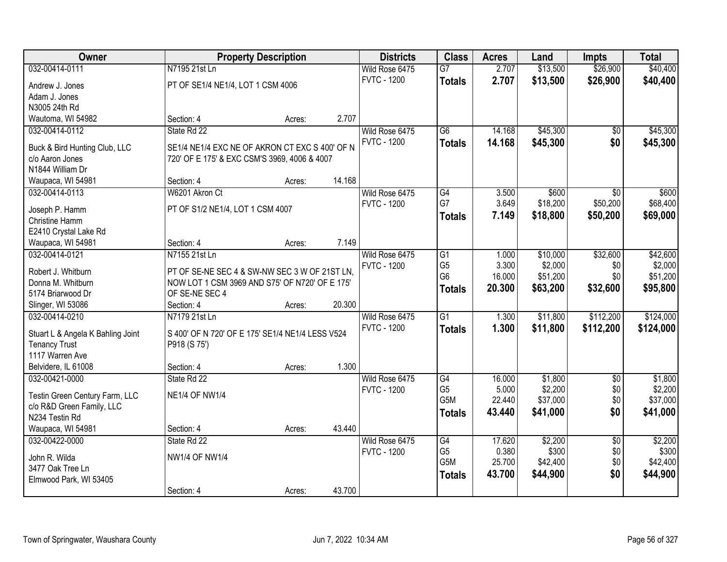| Owner                             |                                                  | <b>Property Description</b> |        | <b>Districts</b>   | <b>Class</b>          | <b>Acres</b>    | Land              | <b>Impts</b>    | <b>Total</b>      |
|-----------------------------------|--------------------------------------------------|-----------------------------|--------|--------------------|-----------------------|-----------------|-------------------|-----------------|-------------------|
| 032-00414-0111                    | N7195 21st Ln                                    |                             |        | Wild Rose 6475     | $\overline{G7}$       | 2.707           | \$13,500          | \$26,900        | \$40,400          |
| Andrew J. Jones                   | PT OF SE1/4 NE1/4, LOT 1 CSM 4006                |                             |        | <b>FVTC - 1200</b> | <b>Totals</b>         | 2.707           | \$13,500          | \$26,900        | \$40,400          |
| Adam J. Jones                     |                                                  |                             |        |                    |                       |                 |                   |                 |                   |
| N3005 24th Rd                     |                                                  |                             |        |                    |                       |                 |                   |                 |                   |
| Wautoma, WI 54982                 | Section: 4                                       | Acres:                      | 2.707  |                    |                       |                 |                   |                 |                   |
| 032-00414-0112                    | State Rd 22                                      |                             |        | Wild Rose 6475     | $\overline{G6}$       | 14.168          | \$45,300          | \$0             | \$45,300          |
|                                   |                                                  |                             |        | <b>FVTC - 1200</b> | <b>Totals</b>         | 14.168          | \$45,300          | \$0             | \$45,300          |
| Buck & Bird Hunting Club, LLC     | SE1/4 NE1/4 EXC NE OF AKRON CT EXC S 400' OF N   |                             |        |                    |                       |                 |                   |                 |                   |
| c/o Aaron Jones                   | 720' OF E 175' & EXC CSM'S 3969, 4006 & 4007     |                             |        |                    |                       |                 |                   |                 |                   |
| N1844 William Dr                  |                                                  |                             |        |                    |                       |                 |                   |                 |                   |
| Waupaca, WI 54981                 | Section: 4                                       | Acres:                      | 14.168 |                    |                       |                 |                   |                 |                   |
| 032-00414-0113                    | W6201 Akron Ct                                   |                             |        | Wild Rose 6475     | G4                    | 3.500           | \$600             | \$0             | \$600             |
| Joseph P. Hamm                    | PT OF S1/2 NE1/4, LOT 1 CSM 4007                 |                             |        | <b>FVTC - 1200</b> | G7                    | 3.649           | \$18,200          | \$50,200        | \$68,400          |
| Christine Hamm                    |                                                  |                             |        |                    | <b>Totals</b>         | 7.149           | \$18,800          | \$50,200        | \$69,000          |
| E2410 Crystal Lake Rd             |                                                  |                             |        |                    |                       |                 |                   |                 |                   |
| Waupaca, WI 54981                 | Section: 4                                       | Acres:                      | 7.149  |                    |                       |                 |                   |                 |                   |
| 032-00414-0121                    | N7155 21st Ln                                    |                             |        | Wild Rose 6475     | $\overline{G1}$       | 1.000           | \$10,000          | \$32,600        | \$42,600          |
|                                   |                                                  |                             |        | <b>FVTC - 1200</b> | G <sub>5</sub>        | 3.300           | \$2,000           | \$0             | \$2,000           |
| Robert J. Whitburn                | PT OF SE-NE SEC 4 & SW-NW SEC 3 W OF 21ST LN,    |                             |        |                    | G <sub>6</sub>        | 16.000          | \$51,200          | \$0             | \$51,200          |
| Donna M. Whitburn                 | NOW LOT 1 CSM 3969 AND S75' OF N720' OF E 175'   |                             |        |                    | <b>Totals</b>         | 20.300          | \$63,200          | \$32,600        | \$95,800          |
| 5174 Briarwood Dr                 | OF SE-NE SEC 4                                   |                             |        |                    |                       |                 |                   |                 |                   |
| Slinger, WI 53086                 | Section: 4                                       | Acres:                      | 20.300 |                    |                       |                 |                   |                 |                   |
| 032-00414-0210                    | N7179 21st Ln                                    |                             |        | Wild Rose 6475     | $\overline{G1}$       | 1.300           | \$11,800          | \$112,200       | \$124,000         |
| Stuart L & Angela K Bahling Joint | S 400' OF N 720' OF E 175' SE1/4 NE1/4 LESS V524 |                             |        | <b>FVTC - 1200</b> | <b>Totals</b>         | 1.300           | \$11,800          | \$112,200       | \$124,000         |
| <b>Tenancy Trust</b>              | P918 (S 75')                                     |                             |        |                    |                       |                 |                   |                 |                   |
| 1117 Warren Ave                   |                                                  |                             |        |                    |                       |                 |                   |                 |                   |
| Belvidere, IL 61008               | Section: 4                                       | Acres:                      | 1.300  |                    |                       |                 |                   |                 |                   |
| 032-00421-0000                    | State Rd 22                                      |                             |        | Wild Rose 6475     | G4                    | 16.000          | \$1,800           | $\sqrt{6}$      | \$1,800           |
|                                   |                                                  |                             |        | <b>FVTC - 1200</b> | G <sub>5</sub>        | 5.000           | \$2,200           | \$0             | \$2,200           |
| Testin Green Century Farm, LLC    | <b>NE1/4 OF NW1/4</b>                            |                             |        |                    | G5M                   | 22.440          | \$37,000          | \$0             | \$37,000          |
| c/o R&D Green Family, LLC         |                                                  |                             |        |                    | <b>Totals</b>         | 43.440          | \$41,000          | \$0             | \$41,000          |
| N234 Testin Rd                    |                                                  |                             | 43.440 |                    |                       |                 |                   |                 |                   |
| Waupaca, WI 54981                 | Section: 4                                       | Acres:                      |        |                    |                       |                 |                   |                 |                   |
| 032-00422-0000                    | State Rd 22                                      |                             |        | Wild Rose 6475     | G4                    | 17.620          | \$2,200           | $\overline{50}$ | \$2,200           |
| John R. Wilda                     | <b>NW1/4 OF NW1/4</b>                            |                             |        | <b>FVTC - 1200</b> | G <sub>5</sub><br>G5M | 0.380<br>25.700 | \$300<br>\$42,400 | \$0<br>\$0      | \$300<br>\$42,400 |
| 3477 Oak Tree Ln                  |                                                  |                             |        |                    |                       |                 |                   |                 |                   |
| Elmwood Park, WI 53405            |                                                  |                             |        |                    | <b>Totals</b>         | 43.700          | \$44,900          | \$0             | \$44,900          |
|                                   | Section: 4                                       | Acres:                      | 43.700 |                    |                       |                 |                   |                 |                   |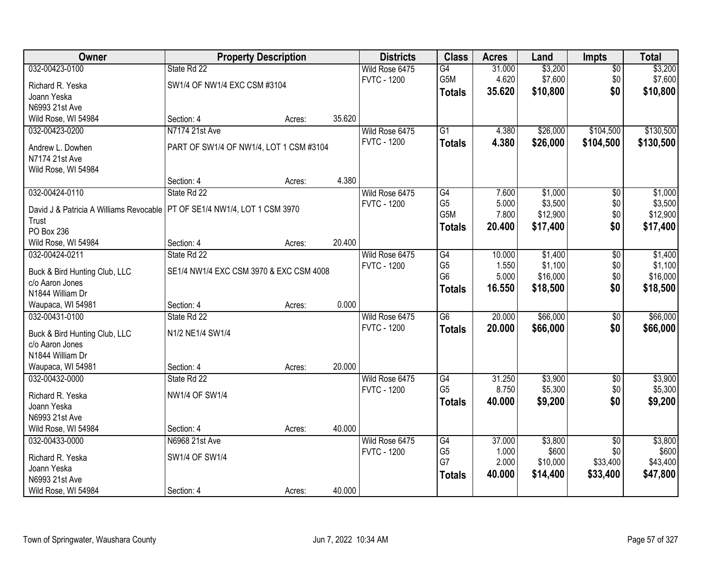| 032-00423-0100<br>\$3,200<br>State Rd 22<br>Wild Rose 6475<br>G4<br>31.000<br>$\sqrt{$0}$<br>\$7,600<br>G5M<br>4.620<br>\$0<br><b>FVTC - 1200</b><br>SW1/4 OF NW1/4 EXC CSM #3104<br>Richard R. Yeska<br>\$10,800<br>\$0<br>35.620<br><b>Totals</b> | \$3,200<br>\$7,600<br>\$10,800 |
|-----------------------------------------------------------------------------------------------------------------------------------------------------------------------------------------------------------------------------------------------------|--------------------------------|
|                                                                                                                                                                                                                                                     |                                |
|                                                                                                                                                                                                                                                     |                                |
| Joann Yeska                                                                                                                                                                                                                                         |                                |
| N6993 21st Ave                                                                                                                                                                                                                                      |                                |
| Wild Rose, WI 54984<br>Section: 4<br>35.620<br>Acres:                                                                                                                                                                                               |                                |
| N7174 21st Ave<br>$\overline{G1}$<br>\$26,000<br>\$104,500<br>032-00423-0200<br>Wild Rose 6475<br>4.380                                                                                                                                             | \$130,500                      |
| <b>FVTC - 1200</b><br>4.380<br>\$26,000<br>\$104,500<br><b>Totals</b><br>PART OF SW1/4 OF NW1/4, LOT 1 CSM #3104                                                                                                                                    | \$130,500                      |
| Andrew L. Dowhen<br>N7174 21st Ave                                                                                                                                                                                                                  |                                |
| Wild Rose, WI 54984                                                                                                                                                                                                                                 |                                |
| 4.380<br>Section: 4<br>Acres:                                                                                                                                                                                                                       |                                |
| 032-00424-0110<br>State Rd 22<br>G4<br>\$1,000<br>Wild Rose 6475<br>7.600<br>\$0                                                                                                                                                                    | \$1,000                        |
| G <sub>5</sub><br>5.000<br>\$3,500<br>\$0<br><b>FVTC - 1200</b>                                                                                                                                                                                     | \$3,500                        |
| David J & Patricia A Williams Revocable   PT OF SE1/4 NW1/4, LOT 1 CSM 3970<br>G5M<br>\$12,900<br>\$0<br>7.800                                                                                                                                      | \$12,900                       |
| Trust<br>20.400<br>\$17,400<br>\$0<br><b>Totals</b>                                                                                                                                                                                                 | \$17,400                       |
| PO Box 236<br>20.400<br>Section: 4<br>Acres:                                                                                                                                                                                                        |                                |
| Wild Rose, WI 54984<br>032-00424-0211<br>State Rd 22<br>Wild Rose 6475<br>G4<br>10.000<br>\$1,400<br>$\sqrt[6]{3}$                                                                                                                                  | \$1,400                        |
| \$1,100<br>G <sub>5</sub><br>1.550<br>\$0<br><b>FVTC - 1200</b>                                                                                                                                                                                     | \$1,100                        |
| SE1/4 NW1/4 EXC CSM 3970 & EXC CSM 4008<br>Buck & Bird Hunting Club, LLC<br>G <sub>6</sub><br>\$16,000<br>5.000<br>\$0                                                                                                                              | \$16,000                       |
| c/o Aaron Jones<br>\$0<br>16.550<br>\$18,500<br><b>Totals</b>                                                                                                                                                                                       | \$18,500                       |
| N1844 William Dr                                                                                                                                                                                                                                    |                                |
| 0.000<br>Waupaca, WI 54981<br>Section: 4<br>Acres:                                                                                                                                                                                                  |                                |
| $\overline{G6}$<br>20.000<br>\$66,000<br>$\overline{50}$<br>032-00431-0100<br>State Rd 22<br>Wild Rose 6475                                                                                                                                         | \$66,000                       |
| <b>FVTC - 1200</b><br>20.000<br>\$66,000<br>\$0<br><b>Totals</b><br>N1/2 NE1/4 SW1/4<br>Buck & Bird Hunting Club, LLC                                                                                                                               | \$66,000                       |
| c/o Aaron Jones                                                                                                                                                                                                                                     |                                |
| N1844 William Dr                                                                                                                                                                                                                                    |                                |
| 20.000<br>Waupaca, WI 54981<br>Section: 4<br>Acres:                                                                                                                                                                                                 |                                |
| 032-00432-0000<br>State Rd 22<br>G4<br>31.250<br>\$3,900<br>$\sqrt{6}$<br>Wild Rose 6475                                                                                                                                                            | \$3,900                        |
| G <sub>5</sub><br>\$5,300<br>8.750<br><b>FVTC - 1200</b><br>\$0<br>Richard R. Yeska<br><b>NW1/4 OF SW1/4</b>                                                                                                                                        | \$5,300                        |
| \$0<br>40.000<br>\$9,200<br><b>Totals</b><br>Joann Yeska                                                                                                                                                                                            | \$9,200                        |
| N6993 21st Ave                                                                                                                                                                                                                                      |                                |
| 40.000<br>Wild Rose, WI 54984<br>Section: 4<br>Acres:                                                                                                                                                                                               |                                |
| 37.000<br>032-00433-0000<br>N6968 21st Ave<br>Wild Rose 6475<br>G4<br>\$3,800<br>$\overline{50}$                                                                                                                                                    | \$3,800                        |
| G <sub>5</sub><br>\$600<br>\$0<br>1.000<br><b>FVTC - 1200</b>                                                                                                                                                                                       | \$600                          |
| Richard R. Yeska<br>SW1/4 OF SW1/4<br>G7<br>2.000<br>\$10,000<br>\$33,400<br>Joann Yeska                                                                                                                                                            | \$43,400                       |
| 40.000<br>\$14,400<br>\$33,400<br><b>Totals</b><br>N6993 21st Ave                                                                                                                                                                                   | \$47,800                       |
| 40.000<br>Wild Rose, WI 54984<br>Section: 4<br>Acres:                                                                                                                                                                                               |                                |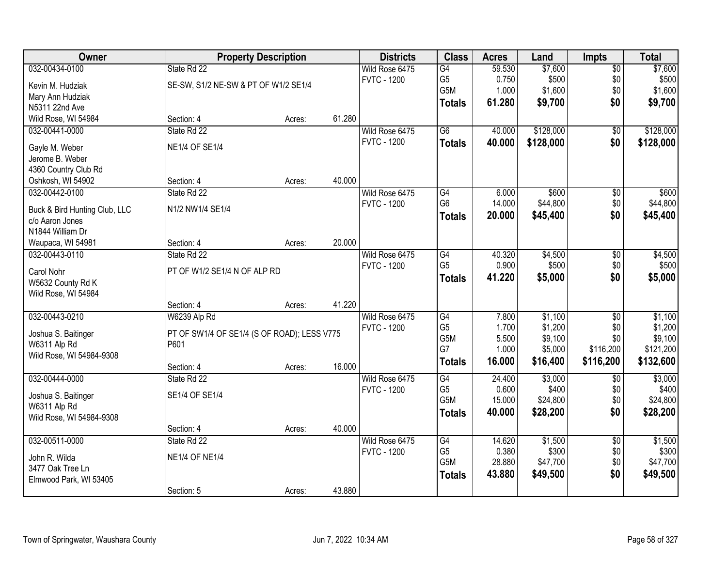| Owner                                            |                                             | <b>Property Description</b> |        | <b>Districts</b>   | <b>Class</b>    | <b>Acres</b>   | Land               | <b>Impts</b>     | <b>Total</b>         |
|--------------------------------------------------|---------------------------------------------|-----------------------------|--------|--------------------|-----------------|----------------|--------------------|------------------|----------------------|
| 032-00434-0100                                   | State Rd 22                                 |                             |        | Wild Rose 6475     | G4              | 59.530         | \$7,600            | $\overline{50}$  | \$7,600              |
| Kevin M. Hudziak                                 | SE-SW, S1/2 NE-SW & PT OF W1/2 SE1/4        |                             |        | <b>FVTC - 1200</b> | G <sub>5</sub>  | 0.750          | \$500              | \$0              | \$500                |
| Mary Ann Hudziak                                 |                                             |                             |        |                    | G5M             | 1.000          | \$1,600            | \$0              | \$1,600              |
| N5311 22nd Ave                                   |                                             |                             |        |                    | <b>Totals</b>   | 61.280         | \$9,700            | \$0              | \$9,700              |
| Wild Rose, WI 54984                              | Section: 4                                  | Acres:                      | 61.280 |                    |                 |                |                    |                  |                      |
| 032-00441-0000                                   | State Rd 22                                 |                             |        | Wild Rose 6475     | $\overline{G6}$ | 40.000         | \$128,000          | $\overline{50}$  | \$128,000            |
| Gayle M. Weber                                   | <b>NE1/4 OF SE1/4</b>                       |                             |        | <b>FVTC - 1200</b> | <b>Totals</b>   | 40.000         | \$128,000          | \$0              | \$128,000            |
| Jerome B. Weber                                  |                                             |                             |        |                    |                 |                |                    |                  |                      |
| 4360 Country Club Rd                             |                                             |                             |        |                    |                 |                |                    |                  |                      |
| Oshkosh, WI 54902                                | Section: 4                                  | Acres:                      | 40.000 |                    |                 |                |                    |                  |                      |
| 032-00442-0100                                   | State Rd 22                                 |                             |        | Wild Rose 6475     | G4              | 6.000          | \$600              | $\overline{50}$  | \$600                |
|                                                  | N1/2 NW1/4 SE1/4                            |                             |        | <b>FVTC - 1200</b> | G <sub>6</sub>  | 14.000         | \$44,800           | \$0              | \$44,800             |
| Buck & Bird Hunting Club, LLC<br>c/o Aaron Jones |                                             |                             |        |                    | <b>Totals</b>   | 20.000         | \$45,400           | \$0              | \$45,400             |
| N1844 William Dr                                 |                                             |                             |        |                    |                 |                |                    |                  |                      |
| Waupaca, WI 54981                                | Section: 4                                  | Acres:                      | 20.000 |                    |                 |                |                    |                  |                      |
| 032-00443-0110                                   | State Rd 22                                 |                             |        | Wild Rose 6475     | G4              | 40.320         | \$4,500            | \$0              | \$4,500              |
|                                                  |                                             |                             |        | <b>FVTC - 1200</b> | G <sub>5</sub>  | 0.900          | \$500              | \$0              | \$500                |
| Carol Nohr                                       | PT OF W1/2 SE1/4 N OF ALP RD                |                             |        |                    | <b>Totals</b>   | 41.220         | \$5,000            | \$0              | \$5,000              |
| W5632 County Rd K                                |                                             |                             |        |                    |                 |                |                    |                  |                      |
| Wild Rose, WI 54984                              |                                             |                             |        |                    |                 |                |                    |                  |                      |
|                                                  | Section: 4                                  | Acres:                      | 41.220 |                    |                 |                |                    |                  |                      |
| 032-00443-0210                                   | W6239 Alp Rd                                |                             |        | Wild Rose 6475     | $\overline{G4}$ | 7.800          | \$1,100            | $\overline{50}$  | \$1,100              |
| Joshua S. Baitinger                              | PT OF SW1/4 OF SE1/4 (S OF ROAD); LESS V775 |                             |        | <b>FVTC - 1200</b> | G <sub>5</sub>  | 1.700          | \$1,200            | \$0              | \$1,200              |
| W6311 Alp Rd                                     | P601                                        |                             |        |                    | G5M<br>G7       | 5.500<br>1.000 | \$9,100<br>\$5,000 | \$0<br>\$116,200 | \$9,100<br>\$121,200 |
| Wild Rose, WI 54984-9308                         |                                             |                             |        |                    |                 | 16.000         | \$16,400           | \$116,200        | \$132,600            |
|                                                  | Section: 4                                  | Acres:                      | 16.000 |                    | <b>Totals</b>   |                |                    |                  |                      |
| 032-00444-0000                                   | State Rd 22                                 |                             |        | Wild Rose 6475     | G4              | 24.400         | \$3,000            | $\sqrt{6}$       | \$3,000              |
| Joshua S. Baitinger                              | SE1/4 OF SE1/4                              |                             |        | <b>FVTC - 1200</b> | G <sub>5</sub>  | 0.600          | \$400              | \$0              | \$400                |
| W6311 Alp Rd                                     |                                             |                             |        |                    | G5M             | 15.000         | \$24,800           | \$0              | \$24,800             |
| Wild Rose, WI 54984-9308                         |                                             |                             |        |                    | <b>Totals</b>   | 40.000         | \$28,200           | \$0              | \$28,200             |
|                                                  | Section: 4                                  | Acres:                      | 40.000 |                    |                 |                |                    |                  |                      |
| 032-00511-0000                                   | State Rd 22                                 |                             |        | Wild Rose 6475     | G4              | 14.620         | \$1,500            | $\overline{50}$  | \$1,500              |
| John R. Wilda                                    | <b>NE1/4 OF NE1/4</b>                       |                             |        | <b>FVTC - 1200</b> | G <sub>5</sub>  | 0.380          | \$300              | \$0              | \$300                |
| 3477 Oak Tree Ln                                 |                                             |                             |        |                    | G5M             | 28.880         | \$47,700           | \$0              | \$47,700             |
| Elmwood Park, WI 53405                           |                                             |                             |        |                    | <b>Totals</b>   | 43.880         | \$49,500           | \$0              | \$49,500             |
|                                                  | Section: 5                                  | Acres:                      | 43.880 |                    |                 |                |                    |                  |                      |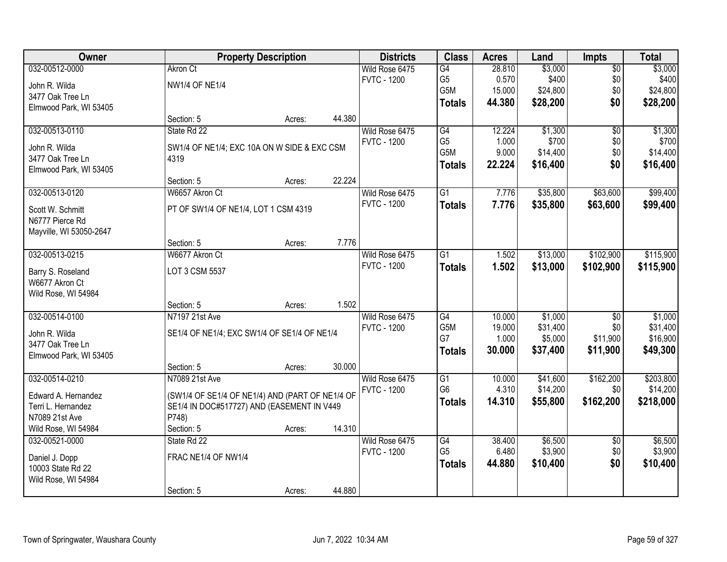| Owner                   |                                                 | <b>Property Description</b> |        | <b>Districts</b>   | <b>Class</b>    | <b>Acres</b> | Land     | <b>Impts</b>    | <b>Total</b> |
|-------------------------|-------------------------------------------------|-----------------------------|--------|--------------------|-----------------|--------------|----------|-----------------|--------------|
| 032-00512-0000          | <b>Akron Ct</b>                                 |                             |        | Wild Rose 6475     | G4              | 28.810       | \$3,000  | $\sqrt{$0}$     | \$3,000      |
| John R. Wilda           | <b>NW1/4 OF NE1/4</b>                           |                             |        | <b>FVTC - 1200</b> | G <sub>5</sub>  | 0.570        | \$400    | \$0             | \$400        |
| 3477 Oak Tree Ln        |                                                 |                             |        |                    | G5M             | 15.000       | \$24,800 | \$0             | \$24,800     |
| Elmwood Park, WI 53405  |                                                 |                             |        |                    | <b>Totals</b>   | 44.380       | \$28,200 | \$0             | \$28,200     |
|                         | Section: 5                                      | Acres:                      | 44.380 |                    |                 |              |          |                 |              |
| 032-00513-0110          | State Rd 22                                     |                             |        | Wild Rose 6475     | G4              | 12.224       | \$1,300  | $\overline{50}$ | \$1,300      |
| John R. Wilda           | SW1/4 OF NE1/4; EXC 10A ON W SIDE & EXC CSM     |                             |        | <b>FVTC - 1200</b> | G <sub>5</sub>  | 1.000        | \$700    | \$0             | \$700        |
| 3477 Oak Tree Ln        | 4319                                            |                             |        |                    | G5M             | 9.000        | \$14,400 | \$0             | \$14,400     |
| Elmwood Park, WI 53405  |                                                 |                             |        |                    | <b>Totals</b>   | 22.224       | \$16,400 | \$0             | \$16,400     |
|                         | Section: 5                                      | Acres:                      | 22.224 |                    |                 |              |          |                 |              |
| 032-00513-0120          | W6657 Akron Ct                                  |                             |        | Wild Rose 6475     | G1              | 7.776        | \$35,800 | \$63,600        | \$99,400     |
| Scott W. Schmitt        | PT OF SW1/4 OF NE1/4, LOT 1 CSM 4319            |                             |        | <b>FVTC - 1200</b> | <b>Totals</b>   | 7.776        | \$35,800 | \$63,600        | \$99,400     |
| N6777 Pierce Rd         |                                                 |                             |        |                    |                 |              |          |                 |              |
| Mayville, WI 53050-2647 |                                                 |                             |        |                    |                 |              |          |                 |              |
|                         | Section: 5                                      | Acres:                      | 7.776  |                    |                 |              |          |                 |              |
| 032-00513-0215          | W6677 Akron Ct                                  |                             |        | Wild Rose 6475     | G1              | 1.502        | \$13,000 | \$102,900       | \$115,900    |
| Barry S. Roseland       | LOT 3 CSM 5537                                  |                             |        | <b>FVTC - 1200</b> | <b>Totals</b>   | 1.502        | \$13,000 | \$102,900       | \$115,900    |
| W6677 Akron Ct          |                                                 |                             |        |                    |                 |              |          |                 |              |
| Wild Rose, WI 54984     |                                                 |                             |        |                    |                 |              |          |                 |              |
|                         | Section: 5                                      | Acres:                      | 1.502  |                    |                 |              |          |                 |              |
| 032-00514-0100          | N7197 21st Ave                                  |                             |        | Wild Rose 6475     | $\overline{G4}$ | 10.000       | \$1,000  | $\overline{50}$ | \$1,000      |
| John R. Wilda           | SE1/4 OF NE1/4; EXC SW1/4 OF SE1/4 OF NE1/4     |                             |        | <b>FVTC - 1200</b> | G5M             | 19.000       | \$31,400 | \$0             | \$31,400     |
| 3477 Oak Tree Ln        |                                                 |                             |        |                    | G7              | 1.000        | \$5,000  | \$11,900        | \$16,900     |
| Elmwood Park, WI 53405  |                                                 |                             |        |                    | <b>Totals</b>   | 30.000       | \$37,400 | \$11,900        | \$49,300     |
|                         | Section: 5                                      | Acres:                      | 30.000 |                    |                 |              |          |                 |              |
| 032-00514-0210          | N7089 21st Ave                                  |                             |        | Wild Rose 6475     | G1              | 10.000       | \$41,600 | \$162,200       | \$203,800    |
| Edward A. Hernandez     | (SW1/4 OF SE1/4 OF NE1/4) AND (PART OF NE1/4 OF |                             |        | <b>FVTC - 1200</b> | G <sub>6</sub>  | 4.310        | \$14,200 | \$0             | \$14,200     |
| Terri L. Hernandez      | SE1/4 IN DOC#517727) AND (EASEMENT IN V449      |                             |        |                    | <b>Totals</b>   | 14.310       | \$55,800 | \$162,200       | \$218,000    |
| N7089 21st Ave          | P748)                                           |                             |        |                    |                 |              |          |                 |              |
| Wild Rose, WI 54984     | Section: 5                                      | Acres:                      | 14.310 |                    |                 |              |          |                 |              |
| 032-00521-0000          | State Rd 22                                     |                             |        | Wild Rose 6475     | G4              | 38.400       | \$6,500  | $\overline{50}$ | \$6,500      |
| Daniel J. Dopp          | FRAC NE1/4 OF NW1/4                             |                             |        | <b>FVTC - 1200</b> | G <sub>5</sub>  | 6.480        | \$3,900  | \$0             | \$3,900      |
| 10003 State Rd 22       |                                                 |                             |        |                    | <b>Totals</b>   | 44.880       | \$10,400 | \$0             | \$10,400     |
| Wild Rose, WI 54984     |                                                 |                             |        |                    |                 |              |          |                 |              |
|                         | Section: 5                                      | Acres:                      | 44.880 |                    |                 |              |          |                 |              |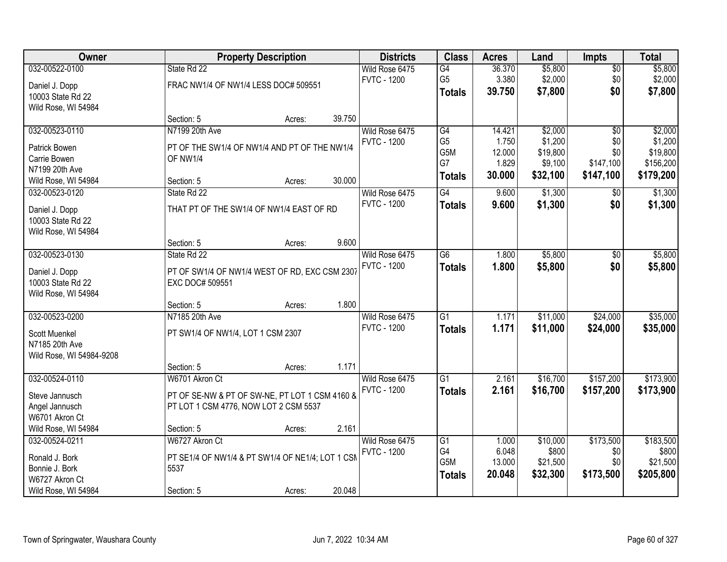| Owner                    |                                                  | <b>Property Description</b> |        | <b>Districts</b>   | <b>Class</b>     | <b>Acres</b>    | Land     | <b>Impts</b>   | <b>Total</b>          |
|--------------------------|--------------------------------------------------|-----------------------------|--------|--------------------|------------------|-----------------|----------|----------------|-----------------------|
| 032-00522-0100           | State Rd 22                                      |                             |        | Wild Rose 6475     | G4               | 36.370          | \$5,800  | $\sqrt{$0}$    | \$5,800               |
| Daniel J. Dopp           | FRAC NW1/4 OF NW1/4 LESS DOC# 509551             |                             |        | <b>FVTC - 1200</b> | G <sub>5</sub>   | 3.380           | \$2,000  | \$0            | \$2,000               |
| 10003 State Rd 22        |                                                  |                             |        |                    | <b>Totals</b>    | 39.750          | \$7,800  | \$0            | \$7,800               |
| Wild Rose, WI 54984      |                                                  |                             |        |                    |                  |                 |          |                |                       |
|                          | Section: 5                                       | Acres:                      | 39.750 |                    |                  |                 |          |                |                       |
| 032-00523-0110           | N7199 20th Ave                                   |                             |        | Wild Rose 6475     | G4               | 14.421          | \$2,000  | \$0            | \$2,000               |
| Patrick Bowen            | PT OF THE SW1/4 OF NW1/4 AND PT OF THE NW1/4     |                             |        | <b>FVTC - 1200</b> | G <sub>5</sub>   | 1.750           | \$1,200  | \$0            | \$1,200               |
| Carrie Bowen             | OF NW1/4                                         |                             |        |                    | G5M<br>G7        | 12.000<br>1.829 | \$19,800 | \$0            | \$19,800<br>\$156,200 |
| N7199 20th Ave           |                                                  |                             |        |                    |                  | 30.000          | \$9,100  | \$147,100      |                       |
| Wild Rose, WI 54984      | Section: 5                                       | Acres:                      | 30.000 |                    | <b>Totals</b>    |                 | \$32,100 | \$147,100      | \$179,200             |
| 032-00523-0120           | State Rd 22                                      |                             |        | Wild Rose 6475     | G4               | 9.600           | \$1,300  | $\sqrt[6]{}$   | \$1,300               |
| Daniel J. Dopp           | THAT PT OF THE SW1/4 OF NW1/4 EAST OF RD         |                             |        | <b>FVTC - 1200</b> | <b>Totals</b>    | 9.600           | \$1,300  | \$0            | \$1,300               |
| 10003 State Rd 22        |                                                  |                             |        |                    |                  |                 |          |                |                       |
| Wild Rose, WI 54984      |                                                  |                             |        |                    |                  |                 |          |                |                       |
|                          | Section: 5                                       | Acres:                      | 9.600  |                    |                  |                 |          |                |                       |
| 032-00523-0130           | State Rd 22                                      |                             |        | Wild Rose 6475     | $\overline{G6}$  | 1.800           | \$5,800  | $\frac{1}{20}$ | \$5,800               |
| Daniel J. Dopp           | PT OF SW1/4 OF NW1/4 WEST OF RD, EXC CSM 2307    |                             |        | <b>FVTC - 1200</b> | <b>Totals</b>    | 1.800           | \$5,800  | \$0            | \$5,800               |
| 10003 State Rd 22        | EXC DOC# 509551                                  |                             |        |                    |                  |                 |          |                |                       |
| Wild Rose, WI 54984      |                                                  |                             |        |                    |                  |                 |          |                |                       |
|                          | Section: 5                                       | Acres:                      | 1.800  |                    |                  |                 |          |                |                       |
| 032-00523-0200           | N7185 20th Ave                                   |                             |        | Wild Rose 6475     | $\overline{G1}$  | 1.171           | \$11,000 | \$24,000       | \$35,000              |
| Scott Muenkel            | PT SW1/4 OF NW1/4, LOT 1 CSM 2307                |                             |        | <b>FVTC - 1200</b> | Totals           | 1.171           | \$11,000 | \$24,000       | \$35,000              |
| N7185 20th Ave           |                                                  |                             |        |                    |                  |                 |          |                |                       |
| Wild Rose, WI 54984-9208 |                                                  |                             |        |                    |                  |                 |          |                |                       |
|                          | Section: 5                                       | Acres:                      | 1.171  |                    |                  |                 |          |                |                       |
| 032-00524-0110           | W6701 Akron Ct                                   |                             |        | Wild Rose 6475     | G1               | 2.161           | \$16,700 | \$157,200      | \$173,900             |
| Steve Jannusch           | PT OF SE-NW & PT OF SW-NE, PT LOT 1 CSM 4160 &   |                             |        | <b>FVTC - 1200</b> | <b>Totals</b>    | 2.161           | \$16,700 | \$157,200      | \$173,900             |
| Angel Jannusch           | PT LOT 1 CSM 4776, NOW LOT 2 CSM 5537            |                             |        |                    |                  |                 |          |                |                       |
| W6701 Akron Ct           |                                                  |                             |        |                    |                  |                 |          |                |                       |
| Wild Rose, WI 54984      | Section: 5                                       | Acres:                      | 2.161  |                    |                  |                 |          |                |                       |
| 032-00524-0211           | W6727 Akron Ct                                   |                             |        | Wild Rose 6475     | $\overline{G1}$  | 1.000           | \$10,000 | \$173,500      | \$183,500             |
| Ronald J. Bork           | PT SE1/4 OF NW1/4 & PT SW1/4 OF NE1/4; LOT 1 CSM |                             |        | <b>FVTC - 1200</b> | G4               | 6.048           | \$800    | \$0            | \$800                 |
| Bonnie J. Bork           | 5537                                             |                             |        |                    | G <sub>5</sub> M | 13.000          | \$21,500 | \$0            | \$21,500              |
| W6727 Akron Ct           |                                                  |                             |        |                    | <b>Totals</b>    | 20.048          | \$32,300 | \$173,500      | \$205,800             |
| Wild Rose, WI 54984      | Section: 5                                       | Acres:                      | 20.048 |                    |                  |                 |          |                |                       |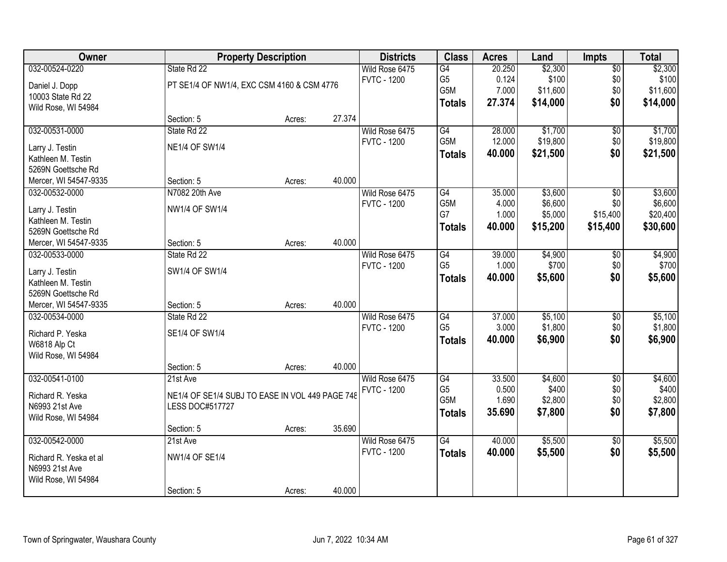| Owner                                 |                                                 | <b>Property Description</b> |        | <b>Districts</b>   | <b>Class</b>     | <b>Acres</b> | Land     | <b>Impts</b>    | <b>Total</b> |
|---------------------------------------|-------------------------------------------------|-----------------------------|--------|--------------------|------------------|--------------|----------|-----------------|--------------|
| 032-00524-0220                        | State Rd 22                                     |                             |        | Wild Rose 6475     | G4               | 20.250       | \$2,300  | $\overline{50}$ | \$2,300      |
| Daniel J. Dopp                        | PT SE1/4 OF NW1/4, EXC CSM 4160 & CSM 4776      |                             |        | <b>FVTC - 1200</b> | G <sub>5</sub>   | 0.124        | \$100    | \$0             | \$100        |
| 10003 State Rd 22                     |                                                 |                             |        |                    | G5M              | 7.000        | \$11,600 | \$0             | \$11,600     |
| Wild Rose, WI 54984                   |                                                 |                             |        |                    | <b>Totals</b>    | 27.374       | \$14,000 | \$0             | \$14,000     |
|                                       | Section: 5                                      | Acres:                      | 27.374 |                    |                  |              |          |                 |              |
| 032-00531-0000                        | State Rd 22                                     |                             |        | Wild Rose 6475     | G4               | 28.000       | \$1,700  | $\overline{50}$ | \$1,700      |
| Larry J. Testin                       | <b>NE1/4 OF SW1/4</b>                           |                             |        | <b>FVTC - 1200</b> | G5M              | 12.000       | \$19,800 | \$0             | \$19,800     |
| Kathleen M. Testin                    |                                                 |                             |        |                    | <b>Totals</b>    | 40.000       | \$21,500 | \$0             | \$21,500     |
| 5269N Goettsche Rd                    |                                                 |                             |        |                    |                  |              |          |                 |              |
| Mercer, WI 54547-9335                 | Section: 5                                      | Acres:                      | 40.000 |                    |                  |              |          |                 |              |
| 032-00532-0000                        | N7082 20th Ave                                  |                             |        | Wild Rose 6475     | G4               | 35.000       | \$3,600  | \$0             | \$3,600      |
|                                       | NW1/4 OF SW1/4                                  |                             |        | <b>FVTC - 1200</b> | G5M              | 4.000        | \$6,600  | \$0             | \$6,600      |
| Larry J. Testin<br>Kathleen M. Testin |                                                 |                             |        |                    | G7               | 1.000        | \$5,000  | \$15,400        | \$20,400     |
| 5269N Goettsche Rd                    |                                                 |                             |        |                    | <b>Totals</b>    | 40.000       | \$15,200 | \$15,400        | \$30,600     |
| Mercer, WI 54547-9335                 | Section: 5                                      | Acres:                      | 40.000 |                    |                  |              |          |                 |              |
| 032-00533-0000                        | State Rd 22                                     |                             |        | Wild Rose 6475     | G4               | 39.000       | \$4,900  | \$0             | \$4,900      |
|                                       |                                                 |                             |        | <b>FVTC - 1200</b> | G <sub>5</sub>   | 1.000        | \$700    | \$0             | \$700        |
| Larry J. Testin                       | SW1/4 OF SW1/4                                  |                             |        |                    | <b>Totals</b>    | 40.000       | \$5,600  | \$0             | \$5,600      |
| Kathleen M. Testin                    |                                                 |                             |        |                    |                  |              |          |                 |              |
| 5269N Goettsche Rd                    |                                                 |                             |        |                    |                  |              |          |                 |              |
| Mercer, WI 54547-9335                 | Section: 5                                      | Acres:                      | 40.000 |                    |                  |              |          |                 |              |
| 032-00534-0000                        | State Rd 22                                     |                             |        | Wild Rose 6475     | G4               | 37.000       | \$5,100  | $\overline{30}$ | \$5,100      |
| Richard P. Yeska                      | SE1/4 OF SW1/4                                  |                             |        | <b>FVTC - 1200</b> | G <sub>5</sub>   | 3.000        | \$1,800  | \$0             | \$1,800      |
| W6818 Alp Ct                          |                                                 |                             |        |                    | <b>Totals</b>    | 40.000       | \$6,900  | \$0             | \$6,900      |
| Wild Rose, WI 54984                   |                                                 |                             |        |                    |                  |              |          |                 |              |
|                                       | Section: 5                                      | Acres:                      | 40.000 |                    |                  |              |          |                 |              |
| 032-00541-0100                        | 21st Ave                                        |                             |        | Wild Rose 6475     | $\overline{G4}$  | 33.500       | \$4,600  | $\overline{60}$ | \$4,600      |
| Richard R. Yeska                      | NE1/4 OF SE1/4 SUBJ TO EASE IN VOL 449 PAGE 748 |                             |        | <b>FVTC - 1200</b> | G <sub>5</sub>   | 0.500        | \$400    | \$0             | \$400        |
| N6993 21st Ave                        | LESS DOC#517727                                 |                             |        |                    | G <sub>5</sub> M | 1.690        | \$2,800  | \$0             | \$2,800      |
| Wild Rose, WI 54984                   |                                                 |                             |        |                    | <b>Totals</b>    | 35.690       | \$7,800  | \$0             | \$7,800      |
|                                       | Section: 5                                      | Acres:                      | 35.690 |                    |                  |              |          |                 |              |
| 032-00542-0000                        | 21st Ave                                        |                             |        | Wild Rose 6475     | $\overline{G4}$  | 40.000       | \$5,500  | $\overline{50}$ | \$5,500      |
| Richard R. Yeska et al                | NW1/4 OF SE1/4                                  |                             |        | <b>FVTC - 1200</b> | <b>Totals</b>    | 40.000       | \$5,500  | \$0             | \$5,500      |
| N6993 21st Ave                        |                                                 |                             |        |                    |                  |              |          |                 |              |
| Wild Rose, WI 54984                   |                                                 |                             |        |                    |                  |              |          |                 |              |
|                                       | Section: 5                                      | Acres:                      | 40.000 |                    |                  |              |          |                 |              |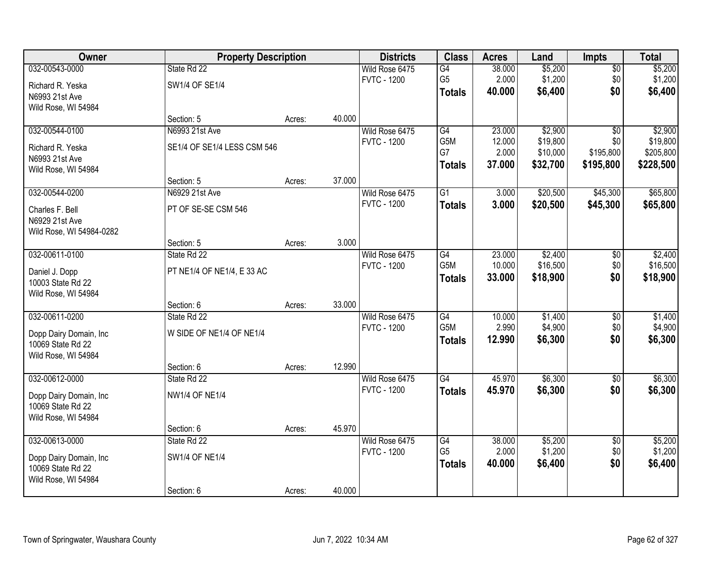| Owner                    | <b>Property Description</b> |        |        | <b>Districts</b>   | <b>Class</b>     | <b>Acres</b> | Land     | <b>Impts</b>    | <b>Total</b> |
|--------------------------|-----------------------------|--------|--------|--------------------|------------------|--------------|----------|-----------------|--------------|
| 032-00543-0000           | State Rd 22                 |        |        | Wild Rose 6475     | $\overline{G4}$  | 38.000       | \$5,200  | \$0             | \$5,200      |
| Richard R. Yeska         | SW1/4 OF SE1/4              |        |        | <b>FVTC - 1200</b> | G <sub>5</sub>   | 2.000        | \$1,200  | \$0             | \$1,200      |
| N6993 21st Ave           |                             |        |        |                    | <b>Totals</b>    | 40.000       | \$6,400  | \$0             | \$6,400      |
| Wild Rose, WI 54984      |                             |        |        |                    |                  |              |          |                 |              |
|                          | Section: 5                  | Acres: | 40.000 |                    |                  |              |          |                 |              |
| 032-00544-0100           | N6993 21st Ave              |        |        | Wild Rose 6475     | G4               | 23.000       | \$2,900  | $\overline{50}$ | \$2,900      |
| Richard R. Yeska         | SE1/4 OF SE1/4 LESS CSM 546 |        |        | <b>FVTC - 1200</b> | G5M              | 12.000       | \$19,800 | \$0             | \$19,800     |
| N6993 21st Ave           |                             |        |        |                    | G7               | 2.000        | \$10,000 | \$195,800       | \$205,800    |
| Wild Rose, WI 54984      |                             |        |        |                    | <b>Totals</b>    | 37.000       | \$32,700 | \$195,800       | \$228,500    |
|                          | Section: 5                  | Acres: | 37.000 |                    |                  |              |          |                 |              |
| 032-00544-0200           | N6929 21st Ave              |        |        | Wild Rose 6475     | $\overline{G1}$  | 3.000        | \$20,500 | \$45,300        | \$65,800     |
| Charles F. Bell          | PT OF SE-SE CSM 546         |        |        | <b>FVTC - 1200</b> | <b>Totals</b>    | 3.000        | \$20,500 | \$45,300        | \$65,800     |
| N6929 21st Ave           |                             |        |        |                    |                  |              |          |                 |              |
| Wild Rose, WI 54984-0282 |                             |        |        |                    |                  |              |          |                 |              |
|                          | Section: 5                  | Acres: | 3.000  |                    |                  |              |          |                 |              |
| 032-00611-0100           | State Rd 22                 |        |        | Wild Rose 6475     | G4               | 23.000       | \$2,400  | $\sqrt[6]{3}$   | \$2,400      |
| Daniel J. Dopp           | PT NE1/4 OF NE1/4, E33 AC   |        |        | <b>FVTC - 1200</b> | G5M              | 10.000       | \$16,500 | \$0             | \$16,500     |
| 10003 State Rd 22        |                             |        |        |                    | <b>Totals</b>    | 33.000       | \$18,900 | \$0             | \$18,900     |
| Wild Rose, WI 54984      |                             |        |        |                    |                  |              |          |                 |              |
|                          | Section: 6                  | Acres: | 33.000 |                    |                  |              |          |                 |              |
| 032-00611-0200           | State Rd 22                 |        |        | Wild Rose 6475     | $\overline{G4}$  | 10.000       | \$1,400  | \$0             | \$1,400      |
| Dopp Dairy Domain, Inc   | W SIDE OF NE1/4 OF NE1/4    |        |        | <b>FVTC - 1200</b> | G <sub>5</sub> M | 2.990        | \$4,900  | \$0             | \$4,900      |
| 10069 State Rd 22        |                             |        |        |                    | <b>Totals</b>    | 12.990       | \$6,300  | \$0             | \$6,300      |
| Wild Rose, WI 54984      |                             |        |        |                    |                  |              |          |                 |              |
|                          | Section: 6                  | Acres: | 12.990 |                    |                  |              |          |                 |              |
| 032-00612-0000           | State Rd 22                 |        |        | Wild Rose 6475     | $\overline{G4}$  | 45.970       | \$6,300  | $\sqrt{6}$      | \$6,300      |
| Dopp Dairy Domain, Inc   | <b>NW1/4 OF NE1/4</b>       |        |        | <b>FVTC - 1200</b> | <b>Totals</b>    | 45.970       | \$6,300  | \$0             | \$6,300      |
| 10069 State Rd 22        |                             |        |        |                    |                  |              |          |                 |              |
| Wild Rose, WI 54984      |                             |        |        |                    |                  |              |          |                 |              |
|                          | Section: 6                  | Acres: | 45.970 |                    |                  |              |          |                 |              |
| 032-00613-0000           | State Rd 22                 |        |        | Wild Rose 6475     | G4               | 38.000       | \$5,200  | $\overline{50}$ | \$5,200      |
| Dopp Dairy Domain, Inc   | SW1/4 OF NE1/4              |        |        | <b>FVTC - 1200</b> | G <sub>5</sub>   | 2.000        | \$1,200  | \$0             | \$1,200      |
| 10069 State Rd 22        |                             |        |        |                    | <b>Totals</b>    | 40.000       | \$6,400  | \$0             | \$6,400      |
| Wild Rose, WI 54984      |                             |        |        |                    |                  |              |          |                 |              |
|                          | Section: 6                  | Acres: | 40.000 |                    |                  |              |          |                 |              |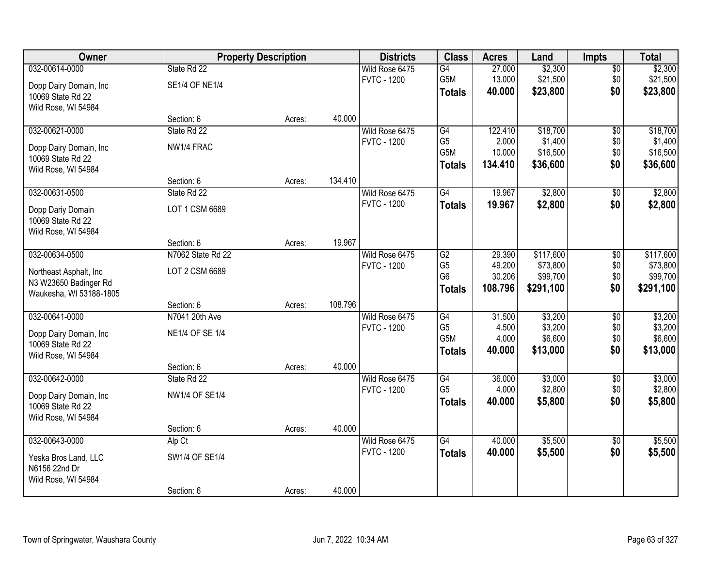| Owner                                                                                        |                                      | <b>Property Description</b> |         | <b>Districts</b>                     | <b>Class</b>                                              | <b>Acres</b>                          | Land                                           | <b>Impts</b>                         | <b>Total</b>                                   |
|----------------------------------------------------------------------------------------------|--------------------------------------|-----------------------------|---------|--------------------------------------|-----------------------------------------------------------|---------------------------------------|------------------------------------------------|--------------------------------------|------------------------------------------------|
| 032-00614-0000<br>Dopp Dairy Domain, Inc                                                     | State Rd 22<br><b>SE1/4 OF NE1/4</b> |                             |         | Wild Rose 6475<br><b>FVTC - 1200</b> | $\overline{G4}$<br>G5M<br><b>Totals</b>                   | 27.000<br>13.000<br>40.000            | \$2,300<br>\$21,500<br>\$23,800                | \$0<br>\$0<br>\$0                    | \$2,300<br>\$21,500<br>\$23,800                |
| 10069 State Rd 22<br>Wild Rose, WI 54984                                                     | Section: 6                           | Acres:                      | 40.000  |                                      |                                                           |                                       |                                                |                                      |                                                |
| 032-00621-0000<br>Dopp Dairy Domain, Inc<br>10069 State Rd 22                                | State Rd 22<br>NW1/4 FRAC            |                             |         | Wild Rose 6475<br><b>FVTC - 1200</b> | G4<br>G <sub>5</sub><br>G5M                               | 122.410<br>2.000<br>10.000            | \$18,700<br>\$1,400<br>\$16,500                | $\overline{50}$<br>\$0<br>\$0        | \$18,700<br>\$1,400<br>\$16,500                |
| Wild Rose, WI 54984                                                                          | Section: 6                           | Acres:                      | 134.410 |                                      | <b>Totals</b>                                             | 134.410                               | \$36,600                                       | \$0                                  | \$36,600                                       |
| 032-00631-0500<br>Dopp Dariy Domain<br>10069 State Rd 22<br>Wild Rose, WI 54984              | State Rd 22<br>LOT 1 CSM 6689        |                             |         | Wild Rose 6475<br><b>FVTC - 1200</b> | G4<br><b>Totals</b>                                       | 19.967<br>19.967                      | \$2,800<br>\$2,800                             | \$0<br>\$0                           | \$2,800<br>\$2,800                             |
|                                                                                              | Section: 6                           | Acres:                      | 19.967  |                                      |                                                           |                                       |                                                |                                      |                                                |
| 032-00634-0500<br>Northeast Asphalt, Inc<br>N3 W23650 Badinger Rd<br>Waukesha, WI 53188-1805 | N7062 State Rd 22<br>LOT 2 CSM 6689  |                             |         | Wild Rose 6475<br><b>FVTC - 1200</b> | G2<br>G <sub>5</sub><br>G <sub>6</sub><br><b>Totals</b>   | 29.390<br>49.200<br>30.206<br>108.796 | \$117,600<br>\$73,800<br>\$99,700<br>\$291,100 | \$0<br>\$0<br>\$0<br>\$0             | \$117,600<br>\$73,800<br>\$99,700<br>\$291,100 |
|                                                                                              | Section: 6                           | Acres:                      | 108.796 |                                      |                                                           |                                       |                                                |                                      |                                                |
| 032-00641-0000<br>Dopp Dairy Domain, Inc<br>10069 State Rd 22<br>Wild Rose, WI 54984         | N7041 20th Ave<br>NE1/4 OF SE 1/4    |                             |         | Wild Rose 6475<br><b>FVTC - 1200</b> | $\overline{G4}$<br>G <sub>5</sub><br>G5M<br><b>Totals</b> | 31.500<br>4.500<br>4.000<br>40.000    | \$3,200<br>\$3,200<br>\$6,600<br>\$13,000      | $\overline{50}$<br>\$0<br>\$0<br>\$0 | \$3,200<br>\$3,200<br>\$6,600<br>\$13,000      |
|                                                                                              | Section: 6                           | Acres:                      | 40.000  |                                      |                                                           |                                       |                                                |                                      |                                                |
| 032-00642-0000<br>Dopp Dairy Domain, Inc<br>10069 State Rd 22<br>Wild Rose, WI 54984         | State Rd 22<br>NW1/4 OF SE1/4        |                             |         | Wild Rose 6475<br><b>FVTC - 1200</b> | G4<br>G <sub>5</sub><br><b>Totals</b>                     | 36.000<br>4.000<br>40,000             | \$3,000<br>\$2,800<br>\$5,800                  | $\overline{$0}$<br>\$0<br>\$0        | \$3,000<br>\$2,800<br>\$5,800                  |
|                                                                                              | Section: 6                           | Acres:                      | 40.000  |                                      |                                                           |                                       |                                                |                                      |                                                |
| 032-00643-0000<br>Yeska Bros Land, LLC<br>N6156 22nd Dr<br>Wild Rose, WI 54984               | Alp Ct<br>SW1/4 OF SE1/4             |                             |         | Wild Rose 6475<br><b>FVTC - 1200</b> | $\overline{G4}$<br><b>Totals</b>                          | 40.000<br>40.000                      | \$5,500<br>\$5,500                             | $\overline{60}$<br>\$0               | \$5,500<br>\$5,500                             |
|                                                                                              | Section: 6                           | Acres:                      | 40.000  |                                      |                                                           |                                       |                                                |                                      |                                                |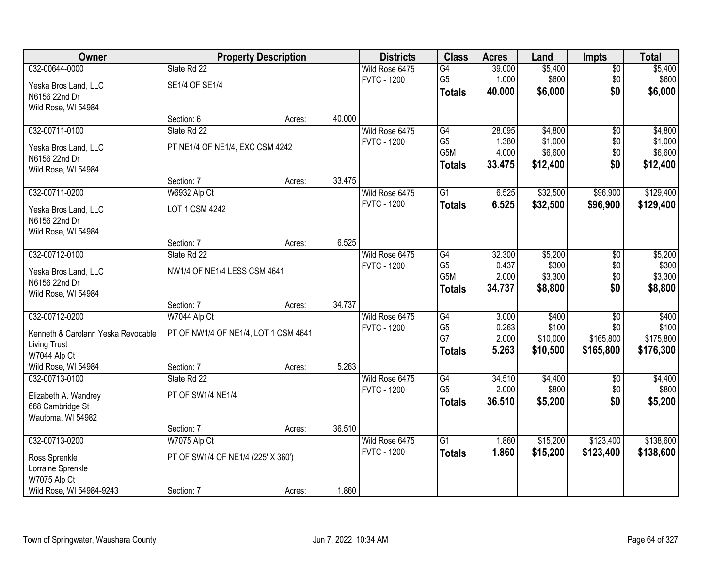| Owner                              |                                      | <b>Property Description</b> |        | <b>Districts</b>   | <b>Class</b>          | <b>Acres</b>    | Land              | <b>Impts</b>     | <b>Total</b>       |
|------------------------------------|--------------------------------------|-----------------------------|--------|--------------------|-----------------------|-----------------|-------------------|------------------|--------------------|
| 032-00644-0000                     | State Rd 22                          |                             |        | Wild Rose 6475     | G4                    | 39.000          | \$5,400           | \$0              | \$5,400            |
| Yeska Bros Land, LLC               | SE1/4 OF SE1/4                       |                             |        | <b>FVTC - 1200</b> | G <sub>5</sub>        | 1.000           | \$600             | \$0              | \$600              |
| N6156 22nd Dr                      |                                      |                             |        |                    | <b>Totals</b>         | 40.000          | \$6,000           | \$0              | \$6,000            |
| Wild Rose, WI 54984                |                                      |                             |        |                    |                       |                 |                   |                  |                    |
|                                    | Section: 6                           | Acres:                      | 40.000 |                    |                       |                 |                   |                  |                    |
| 032-00711-0100                     | State Rd 22                          |                             |        | Wild Rose 6475     | G4                    | 28.095          | \$4,800           | $\overline{50}$  | \$4,800            |
| Yeska Bros Land, LLC               | PT NE1/4 OF NE1/4, EXC CSM 4242      |                             |        | <b>FVTC - 1200</b> | G <sub>5</sub><br>G5M | 1.380<br>4.000  | \$1,000           | \$0              | \$1,000            |
| N6156 22nd Dr                      |                                      |                             |        |                    |                       |                 | \$6,600           | \$0<br>\$0       | \$6,600            |
| Wild Rose, WI 54984                |                                      |                             |        |                    | <b>Totals</b>         | 33.475          | \$12,400          |                  | \$12,400           |
|                                    | Section: 7                           | Acres:                      | 33.475 |                    |                       |                 |                   |                  |                    |
| 032-00711-0200                     | W6932 Alp Ct                         |                             |        | Wild Rose 6475     | G1                    | 6.525           | \$32,500          | \$96,900         | \$129,400          |
| Yeska Bros Land, LLC               | LOT 1 CSM 4242                       |                             |        | <b>FVTC - 1200</b> | <b>Totals</b>         | 6.525           | \$32,500          | \$96,900         | \$129,400          |
| N6156 22nd Dr                      |                                      |                             |        |                    |                       |                 |                   |                  |                    |
| Wild Rose, WI 54984                |                                      |                             |        |                    |                       |                 |                   |                  |                    |
|                                    | Section: 7                           | Acres:                      | 6.525  |                    |                       |                 |                   |                  |                    |
| 032-00712-0100                     | State Rd 22                          |                             |        | Wild Rose 6475     | G4                    | 32.300          | \$5,200           | $\sqrt[6]{3}$    | \$5,200            |
| Yeska Bros Land, LLC               | NW1/4 OF NE1/4 LESS CSM 4641         |                             |        | <b>FVTC - 1200</b> | G <sub>5</sub>        | 0.437           | \$300             | \$0              | \$300              |
| N6156 22nd Dr                      |                                      |                             |        |                    | G5M                   | 2.000<br>34.737 | \$3,300           | \$0<br>\$0       | \$3,300            |
| Wild Rose, WI 54984                |                                      |                             |        |                    | <b>Totals</b>         |                 | \$8,800           |                  | \$8,800            |
|                                    | Section: 7                           | Acres:                      | 34.737 |                    |                       |                 |                   |                  |                    |
| 032-00712-0200                     | W7044 Alp Ct                         |                             |        | Wild Rose 6475     | $\overline{G4}$       | 3.000           | \$400             | $\overline{50}$  | \$400              |
| Kenneth & Carolann Yeska Revocable | PT OF NW1/4 OF NE1/4, LOT 1 CSM 4641 |                             |        | <b>FVTC - 1200</b> | G <sub>5</sub><br>G7  | 0.263<br>2.000  | \$100<br>\$10,000 | \$0<br>\$165,800 | \$100<br>\$175,800 |
| <b>Living Trust</b>                |                                      |                             |        |                    |                       | 5.263           | \$10,500          | \$165,800        | \$176,300          |
| W7044 Alp Ct                       |                                      |                             |        |                    | <b>Totals</b>         |                 |                   |                  |                    |
| Wild Rose, WI 54984                | Section: 7                           | Acres:                      | 5.263  |                    |                       |                 |                   |                  |                    |
| 032-00713-0100                     | State Rd 22                          |                             |        | Wild Rose 6475     | G4                    | 34.510          | \$4,400           | $\overline{50}$  | \$4,400            |
| Elizabeth A. Wandrey               | PT OF SW1/4 NE1/4                    |                             |        | <b>FVTC - 1200</b> | G <sub>5</sub>        | 2.000           | \$800             | \$0              | \$800              |
| 668 Cambridge St                   |                                      |                             |        |                    | <b>Totals</b>         | 36.510          | \$5,200           | \$0              | \$5,200            |
| Wautoma, WI 54982                  |                                      |                             |        |                    |                       |                 |                   |                  |                    |
|                                    | Section: 7                           | Acres:                      | 36.510 |                    |                       |                 |                   |                  |                    |
| 032-00713-0200                     | W7075 Alp Ct                         |                             |        | Wild Rose 6475     | $\overline{G1}$       | 1.860           | \$15,200          | \$123,400        | \$138,600          |
| Ross Sprenkle                      | PT OF SW1/4 OF NE1/4 (225' X 360')   |                             |        | <b>FVTC - 1200</b> | <b>Totals</b>         | 1.860           | \$15,200          | \$123,400        | \$138,600          |
| Lorraine Sprenkle                  |                                      |                             |        |                    |                       |                 |                   |                  |                    |
| W7075 Alp Ct                       |                                      |                             |        |                    |                       |                 |                   |                  |                    |
| Wild Rose, WI 54984-9243           | Section: 7                           | Acres:                      | 1.860  |                    |                       |                 |                   |                  |                    |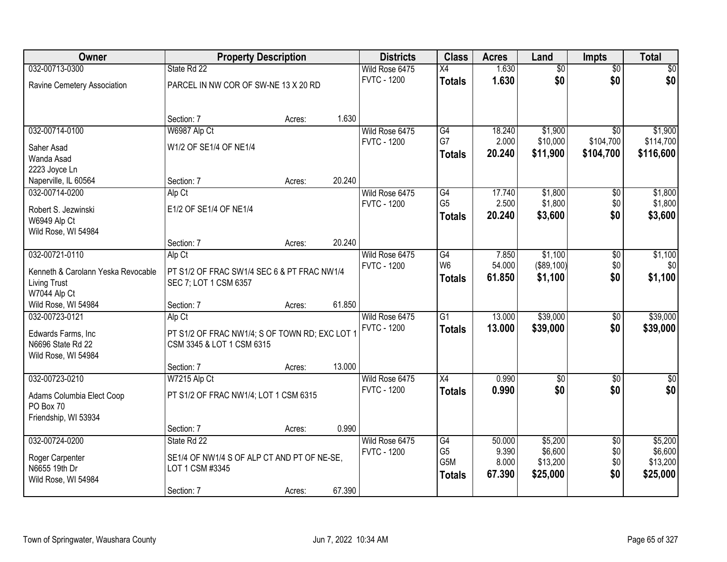| Owner                              |                                                | <b>Property Description</b> |        | <b>Districts</b>   | <b>Class</b>    | <b>Acres</b> | Land            | <b>Impts</b>    | <b>Total</b> |
|------------------------------------|------------------------------------------------|-----------------------------|--------|--------------------|-----------------|--------------|-----------------|-----------------|--------------|
| 032-00713-0300                     | State Rd 22                                    |                             |        | Wild Rose 6475     | $\overline{X4}$ | 1.630        | $\overline{50}$ | $\overline{50}$ | $\sqrt{50}$  |
| Ravine Cemetery Association        | PARCEL IN NW COR OF SW-NE 13 X 20 RD           |                             |        | <b>FVTC - 1200</b> | <b>Totals</b>   | 1.630        | \$0             | \$0             | \$0          |
|                                    |                                                |                             |        |                    |                 |              |                 |                 |              |
|                                    | Section: 7                                     | Acres:                      | 1.630  |                    |                 |              |                 |                 |              |
| 032-00714-0100                     | W6987 Alp Ct                                   |                             |        | Wild Rose 6475     | $\overline{G4}$ | 18.240       | \$1,900         | $\overline{50}$ | \$1,900      |
| Saher Asad                         | W1/2 OF SE1/4 OF NE1/4                         |                             |        | <b>FVTC - 1200</b> | G7              | 2.000        | \$10,000        | \$104,700       | \$114,700    |
| Wanda Asad                         |                                                |                             |        |                    | <b>Totals</b>   | 20.240       | \$11,900        | \$104,700       | \$116,600    |
| 2223 Joyce Ln                      |                                                |                             |        |                    |                 |              |                 |                 |              |
| Naperville, IL 60564               | Section: 7                                     | Acres:                      | 20.240 |                    |                 |              |                 |                 |              |
| 032-00714-0200                     | Alp Ct                                         |                             |        | Wild Rose 6475     | G4              | 17.740       | \$1,800         | $\sqrt{6}$      | \$1,800      |
| Robert S. Jezwinski                | E1/2 OF SE1/4 OF NE1/4                         |                             |        | <b>FVTC - 1200</b> | G <sub>5</sub>  | 2.500        | \$1,800         | \$0             | \$1,800      |
| W6949 Alp Ct                       |                                                |                             |        |                    | <b>Totals</b>   | 20.240       | \$3,600         | \$0             | \$3,600      |
| Wild Rose, WI 54984                |                                                |                             |        |                    |                 |              |                 |                 |              |
|                                    | Section: 7                                     | Acres:                      | 20.240 |                    |                 |              |                 |                 |              |
| 032-00721-0110                     | Alp Ct                                         |                             |        | Wild Rose 6475     | $\overline{G4}$ | 7.850        | \$1,100         | \$0             | \$1,100      |
| Kenneth & Carolann Yeska Revocable | PT S1/2 OF FRAC SW1/4 SEC 6 & PT FRAC NW1/4    |                             |        | <b>FVTC - 1200</b> | W <sub>6</sub>  | 54.000       | (\$89,100)      | \$0             | \$0          |
| <b>Living Trust</b>                | SEC 7; LOT 1 CSM 6357                          |                             |        |                    | <b>Totals</b>   | 61.850       | \$1,100         | \$0             | \$1,100      |
| W7044 Alp Ct                       |                                                |                             |        |                    |                 |              |                 |                 |              |
| Wild Rose, WI 54984                | Section: 7                                     | Acres:                      | 61.850 |                    |                 |              |                 |                 |              |
| 032-00723-0121                     | Alp Ct                                         |                             |        | Wild Rose 6475     | $\overline{G1}$ | 13.000       | \$39,000        | \$0             | \$39,000     |
| Edwards Farms, Inc                 | PT S1/2 OF FRAC NW1/4; S OF TOWN RD; EXC LOT 1 |                             |        | <b>FVTC - 1200</b> | <b>Totals</b>   | 13.000       | \$39,000        | \$0             | \$39,000     |
| N6696 State Rd 22                  | CSM 3345 & LOT 1 CSM 6315                      |                             |        |                    |                 |              |                 |                 |              |
| Wild Rose, WI 54984                |                                                |                             |        |                    |                 |              |                 |                 |              |
|                                    | Section: 7                                     | Acres:                      | 13.000 |                    |                 |              |                 |                 |              |
| 032-00723-0210                     | W7215 Alp Ct                                   |                             |        | Wild Rose 6475     | $\overline{X4}$ | 0.990        | $\overline{60}$ | $\overline{50}$ | $\sqrt{50}$  |
| Adams Columbia Elect Coop          | PT S1/2 OF FRAC NW1/4; LOT 1 CSM 6315          |                             |        | <b>FVTC - 1200</b> | <b>Totals</b>   | 0.990        | \$0             | \$0             | \$0          |
| PO Box 70                          |                                                |                             |        |                    |                 |              |                 |                 |              |
| Friendship, WI 53934               |                                                |                             |        |                    |                 |              |                 |                 |              |
|                                    | Section: 7                                     | Acres:                      | 0.990  |                    |                 |              |                 |                 |              |
| 032-00724-0200                     | State Rd 22                                    |                             |        | Wild Rose 6475     | G4              | 50.000       | \$5,200         | $\overline{50}$ | \$5,200      |
| Roger Carpenter                    | SE1/4 OF NW1/4 S OF ALP CT AND PT OF NE-SE,    |                             |        | <b>FVTC - 1200</b> | G <sub>5</sub>  | 9.390        | \$6,600         | \$0             | \$6,600      |
| N6655 19th Dr                      | LOT 1 CSM #3345                                |                             |        |                    | G5M             | 8.000        | \$13,200        | \$0             | \$13,200     |
| Wild Rose, WI 54984                |                                                |                             |        |                    | <b>Totals</b>   | 67.390       | \$25,000        | \$0             | \$25,000     |
|                                    | Section: 7                                     | Acres:                      | 67.390 |                    |                 |              |                 |                 |              |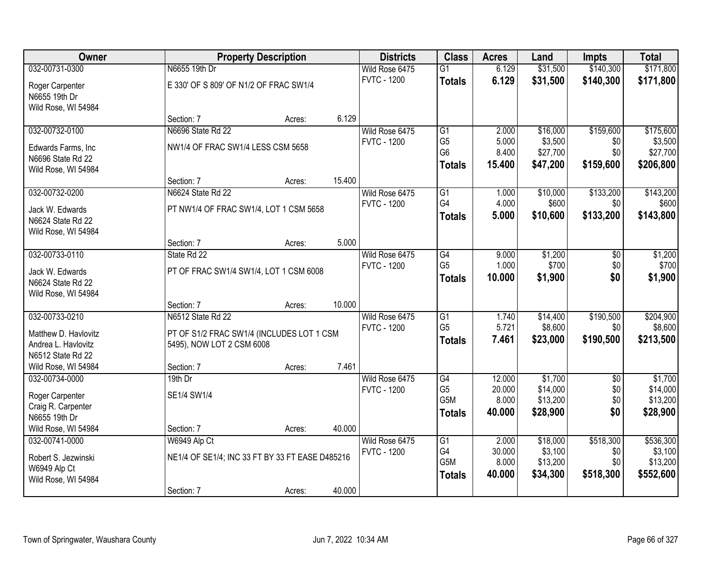| <b>Owner</b>         |                                        | <b>Property Description</b>                     | <b>Districts</b>   | <b>Class</b>    | <b>Acres</b> | Land     | <b>Impts</b> | <b>Total</b> |
|----------------------|----------------------------------------|-------------------------------------------------|--------------------|-----------------|--------------|----------|--------------|--------------|
| 032-00731-0300       | N6655 19th Dr                          |                                                 | Wild Rose 6475     | $\overline{G1}$ | 6.129        | \$31,500 | \$140,300    | \$171,800    |
| Roger Carpenter      | E 330' OF S 809' OF N1/2 OF FRAC SW1/4 |                                                 | <b>FVTC - 1200</b> | <b>Totals</b>   | 6.129        | \$31,500 | \$140,300    | \$171,800    |
| N6655 19th Dr        |                                        |                                                 |                    |                 |              |          |              |              |
| Wild Rose, WI 54984  |                                        |                                                 |                    |                 |              |          |              |              |
|                      | Section: 7                             | 6.129<br>Acres:                                 |                    |                 |              |          |              |              |
| 032-00732-0100       | N6696 State Rd 22                      |                                                 | Wild Rose 6475     | G1              | 2.000        | \$16,000 | \$159,600    | \$175,600    |
| Edwards Farms, Inc   | NW1/4 OF FRAC SW1/4 LESS CSM 5658      |                                                 | <b>FVTC - 1200</b> | G <sub>5</sub>  | 5.000        | \$3,500  | \$0          | \$3,500      |
| N6696 State Rd 22    |                                        |                                                 |                    | G <sub>6</sub>  | 8.400        | \$27,700 | \$0          | \$27,700     |
| Wild Rose, WI 54984  |                                        |                                                 |                    | <b>Totals</b>   | 15.400       | \$47,200 | \$159,600    | \$206,800    |
|                      | Section: 7                             | 15.400<br>Acres:                                |                    |                 |              |          |              |              |
| 032-00732-0200       | N6624 State Rd 22                      |                                                 | Wild Rose 6475     | G1              | 1.000        | \$10,000 | \$133,200    | \$143,200    |
| Jack W. Edwards      |                                        | PT NW1/4 OF FRAC SW1/4, LOT 1 CSM 5658          | <b>FVTC - 1200</b> | G4              | 4.000        | \$600    | \$0          | \$600        |
| N6624 State Rd 22    |                                        |                                                 |                    | <b>Totals</b>   | 5.000        | \$10,600 | \$133,200    | \$143,800    |
| Wild Rose, WI 54984  |                                        |                                                 |                    |                 |              |          |              |              |
|                      | Section: 7                             | Acres:                                          | 5.000              |                 |              |          |              |              |
| 032-00733-0110       | State Rd 22                            |                                                 | Wild Rose 6475     | G4              | 9.000        | \$1,200  | \$0          | \$1,200      |
| Jack W. Edwards      |                                        | PT OF FRAC SW1/4 SW1/4, LOT 1 CSM 6008          | <b>FVTC - 1200</b> | G <sub>5</sub>  | 1.000        | \$700    | \$0          | \$700        |
| N6624 State Rd 22    |                                        |                                                 |                    | <b>Totals</b>   | 10.000       | \$1,900  | \$0          | \$1,900      |
| Wild Rose, WI 54984  |                                        |                                                 |                    |                 |              |          |              |              |
|                      | Section: 7                             | 10.000<br>Acres:                                |                    |                 |              |          |              |              |
| 032-00733-0210       | N6512 State Rd 22                      |                                                 | Wild Rose 6475     | $\overline{G1}$ | 1.740        | \$14,400 | \$190,500    | \$204,900    |
| Matthew D. Havlovitz |                                        | PT OF S1/2 FRAC SW1/4 (INCLUDES LOT 1 CSM       | <b>FVTC - 1200</b> | G <sub>5</sub>  | 5.721        | \$8,600  | \$0          | \$8,600      |
| Andrea L. Havlovitz  | 5495), NOW LOT 2 CSM 6008              |                                                 |                    | <b>Totals</b>   | 7.461        | \$23,000 | \$190,500    | \$213,500    |
| N6512 State Rd 22    |                                        |                                                 |                    |                 |              |          |              |              |
| Wild Rose, WI 54984  | Section: 7                             | 7.461<br>Acres:                                 |                    |                 |              |          |              |              |
| 032-00734-0000       | $19th$ Dr                              |                                                 | Wild Rose 6475     | G4              | 12.000       | \$1,700  | $\sqrt{$0}$  | \$1,700      |
| Roger Carpenter      | SE1/4 SW1/4                            |                                                 | <b>FVTC - 1200</b> | G <sub>5</sub>  | 20.000       | \$14,000 | \$0          | \$14,000     |
| Craig R. Carpenter   |                                        |                                                 |                    | G5M             | 8.000        | \$13,200 | \$0          | \$13,200     |
| N6655 19th Dr        |                                        |                                                 |                    | <b>Totals</b>   | 40.000       | \$28,900 | \$0          | \$28,900     |
| Wild Rose, WI 54984  | Section: 7                             | 40.000<br>Acres:                                |                    |                 |              |          |              |              |
| 032-00741-0000       | W6949 Alp Ct                           |                                                 | Wild Rose 6475     | $\overline{G1}$ | 2.000        | \$18,000 | \$518,300    | \$536,300    |
| Robert S. Jezwinski  |                                        | NE1/4 OF SE1/4; INC 33 FT BY 33 FT EASE D485216 | <b>FVTC - 1200</b> | G4              | 30.000       | \$3,100  | \$0          | \$3,100      |
| W6949 Alp Ct         |                                        |                                                 |                    | G5M             | 8.000        | \$13,200 | \$0          | \$13,200     |
| Wild Rose, WI 54984  |                                        |                                                 |                    | <b>Totals</b>   | 40.000       | \$34,300 | \$518,300    | \$552,600    |
|                      | Section: 7                             | 40.000<br>Acres:                                |                    |                 |              |          |              |              |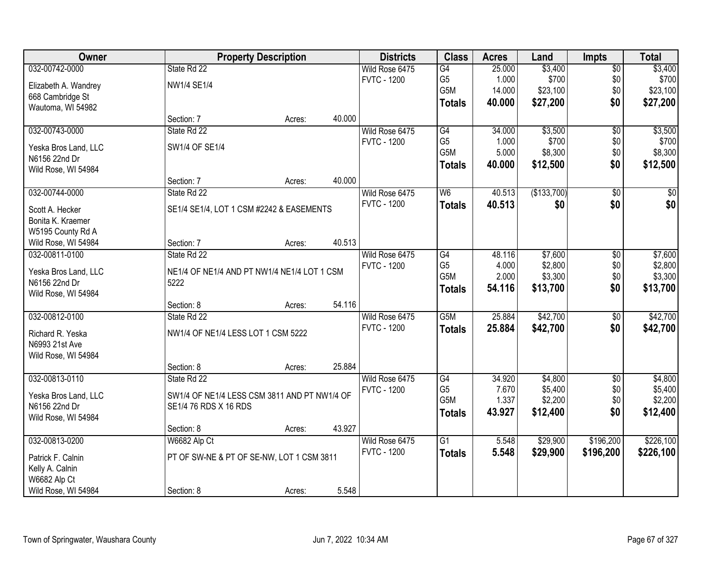| <b>Owner</b>         |                                              | <b>Property Description</b> |        | <b>Districts</b>   | <b>Class</b>    | <b>Acres</b> | Land        | <b>Impts</b>    | <b>Total</b>    |
|----------------------|----------------------------------------------|-----------------------------|--------|--------------------|-----------------|--------------|-------------|-----------------|-----------------|
| 032-00742-0000       | State Rd 22                                  |                             |        | Wild Rose 6475     | $\overline{G4}$ | 25.000       | \$3,400     | \$0             | \$3,400         |
| Elizabeth A. Wandrey | <b>NW1/4 SE1/4</b>                           |                             |        | <b>FVTC - 1200</b> | G <sub>5</sub>  | 1.000        | \$700       | \$0             | \$700           |
| 668 Cambridge St     |                                              |                             |        |                    | G5M             | 14.000       | \$23,100    | \$0             | \$23,100        |
| Wautoma, WI 54982    |                                              |                             |        |                    | <b>Totals</b>   | 40.000       | \$27,200    | \$0             | \$27,200        |
|                      | Section: 7                                   | Acres:                      | 40.000 |                    |                 |              |             |                 |                 |
| 032-00743-0000       | State Rd 22                                  |                             |        | Wild Rose 6475     | G4              | 34.000       | \$3,500     | $\overline{50}$ | \$3,500         |
| Yeska Bros Land, LLC | SW1/4 OF SE1/4                               |                             |        | <b>FVTC - 1200</b> | G <sub>5</sub>  | 1.000        | \$700       | \$0             | \$700           |
| N6156 22nd Dr        |                                              |                             |        |                    | G5M             | 5.000        | \$8,300     | \$0             | \$8,300         |
| Wild Rose, WI 54984  |                                              |                             |        |                    | <b>Totals</b>   | 40.000       | \$12,500    | \$0             | \$12,500        |
|                      | Section: 7                                   | Acres:                      | 40.000 |                    |                 |              |             |                 |                 |
| 032-00744-0000       | State Rd 22                                  |                             |        | Wild Rose 6475     | W6              | 40.513       | (\$133,700) | \$0             | $\overline{50}$ |
| Scott A. Hecker      | SE1/4 SE1/4, LOT 1 CSM #2242 & EASEMENTS     |                             |        | <b>FVTC - 1200</b> | <b>Totals</b>   | 40.513       | \$0         | \$0             | \$0             |
| Bonita K. Kraemer    |                                              |                             |        |                    |                 |              |             |                 |                 |
| W5195 County Rd A    |                                              |                             |        |                    |                 |              |             |                 |                 |
| Wild Rose, WI 54984  | Section: 7                                   | Acres:                      | 40.513 |                    |                 |              |             |                 |                 |
| 032-00811-0100       | State Rd 22                                  |                             |        | Wild Rose 6475     | G4              | 48.116       | \$7,600     | \$0             | \$7,600         |
| Yeska Bros Land, LLC | NE1/4 OF NE1/4 AND PT NW1/4 NE1/4 LOT 1 CSM  |                             |        | <b>FVTC - 1200</b> | G <sub>5</sub>  | 4.000        | \$2,800     | \$0             | \$2,800         |
| N6156 22nd Dr        | 5222                                         |                             |        |                    | G5M             | 2.000        | \$3,300     | \$0             | \$3,300         |
| Wild Rose, WI 54984  |                                              |                             |        |                    | <b>Totals</b>   | 54.116       | \$13,700    | \$0             | \$13,700        |
|                      | Section: 8                                   | Acres:                      | 54.116 |                    |                 |              |             |                 |                 |
| 032-00812-0100       | State Rd 22                                  |                             |        | Wild Rose 6475     | G5M             | 25.884       | \$42,700    | $\overline{50}$ | \$42,700        |
| Richard R. Yeska     | NW1/4 OF NE1/4 LESS LOT 1 CSM 5222           |                             |        | <b>FVTC - 1200</b> | <b>Totals</b>   | 25.884       | \$42,700    | \$0             | \$42,700        |
| N6993 21st Ave       |                                              |                             |        |                    |                 |              |             |                 |                 |
| Wild Rose, WI 54984  |                                              |                             |        |                    |                 |              |             |                 |                 |
|                      | Section: 8                                   | Acres:                      | 25.884 |                    |                 |              |             |                 |                 |
| 032-00813-0110       | State Rd 22                                  |                             |        | Wild Rose 6475     | G4              | 34.920       | \$4,800     | $\overline{50}$ | \$4,800         |
| Yeska Bros Land, LLC | SW1/4 OF NE1/4 LESS CSM 3811 AND PT NW1/4 OF |                             |        | <b>FVTC - 1200</b> | G <sub>5</sub>  | 7.670        | \$5,400     | \$0             | \$5,400         |
| N6156 22nd Dr        | SE1/4 76 RDS X 16 RDS                        |                             |        |                    | G5M             | 1.337        | \$2,200     | \$0             | \$2,200         |
| Wild Rose, WI 54984  |                                              |                             |        |                    | <b>Totals</b>   | 43.927       | \$12,400    | \$0             | \$12,400        |
|                      | Section: 8                                   | Acres:                      | 43.927 |                    |                 |              |             |                 |                 |
| 032-00813-0200       | W6682 Alp Ct                                 |                             |        | Wild Rose 6475     | $\overline{G1}$ | 5.548        | \$29,900    | \$196,200       | \$226,100       |
| Patrick F. Calnin    | PT OF SW-NE & PT OF SE-NW, LOT 1 CSM 3811    |                             |        | <b>FVTC - 1200</b> | <b>Totals</b>   | 5.548        | \$29,900    | \$196,200       | \$226,100       |
| Kelly A. Calnin      |                                              |                             |        |                    |                 |              |             |                 |                 |
| W6682 Alp Ct         |                                              |                             |        |                    |                 |              |             |                 |                 |
| Wild Rose, WI 54984  | Section: 8                                   | Acres:                      | 5.548  |                    |                 |              |             |                 |                 |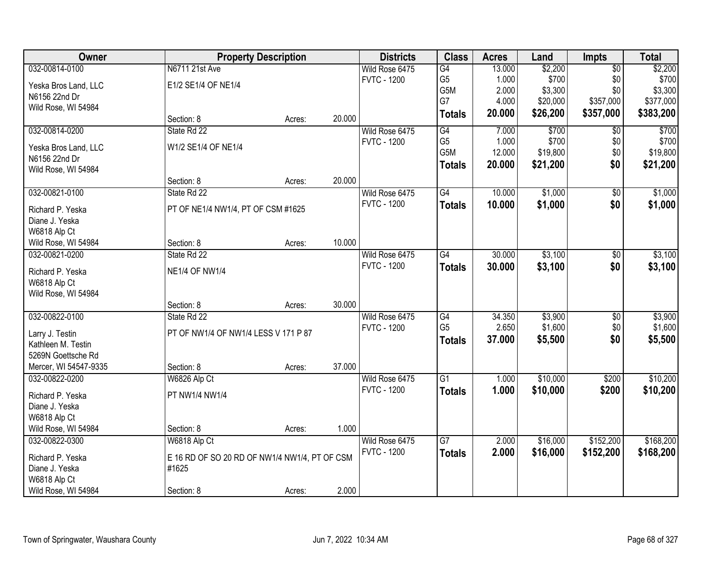| Owner                            |                                               | <b>Property Description</b> |        | <b>Districts</b>                     | <b>Class</b>    | <b>Acres</b> | Land     | <b>Impts</b>    | <b>Total</b> |
|----------------------------------|-----------------------------------------------|-----------------------------|--------|--------------------------------------|-----------------|--------------|----------|-----------------|--------------|
| 032-00814-0100                   | N6711 21st Ave                                |                             |        | Wild Rose 6475                       | G4              | 13.000       | \$2,200  | $\overline{$0}$ | \$2,200      |
| Yeska Bros Land, LLC             | E1/2 SE1/4 OF NE1/4                           |                             |        | <b>FVTC - 1200</b>                   | G <sub>5</sub>  | 1.000        | \$700    | \$0             | \$700        |
| N6156 22nd Dr                    |                                               |                             |        |                                      | G5M             | 2.000        | \$3,300  | \$0             | \$3,300      |
| Wild Rose, WI 54984              |                                               |                             |        |                                      | G7              | 4.000        | \$20,000 | \$357,000       | \$377,000    |
|                                  | Section: 8                                    | Acres:                      | 20.000 |                                      | <b>Totals</b>   | 20.000       | \$26,200 | \$357,000       | \$383,200    |
| 032-00814-0200                   | State Rd 22                                   |                             |        | Wild Rose 6475                       | G4              | 7.000        | \$700    | $\overline{50}$ | \$700        |
| Yeska Bros Land, LLC             | W1/2 SE1/4 OF NE1/4                           |                             |        | <b>FVTC - 1200</b>                   | G <sub>5</sub>  | 1.000        | \$700    | \$0             | \$700        |
| N6156 22nd Dr                    |                                               |                             |        |                                      | G5M             | 12.000       | \$19,800 | \$0             | \$19,800     |
| Wild Rose, WI 54984              |                                               |                             |        |                                      | <b>Totals</b>   | 20.000       | \$21,200 | \$0             | \$21,200     |
|                                  | Section: 8                                    | Acres:                      | 20.000 |                                      |                 |              |          |                 |              |
| 032-00821-0100                   | State Rd 22                                   |                             |        | Wild Rose 6475                       | G4              | 10.000       | \$1,000  | \$0             | \$1,000      |
| Richard P. Yeska                 | PT OF NE1/4 NW1/4, PT OF CSM #1625            |                             |        | <b>FVTC - 1200</b>                   | <b>Totals</b>   | 10.000       | \$1,000  | \$0             | \$1,000      |
| Diane J. Yeska                   |                                               |                             |        |                                      |                 |              |          |                 |              |
| W6818 Alp Ct                     |                                               |                             |        |                                      |                 |              |          |                 |              |
| Wild Rose, WI 54984              | Section: 8                                    | Acres:                      | 10.000 |                                      |                 |              |          |                 |              |
| 032-00821-0200                   | State Rd 22                                   |                             |        | Wild Rose 6475                       | G4              | 30.000       | \$3,100  | $\frac{1}{20}$  | \$3,100      |
|                                  | <b>NE1/4 OF NW1/4</b>                         |                             |        | <b>FVTC - 1200</b>                   | <b>Totals</b>   | 30.000       | \$3,100  | \$0             | \$3,100      |
| Richard P. Yeska<br>W6818 Alp Ct |                                               |                             |        |                                      |                 |              |          |                 |              |
| Wild Rose, WI 54984              |                                               |                             |        |                                      |                 |              |          |                 |              |
|                                  | Section: 8                                    | Acres:                      | 30.000 |                                      |                 |              |          |                 |              |
| 032-00822-0100                   | State Rd 22                                   |                             |        | Wild Rose 6475                       | $\overline{G4}$ | 34.350       | \$3,900  | $\overline{50}$ | \$3,900      |
|                                  |                                               |                             |        | <b>FVTC - 1200</b>                   | G <sub>5</sub>  | 2.650        | \$1,600  | \$0             | \$1,600      |
| Larry J. Testin                  | PT OF NW1/4 OF NW1/4 LESS V 171 P 87          |                             |        |                                      | <b>Totals</b>   | 37.000       | \$5,500  | \$0             | \$5,500      |
| Kathleen M. Testin               |                                               |                             |        |                                      |                 |              |          |                 |              |
| 5269N Goettsche Rd               |                                               |                             |        |                                      |                 |              |          |                 |              |
| Mercer, WI 54547-9335            | Section: 8                                    | Acres:                      | 37.000 |                                      |                 |              |          |                 |              |
| 032-00822-0200                   | W6826 Alp Ct                                  |                             |        | Wild Rose 6475<br><b>FVTC - 1200</b> | $\overline{G1}$ | 1.000        | \$10,000 | \$200           | \$10,200     |
| Richard P. Yeska                 | PT NW1/4 NW1/4                                |                             |        |                                      | <b>Totals</b>   | 1.000        | \$10,000 | \$200           | \$10,200     |
| Diane J. Yeska                   |                                               |                             |        |                                      |                 |              |          |                 |              |
| W6818 Alp Ct                     |                                               |                             |        |                                      |                 |              |          |                 |              |
| Wild Rose, WI 54984              | Section: 8                                    | Acres:                      | 1.000  |                                      |                 |              |          |                 |              |
| 032-00822-0300                   | W6818 Alp Ct                                  |                             |        | Wild Rose 6475                       | G7              | 2.000        | \$16,000 | \$152,200       | \$168,200    |
| Richard P. Yeska                 | E 16 RD OF SO 20 RD OF NW1/4 NW1/4, PT OF CSM |                             |        | <b>FVTC - 1200</b>                   | <b>Totals</b>   | 2.000        | \$16,000 | \$152,200       | \$168,200    |
| Diane J. Yeska                   | #1625                                         |                             |        |                                      |                 |              |          |                 |              |
| W6818 Alp Ct                     |                                               |                             |        |                                      |                 |              |          |                 |              |
| Wild Rose, WI 54984              | Section: 8                                    | Acres:                      | 2.000  |                                      |                 |              |          |                 |              |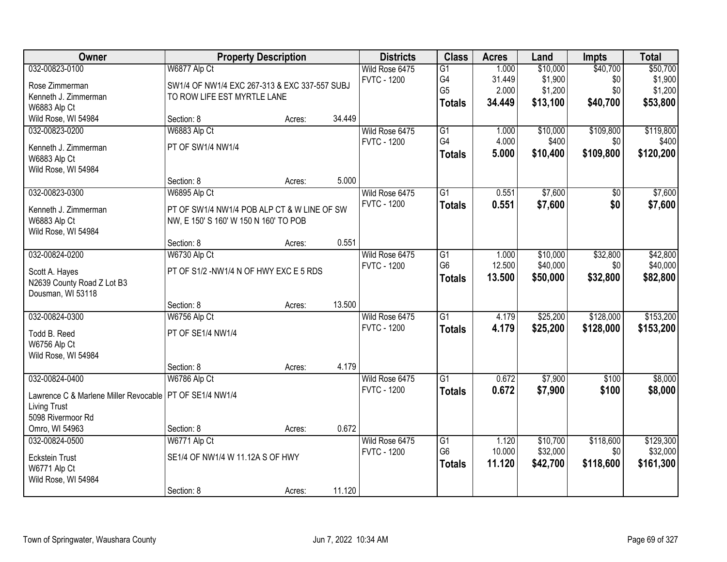| Owner                                 | <b>Property Description</b>                   |        |        | <b>Districts</b>   | <b>Class</b>    | <b>Acres</b> | Land     | <b>Impts</b>    | <b>Total</b> |
|---------------------------------------|-----------------------------------------------|--------|--------|--------------------|-----------------|--------------|----------|-----------------|--------------|
| 032-00823-0100                        | W6877 Alp Ct                                  |        |        | Wild Rose 6475     | G1              | 1.000        | \$10,000 | \$40,700        | \$50,700     |
| Rose Zimmerman                        | SW1/4 OF NW1/4 EXC 267-313 & EXC 337-557 SUBJ |        |        | <b>FVTC - 1200</b> | G4              | 31.449       | \$1,900  | \$0             | \$1,900      |
| Kenneth J. Zimmerman                  | TO ROW LIFE EST MYRTLE LANE                   |        |        |                    | G <sub>5</sub>  | 2.000        | \$1,200  | \$0             | \$1,200      |
| W6883 Alp Ct                          |                                               |        |        |                    | <b>Totals</b>   | 34.449       | \$13,100 | \$40,700        | \$53,800     |
| Wild Rose, WI 54984                   | Section: 8                                    | Acres: | 34.449 |                    |                 |              |          |                 |              |
| 032-00823-0200                        | W6883 Alp Ct                                  |        |        | Wild Rose 6475     | G1              | 1.000        | \$10,000 | \$109,800       | \$119,800    |
| Kenneth J. Zimmerman                  | PT OF SW1/4 NW1/4                             |        |        | <b>FVTC - 1200</b> | G <sub>4</sub>  | 4.000        | \$400    | \$0             | \$400        |
| W6883 Alp Ct                          |                                               |        |        |                    | <b>Totals</b>   | 5.000        | \$10,400 | \$109,800       | \$120,200    |
| Wild Rose, WI 54984                   |                                               |        |        |                    |                 |              |          |                 |              |
|                                       | Section: 8                                    | Acres: | 5.000  |                    |                 |              |          |                 |              |
| 032-00823-0300                        | W6895 Alp Ct                                  |        |        | Wild Rose 6475     | G1              | 0.551        | \$7,600  | $\overline{50}$ | \$7,600      |
|                                       |                                               |        |        | <b>FVTC - 1200</b> | <b>Totals</b>   | 0.551        | \$7,600  | \$0             | \$7,600      |
| Kenneth J. Zimmerman                  | PT OF SW1/4 NW1/4 POB ALP CT & W LINE OF SW   |        |        |                    |                 |              |          |                 |              |
| W6883 Alp Ct                          | NW, E 150' S 160' W 150 N 160' TO POB         |        |        |                    |                 |              |          |                 |              |
| Wild Rose, WI 54984                   | Section: 8                                    |        | 0.551  |                    |                 |              |          |                 |              |
| 032-00824-0200                        | W6730 Alp Ct                                  | Acres: |        | Wild Rose 6475     | $\overline{G1}$ | 1.000        | \$10,000 | \$32,800        | \$42,800     |
|                                       |                                               |        |        | <b>FVTC - 1200</b> | G <sub>6</sub>  | 12.500       | \$40,000 | \$0             | \$40,000     |
| Scott A. Hayes                        | PT OF S1/2 - NW1/4 N OF HWY EXC E 5 RDS       |        |        |                    |                 | 13.500       | \$50,000 | \$32,800        | \$82,800     |
| N2639 County Road Z Lot B3            |                                               |        |        |                    | <b>Totals</b>   |              |          |                 |              |
| Dousman, WI 53118                     |                                               |        |        |                    |                 |              |          |                 |              |
|                                       | Section: 8                                    | Acres: | 13.500 |                    |                 |              |          |                 |              |
| 032-00824-0300                        | W6756 Alp Ct                                  |        |        | Wild Rose 6475     | $\overline{G1}$ | 4.179        | \$25,200 | \$128,000       | \$153,200    |
| Todd B. Reed                          | PT OF SE1/4 NW1/4                             |        |        | <b>FVTC - 1200</b> | <b>Totals</b>   | 4.179        | \$25,200 | \$128,000       | \$153,200    |
| W6756 Alp Ct                          |                                               |        |        |                    |                 |              |          |                 |              |
| Wild Rose, WI 54984                   |                                               |        |        |                    |                 |              |          |                 |              |
|                                       | Section: 8                                    | Acres: | 4.179  |                    |                 |              |          |                 |              |
| 032-00824-0400                        | W6786 Alp Ct                                  |        |        | Wild Rose 6475     | G <sub>1</sub>  | 0.672        | \$7,900  | \$100           | \$8,000      |
| Lawrence C & Marlene Miller Revocable | PT OF SE1/4 NW1/4                             |        |        | <b>FVTC - 1200</b> | <b>Totals</b>   | 0.672        | \$7,900  | \$100           | \$8,000      |
| <b>Living Trust</b>                   |                                               |        |        |                    |                 |              |          |                 |              |
| 5098 Rivermoor Rd                     |                                               |        |        |                    |                 |              |          |                 |              |
| Omro, WI 54963                        | Section: 8                                    | Acres: | 0.672  |                    |                 |              |          |                 |              |
| 032-00824-0500                        | W6771 Alp Ct                                  |        |        | Wild Rose 6475     | G1              | 1.120        | \$10,700 | \$118,600       | \$129,300    |
|                                       |                                               |        |        | <b>FVTC - 1200</b> | G <sub>6</sub>  | 10.000       | \$32,000 | \$0             | \$32,000     |
| <b>Eckstein Trust</b>                 | SE1/4 OF NW1/4 W 11.12A S OF HWY              |        |        |                    | <b>Totals</b>   | 11.120       | \$42,700 | \$118,600       | \$161,300    |
| W6771 Alp Ct                          |                                               |        |        |                    |                 |              |          |                 |              |
| Wild Rose, WI 54984                   | Section: 8                                    |        | 11.120 |                    |                 |              |          |                 |              |
|                                       |                                               | Acres: |        |                    |                 |              |          |                 |              |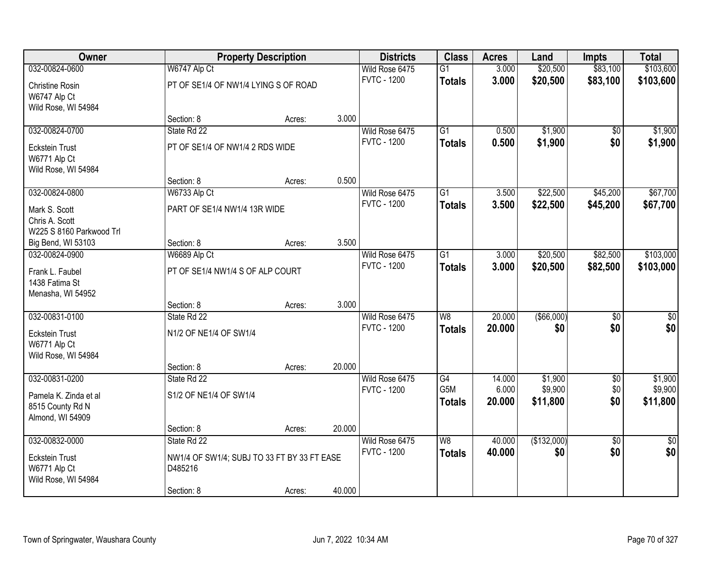| Owner                    |                                             | <b>Property Description</b> |        | <b>Districts</b>   | <b>Class</b>             | <b>Acres</b> | Land        | <b>Impts</b>    | <b>Total</b>  |
|--------------------------|---------------------------------------------|-----------------------------|--------|--------------------|--------------------------|--------------|-------------|-----------------|---------------|
| 032-00824-0600           | W6747 Alp Ct                                |                             |        | Wild Rose 6475     | $\overline{G1}$          | 3.000        | \$20,500    | \$83,100        | \$103,600     |
| Christine Rosin          | PT OF SE1/4 OF NW1/4 LYING S OF ROAD        |                             |        | <b>FVTC - 1200</b> | <b>Totals</b>            | 3.000        | \$20,500    | \$83,100        | \$103,600     |
| W6747 Alp Ct             |                                             |                             |        |                    |                          |              |             |                 |               |
| Wild Rose, WI 54984      |                                             |                             |        |                    |                          |              |             |                 |               |
|                          | Section: 8                                  | Acres:                      | 3.000  |                    |                          |              |             |                 |               |
| 032-00824-0700           | State Rd 22                                 |                             |        | Wild Rose 6475     | $\overline{G1}$          | 0.500        | \$1,900     | $\overline{50}$ | \$1,900       |
| <b>Eckstein Trust</b>    | PT OF SE1/4 OF NW1/4 2 RDS WIDE             |                             |        | <b>FVTC - 1200</b> | <b>Totals</b>            | 0.500        | \$1,900     | \$0             | \$1,900       |
| W6771 Alp Ct             |                                             |                             |        |                    |                          |              |             |                 |               |
| Wild Rose, WI 54984      |                                             |                             |        |                    |                          |              |             |                 |               |
|                          | Section: 8                                  | Acres:                      | 0.500  |                    |                          |              |             |                 |               |
| 032-00824-0800           | W6733 Alp Ct                                |                             |        | Wild Rose 6475     | G1                       | 3.500        | \$22,500    | \$45,200        | \$67,700      |
| Mark S. Scott            | PART OF SE1/4 NW1/4 13R WIDE                |                             |        | <b>FVTC - 1200</b> | <b>Totals</b>            | 3.500        | \$22,500    | \$45,200        | \$67,700      |
| Chris A. Scott           |                                             |                             |        |                    |                          |              |             |                 |               |
| W225 S 8160 Parkwood Trl |                                             |                             |        |                    |                          |              |             |                 |               |
| Big Bend, WI 53103       | Section: 8                                  | Acres:                      | 3.500  |                    |                          |              |             |                 |               |
| 032-00824-0900           | W6689 Alp Ct                                |                             |        | Wild Rose 6475     | $\overline{G1}$          | 3.000        | \$20,500    | \$82,500        | \$103,000     |
| Frank L. Faubel          | PT OF SE1/4 NW1/4 S OF ALP COURT            |                             |        | <b>FVTC - 1200</b> | <b>Totals</b>            | 3.000        | \$20,500    | \$82,500        | \$103,000     |
| 1438 Fatima St           |                                             |                             |        |                    |                          |              |             |                 |               |
| Menasha, WI 54952        |                                             |                             |        |                    |                          |              |             |                 |               |
|                          | Section: 8                                  | Acres:                      | 3.000  |                    |                          |              |             |                 |               |
| 032-00831-0100           | State Rd 22                                 |                             |        | Wild Rose 6475     | $\overline{\mathsf{W}8}$ | 20.000       | ( \$66,000) | $\overline{50}$ | \$0           |
| <b>Eckstein Trust</b>    | N1/2 OF NE1/4 OF SW1/4                      |                             |        | <b>FVTC - 1200</b> | <b>Totals</b>            | 20.000       | \$0         | \$0             | \$0           |
| W6771 Alp Ct             |                                             |                             |        |                    |                          |              |             |                 |               |
| Wild Rose, WI 54984      |                                             |                             |        |                    |                          |              |             |                 |               |
|                          | Section: 8                                  | Acres:                      | 20.000 |                    |                          |              |             |                 |               |
| 032-00831-0200           | State Rd 22                                 |                             |        | Wild Rose 6475     | $\overline{G4}$          | 14.000       | \$1,900     | $\overline{60}$ | \$1,900       |
| Pamela K. Zinda et al    | S1/2 OF NE1/4 OF SW1/4                      |                             |        | <b>FVTC - 1200</b> | G5M                      | 6.000        | \$9,900     | \$0             | \$9,900       |
| 8515 County Rd N         |                                             |                             |        |                    | <b>Totals</b>            | 20.000       | \$11,800    | \$0             | \$11,800      |
| Almond, WI 54909         |                                             |                             |        |                    |                          |              |             |                 |               |
|                          | Section: 8                                  | Acres:                      | 20.000 |                    |                          |              |             |                 |               |
| 032-00832-0000           | State Rd 22                                 |                             |        | Wild Rose 6475     | W8                       | 40.000       | (\$132,000) | $\overline{50}$ | $\frac{1}{6}$ |
| <b>Eckstein Trust</b>    | NW1/4 OF SW1/4; SUBJ TO 33 FT BY 33 FT EASE |                             |        | <b>FVTC - 1200</b> | <b>Totals</b>            | 40.000       | \$0         | \$0             | \$0           |
| W6771 Alp Ct             | D485216                                     |                             |        |                    |                          |              |             |                 |               |
| Wild Rose, WI 54984      |                                             |                             |        |                    |                          |              |             |                 |               |
|                          | Section: 8                                  | Acres:                      | 40.000 |                    |                          |              |             |                 |               |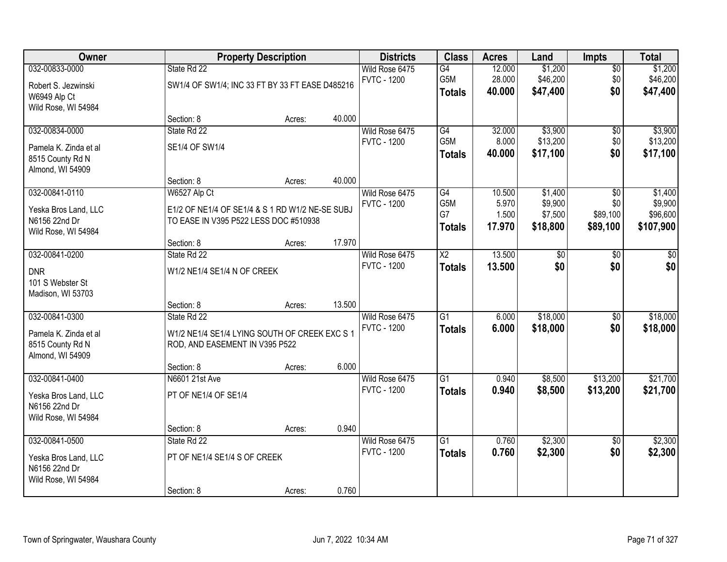| <b>Owner</b>                                                                    |                                                                                                          | <b>Property Description</b> |        | <b>Districts</b>                     | <b>Class</b>                            | <b>Acres</b>                       | Land                                      | <b>Impts</b>                       | <b>Total</b>                                |
|---------------------------------------------------------------------------------|----------------------------------------------------------------------------------------------------------|-----------------------------|--------|--------------------------------------|-----------------------------------------|------------------------------------|-------------------------------------------|------------------------------------|---------------------------------------------|
| 032-00833-0000<br>Robert S. Jezwinski<br>W6949 Alp Ct<br>Wild Rose, WI 54984    | State Rd 22<br>SW1/4 OF SW1/4; INC 33 FT BY 33 FT EASE D485216                                           |                             |        | Wild Rose 6475<br><b>FVTC - 1200</b> | G4<br>G5M<br><b>Totals</b>              | 12.000<br>28.000<br>40.000         | \$1,200<br>\$46,200<br>\$47,400           | $\overline{50}$<br>\$0<br>\$0      | \$1,200<br>\$46,200<br>\$47,400             |
|                                                                                 | Section: 8                                                                                               | Acres:                      | 40.000 |                                      |                                         |                                    |                                           |                                    |                                             |
| 032-00834-0000<br>Pamela K. Zinda et al<br>8515 County Rd N<br>Almond, WI 54909 | State Rd 22<br>SE1/4 OF SW1/4                                                                            |                             |        | Wild Rose 6475<br><b>FVTC - 1200</b> | G4<br>G5M<br><b>Totals</b>              | 32.000<br>8.000<br>40.000          | \$3,900<br>\$13,200<br>\$17,100           | \$0<br>\$0<br>\$0                  | \$3,900<br>\$13,200<br>\$17,100             |
|                                                                                 | Section: 8                                                                                               | Acres:                      | 40.000 |                                      |                                         |                                    |                                           |                                    |                                             |
| 032-00841-0110<br>Yeska Bros Land, LLC<br>N6156 22nd Dr<br>Wild Rose, WI 54984  | W6527 Alp Ct<br>E1/2 OF NE1/4 OF SE1/4 & S 1 RD W1/2 NE-SE SUBJ<br>TO EASE IN V395 P522 LESS DOC #510938 |                             |        | Wild Rose 6475<br><b>FVTC - 1200</b> | G4<br>G5M<br>G7<br><b>Totals</b>        | 10.500<br>5.970<br>1.500<br>17.970 | \$1,400<br>\$9,900<br>\$7,500<br>\$18,800 | \$0<br>\$0<br>\$89,100<br>\$89,100 | \$1,400<br>\$9,900<br>\$96,600<br>\$107,900 |
|                                                                                 | Section: 8                                                                                               | Acres:                      | 17.970 |                                      |                                         |                                    |                                           |                                    |                                             |
| 032-00841-0200<br><b>DNR</b><br>101 S Webster St<br>Madison, WI 53703           | State Rd 22<br>W1/2 NE1/4 SE1/4 N OF CREEK                                                               |                             |        | Wild Rose 6475<br><b>FVTC - 1200</b> | $\overline{\text{X2}}$<br><b>Totals</b> | 13.500<br>13.500                   | \$0<br>\$0                                | $\sqrt{6}$<br>\$0                  | \$0<br>\$0                                  |
|                                                                                 | Section: 8                                                                                               | Acres:                      | 13.500 |                                      |                                         |                                    |                                           |                                    |                                             |
| 032-00841-0300<br>Pamela K. Zinda et al<br>8515 County Rd N<br>Almond, WI 54909 | State Rd 22<br>W1/2 NE1/4 SE1/4 LYING SOUTH OF CREEK EXC S 1<br>ROD, AND EASEMENT IN V395 P522           |                             |        | Wild Rose 6475<br><b>FVTC - 1200</b> | $\overline{G1}$<br><b>Totals</b>        | 6.000<br>6.000                     | \$18,000<br>\$18,000                      | $\overline{50}$<br>\$0             | \$18,000<br>\$18,000                        |
|                                                                                 | Section: 8                                                                                               | Acres:                      | 6.000  |                                      |                                         |                                    |                                           |                                    |                                             |
| 032-00841-0400<br>Yeska Bros Land, LLC<br>N6156 22nd Dr<br>Wild Rose, WI 54984  | N6601 21st Ave<br>PT OF NE1/4 OF SE1/4                                                                   |                             |        | Wild Rose 6475<br><b>FVTC - 1200</b> | $\overline{G1}$<br><b>Totals</b>        | 0.940<br>0.940                     | \$8,500<br>\$8,500                        | \$13,200<br>\$13,200               | \$21,700<br>\$21,700                        |
|                                                                                 | Section: 8                                                                                               | Acres:                      | 0.940  |                                      |                                         |                                    |                                           |                                    |                                             |
| 032-00841-0500<br>Yeska Bros Land, LLC<br>N6156 22nd Dr<br>Wild Rose, WI 54984  | State Rd 22<br>PT OF NE1/4 SE1/4 S OF CREEK<br>Section: 8                                                |                             | 0.760  | Wild Rose 6475<br><b>FVTC - 1200</b> | $\overline{G1}$<br><b>Totals</b>        | 0.760<br>0.760                     | \$2,300<br>\$2,300                        | $\overline{50}$<br>\$0             | \$2,300<br>\$2,300                          |
|                                                                                 |                                                                                                          | Acres:                      |        |                                      |                                         |                                    |                                           |                                    |                                             |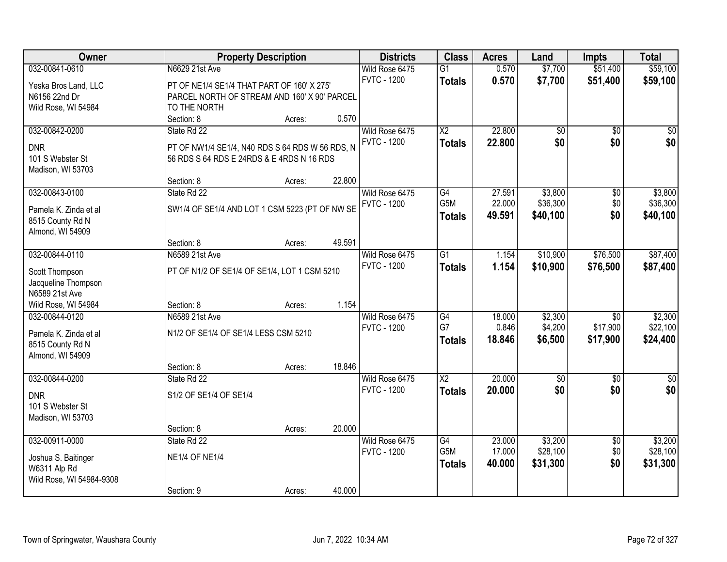| <b>Owner</b>                              |                                                 | <b>Property Description</b> |        | <b>Districts</b>   | <b>Class</b>           | <b>Acres</b>    | Land               | <b>Impts</b>                | <b>Total</b>        |
|-------------------------------------------|-------------------------------------------------|-----------------------------|--------|--------------------|------------------------|-----------------|--------------------|-----------------------------|---------------------|
| 032-00841-0610                            | N6629 21st Ave                                  |                             |        | Wild Rose 6475     | $\overline{G1}$        | 0.570           | \$7,700            | \$51,400                    | \$59,100            |
| Yeska Bros Land, LLC                      | PT OF NE1/4 SE1/4 THAT PART OF 160' X 275'      |                             |        | <b>FVTC - 1200</b> | <b>Totals</b>          | 0.570           | \$7,700            | \$51,400                    | \$59,100            |
| N6156 22nd Dr                             | PARCEL NORTH OF STREAM AND 160' X 90' PARCEL    |                             |        |                    |                        |                 |                    |                             |                     |
| Wild Rose, WI 54984                       | TO THE NORTH                                    |                             |        |                    |                        |                 |                    |                             |                     |
|                                           | Section: 8                                      | Acres:                      | 0.570  |                    |                        |                 |                    |                             |                     |
| 032-00842-0200                            | State Rd 22                                     |                             |        | Wild Rose 6475     | $\overline{\text{X2}}$ | 22.800          | \$0                | $\overline{50}$             | $\overline{50}$     |
| <b>DNR</b>                                | PT OF NW1/4 SE1/4, N40 RDS S 64 RDS W 56 RDS, N |                             |        | <b>FVTC - 1200</b> | <b>Totals</b>          | 22.800          | \$0                | \$0                         | \$0                 |
| 101 S Webster St                          | 56 RDS S 64 RDS E 24RDS & E 4RDS N 16 RDS       |                             |        |                    |                        |                 |                    |                             |                     |
| Madison, WI 53703                         |                                                 |                             |        |                    |                        |                 |                    |                             |                     |
|                                           | Section: 8                                      | Acres:                      | 22.800 |                    |                        |                 |                    |                             |                     |
| 032-00843-0100                            | State Rd 22                                     |                             |        | Wild Rose 6475     | G4                     | 27.591          | \$3,800            | $\overline{50}$             | \$3,800             |
|                                           |                                                 |                             |        | <b>FVTC - 1200</b> | G5M                    | 22.000          | \$36,300           | \$0                         | \$36,300            |
| Pamela K. Zinda et al<br>8515 County Rd N | SW1/4 OF SE1/4 AND LOT 1 CSM 5223 (PT OF NW SE  |                             |        |                    | <b>Totals</b>          | 49.591          | \$40,100           | \$0                         | \$40,100            |
| Almond, WI 54909                          |                                                 |                             |        |                    |                        |                 |                    |                             |                     |
|                                           | Section: 8                                      | Acres:                      | 49.591 |                    |                        |                 |                    |                             |                     |
| 032-00844-0110                            | N6589 21st Ave                                  |                             |        | Wild Rose 6475     | $\overline{G1}$        | 1.154           | \$10,900           | \$76,500                    | \$87,400            |
|                                           |                                                 |                             |        | <b>FVTC - 1200</b> | <b>Totals</b>          | 1.154           | \$10,900           | \$76,500                    | \$87,400            |
| Scott Thompson                            | PT OF N1/2 OF SE1/4 OF SE1/4, LOT 1 CSM 5210    |                             |        |                    |                        |                 |                    |                             |                     |
| Jacqueline Thompson                       |                                                 |                             |        |                    |                        |                 |                    |                             |                     |
| N6589 21st Ave                            |                                                 |                             |        |                    |                        |                 |                    |                             |                     |
| Wild Rose, WI 54984                       | Section: 8                                      | Acres:                      | 1.154  |                    |                        |                 |                    |                             |                     |
| 032-00844-0120                            | N6589 21st Ave                                  |                             |        | Wild Rose 6475     | G4<br>G7               | 18.000<br>0.846 | \$2,300<br>\$4,200 | $\overline{50}$<br>\$17,900 | \$2,300<br>\$22,100 |
| Pamela K. Zinda et al                     | N1/2 OF SE1/4 OF SE1/4 LESS CSM 5210            |                             |        | <b>FVTC - 1200</b> |                        |                 |                    |                             |                     |
| 8515 County Rd N                          |                                                 |                             |        |                    | <b>Totals</b>          | 18.846          | \$6,500            | \$17,900                    | \$24,400            |
| Almond, WI 54909                          |                                                 |                             |        |                    |                        |                 |                    |                             |                     |
|                                           | Section: 8                                      | Acres:                      | 18.846 |                    |                        |                 |                    |                             |                     |
| 032-00844-0200                            | State Rd 22                                     |                             |        | Wild Rose 6475     | $\overline{X2}$        | 20.000          | $\sqrt{30}$        | $\overline{60}$             | $\sqrt{60}$         |
| <b>DNR</b>                                | S1/2 OF SE1/4 OF SE1/4                          |                             |        | <b>FVTC - 1200</b> | <b>Totals</b>          | 20.000          | \$0                | \$0                         | \$0                 |
| 101 S Webster St                          |                                                 |                             |        |                    |                        |                 |                    |                             |                     |
| Madison, WI 53703                         |                                                 |                             |        |                    |                        |                 |                    |                             |                     |
|                                           | Section: 8                                      | Acres:                      | 20.000 |                    |                        |                 |                    |                             |                     |
| 032-00911-0000                            | State Rd 22                                     |                             |        | Wild Rose 6475     | $\overline{G4}$        | 23.000          | \$3,200            | $\overline{50}$             | \$3,200             |
| Joshua S. Baitinger                       | <b>NE1/4 OF NE1/4</b>                           |                             |        | <b>FVTC - 1200</b> | G5M                    | 17.000          | \$28,100           | \$0                         | \$28,100            |
| W6311 Alp Rd                              |                                                 |                             |        |                    | <b>Totals</b>          | 40.000          | \$31,300           | \$0                         | \$31,300            |
| Wild Rose, WI 54984-9308                  |                                                 |                             |        |                    |                        |                 |                    |                             |                     |
|                                           | Section: 9                                      | Acres:                      | 40.000 |                    |                        |                 |                    |                             |                     |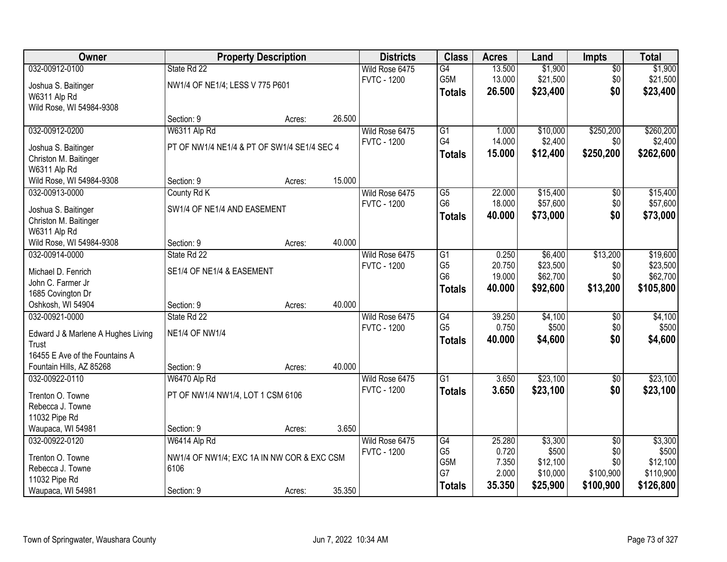| <b>Owner</b>                            |                                             | <b>Property Description</b> |        | <b>Districts</b>   | <b>Class</b>    | <b>Acres</b> | Land     | <b>Impts</b>    | <b>Total</b> |
|-----------------------------------------|---------------------------------------------|-----------------------------|--------|--------------------|-----------------|--------------|----------|-----------------|--------------|
| 032-00912-0100                          | State Rd 22                                 |                             |        | Wild Rose 6475     | G4              | 13.500       | \$1,900  | \$0             | \$1,900      |
| Joshua S. Baitinger                     | NW1/4 OF NE1/4; LESS V 775 P601             |                             |        | <b>FVTC - 1200</b> | G5M             | 13.000       | \$21,500 | \$0             | \$21,500     |
| W6311 Alp Rd                            |                                             |                             |        |                    | <b>Totals</b>   | 26.500       | \$23,400 | \$0             | \$23,400     |
| Wild Rose, WI 54984-9308                |                                             |                             |        |                    |                 |              |          |                 |              |
|                                         | Section: 9                                  | Acres:                      | 26.500 |                    |                 |              |          |                 |              |
| 032-00912-0200                          | W6311 Alp Rd                                |                             |        | Wild Rose 6475     | $\overline{G1}$ | 1.000        | \$10,000 | \$250,200       | \$260,200    |
| Joshua S. Baitinger                     | PT OF NW1/4 NE1/4 & PT OF SW1/4 SE1/4 SEC 4 |                             |        | <b>FVTC - 1200</b> | G4              | 14.000       | \$2,400  | \$0             | \$2,400      |
| Christon M. Baitinger                   |                                             |                             |        |                    | <b>Totals</b>   | 15.000       | \$12,400 | \$250,200       | \$262,600    |
| W6311 Alp Rd                            |                                             |                             |        |                    |                 |              |          |                 |              |
| Wild Rose, WI 54984-9308                | Section: 9                                  | Acres:                      | 15.000 |                    |                 |              |          |                 |              |
| 032-00913-0000                          | County Rd K                                 |                             |        | Wild Rose 6475     | $\overline{G5}$ | 22.000       | \$15,400 | \$0             | \$15,400     |
| Joshua S. Baitinger                     | SW1/4 OF NE1/4 AND EASEMENT                 |                             |        | <b>FVTC - 1200</b> | G <sub>6</sub>  | 18.000       | \$57,600 | \$0             | \$57,600     |
| Christon M. Baitinger                   |                                             |                             |        |                    | <b>Totals</b>   | 40.000       | \$73,000 | \$0             | \$73,000     |
| W6311 Alp Rd                            |                                             |                             |        |                    |                 |              |          |                 |              |
| Wild Rose, WI 54984-9308                | Section: 9                                  | Acres:                      | 40.000 |                    |                 |              |          |                 |              |
| 032-00914-0000                          | State Rd 22                                 |                             |        | Wild Rose 6475     | $\overline{G1}$ | 0.250        | \$6,400  | \$13,200        | \$19,600     |
|                                         |                                             |                             |        | <b>FVTC - 1200</b> | G <sub>5</sub>  | 20.750       | \$23,500 | \$0             | \$23,500     |
| Michael D. Fenrich<br>John C. Farmer Jr | SE1/4 OF NE1/4 & EASEMENT                   |                             |        |                    | G <sub>6</sub>  | 19.000       | \$62,700 | \$0             | \$62,700     |
| 1685 Covington Dr                       |                                             |                             |        |                    | Totals          | 40.000       | \$92,600 | \$13,200        | \$105,800    |
| Oshkosh, WI 54904                       | Section: 9                                  | Acres:                      | 40.000 |                    |                 |              |          |                 |              |
| 032-00921-0000                          | State Rd 22                                 |                             |        | Wild Rose 6475     | G4              | 39.250       | \$4,100  | \$0             | \$4,100      |
|                                         |                                             |                             |        | <b>FVTC - 1200</b> | G <sub>5</sub>  | 0.750        | \$500    | \$0             | \$500        |
| Edward J & Marlene A Hughes Living      | <b>NE1/4 OF NW1/4</b>                       |                             |        |                    | <b>Totals</b>   | 40.000       | \$4,600  | \$0             | \$4,600      |
| Trust<br>16455 E Ave of the Fountains A |                                             |                             |        |                    |                 |              |          |                 |              |
| Fountain Hills, AZ 85268                | Section: 9                                  | Acres:                      | 40.000 |                    |                 |              |          |                 |              |
| 032-00922-0110                          | W6470 Alp Rd                                |                             |        | Wild Rose 6475     | $\overline{G1}$ | 3.650        | \$23,100 | $\overline{50}$ | \$23,100     |
|                                         |                                             |                             |        | <b>FVTC - 1200</b> | <b>Totals</b>   | 3.650        | \$23,100 | \$0             | \$23,100     |
| Trenton O. Towne                        | PT OF NW1/4 NW1/4, LOT 1 CSM 6106           |                             |        |                    |                 |              |          |                 |              |
| Rebecca J. Towne                        |                                             |                             |        |                    |                 |              |          |                 |              |
| 11032 Pipe Rd<br>Waupaca, WI 54981      | Section: 9                                  |                             | 3.650  |                    |                 |              |          |                 |              |
| 032-00922-0120                          | W6414 Alp Rd                                | Acres:                      |        | Wild Rose 6475     | G4              | 25.280       | \$3,300  | $\overline{50}$ | \$3,300      |
|                                         |                                             |                             |        | <b>FVTC - 1200</b> | G <sub>5</sub>  | 0.720        | \$500    | \$0             | \$500        |
| Trenton O. Towne                        | NW1/4 OF NW1/4; EXC 1A IN NW COR & EXC CSM  |                             |        |                    | G5M             | 7.350        | \$12,100 | \$0             | \$12,100     |
| Rebecca J. Towne                        | 6106                                        |                             |        |                    | G7              | 2.000        | \$10,000 | \$100,900       | \$110,900    |
| 11032 Pipe Rd                           |                                             |                             |        |                    | <b>Totals</b>   | 35.350       | \$25,900 | \$100,900       | \$126,800    |
| Waupaca, WI 54981                       | Section: 9                                  | Acres:                      | 35.350 |                    |                 |              |          |                 |              |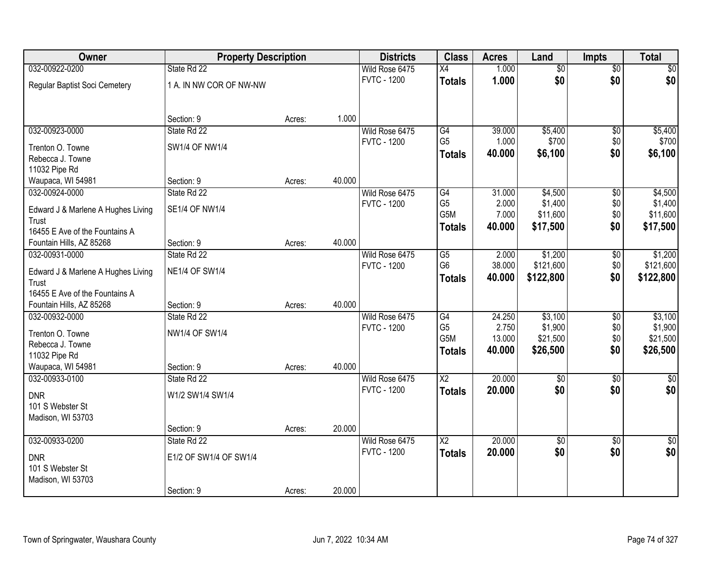| Owner                              | <b>Property Description</b> |        |        | <b>Districts</b>   | <b>Class</b>                      | <b>Acres</b>    | Land                | <b>Impts</b>    | <b>Total</b>       |
|------------------------------------|-----------------------------|--------|--------|--------------------|-----------------------------------|-----------------|---------------------|-----------------|--------------------|
| 032-00922-0200                     | State Rd 22                 |        |        | Wild Rose 6475     | X4                                | 1.000           | $\overline{50}$     | $\overline{50}$ | $\sqrt{30}$        |
| Regular Baptist Soci Cemetery      | 1 A. IN NW COR OF NW-NW     |        |        | <b>FVTC - 1200</b> | <b>Totals</b>                     | 1.000           | \$0                 | \$0             | \$0                |
|                                    | Section: 9                  | Acres: | 1.000  |                    |                                   |                 |                     |                 |                    |
| 032-00923-0000                     | State Rd 22                 |        |        | Wild Rose 6475     | G4                                | 39.000          | \$5,400             | $\overline{50}$ | \$5,400            |
|                                    |                             |        |        | <b>FVTC - 1200</b> | G <sub>5</sub>                    | 1.000           | \$700               | \$0             | \$700              |
| Trenton O. Towne                   | <b>SW1/4 OF NW1/4</b>       |        |        |                    | <b>Totals</b>                     | 40.000          | \$6,100             | \$0             | \$6,100            |
| Rebecca J. Towne                   |                             |        |        |                    |                                   |                 |                     |                 |                    |
| 11032 Pipe Rd                      |                             |        |        |                    |                                   |                 |                     |                 |                    |
| Waupaca, WI 54981                  | Section: 9                  | Acres: | 40.000 |                    |                                   |                 |                     |                 |                    |
| 032-00924-0000                     | State Rd 22                 |        |        | Wild Rose 6475     | G4                                | 31.000          | \$4,500             | \$0             | \$4,500            |
| Edward J & Marlene A Hughes Living | <b>SE1/4 OF NW1/4</b>       |        |        | <b>FVTC - 1200</b> | G <sub>5</sub>                    | 2.000           | \$1,400             | \$0             | \$1,400            |
| Trust                              |                             |        |        |                    | G5M                               | 7.000           | \$11,600            | \$0             | \$11,600           |
| 16455 E Ave of the Fountains A     |                             |        |        |                    | <b>Totals</b>                     | 40.000          | \$17,500            | \$0             | \$17,500           |
| Fountain Hills, AZ 85268           | Section: 9                  | Acres: | 40.000 |                    |                                   |                 |                     |                 |                    |
| 032-00931-0000                     | State Rd 22                 |        |        | Wild Rose 6475     | G5                                | 2.000           | \$1,200             | \$0             | \$1,200            |
|                                    |                             |        |        | <b>FVTC - 1200</b> | G <sub>6</sub>                    | 38.000          | \$121,600           | \$0             | \$121,600          |
| Edward J & Marlene A Hughes Living | <b>NE1/4 OF SW1/4</b>       |        |        |                    | <b>Totals</b>                     | 40.000          | \$122,800           | \$0             | \$122,800          |
| Trust                              |                             |        |        |                    |                                   |                 |                     |                 |                    |
| 16455 E Ave of the Fountains A     |                             |        | 40.000 |                    |                                   |                 |                     |                 |                    |
| Fountain Hills, AZ 85268           | Section: 9<br>State Rd 22   | Acres: |        |                    |                                   |                 |                     |                 |                    |
| 032-00932-0000                     |                             |        |        | Wild Rose 6475     | $\overline{G4}$<br>G <sub>5</sub> | 24.250<br>2.750 | \$3,100             | $\overline{30}$ | \$3,100<br>\$1,900 |
| Trenton O. Towne                   | NW1/4 OF SW1/4              |        |        | <b>FVTC - 1200</b> | G5M                               | 13.000          | \$1,900<br>\$21,500 | \$0<br>\$0      | \$21,500           |
| Rebecca J. Towne                   |                             |        |        |                    |                                   | 40.000          | \$26,500            | \$0             | \$26,500           |
| 11032 Pipe Rd                      |                             |        |        |                    | <b>Totals</b>                     |                 |                     |                 |                    |
| Waupaca, WI 54981                  | Section: 9                  | Acres: | 40.000 |                    |                                   |                 |                     |                 |                    |
| 032-00933-0100                     | State Rd 22                 |        |        | Wild Rose 6475     | $\overline{\text{X2}}$            | 20.000          | $\overline{50}$     | $\overline{50}$ | $\sqrt{50}$        |
| <b>DNR</b>                         | W1/2 SW1/4 SW1/4            |        |        | <b>FVTC - 1200</b> | <b>Totals</b>                     | 20.000          | \$0                 | \$0             | \$0                |
| 101 S Webster St                   |                             |        |        |                    |                                   |                 |                     |                 |                    |
| Madison, WI 53703                  |                             |        |        |                    |                                   |                 |                     |                 |                    |
|                                    | Section: 9                  | Acres: | 20.000 |                    |                                   |                 |                     |                 |                    |
| 032-00933-0200                     | State Rd 22                 |        |        | Wild Rose 6475     | $\overline{\text{X2}}$            | 20.000          | $\overline{50}$     | $\overline{50}$ | $\frac{1}{2}$      |
|                                    |                             |        |        | <b>FVTC - 1200</b> | <b>Totals</b>                     | 20.000          | \$0                 | \$0             | \$0                |
| <b>DNR</b>                         | E1/2 OF SW1/4 OF SW1/4      |        |        |                    |                                   |                 |                     |                 |                    |
| 101 S Webster St                   |                             |        |        |                    |                                   |                 |                     |                 |                    |
| Madison, WI 53703                  |                             |        |        |                    |                                   |                 |                     |                 |                    |
|                                    | Section: 9                  | Acres: | 20.000 |                    |                                   |                 |                     |                 |                    |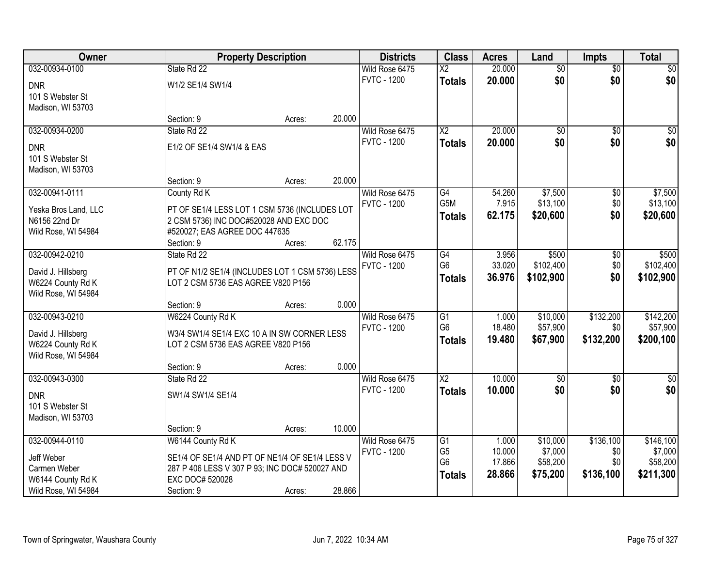| Owner                |                                                 | <b>Property Description</b> |        | <b>Districts</b>   | <b>Class</b>                     | <b>Acres</b>     | Land                | <b>Impts</b>    | <b>Total</b>        |
|----------------------|-------------------------------------------------|-----------------------------|--------|--------------------|----------------------------------|------------------|---------------------|-----------------|---------------------|
| 032-00934-0100       | State Rd 22                                     |                             |        | Wild Rose 6475     | $\overline{X2}$                  | 20.000           | $\overline{60}$     | $\overline{60}$ | \$0                 |
| <b>DNR</b>           | W1/2 SE1/4 SW1/4                                |                             |        | <b>FVTC - 1200</b> | <b>Totals</b>                    | 20.000           | \$0                 | \$0             | \$0                 |
| 101 S Webster St     |                                                 |                             |        |                    |                                  |                  |                     |                 |                     |
| Madison, WI 53703    |                                                 |                             |        |                    |                                  |                  |                     |                 |                     |
|                      | Section: 9                                      | Acres:                      | 20.000 |                    |                                  |                  |                     |                 |                     |
| 032-00934-0200       | State Rd 22                                     |                             |        | Wild Rose 6475     | $\overline{X2}$                  | 20.000           | $\overline{50}$     | $\overline{50}$ | \$0                 |
| <b>DNR</b>           | E1/2 OF SE1/4 SW1/4 & EAS                       |                             |        | <b>FVTC - 1200</b> | <b>Totals</b>                    | 20.000           | \$0                 | \$0             | \$0                 |
| 101 S Webster St     |                                                 |                             |        |                    |                                  |                  |                     |                 |                     |
| Madison, WI 53703    |                                                 |                             |        |                    |                                  |                  |                     |                 |                     |
|                      | Section: 9                                      | Acres:                      | 20.000 |                    |                                  |                  |                     |                 |                     |
| 032-00941-0111       | County Rd K                                     |                             |        | Wild Rose 6475     | G4                               | 54.260           | \$7,500             | \$0             | \$7,500             |
| Yeska Bros Land, LLC | PT OF SE1/4 LESS LOT 1 CSM 5736 (INCLUDES LOT   |                             |        | <b>FVTC - 1200</b> | G <sub>5</sub> M                 | 7.915            | \$13,100            | \$0             | \$13,100            |
| N6156 22nd Dr        | 2 CSM 5736) INC DOC#520028 AND EXC DOC          |                             |        |                    | <b>Totals</b>                    | 62.175           | \$20,600            | \$0             | \$20,600            |
| Wild Rose, WI 54984  | #520027; EAS AGREE DOC 447635                   |                             |        |                    |                                  |                  |                     |                 |                     |
|                      | Section: 9                                      | Acres:                      | 62.175 |                    |                                  |                  |                     |                 |                     |
| 032-00942-0210       | State Rd 22                                     |                             |        | Wild Rose 6475     | $\overline{G4}$                  | 3.956            | \$500               | $\sqrt[6]{3}$   | \$500               |
| David J. Hillsberg   | PT OF N1/2 SE1/4 (INCLUDES LOT 1 CSM 5736) LESS |                             |        | <b>FVTC - 1200</b> | G <sub>6</sub>                   | 33.020           | \$102,400           | \$0             | \$102,400           |
| W6224 County Rd K    | LOT 2 CSM 5736 EAS AGREE V820 P156              |                             |        |                    | <b>Totals</b>                    | 36.976           | \$102,900           | \$0             | \$102,900           |
| Wild Rose, WI 54984  |                                                 |                             |        |                    |                                  |                  |                     |                 |                     |
|                      | Section: 9                                      | Acres:                      | 0.000  |                    |                                  |                  |                     |                 |                     |
| 032-00943-0210       | W6224 County Rd K                               |                             |        | Wild Rose 6475     | G1                               | 1.000            | \$10,000            | \$132,200       | \$142,200           |
| David J. Hillsberg   | W3/4 SW1/4 SE1/4 EXC 10 A IN SW CORNER LESS     |                             |        | <b>FVTC - 1200</b> | G <sub>6</sub>                   | 18.480           | \$57,900            | \$0             | \$57,900            |
| W6224 County Rd K    | LOT 2 CSM 5736 EAS AGREE V820 P156              |                             |        |                    | <b>Totals</b>                    | 19.480           | \$67,900            | \$132,200       | \$200,100           |
| Wild Rose, WI 54984  |                                                 |                             |        |                    |                                  |                  |                     |                 |                     |
|                      | Section: 9                                      | Acres:                      | 0.000  |                    |                                  |                  |                     |                 |                     |
| 032-00943-0300       | State Rd 22                                     |                             |        | Wild Rose 6475     | $\overline{X2}$                  | 10.000           | $\overline{50}$     | $\overline{50}$ | $\overline{\$0}$    |
| <b>DNR</b>           | SW1/4 SW1/4 SE1/4                               |                             |        | <b>FVTC - 1200</b> | <b>Totals</b>                    | 10.000           | \$0                 | \$0             | \$0                 |
| 101 S Webster St     |                                                 |                             |        |                    |                                  |                  |                     |                 |                     |
| Madison, WI 53703    |                                                 |                             |        |                    |                                  |                  |                     |                 |                     |
|                      | Section: 9                                      | Acres:                      | 10.000 |                    |                                  |                  |                     |                 |                     |
| 032-00944-0110       | W6144 County Rd K                               |                             |        | Wild Rose 6475     | G1                               | 1.000            | \$10,000            | \$136,100       | \$146,100           |
| Jeff Weber           | SE1/4 OF SE1/4 AND PT OF NE1/4 OF SE1/4 LESS V  |                             |        | <b>FVTC - 1200</b> | G <sub>5</sub><br>G <sub>6</sub> | 10.000<br>17.866 | \$7,000<br>\$58,200 | \$0<br>\$0      | \$7,000<br>\$58,200 |
| Carmen Weber         | 287 P 406 LESS V 307 P 93; INC DOC# 520027 AND  |                             |        |                    |                                  | 28.866           | \$75,200            | \$136,100       | \$211,300           |
| W6144 County Rd K    | EXC DOC# 520028                                 |                             |        |                    | <b>Totals</b>                    |                  |                     |                 |                     |
| Wild Rose, WI 54984  | Section: 9                                      | Acres:                      | 28.866 |                    |                                  |                  |                     |                 |                     |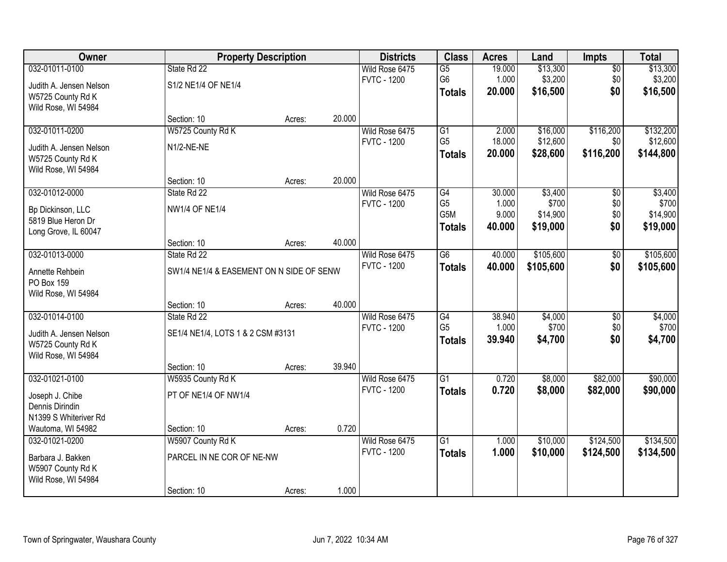| Owner                   | <b>Property Description</b>              |        |        | <b>Districts</b>   | <b>Class</b>    | <b>Acres</b> | Land      | <b>Impts</b>    | <b>Total</b> |
|-------------------------|------------------------------------------|--------|--------|--------------------|-----------------|--------------|-----------|-----------------|--------------|
| 032-01011-0100          | State Rd 22                              |        |        | Wild Rose 6475     | $\overline{G5}$ | 19.000       | \$13,300  | $\sqrt{$0}$     | \$13,300     |
| Judith A. Jensen Nelson | S1/2 NE1/4 OF NE1/4                      |        |        | <b>FVTC - 1200</b> | G <sub>6</sub>  | 1.000        | \$3,200   | \$0             | \$3,200      |
| W5725 County Rd K       |                                          |        |        |                    | <b>Totals</b>   | 20.000       | \$16,500  | \$0             | \$16,500     |
| Wild Rose, WI 54984     |                                          |        |        |                    |                 |              |           |                 |              |
|                         | Section: 10                              | Acres: | 20.000 |                    |                 |              |           |                 |              |
| 032-01011-0200          | W5725 County Rd K                        |        |        | Wild Rose 6475     | $\overline{G1}$ | 2.000        | \$16,000  | \$116,200       | \$132,200    |
| Judith A. Jensen Nelson | N1/2-NE-NE                               |        |        | <b>FVTC - 1200</b> | G <sub>5</sub>  | 18.000       | \$12,600  | \$0             | \$12,600     |
| W5725 County Rd K       |                                          |        |        |                    | <b>Totals</b>   | 20.000       | \$28,600  | \$116,200       | \$144,800    |
| Wild Rose, WI 54984     |                                          |        |        |                    |                 |              |           |                 |              |
|                         | Section: 10                              | Acres: | 20.000 |                    |                 |              |           |                 |              |
| 032-01012-0000          | State Rd 22                              |        |        | Wild Rose 6475     | G4              | 30.000       | \$3,400   | \$0             | \$3,400      |
| Bp Dickinson, LLC       | <b>NW1/4 OF NE1/4</b>                    |        |        | <b>FVTC - 1200</b> | G <sub>5</sub>  | 1.000        | \$700     | \$0             | \$700        |
| 5819 Blue Heron Dr      |                                          |        |        |                    | G5M             | 9.000        | \$14,900  | \$0             | \$14,900     |
| Long Grove, IL 60047    |                                          |        |        |                    | <b>Totals</b>   | 40.000       | \$19,000  | \$0             | \$19,000     |
|                         | Section: 10                              | Acres: | 40.000 |                    |                 |              |           |                 |              |
| 032-01013-0000          | State Rd 22                              |        |        | Wild Rose 6475     | $\overline{G6}$ | 40.000       | \$105,600 | $\frac{1}{20}$  | \$105,600    |
| Annette Rehbein         | SW1/4 NE1/4 & EASEMENT ON N SIDE OF SENW |        |        | <b>FVTC - 1200</b> | <b>Totals</b>   | 40.000       | \$105,600 | \$0             | \$105,600    |
| PO Box 159              |                                          |        |        |                    |                 |              |           |                 |              |
| Wild Rose, WI 54984     |                                          |        |        |                    |                 |              |           |                 |              |
|                         | Section: 10                              | Acres: | 40.000 |                    |                 |              |           |                 |              |
| 032-01014-0100          | State Rd 22                              |        |        | Wild Rose 6475     | $\overline{G4}$ | 38.940       | \$4,000   | $\overline{50}$ | \$4,000      |
| Judith A. Jensen Nelson | SE1/4 NE1/4, LOTS 1 & 2 CSM #3131        |        |        | <b>FVTC - 1200</b> | G <sub>5</sub>  | 1.000        | \$700     | \$0             | \$700        |
| W5725 County Rd K       |                                          |        |        |                    | <b>Totals</b>   | 39.940       | \$4,700   | \$0             | \$4,700      |
| Wild Rose, WI 54984     |                                          |        |        |                    |                 |              |           |                 |              |
|                         | Section: 10                              | Acres: | 39.940 |                    |                 |              |           |                 |              |
| 032-01021-0100          | W5935 County Rd K                        |        |        | Wild Rose 6475     | $\overline{G1}$ | 0.720        | \$8,000   | \$82,000        | \$90,000     |
| Joseph J. Chibe         | PT OF NE1/4 OF NW1/4                     |        |        | <b>FVTC - 1200</b> | <b>Totals</b>   | 0.720        | \$8,000   | \$82,000        | \$90,000     |
| Dennis Dirindin         |                                          |        |        |                    |                 |              |           |                 |              |
| N1399 S Whiteriver Rd   |                                          |        |        |                    |                 |              |           |                 |              |
| Wautoma, WI 54982       | Section: 10                              | Acres: | 0.720  |                    |                 |              |           |                 |              |
| 032-01021-0200          | W5907 County Rd K                        |        |        | Wild Rose 6475     | $\overline{G1}$ | 1.000        | \$10,000  | \$124,500       | \$134,500    |
| Barbara J. Bakken       | PARCEL IN NE COR OF NE-NW                |        |        | <b>FVTC - 1200</b> | <b>Totals</b>   | 1.000        | \$10,000  | \$124,500       | \$134,500    |
| W5907 County Rd K       |                                          |        |        |                    |                 |              |           |                 |              |
| Wild Rose, WI 54984     |                                          |        |        |                    |                 |              |           |                 |              |
|                         | Section: 10                              | Acres: | 1.000  |                    |                 |              |           |                 |              |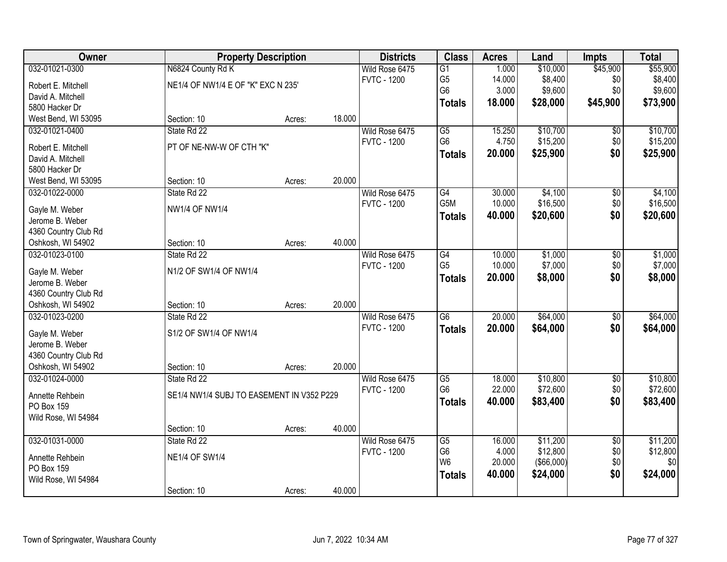| Owner                |                                           | <b>Property Description</b> |        | <b>Districts</b>   | <b>Class</b>    | <b>Acres</b> | Land                | <b>Impts</b>    | <b>Total</b> |
|----------------------|-------------------------------------------|-----------------------------|--------|--------------------|-----------------|--------------|---------------------|-----------------|--------------|
| 032-01021-0300       | N6824 County Rd K                         |                             |        | Wild Rose 6475     | $\overline{G1}$ | 1.000        | \$10,000            | \$45,900        | \$55,900     |
| Robert E. Mitchell   | NE1/4 OF NW1/4 E OF "K" EXC N 235'        |                             |        | <b>FVTC - 1200</b> | G <sub>5</sub>  | 14.000       | \$8,400             | \$0             | \$8,400      |
| David A. Mitchell    |                                           |                             |        |                    | G <sub>6</sub>  | 3.000        | \$9,600             | \$0             | \$9,600      |
| 5800 Hacker Dr       |                                           |                             |        |                    | <b>Totals</b>   | 18.000       | \$28,000            | \$45,900        | \$73,900     |
| West Bend, WI 53095  | Section: 10                               | Acres:                      | 18.000 |                    |                 |              |                     |                 |              |
| 032-01021-0400       | State Rd 22                               |                             |        | Wild Rose 6475     | $\overline{G5}$ | 15.250       | \$10,700            | $\overline{50}$ | \$10,700     |
|                      |                                           |                             |        | <b>FVTC - 1200</b> | G <sub>6</sub>  | 4.750        | \$15,200            | \$0             | \$15,200     |
| Robert E. Mitchell   | PT OF NE-NW-W OF CTH "K"                  |                             |        |                    | <b>Totals</b>   | 20.000       | \$25,900            | \$0             | \$25,900     |
| David A. Mitchell    |                                           |                             |        |                    |                 |              |                     |                 |              |
| 5800 Hacker Dr       | Section: 10                               |                             | 20.000 |                    |                 |              |                     |                 |              |
| West Bend, WI 53095  |                                           | Acres:                      |        |                    |                 |              |                     |                 |              |
| 032-01022-0000       | State Rd 22                               |                             |        | Wild Rose 6475     | G4<br>G5M       | 30.000       | \$4,100<br>\$16,500 | \$0             | \$4,100      |
| Gayle M. Weber       | <b>NW1/4 OF NW1/4</b>                     |                             |        | <b>FVTC - 1200</b> |                 | 10.000       |                     | $$0$$           | \$16,500     |
| Jerome B. Weber      |                                           |                             |        |                    | <b>Totals</b>   | 40.000       | \$20,600            | \$0             | \$20,600     |
| 4360 Country Club Rd |                                           |                             |        |                    |                 |              |                     |                 |              |
| Oshkosh, WI 54902    | Section: 10                               | Acres:                      | 40.000 |                    |                 |              |                     |                 |              |
| 032-01023-0100       | State Rd 22                               |                             |        | Wild Rose 6475     | G4              | 10.000       | \$1,000             | \$0             | \$1,000      |
| Gayle M. Weber       | N1/2 OF SW1/4 OF NW1/4                    |                             |        | <b>FVTC - 1200</b> | G <sub>5</sub>  | 10.000       | \$7,000             | \$0             | \$7,000      |
| Jerome B. Weber      |                                           |                             |        |                    | <b>Totals</b>   | 20.000       | \$8,000             | \$0             | \$8,000      |
| 4360 Country Club Rd |                                           |                             |        |                    |                 |              |                     |                 |              |
| Oshkosh, WI 54902    | Section: 10                               | Acres:                      | 20.000 |                    |                 |              |                     |                 |              |
| 032-01023-0200       | State Rd 22                               |                             |        | Wild Rose 6475     | $\overline{G6}$ | 20.000       | \$64,000            | $\overline{50}$ | \$64,000     |
|                      |                                           |                             |        | <b>FVTC - 1200</b> |                 | 20,000       | \$64,000            | \$0             | \$64,000     |
| Gayle M. Weber       | S1/2 OF SW1/4 OF NW1/4                    |                             |        |                    | <b>Totals</b>   |              |                     |                 |              |
| Jerome B. Weber      |                                           |                             |        |                    |                 |              |                     |                 |              |
| 4360 Country Club Rd |                                           |                             |        |                    |                 |              |                     |                 |              |
| Oshkosh, WI 54902    | Section: 10                               | Acres:                      | 20.000 |                    |                 |              |                     |                 |              |
| 032-01024-0000       | State Rd 22                               |                             |        | Wild Rose 6475     | $\overline{G5}$ | 18.000       | \$10,800            | $\sqrt{6}$      | \$10,800     |
| Annette Rehbein      | SE1/4 NW1/4 SUBJ TO EASEMENT IN V352 P229 |                             |        | <b>FVTC - 1200</b> | G <sub>6</sub>  | 22.000       | \$72,600            | \$0             | \$72,600     |
| PO Box 159           |                                           |                             |        |                    | <b>Totals</b>   | 40.000       | \$83,400            | \$0             | \$83,400     |
| Wild Rose, WI 54984  |                                           |                             |        |                    |                 |              |                     |                 |              |
|                      | Section: 10                               | Acres:                      | 40.000 |                    |                 |              |                     |                 |              |
| 032-01031-0000       | State Rd 22                               |                             |        | Wild Rose 6475     | $\overline{G5}$ | 16.000       | \$11,200            | $\overline{50}$ | \$11,200     |
|                      |                                           |                             |        | <b>FVTC - 1200</b> | G <sub>6</sub>  | 4.000        | \$12,800            | \$0             | \$12,800     |
| Annette Rehbein      | <b>NE1/4 OF SW1/4</b>                     |                             |        |                    | W <sub>6</sub>  | 20.000       | (\$66,000)          | \$0             | \$0          |
| PO Box 159           |                                           |                             |        |                    | <b>Totals</b>   | 40.000       | \$24,000            | \$0             | \$24,000     |
| Wild Rose, WI 54984  |                                           |                             |        |                    |                 |              |                     |                 |              |
|                      | Section: 10                               | Acres:                      | 40.000 |                    |                 |              |                     |                 |              |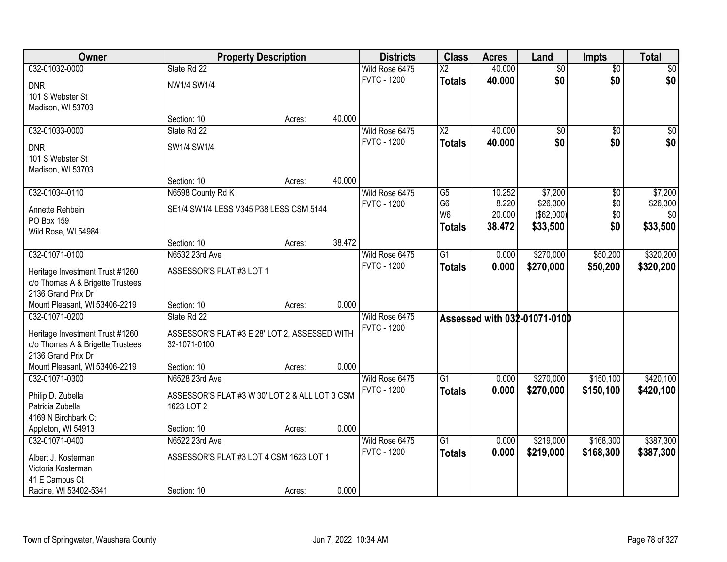| Owner                                     |                                                | <b>Property Description</b> |        | <b>Districts</b>   | <b>Class</b>    | <b>Acres</b> | Land                         | <b>Impts</b>    | <b>Total</b> |
|-------------------------------------------|------------------------------------------------|-----------------------------|--------|--------------------|-----------------|--------------|------------------------------|-----------------|--------------|
| 032-01032-0000                            | State Rd 22                                    |                             |        | Wild Rose 6475     | $\overline{X2}$ | 40.000       | $\overline{50}$              | $\overline{50}$ | \$0          |
| <b>DNR</b>                                | NW1/4 SW1/4                                    |                             |        | <b>FVTC - 1200</b> | <b>Totals</b>   | 40.000       | \$0                          | \$0             | \$0          |
| 101 S Webster St                          |                                                |                             |        |                    |                 |              |                              |                 |              |
| Madison, WI 53703                         |                                                |                             |        |                    |                 |              |                              |                 |              |
|                                           | Section: 10                                    | Acres:                      | 40.000 |                    |                 |              |                              |                 |              |
| 032-01033-0000                            | State Rd 22                                    |                             |        | Wild Rose 6475     | $\overline{X2}$ | 40.000       | $\overline{50}$              | $\overline{50}$ | \$0          |
| <b>DNR</b>                                | SW1/4 SW1/4                                    |                             |        | <b>FVTC - 1200</b> | <b>Totals</b>   | 40.000       | \$0                          | \$0             | \$0          |
| 101 S Webster St                          |                                                |                             |        |                    |                 |              |                              |                 |              |
| Madison, WI 53703                         |                                                |                             |        |                    |                 |              |                              |                 |              |
|                                           | Section: 10                                    | Acres:                      | 40.000 |                    |                 |              |                              |                 |              |
| 032-01034-0110                            | N6598 County Rd K                              |                             |        | Wild Rose 6475     | G5              | 10.252       | \$7,200                      | \$0             | \$7,200      |
| Annette Rehbein                           | SE1/4 SW1/4 LESS V345 P38 LESS CSM 5144        |                             |        | <b>FVTC - 1200</b> | G <sub>6</sub>  | 8.220        | \$26,300                     | \$0             | \$26,300     |
| PO Box 159                                |                                                |                             |        |                    | W <sub>6</sub>  | 20.000       | (\$62,000)                   | \$0             | \$0          |
| Wild Rose, WI 54984                       |                                                |                             |        |                    | <b>Totals</b>   | 38.472       | \$33,500                     | \$0             | \$33,500     |
|                                           | Section: 10                                    | Acres:                      | 38.472 |                    |                 |              |                              |                 |              |
| 032-01071-0100                            | N6532 23rd Ave                                 |                             |        | Wild Rose 6475     | $\overline{G1}$ | 0.000        | \$270,000                    | \$50,200        | \$320,200    |
| Heritage Investment Trust #1260           | ASSESSOR'S PLAT #3 LOT 1                       |                             |        | <b>FVTC - 1200</b> | <b>Totals</b>   | 0.000        | \$270,000                    | \$50,200        | \$320,200    |
| c/o Thomas A & Brigette Trustees          |                                                |                             |        |                    |                 |              |                              |                 |              |
| 2136 Grand Prix Dr                        |                                                |                             |        |                    |                 |              |                              |                 |              |
| Mount Pleasant, WI 53406-2219             | Section: 10                                    | Acres:                      | 0.000  |                    |                 |              |                              |                 |              |
| 032-01071-0200                            | State Rd 22                                    |                             |        | Wild Rose 6475     |                 |              | Assessed with 032-01071-0100 |                 |              |
| Heritage Investment Trust #1260           | ASSESSOR'S PLAT #3 E 28' LOT 2, ASSESSED WITH  |                             |        | <b>FVTC - 1200</b> |                 |              |                              |                 |              |
| c/o Thomas A & Brigette Trustees          | 32-1071-0100                                   |                             |        |                    |                 |              |                              |                 |              |
| 2136 Grand Prix Dr                        |                                                |                             |        |                    |                 |              |                              |                 |              |
| Mount Pleasant, WI 53406-2219             | Section: 10                                    | Acres:                      | 0.000  |                    |                 |              |                              |                 |              |
| 032-01071-0300                            | N6528 23rd Ave                                 |                             |        | Wild Rose 6475     | $\overline{G1}$ | 0.000        | \$270,000                    | \$150,100       | \$420,100    |
| Philip D. Zubella                         | ASSESSOR'S PLAT #3 W 30' LOT 2 & ALL LOT 3 CSM |                             |        | <b>FVTC - 1200</b> | <b>Totals</b>   | 0.000        | \$270,000                    | \$150,100       | \$420,100    |
| Patricia Zubella                          | 1623 LOT 2                                     |                             |        |                    |                 |              |                              |                 |              |
| 4169 N Birchbark Ct                       |                                                |                             |        |                    |                 |              |                              |                 |              |
| Appleton, WI 54913                        | Section: 10                                    | Acres:                      | 0.000  |                    |                 |              |                              |                 |              |
| 032-01071-0400                            | N6522 23rd Ave                                 |                             |        | Wild Rose 6475     | $\overline{G1}$ | 0.000        | \$219,000                    | \$168,300       | \$387,300    |
|                                           | ASSESSOR'S PLAT #3 LOT 4 CSM 1623 LOT 1        |                             |        | <b>FVTC - 1200</b> | <b>Totals</b>   | 0.000        | \$219,000                    | \$168,300       | \$387,300    |
| Albert J. Kosterman<br>Victoria Kosterman |                                                |                             |        |                    |                 |              |                              |                 |              |
| 41 E Campus Ct                            |                                                |                             |        |                    |                 |              |                              |                 |              |
| Racine, WI 53402-5341                     | Section: 10                                    | Acres:                      | 0.000  |                    |                 |              |                              |                 |              |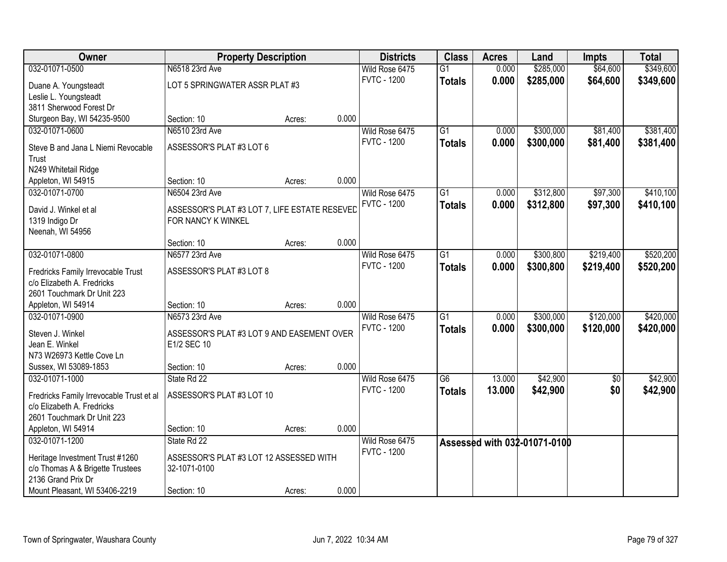| Owner                                    | <b>Property Description</b>                   |        |       | <b>Districts</b>   | <b>Class</b>    | <b>Acres</b> | Land                         | <b>Impts</b>    | <b>Total</b> |
|------------------------------------------|-----------------------------------------------|--------|-------|--------------------|-----------------|--------------|------------------------------|-----------------|--------------|
| 032-01071-0500                           | N6518 23rd Ave                                |        |       | Wild Rose 6475     | $\overline{G1}$ | 0.000        | \$285,000                    | \$64,600        | \$349,600    |
| Duane A. Youngsteadt                     | LOT 5 SPRINGWATER ASSR PLAT #3                |        |       | <b>FVTC - 1200</b> | <b>Totals</b>   | 0.000        | \$285,000                    | \$64,600        | \$349,600    |
| Leslie L. Youngsteadt                    |                                               |        |       |                    |                 |              |                              |                 |              |
| 3811 Sherwood Forest Dr                  |                                               |        |       |                    |                 |              |                              |                 |              |
| Sturgeon Bay, WI 54235-9500              | Section: 10                                   | Acres: | 0.000 |                    |                 |              |                              |                 |              |
| 032-01071-0600                           | N6510 23rd Ave                                |        |       | Wild Rose 6475     | $\overline{G1}$ | 0.000        | \$300,000                    | \$81,400        | \$381,400    |
| Steve B and Jana L Niemi Revocable       | ASSESSOR'S PLAT #3 LOT 6                      |        |       | <b>FVTC - 1200</b> | <b>Totals</b>   | 0.000        | \$300,000                    | \$81,400        | \$381,400    |
| Trust                                    |                                               |        |       |                    |                 |              |                              |                 |              |
| N249 Whitetail Ridge                     |                                               |        |       |                    |                 |              |                              |                 |              |
| Appleton, WI 54915                       | Section: 10                                   | Acres: | 0.000 |                    |                 |              |                              |                 |              |
| 032-01071-0700                           | N6504 23rd Ave                                |        |       | Wild Rose 6475     | $\overline{G1}$ | 0.000        | \$312,800                    | \$97,300        | \$410,100    |
|                                          |                                               |        |       | <b>FVTC - 1200</b> | <b>Totals</b>   | 0.000        | \$312,800                    | \$97,300        | \$410,100    |
| David J. Winkel et al                    | ASSESSOR'S PLAT #3 LOT 7, LIFE ESTATE RESEVED |        |       |                    |                 |              |                              |                 |              |
| 1319 Indigo Dr                           | FOR NANCY K WINKEL                            |        |       |                    |                 |              |                              |                 |              |
| Neenah, WI 54956                         | Section: 10                                   | Acres: | 0.000 |                    |                 |              |                              |                 |              |
| 032-01071-0800                           | N6577 23rd Ave                                |        |       | Wild Rose 6475     | $\overline{G1}$ | 0.000        | \$300,800                    | \$219,400       | \$520,200    |
|                                          |                                               |        |       | <b>FVTC - 1200</b> | <b>Totals</b>   | 0.000        | \$300,800                    | \$219,400       | \$520,200    |
| Fredricks Family Irrevocable Trust       | ASSESSOR'S PLAT #3 LOT 8                      |        |       |                    |                 |              |                              |                 |              |
| c/o Elizabeth A. Fredricks               |                                               |        |       |                    |                 |              |                              |                 |              |
| 2601 Touchmark Dr Unit 223               |                                               |        |       |                    |                 |              |                              |                 |              |
| Appleton, WI 54914                       | Section: 10                                   | Acres: | 0.000 |                    |                 |              |                              |                 |              |
| 032-01071-0900                           | N6573 23rd Ave                                |        |       | Wild Rose 6475     | $\overline{G1}$ | 0.000        | \$300,000                    | \$120,000       | \$420,000    |
| Steven J. Winkel                         | ASSESSOR'S PLAT #3 LOT 9 AND EASEMENT OVER    |        |       | <b>FVTC - 1200</b> | <b>Totals</b>   | 0.000        | \$300,000                    | \$120,000       | \$420,000    |
| Jean E. Winkel                           | E1/2 SEC 10                                   |        |       |                    |                 |              |                              |                 |              |
| N73 W26973 Kettle Cove Ln                |                                               |        |       |                    |                 |              |                              |                 |              |
| Sussex, WI 53089-1853                    | Section: 10                                   | Acres: | 0.000 |                    |                 |              |                              |                 |              |
| 032-01071-1000                           | State Rd 22                                   |        |       | Wild Rose 6475     | $\overline{G6}$ | 13.000       | \$42,900                     | $\overline{50}$ | \$42,900     |
| Fredricks Family Irrevocable Trust et al | ASSESSOR'S PLAT #3 LOT 10                     |        |       | <b>FVTC - 1200</b> | <b>Totals</b>   | 13.000       | \$42,900                     | \$0             | \$42,900     |
| c/o Elizabeth A. Fredricks               |                                               |        |       |                    |                 |              |                              |                 |              |
| 2601 Touchmark Dr Unit 223               |                                               |        |       |                    |                 |              |                              |                 |              |
| Appleton, WI 54914                       | Section: 10                                   | Acres: | 0.000 |                    |                 |              |                              |                 |              |
| 032-01071-1200                           | State Rd 22                                   |        |       | Wild Rose 6475     |                 |              | Assessed with 032-01071-0100 |                 |              |
| Heritage Investment Trust #1260          | ASSESSOR'S PLAT #3 LOT 12 ASSESSED WITH       |        |       | <b>FVTC - 1200</b> |                 |              |                              |                 |              |
| c/o Thomas A & Brigette Trustees         | 32-1071-0100                                  |        |       |                    |                 |              |                              |                 |              |
| 2136 Grand Prix Dr                       |                                               |        |       |                    |                 |              |                              |                 |              |
| Mount Pleasant, WI 53406-2219            | Section: 10                                   | Acres: | 0.000 |                    |                 |              |                              |                 |              |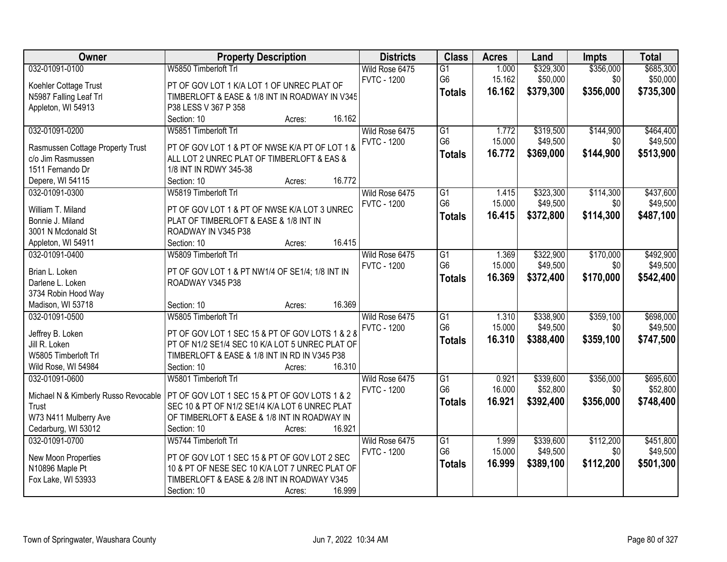| Owner                                   | <b>Property Description</b>                                         | <b>Districts</b>   | <b>Class</b>                      | <b>Acres</b> | Land      | <b>Impts</b> | <b>Total</b> |
|-----------------------------------------|---------------------------------------------------------------------|--------------------|-----------------------------------|--------------|-----------|--------------|--------------|
| 032-01091-0100                          | W5850 Timberloft Trl                                                | Wild Rose 6475     | $\overline{G1}$                   | 1.000        | \$329,300 | \$356,000    | \$685,300    |
| Koehler Cottage Trust                   | PT OF GOV LOT 1 K/A LOT 1 OF UNREC PLAT OF                          | <b>FVTC - 1200</b> | G <sub>6</sub>                    | 15.162       | \$50,000  | \$0          | \$50,000     |
| N5987 Falling Leaf Trl                  | TIMBERLOFT & EASE & 1/8 INT IN ROADWAY IN V345                      |                    | <b>Totals</b>                     | 16.162       | \$379,300 | \$356,000    | \$735,300    |
| Appleton, WI 54913                      | P38 LESS V 367 P 358                                                |                    |                                   |              |           |              |              |
|                                         | 16.162<br>Section: 10<br>Acres:                                     |                    |                                   |              |           |              |              |
| 032-01091-0200                          | W5851 Timberloft Trl                                                | Wild Rose 6475     | $\overline{G1}$                   | 1.772        | \$319,500 | \$144,900    | \$464,400    |
|                                         |                                                                     | <b>FVTC - 1200</b> | G <sub>6</sub>                    | 15.000       | \$49,500  | \$0          | \$49,500     |
| Rasmussen Cottage Property Trust        | PT OF GOV LOT 1 & PT OF NWSE K/A PT OF LOT 1 &                      |                    | <b>Totals</b>                     | 16.772       | \$369,000 | \$144,900    | \$513,900    |
| c/o Jim Rasmussen                       | ALL LOT 2 UNREC PLAT OF TIMBERLOFT & EAS &                          |                    |                                   |              |           |              |              |
| 1511 Fernando Dr                        | 1/8 INT IN RDWY 345-38<br>16.772                                    |                    |                                   |              |           |              |              |
| Depere, WI 54115                        | Section: 10<br>Acres:                                               |                    |                                   |              |           |              |              |
| 032-01091-0300                          | W5819 Timberloft Trl                                                | Wild Rose 6475     | $\overline{G1}$<br>G <sub>6</sub> | 1.415        | \$323,300 | \$114,300    | \$437,600    |
| William T. Miland                       | PT OF GOV LOT 1 & PT OF NWSE K/A LOT 3 UNREC                        | <b>FVTC - 1200</b> |                                   | 15.000       | \$49,500  | \$0          | \$49,500     |
| Bonnie J. Miland                        | PLAT OF TIMBERLOFT & EASE & 1/8 INT IN                              |                    | <b>Totals</b>                     | 16.415       | \$372,800 | \$114,300    | \$487,100    |
| 3001 N Mcdonald St                      | ROADWAY IN V345 P38                                                 |                    |                                   |              |           |              |              |
| Appleton, WI 54911                      | 16.415<br>Section: 10<br>Acres:                                     |                    |                                   |              |           |              |              |
| 032-01091-0400                          | W5809 Timberloft Trl                                                | Wild Rose 6475     | G1                                | 1.369        | \$322,900 | \$170,000    | \$492,900    |
|                                         |                                                                     | <b>FVTC - 1200</b> | G <sub>6</sub>                    | 15.000       | \$49,500  | \$0          | \$49,500     |
| Brian L. Loken                          | PT OF GOV LOT 1 & PT NW1/4 OF SE1/4; 1/8 INT IN<br>ROADWAY V345 P38 |                    | <b>Totals</b>                     | 16.369       | \$372,400 | \$170,000    | \$542,400    |
| Darlene L. Loken<br>3734 Robin Hood Way |                                                                     |                    |                                   |              |           |              |              |
| Madison, WI 53718                       | 16.369<br>Section: 10<br>Acres:                                     |                    |                                   |              |           |              |              |
| 032-01091-0500                          | W5805 Timberloft Trl                                                | Wild Rose 6475     | $\overline{G1}$                   | 1.310        | \$338,900 | \$359,100    | \$698,000    |
|                                         |                                                                     | <b>FVTC - 1200</b> | G <sub>6</sub>                    | 15.000       | \$49,500  | \$0          | \$49,500     |
| Jeffrey B. Loken                        | PT OF GOV LOT 1 SEC 15 & PT OF GOV LOTS 1 & 2 &                     |                    |                                   | 16.310       | \$388,400 | \$359,100    | \$747,500    |
| Jill R. Loken                           | PT OF N1/2 SE1/4 SEC 10 K/A LOT 5 UNREC PLAT OF                     |                    | <b>Totals</b>                     |              |           |              |              |
| W5805 Timberloft Trl                    | TIMBERLOFT & EASE & 1/8 INT IN RD IN V345 P38                       |                    |                                   |              |           |              |              |
| Wild Rose, WI 54984                     | 16.310<br>Section: 10<br>Acres:                                     |                    |                                   |              |           |              |              |
| 032-01091-0600                          | W5801 Timberloft Trl                                                | Wild Rose 6475     | G1                                | 0.921        | \$339,600 | \$356,000    | \$695,600    |
| Michael N & Kimberly Russo Revocable    | PT OF GOV LOT 1 SEC 15 & PT OF GOV LOTS 1 & 2                       | <b>FVTC - 1200</b> | G <sub>6</sub>                    | 16.000       | \$52,800  | \$0          | \$52,800     |
| Trust                                   | SEC 10 & PT OF N1/2 SE1/4 K/A LOT 6 UNREC PLAT                      |                    | <b>Totals</b>                     | 16.921       | \$392,400 | \$356,000    | \$748,400    |
| W73 N411 Mulberry Ave                   | OF TIMBERLOFT & EASE & 1/8 INT IN ROADWAY IN                        |                    |                                   |              |           |              |              |
| Cedarburg, WI 53012                     | Section: 10<br>16.921<br>Acres:                                     |                    |                                   |              |           |              |              |
| 032-01091-0700                          | W5744 Timberloft Trl                                                | Wild Rose 6475     | $\overline{G1}$                   | 1.999        | \$339,600 | \$112,200    | \$451,800    |
|                                         |                                                                     | <b>FVTC - 1200</b> | G <sub>6</sub>                    | 15.000       | \$49,500  | \$0          | \$49,500     |
| New Moon Properties                     | PT OF GOV LOT 1 SEC 15 & PT OF GOV LOT 2 SEC                        |                    | <b>Totals</b>                     | 16.999       | \$389,100 | \$112,200    | \$501,300    |
| N10896 Maple Pt                         | 10 & PT OF NESE SEC 10 K/A LOT 7 UNREC PLAT OF                      |                    |                                   |              |           |              |              |
| Fox Lake, WI 53933                      | TIMBERLOFT & EASE & 2/8 INT IN ROADWAY V345                         |                    |                                   |              |           |              |              |
|                                         | 16.999<br>Section: 10<br>Acres:                                     |                    |                                   |              |           |              |              |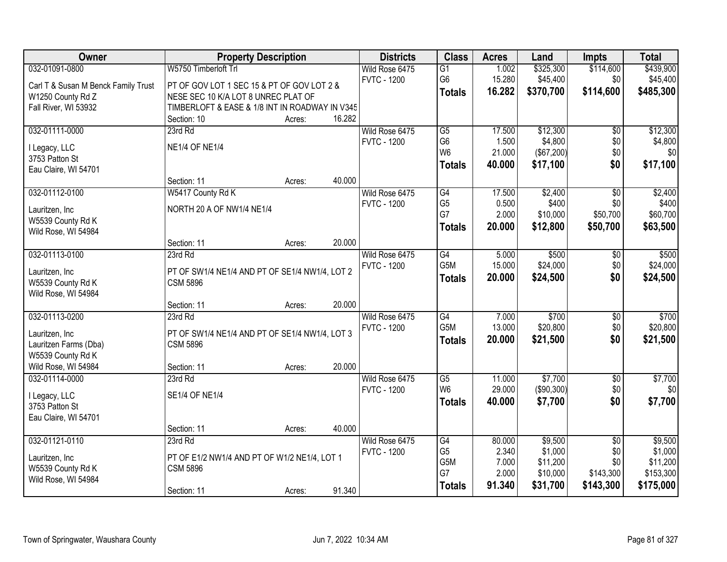| Owner                                    | <b>Property Description</b>                                       |        |        | <b>Districts</b>   | <b>Class</b>          | <b>Acres</b>   | Land                | Impts           | <b>Total</b>        |
|------------------------------------------|-------------------------------------------------------------------|--------|--------|--------------------|-----------------------|----------------|---------------------|-----------------|---------------------|
| 032-01091-0800                           | W5750 Timberloft Trl                                              |        |        | Wild Rose 6475     | G1                    | 1.002          | \$325,300           | \$114,600       | \$439,900           |
| Carl T & Susan M Benck Family Trust      | PT OF GOV LOT 1 SEC 15 & PT OF GOV LOT 2 &                        |        |        | <b>FVTC - 1200</b> | G <sub>6</sub>        | 15.280         | \$45,400            | \$0             | \$45,400            |
| W1250 County Rd Z                        | NESE SEC 10 K/A LOT 8 UNREC PLAT OF                               |        |        |                    | <b>Totals</b>         | 16.282         | \$370,700           | \$114,600       | \$485,300           |
| Fall River, WI 53932                     | TIMBERLOFT & EASE & 1/8 INT IN ROADWAY IN V345                    |        |        |                    |                       |                |                     |                 |                     |
|                                          | Section: 10                                                       | Acres: | 16.282 |                    |                       |                |                     |                 |                     |
| 032-01111-0000                           | 23rd Rd                                                           |        |        | Wild Rose 6475     | $\overline{G5}$       | 17.500         | \$12,300            | $\overline{50}$ | \$12,300            |
|                                          | <b>NE1/4 OF NE1/4</b>                                             |        |        | <b>FVTC - 1200</b> | G <sub>6</sub>        | 1.500          | \$4,800             | \$0             | \$4,800             |
| I Legacy, LLC<br>3753 Patton St          |                                                                   |        |        |                    | W <sub>6</sub>        | 21.000         | (\$67,200)          | \$0             | \$0                 |
| Eau Claire, WI 54701                     |                                                                   |        |        |                    | <b>Totals</b>         | 40.000         | \$17,100            | \$0             | \$17,100            |
|                                          | Section: 11                                                       | Acres: | 40.000 |                    |                       |                |                     |                 |                     |
| 032-01112-0100                           | W5417 County Rd K                                                 |        |        | Wild Rose 6475     | G4                    | 17.500         | \$2,400             | $\overline{50}$ | \$2,400             |
|                                          | NORTH 20 A OF NW1/4 NE1/4                                         |        |        | <b>FVTC - 1200</b> | G <sub>5</sub>        | 0.500          | \$400               | \$0             | \$400               |
| Lauritzen, Inc<br>W5539 County Rd K      |                                                                   |        |        |                    | G7                    | 2.000          | \$10,000            | \$50,700        | \$60,700            |
| Wild Rose, WI 54984                      |                                                                   |        |        |                    | <b>Totals</b>         | 20.000         | \$12,800            | \$50,700        | \$63,500            |
|                                          | Section: 11                                                       | Acres: | 20.000 |                    |                       |                |                     |                 |                     |
| 032-01113-0100                           | 23rd Rd                                                           |        |        | Wild Rose 6475     | G4                    | 5.000          | \$500               | \$0             | \$500               |
|                                          |                                                                   |        |        | <b>FVTC - 1200</b> | G5M                   | 15.000         | \$24,000            | \$0             | \$24,000            |
| Lauritzen, Inc                           | PT OF SW1/4 NE1/4 AND PT OF SE1/4 NW1/4, LOT 2<br><b>CSM 5896</b> |        |        |                    | <b>Totals</b>         | 20.000         | \$24,500            | \$0             | \$24,500            |
| W5539 County Rd K<br>Wild Rose, WI 54984 |                                                                   |        |        |                    |                       |                |                     |                 |                     |
|                                          | Section: 11                                                       | Acres: | 20.000 |                    |                       |                |                     |                 |                     |
| 032-01113-0200                           | 23rd Rd                                                           |        |        | Wild Rose 6475     | $\overline{G4}$       | 7.000          | \$700               | \$0             | \$700               |
|                                          |                                                                   |        |        | <b>FVTC - 1200</b> | G <sub>5</sub> M      | 13.000         | \$20,800            | \$0             | \$20,800            |
| Lauritzen, Inc                           | PT OF SW1/4 NE1/4 AND PT OF SE1/4 NW1/4, LOT 3                    |        |        |                    | <b>Totals</b>         | 20.000         | \$21,500            | \$0             | \$21,500            |
| Lauritzen Farms (Dba)                    | <b>CSM 5896</b>                                                   |        |        |                    |                       |                |                     |                 |                     |
| W5539 County Rd K<br>Wild Rose, WI 54984 | Section: 11                                                       |        | 20.000 |                    |                       |                |                     |                 |                     |
| 032-01114-0000                           | 23rd Rd                                                           | Acres: |        | Wild Rose 6475     | G5                    | 11.000         | \$7,700             | $\overline{60}$ | \$7,700             |
|                                          |                                                                   |        |        | <b>FVTC - 1200</b> | W <sub>6</sub>        | 29.000         | (\$90,300)          | \$0             | \$0                 |
| I Legacy, LLC                            | <b>SE1/4 OF NE1/4</b>                                             |        |        |                    | <b>Totals</b>         | 40.000         | \$7,700             | \$0             | \$7,700             |
| 3753 Patton St                           |                                                                   |        |        |                    |                       |                |                     |                 |                     |
| Eau Claire, WI 54701                     |                                                                   |        |        |                    |                       |                |                     |                 |                     |
|                                          | Section: 11                                                       | Acres: | 40.000 |                    |                       |                |                     |                 |                     |
| 032-01121-0110                           | 23rd Rd                                                           |        |        | Wild Rose 6475     | G4                    | 80.000         | \$9,500             | $\overline{50}$ | \$9,500             |
| Lauritzen, Inc                           | PT OF E1/2 NW1/4 AND PT OF W1/2 NE1/4, LOT 1                      |        |        | <b>FVTC - 1200</b> | G <sub>5</sub><br>G5M | 2.340<br>7.000 | \$1,000<br>\$11,200 | \$0<br>\$0      | \$1,000<br>\$11,200 |
| W5539 County Rd K                        | <b>CSM 5896</b>                                                   |        |        |                    | G7                    | 2.000          | \$10,000            | \$143,300       | \$153,300           |
| Wild Rose, WI 54984                      |                                                                   |        |        |                    | <b>Totals</b>         | 91.340         | \$31,700            | \$143,300       | \$175,000           |
|                                          | Section: 11                                                       | Acres: | 91.340 |                    |                       |                |                     |                 |                     |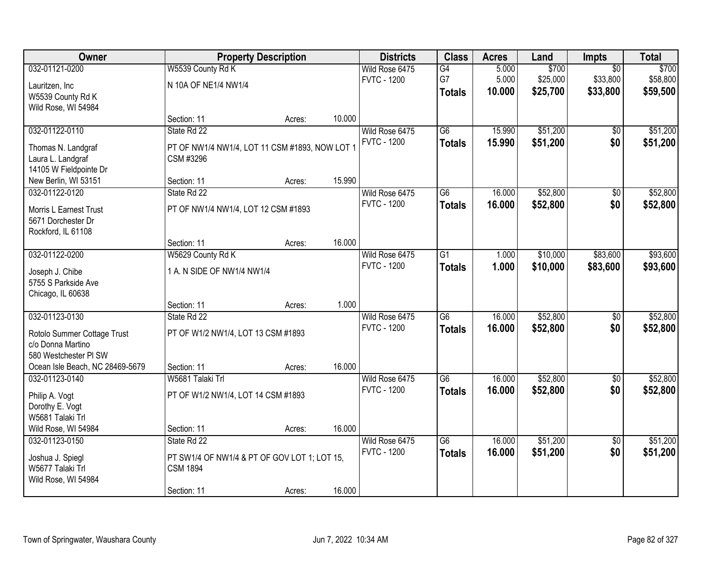| <b>Owner</b>                    |                                                | <b>Property Description</b> |        | <b>Districts</b>   | <b>Class</b>    | <b>Acres</b> | Land     | <b>Impts</b>    | <b>Total</b> |
|---------------------------------|------------------------------------------------|-----------------------------|--------|--------------------|-----------------|--------------|----------|-----------------|--------------|
| 032-01121-0200                  | W5539 County Rd K                              |                             |        | Wild Rose 6475     | G4              | 5.000        | \$700    | $\overline{50}$ | \$700        |
| Lauritzen, Inc                  | N 10A OF NE1/4 NW1/4                           |                             |        | <b>FVTC - 1200</b> | G7              | 5.000        | \$25,000 | \$33,800        | \$58,800     |
| W5539 County Rd K               |                                                |                             |        |                    | <b>Totals</b>   | 10.000       | \$25,700 | \$33,800        | \$59,500     |
| Wild Rose, WI 54984             |                                                |                             |        |                    |                 |              |          |                 |              |
|                                 | Section: 11                                    | Acres:                      | 10.000 |                    |                 |              |          |                 |              |
| 032-01122-0110                  | State Rd 22                                    |                             |        | Wild Rose 6475     | $\overline{G6}$ | 15.990       | \$51,200 | \$0             | \$51,200     |
| Thomas N. Landgraf              | PT OF NW1/4 NW1/4, LOT 11 CSM #1893, NOW LOT 1 |                             |        | <b>FVTC - 1200</b> | <b>Totals</b>   | 15.990       | \$51,200 | \$0             | \$51,200     |
| Laura L. Landgraf               | CSM #3296                                      |                             |        |                    |                 |              |          |                 |              |
| 14105 W Fieldpointe Dr          |                                                |                             |        |                    |                 |              |          |                 |              |
| New Berlin, WI 53151            | Section: 11                                    | Acres:                      | 15.990 |                    |                 |              |          |                 |              |
| 032-01122-0120                  | State Rd 22                                    |                             |        | Wild Rose 6475     | $\overline{G6}$ | 16.000       | \$52,800 | $\overline{50}$ | \$52,800     |
| <b>Morris L Earnest Trust</b>   | PT OF NW1/4 NW1/4, LOT 12 CSM #1893            |                             |        | <b>FVTC - 1200</b> | <b>Totals</b>   | 16.000       | \$52,800 | \$0             | \$52,800     |
| 5671 Dorchester Dr              |                                                |                             |        |                    |                 |              |          |                 |              |
| Rockford, IL 61108              |                                                |                             |        |                    |                 |              |          |                 |              |
|                                 | Section: 11                                    | Acres:                      | 16.000 |                    |                 |              |          |                 |              |
| 032-01122-0200                  | W5629 County Rd K                              |                             |        | Wild Rose 6475     | $\overline{G1}$ | 1.000        | \$10,000 | \$83,600        | \$93,600     |
| Joseph J. Chibe                 | 1 A. N SIDE OF NW1/4 NW1/4                     |                             |        | <b>FVTC - 1200</b> | <b>Totals</b>   | 1.000        | \$10,000 | \$83,600        | \$93,600     |
| 5755 S Parkside Ave             |                                                |                             |        |                    |                 |              |          |                 |              |
| Chicago, IL 60638               |                                                |                             |        |                    |                 |              |          |                 |              |
|                                 | Section: 11                                    | Acres:                      | 1.000  |                    |                 |              |          |                 |              |
| 032-01123-0130                  | State Rd 22                                    |                             |        | Wild Rose 6475     | $\overline{G6}$ | 16.000       | \$52,800 | \$0             | \$52,800     |
| Rotolo Summer Cottage Trust     | PT OF W1/2 NW1/4, LOT 13 CSM #1893             |                             |        | <b>FVTC - 1200</b> | <b>Totals</b>   | 16,000       | \$52,800 | \$0             | \$52,800     |
| c/o Donna Martino               |                                                |                             |        |                    |                 |              |          |                 |              |
| 580 Westchester PI SW           |                                                |                             |        |                    |                 |              |          |                 |              |
| Ocean Isle Beach, NC 28469-5679 | Section: 11                                    | Acres:                      | 16.000 |                    |                 |              |          |                 |              |
| 032-01123-0140                  | W5681 Talaki Trl                               |                             |        | Wild Rose 6475     | $\overline{G6}$ | 16.000       | \$52,800 | $\sqrt{$0}$     | \$52,800     |
| Philip A. Vogt                  | PT OF W1/2 NW1/4, LOT 14 CSM #1893             |                             |        | <b>FVTC - 1200</b> | <b>Totals</b>   | 16.000       | \$52,800 | \$0             | \$52,800     |
| Dorothy E. Vogt                 |                                                |                             |        |                    |                 |              |          |                 |              |
| W5681 Talaki Trl                |                                                |                             |        |                    |                 |              |          |                 |              |
| Wild Rose, WI 54984             | Section: 11                                    | Acres:                      | 16.000 |                    |                 |              |          |                 |              |
| 032-01123-0150                  | State Rd 22                                    |                             |        | Wild Rose 6475     | $\overline{G6}$ | 16.000       | \$51,200 | $\overline{50}$ | \$51,200     |
| Joshua J. Spiegl                | PT SW1/4 OF NW1/4 & PT OF GOV LOT 1; LOT 15,   |                             |        | <b>FVTC - 1200</b> | <b>Totals</b>   | 16.000       | \$51,200 | \$0             | \$51,200     |
| W5677 Talaki Trl                | <b>CSM 1894</b>                                |                             |        |                    |                 |              |          |                 |              |
| Wild Rose, WI 54984             |                                                |                             |        |                    |                 |              |          |                 |              |
|                                 | Section: 11                                    | Acres:                      | 16.000 |                    |                 |              |          |                 |              |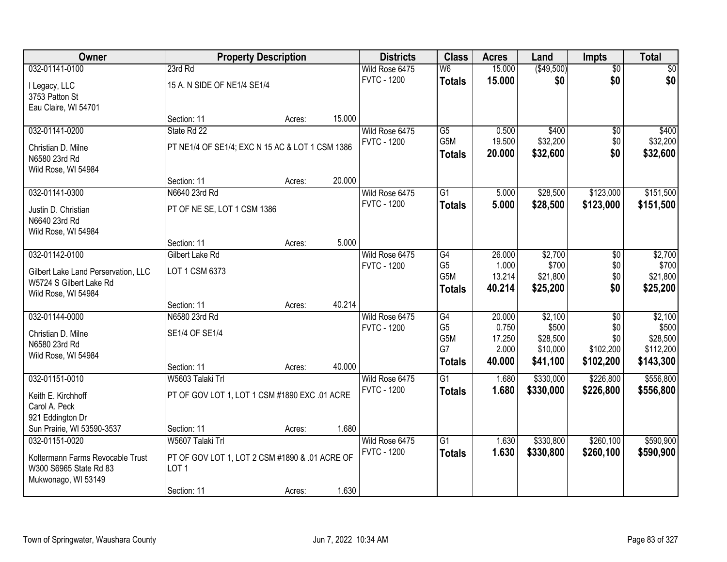| Owner                               |                                                 | <b>Property Description</b> |        | <b>Districts</b>   | <b>Class</b>     | <b>Acres</b>    | Land                 | <b>Impts</b>     | <b>Total</b>          |
|-------------------------------------|-------------------------------------------------|-----------------------------|--------|--------------------|------------------|-----------------|----------------------|------------------|-----------------------|
| 032-01141-0100                      | 23rd Rd                                         |                             |        | Wild Rose 6475     | W <sub>6</sub>   | 15.000          | (\$49,500)           | $\overline{50}$  | $\sqrt{30}$           |
| I Legacy, LLC                       | 15 A. N SIDE OF NE1/4 SE1/4                     |                             |        | <b>FVTC - 1200</b> | <b>Totals</b>    | 15.000          | \$0                  | \$0              | \$0                   |
| 3753 Patton St                      |                                                 |                             |        |                    |                  |                 |                      |                  |                       |
| Eau Claire, WI 54701                |                                                 |                             |        |                    |                  |                 |                      |                  |                       |
|                                     | Section: 11                                     | Acres:                      | 15.000 |                    |                  |                 |                      |                  |                       |
| 032-01141-0200                      | State Rd 22                                     |                             |        | Wild Rose 6475     | $\overline{G5}$  | 0.500           | \$400                | \$0              | \$400                 |
| Christian D. Milne                  | PT NE1/4 OF SE1/4; EXC N 15 AC & LOT 1 CSM 1386 |                             |        | <b>FVTC - 1200</b> | G <sub>5</sub> M | 19.500          | \$32,200             | \$0              | \$32,200              |
| N6580 23rd Rd                       |                                                 |                             |        |                    | <b>Totals</b>    | 20.000          | \$32,600             | \$0              | \$32,600              |
| Wild Rose, WI 54984                 |                                                 |                             |        |                    |                  |                 |                      |                  |                       |
|                                     | Section: 11                                     | Acres:                      | 20.000 |                    |                  |                 |                      |                  |                       |
| 032-01141-0300                      | N6640 23rd Rd                                   |                             |        | Wild Rose 6475     | $\overline{G1}$  | 5.000           | \$28,500             | \$123,000        | \$151,500             |
| Justin D. Christian                 | PT OF NE SE, LOT 1 CSM 1386                     |                             |        | <b>FVTC - 1200</b> | <b>Totals</b>    | 5.000           | \$28,500             | \$123,000        | \$151,500             |
| N6640 23rd Rd                       |                                                 |                             |        |                    |                  |                 |                      |                  |                       |
| Wild Rose, WI 54984                 |                                                 |                             |        |                    |                  |                 |                      |                  |                       |
|                                     | Section: 11                                     | Acres:                      | 5.000  |                    |                  |                 |                      |                  |                       |
| 032-01142-0100                      | <b>Gilbert Lake Rd</b>                          |                             |        | Wild Rose 6475     | G4               | 26.000          | \$2,700              | \$0              | \$2,700               |
| Gilbert Lake Land Perservation, LLC | LOT 1 CSM 6373                                  |                             |        | <b>FVTC - 1200</b> | G <sub>5</sub>   | 1.000           | \$700                | \$0              | \$700                 |
| W5724 S Gilbert Lake Rd             |                                                 |                             |        |                    | G <sub>5</sub> M | 13.214          | \$21,800             | \$0              | \$21,800              |
| Wild Rose, WI 54984                 |                                                 |                             |        |                    | <b>Totals</b>    | 40.214          | \$25,200             | \$0              | \$25,200              |
|                                     | Section: 11                                     | Acres:                      | 40.214 |                    |                  |                 |                      |                  |                       |
| 032-01144-0000                      | N6580 23rd Rd                                   |                             |        | Wild Rose 6475     | G4               | 20.000          | \$2,100              | $\overline{30}$  | \$2,100               |
| Christian D. Milne                  | SE1/4 OF SE1/4                                  |                             |        | <b>FVTC - 1200</b> | G <sub>5</sub>   | 0.750           | \$500                | \$0              | \$500                 |
| N6580 23rd Rd                       |                                                 |                             |        |                    | G5M<br>G7        | 17.250<br>2.000 | \$28,500<br>\$10,000 | \$0<br>\$102,200 | \$28,500<br>\$112,200 |
| Wild Rose, WI 54984                 |                                                 |                             |        |                    | <b>Totals</b>    | 40.000          | \$41,100             | \$102,200        | \$143,300             |
|                                     | Section: 11                                     | Acres:                      | 40.000 |                    |                  |                 |                      |                  |                       |
| 032-01151-0010                      | W5603 Talaki Trl                                |                             |        | Wild Rose 6475     | $\overline{G1}$  | 1.680           | \$330,000            | \$226,800        | \$556,800             |
| Keith E. Kirchhoff                  | PT OF GOV LOT 1, LOT 1 CSM #1890 EXC .01 ACRE   |                             |        | <b>FVTC - 1200</b> | <b>Totals</b>    | 1.680           | \$330,000            | \$226,800        | \$556,800             |
| Carol A. Peck                       |                                                 |                             |        |                    |                  |                 |                      |                  |                       |
| 921 Eddington Dr                    |                                                 |                             |        |                    |                  |                 |                      |                  |                       |
| Sun Prairie, WI 53590-3537          | Section: 11                                     | Acres:                      | 1.680  |                    |                  |                 |                      |                  |                       |
| 032-01151-0020                      | W5607 Talaki Trl                                |                             |        | Wild Rose 6475     | $\overline{G1}$  | 1.630           | \$330,800            | \$260,100        | \$590,900             |
| Koltermann Farms Revocable Trust    | PT OF GOV LOT 1, LOT 2 CSM #1890 & .01 ACRE OF  |                             |        | <b>FVTC - 1200</b> | <b>Totals</b>    | 1.630           | \$330,800            | \$260,100        | \$590,900             |
| W300 S6965 State Rd 83              | LOT <sub>1</sub>                                |                             |        |                    |                  |                 |                      |                  |                       |
| Mukwonago, WI 53149                 |                                                 |                             |        |                    |                  |                 |                      |                  |                       |
|                                     | Section: 11                                     | Acres:                      | 1.630  |                    |                  |                 |                      |                  |                       |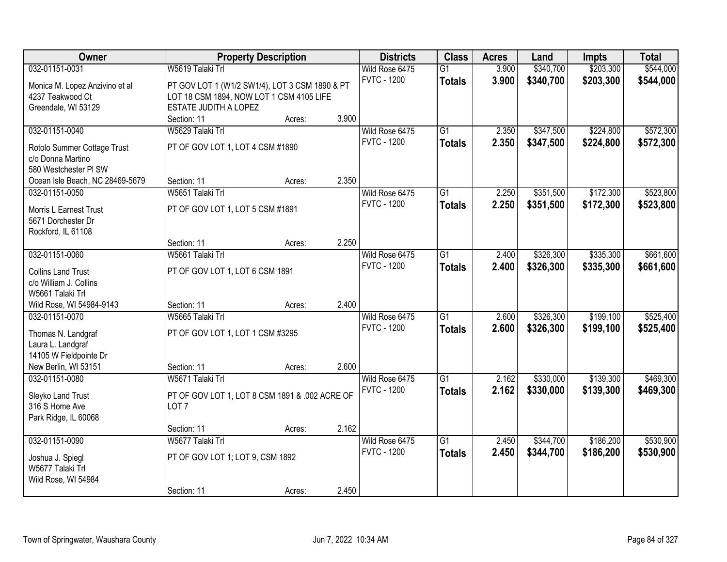| Owner                           |                                                | <b>Property Description</b> |       | <b>Districts</b>   | <b>Class</b>    | <b>Acres</b> | Land      | <b>Impts</b> | <b>Total</b> |
|---------------------------------|------------------------------------------------|-----------------------------|-------|--------------------|-----------------|--------------|-----------|--------------|--------------|
| 032-01151-0031                  | W5619 Talaki Trl                               |                             |       | Wild Rose 6475     | $\overline{G1}$ | 3.900        | \$340,700 | \$203,300    | \$544,000    |
| Monica M. Lopez Anzivino et al  | PT GOV LOT 1 (W1/2 SW1/4), LOT 3 CSM 1890 & PT |                             |       | <b>FVTC - 1200</b> | <b>Totals</b>   | 3.900        | \$340,700 | \$203,300    | \$544,000    |
| 4237 Teakwood Ct                | LOT 18 CSM 1894, NOW LOT 1 CSM 4105 LIFE       |                             |       |                    |                 |              |           |              |              |
| Greendale, WI 53129             | ESTATE JUDITH A LOPEZ                          |                             |       |                    |                 |              |           |              |              |
|                                 | Section: 11                                    | Acres:                      | 3.900 |                    |                 |              |           |              |              |
| 032-01151-0040                  | W5629 Talaki Trl                               |                             |       | Wild Rose 6475     | $\overline{G1}$ | 2.350        | \$347,500 | \$224,800    | \$572,300    |
|                                 |                                                |                             |       | <b>FVTC - 1200</b> | Totals          | 2.350        | \$347,500 | \$224,800    | \$572,300    |
| Rotolo Summer Cottage Trust     | PT OF GOV LOT 1, LOT 4 CSM #1890               |                             |       |                    |                 |              |           |              |              |
| c/o Donna Martino               |                                                |                             |       |                    |                 |              |           |              |              |
| 580 Westchester PI SW           |                                                |                             |       |                    |                 |              |           |              |              |
| Ocean Isle Beach, NC 28469-5679 | Section: 11                                    | Acres:                      | 2.350 |                    |                 |              |           |              |              |
| 032-01151-0050                  | W5651 Talaki Trl                               |                             |       | Wild Rose 6475     | G1              | 2.250        | \$351,500 | \$172,300    | \$523,800    |
| <b>Morris L Earnest Trust</b>   | PT OF GOV LOT 1, LOT 5 CSM #1891               |                             |       | <b>FVTC - 1200</b> | <b>Totals</b>   | 2.250        | \$351,500 | \$172,300    | \$523,800    |
| 5671 Dorchester Dr              |                                                |                             |       |                    |                 |              |           |              |              |
| Rockford, IL 61108              |                                                |                             |       |                    |                 |              |           |              |              |
|                                 | Section: 11                                    | Acres:                      | 2.250 |                    |                 |              |           |              |              |
| 032-01151-0060                  | W5661 Talaki Trl                               |                             |       | Wild Rose 6475     | G1              | 2.400        | \$326,300 | \$335,300    | \$661,600    |
| <b>Collins Land Trust</b>       | PT OF GOV LOT 1, LOT 6 CSM 1891                |                             |       | <b>FVTC - 1200</b> | <b>Totals</b>   | 2.400        | \$326,300 | \$335,300    | \$661,600    |
| c/o William J. Collins          |                                                |                             |       |                    |                 |              |           |              |              |
| W5661 Talaki Trl                |                                                |                             |       |                    |                 |              |           |              |              |
| Wild Rose, WI 54984-9143        | Section: 11                                    | Acres:                      | 2.400 |                    |                 |              |           |              |              |
| 032-01151-0070                  | W5665 Talaki Trl                               |                             |       | Wild Rose 6475     | $\overline{G1}$ | 2.600        | \$326,300 | \$199,100    | \$525,400    |
|                                 |                                                |                             |       | <b>FVTC - 1200</b> | Totals          | 2.600        | \$326,300 | \$199,100    | \$525,400    |
| Thomas N. Landgraf              | PT OF GOV LOT 1, LOT 1 CSM #3295               |                             |       |                    |                 |              |           |              |              |
| Laura L. Landgraf               |                                                |                             |       |                    |                 |              |           |              |              |
| 14105 W Fieldpointe Dr          |                                                |                             |       |                    |                 |              |           |              |              |
| New Berlin, WI 53151            | Section: 11                                    | Acres:                      | 2.600 |                    |                 |              |           |              |              |
| 032-01151-0080                  | W5671 Talaki Trl                               |                             |       | Wild Rose 6475     | $\overline{G1}$ | 2.162        | \$330,000 | \$139,300    | \$469,300    |
| Sleyko Land Trust               | PT OF GOV LOT 1, LOT 8 CSM 1891 & .002 ACRE OF |                             |       | <b>FVTC - 1200</b> | <b>Totals</b>   | 2.162        | \$330,000 | \$139,300    | \$469,300    |
| 316 S Home Ave                  | LOT <sub>7</sub>                               |                             |       |                    |                 |              |           |              |              |
| Park Ridge, IL 60068            |                                                |                             |       |                    |                 |              |           |              |              |
|                                 | Section: 11                                    | Acres:                      | 2.162 |                    |                 |              |           |              |              |
| 032-01151-0090                  | W5677 Talaki Trl                               |                             |       | Wild Rose 6475     | $\overline{G1}$ | 2.450        | \$344,700 | \$186,200    | \$530,900    |
|                                 |                                                |                             |       | <b>FVTC - 1200</b> | <b>Totals</b>   | 2.450        | \$344,700 | \$186,200    | \$530,900    |
| Joshua J. Spiegl                | PT OF GOV LOT 1; LOT 9, CSM 1892               |                             |       |                    |                 |              |           |              |              |
| W5677 Talaki Trl                |                                                |                             |       |                    |                 |              |           |              |              |
| Wild Rose, WI 54984             |                                                |                             |       |                    |                 |              |           |              |              |
|                                 | Section: 11                                    | Acres:                      | 2.450 |                    |                 |              |           |              |              |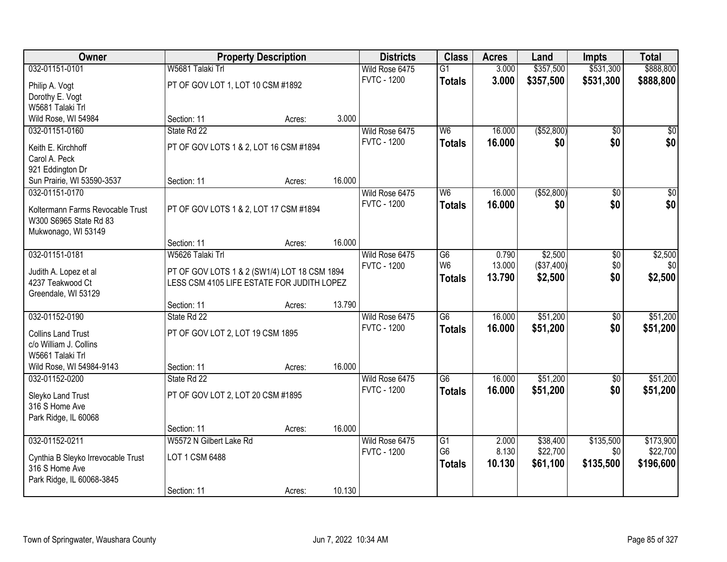| Owner                              |                                              | <b>Property Description</b> |        | <b>Districts</b>   | <b>Class</b>                        | <b>Acres</b> | Land         | <b>Impts</b>    | <b>Total</b>    |
|------------------------------------|----------------------------------------------|-----------------------------|--------|--------------------|-------------------------------------|--------------|--------------|-----------------|-----------------|
| 032-01151-0101                     | W5681 Talaki Trl                             |                             |        | Wild Rose 6475     | $\overline{G1}$                     | 3.000        | \$357,500    | \$531,300       | \$888,800       |
| Philip A. Vogt                     | PT OF GOV LOT 1, LOT 10 CSM #1892            |                             |        | <b>FVTC - 1200</b> | <b>Totals</b>                       | 3.000        | \$357,500    | \$531,300       | \$888,800       |
| Dorothy E. Vogt                    |                                              |                             |        |                    |                                     |              |              |                 |                 |
| W5681 Talaki Trl                   |                                              |                             |        |                    |                                     |              |              |                 |                 |
| Wild Rose, WI 54984                | Section: 11                                  | Acres:                      | 3.000  |                    |                                     |              |              |                 |                 |
| 032-01151-0160                     | State Rd 22                                  |                             |        | Wild Rose 6475     | W <sub>6</sub>                      | 16.000       | ( \$52, 800) | $\overline{50}$ | $\overline{30}$ |
| Keith E. Kirchhoff                 | PT OF GOV LOTS 1 & 2, LOT 16 CSM #1894       |                             |        | <b>FVTC - 1200</b> | <b>Totals</b>                       | 16,000       | \$0          | \$0             | \$0             |
| Carol A. Peck                      |                                              |                             |        |                    |                                     |              |              |                 |                 |
| 921 Eddington Dr                   |                                              |                             |        |                    |                                     |              |              |                 |                 |
| Sun Prairie, WI 53590-3537         | Section: 11                                  | Acres:                      | 16.000 |                    |                                     |              |              |                 |                 |
| 032-01151-0170                     |                                              |                             |        | Wild Rose 6475     | W <sub>6</sub>                      | 16.000       | ( \$52, 800) | \$0             | $\overline{50}$ |
| Koltermann Farms Revocable Trust   | PT OF GOV LOTS 1 & 2, LOT 17 CSM #1894       |                             |        | <b>FVTC - 1200</b> | <b>Totals</b>                       | 16.000       | \$0          | \$0             | \$0             |
| W300 S6965 State Rd 83             |                                              |                             |        |                    |                                     |              |              |                 |                 |
| Mukwonago, WI 53149                |                                              |                             |        |                    |                                     |              |              |                 |                 |
|                                    | Section: 11                                  | Acres:                      | 16.000 |                    |                                     |              |              |                 |                 |
| 032-01151-0181                     | W5626 Talaki Trl                             |                             |        | Wild Rose 6475     | G6                                  | 0.790        | \$2,500      | \$0             | \$2,500         |
| Judith A. Lopez et al              | PT OF GOV LOTS 1 & 2 (SW1/4) LOT 18 CSM 1894 |                             |        | <b>FVTC - 1200</b> | W <sub>6</sub>                      | 13.000       | (\$37,400)   | \$0             | \$0             |
| 4237 Teakwood Ct                   | LESS CSM 4105 LIFE ESTATE FOR JUDITH LOPEZ   |                             |        |                    | <b>Totals</b>                       | 13.790       | \$2,500      | \$0             | \$2,500         |
| Greendale, WI 53129                |                                              |                             |        |                    |                                     |              |              |                 |                 |
|                                    | Section: 11                                  | Acres:                      | 13.790 |                    |                                     |              |              |                 |                 |
| 032-01152-0190                     | State Rd 22                                  |                             |        | Wild Rose 6475     | $\overline{G6}$                     | 16.000       | \$51,200     | \$0             | \$51,200        |
| <b>Collins Land Trust</b>          | PT OF GOV LOT 2, LOT 19 CSM 1895             |                             |        | <b>FVTC - 1200</b> | <b>Totals</b>                       | 16.000       | \$51,200     | \$0             | \$51,200        |
| c/o William J. Collins             |                                              |                             |        |                    |                                     |              |              |                 |                 |
| W5661 Talaki Trl                   |                                              |                             |        |                    |                                     |              |              |                 |                 |
| Wild Rose, WI 54984-9143           | Section: 11                                  | Acres:                      | 16.000 |                    |                                     |              |              |                 |                 |
| 032-01152-0200                     | State Rd 22                                  |                             |        | Wild Rose 6475     | $\overline{\overline{\mathsf{G6}}}$ | 16.000       | \$51,200     | \$0             | \$51,200        |
| Sleyko Land Trust                  | PT OF GOV LOT 2, LOT 20 CSM #1895            |                             |        | <b>FVTC - 1200</b> | <b>Totals</b>                       | 16.000       | \$51,200     | \$0             | \$51,200        |
| 316 S Home Ave                     |                                              |                             |        |                    |                                     |              |              |                 |                 |
| Park Ridge, IL 60068               |                                              |                             |        |                    |                                     |              |              |                 |                 |
|                                    | Section: 11                                  | Acres:                      | 16.000 |                    |                                     |              |              |                 |                 |
| 032-01152-0211                     | W5572 N Gilbert Lake Rd                      |                             |        | Wild Rose 6475     | G1                                  | 2.000        | \$38,400     | \$135,500       | \$173,900       |
| Cynthia B Sleyko Irrevocable Trust | LOT 1 CSM 6488                               |                             |        | <b>FVTC - 1200</b> | G <sub>6</sub>                      | 8.130        | \$22,700     | \$0             | \$22,700        |
| 316 S Home Ave                     |                                              |                             |        |                    | <b>Totals</b>                       | 10.130       | \$61,100     | \$135,500       | \$196,600       |
| Park Ridge, IL 60068-3845          |                                              |                             |        |                    |                                     |              |              |                 |                 |
|                                    | Section: 11                                  | Acres:                      | 10.130 |                    |                                     |              |              |                 |                 |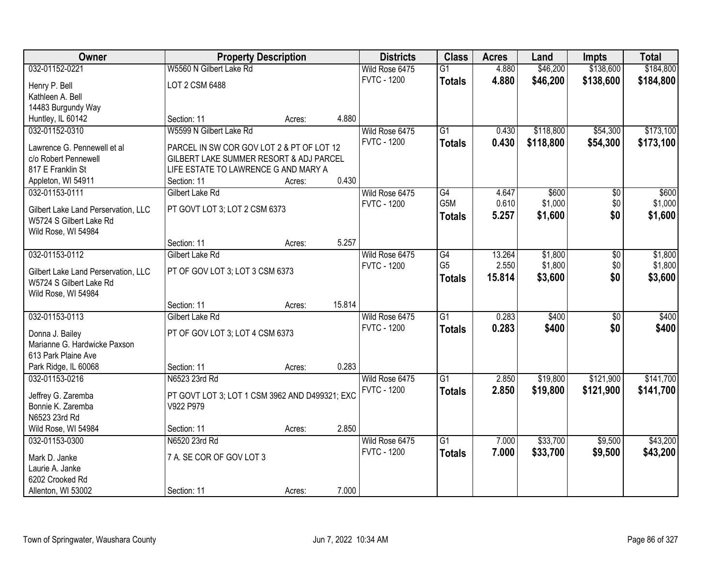| W5560 N Gilbert Lake Rd<br>\$184,800<br>032-01152-0221<br>Wild Rose 6475<br>4.880<br>\$46,200<br>\$138,600<br>$\overline{G1}$<br><b>FVTC - 1200</b><br>4.880<br>\$46,200<br>\$138,600<br>\$184,800<br><b>Totals</b><br>LOT 2 CSM 6488<br>Henry P. Bell<br>Kathleen A. Bell<br>14483 Burgundy Way<br>4.880<br>Huntley, IL 60142<br>Section: 11<br>Acres:<br>032-01152-0310<br>W5599 N Gilbert Lake Rd<br>$\overline{G1}$<br>\$118,800<br>\$54,300<br>\$173,100<br>Wild Rose 6475<br>0.430<br><b>FVTC - 1200</b><br>0.430<br>\$118,800<br>\$54,300<br>\$173,100<br><b>Totals</b><br>Lawrence G. Pennewell et al<br>PARCEL IN SW COR GOV LOT 2 & PT OF LOT 12<br>GILBERT LAKE SUMMER RESORT & ADJ PARCEL<br>c/o Robert Pennewell<br>817 E Franklin St<br>LIFE ESTATE TO LAWRENCE G AND MARY A |
|--------------------------------------------------------------------------------------------------------------------------------------------------------------------------------------------------------------------------------------------------------------------------------------------------------------------------------------------------------------------------------------------------------------------------------------------------------------------------------------------------------------------------------------------------------------------------------------------------------------------------------------------------------------------------------------------------------------------------------------------------------------------------------------------|
|                                                                                                                                                                                                                                                                                                                                                                                                                                                                                                                                                                                                                                                                                                                                                                                            |
|                                                                                                                                                                                                                                                                                                                                                                                                                                                                                                                                                                                                                                                                                                                                                                                            |
|                                                                                                                                                                                                                                                                                                                                                                                                                                                                                                                                                                                                                                                                                                                                                                                            |
|                                                                                                                                                                                                                                                                                                                                                                                                                                                                                                                                                                                                                                                                                                                                                                                            |
|                                                                                                                                                                                                                                                                                                                                                                                                                                                                                                                                                                                                                                                                                                                                                                                            |
|                                                                                                                                                                                                                                                                                                                                                                                                                                                                                                                                                                                                                                                                                                                                                                                            |
|                                                                                                                                                                                                                                                                                                                                                                                                                                                                                                                                                                                                                                                                                                                                                                                            |
|                                                                                                                                                                                                                                                                                                                                                                                                                                                                                                                                                                                                                                                                                                                                                                                            |
|                                                                                                                                                                                                                                                                                                                                                                                                                                                                                                                                                                                                                                                                                                                                                                                            |
|                                                                                                                                                                                                                                                                                                                                                                                                                                                                                                                                                                                                                                                                                                                                                                                            |
| 0.430<br>Appleton, WI 54911<br>Section: 11<br>Acres:                                                                                                                                                                                                                                                                                                                                                                                                                                                                                                                                                                                                                                                                                                                                       |
| 032-01153-0111<br>Gilbert Lake Rd<br>Wild Rose 6475<br>G4<br>\$600<br>\$600<br>4.647<br>$\sqrt[6]{30}$<br>G5M<br>0.610                                                                                                                                                                                                                                                                                                                                                                                                                                                                                                                                                                                                                                                                     |
| \$1,000<br>\$0<br>\$1,000<br><b>FVTC - 1200</b><br>PT GOVT LOT 3; LOT 2 CSM 6373<br>Gilbert Lake Land Perservation, LLC                                                                                                                                                                                                                                                                                                                                                                                                                                                                                                                                                                                                                                                                    |
| \$1,600<br>\$0<br>5.257<br>\$1,600<br><b>Totals</b><br>W5724 S Gilbert Lake Rd                                                                                                                                                                                                                                                                                                                                                                                                                                                                                                                                                                                                                                                                                                             |
| Wild Rose, WI 54984                                                                                                                                                                                                                                                                                                                                                                                                                                                                                                                                                                                                                                                                                                                                                                        |
| 5.257<br>Section: 11<br>Acres:                                                                                                                                                                                                                                                                                                                                                                                                                                                                                                                                                                                                                                                                                                                                                             |
| 032-01153-0112<br>Gilbert Lake Rd<br>13.264<br>\$1,800<br>\$1,800<br>Wild Rose 6475<br>G4<br>\$0                                                                                                                                                                                                                                                                                                                                                                                                                                                                                                                                                                                                                                                                                           |
| G <sub>5</sub><br>2.550<br>\$1,800<br>\$1,800<br><b>FVTC - 1200</b><br>\$0<br>PT OF GOV LOT 3; LOT 3 CSM 6373<br>Gilbert Lake Land Perservation, LLC                                                                                                                                                                                                                                                                                                                                                                                                                                                                                                                                                                                                                                       |
| \$0<br>15.814<br>\$3,600<br>\$3,600<br><b>Totals</b><br>W5724 S Gilbert Lake Rd                                                                                                                                                                                                                                                                                                                                                                                                                                                                                                                                                                                                                                                                                                            |
| Wild Rose, WI 54984                                                                                                                                                                                                                                                                                                                                                                                                                                                                                                                                                                                                                                                                                                                                                                        |
| 15.814<br>Section: 11<br>Acres:                                                                                                                                                                                                                                                                                                                                                                                                                                                                                                                                                                                                                                                                                                                                                            |
| 0.283<br>\$400<br>032-01153-0113<br>Gilbert Lake Rd<br>$\overline{G1}$<br>$\overline{30}$<br>\$400<br>Wild Rose 6475                                                                                                                                                                                                                                                                                                                                                                                                                                                                                                                                                                                                                                                                       |
| <b>FVTC - 1200</b><br>0.283<br>\$400<br>\$0<br>\$400<br><b>Totals</b>                                                                                                                                                                                                                                                                                                                                                                                                                                                                                                                                                                                                                                                                                                                      |
| PT OF GOV LOT 3; LOT 4 CSM 6373<br>Donna J. Bailey                                                                                                                                                                                                                                                                                                                                                                                                                                                                                                                                                                                                                                                                                                                                         |
| Marianne G. Hardwicke Paxson                                                                                                                                                                                                                                                                                                                                                                                                                                                                                                                                                                                                                                                                                                                                                               |
| 613 Park Plaine Ave                                                                                                                                                                                                                                                                                                                                                                                                                                                                                                                                                                                                                                                                                                                                                                        |
| Park Ridge, IL 60068<br>Section: 11<br>0.283<br>Acres:                                                                                                                                                                                                                                                                                                                                                                                                                                                                                                                                                                                                                                                                                                                                     |
| 032-01153-0216<br>$\overline{G1}$<br>\$121,900<br>\$141,700<br>N6523 23rd Rd<br>Wild Rose 6475<br>2.850<br>\$19,800                                                                                                                                                                                                                                                                                                                                                                                                                                                                                                                                                                                                                                                                        |
| <b>FVTC - 1200</b><br>2.850<br>\$19,800<br>\$121,900<br>\$141,700<br><b>Totals</b><br>Jeffrey G. Zaremba<br>PT GOVT LOT 3; LOT 1 CSM 3962 AND D499321; EXC                                                                                                                                                                                                                                                                                                                                                                                                                                                                                                                                                                                                                                 |
| Bonnie K. Zaremba<br>V922 P979                                                                                                                                                                                                                                                                                                                                                                                                                                                                                                                                                                                                                                                                                                                                                             |
| N6523 23rd Rd                                                                                                                                                                                                                                                                                                                                                                                                                                                                                                                                                                                                                                                                                                                                                                              |
| 2.850<br>Wild Rose, WI 54984<br>Section: 11<br>Acres:                                                                                                                                                                                                                                                                                                                                                                                                                                                                                                                                                                                                                                                                                                                                      |
| N6520 23rd Rd<br>$\overline{G1}$<br>\$33,700<br>\$9,500<br>\$43,200<br>032-01153-0300<br>Wild Rose 6475<br>7.000                                                                                                                                                                                                                                                                                                                                                                                                                                                                                                                                                                                                                                                                           |
| <b>FVTC - 1200</b><br>7.000<br>\$33,700<br>\$9,500<br>\$43,200<br><b>Totals</b><br>7 A. SE COR OF GOV LOT 3                                                                                                                                                                                                                                                                                                                                                                                                                                                                                                                                                                                                                                                                                |
| Mark D. Janke<br>Laurie A. Janke                                                                                                                                                                                                                                                                                                                                                                                                                                                                                                                                                                                                                                                                                                                                                           |
| 6202 Crooked Rd                                                                                                                                                                                                                                                                                                                                                                                                                                                                                                                                                                                                                                                                                                                                                                            |
| 7.000<br>Allenton, WI 53002<br>Section: 11<br>Acres:                                                                                                                                                                                                                                                                                                                                                                                                                                                                                                                                                                                                                                                                                                                                       |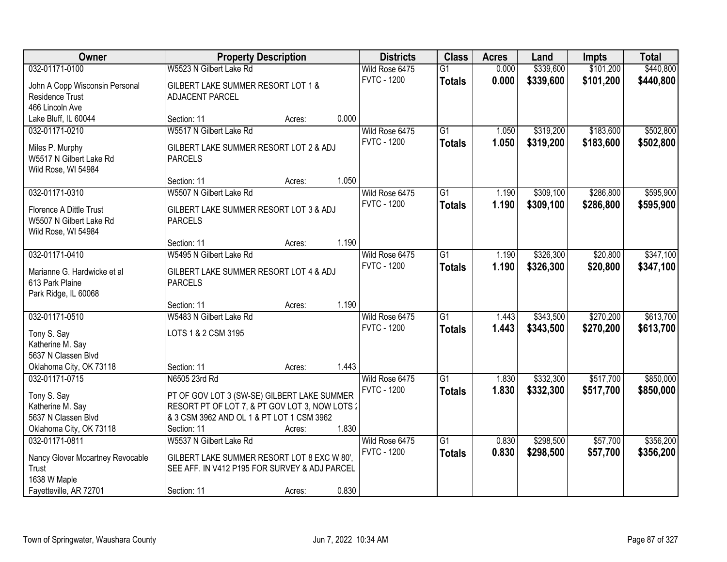| Owner                            | <b>Property Description</b>                    |        |       | <b>Districts</b>   | <b>Class</b>    | <b>Acres</b> | Land      | <b>Impts</b> | <b>Total</b> |
|----------------------------------|------------------------------------------------|--------|-------|--------------------|-----------------|--------------|-----------|--------------|--------------|
| 032-01171-0100                   | W5523 N Gilbert Lake Rd                        |        |       | Wild Rose 6475     | $\overline{G1}$ | 0.000        | \$339,600 | \$101,200    | \$440,800    |
| John A Copp Wisconsin Personal   | GILBERT LAKE SUMMER RESORT LOT 1 &             |        |       | <b>FVTC - 1200</b> | <b>Totals</b>   | 0.000        | \$339,600 | \$101,200    | \$440,800    |
| Residence Trust                  | ADJACENT PARCEL                                |        |       |                    |                 |              |           |              |              |
| 466 Lincoln Ave                  |                                                |        |       |                    |                 |              |           |              |              |
| Lake Bluff, IL 60044             | Section: 11                                    | Acres: | 0.000 |                    |                 |              |           |              |              |
| 032-01171-0210                   | W5517 N Gilbert Lake Rd                        |        |       | Wild Rose 6475     | $\overline{G1}$ | 1.050        | \$319,200 | \$183,600    | \$502,800    |
|                                  |                                                |        |       | <b>FVTC - 1200</b> | <b>Totals</b>   | 1.050        | \$319,200 | \$183,600    | \$502,800    |
| Miles P. Murphy                  | GILBERT LAKE SUMMER RESORT LOT 2 & ADJ         |        |       |                    |                 |              |           |              |              |
| W5517 N Gilbert Lake Rd          | <b>PARCELS</b>                                 |        |       |                    |                 |              |           |              |              |
| Wild Rose, WI 54984              |                                                |        | 1.050 |                    |                 |              |           |              |              |
| 032-01171-0310                   | Section: 11<br>W5507 N Gilbert Lake Rd         | Acres: |       |                    | $\overline{G1}$ |              |           | \$286,800    | \$595,900    |
|                                  |                                                |        |       | Wild Rose 6475     |                 | 1.190        | \$309,100 |              |              |
| Florence A Dittle Trust          | GILBERT LAKE SUMMER RESORT LOT 3 & ADJ         |        |       | <b>FVTC - 1200</b> | <b>Totals</b>   | 1.190        | \$309,100 | \$286,800    | \$595,900    |
| W5507 N Gilbert Lake Rd          | <b>PARCELS</b>                                 |        |       |                    |                 |              |           |              |              |
| Wild Rose, WI 54984              |                                                |        |       |                    |                 |              |           |              |              |
|                                  | Section: 11                                    | Acres: | 1.190 |                    |                 |              |           |              |              |
| 032-01171-0410                   | W5495 N Gilbert Lake Rd                        |        |       | Wild Rose 6475     | $\overline{G1}$ | 1.190        | \$326,300 | \$20,800     | \$347,100    |
| Marianne G. Hardwicke et al      | GILBERT LAKE SUMMER RESORT LOT 4 & ADJ         |        |       | <b>FVTC - 1200</b> | <b>Totals</b>   | 1.190        | \$326,300 | \$20,800     | \$347,100    |
| 613 Park Plaine                  | <b>PARCELS</b>                                 |        |       |                    |                 |              |           |              |              |
| Park Ridge, IL 60068             |                                                |        |       |                    |                 |              |           |              |              |
|                                  | Section: 11                                    | Acres: | 1.190 |                    |                 |              |           |              |              |
| 032-01171-0510                   | W5483 N Gilbert Lake Rd                        |        |       | Wild Rose 6475     | $\overline{G1}$ | 1.443        | \$343,500 | \$270,200    | \$613,700    |
|                                  |                                                |        |       | <b>FVTC - 1200</b> | <b>Totals</b>   | 1.443        | \$343,500 | \$270,200    | \$613,700    |
| Tony S. Say                      | LOTS 1 & 2 CSM 3195                            |        |       |                    |                 |              |           |              |              |
| Katherine M. Say                 |                                                |        |       |                    |                 |              |           |              |              |
| 5637 N Classen Blvd              |                                                |        |       |                    |                 |              |           |              |              |
| Oklahoma City, OK 73118          | Section: 11                                    | Acres: | 1.443 |                    |                 |              |           |              |              |
| 032-01171-0715                   | N6505 23rd Rd                                  |        |       | Wild Rose 6475     | $\overline{G1}$ | 1.830        | \$332,300 | \$517,700    | \$850,000    |
| Tony S. Say                      | PT OF GOV LOT 3 (SW-SE) GILBERT LAKE SUMMER    |        |       | <b>FVTC - 1200</b> | <b>Totals</b>   | 1.830        | \$332,300 | \$517,700    | \$850,000    |
| Katherine M. Say                 | RESORT PT OF LOT 7, & PT GOV LOT 3, NOW LOTS 2 |        |       |                    |                 |              |           |              |              |
| 5637 N Classen Blvd              | & 3 CSM 3962 AND OL 1 & PT LOT 1 CSM 3962      |        |       |                    |                 |              |           |              |              |
| Oklahoma City, OK 73118          | Section: 11                                    | Acres: | 1.830 |                    |                 |              |           |              |              |
| 032-01171-0811                   | W5537 N Gilbert Lake Rd                        |        |       | Wild Rose 6475     | $\overline{G1}$ | 0.830        | \$298,500 | \$57,700     | \$356,200    |
| Nancy Glover Mccartney Revocable | GILBERT LAKE SUMMER RESORT LOT 8 EXC W 80',    |        |       | <b>FVTC - 1200</b> | <b>Totals</b>   | 0.830        | \$298,500 | \$57,700     | \$356,200    |
| Trust                            | SEE AFF. IN V412 P195 FOR SURVEY & ADJ PARCEL  |        |       |                    |                 |              |           |              |              |
| 1638 W Maple                     |                                                |        |       |                    |                 |              |           |              |              |
| Fayetteville, AR 72701           | Section: 11                                    | Acres: | 0.830 |                    |                 |              |           |              |              |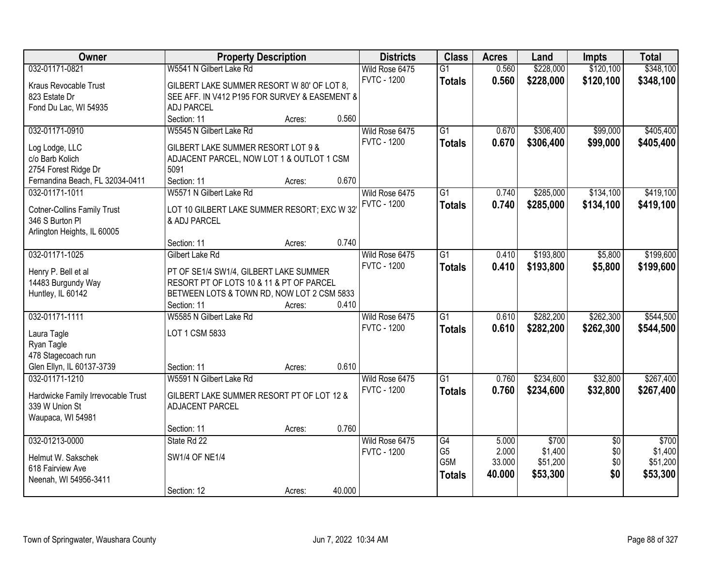| <b>Owner</b>                       | <b>Property Description</b>                   |        |        | <b>Districts</b>   | <b>Class</b>    | <b>Acres</b> | Land      | <b>Impts</b>    | <b>Total</b> |
|------------------------------------|-----------------------------------------------|--------|--------|--------------------|-----------------|--------------|-----------|-----------------|--------------|
| 032-01171-0821                     | W5541 N Gilbert Lake Rd                       |        |        | Wild Rose 6475     | $\overline{G1}$ | 0.560        | \$228,000 | \$120,100       | \$348,100    |
| Kraus Revocable Trust              | GILBERT LAKE SUMMER RESORT W 80' OF LOT 8,    |        |        | <b>FVTC - 1200</b> | <b>Totals</b>   | 0.560        | \$228,000 | \$120,100       | \$348,100    |
| 823 Estate Dr                      | SEE AFF. IN V412 P195 FOR SURVEY & EASEMENT & |        |        |                    |                 |              |           |                 |              |
| Fond Du Lac, WI 54935              | <b>ADJ PARCEL</b>                             |        |        |                    |                 |              |           |                 |              |
|                                    | Section: 11                                   | Acres: | 0.560  |                    |                 |              |           |                 |              |
| 032-01171-0910                     | W5545 N Gilbert Lake Rd                       |        |        | Wild Rose 6475     | $\overline{G1}$ | 0.670        | \$306,400 | \$99,000        | \$405,400    |
|                                    |                                               |        |        | <b>FVTC - 1200</b> | <b>Totals</b>   | 0.670        | \$306,400 | \$99,000        | \$405,400    |
| Log Lodge, LLC                     | GILBERT LAKE SUMMER RESORT LOT 9 &            |        |        |                    |                 |              |           |                 |              |
| c/o Barb Kolich                    | ADJACENT PARCEL, NOW LOT 1 & OUTLOT 1 CSM     |        |        |                    |                 |              |           |                 |              |
| 2754 Forest Ridge Dr               | 5091                                          |        |        |                    |                 |              |           |                 |              |
| Fernandina Beach, FL 32034-0411    | Section: 11                                   | Acres: | 0.670  |                    |                 |              |           |                 |              |
| 032-01171-1011                     | W5571 N Gilbert Lake Rd                       |        |        | Wild Rose 6475     | G1              | 0.740        | \$285,000 | \$134,100       | \$419,100    |
| <b>Cotner-Collins Family Trust</b> | LOT 10 GILBERT LAKE SUMMER RESORT; EXC W 32   |        |        | <b>FVTC - 1200</b> | <b>Totals</b>   | 0.740        | \$285,000 | \$134,100       | \$419,100    |
| 346 S Burton Pl                    | & ADJ PARCEL                                  |        |        |                    |                 |              |           |                 |              |
| Arlington Heights, IL 60005        |                                               |        |        |                    |                 |              |           |                 |              |
|                                    | Section: 11                                   | Acres: | 0.740  |                    |                 |              |           |                 |              |
| 032-01171-1025                     | Gilbert Lake Rd                               |        |        | Wild Rose 6475     | G1              | 0.410        | \$193,800 | \$5,800         | \$199,600    |
|                                    |                                               |        |        | <b>FVTC - 1200</b> | <b>Totals</b>   | 0.410        | \$193,800 | \$5,800         | \$199,600    |
| Henry P. Bell et al                | PT OF SE1/4 SW1/4, GILBERT LAKE SUMMER        |        |        |                    |                 |              |           |                 |              |
| 14483 Burgundy Way                 | RESORT PT OF LOTS 10 & 11 & PT OF PARCEL      |        |        |                    |                 |              |           |                 |              |
| Huntley, IL 60142                  | BETWEEN LOTS & TOWN RD, NOW LOT 2 CSM 5833    |        |        |                    |                 |              |           |                 |              |
|                                    | Section: 11                                   | Acres: | 0.410  |                    |                 |              |           |                 |              |
| 032-01171-1111                     | W5585 N Gilbert Lake Rd                       |        |        | Wild Rose 6475     | $\overline{G1}$ | 0.610        | \$282,200 | \$262,300       | \$544,500    |
| Laura Tagle                        | LOT 1 CSM 5833                                |        |        | <b>FVTC - 1200</b> | <b>Totals</b>   | 0.610        | \$282,200 | \$262,300       | \$544,500    |
| Ryan Tagle                         |                                               |        |        |                    |                 |              |           |                 |              |
| 478 Stagecoach run                 |                                               |        |        |                    |                 |              |           |                 |              |
| Glen Ellyn, IL 60137-3739          | Section: 11                                   | Acres: | 0.610  |                    |                 |              |           |                 |              |
| 032-01171-1210                     | W5591 N Gilbert Lake Rd                       |        |        | Wild Rose 6475     | $\overline{G1}$ | 0.760        | \$234,600 | \$32,800        | \$267,400    |
|                                    |                                               |        |        | <b>FVTC - 1200</b> | <b>Totals</b>   | 0.760        | \$234,600 | \$32,800        | \$267,400    |
| Hardwicke Family Irrevocable Trust | GILBERT LAKE SUMMER RESORT PT OF LOT 12 &     |        |        |                    |                 |              |           |                 |              |
| 339 W Union St                     | ADJACENT PARCEL                               |        |        |                    |                 |              |           |                 |              |
| Waupaca, WI 54981                  |                                               |        |        |                    |                 |              |           |                 |              |
|                                    | Section: 11                                   | Acres: | 0.760  |                    |                 |              |           |                 |              |
| 032-01213-0000                     | State Rd 22                                   |        |        | Wild Rose 6475     | G4              | 5.000        | \$700     | $\overline{50}$ | \$700        |
| Helmut W. Sakschek                 | <b>SW1/4 OF NE1/4</b>                         |        |        | <b>FVTC - 1200</b> | G <sub>5</sub>  | 2.000        | \$1,400   | \$0             | \$1,400      |
| 618 Fairview Ave                   |                                               |        |        |                    | G5M             | 33.000       | \$51,200  | \$0             | \$51,200     |
| Neenah, WI 54956-3411              |                                               |        |        |                    | <b>Totals</b>   | 40.000       | \$53,300  | \$0             | \$53,300     |
|                                    | Section: 12                                   | Acres: | 40.000 |                    |                 |              |           |                 |              |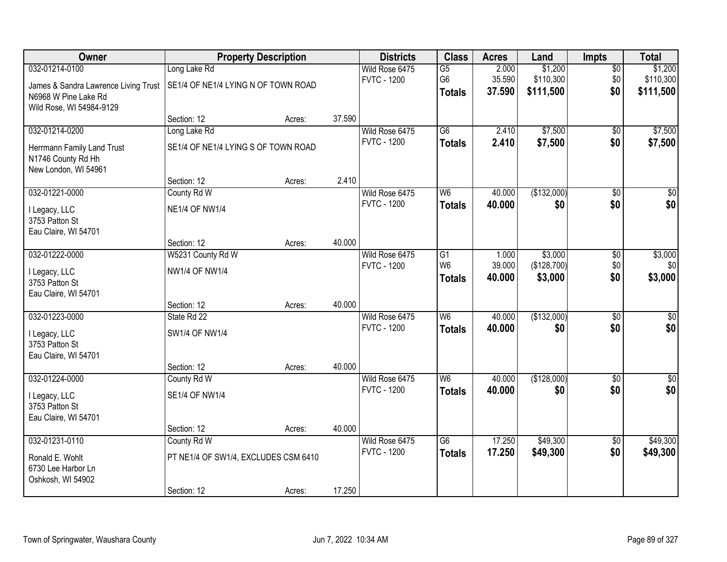| Owner                                  |                                      | <b>Property Description</b> |        | <b>Districts</b>                     | <b>Class</b>    | <b>Acres</b> | Land        | <b>Impts</b>    | <b>Total</b>    |
|----------------------------------------|--------------------------------------|-----------------------------|--------|--------------------------------------|-----------------|--------------|-------------|-----------------|-----------------|
| 032-01214-0100                         | Long Lake Rd                         |                             |        | Wild Rose 6475                       | $\overline{G5}$ | 2.000        | \$1,200     | $\overline{50}$ | \$1,200         |
| James & Sandra Lawrence Living Trust   | SE1/4 OF NE1/4 LYING N OF TOWN ROAD  |                             |        | <b>FVTC - 1200</b>                   | G <sub>6</sub>  | 35.590       | \$110,300   | \$0             | \$110,300       |
| N6968 W Pine Lake Rd                   |                                      |                             |        |                                      | <b>Totals</b>   | 37.590       | \$111,500   | \$0             | \$111,500       |
| Wild Rose, WI 54984-9129               |                                      |                             |        |                                      |                 |              |             |                 |                 |
|                                        | Section: 12                          | Acres:                      | 37.590 |                                      |                 |              |             |                 |                 |
| 032-01214-0200                         | Long Lake Rd                         |                             |        | Wild Rose 6475                       | $\overline{G6}$ | 2.410        | \$7,500     | $\overline{50}$ | \$7,500         |
| Herrmann Family Land Trust             | SE1/4 OF NE1/4 LYING S OF TOWN ROAD  |                             |        | <b>FVTC - 1200</b>                   | <b>Totals</b>   | 2.410        | \$7,500     | \$0             | \$7,500         |
| N1746 County Rd Hh                     |                                      |                             |        |                                      |                 |              |             |                 |                 |
| New London, WI 54961                   |                                      |                             |        |                                      |                 |              |             |                 |                 |
|                                        | Section: 12                          | Acres:                      | 2.410  |                                      |                 |              |             |                 |                 |
| 032-01221-0000                         | County Rd W                          |                             |        | Wild Rose 6475<br><b>FVTC - 1200</b> | W <sub>6</sub>  | 40.000       | (\$132,000) | \$0             | $\overline{30}$ |
| I Legacy, LLC                          | <b>NE1/4 OF NW1/4</b>                |                             |        |                                      | <b>Totals</b>   | 40.000       | \$0         | \$0             | \$0             |
| 3753 Patton St                         |                                      |                             |        |                                      |                 |              |             |                 |                 |
| Eau Claire, WI 54701                   |                                      |                             |        |                                      |                 |              |             |                 |                 |
| 032-01222-0000                         | Section: 12<br>W5231 County Rd W     | Acres:                      | 40.000 | Wild Rose 6475                       | $\overline{G1}$ | 1.000        | \$3,000     |                 | \$3,000         |
|                                        |                                      |                             |        | <b>FVTC - 1200</b>                   | W <sub>6</sub>  | 39.000       | (\$128,700) | \$0<br>\$0      | \$0             |
| I Legacy, LLC                          | <b>NW1/4 OF NW1/4</b>                |                             |        |                                      | <b>Totals</b>   | 40.000       | \$3,000     | \$0             | \$3,000         |
| 3753 Patton St                         |                                      |                             |        |                                      |                 |              |             |                 |                 |
| Eau Claire, WI 54701                   | Section: 12                          | Acres:                      | 40.000 |                                      |                 |              |             |                 |                 |
| 032-01223-0000                         | State Rd 22                          |                             |        | Wild Rose 6475                       | W <sub>6</sub>  | 40.000       | (\$132,000) | $\overline{50}$ | $\sqrt{30}$     |
|                                        |                                      |                             |        | <b>FVTC - 1200</b>                   | <b>Totals</b>   | 40.000       | \$0         | \$0             | \$0             |
| I Legacy, LLC                          | <b>SW1/4 OF NW1/4</b>                |                             |        |                                      |                 |              |             |                 |                 |
| 3753 Patton St<br>Eau Claire, WI 54701 |                                      |                             |        |                                      |                 |              |             |                 |                 |
|                                        | Section: 12                          | Acres:                      | 40.000 |                                      |                 |              |             |                 |                 |
| 032-01224-0000                         | County Rd W                          |                             |        | Wild Rose 6475                       | W <sub>6</sub>  | 40.000       | (\$128,000) | $\overline{50}$ | $\sqrt{50}$     |
|                                        |                                      |                             |        | <b>FVTC - 1200</b>                   | <b>Totals</b>   | 40.000       | \$0         | \$0             | \$0             |
| I Legacy, LLC<br>3753 Patton St        | <b>SE1/4 OF NW1/4</b>                |                             |        |                                      |                 |              |             |                 |                 |
| Eau Claire, WI 54701                   |                                      |                             |        |                                      |                 |              |             |                 |                 |
|                                        | Section: 12                          | Acres:                      | 40.000 |                                      |                 |              |             |                 |                 |
| 032-01231-0110                         | County Rd W                          |                             |        | Wild Rose 6475                       | $\overline{G6}$ | 17.250       | \$49,300    | $\overline{50}$ | \$49,300        |
| Ronald E. Wohlt                        | PT NE1/4 OF SW1/4, EXCLUDES CSM 6410 |                             |        | <b>FVTC - 1200</b>                   | <b>Totals</b>   | 17.250       | \$49,300    | \$0             | \$49,300        |
| 6730 Lee Harbor Ln                     |                                      |                             |        |                                      |                 |              |             |                 |                 |
| Oshkosh, WI 54902                      |                                      |                             |        |                                      |                 |              |             |                 |                 |
|                                        | Section: 12                          | Acres:                      | 17.250 |                                      |                 |              |             |                 |                 |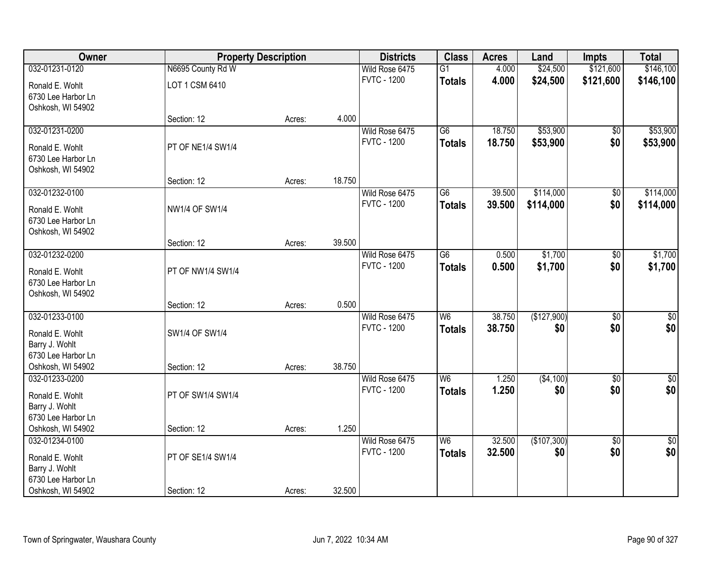| Owner              |                       | <b>Property Description</b> |        | <b>Districts</b>   | <b>Class</b>    | <b>Acres</b> | Land        | <b>Impts</b>    | <b>Total</b>    |
|--------------------|-----------------------|-----------------------------|--------|--------------------|-----------------|--------------|-------------|-----------------|-----------------|
| 032-01231-0120     | N6695 County Rd W     |                             |        | Wild Rose 6475     | $\overline{G1}$ | 4.000        | \$24,500    | \$121,600       | \$146,100       |
| Ronald E. Wohlt    | LOT 1 CSM 6410        |                             |        | <b>FVTC - 1200</b> | <b>Totals</b>   | 4.000        | \$24,500    | \$121,600       | \$146,100       |
| 6730 Lee Harbor Ln |                       |                             |        |                    |                 |              |             |                 |                 |
| Oshkosh, WI 54902  |                       |                             |        |                    |                 |              |             |                 |                 |
|                    | Section: 12           | Acres:                      | 4.000  |                    |                 |              |             |                 |                 |
| 032-01231-0200     |                       |                             |        | Wild Rose 6475     | $\overline{G6}$ | 18.750       | \$53,900    | $\overline{50}$ | \$53,900        |
| Ronald E. Wohlt    | PT OF NE1/4 SW1/4     |                             |        | <b>FVTC - 1200</b> | <b>Totals</b>   | 18.750       | \$53,900    | \$0             | \$53,900        |
| 6730 Lee Harbor Ln |                       |                             |        |                    |                 |              |             |                 |                 |
| Oshkosh, WI 54902  |                       |                             |        |                    |                 |              |             |                 |                 |
|                    | Section: 12           | Acres:                      | 18.750 |                    |                 |              |             |                 |                 |
| 032-01232-0100     |                       |                             |        | Wild Rose 6475     | G6              | 39.500       | \$114,000   | \$0             | \$114,000       |
| Ronald E. Wohlt    | <b>NW1/4 OF SW1/4</b> |                             |        | <b>FVTC - 1200</b> | <b>Totals</b>   | 39.500       | \$114,000   | \$0             | \$114,000       |
| 6730 Lee Harbor Ln |                       |                             |        |                    |                 |              |             |                 |                 |
| Oshkosh, WI 54902  |                       |                             |        |                    |                 |              |             |                 |                 |
|                    | Section: 12           | Acres:                      | 39.500 |                    |                 |              |             |                 |                 |
| 032-01232-0200     |                       |                             |        | Wild Rose 6475     | $\overline{G6}$ | 0.500        | \$1,700     | \$0             | \$1,700         |
| Ronald E. Wohlt    | PT OF NW1/4 SW1/4     |                             |        | <b>FVTC - 1200</b> | <b>Totals</b>   | 0.500        | \$1,700     | \$0             | \$1,700         |
| 6730 Lee Harbor Ln |                       |                             |        |                    |                 |              |             |                 |                 |
| Oshkosh, WI 54902  |                       |                             |        |                    |                 |              |             |                 |                 |
|                    | Section: 12           | Acres:                      | 0.500  |                    |                 |              |             |                 |                 |
| 032-01233-0100     |                       |                             |        | Wild Rose 6475     | W <sub>6</sub>  | 38.750       | (\$127,900) | \$0             | \$0             |
| Ronald E. Wohlt    | SW1/4 OF SW1/4        |                             |        | <b>FVTC - 1200</b> | <b>Totals</b>   | 38,750       | \$0         | \$0             | \$0             |
| Barry J. Wohlt     |                       |                             |        |                    |                 |              |             |                 |                 |
| 6730 Lee Harbor Ln |                       |                             |        |                    |                 |              |             |                 |                 |
| Oshkosh, WI 54902  | Section: 12           | Acres:                      | 38.750 |                    |                 |              |             |                 |                 |
| 032-01233-0200     |                       |                             |        | Wild Rose 6475     | W6              | 1.250        | (\$4,100)   | $\overline{50}$ | $\overline{50}$ |
| Ronald E. Wohlt    | PT OF SW1/4 SW1/4     |                             |        | <b>FVTC - 1200</b> | <b>Totals</b>   | 1.250        | \$0         | \$0             | \$0             |
| Barry J. Wohlt     |                       |                             |        |                    |                 |              |             |                 |                 |
| 6730 Lee Harbor Ln |                       |                             |        |                    |                 |              |             |                 |                 |
| Oshkosh, WI 54902  | Section: 12           | Acres:                      | 1.250  |                    |                 |              |             |                 |                 |
| 032-01234-0100     |                       |                             |        | Wild Rose 6475     | W6              | 32.500       | (\$107,300) | $\overline{50}$ | $\sqrt{30}$     |
| Ronald E. Wohlt    | PT OF SE1/4 SW1/4     |                             |        | <b>FVTC - 1200</b> | <b>Totals</b>   | 32.500       | \$0         | \$0             | \$0             |
| Barry J. Wohlt     |                       |                             |        |                    |                 |              |             |                 |                 |
| 6730 Lee Harbor Ln |                       |                             |        |                    |                 |              |             |                 |                 |
| Oshkosh, WI 54902  | Section: 12           | Acres:                      | 32.500 |                    |                 |              |             |                 |                 |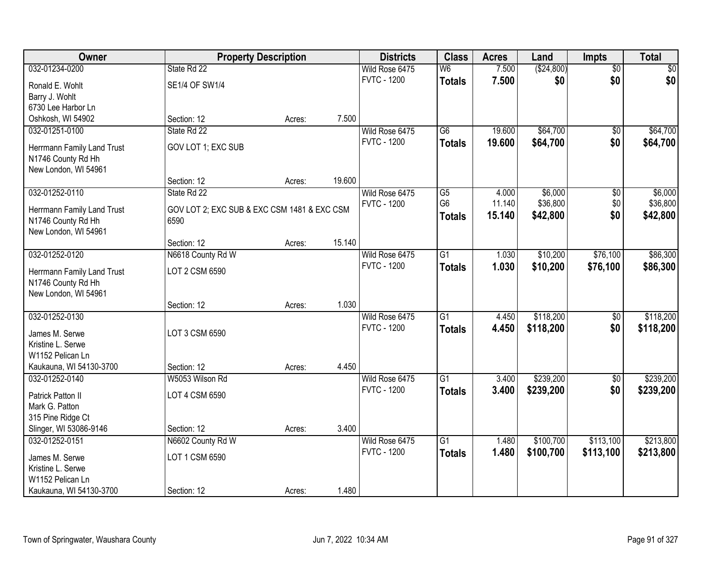| Owner                               |                                             | <b>Property Description</b> |        | <b>Districts</b>   | <b>Class</b>    | <b>Acres</b> | Land         | Impts           | <b>Total</b> |
|-------------------------------------|---------------------------------------------|-----------------------------|--------|--------------------|-----------------|--------------|--------------|-----------------|--------------|
| 032-01234-0200                      | State Rd 22                                 |                             |        | Wild Rose 6475     | W6              | 7.500        | ( \$24, 800) | $\overline{50}$ | \$0          |
| Ronald E. Wohlt                     | SE1/4 OF SW1/4                              |                             |        | <b>FVTC - 1200</b> | <b>Totals</b>   | 7.500        | \$0          | \$0             | \$0          |
| Barry J. Wohlt                      |                                             |                             |        |                    |                 |              |              |                 |              |
| 6730 Lee Harbor Ln                  |                                             |                             |        |                    |                 |              |              |                 |              |
| Oshkosh, WI 54902                   | Section: 12                                 | Acres:                      | 7.500  |                    |                 |              |              |                 |              |
| 032-01251-0100                      | State Rd 22                                 |                             |        | Wild Rose 6475     | $\overline{G6}$ | 19.600       | \$64,700     | $\overline{50}$ | \$64,700     |
| Herrmann Family Land Trust          | GOV LOT 1; EXC SUB                          |                             |        | <b>FVTC - 1200</b> | <b>Totals</b>   | 19.600       | \$64,700     | \$0             | \$64,700     |
| N1746 County Rd Hh                  |                                             |                             |        |                    |                 |              |              |                 |              |
| New London, WI 54961                |                                             |                             |        |                    |                 |              |              |                 |              |
|                                     | Section: 12                                 | Acres:                      | 19.600 |                    |                 |              |              |                 |              |
| 032-01252-0110                      | State Rd 22                                 |                             |        | Wild Rose 6475     | G5              | 4.000        | \$6,000      | \$0             | \$6,000      |
| Herrmann Family Land Trust          | GOV LOT 2; EXC SUB & EXC CSM 1481 & EXC CSM |                             |        | <b>FVTC - 1200</b> | G <sub>6</sub>  | 11.140       | \$36,800     | \$0             | \$36,800     |
| N1746 County Rd Hh                  | 6590                                        |                             |        |                    | <b>Totals</b>   | 15.140       | \$42,800     | \$0             | \$42,800     |
| New London, WI 54961                |                                             |                             |        |                    |                 |              |              |                 |              |
|                                     | Section: 12                                 | Acres:                      | 15.140 |                    |                 |              |              |                 |              |
| 032-01252-0120                      | N6618 County Rd W                           |                             |        | Wild Rose 6475     | $\overline{G1}$ | 1.030        | \$10,200     | \$76,100        | \$86,300     |
| Herrmann Family Land Trust          | LOT 2 CSM 6590                              |                             |        | <b>FVTC - 1200</b> | <b>Totals</b>   | 1.030        | \$10,200     | \$76,100        | \$86,300     |
| N1746 County Rd Hh                  |                                             |                             |        |                    |                 |              |              |                 |              |
| New London, WI 54961                |                                             |                             |        |                    |                 |              |              |                 |              |
|                                     | Section: 12                                 | Acres:                      | 1.030  |                    |                 |              |              |                 |              |
| 032-01252-0130                      |                                             |                             |        | Wild Rose 6475     | $\overline{G1}$ | 4.450        | \$118,200    | $\overline{50}$ | \$118,200    |
| James M. Serwe                      | LOT 3 CSM 6590                              |                             |        | <b>FVTC - 1200</b> | <b>Totals</b>   | 4.450        | \$118,200    | \$0             | \$118,200    |
| Kristine L. Serwe                   |                                             |                             |        |                    |                 |              |              |                 |              |
| W1152 Pelican Ln                    |                                             |                             |        |                    |                 |              |              |                 |              |
| Kaukauna, WI 54130-3700             | Section: 12                                 | Acres:                      | 4.450  |                    |                 |              |              |                 |              |
| 032-01252-0140                      | W5053 Wilson Rd                             |                             |        | Wild Rose 6475     | $\overline{G1}$ | 3.400        | \$239,200    | $\overline{50}$ | \$239,200    |
| Patrick Patton II                   | LOT 4 CSM 6590                              |                             |        | <b>FVTC - 1200</b> | <b>Totals</b>   | 3.400        | \$239,200    | \$0             | \$239,200    |
| Mark G. Patton                      |                                             |                             |        |                    |                 |              |              |                 |              |
| 315 Pine Ridge Ct                   |                                             |                             |        |                    |                 |              |              |                 |              |
| Slinger, WI 53086-9146              | Section: 12                                 | Acres:                      | 3.400  |                    |                 |              |              |                 |              |
| 032-01252-0151                      | N6602 County Rd W                           |                             |        | Wild Rose 6475     | $\overline{G1}$ | 1.480        | \$100,700    | \$113,100       | \$213,800    |
|                                     | LOT 1 CSM 6590                              |                             |        | <b>FVTC - 1200</b> | <b>Totals</b>   | 1.480        | \$100,700    | \$113,100       | \$213,800    |
| James M. Serwe<br>Kristine L. Serwe |                                             |                             |        |                    |                 |              |              |                 |              |
| W1152 Pelican Ln                    |                                             |                             |        |                    |                 |              |              |                 |              |
| Kaukauna, WI 54130-3700             | Section: 12                                 | Acres:                      | 1.480  |                    |                 |              |              |                 |              |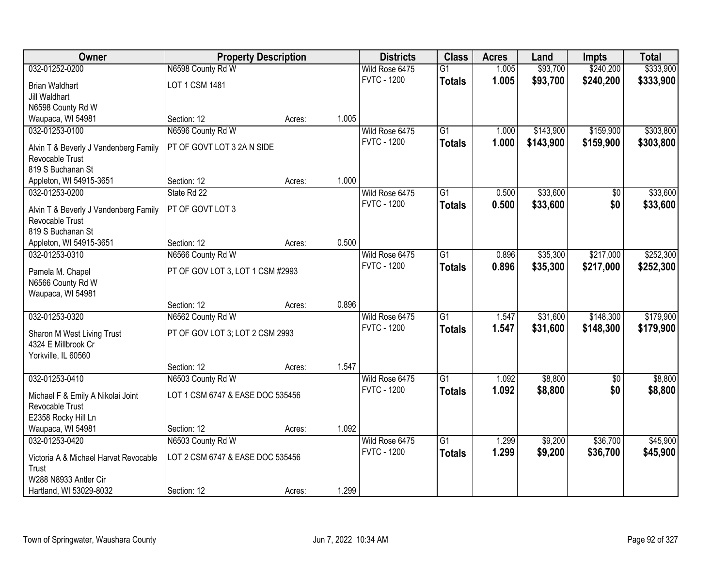| \$240,200<br>$\overline{G1}$                                                                                                                  | \$333,900 |
|-----------------------------------------------------------------------------------------------------------------------------------------------|-----------|
| \$93,700<br>032-01252-0200<br>N6598 County Rd W<br>Wild Rose 6475<br>1.005                                                                    |           |
| 1.005<br><b>FVTC - 1200</b><br>\$93,700<br>\$240,200<br><b>Totals</b><br>LOT 1 CSM 1481<br><b>Brian Waldhart</b>                              | \$333,900 |
| Jill Waldhart                                                                                                                                 |           |
| N6598 County Rd W                                                                                                                             |           |
| Waupaca, WI 54981<br>1.005<br>Section: 12<br>Acres:                                                                                           |           |
| N6596 County Rd W<br>\$159,900<br>032-01253-0100<br>Wild Rose 6475<br>$\overline{G1}$<br>\$143,900<br>1.000                                   | \$303,800 |
| <b>FVTC - 1200</b><br>1.000<br>\$143,900<br>\$159,900<br><b>Totals</b><br>PT OF GOVT LOT 3 2A N SIDE<br>Alvin T & Beverly J Vandenberg Family | \$303,800 |
| Revocable Trust                                                                                                                               |           |
| 819 S Buchanan St                                                                                                                             |           |
| 1.000<br>Section: 12<br>Appleton, WI 54915-3651<br>Acres:                                                                                     |           |
| \$33,600<br>032-01253-0200<br>State Rd 22<br>Wild Rose 6475<br>G1<br>0.500<br>$\sqrt[6]{30}$                                                  | \$33,600  |
| <b>FVTC - 1200</b><br>\$33,600<br>\$0<br>0.500<br><b>Totals</b><br>PT OF GOVT LOT 3<br>Alvin T & Beverly J Vandenberg Family                  | \$33,600  |
| Revocable Trust                                                                                                                               |           |
| 819 S Buchanan St                                                                                                                             |           |
| 0.500<br>Section: 12<br>Appleton, WI 54915-3651<br>Acres:                                                                                     |           |
| \$35,300<br>N6566 County Rd W<br>Wild Rose 6475<br>$\overline{G1}$<br>\$217,000<br>032-01253-0310<br>0.896                                    | \$252,300 |
| <b>FVTC - 1200</b><br>0.896<br>\$35,300<br>\$217,000<br><b>Totals</b>                                                                         | \$252,300 |
| PT OF GOV LOT 3, LOT 1 CSM #2993<br>Pamela M. Chapel<br>N6566 County Rd W                                                                     |           |
| Waupaca, WI 54981                                                                                                                             |           |
| 0.896<br>Section: 12<br>Acres:                                                                                                                |           |
| \$148,300<br>032-01253-0320<br>N6562 County Rd W<br>$\overline{G1}$<br>1.547<br>\$31,600<br>Wild Rose 6475                                    | \$179,900 |
| <b>FVTC - 1200</b><br>1.547<br>\$31,600<br><b>Totals</b><br>\$148,300                                                                         | \$179,900 |
| PT OF GOV LOT 3; LOT 2 CSM 2993<br>Sharon M West Living Trust<br>4324 E Millbrook Cr                                                          |           |
| Yorkville, IL 60560                                                                                                                           |           |
| 1.547<br>Section: 12<br>Acres:                                                                                                                |           |
| $\overline{G1}$<br>\$8,800<br>032-01253-0410<br>N6503 County Rd W<br>Wild Rose 6475<br>1.092<br>\$0                                           | \$8,800   |
| <b>FVTC - 1200</b><br>1.092<br>\$8,800<br>\$0<br><b>Totals</b>                                                                                | \$8,800   |
| LOT 1 CSM 6747 & EASE DOC 535456<br>Michael F & Emily A Nikolai Joint<br>Revocable Trust                                                      |           |
| E2358 Rocky Hill Ln                                                                                                                           |           |
| 1.092<br>Waupaca, WI 54981<br>Section: 12<br>Acres:                                                                                           |           |
| \$36,700<br>N6503 County Rd W<br>Wild Rose 6475<br>$\overline{G1}$<br>\$9,200<br>032-01253-0420<br>1.299                                      | \$45,900  |
| <b>FVTC - 1200</b><br>1.299<br>\$9,200<br>\$36,700<br><b>Totals</b>                                                                           | \$45,900  |
| LOT 2 CSM 6747 & EASE DOC 535456<br>Victoria A & Michael Harvat Revocable                                                                     |           |
| Trust<br>W288 N8933 Antler Cir                                                                                                                |           |
| 1.299<br>Hartland, WI 53029-8032<br>Section: 12<br>Acres:                                                                                     |           |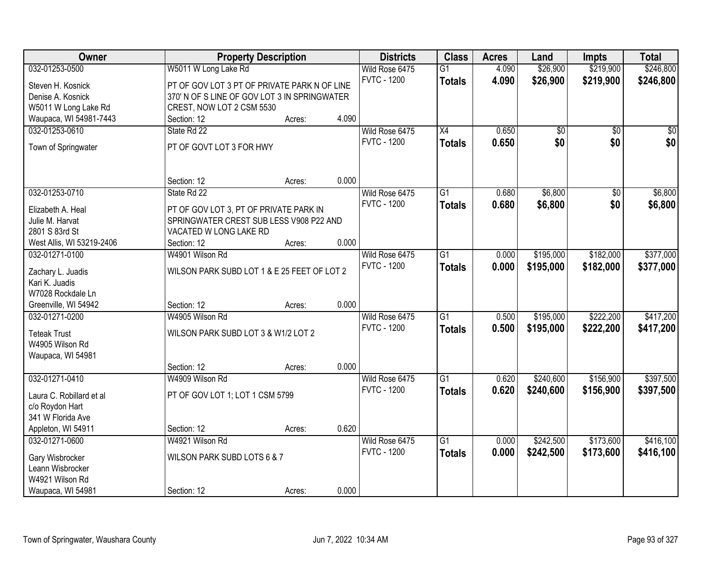| Owner                     |                                              | <b>Property Description</b> |       | <b>Districts</b>   | <b>Class</b>    | <b>Acres</b> | Land            | <b>Impts</b>    | <b>Total</b> |
|---------------------------|----------------------------------------------|-----------------------------|-------|--------------------|-----------------|--------------|-----------------|-----------------|--------------|
| 032-01253-0500            | W5011 W Long Lake Rd                         |                             |       | Wild Rose 6475     | $\overline{G1}$ | 4.090        | \$26,900        | \$219,900       | \$246,800    |
| Steven H. Kosnick         | PT OF GOV LOT 3 PT OF PRIVATE PARK N OF LINE |                             |       | <b>FVTC - 1200</b> | <b>Totals</b>   | 4.090        | \$26,900        | \$219,900       | \$246,800    |
| Denise A. Kosnick         | 370' N OF S LINE OF GOV LOT 3 IN SPRINGWATER |                             |       |                    |                 |              |                 |                 |              |
| W5011 W Long Lake Rd      | CREST, NOW LOT 2 CSM 5530                    |                             |       |                    |                 |              |                 |                 |              |
| Waupaca, WI 54981-7443    | Section: 12                                  | Acres:                      | 4.090 |                    |                 |              |                 |                 |              |
| 032-01253-0610            | State Rd 22                                  |                             |       | Wild Rose 6475     | X4              | 0.650        | $\overline{50}$ | $\overline{30}$ | $\sqrt{50}$  |
|                           |                                              |                             |       | <b>FVTC - 1200</b> | <b>Totals</b>   | 0.650        | \$0             | \$0             | \$0          |
| Town of Springwater       | PT OF GOVT LOT 3 FOR HWY                     |                             |       |                    |                 |              |                 |                 |              |
|                           |                                              |                             |       |                    |                 |              |                 |                 |              |
|                           | Section: 12                                  | Acres:                      | 0.000 |                    |                 |              |                 |                 |              |
| 032-01253-0710            | State Rd 22                                  |                             |       | Wild Rose 6475     | G1              | 0.680        | \$6,800         | \$0             | \$6,800      |
| Elizabeth A. Heal         | PT OF GOV LOT 3, PT OF PRIVATE PARK IN       |                             |       | <b>FVTC - 1200</b> | <b>Totals</b>   | 0.680        | \$6,800         | \$0             | \$6,800      |
| Julie M. Harvat           | SPRINGWATER CREST SUB LESS V908 P22 AND      |                             |       |                    |                 |              |                 |                 |              |
| 2801 S 83rd St            | VACATED W LONG LAKE RD                       |                             |       |                    |                 |              |                 |                 |              |
| West Allis, WI 53219-2406 | Section: 12                                  | Acres:                      | 0.000 |                    |                 |              |                 |                 |              |
| 032-01271-0100            | W4901 Wilson Rd                              |                             |       | Wild Rose 6475     | $\overline{G1}$ | 0.000        | \$195,000       | \$182,000       | \$377,000    |
|                           |                                              |                             |       | <b>FVTC - 1200</b> |                 |              |                 |                 |              |
| Zachary L. Juadis         | WILSON PARK SUBD LOT 1 & E 25 FEET OF LOT 2  |                             |       |                    | <b>Totals</b>   | 0.000        | \$195,000       | \$182,000       | \$377,000    |
| Kari K. Juadis            |                                              |                             |       |                    |                 |              |                 |                 |              |
| W7028 Rockdale Ln         |                                              |                             |       |                    |                 |              |                 |                 |              |
| Greenville, WI 54942      | Section: 12                                  | Acres:                      | 0.000 |                    |                 |              |                 |                 |              |
| 032-01271-0200            | W4905 Wilson Rd                              |                             |       | Wild Rose 6475     | $\overline{G1}$ | 0.500        | \$195,000       | \$222,200       | \$417,200    |
|                           |                                              |                             |       | <b>FVTC - 1200</b> | <b>Totals</b>   | 0.500        | \$195,000       | \$222,200       | \$417,200    |
| <b>Teteak Trust</b>       | WILSON PARK SUBD LOT 3 & W1/2 LOT 2          |                             |       |                    |                 |              |                 |                 |              |
| W4905 Wilson Rd           |                                              |                             |       |                    |                 |              |                 |                 |              |
| Waupaca, WI 54981         |                                              |                             |       |                    |                 |              |                 |                 |              |
|                           | Section: 12                                  | Acres:                      | 0.000 |                    |                 |              |                 |                 |              |
| 032-01271-0410            | W4909 Wilson Rd                              |                             |       | Wild Rose 6475     | $\overline{G1}$ | 0.620        | \$240,600       | \$156,900       | \$397,500    |
| Laura C. Robillard et al  | PT OF GOV LOT 1; LOT 1 CSM 5799              |                             |       | <b>FVTC - 1200</b> | <b>Totals</b>   | 0.620        | \$240,600       | \$156,900       | \$397,500    |
| c/o Roydon Hart           |                                              |                             |       |                    |                 |              |                 |                 |              |
| 341 W Florida Ave         |                                              |                             |       |                    |                 |              |                 |                 |              |
| Appleton, WI 54911        | Section: 12                                  | Acres:                      | 0.620 |                    |                 |              |                 |                 |              |
| 032-01271-0600            | W4921 Wilson Rd                              |                             |       | Wild Rose 6475     | $\overline{G1}$ | 0.000        | \$242,500       | \$173,600       | \$416,100    |
|                           |                                              |                             |       | <b>FVTC - 1200</b> | <b>Totals</b>   | 0.000        | \$242,500       | \$173,600       | \$416,100    |
| Gary Wisbrocker           | WILSON PARK SUBD LOTS 6 & 7                  |                             |       |                    |                 |              |                 |                 |              |
| Leann Wisbrocker          |                                              |                             |       |                    |                 |              |                 |                 |              |
| W4921 Wilson Rd           |                                              |                             |       |                    |                 |              |                 |                 |              |
| Waupaca, WI 54981         | Section: 12                                  | Acres:                      | 0.000 |                    |                 |              |                 |                 |              |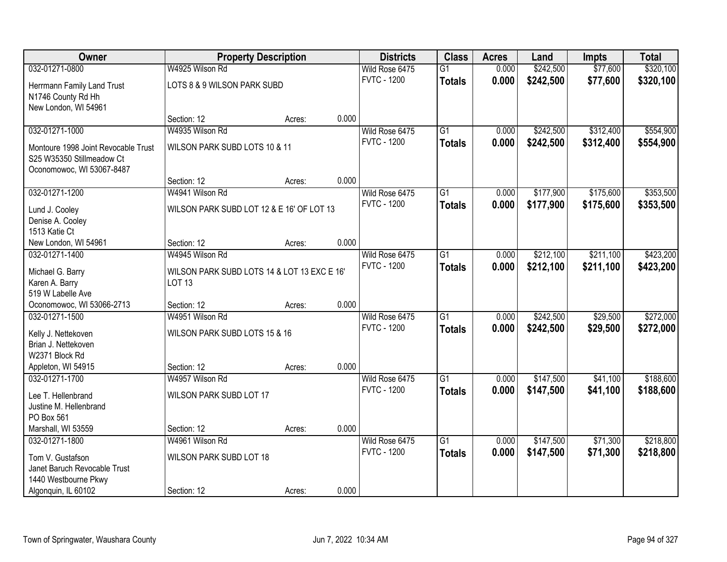| Owner                               | <b>Property Description</b>                 |        |       | <b>Districts</b>   | <b>Class</b>    | <b>Acres</b> | Land      | <b>Impts</b> | <b>Total</b> |
|-------------------------------------|---------------------------------------------|--------|-------|--------------------|-----------------|--------------|-----------|--------------|--------------|
| 032-01271-0800                      | W4925 Wilson Rd                             |        |       | Wild Rose 6475     | $\overline{G1}$ | 0.000        | \$242,500 | \$77,600     | \$320,100    |
| Herrmann Family Land Trust          | LOTS 8 & 9 WILSON PARK SUBD                 |        |       | <b>FVTC - 1200</b> | <b>Totals</b>   | 0.000        | \$242,500 | \$77,600     | \$320,100    |
| N1746 County Rd Hh                  |                                             |        |       |                    |                 |              |           |              |              |
| New London, WI 54961                |                                             |        |       |                    |                 |              |           |              |              |
|                                     | Section: 12                                 | Acres: | 0.000 |                    |                 |              |           |              |              |
| 032-01271-1000                      | W4935 Wilson Rd                             |        |       | Wild Rose 6475     | $\overline{G1}$ | 0.000        | \$242,500 | \$312,400    | \$554,900    |
| Montoure 1998 Joint Revocable Trust | WILSON PARK SUBD LOTS 10 & 11               |        |       | <b>FVTC - 1200</b> | <b>Totals</b>   | 0.000        | \$242,500 | \$312,400    | \$554,900    |
| S25 W35350 Stillmeadow Ct           |                                             |        |       |                    |                 |              |           |              |              |
| Oconomowoc, WI 53067-8487           |                                             |        |       |                    |                 |              |           |              |              |
|                                     | Section: 12                                 | Acres: | 0.000 |                    |                 |              |           |              |              |
| 032-01271-1200                      | W4941 Wilson Rd                             |        |       | Wild Rose 6475     | G1              | 0.000        | \$177,900 | \$175,600    | \$353,500    |
| Lund J. Cooley                      | WILSON PARK SUBD LOT 12 & E 16' OF LOT 13   |        |       | <b>FVTC - 1200</b> | <b>Totals</b>   | 0.000        | \$177,900 | \$175,600    | \$353,500    |
| Denise A. Cooley                    |                                             |        |       |                    |                 |              |           |              |              |
| 1513 Katie Ct                       |                                             |        |       |                    |                 |              |           |              |              |
| New London, WI 54961                | Section: 12                                 | Acres: | 0.000 |                    |                 |              |           |              |              |
| 032-01271-1400                      | W4945 Wilson Rd                             |        |       | Wild Rose 6475     | $\overline{G1}$ | 0.000        | \$212,100 | \$211,100    | \$423,200    |
| Michael G. Barry                    | WILSON PARK SUBD LOTS 14 & LOT 13 EXC E 16' |        |       | <b>FVTC - 1200</b> | <b>Totals</b>   | 0.000        | \$212,100 | \$211,100    | \$423,200    |
| Karen A. Barry                      | <b>LOT 13</b>                               |        |       |                    |                 |              |           |              |              |
| 519 W Labelle Ave                   |                                             |        |       |                    |                 |              |           |              |              |
| Oconomowoc, WI 53066-2713           | Section: 12                                 | Acres: | 0.000 |                    |                 |              |           |              |              |
| 032-01271-1500                      | W4951 Wilson Rd                             |        |       | Wild Rose 6475     | $\overline{G1}$ | 0.000        | \$242,500 | \$29,500     | \$272,000    |
| Kelly J. Nettekoven                 | WILSON PARK SUBD LOTS 15 & 16               |        |       | <b>FVTC - 1200</b> | <b>Totals</b>   | 0.000        | \$242,500 | \$29,500     | \$272,000    |
| Brian J. Nettekoven                 |                                             |        |       |                    |                 |              |           |              |              |
| W2371 Block Rd                      |                                             |        |       |                    |                 |              |           |              |              |
| Appleton, WI 54915                  | Section: 12                                 | Acres: | 0.000 |                    |                 |              |           |              |              |
| 032-01271-1700                      | W4957 Wilson Rd                             |        |       | Wild Rose 6475     | $\overline{G1}$ | 0.000        | \$147,500 | \$41,100     | \$188,600    |
| Lee T. Hellenbrand                  | WILSON PARK SUBD LOT 17                     |        |       | <b>FVTC - 1200</b> | <b>Totals</b>   | 0.000        | \$147,500 | \$41,100     | \$188,600    |
| Justine M. Hellenbrand              |                                             |        |       |                    |                 |              |           |              |              |
| PO Box 561                          |                                             |        |       |                    |                 |              |           |              |              |
| Marshall, WI 53559                  | Section: 12                                 | Acres: | 0.000 |                    |                 |              |           |              |              |
| 032-01271-1800                      | W4961 Wilson Rd                             |        |       | Wild Rose 6475     | $\overline{G1}$ | 0.000        | \$147,500 | \$71,300     | \$218,800    |
| Tom V. Gustafson                    | WILSON PARK SUBD LOT 18                     |        |       | <b>FVTC - 1200</b> | <b>Totals</b>   | 0.000        | \$147,500 | \$71,300     | \$218,800    |
| Janet Baruch Revocable Trust        |                                             |        |       |                    |                 |              |           |              |              |
| 1440 Westbourne Pkwy                |                                             |        |       |                    |                 |              |           |              |              |
| Algonquin, IL 60102                 | Section: 12                                 | Acres: | 0.000 |                    |                 |              |           |              |              |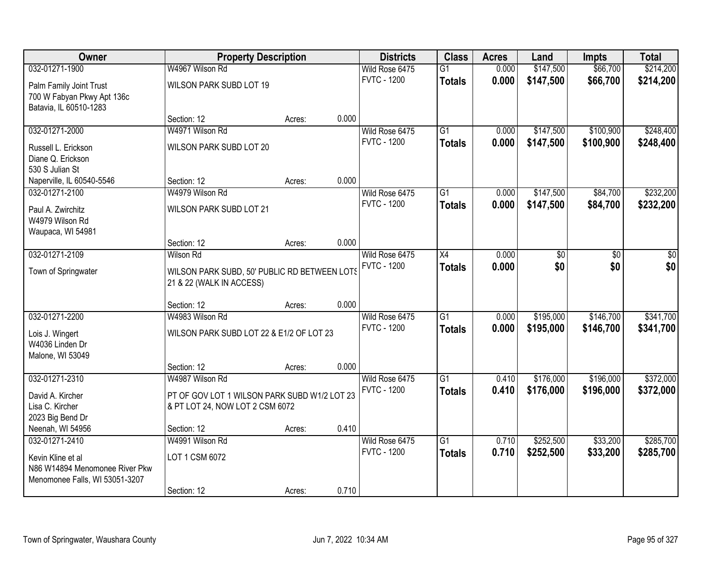| Owner                          |                                              | <b>Property Description</b> |       | <b>Districts</b>   | <b>Class</b>    | <b>Acres</b> | Land      | <b>Impts</b> | <b>Total</b> |
|--------------------------------|----------------------------------------------|-----------------------------|-------|--------------------|-----------------|--------------|-----------|--------------|--------------|
| 032-01271-1900                 | W4967 Wilson Rd                              |                             |       | Wild Rose 6475     | $\overline{G1}$ | 0.000        | \$147,500 | \$66,700     | \$214,200    |
| Palm Family Joint Trust        | WILSON PARK SUBD LOT 19                      |                             |       | <b>FVTC - 1200</b> | <b>Totals</b>   | 0.000        | \$147,500 | \$66,700     | \$214,200    |
| 700 W Fabyan Pkwy Apt 136c     |                                              |                             |       |                    |                 |              |           |              |              |
| Batavia, IL 60510-1283         |                                              |                             |       |                    |                 |              |           |              |              |
|                                | Section: 12                                  | Acres:                      | 0.000 |                    |                 |              |           |              |              |
| 032-01271-2000                 | W4971 Wilson Rd                              |                             |       | Wild Rose 6475     | $\overline{G1}$ | 0.000        | \$147,500 | \$100,900    | \$248,400    |
| Russell L. Erickson            | WILSON PARK SUBD LOT 20                      |                             |       | <b>FVTC - 1200</b> | <b>Totals</b>   | 0.000        | \$147,500 | \$100,900    | \$248,400    |
| Diane Q. Erickson              |                                              |                             |       |                    |                 |              |           |              |              |
| 530 S Julian St                |                                              |                             |       |                    |                 |              |           |              |              |
| Naperville, IL 60540-5546      | Section: 12                                  | Acres:                      | 0.000 |                    |                 |              |           |              |              |
| 032-01271-2100                 | W4979 Wilson Rd                              |                             |       | Wild Rose 6475     | $\overline{G1}$ | 0.000        | \$147,500 | \$84,700     | \$232,200    |
| Paul A. Zwirchitz              | WILSON PARK SUBD LOT 21                      |                             |       | <b>FVTC - 1200</b> | <b>Totals</b>   | 0.000        | \$147,500 | \$84,700     | \$232,200    |
| W4979 Wilson Rd                |                                              |                             |       |                    |                 |              |           |              |              |
| Waupaca, WI 54981              |                                              |                             |       |                    |                 |              |           |              |              |
|                                | Section: 12                                  | Acres:                      | 0.000 |                    |                 |              |           |              |              |
| 032-01271-2109                 | <b>Wilson Rd</b>                             |                             |       | Wild Rose 6475     | X4              | 0.000        | \$0       | \$0          | \$0          |
| Town of Springwater            | WILSON PARK SUBD, 50' PUBLIC RD BETWEEN LOTS |                             |       | <b>FVTC - 1200</b> | <b>Totals</b>   | 0.000        | \$0       | \$0          | \$0          |
|                                | 21 & 22 (WALK IN ACCESS)                     |                             |       |                    |                 |              |           |              |              |
|                                |                                              |                             |       |                    |                 |              |           |              |              |
|                                | Section: 12                                  | Acres:                      | 0.000 |                    |                 |              |           |              |              |
| 032-01271-2200                 | W4983 Wilson Rd                              |                             |       | Wild Rose 6475     | $\overline{G1}$ | 0.000        | \$195,000 | \$146,700    | \$341,700    |
| Lois J. Wingert                | WILSON PARK SUBD LOT 22 & E1/2 OF LOT 23     |                             |       | <b>FVTC - 1200</b> | <b>Totals</b>   | 0.000        | \$195,000 | \$146,700    | \$341,700    |
| W4036 Linden Dr                |                                              |                             |       |                    |                 |              |           |              |              |
| Malone, WI 53049               |                                              |                             |       |                    |                 |              |           |              |              |
|                                | Section: 12                                  | Acres:                      | 0.000 |                    |                 |              |           |              |              |
| 032-01271-2310                 | W4987 Wilson Rd                              |                             |       | Wild Rose 6475     | $\overline{G1}$ | 0.410        | \$176,000 | \$196,000    | \$372,000    |
| David A. Kircher               | PT OF GOV LOT 1 WILSON PARK SUBD W1/2 LOT 23 |                             |       | <b>FVTC - 1200</b> | <b>Totals</b>   | 0.410        | \$176,000 | \$196,000    | \$372,000    |
| Lisa C. Kircher                | & PT LOT 24, NOW LOT 2 CSM 6072              |                             |       |                    |                 |              |           |              |              |
| 2023 Big Bend Dr               |                                              |                             |       |                    |                 |              |           |              |              |
| Neenah, WI 54956               | Section: 12                                  | Acres:                      | 0.410 |                    |                 |              |           |              |              |
| 032-01271-2410                 | W4991 Wilson Rd                              |                             |       | Wild Rose 6475     | $\overline{G1}$ | 0.710        | \$252,500 | \$33,200     | \$285,700    |
| Kevin Kline et al              | LOT 1 CSM 6072                               |                             |       | <b>FVTC - 1200</b> | <b>Totals</b>   | 0.710        | \$252,500 | \$33,200     | \$285,700    |
| N86 W14894 Menomonee River Pkw |                                              |                             |       |                    |                 |              |           |              |              |
| Menomonee Falls, WI 53051-3207 |                                              |                             |       |                    |                 |              |           |              |              |
|                                | Section: 12                                  | Acres:                      | 0.710 |                    |                 |              |           |              |              |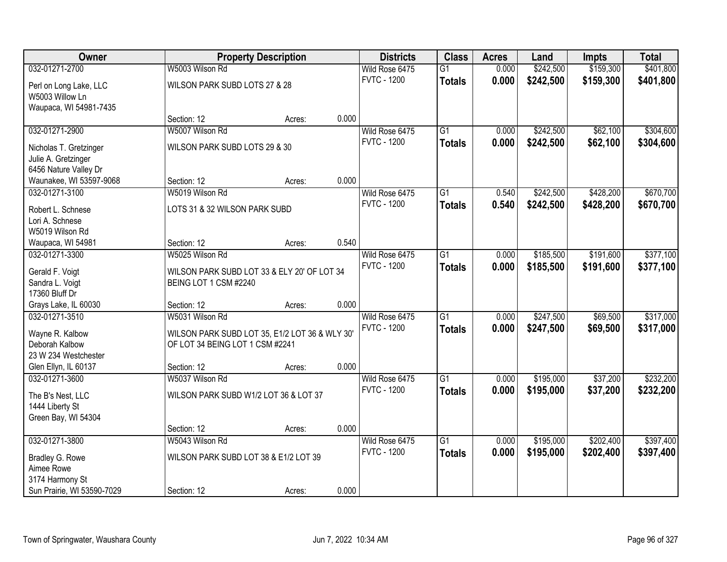| Owner                      |                                                | <b>Property Description</b> |       | <b>Districts</b>   | <b>Class</b>    | <b>Acres</b> | Land      | <b>Impts</b> | <b>Total</b> |
|----------------------------|------------------------------------------------|-----------------------------|-------|--------------------|-----------------|--------------|-----------|--------------|--------------|
| 032-01271-2700             | W5003 Wilson Rd                                |                             |       | Wild Rose 6475     | $\overline{G1}$ | 0.000        | \$242,500 | \$159,300    | \$401,800    |
| Perl on Long Lake, LLC     | WILSON PARK SUBD LOTS 27 & 28                  |                             |       | <b>FVTC - 1200</b> | <b>Totals</b>   | 0.000        | \$242,500 | \$159,300    | \$401,800    |
| W5003 Willow Ln            |                                                |                             |       |                    |                 |              |           |              |              |
| Waupaca, WI 54981-7435     |                                                |                             |       |                    |                 |              |           |              |              |
|                            | Section: 12                                    | Acres:                      | 0.000 |                    |                 |              |           |              |              |
| 032-01271-2900             | W5007 Wilson Rd                                |                             |       | Wild Rose 6475     | $\overline{G1}$ | 0.000        | \$242,500 | \$62,100     | \$304,600    |
| Nicholas T. Gretzinger     | WILSON PARK SUBD LOTS 29 & 30                  |                             |       | <b>FVTC - 1200</b> | <b>Totals</b>   | 0.000        | \$242,500 | \$62,100     | \$304,600    |
| Julie A. Gretzinger        |                                                |                             |       |                    |                 |              |           |              |              |
| 6456 Nature Valley Dr      |                                                |                             |       |                    |                 |              |           |              |              |
| Waunakee, WI 53597-9068    | Section: 12                                    | Acres:                      | 0.000 |                    |                 |              |           |              |              |
| 032-01271-3100             | W5019 Wilson Rd                                |                             |       | Wild Rose 6475     | $\overline{G1}$ | 0.540        | \$242,500 | \$428,200    | \$670,700    |
| Robert L. Schnese          | LOTS 31 & 32 WILSON PARK SUBD                  |                             |       | <b>FVTC - 1200</b> | <b>Totals</b>   | 0.540        | \$242,500 | \$428,200    | \$670,700    |
| Lori A. Schnese            |                                                |                             |       |                    |                 |              |           |              |              |
| W5019 Wilson Rd            |                                                |                             |       |                    |                 |              |           |              |              |
| Waupaca, WI 54981          | Section: 12                                    | Acres:                      | 0.540 |                    |                 |              |           |              |              |
| 032-01271-3300             | W5025 Wilson Rd                                |                             |       | Wild Rose 6475     | $\overline{G1}$ | 0.000        | \$185,500 | \$191,600    | \$377,100    |
| Gerald F. Voigt            | WILSON PARK SUBD LOT 33 & ELY 20' OF LOT 34    |                             |       | <b>FVTC - 1200</b> | <b>Totals</b>   | 0.000        | \$185,500 | \$191,600    | \$377,100    |
| Sandra L. Voigt            | BEING LOT 1 CSM #2240                          |                             |       |                    |                 |              |           |              |              |
| 17360 Bluff Dr             |                                                |                             |       |                    |                 |              |           |              |              |
| Grays Lake, IL 60030       | Section: 12                                    | Acres:                      | 0.000 |                    |                 |              |           |              |              |
| 032-01271-3510             | W5031 Wilson Rd                                |                             |       | Wild Rose 6475     | $\overline{G1}$ | 0.000        | \$247,500 | \$69,500     | \$317,000    |
| Wayne R. Kalbow            | WILSON PARK SUBD LOT 35, E1/2 LOT 36 & WLY 30' |                             |       | <b>FVTC - 1200</b> | <b>Totals</b>   | 0.000        | \$247,500 | \$69,500     | \$317,000    |
| Deborah Kalbow             | OF LOT 34 BEING LOT 1 CSM #2241                |                             |       |                    |                 |              |           |              |              |
| 23 W 234 Westchester       |                                                |                             |       |                    |                 |              |           |              |              |
| Glen Ellyn, IL 60137       | Section: 12                                    | Acres:                      | 0.000 |                    |                 |              |           |              |              |
| 032-01271-3600             | W5037 Wilson Rd                                |                             |       | Wild Rose 6475     | $\overline{G1}$ | 0.000        | \$195,000 | \$37,200     | \$232,200    |
| The B's Nest, LLC          | WILSON PARK SUBD W1/2 LOT 36 & LOT 37          |                             |       | <b>FVTC - 1200</b> | <b>Totals</b>   | 0.000        | \$195,000 | \$37,200     | \$232,200    |
| 1444 Liberty St            |                                                |                             |       |                    |                 |              |           |              |              |
| Green Bay, WI 54304        |                                                |                             |       |                    |                 |              |           |              |              |
|                            | Section: 12                                    | Acres:                      | 0.000 |                    |                 |              |           |              |              |
| 032-01271-3800             | W5043 Wilson Rd                                |                             |       | Wild Rose 6475     | $\overline{G1}$ | 0.000        | \$195,000 | \$202,400    | \$397,400    |
| Bradley G. Rowe            | WILSON PARK SUBD LOT 38 & E1/2 LOT 39          |                             |       | <b>FVTC - 1200</b> | <b>Totals</b>   | 0.000        | \$195,000 | \$202,400    | \$397,400    |
| Aimee Rowe                 |                                                |                             |       |                    |                 |              |           |              |              |
| 3174 Harmony St            |                                                |                             |       |                    |                 |              |           |              |              |
| Sun Prairie, WI 53590-7029 | Section: 12                                    | Acres:                      | 0.000 |                    |                 |              |           |              |              |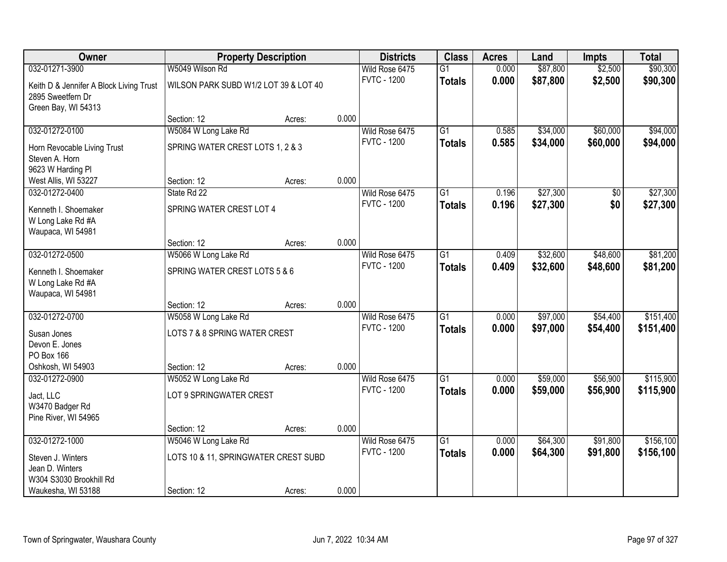| Owner                                   |                                       | <b>Property Description</b> |       | <b>Districts</b>   | <b>Class</b>    | <b>Acres</b> | Land     | <b>Impts</b>    | <b>Total</b> |
|-----------------------------------------|---------------------------------------|-----------------------------|-------|--------------------|-----------------|--------------|----------|-----------------|--------------|
| 032-01271-3900                          | W5049 Wilson Rd                       |                             |       | Wild Rose 6475     | G1              | 0.000        | \$87,800 | \$2,500         | \$90,300     |
| Keith D & Jennifer A Block Living Trust | WILSON PARK SUBD W1/2 LOT 39 & LOT 40 |                             |       | <b>FVTC - 1200</b> | <b>Totals</b>   | 0.000        | \$87,800 | \$2,500         | \$90,300     |
| 2895 Sweetfern Dr                       |                                       |                             |       |                    |                 |              |          |                 |              |
| Green Bay, WI 54313                     |                                       |                             |       |                    |                 |              |          |                 |              |
|                                         | Section: 12                           | Acres:                      | 0.000 |                    |                 |              |          |                 |              |
| 032-01272-0100                          | W5084 W Long Lake Rd                  |                             |       | Wild Rose 6475     | $\overline{G1}$ | 0.585        | \$34,000 | \$60,000        | \$94,000     |
| Horn Revocable Living Trust             | SPRING WATER CREST LOTS 1, 2 & 3      |                             |       | <b>FVTC - 1200</b> | <b>Totals</b>   | 0.585        | \$34,000 | \$60,000        | \$94,000     |
| Steven A. Horn                          |                                       |                             |       |                    |                 |              |          |                 |              |
| 9623 W Harding Pl                       |                                       |                             |       |                    |                 |              |          |                 |              |
| West Allis, WI 53227                    | Section: 12                           | Acres:                      | 0.000 |                    |                 |              |          |                 |              |
| 032-01272-0400                          | State Rd 22                           |                             |       | Wild Rose 6475     | G1              | 0.196        | \$27,300 | $\overline{50}$ | \$27,300     |
| Kenneth I. Shoemaker                    | SPRING WATER CREST LOT 4              |                             |       | <b>FVTC - 1200</b> | <b>Totals</b>   | 0.196        | \$27,300 | \$0             | \$27,300     |
| W Long Lake Rd #A                       |                                       |                             |       |                    |                 |              |          |                 |              |
| Waupaca, WI 54981                       |                                       |                             |       |                    |                 |              |          |                 |              |
|                                         | Section: 12                           | Acres:                      | 0.000 |                    |                 |              |          |                 |              |
| 032-01272-0500                          | W5066 W Long Lake Rd                  |                             |       | Wild Rose 6475     | $\overline{G1}$ | 0.409        | \$32,600 | \$48,600        | \$81,200     |
| Kenneth I. Shoemaker                    | SPRING WATER CREST LOTS 5 & 6         |                             |       | <b>FVTC - 1200</b> | <b>Totals</b>   | 0.409        | \$32,600 | \$48,600        | \$81,200     |
| W Long Lake Rd #A                       |                                       |                             |       |                    |                 |              |          |                 |              |
| Waupaca, WI 54981                       |                                       |                             |       |                    |                 |              |          |                 |              |
|                                         | Section: 12                           | Acres:                      | 0.000 |                    |                 |              |          |                 |              |
| 032-01272-0700                          | W5058 W Long Lake Rd                  |                             |       | Wild Rose 6475     | $\overline{G1}$ | 0.000        | \$97,000 | \$54,400        | \$151,400    |
| Susan Jones                             | LOTS 7 & 8 SPRING WATER CREST         |                             |       | <b>FVTC - 1200</b> | <b>Totals</b>   | 0.000        | \$97,000 | \$54,400        | \$151,400    |
| Devon E. Jones                          |                                       |                             |       |                    |                 |              |          |                 |              |
| PO Box 166                              |                                       |                             |       |                    |                 |              |          |                 |              |
| Oshkosh, WI 54903                       | Section: 12                           | Acres:                      | 0.000 |                    |                 |              |          |                 |              |
| 032-01272-0900                          | W5052 W Long Lake Rd                  |                             |       | Wild Rose 6475     | $\overline{G1}$ | 0.000        | \$59,000 | \$56,900        | \$115,900    |
| Jact, LLC                               | LOT 9 SPRINGWATER CREST               |                             |       | <b>FVTC - 1200</b> | <b>Totals</b>   | 0.000        | \$59,000 | \$56,900        | \$115,900    |
| W3470 Badger Rd                         |                                       |                             |       |                    |                 |              |          |                 |              |
| Pine River, WI 54965                    |                                       |                             |       |                    |                 |              |          |                 |              |
|                                         | Section: 12                           | Acres:                      | 0.000 |                    |                 |              |          |                 |              |
| 032-01272-1000                          | W5046 W Long Lake Rd                  |                             |       | Wild Rose 6475     | $\overline{G1}$ | 0.000        | \$64,300 | \$91,800        | \$156,100    |
|                                         |                                       |                             |       | <b>FVTC - 1200</b> | <b>Totals</b>   | 0.000        | \$64,300 | \$91,800        | \$156,100    |
| Steven J. Winters<br>Jean D. Winters    | LOTS 10 & 11, SPRINGWATER CREST SUBD  |                             |       |                    |                 |              |          |                 |              |
| W304 S3030 Brookhill Rd                 |                                       |                             |       |                    |                 |              |          |                 |              |
| Waukesha, WI 53188                      | Section: 12                           | Acres:                      | 0.000 |                    |                 |              |          |                 |              |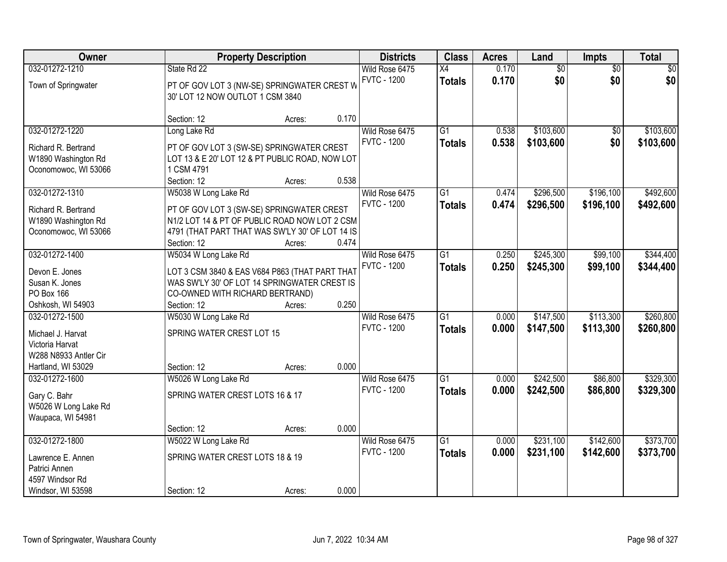| <b>Owner</b>                                                                                          |                                                                                                                                                                                      | <b>Property Description</b> | <b>Districts</b>                              | <b>Class</b>                     | <b>Acres</b>   | Land                   | Impts                  | <b>Total</b>           |
|-------------------------------------------------------------------------------------------------------|--------------------------------------------------------------------------------------------------------------------------------------------------------------------------------------|-----------------------------|-----------------------------------------------|----------------------------------|----------------|------------------------|------------------------|------------------------|
| 032-01272-1210<br>Town of Springwater                                                                 | State Rd 22<br>PT OF GOV LOT 3 (NW-SE) SPRINGWATER CREST W<br>30' LOT 12 NOW OUTLOT 1 CSM 3840                                                                                       |                             | Wild Rose 6475<br><b>FVTC - 1200</b>          | X4<br><b>Totals</b>              | 0.170<br>0.170 | $\overline{50}$<br>\$0 | $\overline{50}$<br>\$0 | \$0<br>\$0             |
|                                                                                                       | Section: 12                                                                                                                                                                          | 0.170<br>Acres:             |                                               |                                  |                |                        |                        |                        |
| 032-01272-1220<br>Richard R. Bertrand<br>W1890 Washington Rd<br>Oconomowoc, WI 53066                  | Long Lake Rd<br>PT OF GOV LOT 3 (SW-SE) SPRINGWATER CREST<br>LOT 13 & E 20' LOT 12 & PT PUBLIC ROAD, NOW LOT<br>1 CSM 4791<br>Section: 12                                            | Acres:                      | Wild Rose 6475<br><b>FVTC - 1200</b><br>0.538 | $\overline{G1}$<br><b>Totals</b> | 0.538<br>0.538 | \$103,600<br>\$103,600 | $\overline{50}$<br>\$0 | \$103,600<br>\$103,600 |
| 032-01272-1310<br>Richard R. Bertrand<br>W1890 Washington Rd<br>Oconomowoc, WI 53066                  | W5038 W Long Lake Rd<br>PT OF GOV LOT 3 (SW-SE) SPRINGWATER CREST<br>N1/2 LOT 14 & PT OF PUBLIC ROAD NOW LOT 2 CSM<br>4791 (THAT PART THAT WAS SW'LY 30' OF LOT 14 IS<br>Section: 12 | 0.474<br>Acres:             | Wild Rose 6475<br><b>FVTC - 1200</b>          | G1<br><b>Totals</b>              | 0.474<br>0.474 | \$296,500<br>\$296,500 | \$196,100<br>\$196,100 | \$492,600<br>\$492,600 |
| 032-01272-1400<br>Devon E. Jones<br>Susan K. Jones<br>PO Box 166<br>Oshkosh, WI 54903                 | W5034 W Long Lake Rd<br>LOT 3 CSM 3840 & EAS V684 P863 (THAT PART THAT<br>WAS SW'LY 30' OF LOT 14 SPRINGWATER CREST IS<br>CO-OWNED WITH RICHARD BERTRAND)<br>Section: 12             | Acres:                      | Wild Rose 6475<br><b>FVTC - 1200</b><br>0.250 | $\overline{G1}$<br><b>Totals</b> | 0.250<br>0.250 | \$245,300<br>\$245,300 | \$99,100<br>\$99,100   | \$344,400<br>\$344,400 |
| 032-01272-1500<br>Michael J. Harvat<br>Victoria Harvat<br>W288 N8933 Antler Cir<br>Hartland, WI 53029 | W5030 W Long Lake Rd<br>SPRING WATER CREST LOT 15<br>Section: 12                                                                                                                     | 0.000<br>Acres:             | Wild Rose 6475<br><b>FVTC - 1200</b>          | $\overline{G1}$<br><b>Totals</b> | 0.000<br>0.000 | \$147,500<br>\$147,500 | \$113,300<br>\$113,300 | \$260,800<br>\$260,800 |
| 032-01272-1600<br>Gary C. Bahr<br>W5026 W Long Lake Rd<br>Waupaca, WI 54981                           | W5026 W Long Lake Rd<br>SPRING WATER CREST LOTS 16 & 17<br>Section: 12                                                                                                               | Acres:                      | Wild Rose 6475<br><b>FVTC - 1200</b><br>0.000 | $\overline{G1}$<br><b>Totals</b> | 0.000<br>0.000 | \$242,500<br>\$242,500 | \$86,800<br>\$86,800   | \$329,300<br>\$329,300 |
| 032-01272-1800<br>Lawrence E. Annen<br>Patrici Annen<br>4597 Windsor Rd<br>Windsor, WI 53598          | W5022 W Long Lake Rd<br>SPRING WATER CREST LOTS 18 & 19<br>Section: 12                                                                                                               | Acres:                      | Wild Rose 6475<br><b>FVTC - 1200</b><br>0.000 | $\overline{G1}$<br><b>Totals</b> | 0.000<br>0.000 | \$231,100<br>\$231,100 | \$142,600<br>\$142,600 | \$373,700<br>\$373,700 |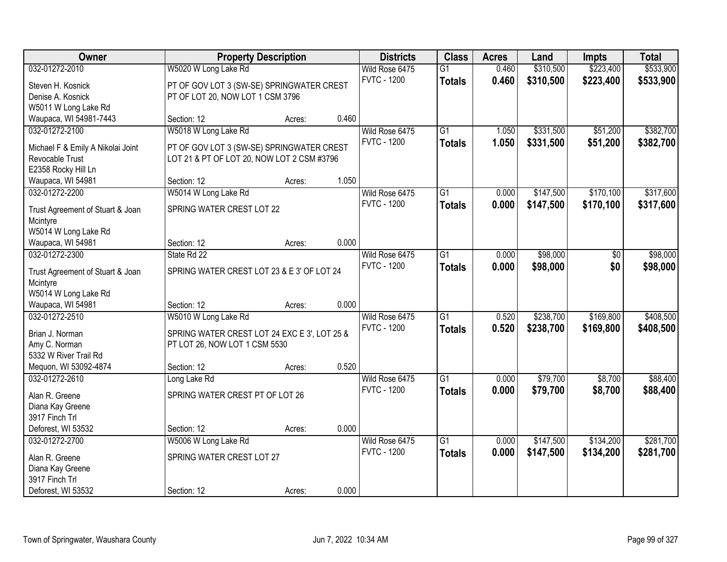| Owner                             |                                              | <b>Property Description</b> |       | <b>Districts</b>   | <b>Class</b>    | <b>Acres</b> | Land      | <b>Impts</b> | <b>Total</b> |
|-----------------------------------|----------------------------------------------|-----------------------------|-------|--------------------|-----------------|--------------|-----------|--------------|--------------|
| 032-01272-2010                    | W5020 W Long Lake Rd                         |                             |       | Wild Rose 6475     | $\overline{G1}$ | 0.460        | \$310,500 | \$223,400    | \$533,900    |
| Steven H. Kosnick                 | PT OF GOV LOT 3 (SW-SE) SPRINGWATER CREST    |                             |       | <b>FVTC - 1200</b> | <b>Totals</b>   | 0.460        | \$310,500 | \$223,400    | \$533,900    |
| Denise A. Kosnick                 | PT OF LOT 20, NOW LOT 1 CSM 3796             |                             |       |                    |                 |              |           |              |              |
| W5011 W Long Lake Rd              |                                              |                             |       |                    |                 |              |           |              |              |
| Waupaca, WI 54981-7443            | Section: 12                                  | Acres:                      | 0.460 |                    |                 |              |           |              |              |
| 032-01272-2100                    | W5018 W Long Lake Rd                         |                             |       | Wild Rose 6475     | $\overline{G1}$ | 1.050        | \$331,500 | \$51,200     | \$382,700    |
|                                   |                                              |                             |       | <b>FVTC - 1200</b> | <b>Totals</b>   | 1.050        | \$331,500 | \$51,200     | \$382,700    |
| Michael F & Emily A Nikolai Joint | PT OF GOV LOT 3 (SW-SE) SPRINGWATER CREST    |                             |       |                    |                 |              |           |              |              |
| Revocable Trust                   | LOT 21 & PT OF LOT 20, NOW LOT 2 CSM #3796   |                             |       |                    |                 |              |           |              |              |
| E2358 Rocky Hill Ln               |                                              |                             |       |                    |                 |              |           |              |              |
| Waupaca, WI 54981                 | Section: 12                                  | Acres:                      | 1.050 |                    |                 |              |           |              |              |
| 032-01272-2200                    | W5014 W Long Lake Rd                         |                             |       | Wild Rose 6475     | G1              | 0.000        | \$147,500 | \$170,100    | \$317,600    |
| Trust Agreement of Stuart & Joan  | SPRING WATER CREST LOT 22                    |                             |       | <b>FVTC - 1200</b> | <b>Totals</b>   | 0.000        | \$147,500 | \$170,100    | \$317,600    |
| Mcintyre                          |                                              |                             |       |                    |                 |              |           |              |              |
| W5014 W Long Lake Rd              |                                              |                             |       |                    |                 |              |           |              |              |
| Waupaca, WI 54981                 | Section: 12                                  | Acres:                      | 0.000 |                    |                 |              |           |              |              |
| 032-01272-2300                    | State Rd 22                                  |                             |       | Wild Rose 6475     | G1              | 0.000        | \$98,000  | \$0          | \$98,000     |
|                                   |                                              |                             |       | <b>FVTC - 1200</b> | <b>Totals</b>   | 0.000        | \$98,000  | \$0          | \$98,000     |
| Trust Agreement of Stuart & Joan  | SPRING WATER CREST LOT 23 & E 3' OF LOT 24   |                             |       |                    |                 |              |           |              |              |
| Mcintyre                          |                                              |                             |       |                    |                 |              |           |              |              |
| W5014 W Long Lake Rd              |                                              |                             |       |                    |                 |              |           |              |              |
| Waupaca, WI 54981                 | Section: 12                                  | Acres:                      | 0.000 |                    |                 |              |           |              |              |
| 032-01272-2510                    | W5010 W Long Lake Rd                         |                             |       | Wild Rose 6475     | $\overline{G1}$ | 0.520        | \$238,700 | \$169,800    | \$408,500    |
| Brian J. Norman                   | SPRING WATER CREST LOT 24 EXC E 3', LOT 25 & |                             |       | <b>FVTC - 1200</b> | Totals          | 0.520        | \$238,700 | \$169,800    | \$408,500    |
| Amy C. Norman                     | PT LOT 26, NOW LOT 1 CSM 5530                |                             |       |                    |                 |              |           |              |              |
| 5332 W River Trail Rd             |                                              |                             |       |                    |                 |              |           |              |              |
| Mequon, WI 53092-4874             | Section: 12                                  | Acres:                      | 0.520 |                    |                 |              |           |              |              |
| 032-01272-2610                    | Long Lake Rd                                 |                             |       | Wild Rose 6475     | $\overline{G1}$ | 0.000        | \$79,700  | \$8,700      | \$88,400     |
|                                   |                                              |                             |       | <b>FVTC - 1200</b> | <b>Totals</b>   | 0.000        | \$79,700  | \$8,700      | \$88,400     |
| Alan R. Greene                    | SPRING WATER CREST PT OF LOT 26              |                             |       |                    |                 |              |           |              |              |
| Diana Kay Greene                  |                                              |                             |       |                    |                 |              |           |              |              |
| 3917 Finch Trl                    |                                              |                             |       |                    |                 |              |           |              |              |
| Deforest, WI 53532                | Section: 12                                  | Acres:                      | 0.000 |                    |                 |              |           |              |              |
| 032-01272-2700                    | W5006 W Long Lake Rd                         |                             |       | Wild Rose 6475     | $\overline{G1}$ | 0.000        | \$147,500 | \$134,200    | \$281,700    |
| Alan R. Greene                    | SPRING WATER CREST LOT 27                    |                             |       | <b>FVTC - 1200</b> | <b>Totals</b>   | 0.000        | \$147,500 | \$134,200    | \$281,700    |
| Diana Kay Greene                  |                                              |                             |       |                    |                 |              |           |              |              |
| 3917 Finch Trl                    |                                              |                             |       |                    |                 |              |           |              |              |
| Deforest, WI 53532                | Section: 12                                  | Acres:                      | 0.000 |                    |                 |              |           |              |              |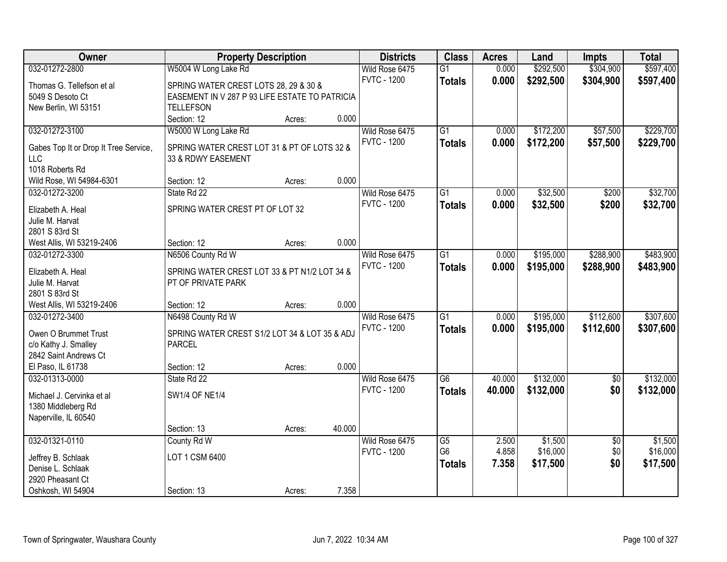| Owner                                       |                                                | <b>Property Description</b> |        | <b>Districts</b>   | <b>Class</b>    | <b>Acres</b> | Land      | <b>Impts</b>    | <b>Total</b> |
|---------------------------------------------|------------------------------------------------|-----------------------------|--------|--------------------|-----------------|--------------|-----------|-----------------|--------------|
| 032-01272-2800                              | W5004 W Long Lake Rd                           |                             |        | Wild Rose 6475     | $\overline{G1}$ | 0.000        | \$292,500 | \$304,900       | \$597,400    |
| Thomas G. Tellefson et al                   | SPRING WATER CREST LOTS 28, 29 & 30 &          |                             |        | <b>FVTC - 1200</b> | <b>Totals</b>   | 0.000        | \$292,500 | \$304,900       | \$597,400    |
| 5049 S Desoto Ct                            | EASEMENT IN V 287 P 93 LIFE ESTATE TO PATRICIA |                             |        |                    |                 |              |           |                 |              |
| New Berlin, WI 53151                        | <b>TELLEFSON</b>                               |                             |        |                    |                 |              |           |                 |              |
|                                             | Section: 12                                    | Acres:                      | 0.000  |                    |                 |              |           |                 |              |
| 032-01272-3100                              | W5000 W Long Lake Rd                           |                             |        | Wild Rose 6475     | $\overline{G1}$ | 0.000        | \$172,200 | \$57,500        | \$229,700    |
| Gabes Top It or Drop It Tree Service,       | SPRING WATER CREST LOT 31 & PT OF LOTS 32 &    |                             |        | <b>FVTC - 1200</b> | <b>Totals</b>   | 0.000        | \$172,200 | \$57,500        | \$229,700    |
| <b>LLC</b>                                  | 33 & RDWY EASEMENT                             |                             |        |                    |                 |              |           |                 |              |
| 1018 Roberts Rd                             |                                                |                             |        |                    |                 |              |           |                 |              |
| Wild Rose, WI 54984-6301                    | Section: 12                                    | Acres:                      | 0.000  |                    |                 |              |           |                 |              |
| 032-01272-3200                              | State Rd 22                                    |                             |        | Wild Rose 6475     | $\overline{G1}$ | 0.000        | \$32,500  | \$200           | \$32,700     |
|                                             |                                                |                             |        | <b>FVTC - 1200</b> | <b>Totals</b>   | 0.000        | \$32,500  | \$200           | \$32,700     |
| Elizabeth A. Heal                           | SPRING WATER CREST PT OF LOT 32                |                             |        |                    |                 |              |           |                 |              |
| Julie M. Harvat                             |                                                |                             |        |                    |                 |              |           |                 |              |
| 2801 S 83rd St                              | Section: 12                                    |                             | 0.000  |                    |                 |              |           |                 |              |
| West Allis, WI 53219-2406<br>032-01272-3300 | N6506 County Rd W                              | Acres:                      |        | Wild Rose 6475     | $\overline{G1}$ | 0.000        | \$195,000 | \$288,900       | \$483,900    |
|                                             |                                                |                             |        | <b>FVTC - 1200</b> |                 | 0.000        |           |                 |              |
| Elizabeth A. Heal                           | SPRING WATER CREST LOT 33 & PT N1/2 LOT 34 &   |                             |        |                    | <b>Totals</b>   |              | \$195,000 | \$288,900       | \$483,900    |
| Julie M. Harvat                             | PT OF PRIVATE PARK                             |                             |        |                    |                 |              |           |                 |              |
| 2801 S 83rd St                              |                                                |                             |        |                    |                 |              |           |                 |              |
| West Allis, WI 53219-2406                   | Section: 12                                    | Acres:                      | 0.000  |                    |                 |              |           |                 |              |
| 032-01272-3400                              | N6498 County Rd W                              |                             |        | Wild Rose 6475     | $\overline{G1}$ | 0.000        | \$195,000 | \$112,600       | \$307,600    |
| Owen O Brummet Trust                        | SPRING WATER CREST S1/2 LOT 34 & LOT 35 & ADJ  |                             |        | <b>FVTC - 1200</b> | <b>Totals</b>   | 0.000        | \$195,000 | \$112,600       | \$307,600    |
| c/o Kathy J. Smalley                        | <b>PARCEL</b>                                  |                             |        |                    |                 |              |           |                 |              |
| 2842 Saint Andrews Ct                       |                                                |                             |        |                    |                 |              |           |                 |              |
| El Paso, IL 61738                           | Section: 12                                    | Acres:                      | 0.000  |                    |                 |              |           |                 |              |
| 032-01313-0000                              | State Rd 22                                    |                             |        | Wild Rose 6475     | $\overline{G6}$ | 40.000       | \$132,000 | $\sqrt{6}$      | \$132,000    |
| Michael J. Cervinka et al                   | <b>SW1/4 OF NE1/4</b>                          |                             |        | <b>FVTC - 1200</b> | <b>Totals</b>   | 40.000       | \$132,000 | \$0             | \$132,000    |
| 1380 Middleberg Rd                          |                                                |                             |        |                    |                 |              |           |                 |              |
| Naperville, IL 60540                        |                                                |                             |        |                    |                 |              |           |                 |              |
|                                             | Section: 13                                    | Acres:                      | 40.000 |                    |                 |              |           |                 |              |
| 032-01321-0110                              | County Rd W                                    |                             |        | Wild Rose 6475     | $\overline{G5}$ | 2.500        | \$1,500   | $\overline{50}$ | \$1,500      |
|                                             |                                                |                             |        | <b>FVTC - 1200</b> | G <sub>6</sub>  | 4.858        | \$16,000  | \$0             | \$16,000     |
| Jeffrey B. Schlaak                          | LOT 1 CSM 6400                                 |                             |        |                    | <b>Totals</b>   | 7.358        | \$17,500  | \$0             | \$17,500     |
| Denise L. Schlaak<br>2920 Pheasant Ct       |                                                |                             |        |                    |                 |              |           |                 |              |
|                                             | Section: 13                                    |                             | 7.358  |                    |                 |              |           |                 |              |
| Oshkosh, WI 54904                           |                                                | Acres:                      |        |                    |                 |              |           |                 |              |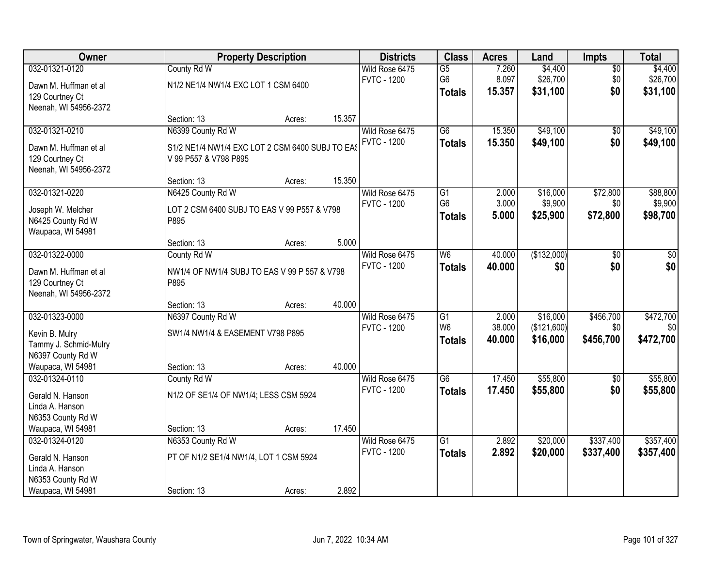| Owner                 |                                                 | <b>Property Description</b> |        | <b>Districts</b>   | <b>Class</b>    | <b>Acres</b> | Land        | Impts           | <b>Total</b> |
|-----------------------|-------------------------------------------------|-----------------------------|--------|--------------------|-----------------|--------------|-------------|-----------------|--------------|
| 032-01321-0120        | County Rd W                                     |                             |        | Wild Rose 6475     | $\overline{G5}$ | 7.260        | \$4,400     | $\overline{50}$ | \$4,400      |
| Dawn M. Huffman et al | N1/2 NE1/4 NW1/4 EXC LOT 1 CSM 6400             |                             |        | <b>FVTC - 1200</b> | G <sub>6</sub>  | 8.097        | \$26,700    | \$0             | \$26,700     |
| 129 Courtney Ct       |                                                 |                             |        |                    | <b>Totals</b>   | 15.357       | \$31,100    | \$0             | \$31,100     |
| Neenah, WI 54956-2372 |                                                 |                             |        |                    |                 |              |             |                 |              |
|                       | Section: 13                                     | Acres:                      | 15.357 |                    |                 |              |             |                 |              |
| 032-01321-0210        | N6399 County Rd W                               |                             |        | Wild Rose 6475     | $\overline{G6}$ | 15.350       | \$49,100    | $\overline{50}$ | \$49,100     |
| Dawn M. Huffman et al | S1/2 NE1/4 NW1/4 EXC LOT 2 CSM 6400 SUBJ TO EAS |                             |        | <b>FVTC - 1200</b> | <b>Totals</b>   | 15.350       | \$49,100    | \$0             | \$49,100     |
| 129 Courtney Ct       | V 99 P557 & V798 P895                           |                             |        |                    |                 |              |             |                 |              |
| Neenah, WI 54956-2372 |                                                 |                             |        |                    |                 |              |             |                 |              |
|                       | Section: 13                                     | Acres:                      | 15.350 |                    |                 |              |             |                 |              |
| 032-01321-0220        | N6425 County Rd W                               |                             |        | Wild Rose 6475     | G <sub>1</sub>  | 2.000        | \$16,000    | \$72,800        | \$88,800     |
| Joseph W. Melcher     | LOT 2 CSM 6400 SUBJ TO EAS V 99 P557 & V798     |                             |        | <b>FVTC - 1200</b> | G <sub>6</sub>  | 3.000        | \$9,900     | \$0             | \$9,900      |
| N6425 County Rd W     | P895                                            |                             |        |                    | <b>Totals</b>   | 5.000        | \$25,900    | \$72,800        | \$98,700     |
| Waupaca, WI 54981     |                                                 |                             |        |                    |                 |              |             |                 |              |
|                       | Section: 13                                     | Acres:                      | 5.000  |                    |                 |              |             |                 |              |
| 032-01322-0000        | County Rd W                                     |                             |        | Wild Rose 6475     | W6              | 40.000       | (\$132,000) | \$0             | \$0          |
| Dawn M. Huffman et al | NW1/4 OF NW1/4 SUBJ TO EAS V 99 P 557 & V798    |                             |        | <b>FVTC - 1200</b> | <b>Totals</b>   | 40.000       | \$0         | \$0             | \$0          |
| 129 Courtney Ct       | P895                                            |                             |        |                    |                 |              |             |                 |              |
| Neenah, WI 54956-2372 |                                                 |                             |        |                    |                 |              |             |                 |              |
|                       | Section: 13                                     | Acres:                      | 40.000 |                    |                 |              |             |                 |              |
| 032-01323-0000        | N6397 County Rd W                               |                             |        | Wild Rose 6475     | $\overline{G1}$ | 2.000        | \$16,000    | \$456,700       | \$472,700    |
| Kevin B. Mulry        | SW1/4 NW1/4 & EASEMENT V798 P895                |                             |        | <b>FVTC - 1200</b> | W <sub>6</sub>  | 38.000       | (\$121,600) | \$0             | \$0          |
| Tammy J. Schmid-Mulry |                                                 |                             |        |                    | <b>Totals</b>   | 40.000       | \$16,000    | \$456,700       | \$472,700    |
| N6397 County Rd W     |                                                 |                             |        |                    |                 |              |             |                 |              |
| Waupaca, WI 54981     | Section: 13                                     | Acres:                      | 40.000 |                    |                 |              |             |                 |              |
| 032-01324-0110        | County Rd W                                     |                             |        | Wild Rose 6475     | $\overline{G6}$ | 17.450       | \$55,800    | $\overline{50}$ | \$55,800     |
| Gerald N. Hanson      | N1/2 OF SE1/4 OF NW1/4; LESS CSM 5924           |                             |        | <b>FVTC - 1200</b> | <b>Totals</b>   | 17.450       | \$55,800    | \$0             | \$55,800     |
| Linda A. Hanson       |                                                 |                             |        |                    |                 |              |             |                 |              |
| N6353 County Rd W     |                                                 |                             |        |                    |                 |              |             |                 |              |
| Waupaca, WI 54981     | Section: 13                                     | Acres:                      | 17.450 |                    |                 |              |             |                 |              |
| 032-01324-0120        | N6353 County Rd W                               |                             |        | Wild Rose 6475     | $\overline{G1}$ | 2.892        | \$20,000    | \$337,400       | \$357,400    |
| Gerald N. Hanson      | PT OF N1/2 SE1/4 NW1/4, LOT 1 CSM 5924          |                             |        | <b>FVTC - 1200</b> | <b>Totals</b>   | 2.892        | \$20,000    | \$337,400       | \$357,400    |
| Linda A. Hanson       |                                                 |                             |        |                    |                 |              |             |                 |              |
| N6353 County Rd W     |                                                 |                             |        |                    |                 |              |             |                 |              |
| Waupaca, WI 54981     | Section: 13                                     | Acres:                      | 2.892  |                    |                 |              |             |                 |              |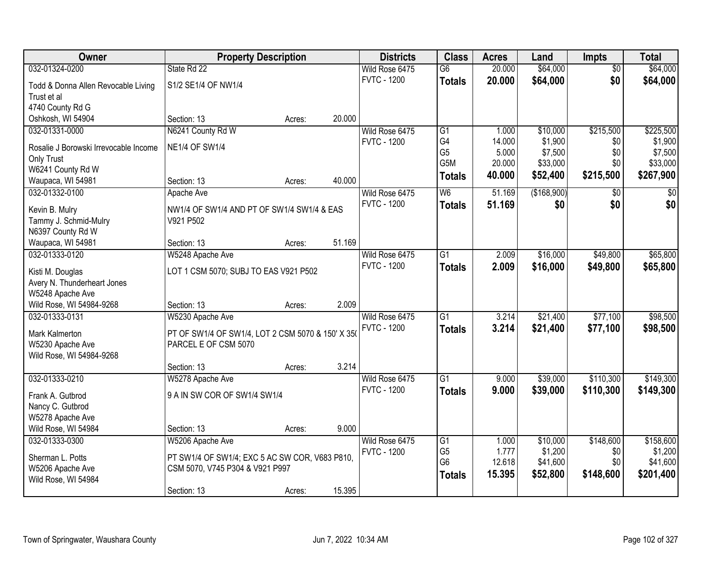| Owner                                  |                                                   | <b>Property Description</b> |        | <b>Districts</b>   | <b>Class</b>    | <b>Acres</b> | Land        | <b>Impts</b>         | <b>Total</b> |
|----------------------------------------|---------------------------------------------------|-----------------------------|--------|--------------------|-----------------|--------------|-------------|----------------------|--------------|
| 032-01324-0200                         | State Rd 22                                       |                             |        | Wild Rose 6475     | $\overline{G6}$ | 20.000       | \$64,000    | $\overline{50}$      | \$64,000     |
| Todd & Donna Allen Revocable Living    | S1/2 SE1/4 OF NW1/4                               |                             |        | <b>FVTC - 1200</b> | <b>Totals</b>   | 20.000       | \$64,000    | \$0                  | \$64,000     |
| Trust et al                            |                                                   |                             |        |                    |                 |              |             |                      |              |
| 4740 County Rd G                       |                                                   |                             |        |                    |                 |              |             |                      |              |
| Oshkosh, WI 54904                      | Section: 13                                       | Acres:                      | 20.000 |                    |                 |              |             |                      |              |
| 032-01331-0000                         | N6241 County Rd W                                 |                             |        | Wild Rose 6475     | $\overline{G1}$ | 1.000        | \$10,000    | \$215,500            | \$225,500    |
|                                        | <b>NE1/4 OF SW1/4</b>                             |                             |        | <b>FVTC - 1200</b> | G4              | 14.000       | \$1,900     | \$0                  | \$1,900      |
| Rosalie J Borowski Irrevocable Income  |                                                   |                             |        |                    | G <sub>5</sub>  | 5.000        | \$7,500     | \$0                  | \$7,500      |
| Only Trust                             |                                                   |                             |        |                    | G5M             | 20.000       | \$33,000    | \$0                  | \$33,000     |
| W6241 County Rd W<br>Waupaca, WI 54981 | Section: 13                                       | Acres:                      | 40.000 |                    | <b>Totals</b>   | 40.000       | \$52,400    | \$215,500            | \$267,900    |
| 032-01332-0100                         |                                                   |                             |        | Wild Rose 6475     | W <sub>6</sub>  | 51.169       | (\$168,900) |                      | $\sqrt{50}$  |
|                                        | Apache Ave                                        |                             |        | <b>FVTC - 1200</b> |                 |              |             | $\sqrt[6]{3}$<br>\$0 |              |
| Kevin B. Mulry                         | NW1/4 OF SW1/4 AND PT OF SW1/4 SW1/4 & EAS        |                             |        |                    | <b>Totals</b>   | 51.169       | \$0         |                      | \$0          |
| Tammy J. Schmid-Mulry                  | V921 P502                                         |                             |        |                    |                 |              |             |                      |              |
| N6397 County Rd W                      |                                                   |                             |        |                    |                 |              |             |                      |              |
| Waupaca, WI 54981                      | Section: 13                                       | Acres:                      | 51.169 |                    |                 |              |             |                      |              |
| 032-01333-0120                         | W5248 Apache Ave                                  |                             |        | Wild Rose 6475     | $\overline{G1}$ | 2.009        | \$16,000    | \$49,800             | \$65,800     |
| Kisti M. Douglas                       | LOT 1 CSM 5070; SUBJ TO EAS V921 P502             |                             |        | <b>FVTC - 1200</b> | <b>Totals</b>   | 2.009        | \$16,000    | \$49,800             | \$65,800     |
| Avery N. Thunderheart Jones            |                                                   |                             |        |                    |                 |              |             |                      |              |
| W5248 Apache Ave                       |                                                   |                             |        |                    |                 |              |             |                      |              |
| Wild Rose, WI 54984-9268               | Section: 13                                       | Acres:                      | 2.009  |                    |                 |              |             |                      |              |
| 032-01333-0131                         | W5230 Apache Ave                                  |                             |        | Wild Rose 6475     | $\overline{G1}$ | 3.214        | \$21,400    | \$77,100             | \$98,500     |
|                                        |                                                   |                             |        | <b>FVTC - 1200</b> | <b>Totals</b>   | 3.214        | \$21,400    | \$77,100             | \$98,500     |
| <b>Mark Kalmerton</b>                  | PT OF SW1/4 OF SW1/4, LOT 2 CSM 5070 & 150' X 350 |                             |        |                    |                 |              |             |                      |              |
| W5230 Apache Ave                       | PARCEL E OF CSM 5070                              |                             |        |                    |                 |              |             |                      |              |
| Wild Rose, WI 54984-9268               |                                                   |                             |        |                    |                 |              |             |                      |              |
|                                        | Section: 13                                       | Acres:                      | 3.214  |                    |                 |              |             |                      |              |
| 032-01333-0210                         | W5278 Apache Ave                                  |                             |        | Wild Rose 6475     | $\overline{G1}$ | 9.000        | \$39,000    | \$110,300            | \$149,300    |
| Frank A. Gutbrod                       | 9 A IN SW COR OF SW1/4 SW1/4                      |                             |        | <b>FVTC - 1200</b> | <b>Totals</b>   | 9.000        | \$39,000    | \$110,300            | \$149,300    |
| Nancy C. Gutbrod                       |                                                   |                             |        |                    |                 |              |             |                      |              |
| W5278 Apache Ave                       |                                                   |                             |        |                    |                 |              |             |                      |              |
| Wild Rose, WI 54984                    | Section: 13                                       | Acres:                      | 9.000  |                    |                 |              |             |                      |              |
| 032-01333-0300                         | W5206 Apache Ave                                  |                             |        | Wild Rose 6475     | G1              | 1.000        | \$10,000    | \$148,600            | \$158,600    |
| Sherman L. Potts                       | PT SW1/4 OF SW1/4; EXC 5 AC SW COR, V683 P810,    |                             |        | <b>FVTC - 1200</b> | G <sub>5</sub>  | 1.777        | \$1,200     | \$0                  | \$1,200      |
| W5206 Apache Ave                       | CSM 5070, V745 P304 & V921 P997                   |                             |        |                    | G <sub>6</sub>  | 12.618       | \$41,600    | \$0                  | \$41,600     |
| Wild Rose, WI 54984                    |                                                   |                             |        |                    | <b>Totals</b>   | 15.395       | \$52,800    | \$148,600            | \$201,400    |
|                                        | Section: 13                                       | Acres:                      | 15.395 |                    |                 |              |             |                      |              |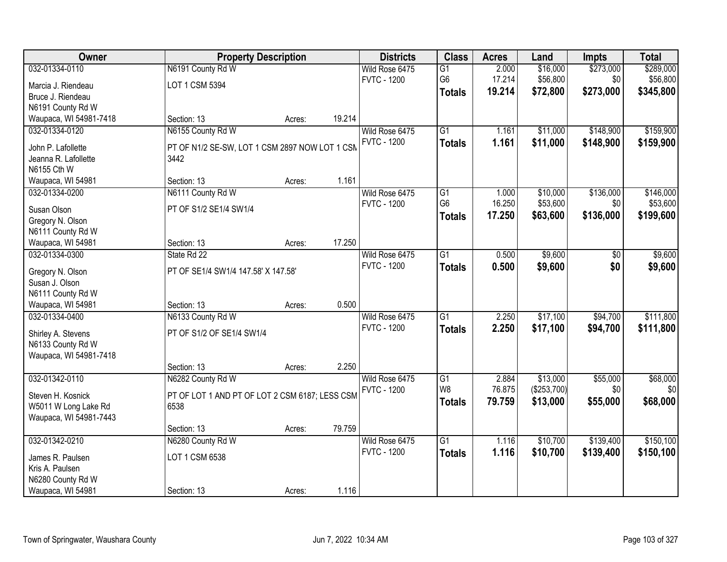| <b>Owner</b>                               |                                                        | <b>Property Description</b> |        | <b>Districts</b>   | <b>Class</b>    | <b>Acres</b> | Land        | <b>Impts</b> | <b>Total</b> |
|--------------------------------------------|--------------------------------------------------------|-----------------------------|--------|--------------------|-----------------|--------------|-------------|--------------|--------------|
| 032-01334-0110                             | N6191 County Rd W                                      |                             |        | Wild Rose 6475     | $\overline{G1}$ | 2.000        | \$16,000    | \$273,000    | \$289,000    |
| Marcia J. Riendeau                         | LOT 1 CSM 5394                                         |                             |        | <b>FVTC - 1200</b> | G <sub>6</sub>  | 17.214       | \$56,800    | \$0          | \$56,800     |
| Bruce J. Riendeau                          |                                                        |                             |        |                    | <b>Totals</b>   | 19.214       | \$72,800    | \$273,000    | \$345,800    |
| N6191 County Rd W                          |                                                        |                             |        |                    |                 |              |             |              |              |
| Waupaca, WI 54981-7418                     | Section: 13                                            | Acres:                      | 19.214 |                    |                 |              |             |              |              |
| 032-01334-0120                             | N6155 County Rd W                                      |                             |        | Wild Rose 6475     | $\overline{G1}$ | 1.161        | \$11,000    | \$148,900    | \$159,900    |
|                                            |                                                        |                             |        | <b>FVTC - 1200</b> | <b>Totals</b>   | 1.161        | \$11,000    | \$148,900    | \$159,900    |
| John P. Lafollette<br>Jeanna R. Lafollette | PT OF N1/2 SE-SW, LOT 1 CSM 2897 NOW LOT 1 CSM<br>3442 |                             |        |                    |                 |              |             |              |              |
| N6155 Cth W                                |                                                        |                             |        |                    |                 |              |             |              |              |
| Waupaca, WI 54981                          | Section: 13                                            | Acres:                      | 1.161  |                    |                 |              |             |              |              |
| 032-01334-0200                             | N6111 County Rd W                                      |                             |        | Wild Rose 6475     | G1              | 1.000        | \$10,000    | \$136,000    | \$146,000    |
|                                            |                                                        |                             |        | <b>FVTC - 1200</b> | G <sub>6</sub>  | 16.250       | \$53,600    | \$0          | \$53,600     |
| Susan Olson                                | PT OF S1/2 SE1/4 SW1/4                                 |                             |        |                    | <b>Totals</b>   | 17.250       | \$63,600    | \$136,000    | \$199,600    |
| Gregory N. Olson                           |                                                        |                             |        |                    |                 |              |             |              |              |
| N6111 County Rd W                          |                                                        |                             |        |                    |                 |              |             |              |              |
| Waupaca, WI 54981                          | Section: 13                                            | Acres:                      | 17.250 |                    |                 |              |             |              |              |
| 032-01334-0300                             | State Rd 22                                            |                             |        | Wild Rose 6475     | $\overline{G1}$ | 0.500        | \$9,600     | \$0          | \$9,600      |
| Gregory N. Olson                           | PT OF SE1/4 SW1/4 147.58' X 147.58'                    |                             |        | <b>FVTC - 1200</b> | <b>Totals</b>   | 0.500        | \$9,600     | \$0          | \$9,600      |
| Susan J. Olson                             |                                                        |                             |        |                    |                 |              |             |              |              |
| N6111 County Rd W                          |                                                        |                             |        |                    |                 |              |             |              |              |
| Waupaca, WI 54981                          | Section: 13                                            | Acres:                      | 0.500  |                    |                 |              |             |              |              |
| 032-01334-0400                             | N6133 County Rd W                                      |                             |        | Wild Rose 6475     | $\overline{G1}$ | 2.250        | \$17,100    | \$94,700     | \$111,800    |
| Shirley A. Stevens                         | PT OF S1/2 OF SE1/4 SW1/4                              |                             |        | <b>FVTC - 1200</b> | <b>Totals</b>   | 2.250        | \$17,100    | \$94,700     | \$111,800    |
| N6133 County Rd W                          |                                                        |                             |        |                    |                 |              |             |              |              |
| Waupaca, WI 54981-7418                     |                                                        |                             |        |                    |                 |              |             |              |              |
|                                            | Section: 13                                            | Acres:                      | 2.250  |                    |                 |              |             |              |              |
| 032-01342-0110                             | N6282 County Rd W                                      |                             |        | Wild Rose 6475     | G1              | 2.884        | \$13,000    | \$55,000     | \$68,000     |
|                                            |                                                        |                             |        | <b>FVTC - 1200</b> | W <sub>8</sub>  | 76.875       | (\$253,700) | \$0          | \$0          |
| Steven H. Kosnick                          | PT OF LOT 1 AND PT OF LOT 2 CSM 6187; LESS CSM         |                             |        |                    | <b>Totals</b>   | 79.759       | \$13,000    | \$55,000     | \$68,000     |
| W5011 W Long Lake Rd                       | 6538                                                   |                             |        |                    |                 |              |             |              |              |
| Waupaca, WI 54981-7443                     | Section: 13                                            | Acres:                      | 79.759 |                    |                 |              |             |              |              |
| 032-01342-0210                             | N6280 County Rd W                                      |                             |        | Wild Rose 6475     | $\overline{G1}$ | 1.116        | \$10,700    | \$139,400    | \$150,100    |
|                                            |                                                        |                             |        | <b>FVTC - 1200</b> |                 | 1.116        | \$10,700    | \$139,400    | \$150,100    |
| James R. Paulsen                           | LOT 1 CSM 6538                                         |                             |        |                    | <b>Totals</b>   |              |             |              |              |
| Kris A. Paulsen                            |                                                        |                             |        |                    |                 |              |             |              |              |
| N6280 County Rd W                          |                                                        |                             |        |                    |                 |              |             |              |              |
| Waupaca, WI 54981                          | Section: 13                                            | Acres:                      | 1.116  |                    |                 |              |             |              |              |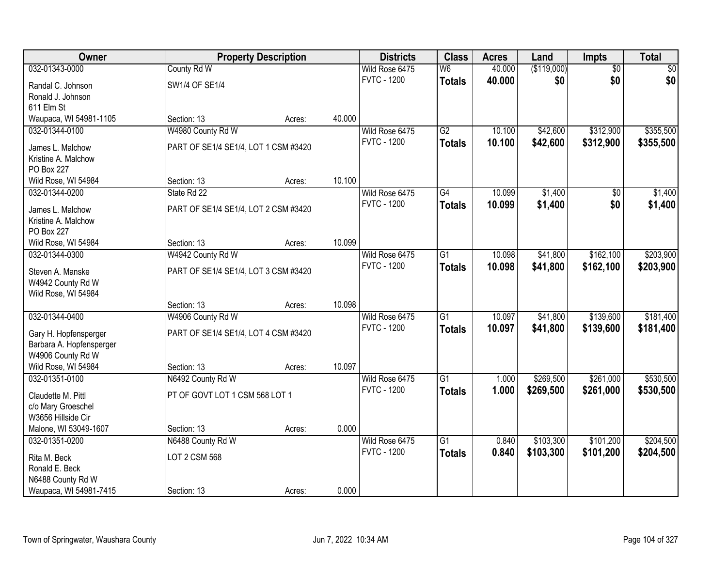| <b>Owner</b>             |                                      | <b>Property Description</b> |        | <b>Districts</b>   | <b>Class</b>    | <b>Acres</b> | Land        | <b>Impts</b>    | <b>Total</b> |
|--------------------------|--------------------------------------|-----------------------------|--------|--------------------|-----------------|--------------|-------------|-----------------|--------------|
| 032-01343-0000           | County Rd W                          |                             |        | Wild Rose 6475     | W <sub>6</sub>  | 40.000       | (\$119,000) | $\overline{50}$ | $\sqrt{50}$  |
| Randal C. Johnson        | SW1/4 OF SE1/4                       |                             |        | <b>FVTC - 1200</b> | <b>Totals</b>   | 40.000       | \$0         | \$0             | \$0          |
| Ronald J. Johnson        |                                      |                             |        |                    |                 |              |             |                 |              |
| 611 Elm St               |                                      |                             |        |                    |                 |              |             |                 |              |
| Waupaca, WI 54981-1105   | Section: 13                          | Acres:                      | 40.000 |                    |                 |              |             |                 |              |
| 032-01344-0100           | W4980 County Rd W                    |                             |        | Wild Rose 6475     | G2              | 10.100       | \$42,600    | \$312,900       | \$355,500    |
| James L. Malchow         | PART OF SE1/4 SE1/4, LOT 1 CSM #3420 |                             |        | <b>FVTC - 1200</b> | <b>Totals</b>   | 10.100       | \$42,600    | \$312,900       | \$355,500    |
| Kristine A. Malchow      |                                      |                             |        |                    |                 |              |             |                 |              |
| PO Box 227               |                                      |                             |        |                    |                 |              |             |                 |              |
| Wild Rose, WI 54984      | Section: 13                          | Acres:                      | 10.100 |                    |                 |              |             |                 |              |
| 032-01344-0200           | State Rd 22                          |                             |        | Wild Rose 6475     | G4              | 10.099       | \$1,400     | \$0             | \$1,400      |
| James L. Malchow         | PART OF SE1/4 SE1/4, LOT 2 CSM #3420 |                             |        | <b>FVTC - 1200</b> | <b>Totals</b>   | 10.099       | \$1,400     | \$0             | \$1,400      |
| Kristine A. Malchow      |                                      |                             |        |                    |                 |              |             |                 |              |
| PO Box 227               |                                      |                             |        |                    |                 |              |             |                 |              |
| Wild Rose, WI 54984      | Section: 13                          | Acres:                      | 10.099 |                    |                 |              |             |                 |              |
| 032-01344-0300           | W4942 County Rd W                    |                             |        | Wild Rose 6475     | $\overline{G1}$ | 10.098       | \$41,800    | \$162,100       | \$203,900    |
| Steven A. Manske         | PART OF SE1/4 SE1/4, LOT 3 CSM #3420 |                             |        | <b>FVTC - 1200</b> | <b>Totals</b>   | 10.098       | \$41,800    | \$162,100       | \$203,900    |
| W4942 County Rd W        |                                      |                             |        |                    |                 |              |             |                 |              |
| Wild Rose, WI 54984      |                                      |                             |        |                    |                 |              |             |                 |              |
|                          | Section: 13                          | Acres:                      | 10.098 |                    |                 |              |             |                 |              |
| 032-01344-0400           | W4906 County Rd W                    |                             |        | Wild Rose 6475     | $\overline{G1}$ | 10.097       | \$41,800    | \$139,600       | \$181,400    |
| Gary H. Hopfensperger    | PART OF SE1/4 SE1/4, LOT 4 CSM #3420 |                             |        | <b>FVTC - 1200</b> | <b>Totals</b>   | 10.097       | \$41,800    | \$139,600       | \$181,400    |
| Barbara A. Hopfensperger |                                      |                             |        |                    |                 |              |             |                 |              |
| W4906 County Rd W        |                                      |                             |        |                    |                 |              |             |                 |              |
| Wild Rose, WI 54984      | Section: 13                          | Acres:                      | 10.097 |                    |                 |              |             |                 |              |
| 032-01351-0100           | N6492 County Rd W                    |                             |        | Wild Rose 6475     | $\overline{G1}$ | 1.000        | \$269,500   | \$261,000       | \$530,500    |
| Claudette M. Pittl       | PT OF GOVT LOT 1 CSM 568 LOT 1       |                             |        | <b>FVTC - 1200</b> | <b>Totals</b>   | 1.000        | \$269,500   | \$261,000       | \$530,500    |
| c/o Mary Groeschel       |                                      |                             |        |                    |                 |              |             |                 |              |
| W3656 Hillside Cir       |                                      |                             |        |                    |                 |              |             |                 |              |
| Malone, WI 53049-1607    | Section: 13                          | Acres:                      | 0.000  |                    |                 |              |             |                 |              |
| 032-01351-0200           | N6488 County Rd W                    |                             |        | Wild Rose 6475     | $\overline{G1}$ | 0.840        | \$103,300   | \$101,200       | \$204,500    |
| Rita M. Beck             | <b>LOT 2 CSM 568</b>                 |                             |        | <b>FVTC - 1200</b> | <b>Totals</b>   | 0.840        | \$103,300   | \$101,200       | \$204,500    |
| Ronald E. Beck           |                                      |                             |        |                    |                 |              |             |                 |              |
| N6488 County Rd W        |                                      |                             |        |                    |                 |              |             |                 |              |
| Waupaca, WI 54981-7415   | Section: 13                          | Acres:                      | 0.000  |                    |                 |              |             |                 |              |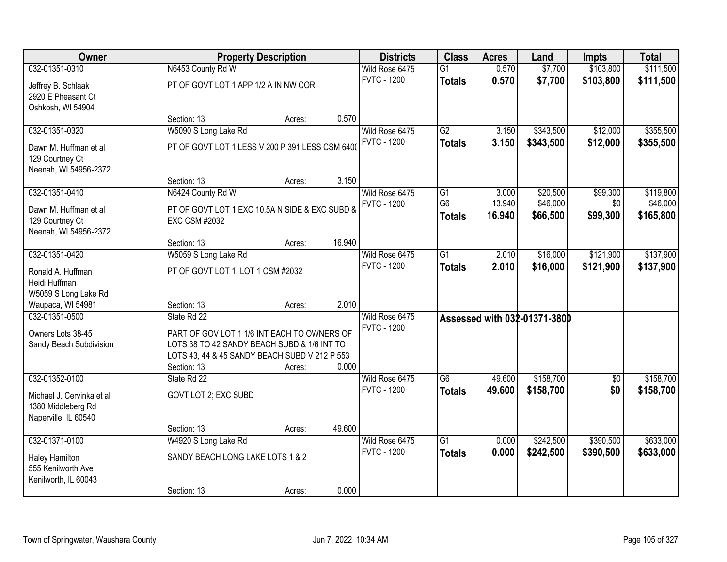| Owner                                                                               |                                                                                                                                                                           | <b>Property Description</b> |        | <b>Districts</b>                     | <b>Class</b>                          | <b>Acres</b>              | Land                             | <b>Impts</b>                | <b>Total</b>                       |
|-------------------------------------------------------------------------------------|---------------------------------------------------------------------------------------------------------------------------------------------------------------------------|-----------------------------|--------|--------------------------------------|---------------------------------------|---------------------------|----------------------------------|-----------------------------|------------------------------------|
| 032-01351-0310                                                                      | N6453 County Rd W                                                                                                                                                         |                             |        | Wild Rose 6475                       | $\overline{G1}$                       | 0.570                     | \$7,700                          | \$103,800                   | \$111,500                          |
| Jeffrey B. Schlaak<br>2920 E Pheasant Ct<br>Oshkosh, WI 54904                       | PT OF GOVT LOT 1 APP 1/2 A IN NW COR                                                                                                                                      |                             |        | <b>FVTC - 1200</b>                   | <b>Totals</b>                         | 0.570                     | \$7,700                          | \$103,800                   | \$111,500                          |
|                                                                                     | Section: 13                                                                                                                                                               | Acres:                      | 0.570  |                                      |                                       |                           |                                  |                             |                                    |
| 032-01351-0320                                                                      | W5090 S Long Lake Rd                                                                                                                                                      |                             |        | Wild Rose 6475                       | $\overline{G2}$                       | 3.150                     | \$343,500                        | \$12,000                    | \$355,500                          |
| Dawn M. Huffman et al<br>129 Courtney Ct<br>Neenah, WI 54956-2372                   | PT OF GOVT LOT 1 LESS V 200 P 391 LESS CSM 6400                                                                                                                           |                             |        | <b>FVTC - 1200</b>                   | <b>Totals</b>                         | 3.150                     | \$343,500                        | \$12,000                    | \$355,500                          |
|                                                                                     | Section: 13                                                                                                                                                               | Acres:                      | 3.150  |                                      |                                       |                           |                                  |                             |                                    |
| 032-01351-0410<br>Dawn M. Huffman et al<br>129 Courtney Ct<br>Neenah, WI 54956-2372 | N6424 County Rd W<br>PT OF GOVT LOT 1 EXC 10.5A N SIDE & EXC SUBD &<br><b>EXC CSM #2032</b>                                                                               |                             |        | Wild Rose 6475<br><b>FVTC - 1200</b> | G1<br>G <sub>6</sub><br><b>Totals</b> | 3.000<br>13.940<br>16.940 | \$20,500<br>\$46,000<br>\$66,500 | \$99,300<br>\$0<br>\$99,300 | \$119,800<br>\$46,000<br>\$165,800 |
|                                                                                     | Section: 13                                                                                                                                                               | Acres:                      | 16.940 |                                      |                                       |                           |                                  |                             |                                    |
| 032-01351-0420                                                                      | W5059 S Long Lake Rd                                                                                                                                                      |                             |        | Wild Rose 6475                       | $\overline{G1}$                       | 2.010                     | \$16,000                         | \$121,900                   | \$137,900                          |
| Ronald A. Huffman<br>Heidi Huffman<br>W5059 S Long Lake Rd                          | PT OF GOVT LOT 1, LOT 1 CSM #2032                                                                                                                                         |                             |        | <b>FVTC - 1200</b>                   | <b>Totals</b>                         | 2.010                     | \$16,000                         | \$121,900                   | \$137,900                          |
| Waupaca, WI 54981                                                                   | Section: 13                                                                                                                                                               | Acres:                      | 2.010  |                                      |                                       |                           |                                  |                             |                                    |
| 032-01351-0500<br>Owners Lots 38-45<br>Sandy Beach Subdivision                      | State Rd 22<br>PART OF GOV LOT 1 1/6 INT EACH TO OWNERS OF<br>LOTS 38 TO 42 SANDY BEACH SUBD & 1/6 INT TO<br>LOTS 43, 44 & 45 SANDY BEACH SUBD V 212 P 553<br>Section: 13 | Acres:                      | 0.000  | Wild Rose 6475<br><b>FVTC - 1200</b> |                                       |                           | Assessed with 032-01371-3800     |                             |                                    |
| 032-01352-0100                                                                      | State Rd 22                                                                                                                                                               |                             |        | Wild Rose 6475                       | $\overline{G6}$                       | 49.600                    | \$158,700                        | \$0                         | \$158,700                          |
| Michael J. Cervinka et al<br>1380 Middleberg Rd<br>Naperville, IL 60540             | GOVT LOT 2; EXC SUBD                                                                                                                                                      |                             |        | <b>FVTC - 1200</b>                   | <b>Totals</b>                         | 49.600                    | \$158,700                        | \$0                         | \$158,700                          |
|                                                                                     | Section: 13                                                                                                                                                               | Acres:                      | 49.600 |                                      |                                       |                           |                                  |                             |                                    |
| 032-01371-0100                                                                      | W4920 S Long Lake Rd                                                                                                                                                      |                             |        | Wild Rose 6475                       | $\overline{G1}$                       | 0.000                     | \$242,500                        | \$390,500                   | \$633,000                          |
| <b>Haley Hamilton</b><br>555 Kenilworth Ave<br>Kenilworth, IL 60043                 | SANDY BEACH LONG LAKE LOTS 1 & 2                                                                                                                                          |                             |        | <b>FVTC - 1200</b>                   | <b>Totals</b>                         | 0.000                     | \$242,500                        | \$390,500                   | \$633,000                          |
|                                                                                     | Section: 13                                                                                                                                                               | Acres:                      | 0.000  |                                      |                                       |                           |                                  |                             |                                    |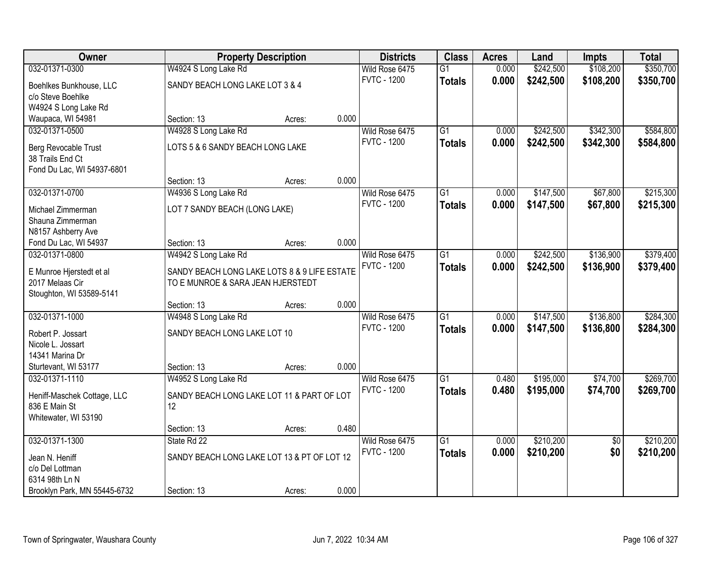| Owner                        |                                              | <b>Property Description</b> |       | <b>Districts</b>   | <b>Class</b>    | <b>Acres</b> | Land      | <b>Impts</b>    | <b>Total</b> |
|------------------------------|----------------------------------------------|-----------------------------|-------|--------------------|-----------------|--------------|-----------|-----------------|--------------|
| 032-01371-0300               | W4924 S Long Lake Rd                         |                             |       | Wild Rose 6475     | $\overline{G1}$ | 0.000        | \$242,500 | \$108,200       | \$350,700    |
| Boehlkes Bunkhouse, LLC      | SANDY BEACH LONG LAKE LOT 3 & 4              |                             |       | <b>FVTC - 1200</b> | <b>Totals</b>   | 0.000        | \$242,500 | \$108,200       | \$350,700    |
| c/o Steve Boehlke            |                                              |                             |       |                    |                 |              |           |                 |              |
| W4924 S Long Lake Rd         |                                              |                             |       |                    |                 |              |           |                 |              |
| Waupaca, WI 54981            | Section: 13                                  | Acres:                      | 0.000 |                    |                 |              |           |                 |              |
| 032-01371-0500               | W4928 S Long Lake Rd                         |                             |       | Wild Rose 6475     | $\overline{G1}$ | 0.000        | \$242,500 | \$342,300       | \$584,800    |
| Berg Revocable Trust         | LOTS 5 & 6 SANDY BEACH LONG LAKE             |                             |       | <b>FVTC - 1200</b> | <b>Totals</b>   | 0.000        | \$242,500 | \$342,300       | \$584,800    |
| 38 Trails End Ct             |                                              |                             |       |                    |                 |              |           |                 |              |
| Fond Du Lac, WI 54937-6801   |                                              |                             |       |                    |                 |              |           |                 |              |
|                              | Section: 13                                  | Acres:                      | 0.000 |                    |                 |              |           |                 |              |
| 032-01371-0700               | W4936 S Long Lake Rd                         |                             |       | Wild Rose 6475     | $\overline{G1}$ | 0.000        | \$147,500 | \$67,800        | \$215,300    |
| Michael Zimmerman            | LOT 7 SANDY BEACH (LONG LAKE)                |                             |       | <b>FVTC - 1200</b> | <b>Totals</b>   | 0.000        | \$147,500 | \$67,800        | \$215,300    |
| Shauna Zimmerman             |                                              |                             |       |                    |                 |              |           |                 |              |
| N8157 Ashberry Ave           |                                              |                             |       |                    |                 |              |           |                 |              |
| Fond Du Lac, WI 54937        | Section: 13                                  | Acres:                      | 0.000 |                    |                 |              |           |                 |              |
| 032-01371-0800               | W4942 S Long Lake Rd                         |                             |       | Wild Rose 6475     | $\overline{G1}$ | 0.000        | \$242,500 | \$136,900       | \$379,400    |
| E Munroe Hjerstedt et al     | SANDY BEACH LONG LAKE LOTS 8 & 9 LIFE ESTATE |                             |       | <b>FVTC - 1200</b> | <b>Totals</b>   | 0.000        | \$242,500 | \$136,900       | \$379,400    |
| 2017 Melaas Cir              | TO E MUNROE & SARA JEAN HJERSTEDT            |                             |       |                    |                 |              |           |                 |              |
| Stoughton, WI 53589-5141     |                                              |                             |       |                    |                 |              |           |                 |              |
|                              | Section: 13                                  | Acres:                      | 0.000 |                    |                 |              |           |                 |              |
| 032-01371-1000               | W4948 S Long Lake Rd                         |                             |       | Wild Rose 6475     | $\overline{G1}$ | 0.000        | \$147,500 | \$136,800       | \$284,300    |
| Robert P. Jossart            | SANDY BEACH LONG LAKE LOT 10                 |                             |       | <b>FVTC - 1200</b> | <b>Totals</b>   | 0.000        | \$147,500 | \$136,800       | \$284,300    |
| Nicole L. Jossart            |                                              |                             |       |                    |                 |              |           |                 |              |
| 14341 Marina Dr              |                                              |                             |       |                    |                 |              |           |                 |              |
| Sturtevant, WI 53177         | Section: 13                                  | Acres:                      | 0.000 |                    |                 |              |           |                 |              |
| 032-01371-1110               | W4952 S Long Lake Rd                         |                             |       | Wild Rose 6475     | $\overline{G1}$ | 0.480        | \$195,000 | \$74,700        | \$269,700    |
| Heniff-Maschek Cottage, LLC  | SANDY BEACH LONG LAKE LOT 11 & PART OF LOT   |                             |       | <b>FVTC - 1200</b> | <b>Totals</b>   | 0.480        | \$195,000 | \$74,700        | \$269,700    |
| 836 E Main St                | 12                                           |                             |       |                    |                 |              |           |                 |              |
| Whitewater, WI 53190         |                                              |                             |       |                    |                 |              |           |                 |              |
|                              | Section: 13                                  | Acres:                      | 0.480 |                    |                 |              |           |                 |              |
| 032-01371-1300               | State Rd 22                                  |                             |       | Wild Rose 6475     | $\overline{G1}$ | 0.000        | \$210,200 | $\overline{50}$ | \$210,200    |
| Jean N. Heniff               | SANDY BEACH LONG LAKE LOT 13 & PT OF LOT 12  |                             |       | <b>FVTC - 1200</b> | <b>Totals</b>   | 0.000        | \$210,200 | \$0             | \$210,200    |
| c/o Del Lottman              |                                              |                             |       |                    |                 |              |           |                 |              |
| 6314 98th Ln N               |                                              |                             |       |                    |                 |              |           |                 |              |
| Brooklyn Park, MN 55445-6732 | Section: 13                                  | Acres:                      | 0.000 |                    |                 |              |           |                 |              |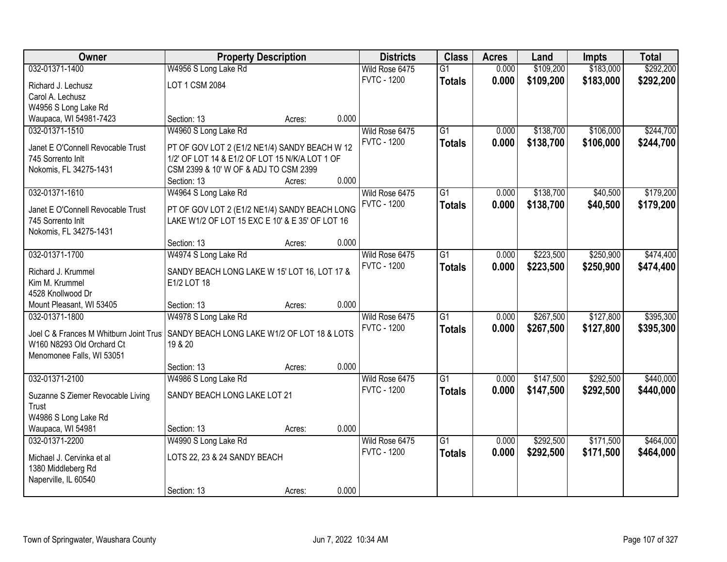| Owner                                       | <b>Property Description</b>                                                                     |        |       | <b>Districts</b>   | <b>Class</b>    | <b>Acres</b> | Land      | <b>Impts</b> | <b>Total</b> |
|---------------------------------------------|-------------------------------------------------------------------------------------------------|--------|-------|--------------------|-----------------|--------------|-----------|--------------|--------------|
| 032-01371-1400                              | W4956 S Long Lake Rd                                                                            |        |       | Wild Rose 6475     | $\overline{G1}$ | 0.000        | \$109,200 | \$183,000    | \$292,200    |
| Richard J. Lechusz                          | LOT 1 CSM 2084                                                                                  |        |       | <b>FVTC - 1200</b> | <b>Totals</b>   | 0.000        | \$109,200 | \$183,000    | \$292,200    |
| Carol A. Lechusz                            |                                                                                                 |        |       |                    |                 |              |           |              |              |
| W4956 S Long Lake Rd                        |                                                                                                 |        |       |                    |                 |              |           |              |              |
| Waupaca, WI 54981-7423                      | Section: 13                                                                                     | Acres: | 0.000 |                    |                 |              |           |              |              |
| 032-01371-1510                              | W4960 S Long Lake Rd                                                                            |        |       | Wild Rose 6475     | $\overline{G1}$ | 0.000        | \$138,700 | \$106,000    | \$244,700    |
| Janet E O'Connell Revocable Trust           |                                                                                                 |        |       | <b>FVTC - 1200</b> | <b>Totals</b>   | 0.000        | \$138,700 | \$106,000    | \$244,700    |
| 745 Sorrento Inlt                           | PT OF GOV LOT 2 (E1/2 NE1/4) SANDY BEACH W 12<br>1/2' OF LOT 14 & E1/2 OF LOT 15 N/K/A LOT 1 OF |        |       |                    |                 |              |           |              |              |
| Nokomis, FL 34275-1431                      | CSM 2399 & 10' W OF & ADJ TO CSM 2399                                                           |        |       |                    |                 |              |           |              |              |
|                                             | Section: 13                                                                                     | Acres: | 0.000 |                    |                 |              |           |              |              |
| 032-01371-1610                              | W4964 S Long Lake Rd                                                                            |        |       | Wild Rose 6475     | G1              | 0.000        | \$138,700 | \$40,500     | \$179,200    |
|                                             |                                                                                                 |        |       | <b>FVTC - 1200</b> | <b>Totals</b>   | 0.000        | \$138,700 | \$40,500     | \$179,200    |
| Janet E O'Connell Revocable Trust           | PT OF GOV LOT 2 (E1/2 NE1/4) SANDY BEACH LONG                                                   |        |       |                    |                 |              |           |              |              |
| 745 Sorrento Inlt<br>Nokomis, FL 34275-1431 | LAKE W1/2 OF LOT 15 EXC E 10' & E 35' OF LOT 16                                                 |        |       |                    |                 |              |           |              |              |
|                                             | Section: 13                                                                                     | Acres: | 0.000 |                    |                 |              |           |              |              |
| 032-01371-1700                              | W4974 S Long Lake Rd                                                                            |        |       | Wild Rose 6475     | G1              | 0.000        | \$223,500 | \$250,900    | \$474,400    |
|                                             |                                                                                                 |        |       | <b>FVTC - 1200</b> | <b>Totals</b>   | 0.000        | \$223,500 | \$250,900    | \$474,400    |
| Richard J. Krummel                          | SANDY BEACH LONG LAKE W 15' LOT 16, LOT 17 &                                                    |        |       |                    |                 |              |           |              |              |
| Kim M. Krummel                              | E1/2 LOT 18                                                                                     |        |       |                    |                 |              |           |              |              |
| 4528 Knollwood Dr                           |                                                                                                 |        |       |                    |                 |              |           |              |              |
| Mount Pleasant, WI 53405<br>032-01371-1800  | Section: 13                                                                                     | Acres: | 0.000 |                    | $\overline{G1}$ | 0.000        | \$267,500 | \$127,800    | \$395,300    |
|                                             | W4978 S Long Lake Rd                                                                            |        |       | Wild Rose 6475     |                 |              |           |              |              |
| Joel C & Frances M Whitburn Joint Trus      | SANDY BEACH LONG LAKE W1/2 OF LOT 18 & LOTS                                                     |        |       | <b>FVTC - 1200</b> | <b>Totals</b>   | 0.000        | \$267,500 | \$127,800    | \$395,300    |
| W160 N8293 Old Orchard Ct                   | 19 & 20                                                                                         |        |       |                    |                 |              |           |              |              |
| Menomonee Falls, WI 53051                   |                                                                                                 |        |       |                    |                 |              |           |              |              |
|                                             | Section: 13                                                                                     | Acres: | 0.000 |                    |                 |              |           |              |              |
| 032-01371-2100                              | W4986 S Long Lake Rd                                                                            |        |       | Wild Rose 6475     | $\overline{G1}$ | 0.000        | \$147,500 | \$292,500    | \$440,000    |
| Suzanne S Ziemer Revocable Living           | SANDY BEACH LONG LAKE LOT 21                                                                    |        |       | <b>FVTC - 1200</b> | <b>Totals</b>   | 0.000        | \$147,500 | \$292,500    | \$440,000    |
| Trust                                       |                                                                                                 |        |       |                    |                 |              |           |              |              |
| W4986 S Long Lake Rd                        |                                                                                                 |        |       |                    |                 |              |           |              |              |
| Waupaca, WI 54981                           | Section: 13                                                                                     | Acres: | 0.000 |                    |                 |              |           |              |              |
| 032-01371-2200                              | W4990 S Long Lake Rd                                                                            |        |       | Wild Rose 6475     | $\overline{G1}$ | 0.000        | \$292,500 | \$171,500    | \$464,000    |
| Michael J. Cervinka et al                   | LOTS 22, 23 & 24 SANDY BEACH                                                                    |        |       | <b>FVTC - 1200</b> | <b>Totals</b>   | 0.000        | \$292,500 | \$171,500    | \$464,000    |
| 1380 Middleberg Rd                          |                                                                                                 |        |       |                    |                 |              |           |              |              |
| Naperville, IL 60540                        |                                                                                                 |        |       |                    |                 |              |           |              |              |
|                                             | Section: 13                                                                                     | Acres: | 0.000 |                    |                 |              |           |              |              |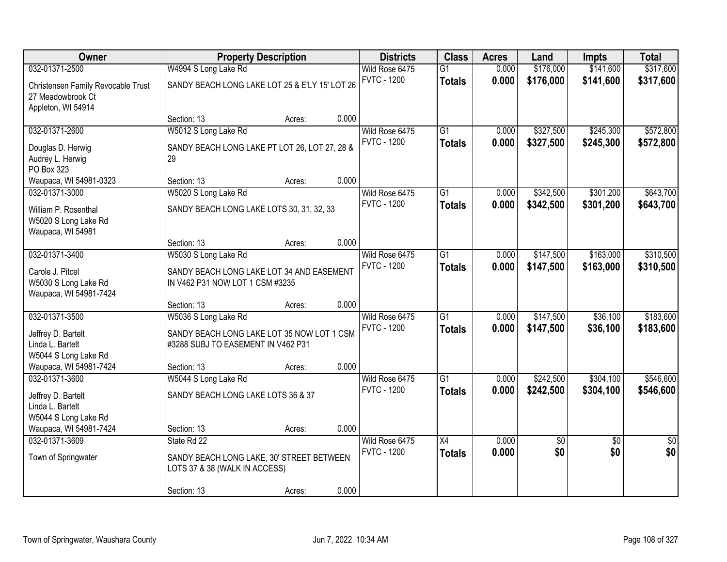| Owner                                                              | <b>Property Description</b>                                                               |        |       | <b>Districts</b>                     | <b>Class</b>                     | <b>Acres</b>   | Land                   | <b>Impts</b>           | <b>Total</b>           |
|--------------------------------------------------------------------|-------------------------------------------------------------------------------------------|--------|-------|--------------------------------------|----------------------------------|----------------|------------------------|------------------------|------------------------|
| 032-01371-2500                                                     | W4994 S Long Lake Rd                                                                      |        |       | Wild Rose 6475                       | $\overline{G1}$                  | 0.000          | \$176,000              | \$141,600              | \$317,600              |
| Christensen Family Revocable Trust<br>27 Meadowbrook Ct            | SANDY BEACH LONG LAKE LOT 25 & E'LY 15' LOT 26                                            |        |       | <b>FVTC - 1200</b>                   | <b>Totals</b>                    | 0.000          | \$176,000              | \$141,600              | \$317,600              |
| Appleton, WI 54914                                                 | Section: 13                                                                               | Acres: | 0.000 |                                      |                                  |                |                        |                        |                        |
| 032-01371-2600<br>Douglas D. Herwig                                | W5012 S Long Lake Rd<br>SANDY BEACH LONG LAKE PT LOT 26, LOT 27, 28 &                     |        |       | Wild Rose 6475<br><b>FVTC - 1200</b> | $\overline{G1}$<br><b>Totals</b> | 0.000<br>0.000 | \$327,500<br>\$327,500 | \$245,300<br>\$245,300 | \$572,800<br>\$572,800 |
| Audrey L. Herwig<br>PO Box 323                                     | 29                                                                                        |        |       |                                      |                                  |                |                        |                        |                        |
| Waupaca, WI 54981-0323                                             | Section: 13                                                                               | Acres: | 0.000 |                                      |                                  |                |                        |                        |                        |
| 032-01371-3000                                                     | W5020 S Long Lake Rd                                                                      |        |       | Wild Rose 6475                       | $\overline{G1}$                  | 0.000          | \$342,500              | \$301,200              | \$643,700              |
| William P. Rosenthal<br>W5020 S Long Lake Rd<br>Waupaca, WI 54981  | SANDY BEACH LONG LAKE LOTS 30, 31, 32, 33                                                 |        |       | <b>FVTC - 1200</b>                   | <b>Totals</b>                    | 0.000          | \$342,500              | \$301,200              | \$643,700              |
|                                                                    | Section: 13                                                                               | Acres: | 0.000 |                                      |                                  |                |                        |                        |                        |
| 032-01371-3400                                                     | W5030 S Long Lake Rd                                                                      |        |       | Wild Rose 6475                       | $\overline{G1}$                  | 0.000          | \$147,500              | \$163,000              | \$310,500              |
| Carole J. Pitcel<br>W5030 S Long Lake Rd<br>Waupaca, WI 54981-7424 | SANDY BEACH LONG LAKE LOT 34 AND EASEMENT<br>IN V462 P31 NOW LOT 1 CSM #3235              |        |       | <b>FVTC - 1200</b>                   | <b>Totals</b>                    | 0.000          | \$147,500              | \$163,000              | \$310,500              |
|                                                                    | Section: 13                                                                               | Acres: | 0.000 |                                      |                                  |                |                        |                        |                        |
| 032-01371-3500                                                     | W5036 S Long Lake Rd                                                                      |        |       | Wild Rose 6475<br><b>FVTC - 1200</b> | $\overline{G1}$<br><b>Totals</b> | 0.000<br>0.000 | \$147,500<br>\$147,500 | \$36,100<br>\$36,100   | \$183,600<br>\$183,600 |
| Jeffrey D. Bartelt<br>Linda L. Bartelt<br>W5044 S Long Lake Rd     | SANDY BEACH LONG LAKE LOT 35 NOW LOT 1 CSM<br>#3288 SUBJ TO EASEMENT IN V462 P31          |        |       |                                      |                                  |                |                        |                        |                        |
| Waupaca, WI 54981-7424                                             | Section: 13                                                                               | Acres: | 0.000 |                                      |                                  |                |                        |                        |                        |
| 032-01371-3600                                                     | W5044 S Long Lake Rd                                                                      |        |       | Wild Rose 6475                       | $\overline{G1}$                  | 0.000          | \$242,500              | \$304,100              | \$546,600              |
| Jeffrey D. Bartelt<br>Linda L. Bartelt<br>W5044 S Long Lake Rd     | SANDY BEACH LONG LAKE LOTS 36 & 37                                                        |        |       | <b>FVTC - 1200</b>                   | <b>Totals</b>                    | 0.000          | \$242,500              | \$304,100              | \$546,600              |
| Waupaca, WI 54981-7424                                             | Section: 13                                                                               | Acres: | 0.000 |                                      |                                  |                |                        |                        |                        |
| 032-01371-3609<br>Town of Springwater                              | State Rd 22<br>SANDY BEACH LONG LAKE, 30' STREET BETWEEN<br>LOTS 37 & 38 (WALK IN ACCESS) |        |       | Wild Rose 6475<br><b>FVTC - 1200</b> | X4<br><b>Totals</b>              | 0.000<br>0.000 | $\overline{60}$<br>\$0 | $\overline{50}$<br>\$0 | $\overline{30}$<br>\$0 |
|                                                                    | Section: 13                                                                               | Acres: | 0.000 |                                      |                                  |                |                        |                        |                        |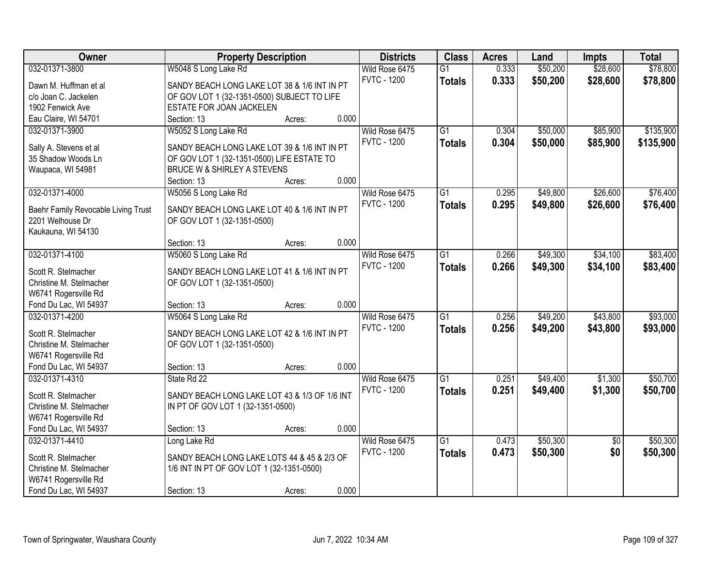| Owner                               | <b>Property Description</b>                   |        |       | <b>Districts</b>   | <b>Class</b>    | <b>Acres</b> | Land     | <b>Impts</b>    | <b>Total</b> |
|-------------------------------------|-----------------------------------------------|--------|-------|--------------------|-----------------|--------------|----------|-----------------|--------------|
| 032-01371-3800                      | W5048 S Long Lake Rd                          |        |       | Wild Rose 6475     | $\overline{G1}$ | 0.333        | \$50,200 | \$28,600        | \$78,800     |
| Dawn M. Huffman et al               | SANDY BEACH LONG LAKE LOT 38 & 1/6 INT IN PT  |        |       | <b>FVTC - 1200</b> | <b>Totals</b>   | 0.333        | \$50,200 | \$28,600        | \$78,800     |
| c/o Joan C. Jackelen                | OF GOV LOT 1 (32-1351-0500) SUBJECT TO LIFE   |        |       |                    |                 |              |          |                 |              |
| 1902 Fenwick Ave                    | ESTATE FOR JOAN JACKELEN                      |        |       |                    |                 |              |          |                 |              |
| Eau Claire, WI 54701                | Section: 13                                   | Acres: | 0.000 |                    |                 |              |          |                 |              |
| 032-01371-3900                      | W5052 S Long Lake Rd                          |        |       | Wild Rose 6475     | $\overline{G1}$ | 0.304        | \$50,000 | \$85,900        | \$135,900    |
|                                     |                                               |        |       | <b>FVTC - 1200</b> | <b>Totals</b>   | 0.304        | \$50,000 | \$85,900        | \$135,900    |
| Sally A. Stevens et al              | SANDY BEACH LONG LAKE LOT 39 & 1/6 INT IN PT  |        |       |                    |                 |              |          |                 |              |
| 35 Shadow Woods Ln                  | OF GOV LOT 1 (32-1351-0500) LIFE ESTATE TO    |        |       |                    |                 |              |          |                 |              |
| Waupaca, WI 54981                   | BRUCE W & SHIRLEY A STEVENS                   |        | 0.000 |                    |                 |              |          |                 |              |
|                                     | Section: 13                                   | Acres: |       |                    |                 |              |          |                 |              |
| 032-01371-4000                      | W5056 S Long Lake Rd                          |        |       | Wild Rose 6475     | $\overline{G1}$ | 0.295        | \$49,800 | \$26,600        | \$76,400     |
| Baehr Family Revocable Living Trust | SANDY BEACH LONG LAKE LOT 40 & 1/6 INT IN PT  |        |       | <b>FVTC - 1200</b> | <b>Totals</b>   | 0.295        | \$49,800 | \$26,600        | \$76,400     |
| 2201 Welhouse Dr                    | OF GOV LOT 1 (32-1351-0500)                   |        |       |                    |                 |              |          |                 |              |
| Kaukauna, WI 54130                  |                                               |        |       |                    |                 |              |          |                 |              |
|                                     | Section: 13                                   | Acres: | 0.000 |                    |                 |              |          |                 |              |
| 032-01371-4100                      | W5060 S Long Lake Rd                          |        |       | Wild Rose 6475     | $\overline{G1}$ | 0.266        | \$49,300 | \$34,100        | \$83,400     |
| Scott R. Stelmacher                 | SANDY BEACH LONG LAKE LOT 41 & 1/6 INT IN PT  |        |       | <b>FVTC - 1200</b> | <b>Totals</b>   | 0.266        | \$49,300 | \$34,100        | \$83,400     |
| Christine M. Stelmacher             | OF GOV LOT 1 (32-1351-0500)                   |        |       |                    |                 |              |          |                 |              |
| W6741 Rogersville Rd                |                                               |        |       |                    |                 |              |          |                 |              |
| Fond Du Lac, WI 54937               | Section: 13                                   | Acres: | 0.000 |                    |                 |              |          |                 |              |
| 032-01371-4200                      | W5064 S Long Lake Rd                          |        |       | Wild Rose 6475     | $\overline{G1}$ | 0.256        | \$49,200 | \$43,800        | \$93,000     |
|                                     |                                               |        |       | <b>FVTC - 1200</b> | <b>Totals</b>   | 0.256        | \$49,200 | \$43,800        | \$93,000     |
| Scott R. Stelmacher                 | SANDY BEACH LONG LAKE LOT 42 & 1/6 INT IN PT  |        |       |                    |                 |              |          |                 |              |
| Christine M. Stelmacher             | OF GOV LOT 1 (32-1351-0500)                   |        |       |                    |                 |              |          |                 |              |
| W6741 Rogersville Rd                |                                               |        |       |                    |                 |              |          |                 |              |
| Fond Du Lac, WI 54937               | Section: 13                                   | Acres: | 0.000 |                    |                 |              |          |                 |              |
| 032-01371-4310                      | State Rd 22                                   |        |       | Wild Rose 6475     | $\overline{G1}$ | 0.251        | \$49,400 | \$1,300         | \$50,700     |
| Scott R. Stelmacher                 | SANDY BEACH LONG LAKE LOT 43 & 1/3 OF 1/6 INT |        |       | <b>FVTC - 1200</b> | <b>Totals</b>   | 0.251        | \$49,400 | \$1,300         | \$50,700     |
| Christine M. Stelmacher             | IN PT OF GOV LOT 1 (32-1351-0500)             |        |       |                    |                 |              |          |                 |              |
| W6741 Rogersville Rd                |                                               |        |       |                    |                 |              |          |                 |              |
| Fond Du Lac, WI 54937               | Section: 13                                   | Acres: | 0.000 |                    |                 |              |          |                 |              |
| 032-01371-4410                      | Long Lake Rd                                  |        |       | Wild Rose 6475     | $\overline{G1}$ | 0.473        | \$50,300 | $\overline{30}$ | \$50,300     |
|                                     |                                               |        |       | <b>FVTC - 1200</b> | <b>Totals</b>   | 0.473        | \$50,300 | \$0             | \$50,300     |
| Scott R. Stelmacher                 | SANDY BEACH LONG LAKE LOTS 44 & 45 & 2/3 OF   |        |       |                    |                 |              |          |                 |              |
| Christine M. Stelmacher             | 1/6 INT IN PT OF GOV LOT 1 (32-1351-0500)     |        |       |                    |                 |              |          |                 |              |
| W6741 Rogersville Rd                |                                               |        | 0.000 |                    |                 |              |          |                 |              |
| Fond Du Lac, WI 54937               | Section: 13                                   | Acres: |       |                    |                 |              |          |                 |              |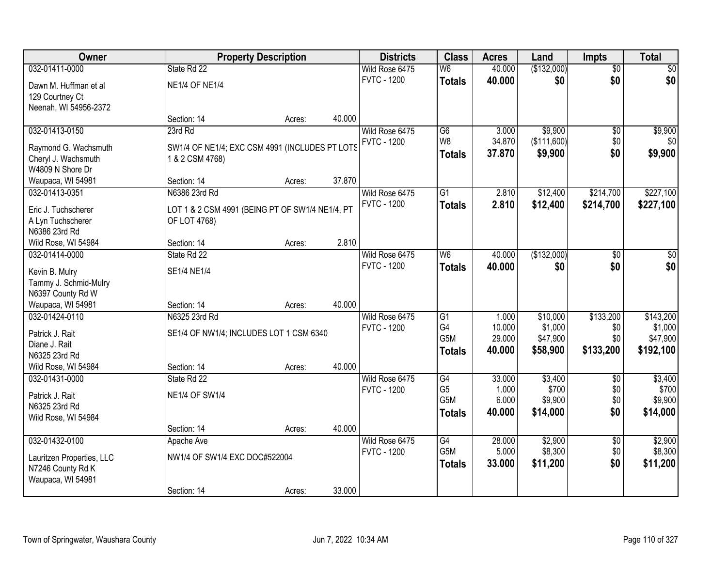| Owner                                      |                                                                 | <b>Property Description</b> |        | <b>Districts</b>                     | <b>Class</b>    | <b>Acres</b>    | Land             | <b>Impts</b>           | <b>Total</b>     |
|--------------------------------------------|-----------------------------------------------------------------|-----------------------------|--------|--------------------------------------|-----------------|-----------------|------------------|------------------------|------------------|
| 032-01411-0000                             | State Rd 22                                                     |                             |        | Wild Rose 6475                       | W <sub>6</sub>  | 40.000          | (\$132,000)      | $\overline{50}$        | \$0              |
| Dawn M. Huffman et al                      | <b>NE1/4 OF NE1/4</b>                                           |                             |        | <b>FVTC - 1200</b>                   | <b>Totals</b>   | 40.000          | \$0              | \$0                    | \$0              |
| 129 Courtney Ct                            |                                                                 |                             |        |                                      |                 |                 |                  |                        |                  |
| Neenah, WI 54956-2372                      |                                                                 |                             |        |                                      |                 |                 |                  |                        |                  |
|                                            | Section: 14                                                     | Acres:                      | 40.000 |                                      |                 |                 |                  |                        |                  |
| 032-01413-0150                             | 23rd Rd                                                         |                             |        | Wild Rose 6475                       | $\overline{G6}$ | 3.000           | \$9,900          | $\overline{50}$        | \$9,900          |
| Raymond G. Wachsmuth                       | SW1/4 OF NE1/4; EXC CSM 4991 (INCLUDES PT LOTS                  |                             |        | <b>FVTC - 1200</b>                   | W8              | 34.870          | (\$111,600)      | \$0                    | \$0              |
| Cheryl J. Wachsmuth                        | 1 & 2 CSM 4768)                                                 |                             |        |                                      | <b>Totals</b>   | 37.870          | \$9,900          | \$0                    | \$9,900          |
| W4809 N Shore Dr                           |                                                                 |                             |        |                                      |                 |                 |                  |                        |                  |
| Waupaca, WI 54981                          | Section: 14                                                     | Acres:                      | 37.870 |                                      |                 |                 |                  |                        |                  |
| 032-01413-0351                             | N6386 23rd Rd                                                   |                             |        | Wild Rose 6475                       | G1              | 2.810           | \$12,400         | \$214,700              | \$227,100        |
|                                            |                                                                 |                             |        | <b>FVTC - 1200</b>                   | <b>Totals</b>   | 2.810           | \$12,400         | \$214,700              | \$227,100        |
| Eric J. Tuchscherer<br>A Lyn Tuchscherer   | LOT 1 & 2 CSM 4991 (BEING PT OF SW1/4 NE1/4, PT<br>OF LOT 4768) |                             |        |                                      |                 |                 |                  |                        |                  |
| N6386 23rd Rd                              |                                                                 |                             |        |                                      |                 |                 |                  |                        |                  |
| Wild Rose, WI 54984                        | Section: 14                                                     | Acres:                      | 2.810  |                                      |                 |                 |                  |                        |                  |
| 032-01414-0000                             | State Rd 22                                                     |                             |        | Wild Rose 6475                       | W <sub>6</sub>  | 40.000          | (\$132,000)      | $\frac{1}{20}$         | $\sqrt{50}$      |
|                                            |                                                                 |                             |        | <b>FVTC - 1200</b>                   | <b>Totals</b>   | 40.000          | \$0              | \$0                    | \$0              |
| Kevin B. Mulry                             | SE1/4 NE1/4                                                     |                             |        |                                      |                 |                 |                  |                        |                  |
| Tammy J. Schmid-Mulry<br>N6397 County Rd W |                                                                 |                             |        |                                      |                 |                 |                  |                        |                  |
| Waupaca, WI 54981                          | Section: 14                                                     | Acres:                      | 40.000 |                                      |                 |                 |                  |                        |                  |
| 032-01424-0110                             | N6325 23rd Rd                                                   |                             |        | Wild Rose 6475                       | $\overline{G1}$ | 1.000           | \$10,000         | \$133,200              | \$143,200        |
|                                            |                                                                 |                             |        | <b>FVTC - 1200</b>                   | G <sub>4</sub>  | 10.000          | \$1,000          | \$0                    | \$1,000          |
| Patrick J. Rait                            | SE1/4 OF NW1/4; INCLUDES LOT 1 CSM 6340                         |                             |        |                                      | G5M             | 29.000          | \$47,900         | \$0                    | \$47,900         |
| Diane J. Rait                              |                                                                 |                             |        |                                      | <b>Totals</b>   | 40.000          | \$58,900         | \$133,200              | \$192,100        |
| N6325 23rd Rd                              |                                                                 |                             |        |                                      |                 |                 |                  |                        |                  |
| Wild Rose, WI 54984                        | Section: 14                                                     | Acres:                      | 40.000 |                                      |                 |                 |                  |                        |                  |
| 032-01431-0000                             | State Rd 22                                                     |                             |        | Wild Rose 6475<br><b>FVTC - 1200</b> | G4<br>G5        | 33.000<br>1.000 | \$3,400<br>\$700 | $\overline{50}$<br>\$0 | \$3,400<br>\$700 |
| Patrick J. Rait                            | <b>NE1/4 OF SW1/4</b>                                           |                             |        |                                      | G5M             | 6.000           | \$9,900          | \$0                    | \$9,900          |
| N6325 23rd Rd                              |                                                                 |                             |        |                                      | <b>Totals</b>   | 40.000          | \$14,000         | \$0                    | \$14,000         |
| Wild Rose, WI 54984                        |                                                                 |                             |        |                                      |                 |                 |                  |                        |                  |
|                                            | Section: 14                                                     | Acres:                      | 40.000 |                                      |                 |                 |                  |                        |                  |
| 032-01432-0100                             | Apache Ave                                                      |                             |        | Wild Rose 6475                       | G4              | 28.000          | \$2,900          | $\overline{50}$        | \$2,900          |
| Lauritzen Properties, LLC                  | NW1/4 OF SW1/4 EXC DOC#522004                                   |                             |        | <b>FVTC - 1200</b>                   | G5M             | 5.000           | \$8,300          | \$0                    | \$8,300          |
| N7246 County Rd K                          |                                                                 |                             |        |                                      | <b>Totals</b>   | 33.000          | \$11,200         | \$0                    | \$11,200         |
| Waupaca, WI 54981                          |                                                                 |                             |        |                                      |                 |                 |                  |                        |                  |
|                                            | Section: 14                                                     | Acres:                      | 33.000 |                                      |                 |                 |                  |                        |                  |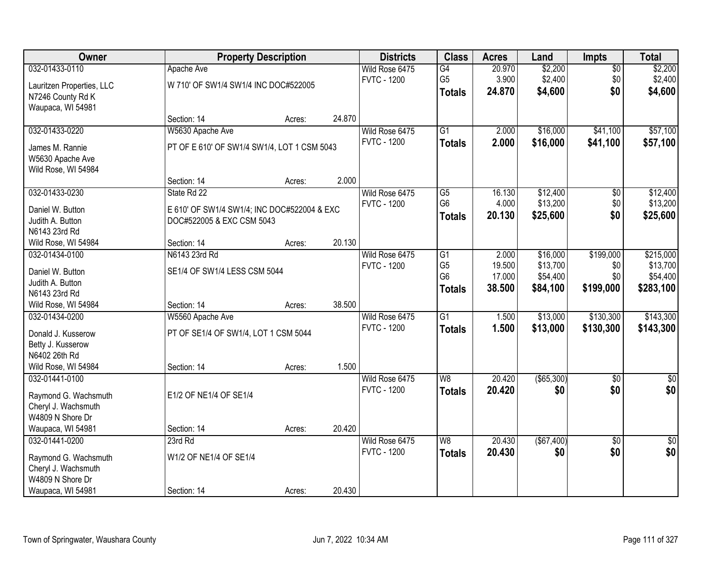| Owner                                |                                             | <b>Property Description</b> |        | <b>Districts</b>                     | <b>Class</b>    | <b>Acres</b> | Land              | <b>Impts</b>           | <b>Total</b>       |
|--------------------------------------|---------------------------------------------|-----------------------------|--------|--------------------------------------|-----------------|--------------|-------------------|------------------------|--------------------|
| 032-01433-0110                       | Apache Ave                                  |                             |        | Wild Rose 6475                       | G4              | 20.970       | \$2,200           | $\sqrt{$0}$            | \$2,200            |
| Lauritzen Properties, LLC            | W 710' OF SW1/4 SW1/4 INC DOC#522005        |                             |        | <b>FVTC - 1200</b>                   | G <sub>5</sub>  | 3.900        | \$2,400           | \$0                    | \$2,400            |
| N7246 County Rd K                    |                                             |                             |        |                                      | <b>Totals</b>   | 24.870       | \$4,600           | \$0                    | \$4,600            |
| Waupaca, WI 54981                    |                                             |                             |        |                                      |                 |              |                   |                        |                    |
|                                      | Section: 14                                 | Acres:                      | 24.870 |                                      |                 |              |                   |                        |                    |
| 032-01433-0220                       | W5630 Apache Ave                            |                             |        | Wild Rose 6475                       | $\overline{G1}$ | 2.000        | \$16,000          | \$41,100               | \$57,100           |
| James M. Rannie                      | PT OF E 610' OF SW1/4 SW1/4, LOT 1 CSM 5043 |                             |        | <b>FVTC - 1200</b>                   | <b>Totals</b>   | 2.000        | \$16,000          | \$41,100               | \$57,100           |
| W5630 Apache Ave                     |                                             |                             |        |                                      |                 |              |                   |                        |                    |
| Wild Rose, WI 54984                  |                                             |                             |        |                                      |                 |              |                   |                        |                    |
|                                      | Section: 14                                 | Acres:                      | 2.000  |                                      |                 |              |                   |                        |                    |
| 032-01433-0230                       | State Rd 22                                 |                             |        | Wild Rose 6475                       | $\overline{G5}$ | 16.130       | \$12,400          | \$0                    | \$12,400           |
| Daniel W. Button                     | E 610' OF SW1/4 SW1/4; INC DOC#522004 & EXC |                             |        | <b>FVTC - 1200</b>                   | G <sub>6</sub>  | 4.000        | \$13,200          | \$0                    | \$13,200           |
| Judith A. Button                     | DOC#522005 & EXC CSM 5043                   |                             |        |                                      | <b>Totals</b>   | 20.130       | \$25,600          | \$0                    | \$25,600           |
| N6143 23rd Rd                        |                                             |                             |        |                                      |                 |              |                   |                        |                    |
| Wild Rose, WI 54984                  | Section: 14                                 | Acres:                      | 20.130 |                                      |                 |              |                   |                        |                    |
| 032-01434-0100                       | N6143 23rd Rd                               |                             |        | Wild Rose 6475                       | $\overline{G1}$ | 2.000        | \$16,000          | \$199,000              | \$215,000          |
|                                      |                                             |                             |        | <b>FVTC - 1200</b>                   | G <sub>5</sub>  | 19.500       | \$13,700          | \$0                    | \$13,700           |
| Daniel W. Button<br>Judith A. Button | SE1/4 OF SW1/4 LESS CSM 5044                |                             |        |                                      | G <sub>6</sub>  | 17.000       | \$54,400          | \$0                    | \$54,400           |
| N6143 23rd Rd                        |                                             |                             |        |                                      | <b>Totals</b>   | 38.500       | \$84,100          | \$199,000              | \$283,100          |
| Wild Rose, WI 54984                  | Section: 14                                 | Acres:                      | 38.500 |                                      |                 |              |                   |                        |                    |
| 032-01434-0200                       | W5560 Apache Ave                            |                             |        | Wild Rose 6475                       | $\overline{G1}$ | 1.500        | \$13,000          | \$130,300              | \$143,300          |
|                                      |                                             |                             |        | <b>FVTC - 1200</b>                   | Totals          | 1.500        | \$13,000          | \$130,300              | \$143,300          |
| Donald J. Kusserow                   | PT OF SE1/4 OF SW1/4, LOT 1 CSM 5044        |                             |        |                                      |                 |              |                   |                        |                    |
| Betty J. Kusserow<br>N6402 26th Rd   |                                             |                             |        |                                      |                 |              |                   |                        |                    |
| Wild Rose, WI 54984                  | Section: 14                                 | Acres:                      | 1.500  |                                      |                 |              |                   |                        |                    |
| 032-01441-0100                       |                                             |                             |        | Wild Rose 6475                       | W <sub>8</sub>  | 20.420       | $($ \$65,300) $ $ | \$0                    | \$0                |
|                                      |                                             |                             |        | <b>FVTC - 1200</b>                   | <b>Totals</b>   | 20.420       | \$0               | \$0                    | \$0                |
| Raymond G. Wachsmuth                 | E1/2 OF NE1/4 OF SE1/4                      |                             |        |                                      |                 |              |                   |                        |                    |
| Cheryl J. Wachsmuth                  |                                             |                             |        |                                      |                 |              |                   |                        |                    |
| W4809 N Shore Dr                     |                                             |                             |        |                                      |                 |              |                   |                        |                    |
| Waupaca, WI 54981<br>032-01441-0200  | Section: 14                                 | Acres:                      | 20.420 |                                      | W8              |              | (\$67,400)        |                        |                    |
|                                      | 23rd Rd                                     |                             |        | Wild Rose 6475<br><b>FVTC - 1200</b> |                 | 20.430       |                   | $\overline{30}$<br>\$0 | $\sqrt{50}$<br>\$0 |
| Raymond G. Wachsmuth                 | W1/2 OF NE1/4 OF SE1/4                      |                             |        |                                      | <b>Totals</b>   | 20.430       | \$0               |                        |                    |
| Cheryl J. Wachsmuth                  |                                             |                             |        |                                      |                 |              |                   |                        |                    |
| W4809 N Shore Dr                     |                                             |                             |        |                                      |                 |              |                   |                        |                    |
| Waupaca, WI 54981                    | Section: 14                                 | Acres:                      | 20.430 |                                      |                 |              |                   |                        |                    |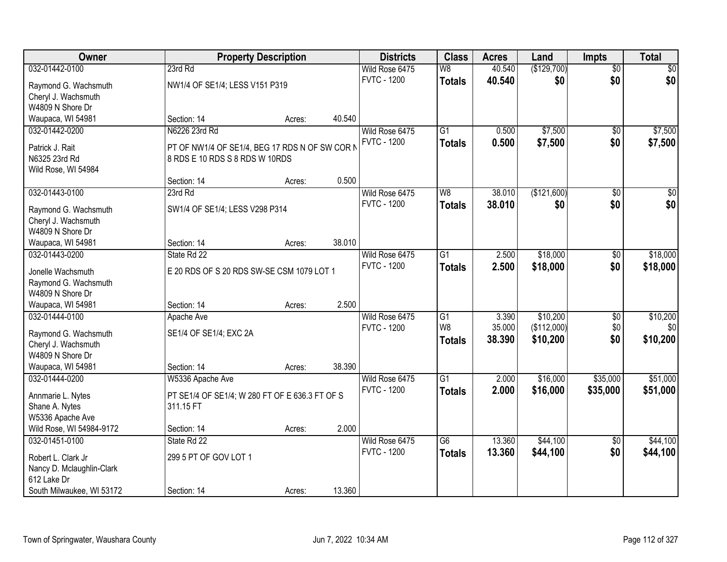| Owner                     |                                                | <b>Property Description</b> |        | <b>Districts</b>   | <b>Class</b>    | <b>Acres</b> | Land        | <b>Impts</b>    | <b>Total</b>    |
|---------------------------|------------------------------------------------|-----------------------------|--------|--------------------|-----------------|--------------|-------------|-----------------|-----------------|
| 032-01442-0100            | 23rd Rd                                        |                             |        | Wild Rose 6475     | W8              | 40.540       | (\$129,700) | $\overline{50}$ | \$0             |
| Raymond G. Wachsmuth      | NW1/4 OF SE1/4; LESS V151 P319                 |                             |        | <b>FVTC - 1200</b> | <b>Totals</b>   | 40.540       | \$0         | \$0             | \$0             |
| Cheryl J. Wachsmuth       |                                                |                             |        |                    |                 |              |             |                 |                 |
| W4809 N Shore Dr          |                                                |                             |        |                    |                 |              |             |                 |                 |
| Waupaca, WI 54981         | Section: 14                                    | Acres:                      | 40.540 |                    |                 |              |             |                 |                 |
| 032-01442-0200            | N6226 23rd Rd                                  |                             |        | Wild Rose 6475     | $\overline{G1}$ | 0.500        | \$7,500     | \$0             | \$7,500         |
|                           |                                                |                             |        | <b>FVTC - 1200</b> | <b>Totals</b>   | 0.500        | \$7,500     | \$0             | \$7,500         |
| Patrick J. Rait           | PT OF NW1/4 OF SE1/4, BEG 17 RDS N OF SW COR N |                             |        |                    |                 |              |             |                 |                 |
| N6325 23rd Rd             | 8 RDS E 10 RDS S 8 RDS W 10RDS                 |                             |        |                    |                 |              |             |                 |                 |
| Wild Rose, WI 54984       |                                                |                             | 0.500  |                    |                 |              |             |                 |                 |
|                           | Section: 14                                    | Acres:                      |        |                    |                 |              |             |                 |                 |
| 032-01443-0100            | 23rd Rd                                        |                             |        | Wild Rose 6475     | W8              | 38.010       | (\$121,600) | \$0             | $\overline{50}$ |
| Raymond G. Wachsmuth      | SW1/4 OF SE1/4; LESS V298 P314                 |                             |        | <b>FVTC - 1200</b> | <b>Totals</b>   | 38.010       | \$0         | \$0             | \$0             |
| Cheryl J. Wachsmuth       |                                                |                             |        |                    |                 |              |             |                 |                 |
| W4809 N Shore Dr          |                                                |                             |        |                    |                 |              |             |                 |                 |
| Waupaca, WI 54981         | Section: 14                                    | Acres:                      | 38.010 |                    |                 |              |             |                 |                 |
| 032-01443-0200            | State Rd 22                                    |                             |        | Wild Rose 6475     | $\overline{G1}$ | 2.500        | \$18,000    | \$0             | \$18,000        |
| Jonelle Wachsmuth         | E 20 RDS OF S 20 RDS SW-SE CSM 1079 LOT 1      |                             |        | <b>FVTC - 1200</b> | <b>Totals</b>   | 2.500        | \$18,000    | \$0             | \$18,000        |
| Raymond G. Wachsmuth      |                                                |                             |        |                    |                 |              |             |                 |                 |
| W4809 N Shore Dr          |                                                |                             |        |                    |                 |              |             |                 |                 |
| Waupaca, WI 54981         | Section: 14                                    | Acres:                      | 2.500  |                    |                 |              |             |                 |                 |
| 032-01444-0100            | Apache Ave                                     |                             |        | Wild Rose 6475     | G1              | 3.390        | \$10,200    | \$0             | \$10,200        |
|                           |                                                |                             |        | <b>FVTC - 1200</b> | W <sub>8</sub>  | 35.000       | (\$112,000) | \$0             | \$0             |
| Raymond G. Wachsmuth      | SE1/4 OF SE1/4; EXC 2A                         |                             |        |                    | <b>Totals</b>   | 38.390       | \$10,200    | \$0             | \$10,200        |
| Cheryl J. Wachsmuth       |                                                |                             |        |                    |                 |              |             |                 |                 |
| W4809 N Shore Dr          |                                                |                             |        |                    |                 |              |             |                 |                 |
| Waupaca, WI 54981         | Section: 14                                    | Acres:                      | 38.390 |                    |                 |              |             |                 |                 |
| 032-01444-0200            | W5336 Apache Ave                               |                             |        | Wild Rose 6475     | $\overline{G1}$ | 2.000        | \$16,000    | \$35,000        | \$51,000        |
| Annmarie L. Nytes         | PT SE1/4 OF SE1/4; W 280 FT OF E 636.3 FT OF S |                             |        | <b>FVTC - 1200</b> | <b>Totals</b>   | 2.000        | \$16,000    | \$35,000        | \$51,000        |
| Shane A. Nytes            | 311.15 FT                                      |                             |        |                    |                 |              |             |                 |                 |
| W5336 Apache Ave          |                                                |                             |        |                    |                 |              |             |                 |                 |
| Wild Rose, WI 54984-9172  | Section: 14                                    | Acres:                      | 2.000  |                    |                 |              |             |                 |                 |
| 032-01451-0100            | State Rd 22                                    |                             |        | Wild Rose 6475     | $\overline{G6}$ | 13.360       | \$44,100    | $\overline{50}$ | \$44,100        |
|                           |                                                |                             |        | <b>FVTC - 1200</b> | <b>Totals</b>   | 13.360       | \$44,100    | \$0             | \$44,100        |
| Robert L. Clark Jr        | 299 5 PT OF GOV LOT 1                          |                             |        |                    |                 |              |             |                 |                 |
| Nancy D. Mclaughlin-Clark |                                                |                             |        |                    |                 |              |             |                 |                 |
| 612 Lake Dr               |                                                |                             |        |                    |                 |              |             |                 |                 |
| South Milwaukee, WI 53172 | Section: 14                                    | Acres:                      | 13.360 |                    |                 |              |             |                 |                 |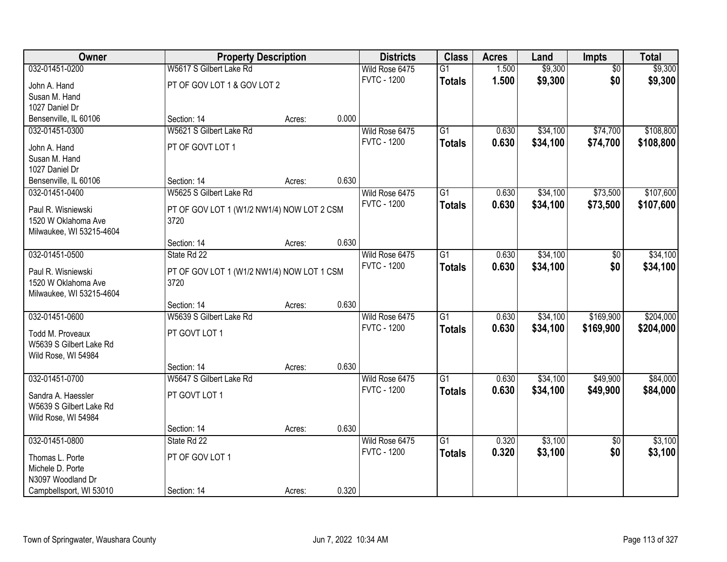| Owner                                     | <b>Property Description</b>                        |        |       | <b>Districts</b>   | <b>Class</b>    | <b>Acres</b> | Land     | Impts           | <b>Total</b> |
|-------------------------------------------|----------------------------------------------------|--------|-------|--------------------|-----------------|--------------|----------|-----------------|--------------|
| 032-01451-0200                            | W5617 S Gilbert Lake Rd                            |        |       | Wild Rose 6475     | G1              | 1.500        | \$9,300  | $\overline{50}$ | \$9,300      |
| John A. Hand                              | PT OF GOV LOT 1 & GOV LOT 2                        |        |       | <b>FVTC - 1200</b> | <b>Totals</b>   | 1.500        | \$9,300  | \$0             | \$9,300      |
| Susan M. Hand                             |                                                    |        |       |                    |                 |              |          |                 |              |
| 1027 Daniel Dr                            |                                                    |        |       |                    |                 |              |          |                 |              |
| Bensenville, IL 60106                     | Section: 14                                        | Acres: | 0.000 |                    |                 |              |          |                 |              |
| 032-01451-0300                            | W5621 S Gilbert Lake Rd                            |        |       | Wild Rose 6475     | $\overline{G1}$ | 0.630        | \$34,100 | \$74,700        | \$108,800    |
| John A. Hand                              | PT OF GOVT LOT 1                                   |        |       | <b>FVTC - 1200</b> | <b>Totals</b>   | 0.630        | \$34,100 | \$74,700        | \$108,800    |
| Susan M. Hand                             |                                                    |        |       |                    |                 |              |          |                 |              |
| 1027 Daniel Dr                            |                                                    |        |       |                    |                 |              |          |                 |              |
| Bensenville, IL 60106                     | Section: 14                                        | Acres: | 0.630 |                    |                 |              |          |                 |              |
| 032-01451-0400                            | W5625 S Gilbert Lake Rd                            |        |       | Wild Rose 6475     | $\overline{G1}$ | 0.630        | \$34,100 | \$73,500        | \$107,600    |
| Paul R. Wisniewski                        | PT OF GOV LOT 1 (W1/2 NW1/4) NOW LOT 2 CSM         |        |       | <b>FVTC - 1200</b> | <b>Totals</b>   | 0.630        | \$34,100 | \$73,500        | \$107,600    |
| 1520 W Oklahoma Ave                       | 3720                                               |        |       |                    |                 |              |          |                 |              |
| Milwaukee, WI 53215-4604                  |                                                    |        |       |                    |                 |              |          |                 |              |
|                                           | Section: 14                                        | Acres: | 0.630 |                    |                 |              |          |                 |              |
| 032-01451-0500                            | State Rd 22                                        |        |       | Wild Rose 6475     | $\overline{G1}$ | 0.630        | \$34,100 | \$0             | \$34,100     |
|                                           |                                                    |        |       | <b>FVTC - 1200</b> | <b>Totals</b>   | 0.630        | \$34,100 | \$0             | \$34,100     |
| Paul R. Wisniewski<br>1520 W Oklahoma Ave | PT OF GOV LOT 1 (W1/2 NW1/4) NOW LOT 1 CSM<br>3720 |        |       |                    |                 |              |          |                 |              |
| Milwaukee, WI 53215-4604                  |                                                    |        |       |                    |                 |              |          |                 |              |
|                                           | Section: 14                                        | Acres: | 0.630 |                    |                 |              |          |                 |              |
| 032-01451-0600                            | W5639 S Gilbert Lake Rd                            |        |       | Wild Rose 6475     | $\overline{G1}$ | 0.630        | \$34,100 | \$169,900       | \$204,000    |
| Todd M. Proveaux                          | PT GOVT LOT 1                                      |        |       | <b>FVTC - 1200</b> | <b>Totals</b>   | 0.630        | \$34,100 | \$169,900       | \$204,000    |
| W5639 S Gilbert Lake Rd                   |                                                    |        |       |                    |                 |              |          |                 |              |
| Wild Rose, WI 54984                       |                                                    |        |       |                    |                 |              |          |                 |              |
|                                           | Section: 14                                        | Acres: | 0.630 |                    |                 |              |          |                 |              |
| 032-01451-0700                            | W5647 S Gilbert Lake Rd                            |        |       | Wild Rose 6475     | G1              | 0.630        | \$34,100 | \$49,900        | \$84,000     |
| Sandra A. Haessler                        | PT GOVT LOT 1                                      |        |       | <b>FVTC - 1200</b> | <b>Totals</b>   | 0.630        | \$34,100 | \$49,900        | \$84,000     |
| W5639 S Gilbert Lake Rd                   |                                                    |        |       |                    |                 |              |          |                 |              |
| Wild Rose, WI 54984                       |                                                    |        |       |                    |                 |              |          |                 |              |
|                                           | Section: 14                                        | Acres: | 0.630 |                    |                 |              |          |                 |              |
| 032-01451-0800                            | State Rd 22                                        |        |       | Wild Rose 6475     | G1              | 0.320        | \$3,100  | $\overline{50}$ | \$3,100      |
|                                           |                                                    |        |       | <b>FVTC - 1200</b> | <b>Totals</b>   | 0.320        | \$3,100  | \$0             | \$3,100      |
| Thomas L. Porte<br>Michele D. Porte       | PT OF GOV LOT 1                                    |        |       |                    |                 |              |          |                 |              |
| N3097 Woodland Dr                         |                                                    |        |       |                    |                 |              |          |                 |              |
| Campbellsport, WI 53010                   | Section: 14                                        | Acres: | 0.320 |                    |                 |              |          |                 |              |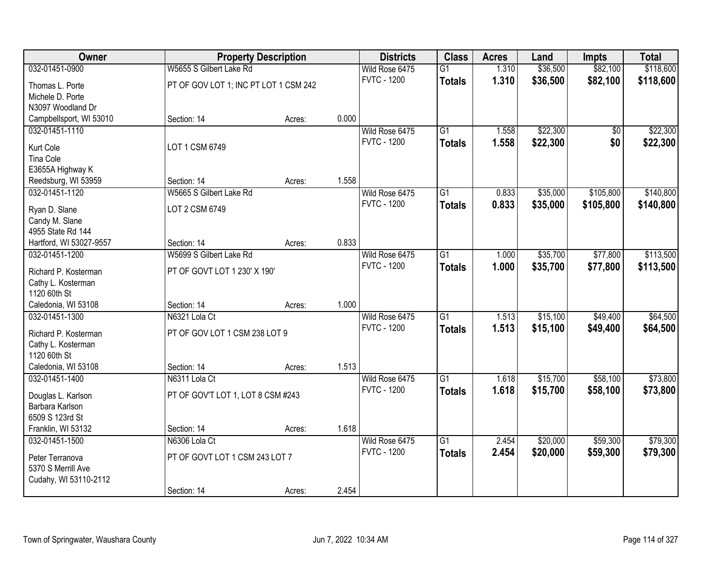| <b>Owner</b>                         |                                       | <b>Property Description</b> |       | <b>Districts</b>   | <b>Class</b>    | <b>Acres</b> | Land     | <b>Impts</b> | <b>Total</b> |
|--------------------------------------|---------------------------------------|-----------------------------|-------|--------------------|-----------------|--------------|----------|--------------|--------------|
| 032-01451-0900                       | W5655 S Gilbert Lake Rd               |                             |       | Wild Rose 6475     | $\overline{G1}$ | 1.310        | \$36,500 | \$82,100     | \$118,600    |
| Thomas L. Porte                      | PT OF GOV LOT 1; INC PT LOT 1 CSM 242 |                             |       | <b>FVTC - 1200</b> | <b>Totals</b>   | 1.310        | \$36,500 | \$82,100     | \$118,600    |
| Michele D. Porte                     |                                       |                             |       |                    |                 |              |          |              |              |
| N3097 Woodland Dr                    |                                       |                             |       |                    |                 |              |          |              |              |
| Campbellsport, WI 53010              | Section: 14                           | Acres:                      | 0.000 |                    |                 |              |          |              |              |
| 032-01451-1110                       |                                       |                             |       | Wild Rose 6475     | $\overline{G1}$ | 1.558        | \$22,300 | \$0          | \$22,300     |
| Kurt Cole                            | LOT 1 CSM 6749                        |                             |       | <b>FVTC - 1200</b> | <b>Totals</b>   | 1.558        | \$22,300 | \$0          | \$22,300     |
| <b>Tina Cole</b>                     |                                       |                             |       |                    |                 |              |          |              |              |
| E3655A Highway K                     |                                       |                             |       |                    |                 |              |          |              |              |
| Reedsburg, WI 53959                  | Section: 14                           | Acres:                      | 1.558 |                    |                 |              |          |              |              |
| 032-01451-1120                       | W5665 S Gilbert Lake Rd               |                             |       | Wild Rose 6475     | G1              | 0.833        | \$35,000 | \$105,800    | \$140,800    |
|                                      | LOT 2 CSM 6749                        |                             |       | <b>FVTC - 1200</b> | <b>Totals</b>   | 0.833        | \$35,000 | \$105,800    | \$140,800    |
| Ryan D. Slane<br>Candy M. Slane      |                                       |                             |       |                    |                 |              |          |              |              |
| 4955 State Rd 144                    |                                       |                             |       |                    |                 |              |          |              |              |
| Hartford, WI 53027-9557              | Section: 14                           | Acres:                      | 0.833 |                    |                 |              |          |              |              |
| 032-01451-1200                       | W5699 S Gilbert Lake Rd               |                             |       | Wild Rose 6475     | $\overline{G1}$ | 1.000        | \$35,700 | \$77,800     | \$113,500    |
|                                      |                                       |                             |       | <b>FVTC - 1200</b> | <b>Totals</b>   | 1.000        | \$35,700 | \$77,800     | \$113,500    |
| Richard P. Kosterman                 | PT OF GOVT LOT 1 230' X 190'          |                             |       |                    |                 |              |          |              |              |
| Cathy L. Kosterman<br>1120 60th St   |                                       |                             |       |                    |                 |              |          |              |              |
| Caledonia, WI 53108                  | Section: 14                           | Acres:                      | 1.000 |                    |                 |              |          |              |              |
| 032-01451-1300                       | N6321 Lola Ct                         |                             |       | Wild Rose 6475     | $\overline{G1}$ | 1.513        | \$15,100 | \$49,400     | \$64,500     |
|                                      |                                       |                             |       | <b>FVTC - 1200</b> | <b>Totals</b>   | 1.513        | \$15,100 | \$49,400     | \$64,500     |
| Richard P. Kosterman                 | PT OF GOV LOT 1 CSM 238 LOT 9         |                             |       |                    |                 |              |          |              |              |
| Cathy L. Kosterman<br>1120 60th St   |                                       |                             |       |                    |                 |              |          |              |              |
| Caledonia, WI 53108                  | Section: 14                           | Acres:                      | 1.513 |                    |                 |              |          |              |              |
| 032-01451-1400                       | N6311 Lola Ct                         |                             |       | Wild Rose 6475     | G1              | 1.618        | \$15,700 | \$58,100     | \$73,800     |
|                                      |                                       |                             |       | <b>FVTC - 1200</b> | <b>Totals</b>   | 1.618        | \$15,700 | \$58,100     | \$73,800     |
| Douglas L. Karlson                   | PT OF GOV'T LOT 1, LOT 8 CSM #243     |                             |       |                    |                 |              |          |              |              |
| Barbara Karlson                      |                                       |                             |       |                    |                 |              |          |              |              |
| 6509 S 123rd St                      | Section: 14                           |                             | 1.618 |                    |                 |              |          |              |              |
| Franklin, WI 53132<br>032-01451-1500 | N6306 Lola Ct                         | Acres:                      |       | Wild Rose 6475     | $\overline{G1}$ | 2.454        | \$20,000 | \$59,300     | \$79,300     |
|                                      |                                       |                             |       | <b>FVTC - 1200</b> | <b>Totals</b>   | 2.454        | \$20,000 | \$59,300     | \$79,300     |
| Peter Terranova                      | PT OF GOVT LOT 1 CSM 243 LOT 7        |                             |       |                    |                 |              |          |              |              |
| 5370 S Merrill Ave                   |                                       |                             |       |                    |                 |              |          |              |              |
| Cudahy, WI 53110-2112                |                                       |                             |       |                    |                 |              |          |              |              |
|                                      | Section: 14                           | Acres:                      | 2.454 |                    |                 |              |          |              |              |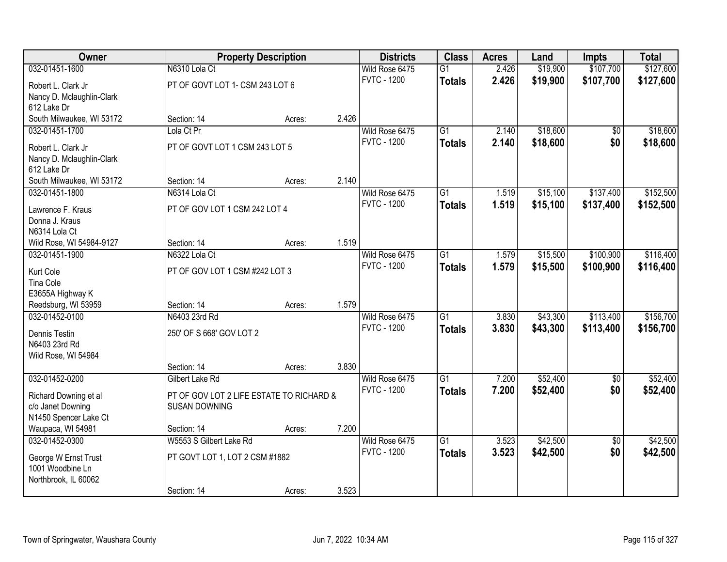| Owner                     |                                          | <b>Property Description</b> |       | <b>Districts</b>   | <b>Class</b>    | <b>Acres</b> | Land     | <b>Impts</b>    | <b>Total</b> |
|---------------------------|------------------------------------------|-----------------------------|-------|--------------------|-----------------|--------------|----------|-----------------|--------------|
| 032-01451-1600            | N6310 Lola Ct                            |                             |       | Wild Rose 6475     | $\overline{G1}$ | 2.426        | \$19,900 | \$107,700       | \$127,600    |
| Robert L. Clark Jr        | PT OF GOVT LOT 1- CSM 243 LOT 6          |                             |       | <b>FVTC - 1200</b> | <b>Totals</b>   | 2.426        | \$19,900 | \$107,700       | \$127,600    |
| Nancy D. Mclaughlin-Clark |                                          |                             |       |                    |                 |              |          |                 |              |
| 612 Lake Dr               |                                          |                             |       |                    |                 |              |          |                 |              |
| South Milwaukee, WI 53172 | Section: 14                              | Acres:                      | 2.426 |                    |                 |              |          |                 |              |
| 032-01451-1700            | Lola Ct Pr                               |                             |       | Wild Rose 6475     | $\overline{G1}$ | 2.140        | \$18,600 | $\overline{50}$ | \$18,600     |
| Robert L. Clark Jr        | PT OF GOVT LOT 1 CSM 243 LOT 5           |                             |       | <b>FVTC - 1200</b> | <b>Totals</b>   | 2.140        | \$18,600 | \$0             | \$18,600     |
| Nancy D. Mclaughlin-Clark |                                          |                             |       |                    |                 |              |          |                 |              |
| 612 Lake Dr               |                                          |                             |       |                    |                 |              |          |                 |              |
| South Milwaukee, WI 53172 | Section: 14                              | Acres:                      | 2.140 |                    |                 |              |          |                 |              |
| 032-01451-1800            | N6314 Lola Ct                            |                             |       | Wild Rose 6475     | G1              | 1.519        | \$15,100 | \$137,400       | \$152,500    |
| Lawrence F. Kraus         | PT OF GOV LOT 1 CSM 242 LOT 4            |                             |       | <b>FVTC - 1200</b> | <b>Totals</b>   | 1.519        | \$15,100 | \$137,400       | \$152,500    |
| Donna J. Kraus            |                                          |                             |       |                    |                 |              |          |                 |              |
| N6314 Lola Ct             |                                          |                             |       |                    |                 |              |          |                 |              |
| Wild Rose, WI 54984-9127  | Section: 14                              | Acres:                      | 1.519 |                    |                 |              |          |                 |              |
| 032-01451-1900            | N6322 Lola Ct                            |                             |       | Wild Rose 6475     | $\overline{G1}$ | 1.579        | \$15,500 | \$100,900       | \$116,400    |
| Kurt Cole                 | PT OF GOV LOT 1 CSM #242 LOT 3           |                             |       | <b>FVTC - 1200</b> | <b>Totals</b>   | 1.579        | \$15,500 | \$100,900       | \$116,400    |
| Tina Cole                 |                                          |                             |       |                    |                 |              |          |                 |              |
| E3655A Highway K          |                                          |                             |       |                    |                 |              |          |                 |              |
| Reedsburg, WI 53959       | Section: 14                              | Acres:                      | 1.579 |                    |                 |              |          |                 |              |
| 032-01452-0100            | N6403 23rd Rd                            |                             |       | Wild Rose 6475     | $\overline{G1}$ | 3.830        | \$43,300 | \$113,400       | \$156,700    |
| Dennis Testin             | 250' OF S 668' GOV LOT 2                 |                             |       | <b>FVTC - 1200</b> | <b>Totals</b>   | 3.830        | \$43,300 | \$113,400       | \$156,700    |
| N6403 23rd Rd             |                                          |                             |       |                    |                 |              |          |                 |              |
| Wild Rose, WI 54984       |                                          |                             |       |                    |                 |              |          |                 |              |
|                           | Section: 14                              | Acres:                      | 3.830 |                    |                 |              |          |                 |              |
| 032-01452-0200            | Gilbert Lake Rd                          |                             |       | Wild Rose 6475     | $\overline{G1}$ | 7.200        | \$52,400 | \$0             | \$52,400     |
| Richard Downing et al     | PT OF GOV LOT 2 LIFE ESTATE TO RICHARD & |                             |       | <b>FVTC - 1200</b> | <b>Totals</b>   | 7.200        | \$52,400 | \$0             | \$52,400     |
| c/o Janet Downing         | <b>SUSAN DOWNING</b>                     |                             |       |                    |                 |              |          |                 |              |
| N1450 Spencer Lake Ct     |                                          |                             |       |                    |                 |              |          |                 |              |
| Waupaca, WI 54981         | Section: 14                              | Acres:                      | 7.200 |                    |                 |              |          |                 |              |
| 032-01452-0300            | W5553 S Gilbert Lake Rd                  |                             |       | Wild Rose 6475     | $\overline{G1}$ | 3.523        | \$42,500 | $\overline{50}$ | \$42,500     |
| George W Ernst Trust      | PT GOVT LOT 1, LOT 2 CSM #1882           |                             |       | <b>FVTC - 1200</b> | <b>Totals</b>   | 3.523        | \$42,500 | \$0             | \$42,500     |
| 1001 Woodbine Ln          |                                          |                             |       |                    |                 |              |          |                 |              |
| Northbrook, IL 60062      |                                          |                             |       |                    |                 |              |          |                 |              |
|                           | Section: 14                              | Acres:                      | 3.523 |                    |                 |              |          |                 |              |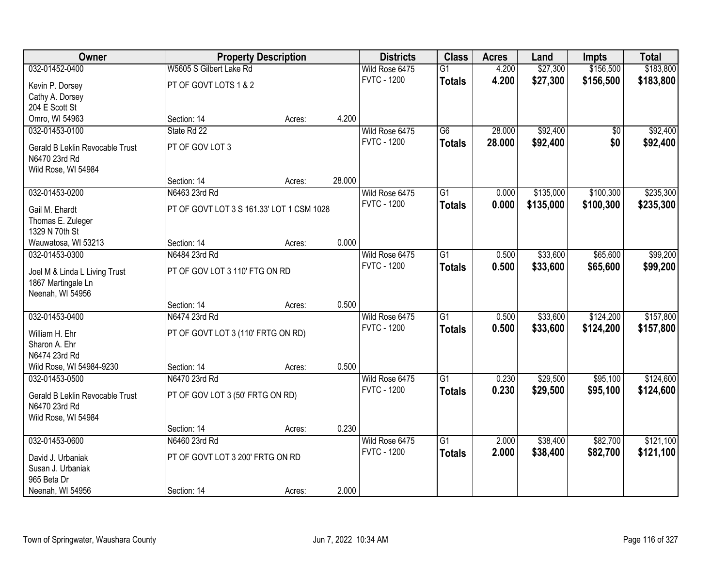| Owner                               |                                           | <b>Property Description</b> |        | <b>Districts</b>                     | <b>Class</b>    | <b>Acres</b> | Land      | <b>Impts</b> | <b>Total</b> |
|-------------------------------------|-------------------------------------------|-----------------------------|--------|--------------------------------------|-----------------|--------------|-----------|--------------|--------------|
| 032-01452-0400                      | W5605 S Gilbert Lake Rd                   |                             |        | Wild Rose 6475                       | $\overline{G1}$ | 4.200        | \$27,300  | \$156,500    | \$183,800    |
| Kevin P. Dorsey                     | PT OF GOVT LOTS 1 & 2                     |                             |        | <b>FVTC - 1200</b>                   | <b>Totals</b>   | 4.200        | \$27,300  | \$156,500    | \$183,800    |
| Cathy A. Dorsey                     |                                           |                             |        |                                      |                 |              |           |              |              |
| 204 E Scott St                      |                                           |                             |        |                                      |                 |              |           |              |              |
| Omro, WI 54963                      | Section: 14                               | Acres:                      | 4.200  |                                      |                 |              |           |              |              |
| 032-01453-0100                      | State Rd 22                               |                             |        | Wild Rose 6475                       | $\overline{G6}$ | 28.000       | \$92,400  | \$0          | \$92,400     |
| Gerald B Leklin Revocable Trust     | PT OF GOV LOT 3                           |                             |        | <b>FVTC - 1200</b>                   | <b>Totals</b>   | 28.000       | \$92,400  | \$0          | \$92,400     |
| N6470 23rd Rd                       |                                           |                             |        |                                      |                 |              |           |              |              |
| Wild Rose, WI 54984                 |                                           |                             |        |                                      |                 |              |           |              |              |
|                                     | Section: 14                               | Acres:                      | 28.000 |                                      |                 |              |           |              |              |
| 032-01453-0200                      | N6463 23rd Rd                             |                             |        | Wild Rose 6475                       | G1              | 0.000        | \$135,000 | \$100,300    | \$235,300    |
|                                     | PT OF GOVT LOT 3 S 161.33' LOT 1 CSM 1028 |                             |        | <b>FVTC - 1200</b>                   | <b>Totals</b>   | 0.000        | \$135,000 | \$100,300    | \$235,300    |
| Gail M. Ehardt<br>Thomas E. Zuleger |                                           |                             |        |                                      |                 |              |           |              |              |
| 1329 N 70th St                      |                                           |                             |        |                                      |                 |              |           |              |              |
| Wauwatosa, WI 53213                 | Section: 14                               | Acres:                      | 0.000  |                                      |                 |              |           |              |              |
| 032-01453-0300                      | N6484 23rd Rd                             |                             |        | Wild Rose 6475                       | G1              | 0.500        | \$33,600  | \$65,600     | \$99,200     |
|                                     |                                           |                             |        | <b>FVTC - 1200</b>                   | <b>Totals</b>   | 0.500        | \$33,600  | \$65,600     | \$99,200     |
| Joel M & Linda L Living Trust       | PT OF GOV LOT 3 110' FTG ON RD            |                             |        |                                      |                 |              |           |              |              |
| 1867 Martingale Ln                  |                                           |                             |        |                                      |                 |              |           |              |              |
| Neenah, WI 54956                    |                                           |                             | 0.500  |                                      |                 |              |           |              |              |
| 032-01453-0400                      | Section: 14<br>N6474 23rd Rd              | Acres:                      |        |                                      | $\overline{G1}$ | 0.500        | \$33,600  | \$124,200    | \$157,800    |
|                                     |                                           |                             |        | Wild Rose 6475<br><b>FVTC - 1200</b> |                 |              |           |              |              |
| William H. Ehr                      | PT OF GOVT LOT 3 (110' FRTG ON RD)        |                             |        |                                      | <b>Totals</b>   | 0.500        | \$33,600  | \$124,200    | \$157,800    |
| Sharon A. Ehr                       |                                           |                             |        |                                      |                 |              |           |              |              |
| N6474 23rd Rd                       |                                           |                             |        |                                      |                 |              |           |              |              |
| Wild Rose, WI 54984-9230            | Section: 14                               | Acres:                      | 0.500  |                                      |                 |              |           |              |              |
| 032-01453-0500                      | N6470 23rd Rd                             |                             |        | Wild Rose 6475                       | $\overline{G1}$ | 0.230        | \$29,500  | \$95,100     | \$124,600    |
| Gerald B Leklin Revocable Trust     | PT OF GOV LOT 3 (50' FRTG ON RD)          |                             |        | <b>FVTC - 1200</b>                   | <b>Totals</b>   | 0.230        | \$29,500  | \$95,100     | \$124,600    |
| N6470 23rd Rd                       |                                           |                             |        |                                      |                 |              |           |              |              |
| Wild Rose, WI 54984                 |                                           |                             |        |                                      |                 |              |           |              |              |
|                                     | Section: 14                               | Acres:                      | 0.230  |                                      |                 |              |           |              |              |
| 032-01453-0600                      | N6460 23rd Rd                             |                             |        | Wild Rose 6475                       | $\overline{G1}$ | 2.000        | \$38,400  | \$82,700     | \$121,100    |
| David J. Urbaniak                   | PT OF GOVT LOT 3 200' FRTG ON RD          |                             |        | <b>FVTC - 1200</b>                   | <b>Totals</b>   | 2.000        | \$38,400  | \$82,700     | \$121,100    |
| Susan J. Urbaniak                   |                                           |                             |        |                                      |                 |              |           |              |              |
| 965 Beta Dr                         |                                           |                             |        |                                      |                 |              |           |              |              |
| Neenah, WI 54956                    | Section: 14                               | Acres:                      | 2.000  |                                      |                 |              |           |              |              |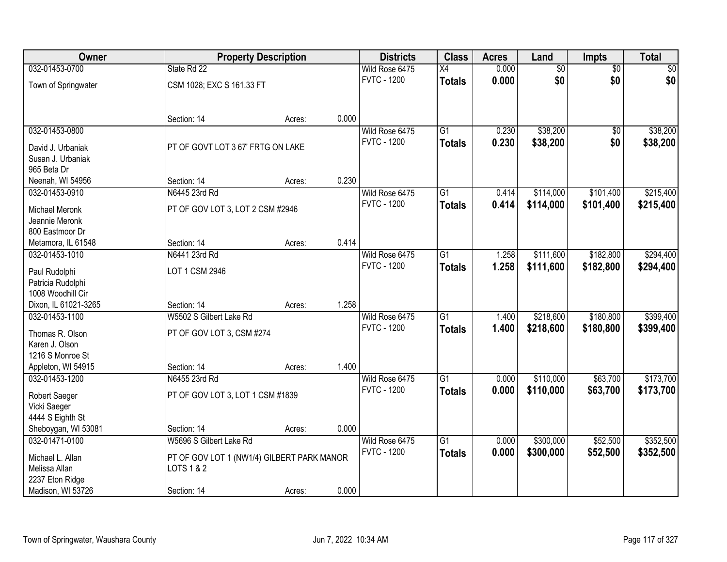| Owner                                |                                            | <b>Property Description</b> |       | <b>Districts</b>                     | <b>Class</b>    | <b>Acres</b> | Land            | Impts           | <b>Total</b> |
|--------------------------------------|--------------------------------------------|-----------------------------|-------|--------------------------------------|-----------------|--------------|-----------------|-----------------|--------------|
| 032-01453-0700                       | State Rd 22                                |                             |       | Wild Rose 6475                       | $\overline{X4}$ | 0.000        | $\overline{60}$ | $\overline{50}$ | \$0          |
| Town of Springwater                  | CSM 1028; EXC S 161.33 FT                  |                             |       | <b>FVTC - 1200</b>                   | <b>Totals</b>   | 0.000        | \$0             | \$0             | \$0          |
|                                      | Section: 14                                | Acres:                      | 0.000 |                                      |                 |              |                 |                 |              |
| 032-01453-0800                       |                                            |                             |       | Wild Rose 6475                       | $\overline{G1}$ | 0.230        | \$38,200        | $\overline{50}$ | \$38,200     |
| David J. Urbaniak                    | PT OF GOVT LOT 3 67' FRTG ON LAKE          |                             |       | <b>FVTC - 1200</b>                   | <b>Totals</b>   | 0.230        | \$38,200        | \$0             | \$38,200     |
| Susan J. Urbaniak                    |                                            |                             |       |                                      |                 |              |                 |                 |              |
| 965 Beta Dr                          |                                            |                             |       |                                      |                 |              |                 |                 |              |
| Neenah, WI 54956                     | Section: 14                                | Acres:                      | 0.230 |                                      |                 |              |                 |                 |              |
| 032-01453-0910                       | N6445 23rd Rd                              |                             |       | Wild Rose 6475                       | $\overline{G1}$ | 0.414        | \$114,000       | \$101,400       | \$215,400    |
| <b>Michael Meronk</b>                | PT OF GOV LOT 3, LOT 2 CSM #2946           |                             |       | <b>FVTC - 1200</b>                   | <b>Totals</b>   | 0.414        | \$114,000       | \$101,400       | \$215,400    |
| Jeannie Meronk                       |                                            |                             |       |                                      |                 |              |                 |                 |              |
| 800 Eastmoor Dr                      |                                            |                             |       |                                      |                 |              |                 |                 |              |
| Metamora, IL 61548                   | Section: 14                                | Acres:                      | 0.414 |                                      |                 |              |                 |                 |              |
| 032-01453-1010                       | N6441 23rd Rd                              |                             |       | Wild Rose 6475                       | G1              | 1.258        | \$111,600       | \$182,800       | \$294,400    |
|                                      |                                            |                             |       | <b>FVTC - 1200</b>                   | <b>Totals</b>   | 1.258        | \$111,600       | \$182,800       | \$294,400    |
| Paul Rudolphi<br>Patricia Rudolphi   | LOT 1 CSM 2946                             |                             |       |                                      |                 |              |                 |                 |              |
| 1008 Woodhill Cir                    |                                            |                             |       |                                      |                 |              |                 |                 |              |
| Dixon, IL 61021-3265                 | Section: 14                                | Acres:                      | 1.258 |                                      |                 |              |                 |                 |              |
| 032-01453-1100                       | W5502 S Gilbert Lake Rd                    |                             |       | Wild Rose 6475                       | $\overline{G1}$ | 1.400        | \$218,600       | \$180,800       | \$399,400    |
|                                      |                                            |                             |       | <b>FVTC - 1200</b>                   | <b>Totals</b>   | 1.400        | \$218,600       | \$180,800       | \$399,400    |
| Thomas R. Olson                      | PT OF GOV LOT 3, CSM #274                  |                             |       |                                      |                 |              |                 |                 |              |
| Karen J. Olson                       |                                            |                             |       |                                      |                 |              |                 |                 |              |
| 1216 S Monroe St                     |                                            |                             | 1.400 |                                      |                 |              |                 |                 |              |
| Appleton, WI 54915<br>032-01453-1200 | Section: 14<br>N6455 23rd Rd               | Acres:                      |       |                                      | $\overline{G1}$ | 0.000        | \$110,000       | \$63,700        | \$173,700    |
|                                      |                                            |                             |       | Wild Rose 6475<br><b>FVTC - 1200</b> |                 | 0.000        | \$110,000       | \$63,700        | \$173,700    |
| Robert Saeger                        | PT OF GOV LOT 3, LOT 1 CSM #1839           |                             |       |                                      | <b>Totals</b>   |              |                 |                 |              |
| Vicki Saeger                         |                                            |                             |       |                                      |                 |              |                 |                 |              |
| 4444 S Eighth St                     |                                            |                             |       |                                      |                 |              |                 |                 |              |
| Sheboygan, WI 53081                  | Section: 14                                | Acres:                      | 0.000 |                                      |                 |              |                 |                 |              |
| 032-01471-0100                       | W5696 S Gilbert Lake Rd                    |                             |       | Wild Rose 6475                       | $\overline{G1}$ | 0.000        | \$300,000       | \$52,500        | \$352,500    |
| Michael L. Allan                     | PT OF GOV LOT 1 (NW1/4) GILBERT PARK MANOR |                             |       | <b>FVTC - 1200</b>                   | <b>Totals</b>   | 0.000        | \$300,000       | \$52,500        | \$352,500    |
| Melissa Allan                        | LOTS 1 & 2                                 |                             |       |                                      |                 |              |                 |                 |              |
| 2237 Eton Ridge                      |                                            |                             |       |                                      |                 |              |                 |                 |              |
| Madison, WI 53726                    | Section: 14                                | Acres:                      | 0.000 |                                      |                 |              |                 |                 |              |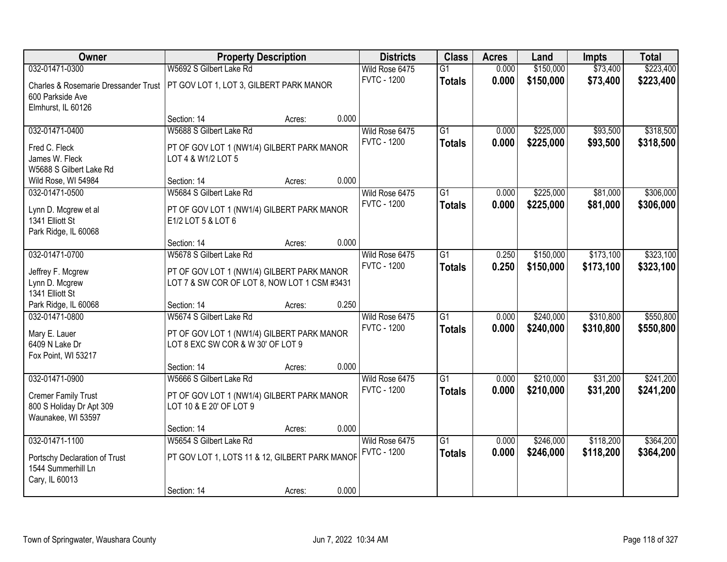| Owner                                                                        | <b>Property Description</b>                                                                                |        |       | <b>Districts</b>                     | <b>Class</b>                     | <b>Acres</b>   | Land                   | <b>Impts</b>           | <b>Total</b>           |
|------------------------------------------------------------------------------|------------------------------------------------------------------------------------------------------------|--------|-------|--------------------------------------|----------------------------------|----------------|------------------------|------------------------|------------------------|
| 032-01471-0300                                                               | W5692 S Gilbert Lake Rd                                                                                    |        |       | Wild Rose 6475                       | $\overline{G1}$                  | 0.000          | \$150,000              | \$73,400               | \$223,400              |
| Charles & Rosemarie Dressander Trust<br>600 Parkside Ave                     | PT GOV LOT 1, LOT 3, GILBERT PARK MANOR                                                                    |        |       | <b>FVTC - 1200</b>                   | <b>Totals</b>                    | 0.000          | \$150,000              | \$73,400               | \$223,400              |
| Elmhurst, IL 60126                                                           |                                                                                                            |        |       |                                      |                                  |                |                        |                        |                        |
|                                                                              | Section: 14                                                                                                | Acres: | 0.000 |                                      |                                  |                |                        |                        |                        |
| 032-01471-0400                                                               | W5688 S Gilbert Lake Rd                                                                                    |        |       | Wild Rose 6475                       | $\overline{G1}$                  | 0.000          | \$225,000              | \$93,500               | \$318,500              |
| Fred C. Fleck<br>James W. Fleck<br>W5688 S Gilbert Lake Rd                   | PT OF GOV LOT 1 (NW1/4) GILBERT PARK MANOR<br>LOT 4 & W1/2 LOT 5                                           |        |       | <b>FVTC - 1200</b>                   | <b>Totals</b>                    | 0.000          | \$225,000              | \$93,500               | \$318,500              |
| Wild Rose, WI 54984                                                          | Section: 14                                                                                                | Acres: | 0.000 |                                      |                                  |                |                        |                        |                        |
| 032-01471-0500                                                               | W5684 S Gilbert Lake Rd                                                                                    |        |       | Wild Rose 6475                       | G1                               | 0.000          | \$225,000              | \$81,000               | \$306,000              |
| Lynn D. Mcgrew et al<br>1341 Elliott St<br>Park Ridge, IL 60068              | PT OF GOV LOT 1 (NW1/4) GILBERT PARK MANOR<br>E1/2 LOT 5 & LOT 6                                           |        |       | <b>FVTC - 1200</b>                   | <b>Totals</b>                    | 0.000          | \$225,000              | \$81,000               | \$306,000              |
|                                                                              | Section: 14                                                                                                | Acres: | 0.000 |                                      |                                  |                |                        |                        |                        |
| 032-01471-0700                                                               | W5678 S Gilbert Lake Rd                                                                                    |        |       | Wild Rose 6475                       | $\overline{G1}$                  | 0.250          | \$150,000              | \$173,100              | \$323,100              |
| Jeffrey F. Mcgrew<br>Lynn D. Mcgrew<br>1341 Elliott St                       | PT OF GOV LOT 1 (NW1/4) GILBERT PARK MANOR<br>LOT 7 & SW COR OF LOT 8, NOW LOT 1 CSM #3431                 |        |       | <b>FVTC - 1200</b>                   | <b>Totals</b>                    | 0.250          | \$150,000              | \$173,100              | \$323,100              |
| Park Ridge, IL 60068                                                         | Section: 14                                                                                                | Acres: | 0.250 |                                      |                                  |                |                        |                        |                        |
| 032-01471-0800<br>Mary E. Lauer<br>6409 N Lake Dr<br>Fox Point, WI 53217     | W5674 S Gilbert Lake Rd<br>PT OF GOV LOT 1 (NW1/4) GILBERT PARK MANOR<br>LOT 8 EXC SW COR & W 30' OF LOT 9 |        |       | Wild Rose 6475<br><b>FVTC - 1200</b> | $\overline{G1}$<br><b>Totals</b> | 0.000<br>0.000 | \$240,000<br>\$240,000 | \$310,800<br>\$310,800 | \$550,800<br>\$550,800 |
|                                                                              | Section: 14                                                                                                | Acres: | 0.000 |                                      |                                  |                |                        |                        |                        |
| 032-01471-0900                                                               | W5666 S Gilbert Lake Rd                                                                                    |        |       | Wild Rose 6475                       | $\overline{G1}$                  | 0.000          | \$210,000              | \$31,200               | \$241,200              |
| <b>Cremer Family Trust</b><br>800 S Holiday Dr Apt 309<br>Waunakee, WI 53597 | PT OF GOV LOT 1 (NW1/4) GILBERT PARK MANOR<br>LOT 10 & E 20' OF LOT 9                                      |        |       | <b>FVTC - 1200</b>                   | <b>Totals</b>                    | 0.000          | \$210,000              | \$31,200               | \$241,200              |
|                                                                              | Section: 14                                                                                                | Acres: | 0.000 |                                      |                                  |                |                        |                        |                        |
| 032-01471-1100                                                               | W5654 S Gilbert Lake Rd                                                                                    |        |       | Wild Rose 6475                       | $\overline{G1}$                  | 0.000          | \$246,000              | \$118,200              | \$364,200              |
| Portschy Declaration of Trust<br>1544 Summerhill Ln<br>Cary, IL 60013        | PT GOV LOT 1, LOTS 11 & 12, GILBERT PARK MANOF                                                             |        |       | <b>FVTC - 1200</b>                   | <b>Totals</b>                    | 0.000          | \$246,000              | \$118,200              | \$364,200              |
|                                                                              | Section: 14                                                                                                | Acres: | 0.000 |                                      |                                  |                |                        |                        |                        |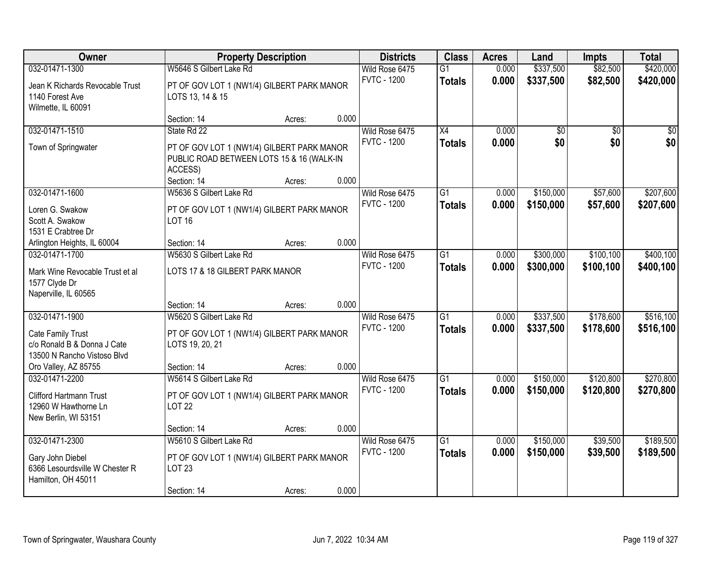| <b>Owner</b>                    |                                            | <b>Property Description</b> |       | <b>Districts</b>   | <b>Class</b>    | <b>Acres</b> | Land      | <b>Impts</b>    | <b>Total</b> |
|---------------------------------|--------------------------------------------|-----------------------------|-------|--------------------|-----------------|--------------|-----------|-----------------|--------------|
| 032-01471-1300                  | W5646 S Gilbert Lake Rd                    |                             |       | Wild Rose 6475     | $\overline{G1}$ | 0.000        | \$337,500 | \$82,500        | \$420,000    |
| Jean K Richards Revocable Trust | PT OF GOV LOT 1 (NW1/4) GILBERT PARK MANOR |                             |       | <b>FVTC - 1200</b> | <b>Totals</b>   | 0.000        | \$337,500 | \$82,500        | \$420,000    |
| 1140 Forest Ave                 | LOTS 13, 14 & 15                           |                             |       |                    |                 |              |           |                 |              |
| Wilmette, IL 60091              |                                            |                             |       |                    |                 |              |           |                 |              |
|                                 | Section: 14                                | Acres:                      | 0.000 |                    |                 |              |           |                 |              |
| 032-01471-1510                  | State Rd 22                                |                             |       | Wild Rose 6475     | X4              | 0.000        | \$0       | $\overline{50}$ | \$0          |
| Town of Springwater             | PT OF GOV LOT 1 (NW1/4) GILBERT PARK MANOR |                             |       | <b>FVTC - 1200</b> | <b>Totals</b>   | 0.000        | \$0       | \$0             | \$0          |
|                                 | PUBLIC ROAD BETWEEN LOTS 15 & 16 (WALK-IN  |                             |       |                    |                 |              |           |                 |              |
|                                 | ACCESS)                                    |                             |       |                    |                 |              |           |                 |              |
|                                 | Section: 14                                | Acres:                      | 0.000 |                    |                 |              |           |                 |              |
| 032-01471-1600                  | W5636 S Gilbert Lake Rd                    |                             |       | Wild Rose 6475     | G1              | 0.000        | \$150,000 | \$57,600        | \$207,600    |
| Loren G. Swakow                 | PT OF GOV LOT 1 (NW1/4) GILBERT PARK MANOR |                             |       | <b>FVTC - 1200</b> | <b>Totals</b>   | 0.000        | \$150,000 | \$57,600        | \$207,600    |
| Scott A. Swakow                 | <b>LOT 16</b>                              |                             |       |                    |                 |              |           |                 |              |
| 1531 E Crabtree Dr              |                                            |                             |       |                    |                 |              |           |                 |              |
| Arlington Heights, IL 60004     | Section: 14                                | Acres:                      | 0.000 |                    |                 |              |           |                 |              |
| 032-01471-1700                  | W5630 S Gilbert Lake Rd                    |                             |       | Wild Rose 6475     | $\overline{G1}$ | 0.000        | \$300,000 | \$100,100       | \$400,100    |
| Mark Wine Revocable Trust et al | LOTS 17 & 18 GILBERT PARK MANOR            |                             |       | <b>FVTC - 1200</b> | <b>Totals</b>   | 0.000        | \$300,000 | \$100,100       | \$400,100    |
| 1577 Clyde Dr                   |                                            |                             |       |                    |                 |              |           |                 |              |
| Naperville, IL 60565            |                                            |                             |       |                    |                 |              |           |                 |              |
|                                 | Section: 14                                | Acres:                      | 0.000 |                    |                 |              |           |                 |              |
| 032-01471-1900                  | W5620 S Gilbert Lake Rd                    |                             |       | Wild Rose 6475     | $\overline{G1}$ | 0.000        | \$337,500 | \$178,600       | \$516,100    |
| Cate Family Trust               | PT OF GOV LOT 1 (NW1/4) GILBERT PARK MANOR |                             |       | <b>FVTC - 1200</b> | <b>Totals</b>   | 0.000        | \$337,500 | \$178,600       | \$516,100    |
| c/o Ronald B & Donna J Cate     | LOTS 19, 20, 21                            |                             |       |                    |                 |              |           |                 |              |
| 13500 N Rancho Vistoso Blvd     |                                            |                             |       |                    |                 |              |           |                 |              |
| Oro Valley, AZ 85755            | Section: 14                                | Acres:                      | 0.000 |                    |                 |              |           |                 |              |
| 032-01471-2200                  | W5614 S Gilbert Lake Rd                    |                             |       | Wild Rose 6475     | $\overline{G1}$ | 0.000        | \$150,000 | \$120,800       | \$270,800    |
| <b>Clifford Hartmann Trust</b>  | PT OF GOV LOT 1 (NW1/4) GILBERT PARK MANOR |                             |       | <b>FVTC - 1200</b> | <b>Totals</b>   | 0.000        | \$150,000 | \$120,800       | \$270,800    |
| 12960 W Hawthorne Ln            | <b>LOT 22</b>                              |                             |       |                    |                 |              |           |                 |              |
| New Berlin, WI 53151            |                                            |                             |       |                    |                 |              |           |                 |              |
|                                 | Section: 14                                | Acres:                      | 0.000 |                    |                 |              |           |                 |              |
| 032-01471-2300                  | W5610 S Gilbert Lake Rd                    |                             |       | Wild Rose 6475     | $\overline{G1}$ | 0.000        | \$150,000 | \$39,500        | \$189,500    |
| Gary John Diebel                | PT OF GOV LOT 1 (NW1/4) GILBERT PARK MANOR |                             |       | <b>FVTC - 1200</b> | <b>Totals</b>   | 0.000        | \$150,000 | \$39,500        | \$189,500    |
| 6366 Lesourdsville W Chester R  | <b>LOT 23</b>                              |                             |       |                    |                 |              |           |                 |              |
| Hamilton, OH 45011              |                                            |                             |       |                    |                 |              |           |                 |              |
|                                 | Section: 14                                | Acres:                      | 0.000 |                    |                 |              |           |                 |              |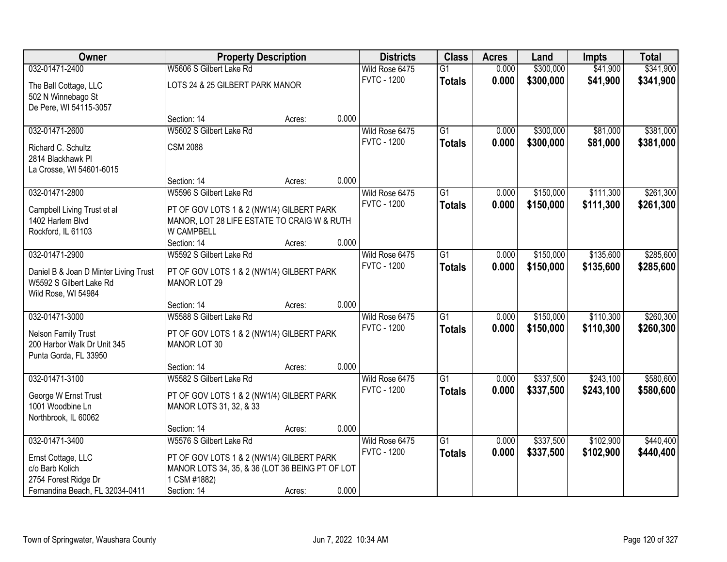| Owner                                                            | <b>Property Description</b>                                                                  |        |       | <b>Districts</b>   | <b>Class</b>    | <b>Acres</b> | Land      | <b>Impts</b> | <b>Total</b> |
|------------------------------------------------------------------|----------------------------------------------------------------------------------------------|--------|-------|--------------------|-----------------|--------------|-----------|--------------|--------------|
| 032-01471-2400                                                   | W5606 S Gilbert Lake Rd                                                                      |        |       | Wild Rose 6475     | $\overline{G1}$ | 0.000        | \$300,000 | \$41,900     | \$341,900    |
| The Ball Cottage, LLC                                            | LOTS 24 & 25 GILBERT PARK MANOR                                                              |        |       | <b>FVTC - 1200</b> | <b>Totals</b>   | 0.000        | \$300,000 | \$41,900     | \$341,900    |
| 502 N Winnebago St                                               |                                                                                              |        |       |                    |                 |              |           |              |              |
| De Pere, WI 54115-3057                                           |                                                                                              |        |       |                    |                 |              |           |              |              |
|                                                                  | Section: 14                                                                                  | Acres: | 0.000 |                    |                 |              |           |              |              |
| 032-01471-2600                                                   | W5602 S Gilbert Lake Rd                                                                      |        |       | Wild Rose 6475     | $\overline{G1}$ | 0.000        | \$300,000 | \$81,000     | \$381,000    |
| Richard C. Schultz                                               | <b>CSM 2088</b>                                                                              |        |       | <b>FVTC - 1200</b> | <b>Totals</b>   | 0.000        | \$300,000 | \$81,000     | \$381,000    |
| 2814 Blackhawk PI                                                |                                                                                              |        |       |                    |                 |              |           |              |              |
| La Crosse, WI 54601-6015                                         |                                                                                              |        |       |                    |                 |              |           |              |              |
|                                                                  | Section: 14                                                                                  | Acres: | 0.000 |                    |                 |              |           |              |              |
| 032-01471-2800                                                   | W5596 S Gilbert Lake Rd                                                                      |        |       | Wild Rose 6475     | $\overline{G1}$ | 0.000        | \$150,000 | \$111,300    | \$261,300    |
| Campbell Living Trust et al                                      | PT OF GOV LOTS 1 & 2 (NW1/4) GILBERT PARK                                                    |        |       | <b>FVTC - 1200</b> | <b>Totals</b>   | 0.000        | \$150,000 | \$111,300    | \$261,300    |
| 1402 Harlem Blvd                                                 | MANOR, LOT 28 LIFE ESTATE TO CRAIG W & RUTH                                                  |        |       |                    |                 |              |           |              |              |
| Rockford, IL 61103                                               | W CAMPBELL                                                                                   |        |       |                    |                 |              |           |              |              |
|                                                                  | Section: 14                                                                                  | Acres: | 0.000 |                    |                 |              |           |              |              |
| 032-01471-2900                                                   | W5592 S Gilbert Lake Rd                                                                      |        |       | Wild Rose 6475     | $\overline{G1}$ | 0.000        | \$150,000 | \$135,600    | \$285,600    |
|                                                                  |                                                                                              |        |       | <b>FVTC - 1200</b> | <b>Totals</b>   | 0.000        | \$150,000 | \$135,600    | \$285,600    |
| Daniel B & Joan D Minter Living Trust<br>W5592 S Gilbert Lake Rd | PT OF GOV LOTS 1 & 2 (NW1/4) GILBERT PARK<br><b>MANOR LOT 29</b>                             |        |       |                    |                 |              |           |              |              |
| Wild Rose, WI 54984                                              |                                                                                              |        |       |                    |                 |              |           |              |              |
|                                                                  | Section: 14                                                                                  | Acres: | 0.000 |                    |                 |              |           |              |              |
| 032-01471-3000                                                   | W5588 S Gilbert Lake Rd                                                                      |        |       | Wild Rose 6475     | $\overline{G1}$ | 0.000        | \$150,000 | \$110,300    | \$260,300    |
| Nelson Family Trust                                              |                                                                                              |        |       | <b>FVTC - 1200</b> | Totals          | 0.000        | \$150,000 | \$110,300    | \$260,300    |
| 200 Harbor Walk Dr Unit 345                                      | PT OF GOV LOTS 1 & 2 (NW1/4) GILBERT PARK<br><b>MANOR LOT 30</b>                             |        |       |                    |                 |              |           |              |              |
| Punta Gorda, FL 33950                                            |                                                                                              |        |       |                    |                 |              |           |              |              |
|                                                                  | Section: 14                                                                                  | Acres: | 0.000 |                    |                 |              |           |              |              |
| 032-01471-3100                                                   | W5582 S Gilbert Lake Rd                                                                      |        |       | Wild Rose 6475     | $\overline{G1}$ | 0.000        | \$337,500 | \$243,100    | \$580,600    |
|                                                                  |                                                                                              |        |       | <b>FVTC - 1200</b> | <b>Totals</b>   | 0.000        | \$337,500 | \$243,100    | \$580,600    |
| George W Ernst Trust<br>1001 Woodbine Ln                         | PT OF GOV LOTS 1 & 2 (NW1/4) GILBERT PARK<br>MANOR LOTS 31, 32, & 33                         |        |       |                    |                 |              |           |              |              |
| Northbrook, IL 60062                                             |                                                                                              |        |       |                    |                 |              |           |              |              |
|                                                                  | Section: 14                                                                                  | Acres: | 0.000 |                    |                 |              |           |              |              |
| 032-01471-3400                                                   | W5576 S Gilbert Lake Rd                                                                      |        |       | Wild Rose 6475     | $\overline{G1}$ | 0.000        | \$337,500 | \$102,900    | \$440,400    |
|                                                                  |                                                                                              |        |       | <b>FVTC - 1200</b> | <b>Totals</b>   | 0.000        | \$337,500 | \$102,900    | \$440,400    |
| Ernst Cottage, LLC<br>c/o Barb Kolich                            | PT OF GOV LOTS 1 & 2 (NW1/4) GILBERT PARK<br>MANOR LOTS 34, 35, & 36 (LOT 36 BEING PT OF LOT |        |       |                    |                 |              |           |              |              |
| 2754 Forest Ridge Dr                                             | 1 CSM #1882)                                                                                 |        |       |                    |                 |              |           |              |              |
| Fernandina Beach, FL 32034-0411                                  | Section: 14                                                                                  | Acres: | 0.000 |                    |                 |              |           |              |              |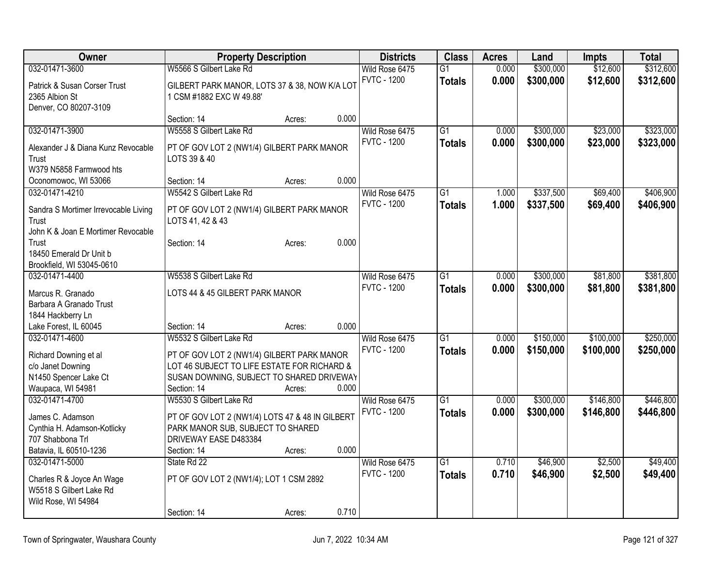| Owner                                         |                                                                | <b>Property Description</b> |       | <b>Districts</b>   | <b>Class</b>    | <b>Acres</b> | Land      | <b>Impts</b> | <b>Total</b> |
|-----------------------------------------------|----------------------------------------------------------------|-----------------------------|-------|--------------------|-----------------|--------------|-----------|--------------|--------------|
| 032-01471-3600                                | W5566 S Gilbert Lake Rd                                        |                             |       | Wild Rose 6475     | $\overline{G1}$ | 0.000        | \$300,000 | \$12,600     | \$312,600    |
| Patrick & Susan Corser Trust                  | GILBERT PARK MANOR, LOTS 37 & 38, NOW K/A LOT                  |                             |       | <b>FVTC - 1200</b> | <b>Totals</b>   | 0.000        | \$300,000 | \$12,600     | \$312,600    |
| 2365 Albion St                                | 1 CSM #1882 EXC W 49.88'                                       |                             |       |                    |                 |              |           |              |              |
| Denver, CO 80207-3109                         |                                                                |                             |       |                    |                 |              |           |              |              |
|                                               | Section: 14                                                    | Acres:                      | 0.000 |                    |                 |              |           |              |              |
| 032-01471-3900                                | W5558 S Gilbert Lake Rd                                        |                             |       | Wild Rose 6475     | $\overline{G1}$ | 0.000        | \$300,000 | \$23,000     | \$323,000    |
| Alexander J & Diana Kunz Revocable            | PT OF GOV LOT 2 (NW1/4) GILBERT PARK MANOR                     |                             |       | <b>FVTC - 1200</b> | <b>Totals</b>   | 0.000        | \$300,000 | \$23,000     | \$323,000    |
| Trust                                         | LOTS 39 & 40                                                   |                             |       |                    |                 |              |           |              |              |
| W379 N5858 Farmwood hts                       |                                                                |                             |       |                    |                 |              |           |              |              |
| Oconomowoc, WI 53066                          | Section: 14                                                    | Acres:                      | 0.000 |                    |                 |              |           |              |              |
| 032-01471-4210                                | W5542 S Gilbert Lake Rd                                        |                             |       | Wild Rose 6475     | $\overline{G1}$ | 1.000        | \$337,500 | \$69,400     | \$406,900    |
|                                               |                                                                |                             |       | <b>FVTC - 1200</b> | <b>Totals</b>   | 1.000        | \$337,500 | \$69,400     | \$406,900    |
| Sandra S Mortimer Irrevocable Living<br>Trust | PT OF GOV LOT 2 (NW1/4) GILBERT PARK MANOR<br>LOTS 41, 42 & 43 |                             |       |                    |                 |              |           |              |              |
| John K & Joan E Mortimer Revocable            |                                                                |                             |       |                    |                 |              |           |              |              |
| Trust                                         | Section: 14                                                    | Acres:                      | 0.000 |                    |                 |              |           |              |              |
| 18450 Emerald Dr Unit b                       |                                                                |                             |       |                    |                 |              |           |              |              |
| Brookfield, WI 53045-0610                     |                                                                |                             |       |                    |                 |              |           |              |              |
| 032-01471-4400                                | W5538 S Gilbert Lake Rd                                        |                             |       | Wild Rose 6475     | $\overline{G1}$ | 0.000        | \$300,000 | \$81,800     | \$381,800    |
|                                               |                                                                |                             |       | <b>FVTC - 1200</b> | <b>Totals</b>   | 0.000        | \$300,000 | \$81,800     | \$381,800    |
| Marcus R. Granado                             | LOTS 44 & 45 GILBERT PARK MANOR                                |                             |       |                    |                 |              |           |              |              |
| Barbara A Granado Trust                       |                                                                |                             |       |                    |                 |              |           |              |              |
| 1844 Hackberry Ln<br>Lake Forest, IL 60045    | Section: 14                                                    |                             | 0.000 |                    |                 |              |           |              |              |
| 032-01471-4600                                | W5532 S Gilbert Lake Rd                                        | Acres:                      |       | Wild Rose 6475     | $\overline{G1}$ | 0.000        | \$150,000 | \$100,000    | \$250,000    |
|                                               |                                                                |                             |       | <b>FVTC - 1200</b> | <b>Totals</b>   | 0.000        | \$150,000 | \$100,000    | \$250,000    |
| Richard Downing et al                         | PT OF GOV LOT 2 (NW1/4) GILBERT PARK MANOR                     |                             |       |                    |                 |              |           |              |              |
| c/o Janet Downing                             | LOT 46 SUBJECT TO LIFE ESTATE FOR RICHARD &                    |                             |       |                    |                 |              |           |              |              |
| N1450 Spencer Lake Ct                         | SUSAN DOWNING, SUBJECT TO SHARED DRIVEWAY                      |                             |       |                    |                 |              |           |              |              |
| Waupaca, WI 54981                             | Section: 14                                                    | Acres:                      | 0.000 |                    |                 |              |           |              |              |
| 032-01471-4700                                | W5530 S Gilbert Lake Rd                                        |                             |       | Wild Rose 6475     | G1              | 0.000        | \$300,000 | \$146,800    | \$446,800    |
| James C. Adamson                              | PT OF GOV LOT 2 (NW1/4) LOTS 47 & 48 IN GILBERT                |                             |       | <b>FVTC - 1200</b> | <b>Totals</b>   | 0.000        | \$300,000 | \$146,800    | \$446,800    |
| Cynthia H. Adamson-Kotlicky                   | PARK MANOR SUB, SUBJECT TO SHARED                              |                             |       |                    |                 |              |           |              |              |
| 707 Shabbona Trl                              | DRIVEWAY EASE D483384                                          |                             |       |                    |                 |              |           |              |              |
| Batavia, IL 60510-1236                        | Section: 14                                                    | Acres:                      | 0.000 |                    |                 |              |           |              |              |
| 032-01471-5000                                | State Rd 22                                                    |                             |       | Wild Rose 6475     | $\overline{G1}$ | 0.710        | \$46,900  | \$2,500      | \$49,400     |
| Charles R & Joyce An Wage                     | PT OF GOV LOT 2 (NW1/4); LOT 1 CSM 2892                        |                             |       | <b>FVTC - 1200</b> | <b>Totals</b>   | 0.710        | \$46,900  | \$2,500      | \$49,400     |
| W5518 S Gilbert Lake Rd                       |                                                                |                             |       |                    |                 |              |           |              |              |
| Wild Rose, WI 54984                           |                                                                |                             |       |                    |                 |              |           |              |              |
|                                               | Section: 14                                                    | Acres:                      | 0.710 |                    |                 |              |           |              |              |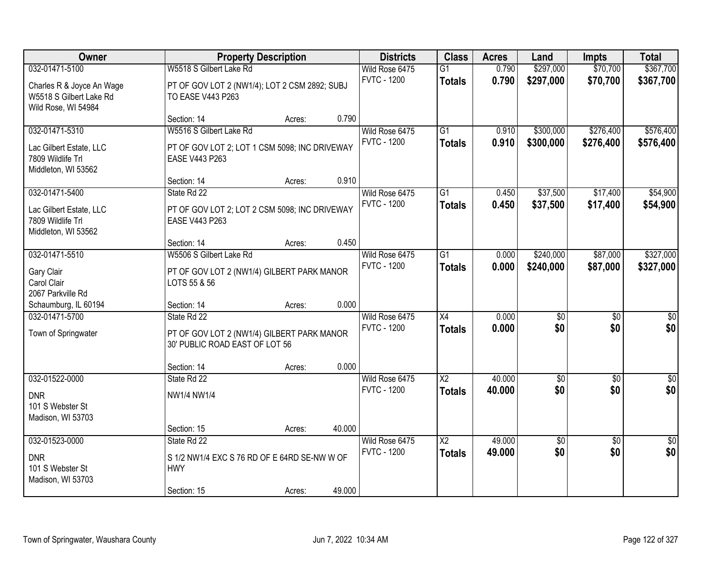| Owner                                                                                 |                                                                                                            | <b>Property Description</b> |        | <b>Districts</b>                     | <b>Class</b>                     | <b>Acres</b>   | Land                   | <b>Impts</b>           | <b>Total</b>           |
|---------------------------------------------------------------------------------------|------------------------------------------------------------------------------------------------------------|-----------------------------|--------|--------------------------------------|----------------------------------|----------------|------------------------|------------------------|------------------------|
| 032-01471-5100                                                                        | W5518 S Gilbert Lake Rd                                                                                    |                             |        | Wild Rose 6475                       | $\overline{G1}$                  | 0.790          | \$297,000              | \$70,700               | \$367,700              |
| Charles R & Joyce An Wage<br>W5518 S Gilbert Lake Rd<br>Wild Rose, WI 54984           | PT OF GOV LOT 2 (NW1/4); LOT 2 CSM 2892; SUBJ<br>TO EASE V443 P263                                         |                             |        | <b>FVTC - 1200</b>                   | <b>Totals</b>                    | 0.790          | \$297,000              | \$70,700               | \$367,700              |
|                                                                                       | Section: 14                                                                                                | Acres:                      | 0.790  |                                      |                                  |                |                        |                        |                        |
| 032-01471-5310<br>Lac Gilbert Estate, LLC<br>7809 Wildlife Trl<br>Middleton, WI 53562 | W5516 S Gilbert Lake Rd<br>PT OF GOV LOT 2; LOT 1 CSM 5098; INC DRIVEWAY<br>EASE V443 P263                 |                             |        | Wild Rose 6475<br><b>FVTC - 1200</b> | $\overline{G1}$<br><b>Totals</b> | 0.910<br>0.910 | \$300,000<br>\$300,000 | \$276,400<br>\$276,400 | \$576,400<br>\$576,400 |
|                                                                                       | Section: 14                                                                                                | Acres:                      | 0.910  |                                      |                                  |                |                        |                        |                        |
| 032-01471-5400<br>Lac Gilbert Estate, LLC<br>7809 Wildlife Trl<br>Middleton, WI 53562 | State Rd 22<br>PT OF GOV LOT 2; LOT 2 CSM 5098; INC DRIVEWAY<br>EASE V443 P263                             |                             |        | Wild Rose 6475<br><b>FVTC - 1200</b> | G1<br><b>Totals</b>              | 0.450<br>0.450 | \$37,500<br>\$37,500   | \$17,400<br>\$17,400   | \$54,900<br>\$54,900   |
|                                                                                       | Section: 14                                                                                                | Acres:                      | 0.450  |                                      |                                  |                |                        |                        |                        |
| 032-01471-5510<br>Gary Clair<br>Carol Clair<br>2067 Parkville Rd                      | W5506 S Gilbert Lake Rd<br>PT OF GOV LOT 2 (NW1/4) GILBERT PARK MANOR<br>LOTS 55 & 56                      |                             |        | Wild Rose 6475<br><b>FVTC - 1200</b> | $\overline{G1}$<br><b>Totals</b> | 0.000<br>0.000 | \$240,000<br>\$240,000 | \$87,000<br>\$87,000   | \$327,000<br>\$327,000 |
| Schaumburg, IL 60194                                                                  | Section: 14                                                                                                | Acres:                      | 0.000  |                                      |                                  |                |                        |                        |                        |
| 032-01471-5700<br>Town of Springwater                                                 | State Rd 22<br>PT OF GOV LOT 2 (NW1/4) GILBERT PARK MANOR<br>30' PUBLIC ROAD EAST OF LOT 56<br>Section: 14 | Acres:                      | 0.000  | Wild Rose 6475<br><b>FVTC - 1200</b> | $\overline{X4}$<br><b>Totals</b> | 0.000<br>0.000 | \$0<br>\$0             | $\overline{50}$<br>\$0 | \$0<br>\$0             |
| 032-01522-0000                                                                        | State Rd 22                                                                                                |                             |        | Wild Rose 6475                       | $\overline{\text{X2}}$           | 40.000         | $\sqrt{30}$            | $\overline{60}$        | $\sqrt{50}$            |
| <b>DNR</b><br>101 S Webster St<br>Madison, WI 53703                                   | NW1/4 NW1/4<br>Section: 15                                                                                 | Acres:                      | 40.000 | <b>FVTC - 1200</b>                   | <b>Totals</b>                    | 40.000         | \$0                    | \$0                    | \$0                    |
| 032-01523-0000                                                                        | State Rd 22                                                                                                |                             |        | Wild Rose 6475                       | $\overline{\mathsf{X2}}$         | 49.000         | $\sqrt{6}$             | $\overline{50}$        | $\overline{50}$        |
| <b>DNR</b><br>101 S Webster St<br>Madison, WI 53703                                   | S 1/2 NW1/4 EXC S 76 RD OF E 64RD SE-NW W OF<br><b>HWY</b><br>Section: 15                                  | Acres:                      | 49.000 | <b>FVTC - 1200</b>                   | <b>Totals</b>                    | 49.000         | \$0                    | \$0                    | \$0                    |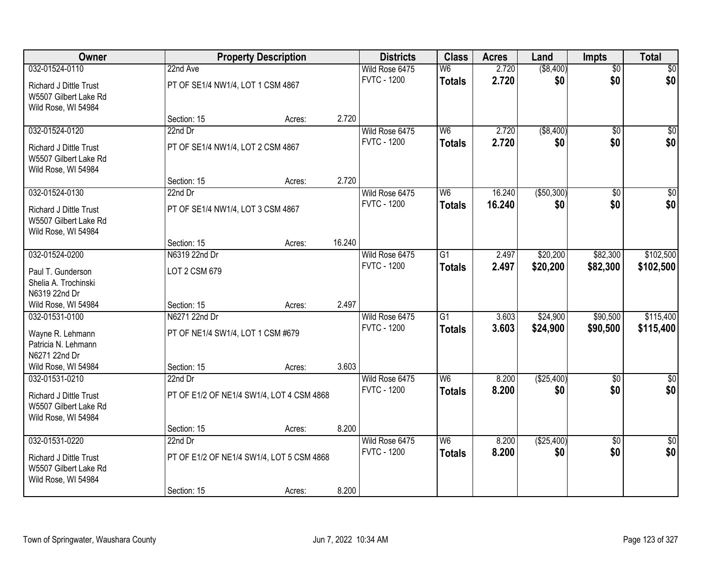| Owner                                                                                    |                                                        | <b>Property Description</b> |        | <b>Districts</b>                     | <b>Class</b>                     | <b>Acres</b>   | Land                 | <b>Impts</b>           | <b>Total</b>            |
|------------------------------------------------------------------------------------------|--------------------------------------------------------|-----------------------------|--------|--------------------------------------|----------------------------------|----------------|----------------------|------------------------|-------------------------|
| 032-01524-0110                                                                           | 22nd Ave                                               |                             |        | Wild Rose 6475                       | W <sub>6</sub>                   | 2.720          | ( \$8,400)           | $\overline{50}$        | \$0                     |
| Richard J Dittle Trust<br>W5507 Gilbert Lake Rd<br>Wild Rose, WI 54984                   | PT OF SE1/4 NW1/4, LOT 1 CSM 4867                      |                             |        | <b>FVTC - 1200</b>                   | <b>Totals</b>                    | 2.720          | \$0                  | \$0                    | \$0                     |
|                                                                                          | Section: 15                                            | Acres:                      | 2.720  |                                      |                                  |                |                      |                        |                         |
| 032-01524-0120                                                                           | 22nd Dr                                                |                             |        | Wild Rose 6475                       | W6                               | 2.720          | ( \$8,400)           | $\overline{50}$        | \$0                     |
| <b>Richard J Dittle Trust</b><br>W5507 Gilbert Lake Rd<br>Wild Rose, WI 54984            | PT OF SE1/4 NW1/4, LOT 2 CSM 4867                      |                             |        | <b>FVTC - 1200</b>                   | <b>Totals</b>                    | 2.720          | \$0                  | \$0                    | \$0                     |
|                                                                                          | Section: 15                                            | Acres:                      | 2.720  |                                      |                                  |                |                      |                        |                         |
| 032-01524-0130                                                                           | 22nd Dr                                                |                             |        | Wild Rose 6475                       | W <sub>6</sub>                   | 16.240         | ( \$50, 300)         | \$0                    | $\overline{50}$         |
| <b>Richard J Dittle Trust</b><br>W5507 Gilbert Lake Rd<br>Wild Rose, WI 54984            | PT OF SE1/4 NW1/4, LOT 3 CSM 4867                      |                             |        | <b>FVTC - 1200</b>                   | <b>Totals</b>                    | 16.240         | \$0                  | \$0                    | \$0                     |
|                                                                                          | Section: 15                                            | Acres:                      | 16.240 |                                      |                                  |                |                      |                        |                         |
| 032-01524-0200                                                                           | N6319 22nd Dr                                          |                             |        | Wild Rose 6475                       | G1                               | 2.497          | \$20,200             | \$82,300               | \$102,500               |
| Paul T. Gunderson<br>Shelia A. Trochinski<br>N6319 22nd Dr                               | LOT 2 CSM 679                                          |                             |        | <b>FVTC - 1200</b>                   | <b>Totals</b>                    | 2.497          | \$20,200             | \$82,300               | \$102,500               |
| Wild Rose, WI 54984                                                                      | Section: 15                                            | Acres:                      | 2.497  |                                      |                                  |                |                      |                        |                         |
| 032-01531-0100<br>Wayne R. Lehmann<br>Patricia N. Lehmann<br>N6271 22nd Dr               | N6271 22nd Dr<br>PT OF NE1/4 SW1/4, LOT 1 CSM #679     |                             |        | Wild Rose 6475<br><b>FVTC - 1200</b> | $\overline{G1}$<br><b>Totals</b> | 3.603<br>3.603 | \$24,900<br>\$24,900 | \$90,500<br>\$90,500   | \$115,400<br>\$115,400  |
| Wild Rose, WI 54984                                                                      | Section: 15                                            | Acres:                      | 3.603  |                                      |                                  |                |                      |                        |                         |
| 032-01531-0210<br>Richard J Dittle Trust<br>W5507 Gilbert Lake Rd<br>Wild Rose, WI 54984 | 22nd Dr<br>PT OF E1/2 OF NE1/4 SW1/4, LOT 4 CSM 4868   |                             |        | Wild Rose 6475<br><b>FVTC - 1200</b> | W <sub>6</sub><br><b>Totals</b>  | 8.200<br>8.200 | (\$25,400)<br>\$0    | $\overline{50}$<br>\$0 | $\overline{\$0}$<br>\$0 |
|                                                                                          | Section: 15                                            | Acres:                      | 8.200  |                                      |                                  |                |                      |                        |                         |
| 032-01531-0220<br>Richard J Dittle Trust<br>W5507 Gilbert Lake Rd<br>Wild Rose, WI 54984 | $22nd$ Dr<br>PT OF E1/2 OF NE1/4 SW1/4, LOT 5 CSM 4868 |                             |        | Wild Rose 6475<br><b>FVTC - 1200</b> | W6<br><b>Totals</b>              | 8.200<br>8.200 | ( \$25,400)<br>\$0   | $\overline{50}$<br>\$0 | $\overline{30}$<br>\$0  |
|                                                                                          | Section: 15                                            | Acres:                      | 8.200  |                                      |                                  |                |                      |                        |                         |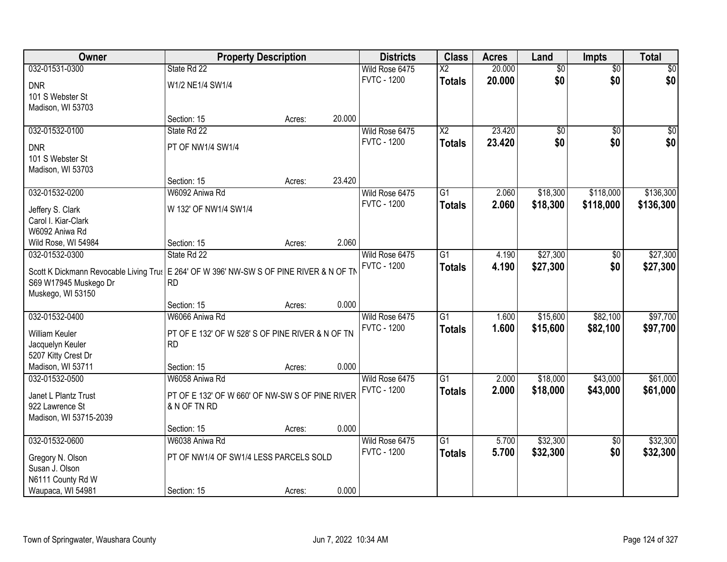| Owner                                                                                     | <b>Property Description</b>                                   |        |        | <b>Districts</b>   | <b>Class</b>    | <b>Acres</b> | Land            | <b>Impts</b>    | <b>Total</b> |
|-------------------------------------------------------------------------------------------|---------------------------------------------------------------|--------|--------|--------------------|-----------------|--------------|-----------------|-----------------|--------------|
| 032-01531-0300                                                                            | State Rd 22                                                   |        |        | Wild Rose 6475     | $\overline{X2}$ | 20.000       | $\overline{50}$ | $\overline{50}$ | \$0          |
| <b>DNR</b>                                                                                | W1/2 NE1/4 SW1/4                                              |        |        | <b>FVTC - 1200</b> | <b>Totals</b>   | 20.000       | \$0             | \$0             | \$0          |
| 101 S Webster St                                                                          |                                                               |        |        |                    |                 |              |                 |                 |              |
| Madison, WI 53703                                                                         |                                                               |        |        |                    |                 |              |                 |                 |              |
|                                                                                           | Section: 15                                                   | Acres: | 20.000 |                    |                 |              |                 |                 |              |
| 032-01532-0100                                                                            | State Rd 22                                                   |        |        | Wild Rose 6475     | $\overline{X2}$ | 23.420       | $\overline{50}$ | $\overline{50}$ | \$0          |
| <b>DNR</b>                                                                                | PT OF NW1/4 SW1/4                                             |        |        | <b>FVTC - 1200</b> | <b>Totals</b>   | 23.420       | \$0             | \$0             | \$0          |
| 101 S Webster St                                                                          |                                                               |        |        |                    |                 |              |                 |                 |              |
| Madison, WI 53703                                                                         |                                                               |        |        |                    |                 |              |                 |                 |              |
|                                                                                           | Section: 15                                                   | Acres: | 23.420 |                    |                 |              |                 |                 |              |
| 032-01532-0200                                                                            | W6092 Aniwa Rd                                                |        |        | Wild Rose 6475     | G1              | 2.060        | \$18,300        | \$118,000       | \$136,300    |
| Jeffery S. Clark                                                                          | W 132' OF NW1/4 SW1/4                                         |        |        | <b>FVTC - 1200</b> | <b>Totals</b>   | 2.060        | \$18,300        | \$118,000       | \$136,300    |
| Carol I. Kiar-Clark                                                                       |                                                               |        |        |                    |                 |              |                 |                 |              |
| W6092 Aniwa Rd                                                                            |                                                               |        |        |                    |                 |              |                 |                 |              |
| Wild Rose, WI 54984                                                                       | Section: 15                                                   | Acres: | 2.060  |                    |                 |              |                 |                 |              |
| 032-01532-0300                                                                            | State Rd 22                                                   |        |        | Wild Rose 6475     | $\overline{G1}$ | 4.190        | \$27,300        | $\sqrt[6]{}$    | \$27,300     |
| Scott K Dickmann Revocable Living Trus   E 264' OF W 396' NW-SW S OF PINE RIVER & N OF TN |                                                               |        |        | <b>FVTC - 1200</b> | <b>Totals</b>   | 4.190        | \$27,300        | \$0             | \$27,300     |
| S69 W17945 Muskego Dr                                                                     | <b>RD</b>                                                     |        |        |                    |                 |              |                 |                 |              |
| Muskego, WI 53150                                                                         |                                                               |        |        |                    |                 |              |                 |                 |              |
|                                                                                           | Section: 15                                                   | Acres: | 0.000  |                    |                 |              |                 |                 |              |
| 032-01532-0400                                                                            | W6066 Aniwa Rd                                                |        |        | Wild Rose 6475     | $\overline{G1}$ | 1.600        | \$15,600        | \$82,100        | \$97,700     |
|                                                                                           |                                                               |        |        | <b>FVTC - 1200</b> | <b>Totals</b>   | 1.600        | \$15,600        | \$82,100        | \$97,700     |
| William Keuler<br>Jacquelyn Keuler                                                        | PT OF E 132' OF W 528' S OF PINE RIVER & N OF TN<br><b>RD</b> |        |        |                    |                 |              |                 |                 |              |
| 5207 Kitty Crest Dr                                                                       |                                                               |        |        |                    |                 |              |                 |                 |              |
| Madison, WI 53711                                                                         | Section: 15                                                   | Acres: | 0.000  |                    |                 |              |                 |                 |              |
| 032-01532-0500                                                                            | W6058 Aniwa Rd                                                |        |        | Wild Rose 6475     | $\overline{G1}$ | 2.000        | \$18,000        | \$43,000        | \$61,000     |
|                                                                                           |                                                               |        |        | <b>FVTC - 1200</b> | <b>Totals</b>   | 2.000        | \$18,000        | \$43,000        | \$61,000     |
| Janet L Plantz Trust                                                                      | PT OF E 132' OF W 660' OF NW-SW S OF PINE RIVER               |        |        |                    |                 |              |                 |                 |              |
| 922 Lawrence St<br>Madison, WI 53715-2039                                                 | & N OF TN RD                                                  |        |        |                    |                 |              |                 |                 |              |
|                                                                                           | Section: 15                                                   | Acres: | 0.000  |                    |                 |              |                 |                 |              |
| 032-01532-0600                                                                            | W6038 Aniwa Rd                                                |        |        | Wild Rose 6475     | $\overline{G1}$ | 5.700        | \$32,300        | $\overline{60}$ | \$32,300     |
|                                                                                           |                                                               |        |        | <b>FVTC - 1200</b> | <b>Totals</b>   | 5.700        | \$32,300        | \$0             | \$32,300     |
| Gregory N. Olson                                                                          | PT OF NW1/4 OF SW1/4 LESS PARCELS SOLD                        |        |        |                    |                 |              |                 |                 |              |
| Susan J. Olson                                                                            |                                                               |        |        |                    |                 |              |                 |                 |              |
| N6111 County Rd W                                                                         |                                                               |        |        |                    |                 |              |                 |                 |              |
| Waupaca, WI 54981                                                                         | Section: 15                                                   | Acres: | 0.000  |                    |                 |              |                 |                 |              |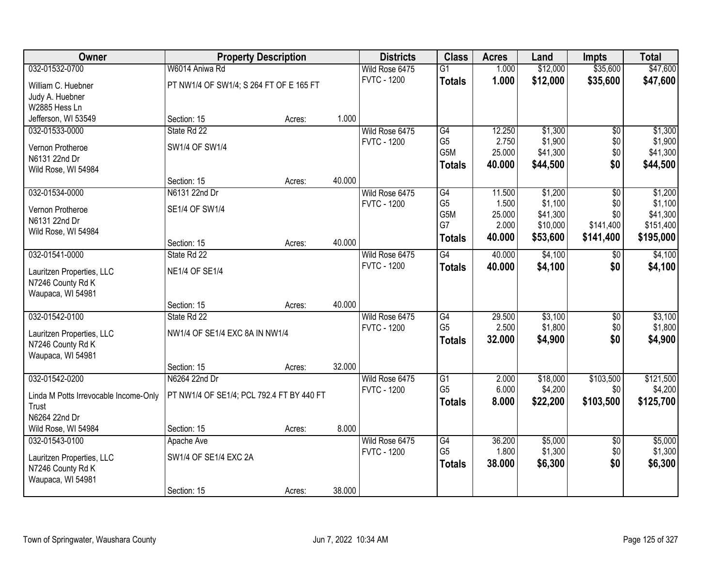| Owner                                 | <b>Property Description</b>               |        |        | <b>Districts</b>   | <b>Class</b>    | <b>Acres</b> | Land     | <b>Impts</b>    | <b>Total</b> |
|---------------------------------------|-------------------------------------------|--------|--------|--------------------|-----------------|--------------|----------|-----------------|--------------|
| 032-01532-0700                        | W6014 Aniwa Rd                            |        |        | Wild Rose 6475     | G1              | 1.000        | \$12,000 | \$35,600        | \$47,600     |
| William C. Huebner                    | PT NW1/4 OF SW1/4; S 264 FT OF E 165 FT   |        |        | <b>FVTC - 1200</b> | <b>Totals</b>   | 1.000        | \$12,000 | \$35,600        | \$47,600     |
| Judy A. Huebner                       |                                           |        |        |                    |                 |              |          |                 |              |
| W2885 Hess Ln                         |                                           |        |        |                    |                 |              |          |                 |              |
| Jefferson, WI 53549                   | Section: 15                               | Acres: | 1.000  |                    |                 |              |          |                 |              |
| 032-01533-0000                        | State Rd 22                               |        |        | Wild Rose 6475     | G4              | 12.250       | \$1,300  | $\overline{50}$ | \$1,300      |
| Vernon Protheroe                      | SW1/4 OF SW1/4                            |        |        | <b>FVTC - 1200</b> | G <sub>5</sub>  | 2.750        | \$1,900  | \$0             | \$1,900      |
| N6131 22nd Dr                         |                                           |        |        |                    | G5M             | 25.000       | \$41,300 | \$0             | \$41,300     |
| Wild Rose, WI 54984                   |                                           |        |        |                    | <b>Totals</b>   | 40.000       | \$44,500 | \$0             | \$44,500     |
|                                       | Section: 15                               | Acres: | 40.000 |                    |                 |              |          |                 |              |
| 032-01534-0000                        | N6131 22nd Dr                             |        |        | Wild Rose 6475     | G4              | 11.500       | \$1,200  | \$0             | \$1,200      |
| Vernon Protheroe                      | SE1/4 OF SW1/4                            |        |        | <b>FVTC - 1200</b> | G <sub>5</sub>  | 1.500        | \$1,100  | \$0             | \$1,100      |
| N6131 22nd Dr                         |                                           |        |        |                    | G5M             | 25.000       | \$41,300 | \$0             | \$41,300     |
| Wild Rose, WI 54984                   |                                           |        |        |                    | G7              | 2.000        | \$10,000 | \$141,400       | \$151,400    |
|                                       | Section: 15                               | Acres: | 40.000 |                    | <b>Totals</b>   | 40.000       | \$53,600 | \$141,400       | \$195,000    |
| 032-01541-0000                        | State Rd 22                               |        |        | Wild Rose 6475     | G4              | 40.000       | \$4,100  | $\frac{1}{20}$  | \$4,100      |
| Lauritzen Properties, LLC             | <b>NE1/4 OF SE1/4</b>                     |        |        | <b>FVTC - 1200</b> | <b>Totals</b>   | 40,000       | \$4,100  | \$0             | \$4,100      |
| N7246 County Rd K                     |                                           |        |        |                    |                 |              |          |                 |              |
| Waupaca, WI 54981                     |                                           |        |        |                    |                 |              |          |                 |              |
|                                       | Section: 15                               | Acres: | 40.000 |                    |                 |              |          |                 |              |
| 032-01542-0100                        | State Rd 22                               |        |        | Wild Rose 6475     | $\overline{G4}$ | 29.500       | \$3,100  | $\overline{50}$ | \$3,100      |
| Lauritzen Properties, LLC             | NW1/4 OF SE1/4 EXC 8A IN NW1/4            |        |        | <b>FVTC - 1200</b> | G <sub>5</sub>  | 2.500        | \$1,800  | \$0             | \$1,800      |
| N7246 County Rd K                     |                                           |        |        |                    | <b>Totals</b>   | 32.000       | \$4,900  | \$0             | \$4,900      |
| Waupaca, WI 54981                     |                                           |        |        |                    |                 |              |          |                 |              |
|                                       | Section: 15                               | Acres: | 32.000 |                    |                 |              |          |                 |              |
| 032-01542-0200                        | N6264 22nd Dr                             |        |        | Wild Rose 6475     | G1              | 2.000        | \$18,000 | \$103,500       | \$121,500    |
| Linda M Potts Irrevocable Income-Only | PT NW1/4 OF SE1/4; PCL 792.4 FT BY 440 FT |        |        | <b>FVTC - 1200</b> | G <sub>5</sub>  | 6.000        | \$4,200  | \$0             | \$4,200      |
| Trust                                 |                                           |        |        |                    | <b>Totals</b>   | 8.000        | \$22,200 | \$103,500       | \$125,700    |
| N6264 22nd Dr                         |                                           |        |        |                    |                 |              |          |                 |              |
| Wild Rose, WI 54984                   | Section: 15                               | Acres: | 8.000  |                    |                 |              |          |                 |              |
| 032-01543-0100                        | Apache Ave                                |        |        | Wild Rose 6475     | G4              | 36.200       | \$5,000  | $\overline{50}$ | \$5,000      |
| Lauritzen Properties, LLC             | SW1/4 OF SE1/4 EXC 2A                     |        |        | <b>FVTC - 1200</b> | G <sub>5</sub>  | 1.800        | \$1,300  | \$0             | \$1,300      |
| N7246 County Rd K                     |                                           |        |        |                    | <b>Totals</b>   | 38.000       | \$6,300  | \$0             | \$6,300      |
| Waupaca, WI 54981                     |                                           |        |        |                    |                 |              |          |                 |              |
|                                       | Section: 15                               | Acres: | 38.000 |                    |                 |              |          |                 |              |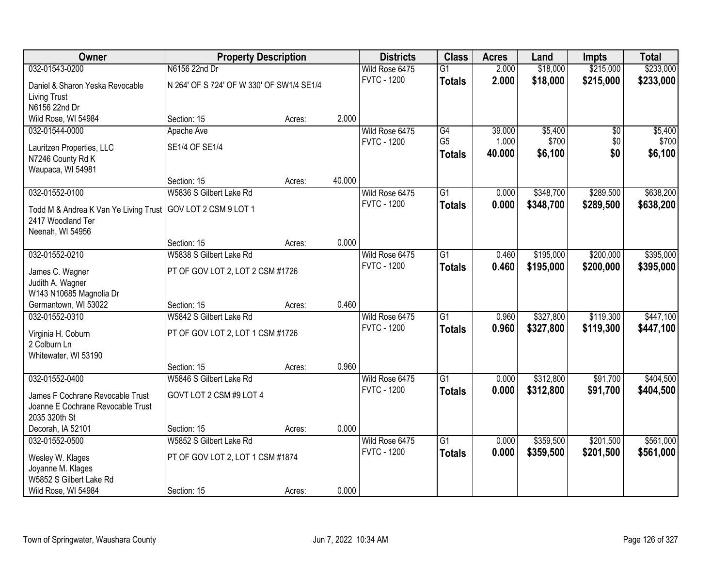| Owner                                                                 | <b>Property Description</b>               |        |        | <b>Districts</b>   | <b>Class</b>    | <b>Acres</b> | Land      | <b>Impts</b> | <b>Total</b> |
|-----------------------------------------------------------------------|-------------------------------------------|--------|--------|--------------------|-----------------|--------------|-----------|--------------|--------------|
| 032-01543-0200                                                        | N6156 22nd Dr                             |        |        | Wild Rose 6475     | $\overline{G1}$ | 2.000        | \$18,000  | \$215,000    | \$233,000    |
| Daniel & Sharon Yeska Revocable                                       | N 264' OF S 724' OF W 330' OF SW1/4 SE1/4 |        |        | <b>FVTC - 1200</b> | <b>Totals</b>   | 2.000        | \$18,000  | \$215,000    | \$233,000    |
| <b>Living Trust</b>                                                   |                                           |        |        |                    |                 |              |           |              |              |
| N6156 22nd Dr                                                         |                                           |        |        |                    |                 |              |           |              |              |
| Wild Rose, WI 54984                                                   | Section: 15                               | Acres: | 2.000  |                    |                 |              |           |              |              |
| 032-01544-0000                                                        | Apache Ave                                |        |        | Wild Rose 6475     | G4              | 39.000       | \$5,400   | \$0          | \$5,400      |
| Lauritzen Properties, LLC                                             | SE1/4 OF SE1/4                            |        |        | <b>FVTC - 1200</b> | G <sub>5</sub>  | 1.000        | \$700     | \$0          | \$700        |
| N7246 County Rd K                                                     |                                           |        |        |                    | <b>Totals</b>   | 40.000       | \$6,100   | \$0          | \$6,100      |
| Waupaca, WI 54981                                                     |                                           |        |        |                    |                 |              |           |              |              |
|                                                                       | Section: 15                               | Acres: | 40.000 |                    |                 |              |           |              |              |
| 032-01552-0100                                                        | W5836 S Gilbert Lake Rd                   |        |        | Wild Rose 6475     | $\overline{G1}$ | 0.000        | \$348,700 | \$289,500    | \$638,200    |
| Todd M & Andrea K Van Ye Living Trust   GOV LOT 2 CSM 9 LOT 1         |                                           |        |        | <b>FVTC - 1200</b> | <b>Totals</b>   | 0.000        | \$348,700 | \$289,500    | \$638,200    |
| 2417 Woodland Ter                                                     |                                           |        |        |                    |                 |              |           |              |              |
| Neenah, WI 54956                                                      |                                           |        |        |                    |                 |              |           |              |              |
|                                                                       | Section: 15                               | Acres: | 0.000  |                    |                 |              |           |              |              |
| 032-01552-0210                                                        | W5838 S Gilbert Lake Rd                   |        |        | Wild Rose 6475     | $\overline{G1}$ | 0.460        | \$195,000 | \$200,000    | \$395,000    |
| James C. Wagner                                                       | PT OF GOV LOT 2, LOT 2 CSM #1726          |        |        | <b>FVTC - 1200</b> | <b>Totals</b>   | 0.460        | \$195,000 | \$200,000    | \$395,000    |
| Judith A. Wagner                                                      |                                           |        |        |                    |                 |              |           |              |              |
| W143 N10685 Magnolia Dr                                               |                                           |        |        |                    |                 |              |           |              |              |
| Germantown, WI 53022                                                  | Section: 15                               | Acres: | 0.460  |                    |                 |              |           |              |              |
| 032-01552-0310                                                        | W5842 S Gilbert Lake Rd                   |        |        | Wild Rose 6475     | $\overline{G1}$ | 0.960        | \$327,800 | \$119,300    | \$447,100    |
|                                                                       | PT OF GOV LOT 2, LOT 1 CSM #1726          |        |        | <b>FVTC - 1200</b> | <b>Totals</b>   | 0.960        | \$327,800 | \$119,300    | \$447,100    |
| Virginia H. Coburn<br>2 Colburn Ln                                    |                                           |        |        |                    |                 |              |           |              |              |
| Whitewater, WI 53190                                                  |                                           |        |        |                    |                 |              |           |              |              |
|                                                                       | Section: 15                               | Acres: | 0.960  |                    |                 |              |           |              |              |
| 032-01552-0400                                                        | W5846 S Gilbert Lake Rd                   |        |        | Wild Rose 6475     | $\overline{G1}$ | 0.000        | \$312,800 | \$91,700     | \$404,500    |
|                                                                       | GOVT LOT 2 CSM #9 LOT 4                   |        |        | <b>FVTC - 1200</b> | <b>Totals</b>   | 0.000        | \$312,800 | \$91,700     | \$404,500    |
| James F Cochrane Revocable Trust<br>Joanne E Cochrane Revocable Trust |                                           |        |        |                    |                 |              |           |              |              |
| 2035 320th St                                                         |                                           |        |        |                    |                 |              |           |              |              |
| Decorah, IA 52101                                                     | Section: 15                               | Acres: | 0.000  |                    |                 |              |           |              |              |
| 032-01552-0500                                                        | W5852 S Gilbert Lake Rd                   |        |        | Wild Rose 6475     | $\overline{G1}$ | 0.000        | \$359,500 | \$201,500    | \$561,000    |
|                                                                       |                                           |        |        | <b>FVTC - 1200</b> | <b>Totals</b>   | 0.000        | \$359,500 | \$201,500    | \$561,000    |
| Wesley W. Klages                                                      | PT OF GOV LOT 2, LOT 1 CSM #1874          |        |        |                    |                 |              |           |              |              |
| Joyanne M. Klages<br>W5852 S Gilbert Lake Rd                          |                                           |        |        |                    |                 |              |           |              |              |
| Wild Rose, WI 54984                                                   | Section: 15                               | Acres: | 0.000  |                    |                 |              |           |              |              |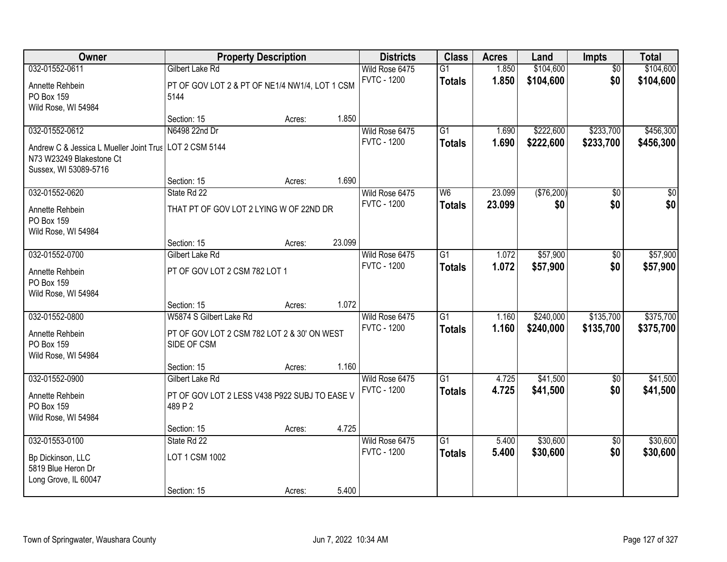| Owner                                   | <b>Property Description</b>                    |        |        | <b>Districts</b>                     | <b>Class</b>    | <b>Acres</b>   | Land        | <b>Impts</b>           | <b>Total</b> |
|-----------------------------------------|------------------------------------------------|--------|--------|--------------------------------------|-----------------|----------------|-------------|------------------------|--------------|
| 032-01552-0611                          | <b>Gilbert Lake Rd</b>                         |        |        | Wild Rose 6475                       | $\overline{G1}$ | 1.850          | \$104,600   | $\overline{50}$        | \$104,600    |
| Annette Rehbein                         | PT OF GOV LOT 2 & PT OF NE1/4 NW1/4, LOT 1 CSM |        |        | <b>FVTC - 1200</b>                   | <b>Totals</b>   | 1.850          | \$104,600   | \$0                    | \$104,600    |
| PO Box 159                              | 5144                                           |        |        |                                      |                 |                |             |                        |              |
| Wild Rose, WI 54984                     |                                                |        |        |                                      |                 |                |             |                        |              |
|                                         | Section: 15                                    | Acres: | 1.850  |                                      |                 |                |             |                        |              |
| 032-01552-0612                          | N6498 22nd Dr                                  |        |        | Wild Rose 6475                       | $\overline{G1}$ | 1.690          | \$222,600   | \$233,700              | \$456,300    |
| Andrew C & Jessica L Mueller Joint Trus | LOT 2 CSM 5144                                 |        |        | <b>FVTC - 1200</b>                   | <b>Totals</b>   | 1.690          | \$222,600   | \$233,700              | \$456,300    |
| N73 W23249 Blakestone Ct                |                                                |        |        |                                      |                 |                |             |                        |              |
| Sussex, WI 53089-5716                   |                                                |        |        |                                      |                 |                |             |                        |              |
|                                         | Section: 15                                    | Acres: | 1.690  |                                      |                 |                |             |                        |              |
| 032-01552-0620                          | State Rd 22                                    |        |        | Wild Rose 6475                       | W6              | 23.099         | ( \$76,200) | \$0                    | \$0          |
| Annette Rehbein                         | THAT PT OF GOV LOT 2 LYING W OF 22ND DR        |        |        | <b>FVTC - 1200</b>                   | <b>Totals</b>   | 23.099         | \$0         | \$0                    | \$0          |
| PO Box 159                              |                                                |        |        |                                      |                 |                |             |                        |              |
| Wild Rose, WI 54984                     |                                                |        |        |                                      |                 |                |             |                        |              |
|                                         | Section: 15                                    | Acres: | 23.099 |                                      |                 |                |             |                        |              |
| 032-01552-0700                          | Gilbert Lake Rd                                |        |        | Wild Rose 6475                       | $\overline{G1}$ | 1.072          | \$57,900    | \$0                    | \$57,900     |
| Annette Rehbein                         | PT OF GOV LOT 2 CSM 782 LOT 1                  |        |        | <b>FVTC - 1200</b>                   | <b>Totals</b>   | 1.072          | \$57,900    | \$0                    | \$57,900     |
| PO Box 159                              |                                                |        |        |                                      |                 |                |             |                        |              |
| Wild Rose, WI 54984                     |                                                |        |        |                                      |                 |                |             |                        |              |
|                                         | Section: 15                                    | Acres: | 1.072  |                                      |                 |                |             |                        |              |
| 032-01552-0800                          | W5874 S Gilbert Lake Rd                        |        |        | Wild Rose 6475                       | $\overline{G1}$ | 1.160          | \$240,000   | \$135,700              | \$375,700    |
| Annette Rehbein                         | PT OF GOV LOT 2 CSM 782 LOT 2 & 30' ON WEST    |        |        | <b>FVTC - 1200</b>                   | <b>Totals</b>   | 1.160          | \$240,000   | \$135,700              | \$375,700    |
| PO Box 159                              | SIDE OF CSM                                    |        |        |                                      |                 |                |             |                        |              |
| Wild Rose, WI 54984                     |                                                |        |        |                                      |                 |                |             |                        |              |
|                                         | Section: 15                                    | Acres: | 1.160  |                                      |                 |                |             |                        |              |
| 032-01552-0900                          | Gilbert Lake Rd                                |        |        | Wild Rose 6475<br><b>FVTC - 1200</b> | $\overline{G1}$ | 4.725          | \$41,500    | $\sqrt{6}$             | \$41,500     |
| Annette Rehbein                         | PT OF GOV LOT 2 LESS V438 P922 SUBJ TO EASE V  |        |        |                                      | <b>Totals</b>   | 4.725          | \$41,500    | \$0                    | \$41,500     |
| PO Box 159                              | 489 P 2                                        |        |        |                                      |                 |                |             |                        |              |
| Wild Rose, WI 54984                     |                                                |        |        |                                      |                 |                |             |                        |              |
|                                         | Section: 15                                    | Acres: | 4.725  |                                      |                 |                |             |                        |              |
| 032-01553-0100                          | State Rd 22                                    |        |        | Wild Rose 6475<br><b>FVTC - 1200</b> | $\overline{G1}$ | 5.400<br>5.400 | \$30,600    | $\overline{50}$<br>\$0 | \$30,600     |
| Bp Dickinson, LLC                       | LOT 1 CSM 1002                                 |        |        |                                      | <b>Totals</b>   |                | \$30,600    |                        | \$30,600     |
| 5819 Blue Heron Dr                      |                                                |        |        |                                      |                 |                |             |                        |              |
| Long Grove, IL 60047                    |                                                |        |        |                                      |                 |                |             |                        |              |
|                                         | Section: 15                                    | Acres: | 5.400  |                                      |                 |                |             |                        |              |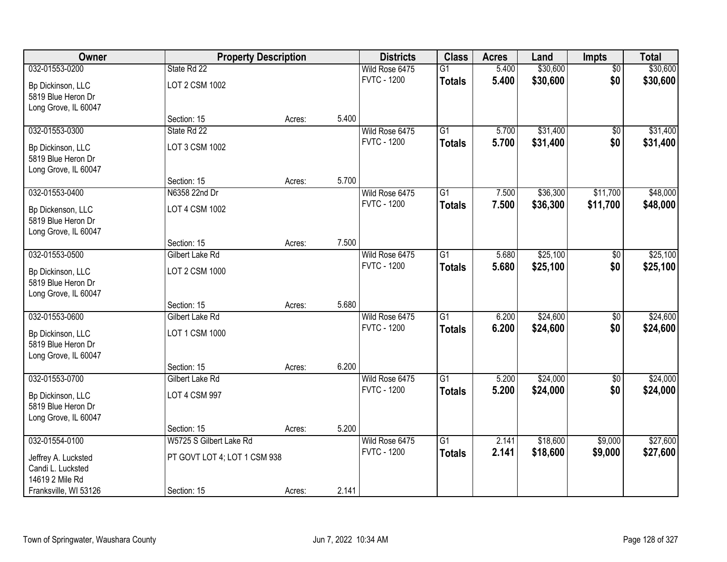| Owner                 | <b>Property Description</b>  |        |       | <b>Districts</b>   | <b>Class</b>    | <b>Acres</b> | Land     | <b>Impts</b>    | <b>Total</b> |
|-----------------------|------------------------------|--------|-------|--------------------|-----------------|--------------|----------|-----------------|--------------|
| 032-01553-0200        | State Rd 22                  |        |       | Wild Rose 6475     | G1              | 5.400        | \$30,600 | $\overline{50}$ | \$30,600     |
| Bp Dickinson, LLC     | LOT 2 CSM 1002               |        |       | <b>FVTC - 1200</b> | <b>Totals</b>   | 5.400        | \$30,600 | \$0             | \$30,600     |
| 5819 Blue Heron Dr    |                              |        |       |                    |                 |              |          |                 |              |
| Long Grove, IL 60047  |                              |        |       |                    |                 |              |          |                 |              |
|                       | Section: 15                  | Acres: | 5.400 |                    |                 |              |          |                 |              |
| 032-01553-0300        | State Rd 22                  |        |       | Wild Rose 6475     | $\overline{G1}$ | 5.700        | \$31,400 | \$0             | \$31,400     |
| Bp Dickinson, LLC     | LOT 3 CSM 1002               |        |       | <b>FVTC - 1200</b> | <b>Totals</b>   | 5.700        | \$31,400 | \$0             | \$31,400     |
| 5819 Blue Heron Dr    |                              |        |       |                    |                 |              |          |                 |              |
| Long Grove, IL 60047  |                              |        |       |                    |                 |              |          |                 |              |
|                       | Section: 15                  | Acres: | 5.700 |                    |                 |              |          |                 |              |
| 032-01553-0400        | N6358 22nd Dr                |        |       | Wild Rose 6475     | G1              | 7.500        | \$36,300 | \$11,700        | \$48,000     |
| Bp Dickenson, LLC     | LOT 4 CSM 1002               |        |       | <b>FVTC - 1200</b> | <b>Totals</b>   | 7.500        | \$36,300 | \$11,700        | \$48,000     |
| 5819 Blue Heron Dr    |                              |        |       |                    |                 |              |          |                 |              |
| Long Grove, IL 60047  |                              |        |       |                    |                 |              |          |                 |              |
|                       | Section: 15                  | Acres: | 7.500 |                    |                 |              |          |                 |              |
| 032-01553-0500        | Gilbert Lake Rd              |        |       | Wild Rose 6475     | $\overline{G1}$ | 5.680        | \$25,100 | $\sqrt[6]{}$    | \$25,100     |
| Bp Dickinson, LLC     | LOT 2 CSM 1000               |        |       | <b>FVTC - 1200</b> | <b>Totals</b>   | 5.680        | \$25,100 | \$0             | \$25,100     |
| 5819 Blue Heron Dr    |                              |        |       |                    |                 |              |          |                 |              |
| Long Grove, IL 60047  |                              |        |       |                    |                 |              |          |                 |              |
|                       | Section: 15                  | Acres: | 5.680 |                    |                 |              |          |                 |              |
| 032-01553-0600        | Gilbert Lake Rd              |        |       | Wild Rose 6475     | $\overline{G1}$ | 6.200        | \$24,600 | $\overline{50}$ | \$24,600     |
| Bp Dickinson, LLC     | LOT 1 CSM 1000               |        |       | <b>FVTC - 1200</b> | <b>Totals</b>   | 6.200        | \$24,600 | \$0             | \$24,600     |
| 5819 Blue Heron Dr    |                              |        |       |                    |                 |              |          |                 |              |
| Long Grove, IL 60047  |                              |        |       |                    |                 |              |          |                 |              |
|                       | Section: 15                  | Acres: | 6.200 |                    |                 |              |          |                 |              |
| 032-01553-0700        | Gilbert Lake Rd              |        |       | Wild Rose 6475     | $\overline{G1}$ | 5.200        | \$24,000 | $\sqrt{6}$      | \$24,000     |
| Bp Dickinson, LLC     | LOT 4 CSM 997                |        |       | <b>FVTC - 1200</b> | <b>Totals</b>   | 5.200        | \$24,000 | \$0             | \$24,000     |
| 5819 Blue Heron Dr    |                              |        |       |                    |                 |              |          |                 |              |
| Long Grove, IL 60047  |                              |        |       |                    |                 |              |          |                 |              |
|                       | Section: 15                  | Acres: | 5.200 |                    |                 |              |          |                 |              |
| 032-01554-0100        | W5725 S Gilbert Lake Rd      |        |       | Wild Rose 6475     | $\overline{G1}$ | 2.141        | \$18,600 | \$9,000         | \$27,600     |
| Jeffrey A. Lucksted   | PT GOVT LOT 4; LOT 1 CSM 938 |        |       | <b>FVTC - 1200</b> | <b>Totals</b>   | 2.141        | \$18,600 | \$9,000         | \$27,600     |
| Candi L. Lucksted     |                              |        |       |                    |                 |              |          |                 |              |
| 14619 2 Mile Rd       |                              |        |       |                    |                 |              |          |                 |              |
| Franksville, WI 53126 | Section: 15                  | Acres: | 2.141 |                    |                 |              |          |                 |              |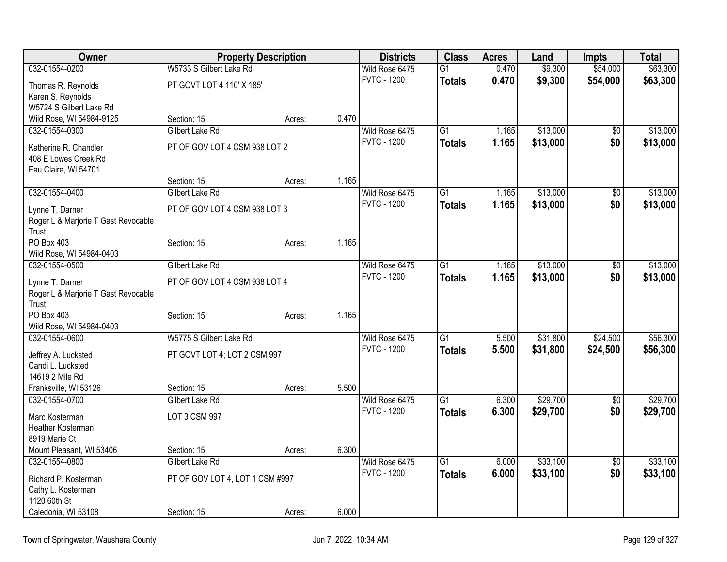| Owner                               |                                 | <b>Property Description</b> |       | <b>Districts</b>   | <b>Class</b>    | <b>Acres</b> | Land     | <b>Impts</b> | <b>Total</b> |
|-------------------------------------|---------------------------------|-----------------------------|-------|--------------------|-----------------|--------------|----------|--------------|--------------|
| 032-01554-0200                      | W5733 S Gilbert Lake Rd         |                             |       | Wild Rose 6475     | $\overline{G1}$ | 0.470        | \$9,300  | \$54,000     | \$63,300     |
| Thomas R. Reynolds                  | PT GOVT LOT 4 110' X 185'       |                             |       | <b>FVTC - 1200</b> | <b>Totals</b>   | 0.470        | \$9,300  | \$54,000     | \$63,300     |
| Karen S. Reynolds                   |                                 |                             |       |                    |                 |              |          |              |              |
| W5724 S Gilbert Lake Rd             |                                 |                             |       |                    |                 |              |          |              |              |
| Wild Rose, WI 54984-9125            | Section: 15                     | Acres:                      | 0.470 |                    |                 |              |          |              |              |
| 032-01554-0300                      | Gilbert Lake Rd                 |                             |       | Wild Rose 6475     | G1              | 1.165        | \$13,000 | \$0          | \$13,000     |
| Katherine R. Chandler               | PT OF GOV LOT 4 CSM 938 LOT 2   |                             |       | <b>FVTC - 1200</b> | <b>Totals</b>   | 1.165        | \$13,000 | \$0          | \$13,000     |
| 408 E Lowes Creek Rd                |                                 |                             |       |                    |                 |              |          |              |              |
| Eau Claire, WI 54701                |                                 |                             |       |                    |                 |              |          |              |              |
|                                     | Section: 15                     | Acres:                      | 1.165 |                    |                 |              |          |              |              |
| 032-01554-0400                      | Gilbert Lake Rd                 |                             |       | Wild Rose 6475     | G1              | 1.165        | \$13,000 | \$0          | \$13,000     |
| Lynne T. Darner                     | PT OF GOV LOT 4 CSM 938 LOT 3   |                             |       | <b>FVTC - 1200</b> | <b>Totals</b>   | 1.165        | \$13,000 | \$0          | \$13,000     |
| Roger L & Marjorie T Gast Revocable |                                 |                             |       |                    |                 |              |          |              |              |
| Trust                               |                                 |                             |       |                    |                 |              |          |              |              |
| <b>PO Box 403</b>                   | Section: 15                     | Acres:                      | 1.165 |                    |                 |              |          |              |              |
| Wild Rose, WI 54984-0403            |                                 |                             |       |                    |                 |              |          |              |              |
| 032-01554-0500                      | Gilbert Lake Rd                 |                             |       | Wild Rose 6475     | $\overline{G1}$ | 1.165        | \$13,000 | \$0          | \$13,000     |
| Lynne T. Darner                     | PT OF GOV LOT 4 CSM 938 LOT 4   |                             |       | <b>FVTC - 1200</b> | <b>Totals</b>   | 1.165        | \$13,000 | \$0          | \$13,000     |
| Roger L & Marjorie T Gast Revocable |                                 |                             |       |                    |                 |              |          |              |              |
| Trust                               |                                 |                             |       |                    |                 |              |          |              |              |
| PO Box 403                          | Section: 15                     | Acres:                      | 1.165 |                    |                 |              |          |              |              |
| Wild Rose, WI 54984-0403            |                                 |                             |       |                    |                 |              |          |              |              |
| 032-01554-0600                      | W5775 S Gilbert Lake Rd         |                             |       | Wild Rose 6475     | $\overline{G1}$ | 5.500        | \$31,800 | \$24,500     | \$56,300     |
| Jeffrey A. Lucksted                 | PT GOVT LOT 4; LOT 2 CSM 997    |                             |       | <b>FVTC - 1200</b> | <b>Totals</b>   | 5.500        | \$31,800 | \$24,500     | \$56,300     |
| Candi L. Lucksted                   |                                 |                             |       |                    |                 |              |          |              |              |
| 14619 2 Mile Rd                     |                                 |                             |       |                    |                 |              |          |              |              |
| Franksville, WI 53126               | Section: 15                     | Acres:                      | 5.500 |                    |                 |              |          |              |              |
| 032-01554-0700                      | Gilbert Lake Rd                 |                             |       | Wild Rose 6475     | G1              | 6.300        | \$29,700 | \$0          | \$29,700     |
| Marc Kosterman                      | LOT 3 CSM 997                   |                             |       | <b>FVTC - 1200</b> | <b>Totals</b>   | 6.300        | \$29,700 | \$0          | \$29,700     |
| Heather Kosterman                   |                                 |                             |       |                    |                 |              |          |              |              |
| 8919 Marie Ct                       |                                 |                             |       |                    |                 |              |          |              |              |
| Mount Pleasant, WI 53406            | Section: 15                     | Acres:                      | 6.300 |                    |                 |              |          |              |              |
| 032-01554-0800                      | Gilbert Lake Rd                 |                             |       | Wild Rose 6475     | G1              | 6.000        | \$33,100 | $\sqrt{$0}$  | \$33,100     |
| Richard P. Kosterman                | PT OF GOV LOT 4, LOT 1 CSM #997 |                             |       | <b>FVTC - 1200</b> | <b>Totals</b>   | 6.000        | \$33,100 | \$0          | \$33,100     |
| Cathy L. Kosterman                  |                                 |                             |       |                    |                 |              |          |              |              |
| 1120 60th St                        |                                 |                             |       |                    |                 |              |          |              |              |
| Caledonia, WI 53108                 | Section: 15                     | Acres:                      | 6.000 |                    |                 |              |          |              |              |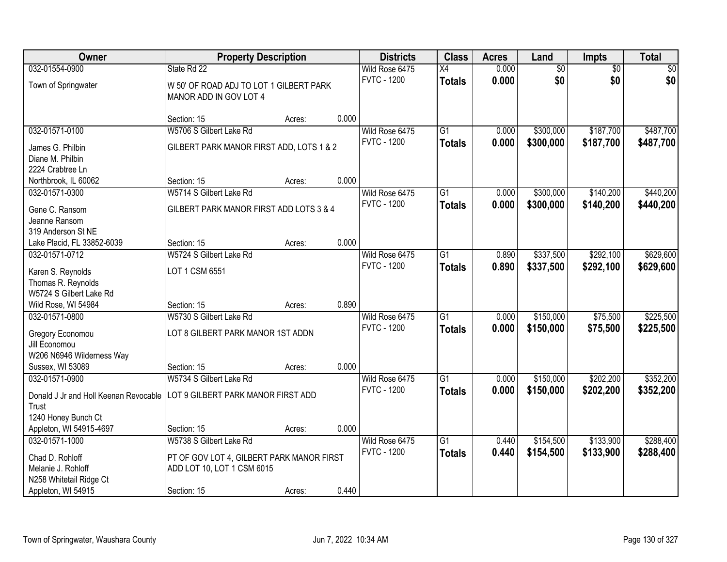| 032-01554-0900<br>0.000<br>$\overline{50}$<br>$\sqrt{30}$<br>Wild Rose 6475<br>$\overline{X4}$<br>$\overline{50}$<br>\$0<br>\$0<br>\$0<br><b>FVTC - 1200</b><br>0.000<br><b>Totals</b><br>Town of Springwater<br>W 50' OF ROAD ADJ TO LOT 1 GILBERT PARK<br>MANOR ADD IN GOV LOT 4<br>0.000<br>Section: 15<br>Acres:<br>\$487,700<br>032-01571-0100<br>W5706 S Gilbert Lake Rd<br>$\overline{G1}$<br>\$300,000<br>\$187,700<br>Wild Rose 6475<br>0.000<br><b>FVTC - 1200</b><br>0.000<br>\$300,000<br>\$187,700<br>\$487,700<br><b>Totals</b><br>GILBERT PARK MANOR FIRST ADD, LOTS 1 & 2<br>James G. Philbin<br>Diane M. Philbin<br>2224 Crabtree Ln<br>0.000<br>Northbrook, IL 60062<br>Section: 15<br>Acres:<br>\$140,200<br>\$440,200<br>032-01571-0300<br>W5714 S Gilbert Lake Rd<br>Wild Rose 6475<br>$\overline{G1}$<br>\$300,000<br>0.000<br><b>FVTC - 1200</b><br>0.000<br>\$300,000<br>\$140,200<br><b>Totals</b><br>GILBERT PARK MANOR FIRST ADD LOTS 3 & 4<br>Gene C. Ransom<br>Jeanne Ransom<br>319 Anderson St NE<br>0.000<br>Lake Placid, FL 33852-6039<br>Section: 15<br>Acres:<br>032-01571-0712<br>W5724 S Gilbert Lake Rd<br>$\overline{G1}$<br>\$337,500<br>\$292,100<br>Wild Rose 6475<br>0.890<br><b>FVTC - 1200</b><br>0.890<br>\$337,500<br>\$292,100<br>\$629,600<br><b>Totals</b><br>LOT 1 CSM 6551<br>Karen S. Reynolds<br>Thomas R. Reynolds<br>W5724 S Gilbert Lake Rd<br>0.890<br>Wild Rose, WI 54984<br>Section: 15<br>Acres:<br>$\overline{G1}$<br>\$150,000<br>\$75,500<br>032-01571-0800<br>W5730 S Gilbert Lake Rd<br>0.000<br>Wild Rose 6475<br><b>FVTC - 1200</b><br>0.000<br>\$150,000<br>\$75,500<br>\$225,500<br><b>Totals</b><br>LOT 8 GILBERT PARK MANOR 1ST ADDN<br>Gregory Economou<br>Jill Economou<br>W206 N6946 Wilderness Way<br>0.000<br>Sussex, WI 53089<br>Section: 15<br>Acres:<br>032-01571-0900<br>$\overline{G1}$<br>\$150,000<br>\$202,200<br>W5734 S Gilbert Lake Rd<br>Wild Rose 6475<br>0.000<br><b>FVTC - 1200</b><br>0.000<br>\$150,000<br>\$202,200<br><b>Totals</b><br>LOT 9 GILBERT PARK MANOR FIRST ADD<br>Donald J Jr and Holl Keenan Revocable<br>Trust<br>1240 Honey Bunch Ct<br>0.000<br>Appleton, WI 54915-4697<br>Section: 15<br>Acres:<br>\$133,900<br>032-01571-1000<br>W5738 S Gilbert Lake Rd<br>Wild Rose 6475<br>$\overline{G1}$<br>\$154,500<br>0.440<br><b>FVTC - 1200</b><br>0.440<br>\$288,400<br>\$154,500<br>\$133,900<br><b>Totals</b><br>Chad D. Rohloff<br>PT OF GOV LOT 4, GILBERT PARK MANOR FIRST<br>Melanie J. Rohloff<br>ADD LOT 10, LOT 1 CSM 6015<br>N258 Whitetail Ridge Ct | Owner              | <b>Property Description</b> |        |       | <b>Districts</b> | <b>Class</b> | <b>Acres</b> | Land | <b>Impts</b> | <b>Total</b> |
|---------------------------------------------------------------------------------------------------------------------------------------------------------------------------------------------------------------------------------------------------------------------------------------------------------------------------------------------------------------------------------------------------------------------------------------------------------------------------------------------------------------------------------------------------------------------------------------------------------------------------------------------------------------------------------------------------------------------------------------------------------------------------------------------------------------------------------------------------------------------------------------------------------------------------------------------------------------------------------------------------------------------------------------------------------------------------------------------------------------------------------------------------------------------------------------------------------------------------------------------------------------------------------------------------------------------------------------------------------------------------------------------------------------------------------------------------------------------------------------------------------------------------------------------------------------------------------------------------------------------------------------------------------------------------------------------------------------------------------------------------------------------------------------------------------------------------------------------------------------------------------------------------------------------------------------------------------------------------------------------------------------------------------------------------------------------------------------------------------------------------------------------------------------------------------------------------------------------------------------------------------------------------------------------------------------------------------------------------------------------------------------------------------------------------------------------------------------------------------------------------------------------------------------------------------------------------|--------------------|-----------------------------|--------|-------|------------------|--------------|--------------|------|--------------|--------------|
|                                                                                                                                                                                                                                                                                                                                                                                                                                                                                                                                                                                                                                                                                                                                                                                                                                                                                                                                                                                                                                                                                                                                                                                                                                                                                                                                                                                                                                                                                                                                                                                                                                                                                                                                                                                                                                                                                                                                                                                                                                                                                                                                                                                                                                                                                                                                                                                                                                                                                                                                                                           |                    | State Rd 22                 |        |       |                  |              |              |      |              |              |
|                                                                                                                                                                                                                                                                                                                                                                                                                                                                                                                                                                                                                                                                                                                                                                                                                                                                                                                                                                                                                                                                                                                                                                                                                                                                                                                                                                                                                                                                                                                                                                                                                                                                                                                                                                                                                                                                                                                                                                                                                                                                                                                                                                                                                                                                                                                                                                                                                                                                                                                                                                           |                    |                             |        |       |                  |              |              |      |              |              |
|                                                                                                                                                                                                                                                                                                                                                                                                                                                                                                                                                                                                                                                                                                                                                                                                                                                                                                                                                                                                                                                                                                                                                                                                                                                                                                                                                                                                                                                                                                                                                                                                                                                                                                                                                                                                                                                                                                                                                                                                                                                                                                                                                                                                                                                                                                                                                                                                                                                                                                                                                                           |                    |                             |        |       |                  |              |              |      |              |              |
|                                                                                                                                                                                                                                                                                                                                                                                                                                                                                                                                                                                                                                                                                                                                                                                                                                                                                                                                                                                                                                                                                                                                                                                                                                                                                                                                                                                                                                                                                                                                                                                                                                                                                                                                                                                                                                                                                                                                                                                                                                                                                                                                                                                                                                                                                                                                                                                                                                                                                                                                                                           |                    |                             |        |       |                  |              |              |      |              |              |
|                                                                                                                                                                                                                                                                                                                                                                                                                                                                                                                                                                                                                                                                                                                                                                                                                                                                                                                                                                                                                                                                                                                                                                                                                                                                                                                                                                                                                                                                                                                                                                                                                                                                                                                                                                                                                                                                                                                                                                                                                                                                                                                                                                                                                                                                                                                                                                                                                                                                                                                                                                           |                    |                             |        |       |                  |              |              |      |              |              |
|                                                                                                                                                                                                                                                                                                                                                                                                                                                                                                                                                                                                                                                                                                                                                                                                                                                                                                                                                                                                                                                                                                                                                                                                                                                                                                                                                                                                                                                                                                                                                                                                                                                                                                                                                                                                                                                                                                                                                                                                                                                                                                                                                                                                                                                                                                                                                                                                                                                                                                                                                                           |                    |                             |        |       |                  |              |              |      |              |              |
|                                                                                                                                                                                                                                                                                                                                                                                                                                                                                                                                                                                                                                                                                                                                                                                                                                                                                                                                                                                                                                                                                                                                                                                                                                                                                                                                                                                                                                                                                                                                                                                                                                                                                                                                                                                                                                                                                                                                                                                                                                                                                                                                                                                                                                                                                                                                                                                                                                                                                                                                                                           |                    |                             |        |       |                  |              |              |      |              |              |
|                                                                                                                                                                                                                                                                                                                                                                                                                                                                                                                                                                                                                                                                                                                                                                                                                                                                                                                                                                                                                                                                                                                                                                                                                                                                                                                                                                                                                                                                                                                                                                                                                                                                                                                                                                                                                                                                                                                                                                                                                                                                                                                                                                                                                                                                                                                                                                                                                                                                                                                                                                           |                    |                             |        |       |                  |              |              |      |              |              |
| \$440,200<br>\$629,600<br>\$225,500<br>\$352,200<br>\$288,400                                                                                                                                                                                                                                                                                                                                                                                                                                                                                                                                                                                                                                                                                                                                                                                                                                                                                                                                                                                                                                                                                                                                                                                                                                                                                                                                                                                                                                                                                                                                                                                                                                                                                                                                                                                                                                                                                                                                                                                                                                                                                                                                                                                                                                                                                                                                                                                                                                                                                                             |                    |                             |        |       |                  |              |              |      |              |              |
|                                                                                                                                                                                                                                                                                                                                                                                                                                                                                                                                                                                                                                                                                                                                                                                                                                                                                                                                                                                                                                                                                                                                                                                                                                                                                                                                                                                                                                                                                                                                                                                                                                                                                                                                                                                                                                                                                                                                                                                                                                                                                                                                                                                                                                                                                                                                                                                                                                                                                                                                                                           |                    |                             |        |       |                  |              |              |      |              |              |
|                                                                                                                                                                                                                                                                                                                                                                                                                                                                                                                                                                                                                                                                                                                                                                                                                                                                                                                                                                                                                                                                                                                                                                                                                                                                                                                                                                                                                                                                                                                                                                                                                                                                                                                                                                                                                                                                                                                                                                                                                                                                                                                                                                                                                                                                                                                                                                                                                                                                                                                                                                           |                    |                             |        |       |                  |              |              |      |              |              |
|                                                                                                                                                                                                                                                                                                                                                                                                                                                                                                                                                                                                                                                                                                                                                                                                                                                                                                                                                                                                                                                                                                                                                                                                                                                                                                                                                                                                                                                                                                                                                                                                                                                                                                                                                                                                                                                                                                                                                                                                                                                                                                                                                                                                                                                                                                                                                                                                                                                                                                                                                                           |                    |                             |        |       |                  |              |              |      |              |              |
|                                                                                                                                                                                                                                                                                                                                                                                                                                                                                                                                                                                                                                                                                                                                                                                                                                                                                                                                                                                                                                                                                                                                                                                                                                                                                                                                                                                                                                                                                                                                                                                                                                                                                                                                                                                                                                                                                                                                                                                                                                                                                                                                                                                                                                                                                                                                                                                                                                                                                                                                                                           |                    |                             |        |       |                  |              |              |      |              |              |
| \$352,200                                                                                                                                                                                                                                                                                                                                                                                                                                                                                                                                                                                                                                                                                                                                                                                                                                                                                                                                                                                                                                                                                                                                                                                                                                                                                                                                                                                                                                                                                                                                                                                                                                                                                                                                                                                                                                                                                                                                                                                                                                                                                                                                                                                                                                                                                                                                                                                                                                                                                                                                                                 |                    |                             |        |       |                  |              |              |      |              |              |
|                                                                                                                                                                                                                                                                                                                                                                                                                                                                                                                                                                                                                                                                                                                                                                                                                                                                                                                                                                                                                                                                                                                                                                                                                                                                                                                                                                                                                                                                                                                                                                                                                                                                                                                                                                                                                                                                                                                                                                                                                                                                                                                                                                                                                                                                                                                                                                                                                                                                                                                                                                           |                    |                             |        |       |                  |              |              |      |              |              |
|                                                                                                                                                                                                                                                                                                                                                                                                                                                                                                                                                                                                                                                                                                                                                                                                                                                                                                                                                                                                                                                                                                                                                                                                                                                                                                                                                                                                                                                                                                                                                                                                                                                                                                                                                                                                                                                                                                                                                                                                                                                                                                                                                                                                                                                                                                                                                                                                                                                                                                                                                                           |                    |                             |        |       |                  |              |              |      |              |              |
|                                                                                                                                                                                                                                                                                                                                                                                                                                                                                                                                                                                                                                                                                                                                                                                                                                                                                                                                                                                                                                                                                                                                                                                                                                                                                                                                                                                                                                                                                                                                                                                                                                                                                                                                                                                                                                                                                                                                                                                                                                                                                                                                                                                                                                                                                                                                                                                                                                                                                                                                                                           |                    |                             |        |       |                  |              |              |      |              |              |
|                                                                                                                                                                                                                                                                                                                                                                                                                                                                                                                                                                                                                                                                                                                                                                                                                                                                                                                                                                                                                                                                                                                                                                                                                                                                                                                                                                                                                                                                                                                                                                                                                                                                                                                                                                                                                                                                                                                                                                                                                                                                                                                                                                                                                                                                                                                                                                                                                                                                                                                                                                           |                    |                             |        |       |                  |              |              |      |              |              |
|                                                                                                                                                                                                                                                                                                                                                                                                                                                                                                                                                                                                                                                                                                                                                                                                                                                                                                                                                                                                                                                                                                                                                                                                                                                                                                                                                                                                                                                                                                                                                                                                                                                                                                                                                                                                                                                                                                                                                                                                                                                                                                                                                                                                                                                                                                                                                                                                                                                                                                                                                                           |                    |                             |        |       |                  |              |              |      |              |              |
|                                                                                                                                                                                                                                                                                                                                                                                                                                                                                                                                                                                                                                                                                                                                                                                                                                                                                                                                                                                                                                                                                                                                                                                                                                                                                                                                                                                                                                                                                                                                                                                                                                                                                                                                                                                                                                                                                                                                                                                                                                                                                                                                                                                                                                                                                                                                                                                                                                                                                                                                                                           |                    |                             |        |       |                  |              |              |      |              |              |
|                                                                                                                                                                                                                                                                                                                                                                                                                                                                                                                                                                                                                                                                                                                                                                                                                                                                                                                                                                                                                                                                                                                                                                                                                                                                                                                                                                                                                                                                                                                                                                                                                                                                                                                                                                                                                                                                                                                                                                                                                                                                                                                                                                                                                                                                                                                                                                                                                                                                                                                                                                           |                    |                             |        |       |                  |              |              |      |              |              |
|                                                                                                                                                                                                                                                                                                                                                                                                                                                                                                                                                                                                                                                                                                                                                                                                                                                                                                                                                                                                                                                                                                                                                                                                                                                                                                                                                                                                                                                                                                                                                                                                                                                                                                                                                                                                                                                                                                                                                                                                                                                                                                                                                                                                                                                                                                                                                                                                                                                                                                                                                                           |                    |                             |        |       |                  |              |              |      |              |              |
|                                                                                                                                                                                                                                                                                                                                                                                                                                                                                                                                                                                                                                                                                                                                                                                                                                                                                                                                                                                                                                                                                                                                                                                                                                                                                                                                                                                                                                                                                                                                                                                                                                                                                                                                                                                                                                                                                                                                                                                                                                                                                                                                                                                                                                                                                                                                                                                                                                                                                                                                                                           |                    |                             |        |       |                  |              |              |      |              |              |
|                                                                                                                                                                                                                                                                                                                                                                                                                                                                                                                                                                                                                                                                                                                                                                                                                                                                                                                                                                                                                                                                                                                                                                                                                                                                                                                                                                                                                                                                                                                                                                                                                                                                                                                                                                                                                                                                                                                                                                                                                                                                                                                                                                                                                                                                                                                                                                                                                                                                                                                                                                           |                    |                             |        |       |                  |              |              |      |              |              |
|                                                                                                                                                                                                                                                                                                                                                                                                                                                                                                                                                                                                                                                                                                                                                                                                                                                                                                                                                                                                                                                                                                                                                                                                                                                                                                                                                                                                                                                                                                                                                                                                                                                                                                                                                                                                                                                                                                                                                                                                                                                                                                                                                                                                                                                                                                                                                                                                                                                                                                                                                                           |                    |                             |        |       |                  |              |              |      |              |              |
|                                                                                                                                                                                                                                                                                                                                                                                                                                                                                                                                                                                                                                                                                                                                                                                                                                                                                                                                                                                                                                                                                                                                                                                                                                                                                                                                                                                                                                                                                                                                                                                                                                                                                                                                                                                                                                                                                                                                                                                                                                                                                                                                                                                                                                                                                                                                                                                                                                                                                                                                                                           |                    |                             |        |       |                  |              |              |      |              |              |
|                                                                                                                                                                                                                                                                                                                                                                                                                                                                                                                                                                                                                                                                                                                                                                                                                                                                                                                                                                                                                                                                                                                                                                                                                                                                                                                                                                                                                                                                                                                                                                                                                                                                                                                                                                                                                                                                                                                                                                                                                                                                                                                                                                                                                                                                                                                                                                                                                                                                                                                                                                           |                    |                             |        |       |                  |              |              |      |              |              |
|                                                                                                                                                                                                                                                                                                                                                                                                                                                                                                                                                                                                                                                                                                                                                                                                                                                                                                                                                                                                                                                                                                                                                                                                                                                                                                                                                                                                                                                                                                                                                                                                                                                                                                                                                                                                                                                                                                                                                                                                                                                                                                                                                                                                                                                                                                                                                                                                                                                                                                                                                                           |                    |                             |        |       |                  |              |              |      |              |              |
|                                                                                                                                                                                                                                                                                                                                                                                                                                                                                                                                                                                                                                                                                                                                                                                                                                                                                                                                                                                                                                                                                                                                                                                                                                                                                                                                                                                                                                                                                                                                                                                                                                                                                                                                                                                                                                                                                                                                                                                                                                                                                                                                                                                                                                                                                                                                                                                                                                                                                                                                                                           |                    |                             |        |       |                  |              |              |      |              |              |
|                                                                                                                                                                                                                                                                                                                                                                                                                                                                                                                                                                                                                                                                                                                                                                                                                                                                                                                                                                                                                                                                                                                                                                                                                                                                                                                                                                                                                                                                                                                                                                                                                                                                                                                                                                                                                                                                                                                                                                                                                                                                                                                                                                                                                                                                                                                                                                                                                                                                                                                                                                           |                    |                             |        |       |                  |              |              |      |              |              |
|                                                                                                                                                                                                                                                                                                                                                                                                                                                                                                                                                                                                                                                                                                                                                                                                                                                                                                                                                                                                                                                                                                                                                                                                                                                                                                                                                                                                                                                                                                                                                                                                                                                                                                                                                                                                                                                                                                                                                                                                                                                                                                                                                                                                                                                                                                                                                                                                                                                                                                                                                                           |                    |                             |        |       |                  |              |              |      |              |              |
|                                                                                                                                                                                                                                                                                                                                                                                                                                                                                                                                                                                                                                                                                                                                                                                                                                                                                                                                                                                                                                                                                                                                                                                                                                                                                                                                                                                                                                                                                                                                                                                                                                                                                                                                                                                                                                                                                                                                                                                                                                                                                                                                                                                                                                                                                                                                                                                                                                                                                                                                                                           |                    |                             |        |       |                  |              |              |      |              |              |
|                                                                                                                                                                                                                                                                                                                                                                                                                                                                                                                                                                                                                                                                                                                                                                                                                                                                                                                                                                                                                                                                                                                                                                                                                                                                                                                                                                                                                                                                                                                                                                                                                                                                                                                                                                                                                                                                                                                                                                                                                                                                                                                                                                                                                                                                                                                                                                                                                                                                                                                                                                           | Appleton, WI 54915 | Section: 15                 | Acres: | 0.440 |                  |              |              |      |              |              |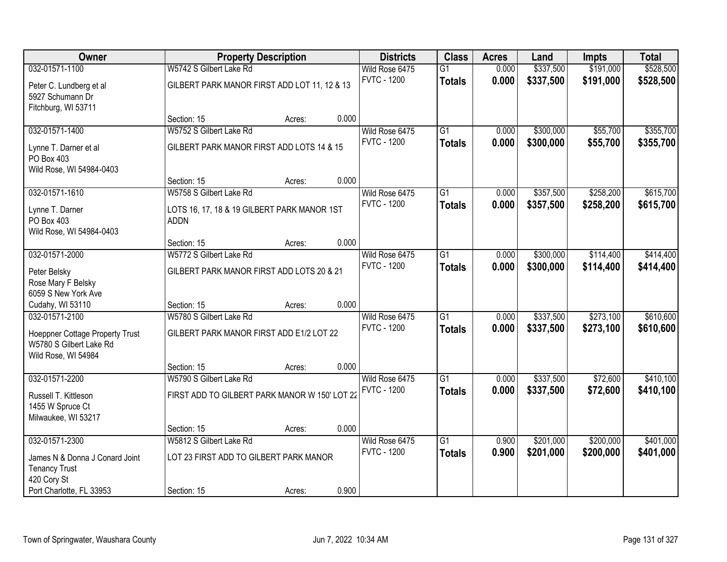| Owner                                                                                               |                                                                      | <b>Property Description</b> |       | <b>Districts</b>                     | <b>Class</b>                     | <b>Acres</b>   | Land                   | <b>Impts</b>           | <b>Total</b>           |
|-----------------------------------------------------------------------------------------------------|----------------------------------------------------------------------|-----------------------------|-------|--------------------------------------|----------------------------------|----------------|------------------------|------------------------|------------------------|
| 032-01571-1100                                                                                      | W5742 S Gilbert Lake Rd                                              |                             |       | Wild Rose 6475                       | $\overline{G1}$                  | 0.000          | \$337,500              | \$191,000              | \$528,500              |
| Peter C. Lundberg et al<br>5927 Schumann Dr<br>Fitchburg, WI 53711                                  | GILBERT PARK MANOR FIRST ADD LOT 11, 12 & 13                         |                             |       | <b>FVTC - 1200</b>                   | <b>Totals</b>                    | 0.000          | \$337,500              | \$191,000              | \$528,500              |
|                                                                                                     | Section: 15                                                          | Acres:                      | 0.000 |                                      |                                  |                |                        |                        |                        |
| 032-01571-1400<br>Lynne T. Darner et al<br>PO Box 403                                               | W5752 S Gilbert Lake Rd<br>GILBERT PARK MANOR FIRST ADD LOTS 14 & 15 |                             |       | Wild Rose 6475<br><b>FVTC - 1200</b> | G1<br><b>Totals</b>              | 0.000<br>0.000 | \$300,000<br>\$300,000 | \$55,700<br>\$55,700   | \$355,700<br>\$355,700 |
| Wild Rose, WI 54984-0403                                                                            | Section: 15                                                          | Acres:                      | 0.000 |                                      |                                  |                |                        |                        |                        |
| 032-01571-1610                                                                                      | W5758 S Gilbert Lake Rd                                              |                             |       | Wild Rose 6475                       | $\overline{G1}$                  | 0.000          | \$357,500              | \$258,200              | \$615,700              |
| Lynne T. Darner<br>PO Box 403<br>Wild Rose, WI 54984-0403                                           | LOTS 16, 17, 18 & 19 GILBERT PARK MANOR 1ST<br><b>ADDN</b>           |                             |       | <b>FVTC - 1200</b>                   | <b>Totals</b>                    | 0.000          | \$357,500              | \$258,200              | \$615,700              |
|                                                                                                     | Section: 15                                                          | Acres:                      | 0.000 |                                      |                                  |                |                        |                        |                        |
| 032-01571-2000                                                                                      | W5772 S Gilbert Lake Rd                                              |                             |       | Wild Rose 6475                       | $\overline{G1}$                  | 0.000          | \$300,000              | \$114,400              | \$414,400              |
| Peter Belsky<br>Rose Mary F Belsky<br>6059 S New York Ave                                           | GILBERT PARK MANOR FIRST ADD LOTS 20 & 21                            |                             |       | <b>FVTC - 1200</b>                   | <b>Totals</b>                    | 0.000          | \$300,000              | \$114,400              | \$414,400              |
| Cudahy, WI 53110                                                                                    | Section: 15                                                          | Acres:                      | 0.000 |                                      |                                  |                |                        |                        |                        |
| 032-01571-2100<br>Hoeppner Cottage Property Trust<br>W5780 S Gilbert Lake Rd<br>Wild Rose, WI 54984 | W5780 S Gilbert Lake Rd<br>GILBERT PARK MANOR FIRST ADD E1/2 LOT 22  |                             |       | Wild Rose 6475<br><b>FVTC - 1200</b> | $\overline{G1}$<br><b>Totals</b> | 0.000<br>0.000 | \$337,500<br>\$337,500 | \$273,100<br>\$273,100 | \$610,600<br>\$610,600 |
|                                                                                                     | Section: 15                                                          | Acres:                      | 0.000 |                                      |                                  |                |                        |                        |                        |
| 032-01571-2200                                                                                      | W5790 S Gilbert Lake Rd                                              |                             |       | Wild Rose 6475                       | $\overline{G1}$                  | 0.000          | \$337,500              | \$72,600               | \$410,100              |
| Russell T. Kittleson<br>1455 W Spruce Ct<br>Milwaukee, WI 53217                                     | FIRST ADD TO GILBERT PARK MANOR W 150' LOT 22                        |                             |       | <b>FVTC - 1200</b>                   | <b>Totals</b>                    | 0.000          | \$337,500              | \$72,600               | \$410,100              |
|                                                                                                     | Section: 15                                                          | Acres:                      | 0.000 |                                      |                                  |                |                        |                        |                        |
| 032-01571-2300                                                                                      | W5812 S Gilbert Lake Rd                                              |                             |       | Wild Rose 6475                       | $\overline{G1}$                  | 0.900          | \$201,000              | \$200,000              | \$401,000              |
| James N & Donna J Conard Joint<br><b>Tenancy Trust</b><br>420 Cory St                               | LOT 23 FIRST ADD TO GILBERT PARK MANOR                               |                             |       | <b>FVTC - 1200</b>                   | <b>Totals</b>                    | 0.900          | \$201,000              | \$200,000              | \$401,000              |
| Port Charlotte, FL 33953                                                                            | Section: 15                                                          | Acres:                      | 0.900 |                                      |                                  |                |                        |                        |                        |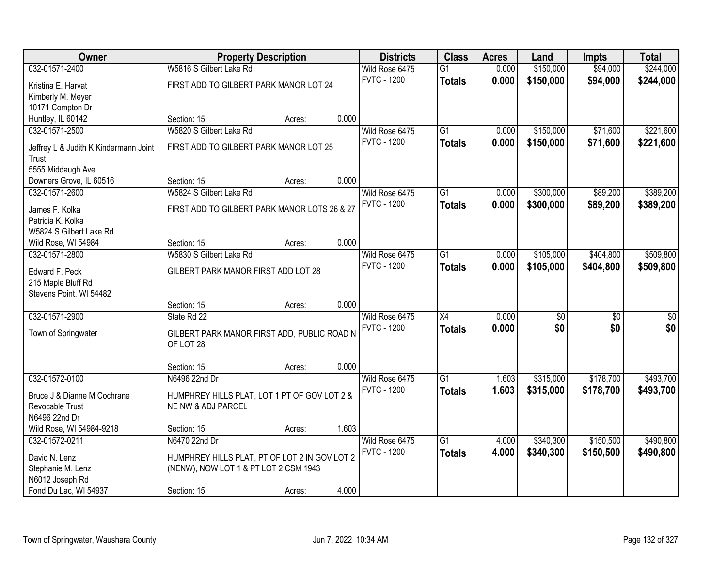| Owner                                        |                                               | <b>Property Description</b> |       | <b>Districts</b>   | <b>Class</b>    | <b>Acres</b> | Land            | <b>Impts</b>    | <b>Total</b> |
|----------------------------------------------|-----------------------------------------------|-----------------------------|-------|--------------------|-----------------|--------------|-----------------|-----------------|--------------|
| 032-01571-2400                               | W5816 S Gilbert Lake Rd                       |                             |       | Wild Rose 6475     | $\overline{G1}$ | 0.000        | \$150,000       | \$94,000        | \$244,000    |
| Kristina E. Harvat                           | FIRST ADD TO GILBERT PARK MANOR LOT 24        |                             |       | <b>FVTC - 1200</b> | <b>Totals</b>   | 0.000        | \$150,000       | \$94,000        | \$244,000    |
| Kimberly M. Meyer                            |                                               |                             |       |                    |                 |              |                 |                 |              |
| 10171 Compton Dr                             |                                               |                             |       |                    |                 |              |                 |                 |              |
| Huntley, IL 60142                            | Section: 15                                   | Acres:                      | 0.000 |                    |                 |              |                 |                 |              |
| 032-01571-2500                               | W5820 S Gilbert Lake Rd                       |                             |       | Wild Rose 6475     | $\overline{G1}$ | 0.000        | \$150,000       | \$71,600        | \$221,600    |
|                                              |                                               |                             |       | <b>FVTC - 1200</b> | <b>Totals</b>   | 0.000        | \$150,000       | \$71,600        | \$221,600    |
| Jeffrey L & Judith K Kindermann Joint        | FIRST ADD TO GILBERT PARK MANOR LOT 25        |                             |       |                    |                 |              |                 |                 |              |
| <b>Trust</b>                                 |                                               |                             |       |                    |                 |              |                 |                 |              |
| 5555 Middaugh Ave<br>Downers Grove, IL 60516 | Section: 15                                   |                             | 0.000 |                    |                 |              |                 |                 |              |
|                                              |                                               | Acres:                      |       |                    |                 |              |                 |                 |              |
| 032-01571-2600                               | W5824 S Gilbert Lake Rd                       |                             |       | Wild Rose 6475     | G1              | 0.000        | \$300,000       | \$89,200        | \$389,200    |
| James F. Kolka                               | FIRST ADD TO GILBERT PARK MANOR LOTS 26 & 27  |                             |       | <b>FVTC - 1200</b> | <b>Totals</b>   | 0.000        | \$300,000       | \$89,200        | \$389,200    |
| Patricia K. Kolka                            |                                               |                             |       |                    |                 |              |                 |                 |              |
| W5824 S Gilbert Lake Rd                      |                                               |                             |       |                    |                 |              |                 |                 |              |
| Wild Rose, WI 54984                          | Section: 15                                   | Acres:                      | 0.000 |                    |                 |              |                 |                 |              |
| 032-01571-2800                               | W5830 S Gilbert Lake Rd                       |                             |       | Wild Rose 6475     | $\overline{G1}$ | 0.000        | \$105,000       | \$404,800       | \$509,800    |
| Edward F. Peck                               | GILBERT PARK MANOR FIRST ADD LOT 28           |                             |       | <b>FVTC - 1200</b> | <b>Totals</b>   | 0.000        | \$105,000       | \$404,800       | \$509,800    |
| 215 Maple Bluff Rd                           |                                               |                             |       |                    |                 |              |                 |                 |              |
| Stevens Point, WI 54482                      |                                               |                             |       |                    |                 |              |                 |                 |              |
|                                              | Section: 15                                   | Acres:                      | 0.000 |                    |                 |              |                 |                 |              |
| 032-01571-2900                               | State Rd 22                                   |                             |       | Wild Rose 6475     | $\overline{X4}$ | 0.000        | $\overline{30}$ | $\overline{50}$ | \$0          |
|                                              |                                               |                             |       | <b>FVTC - 1200</b> | <b>Totals</b>   | 0.000        | \$0             | \$0             | \$0          |
| Town of Springwater                          | GILBERT PARK MANOR FIRST ADD, PUBLIC ROAD N   |                             |       |                    |                 |              |                 |                 |              |
|                                              | OF LOT 28                                     |                             |       |                    |                 |              |                 |                 |              |
|                                              |                                               |                             |       |                    |                 |              |                 |                 |              |
|                                              | Section: 15                                   | Acres:                      | 0.000 |                    |                 |              |                 |                 |              |
| 032-01572-0100                               | N6496 22nd Dr                                 |                             |       | Wild Rose 6475     | $\overline{G1}$ | 1.603        | \$315,000       | \$178,700       | \$493,700    |
| Bruce J & Dianne M Cochrane                  | HUMPHREY HILLS PLAT, LOT 1 PT OF GOV LOT 2 &  |                             |       | <b>FVTC - 1200</b> | <b>Totals</b>   | 1.603        | \$315,000       | \$178,700       | \$493,700    |
| Revocable Trust                              | NE NW & ADJ PARCEL                            |                             |       |                    |                 |              |                 |                 |              |
| N6496 22nd Dr                                |                                               |                             |       |                    |                 |              |                 |                 |              |
| Wild Rose, WI 54984-9218                     | Section: 15                                   | Acres:                      | 1.603 |                    |                 |              |                 |                 |              |
| 032-01572-0211                               | N6470 22nd Dr                                 |                             |       | Wild Rose 6475     | $\overline{G1}$ | 4.000        | \$340,300       | \$150,500       | \$490,800    |
| David N. Lenz                                | HUMPHREY HILLS PLAT, PT OF LOT 2 IN GOV LOT 2 |                             |       | <b>FVTC - 1200</b> | <b>Totals</b>   | 4.000        | \$340,300       | \$150,500       | \$490,800    |
| Stephanie M. Lenz                            | (NENW), NOW LOT 1 & PT LOT 2 CSM 1943         |                             |       |                    |                 |              |                 |                 |              |
| N6012 Joseph Rd                              |                                               |                             |       |                    |                 |              |                 |                 |              |
| Fond Du Lac, WI 54937                        | Section: 15                                   | Acres:                      | 4.000 |                    |                 |              |                 |                 |              |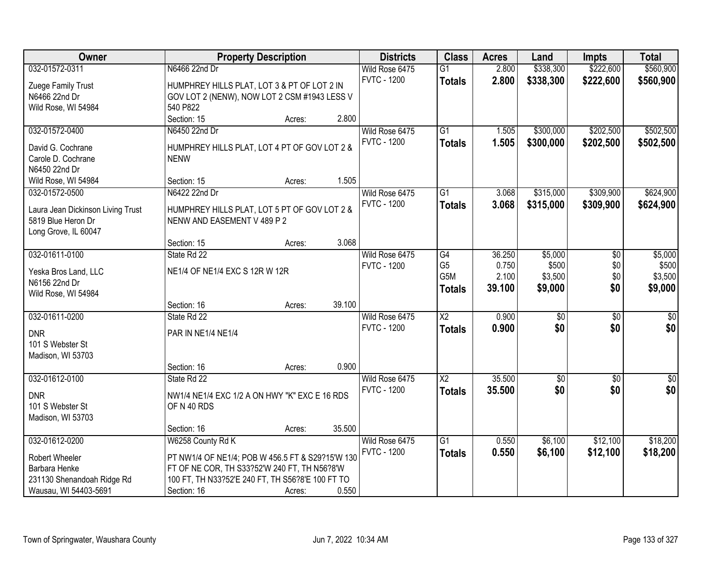| Owner                                   |                                                             | <b>Property Description</b> |        | <b>Districts</b>   | <b>Class</b>    | <b>Acres</b> | Land            | <b>Impts</b>    | <b>Total</b> |
|-----------------------------------------|-------------------------------------------------------------|-----------------------------|--------|--------------------|-----------------|--------------|-----------------|-----------------|--------------|
| 032-01572-0311                          | N6466 22nd Dr                                               |                             |        | Wild Rose 6475     | $\overline{G1}$ | 2.800        | \$338,300       | \$222,600       | \$560,900    |
| Zuege Family Trust                      | HUMPHREY HILLS PLAT, LOT 3 & PT OF LOT 2 IN                 |                             |        | <b>FVTC - 1200</b> | <b>Totals</b>   | 2.800        | \$338,300       | \$222,600       | \$560,900    |
| N6466 22nd Dr                           | GOV LOT 2 (NENW), NOW LOT 2 CSM #1943 LESS V                |                             |        |                    |                 |              |                 |                 |              |
| Wild Rose, WI 54984                     | 540 P822                                                    |                             |        |                    |                 |              |                 |                 |              |
|                                         | Section: 15                                                 | Acres:                      | 2.800  |                    |                 |              |                 |                 |              |
| 032-01572-0400                          | N6450 22nd Dr                                               |                             |        | Wild Rose 6475     | $\overline{G1}$ | 1.505        | \$300,000       | \$202,500       | \$502,500    |
|                                         |                                                             |                             |        | <b>FVTC - 1200</b> | <b>Totals</b>   | 1.505        | \$300,000       | \$202,500       | \$502,500    |
| David G. Cochrane<br>Carole D. Cochrane | HUMPHREY HILLS PLAT, LOT 4 PT OF GOV LOT 2 &<br><b>NENW</b> |                             |        |                    |                 |              |                 |                 |              |
| N6450 22nd Dr                           |                                                             |                             |        |                    |                 |              |                 |                 |              |
| Wild Rose, WI 54984                     | Section: 15                                                 | Acres:                      | 1.505  |                    |                 |              |                 |                 |              |
| 032-01572-0500                          | N6422 22nd Dr                                               |                             |        | Wild Rose 6475     | $\overline{G1}$ | 3.068        | \$315,000       | \$309,900       | \$624,900    |
|                                         |                                                             |                             |        | <b>FVTC - 1200</b> |                 | 3.068        | \$315,000       | \$309,900       | \$624,900    |
| Laura Jean Dickinson Living Trust       | HUMPHREY HILLS PLAT, LOT 5 PT OF GOV LOT 2 &                |                             |        |                    | <b>Totals</b>   |              |                 |                 |              |
| 5819 Blue Heron Dr                      | NENW AND EASEMENT V 489 P 2                                 |                             |        |                    |                 |              |                 |                 |              |
| Long Grove, IL 60047                    |                                                             |                             |        |                    |                 |              |                 |                 |              |
|                                         | Section: 15                                                 | Acres:                      | 3.068  |                    |                 |              |                 |                 |              |
| 032-01611-0100                          | State Rd 22                                                 |                             |        | Wild Rose 6475     | $\overline{G4}$ | 36.250       | \$5,000         | \$0             | \$5,000      |
| Yeska Bros Land, LLC                    | NE1/4 OF NE1/4 EXC S 12R W 12R                              |                             |        | <b>FVTC - 1200</b> | G <sub>5</sub>  | 0.750        | \$500           | \$0             | \$500        |
| N6156 22nd Dr                           |                                                             |                             |        |                    | G5M             | 2.100        | \$3,500         | \$0             | \$3,500      |
| Wild Rose, WI 54984                     |                                                             |                             |        |                    | <b>Totals</b>   | 39.100       | \$9,000         | \$0             | \$9,000      |
|                                         | Section: 16                                                 | Acres:                      | 39.100 |                    |                 |              |                 |                 |              |
| 032-01611-0200                          | State Rd 22                                                 |                             |        | Wild Rose 6475     | $\overline{X2}$ | 0.900        | $\overline{50}$ | $\overline{50}$ | $\sqrt{50}$  |
|                                         |                                                             |                             |        | <b>FVTC - 1200</b> | <b>Totals</b>   | 0.900        | \$0             | \$0             | \$0          |
| <b>DNR</b>                              | PAR IN NE1/4 NE1/4                                          |                             |        |                    |                 |              |                 |                 |              |
| 101 S Webster St                        |                                                             |                             |        |                    |                 |              |                 |                 |              |
| Madison, WI 53703                       | Section: 16                                                 |                             | 0.900  |                    |                 |              |                 |                 |              |
| 032-01612-0100                          | State Rd 22                                                 | Acres:                      |        | Wild Rose 6475     | $\overline{X2}$ | 35.500       | $\overline{60}$ | $\overline{50}$ | $\sqrt{50}$  |
|                                         |                                                             |                             |        | <b>FVTC - 1200</b> |                 |              | \$0             |                 |              |
| <b>DNR</b>                              | NW1/4 NE1/4 EXC 1/2 A ON HWY "K" EXC E 16 RDS               |                             |        |                    | <b>Totals</b>   | 35.500       |                 | \$0             | \$0          |
| 101 S Webster St                        | OF N 40 RDS                                                 |                             |        |                    |                 |              |                 |                 |              |
| Madison, WI 53703                       |                                                             |                             |        |                    |                 |              |                 |                 |              |
|                                         | Section: 16                                                 | Acres:                      | 35.500 |                    |                 |              |                 |                 |              |
| 032-01612-0200                          | W6258 County Rd K                                           |                             |        | Wild Rose 6475     | $\overline{G1}$ | 0.550        | \$6,100         | \$12,100        | \$18,200     |
| Robert Wheeler                          | PT NW1/4 OF NE1/4; POB W 456.5 FT & S29?15'W 130            |                             |        | <b>FVTC - 1200</b> | <b>Totals</b>   | 0.550        | \$6,100         | \$12,100        | \$18,200     |
| Barbara Henke                           | FT OF NE COR, TH S33?52'W 240 FT, TH N56?8'W                |                             |        |                    |                 |              |                 |                 |              |
| 231130 Shenandoah Ridge Rd              | 100 FT, TH N33?52'E 240 FT, TH S56?8'E 100 FT TO            |                             |        |                    |                 |              |                 |                 |              |
| Wausau, WI 54403-5691                   | Section: 16                                                 | Acres:                      | 0.550  |                    |                 |              |                 |                 |              |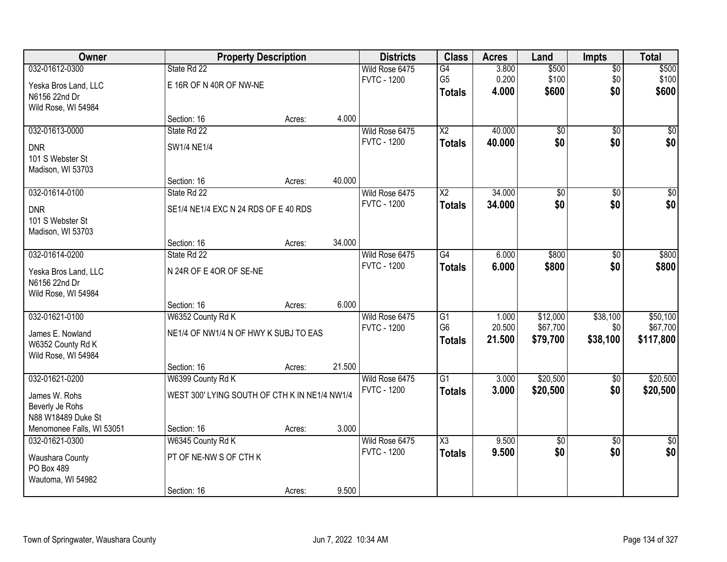| <b>Owner</b>              |                                               | <b>Property Description</b> |        | <b>Districts</b>   | <b>Class</b>                      | <b>Acres</b>     | Land                 | <b>Impts</b>    | <b>Total</b>          |
|---------------------------|-----------------------------------------------|-----------------------------|--------|--------------------|-----------------------------------|------------------|----------------------|-----------------|-----------------------|
| 032-01612-0300            | State Rd 22                                   |                             |        | Wild Rose 6475     | G4                                | 3.800            | \$500                | $\sqrt{$0}$     | \$500                 |
| Yeska Bros Land, LLC      | E 16R OF N 40R OF NW-NE                       |                             |        | <b>FVTC - 1200</b> | G <sub>5</sub>                    | 0.200            | \$100                | \$0             | \$100                 |
| N6156 22nd Dr             |                                               |                             |        |                    | <b>Totals</b>                     | 4.000            | \$600                | \$0             | \$600                 |
| Wild Rose, WI 54984       |                                               |                             |        |                    |                                   |                  |                      |                 |                       |
|                           | Section: 16                                   | Acres:                      | 4.000  |                    |                                   |                  |                      |                 |                       |
| 032-01613-0000            | State Rd 22                                   |                             |        | Wild Rose 6475     | $\overline{X2}$                   | 40.000           | $\overline{50}$      | $\overline{50}$ | $\overline{50}$       |
| <b>DNR</b>                | SW1/4 NE1/4                                   |                             |        | <b>FVTC - 1200</b> | <b>Totals</b>                     | 40.000           | \$0                  | \$0             | \$0                   |
| 101 S Webster St          |                                               |                             |        |                    |                                   |                  |                      |                 |                       |
| Madison, WI 53703         |                                               |                             |        |                    |                                   |                  |                      |                 |                       |
|                           | Section: 16                                   | Acres:                      | 40.000 |                    |                                   |                  |                      |                 |                       |
| 032-01614-0100            | State Rd 22                                   |                             |        | Wild Rose 6475     | X <sub>2</sub>                    | 34.000           | \$0                  | \$0             | $\overline{50}$       |
| <b>DNR</b>                | SE1/4 NE1/4 EXC N 24 RDS OF E 40 RDS          |                             |        | <b>FVTC - 1200</b> | <b>Totals</b>                     | 34.000           | \$0                  | \$0             | \$0                   |
| 101 S Webster St          |                                               |                             |        |                    |                                   |                  |                      |                 |                       |
| Madison, WI 53703         |                                               |                             |        |                    |                                   |                  |                      |                 |                       |
|                           | Section: 16                                   | Acres:                      | 34.000 |                    |                                   |                  |                      |                 |                       |
| 032-01614-0200            | State Rd 22                                   |                             |        | Wild Rose 6475     | $\overline{G4}$                   | 6.000            | \$800                | $\sqrt[6]{}$    | \$800                 |
| Yeska Bros Land, LLC      | N 24R OF E 4OR OF SE-NE                       |                             |        | <b>FVTC - 1200</b> | <b>Totals</b>                     | 6.000            | \$800                | \$0             | \$800                 |
| N6156 22nd Dr             |                                               |                             |        |                    |                                   |                  |                      |                 |                       |
| Wild Rose, WI 54984       |                                               |                             |        |                    |                                   |                  |                      |                 |                       |
|                           | Section: 16                                   | Acres:                      | 6.000  |                    |                                   |                  |                      |                 |                       |
| 032-01621-0100            | W6352 County Rd K                             |                             |        | Wild Rose 6475     | $\overline{G1}$<br>G <sub>6</sub> | 1.000            | \$12,000             | \$38,100        | \$50,100              |
| James E. Nowland          | NE1/4 OF NW1/4 N OF HWY K SUBJ TO EAS         |                             |        | <b>FVTC - 1200</b> |                                   | 20.500<br>21.500 | \$67,700<br>\$79,700 | \$0<br>\$38,100 | \$67,700<br>\$117,800 |
| W6352 County Rd K         |                                               |                             |        |                    | <b>Totals</b>                     |                  |                      |                 |                       |
| Wild Rose, WI 54984       |                                               |                             |        |                    |                                   |                  |                      |                 |                       |
|                           | Section: 16                                   | Acres:                      | 21.500 |                    |                                   |                  |                      |                 |                       |
| 032-01621-0200            | W6399 County Rd K                             |                             |        | Wild Rose 6475     | $\overline{G1}$                   | 3.000            | \$20,500             | $\overline{50}$ | \$20,500              |
| James W. Rohs             | WEST 300' LYING SOUTH OF CTH K IN NE1/4 NW1/4 |                             |        | <b>FVTC - 1200</b> | <b>Totals</b>                     | 3.000            | \$20,500             | \$0             | \$20,500              |
| Beverly Je Rohs           |                                               |                             |        |                    |                                   |                  |                      |                 |                       |
| N88 W18489 Duke St        |                                               |                             |        |                    |                                   |                  |                      |                 |                       |
| Menomonee Falls, WI 53051 | Section: 16                                   | Acres:                      | 3.000  |                    |                                   |                  |                      |                 |                       |
| 032-01621-0300            | W6345 County Rd K                             |                             |        | Wild Rose 6475     | $\overline{\text{X3}}$            | 9.500            | $\overline{50}$      | $\overline{50}$ | $\overline{30}$       |
| Waushara County           | PT OF NE-NW S OF CTH K                        |                             |        | <b>FVTC - 1200</b> | <b>Totals</b>                     | 9.500            | \$0                  | \$0             | \$0                   |
| PO Box 489                |                                               |                             |        |                    |                                   |                  |                      |                 |                       |
| Wautoma, WI 54982         |                                               |                             |        |                    |                                   |                  |                      |                 |                       |
|                           | Section: 16                                   | Acres:                      | 9.500  |                    |                                   |                  |                      |                 |                       |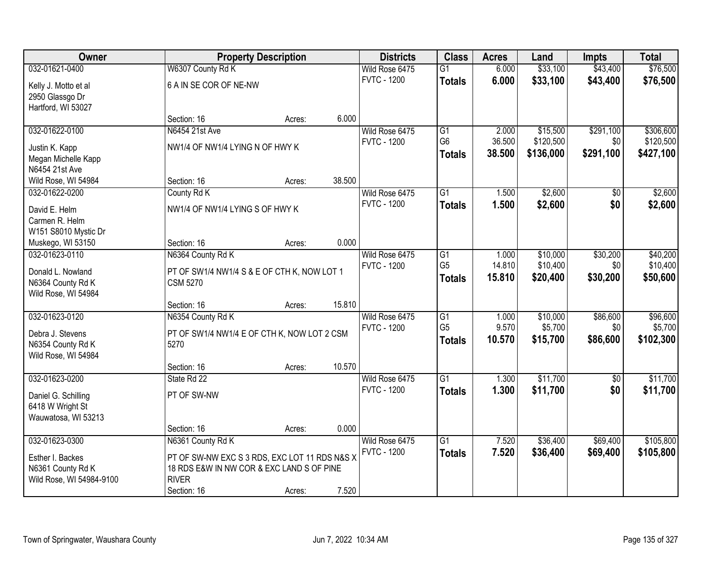| Owner                               |                                                           | <b>Property Description</b> |        | <b>Districts</b>   | <b>Class</b>    | <b>Acres</b> | Land      | <b>Impts</b>    | <b>Total</b> |
|-------------------------------------|-----------------------------------------------------------|-----------------------------|--------|--------------------|-----------------|--------------|-----------|-----------------|--------------|
| 032-01621-0400                      | W6307 County Rd K                                         |                             |        | Wild Rose 6475     | $\overline{G1}$ | 6.000        | \$33,100  | \$43,400        | \$76,500     |
| Kelly J. Motto et al                | 6 A IN SE COR OF NE-NW                                    |                             |        | <b>FVTC - 1200</b> | <b>Totals</b>   | 6.000        | \$33,100  | \$43,400        | \$76,500     |
| 2950 Glassgo Dr                     |                                                           |                             |        |                    |                 |              |           |                 |              |
| Hartford, WI 53027                  |                                                           |                             |        |                    |                 |              |           |                 |              |
|                                     | Section: 16                                               | Acres:                      | 6.000  |                    |                 |              |           |                 |              |
| 032-01622-0100                      | N6454 21st Ave                                            |                             |        | Wild Rose 6475     | $\overline{G1}$ | 2.000        | \$15,500  | \$291,100       | \$306,600    |
| Justin K. Kapp                      | NW1/4 OF NW1/4 LYING N OF HWY K                           |                             |        | <b>FVTC - 1200</b> | G <sub>6</sub>  | 36.500       | \$120,500 | \$0             | \$120,500    |
| Megan Michelle Kapp                 |                                                           |                             |        |                    | <b>Totals</b>   | 38.500       | \$136,000 | \$291,100       | \$427,100    |
| N6454 21st Ave                      |                                                           |                             |        |                    |                 |              |           |                 |              |
| Wild Rose, WI 54984                 | Section: 16                                               | Acres:                      | 38.500 |                    |                 |              |           |                 |              |
| 032-01622-0200                      | County Rd K                                               |                             |        | Wild Rose 6475     | G1              | 1.500        | \$2,600   | \$0             | \$2,600      |
|                                     |                                                           |                             |        | <b>FVTC - 1200</b> | <b>Totals</b>   | 1.500        | \$2,600   | \$0             | \$2,600      |
| David E. Helm                       | NW1/4 OF NW1/4 LYING S OF HWY K                           |                             |        |                    |                 |              |           |                 |              |
| Carmen R. Helm                      |                                                           |                             |        |                    |                 |              |           |                 |              |
| W151 S8010 Mystic Dr                | Section: 16                                               |                             | 0.000  |                    |                 |              |           |                 |              |
| Muskego, WI 53150<br>032-01623-0110 | N6364 County Rd K                                         | Acres:                      |        | Wild Rose 6475     | G1              | 1.000        | \$10,000  | \$30,200        | \$40,200     |
|                                     |                                                           |                             |        | <b>FVTC - 1200</b> | G <sub>5</sub>  | 14.810       | \$10,400  | \$0             | \$10,400     |
| Donald L. Nowland                   | PT OF SW1/4 NW1/4 S & E OF CTH K, NOW LOT 1               |                             |        |                    | <b>Totals</b>   | 15.810       | \$20,400  | \$30,200        | \$50,600     |
| N6364 County Rd K                   | <b>CSM 5270</b>                                           |                             |        |                    |                 |              |           |                 |              |
| Wild Rose, WI 54984                 |                                                           |                             |        |                    |                 |              |           |                 |              |
|                                     | Section: 16                                               | Acres:                      | 15.810 |                    |                 |              |           |                 |              |
| 032-01623-0120                      | N6354 County Rd K                                         |                             |        | Wild Rose 6475     | $\overline{G1}$ | 1.000        | \$10,000  | \$86,600        | \$96,600     |
| Debra J. Stevens                    | PT OF SW1/4 NW1/4 E OF CTH K, NOW LOT 2 CSM               |                             |        | <b>FVTC - 1200</b> | G <sub>5</sub>  | 9.570        | \$5,700   | \$0             | \$5,700      |
| N6354 County Rd K                   | 5270                                                      |                             |        |                    | <b>Totals</b>   | 10.570       | \$15,700  | \$86,600        | \$102,300    |
| Wild Rose, WI 54984                 |                                                           |                             |        |                    |                 |              |           |                 |              |
|                                     | Section: 16                                               | Acres:                      | 10.570 |                    |                 |              |           |                 |              |
| 032-01623-0200                      | State Rd 22                                               |                             |        | Wild Rose 6475     | $\overline{G1}$ | 1.300        | \$11,700  | $\overline{50}$ | \$11,700     |
| Daniel G. Schilling                 | PT OF SW-NW                                               |                             |        | <b>FVTC - 1200</b> | <b>Totals</b>   | 1.300        | \$11,700  | \$0             | \$11,700     |
| 6418 W Wright St                    |                                                           |                             |        |                    |                 |              |           |                 |              |
| Wauwatosa, WI 53213                 |                                                           |                             |        |                    |                 |              |           |                 |              |
|                                     | Section: 16                                               | Acres:                      | 0.000  |                    |                 |              |           |                 |              |
| 032-01623-0300                      | N6361 County Rd K                                         |                             |        | Wild Rose 6475     | $\overline{G1}$ | 7.520        | \$36,400  | \$69,400        | \$105,800    |
|                                     |                                                           |                             |        | <b>FVTC - 1200</b> | <b>Totals</b>   | 7.520        | \$36,400  | \$69,400        | \$105,800    |
| Esther I. Backes                    | PT OF SW-NW EXC S 3 RDS, EXC LOT 11 RDS N&S X             |                             |        |                    |                 |              |           |                 |              |
| N6361 County Rd K                   | 18 RDS E&W IN NW COR & EXC LAND S OF PINE<br><b>RIVER</b> |                             |        |                    |                 |              |           |                 |              |
| Wild Rose, WI 54984-9100            | Section: 16                                               |                             | 7.520  |                    |                 |              |           |                 |              |
|                                     |                                                           | Acres:                      |        |                    |                 |              |           |                 |              |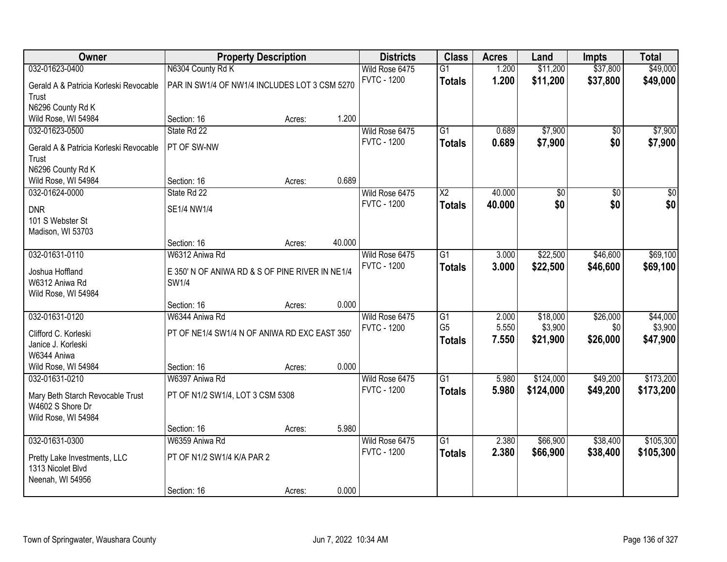| Owner                                  | <b>Property Description</b>                     |        |        | <b>Districts</b>   | <b>Class</b>           | <b>Acres</b> | Land      | <b>Impts</b>    | <b>Total</b> |
|----------------------------------------|-------------------------------------------------|--------|--------|--------------------|------------------------|--------------|-----------|-----------------|--------------|
| 032-01623-0400                         | N6304 County Rd K                               |        |        | Wild Rose 6475     | $\overline{G1}$        | 1.200        | \$11,200  | \$37,800        | \$49,000     |
| Gerald A & Patricia Korleski Revocable | PAR IN SW1/4 OF NW1/4 INCLUDES LOT 3 CSM 5270   |        |        | <b>FVTC - 1200</b> | <b>Totals</b>          | 1.200        | \$11,200  | \$37,800        | \$49,000     |
| Trust                                  |                                                 |        |        |                    |                        |              |           |                 |              |
| N6296 County Rd K                      |                                                 |        |        |                    |                        |              |           |                 |              |
| Wild Rose, WI 54984                    | Section: 16                                     | Acres: | 1.200  |                    |                        |              |           |                 |              |
| 032-01623-0500                         | State Rd 22                                     |        |        | Wild Rose 6475     | G1                     | 0.689        | \$7,900   | \$0             | \$7,900      |
| Gerald A & Patricia Korleski Revocable | PT OF SW-NW                                     |        |        | <b>FVTC - 1200</b> | <b>Totals</b>          | 0.689        | \$7,900   | \$0             | \$7,900      |
| Trust                                  |                                                 |        |        |                    |                        |              |           |                 |              |
| N6296 County Rd K                      |                                                 |        |        |                    |                        |              |           |                 |              |
| Wild Rose, WI 54984                    | Section: 16                                     | Acres: | 0.689  |                    |                        |              |           |                 |              |
| 032-01624-0000                         | State Rd 22                                     |        |        | Wild Rose 6475     | $\overline{\text{X2}}$ | 40.000       | \$0       | $\overline{50}$ | \$0          |
| <b>DNR</b>                             | SE1/4 NW1/4                                     |        |        | <b>FVTC - 1200</b> | <b>Totals</b>          | 40.000       | \$0       | \$0             | \$0          |
| 101 S Webster St                       |                                                 |        |        |                    |                        |              |           |                 |              |
| Madison, WI 53703                      |                                                 |        |        |                    |                        |              |           |                 |              |
|                                        | Section: 16                                     | Acres: | 40.000 |                    |                        |              |           |                 |              |
| 032-01631-0110                         | W6312 Aniwa Rd                                  |        |        | Wild Rose 6475     | G1                     | 3.000        | \$22,500  | \$46,600        | \$69,100     |
|                                        |                                                 |        |        | <b>FVTC - 1200</b> | <b>Totals</b>          | 3.000        | \$22,500  | \$46,600        | \$69,100     |
| Joshua Hoffland                        | E 350' N OF ANIWA RD & S OF PINE RIVER IN NE1/4 |        |        |                    |                        |              |           |                 |              |
| W6312 Aniwa Rd                         | SW1/4                                           |        |        |                    |                        |              |           |                 |              |
| Wild Rose, WI 54984                    |                                                 |        |        |                    |                        |              |           |                 |              |
|                                        | Section: 16                                     | Acres: | 0.000  |                    |                        |              |           |                 |              |
| 032-01631-0120                         | W6344 Aniwa Rd                                  |        |        | Wild Rose 6475     | $\overline{G1}$        | 2.000        | \$18,000  | \$26,000        | \$44,000     |
| Clifford C. Korleski                   | PT OF NE1/4 SW1/4 N OF ANIWA RD EXC EAST 350'   |        |        | <b>FVTC - 1200</b> | G <sub>5</sub>         | 5.550        | \$3,900   | \$0             | \$3,900      |
| Janice J. Korleski                     |                                                 |        |        |                    | <b>Totals</b>          | 7.550        | \$21,900  | \$26,000        | \$47,900     |
| W6344 Aniwa                            |                                                 |        |        |                    |                        |              |           |                 |              |
| Wild Rose, WI 54984                    | Section: 16                                     | Acres: | 0.000  |                    |                        |              |           |                 |              |
| 032-01631-0210                         | W6397 Aniwa Rd                                  |        |        | Wild Rose 6475     | $\overline{G1}$        | 5.980        | \$124,000 | \$49,200        | \$173,200    |
| Mary Beth Starch Revocable Trust       | PT OF N1/2 SW1/4, LOT 3 CSM 5308                |        |        | <b>FVTC - 1200</b> | <b>Totals</b>          | 5.980        | \$124,000 | \$49,200        | \$173,200    |
| W4602 S Shore Dr                       |                                                 |        |        |                    |                        |              |           |                 |              |
| Wild Rose, WI 54984                    |                                                 |        |        |                    |                        |              |           |                 |              |
|                                        | Section: 16                                     | Acres: | 5.980  |                    |                        |              |           |                 |              |
| 032-01631-0300                         | W6359 Aniwa Rd                                  |        |        | Wild Rose 6475     | $\overline{G1}$        | 2.380        | \$66,900  | \$38,400        | \$105,300    |
|                                        |                                                 |        |        | <b>FVTC - 1200</b> | <b>Totals</b>          | 2.380        | \$66,900  | \$38,400        | \$105,300    |
| Pretty Lake Investments, LLC           | PT OF N1/2 SW1/4 K/A PAR 2                      |        |        |                    |                        |              |           |                 |              |
| 1313 Nicolet Blvd                      |                                                 |        |        |                    |                        |              |           |                 |              |
| Neenah, WI 54956                       |                                                 |        |        |                    |                        |              |           |                 |              |
|                                        | Section: 16                                     | Acres: | 0.000  |                    |                        |              |           |                 |              |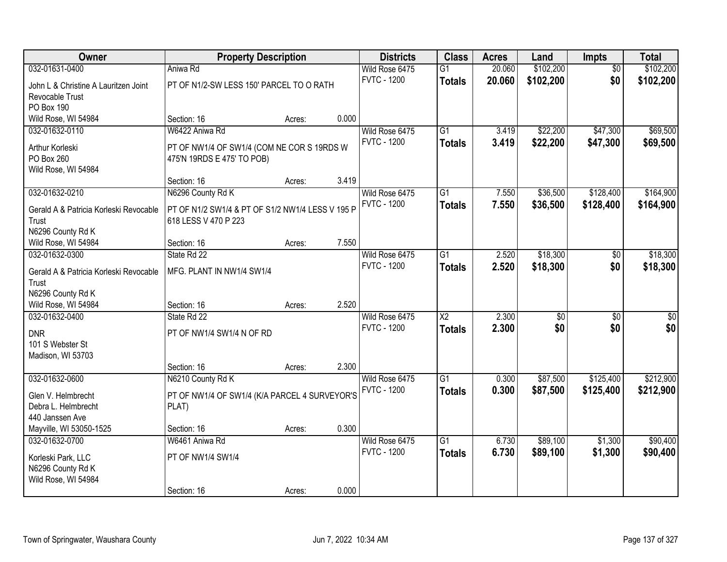| Owner                                  | <b>Property Description</b>                      |        |       | <b>Districts</b>   | <b>Class</b>           | <b>Acres</b> | Land      | <b>Impts</b>    | <b>Total</b> |
|----------------------------------------|--------------------------------------------------|--------|-------|--------------------|------------------------|--------------|-----------|-----------------|--------------|
| 032-01631-0400                         | Aniwa Rd                                         |        |       | Wild Rose 6475     | $\overline{G1}$        | 20.060       | \$102,200 | $\overline{50}$ | \$102,200    |
| John L & Christine A Lauritzen Joint   | PT OF N1/2-SW LESS 150' PARCEL TO O RATH         |        |       | <b>FVTC - 1200</b> | <b>Totals</b>          | 20.060       | \$102,200 | \$0             | \$102,200    |
| Revocable Trust                        |                                                  |        |       |                    |                        |              |           |                 |              |
| PO Box 190                             |                                                  |        |       |                    |                        |              |           |                 |              |
| Wild Rose, WI 54984                    | Section: 16                                      | Acres: | 0.000 |                    |                        |              |           |                 |              |
| 032-01632-0110                         | W6422 Aniwa Rd                                   |        |       | Wild Rose 6475     | $\overline{G1}$        | 3.419        | \$22,200  | \$47,300        | \$69,500     |
| Arthur Korleski                        | PT OF NW1/4 OF SW1/4 (COM NE COR S 19RDS W       |        |       | <b>FVTC - 1200</b> | <b>Totals</b>          | 3.419        | \$22,200  | \$47,300        | \$69,500     |
| PO Box 260                             | 475'N 19RDS E 475' TO POB)                       |        |       |                    |                        |              |           |                 |              |
| Wild Rose, WI 54984                    |                                                  |        |       |                    |                        |              |           |                 |              |
|                                        | Section: 16                                      | Acres: | 3.419 |                    |                        |              |           |                 |              |
| 032-01632-0210                         | N6296 County Rd K                                |        |       | Wild Rose 6475     | $\overline{G1}$        | 7.550        | \$36,500  | \$128,400       | \$164,900    |
| Gerald A & Patricia Korleski Revocable | PT OF N1/2 SW1/4 & PT OF S1/2 NW1/4 LESS V 195 P |        |       | <b>FVTC - 1200</b> | <b>Totals</b>          | 7.550        | \$36,500  | \$128,400       | \$164,900    |
| Trust                                  | 618 LESS V 470 P 223                             |        |       |                    |                        |              |           |                 |              |
| N6296 County Rd K                      |                                                  |        |       |                    |                        |              |           |                 |              |
| Wild Rose, WI 54984                    | Section: 16                                      | Acres: | 7.550 |                    |                        |              |           |                 |              |
| 032-01632-0300                         | State Rd 22                                      |        |       | Wild Rose 6475     | $\overline{G1}$        | 2.520        | \$18,300  | \$0             | \$18,300     |
| Gerald A & Patricia Korleski Revocable | MFG. PLANT IN NW1/4 SW1/4                        |        |       | <b>FVTC - 1200</b> | <b>Totals</b>          | 2.520        | \$18,300  | \$0             | \$18,300     |
| Trust                                  |                                                  |        |       |                    |                        |              |           |                 |              |
| N6296 County Rd K                      |                                                  |        |       |                    |                        |              |           |                 |              |
| Wild Rose, WI 54984                    | Section: 16                                      | Acres: | 2.520 |                    |                        |              |           |                 |              |
| 032-01632-0400                         | State Rd 22                                      |        |       | Wild Rose 6475     | $\overline{\text{X2}}$ | 2.300        | \$0       | $\overline{50}$ | $\sqrt{50}$  |
| <b>DNR</b>                             | PT OF NW1/4 SW1/4 N OF RD                        |        |       | <b>FVTC - 1200</b> | <b>Totals</b>          | 2.300        | \$0       | \$0             | \$0          |
| 101 S Webster St                       |                                                  |        |       |                    |                        |              |           |                 |              |
| Madison, WI 53703                      |                                                  |        |       |                    |                        |              |           |                 |              |
|                                        | Section: 16                                      | Acres: | 2.300 |                    |                        |              |           |                 |              |
| 032-01632-0600                         | N6210 County Rd K                                |        |       | Wild Rose 6475     | $\overline{G1}$        | 0.300        | \$87,500  | \$125,400       | \$212,900    |
| Glen V. Helmbrecht                     | PT OF NW1/4 OF SW1/4 (K/A PARCEL 4 SURVEYOR'S    |        |       | <b>FVTC - 1200</b> | <b>Totals</b>          | 0.300        | \$87,500  | \$125,400       | \$212,900    |
| Debra L. Helmbrecht                    | PLAT)                                            |        |       |                    |                        |              |           |                 |              |
| 440 Janssen Ave                        |                                                  |        |       |                    |                        |              |           |                 |              |
| Mayville, WI 53050-1525                | Section: 16                                      | Acres: | 0.300 |                    |                        |              |           |                 |              |
| 032-01632-0700                         | W6461 Aniwa Rd                                   |        |       | Wild Rose 6475     | $\overline{G1}$        | 6.730        | \$89,100  | \$1,300         | \$90,400     |
| Korleski Park, LLC                     | PT OF NW1/4 SW1/4                                |        |       | <b>FVTC - 1200</b> | <b>Totals</b>          | 6.730        | \$89,100  | \$1,300         | \$90,400     |
| N6296 County Rd K                      |                                                  |        |       |                    |                        |              |           |                 |              |
| Wild Rose, WI 54984                    |                                                  |        |       |                    |                        |              |           |                 |              |
|                                        | Section: 16                                      | Acres: | 0.000 |                    |                        |              |           |                 |              |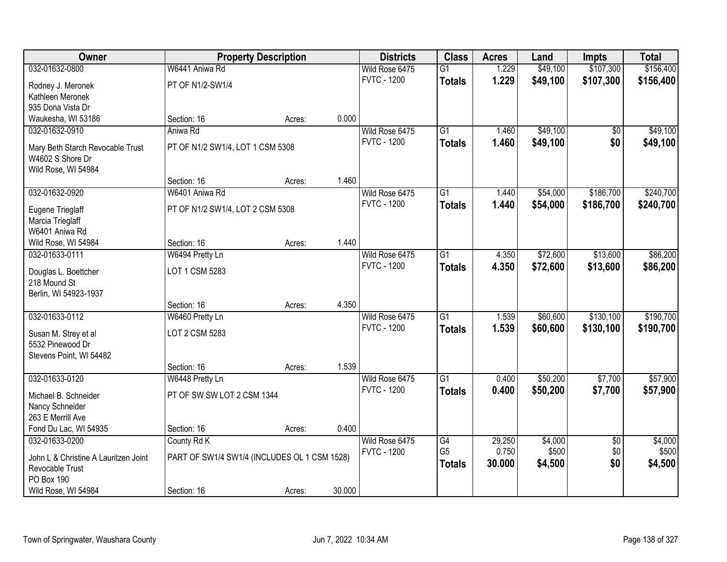| Owner                                    |                                              | <b>Property Description</b> |        | <b>Districts</b>   | <b>Class</b>    | <b>Acres</b> | Land     | <b>Impts</b>    | <b>Total</b> |
|------------------------------------------|----------------------------------------------|-----------------------------|--------|--------------------|-----------------|--------------|----------|-----------------|--------------|
| 032-01632-0800                           | W6441 Aniwa Rd                               |                             |        | Wild Rose 6475     | $\overline{G1}$ | 1.229        | \$49,100 | \$107,300       | \$156,400    |
| Rodney J. Meronek                        | PT OF N1/2-SW1/4                             |                             |        | <b>FVTC - 1200</b> | <b>Totals</b>   | 1.229        | \$49,100 | \$107,300       | \$156,400    |
| Kathleen Meronek                         |                                              |                             |        |                    |                 |              |          |                 |              |
| 935 Dona Vista Dr                        |                                              |                             |        |                    |                 |              |          |                 |              |
| Waukesha, WI 53186                       | Section: 16                                  | Acres:                      | 0.000  |                    |                 |              |          |                 |              |
| 032-01632-0910                           | Aniwa Rd                                     |                             |        | Wild Rose 6475     | $\overline{G1}$ | 1.460        | \$49,100 | \$0             | \$49,100     |
| Mary Beth Starch Revocable Trust         | PT OF N1/2 SW1/4, LOT 1 CSM 5308             |                             |        | <b>FVTC - 1200</b> | <b>Totals</b>   | 1.460        | \$49,100 | \$0             | \$49,100     |
| W4602 S Shore Dr                         |                                              |                             |        |                    |                 |              |          |                 |              |
| Wild Rose, WI 54984                      |                                              |                             |        |                    |                 |              |          |                 |              |
|                                          | Section: 16                                  | Acres:                      | 1.460  |                    |                 |              |          |                 |              |
| 032-01632-0920                           | W6401 Aniwa Rd                               |                             |        | Wild Rose 6475     | $\overline{G1}$ | 1.440        | \$54,000 | \$186,700       | \$240,700    |
| Eugene Trieglaff                         | PT OF N1/2 SW1/4, LOT 2 CSM 5308             |                             |        | <b>FVTC - 1200</b> | <b>Totals</b>   | 1.440        | \$54,000 | \$186,700       | \$240,700    |
| Marcia Trieglaff                         |                                              |                             |        |                    |                 |              |          |                 |              |
| W6401 Aniwa Rd                           |                                              |                             |        |                    |                 |              |          |                 |              |
| Wild Rose, WI 54984                      | Section: 16                                  | Acres:                      | 1.440  |                    |                 |              |          |                 |              |
| 032-01633-0111                           | W6494 Pretty Ln                              |                             |        | Wild Rose 6475     | $\overline{G1}$ | 4.350        | \$72,600 | \$13,600        | \$86,200     |
|                                          | LOT 1 CSM 5283                               |                             |        | <b>FVTC - 1200</b> | <b>Totals</b>   | 4.350        | \$72,600 | \$13,600        | \$86,200     |
| Douglas L. Boettcher<br>218 Mound St     |                                              |                             |        |                    |                 |              |          |                 |              |
| Berlin, WI 54923-1937                    |                                              |                             |        |                    |                 |              |          |                 |              |
|                                          | Section: 16                                  | Acres:                      | 4.350  |                    |                 |              |          |                 |              |
| 032-01633-0112                           | W6460 Pretty Ln                              |                             |        | Wild Rose 6475     | $\overline{G1}$ | 1.539        | \$60,600 | \$130,100       | \$190,700    |
|                                          |                                              |                             |        | <b>FVTC - 1200</b> | <b>Totals</b>   | 1.539        | \$60,600 | \$130,100       | \$190,700    |
| Susan M. Strey et al<br>5532 Pinewood Dr | LOT 2 CSM 5283                               |                             |        |                    |                 |              |          |                 |              |
| Stevens Point, WI 54482                  |                                              |                             |        |                    |                 |              |          |                 |              |
|                                          | Section: 16                                  | Acres:                      | 1.539  |                    |                 |              |          |                 |              |
| 032-01633-0120                           | W6448 Pretty Ln                              |                             |        | Wild Rose 6475     | $\overline{G1}$ | 0.400        | \$50,200 | \$7,700         | \$57,900     |
|                                          |                                              |                             |        | <b>FVTC - 1200</b> | <b>Totals</b>   | 0.400        | \$50,200 | \$7,700         | \$57,900     |
| Michael B. Schneider                     | PT OF SW SW LOT 2 CSM 1344                   |                             |        |                    |                 |              |          |                 |              |
| Nancy Schneider<br>263 E Merrill Ave     |                                              |                             |        |                    |                 |              |          |                 |              |
| Fond Du Lac, WI 54935                    | Section: 16                                  | Acres:                      | 0.400  |                    |                 |              |          |                 |              |
| 032-01633-0200                           | County Rd K                                  |                             |        | Wild Rose 6475     | G4              | 29.250       | \$4,000  | $\overline{50}$ | \$4,000      |
|                                          |                                              |                             |        | <b>FVTC - 1200</b> | G <sub>5</sub>  | 0.750        | \$500    | \$0             | \$500        |
| John L & Christine A Lauritzen Joint     | PART OF SW1/4 SW1/4 (INCLUDES OL 1 CSM 1528) |                             |        |                    | <b>Totals</b>   | 30.000       | \$4,500  | \$0             | \$4,500      |
| Revocable Trust                          |                                              |                             |        |                    |                 |              |          |                 |              |
| PO Box 190                               |                                              |                             |        |                    |                 |              |          |                 |              |
| Wild Rose, WI 54984                      | Section: 16                                  | Acres:                      | 30.000 |                    |                 |              |          |                 |              |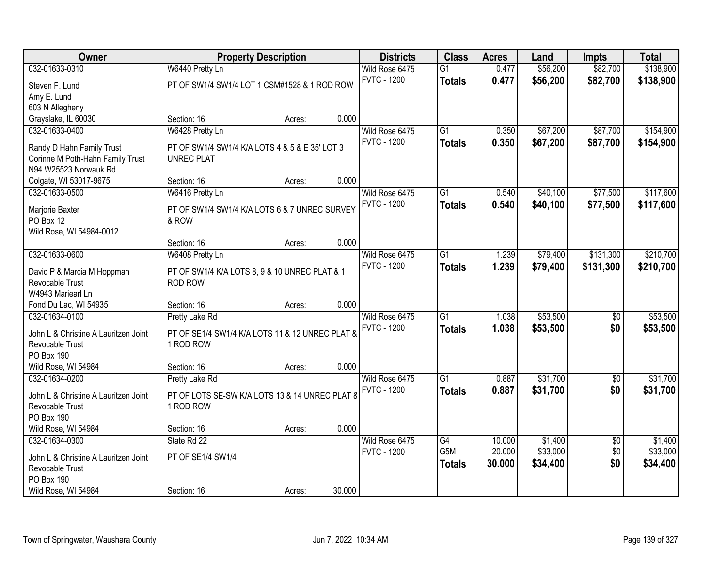| Owner                                   |                                                        | <b>Property Description</b> |        | <b>Districts</b>   | <b>Class</b>    | <b>Acres</b> | Land     | <b>Impts</b>    | <b>Total</b> |
|-----------------------------------------|--------------------------------------------------------|-----------------------------|--------|--------------------|-----------------|--------------|----------|-----------------|--------------|
| 032-01633-0310                          | W6440 Pretty Ln                                        |                             |        | Wild Rose 6475     | $\overline{G1}$ | 0.477        | \$56,200 | \$82,700        | \$138,900    |
| Steven F. Lund                          | PT OF SW1/4 SW1/4 LOT 1 CSM#1528 & 1 ROD ROW           |                             |        | <b>FVTC - 1200</b> | <b>Totals</b>   | 0.477        | \$56,200 | \$82,700        | \$138,900    |
| Amy E. Lund                             |                                                        |                             |        |                    |                 |              |          |                 |              |
| 603 N Allegheny                         |                                                        |                             |        |                    |                 |              |          |                 |              |
| Grayslake, IL 60030                     | Section: 16                                            | Acres:                      | 0.000  |                    |                 |              |          |                 |              |
| 032-01633-0400                          | W6428 Pretty Ln                                        |                             |        | Wild Rose 6475     | $\overline{G1}$ | 0.350        | \$67,200 | \$87,700        | \$154,900    |
| Randy D Hahn Family Trust               | PT OF SW1/4 SW1/4 K/A LOTS 4 & 5 & E 35' LOT 3         |                             |        | <b>FVTC - 1200</b> | <b>Totals</b>   | 0.350        | \$67,200 | \$87,700        | \$154,900    |
| Corinne M Poth-Hahn Family Trust        | <b>UNREC PLAT</b>                                      |                             |        |                    |                 |              |          |                 |              |
| N94 W25523 Norwauk Rd                   |                                                        |                             |        |                    |                 |              |          |                 |              |
| Colgate, WI 53017-9675                  | Section: 16                                            | Acres:                      | 0.000  |                    |                 |              |          |                 |              |
| 032-01633-0500                          | W6416 Pretty Ln                                        |                             |        | Wild Rose 6475     | $\overline{G1}$ | 0.540        | \$40,100 | \$77,500        | \$117,600    |
|                                         |                                                        |                             |        | <b>FVTC - 1200</b> | <b>Totals</b>   | 0.540        | \$40,100 | \$77,500        | \$117,600    |
| Marjorie Baxter<br>PO Box 12            | PT OF SW1/4 SW1/4 K/A LOTS 6 & 7 UNREC SURVEY<br>& ROW |                             |        |                    |                 |              |          |                 |              |
| Wild Rose, WI 54984-0012                |                                                        |                             |        |                    |                 |              |          |                 |              |
|                                         | Section: 16                                            | Acres:                      | 0.000  |                    |                 |              |          |                 |              |
| 032-01633-0600                          | W6408 Pretty Ln                                        |                             |        | Wild Rose 6475     | $\overline{G1}$ | 1.239        | \$79,400 | \$131,300       | \$210,700    |
|                                         |                                                        |                             |        | <b>FVTC - 1200</b> | <b>Totals</b>   | 1.239        | \$79,400 | \$131,300       | \$210,700    |
| David P & Marcia M Hoppman              | PT OF SW1/4 K/A LOTS 8, 9 & 10 UNREC PLAT & 1          |                             |        |                    |                 |              |          |                 |              |
| Revocable Trust                         | <b>ROD ROW</b>                                         |                             |        |                    |                 |              |          |                 |              |
| W4943 Mariearl Ln                       |                                                        |                             | 0.000  |                    |                 |              |          |                 |              |
| Fond Du Lac, WI 54935<br>032-01634-0100 | Section: 16<br><b>Pretty Lake Rd</b>                   | Acres:                      |        | Wild Rose 6475     | $\overline{G1}$ | 1.038        | \$53,500 | $\overline{50}$ | \$53,500     |
|                                         |                                                        |                             |        | <b>FVTC - 1200</b> |                 | 1.038        |          | \$0             |              |
| John L & Christine A Lauritzen Joint    | PT OF SE1/4 SW1/4 K/A LOTS 11 & 12 UNREC PLAT &        |                             |        |                    | <b>Totals</b>   |              | \$53,500 |                 | \$53,500     |
| Revocable Trust                         | 1 ROD ROW                                              |                             |        |                    |                 |              |          |                 |              |
| PO Box 190                              |                                                        |                             |        |                    |                 |              |          |                 |              |
| Wild Rose, WI 54984                     | Section: 16                                            | Acres:                      | 0.000  |                    |                 |              |          |                 |              |
| 032-01634-0200                          | Pretty Lake Rd                                         |                             |        | Wild Rose 6475     | $\overline{G1}$ | 0.887        | \$31,700 | $\sqrt{6}$      | \$31,700     |
| John L & Christine A Lauritzen Joint    | PT OF LOTS SE-SW K/A LOTS 13 & 14 UNREC PLAT 8         |                             |        | <b>FVTC - 1200</b> | <b>Totals</b>   | 0.887        | \$31,700 | \$0             | \$31,700     |
| Revocable Trust                         | 1 ROD ROW                                              |                             |        |                    |                 |              |          |                 |              |
| PO Box 190                              |                                                        |                             |        |                    |                 |              |          |                 |              |
| Wild Rose, WI 54984                     | Section: 16                                            | Acres:                      | 0.000  |                    |                 |              |          |                 |              |
| 032-01634-0300                          | State Rd 22                                            |                             |        | Wild Rose 6475     | G4              | 10.000       | \$1,400  | $\overline{50}$ | \$1,400      |
| John L & Christine A Lauritzen Joint    | PT OF SE1/4 SW1/4                                      |                             |        | <b>FVTC - 1200</b> | G5M             | 20.000       | \$33,000 | \$0             | \$33,000     |
| Revocable Trust                         |                                                        |                             |        |                    | <b>Totals</b>   | 30.000       | \$34,400 | \$0             | \$34,400     |
| <b>PO Box 190</b>                       |                                                        |                             |        |                    |                 |              |          |                 |              |
| Wild Rose, WI 54984                     | Section: 16                                            | Acres:                      | 30.000 |                    |                 |              |          |                 |              |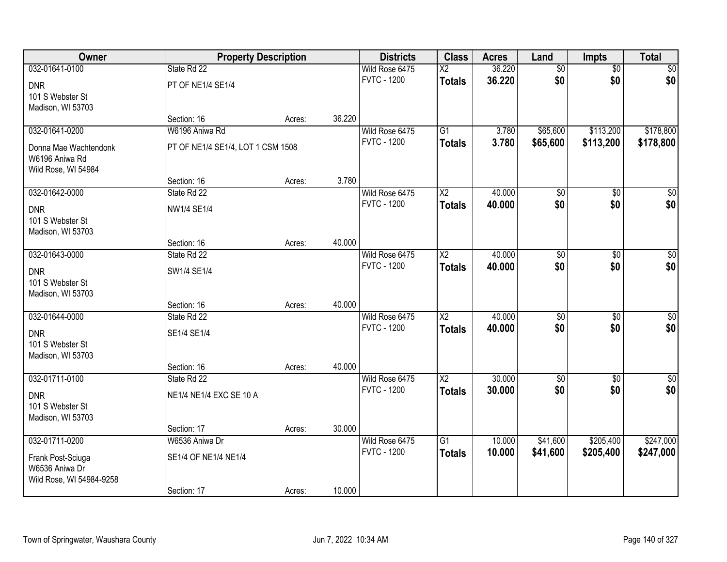| 032-01641-0100<br>36.220<br>$\overline{50}$<br>\$0<br>State Rd 22<br>Wild Rose 6475<br>$\overline{\text{X2}}$<br>$\overline{50}$<br>\$0<br>\$0<br>\$0<br><b>FVTC - 1200</b><br>36.220<br><b>Totals</b><br><b>DNR</b><br>PT OF NE1/4 SE1/4<br>101 S Webster St<br>Madison, WI 53703<br>36.220<br>Section: 16<br>Acres:<br>W6196 Aniwa Rd<br>$\overline{G1}$<br>\$113,200<br>\$178,800<br>032-01641-0200<br>Wild Rose 6475<br>3.780<br>\$65,600<br><b>FVTC - 1200</b><br>3.780<br>\$65,600<br>\$113,200<br>\$178,800<br><b>Totals</b><br>PT OF NE1/4 SE1/4, LOT 1 CSM 1508<br>Donna Mae Wachtendonk<br>W6196 Aniwa Rd<br>Wild Rose, WI 54984<br>3.780<br>Section: 16<br>Acres:<br>032-01642-0000<br>$\overline{X2}$<br>40.000<br>$\overline{50}$<br>$\overline{50}$<br>State Rd 22<br>Wild Rose 6475<br>\$0<br>\$0<br>\$0<br>\$0 <br><b>FVTC - 1200</b><br>40.000<br><b>Totals</b><br><b>DNR</b><br>NW1/4 SE1/4<br>101 S Webster St<br>Madison, WI 53703<br>40.000<br>Section: 16<br>Acres:<br>032-01643-0000<br>40.000<br>Wild Rose 6475<br>$\overline{\text{X2}}$<br>$\overline{50}$<br>$\sqrt{50}$<br>State Rd 22<br>\$0<br>\$0<br>\$0<br>\$0<br><b>FVTC - 1200</b><br>40.000<br><b>Totals</b><br><b>DNR</b><br>SW1/4 SE1/4<br>101 S Webster St<br>Madison, WI 53703<br>40.000<br>Section: 16<br>Acres:<br>032-01644-0000<br>$\overline{X2}$<br>40.000<br>$\sqrt{50}$<br>State Rd 22<br>\$0<br>$\overline{50}$<br>Wild Rose 6475<br>\$0<br>\$0<br><b>FVTC - 1200</b><br>40.000<br>\$0 <br><b>Totals</b><br><b>DNR</b><br>SE1/4 SE1/4<br>101 S Webster St<br>Madison, WI 53703<br>40.000<br>Section: 16<br>Acres:<br>$\sqrt{50}$<br>032-01711-0100<br>$\overline{X2}$<br>30.000<br>Wild Rose 6475<br>$\sqrt{$0}$<br>State Rd 22<br>\$0<br>\$0<br>\$0<br><b>FVTC - 1200</b><br>\$0<br>30.000<br><b>Totals</b><br><b>DNR</b><br>NE1/4 NE1/4 EXC SE 10 A<br>101 S Webster St<br>Madison, WI 53703<br>30.000<br>Section: 17<br>Acres:<br>032-01711-0200<br>$\overline{G1}$<br>\$205,400<br>\$247,000<br>W6536 Aniwa Dr<br>Wild Rose 6475<br>10.000<br>\$41,600<br><b>FVTC - 1200</b><br>10.000<br>\$41,600<br>\$205,400<br>\$247,000<br><b>Totals</b><br>SE1/4 OF NE1/4 NE1/4<br>Frank Post-Sciuga<br>W6536 Aniwa Dr | Owner | <b>Property Description</b> | <b>Districts</b> | <b>Class</b> | <b>Acres</b> | Land | <b>Impts</b> | <b>Total</b> |
|------------------------------------------------------------------------------------------------------------------------------------------------------------------------------------------------------------------------------------------------------------------------------------------------------------------------------------------------------------------------------------------------------------------------------------------------------------------------------------------------------------------------------------------------------------------------------------------------------------------------------------------------------------------------------------------------------------------------------------------------------------------------------------------------------------------------------------------------------------------------------------------------------------------------------------------------------------------------------------------------------------------------------------------------------------------------------------------------------------------------------------------------------------------------------------------------------------------------------------------------------------------------------------------------------------------------------------------------------------------------------------------------------------------------------------------------------------------------------------------------------------------------------------------------------------------------------------------------------------------------------------------------------------------------------------------------------------------------------------------------------------------------------------------------------------------------------------------------------------------------------------------------------------------------------------------------------------------------------------------------------------------------------------------------------------------------------------------------------------------------------------------------------------------------------------------------------------------|-------|-----------------------------|------------------|--------------|--------------|------|--------------|--------------|
|                                                                                                                                                                                                                                                                                                                                                                                                                                                                                                                                                                                                                                                                                                                                                                                                                                                                                                                                                                                                                                                                                                                                                                                                                                                                                                                                                                                                                                                                                                                                                                                                                                                                                                                                                                                                                                                                                                                                                                                                                                                                                                                                                                                                                  |       |                             |                  |              |              |      |              |              |
|                                                                                                                                                                                                                                                                                                                                                                                                                                                                                                                                                                                                                                                                                                                                                                                                                                                                                                                                                                                                                                                                                                                                                                                                                                                                                                                                                                                                                                                                                                                                                                                                                                                                                                                                                                                                                                                                                                                                                                                                                                                                                                                                                                                                                  |       |                             |                  |              |              |      |              |              |
|                                                                                                                                                                                                                                                                                                                                                                                                                                                                                                                                                                                                                                                                                                                                                                                                                                                                                                                                                                                                                                                                                                                                                                                                                                                                                                                                                                                                                                                                                                                                                                                                                                                                                                                                                                                                                                                                                                                                                                                                                                                                                                                                                                                                                  |       |                             |                  |              |              |      |              |              |
|                                                                                                                                                                                                                                                                                                                                                                                                                                                                                                                                                                                                                                                                                                                                                                                                                                                                                                                                                                                                                                                                                                                                                                                                                                                                                                                                                                                                                                                                                                                                                                                                                                                                                                                                                                                                                                                                                                                                                                                                                                                                                                                                                                                                                  |       |                             |                  |              |              |      |              |              |
|                                                                                                                                                                                                                                                                                                                                                                                                                                                                                                                                                                                                                                                                                                                                                                                                                                                                                                                                                                                                                                                                                                                                                                                                                                                                                                                                                                                                                                                                                                                                                                                                                                                                                                                                                                                                                                                                                                                                                                                                                                                                                                                                                                                                                  |       |                             |                  |              |              |      |              |              |
|                                                                                                                                                                                                                                                                                                                                                                                                                                                                                                                                                                                                                                                                                                                                                                                                                                                                                                                                                                                                                                                                                                                                                                                                                                                                                                                                                                                                                                                                                                                                                                                                                                                                                                                                                                                                                                                                                                                                                                                                                                                                                                                                                                                                                  |       |                             |                  |              |              |      |              |              |
|                                                                                                                                                                                                                                                                                                                                                                                                                                                                                                                                                                                                                                                                                                                                                                                                                                                                                                                                                                                                                                                                                                                                                                                                                                                                                                                                                                                                                                                                                                                                                                                                                                                                                                                                                                                                                                                                                                                                                                                                                                                                                                                                                                                                                  |       |                             |                  |              |              |      |              |              |
|                                                                                                                                                                                                                                                                                                                                                                                                                                                                                                                                                                                                                                                                                                                                                                                                                                                                                                                                                                                                                                                                                                                                                                                                                                                                                                                                                                                                                                                                                                                                                                                                                                                                                                                                                                                                                                                                                                                                                                                                                                                                                                                                                                                                                  |       |                             |                  |              |              |      |              |              |
|                                                                                                                                                                                                                                                                                                                                                                                                                                                                                                                                                                                                                                                                                                                                                                                                                                                                                                                                                                                                                                                                                                                                                                                                                                                                                                                                                                                                                                                                                                                                                                                                                                                                                                                                                                                                                                                                                                                                                                                                                                                                                                                                                                                                                  |       |                             |                  |              |              |      |              |              |
|                                                                                                                                                                                                                                                                                                                                                                                                                                                                                                                                                                                                                                                                                                                                                                                                                                                                                                                                                                                                                                                                                                                                                                                                                                                                                                                                                                                                                                                                                                                                                                                                                                                                                                                                                                                                                                                                                                                                                                                                                                                                                                                                                                                                                  |       |                             |                  |              |              |      |              |              |
|                                                                                                                                                                                                                                                                                                                                                                                                                                                                                                                                                                                                                                                                                                                                                                                                                                                                                                                                                                                                                                                                                                                                                                                                                                                                                                                                                                                                                                                                                                                                                                                                                                                                                                                                                                                                                                                                                                                                                                                                                                                                                                                                                                                                                  |       |                             |                  |              |              |      |              |              |
|                                                                                                                                                                                                                                                                                                                                                                                                                                                                                                                                                                                                                                                                                                                                                                                                                                                                                                                                                                                                                                                                                                                                                                                                                                                                                                                                                                                                                                                                                                                                                                                                                                                                                                                                                                                                                                                                                                                                                                                                                                                                                                                                                                                                                  |       |                             |                  |              |              |      |              |              |
|                                                                                                                                                                                                                                                                                                                                                                                                                                                                                                                                                                                                                                                                                                                                                                                                                                                                                                                                                                                                                                                                                                                                                                                                                                                                                                                                                                                                                                                                                                                                                                                                                                                                                                                                                                                                                                                                                                                                                                                                                                                                                                                                                                                                                  |       |                             |                  |              |              |      |              |              |
|                                                                                                                                                                                                                                                                                                                                                                                                                                                                                                                                                                                                                                                                                                                                                                                                                                                                                                                                                                                                                                                                                                                                                                                                                                                                                                                                                                                                                                                                                                                                                                                                                                                                                                                                                                                                                                                                                                                                                                                                                                                                                                                                                                                                                  |       |                             |                  |              |              |      |              |              |
|                                                                                                                                                                                                                                                                                                                                                                                                                                                                                                                                                                                                                                                                                                                                                                                                                                                                                                                                                                                                                                                                                                                                                                                                                                                                                                                                                                                                                                                                                                                                                                                                                                                                                                                                                                                                                                                                                                                                                                                                                                                                                                                                                                                                                  |       |                             |                  |              |              |      |              |              |
|                                                                                                                                                                                                                                                                                                                                                                                                                                                                                                                                                                                                                                                                                                                                                                                                                                                                                                                                                                                                                                                                                                                                                                                                                                                                                                                                                                                                                                                                                                                                                                                                                                                                                                                                                                                                                                                                                                                                                                                                                                                                                                                                                                                                                  |       |                             |                  |              |              |      |              |              |
|                                                                                                                                                                                                                                                                                                                                                                                                                                                                                                                                                                                                                                                                                                                                                                                                                                                                                                                                                                                                                                                                                                                                                                                                                                                                                                                                                                                                                                                                                                                                                                                                                                                                                                                                                                                                                                                                                                                                                                                                                                                                                                                                                                                                                  |       |                             |                  |              |              |      |              |              |
|                                                                                                                                                                                                                                                                                                                                                                                                                                                                                                                                                                                                                                                                                                                                                                                                                                                                                                                                                                                                                                                                                                                                                                                                                                                                                                                                                                                                                                                                                                                                                                                                                                                                                                                                                                                                                                                                                                                                                                                                                                                                                                                                                                                                                  |       |                             |                  |              |              |      |              |              |
|                                                                                                                                                                                                                                                                                                                                                                                                                                                                                                                                                                                                                                                                                                                                                                                                                                                                                                                                                                                                                                                                                                                                                                                                                                                                                                                                                                                                                                                                                                                                                                                                                                                                                                                                                                                                                                                                                                                                                                                                                                                                                                                                                                                                                  |       |                             |                  |              |              |      |              |              |
|                                                                                                                                                                                                                                                                                                                                                                                                                                                                                                                                                                                                                                                                                                                                                                                                                                                                                                                                                                                                                                                                                                                                                                                                                                                                                                                                                                                                                                                                                                                                                                                                                                                                                                                                                                                                                                                                                                                                                                                                                                                                                                                                                                                                                  |       |                             |                  |              |              |      |              |              |
|                                                                                                                                                                                                                                                                                                                                                                                                                                                                                                                                                                                                                                                                                                                                                                                                                                                                                                                                                                                                                                                                                                                                                                                                                                                                                                                                                                                                                                                                                                                                                                                                                                                                                                                                                                                                                                                                                                                                                                                                                                                                                                                                                                                                                  |       |                             |                  |              |              |      |              |              |
|                                                                                                                                                                                                                                                                                                                                                                                                                                                                                                                                                                                                                                                                                                                                                                                                                                                                                                                                                                                                                                                                                                                                                                                                                                                                                                                                                                                                                                                                                                                                                                                                                                                                                                                                                                                                                                                                                                                                                                                                                                                                                                                                                                                                                  |       |                             |                  |              |              |      |              |              |
|                                                                                                                                                                                                                                                                                                                                                                                                                                                                                                                                                                                                                                                                                                                                                                                                                                                                                                                                                                                                                                                                                                                                                                                                                                                                                                                                                                                                                                                                                                                                                                                                                                                                                                                                                                                                                                                                                                                                                                                                                                                                                                                                                                                                                  |       |                             |                  |              |              |      |              |              |
|                                                                                                                                                                                                                                                                                                                                                                                                                                                                                                                                                                                                                                                                                                                                                                                                                                                                                                                                                                                                                                                                                                                                                                                                                                                                                                                                                                                                                                                                                                                                                                                                                                                                                                                                                                                                                                                                                                                                                                                                                                                                                                                                                                                                                  |       |                             |                  |              |              |      |              |              |
|                                                                                                                                                                                                                                                                                                                                                                                                                                                                                                                                                                                                                                                                                                                                                                                                                                                                                                                                                                                                                                                                                                                                                                                                                                                                                                                                                                                                                                                                                                                                                                                                                                                                                                                                                                                                                                                                                                                                                                                                                                                                                                                                                                                                                  |       |                             |                  |              |              |      |              |              |
|                                                                                                                                                                                                                                                                                                                                                                                                                                                                                                                                                                                                                                                                                                                                                                                                                                                                                                                                                                                                                                                                                                                                                                                                                                                                                                                                                                                                                                                                                                                                                                                                                                                                                                                                                                                                                                                                                                                                                                                                                                                                                                                                                                                                                  |       |                             |                  |              |              |      |              |              |
|                                                                                                                                                                                                                                                                                                                                                                                                                                                                                                                                                                                                                                                                                                                                                                                                                                                                                                                                                                                                                                                                                                                                                                                                                                                                                                                                                                                                                                                                                                                                                                                                                                                                                                                                                                                                                                                                                                                                                                                                                                                                                                                                                                                                                  |       |                             |                  |              |              |      |              |              |
|                                                                                                                                                                                                                                                                                                                                                                                                                                                                                                                                                                                                                                                                                                                                                                                                                                                                                                                                                                                                                                                                                                                                                                                                                                                                                                                                                                                                                                                                                                                                                                                                                                                                                                                                                                                                                                                                                                                                                                                                                                                                                                                                                                                                                  |       |                             |                  |              |              |      |              |              |
|                                                                                                                                                                                                                                                                                                                                                                                                                                                                                                                                                                                                                                                                                                                                                                                                                                                                                                                                                                                                                                                                                                                                                                                                                                                                                                                                                                                                                                                                                                                                                                                                                                                                                                                                                                                                                                                                                                                                                                                                                                                                                                                                                                                                                  |       |                             |                  |              |              |      |              |              |
|                                                                                                                                                                                                                                                                                                                                                                                                                                                                                                                                                                                                                                                                                                                                                                                                                                                                                                                                                                                                                                                                                                                                                                                                                                                                                                                                                                                                                                                                                                                                                                                                                                                                                                                                                                                                                                                                                                                                                                                                                                                                                                                                                                                                                  |       |                             |                  |              |              |      |              |              |
|                                                                                                                                                                                                                                                                                                                                                                                                                                                                                                                                                                                                                                                                                                                                                                                                                                                                                                                                                                                                                                                                                                                                                                                                                                                                                                                                                                                                                                                                                                                                                                                                                                                                                                                                                                                                                                                                                                                                                                                                                                                                                                                                                                                                                  |       |                             |                  |              |              |      |              |              |
|                                                                                                                                                                                                                                                                                                                                                                                                                                                                                                                                                                                                                                                                                                                                                                                                                                                                                                                                                                                                                                                                                                                                                                                                                                                                                                                                                                                                                                                                                                                                                                                                                                                                                                                                                                                                                                                                                                                                                                                                                                                                                                                                                                                                                  |       |                             |                  |              |              |      |              |              |
| Wild Rose, WI 54984-9258<br>10.000<br>Section: 17<br>Acres:                                                                                                                                                                                                                                                                                                                                                                                                                                                                                                                                                                                                                                                                                                                                                                                                                                                                                                                                                                                                                                                                                                                                                                                                                                                                                                                                                                                                                                                                                                                                                                                                                                                                                                                                                                                                                                                                                                                                                                                                                                                                                                                                                      |       |                             |                  |              |              |      |              |              |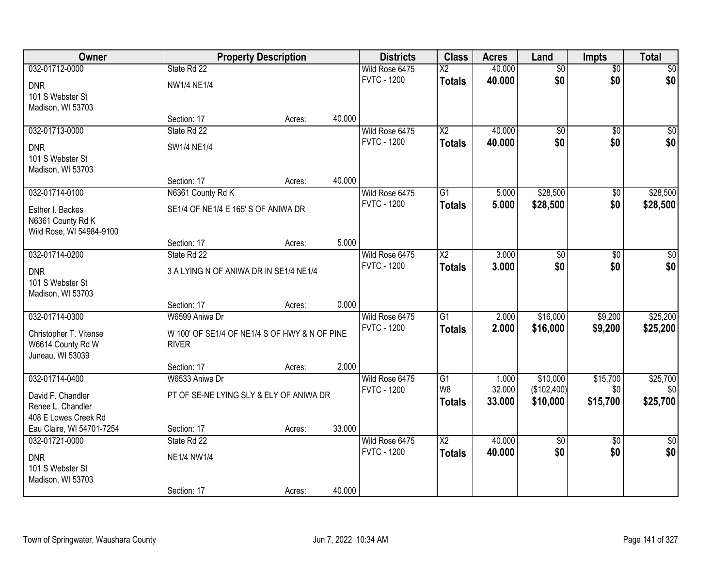| Owner                                 |                                               | <b>Property Description</b> |        | <b>Districts</b>                     | <b>Class</b>           | <b>Acres</b> | Land            | <b>Impts</b>    | <b>Total</b>  |
|---------------------------------------|-----------------------------------------------|-----------------------------|--------|--------------------------------------|------------------------|--------------|-----------------|-----------------|---------------|
| 032-01712-0000                        | State Rd 22                                   |                             |        | Wild Rose 6475                       | $\overline{X2}$        | 40.000       | $\overline{50}$ | $\overline{50}$ | $\sqrt{30}$   |
| <b>DNR</b>                            | <b>NW1/4 NE1/4</b>                            |                             |        | <b>FVTC - 1200</b>                   | <b>Totals</b>          | 40.000       | \$0             | \$0             | \$0           |
| 101 S Webster St                      |                                               |                             |        |                                      |                        |              |                 |                 |               |
| Madison, WI 53703                     |                                               |                             |        |                                      |                        |              |                 |                 |               |
|                                       | Section: 17                                   | Acres:                      | 40.000 |                                      |                        |              |                 |                 |               |
| 032-01713-0000                        | State Rd 22                                   |                             |        | Wild Rose 6475                       | $\overline{\text{X2}}$ | 40.000       | $\overline{50}$ | $\overline{50}$ | $\sqrt{50}$   |
| <b>DNR</b>                            | SW1/4 NE1/4                                   |                             |        | <b>FVTC - 1200</b>                   | <b>Totals</b>          | 40.000       | \$0             | \$0             | \$0           |
| 101 S Webster St                      |                                               |                             |        |                                      |                        |              |                 |                 |               |
| Madison, WI 53703                     |                                               |                             |        |                                      |                        |              |                 |                 |               |
|                                       | Section: 17                                   | Acres:                      | 40.000 |                                      |                        |              |                 |                 |               |
| 032-01714-0100                        | N6361 County Rd K                             |                             |        | Wild Rose 6475<br><b>FVTC - 1200</b> | $\overline{G1}$        | 5.000        | \$28,500        | \$0             | \$28,500      |
| Esther I. Backes                      | SE1/4 OF NE1/4 E 165' S OF ANIWA DR           |                             |        |                                      | <b>Totals</b>          | 5.000        | \$28,500        | \$0             | \$28,500      |
| N6361 County Rd K                     |                                               |                             |        |                                      |                        |              |                 |                 |               |
| Wild Rose, WI 54984-9100              |                                               |                             |        |                                      |                        |              |                 |                 |               |
| 032-01714-0200                        | Section: 17<br>State Rd 22                    | Acres:                      | 5.000  | Wild Rose 6475                       | $\overline{\text{X2}}$ | 3.000        | $\overline{50}$ | \$0             | \$0           |
|                                       |                                               |                             |        | <b>FVTC - 1200</b>                   | <b>Totals</b>          | 3.000        | \$0             | \$0             | \$0           |
| <b>DNR</b>                            | 3 A LYING N OF ANIWA DR IN SE1/4 NE1/4        |                             |        |                                      |                        |              |                 |                 |               |
| 101 S Webster St                      |                                               |                             |        |                                      |                        |              |                 |                 |               |
| Madison, WI 53703                     | Section: 17                                   | Acres:                      | 0.000  |                                      |                        |              |                 |                 |               |
| 032-01714-0300                        | W6599 Aniwa Dr                                |                             |        | Wild Rose 6475                       | $\overline{G1}$        | 2.000        | \$16,000        | \$9,200         | \$25,200      |
|                                       |                                               |                             |        | <b>FVTC - 1200</b>                   | <b>Totals</b>          | 2.000        | \$16,000        | \$9,200         | \$25,200      |
| Christopher T. Vitense                | W 100' OF SE1/4 OF NE1/4 S OF HWY & N OF PINE |                             |        |                                      |                        |              |                 |                 |               |
| W6614 County Rd W<br>Juneau, WI 53039 | <b>RIVER</b>                                  |                             |        |                                      |                        |              |                 |                 |               |
|                                       | Section: 17                                   | Acres:                      | 2.000  |                                      |                        |              |                 |                 |               |
| 032-01714-0400                        | W6533 Aniwa Dr                                |                             |        | Wild Rose 6475                       | G1                     | 1.000        | \$10,000        | \$15,700        | \$25,700      |
| David F. Chandler                     | PT OF SE-NE LYING SLY & ELY OF ANIWA DR       |                             |        | <b>FVTC - 1200</b>                   | W <sub>8</sub>         | 32.000       | (\$102,400)     | \$0             | \$0           |
| Renee L. Chandler                     |                                               |                             |        |                                      | <b>Totals</b>          | 33.000       | \$10,000        | \$15,700        | \$25,700      |
| 408 E Lowes Creek Rd                  |                                               |                             |        |                                      |                        |              |                 |                 |               |
| Eau Claire, WI 54701-7254             | Section: 17                                   | Acres:                      | 33.000 |                                      |                        |              |                 |                 |               |
| 032-01721-0000                        | State Rd 22                                   |                             |        | Wild Rose 6475                       | $\overline{\text{X2}}$ | 40.000       | $\overline{60}$ | $\overline{30}$ | $\frac{1}{2}$ |
| <b>DNR</b>                            | NE1/4 NW1/4                                   |                             |        | <b>FVTC - 1200</b>                   | <b>Totals</b>          | 40.000       | \$0             | \$0             | \$0           |
| 101 S Webster St                      |                                               |                             |        |                                      |                        |              |                 |                 |               |
| Madison, WI 53703                     |                                               |                             |        |                                      |                        |              |                 |                 |               |
|                                       | Section: 17                                   | Acres:                      | 40.000 |                                      |                        |              |                 |                 |               |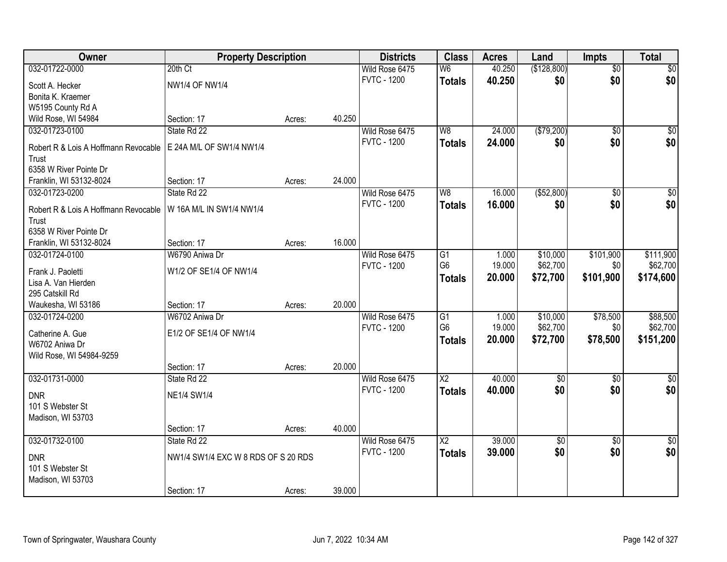| Owner                                | <b>Property Description</b>         |        |        | <b>Districts</b>   | <b>Class</b>                      | <b>Acres</b>    | Land                 | <b>Impts</b>    | <b>Total</b>         |
|--------------------------------------|-------------------------------------|--------|--------|--------------------|-----------------------------------|-----------------|----------------------|-----------------|----------------------|
| 032-01722-0000                       | 20th Ct                             |        |        | Wild Rose 6475     | W <sub>6</sub>                    | 40.250          | (\$128,800)          | $\overline{50}$ | $\sqrt{30}$          |
| Scott A. Hecker                      | <b>NW1/4 OF NW1/4</b>               |        |        | <b>FVTC - 1200</b> | <b>Totals</b>                     | 40.250          | \$0                  | \$0             | \$0                  |
| Bonita K. Kraemer                    |                                     |        |        |                    |                                   |                 |                      |                 |                      |
| W5195 County Rd A                    |                                     |        |        |                    |                                   |                 |                      |                 |                      |
| Wild Rose, WI 54984                  | Section: 17                         | Acres: | 40.250 |                    |                                   |                 |                      |                 |                      |
| 032-01723-0100                       | State Rd 22                         |        |        | Wild Rose 6475     | W8                                | 24.000          | ( \$79,200)          | $\overline{50}$ | $\overline{50}$      |
|                                      |                                     |        |        | <b>FVTC - 1200</b> | <b>Totals</b>                     | 24.000          | \$0                  | \$0             | \$0                  |
| Robert R & Lois A Hoffmann Revocable | E 24A M/L OF SW1/4 NW1/4            |        |        |                    |                                   |                 |                      |                 |                      |
| Trust                                |                                     |        |        |                    |                                   |                 |                      |                 |                      |
| 6358 W River Pointe Dr               |                                     |        |        |                    |                                   |                 |                      |                 |                      |
| Franklin, WI 53132-8024              | Section: 17                         | Acres: | 24.000 |                    |                                   |                 |                      |                 |                      |
| 032-01723-0200                       | State Rd 22                         |        |        | Wild Rose 6475     | W <sub>8</sub>                    | 16.000          | ( \$52, 800)         | $\overline{50}$ | $\overline{\$0}$     |
| Robert R & Lois A Hoffmann Revocable | W 16A M/L IN SW1/4 NW1/4            |        |        | <b>FVTC - 1200</b> | <b>Totals</b>                     | 16.000          | \$0                  | \$0             | \$0                  |
| Trust                                |                                     |        |        |                    |                                   |                 |                      |                 |                      |
| 6358 W River Pointe Dr               |                                     |        |        |                    |                                   |                 |                      |                 |                      |
| Franklin, WI 53132-8024              | Section: 17                         | Acres: | 16.000 |                    |                                   |                 |                      |                 |                      |
| 032-01724-0100                       | W6790 Aniwa Dr                      |        |        | Wild Rose 6475     | G1                                | 1.000           | \$10,000             | \$101,900       | \$111,900            |
|                                      |                                     |        |        | <b>FVTC - 1200</b> | G <sub>6</sub>                    | 19.000          | \$62,700             | \$0             | \$62,700             |
| Frank J. Paoletti                    | W1/2 OF SE1/4 OF NW1/4              |        |        |                    | <b>Totals</b>                     | 20.000          | \$72,700             | \$101,900       | \$174,600            |
| Lisa A. Van Hierden                  |                                     |        |        |                    |                                   |                 |                      |                 |                      |
| 295 Catskill Rd                      |                                     |        | 20.000 |                    |                                   |                 |                      |                 |                      |
| Waukesha, WI 53186                   | Section: 17<br>W6702 Aniwa Dr       | Acres: |        |                    |                                   |                 |                      |                 |                      |
| 032-01724-0200                       |                                     |        |        | Wild Rose 6475     | $\overline{G1}$<br>G <sub>6</sub> | 1.000<br>19.000 | \$10,000<br>\$62,700 | \$78,500        | \$88,500<br>\$62,700 |
| Catherine A. Gue                     | E1/2 OF SE1/4 OF NW1/4              |        |        | <b>FVTC - 1200</b> |                                   |                 |                      | \$0             |                      |
| W6702 Aniwa Dr                       |                                     |        |        |                    | <b>Totals</b>                     | 20.000          | \$72,700             | \$78,500        | \$151,200            |
| Wild Rose, WI 54984-9259             |                                     |        |        |                    |                                   |                 |                      |                 |                      |
|                                      | Section: 17                         | Acres: | 20.000 |                    |                                   |                 |                      |                 |                      |
| 032-01731-0000                       | State Rd 22                         |        |        | Wild Rose 6475     | $\overline{\text{X2}}$            | 40.000          | $\sqrt{$0}$          | $\sqrt{6}$      | $\sqrt{50}$          |
| <b>DNR</b>                           | <b>NE1/4 SW1/4</b>                  |        |        | <b>FVTC - 1200</b> | <b>Totals</b>                     | 40.000          | \$0                  | \$0             | \$0                  |
| 101 S Webster St                     |                                     |        |        |                    |                                   |                 |                      |                 |                      |
| Madison, WI 53703                    |                                     |        |        |                    |                                   |                 |                      |                 |                      |
|                                      | Section: 17                         | Acres: | 40.000 |                    |                                   |                 |                      |                 |                      |
| 032-01732-0100                       | State Rd 22                         |        |        | Wild Rose 6475     | $\overline{X2}$                   | 39.000          | $\overline{50}$      | $\overline{30}$ | $\frac{1}{2}$        |
|                                      |                                     |        |        | <b>FVTC - 1200</b> |                                   | 39.000          | \$0                  | \$0             | \$0                  |
| <b>DNR</b>                           | NW1/4 SW1/4 EXC W 8 RDS OF S 20 RDS |        |        |                    | <b>Totals</b>                     |                 |                      |                 |                      |
| 101 S Webster St                     |                                     |        |        |                    |                                   |                 |                      |                 |                      |
| Madison, WI 53703                    |                                     |        |        |                    |                                   |                 |                      |                 |                      |
|                                      | Section: 17                         | Acres: | 39.000 |                    |                                   |                 |                      |                 |                      |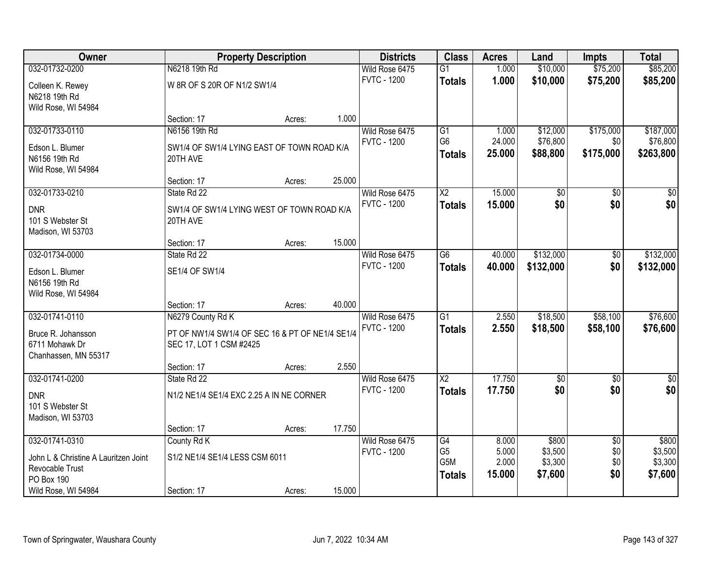| Owner                                |                                                 | <b>Property Description</b> |        | <b>Districts</b>   | <b>Class</b>           | <b>Acres</b> | Land            | <b>Impts</b>    | <b>Total</b>    |
|--------------------------------------|-------------------------------------------------|-----------------------------|--------|--------------------|------------------------|--------------|-----------------|-----------------|-----------------|
| 032-01732-0200                       | N6218 19th Rd                                   |                             |        | Wild Rose 6475     | $\overline{G1}$        | 1.000        | \$10,000        | \$75,200        | \$85,200        |
| Colleen K. Rewey                     | W 8R OF S 20R OF N1/2 SW1/4                     |                             |        | <b>FVTC - 1200</b> | <b>Totals</b>          | 1.000        | \$10,000        | \$75,200        | \$85,200        |
| N6218 19th Rd                        |                                                 |                             |        |                    |                        |              |                 |                 |                 |
| Wild Rose, WI 54984                  |                                                 |                             |        |                    |                        |              |                 |                 |                 |
|                                      | Section: 17                                     | Acres:                      | 1.000  |                    |                        |              |                 |                 |                 |
| 032-01733-0110                       | N6156 19th Rd                                   |                             |        | Wild Rose 6475     | G1                     | 1.000        | \$12,000        | \$175,000       | \$187,000       |
| Edson L. Blumer                      | SW1/4 OF SW1/4 LYING EAST OF TOWN ROAD K/A      |                             |        | <b>FVTC - 1200</b> | G <sub>6</sub>         | 24.000       | \$76,800        | \$0             | \$76,800        |
| N6156 19th Rd                        | 20TH AVE                                        |                             |        |                    | <b>Totals</b>          | 25.000       | \$88,800        | \$175,000       | \$263,800       |
| Wild Rose, WI 54984                  |                                                 |                             |        |                    |                        |              |                 |                 |                 |
|                                      | Section: 17                                     | Acres:                      | 25.000 |                    |                        |              |                 |                 |                 |
| 032-01733-0210                       | State Rd 22                                     |                             |        | Wild Rose 6475     | $\overline{\text{X2}}$ | 15.000       | $\overline{50}$ | $\overline{50}$ | $\overline{30}$ |
| <b>DNR</b>                           | SW1/4 OF SW1/4 LYING WEST OF TOWN ROAD K/A      |                             |        | <b>FVTC - 1200</b> | <b>Totals</b>          | 15.000       | \$0             | \$0             | \$0             |
| 101 S Webster St                     | 20TH AVE                                        |                             |        |                    |                        |              |                 |                 |                 |
| Madison, WI 53703                    |                                                 |                             |        |                    |                        |              |                 |                 |                 |
|                                      | Section: 17                                     | Acres:                      | 15.000 |                    |                        |              |                 |                 |                 |
| 032-01734-0000                       | State Rd 22                                     |                             |        | Wild Rose 6475     | G <sub>6</sub>         | 40.000       | \$132,000       | $\sqrt[6]{3}$   | \$132,000       |
| Edson L. Blumer                      | SE1/4 OF SW1/4                                  |                             |        | <b>FVTC - 1200</b> | <b>Totals</b>          | 40.000       | \$132,000       | \$0             | \$132,000       |
| N6156 19th Rd                        |                                                 |                             |        |                    |                        |              |                 |                 |                 |
| Wild Rose, WI 54984                  |                                                 |                             |        |                    |                        |              |                 |                 |                 |
|                                      | Section: 17                                     | Acres:                      | 40.000 |                    |                        |              |                 |                 |                 |
| 032-01741-0110                       | N6279 County Rd K                               |                             |        | Wild Rose 6475     | $\overline{G1}$        | 2.550        | \$18,500        | \$58,100        | \$76,600        |
| Bruce R. Johansson                   | PT OF NW1/4 SW1/4 OF SEC 16 & PT OF NE1/4 SE1/4 |                             |        | <b>FVTC - 1200</b> | <b>Totals</b>          | 2.550        | \$18,500        | \$58,100        | \$76,600        |
| 6711 Mohawk Dr                       | SEC 17, LOT 1 CSM #2425                         |                             |        |                    |                        |              |                 |                 |                 |
| Chanhassen, MN 55317                 |                                                 |                             |        |                    |                        |              |                 |                 |                 |
|                                      | Section: 17                                     | Acres:                      | 2.550  |                    |                        |              |                 |                 |                 |
| 032-01741-0200                       | State Rd 22                                     |                             |        | Wild Rose 6475     | $\overline{X2}$        | 17.750       | $\sqrt{6}$      | $\sqrt{6}$      | $\frac{1}{6}$   |
| <b>DNR</b>                           | N1/2 NE1/4 SE1/4 EXC 2.25 A IN NE CORNER        |                             |        | <b>FVTC - 1200</b> | <b>Totals</b>          | 17.750       | \$0             | \$0             | \$0             |
| 101 S Webster St                     |                                                 |                             |        |                    |                        |              |                 |                 |                 |
| Madison, WI 53703                    |                                                 |                             |        |                    |                        |              |                 |                 |                 |
|                                      | Section: 17                                     | Acres:                      | 17.750 |                    |                        |              |                 |                 |                 |
| 032-01741-0310                       | County Rd K                                     |                             |        | Wild Rose 6475     | G4                     | 8.000        | \$800           | $\overline{50}$ | \$800           |
| John L & Christine A Lauritzen Joint | S1/2 NE1/4 SE1/4 LESS CSM 6011                  |                             |        | <b>FVTC - 1200</b> | G <sub>5</sub>         | 5.000        | \$3,500         | \$0             | \$3,500         |
| Revocable Trust                      |                                                 |                             |        |                    | G5M                    | 2.000        | \$3,300         | \$0             | \$3,300         |
| PO Box 190                           |                                                 |                             |        |                    | <b>Totals</b>          | 15.000       | \$7,600         | \$0             | \$7,600         |
| Wild Rose, WI 54984                  | Section: 17                                     | Acres:                      | 15.000 |                    |                        |              |                 |                 |                 |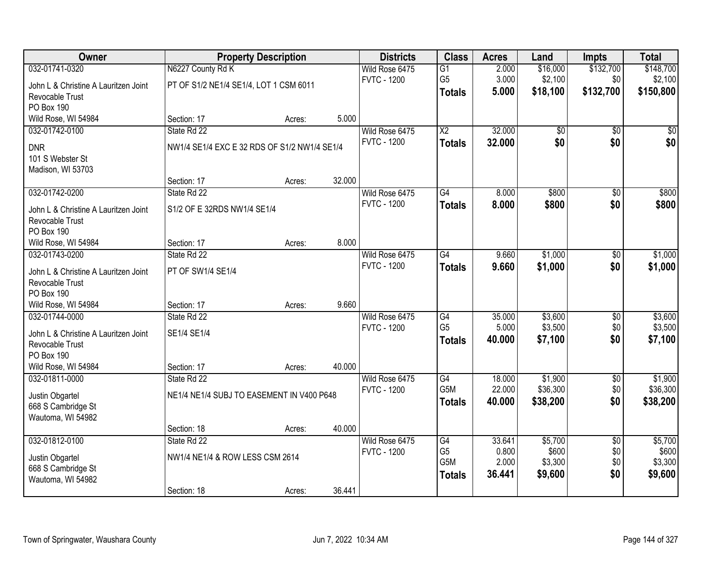| Owner                                 |                                              | <b>Property Description</b> |        | <b>Districts</b>   | <b>Class</b>           | <b>Acres</b> | Land            | <b>Impts</b>    | <b>Total</b> |
|---------------------------------------|----------------------------------------------|-----------------------------|--------|--------------------|------------------------|--------------|-----------------|-----------------|--------------|
| 032-01741-0320                        | N6227 County Rd K                            |                             |        | Wild Rose 6475     | G1                     | 2.000        | \$16,000        | \$132,700       | \$148,700    |
| John L & Christine A Lauritzen Joint  | PT OF S1/2 NE1/4 SE1/4, LOT 1 CSM 6011       |                             |        | <b>FVTC - 1200</b> | G <sub>5</sub>         | 3.000        | \$2,100         | \$0             | \$2,100      |
| Revocable Trust                       |                                              |                             |        |                    | <b>Totals</b>          | 5.000        | \$18,100        | \$132,700       | \$150,800    |
| <b>PO Box 190</b>                     |                                              |                             |        |                    |                        |              |                 |                 |              |
| Wild Rose, WI 54984                   | Section: 17                                  | Acres:                      | 5.000  |                    |                        |              |                 |                 |              |
| 032-01742-0100                        | State Rd 22                                  |                             |        | Wild Rose 6475     | $\overline{\text{X2}}$ | 32.000       | $\overline{50}$ | $\overline{50}$ | $\sqrt{50}$  |
| <b>DNR</b>                            | NW1/4 SE1/4 EXC E 32 RDS OF S1/2 NW1/4 SE1/4 |                             |        | <b>FVTC - 1200</b> | <b>Totals</b>          | 32.000       | \$0             | \$0             | \$0          |
| 101 S Webster St                      |                                              |                             |        |                    |                        |              |                 |                 |              |
| Madison, WI 53703                     |                                              |                             |        |                    |                        |              |                 |                 |              |
|                                       | Section: 17                                  | Acres:                      | 32.000 |                    |                        |              |                 |                 |              |
| 032-01742-0200                        | State Rd 22                                  |                             |        | Wild Rose 6475     | G4                     | 8.000        | \$800           | \$0             | \$800        |
| John L & Christine A Lauritzen Joint  | S1/2 OF E 32RDS NW1/4 SE1/4                  |                             |        | <b>FVTC - 1200</b> | <b>Totals</b>          | 8.000        | \$800           | \$0             | \$800        |
| Revocable Trust                       |                                              |                             |        |                    |                        |              |                 |                 |              |
| PO Box 190                            |                                              |                             |        |                    |                        |              |                 |                 |              |
| Wild Rose, WI 54984                   | Section: 17                                  | Acres:                      | 8.000  |                    |                        |              |                 |                 |              |
| 032-01743-0200                        | State Rd 22                                  |                             |        | Wild Rose 6475     | G4                     | 9.660        | \$1,000         | \$0             | \$1,000      |
| John L & Christine A Lauritzen Joint  | PT OF SW1/4 SE1/4                            |                             |        | <b>FVTC - 1200</b> | <b>Totals</b>          | 9.660        | \$1,000         | \$0             | \$1,000      |
| Revocable Trust                       |                                              |                             |        |                    |                        |              |                 |                 |              |
| PO Box 190                            |                                              |                             |        |                    |                        |              |                 |                 |              |
| Wild Rose, WI 54984                   | Section: 17                                  | Acres:                      | 9.660  |                    |                        |              |                 |                 |              |
| 032-01744-0000                        | State Rd 22                                  |                             |        | Wild Rose 6475     | $\overline{G4}$        | 35.000       | \$3,600         | $\overline{30}$ | \$3,600      |
| John L & Christine A Lauritzen Joint  | SE1/4 SE1/4                                  |                             |        | <b>FVTC - 1200</b> | G <sub>5</sub>         | 5.000        | \$3,500         | \$0             | \$3,500      |
| Revocable Trust                       |                                              |                             |        |                    | <b>Totals</b>          | 40.000       | \$7,100         | \$0             | \$7,100      |
| <b>PO Box 190</b>                     |                                              |                             |        |                    |                        |              |                 |                 |              |
| Wild Rose, WI 54984                   | Section: 17                                  | Acres:                      | 40.000 |                    |                        |              |                 |                 |              |
| 032-01811-0000                        | State Rd 22                                  |                             |        | Wild Rose 6475     | G4                     | 18.000       | \$1,900         | $\overline{60}$ | \$1,900      |
|                                       | NE1/4 NE1/4 SUBJ TO EASEMENT IN V400 P648    |                             |        | <b>FVTC - 1200</b> | G5M                    | 22.000       | \$36,300        | \$0             | \$36,300     |
| Justin Obgartel<br>668 S Cambridge St |                                              |                             |        |                    | <b>Totals</b>          | 40.000       | \$38,200        | \$0             | \$38,200     |
| Wautoma, WI 54982                     |                                              |                             |        |                    |                        |              |                 |                 |              |
|                                       | Section: 18                                  | Acres:                      | 40.000 |                    |                        |              |                 |                 |              |
| 032-01812-0100                        | State Rd 22                                  |                             |        | Wild Rose 6475     | G4                     | 33.641       | \$5,700         | $\overline{50}$ | \$5,700      |
|                                       |                                              |                             |        | <b>FVTC - 1200</b> | G <sub>5</sub>         | 0.800        | \$600           | \$0             | \$600        |
| Justin Obgartel<br>668 S Cambridge St | NW1/4 NE1/4 & ROW LESS CSM 2614              |                             |        |                    | G5M                    | 2.000        | \$3,300         | \$0             | \$3,300      |
| Wautoma, WI 54982                     |                                              |                             |        |                    | <b>Totals</b>          | 36.441       | \$9,600         | \$0             | \$9,600      |
|                                       | Section: 18                                  | Acres:                      | 36.441 |                    |                        |              |                 |                 |              |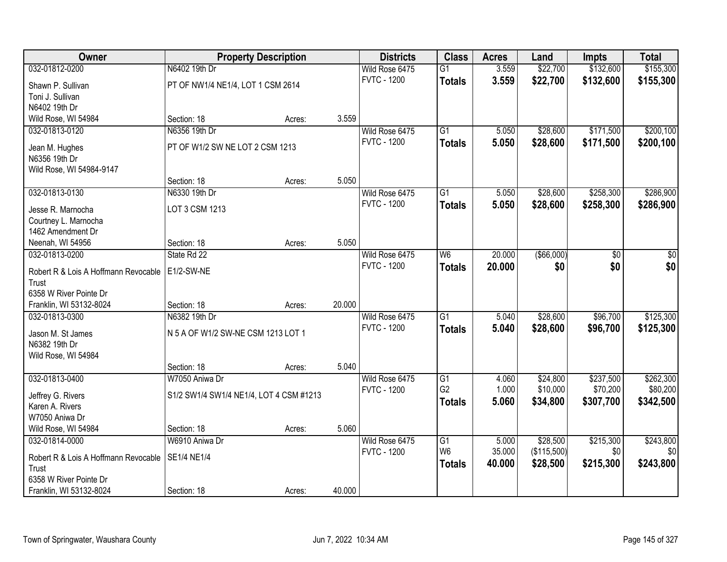| Owner                                | <b>Property Description</b>             |        |        | <b>Districts</b>   | <b>Class</b>    | <b>Acres</b> | Land        | <b>Impts</b> | <b>Total</b> |
|--------------------------------------|-----------------------------------------|--------|--------|--------------------|-----------------|--------------|-------------|--------------|--------------|
| 032-01812-0200                       | N6402 19th Dr                           |        |        | Wild Rose 6475     | $\overline{G1}$ | 3.559        | \$22,700    | \$132,600    | \$155,300    |
| Shawn P. Sullivan                    | PT OF NW1/4 NE1/4, LOT 1 CSM 2614       |        |        | <b>FVTC - 1200</b> | <b>Totals</b>   | 3.559        | \$22,700    | \$132,600    | \$155,300    |
| Toni J. Sullivan                     |                                         |        |        |                    |                 |              |             |              |              |
| N6402 19th Dr                        |                                         |        |        |                    |                 |              |             |              |              |
| Wild Rose, WI 54984                  | Section: 18                             | Acres: | 3.559  |                    |                 |              |             |              |              |
| 032-01813-0120                       | N6356 19th Dr                           |        |        | Wild Rose 6475     | $\overline{G1}$ | 5.050        | \$28,600    | \$171,500    | \$200,100    |
|                                      |                                         |        |        | <b>FVTC - 1200</b> | <b>Totals</b>   | 5.050        | \$28,600    | \$171,500    | \$200,100    |
| Jean M. Hughes                       | PT OF W1/2 SW NE LOT 2 CSM 1213         |        |        |                    |                 |              |             |              |              |
| N6356 19th Dr                        |                                         |        |        |                    |                 |              |             |              |              |
| Wild Rose, WI 54984-9147             |                                         |        |        |                    |                 |              |             |              |              |
|                                      | Section: 18                             | Acres: | 5.050  |                    |                 |              |             |              |              |
| 032-01813-0130                       | N6330 19th Dr                           |        |        | Wild Rose 6475     | G1              | 5.050        | \$28,600    | \$258,300    | \$286,900    |
| Jesse R. Marnocha                    | LOT 3 CSM 1213                          |        |        | <b>FVTC - 1200</b> | <b>Totals</b>   | 5.050        | \$28,600    | \$258,300    | \$286,900    |
| Courtney L. Marnocha                 |                                         |        |        |                    |                 |              |             |              |              |
| 1462 Amendment Dr                    |                                         |        |        |                    |                 |              |             |              |              |
| Neenah, WI 54956                     | Section: 18                             | Acres: | 5.050  |                    |                 |              |             |              |              |
| 032-01813-0200                       | State Rd 22                             |        |        | Wild Rose 6475     | W <sub>6</sub>  | 20.000       | ( \$66,000) | \$0          | \$0          |
|                                      |                                         |        |        | <b>FVTC - 1200</b> | <b>Totals</b>   | 20.000       | \$0         | \$0          | \$0          |
| Robert R & Lois A Hoffmann Revocable | E1/2-SW-NE                              |        |        |                    |                 |              |             |              |              |
| Trust                                |                                         |        |        |                    |                 |              |             |              |              |
| 6358 W River Pointe Dr               |                                         |        |        |                    |                 |              |             |              |              |
| Franklin, WI 53132-8024              | Section: 18                             | Acres: | 20.000 |                    |                 |              |             |              |              |
| 032-01813-0300                       | N6382 19th Dr                           |        |        | Wild Rose 6475     | $\overline{G1}$ | 5.040        | \$28,600    | \$96,700     | \$125,300    |
| Jason M. St James                    | N 5 A OF W1/2 SW-NE CSM 1213 LOT 1      |        |        | <b>FVTC - 1200</b> | <b>Totals</b>   | 5.040        | \$28,600    | \$96,700     | \$125,300    |
| N6382 19th Dr                        |                                         |        |        |                    |                 |              |             |              |              |
| Wild Rose, WI 54984                  |                                         |        |        |                    |                 |              |             |              |              |
|                                      | Section: 18                             | Acres: | 5.040  |                    |                 |              |             |              |              |
| 032-01813-0400                       | W7050 Aniwa Dr                          |        |        | Wild Rose 6475     | G1              | 4.060        | \$24,800    | \$237,500    | \$262,300    |
|                                      |                                         |        |        | <b>FVTC - 1200</b> | G <sub>2</sub>  | 1.000        | \$10,000    | \$70,200     | \$80,200     |
| Jeffrey G. Rivers                    | S1/2 SW1/4 SW1/4 NE1/4, LOT 4 CSM #1213 |        |        |                    | <b>Totals</b>   | 5.060        | \$34,800    | \$307,700    | \$342,500    |
| Karen A. Rivers                      |                                         |        |        |                    |                 |              |             |              |              |
| W7050 Aniwa Dr                       |                                         |        |        |                    |                 |              |             |              |              |
| Wild Rose, WI 54984                  | Section: 18                             | Acres: | 5.060  |                    |                 |              |             |              |              |
| 032-01814-0000                       | W6910 Aniwa Dr                          |        |        | Wild Rose 6475     | $\overline{G1}$ | 5.000        | \$28,500    | \$215,300    | \$243,800    |
| Robert R & Lois A Hoffmann Revocable | <b>SE1/4 NE1/4</b>                      |        |        | <b>FVTC - 1200</b> | W <sub>6</sub>  | 35.000       | (\$115,500) | \$0          | \$0          |
| Trust                                |                                         |        |        |                    | <b>Totals</b>   | 40.000       | \$28,500    | \$215,300    | \$243,800    |
| 6358 W River Pointe Dr               |                                         |        |        |                    |                 |              |             |              |              |
| Franklin, WI 53132-8024              | Section: 18                             | Acres: | 40.000 |                    |                 |              |             |              |              |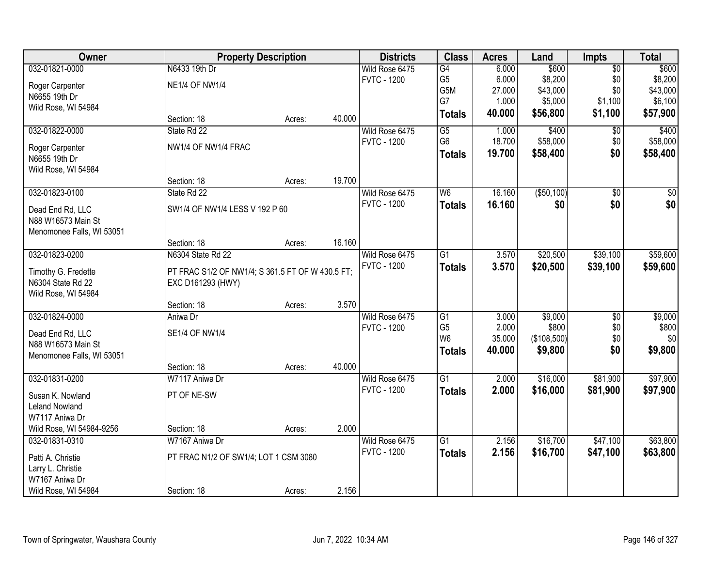| <b>Owner</b>                           |                                                  | <b>Property Description</b> |        | <b>Districts</b>   | <b>Class</b>    | <b>Acres</b> | Land         | <b>Impts</b>  | <b>Total</b> |
|----------------------------------------|--------------------------------------------------|-----------------------------|--------|--------------------|-----------------|--------------|--------------|---------------|--------------|
| 032-01821-0000                         | N6433 19th Dr                                    |                             |        | Wild Rose 6475     | $\overline{G4}$ | 6.000        | \$600        | \$0           | \$600        |
| Roger Carpenter                        | <b>NE1/4 OF NW1/4</b>                            |                             |        | <b>FVTC - 1200</b> | G <sub>5</sub>  | 6.000        | \$8,200      | \$0           | \$8,200      |
| N6655 19th Dr                          |                                                  |                             |        |                    | G5M             | 27.000       | \$43,000     | \$0           | \$43,000     |
| Wild Rose, WI 54984                    |                                                  |                             |        |                    | G7              | 1.000        | \$5,000      | \$1,100       | \$6,100      |
|                                        | Section: 18                                      | Acres:                      | 40.000 |                    | <b>Totals</b>   | 40.000       | \$56,800     | \$1,100       | \$57,900     |
| 032-01822-0000                         | State Rd 22                                      |                             |        | Wild Rose 6475     | $\overline{G5}$ | 1.000        | \$400        | \$0           | \$400        |
|                                        | NW1/4 OF NW1/4 FRAC                              |                             |        | <b>FVTC - 1200</b> | G <sub>6</sub>  | 18.700       | \$58,000     | \$0           | \$58,000     |
| Roger Carpenter<br>N6655 19th Dr       |                                                  |                             |        |                    | <b>Totals</b>   | 19.700       | \$58,400     | \$0           | \$58,400     |
| Wild Rose, WI 54984                    |                                                  |                             |        |                    |                 |              |              |               |              |
|                                        | Section: 18                                      | Acres:                      | 19.700 |                    |                 |              |              |               |              |
| 032-01823-0100                         | State Rd 22                                      |                             |        | Wild Rose 6475     | W <sub>6</sub>  | 16.160       | ( \$50, 100) | $\sqrt[6]{3}$ | \$0          |
|                                        |                                                  |                             |        | <b>FVTC - 1200</b> | <b>Totals</b>   | 16.160       | \$0          | \$0           | \$0          |
| Dead End Rd, LLC<br>N88 W16573 Main St | SW1/4 OF NW1/4 LESS V 192 P 60                   |                             |        |                    |                 |              |              |               |              |
|                                        |                                                  |                             |        |                    |                 |              |              |               |              |
| Menomonee Falls, WI 53051              | Section: 18                                      | Acres:                      | 16.160 |                    |                 |              |              |               |              |
| 032-01823-0200                         | N6304 State Rd 22                                |                             |        | Wild Rose 6475     | $\overline{G1}$ | 3.570        | \$20,500     | \$39,100      | \$59,600     |
|                                        |                                                  |                             |        | <b>FVTC - 1200</b> | <b>Totals</b>   | 3.570        | \$20,500     | \$39,100      | \$59,600     |
| Timothy G. Fredette                    | PT FRAC S1/2 OF NW1/4; S 361.5 FT OF W 430.5 FT; |                             |        |                    |                 |              |              |               |              |
| N6304 State Rd 22                      | EXC D161293 (HWY)                                |                             |        |                    |                 |              |              |               |              |
| Wild Rose, WI 54984                    |                                                  |                             |        |                    |                 |              |              |               |              |
|                                        | Section: 18                                      | Acres:                      | 3.570  |                    |                 |              |              |               |              |
| 032-01824-0000                         | Aniwa Dr                                         |                             |        | Wild Rose 6475     | $\overline{G1}$ | 3.000        | \$9,000      | \$0           | \$9,000      |
| Dead End Rd, LLC                       | <b>SE1/4 OF NW1/4</b>                            |                             |        | <b>FVTC - 1200</b> | G <sub>5</sub>  | 2.000        | \$800        | \$0           | \$800        |
| N88 W16573 Main St                     |                                                  |                             |        |                    | W <sub>6</sub>  | 35.000       | (\$108,500)  | \$0           | \$0          |
| Menomonee Falls, WI 53051              |                                                  |                             |        |                    | <b>Totals</b>   | 40.000       | \$9,800      | \$0           | \$9,800      |
|                                        | Section: 18                                      | Acres:                      | 40.000 |                    |                 |              |              |               |              |
| 032-01831-0200                         | W7117 Aniwa Dr                                   |                             |        | Wild Rose 6475     | $\overline{G1}$ | 2.000        | \$16,000     | \$81,900      | \$97,900     |
| Susan K. Nowland                       | PT OF NE-SW                                      |                             |        | <b>FVTC - 1200</b> | <b>Totals</b>   | 2.000        | \$16,000     | \$81,900      | \$97,900     |
| Leland Nowland                         |                                                  |                             |        |                    |                 |              |              |               |              |
| W7117 Aniwa Dr                         |                                                  |                             |        |                    |                 |              |              |               |              |
| Wild Rose, WI 54984-9256               | Section: 18                                      | Acres:                      | 2.000  |                    |                 |              |              |               |              |
| 032-01831-0310                         | W7167 Aniwa Dr                                   |                             |        | Wild Rose 6475     | $\overline{G1}$ | 2.156        | \$16,700     | \$47,100      | \$63,800     |
| Patti A. Christie                      | PT FRAC N1/2 OF SW1/4; LOT 1 CSM 3080            |                             |        | <b>FVTC - 1200</b> | <b>Totals</b>   | 2.156        | \$16,700     | \$47,100      | \$63,800     |
| Larry L. Christie                      |                                                  |                             |        |                    |                 |              |              |               |              |
| W7167 Aniwa Dr                         |                                                  |                             |        |                    |                 |              |              |               |              |
| Wild Rose, WI 54984                    | Section: 18                                      | Acres:                      | 2.156  |                    |                 |              |              |               |              |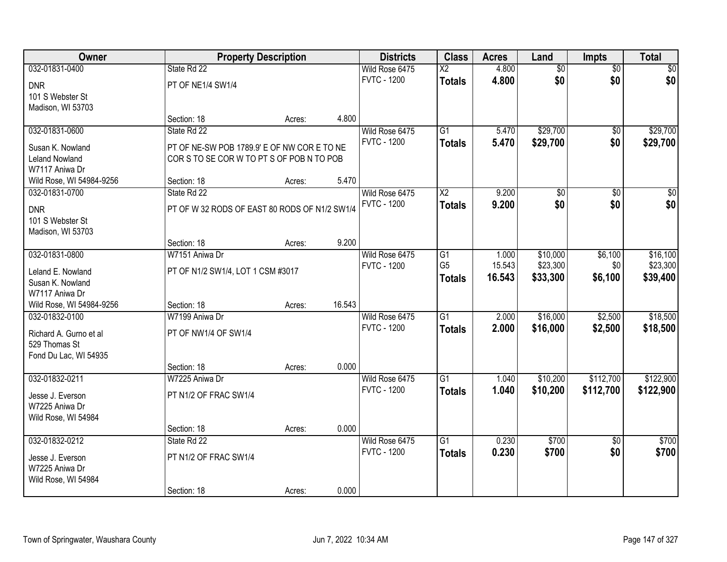| Owner                    |                                               | <b>Property Description</b> |        | <b>Districts</b>   | <b>Class</b>           | <b>Acres</b> | Land            | <b>Impts</b>    | <b>Total</b> |
|--------------------------|-----------------------------------------------|-----------------------------|--------|--------------------|------------------------|--------------|-----------------|-----------------|--------------|
| 032-01831-0400           | State Rd 22                                   |                             |        | Wild Rose 6475     | $\overline{\text{X2}}$ | 4.800        | $\overline{50}$ | $\overline{50}$ | $\sqrt{30}$  |
| <b>DNR</b>               | PT OF NE1/4 SW1/4                             |                             |        | <b>FVTC - 1200</b> | <b>Totals</b>          | 4.800        | \$0             | \$0             | \$0          |
| 101 S Webster St         |                                               |                             |        |                    |                        |              |                 |                 |              |
| Madison, WI 53703        |                                               |                             |        |                    |                        |              |                 |                 |              |
|                          | Section: 18                                   | Acres:                      | 4.800  |                    |                        |              |                 |                 |              |
| 032-01831-0600           | State Rd 22                                   |                             |        | Wild Rose 6475     | $\overline{G1}$        | 5.470        | \$29,700        | \$0             | \$29,700     |
| Susan K. Nowland         | PT OF NE-SW POB 1789.9' E OF NW CORE TO NE    |                             |        | <b>FVTC - 1200</b> | <b>Totals</b>          | 5.470        | \$29,700        | \$0             | \$29,700     |
| <b>Leland Nowland</b>    | CORS TO SE CORW TO PT S OF POBN TO POB        |                             |        |                    |                        |              |                 |                 |              |
| W7117 Aniwa Dr           |                                               |                             |        |                    |                        |              |                 |                 |              |
| Wild Rose, WI 54984-9256 | Section: 18                                   | Acres:                      | 5.470  |                    |                        |              |                 |                 |              |
| 032-01831-0700           | State Rd 22                                   |                             |        | Wild Rose 6475     | X <sub>2</sub>         | 9.200        | \$0             | \$0             | \$0          |
| <b>DNR</b>               | PT OF W 32 RODS OF EAST 80 RODS OF N1/2 SW1/4 |                             |        | <b>FVTC - 1200</b> | <b>Totals</b>          | 9.200        | \$0             | \$0             | \$0          |
| 101 S Webster St         |                                               |                             |        |                    |                        |              |                 |                 |              |
| Madison, WI 53703        |                                               |                             |        |                    |                        |              |                 |                 |              |
|                          | Section: 18                                   | Acres:                      | 9.200  |                    |                        |              |                 |                 |              |
| 032-01831-0800           | W7151 Aniwa Dr                                |                             |        | Wild Rose 6475     | G1                     | 1.000        | \$10,000        | \$6,100         | \$16,100     |
| Leland E. Nowland        | PT OF N1/2 SW1/4, LOT 1 CSM #3017             |                             |        | <b>FVTC - 1200</b> | G <sub>5</sub>         | 15.543       | \$23,300        | \$0             | \$23,300     |
| Susan K. Nowland         |                                               |                             |        |                    | <b>Totals</b>          | 16.543       | \$33,300        | \$6,100         | \$39,400     |
| W7117 Aniwa Dr           |                                               |                             |        |                    |                        |              |                 |                 |              |
| Wild Rose, WI 54984-9256 | Section: 18                                   | Acres:                      | 16.543 |                    |                        |              |                 |                 |              |
| 032-01832-0100           | W7199 Aniwa Dr                                |                             |        | Wild Rose 6475     | $\overline{G1}$        | 2.000        | \$16,000        | \$2,500         | \$18,500     |
| Richard A. Gurno et al   | PT OF NW1/4 OF SW1/4                          |                             |        | <b>FVTC - 1200</b> | <b>Totals</b>          | 2.000        | \$16,000        | \$2,500         | \$18,500     |
| 529 Thomas St            |                                               |                             |        |                    |                        |              |                 |                 |              |
| Fond Du Lac, WI 54935    |                                               |                             |        |                    |                        |              |                 |                 |              |
|                          | Section: 18                                   | Acres:                      | 0.000  |                    |                        |              |                 |                 |              |
| 032-01832-0211           | W7225 Aniwa Dr                                |                             |        | Wild Rose 6475     | $\overline{G1}$        | 1.040        | \$10,200        | \$112,700       | \$122,900    |
| Jesse J. Everson         | PT N1/2 OF FRAC SW1/4                         |                             |        | <b>FVTC - 1200</b> | <b>Totals</b>          | 1.040        | \$10,200        | \$112,700       | \$122,900    |
| W7225 Aniwa Dr           |                                               |                             |        |                    |                        |              |                 |                 |              |
| Wild Rose, WI 54984      |                                               |                             |        |                    |                        |              |                 |                 |              |
|                          | Section: 18                                   | Acres:                      | 0.000  |                    |                        |              |                 |                 |              |
| 032-01832-0212           | State Rd 22                                   |                             |        | Wild Rose 6475     | G1                     | 0.230        | \$700           | $\overline{50}$ | \$700        |
| Jesse J. Everson         | PT N1/2 OF FRAC SW1/4                         |                             |        | <b>FVTC - 1200</b> | <b>Totals</b>          | 0.230        | \$700           | \$0             | \$700        |
| W7225 Aniwa Dr           |                                               |                             |        |                    |                        |              |                 |                 |              |
| Wild Rose, WI 54984      |                                               |                             |        |                    |                        |              |                 |                 |              |
|                          | Section: 18                                   | Acres:                      | 0.000  |                    |                        |              |                 |                 |              |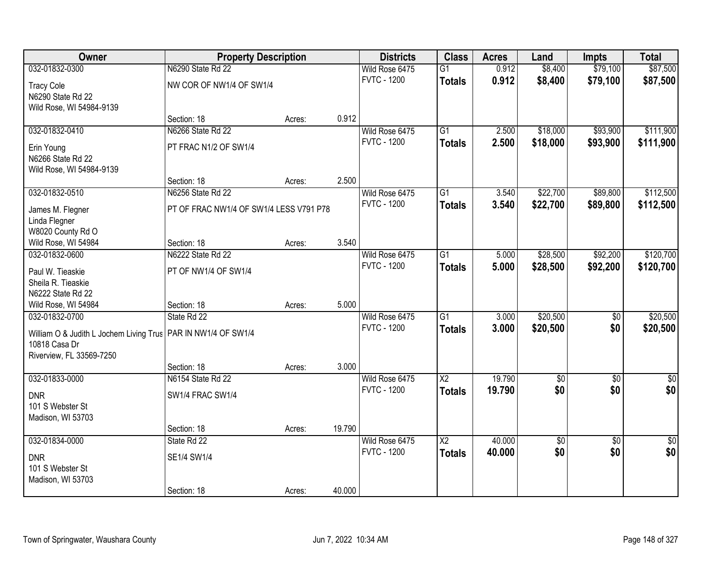| Owner                                                           | <b>Property Description</b>             |        | <b>Districts</b> | <b>Class</b>       | <b>Acres</b>             | Land   | <b>Impts</b>    | <b>Total</b>    |                 |
|-----------------------------------------------------------------|-----------------------------------------|--------|------------------|--------------------|--------------------------|--------|-----------------|-----------------|-----------------|
| 032-01832-0300                                                  | N6290 State Rd 22                       |        |                  | Wild Rose 6475     | $\overline{G1}$          | 0.912  | \$8,400         | \$79,100        | \$87,500        |
| <b>Tracy Cole</b>                                               | NW COR OF NW1/4 OF SW1/4                |        |                  | <b>FVTC - 1200</b> | <b>Totals</b>            | 0.912  | \$8,400         | \$79,100        | \$87,500        |
| N6290 State Rd 22                                               |                                         |        |                  |                    |                          |        |                 |                 |                 |
| Wild Rose, WI 54984-9139                                        |                                         |        |                  |                    |                          |        |                 |                 |                 |
|                                                                 | Section: 18                             | Acres: | 0.912            |                    |                          |        |                 |                 |                 |
| 032-01832-0410                                                  | N6266 State Rd 22                       |        |                  | Wild Rose 6475     | $\overline{G1}$          | 2.500  | \$18,000        | \$93,900        | \$111,900       |
| Erin Young                                                      | PT FRAC N1/2 OF SW1/4                   |        |                  | <b>FVTC - 1200</b> | <b>Totals</b>            | 2.500  | \$18,000        | \$93,900        | \$111,900       |
| N6266 State Rd 22                                               |                                         |        |                  |                    |                          |        |                 |                 |                 |
| Wild Rose, WI 54984-9139                                        |                                         |        |                  |                    |                          |        |                 |                 |                 |
|                                                                 | Section: 18                             | Acres: | 2.500            |                    |                          |        |                 |                 |                 |
| 032-01832-0510                                                  | N6256 State Rd 22                       |        |                  | Wild Rose 6475     | G1                       | 3.540  | \$22,700        | \$89,800        | \$112,500       |
| James M. Flegner                                                | PT OF FRAC NW1/4 OF SW1/4 LESS V791 P78 |        |                  | <b>FVTC - 1200</b> | <b>Totals</b>            | 3.540  | \$22,700        | \$89,800        | \$112,500       |
| Linda Flegner                                                   |                                         |        |                  |                    |                          |        |                 |                 |                 |
| W8020 County Rd O                                               |                                         |        |                  |                    |                          |        |                 |                 |                 |
| Wild Rose, WI 54984                                             | Section: 18                             | Acres: | 3.540            |                    |                          |        |                 |                 |                 |
| 032-01832-0600                                                  | N6222 State Rd 22                       |        |                  | Wild Rose 6475     | G1                       | 5.000  | \$28,500        | \$92,200        | \$120,700       |
| Paul W. Tieaskie                                                | PT OF NW1/4 OF SW1/4                    |        |                  | <b>FVTC - 1200</b> | <b>Totals</b>            | 5.000  | \$28,500        | \$92,200        | \$120,700       |
| Sheila R. Tieaskie                                              |                                         |        |                  |                    |                          |        |                 |                 |                 |
| N6222 State Rd 22                                               |                                         |        |                  |                    |                          |        |                 |                 |                 |
| Wild Rose, WI 54984                                             | Section: 18                             | Acres: | 5.000            |                    |                          |        |                 |                 |                 |
| 032-01832-0700                                                  | State Rd 22                             |        |                  | Wild Rose 6475     | $\overline{G1}$          | 3.000  | \$20,500        | $\overline{50}$ | \$20,500        |
| William O & Judith L Jochem Living Trus   PAR IN NW1/4 OF SW1/4 |                                         |        |                  | <b>FVTC - 1200</b> | <b>Totals</b>            | 3.000  | \$20,500        | \$0             | \$20,500        |
| 10818 Casa Dr                                                   |                                         |        |                  |                    |                          |        |                 |                 |                 |
| Riverview, FL 33569-7250                                        |                                         |        |                  |                    |                          |        |                 |                 |                 |
|                                                                 | Section: 18                             | Acres: | 3.000            |                    |                          |        |                 |                 |                 |
| 032-01833-0000                                                  | N6154 State Rd 22                       |        |                  | Wild Rose 6475     | $\overline{\text{X2}}$   | 19.790 | $\overline{50}$ | $\overline{50}$ | $\overline{50}$ |
| <b>DNR</b>                                                      | SW1/4 FRAC SW1/4                        |        |                  | <b>FVTC - 1200</b> | <b>Totals</b>            | 19.790 | \$0             | \$0             | \$0             |
| 101 S Webster St                                                |                                         |        |                  |                    |                          |        |                 |                 |                 |
| Madison, WI 53703                                               |                                         |        |                  |                    |                          |        |                 |                 |                 |
|                                                                 | Section: 18                             | Acres: | 19.790           |                    |                          |        |                 |                 |                 |
| 032-01834-0000                                                  | State Rd 22                             |        |                  | Wild Rose 6475     | $\overline{\mathsf{X2}}$ | 40.000 | \$0             | $\overline{50}$ | $\overline{50}$ |
| <b>DNR</b>                                                      | SE1/4 SW1/4                             |        |                  | <b>FVTC - 1200</b> | <b>Totals</b>            | 40.000 | \$0             | \$0             | \$0             |
| 101 S Webster St                                                |                                         |        |                  |                    |                          |        |                 |                 |                 |
| Madison, WI 53703                                               |                                         |        |                  |                    |                          |        |                 |                 |                 |
|                                                                 | Section: 18                             | Acres: | 40.000           |                    |                          |        |                 |                 |                 |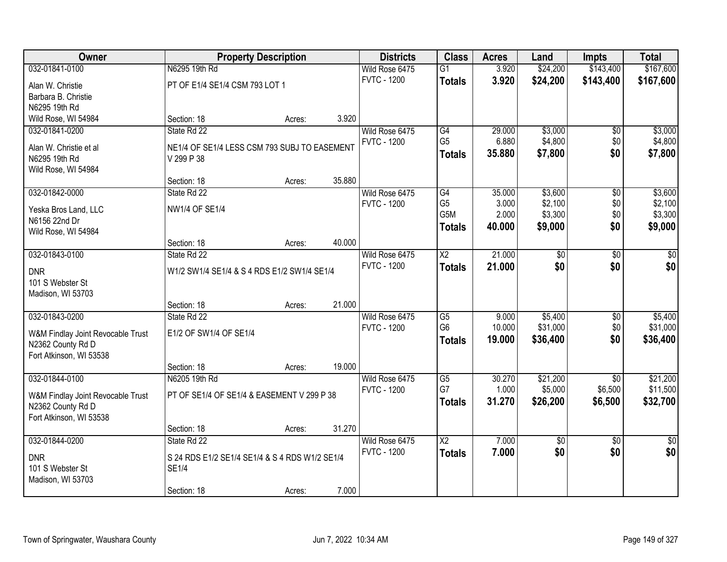| Owner                                        | <b>Property Description</b>                    |        |        | <b>Districts</b>   | <b>Class</b>           | <b>Acres</b> | Land            | <b>Impts</b>    | <b>Total</b>   |
|----------------------------------------------|------------------------------------------------|--------|--------|--------------------|------------------------|--------------|-----------------|-----------------|----------------|
| 032-01841-0100                               | N6295 19th Rd                                  |        |        | Wild Rose 6475     | $\overline{G1}$        | 3.920        | \$24,200        | \$143,400       | \$167,600      |
| Alan W. Christie                             | PT OF E1/4 SE1/4 CSM 793 LOT 1                 |        |        | <b>FVTC - 1200</b> | <b>Totals</b>          | 3.920        | \$24,200        | \$143,400       | \$167,600      |
| Barbara B. Christie                          |                                                |        |        |                    |                        |              |                 |                 |                |
| N6295 19th Rd                                |                                                |        |        |                    |                        |              |                 |                 |                |
| Wild Rose, WI 54984                          | Section: 18                                    | Acres: | 3.920  |                    |                        |              |                 |                 |                |
| 032-01841-0200                               | State Rd 22                                    |        |        | Wild Rose 6475     | G4                     | 29.000       | \$3,000         | $\overline{50}$ | \$3,000        |
| Alan W. Christie et al                       | NE1/4 OF SE1/4 LESS CSM 793 SUBJ TO EASEMENT   |        |        | <b>FVTC - 1200</b> | G <sub>5</sub>         | 6.880        | \$4,800         | \$0             | \$4,800        |
| N6295 19th Rd                                | V 299 P 38                                     |        |        |                    | <b>Totals</b>          | 35.880       | \$7,800         | \$0             | \$7,800        |
| Wild Rose, WI 54984                          |                                                |        |        |                    |                        |              |                 |                 |                |
|                                              | Section: 18                                    | Acres: | 35.880 |                    |                        |              |                 |                 |                |
| 032-01842-0000                               | State Rd 22                                    |        |        | Wild Rose 6475     | G4                     | 35.000       | \$3,600         | \$0             | \$3,600        |
| Yeska Bros Land, LLC                         | <b>NW1/4 OF SE1/4</b>                          |        |        | <b>FVTC - 1200</b> | G <sub>5</sub>         | 3.000        | \$2,100         | \$0             | \$2,100        |
| N6156 22nd Dr                                |                                                |        |        |                    | G5M                    | 2.000        | \$3,300         | \$0             | \$3,300        |
| Wild Rose, WI 54984                          |                                                |        |        |                    | <b>Totals</b>          | 40.000       | \$9,000         | \$0             | \$9,000        |
|                                              | Section: 18                                    | Acres: | 40.000 |                    |                        |              |                 |                 |                |
| 032-01843-0100                               | State Rd 22                                    |        |        | Wild Rose 6475     | $\overline{X2}$        | 21.000       | $\overline{50}$ | \$0             | \$0            |
|                                              |                                                |        |        | <b>FVTC - 1200</b> | <b>Totals</b>          | 21.000       | \$0             | \$0             | \$0            |
| <b>DNR</b><br>101 S Webster St               | W1/2 SW1/4 SE1/4 & S 4 RDS E1/2 SW1/4 SE1/4    |        |        |                    |                        |              |                 |                 |                |
| Madison, WI 53703                            |                                                |        |        |                    |                        |              |                 |                 |                |
|                                              | Section: 18                                    | Acres: | 21.000 |                    |                        |              |                 |                 |                |
| 032-01843-0200                               | State Rd 22                                    |        |        | Wild Rose 6475     | $\overline{\text{G5}}$ | 9.000        | \$5,400         | \$0             | \$5,400        |
|                                              |                                                |        |        | <b>FVTC - 1200</b> | G <sub>6</sub>         | 10.000       | \$31,000        | \$0             | \$31,000       |
| W&M Findlay Joint Revocable Trust            | E1/2 OF SW1/4 OF SE1/4                         |        |        |                    | <b>Totals</b>          | 19.000       | \$36,400        | \$0             | \$36,400       |
| N2362 County Rd D<br>Fort Atkinson, WI 53538 |                                                |        |        |                    |                        |              |                 |                 |                |
|                                              | Section: 18                                    | Acres: | 19.000 |                    |                        |              |                 |                 |                |
| 032-01844-0100                               | N6205 19th Rd                                  |        |        | Wild Rose 6475     | $\overline{G5}$        | 30.270       | \$21,200        | $\overline{50}$ | \$21,200       |
|                                              |                                                |        |        | <b>FVTC - 1200</b> | G7                     | 1.000        | \$5,000         | \$6,500         | \$11,500       |
| W&M Findlay Joint Revocable Trust            | PT OF SE1/4 OF SE1/4 & EASEMENT V 299 P 38     |        |        |                    | Totals                 | 31.270       | \$26,200        | \$6,500         | \$32,700       |
| N2362 County Rd D                            |                                                |        |        |                    |                        |              |                 |                 |                |
| Fort Atkinson, WI 53538                      |                                                |        |        |                    |                        |              |                 |                 |                |
| 032-01844-0200                               | Section: 18<br>State Rd 22                     | Acres: | 31.270 | Wild Rose 6475     | $\overline{X2}$        | 7.000        | $\overline{50}$ | $\overline{50}$ | $\frac{1}{30}$ |
|                                              |                                                |        |        | <b>FVTC - 1200</b> | <b>Totals</b>          | 7.000        | \$0             | \$0             | \$0            |
| <b>DNR</b>                                   | S 24 RDS E1/2 SE1/4 SE1/4 & S 4 RDS W1/2 SE1/4 |        |        |                    |                        |              |                 |                 |                |
| 101 S Webster St                             | <b>SE1/4</b>                                   |        |        |                    |                        |              |                 |                 |                |
| Madison, WI 53703                            |                                                |        |        |                    |                        |              |                 |                 |                |
|                                              | Section: 18                                    | Acres: | 7.000  |                    |                        |              |                 |                 |                |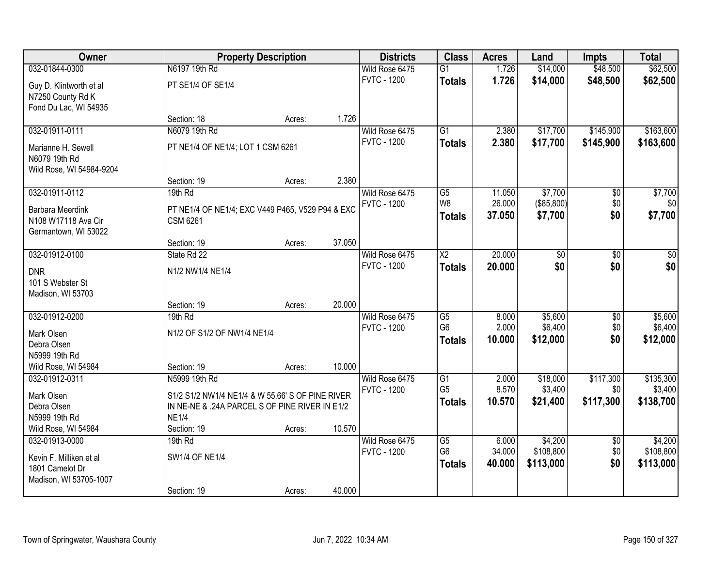| \$48,500<br>032-01844-0300<br>N6197 19th Rd<br>\$14,000<br>Wild Rose 6475<br>$\overline{G1}$<br>1.726<br><b>FVTC - 1200</b><br>1.726<br>\$14,000<br>\$48,500<br><b>Totals</b><br>PT SE1/4 OF SE1/4<br>Guy D. Klintworth et al<br>N7250 County Rd K<br>Fond Du Lac, WI 54935<br>1.726<br>Section: 18<br>Acres:<br>N6079 19th Rd<br>$\overline{G1}$<br>\$145,900<br>032-01911-0111<br>Wild Rose 6475<br>2.380<br>\$17,700<br><b>FVTC - 1200</b><br>2.380<br>\$17,700<br>\$145,900<br><b>Totals</b><br>PT NE1/4 OF NE1/4; LOT 1 CSM 6261<br>Marianne H. Sewell<br>N6079 19th Rd<br>Wild Rose, WI 54984-9204<br>2.380<br>Section: 19<br>Acres:<br>032-01911-0112<br>$\overline{G5}$<br>\$7,700<br>19th Rd<br>Wild Rose 6475<br>11.050<br>\$0 | Owner | <b>Property Description</b> | <b>Districts</b>   | <b>Class</b> | <b>Acres</b> | Land       | <b>Impts</b> | <b>Total</b> |
|------------------------------------------------------------------------------------------------------------------------------------------------------------------------------------------------------------------------------------------------------------------------------------------------------------------------------------------------------------------------------------------------------------------------------------------------------------------------------------------------------------------------------------------------------------------------------------------------------------------------------------------------------------------------------------------------------------------------------------------|-------|-----------------------------|--------------------|--------------|--------------|------------|--------------|--------------|
|                                                                                                                                                                                                                                                                                                                                                                                                                                                                                                                                                                                                                                                                                                                                          |       |                             |                    |              |              |            |              | \$62,500     |
|                                                                                                                                                                                                                                                                                                                                                                                                                                                                                                                                                                                                                                                                                                                                          |       |                             |                    |              |              |            |              | \$62,500     |
|                                                                                                                                                                                                                                                                                                                                                                                                                                                                                                                                                                                                                                                                                                                                          |       |                             |                    |              |              |            |              |              |
|                                                                                                                                                                                                                                                                                                                                                                                                                                                                                                                                                                                                                                                                                                                                          |       |                             |                    |              |              |            |              |              |
|                                                                                                                                                                                                                                                                                                                                                                                                                                                                                                                                                                                                                                                                                                                                          |       |                             |                    |              |              |            |              |              |
|                                                                                                                                                                                                                                                                                                                                                                                                                                                                                                                                                                                                                                                                                                                                          |       |                             |                    |              |              |            |              | \$163,600    |
|                                                                                                                                                                                                                                                                                                                                                                                                                                                                                                                                                                                                                                                                                                                                          |       |                             |                    |              |              |            |              | \$163,600    |
|                                                                                                                                                                                                                                                                                                                                                                                                                                                                                                                                                                                                                                                                                                                                          |       |                             |                    |              |              |            |              |              |
|                                                                                                                                                                                                                                                                                                                                                                                                                                                                                                                                                                                                                                                                                                                                          |       |                             |                    |              |              |            |              |              |
|                                                                                                                                                                                                                                                                                                                                                                                                                                                                                                                                                                                                                                                                                                                                          |       |                             |                    |              |              |            |              |              |
|                                                                                                                                                                                                                                                                                                                                                                                                                                                                                                                                                                                                                                                                                                                                          |       |                             |                    |              |              |            |              | \$7,700      |
| <b>Barbara Meerdink</b><br>PT NE1/4 OF NE1/4; EXC V449 P465, V529 P94 & EXC                                                                                                                                                                                                                                                                                                                                                                                                                                                                                                                                                                                                                                                              |       |                             | <b>FVTC - 1200</b> | W8           | 26.000       | (\$85,800) | \$0          | \$0          |
| \$7,700<br>\$0<br>37.050<br><b>Totals</b><br>N108 W17118 Ava Cir<br><b>CSM 6261</b>                                                                                                                                                                                                                                                                                                                                                                                                                                                                                                                                                                                                                                                      |       |                             |                    |              |              |            |              | \$7,700      |
| Germantown, WI 53022                                                                                                                                                                                                                                                                                                                                                                                                                                                                                                                                                                                                                                                                                                                     |       |                             |                    |              |              |            |              |              |
| 37.050<br>Section: 19<br>Acres:                                                                                                                                                                                                                                                                                                                                                                                                                                                                                                                                                                                                                                                                                                          |       |                             |                    |              |              |            |              |              |
| 20.000<br>032-01912-0100<br>State Rd 22<br>Wild Rose 6475<br>$\overline{\text{X2}}$<br>$\overline{30}$<br>\$0                                                                                                                                                                                                                                                                                                                                                                                                                                                                                                                                                                                                                            |       |                             |                    |              |              |            |              | \$0          |
| \$0<br><b>FVTC - 1200</b><br>\$0<br>20.000<br><b>Totals</b><br><b>DNR</b><br>N1/2 NW1/4 NE1/4                                                                                                                                                                                                                                                                                                                                                                                                                                                                                                                                                                                                                                            |       |                             |                    |              |              |            |              | \$0          |
| 101 S Webster St                                                                                                                                                                                                                                                                                                                                                                                                                                                                                                                                                                                                                                                                                                                         |       |                             |                    |              |              |            |              |              |
| Madison, WI 53703                                                                                                                                                                                                                                                                                                                                                                                                                                                                                                                                                                                                                                                                                                                        |       |                             |                    |              |              |            |              |              |
| 20.000<br>Section: 19<br>Acres:                                                                                                                                                                                                                                                                                                                                                                                                                                                                                                                                                                                                                                                                                                          |       |                             |                    |              |              |            |              |              |
| 032-01912-0200<br>\$5,600<br>19th Rd<br>G5<br>8.000<br>$\overline{50}$<br>Wild Rose 6475                                                                                                                                                                                                                                                                                                                                                                                                                                                                                                                                                                                                                                                 |       |                             |                    |              |              |            |              | \$5,600      |
| G <sub>6</sub><br>2.000<br>\$6,400<br>\$0<br><b>FVTC - 1200</b><br>Mark Olsen<br>N1/2 OF S1/2 OF NW1/4 NE1/4                                                                                                                                                                                                                                                                                                                                                                                                                                                                                                                                                                                                                             |       |                             |                    |              |              |            |              | \$6,400      |
| \$0<br>10.000<br>\$12,000<br>Totals<br>Debra Olsen                                                                                                                                                                                                                                                                                                                                                                                                                                                                                                                                                                                                                                                                                       |       |                             |                    |              |              |            |              | \$12,000     |
| N5999 19th Rd                                                                                                                                                                                                                                                                                                                                                                                                                                                                                                                                                                                                                                                                                                                            |       |                             |                    |              |              |            |              |              |
| 10.000<br>Wild Rose, WI 54984<br>Section: 19<br>Acres:                                                                                                                                                                                                                                                                                                                                                                                                                                                                                                                                                                                                                                                                                   |       |                             |                    |              |              |            |              |              |
| $\overline{G1}$<br>\$117,300<br>032-01912-0311<br>N5999 19th Rd<br>Wild Rose 6475<br>2.000<br>\$18,000                                                                                                                                                                                                                                                                                                                                                                                                                                                                                                                                                                                                                                   |       |                             |                    |              |              |            |              | \$135,300    |
| G <sub>5</sub><br>8.570<br>\$3,400<br><b>FVTC - 1200</b><br>\$0                                                                                                                                                                                                                                                                                                                                                                                                                                                                                                                                                                                                                                                                          |       |                             |                    |              |              |            |              | \$3,400      |
| Mark Olsen<br>S1/2 S1/2 NW1/4 NE1/4 & W 55.66' S OF PINE RIVER<br>10.570<br>\$21,400<br>\$117,300<br><b>Totals</b><br>Debra Olsen<br>IN NE-NE & .24A PARCEL S OF PINE RIVER IN E1/2                                                                                                                                                                                                                                                                                                                                                                                                                                                                                                                                                      |       |                             |                    |              |              |            |              | \$138,700    |
| N5999 19th Rd<br><b>NE1/4</b>                                                                                                                                                                                                                                                                                                                                                                                                                                                                                                                                                                                                                                                                                                            |       |                             |                    |              |              |            |              |              |
| 10.570<br>Wild Rose, WI 54984<br>Section: 19<br>Acres:                                                                                                                                                                                                                                                                                                                                                                                                                                                                                                                                                                                                                                                                                   |       |                             |                    |              |              |            |              |              |
| \$4,200<br>032-01913-0000<br>19th Rd<br>Wild Rose 6475<br>G5<br>6.000<br>$\overline{30}$                                                                                                                                                                                                                                                                                                                                                                                                                                                                                                                                                                                                                                                 |       |                             |                    |              |              |            |              | \$4,200      |
| G <sub>6</sub><br>\$0<br>34.000<br>\$108,800<br><b>FVTC - 1200</b>                                                                                                                                                                                                                                                                                                                                                                                                                                                                                                                                                                                                                                                                       |       |                             |                    |              |              |            |              | \$108,800    |
| <b>SW1/4 OF NE1/4</b><br>Kevin F. Milliken et al<br>\$0<br>\$113,000<br>40.000<br><b>Totals</b>                                                                                                                                                                                                                                                                                                                                                                                                                                                                                                                                                                                                                                          |       |                             |                    |              |              |            |              | \$113,000    |
| 1801 Camelot Dr<br>Madison, WI 53705-1007                                                                                                                                                                                                                                                                                                                                                                                                                                                                                                                                                                                                                                                                                                |       |                             |                    |              |              |            |              |              |
| 40.000<br>Section: 19<br>Acres:                                                                                                                                                                                                                                                                                                                                                                                                                                                                                                                                                                                                                                                                                                          |       |                             |                    |              |              |            |              |              |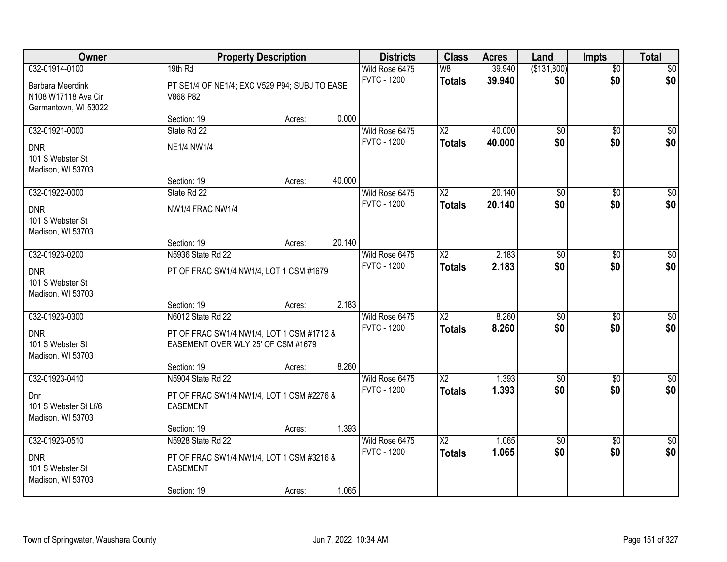| Owner                                   | <b>Property Description</b>                               |        |        | <b>Districts</b>                     | <b>Class</b>           | <b>Acres</b> | Land                   | <b>Impts</b>           | <b>Total</b>       |
|-----------------------------------------|-----------------------------------------------------------|--------|--------|--------------------------------------|------------------------|--------------|------------------------|------------------------|--------------------|
| 032-01914-0100                          | 19th Rd                                                   |        |        | Wild Rose 6475                       | W8                     | 39.940       | (\$131,800)            | $\overline{50}$        | \$0                |
| Barbara Meerdink<br>N108 W17118 Ava Cir | PT SE1/4 OF NE1/4; EXC V529 P94; SUBJ TO EASE<br>V868 P82 |        |        | <b>FVTC - 1200</b>                   | <b>Totals</b>          | 39.940       | \$0                    | \$0                    | \$0                |
| Germantown, WI 53022                    |                                                           |        |        |                                      |                        |              |                        |                        |                    |
|                                         | Section: 19                                               | Acres: | 0.000  |                                      |                        |              |                        |                        |                    |
| 032-01921-0000                          | State Rd 22                                               |        |        | Wild Rose 6475                       | $\overline{X2}$        | 40.000       | \$0                    | \$0                    | $\overline{\$0}$   |
| <b>DNR</b>                              | <b>NE1/4 NW1/4</b>                                        |        |        | <b>FVTC - 1200</b>                   | <b>Totals</b>          | 40.000       | \$0                    | \$0                    | \$0                |
| 101 S Webster St                        |                                                           |        |        |                                      |                        |              |                        |                        |                    |
| Madison, WI 53703                       |                                                           |        |        |                                      |                        |              |                        |                        |                    |
|                                         | Section: 19                                               | Acres: | 40.000 |                                      |                        |              |                        |                        |                    |
| 032-01922-0000                          | State Rd 22                                               |        |        | Wild Rose 6475                       | $\overline{X2}$        | 20.140       | $\overline{60}$        | \$0                    | $\overline{\$0}$   |
| <b>DNR</b>                              | NW1/4 FRAC NW1/4                                          |        |        | <b>FVTC - 1200</b>                   | <b>Totals</b>          | 20.140       | \$0                    | \$0                    | \$0                |
| 101 S Webster St                        |                                                           |        |        |                                      |                        |              |                        |                        |                    |
| Madison, WI 53703                       |                                                           |        |        |                                      |                        |              |                        |                        |                    |
|                                         | Section: 19                                               | Acres: | 20.140 |                                      |                        |              |                        |                        |                    |
| 032-01923-0200                          | N5936 State Rd 22                                         |        |        | Wild Rose 6475<br><b>FVTC - 1200</b> | $\overline{X2}$        | 2.183        | $\overline{50}$        | \$0                    | $\sqrt{50}$        |
| <b>DNR</b>                              | PT OF FRAC SW1/4 NW1/4, LOT 1 CSM #1679                   |        |        |                                      | <b>Totals</b>          | 2.183        | \$0                    | \$0                    | \$0                |
| 101 S Webster St                        |                                                           |        |        |                                      |                        |              |                        |                        |                    |
| Madison, WI 53703                       |                                                           |        |        |                                      |                        |              |                        |                        |                    |
| 032-01923-0300                          | Section: 19<br>N6012 State Rd 22                          | Acres: | 2.183  |                                      | $\overline{\text{X2}}$ | 8.260        |                        |                        |                    |
|                                         |                                                           |        |        | Wild Rose 6475<br><b>FVTC - 1200</b> | <b>Totals</b>          | 8.260        | $\overline{50}$<br>\$0 | $\overline{50}$<br>\$0 | $\sqrt{50}$<br>\$0 |
| <b>DNR</b>                              | PT OF FRAC SW1/4 NW1/4, LOT 1 CSM #1712 &                 |        |        |                                      |                        |              |                        |                        |                    |
| 101 S Webster St                        | EASEMENT OVER WLY 25' OF CSM #1679                        |        |        |                                      |                        |              |                        |                        |                    |
| Madison, WI 53703                       |                                                           |        | 8.260  |                                      |                        |              |                        |                        |                    |
| 032-01923-0410                          | Section: 19<br>N5904 State Rd 22                          | Acres: |        | Wild Rose 6475                       | $\overline{\text{X2}}$ | 1.393        | $\overline{60}$        | $\sqrt{6}$             | $\overline{30}$    |
|                                         |                                                           |        |        | <b>FVTC - 1200</b>                   | <b>Totals</b>          | 1.393        | \$0                    | \$0                    | \$0                |
| Dnr                                     | PT OF FRAC SW1/4 NW1/4, LOT 1 CSM #2276 &                 |        |        |                                      |                        |              |                        |                        |                    |
| 101 S Webster St Lf/6                   | <b>EASEMENT</b>                                           |        |        |                                      |                        |              |                        |                        |                    |
| Madison, WI 53703                       | Section: 19                                               |        | 1.393  |                                      |                        |              |                        |                        |                    |
| 032-01923-0510                          | N5928 State Rd 22                                         | Acres: |        | Wild Rose 6475                       | $\overline{X2}$        | 1.065        | $\overline{50}$        | $\overline{30}$        | $\overline{50}$    |
|                                         |                                                           |        |        | <b>FVTC - 1200</b>                   | <b>Totals</b>          | 1.065        | \$0                    | \$0                    | \$0                |
| <b>DNR</b>                              | PT OF FRAC SW1/4 NW1/4, LOT 1 CSM #3216 &                 |        |        |                                      |                        |              |                        |                        |                    |
| 101 S Webster St                        | <b>EASEMENT</b>                                           |        |        |                                      |                        |              |                        |                        |                    |
| Madison, WI 53703                       | Section: 19                                               | Acres: | 1.065  |                                      |                        |              |                        |                        |                    |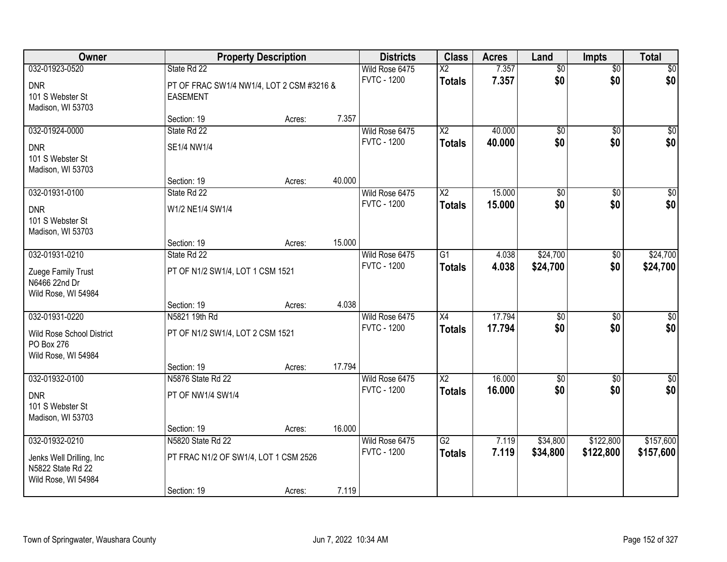| Owner                                                                |                                                          | <b>Property Description</b> |        |                                      | <b>Class</b>                              | <b>Acres</b>   | Land                   | <b>Impts</b>           | <b>Total</b>     |
|----------------------------------------------------------------------|----------------------------------------------------------|-----------------------------|--------|--------------------------------------|-------------------------------------------|----------------|------------------------|------------------------|------------------|
| 032-01923-0520<br><b>DNR</b>                                         | State Rd 22<br>PT OF FRAC SW1/4 NW1/4, LOT 2 CSM #3216 & |                             |        | Wild Rose 6475<br><b>FVTC - 1200</b> | $\overline{\mathsf{X2}}$<br><b>Totals</b> | 7.357<br>7.357 | $\overline{50}$<br>\$0 | $\overline{50}$<br>\$0 | \$0<br>\$0       |
| 101 S Webster St<br>Madison, WI 53703                                | <b>EASEMENT</b>                                          |                             |        |                                      |                                           |                |                        |                        |                  |
|                                                                      | Section: 19                                              | Acres:                      | 7.357  |                                      |                                           |                |                        |                        |                  |
| 032-01924-0000                                                       | State Rd 22                                              |                             |        | Wild Rose 6475                       | $\overline{X2}$                           | 40.000         | $\overline{50}$        | $\overline{50}$        | $\overline{50}$  |
| <b>DNR</b><br>101 S Webster St<br>Madison, WI 53703                  | SE1/4 NW1/4                                              |                             |        | <b>FVTC - 1200</b>                   | <b>Totals</b>                             | 40.000         | \$0                    | \$0                    | \$0              |
|                                                                      | Section: 19                                              | Acres:                      | 40.000 |                                      |                                           |                |                        |                        |                  |
| 032-01931-0100                                                       | State Rd 22                                              |                             |        | Wild Rose 6475                       | X <sub>2</sub>                            | 15.000         | \$0                    | \$0                    | $\overline{50}$  |
| <b>DNR</b><br>101 S Webster St<br>Madison, WI 53703                  | W1/2 NE1/4 SW1/4                                         |                             |        | <b>FVTC - 1200</b>                   | <b>Totals</b>                             | 15.000         | \$0                    | \$0                    | \$0              |
|                                                                      | Section: 19                                              | Acres:                      | 15.000 |                                      |                                           |                |                        |                        |                  |
| 032-01931-0210                                                       | State Rd 22                                              |                             |        | Wild Rose 6475                       | G1                                        | 4.038          | \$24,700               | \$0                    | \$24,700         |
| Zuege Family Trust<br>N6466 22nd Dr<br>Wild Rose, WI 54984           | PT OF N1/2 SW1/4, LOT 1 CSM 1521                         |                             |        | <b>FVTC - 1200</b>                   | <b>Totals</b>                             | 4.038          | \$24,700               | \$0                    | \$24,700         |
|                                                                      | Section: 19                                              | Acres:                      | 4.038  |                                      |                                           |                |                        |                        |                  |
| 032-01931-0220                                                       | N5821 19th Rd                                            |                             |        | Wild Rose 6475                       | $\overline{X4}$                           | 17.794         | $\overline{50}$        | $\overline{50}$        | $\overline{50}$  |
| Wild Rose School District<br>PO Box 276<br>Wild Rose, WI 54984       | PT OF N1/2 SW1/4, LOT 2 CSM 1521                         |                             |        | <b>FVTC - 1200</b>                   | <b>Totals</b>                             | 17.794         | \$0                    | \$0                    | \$0              |
|                                                                      | Section: 19                                              | Acres:                      | 17.794 |                                      |                                           |                |                        |                        |                  |
| 032-01932-0100                                                       | N5876 State Rd 22                                        |                             |        | Wild Rose 6475                       | $\overline{\text{X2}}$                    | 16.000         | $\overline{50}$        | $\overline{50}$        | $\overline{\$0}$ |
| <b>DNR</b><br>101 S Webster St<br>Madison, WI 53703                  | PT OF NW1/4 SW1/4                                        |                             |        | <b>FVTC - 1200</b>                   | <b>Totals</b>                             | 16.000         | \$0                    | \$0                    | \$0              |
|                                                                      | Section: 19                                              | Acres:                      | 16.000 |                                      |                                           |                |                        |                        |                  |
| 032-01932-0210                                                       | N5820 State Rd 22                                        |                             |        | Wild Rose 6475                       | $\overline{G2}$                           | 7.119          | \$34,800               | \$122,800              | \$157,600        |
| Jenks Well Drilling, Inc<br>N5822 State Rd 22<br>Wild Rose, WI 54984 | PT FRAC N1/2 OF SW1/4, LOT 1 CSM 2526                    |                             |        | <b>FVTC - 1200</b>                   | <b>Totals</b>                             | 7.119          | \$34,800               | \$122,800              | \$157,600        |
|                                                                      | Section: 19                                              | Acres:                      | 7.119  |                                      |                                           |                |                        |                        |                  |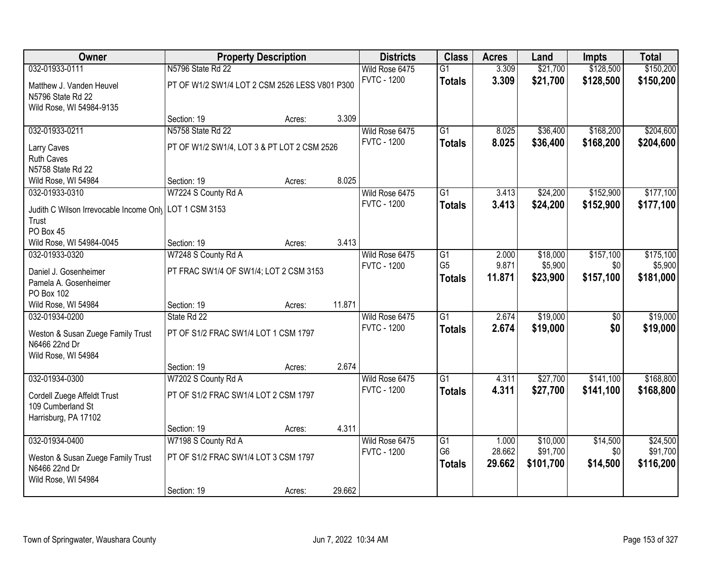| N5796 State Rd 22<br>032-01933-0111<br>Wild Rose 6475<br>$\overline{G1}$<br>3.309<br>\$21,700<br>\$128,500                                          | \$150,200 |
|-----------------------------------------------------------------------------------------------------------------------------------------------------|-----------|
|                                                                                                                                                     |           |
| 3.309<br><b>FVTC - 1200</b><br>\$21,700<br>\$128,500<br><b>Totals</b><br>PT OF W1/2 SW1/4 LOT 2 CSM 2526 LESS V801 P300<br>Matthew J. Vanden Heuvel | \$150,200 |
| N5796 State Rd 22                                                                                                                                   |           |
| Wild Rose, WI 54984-9135                                                                                                                            |           |
| 3.309<br>Section: 19<br>Acres:                                                                                                                      |           |
| N5758 State Rd 22<br>\$168,200<br>032-01933-0211<br>Wild Rose 6475<br>$\overline{G1}$<br>\$36,400<br>8.025                                          | \$204,600 |
| <b>FVTC - 1200</b><br>8.025<br>\$36,400<br>\$168,200<br><b>Totals</b><br>PT OF W1/2 SW1/4, LOT 3 & PT LOT 2 CSM 2526<br>Larry Caves                 | \$204,600 |
| <b>Ruth Caves</b>                                                                                                                                   |           |
| N5758 State Rd 22                                                                                                                                   |           |
| 8.025<br>Section: 19<br>Wild Rose, WI 54984<br>Acres:                                                                                               |           |
| \$152,900<br>032-01933-0310<br>W7224 S County Rd A<br>Wild Rose 6475<br>G1<br>\$24,200<br>3.413                                                     | \$177,100 |
| <b>FVTC - 1200</b><br>\$24,200<br>\$152,900<br>3.413<br><b>Totals</b><br>Judith C Wilson Irrevocable Income Only LOT 1 CSM 3153                     | \$177,100 |
| Trust                                                                                                                                               |           |
| PO Box 45                                                                                                                                           |           |
| 3.413<br>Wild Rose, WI 54984-0045<br>Section: 19<br>Acres:                                                                                          |           |
| \$157,100<br>W7248 S County Rd A<br>Wild Rose 6475<br>\$18,000<br>032-01933-0320<br>G1<br>2.000                                                     | \$175,100 |
| G <sub>5</sub><br>9.871<br>\$5,900<br><b>FVTC - 1200</b><br>\$0<br>PT FRAC SW1/4 OF SW1/4; LOT 2 CSM 3153<br>Daniel J. Gosenheimer                  | \$5,900   |
| \$157,100<br>11.871<br>\$23,900<br><b>Totals</b><br>Pamela A. Gosenheimer                                                                           | \$181,000 |
| PO Box 102                                                                                                                                          |           |
| 11.871<br>Wild Rose, WI 54984<br>Section: 19<br>Acres:                                                                                              |           |
| \$19,000<br>$\overline{G1}$<br>2.674<br>$\overline{50}$<br>032-01934-0200<br>State Rd 22<br>Wild Rose 6475                                          | \$19,000  |
| <b>FVTC - 1200</b><br>2.674<br>\$19,000<br>\$0<br><b>Totals</b><br>PT OF S1/2 FRAC SW1/4 LOT 1 CSM 1797                                             | \$19,000  |
| Weston & Susan Zuege Family Trust<br>N6466 22nd Dr                                                                                                  |           |
| Wild Rose, WI 54984                                                                                                                                 |           |
| 2.674<br>Section: 19<br>Acres:                                                                                                                      |           |
| $\overline{G1}$<br>\$27,700<br>\$141,100<br>032-01934-0300<br>W7202 S County Rd A<br>Wild Rose 6475<br>4.311                                        | \$168,800 |
| <b>FVTC - 1200</b><br>4.311<br>\$27,700<br>\$141,100<br><b>Totals</b><br>PT OF S1/2 FRAC SW1/4 LOT 2 CSM 1797                                       | \$168,800 |
| Cordell Zuege Affeldt Trust<br>109 Cumberland St                                                                                                    |           |
| Harrisburg, PA 17102                                                                                                                                |           |
| 4.311<br>Section: 19<br>Acres:                                                                                                                      |           |
| 032-01934-0400<br>W7198 S County Rd A<br>\$10,000<br>\$14,500<br>Wild Rose 6475<br>$\overline{G1}$<br>1.000                                         | \$24,500  |
| G <sub>6</sub><br>28.662<br>\$91,700<br>\$0<br><b>FVTC - 1200</b>                                                                                   | \$91,700  |
| PT OF S1/2 FRAC SW1/4 LOT 3 CSM 1797<br>Weston & Susan Zuege Family Trust<br>29.662<br>\$101,700<br>\$14,500<br><b>Totals</b><br>N6466 22nd Dr      | \$116,200 |
| Wild Rose, WI 54984                                                                                                                                 |           |
| 29.662<br>Section: 19<br>Acres:                                                                                                                     |           |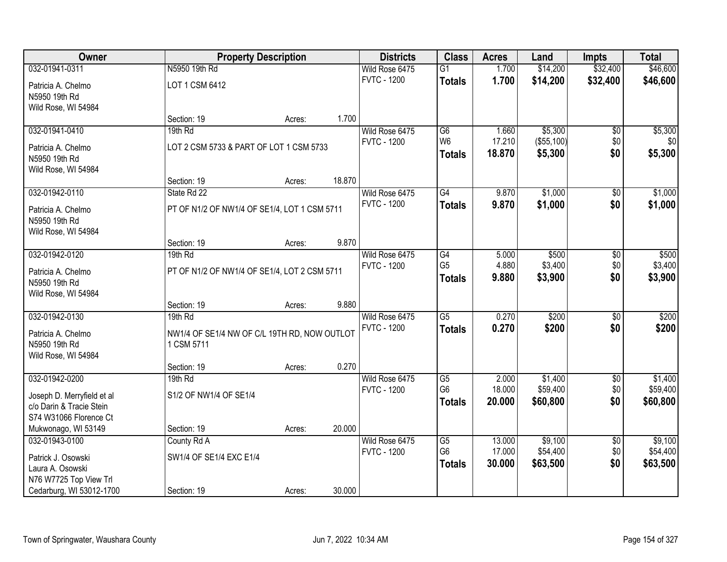| Owner                                 |                                              | <b>Property Description</b> |        | <b>Districts</b>                     | <b>Class</b>                      | <b>Acres</b>    | Land                | <b>Impts</b>           | <b>Total</b>        |
|---------------------------------------|----------------------------------------------|-----------------------------|--------|--------------------------------------|-----------------------------------|-----------------|---------------------|------------------------|---------------------|
| 032-01941-0311                        | N5950 19th Rd                                |                             |        | Wild Rose 6475                       | $\overline{G1}$                   | 1.700           | \$14,200            | \$32,400               | \$46,600            |
| Patricia A. Chelmo                    | LOT 1 CSM 6412                               |                             |        | <b>FVTC - 1200</b>                   | <b>Totals</b>                     | 1.700           | \$14,200            | \$32,400               | \$46,600            |
| N5950 19th Rd                         |                                              |                             |        |                                      |                                   |                 |                     |                        |                     |
| Wild Rose, WI 54984                   |                                              |                             |        |                                      |                                   |                 |                     |                        |                     |
|                                       | Section: 19                                  | Acres:                      | 1.700  |                                      |                                   |                 |                     |                        |                     |
| 032-01941-0410                        | 19th Rd                                      |                             |        | Wild Rose 6475                       | G6                                | 1.660           | \$5,300             | \$0                    | \$5,300             |
| Patricia A. Chelmo                    | LOT 2 CSM 5733 & PART OF LOT 1 CSM 5733      |                             |        | <b>FVTC - 1200</b>                   | W <sub>6</sub>                    | 17.210          | (\$55,100)          | \$0                    | \$0                 |
| N5950 19th Rd                         |                                              |                             |        |                                      | <b>Totals</b>                     | 18.870          | \$5,300             | \$0                    | \$5,300             |
| Wild Rose, WI 54984                   |                                              |                             |        |                                      |                                   |                 |                     |                        |                     |
|                                       | Section: 19                                  | Acres:                      | 18.870 |                                      |                                   |                 |                     |                        |                     |
| 032-01942-0110                        | State Rd 22                                  |                             |        | Wild Rose 6475                       | G4                                | 9.870           | \$1,000             | \$0                    | \$1,000             |
| Patricia A. Chelmo                    | PT OF N1/2 OF NW1/4 OF SE1/4, LOT 1 CSM 5711 |                             |        | <b>FVTC - 1200</b>                   | <b>Totals</b>                     | 9.870           | \$1,000             | \$0                    | \$1,000             |
| N5950 19th Rd                         |                                              |                             |        |                                      |                                   |                 |                     |                        |                     |
| Wild Rose, WI 54984                   |                                              |                             |        |                                      |                                   |                 |                     |                        |                     |
|                                       | Section: 19                                  | Acres:                      | 9.870  |                                      |                                   |                 |                     |                        |                     |
| 032-01942-0120                        | 19th Rd                                      |                             |        | Wild Rose 6475                       | G4                                | 5.000           | \$500               | \$0                    | \$500               |
| Patricia A. Chelmo                    | PT OF N1/2 OF NW1/4 OF SE1/4, LOT 2 CSM 5711 |                             |        | <b>FVTC - 1200</b>                   | G <sub>5</sub>                    | 4.880           | \$3,400<br>\$3,900  | \$0<br>\$0             | \$3,400             |
| N5950 19th Rd                         |                                              |                             |        |                                      | <b>Totals</b>                     | 9.880           |                     |                        | \$3,900             |
| Wild Rose, WI 54984                   |                                              |                             |        |                                      |                                   |                 |                     |                        |                     |
|                                       | Section: 19                                  | Acres:                      | 9.880  |                                      |                                   |                 |                     |                        |                     |
| 032-01942-0130                        | 19th Rd                                      |                             |        | Wild Rose 6475                       | $\overline{G5}$                   | 0.270           | \$200               | $\overline{50}$        | \$200               |
| Patricia A. Chelmo                    | NW1/4 OF SE1/4 NW OF C/L 19TH RD, NOW OUTLOT |                             |        | <b>FVTC - 1200</b>                   | <b>Totals</b>                     | 0.270           | \$200               | \$0                    | \$200               |
| N5950 19th Rd                         | 1 CSM 5711                                   |                             |        |                                      |                                   |                 |                     |                        |                     |
| Wild Rose, WI 54984                   |                                              |                             |        |                                      |                                   |                 |                     |                        |                     |
|                                       | Section: 19                                  | Acres:                      | 0.270  |                                      |                                   |                 |                     |                        |                     |
| 032-01942-0200                        | 19th Rd                                      |                             |        | Wild Rose 6475<br><b>FVTC - 1200</b> | $\overline{G5}$<br>G <sub>6</sub> | 2.000<br>18.000 | \$1,400<br>\$59,400 | $\sqrt{6}$<br>\$0      | \$1,400<br>\$59,400 |
| Joseph D. Merryfield et al            | S1/2 OF NW1/4 OF SE1/4                       |                             |        |                                      | <b>Totals</b>                     | 20.000          | \$60,800            | \$0                    | \$60,800            |
| c/o Darin & Tracie Stein              |                                              |                             |        |                                      |                                   |                 |                     |                        |                     |
| S74 W31066 Florence Ct                |                                              |                             |        |                                      |                                   |                 |                     |                        |                     |
| Mukwonago, WI 53149<br>032-01943-0100 | Section: 19                                  | Acres:                      | 20.000 |                                      | $\overline{G5}$                   | 13.000          | \$9,100             |                        | \$9,100             |
|                                       | County Rd A                                  |                             |        | Wild Rose 6475<br><b>FVTC - 1200</b> | G <sub>6</sub>                    | 17.000          | \$54,400            | $\overline{50}$<br>\$0 | \$54,400            |
| Patrick J. Osowski                    | SW1/4 OF SE1/4 EXC E1/4                      |                             |        |                                      | <b>Totals</b>                     | 30.000          | \$63,500            | \$0                    | \$63,500            |
| Laura A. Osowski                      |                                              |                             |        |                                      |                                   |                 |                     |                        |                     |
| N76 W7725 Top View Trl                |                                              |                             |        |                                      |                                   |                 |                     |                        |                     |
| Cedarburg, WI 53012-1700              | Section: 19                                  | Acres:                      | 30.000 |                                      |                                   |                 |                     |                        |                     |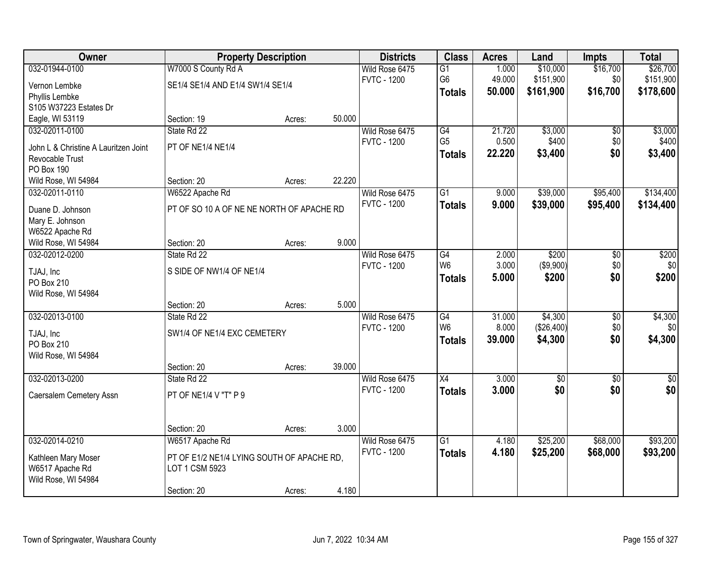| Owner                                |                                            | <b>Property Description</b> |        | <b>Districts</b>   | <b>Class</b>    | <b>Acres</b> | Land        | <b>Impts</b>    | <b>Total</b> |
|--------------------------------------|--------------------------------------------|-----------------------------|--------|--------------------|-----------------|--------------|-------------|-----------------|--------------|
| 032-01944-0100                       | W7000 S County Rd A                        |                             |        | Wild Rose 6475     | $\overline{G1}$ | 1.000        | \$10,000    | \$16,700        | \$26,700     |
| Vernon Lembke                        | SE1/4 SE1/4 AND E1/4 SW1/4 SE1/4           |                             |        | <b>FVTC - 1200</b> | G <sub>6</sub>  | 49.000       | \$151,900   | \$0             | \$151,900    |
| Phyllis Lembke                       |                                            |                             |        |                    | <b>Totals</b>   | 50.000       | \$161,900   | \$16,700        | \$178,600    |
| S105 W37223 Estates Dr               |                                            |                             |        |                    |                 |              |             |                 |              |
| Eagle, WI 53119                      | Section: 19                                | Acres:                      | 50.000 |                    |                 |              |             |                 |              |
| 032-02011-0100                       | State Rd 22                                |                             |        | Wild Rose 6475     | G4              | 21.720       | \$3,000     | $\overline{50}$ | \$3,000      |
|                                      |                                            |                             |        | <b>FVTC - 1200</b> | G <sub>5</sub>  | 0.500        | \$400       | \$0             | \$400        |
| John L & Christine A Lauritzen Joint | PT OF NE1/4 NE1/4                          |                             |        |                    | <b>Totals</b>   | 22.220       | \$3,400     | \$0             | \$3,400      |
| Revocable Trust                      |                                            |                             |        |                    |                 |              |             |                 |              |
| PO Box 190                           |                                            |                             | 22.220 |                    |                 |              |             |                 |              |
| Wild Rose, WI 54984                  | Section: 20                                | Acres:                      |        |                    | $\overline{G1}$ |              |             |                 |              |
| 032-02011-0110                       | W6522 Apache Rd                            |                             |        | Wild Rose 6475     |                 | 9.000        | \$39,000    | \$95,400        | \$134,400    |
| Duane D. Johnson                     | PT OF SO 10 A OF NE NE NORTH OF APACHE RD  |                             |        | <b>FVTC - 1200</b> | <b>Totals</b>   | 9.000        | \$39,000    | \$95,400        | \$134,400    |
| Mary E. Johnson                      |                                            |                             |        |                    |                 |              |             |                 |              |
| W6522 Apache Rd                      |                                            |                             |        |                    |                 |              |             |                 |              |
| Wild Rose, WI 54984                  | Section: 20                                | Acres:                      | 9.000  |                    |                 |              |             |                 |              |
| 032-02012-0200                       | State Rd 22                                |                             |        | Wild Rose 6475     | G4              | 2.000        | \$200       | \$0             | \$200        |
| TJAJ, Inc                            | S SIDE OF NW1/4 OF NE1/4                   |                             |        | <b>FVTC - 1200</b> | W <sub>6</sub>  | 3.000        | ( \$9,900)  | \$0             | \$0          |
| PO Box 210                           |                                            |                             |        |                    | <b>Totals</b>   | 5.000        | \$200       | \$0             | \$200        |
| Wild Rose, WI 54984                  |                                            |                             |        |                    |                 |              |             |                 |              |
|                                      | Section: 20                                | Acres:                      | 5.000  |                    |                 |              |             |                 |              |
| 032-02013-0100                       | State Rd 22                                |                             |        | Wild Rose 6475     | $\overline{G4}$ | 31.000       | \$4,300     | $\overline{50}$ | \$4,300      |
|                                      |                                            |                             |        | <b>FVTC - 1200</b> | W <sub>6</sub>  | 8.000        | (\$26,400)  | \$0             | \$0          |
| TJAJ, Inc                            | SW1/4 OF NE1/4 EXC CEMETERY                |                             |        |                    | <b>Totals</b>   | 39.000       | \$4,300     | \$0             | \$4,300      |
| PO Box 210                           |                                            |                             |        |                    |                 |              |             |                 |              |
| Wild Rose, WI 54984                  |                                            |                             |        |                    |                 |              |             |                 |              |
|                                      | Section: 20                                | Acres:                      | 39.000 |                    |                 |              |             |                 |              |
| 032-02013-0200                       | State Rd 22                                |                             |        | Wild Rose 6475     | $\overline{X4}$ | 3.000        | $\sqrt{50}$ | $\overline{50}$ | $\sqrt{30}$  |
| Caersalem Cemetery Assn              | PT OF NE1/4 V "T" P 9                      |                             |        | <b>FVTC - 1200</b> | <b>Totals</b>   | 3.000        | \$0         | \$0             | \$0          |
|                                      |                                            |                             |        |                    |                 |              |             |                 |              |
|                                      |                                            |                             |        |                    |                 |              |             |                 |              |
|                                      | Section: 20                                | Acres:                      | 3.000  |                    |                 |              |             |                 |              |
| 032-02014-0210                       | W6517 Apache Rd                            |                             |        | Wild Rose 6475     | $\overline{G1}$ | 4.180        | \$25,200    | \$68,000        | \$93,200     |
| Kathleen Mary Moser                  | PT OF E1/2 NE1/4 LYING SOUTH OF APACHE RD. |                             |        | <b>FVTC - 1200</b> | <b>Totals</b>   | 4.180        | \$25,200    | \$68,000        | \$93,200     |
| W6517 Apache Rd                      | LOT 1 CSM 5923                             |                             |        |                    |                 |              |             |                 |              |
| Wild Rose, WI 54984                  |                                            |                             |        |                    |                 |              |             |                 |              |
|                                      | Section: 20                                | Acres:                      | 4.180  |                    |                 |              |             |                 |              |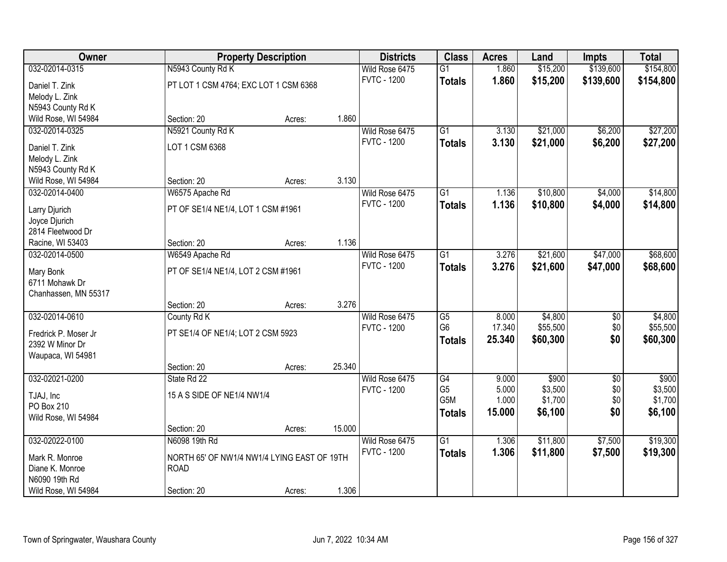| Owner                              |                                             | <b>Property Description</b> |        | <b>Districts</b>                     | <b>Class</b>           | <b>Acres</b> | Land     | <b>Impts</b> | <b>Total</b> |
|------------------------------------|---------------------------------------------|-----------------------------|--------|--------------------------------------|------------------------|--------------|----------|--------------|--------------|
| 032-02014-0315                     | N5943 County Rd K                           |                             |        | Wild Rose 6475                       | $\overline{G1}$        | 1.860        | \$15,200 | \$139,600    | \$154,800    |
| Daniel T. Zink                     | PT LOT 1 CSM 4764; EXC LOT 1 CSM 6368       |                             |        | <b>FVTC - 1200</b>                   | <b>Totals</b>          | 1.860        | \$15,200 | \$139,600    | \$154,800    |
| Melody L. Zink                     |                                             |                             |        |                                      |                        |              |          |              |              |
| N5943 County Rd K                  |                                             |                             |        |                                      |                        |              |          |              |              |
| Wild Rose, WI 54984                | Section: 20                                 | Acres:                      | 1.860  |                                      |                        |              |          |              |              |
| 032-02014-0325                     | N5921 County Rd K                           |                             |        | Wild Rose 6475                       | $\overline{G1}$        | 3.130        | \$21,000 | \$6,200      | \$27,200     |
| Daniel T. Zink                     | LOT 1 CSM 6368                              |                             |        | <b>FVTC - 1200</b>                   | <b>Totals</b>          | 3.130        | \$21,000 | \$6,200      | \$27,200     |
| Melody L. Zink                     |                                             |                             |        |                                      |                        |              |          |              |              |
| N5943 County Rd K                  |                                             |                             |        |                                      |                        |              |          |              |              |
| Wild Rose, WI 54984                | Section: 20                                 | Acres:                      | 3.130  |                                      |                        |              |          |              |              |
| 032-02014-0400                     | W6575 Apache Rd                             |                             |        | Wild Rose 6475                       | $\overline{G1}$        | 1.136        | \$10,800 | \$4,000      | \$14,800     |
|                                    |                                             |                             |        | <b>FVTC - 1200</b>                   | <b>Totals</b>          | 1.136        | \$10,800 | \$4,000      | \$14,800     |
| Larry Djurich                      | PT OF SE1/4 NE1/4, LOT 1 CSM #1961          |                             |        |                                      |                        |              |          |              |              |
| Joyce Djurich                      |                                             |                             |        |                                      |                        |              |          |              |              |
| 2814 Fleetwood Dr                  | Section: 20                                 |                             | 1.136  |                                      |                        |              |          |              |              |
| Racine, WI 53403<br>032-02014-0500 |                                             | Acres:                      |        |                                      | $\overline{G1}$        | 3.276        | \$21,600 | \$47,000     | \$68,600     |
|                                    | W6549 Apache Rd                             |                             |        | Wild Rose 6475<br><b>FVTC - 1200</b> |                        | 3.276        |          |              |              |
| Mary Bonk                          | PT OF SE1/4 NE1/4, LOT 2 CSM #1961          |                             |        |                                      | <b>Totals</b>          |              | \$21,600 | \$47,000     | \$68,600     |
| 6711 Mohawk Dr                     |                                             |                             |        |                                      |                        |              |          |              |              |
| Chanhassen, MN 55317               |                                             |                             |        |                                      |                        |              |          |              |              |
|                                    | Section: 20                                 | Acres:                      | 3.276  |                                      |                        |              |          |              |              |
| 032-02014-0610                     | County Rd K                                 |                             |        | Wild Rose 6475                       | $\overline{\text{G5}}$ | 8.000        | \$4,800  | \$0          | \$4,800      |
| Fredrick P. Moser Jr               | PT SE1/4 OF NE1/4; LOT 2 CSM 5923           |                             |        | <b>FVTC - 1200</b>                   | G <sub>6</sub>         | 17.340       | \$55,500 | \$0          | \$55,500     |
| 2392 W Minor Dr                    |                                             |                             |        |                                      | <b>Totals</b>          | 25.340       | \$60,300 | \$0          | \$60,300     |
| Waupaca, WI 54981                  |                                             |                             |        |                                      |                        |              |          |              |              |
|                                    | Section: 20                                 | Acres:                      | 25.340 |                                      |                        |              |          |              |              |
| 032-02021-0200                     | State Rd 22                                 |                             |        | Wild Rose 6475                       | G4                     | 9.000        | \$900    | $\sqrt{6}$   | \$900        |
| TJAJ, Inc                          | 15 A S SIDE OF NE1/4 NW1/4                  |                             |        | <b>FVTC - 1200</b>                   | G <sub>5</sub>         | 5.000        | \$3,500  | \$0          | \$3,500      |
| PO Box 210                         |                                             |                             |        |                                      | G5M                    | 1.000        | \$1,700  | \$0          | \$1,700      |
| Wild Rose, WI 54984                |                                             |                             |        |                                      | <b>Totals</b>          | 15.000       | \$6,100  | \$0          | \$6,100      |
|                                    | Section: 20                                 | Acres:                      | 15.000 |                                      |                        |              |          |              |              |
| 032-02022-0100                     | N6098 19th Rd                               |                             |        | Wild Rose 6475                       | $\overline{G1}$        | 1.306        | \$11,800 | \$7,500      | \$19,300     |
|                                    |                                             |                             |        | <b>FVTC - 1200</b>                   | <b>Totals</b>          | 1.306        | \$11,800 | \$7,500      | \$19,300     |
| Mark R. Monroe                     | NORTH 65' OF NW1/4 NW1/4 LYING EAST OF 19TH |                             |        |                                      |                        |              |          |              |              |
| Diane K. Monroe                    | <b>ROAD</b>                                 |                             |        |                                      |                        |              |          |              |              |
| N6090 19th Rd                      |                                             |                             | 1.306  |                                      |                        |              |          |              |              |
| Wild Rose, WI 54984                | Section: 20                                 | Acres:                      |        |                                      |                        |              |          |              |              |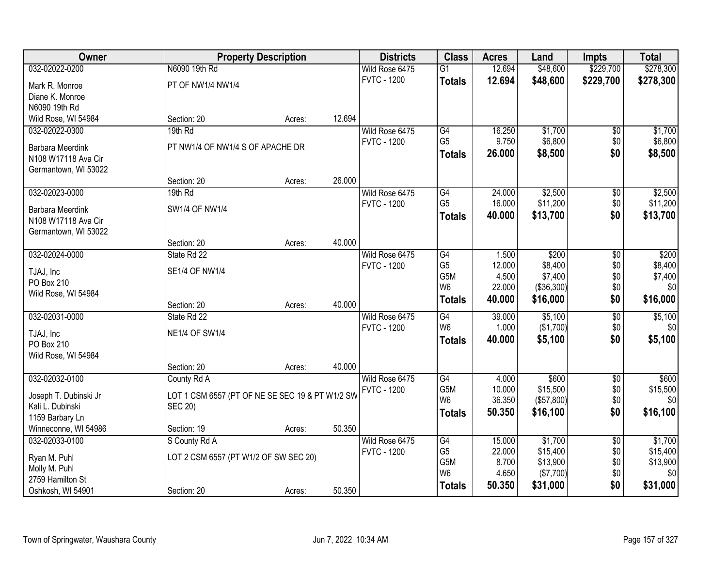| Owner                                          |                                                 | <b>Property Description</b> |        | <b>Districts</b>   | <b>Class</b>          | <b>Acres</b> | Land       | <b>Impts</b>    | <b>Total</b> |
|------------------------------------------------|-------------------------------------------------|-----------------------------|--------|--------------------|-----------------------|--------------|------------|-----------------|--------------|
| 032-02022-0200                                 | N6090 19th Rd                                   |                             |        | Wild Rose 6475     | $\overline{G1}$       | 12.694       | \$48,600   | \$229,700       | \$278,300    |
| Mark R. Monroe                                 | PT OF NW1/4 NW1/4                               |                             |        | <b>FVTC - 1200</b> | <b>Totals</b>         | 12.694       | \$48,600   | \$229,700       | \$278,300    |
| Diane K. Monroe                                |                                                 |                             |        |                    |                       |              |            |                 |              |
| N6090 19th Rd                                  |                                                 |                             |        |                    |                       |              |            |                 |              |
| Wild Rose, WI 54984                            | Section: 20                                     | Acres:                      | 12.694 |                    |                       |              |            |                 |              |
| 032-02022-0300                                 | 19th Rd                                         |                             |        | Wild Rose 6475     | G4                    | 16.250       | \$1,700    | \$0             | \$1,700      |
| <b>Barbara Meerdink</b>                        | PT NW1/4 OF NW1/4 S OF APACHE DR                |                             |        | <b>FVTC - 1200</b> | G <sub>5</sub>        | 9.750        | \$6,800    | \$0             | \$6,800      |
| N108 W17118 Ava Cir                            |                                                 |                             |        |                    | <b>Totals</b>         | 26.000       | \$8,500    | \$0             | \$8,500      |
| Germantown, WI 53022                           |                                                 |                             |        |                    |                       |              |            |                 |              |
|                                                | Section: 20                                     | Acres:                      | 26.000 |                    |                       |              |            |                 |              |
| 032-02023-0000                                 | 19th Rd                                         |                             |        | Wild Rose 6475     | G4                    | 24.000       | \$2,500    | \$0             | \$2,500      |
|                                                | SW1/4 OF NW1/4                                  |                             |        | <b>FVTC - 1200</b> | G <sub>5</sub>        | 16.000       | \$11,200   | \$0             | \$11,200     |
| <b>Barbara Meerdink</b><br>N108 W17118 Ava Cir |                                                 |                             |        |                    | <b>Totals</b>         | 40.000       | \$13,700   | \$0             | \$13,700     |
| Germantown, WI 53022                           |                                                 |                             |        |                    |                       |              |            |                 |              |
|                                                | Section: 20                                     | Acres:                      | 40.000 |                    |                       |              |            |                 |              |
| 032-02024-0000                                 | State Rd 22                                     |                             |        | Wild Rose 6475     | G4                    | 1.500        | \$200      | \$0             | \$200        |
|                                                |                                                 |                             |        | <b>FVTC - 1200</b> | G <sub>5</sub>        | 12.000       | \$8,400    | \$0             | \$8,400      |
| TJAJ, Inc                                      | SE1/4 OF NW1/4                                  |                             |        |                    | G5M                   | 4.500        | \$7,400    | \$0             | \$7,400      |
| PO Box 210                                     |                                                 |                             |        |                    | W <sub>6</sub>        | 22.000       | (\$36,300) | \$0             | \$0          |
| Wild Rose, WI 54984                            | Section: 20                                     | Acres:                      | 40.000 |                    | <b>Totals</b>         | 40.000       | \$16,000   | \$0             | \$16,000     |
| 032-02031-0000                                 | State Rd 22                                     |                             |        | Wild Rose 6475     | $\overline{G4}$       | 39.000       | \$5,100    | $\overline{50}$ | \$5,100      |
|                                                |                                                 |                             |        | <b>FVTC - 1200</b> | W <sub>6</sub>        | 1.000        | (\$1,700)  | \$0             | \$0          |
| TJAJ, Inc                                      | <b>NE1/4 OF SW1/4</b>                           |                             |        |                    | <b>Totals</b>         | 40.000       | \$5,100    | \$0             | \$5,100      |
| PO Box 210                                     |                                                 |                             |        |                    |                       |              |            |                 |              |
| Wild Rose, WI 54984                            |                                                 |                             |        |                    |                       |              |            |                 |              |
|                                                | Section: 20                                     | Acres:                      | 40.000 |                    |                       |              |            |                 |              |
| 032-02032-0100                                 | County Rd A                                     |                             |        | Wild Rose 6475     | G4                    | 4.000        | \$600      | $\sqrt{6}$      | \$600        |
| Joseph T. Dubinski Jr                          | LOT 1 CSM 6557 (PT OF NE SE SEC 19 & PT W1/2 SW |                             |        | <b>FVTC - 1200</b> | G5M<br>W <sub>6</sub> | 10.000       | \$15,500   | \$0             | \$15,500     |
| Kali L. Dubinski                               | <b>SEC 20)</b>                                  |                             |        |                    |                       | 36.350       | (\$57,800) | \$0             | \$0          |
| 1159 Barbary Ln                                |                                                 |                             |        |                    | <b>Totals</b>         | 50.350       | \$16,100   | \$0             | \$16,100     |
| Winneconne, WI 54986                           | Section: 19                                     | Acres:                      | 50.350 |                    |                       |              |            |                 |              |
| 032-02033-0100                                 | S County Rd A                                   |                             |        | Wild Rose 6475     | G4                    | 15.000       | \$1,700    | $\overline{50}$ | \$1,700      |
| Ryan M. Puhl                                   | LOT 2 CSM 6557 (PT W1/2 OF SW SEC 20)           |                             |        | <b>FVTC - 1200</b> | G <sub>5</sub>        | 22.000       | \$15,400   | \$0             | \$15,400     |
| Molly M. Puhl                                  |                                                 |                             |        |                    | G5M                   | 8.700        | \$13,900   | \$0             | \$13,900     |
| 2759 Hamilton St                               |                                                 |                             |        |                    | W <sub>6</sub>        | 4.650        | (\$7,700)  | \$0             | \$0          |
| Oshkosh, WI 54901                              | Section: 20                                     | Acres:                      | 50.350 |                    | <b>Totals</b>         | 50.350       | \$31,000   | \$0             | \$31,000     |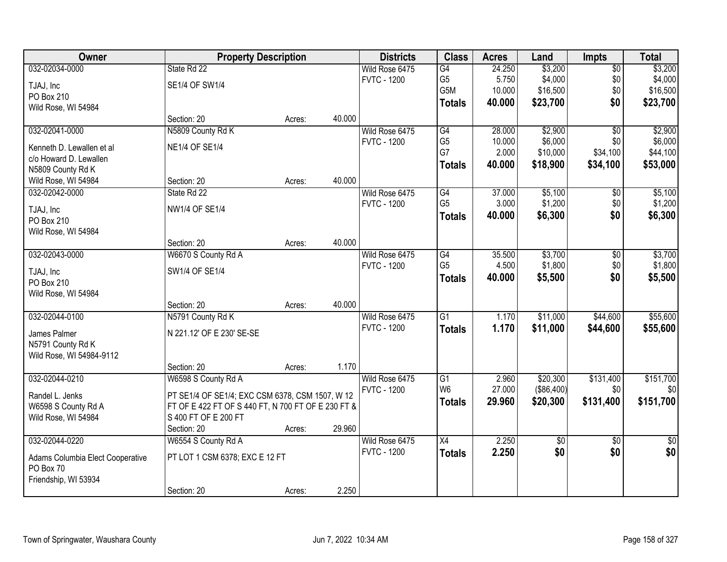| Owner                            | <b>Property Description</b>                        |        |        | <b>Districts</b>   | <b>Class</b>    | <b>Acres</b> | Land            | <b>Impts</b>    | <b>Total</b>    |
|----------------------------------|----------------------------------------------------|--------|--------|--------------------|-----------------|--------------|-----------------|-----------------|-----------------|
| 032-02034-0000                   | State Rd 22                                        |        |        | Wild Rose 6475     | $\overline{G4}$ | 24.250       | \$3,200         | $\sqrt{$0}$     | \$3,200         |
| TJAJ, Inc                        | SE1/4 OF SW1/4                                     |        |        | <b>FVTC - 1200</b> | G <sub>5</sub>  | 5.750        | \$4,000         | \$0             | \$4,000         |
| PO Box 210                       |                                                    |        |        |                    | G5M             | 10.000       | \$16,500        | \$0             | \$16,500        |
| Wild Rose, WI 54984              |                                                    |        |        |                    | <b>Totals</b>   | 40.000       | \$23,700        | \$0             | \$23,700        |
|                                  | Section: 20                                        | Acres: | 40.000 |                    |                 |              |                 |                 |                 |
| 032-02041-0000                   | N5809 County Rd K                                  |        |        | Wild Rose 6475     | G4              | 28.000       | \$2,900         | $\overline{50}$ | \$2,900         |
| Kenneth D. Lewallen et al        | <b>NE1/4 OF SE1/4</b>                              |        |        | <b>FVTC - 1200</b> | G <sub>5</sub>  | 10.000       | \$6,000         | \$0             | \$6,000         |
| c/o Howard D. Lewallen           |                                                    |        |        |                    | G7              | 2.000        | \$10,000        | \$34,100        | \$44,100        |
| N5809 County Rd K                |                                                    |        |        |                    | <b>Totals</b>   | 40.000       | \$18,900        | \$34,100        | \$53,000        |
| Wild Rose, WI 54984              | Section: 20                                        | Acres: | 40.000 |                    |                 |              |                 |                 |                 |
| 032-02042-0000                   | State Rd 22                                        |        |        | Wild Rose 6475     | G4              | 37.000       | \$5,100         | \$0             | \$5,100         |
|                                  |                                                    |        |        | <b>FVTC - 1200</b> | G <sub>5</sub>  | 3.000        | \$1,200         | \$0             | \$1,200         |
| TJAJ, Inc                        | NW1/4 OF SE1/4                                     |        |        |                    | <b>Totals</b>   | 40.000       | \$6,300         | \$0             | \$6,300         |
| PO Box 210                       |                                                    |        |        |                    |                 |              |                 |                 |                 |
| Wild Rose, WI 54984              |                                                    |        |        |                    |                 |              |                 |                 |                 |
|                                  | Section: 20                                        | Acres: | 40.000 |                    |                 |              |                 |                 |                 |
| 032-02043-0000                   | W6670 S County Rd A                                |        |        | Wild Rose 6475     | G4              | 35.500       | \$3,700         | \$0             | \$3,700         |
| TJAJ, Inc                        | SW1/4 OF SE1/4                                     |        |        | <b>FVTC - 1200</b> | G <sub>5</sub>  | 4.500        | \$1,800         | \$0             | \$1,800         |
| PO Box 210                       |                                                    |        |        |                    | <b>Totals</b>   | 40.000       | \$5,500         | \$0             | \$5,500         |
| Wild Rose, WI 54984              |                                                    |        |        |                    |                 |              |                 |                 |                 |
|                                  | Section: 20                                        | Acres: | 40.000 |                    |                 |              |                 |                 |                 |
| 032-02044-0100                   | N5791 County Rd K                                  |        |        | Wild Rose 6475     | $\overline{G1}$ | 1.170        | \$11,000        | \$44,600        | \$55,600        |
|                                  |                                                    |        |        | <b>FVTC - 1200</b> | <b>Totals</b>   | 1.170        | \$11,000        | \$44,600        | \$55,600        |
| James Palmer                     | N 221.12' OF E 230' SE-SE                          |        |        |                    |                 |              |                 |                 |                 |
| N5791 County Rd K                |                                                    |        |        |                    |                 |              |                 |                 |                 |
| Wild Rose, WI 54984-9112         |                                                    |        |        |                    |                 |              |                 |                 |                 |
|                                  | Section: 20                                        | Acres: | 1.170  |                    |                 |              |                 |                 |                 |
| 032-02044-0210                   | W6598 S County Rd A                                |        |        | Wild Rose 6475     | $\overline{G1}$ | 2.960        | \$20,300        | \$131,400       | \$151,700       |
| Randel L. Jenks                  | PT SE1/4 OF SE1/4; EXC CSM 6378, CSM 1507, W 12    |        |        | <b>FVTC - 1200</b> | W <sub>6</sub>  | 27.000       | (\$86,400)      | \$0             | \$0             |
| W6598 S County Rd A              | FT OF E 422 FT OF S 440 FT, N 700 FT OF E 230 FT & |        |        |                    | <b>Totals</b>   | 29.960       | \$20,300        | \$131,400       | \$151,700       |
| Wild Rose, WI 54984              | S 400 FT OF E 200 FT                               |        |        |                    |                 |              |                 |                 |                 |
|                                  | Section: 20                                        | Acres: | 29.960 |                    |                 |              |                 |                 |                 |
| 032-02044-0220                   | W6554 S County Rd A                                |        |        | Wild Rose 6475     | $\overline{X4}$ | 2.250        | $\overline{50}$ | $\overline{50}$ | $\overline{30}$ |
|                                  |                                                    |        |        | <b>FVTC - 1200</b> | <b>Totals</b>   | 2.250        | \$0             | \$0             | \$0             |
| Adams Columbia Elect Cooperative | PT LOT 1 CSM 6378; EXC E 12 FT                     |        |        |                    |                 |              |                 |                 |                 |
| PO Box 70                        |                                                    |        |        |                    |                 |              |                 |                 |                 |
| Friendship, WI 53934             |                                                    |        | 2.250  |                    |                 |              |                 |                 |                 |
|                                  | Section: 20                                        | Acres: |        |                    |                 |              |                 |                 |                 |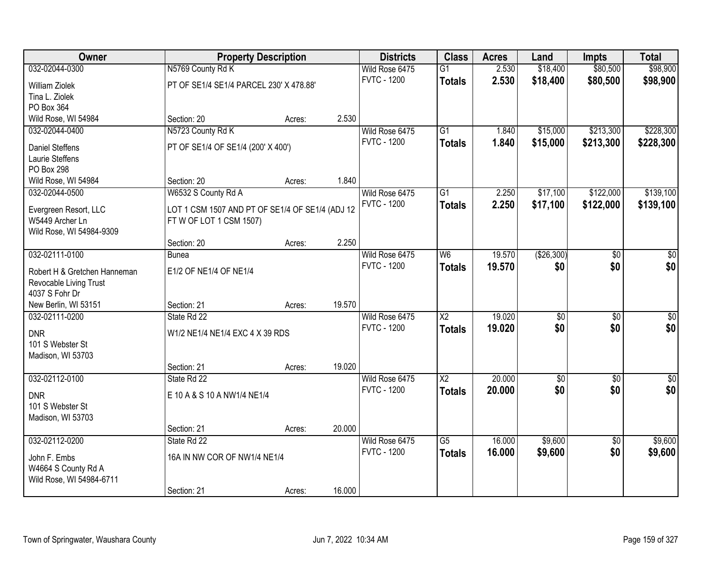| Owner                        |                                                 | <b>Property Description</b> |        | <b>Districts</b>   | <b>Class</b>    | <b>Acres</b> | Land        | <b>Impts</b>    | <b>Total</b>    |
|------------------------------|-------------------------------------------------|-----------------------------|--------|--------------------|-----------------|--------------|-------------|-----------------|-----------------|
| 032-02044-0300               | N5769 County Rd K                               |                             |        | Wild Rose 6475     | G1              | 2.530        | \$18,400    | \$80,500        | \$98,900        |
| <b>William Ziolek</b>        | PT OF SE1/4 SE1/4 PARCEL 230' X 478.88'         |                             |        | <b>FVTC - 1200</b> | <b>Totals</b>   | 2.530        | \$18,400    | \$80,500        | \$98,900        |
| Tina L. Ziolek               |                                                 |                             |        |                    |                 |              |             |                 |                 |
| PO Box 364                   |                                                 |                             |        |                    |                 |              |             |                 |                 |
| Wild Rose, WI 54984          | Section: 20                                     | Acres:                      | 2.530  |                    |                 |              |             |                 |                 |
| 032-02044-0400               | N5723 County Rd K                               |                             |        | Wild Rose 6475     | $\overline{G1}$ | 1.840        | \$15,000    | \$213,300       | \$228,300       |
| <b>Daniel Steffens</b>       | PT OF SE1/4 OF SE1/4 (200' X 400')              |                             |        | <b>FVTC - 1200</b> | <b>Totals</b>   | 1.840        | \$15,000    | \$213,300       | \$228,300       |
| Laurie Steffens              |                                                 |                             |        |                    |                 |              |             |                 |                 |
| PO Box 298                   |                                                 |                             |        |                    |                 |              |             |                 |                 |
| Wild Rose, WI 54984          | Section: 20                                     | Acres:                      | 1.840  |                    |                 |              |             |                 |                 |
| 032-02044-0500               | W6532 S County Rd A                             |                             |        | Wild Rose 6475     | G1              | 2.250        | \$17,100    | \$122,000       | \$139,100       |
| Evergreen Resort, LLC        | LOT 1 CSM 1507 AND PT OF SE1/4 OF SE1/4 (ADJ 12 |                             |        | <b>FVTC - 1200</b> | <b>Totals</b>   | 2.250        | \$17,100    | \$122,000       | \$139,100       |
| W5449 Archer Ln              | FTW OF LOT 1 CSM 1507)                          |                             |        |                    |                 |              |             |                 |                 |
| Wild Rose, WI 54984-9309     |                                                 |                             |        |                    |                 |              |             |                 |                 |
|                              | Section: 20                                     | Acres:                      | 2.250  |                    |                 |              |             |                 |                 |
| 032-02111-0100               | <b>Bunea</b>                                    |                             |        | Wild Rose 6475     | W6              | 19.570       | (\$26,300)  | \$0             | \$0             |
| Robert H & Gretchen Hanneman | E1/2 OF NE1/4 OF NE1/4                          |                             |        | <b>FVTC - 1200</b> | <b>Totals</b>   | 19.570       | \$0         | \$0             | \$0             |
| Revocable Living Trust       |                                                 |                             |        |                    |                 |              |             |                 |                 |
| 4037 S Fohr Dr               |                                                 |                             |        |                    |                 |              |             |                 |                 |
| New Berlin, WI 53151         | Section: 21                                     | Acres:                      | 19.570 |                    |                 |              |             |                 |                 |
| 032-02111-0200               | State Rd 22                                     |                             |        | Wild Rose 6475     | $\overline{X2}$ | 19.020       | \$0         | $\overline{50}$ | $\overline{50}$ |
| <b>DNR</b>                   | W1/2 NE1/4 NE1/4 EXC 4 X 39 RDS                 |                             |        | <b>FVTC - 1200</b> | <b>Totals</b>   | 19.020       | \$0         | \$0             | \$0             |
| 101 S Webster St             |                                                 |                             |        |                    |                 |              |             |                 |                 |
| Madison, WI 53703            |                                                 |                             |        |                    |                 |              |             |                 |                 |
|                              | Section: 21                                     | Acres:                      | 19.020 |                    |                 |              |             |                 |                 |
| 032-02112-0100               | State Rd 22                                     |                             |        | Wild Rose 6475     | $\overline{X2}$ | 20.000       | $\sqrt{$0}$ | $\sqrt{6}$      | \$0             |
| <b>DNR</b>                   | E 10 A & S 10 A NW1/4 NE1/4                     |                             |        | <b>FVTC - 1200</b> | <b>Totals</b>   | 20.000       | \$0         | \$0             | \$0             |
| 101 S Webster St             |                                                 |                             |        |                    |                 |              |             |                 |                 |
| Madison, WI 53703            |                                                 |                             |        |                    |                 |              |             |                 |                 |
|                              | Section: 21                                     | Acres:                      | 20.000 |                    |                 |              |             |                 |                 |
| 032-02112-0200               | State Rd 22                                     |                             |        | Wild Rose 6475     | $\overline{G5}$ | 16.000       | \$9,600     | $\overline{50}$ | \$9,600         |
| John F. Embs                 | 16A IN NW COR OF NW1/4 NE1/4                    |                             |        | <b>FVTC - 1200</b> | <b>Totals</b>   | 16.000       | \$9,600     | \$0             | \$9,600         |
| W4664 S County Rd A          |                                                 |                             |        |                    |                 |              |             |                 |                 |
| Wild Rose, WI 54984-6711     |                                                 |                             |        |                    |                 |              |             |                 |                 |
|                              | Section: 21                                     | Acres:                      | 16.000 |                    |                 |              |             |                 |                 |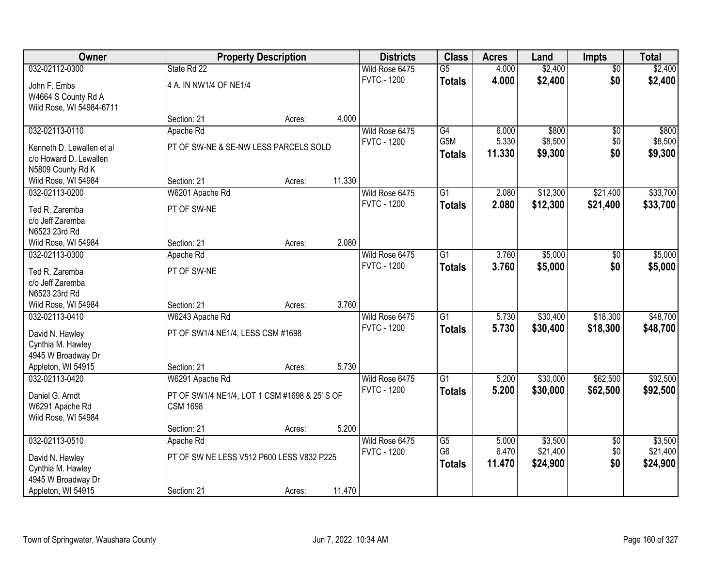| Owner                                    |                                               | <b>Property Description</b> |        | <b>Districts</b>   | <b>Class</b>    | <b>Acres</b> | Land     | <b>Impts</b>    | <b>Total</b> |
|------------------------------------------|-----------------------------------------------|-----------------------------|--------|--------------------|-----------------|--------------|----------|-----------------|--------------|
| 032-02112-0300                           | State Rd 22                                   |                             |        | Wild Rose 6475     | $\overline{G5}$ | 4.000        | \$2,400  | $\overline{50}$ | \$2,400      |
| John F. Embs                             | 4 A. IN NW1/4 OF NE1/4                        |                             |        | <b>FVTC - 1200</b> | <b>Totals</b>   | 4.000        | \$2,400  | \$0             | \$2,400      |
| W4664 S County Rd A                      |                                               |                             |        |                    |                 |              |          |                 |              |
| Wild Rose, WI 54984-6711                 |                                               |                             |        |                    |                 |              |          |                 |              |
|                                          | Section: 21                                   | Acres:                      | 4.000  |                    |                 |              |          |                 |              |
| 032-02113-0110                           | Apache Rd                                     |                             |        | Wild Rose 6475     | G4              | 6.000        | \$800    | \$0             | \$800        |
| Kenneth D. Lewallen et al                | PT OF SW-NE & SE-NW LESS PARCELS SOLD         |                             |        | <b>FVTC - 1200</b> | G5M             | 5.330        | \$8,500  | \$0             | \$8,500      |
| c/o Howard D. Lewallen                   |                                               |                             |        |                    | <b>Totals</b>   | 11.330       | \$9,300  | \$0             | \$9,300      |
| N5809 County Rd K                        |                                               |                             |        |                    |                 |              |          |                 |              |
| Wild Rose, WI 54984                      | Section: 21                                   | Acres:                      | 11.330 |                    |                 |              |          |                 |              |
| 032-02113-0200                           | W6201 Apache Rd                               |                             |        | Wild Rose 6475     | G1              | 2.080        | \$12,300 | \$21,400        | \$33,700     |
| Ted R. Zaremba                           | PT OF SW-NE                                   |                             |        | <b>FVTC - 1200</b> | <b>Totals</b>   | 2.080        | \$12,300 | \$21,400        | \$33,700     |
| c/o Jeff Zaremba                         |                                               |                             |        |                    |                 |              |          |                 |              |
| N6523 23rd Rd                            |                                               |                             |        |                    |                 |              |          |                 |              |
| Wild Rose, WI 54984                      | Section: 21                                   | Acres:                      | 2.080  |                    |                 |              |          |                 |              |
| 032-02113-0300                           | Apache Rd                                     |                             |        | Wild Rose 6475     | $\overline{G1}$ | 3.760        | \$5,000  | $\sqrt[6]{3}$   | \$5,000      |
| Ted R. Zaremba                           | PT OF SW-NE                                   |                             |        | <b>FVTC - 1200</b> | <b>Totals</b>   | 3.760        | \$5,000  | \$0             | \$5,000      |
| c/o Jeff Zaremba                         |                                               |                             |        |                    |                 |              |          |                 |              |
| N6523 23rd Rd                            |                                               |                             |        |                    |                 |              |          |                 |              |
| Wild Rose, WI 54984                      | Section: 21                                   | Acres:                      | 3.760  |                    |                 |              |          |                 |              |
| 032-02113-0410                           | W6243 Apache Rd                               |                             |        | Wild Rose 6475     | $\overline{G1}$ | 5.730        | \$30,400 | \$18,300        | \$48,700     |
|                                          |                                               |                             |        | <b>FVTC - 1200</b> | <b>Totals</b>   | 5.730        | \$30,400 | \$18,300        | \$48,700     |
| David N. Hawley<br>Cynthia M. Hawley     | PT OF SW1/4 NE1/4, LESS CSM #1698             |                             |        |                    |                 |              |          |                 |              |
| 4945 W Broadway Dr                       |                                               |                             |        |                    |                 |              |          |                 |              |
| Appleton, WI 54915                       | Section: 21                                   | Acres:                      | 5.730  |                    |                 |              |          |                 |              |
| 032-02113-0420                           | W6291 Apache Rd                               |                             |        | Wild Rose 6475     | $\overline{G1}$ | 5.200        | \$30,000 | \$62,500        | \$92,500     |
|                                          |                                               |                             |        | <b>FVTC - 1200</b> | <b>Totals</b>   | 5.200        | \$30,000 | \$62,500        | \$92,500     |
| Daniel G. Arndt                          | PT OF SW1/4 NE1/4, LOT 1 CSM #1698 & 25' S OF |                             |        |                    |                 |              |          |                 |              |
| W6291 Apache Rd<br>Wild Rose, WI 54984   | <b>CSM 1698</b>                               |                             |        |                    |                 |              |          |                 |              |
|                                          | Section: 21                                   | Acres:                      | 5.200  |                    |                 |              |          |                 |              |
| 032-02113-0510                           | Apache Rd                                     |                             |        | Wild Rose 6475     | $\overline{G5}$ | 5.000        | \$3,500  | $\overline{60}$ | \$3,500      |
|                                          |                                               |                             |        | <b>FVTC - 1200</b> | G <sub>6</sub>  | 6.470        | \$21,400 | \$0             | \$21,400     |
| David N. Hawley                          | PT OF SW NE LESS V512 P600 LESS V832 P225     |                             |        |                    | <b>Totals</b>   | 11.470       | \$24,900 | \$0             | \$24,900     |
| Cynthia M. Hawley                        |                                               |                             |        |                    |                 |              |          |                 |              |
| 4945 W Broadway Dr<br>Appleton, WI 54915 | Section: 21                                   |                             | 11.470 |                    |                 |              |          |                 |              |
|                                          |                                               | Acres:                      |        |                    |                 |              |          |                 |              |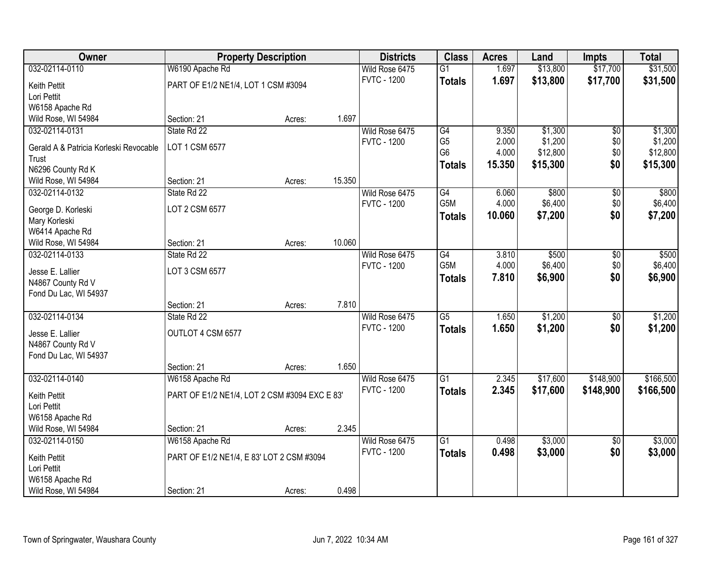| Owner                                  |                                               | <b>Property Description</b> |        | <b>Districts</b>   | <b>Class</b>    | <b>Acres</b> | Land     | <b>Impts</b>    | <b>Total</b> |
|----------------------------------------|-----------------------------------------------|-----------------------------|--------|--------------------|-----------------|--------------|----------|-----------------|--------------|
| 032-02114-0110                         | W6190 Apache Rd                               |                             |        | Wild Rose 6475     | $\overline{G1}$ | 1.697        | \$13,800 | \$17,700        | \$31,500     |
| Keith Pettit                           | PART OF E1/2 NE1/4, LOT 1 CSM #3094           |                             |        | <b>FVTC - 1200</b> | <b>Totals</b>   | 1.697        | \$13,800 | \$17,700        | \$31,500     |
| Lori Pettit                            |                                               |                             |        |                    |                 |              |          |                 |              |
| W6158 Apache Rd                        |                                               |                             |        |                    |                 |              |          |                 |              |
| Wild Rose, WI 54984                    | Section: 21                                   | Acres:                      | 1.697  |                    |                 |              |          |                 |              |
| 032-02114-0131                         | State Rd 22                                   |                             |        | Wild Rose 6475     | G4              | 9.350        | \$1,300  | $\overline{50}$ | \$1,300      |
| Gerald A & Patricia Korleski Revocable | LOT 1 CSM 6577                                |                             |        | <b>FVTC - 1200</b> | G <sub>5</sub>  | 2.000        | \$1,200  | \$0             | \$1,200      |
| Trust                                  |                                               |                             |        |                    | G <sub>6</sub>  | 4.000        | \$12,800 | \$0             | \$12,800     |
| N6296 County Rd K                      |                                               |                             |        |                    | <b>Totals</b>   | 15.350       | \$15,300 | \$0             | \$15,300     |
| Wild Rose, WI 54984                    | Section: 21                                   | Acres:                      | 15.350 |                    |                 |              |          |                 |              |
| 032-02114-0132                         | State Rd 22                                   |                             |        | Wild Rose 6475     | G4              | 6.060        | \$800    | \$0             | \$800        |
| George D. Korleski                     | LOT 2 CSM 6577                                |                             |        | <b>FVTC - 1200</b> | G5M             | 4.000        | \$6,400  | \$0             | \$6,400      |
| Mary Korleski                          |                                               |                             |        |                    | <b>Totals</b>   | 10.060       | \$7,200  | \$0             | \$7,200      |
| W6414 Apache Rd                        |                                               |                             |        |                    |                 |              |          |                 |              |
| Wild Rose, WI 54984                    | Section: 21                                   | Acres:                      | 10.060 |                    |                 |              |          |                 |              |
| 032-02114-0133                         | State Rd 22                                   |                             |        | Wild Rose 6475     | G4              | 3.810        | \$500    | \$0             | \$500        |
| Jesse E. Lallier                       | LOT 3 CSM 6577                                |                             |        | <b>FVTC - 1200</b> | G5M             | 4.000        | \$6,400  | \$0             | \$6,400      |
| N4867 County Rd V                      |                                               |                             |        |                    | <b>Totals</b>   | 7.810        | \$6,900  | \$0             | \$6,900      |
| Fond Du Lac, WI 54937                  |                                               |                             |        |                    |                 |              |          |                 |              |
|                                        | Section: 21                                   | Acres:                      | 7.810  |                    |                 |              |          |                 |              |
| 032-02114-0134                         | State Rd 22                                   |                             |        | Wild Rose 6475     | $\overline{G5}$ | 1.650        | \$1,200  | $\overline{50}$ | \$1,200      |
| Jesse E. Lallier                       | OUTLOT 4 CSM 6577                             |                             |        | <b>FVTC - 1200</b> | <b>Totals</b>   | 1.650        | \$1,200  | \$0             | \$1,200      |
| N4867 County Rd V                      |                                               |                             |        |                    |                 |              |          |                 |              |
| Fond Du Lac, WI 54937                  |                                               |                             |        |                    |                 |              |          |                 |              |
|                                        | Section: 21                                   | Acres:                      | 1.650  |                    |                 |              |          |                 |              |
| 032-02114-0140                         | W6158 Apache Rd                               |                             |        | Wild Rose 6475     | $\overline{G1}$ | 2.345        | \$17,600 | \$148,900       | \$166,500    |
| Keith Pettit                           | PART OF E1/2 NE1/4, LOT 2 CSM #3094 EXC E 83' |                             |        | <b>FVTC - 1200</b> | <b>Totals</b>   | 2.345        | \$17,600 | \$148,900       | \$166,500    |
| Lori Pettit                            |                                               |                             |        |                    |                 |              |          |                 |              |
| W6158 Apache Rd                        |                                               |                             |        |                    |                 |              |          |                 |              |
| Wild Rose, WI 54984                    | Section: 21                                   | Acres:                      | 2.345  |                    |                 |              |          |                 |              |
| 032-02114-0150                         | W6158 Apache Rd                               |                             |        | Wild Rose 6475     | $\overline{G1}$ | 0.498        | \$3,000  | $\overline{60}$ | \$3,000      |
| Keith Pettit                           | PART OF E1/2 NE1/4, E 83' LOT 2 CSM #3094     |                             |        | <b>FVTC - 1200</b> | <b>Totals</b>   | 0.498        | \$3,000  | \$0             | \$3,000      |
| Lori Pettit                            |                                               |                             |        |                    |                 |              |          |                 |              |
| W6158 Apache Rd                        |                                               |                             |        |                    |                 |              |          |                 |              |
| Wild Rose, WI 54984                    | Section: 21                                   | Acres:                      | 0.498  |                    |                 |              |          |                 |              |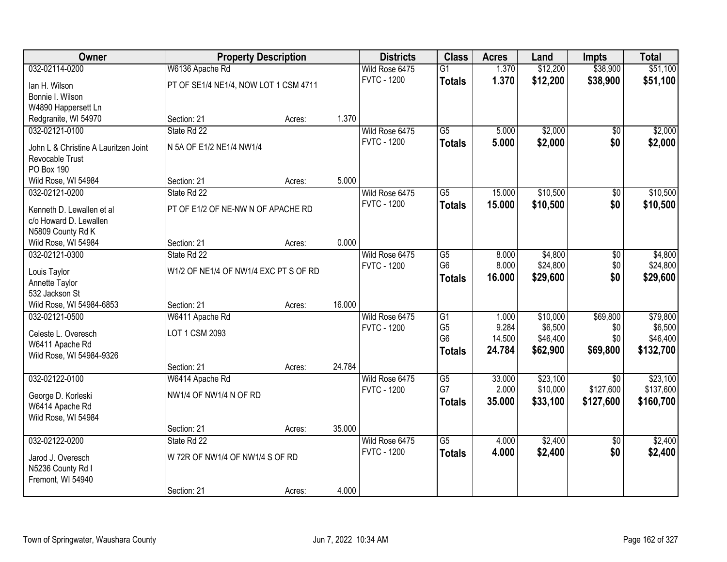| Owner                                       |                                       | <b>Property Description</b> |        | <b>Districts</b>                     | <b>Class</b>         | <b>Acres</b>   | Land                | <b>Impts</b>    | <b>Total</b>        |
|---------------------------------------------|---------------------------------------|-----------------------------|--------|--------------------------------------|----------------------|----------------|---------------------|-----------------|---------------------|
| 032-02114-0200                              | W6136 Apache Rd                       |                             |        | Wild Rose 6475                       | $\overline{G1}$      | 1.370          | \$12,200            | \$38,900        | \$51,100            |
| lan H. Wilson                               | PT OF SE1/4 NE1/4, NOW LOT 1 CSM 4711 |                             |        | <b>FVTC - 1200</b>                   | <b>Totals</b>        | 1.370          | \$12,200            | \$38,900        | \$51,100            |
| Bonnie I. Wilson                            |                                       |                             |        |                                      |                      |                |                     |                 |                     |
| W4890 Happersett Ln                         |                                       |                             |        |                                      |                      |                |                     |                 |                     |
| Redgranite, WI 54970                        | Section: 21                           | Acres:                      | 1.370  |                                      |                      |                |                     |                 |                     |
| 032-02121-0100                              | State Rd 22                           |                             |        | Wild Rose 6475                       | $\overline{G5}$      | 5.000          | \$2,000             | \$0             | \$2,000             |
| John L & Christine A Lauritzen Joint        | N 5A OF E1/2 NE1/4 NW1/4              |                             |        | <b>FVTC - 1200</b>                   | <b>Totals</b>        | 5.000          | \$2,000             | \$0             | \$2,000             |
| Revocable Trust                             |                                       |                             |        |                                      |                      |                |                     |                 |                     |
| <b>PO Box 190</b>                           |                                       |                             |        |                                      |                      |                |                     |                 |                     |
| Wild Rose, WI 54984                         | Section: 21                           | Acres:                      | 5.000  |                                      |                      |                |                     |                 |                     |
| 032-02121-0200                              | State Rd 22                           |                             |        | Wild Rose 6475                       | $\overline{G5}$      | 15.000         | \$10,500            | \$0             | \$10,500            |
|                                             |                                       |                             |        | <b>FVTC - 1200</b>                   | <b>Totals</b>        | 15.000         | \$10,500            | \$0             | \$10,500            |
| Kenneth D. Lewallen et al                   | PT OF E1/2 OF NE-NW N OF APACHE RD    |                             |        |                                      |                      |                |                     |                 |                     |
| c/o Howard D. Lewallen<br>N5809 County Rd K |                                       |                             |        |                                      |                      |                |                     |                 |                     |
| Wild Rose, WI 54984                         | Section: 21                           | Acres:                      | 0.000  |                                      |                      |                |                     |                 |                     |
| 032-02121-0300                              | State Rd 22                           |                             |        | Wild Rose 6475                       | $\overline{G5}$      | 8.000          | \$4,800             | \$0             | \$4,800             |
|                                             |                                       |                             |        | <b>FVTC - 1200</b>                   | G <sub>6</sub>       | 8.000          | \$24,800            | \$0             | \$24,800            |
| Louis Taylor                                | W1/2 OF NE1/4 OF NW1/4 EXC PT S OF RD |                             |        |                                      | <b>Totals</b>        | 16.000         | \$29,600            | \$0             | \$29,600            |
| Annette Taylor                              |                                       |                             |        |                                      |                      |                |                     |                 |                     |
| 532 Jackson St                              |                                       |                             |        |                                      |                      |                |                     |                 |                     |
| Wild Rose, WI 54984-6853                    | Section: 21                           | Acres:                      | 16.000 |                                      |                      |                |                     |                 |                     |
| 032-02121-0500                              | W6411 Apache Rd                       |                             |        | Wild Rose 6475<br><b>FVTC - 1200</b> | G1<br>G <sub>5</sub> | 1.000<br>9.284 | \$10,000<br>\$6,500 | \$69,800<br>\$0 | \$79,800<br>\$6,500 |
| Celeste L. Overesch                         | LOT 1 CSM 2093                        |                             |        |                                      | G <sub>6</sub>       | 14.500         | \$46,400            | \$0             | \$46,400            |
| W6411 Apache Rd                             |                                       |                             |        |                                      | <b>Totals</b>        | 24.784         | \$62,900            | \$69,800        | \$132,700           |
| Wild Rose, WI 54984-9326                    |                                       |                             |        |                                      |                      |                |                     |                 |                     |
|                                             | Section: 21                           | Acres:                      | 24.784 |                                      |                      |                |                     |                 |                     |
| 032-02122-0100                              | W6414 Apache Rd                       |                             |        | Wild Rose 6475                       | $\overline{G5}$      | 33.000         | \$23,100            | $\overline{50}$ | \$23,100            |
| George D. Korleski                          | NW1/4 OF NW1/4 N OF RD                |                             |        | <b>FVTC - 1200</b>                   | G7                   | 2.000          | \$10,000            | \$127,600       | \$137,600           |
| W6414 Apache Rd                             |                                       |                             |        |                                      | <b>Totals</b>        | 35.000         | \$33,100            | \$127,600       | \$160,700           |
| Wild Rose, WI 54984                         |                                       |                             |        |                                      |                      |                |                     |                 |                     |
|                                             | Section: 21                           | Acres:                      | 35.000 |                                      |                      |                |                     |                 |                     |
| 032-02122-0200                              | State Rd 22                           |                             |        | Wild Rose 6475                       | $\overline{G5}$      | 4.000          | \$2,400             | $\overline{50}$ | \$2,400             |
| Jarod J. Overesch                           | W 72R OF NW1/4 OF NW1/4 S OF RD       |                             |        | <b>FVTC - 1200</b>                   | <b>Totals</b>        | 4.000          | \$2,400             | \$0             | \$2,400             |
| N5236 County Rd I                           |                                       |                             |        |                                      |                      |                |                     |                 |                     |
| Fremont, WI 54940                           |                                       |                             |        |                                      |                      |                |                     |                 |                     |
|                                             | Section: 21                           | Acres:                      | 4.000  |                                      |                      |                |                     |                 |                     |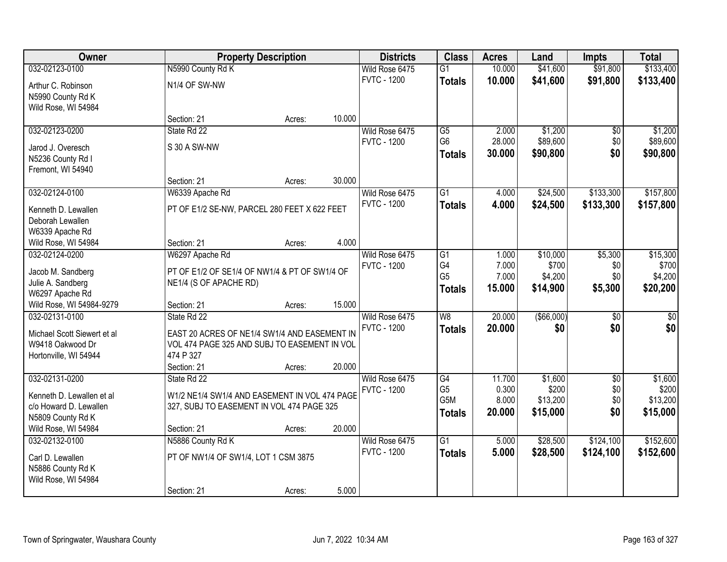| <b>Owner</b>                |                                               | <b>Property Description</b> |        | <b>Districts</b>   | <b>Class</b>          | <b>Acres</b>    | Land                | <b>Impts</b>    | <b>Total</b>        |
|-----------------------------|-----------------------------------------------|-----------------------------|--------|--------------------|-----------------------|-----------------|---------------------|-----------------|---------------------|
| 032-02123-0100              | N5990 County Rd K                             |                             |        | Wild Rose 6475     | $\overline{G1}$       | 10.000          | \$41,600            | \$91,800        | \$133,400           |
| Arthur C. Robinson          | N1/4 OF SW-NW                                 |                             |        | <b>FVTC - 1200</b> | <b>Totals</b>         | 10.000          | \$41,600            | \$91,800        | \$133,400           |
| N5990 County Rd K           |                                               |                             |        |                    |                       |                 |                     |                 |                     |
| Wild Rose, WI 54984         |                                               |                             |        |                    |                       |                 |                     |                 |                     |
|                             | Section: 21                                   | Acres:                      | 10.000 |                    |                       |                 |                     |                 |                     |
| 032-02123-0200              | State Rd 22                                   |                             |        | Wild Rose 6475     | $\overline{G5}$       | 2.000           | \$1,200             | \$0             | \$1,200             |
| Jarod J. Overesch           | S 30 A SW-NW                                  |                             |        | <b>FVTC - 1200</b> | G <sub>6</sub>        | 28.000          | \$89,600            | \$0             | \$89,600            |
| N5236 County Rd I           |                                               |                             |        |                    | <b>Totals</b>         | 30.000          | \$90,800            | \$0             | \$90,800            |
| Fremont, WI 54940           |                                               |                             |        |                    |                       |                 |                     |                 |                     |
|                             | Section: 21                                   | Acres:                      | 30.000 |                    |                       |                 |                     |                 |                     |
| 032-02124-0100              | W6339 Apache Rd                               |                             |        | Wild Rose 6475     | $\overline{G1}$       | 4.000           | \$24,500            | \$133,300       | \$157,800           |
| Kenneth D. Lewallen         | PT OF E1/2 SE-NW, PARCEL 280 FEET X 622 FEET  |                             |        | <b>FVTC - 1200</b> | <b>Totals</b>         | 4.000           | \$24,500            | \$133,300       | \$157,800           |
| Deborah Lewallen            |                                               |                             |        |                    |                       |                 |                     |                 |                     |
| W6339 Apache Rd             |                                               |                             |        |                    |                       |                 |                     |                 |                     |
| Wild Rose, WI 54984         | Section: 21                                   | Acres:                      | 4.000  |                    |                       |                 |                     |                 |                     |
| 032-02124-0200              | W6297 Apache Rd                               |                             |        | Wild Rose 6475     | G1                    | 1.000           | \$10,000            | \$5,300         | \$15,300            |
| Jacob M. Sandberg           | PT OF E1/2 OF SE1/4 OF NW1/4 & PT OF SW1/4 OF |                             |        | <b>FVTC - 1200</b> | G4                    | 7.000           | \$700               | \$0             | \$700               |
| Julie A. Sandberg           | NE1/4 (S OF APACHE RD)                        |                             |        |                    | G <sub>5</sub>        | 7.000<br>15.000 | \$4,200<br>\$14,900 | \$0<br>\$5,300  | \$4,200<br>\$20,200 |
| W6297 Apache Rd             |                                               |                             |        |                    | <b>Totals</b>         |                 |                     |                 |                     |
| Wild Rose, WI 54984-9279    | Section: 21                                   | Acres:                      | 15.000 |                    |                       |                 |                     |                 |                     |
| 032-02131-0100              | State Rd 22                                   |                             |        | Wild Rose 6475     | W8                    | 20.000          | ( \$66,000)         | \$0             | $\sqrt{50}$         |
| Michael Scott Siewert et al | EAST 20 ACRES OF NE1/4 SW1/4 AND EASEMENT IN  |                             |        | <b>FVTC - 1200</b> | <b>Totals</b>         | 20.000          | \$0                 | \$0             | \$0                 |
| W9418 Oakwood Dr            | VOL 474 PAGE 325 AND SUBJ TO EASEMENT IN VOL  |                             |        |                    |                       |                 |                     |                 |                     |
| Hortonville, WI 54944       | 474 P 327                                     |                             |        |                    |                       |                 |                     |                 |                     |
|                             | Section: 21                                   | Acres:                      | 20.000 |                    |                       |                 |                     |                 |                     |
| 032-02131-0200              | State Rd 22                                   |                             |        | Wild Rose 6475     | G4                    | 11.700          | \$1,600             | $\overline{50}$ | \$1,600             |
| Kenneth D. Lewallen et al   | W1/2 NE1/4 SW1/4 AND EASEMENT IN VOL 474 PAGE |                             |        | <b>FVTC - 1200</b> | G <sub>5</sub><br>G5M | 0.300<br>8.000  | \$200<br>\$13,200   | \$0<br>\$0      | \$200<br>\$13,200   |
| c/o Howard D. Lewallen      | 327, SUBJ TO EASEMENT IN VOL 474 PAGE 325     |                             |        |                    | <b>Totals</b>         | 20.000          | \$15,000            | \$0             | \$15,000            |
| N5809 County Rd K           |                                               |                             |        |                    |                       |                 |                     |                 |                     |
| Wild Rose, WI 54984         | Section: 21                                   | Acres:                      | 20.000 |                    |                       |                 |                     |                 |                     |
| 032-02132-0100              | N5886 County Rd K                             |                             |        | Wild Rose 6475     | $\overline{G1}$       | 5.000           | \$28,500            | \$124,100       | \$152,600           |
| Carl D. Lewallen            | PT OF NW1/4 OF SW1/4, LOT 1 CSM 3875          |                             |        | <b>FVTC - 1200</b> | <b>Totals</b>         | 5.000           | \$28,500            | \$124,100       | \$152,600           |
| N5886 County Rd K           |                                               |                             |        |                    |                       |                 |                     |                 |                     |
| Wild Rose, WI 54984         |                                               |                             |        |                    |                       |                 |                     |                 |                     |
|                             | Section: 21                                   | Acres:                      | 5.000  |                    |                       |                 |                     |                 |                     |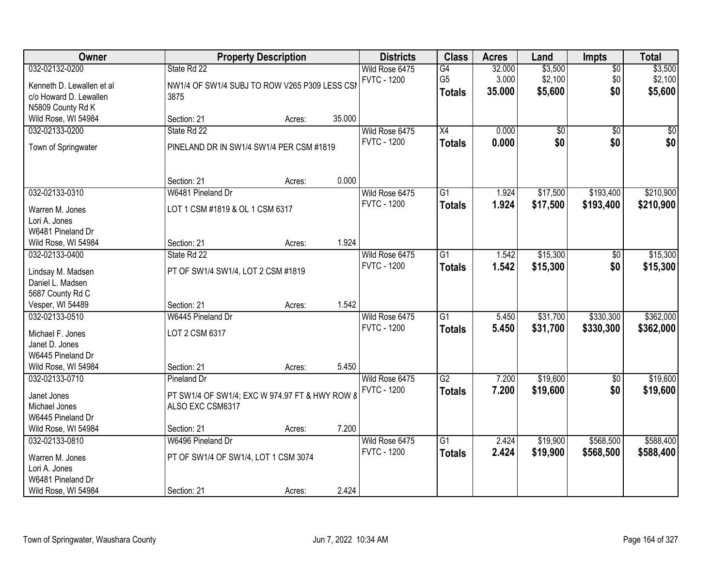| 032-02132-0200<br>State Rd 22<br>NW1/4 OF SW1/4 SUBJ TO ROW V265 P309 LESS CSI<br>Kenneth D. Lewallen et al<br>c/o Howard D. Lewallen<br>3875<br>N5809 County Rd K<br>Wild Rose, WI 54984<br>Section: 21<br>032-02133-0200<br>State Rd 22<br>Town of Springwater<br>PINELAND DR IN SW1/4 SW1/4 PER CSM #1819<br>Section: 21 | Acres:<br>Acres:<br>Acres: | 35.000<br>0.000 | Wild Rose 6475<br><b>FVTC - 1200</b><br>Wild Rose 6475<br><b>FVTC - 1200</b><br>Wild Rose 6475<br><b>FVTC - 1200</b> | G4<br>G <sub>5</sub><br><b>Totals</b><br>X4<br><b>Totals</b><br>G1<br><b>Totals</b> | 32.000<br>3.000<br>35.000<br>0.000<br>0.000<br>1.924<br>1.924 | \$3,500<br>\$2,100<br>\$5,600<br>$\overline{50}$<br>\$0<br>\$17,500<br>\$17,500 | $\sqrt{$0}$<br>\$0<br>\$0<br>$\overline{50}$<br>\$0<br>\$193,400 | \$3,500<br>\$2,100<br>\$5,600<br>\$0<br>\$0<br>\$210,900 |
|-----------------------------------------------------------------------------------------------------------------------------------------------------------------------------------------------------------------------------------------------------------------------------------------------------------------------------|----------------------------|-----------------|----------------------------------------------------------------------------------------------------------------------|-------------------------------------------------------------------------------------|---------------------------------------------------------------|---------------------------------------------------------------------------------|------------------------------------------------------------------|----------------------------------------------------------|
|                                                                                                                                                                                                                                                                                                                             |                            |                 |                                                                                                                      |                                                                                     |                                                               |                                                                                 |                                                                  |                                                          |
|                                                                                                                                                                                                                                                                                                                             |                            |                 |                                                                                                                      |                                                                                     |                                                               |                                                                                 |                                                                  |                                                          |
|                                                                                                                                                                                                                                                                                                                             |                            |                 |                                                                                                                      |                                                                                     |                                                               |                                                                                 |                                                                  |                                                          |
|                                                                                                                                                                                                                                                                                                                             |                            |                 |                                                                                                                      |                                                                                     |                                                               |                                                                                 |                                                                  |                                                          |
| 032-02133-0310<br>W6481 Pineland Dr<br>LOT 1 CSM #1819 & OL 1 CSM 6317<br>Warren M. Jones<br>Lori A. Jones<br>W6481 Pineland Dr                                                                                                                                                                                             |                            |                 |                                                                                                                      |                                                                                     |                                                               |                                                                                 | \$193,400                                                        | \$210,900                                                |
| Section: 21<br>Wild Rose, WI 54984                                                                                                                                                                                                                                                                                          |                            | 1.924           |                                                                                                                      |                                                                                     |                                                               |                                                                                 |                                                                  |                                                          |
| 032-02133-0400<br>State Rd 22<br>PT OF SW1/4 SW1/4, LOT 2 CSM #1819<br>Lindsay M. Madsen<br>Daniel L. Madsen<br>5687 County Rd C                                                                                                                                                                                            |                            |                 | Wild Rose 6475<br><b>FVTC - 1200</b>                                                                                 | G1<br><b>Totals</b>                                                                 | 1.542<br>1.542                                                | \$15,300<br>\$15,300                                                            | \$0<br>\$0                                                       | \$15,300<br>\$15,300                                     |
| Vesper, WI 54489<br>Section: 21                                                                                                                                                                                                                                                                                             | Acres:                     | 1.542           |                                                                                                                      |                                                                                     |                                                               |                                                                                 |                                                                  |                                                          |
| 032-02133-0510<br>W6445 Pineland Dr<br>LOT 2 CSM 6317<br>Michael F. Jones<br>Janet D. Jones<br>W6445 Pineland Dr<br>Wild Rose, WI 54984<br>Section: 21                                                                                                                                                                      | Acres:                     | 5.450           | Wild Rose 6475<br><b>FVTC - 1200</b>                                                                                 | $\overline{G1}$<br><b>Totals</b>                                                    | 5.450<br>5.450                                                | \$31,700<br>\$31,700                                                            | \$330,300<br>\$330,300                                           | \$362,000<br>\$362,000                                   |
| 032-02133-0710<br>Pineland Dr                                                                                                                                                                                                                                                                                               |                            |                 | Wild Rose 6475                                                                                                       | $\overline{G2}$                                                                     | 7.200                                                         | \$19,600                                                                        | $\overline{50}$                                                  | \$19,600                                                 |
| PT SW1/4 OF SW1/4; EXC W 974.97 FT & HWY ROW 8<br>Janet Jones<br>ALSO EXC CSM6317<br>Michael Jones<br>W6445 Pineland Dr<br>Wild Rose, WI 54984<br>Section: 21                                                                                                                                                               | Acres:                     | 7.200           | <b>FVTC - 1200</b>                                                                                                   | <b>Totals</b>                                                                       | 7.200                                                         | \$19,600                                                                        | \$0                                                              | \$19,600                                                 |
| W6496 Pineland Dr<br>032-02133-0810<br>PT OF SW1/4 OF SW1/4, LOT 1 CSM 3074<br>Warren M. Jones<br>Lori A. Jones<br>W6481 Pineland Dr<br>Wild Rose, WI 54984<br>Section: 21                                                                                                                                                  | Acres:                     | 2.424           | Wild Rose 6475<br><b>FVTC - 1200</b>                                                                                 | $\overline{G1}$<br><b>Totals</b>                                                    | 2.424<br>2.424                                                | \$19,900<br>\$19,900                                                            | \$568,500<br>\$568,500                                           | \$588,400<br>\$588,400                                   |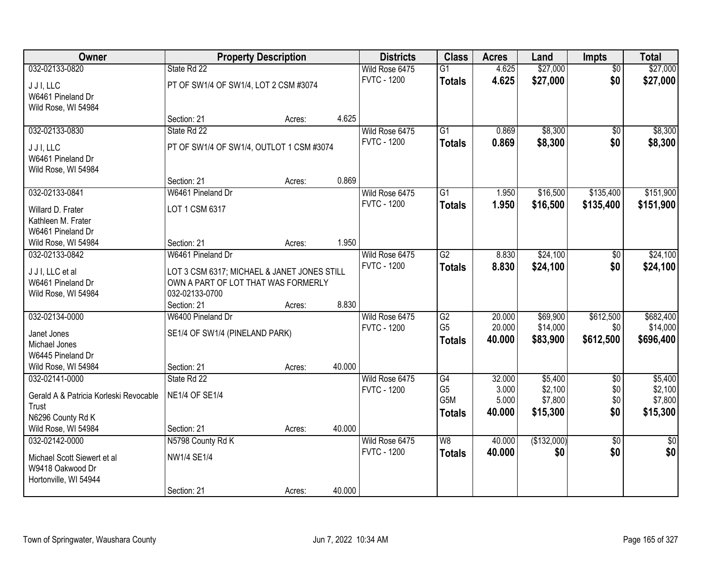| Owner                                    |                                                                                    | <b>Property Description</b> |        | <b>Districts</b>   | <b>Class</b>    | <b>Acres</b> | Land        | Impts           | <b>Total</b>    |
|------------------------------------------|------------------------------------------------------------------------------------|-----------------------------|--------|--------------------|-----------------|--------------|-------------|-----------------|-----------------|
| 032-02133-0820                           | State Rd 22                                                                        |                             |        | Wild Rose 6475     | G1              | 4.625        | \$27,000    | $\overline{50}$ | \$27,000        |
| JJI, LLC                                 | PT OF SW1/4 OF SW1/4, LOT 2 CSM #3074                                              |                             |        | <b>FVTC - 1200</b> | <b>Totals</b>   | 4.625        | \$27,000    | \$0             | \$27,000        |
| W6461 Pineland Dr                        |                                                                                    |                             |        |                    |                 |              |             |                 |                 |
| Wild Rose, WI 54984                      |                                                                                    |                             |        |                    |                 |              |             |                 |                 |
|                                          | Section: 21                                                                        | Acres:                      | 4.625  |                    |                 |              |             |                 |                 |
| 032-02133-0830                           | State Rd 22                                                                        |                             |        | Wild Rose 6475     | $\overline{G1}$ | 0.869        | \$8,300     | $\overline{50}$ | \$8,300         |
| J J I, LLC                               | PT OF SW1/4 OF SW1/4, OUTLOT 1 CSM #3074                                           |                             |        | <b>FVTC - 1200</b> | <b>Totals</b>   | 0.869        | \$8,300     | \$0             | \$8,300         |
| W6461 Pineland Dr                        |                                                                                    |                             |        |                    |                 |              |             |                 |                 |
| Wild Rose, WI 54984                      |                                                                                    |                             |        |                    |                 |              |             |                 |                 |
|                                          | Section: 21                                                                        | Acres:                      | 0.869  |                    |                 |              |             |                 |                 |
| 032-02133-0841                           | W6461 Pineland Dr                                                                  |                             |        | Wild Rose 6475     | G <sub>1</sub>  | 1.950        | \$16,500    | \$135,400       | \$151,900       |
| Willard D. Frater                        | LOT 1 CSM 6317                                                                     |                             |        | <b>FVTC - 1200</b> | <b>Totals</b>   | 1.950        | \$16,500    | \$135,400       | \$151,900       |
| Kathleen M. Frater                       |                                                                                    |                             |        |                    |                 |              |             |                 |                 |
| W6461 Pineland Dr                        |                                                                                    |                             |        |                    |                 |              |             |                 |                 |
| Wild Rose, WI 54984                      | Section: 21                                                                        | Acres:                      | 1.950  |                    |                 |              |             |                 |                 |
| 032-02133-0842                           | W6461 Pineland Dr                                                                  |                             |        | Wild Rose 6475     | G2              | 8.830        | \$24,100    | \$0             | \$24,100        |
|                                          |                                                                                    |                             |        | <b>FVTC - 1200</b> | <b>Totals</b>   | 8.830        | \$24,100    | \$0             | \$24,100        |
| J J I, LLC et al<br>W6461 Pineland Dr    | LOT 3 CSM 6317; MICHAEL & JANET JONES STILL<br>OWN A PART OF LOT THAT WAS FORMERLY |                             |        |                    |                 |              |             |                 |                 |
| Wild Rose, WI 54984                      | 032-02133-0700                                                                     |                             |        |                    |                 |              |             |                 |                 |
|                                          | Section: 21                                                                        | Acres:                      | 8.830  |                    |                 |              |             |                 |                 |
| 032-02134-0000                           | W6400 Pineland Dr                                                                  |                             |        | Wild Rose 6475     | $\overline{G2}$ | 20.000       | \$69,900    | \$612,500       | \$682,400       |
|                                          |                                                                                    |                             |        | <b>FVTC - 1200</b> | G <sub>5</sub>  | 20.000       | \$14,000    | \$0             | \$14,000        |
| Janet Jones                              | SE1/4 OF SW1/4 (PINELAND PARK)                                                     |                             |        |                    | <b>Totals</b>   | 40.000       | \$83,900    | \$612,500       | \$696,400       |
| Michael Jones                            |                                                                                    |                             |        |                    |                 |              |             |                 |                 |
| W6445 Pineland Dr<br>Wild Rose, WI 54984 | Section: 21                                                                        |                             | 40.000 |                    |                 |              |             |                 |                 |
| 032-02141-0000                           | State Rd 22                                                                        | Acres:                      |        | Wild Rose 6475     | G4              | 32.000       | \$5,400     | $\overline{50}$ | \$5,400         |
|                                          |                                                                                    |                             |        | <b>FVTC - 1200</b> | G <sub>5</sub>  | 3.000        | \$2,100     | \$0             | \$2,100         |
| Gerald A & Patricia Korleski Revocable   | <b>NE1/4 OF SE1/4</b>                                                              |                             |        |                    | G5M             | 5.000        | \$7,800     | \$0             | \$7,800         |
| Trust                                    |                                                                                    |                             |        |                    | <b>Totals</b>   | 40.000       | \$15,300    | \$0             | \$15,300        |
| N6296 County Rd K                        |                                                                                    |                             |        |                    |                 |              |             |                 |                 |
| Wild Rose, WI 54984                      | Section: 21                                                                        | Acres:                      | 40.000 |                    |                 |              |             |                 |                 |
| 032-02142-0000                           | N5798 County Rd K                                                                  |                             |        | Wild Rose 6475     | W8              | 40.000       | (\$132,000) | $\overline{50}$ | $\overline{50}$ |
| Michael Scott Siewert et al              | NW1/4 SE1/4                                                                        |                             |        | <b>FVTC - 1200</b> | <b>Totals</b>   | 40.000       | \$0         | \$0             | \$0             |
| W9418 Oakwood Dr                         |                                                                                    |                             |        |                    |                 |              |             |                 |                 |
| Hortonville, WI 54944                    |                                                                                    |                             |        |                    |                 |              |             |                 |                 |
|                                          | Section: 21                                                                        | Acres:                      | 40.000 |                    |                 |              |             |                 |                 |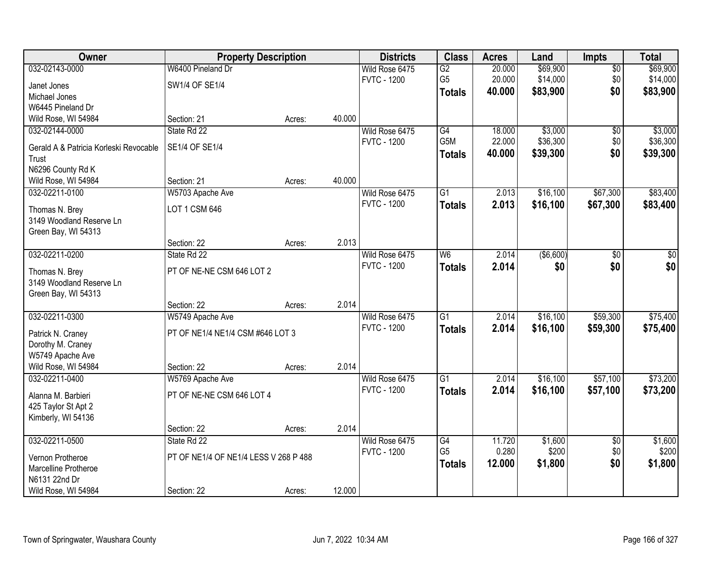| Owner                                  | <b>Property Description</b>           |        |        | <b>Districts</b>                     | <b>Class</b>     | <b>Acres</b> | Land       | <b>Impts</b>    | <b>Total</b> |
|----------------------------------------|---------------------------------------|--------|--------|--------------------------------------|------------------|--------------|------------|-----------------|--------------|
| 032-02143-0000                         | W6400 Pineland Dr                     |        |        | Wild Rose 6475                       | G2               | 20.000       | \$69,900   | $\overline{50}$ | \$69,900     |
| Janet Jones                            | SW1/4 OF SE1/4                        |        |        | <b>FVTC - 1200</b>                   | G <sub>5</sub>   | 20.000       | \$14,000   | \$0             | \$14,000     |
| Michael Jones                          |                                       |        |        |                                      | <b>Totals</b>    | 40.000       | \$83,900   | \$0             | \$83,900     |
| W6445 Pineland Dr                      |                                       |        |        |                                      |                  |              |            |                 |              |
| Wild Rose, WI 54984                    | Section: 21                           | Acres: | 40.000 |                                      |                  |              |            |                 |              |
| 032-02144-0000                         | State Rd 22                           |        |        | Wild Rose 6475                       | G4               | 18.000       | \$3,000    | \$0             | \$3,000      |
| Gerald A & Patricia Korleski Revocable | SE1/4 OF SE1/4                        |        |        | <b>FVTC - 1200</b>                   | G <sub>5</sub> M | 22.000       | \$36,300   | \$0             | \$36,300     |
| Trust                                  |                                       |        |        |                                      | <b>Totals</b>    | 40.000       | \$39,300   | \$0             | \$39,300     |
| N6296 County Rd K                      |                                       |        |        |                                      |                  |              |            |                 |              |
| Wild Rose, WI 54984                    | Section: 21                           | Acres: | 40.000 |                                      |                  |              |            |                 |              |
| 032-02211-0100                         | W5703 Apache Ave                      |        |        | Wild Rose 6475                       | G1               | 2.013        | \$16,100   | \$67,300        | \$83,400     |
|                                        |                                       |        |        | <b>FVTC - 1200</b>                   | <b>Totals</b>    | 2.013        | \$16,100   | \$67,300        | \$83,400     |
| Thomas N. Brey                         | LOT 1 CSM 646                         |        |        |                                      |                  |              |            |                 |              |
| 3149 Woodland Reserve Ln               |                                       |        |        |                                      |                  |              |            |                 |              |
| Green Bay, WI 54313                    |                                       |        |        |                                      |                  |              |            |                 |              |
|                                        | Section: 22                           | Acres: | 2.013  |                                      |                  |              |            |                 |              |
| 032-02211-0200                         | State Rd 22                           |        |        | Wild Rose 6475<br><b>FVTC - 1200</b> | W <sub>6</sub>   | 2.014        | ( \$6,600) | \$0             | \$0          |
| Thomas N. Brey                         | PT OF NE-NE CSM 646 LOT 2             |        |        |                                      | <b>Totals</b>    | 2.014        | \$0        | \$0             | \$0          |
| 3149 Woodland Reserve Ln               |                                       |        |        |                                      |                  |              |            |                 |              |
| Green Bay, WI 54313                    |                                       |        |        |                                      |                  |              |            |                 |              |
|                                        | Section: 22                           | Acres: | 2.014  |                                      |                  |              |            |                 |              |
| 032-02211-0300                         | W5749 Apache Ave                      |        |        | Wild Rose 6475                       | $\overline{G1}$  | 2.014        | \$16,100   | \$59,300        | \$75,400     |
| Patrick N. Craney                      | PT OF NE1/4 NE1/4 CSM #646 LOT 3      |        |        | <b>FVTC - 1200</b>                   | <b>Totals</b>    | 2.014        | \$16,100   | \$59,300        | \$75,400     |
| Dorothy M. Craney                      |                                       |        |        |                                      |                  |              |            |                 |              |
| W5749 Apache Ave                       |                                       |        |        |                                      |                  |              |            |                 |              |
| Wild Rose, WI 54984                    | Section: 22                           | Acres: | 2.014  |                                      |                  |              |            |                 |              |
| 032-02211-0400                         | W5769 Apache Ave                      |        |        | Wild Rose 6475                       | $\overline{G1}$  | 2.014        | \$16,100   | \$57,100        | \$73,200     |
| Alanna M. Barbieri                     | PT OF NE-NE CSM 646 LOT 4             |        |        | <b>FVTC - 1200</b>                   | <b>Totals</b>    | 2.014        | \$16,100   | \$57,100        | \$73,200     |
| 425 Taylor St Apt 2                    |                                       |        |        |                                      |                  |              |            |                 |              |
| Kimberly, WI 54136                     |                                       |        |        |                                      |                  |              |            |                 |              |
|                                        | Section: 22                           | Acres: | 2.014  |                                      |                  |              |            |                 |              |
| 032-02211-0500                         | State Rd 22                           |        |        | Wild Rose 6475                       | $\overline{G4}$  | 11.720       | \$1,600    | $\overline{50}$ | \$1,600      |
|                                        |                                       |        |        | <b>FVTC - 1200</b>                   | G <sub>5</sub>   | 0.280        | \$200      | \$0             | \$200        |
| Vernon Protheroe                       | PT OF NE1/4 OF NE1/4 LESS V 268 P 488 |        |        |                                      | <b>Totals</b>    | 12.000       | \$1,800    | \$0             | \$1,800      |
| Marcelline Protheroe<br>N6131 22nd Dr  |                                       |        |        |                                      |                  |              |            |                 |              |
| Wild Rose, WI 54984                    | Section: 22                           |        | 12.000 |                                      |                  |              |            |                 |              |
|                                        |                                       | Acres: |        |                                      |                  |              |            |                 |              |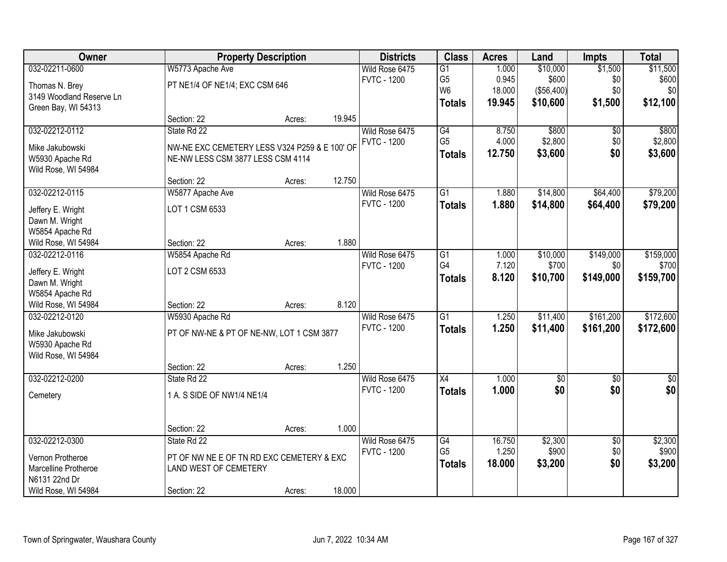| Owner                    |                                               | <b>Property Description</b> |        | <b>Districts</b>   | <b>Class</b>    | <b>Acres</b> | Land       | <b>Impts</b>    | <b>Total</b> |
|--------------------------|-----------------------------------------------|-----------------------------|--------|--------------------|-----------------|--------------|------------|-----------------|--------------|
| 032-02211-0600           | W5773 Apache Ave                              |                             |        | Wild Rose 6475     | G1              | 1.000        | \$10,000   | \$1,500         | \$11,500     |
| Thomas N. Brey           | PT NE1/4 OF NE1/4; EXC CSM 646                |                             |        | <b>FVTC - 1200</b> | G <sub>5</sub>  | 0.945        | \$600      | \$0             | \$600        |
| 3149 Woodland Reserve Ln |                                               |                             |        |                    | W <sub>6</sub>  | 18.000       | (\$56,400) | \$0             | \$0          |
| Green Bay, WI 54313      |                                               |                             |        |                    | <b>Totals</b>   | 19.945       | \$10,600   | \$1,500         | \$12,100     |
|                          | Section: 22                                   | Acres:                      | 19.945 |                    |                 |              |            |                 |              |
| 032-02212-0112           | State Rd 22                                   |                             |        | Wild Rose 6475     | G4              | 8.750        | \$800      | \$0             | \$800        |
| Mike Jakubowski          | NW-NE EXC CEMETERY LESS V324 P259 & E 100' OF |                             |        | <b>FVTC - 1200</b> | G <sub>5</sub>  | 4.000        | \$2,800    | \$0             | \$2,800      |
| W5930 Apache Rd          | NE-NW LESS CSM 3877 LESS CSM 4114             |                             |        |                    | <b>Totals</b>   | 12.750       | \$3,600    | \$0             | \$3,600      |
| Wild Rose, WI 54984      |                                               |                             |        |                    |                 |              |            |                 |              |
|                          | Section: 22                                   | Acres:                      | 12.750 |                    |                 |              |            |                 |              |
| 032-02212-0115           | W5877 Apache Ave                              |                             |        | Wild Rose 6475     | $\overline{G1}$ | 1.880        | \$14,800   | \$64,400        | \$79,200     |
| Jeffery E. Wright        | LOT 1 CSM 6533                                |                             |        | <b>FVTC - 1200</b> | <b>Totals</b>   | 1.880        | \$14,800   | \$64,400        | \$79,200     |
| Dawn M. Wright           |                                               |                             |        |                    |                 |              |            |                 |              |
| W5854 Apache Rd          |                                               |                             |        |                    |                 |              |            |                 |              |
| Wild Rose, WI 54984      | Section: 22                                   | Acres:                      | 1.880  |                    |                 |              |            |                 |              |
| 032-02212-0116           | W5854 Apache Rd                               |                             |        | Wild Rose 6475     | $\overline{G1}$ | 1.000        | \$10,000   | \$149,000       | \$159,000    |
| Jeffery E. Wright        | LOT 2 CSM 6533                                |                             |        | <b>FVTC - 1200</b> | G4              | 7.120        | \$700      | \$0             | \$700        |
| Dawn M. Wright           |                                               |                             |        |                    | <b>Totals</b>   | 8.120        | \$10,700   | \$149,000       | \$159,700    |
| W5854 Apache Rd          |                                               |                             |        |                    |                 |              |            |                 |              |
| Wild Rose, WI 54984      | Section: 22                                   | Acres:                      | 8.120  |                    |                 |              |            |                 |              |
| 032-02212-0120           | W5930 Apache Rd                               |                             |        | Wild Rose 6475     | $\overline{G1}$ | 1.250        | \$11,400   | \$161,200       | \$172,600    |
| Mike Jakubowski          | PT OF NW-NE & PT OF NE-NW, LOT 1 CSM 3877     |                             |        | <b>FVTC - 1200</b> | <b>Totals</b>   | 1.250        | \$11,400   | \$161,200       | \$172,600    |
| W5930 Apache Rd          |                                               |                             |        |                    |                 |              |            |                 |              |
| Wild Rose, WI 54984      |                                               |                             |        |                    |                 |              |            |                 |              |
|                          | Section: 22                                   | Acres:                      | 1.250  |                    |                 |              |            |                 |              |
| 032-02212-0200           | State Rd 22                                   |                             |        | Wild Rose 6475     | X4              | 1.000        | $\sqrt{6}$ | \$0             | \$0          |
| Cemetery                 | 1 A. S SIDE OF NW1/4 NE1/4                    |                             |        | <b>FVTC - 1200</b> | <b>Totals</b>   | 1.000        | \$0        | \$0             | \$0          |
|                          |                                               |                             |        |                    |                 |              |            |                 |              |
|                          |                                               |                             |        |                    |                 |              |            |                 |              |
|                          | Section: 22                                   | Acres:                      | 1.000  |                    |                 |              |            |                 |              |
| 032-02212-0300           | State Rd 22                                   |                             |        | Wild Rose 6475     | G4              | 16.750       | \$2,300    | $\overline{50}$ | \$2,300      |
| Vernon Protheroe         | PT OF NW NE E OF TN RD EXC CEMETERY & EXC     |                             |        | <b>FVTC - 1200</b> | G <sub>5</sub>  | 1.250        | \$900      | \$0             | \$900        |
| Marcelline Protheroe     | LAND WEST OF CEMETERY                         |                             |        |                    | <b>Totals</b>   | 18.000       | \$3,200    | \$0             | \$3,200      |
| N6131 22nd Dr            |                                               |                             |        |                    |                 |              |            |                 |              |
| Wild Rose, WI 54984      | Section: 22                                   | Acres:                      | 18.000 |                    |                 |              |            |                 |              |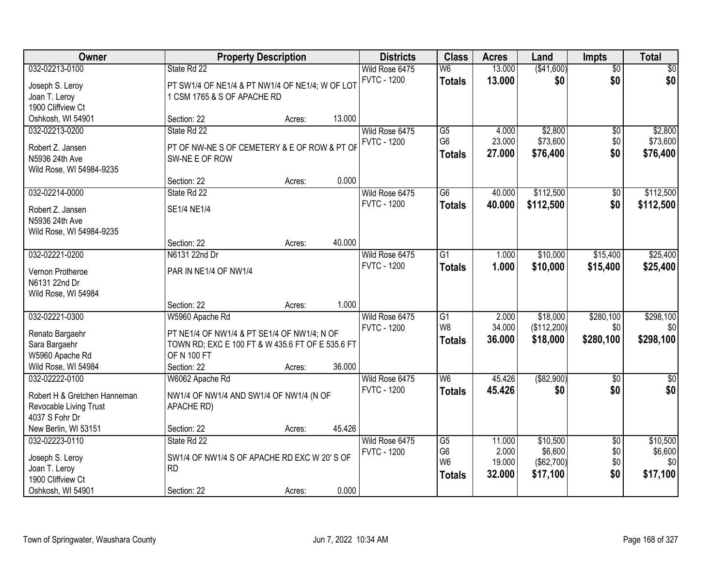| Owner                                                                                                              |                                                                                                                                                         | <b>Property Description</b> |        | <b>Districts</b>                     | <b>Class</b>                                                         | <b>Acres</b>                        | Land                                          | <b>Impts</b>                         | <b>Total</b>                           |
|--------------------------------------------------------------------------------------------------------------------|---------------------------------------------------------------------------------------------------------------------------------------------------------|-----------------------------|--------|--------------------------------------|----------------------------------------------------------------------|-------------------------------------|-----------------------------------------------|--------------------------------------|----------------------------------------|
| 032-02213-0100<br>Joseph S. Leroy<br>Joan T. Leroy<br>1900 Cliffview Ct                                            | State Rd 22<br>PT SW1/4 OF NE1/4 & PT NW1/4 OF NE1/4; W OF LOT<br>1 CSM 1765 & S OF APACHE RD                                                           |                             |        | Wild Rose 6475<br><b>FVTC - 1200</b> | W <sub>6</sub><br><b>Totals</b>                                      | 13.000<br>13.000                    | (\$41,600)<br>\$0                             | $\overline{50}$<br>\$0               | $\sqrt{30}$<br>\$0                     |
| Oshkosh, WI 54901                                                                                                  | Section: 22                                                                                                                                             | Acres:                      | 13.000 |                                      |                                                                      |                                     |                                               |                                      |                                        |
| 032-02213-0200<br>Robert Z. Jansen<br>N5936 24th Ave<br>Wild Rose, WI 54984-9235                                   | State Rd 22<br>PT OF NW-NE S OF CEMETERY & E OF ROW & PT OF<br>SW-NE E OF ROW                                                                           |                             |        | Wild Rose 6475<br><b>FVTC - 1200</b> | $\overline{G5}$<br>G <sub>6</sub><br><b>Totals</b>                   | 4.000<br>23.000<br>27.000           | \$2,800<br>\$73,600<br>\$76,400               | \$0<br>\$0<br>\$0                    | \$2,800<br>\$73,600<br>\$76,400        |
|                                                                                                                    | Section: 22                                                                                                                                             | Acres:                      | 0.000  |                                      |                                                                      |                                     |                                               |                                      |                                        |
| 032-02214-0000<br>Robert Z. Jansen<br>N5936 24th Ave<br>Wild Rose, WI 54984-9235                                   | State Rd 22<br><b>SE1/4 NE1/4</b>                                                                                                                       |                             |        | Wild Rose 6475<br><b>FVTC - 1200</b> | $\overline{G6}$<br><b>Totals</b>                                     | 40.000<br>40.000                    | \$112,500<br>\$112,500                        | $\overline{50}$<br>\$0               | \$112,500<br>\$112,500                 |
|                                                                                                                    | Section: 22                                                                                                                                             | Acres:                      | 40.000 |                                      |                                                                      |                                     |                                               |                                      |                                        |
| 032-02221-0200<br>Vernon Protheroe<br>N6131 22nd Dr<br>Wild Rose, WI 54984                                         | N6131 22nd Dr<br>PAR IN NE1/4 OF NW1/4                                                                                                                  |                             |        | Wild Rose 6475<br><b>FVTC - 1200</b> | $\overline{G1}$<br><b>Totals</b>                                     | 1.000<br>1.000                      | \$10,000<br>\$10,000                          | \$15,400<br>\$15,400                 | \$25,400<br>\$25,400                   |
|                                                                                                                    | Section: 22                                                                                                                                             | Acres:                      | 1.000  |                                      |                                                                      |                                     |                                               |                                      |                                        |
| 032-02221-0300<br>Renato Bargaehr<br>Sara Bargaehr<br>W5960 Apache Rd<br>Wild Rose, WI 54984                       | W5960 Apache Rd<br>PT NE1/4 OF NW1/4 & PT SE1/4 OF NW1/4; N OF<br>TOWN RD; EXC E 100 FT & W 435.6 FT OF E 535.6 FT<br><b>OF N 100 FT</b><br>Section: 22 | Acres:                      | 36.000 | Wild Rose 6475<br><b>FVTC - 1200</b> | $\overline{G1}$<br>W <sub>8</sub><br><b>Totals</b>                   | 2.000<br>34.000<br>36.000           | \$18,000<br>(\$112,200)<br>\$18,000           | \$280,100<br>\$0<br>\$280,100        | \$298,100<br>\$0<br>\$298,100          |
| 032-02222-0100<br>Robert H & Gretchen Hanneman<br>Revocable Living Trust<br>4037 S Fohr Dr<br>New Berlin, WI 53151 | W6062 Apache Rd<br>NW1/4 OF NW1/4 AND SW1/4 OF NW1/4 (N OF<br>APACHE RD)<br>Section: 22                                                                 | Acres:                      | 45.426 | Wild Rose 6475<br><b>FVTC - 1200</b> | $\overline{W6}$<br><b>Totals</b>                                     | 45.426<br>45.426                    | ( \$82,900)<br>\$0                            | $\overline{50}$<br>\$0               | $\sqrt{50}$<br>\$0                     |
| 032-02223-0110<br>Joseph S. Leroy<br>Joan T. Leroy<br>1900 Cliffview Ct<br>Oshkosh, WI 54901                       | State Rd 22<br>SW1/4 OF NW1/4 S OF APACHE RD EXC W 20'S OF<br><b>RD</b><br>Section: 22                                                                  | Acres:                      | 0.000  | Wild Rose 6475<br><b>FVTC - 1200</b> | $\overline{G5}$<br>G <sub>6</sub><br>W <sub>6</sub><br><b>Totals</b> | 11.000<br>2.000<br>19.000<br>32.000 | \$10,500<br>\$6,600<br>(\$62,700)<br>\$17,100 | $\overline{50}$<br>\$0<br>\$0<br>\$0 | \$10,500<br>\$6,600<br>\$0<br>\$17,100 |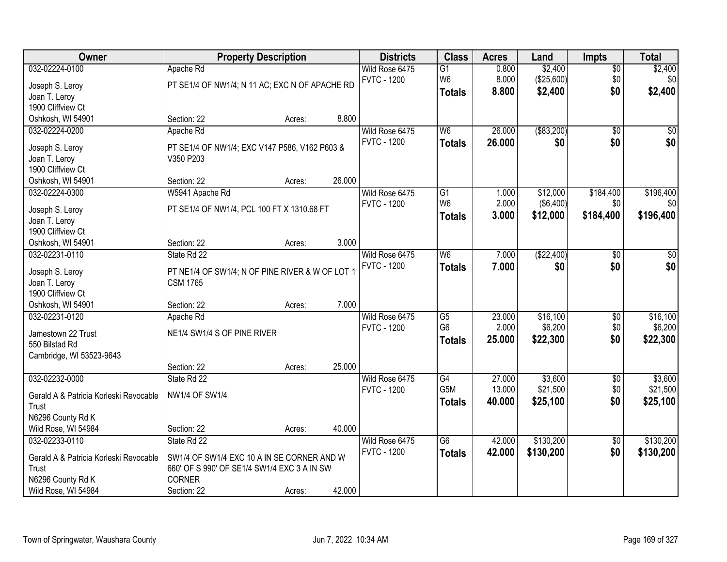| Owner                                                                                                             | <b>Property Description</b>                                                                                                              |                  |                 | <b>Districts</b>                     | <b>Class</b>                                       | <b>Acres</b>               | Land                              | <b>Impts</b>                  | <b>Total</b>                    |
|-------------------------------------------------------------------------------------------------------------------|------------------------------------------------------------------------------------------------------------------------------------------|------------------|-----------------|--------------------------------------|----------------------------------------------------|----------------------------|-----------------------------------|-------------------------------|---------------------------------|
| 032-02224-0100<br>Joseph S. Leroy                                                                                 | Apache Rd<br>PT SE1/4 OF NW1/4; N 11 AC; EXC N OF APACHE RD                                                                              |                  |                 | Wild Rose 6475<br><b>FVTC - 1200</b> | $\overline{G1}$<br>W <sub>6</sub><br><b>Totals</b> | 0.800<br>8.000<br>8.800    | \$2,400<br>(\$25,600)<br>\$2,400  | $\overline{50}$<br>\$0<br>\$0 | \$2,400<br>\$0<br>\$2,400       |
| Joan T. Leroy<br>1900 Cliffview Ct<br>Oshkosh, WI 54901                                                           | Section: 22                                                                                                                              | Acres:           | 8.800           |                                      |                                                    |                            |                                   |                               |                                 |
| 032-02224-0200<br>Joseph S. Leroy<br>Joan T. Leroy<br>1900 Cliffview Ct                                           | Apache Rd<br>PT SE1/4 OF NW1/4; EXC V147 P586, V162 P603 &<br>V350 P203                                                                  |                  |                 | Wild Rose 6475<br><b>FVTC - 1200</b> | W <sub>6</sub><br><b>Totals</b>                    | 26.000<br>26.000           | ( \$83,200)<br>\$0                | $\overline{50}$<br>\$0        | $\sqrt{50}$<br>\$0              |
| Oshkosh, WI 54901<br>032-02224-0300<br>Joseph S. Leroy<br>Joan T. Leroy<br>1900 Cliffview Ct<br>Oshkosh, WI 54901 | Section: 22<br>W5941 Apache Rd<br>PT SE1/4 OF NW1/4, PCL 100 FT X 1310.68 FT<br>Section: 22                                              | Acres:<br>Acres: | 26.000<br>3.000 | Wild Rose 6475<br><b>FVTC - 1200</b> | $\overline{G1}$<br>W <sub>6</sub><br><b>Totals</b> | 1.000<br>2.000<br>3.000    | \$12,000<br>(\$6,400)<br>\$12,000 | \$184,400<br>\$0<br>\$184,400 | \$196,400<br>\$0<br>\$196,400   |
| 032-02231-0110<br>Joseph S. Leroy<br>Joan T. Leroy<br>1900 Cliffview Ct                                           | State Rd 22<br>PT NE1/4 OF SW1/4; N OF PINE RIVER & W OF LOT 1<br><b>CSM 1765</b>                                                        |                  |                 | Wild Rose 6475<br><b>FVTC - 1200</b> | W6<br><b>Totals</b>                                | 7.000<br>7.000             | (\$22,400)<br>\$0                 | \$0<br>\$0                    | \$0<br>\$0                      |
| Oshkosh, WI 54901<br>032-02231-0120<br>Jamestown 22 Trust<br>550 Bilstad Rd<br>Cambridge, WI 53523-9643           | Section: 22<br>Apache Rd<br>NE1/4 SW1/4 S OF PINE RIVER<br>Section: 22                                                                   | Acres:<br>Acres: | 7.000<br>25.000 | Wild Rose 6475<br><b>FVTC - 1200</b> | G5<br>G <sub>6</sub><br><b>Totals</b>              | 23.000<br>2.000<br>25.000  | \$16,100<br>\$6,200<br>\$22,300   | \$0<br>\$0<br>\$0             | \$16,100<br>\$6,200<br>\$22,300 |
| 032-02232-0000<br>Gerald A & Patricia Korleski Revocable<br>Trust<br>N6296 County Rd K<br>Wild Rose, WI 54984     | State Rd 22<br>NW1/4 OF SW1/4<br>Section: 22                                                                                             | Acres:           | 40.000          | Wild Rose 6475<br><b>FVTC - 1200</b> | $\overline{G4}$<br>G5M<br><b>Totals</b>            | 27.000<br>13.000<br>40.000 | \$3,600<br>\$21,500<br>\$25,100   | $\overline{60}$<br>\$0<br>\$0 | \$3,600<br>\$21,500<br>\$25,100 |
| 032-02233-0110<br>Gerald A & Patricia Korleski Revocable<br>Trust<br>N6296 County Rd K<br>Wild Rose, WI 54984     | State Rd 22<br>SW1/4 OF SW1/4 EXC 10 A IN SE CORNER AND W<br>660' OF S 990' OF SE1/4 SW1/4 EXC 3 A IN SW<br><b>CORNER</b><br>Section: 22 | Acres:           | 42.000          | Wild Rose 6475<br><b>FVTC - 1200</b> | $\overline{G6}$<br><b>Totals</b>                   | 42.000<br>42.000           | \$130,200<br>\$130,200            | $\sqrt{6}$<br>\$0             | \$130,200<br>\$130,200          |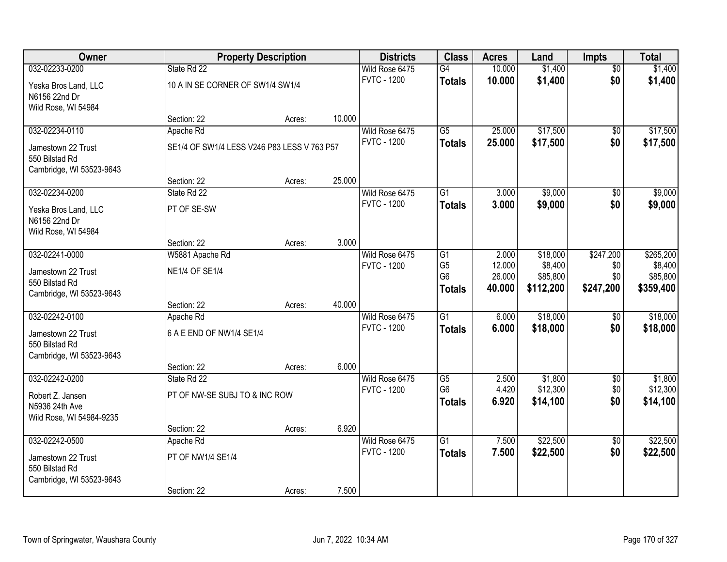| Owner                                      |                                             | <b>Property Description</b> |        | <b>Districts</b>                     | <b>Class</b>    | <b>Acres</b> | Land      | <b>Impts</b>    | <b>Total</b> |
|--------------------------------------------|---------------------------------------------|-----------------------------|--------|--------------------------------------|-----------------|--------------|-----------|-----------------|--------------|
| 032-02233-0200                             | State Rd 22                                 |                             |        | Wild Rose 6475                       | G4              | 10.000       | \$1,400   | $\overline{30}$ | \$1,400      |
| Yeska Bros Land, LLC                       | 10 A IN SE CORNER OF SW1/4 SW1/4            |                             |        | <b>FVTC - 1200</b>                   | <b>Totals</b>   | 10.000       | \$1,400   | \$0             | \$1,400      |
| N6156 22nd Dr                              |                                             |                             |        |                                      |                 |              |           |                 |              |
| Wild Rose, WI 54984                        |                                             |                             |        |                                      |                 |              |           |                 |              |
|                                            | Section: 22                                 | Acres:                      | 10.000 |                                      |                 |              |           |                 |              |
| 032-02234-0110                             | Apache Rd                                   |                             |        | Wild Rose 6475                       | $\overline{G5}$ | 25.000       | \$17,500  | \$0             | \$17,500     |
| Jamestown 22 Trust                         | SE1/4 OF SW1/4 LESS V246 P83 LESS V 763 P57 |                             |        | <b>FVTC - 1200</b>                   | <b>Totals</b>   | 25.000       | \$17,500  | \$0             | \$17,500     |
| 550 Bilstad Rd                             |                                             |                             |        |                                      |                 |              |           |                 |              |
| Cambridge, WI 53523-9643                   |                                             |                             |        |                                      |                 |              |           |                 |              |
| 032-02234-0200                             | Section: 22<br>State Rd 22                  | Acres:                      | 25.000 |                                      | $\overline{G1}$ |              | \$9,000   |                 | \$9,000      |
|                                            |                                             |                             |        | Wild Rose 6475<br><b>FVTC - 1200</b> |                 | 3.000        |           | \$0<br>\$0      |              |
| Yeska Bros Land, LLC                       | PT OF SE-SW                                 |                             |        |                                      | <b>Totals</b>   | 3.000        | \$9,000   |                 | \$9,000      |
| N6156 22nd Dr                              |                                             |                             |        |                                      |                 |              |           |                 |              |
| Wild Rose, WI 54984                        |                                             |                             | 3.000  |                                      |                 |              |           |                 |              |
| 032-02241-0000                             | Section: 22<br>W5881 Apache Rd              | Acres:                      |        | Wild Rose 6475                       | $\overline{G1}$ | 2.000        | \$18,000  | \$247,200       | \$265,200    |
|                                            |                                             |                             |        | <b>FVTC - 1200</b>                   | G <sub>5</sub>  | 12.000       | \$8,400   | \$0             | \$8,400      |
| Jamestown 22 Trust                         | <b>NE1/4 OF SE1/4</b>                       |                             |        |                                      | G <sub>6</sub>  | 26.000       | \$85,800  | \$0             | \$85,800     |
| 550 Bilstad Rd                             |                                             |                             |        |                                      | <b>Totals</b>   | 40.000       | \$112,200 | \$247,200       | \$359,400    |
| Cambridge, WI 53523-9643                   | Section: 22                                 | Acres:                      | 40.000 |                                      |                 |              |           |                 |              |
| 032-02242-0100                             | Apache Rd                                   |                             |        | Wild Rose 6475                       | $\overline{G1}$ | 6.000        | \$18,000  | $\sqrt{6}$      | \$18,000     |
|                                            |                                             |                             |        | <b>FVTC - 1200</b>                   | <b>Totals</b>   | 6.000        | \$18,000  | \$0             | \$18,000     |
| Jamestown 22 Trust                         | 6 A E END OF NW1/4 SE1/4                    |                             |        |                                      |                 |              |           |                 |              |
| 550 Bilstad Rd<br>Cambridge, WI 53523-9643 |                                             |                             |        |                                      |                 |              |           |                 |              |
|                                            | Section: 22                                 | Acres:                      | 6.000  |                                      |                 |              |           |                 |              |
| 032-02242-0200                             | State Rd 22                                 |                             |        | Wild Rose 6475                       | $\overline{G5}$ | 2.500        | \$1,800   | \$0             | \$1,800      |
|                                            |                                             |                             |        | <b>FVTC - 1200</b>                   | G <sub>6</sub>  | 4.420        | \$12,300  | \$0             | \$12,300     |
| Robert Z. Jansen<br>N5936 24th Ave         | PT OF NW-SE SUBJ TO & INC ROW               |                             |        |                                      | <b>Totals</b>   | 6.920        | \$14,100  | \$0             | \$14,100     |
| Wild Rose, WI 54984-9235                   |                                             |                             |        |                                      |                 |              |           |                 |              |
|                                            | Section: 22                                 | Acres:                      | 6.920  |                                      |                 |              |           |                 |              |
| 032-02242-0500                             | Apache Rd                                   |                             |        | Wild Rose 6475                       | $\overline{G1}$ | 7.500        | \$22,500  | $\overline{50}$ | \$22,500     |
| Jamestown 22 Trust                         | PT OF NW1/4 SE1/4                           |                             |        | <b>FVTC - 1200</b>                   | <b>Totals</b>   | 7.500        | \$22,500  | \$0             | \$22,500     |
| 550 Bilstad Rd                             |                                             |                             |        |                                      |                 |              |           |                 |              |
| Cambridge, WI 53523-9643                   |                                             |                             |        |                                      |                 |              |           |                 |              |
|                                            | Section: 22                                 | Acres:                      | 7.500  |                                      |                 |              |           |                 |              |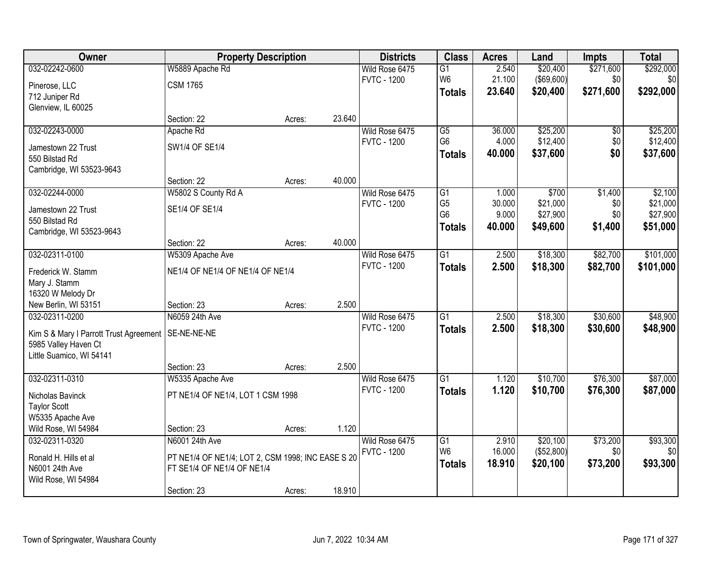| Owner                                  | <b>Property Description</b>                       |        |        | <b>Districts</b>   | <b>Class</b>    | <b>Acres</b> | Land              | <b>Impts</b> | <b>Total</b> |
|----------------------------------------|---------------------------------------------------|--------|--------|--------------------|-----------------|--------------|-------------------|--------------|--------------|
| 032-02242-0600                         | W5889 Apache Rd                                   |        |        | Wild Rose 6475     | G1              | 2.540        | \$20,400          | \$271,600    | \$292,000    |
| Pinerose, LLC                          | <b>CSM 1765</b>                                   |        |        | <b>FVTC - 1200</b> | W <sub>6</sub>  | 21.100       | $($ \$69,600) $ $ | \$0          | \$0          |
| 712 Juniper Rd                         |                                                   |        |        |                    | <b>Totals</b>   | 23.640       | \$20,400          | \$271,600    | \$292,000    |
| Glenview, IL 60025                     |                                                   |        |        |                    |                 |              |                   |              |              |
|                                        | Section: 22                                       | Acres: | 23.640 |                    |                 |              |                   |              |              |
| 032-02243-0000                         | Apache Rd                                         |        |        | Wild Rose 6475     | G5              | 36.000       | \$25,200          | \$0          | \$25,200     |
| Jamestown 22 Trust                     | SW1/4 OF SE1/4                                    |        |        | <b>FVTC - 1200</b> | G <sub>6</sub>  | 4.000        | \$12,400          | \$0          | \$12,400     |
| 550 Bilstad Rd                         |                                                   |        |        |                    | <b>Totals</b>   | 40.000       | \$37,600          | \$0          | \$37,600     |
| Cambridge, WI 53523-9643               |                                                   |        |        |                    |                 |              |                   |              |              |
|                                        | Section: 22                                       | Acres: | 40.000 |                    |                 |              |                   |              |              |
| 032-02244-0000                         | W5802 S County Rd A                               |        |        | Wild Rose 6475     | $\overline{G1}$ | 1.000        | \$700             | \$1,400      | \$2,100      |
| Jamestown 22 Trust                     | SE1/4 OF SE1/4                                    |        |        | <b>FVTC - 1200</b> | G <sub>5</sub>  | 30.000       | \$21,000          | \$0          | \$21,000     |
| 550 Bilstad Rd                         |                                                   |        |        |                    | G <sub>6</sub>  | 9.000        | \$27,900          | \$0          | \$27,900     |
| Cambridge, WI 53523-9643               |                                                   |        |        |                    | <b>Totals</b>   | 40.000       | \$49,600          | \$1,400      | \$51,000     |
|                                        | Section: 22                                       | Acres: | 40.000 |                    |                 |              |                   |              |              |
| 032-02311-0100                         | W5309 Apache Ave                                  |        |        | Wild Rose 6475     | $\overline{G1}$ | 2.500        | \$18,300          | \$82,700     | \$101,000    |
| Frederick W. Stamm                     | NE1/4 OF NE1/4 OF NE1/4 OF NE1/4                  |        |        | <b>FVTC - 1200</b> | <b>Totals</b>   | 2.500        | \$18,300          | \$82,700     | \$101,000    |
| Mary J. Stamm                          |                                                   |        |        |                    |                 |              |                   |              |              |
| 16320 W Melody Dr                      |                                                   |        |        |                    |                 |              |                   |              |              |
| New Berlin, WI 53151                   | Section: 23                                       | Acres: | 2.500  |                    |                 |              |                   |              |              |
| 032-02311-0200                         | N6059 24th Ave                                    |        |        | Wild Rose 6475     | $\overline{G1}$ | 2.500        | \$18,300          | \$30,600     | \$48,900     |
| Kim S & Mary I Parrott Trust Agreement | SE-NE-NE-NE                                       |        |        | <b>FVTC - 1200</b> | <b>Totals</b>   | 2.500        | \$18,300          | \$30,600     | \$48,900     |
| 5985 Valley Haven Ct                   |                                                   |        |        |                    |                 |              |                   |              |              |
| Little Suamico, WI 54141               |                                                   |        |        |                    |                 |              |                   |              |              |
|                                        | Section: 23                                       | Acres: | 2.500  |                    |                 |              |                   |              |              |
| 032-02311-0310                         | W5335 Apache Ave                                  |        |        | Wild Rose 6475     | G1              | 1.120        | \$10,700          | \$76,300     | \$87,000     |
| Nicholas Bavinck                       | PT NE1/4 OF NE1/4, LOT 1 CSM 1998                 |        |        | <b>FVTC - 1200</b> | <b>Totals</b>   | 1.120        | \$10,700          | \$76,300     | \$87,000     |
| <b>Taylor Scott</b>                    |                                                   |        |        |                    |                 |              |                   |              |              |
| W5335 Apache Ave                       |                                                   |        |        |                    |                 |              |                   |              |              |
| Wild Rose, WI 54984                    | Section: 23                                       | Acres: | 1.120  |                    |                 |              |                   |              |              |
| 032-02311-0320                         | N6001 24th Ave                                    |        |        | Wild Rose 6475     | G1              | 2.910        | \$20,100          | \$73,200     | \$93,300     |
| Ronald H. Hills et al                  | PT NE1/4 OF NE1/4; LOT 2, CSM 1998; INC EASE S 20 |        |        | <b>FVTC - 1200</b> | W <sub>6</sub>  | 16.000       | (\$52,800)        | \$0          | \$0          |
| N6001 24th Ave                         | FT SE1/4 OF NE1/4 OF NE1/4                        |        |        |                    | <b>Totals</b>   | 18.910       | \$20,100          | \$73,200     | \$93,300     |
| Wild Rose, WI 54984                    |                                                   |        |        |                    |                 |              |                   |              |              |
|                                        | Section: 23                                       | Acres: | 18.910 |                    |                 |              |                   |              |              |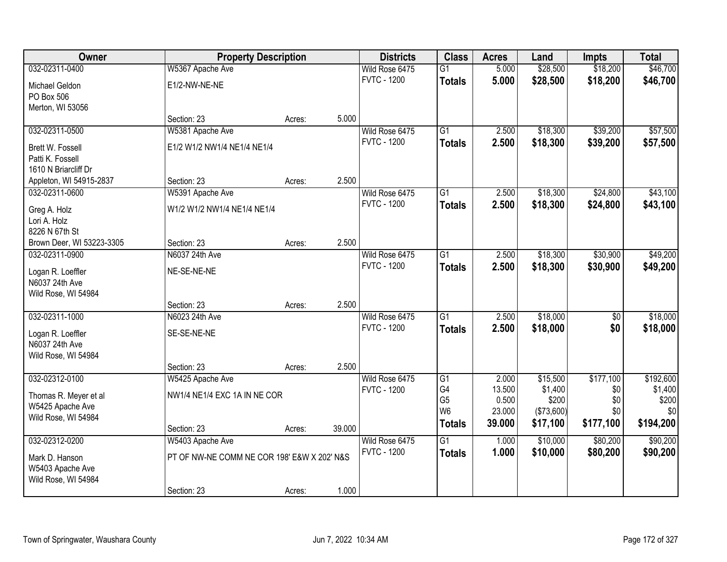| Owner                               |                                             | <b>Property Description</b> |        | <b>Districts</b>                     | <b>Class</b>    | <b>Acres</b>   | Land                 | <b>Impts</b>         | <b>Total</b> |
|-------------------------------------|---------------------------------------------|-----------------------------|--------|--------------------------------------|-----------------|----------------|----------------------|----------------------|--------------|
| 032-02311-0400                      | W5367 Apache Ave                            |                             |        | Wild Rose 6475                       | $\overline{G1}$ | 5.000          | \$28,500             | \$18,200             | \$46,700     |
| Michael Geldon                      | E1/2-NW-NE-NE                               |                             |        | <b>FVTC - 1200</b>                   | <b>Totals</b>   | 5.000          | \$28,500             | \$18,200             | \$46,700     |
| PO Box 506                          |                                             |                             |        |                                      |                 |                |                      |                      |              |
| Merton, WI 53056                    |                                             |                             |        |                                      |                 |                |                      |                      |              |
|                                     | Section: 23                                 | Acres:                      | 5.000  |                                      |                 |                |                      |                      |              |
| 032-02311-0500                      | W5381 Apache Ave                            |                             |        | Wild Rose 6475                       | $\overline{G1}$ | 2.500          | \$18,300             | \$39,200             | \$57,500     |
| Brett W. Fossell                    | E1/2 W1/2 NW1/4 NE1/4 NE1/4                 |                             |        | <b>FVTC - 1200</b>                   | <b>Totals</b>   | 2.500          | \$18,300             | \$39,200             | \$57,500     |
| Patti K. Fossell                    |                                             |                             |        |                                      |                 |                |                      |                      |              |
| 1610 N Briarcliff Dr                |                                             |                             |        |                                      |                 |                |                      |                      |              |
| Appleton, WI 54915-2837             | Section: 23                                 | Acres:                      | 2.500  |                                      |                 |                |                      |                      |              |
| 032-02311-0600                      | W5391 Apache Ave                            |                             |        | Wild Rose 6475                       | $\overline{G1}$ | 2.500          | \$18,300             | \$24,800             | \$43,100     |
| Greg A. Holz                        | W1/2 W1/2 NW1/4 NE1/4 NE1/4                 |                             |        | <b>FVTC - 1200</b>                   | <b>Totals</b>   | 2.500          | \$18,300             | \$24,800             | \$43,100     |
| Lori A. Holz                        |                                             |                             |        |                                      |                 |                |                      |                      |              |
| 8226 N 67th St                      |                                             |                             |        |                                      |                 |                |                      |                      |              |
| Brown Deer, WI 53223-3305           | Section: 23                                 | Acres:                      | 2.500  |                                      |                 |                |                      |                      |              |
| 032-02311-0900                      | N6037 24th Ave                              |                             |        | Wild Rose 6475                       | $\overline{G1}$ | 2.500          | \$18,300             | \$30,900             | \$49,200     |
|                                     |                                             |                             |        | <b>FVTC - 1200</b>                   | <b>Totals</b>   | 2.500          | \$18,300             | \$30,900             | \$49,200     |
| Logan R. Loeffler<br>N6037 24th Ave | NE-SE-NE-NE                                 |                             |        |                                      |                 |                |                      |                      |              |
| Wild Rose, WI 54984                 |                                             |                             |        |                                      |                 |                |                      |                      |              |
|                                     | Section: 23                                 | Acres:                      | 2.500  |                                      |                 |                |                      |                      |              |
| 032-02311-1000                      | N6023 24th Ave                              |                             |        | Wild Rose 6475                       | $\overline{G1}$ | 2.500          | \$18,000             | $\sqrt{6}$           | \$18,000     |
|                                     |                                             |                             |        | <b>FVTC - 1200</b>                   | <b>Totals</b>   | 2.500          | \$18,000             | \$0                  | \$18,000     |
| Logan R. Loeffler                   | SE-SE-NE-NE                                 |                             |        |                                      |                 |                |                      |                      |              |
| N6037 24th Ave                      |                                             |                             |        |                                      |                 |                |                      |                      |              |
| Wild Rose, WI 54984                 | Section: 23                                 | Acres:                      | 2.500  |                                      |                 |                |                      |                      |              |
| 032-02312-0100                      | W5425 Apache Ave                            |                             |        | Wild Rose 6475                       | G1              | 2.000          | \$15,500             | \$177,100            | \$192,600    |
|                                     |                                             |                             |        | <b>FVTC - 1200</b>                   | G4              | 13.500         | \$1,400              | \$0                  | \$1,400      |
| Thomas R. Meyer et al               | NW1/4 NE1/4 EXC 1A IN NE COR                |                             |        |                                      | G <sub>5</sub>  | 0.500          | \$200                | \$0                  | \$200        |
| W5425 Apache Ave                    |                                             |                             |        |                                      | W <sub>6</sub>  | 23.000         | (\$73,600)           | \$0                  | \$0          |
| Wild Rose, WI 54984                 |                                             |                             |        |                                      | <b>Totals</b>   | 39.000         | \$17,100             | \$177,100            | \$194,200    |
|                                     | Section: 23                                 | Acres:                      | 39.000 |                                      | $\overline{G1}$ |                |                      |                      |              |
| 032-02312-0200                      | W5403 Apache Ave                            |                             |        | Wild Rose 6475<br><b>FVTC - 1200</b> |                 | 1.000<br>1.000 | \$10,000<br>\$10,000 | \$80,200<br>\$80,200 | \$90,200     |
| Mark D. Hanson                      | PT OF NW-NE COMM NE COR 198' E&W X 202' N&S |                             |        |                                      | <b>Totals</b>   |                |                      |                      | \$90,200     |
| W5403 Apache Ave                    |                                             |                             |        |                                      |                 |                |                      |                      |              |
| Wild Rose, WI 54984                 |                                             |                             |        |                                      |                 |                |                      |                      |              |
|                                     | Section: 23                                 | Acres:                      | 1.000  |                                      |                 |                |                      |                      |              |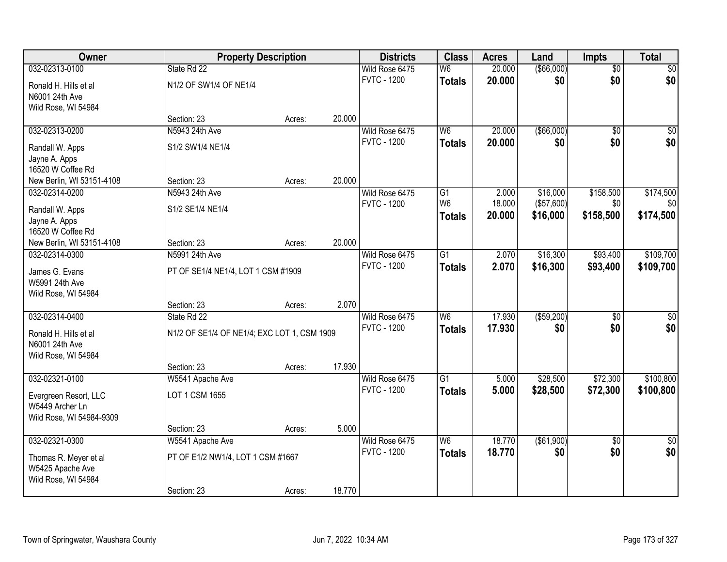| <b>Owner</b>              |                                             | <b>Property Description</b> |        | <b>Districts</b>   | <b>Class</b>    | <b>Acres</b> | Land         | <b>Impts</b>    | <b>Total</b>    |
|---------------------------|---------------------------------------------|-----------------------------|--------|--------------------|-----------------|--------------|--------------|-----------------|-----------------|
| 032-02313-0100            | State Rd 22                                 |                             |        | Wild Rose 6475     | W6              | 20.000       | ( \$66,000)  | $\overline{50}$ | $\sqrt{30}$     |
| Ronald H. Hills et al     | N1/2 OF SW1/4 OF NE1/4                      |                             |        | <b>FVTC - 1200</b> | <b>Totals</b>   | 20.000       | \$0          | \$0             | \$0             |
| N6001 24th Ave            |                                             |                             |        |                    |                 |              |              |                 |                 |
| Wild Rose, WI 54984       |                                             |                             |        |                    |                 |              |              |                 |                 |
|                           | Section: 23                                 | Acres:                      | 20.000 |                    |                 |              |              |                 |                 |
| 032-02313-0200            | N5943 24th Ave                              |                             |        | Wild Rose 6475     | W <sub>6</sub>  | 20.000       | ( \$66,000)  | $\overline{30}$ | $\sqrt{50}$     |
| Randall W. Apps           | S1/2 SW1/4 NE1/4                            |                             |        | <b>FVTC - 1200</b> | <b>Totals</b>   | 20.000       | \$0          | \$0             | \$0             |
| Jayne A. Apps             |                                             |                             |        |                    |                 |              |              |                 |                 |
| 16520 W Coffee Rd         |                                             |                             |        |                    |                 |              |              |                 |                 |
| New Berlin, WI 53151-4108 | Section: 23                                 | Acres:                      | 20.000 |                    |                 |              |              |                 |                 |
| 032-02314-0200            | N5943 24th Ave                              |                             |        | Wild Rose 6475     | G1              | 2.000        | \$16,000     | \$158,500       | \$174,500       |
| Randall W. Apps           | S1/2 SE1/4 NE1/4                            |                             |        | <b>FVTC - 1200</b> | W <sub>6</sub>  | 18.000       | (\$57,600)   | \$0             | \$0             |
| Jayne A. Apps             |                                             |                             |        |                    | <b>Totals</b>   | 20.000       | \$16,000     | \$158,500       | \$174,500       |
| 16520 W Coffee Rd         |                                             |                             |        |                    |                 |              |              |                 |                 |
| New Berlin, WI 53151-4108 | Section: 23                                 | Acres:                      | 20.000 |                    |                 |              |              |                 |                 |
| 032-02314-0300            | N5991 24th Ave                              |                             |        | Wild Rose 6475     | $\overline{G1}$ | 2.070        | \$16,300     | \$93,400        | \$109,700       |
| James G. Evans            | PT OF SE1/4 NE1/4, LOT 1 CSM #1909          |                             |        | <b>FVTC - 1200</b> | <b>Totals</b>   | 2.070        | \$16,300     | \$93,400        | \$109,700       |
| W5991 24th Ave            |                                             |                             |        |                    |                 |              |              |                 |                 |
| Wild Rose, WI 54984       |                                             |                             |        |                    |                 |              |              |                 |                 |
|                           | Section: 23                                 | Acres:                      | 2.070  |                    |                 |              |              |                 |                 |
| 032-02314-0400            | State Rd 22                                 |                             |        | Wild Rose 6475     | $\overline{W6}$ | 17.930       | ( \$59,200)  | $\overline{30}$ | $\overline{30}$ |
| Ronald H. Hills et al     | N1/2 OF SE1/4 OF NE1/4; EXC LOT 1, CSM 1909 |                             |        | <b>FVTC - 1200</b> | <b>Totals</b>   | 17.930       | \$0          | \$0             | \$0             |
| N6001 24th Ave            |                                             |                             |        |                    |                 |              |              |                 |                 |
| Wild Rose, WI 54984       |                                             |                             |        |                    |                 |              |              |                 |                 |
|                           | Section: 23                                 | Acres:                      | 17.930 |                    |                 |              |              |                 |                 |
| 032-02321-0100            | W5541 Apache Ave                            |                             |        | Wild Rose 6475     | $\overline{G1}$ | 5.000        | \$28,500     | \$72,300        | \$100,800       |
| Evergreen Resort, LLC     | LOT 1 CSM 1655                              |                             |        | <b>FVTC - 1200</b> | <b>Totals</b>   | 5.000        | \$28,500     | \$72,300        | \$100,800       |
| W5449 Archer Ln           |                                             |                             |        |                    |                 |              |              |                 |                 |
| Wild Rose, WI 54984-9309  |                                             |                             |        |                    |                 |              |              |                 |                 |
|                           | Section: 23                                 | Acres:                      | 5.000  |                    |                 |              |              |                 |                 |
| 032-02321-0300            | W5541 Apache Ave                            |                             |        | Wild Rose 6475     | W6              | 18.770       | ( \$61, 900) | $\overline{30}$ | $\overline{50}$ |
| Thomas R. Meyer et al     | PT OF E1/2 NW1/4, LOT 1 CSM #1667           |                             |        | <b>FVTC - 1200</b> | <b>Totals</b>   | 18.770       | \$0          | \$0             | \$0             |
| W5425 Apache Ave          |                                             |                             |        |                    |                 |              |              |                 |                 |
| Wild Rose, WI 54984       |                                             |                             |        |                    |                 |              |              |                 |                 |
|                           | Section: 23                                 | Acres:                      | 18.770 |                    |                 |              |              |                 |                 |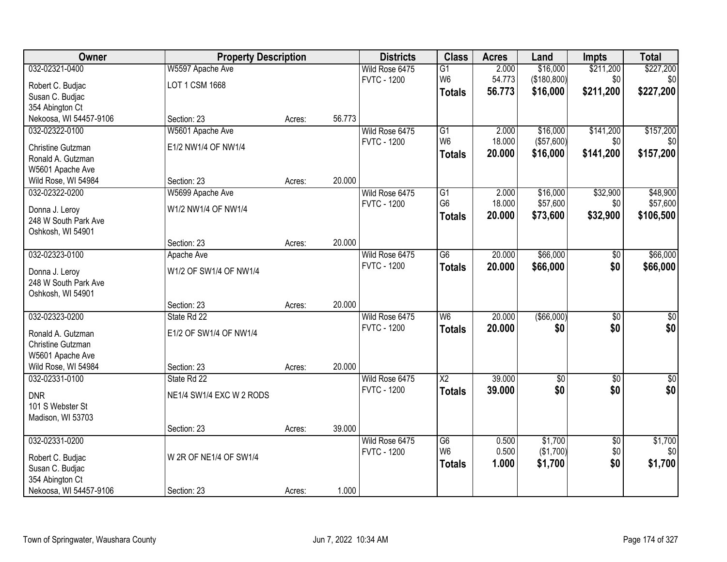| Owner                  | <b>Property Description</b> |        |        | <b>Districts</b>   | <b>Class</b>    | <b>Acres</b> | Land            | <b>Impts</b>    | <b>Total</b>    |
|------------------------|-----------------------------|--------|--------|--------------------|-----------------|--------------|-----------------|-----------------|-----------------|
| 032-02321-0400         | W5597 Apache Ave            |        |        | Wild Rose 6475     | $\overline{G1}$ | 2.000        | \$16,000        | \$211,200       | \$227,200       |
| Robert C. Budjac       | LOT 1 CSM 1668              |        |        | <b>FVTC - 1200</b> | W <sub>6</sub>  | 54.773       | (\$180, 800)    | \$0             | \$0             |
| Susan C. Budjac        |                             |        |        |                    | <b>Totals</b>   | 56.773       | \$16,000        | \$211,200       | \$227,200       |
| 354 Abington Ct        |                             |        |        |                    |                 |              |                 |                 |                 |
| Nekoosa, WI 54457-9106 | Section: 23                 | Acres: | 56.773 |                    |                 |              |                 |                 |                 |
| 032-02322-0100         | W5601 Apache Ave            |        |        | Wild Rose 6475     | $\overline{G1}$ | 2.000        | \$16,000        | \$141,200       | \$157,200       |
| Christine Gutzman      | E1/2 NW1/4 OF NW1/4         |        |        | <b>FVTC - 1200</b> | W <sub>6</sub>  | 18.000       | (\$57,600)      | \$0             | \$0             |
| Ronald A. Gutzman      |                             |        |        |                    | <b>Totals</b>   | 20.000       | \$16,000        | \$141,200       | \$157,200       |
| W5601 Apache Ave       |                             |        |        |                    |                 |              |                 |                 |                 |
| Wild Rose, WI 54984    | Section: 23                 | Acres: | 20.000 |                    |                 |              |                 |                 |                 |
| 032-02322-0200         | W5699 Apache Ave            |        |        | Wild Rose 6475     | G1              | 2.000        | \$16,000        | \$32,900        | \$48,900        |
| Donna J. Leroy         | W1/2 NW1/4 OF NW1/4         |        |        | <b>FVTC - 1200</b> | G <sub>6</sub>  | 18.000       | \$57,600        | \$0             | \$57,600        |
| 248 W South Park Ave   |                             |        |        |                    | <b>Totals</b>   | 20.000       | \$73,600        | \$32,900        | \$106,500       |
| Oshkosh, WI 54901      |                             |        |        |                    |                 |              |                 |                 |                 |
|                        | Section: 23                 | Acres: | 20.000 |                    |                 |              |                 |                 |                 |
| 032-02323-0100         | Apache Ave                  |        |        | Wild Rose 6475     | $\overline{G6}$ | 20.000       | \$66,000        | \$0             | \$66,000        |
| Donna J. Leroy         | W1/2 OF SW1/4 OF NW1/4      |        |        | <b>FVTC - 1200</b> | <b>Totals</b>   | 20.000       | \$66,000        | \$0             | \$66,000        |
| 248 W South Park Ave   |                             |        |        |                    |                 |              |                 |                 |                 |
| Oshkosh, WI 54901      |                             |        |        |                    |                 |              |                 |                 |                 |
|                        | Section: 23                 | Acres: | 20.000 |                    |                 |              |                 |                 |                 |
| 032-02323-0200         | State Rd 22                 |        |        | Wild Rose 6475     | $\overline{W6}$ | 20.000       | $($ \$66,000)   | $\overline{30}$ | $\overline{30}$ |
| Ronald A. Gutzman      | E1/2 OF SW1/4 OF NW1/4      |        |        | <b>FVTC - 1200</b> | <b>Totals</b>   | 20.000       | \$0             | \$0             | \$0             |
| Christine Gutzman      |                             |        |        |                    |                 |              |                 |                 |                 |
| W5601 Apache Ave       |                             |        |        |                    |                 |              |                 |                 |                 |
| Wild Rose, WI 54984    | Section: 23                 | Acres: | 20.000 |                    |                 |              |                 |                 |                 |
| 032-02331-0100         | State Rd 22                 |        |        | Wild Rose 6475     | $\overline{X2}$ | 39.000       | $\overline{60}$ | $\overline{50}$ | $\overline{50}$ |
| <b>DNR</b>             | NE1/4 SW1/4 EXC W 2 RODS    |        |        | <b>FVTC - 1200</b> | <b>Totals</b>   | 39.000       | \$0             | \$0             | \$0             |
| 101 S Webster St       |                             |        |        |                    |                 |              |                 |                 |                 |
| Madison, WI 53703      |                             |        |        |                    |                 |              |                 |                 |                 |
|                        | Section: 23                 | Acres: | 39.000 |                    |                 |              |                 |                 |                 |
| 032-02331-0200         |                             |        |        | Wild Rose 6475     | $\overline{G6}$ | 0.500        | \$1,700         | $\overline{50}$ | \$1,700         |
| Robert C. Budjac       | W 2R OF NE1/4 OF SW1/4      |        |        | <b>FVTC - 1200</b> | W <sub>6</sub>  | 0.500        | (\$1,700)       | \$0             | \$0             |
| Susan C. Budjac        |                             |        |        |                    | <b>Totals</b>   | 1.000        | \$1,700         | \$0             | \$1,700         |
| 354 Abington Ct        |                             |        |        |                    |                 |              |                 |                 |                 |
| Nekoosa, WI 54457-9106 | Section: 23                 | Acres: | 1.000  |                    |                 |              |                 |                 |                 |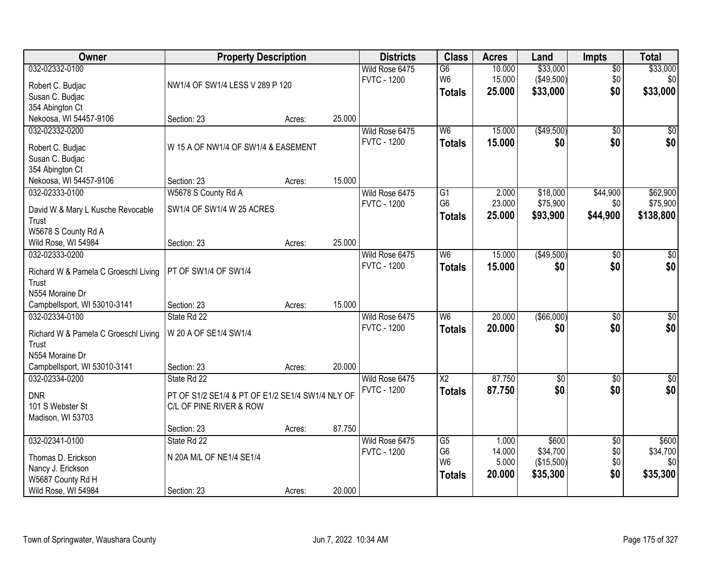| Owner                                      | <b>Property Description</b>                      |        |        | <b>Districts</b>   | <b>Class</b>    | <b>Acres</b> | Land        | <b>Impts</b>    | <b>Total</b> |
|--------------------------------------------|--------------------------------------------------|--------|--------|--------------------|-----------------|--------------|-------------|-----------------|--------------|
| 032-02332-0100                             |                                                  |        |        | Wild Rose 6475     | G6              | 10.000       | \$33,000    | $\sqrt{$0}$     | \$33,000     |
| Robert C. Budjac                           | NW1/4 OF SW1/4 LESS V 289 P 120                  |        |        | <b>FVTC - 1200</b> | W <sub>6</sub>  | 15.000       | (\$49,500)  | \$0             | \$0          |
| Susan C. Budjac                            |                                                  |        |        |                    | <b>Totals</b>   | 25.000       | \$33,000    | \$0             | \$33,000     |
| 354 Abington Ct                            |                                                  |        |        |                    |                 |              |             |                 |              |
| Nekoosa, WI 54457-9106                     | Section: 23                                      | Acres: | 25.000 |                    |                 |              |             |                 |              |
| 032-02332-0200                             |                                                  |        |        | Wild Rose 6475     | W <sub>6</sub>  | 15.000       | (\$49,500)  | $\overline{50}$ | \$0          |
| Robert C. Budjac                           | W 15 A OF NW1/4 OF SW1/4 & EASEMENT              |        |        | <b>FVTC - 1200</b> | <b>Totals</b>   | 15.000       | \$0         | \$0             | \$0          |
| Susan C. Budjac                            |                                                  |        |        |                    |                 |              |             |                 |              |
| 354 Abington Ct                            |                                                  |        |        |                    |                 |              |             |                 |              |
| Nekoosa, WI 54457-9106                     | Section: 23                                      | Acres: | 15.000 |                    |                 |              |             |                 |              |
| 032-02333-0100                             | W5678 S County Rd A                              |        |        | Wild Rose 6475     | $\overline{G1}$ | 2.000        | \$18,000    | \$44,900        | \$62,900     |
|                                            |                                                  |        |        | <b>FVTC - 1200</b> | G <sub>6</sub>  | 23.000       | \$75,900    | \$0             | \$75,900     |
| David W & Mary L Kusche Revocable          | SW1/4 OF SW1/4 W 25 ACRES                        |        |        |                    | <b>Totals</b>   | 25.000       | \$93,900    | \$44,900        | \$138,800    |
| Trust                                      |                                                  |        |        |                    |                 |              |             |                 |              |
| W5678 S County Rd A<br>Wild Rose, WI 54984 | Section: 23                                      | Acres: | 25.000 |                    |                 |              |             |                 |              |
| 032-02333-0200                             |                                                  |        |        | Wild Rose 6475     | W6              | 15.000       | (\$49,500)  | $\sqrt[6]{3}$   | $\sqrt{50}$  |
|                                            |                                                  |        |        | <b>FVTC - 1200</b> |                 | 15.000       | \$0         | \$0             | \$0          |
| Richard W & Pamela C Groeschl Living       | PT OF SW1/4 OF SW1/4                             |        |        |                    | <b>Totals</b>   |              |             |                 |              |
| Trust                                      |                                                  |        |        |                    |                 |              |             |                 |              |
| N554 Moraine Dr                            |                                                  |        |        |                    |                 |              |             |                 |              |
| Campbellsport, WI 53010-3141               | Section: 23                                      | Acres: | 15.000 |                    |                 |              |             |                 |              |
| 032-02334-0100                             | State Rd 22                                      |        |        | Wild Rose 6475     | W <sub>6</sub>  | 20.000       | (\$66,000)  | $\overline{50}$ | $\sqrt{50}$  |
| Richard W & Pamela C Groeschl Living       | W 20 A OF SE1/4 SW1/4                            |        |        | <b>FVTC - 1200</b> | <b>Totals</b>   | 20,000       | \$0         | \$0             | \$0          |
| Trust                                      |                                                  |        |        |                    |                 |              |             |                 |              |
| N554 Moraine Dr                            |                                                  |        |        |                    |                 |              |             |                 |              |
| Campbellsport, WI 53010-3141               | Section: 23                                      | Acres: | 20.000 |                    |                 |              |             |                 |              |
| 032-02334-0200                             | State Rd 22                                      |        |        | Wild Rose 6475     | $\overline{X2}$ | 87.750       | $\sqrt{$0}$ | $\overline{50}$ | \$0          |
| <b>DNR</b>                                 | PT OF S1/2 SE1/4 & PT OF E1/2 SE1/4 SW1/4 NLY OF |        |        | <b>FVTC - 1200</b> | <b>Totals</b>   | 87.750       | \$0         | \$0             | \$0          |
| 101 S Webster St                           | C/L OF PINE RIVER & ROW                          |        |        |                    |                 |              |             |                 |              |
| Madison, WI 53703                          |                                                  |        |        |                    |                 |              |             |                 |              |
|                                            | Section: 23                                      | Acres: | 87.750 |                    |                 |              |             |                 |              |
| 032-02341-0100                             | State Rd 22                                      |        |        | Wild Rose 6475     | G5              | 1.000        | \$600       | $\overline{50}$ | \$600        |
|                                            |                                                  |        |        | <b>FVTC - 1200</b> | G <sub>6</sub>  | 14.000       | \$34,700    | \$0             | \$34,700     |
| Thomas D. Erickson                         | N 20A M/L OF NE1/4 SE1/4                         |        |        |                    | W <sub>6</sub>  | 5.000        | (\$15,500)  | \$0             | \$0          |
| Nancy J. Erickson<br>W5687 County Rd H     |                                                  |        |        |                    | <b>Totals</b>   | 20.000       | \$35,300    | \$0             | \$35,300     |
| Wild Rose, WI 54984                        | Section: 23                                      | Acres: | 20.000 |                    |                 |              |             |                 |              |
|                                            |                                                  |        |        |                    |                 |              |             |                 |              |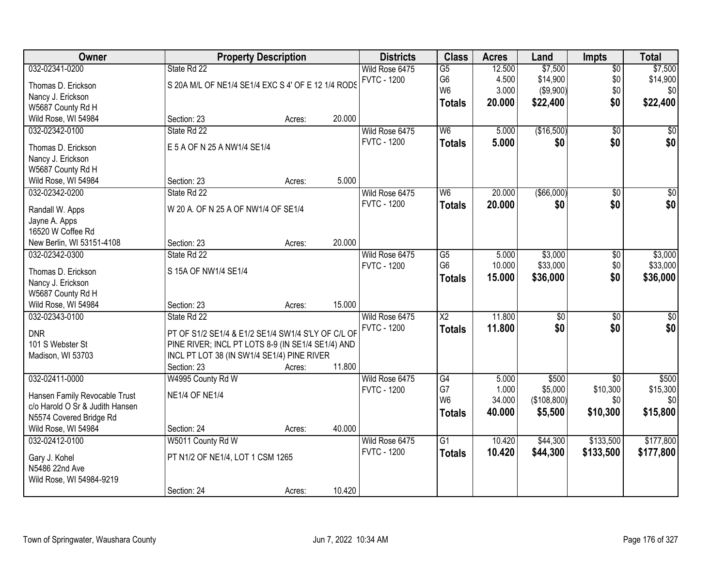| Owner                                   |                                                    | <b>Property Description</b> |        | <b>Districts</b>   | <b>Class</b>    | <b>Acres</b> | Land            | <b>Impts</b>    | <b>Total</b>     |
|-----------------------------------------|----------------------------------------------------|-----------------------------|--------|--------------------|-----------------|--------------|-----------------|-----------------|------------------|
| 032-02341-0200                          | State Rd 22                                        |                             |        | Wild Rose 6475     | $\overline{G5}$ | 12.500       | \$7,500         | $\sqrt{$0}$     | \$7,500          |
| Thomas D. Erickson                      | S 20A M/L OF NE1/4 SE1/4 EXC S 4' OF E 12 1/4 RODS |                             |        | <b>FVTC - 1200</b> | G <sub>6</sub>  | 4.500        | \$14,900        | \$0             | \$14,900         |
| Nancy J. Erickson                       |                                                    |                             |        |                    | W <sub>6</sub>  | 3.000        | (\$9,900)       | \$0             | \$0              |
| W5687 County Rd H                       |                                                    |                             |        |                    | <b>Totals</b>   | 20.000       | \$22,400        | \$0             | \$22,400         |
| Wild Rose, WI 54984                     | Section: 23                                        | Acres:                      | 20.000 |                    |                 |              |                 |                 |                  |
| 032-02342-0100                          | State Rd 22                                        |                             |        | Wild Rose 6475     | W6              | 5.000        | (\$16,500)      | $\overline{50}$ | \$0              |
|                                         |                                                    |                             |        | <b>FVTC - 1200</b> | <b>Totals</b>   | 5.000        | \$0             | \$0             | \$0              |
| Thomas D. Erickson                      | E 5 A OF N 25 A NW1/4 SE1/4                        |                             |        |                    |                 |              |                 |                 |                  |
| Nancy J. Erickson                       |                                                    |                             |        |                    |                 |              |                 |                 |                  |
| W5687 County Rd H                       |                                                    |                             | 5.000  |                    |                 |              |                 |                 |                  |
| Wild Rose, WI 54984                     | Section: 23                                        | Acres:                      |        |                    |                 |              |                 |                 |                  |
| 032-02342-0200                          | State Rd 22                                        |                             |        | Wild Rose 6475     | W <sub>6</sub>  | 20.000       | ( \$66,000)     | \$0             | $\overline{\$0}$ |
| Randall W. Apps                         | W 20 A. OF N 25 A OF NW1/4 OF SE1/4                |                             |        | <b>FVTC - 1200</b> | <b>Totals</b>   | 20.000       | \$0             | \$0             | \$0              |
| Jayne A. Apps                           |                                                    |                             |        |                    |                 |              |                 |                 |                  |
| 16520 W Coffee Rd                       |                                                    |                             |        |                    |                 |              |                 |                 |                  |
| New Berlin, WI 53151-4108               | Section: 23                                        | Acres:                      | 20.000 |                    |                 |              |                 |                 |                  |
| 032-02342-0300                          | State Rd 22                                        |                             |        | Wild Rose 6475     | G5              | 5.000        | \$3,000         | \$0             | \$3,000          |
|                                         | S 15A OF NW1/4 SE1/4                               |                             |        | <b>FVTC - 1200</b> | G <sub>6</sub>  | 10.000       | \$33,000        | \$0             | \$33,000         |
| Thomas D. Erickson<br>Nancy J. Erickson |                                                    |                             |        |                    | <b>Totals</b>   | 15.000       | \$36,000        | \$0             | \$36,000         |
| W5687 County Rd H                       |                                                    |                             |        |                    |                 |              |                 |                 |                  |
| Wild Rose, WI 54984                     | Section: 23                                        | Acres:                      | 15.000 |                    |                 |              |                 |                 |                  |
| 032-02343-0100                          | State Rd 22                                        |                             |        | Wild Rose 6475     | $\overline{X2}$ | 11.800       | $\overline{50}$ | $\overline{50}$ | $\sqrt{50}$      |
|                                         |                                                    |                             |        | <b>FVTC - 1200</b> |                 | 11.800       | \$0             | \$0             | \$0              |
| <b>DNR</b>                              | PT OF S1/2 SE1/4 & E1/2 SE1/4 SW1/4 S'LY OF C/L OF |                             |        |                    | <b>Totals</b>   |              |                 |                 |                  |
| 101 S Webster St                        | PINE RIVER; INCL PT LOTS 8-9 (IN SE1/4 SE1/4) AND  |                             |        |                    |                 |              |                 |                 |                  |
| Madison, WI 53703                       | INCL PT LOT 38 (IN SW1/4 SE1/4) PINE RIVER         |                             |        |                    |                 |              |                 |                 |                  |
|                                         | Section: 23                                        | Acres:                      | 11.800 |                    |                 |              |                 |                 |                  |
| 032-02411-0000                          | W4995 County Rd W                                  |                             |        | Wild Rose 6475     | G4              | 5.000        | \$500           | $\sqrt{$0}$     | \$500            |
| Hansen Family Revocable Trust           | <b>NE1/4 OF NE1/4</b>                              |                             |        | <b>FVTC - 1200</b> | G7              | 1.000        | \$5,000         | \$10,300        | \$15,300         |
| c/o Harold O Sr & Judith Hansen         |                                                    |                             |        |                    | W <sub>6</sub>  | 34.000       | (\$108,800)     | \$0             | \$0              |
| N5574 Covered Bridge Rd                 |                                                    |                             |        |                    | <b>Totals</b>   | 40,000       | \$5,500         | \$10,300        | \$15,800         |
| Wild Rose, WI 54984                     | Section: 24                                        | Acres:                      | 40.000 |                    |                 |              |                 |                 |                  |
| 032-02412-0100                          | W5011 County Rd W                                  |                             |        | Wild Rose 6475     | $\overline{G1}$ | 10.420       | \$44,300        | \$133,500       | \$177,800        |
|                                         |                                                    |                             |        | <b>FVTC - 1200</b> | <b>Totals</b>   | 10.420       | \$44,300        | \$133,500       | \$177,800        |
| Gary J. Kohel                           | PT N1/2 OF NE1/4, LOT 1 CSM 1265                   |                             |        |                    |                 |              |                 |                 |                  |
| N5486 22nd Ave                          |                                                    |                             |        |                    |                 |              |                 |                 |                  |
| Wild Rose, WI 54984-9219                |                                                    |                             |        |                    |                 |              |                 |                 |                  |
|                                         | Section: 24                                        | Acres:                      | 10.420 |                    |                 |              |                 |                 |                  |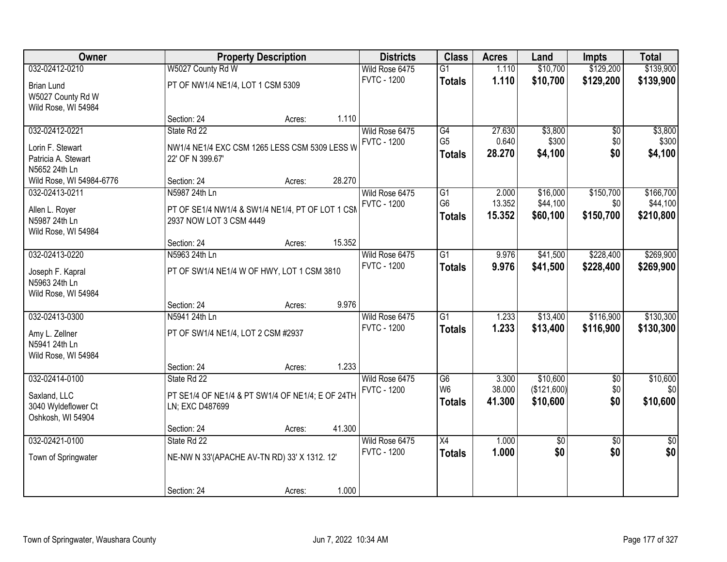| Owner                    |                                                  | <b>Property Description</b> |        | <b>Districts</b>   | <b>Class</b>    | <b>Acres</b> | Land        | <b>Impts</b>    | <b>Total</b>    |
|--------------------------|--------------------------------------------------|-----------------------------|--------|--------------------|-----------------|--------------|-------------|-----------------|-----------------|
| 032-02412-0210           | W5027 County Rd W                                |                             |        | Wild Rose 6475     | $\overline{G1}$ | 1.110        | \$10,700    | \$129,200       | \$139,900       |
| <b>Brian Lund</b>        | PT OF NW1/4 NE1/4, LOT 1 CSM 5309                |                             |        | <b>FVTC - 1200</b> | <b>Totals</b>   | 1.110        | \$10,700    | \$129,200       | \$139,900       |
| W5027 County Rd W        |                                                  |                             |        |                    |                 |              |             |                 |                 |
| Wild Rose, WI 54984      |                                                  |                             |        |                    |                 |              |             |                 |                 |
|                          | Section: 24                                      | Acres:                      | 1.110  |                    |                 |              |             |                 |                 |
| 032-02412-0221           | State Rd 22                                      |                             |        | Wild Rose 6475     | G4              | 27.630       | \$3,800     | \$0             | \$3,800         |
| Lorin F. Stewart         | NW1/4 NE1/4 EXC CSM 1265 LESS CSM 5309 LESS W    |                             |        | <b>FVTC - 1200</b> | G <sub>5</sub>  | 0.640        | \$300       | \$0             | \$300           |
| Patricia A. Stewart      | 22' OF N 399.67'                                 |                             |        |                    | <b>Totals</b>   | 28.270       | \$4,100     | \$0             | \$4,100         |
| N5652 24th Ln            |                                                  |                             |        |                    |                 |              |             |                 |                 |
| Wild Rose, WI 54984-6776 | Section: 24                                      | Acres:                      | 28.270 |                    |                 |              |             |                 |                 |
| 032-02413-0211           | N5987 24th Ln                                    |                             |        | Wild Rose 6475     | G1              | 2.000        | \$16,000    | \$150,700       | \$166,700       |
| Allen L. Royer           | PT OF SE1/4 NW1/4 & SW1/4 NE1/4, PT OF LOT 1 CSM |                             |        | <b>FVTC - 1200</b> | G <sub>6</sub>  | 13.352       | \$44,100    | \$0             | \$44,100        |
| N5987 24th Ln            | 2937 NOW LOT 3 CSM 4449                          |                             |        |                    | <b>Totals</b>   | 15.352       | \$60,100    | \$150,700       | \$210,800       |
| Wild Rose, WI 54984      |                                                  |                             |        |                    |                 |              |             |                 |                 |
|                          | Section: 24                                      | Acres:                      | 15.352 |                    |                 |              |             |                 |                 |
| 032-02413-0220           | N5963 24th Ln                                    |                             |        | Wild Rose 6475     | $\overline{G1}$ | 9.976        | \$41,500    | \$228,400       | \$269,900       |
| Joseph F. Kapral         | PT OF SW1/4 NE1/4 W OF HWY, LOT 1 CSM 3810       |                             |        | <b>FVTC - 1200</b> | <b>Totals</b>   | 9.976        | \$41,500    | \$228,400       | \$269,900       |
| N5963 24th Ln            |                                                  |                             |        |                    |                 |              |             |                 |                 |
| Wild Rose, WI 54984      |                                                  |                             |        |                    |                 |              |             |                 |                 |
|                          | Section: 24                                      | Acres:                      | 9.976  |                    |                 |              |             |                 |                 |
| 032-02413-0300           | N5941 24th Ln                                    |                             |        | Wild Rose 6475     | $\overline{G1}$ | 1.233        | \$13,400    | \$116,900       | \$130,300       |
| Amy L. Zellner           | PT OF SW1/4 NE1/4, LOT 2 CSM #2937               |                             |        | <b>FVTC - 1200</b> | <b>Totals</b>   | 1.233        | \$13,400    | \$116,900       | \$130,300       |
| N5941 24th Ln            |                                                  |                             |        |                    |                 |              |             |                 |                 |
| Wild Rose, WI 54984      |                                                  |                             |        |                    |                 |              |             |                 |                 |
|                          | Section: 24                                      | Acres:                      | 1.233  |                    |                 |              |             |                 |                 |
| 032-02414-0100           | State Rd 22                                      |                             |        | Wild Rose 6475     | $\overline{G6}$ | 3.300        | \$10,600    | $\overline{50}$ | \$10,600        |
| Saxland, LLC             | PT SE1/4 OF NE1/4 & PT SW1/4 OF NE1/4; E OF 24TH |                             |        | <b>FVTC - 1200</b> | W <sub>6</sub>  | 38.000       | (\$121,600) | \$0             | \$0             |
| 3040 Wyldeflower Ct      | LN; EXC D487699                                  |                             |        |                    | <b>Totals</b>   | 41.300       | \$10,600    | \$0             | \$10,600        |
| Oshkosh, WI 54904        |                                                  |                             |        |                    |                 |              |             |                 |                 |
|                          | Section: 24                                      | Acres:                      | 41.300 |                    |                 |              |             |                 |                 |
| 032-02421-0100           | State Rd 22                                      |                             |        | Wild Rose 6475     | X4              | 1.000        | \$0         | $\overline{50}$ | $\overline{50}$ |
| Town of Springwater      | NE-NW N 33'(APACHE AV-TN RD) 33' X 1312. 12'     |                             |        | <b>FVTC - 1200</b> | <b>Totals</b>   | 1.000        | \$0         | \$0             | \$0             |
|                          |                                                  |                             |        |                    |                 |              |             |                 |                 |
|                          |                                                  |                             |        |                    |                 |              |             |                 |                 |
|                          | Section: 24                                      | Acres:                      | 1.000  |                    |                 |              |             |                 |                 |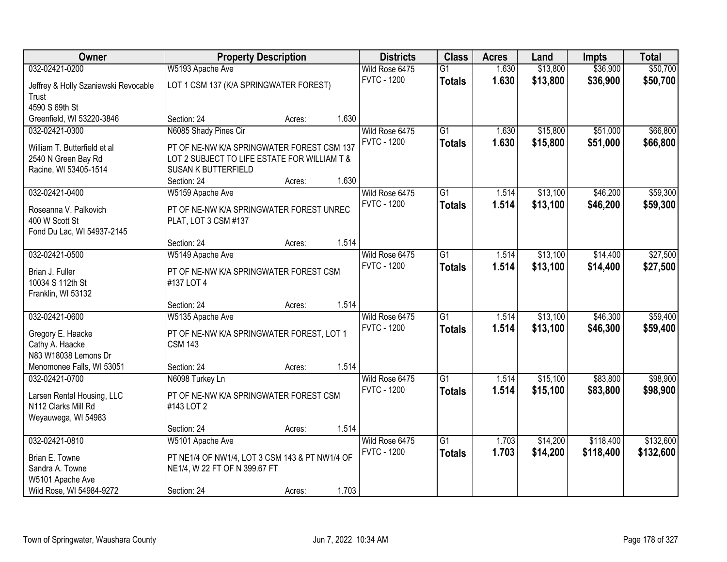| 032-02421-0200<br>\$50,700<br>W5193 Apache Ave<br>Wild Rose 6475<br>$\overline{G1}$<br>1.630<br>\$13,800<br>\$36,900<br>1.630<br><b>FVTC - 1200</b><br>\$13,800<br>\$36,900<br>\$50,700<br><b>Totals</b><br>LOT 1 CSM 137 (K/A SPRINGWATER FOREST)<br>Jeffrey & Holly Szaniawski Revocable<br>Trust<br>4590 S 69th St<br>Greenfield, WI 53220-3846<br>1.630<br>Section: 24<br>Acres:<br>\$51,000<br>N6085 Shady Pines Cir<br>\$15,800<br>032-02421-0300<br>Wild Rose 6475<br>$\overline{G1}$<br>1.630<br><b>FVTC - 1200</b><br>1.630<br>\$15,800<br>\$51,000<br>\$66,800<br><b>Totals</b><br>PT OF NE-NW K/A SPRINGWATER FOREST CSM 137<br>William T. Butterfield et al.<br>2540 N Green Bay Rd<br>LOT 2 SUBJECT TO LIFE ESTATE FOR WILLIAM T &<br>Racine, WI 53405-1514<br><b>SUSAN K BUTTERFIELD</b><br>1.630<br>Section: 24<br>Acres:<br>032-02421-0400<br>$\overline{G1}$<br>\$13,100<br>\$46,200<br>Wild Rose 6475<br>1.514<br>W5159 Apache Ave<br><b>FVTC - 1200</b><br>1.514<br>\$13,100<br><b>Totals</b><br>\$46,200<br>Roseanna V. Palkovich<br>PT OF NE-NW K/A SPRINGWATER FOREST UNREC<br>400 W Scott St<br>PLAT, LOT 3 CSM #137<br>Fond Du Lac, WI 54937-2145<br>1.514<br>Section: 24<br>Acres:<br>\$13,100<br>\$14,400<br>032-02421-0500<br>Wild Rose 6475<br>$\overline{G1}$<br>1.514<br>W5149 Apache Ave<br><b>FVTC - 1200</b><br>1.514<br>\$13,100<br>\$14,400<br><b>Totals</b><br>PT OF NE-NW K/A SPRINGWATER FOREST CSM<br>Brian J. Fuller<br>10034 S 112th St<br>#137 LOT 4<br>Franklin, WI 53132<br>1.514<br>Section: 24<br>Acres:<br>032-02421-0600<br>$\overline{G1}$<br>\$13,100<br>\$46,300<br>1.514<br>W5135 Apache Ave<br>Wild Rose 6475<br><b>FVTC - 1200</b><br>1.514<br>\$13,100<br>\$46,300<br>\$59,400<br><b>Totals</b><br>PT OF NE-NW K/A SPRINGWATER FOREST, LOT 1<br>Gregory E. Haacke<br>Cathy A. Haacke<br><b>CSM 143</b><br>N83 W18038 Lemons Dr<br>1.514<br>Menomonee Falls, WI 53051<br>Section: 24<br>Acres:<br>\$83,800<br>032-02421-0700<br>$\overline{G1}$<br>\$15,100<br>N6098 Turkey Ln<br>Wild Rose 6475<br>1.514<br><b>FVTC - 1200</b><br>1.514<br>\$15,100<br>\$83,800<br>\$98,900<br><b>Totals</b><br>Larsen Rental Housing, LLC<br>PT OF NE-NW K/A SPRINGWATER FOREST CSM | Owner               | <b>Property Description</b> |  | <b>Districts</b> | <b>Class</b> | <b>Acres</b> | Land | <b>Impts</b> | <b>Total</b> |
|-----------------------------------------------------------------------------------------------------------------------------------------------------------------------------------------------------------------------------------------------------------------------------------------------------------------------------------------------------------------------------------------------------------------------------------------------------------------------------------------------------------------------------------------------------------------------------------------------------------------------------------------------------------------------------------------------------------------------------------------------------------------------------------------------------------------------------------------------------------------------------------------------------------------------------------------------------------------------------------------------------------------------------------------------------------------------------------------------------------------------------------------------------------------------------------------------------------------------------------------------------------------------------------------------------------------------------------------------------------------------------------------------------------------------------------------------------------------------------------------------------------------------------------------------------------------------------------------------------------------------------------------------------------------------------------------------------------------------------------------------------------------------------------------------------------------------------------------------------------------------------------------------------------------------------------------------------------------------------------------------------------------------------------------------------------------------------------------------------------------------------------------------------------------------------------------------------------------------------|---------------------|-----------------------------|--|------------------|--------------|--------------|------|--------------|--------------|
|                                                                                                                                                                                                                                                                                                                                                                                                                                                                                                                                                                                                                                                                                                                                                                                                                                                                                                                                                                                                                                                                                                                                                                                                                                                                                                                                                                                                                                                                                                                                                                                                                                                                                                                                                                                                                                                                                                                                                                                                                                                                                                                                                                                                                             |                     |                             |  |                  |              |              |      |              |              |
| \$66,800                                                                                                                                                                                                                                                                                                                                                                                                                                                                                                                                                                                                                                                                                                                                                                                                                                                                                                                                                                                                                                                                                                                                                                                                                                                                                                                                                                                                                                                                                                                                                                                                                                                                                                                                                                                                                                                                                                                                                                                                                                                                                                                                                                                                                    |                     |                             |  |                  |              |              |      |              |              |
|                                                                                                                                                                                                                                                                                                                                                                                                                                                                                                                                                                                                                                                                                                                                                                                                                                                                                                                                                                                                                                                                                                                                                                                                                                                                                                                                                                                                                                                                                                                                                                                                                                                                                                                                                                                                                                                                                                                                                                                                                                                                                                                                                                                                                             |                     |                             |  |                  |              |              |      |              |              |
|                                                                                                                                                                                                                                                                                                                                                                                                                                                                                                                                                                                                                                                                                                                                                                                                                                                                                                                                                                                                                                                                                                                                                                                                                                                                                                                                                                                                                                                                                                                                                                                                                                                                                                                                                                                                                                                                                                                                                                                                                                                                                                                                                                                                                             |                     |                             |  |                  |              |              |      |              |              |
| \$59,300<br>\$59,300<br>\$27,500<br>\$27,500<br>\$59,400<br>\$98,900                                                                                                                                                                                                                                                                                                                                                                                                                                                                                                                                                                                                                                                                                                                                                                                                                                                                                                                                                                                                                                                                                                                                                                                                                                                                                                                                                                                                                                                                                                                                                                                                                                                                                                                                                                                                                                                                                                                                                                                                                                                                                                                                                        |                     |                             |  |                  |              |              |      |              |              |
|                                                                                                                                                                                                                                                                                                                                                                                                                                                                                                                                                                                                                                                                                                                                                                                                                                                                                                                                                                                                                                                                                                                                                                                                                                                                                                                                                                                                                                                                                                                                                                                                                                                                                                                                                                                                                                                                                                                                                                                                                                                                                                                                                                                                                             |                     |                             |  |                  |              |              |      |              |              |
|                                                                                                                                                                                                                                                                                                                                                                                                                                                                                                                                                                                                                                                                                                                                                                                                                                                                                                                                                                                                                                                                                                                                                                                                                                                                                                                                                                                                                                                                                                                                                                                                                                                                                                                                                                                                                                                                                                                                                                                                                                                                                                                                                                                                                             |                     |                             |  |                  |              |              |      |              |              |
|                                                                                                                                                                                                                                                                                                                                                                                                                                                                                                                                                                                                                                                                                                                                                                                                                                                                                                                                                                                                                                                                                                                                                                                                                                                                                                                                                                                                                                                                                                                                                                                                                                                                                                                                                                                                                                                                                                                                                                                                                                                                                                                                                                                                                             |                     |                             |  |                  |              |              |      |              |              |
|                                                                                                                                                                                                                                                                                                                                                                                                                                                                                                                                                                                                                                                                                                                                                                                                                                                                                                                                                                                                                                                                                                                                                                                                                                                                                                                                                                                                                                                                                                                                                                                                                                                                                                                                                                                                                                                                                                                                                                                                                                                                                                                                                                                                                             |                     |                             |  |                  |              |              |      |              |              |
|                                                                                                                                                                                                                                                                                                                                                                                                                                                                                                                                                                                                                                                                                                                                                                                                                                                                                                                                                                                                                                                                                                                                                                                                                                                                                                                                                                                                                                                                                                                                                                                                                                                                                                                                                                                                                                                                                                                                                                                                                                                                                                                                                                                                                             |                     |                             |  |                  |              |              |      |              |              |
|                                                                                                                                                                                                                                                                                                                                                                                                                                                                                                                                                                                                                                                                                                                                                                                                                                                                                                                                                                                                                                                                                                                                                                                                                                                                                                                                                                                                                                                                                                                                                                                                                                                                                                                                                                                                                                                                                                                                                                                                                                                                                                                                                                                                                             |                     |                             |  |                  |              |              |      |              |              |
|                                                                                                                                                                                                                                                                                                                                                                                                                                                                                                                                                                                                                                                                                                                                                                                                                                                                                                                                                                                                                                                                                                                                                                                                                                                                                                                                                                                                                                                                                                                                                                                                                                                                                                                                                                                                                                                                                                                                                                                                                                                                                                                                                                                                                             |                     |                             |  |                  |              |              |      |              |              |
|                                                                                                                                                                                                                                                                                                                                                                                                                                                                                                                                                                                                                                                                                                                                                                                                                                                                                                                                                                                                                                                                                                                                                                                                                                                                                                                                                                                                                                                                                                                                                                                                                                                                                                                                                                                                                                                                                                                                                                                                                                                                                                                                                                                                                             |                     |                             |  |                  |              |              |      |              |              |
|                                                                                                                                                                                                                                                                                                                                                                                                                                                                                                                                                                                                                                                                                                                                                                                                                                                                                                                                                                                                                                                                                                                                                                                                                                                                                                                                                                                                                                                                                                                                                                                                                                                                                                                                                                                                                                                                                                                                                                                                                                                                                                                                                                                                                             |                     |                             |  |                  |              |              |      |              |              |
|                                                                                                                                                                                                                                                                                                                                                                                                                                                                                                                                                                                                                                                                                                                                                                                                                                                                                                                                                                                                                                                                                                                                                                                                                                                                                                                                                                                                                                                                                                                                                                                                                                                                                                                                                                                                                                                                                                                                                                                                                                                                                                                                                                                                                             |                     |                             |  |                  |              |              |      |              |              |
|                                                                                                                                                                                                                                                                                                                                                                                                                                                                                                                                                                                                                                                                                                                                                                                                                                                                                                                                                                                                                                                                                                                                                                                                                                                                                                                                                                                                                                                                                                                                                                                                                                                                                                                                                                                                                                                                                                                                                                                                                                                                                                                                                                                                                             |                     |                             |  |                  |              |              |      |              |              |
|                                                                                                                                                                                                                                                                                                                                                                                                                                                                                                                                                                                                                                                                                                                                                                                                                                                                                                                                                                                                                                                                                                                                                                                                                                                                                                                                                                                                                                                                                                                                                                                                                                                                                                                                                                                                                                                                                                                                                                                                                                                                                                                                                                                                                             |                     |                             |  |                  |              |              |      |              |              |
|                                                                                                                                                                                                                                                                                                                                                                                                                                                                                                                                                                                                                                                                                                                                                                                                                                                                                                                                                                                                                                                                                                                                                                                                                                                                                                                                                                                                                                                                                                                                                                                                                                                                                                                                                                                                                                                                                                                                                                                                                                                                                                                                                                                                                             |                     |                             |  |                  |              |              |      |              |              |
|                                                                                                                                                                                                                                                                                                                                                                                                                                                                                                                                                                                                                                                                                                                                                                                                                                                                                                                                                                                                                                                                                                                                                                                                                                                                                                                                                                                                                                                                                                                                                                                                                                                                                                                                                                                                                                                                                                                                                                                                                                                                                                                                                                                                                             |                     |                             |  |                  |              |              |      |              |              |
|                                                                                                                                                                                                                                                                                                                                                                                                                                                                                                                                                                                                                                                                                                                                                                                                                                                                                                                                                                                                                                                                                                                                                                                                                                                                                                                                                                                                                                                                                                                                                                                                                                                                                                                                                                                                                                                                                                                                                                                                                                                                                                                                                                                                                             |                     |                             |  |                  |              |              |      |              |              |
|                                                                                                                                                                                                                                                                                                                                                                                                                                                                                                                                                                                                                                                                                                                                                                                                                                                                                                                                                                                                                                                                                                                                                                                                                                                                                                                                                                                                                                                                                                                                                                                                                                                                                                                                                                                                                                                                                                                                                                                                                                                                                                                                                                                                                             |                     |                             |  |                  |              |              |      |              |              |
|                                                                                                                                                                                                                                                                                                                                                                                                                                                                                                                                                                                                                                                                                                                                                                                                                                                                                                                                                                                                                                                                                                                                                                                                                                                                                                                                                                                                                                                                                                                                                                                                                                                                                                                                                                                                                                                                                                                                                                                                                                                                                                                                                                                                                             |                     |                             |  |                  |              |              |      |              |              |
|                                                                                                                                                                                                                                                                                                                                                                                                                                                                                                                                                                                                                                                                                                                                                                                                                                                                                                                                                                                                                                                                                                                                                                                                                                                                                                                                                                                                                                                                                                                                                                                                                                                                                                                                                                                                                                                                                                                                                                                                                                                                                                                                                                                                                             |                     |                             |  |                  |              |              |      |              |              |
|                                                                                                                                                                                                                                                                                                                                                                                                                                                                                                                                                                                                                                                                                                                                                                                                                                                                                                                                                                                                                                                                                                                                                                                                                                                                                                                                                                                                                                                                                                                                                                                                                                                                                                                                                                                                                                                                                                                                                                                                                                                                                                                                                                                                                             |                     |                             |  |                  |              |              |      |              |              |
|                                                                                                                                                                                                                                                                                                                                                                                                                                                                                                                                                                                                                                                                                                                                                                                                                                                                                                                                                                                                                                                                                                                                                                                                                                                                                                                                                                                                                                                                                                                                                                                                                                                                                                                                                                                                                                                                                                                                                                                                                                                                                                                                                                                                                             |                     |                             |  |                  |              |              |      |              |              |
|                                                                                                                                                                                                                                                                                                                                                                                                                                                                                                                                                                                                                                                                                                                                                                                                                                                                                                                                                                                                                                                                                                                                                                                                                                                                                                                                                                                                                                                                                                                                                                                                                                                                                                                                                                                                                                                                                                                                                                                                                                                                                                                                                                                                                             |                     |                             |  |                  |              |              |      |              |              |
|                                                                                                                                                                                                                                                                                                                                                                                                                                                                                                                                                                                                                                                                                                                                                                                                                                                                                                                                                                                                                                                                                                                                                                                                                                                                                                                                                                                                                                                                                                                                                                                                                                                                                                                                                                                                                                                                                                                                                                                                                                                                                                                                                                                                                             |                     |                             |  |                  |              |              |      |              |              |
|                                                                                                                                                                                                                                                                                                                                                                                                                                                                                                                                                                                                                                                                                                                                                                                                                                                                                                                                                                                                                                                                                                                                                                                                                                                                                                                                                                                                                                                                                                                                                                                                                                                                                                                                                                                                                                                                                                                                                                                                                                                                                                                                                                                                                             |                     |                             |  |                  |              |              |      |              |              |
|                                                                                                                                                                                                                                                                                                                                                                                                                                                                                                                                                                                                                                                                                                                                                                                                                                                                                                                                                                                                                                                                                                                                                                                                                                                                                                                                                                                                                                                                                                                                                                                                                                                                                                                                                                                                                                                                                                                                                                                                                                                                                                                                                                                                                             | N112 Clarks Mill Rd | #143 LOT 2                  |  |                  |              |              |      |              |              |
| Weyauwega, WI 54983                                                                                                                                                                                                                                                                                                                                                                                                                                                                                                                                                                                                                                                                                                                                                                                                                                                                                                                                                                                                                                                                                                                                                                                                                                                                                                                                                                                                                                                                                                                                                                                                                                                                                                                                                                                                                                                                                                                                                                                                                                                                                                                                                                                                         |                     |                             |  |                  |              |              |      |              |              |
| 1.514<br>Section: 24<br>Acres:                                                                                                                                                                                                                                                                                                                                                                                                                                                                                                                                                                                                                                                                                                                                                                                                                                                                                                                                                                                                                                                                                                                                                                                                                                                                                                                                                                                                                                                                                                                                                                                                                                                                                                                                                                                                                                                                                                                                                                                                                                                                                                                                                                                              |                     |                             |  |                  |              |              |      |              |              |
| 032-02421-0810<br>$\overline{G1}$<br>\$118,400<br>\$132,600<br>W5101 Apache Ave<br>Wild Rose 6475<br>1.703<br>\$14,200                                                                                                                                                                                                                                                                                                                                                                                                                                                                                                                                                                                                                                                                                                                                                                                                                                                                                                                                                                                                                                                                                                                                                                                                                                                                                                                                                                                                                                                                                                                                                                                                                                                                                                                                                                                                                                                                                                                                                                                                                                                                                                      |                     |                             |  |                  |              |              |      |              |              |
| <b>FVTC - 1200</b><br>1.703<br>\$14,200<br>\$118,400<br>\$132,600<br><b>Totals</b>                                                                                                                                                                                                                                                                                                                                                                                                                                                                                                                                                                                                                                                                                                                                                                                                                                                                                                                                                                                                                                                                                                                                                                                                                                                                                                                                                                                                                                                                                                                                                                                                                                                                                                                                                                                                                                                                                                                                                                                                                                                                                                                                          |                     |                             |  |                  |              |              |      |              |              |
| Brian E. Towne<br>PT NE1/4 OF NW1/4, LOT 3 CSM 143 & PT NW1/4 OF<br>Sandra A. Towne                                                                                                                                                                                                                                                                                                                                                                                                                                                                                                                                                                                                                                                                                                                                                                                                                                                                                                                                                                                                                                                                                                                                                                                                                                                                                                                                                                                                                                                                                                                                                                                                                                                                                                                                                                                                                                                                                                                                                                                                                                                                                                                                         |                     |                             |  |                  |              |              |      |              |              |
| NE1/4, W 22 FT OF N 399.67 FT<br>W5101 Apache Ave                                                                                                                                                                                                                                                                                                                                                                                                                                                                                                                                                                                                                                                                                                                                                                                                                                                                                                                                                                                                                                                                                                                                                                                                                                                                                                                                                                                                                                                                                                                                                                                                                                                                                                                                                                                                                                                                                                                                                                                                                                                                                                                                                                           |                     |                             |  |                  |              |              |      |              |              |
| 1.703<br>Wild Rose, WI 54984-9272<br>Section: 24<br>Acres:                                                                                                                                                                                                                                                                                                                                                                                                                                                                                                                                                                                                                                                                                                                                                                                                                                                                                                                                                                                                                                                                                                                                                                                                                                                                                                                                                                                                                                                                                                                                                                                                                                                                                                                                                                                                                                                                                                                                                                                                                                                                                                                                                                  |                     |                             |  |                  |              |              |      |              |              |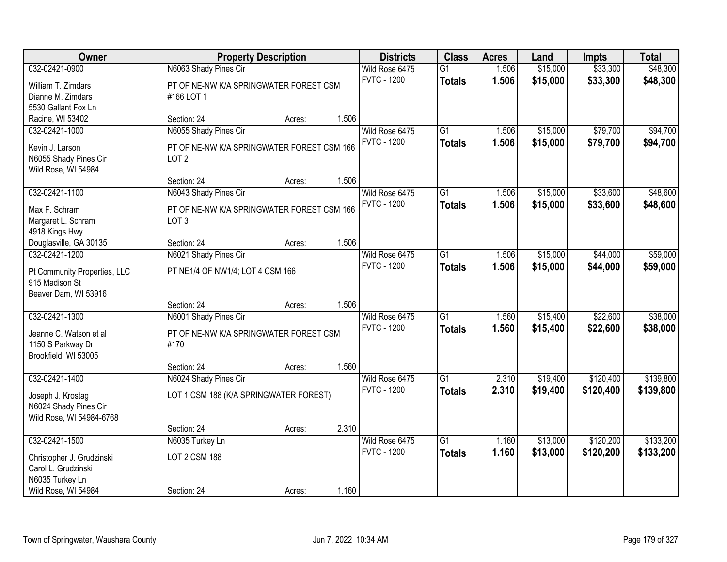| Owner                                  |                                            | <b>Property Description</b> |       | <b>Districts</b>   | <b>Class</b>    | <b>Acres</b> | Land     | <b>Impts</b> | <b>Total</b> |
|----------------------------------------|--------------------------------------------|-----------------------------|-------|--------------------|-----------------|--------------|----------|--------------|--------------|
| 032-02421-0900                         | N6063 Shady Pines Cir                      |                             |       | Wild Rose 6475     | $\overline{G1}$ | 1.506        | \$15,000 | \$33,300     | \$48,300     |
| William T. Zimdars                     | PT OF NE-NW K/A SPRINGWATER FOREST CSM     |                             |       | <b>FVTC - 1200</b> | <b>Totals</b>   | 1.506        | \$15,000 | \$33,300     | \$48,300     |
| Dianne M. Zimdars                      | #166 LOT 1                                 |                             |       |                    |                 |              |          |              |              |
| 5530 Gallant Fox Ln                    |                                            |                             |       |                    |                 |              |          |              |              |
| Racine, WI 53402                       | Section: 24                                | Acres:                      | 1.506 |                    |                 |              |          |              |              |
| 032-02421-1000                         | N6055 Shady Pines Cir                      |                             |       | Wild Rose 6475     | $\overline{G1}$ | 1.506        | \$15,000 | \$79,700     | \$94,700     |
| Kevin J. Larson                        | PT OF NE-NW K/A SPRINGWATER FOREST CSM 166 |                             |       | <b>FVTC - 1200</b> | <b>Totals</b>   | 1.506        | \$15,000 | \$79,700     | \$94,700     |
| N6055 Shady Pines Cir                  | LOT <sub>2</sub>                           |                             |       |                    |                 |              |          |              |              |
| Wild Rose, WI 54984                    |                                            |                             |       |                    |                 |              |          |              |              |
|                                        | Section: 24                                | Acres:                      | 1.506 |                    |                 |              |          |              |              |
| 032-02421-1100                         | N6043 Shady Pines Cir                      |                             |       | Wild Rose 6475     | G1              | 1.506        | \$15,000 | \$33,600     | \$48,600     |
| Max F. Schram                          | PT OF NE-NW K/A SPRINGWATER FOREST CSM 166 |                             |       | <b>FVTC - 1200</b> | <b>Totals</b>   | 1.506        | \$15,000 | \$33,600     | \$48,600     |
| Margaret L. Schram                     | LOT <sub>3</sub>                           |                             |       |                    |                 |              |          |              |              |
| 4918 Kings Hwy                         |                                            |                             |       |                    |                 |              |          |              |              |
| Douglasville, GA 30135                 | Section: 24                                | Acres:                      | 1.506 |                    |                 |              |          |              |              |
| 032-02421-1200                         | N6021 Shady Pines Cir                      |                             |       | Wild Rose 6475     | G1              | 1.506        | \$15,000 | \$44,000     | \$59,000     |
|                                        |                                            |                             |       | <b>FVTC - 1200</b> | <b>Totals</b>   | 1.506        | \$15,000 | \$44,000     | \$59,000     |
| Pt Community Properties, LLC           | PT NE1/4 OF NW1/4; LOT 4 CSM 166           |                             |       |                    |                 |              |          |              |              |
| 915 Madison St<br>Beaver Dam, WI 53916 |                                            |                             |       |                    |                 |              |          |              |              |
|                                        | Section: 24                                | Acres:                      | 1.506 |                    |                 |              |          |              |              |
| 032-02421-1300                         | N6001 Shady Pines Cir                      |                             |       | Wild Rose 6475     | $\overline{G1}$ | 1.560        | \$15,400 | \$22,600     | \$38,000     |
|                                        |                                            |                             |       | <b>FVTC - 1200</b> | <b>Totals</b>   | 1.560        | \$15,400 | \$22,600     | \$38,000     |
| Jeanne C. Watson et al                 | PT OF NE-NW K/A SPRINGWATER FOREST CSM     |                             |       |                    |                 |              |          |              |              |
| 1150 S Parkway Dr                      | #170                                       |                             |       |                    |                 |              |          |              |              |
| Brookfield, WI 53005                   |                                            |                             |       |                    |                 |              |          |              |              |
|                                        | Section: 24                                | Acres:                      | 1.560 |                    |                 |              |          |              |              |
| 032-02421-1400                         | N6024 Shady Pines Cir                      |                             |       | Wild Rose 6475     | $\overline{G1}$ | 2.310        | \$19,400 | \$120,400    | \$139,800    |
| Joseph J. Krostag                      | LOT 1 CSM 188 (K/A SPRINGWATER FOREST)     |                             |       | <b>FVTC - 1200</b> | <b>Totals</b>   | 2.310        | \$19,400 | \$120,400    | \$139,800    |
| N6024 Shady Pines Cir                  |                                            |                             |       |                    |                 |              |          |              |              |
| Wild Rose, WI 54984-6768               |                                            |                             |       |                    |                 |              |          |              |              |
|                                        | Section: 24                                | Acres:                      | 2.310 |                    |                 |              |          |              |              |
| 032-02421-1500                         | N6035 Turkey Ln                            |                             |       | Wild Rose 6475     | $\overline{G1}$ | 1.160        | \$13,000 | \$120,200    | \$133,200    |
| Christopher J. Grudzinski              | LOT 2 CSM 188                              |                             |       | <b>FVTC - 1200</b> | <b>Totals</b>   | 1.160        | \$13,000 | \$120,200    | \$133,200    |
| Carol L. Grudzinski                    |                                            |                             |       |                    |                 |              |          |              |              |
| N6035 Turkey Ln                        |                                            |                             |       |                    |                 |              |          |              |              |
| Wild Rose, WI 54984                    | Section: 24                                | Acres:                      | 1.160 |                    |                 |              |          |              |              |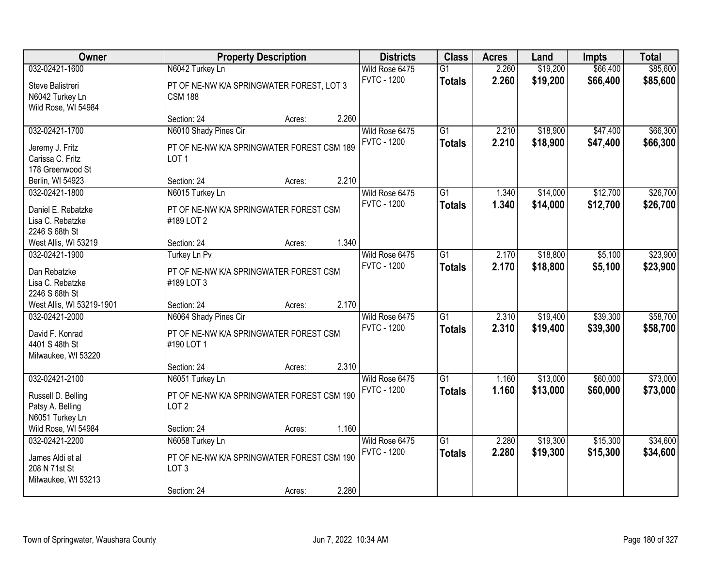| Owner                                                      |                                                                | <b>Property Description</b> |       | <b>Districts</b>                     | <b>Class</b>                     | <b>Acres</b>   | Land                 | <b>Impts</b>         | <b>Total</b>         |
|------------------------------------------------------------|----------------------------------------------------------------|-----------------------------|-------|--------------------------------------|----------------------------------|----------------|----------------------|----------------------|----------------------|
| 032-02421-1600                                             | N6042 Turkey Ln                                                |                             |       | Wild Rose 6475<br><b>FVTC - 1200</b> | $\overline{G1}$<br><b>Totals</b> | 2.260<br>2.260 | \$19,200<br>\$19,200 | \$66,400<br>\$66,400 | \$85,600<br>\$85,600 |
| Steve Balistreri<br>N6042 Turkey Ln<br>Wild Rose, WI 54984 | PT OF NE-NW K/A SPRINGWATER FOREST, LOT 3<br><b>CSM 188</b>    |                             |       |                                      |                                  |                |                      |                      |                      |
|                                                            | Section: 24                                                    | Acres:                      | 2.260 |                                      |                                  |                |                      |                      |                      |
| 032-02421-1700                                             | N6010 Shady Pines Cir                                          |                             |       | Wild Rose 6475<br><b>FVTC - 1200</b> | $\overline{G1}$                  | 2.210<br>2.210 | \$18,900             | \$47,400             | \$66,300             |
| Jeremy J. Fritz<br>Carissa C. Fritz                        | PT OF NE-NW K/A SPRINGWATER FOREST CSM 189<br>LOT <sub>1</sub> |                             |       |                                      | <b>Totals</b>                    |                | \$18,900             | \$47,400             | \$66,300             |
| 178 Greenwood St                                           |                                                                |                             |       |                                      |                                  |                |                      |                      |                      |
| Berlin, WI 54923                                           | Section: 24                                                    | Acres:                      | 2.210 |                                      |                                  |                |                      |                      |                      |
| 032-02421-1800                                             | N6015 Turkey Ln                                                |                             |       | Wild Rose 6475                       | $\overline{G1}$                  | 1.340          | \$14,000             | \$12,700             | \$26,700             |
| Daniel E. Rebatzke                                         | PT OF NE-NW K/A SPRINGWATER FOREST CSM                         |                             |       | <b>FVTC - 1200</b>                   | <b>Totals</b>                    | 1.340          | \$14,000             | \$12,700             | \$26,700             |
| Lisa C. Rebatzke                                           | #189 LOT 2                                                     |                             |       |                                      |                                  |                |                      |                      |                      |
| 2246 S 68th St                                             |                                                                |                             |       |                                      |                                  |                |                      |                      |                      |
| West Allis, WI 53219                                       | Section: 24                                                    | Acres:                      | 1.340 |                                      |                                  |                |                      |                      |                      |
| 032-02421-1900                                             | Turkey Ln Pv                                                   |                             |       | Wild Rose 6475                       | $\overline{G1}$                  | 2.170          | \$18,800             | \$5,100              | \$23,900             |
| Dan Rebatzke                                               | PT OF NE-NW K/A SPRINGWATER FOREST CSM                         |                             |       | <b>FVTC - 1200</b>                   | <b>Totals</b>                    | 2.170          | \$18,800             | \$5,100              | \$23,900             |
| Lisa C. Rebatzke                                           | #189 LOT 3                                                     |                             |       |                                      |                                  |                |                      |                      |                      |
| 2246 S 68th St                                             |                                                                |                             |       |                                      |                                  |                |                      |                      |                      |
| West Allis, WI 53219-1901                                  | Section: 24                                                    | Acres:                      | 2.170 |                                      |                                  |                |                      |                      |                      |
| 032-02421-2000                                             | N6064 Shady Pines Cir                                          |                             |       | Wild Rose 6475                       | $\overline{G1}$                  | 2.310          | \$19,400             | \$39,300             | \$58,700             |
| David F. Konrad                                            | PT OF NE-NW K/A SPRINGWATER FOREST CSM                         |                             |       | <b>FVTC - 1200</b>                   | <b>Totals</b>                    | 2.310          | \$19,400             | \$39,300             | \$58,700             |
| 4401 S 48th St                                             | #190 LOT 1                                                     |                             |       |                                      |                                  |                |                      |                      |                      |
| Milwaukee, WI 53220                                        |                                                                |                             |       |                                      |                                  |                |                      |                      |                      |
|                                                            | Section: 24                                                    | Acres:                      | 2.310 |                                      |                                  |                |                      |                      |                      |
| 032-02421-2100                                             | N6051 Turkey Ln                                                |                             |       | Wild Rose 6475                       | $\overline{G1}$                  | 1.160          | \$13,000             | \$60,000             | \$73,000             |
| Russell D. Belling                                         | PT OF NE-NW K/A SPRINGWATER FOREST CSM 190                     |                             |       | <b>FVTC - 1200</b>                   | <b>Totals</b>                    | 1.160          | \$13,000             | \$60,000             | \$73,000             |
| Patsy A. Belling                                           | LOT <sub>2</sub>                                               |                             |       |                                      |                                  |                |                      |                      |                      |
| N6051 Turkey Ln                                            |                                                                |                             |       |                                      |                                  |                |                      |                      |                      |
| Wild Rose, WI 54984                                        | Section: 24                                                    | Acres:                      | 1.160 |                                      |                                  |                |                      |                      |                      |
| 032-02421-2200                                             | N6058 Turkey Ln                                                |                             |       | Wild Rose 6475                       | $\overline{G1}$                  | 2.280          | \$19,300             | \$15,300             | \$34,600             |
| James Aldi et al                                           | PT OF NE-NW K/A SPRINGWATER FOREST CSM 190                     |                             |       | <b>FVTC - 1200</b>                   | <b>Totals</b>                    | 2.280          | \$19,300             | \$15,300             | \$34,600             |
| 208 N 71st St                                              | LOT <sub>3</sub>                                               |                             |       |                                      |                                  |                |                      |                      |                      |
| Milwaukee, WI 53213                                        |                                                                |                             |       |                                      |                                  |                |                      |                      |                      |
|                                                            | Section: 24                                                    | Acres:                      | 2.280 |                                      |                                  |                |                      |                      |                      |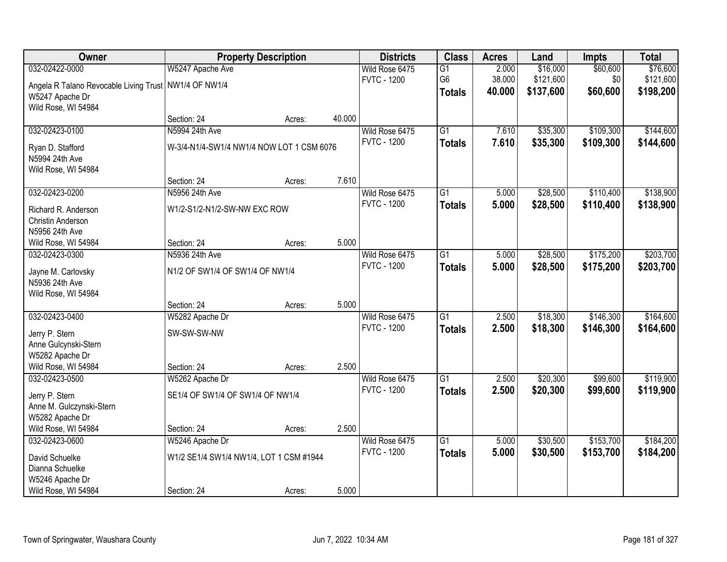| Owner                                                   |                                           | <b>Property Description</b> |        | <b>Districts</b>   | <b>Class</b>    | <b>Acres</b> | Land      | <b>Impts</b> | <b>Total</b> |
|---------------------------------------------------------|-------------------------------------------|-----------------------------|--------|--------------------|-----------------|--------------|-----------|--------------|--------------|
| 032-02422-0000                                          | W5247 Apache Ave                          |                             |        | Wild Rose 6475     | $\overline{G1}$ | 2.000        | \$16,000  | \$60,600     | \$76,600     |
| Angela R Talano Revocable Living Trust   NW1/4 OF NW1/4 |                                           |                             |        | <b>FVTC - 1200</b> | G <sub>6</sub>  | 38.000       | \$121,600 | \$0          | \$121,600    |
| W5247 Apache Dr                                         |                                           |                             |        |                    | <b>Totals</b>   | 40.000       | \$137,600 | \$60,600     | \$198,200    |
| Wild Rose, WI 54984                                     |                                           |                             |        |                    |                 |              |           |              |              |
|                                                         | Section: 24                               | Acres:                      | 40.000 |                    |                 |              |           |              |              |
| 032-02423-0100                                          | N5994 24th Ave                            |                             |        | Wild Rose 6475     | $\overline{G1}$ | 7.610        | \$35,300  | \$109,300    | \$144,600    |
| Ryan D. Stafford                                        | W-3/4-N1/4-SW1/4 NW1/4 NOW LOT 1 CSM 6076 |                             |        | <b>FVTC - 1200</b> | <b>Totals</b>   | 7.610        | \$35,300  | \$109,300    | \$144,600    |
| N5994 24th Ave                                          |                                           |                             |        |                    |                 |              |           |              |              |
| Wild Rose, WI 54984                                     |                                           |                             |        |                    |                 |              |           |              |              |
|                                                         | Section: 24                               | Acres:                      | 7.610  |                    |                 |              |           |              |              |
| 032-02423-0200                                          | N5956 24th Ave                            |                             |        | Wild Rose 6475     | $\overline{G1}$ | 5.000        | \$28,500  | \$110,400    | \$138,900    |
| Richard R. Anderson                                     | W1/2-S1/2-N1/2-SW-NW EXC ROW              |                             |        | <b>FVTC - 1200</b> | <b>Totals</b>   | 5.000        | \$28,500  | \$110,400    | \$138,900    |
| Christin Anderson                                       |                                           |                             |        |                    |                 |              |           |              |              |
| N5956 24th Ave                                          |                                           |                             |        |                    |                 |              |           |              |              |
| Wild Rose, WI 54984                                     | Section: 24                               | Acres:                      | 5.000  |                    |                 |              |           |              |              |
| 032-02423-0300                                          | N5936 24th Ave                            |                             |        | Wild Rose 6475     | $\overline{G1}$ | 5.000        | \$28,500  | \$175,200    | \$203,700    |
| Jayne M. Carlovsky                                      | N1/2 OF SW1/4 OF SW1/4 OF NW1/4           |                             |        | <b>FVTC - 1200</b> | <b>Totals</b>   | 5.000        | \$28,500  | \$175,200    | \$203,700    |
| N5936 24th Ave                                          |                                           |                             |        |                    |                 |              |           |              |              |
| Wild Rose, WI 54984                                     |                                           |                             |        |                    |                 |              |           |              |              |
|                                                         | Section: 24                               | Acres:                      | 5.000  |                    |                 |              |           |              |              |
| 032-02423-0400                                          | W5282 Apache Dr                           |                             |        | Wild Rose 6475     | $\overline{G1}$ | 2.500        | \$18,300  | \$146,300    | \$164,600    |
| Jerry P. Stern                                          | SW-SW-SW-NW                               |                             |        | <b>FVTC - 1200</b> | <b>Totals</b>   | 2.500        | \$18,300  | \$146,300    | \$164,600    |
| Anne Gulcynski-Stern                                    |                                           |                             |        |                    |                 |              |           |              |              |
| W5282 Apache Dr                                         |                                           |                             |        |                    |                 |              |           |              |              |
| Wild Rose, WI 54984                                     | Section: 24                               | Acres:                      | 2.500  |                    |                 |              |           |              |              |
| 032-02423-0500                                          | W5262 Apache Dr                           |                             |        | Wild Rose 6475     | $\overline{G1}$ | 2.500        | \$20,300  | \$99,600     | \$119,900    |
| Jerry P. Stern                                          | SE1/4 OF SW1/4 OF SW1/4 OF NW1/4          |                             |        | <b>FVTC - 1200</b> | <b>Totals</b>   | 2.500        | \$20,300  | \$99,600     | \$119,900    |
| Anne M. Gulczynski-Stern                                |                                           |                             |        |                    |                 |              |           |              |              |
| W5282 Apache Dr                                         |                                           |                             |        |                    |                 |              |           |              |              |
| Wild Rose, WI 54984                                     | Section: 24                               | Acres:                      | 2.500  |                    |                 |              |           |              |              |
| 032-02423-0600                                          | W5246 Apache Dr                           |                             |        | Wild Rose 6475     | $\overline{G1}$ | 5.000        | \$30,500  | \$153,700    | \$184,200    |
| David Schuelke                                          | W1/2 SE1/4 SW1/4 NW1/4, LOT 1 CSM #1944   |                             |        | <b>FVTC - 1200</b> | <b>Totals</b>   | 5.000        | \$30,500  | \$153,700    | \$184,200    |
| Dianna Schuelke                                         |                                           |                             |        |                    |                 |              |           |              |              |
| W5246 Apache Dr                                         |                                           |                             |        |                    |                 |              |           |              |              |
| Wild Rose, WI 54984                                     | Section: 24                               | Acres:                      | 5.000  |                    |                 |              |           |              |              |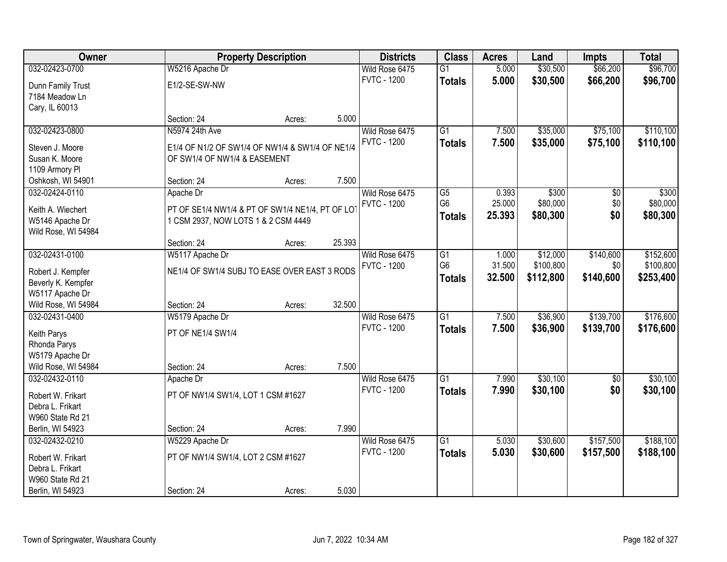| Owner                                   |                                                  | <b>Property Description</b> |        |                                      | <b>Class</b>    | <b>Acres</b> | Land      | <b>Impts</b> | <b>Total</b> |
|-----------------------------------------|--------------------------------------------------|-----------------------------|--------|--------------------------------------|-----------------|--------------|-----------|--------------|--------------|
| 032-02423-0700                          | W5216 Apache Dr                                  |                             |        | Wild Rose 6475                       | $\overline{G1}$ | 5.000        | \$30,500  | \$66,200     | \$96,700     |
| Dunn Family Trust                       | E1/2-SE-SW-NW                                    |                             |        | <b>FVTC - 1200</b>                   | <b>Totals</b>   | 5.000        | \$30,500  | \$66,200     | \$96,700     |
| 7184 Meadow Ln                          |                                                  |                             |        |                                      |                 |              |           |              |              |
| Cary, IL 60013                          |                                                  |                             |        |                                      |                 |              |           |              |              |
|                                         | Section: 24                                      | Acres:                      | 5.000  |                                      |                 |              |           |              |              |
| 032-02423-0800                          | N5974 24th Ave                                   |                             |        | Wild Rose 6475                       | $\overline{G1}$ | 7.500        | \$35,000  | \$75,100     | \$110,100    |
| Steven J. Moore                         | E1/4 OF N1/2 OF SW1/4 OF NW1/4 & SW1/4 OF NE1/4  |                             |        | <b>FVTC - 1200</b>                   | <b>Totals</b>   | 7.500        | \$35,000  | \$75,100     | \$110,100    |
| Susan K. Moore                          | OF SW1/4 OF NW1/4 & EASEMENT                     |                             |        |                                      |                 |              |           |              |              |
| 1109 Armory Pl                          |                                                  |                             |        |                                      |                 |              |           |              |              |
| Oshkosh, WI 54901                       | Section: 24                                      | Acres:                      | 7.500  |                                      |                 |              |           |              |              |
| 032-02424-0110                          | Apache Dr                                        |                             |        | Wild Rose 6475                       | G5              | 0.393        | \$300     | \$0          | \$300        |
| Keith A. Wiechert                       | PT OF SE1/4 NW1/4 & PT OF SW1/4 NE1/4, PT OF LOT |                             |        | <b>FVTC - 1200</b>                   | G <sub>6</sub>  | 25.000       | \$80,000  | \$0          | \$80,000     |
| W5146 Apache Dr                         | 1 CSM 2937, NOW LOTS 1 & 2 CSM 4449              |                             |        |                                      | <b>Totals</b>   | 25.393       | \$80,300  | \$0          | \$80,300     |
| Wild Rose, WI 54984                     |                                                  |                             |        |                                      |                 |              |           |              |              |
|                                         | Section: 24                                      | Acres:                      | 25.393 |                                      |                 |              |           |              |              |
| 032-02431-0100                          | W5117 Apache Dr                                  |                             |        | Wild Rose 6475                       | $\overline{G1}$ | 1.000        | \$12,000  | \$140,600    | \$152,600    |
|                                         |                                                  |                             |        | <b>FVTC - 1200</b>                   | G <sub>6</sub>  | 31.500       | \$100,800 | \$0          | \$100,800    |
| Robert J. Kempfer<br>Beverly K. Kempfer | NE1/4 OF SW1/4 SUBJ TO EASE OVER EAST 3 RODS     |                             |        |                                      | <b>Totals</b>   | 32.500       | \$112,800 | \$140,600    | \$253,400    |
| W5117 Apache Dr                         |                                                  |                             |        |                                      |                 |              |           |              |              |
| Wild Rose, WI 54984                     | Section: 24                                      | Acres:                      | 32.500 |                                      |                 |              |           |              |              |
| 032-02431-0400                          | W5179 Apache Dr                                  |                             |        | Wild Rose 6475                       | $\overline{G1}$ | 7.500        | \$36,900  | \$139,700    | \$176,600    |
|                                         |                                                  |                             |        | <b>FVTC - 1200</b>                   | <b>Totals</b>   | 7.500        | \$36,900  | \$139,700    | \$176,600    |
| Keith Parys                             | PT OF NE1/4 SW1/4                                |                             |        |                                      |                 |              |           |              |              |
| Rhonda Parys                            |                                                  |                             |        |                                      |                 |              |           |              |              |
| W5179 Apache Dr<br>Wild Rose, WI 54984  | Section: 24                                      | Acres:                      | 7.500  |                                      |                 |              |           |              |              |
| 032-02432-0110                          | Apache Dr                                        |                             |        | Wild Rose 6475                       | $\overline{G1}$ | 7.990        | \$30,100  | $\sqrt{$0}$  | \$30,100     |
|                                         |                                                  |                             |        | <b>FVTC - 1200</b>                   | <b>Totals</b>   | 7.990        | \$30,100  | \$0          | \$30,100     |
| Robert W. Frikart                       | PT OF NW1/4 SW1/4, LOT 1 CSM #1627               |                             |        |                                      |                 |              |           |              |              |
| Debra L. Frikart                        |                                                  |                             |        |                                      |                 |              |           |              |              |
| W960 State Rd 21                        |                                                  |                             |        |                                      |                 |              |           |              |              |
| Berlin, WI 54923                        | Section: 24                                      | Acres:                      | 7.990  |                                      |                 |              |           |              |              |
| 032-02432-0210                          | W5229 Apache Dr                                  |                             |        | Wild Rose 6475<br><b>FVTC - 1200</b> | $\overline{G1}$ | 5.030        | \$30,600  | \$157,500    | \$188,100    |
| Robert W. Frikart                       | PT OF NW1/4 SW1/4, LOT 2 CSM #1627               |                             |        |                                      | <b>Totals</b>   | 5.030        | \$30,600  | \$157,500    | \$188,100    |
| Debra L. Frikart                        |                                                  |                             |        |                                      |                 |              |           |              |              |
| W960 State Rd 21                        |                                                  |                             |        |                                      |                 |              |           |              |              |
| Berlin, WI 54923                        | Section: 24                                      | Acres:                      | 5.030  |                                      |                 |              |           |              |              |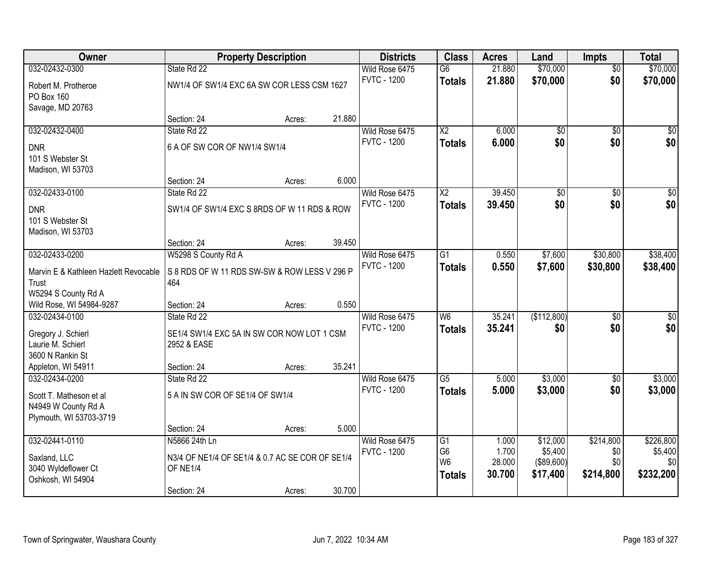| Owner                                 | <b>Property Description</b>                     |        |        | <b>Districts</b>   | <b>Class</b>                     | <b>Acres</b>    | Land                  | <b>Impts</b>    | <b>Total</b>    |
|---------------------------------------|-------------------------------------------------|--------|--------|--------------------|----------------------------------|-----------------|-----------------------|-----------------|-----------------|
| 032-02432-0300                        | State Rd 22                                     |        |        | Wild Rose 6475     | $\overline{G6}$                  | 21.880          | \$70,000              | $\overline{50}$ | \$70,000        |
| Robert M. Protheroe                   | NW1/4 OF SW1/4 EXC 6A SW COR LESS CSM 1627      |        |        | <b>FVTC - 1200</b> | <b>Totals</b>                    | 21.880          | \$70,000              | \$0             | \$70,000        |
| PO Box 160                            |                                                 |        |        |                    |                                  |                 |                       |                 |                 |
| Savage, MD 20763                      |                                                 |        |        |                    |                                  |                 |                       |                 |                 |
|                                       | Section: 24                                     | Acres: | 21.880 |                    |                                  |                 |                       |                 |                 |
| 032-02432-0400                        | State Rd 22                                     |        |        | Wild Rose 6475     | $\overline{\text{X2}}$           | 6.000           | $\overline{50}$       | $\overline{50}$ | $\sqrt{50}$     |
| <b>DNR</b>                            | 6 A OF SW COR OF NW1/4 SW1/4                    |        |        | <b>FVTC - 1200</b> | <b>Totals</b>                    | 6.000           | \$0                   | \$0             | \$0             |
| 101 S Webster St                      |                                                 |        |        |                    |                                  |                 |                       |                 |                 |
| Madison, WI 53703                     |                                                 |        |        |                    |                                  |                 |                       |                 |                 |
|                                       | Section: 24                                     | Acres: | 6.000  |                    |                                  |                 |                       |                 |                 |
| 032-02433-0100                        | State Rd 22                                     |        |        | Wild Rose 6475     | X2                               | 39.450          | \$0                   | \$0             | $\overline{50}$ |
| <b>DNR</b>                            | SW1/4 OF SW1/4 EXC S 8RDS OF W 11 RDS & ROW     |        |        | <b>FVTC - 1200</b> | <b>Totals</b>                    | 39.450          | \$0                   | \$0             | \$0             |
| 101 S Webster St                      |                                                 |        |        |                    |                                  |                 |                       |                 |                 |
| Madison, WI 53703                     |                                                 |        |        |                    |                                  |                 |                       |                 |                 |
|                                       | Section: 24                                     | Acres: | 39.450 |                    |                                  |                 |                       |                 |                 |
| 032-02433-0200                        | W5298 S County Rd A                             |        |        | Wild Rose 6475     | $\overline{G1}$                  | 0.550           | \$7,600               | \$30,800        | \$38,400        |
| Marvin E & Kathleen Hazlett Revocable | S 8 RDS OF W 11 RDS SW-SW & ROW LESS V 296 P    |        |        | <b>FVTC - 1200</b> | <b>Totals</b>                    | 0.550           | \$7,600               | \$30,800        | \$38,400        |
| Trust                                 | 464                                             |        |        |                    |                                  |                 |                       |                 |                 |
| W5294 S County Rd A                   |                                                 |        |        |                    |                                  |                 |                       |                 |                 |
| Wild Rose, WI 54984-9287              | Section: 24                                     | Acres: | 0.550  |                    |                                  |                 |                       |                 |                 |
| 032-02434-0100                        | State Rd 22                                     |        |        | Wild Rose 6475     | $\overline{W6}$                  | 35.241          | (\$112,800)           | $\overline{50}$ | \$0             |
| Gregory J. Schierl                    | SE1/4 SW1/4 EXC 5A IN SW COR NOW LOT 1 CSM      |        |        | <b>FVTC - 1200</b> | <b>Totals</b>                    | 35.241          | \$0                   | \$0             | \$0             |
| Laurie M. Schierl                     | 2952 & EASE                                     |        |        |                    |                                  |                 |                       |                 |                 |
| 3600 N Rankin St                      |                                                 |        |        |                    |                                  |                 |                       |                 |                 |
| Appleton, WI 54911                    | Section: 24                                     | Acres: | 35.241 |                    |                                  |                 |                       |                 |                 |
| 032-02434-0200                        | State Rd 22                                     |        |        | Wild Rose 6475     | $\overline{G5}$                  | 5.000           | \$3,000               | $\overline{60}$ | \$3,000         |
| Scott T. Matheson et al               | 5 A IN SW COR OF SE1/4 OF SW1/4                 |        |        | <b>FVTC - 1200</b> | <b>Totals</b>                    | 5.000           | \$3,000               | \$0             | \$3,000         |
| N4949 W County Rd A                   |                                                 |        |        |                    |                                  |                 |                       |                 |                 |
| Plymouth, WI 53703-3719               |                                                 |        |        |                    |                                  |                 |                       |                 |                 |
|                                       | Section: 24                                     | Acres: | 5.000  |                    |                                  |                 |                       |                 |                 |
| 032-02441-0110                        | N5866 24th Ln                                   |        |        | Wild Rose 6475     | $\overline{G1}$                  | 1.000           | \$12,000              | \$214,800       | \$226,800       |
| Saxland, LLC                          | N3/4 OF NE1/4 OF SE1/4 & 0.7 AC SE COR OF SE1/4 |        |        | <b>FVTC - 1200</b> | G <sub>6</sub><br>W <sub>6</sub> | 1.700<br>28.000 | \$5,400<br>(\$89,600) | \$0<br>\$0      | \$5,400<br>\$0  |
| 3040 Wyldeflower Ct                   | OF NE1/4                                        |        |        |                    |                                  | 30.700          | \$17,400              | \$214,800       | \$232,200       |
| Oshkosh, WI 54904                     |                                                 |        |        |                    | <b>Totals</b>                    |                 |                       |                 |                 |
|                                       | Section: 24                                     | Acres: | 30.700 |                    |                                  |                 |                       |                 |                 |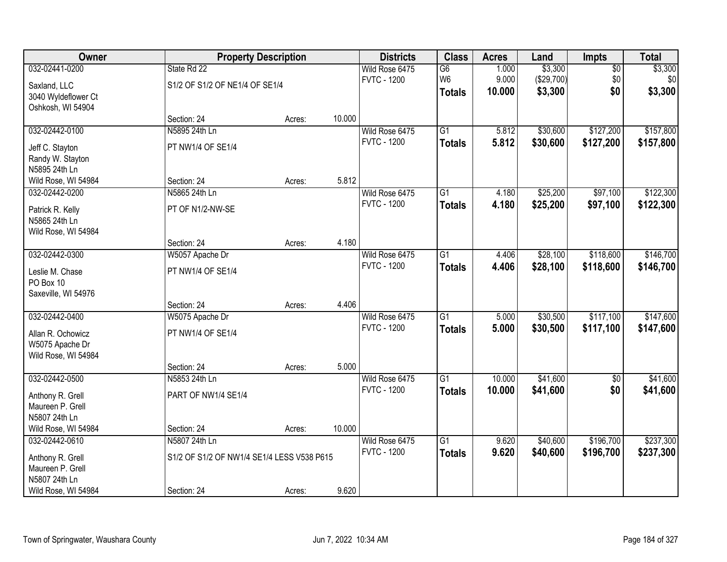| Owner                                                    |                                            | <b>Property Description</b> |        | <b>Districts</b>                     | <b>Class</b>                     | <b>Acres</b>    | Land                  | <b>Impts</b>           | <b>Total</b>           |
|----------------------------------------------------------|--------------------------------------------|-----------------------------|--------|--------------------------------------|----------------------------------|-----------------|-----------------------|------------------------|------------------------|
| 032-02441-0200                                           | State Rd 22                                |                             |        | Wild Rose 6475                       | $\overline{G6}$                  | 1.000           | \$3,300               | $\overline{50}$        | \$3,300                |
| Saxland, LLC<br>3040 Wyldeflower Ct<br>Oshkosh, WI 54904 | S1/2 OF S1/2 OF NE1/4 OF SE1/4             |                             |        | <b>FVTC - 1200</b>                   | W <sub>6</sub><br><b>Totals</b>  | 9.000<br>10.000 | (\$29,700)<br>\$3,300 | \$0<br>\$0             | \$0<br>\$3,300         |
|                                                          | Section: 24                                | Acres:                      | 10.000 |                                      |                                  |                 |                       |                        |                        |
| 032-02442-0100                                           | N5895 24th Ln                              |                             |        | Wild Rose 6475                       | $\overline{G1}$                  | 5.812           | \$30,600              | \$127,200              | \$157,800              |
| Jeff C. Stayton<br>Randy W. Stayton<br>N5895 24th Ln     | PT NW1/4 OF SE1/4                          |                             |        | <b>FVTC - 1200</b>                   | <b>Totals</b>                    | 5.812           | \$30,600              | \$127,200              | \$157,800              |
| Wild Rose, WI 54984                                      | Section: 24                                | Acres:                      | 5.812  |                                      |                                  |                 |                       |                        |                        |
| 032-02442-0200                                           | N5865 24th Ln                              |                             |        | Wild Rose 6475                       | $\overline{G1}$                  | 4.180           | \$25,200              | \$97,100               | \$122,300              |
| Patrick R. Kelly<br>N5865 24th Ln<br>Wild Rose, WI 54984 | PT OF N1/2-NW-SE                           |                             |        | <b>FVTC - 1200</b>                   | <b>Totals</b>                    | 4.180           | \$25,200              | \$97,100               | \$122,300              |
|                                                          | Section: 24                                | Acres:                      | 4.180  |                                      |                                  |                 |                       |                        |                        |
| 032-02442-0300                                           | W5057 Apache Dr                            |                             |        | Wild Rose 6475                       | $\overline{G1}$                  | 4.406           | \$28,100              | \$118,600              | \$146,700              |
| Leslie M. Chase<br>PO Box 10<br>Saxeville, WI 54976      | PT NW1/4 OF SE1/4                          |                             |        | <b>FVTC - 1200</b>                   | <b>Totals</b>                    | 4.406           | \$28,100              | \$118,600              | \$146,700              |
|                                                          | Section: 24                                | Acres:                      | 4.406  |                                      |                                  |                 |                       |                        |                        |
| 032-02442-0400<br>Allan R. Ochowicz<br>W5075 Apache Dr   | W5075 Apache Dr<br>PT NW1/4 OF SE1/4       |                             |        | Wild Rose 6475<br><b>FVTC - 1200</b> | $\overline{G1}$<br><b>Totals</b> | 5.000<br>5.000  | \$30,500<br>\$30,500  | \$117,100<br>\$117,100 | \$147,600<br>\$147,600 |
| Wild Rose, WI 54984                                      |                                            |                             |        |                                      |                                  |                 |                       |                        |                        |
|                                                          | Section: 24                                | Acres:                      | 5.000  |                                      |                                  |                 |                       |                        |                        |
| 032-02442-0500                                           | N5853 24th Ln                              |                             |        | Wild Rose 6475                       | $\overline{G1}$                  | 10.000          | \$41,600              | $\sqrt{$0}$            | \$41,600               |
| Anthony R. Grell<br>Maureen P. Grell<br>N5807 24th Ln    | PART OF NW1/4 SE1/4                        |                             |        | <b>FVTC - 1200</b>                   | <b>Totals</b>                    | 10.000          | \$41,600              | \$0                    | \$41,600               |
| Wild Rose, WI 54984                                      | Section: 24                                | Acres:                      | 10.000 |                                      |                                  |                 |                       |                        |                        |
| 032-02442-0610                                           | N5807 24th Ln                              |                             |        | Wild Rose 6475                       | $\overline{G1}$                  | 9.620           | \$40,600              | \$196,700              | \$237,300              |
| Anthony R. Grell<br>Maureen P. Grell<br>N5807 24th Ln    | S1/2 OF S1/2 OF NW1/4 SE1/4 LESS V538 P615 |                             |        | <b>FVTC - 1200</b>                   | <b>Totals</b>                    | 9.620           | \$40,600              | \$196,700              | \$237,300              |
| Wild Rose, WI 54984                                      | Section: 24                                | Acres:                      | 9.620  |                                      |                                  |                 |                       |                        |                        |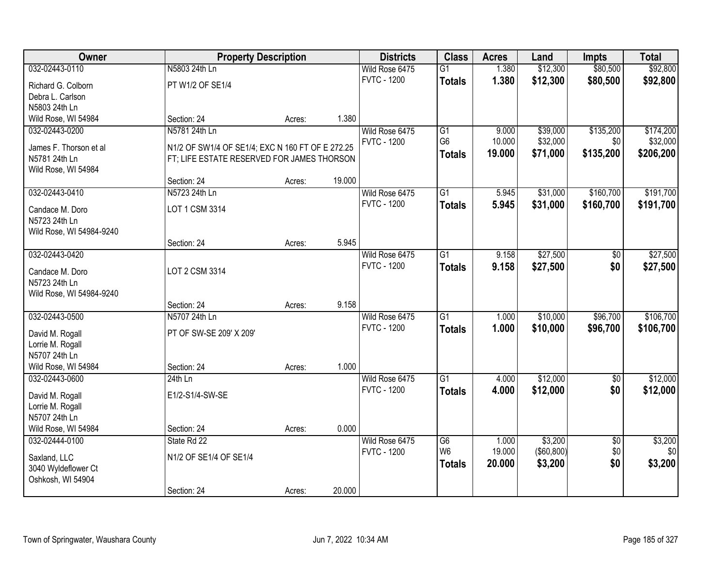| Owner<br><b>Property Description</b><br><b>Districts</b><br><b>Class</b><br><b>Acres</b>                               | Land<br><b>Impts</b>        | <b>Total</b> |
|------------------------------------------------------------------------------------------------------------------------|-----------------------------|--------------|
| 032-02443-0110<br>N5803 24th Ln<br>1.380<br>Wild Rose 6475<br>$\overline{G1}$                                          | \$80,500<br>\$12,300        | \$92,800     |
| <b>FVTC - 1200</b><br>1.380<br><b>Totals</b><br>PT W1/2 OF SE1/4<br>Richard G. Colborn                                 | \$12,300<br>\$80,500        | \$92,800     |
| Debra L. Carlson                                                                                                       |                             |              |
| N5803 24th Ln                                                                                                          |                             |              |
| 1.380<br>Wild Rose, WI 54984<br>Section: 24<br>Acres:                                                                  |                             |              |
| 032-02443-0200<br>N5781 24th Ln<br>Wild Rose 6475<br>$\overline{G1}$<br>9.000                                          | \$39,000<br>\$135,200       | \$174,200    |
| G <sub>6</sub><br>10.000<br><b>FVTC - 1200</b>                                                                         | \$32,000<br>\$0             | \$32,000     |
| N1/2 OF SW1/4 OF SE1/4; EXC N 160 FT OF E 272.25<br>James F. Thorson et al<br>19.000<br><b>Totals</b><br>N5781 24th Ln | \$71,000<br>\$135,200       | \$206,200    |
| FT; LIFE ESTATE RESERVED FOR JAMES THORSON<br>Wild Rose, WI 54984                                                      |                             |              |
| 19.000<br>Section: 24<br>Acres:                                                                                        |                             |              |
| 032-02443-0410<br>N5723 24th Ln<br>Wild Rose 6475<br>G1<br>5.945                                                       | \$160,700<br>\$31,000       | \$191,700    |
| <b>FVTC - 1200</b><br>5.945<br><b>Totals</b>                                                                           | \$31,000<br>\$160,700       | \$191,700    |
| LOT 1 CSM 3314<br>Candace M. Doro                                                                                      |                             |              |
| N5723 24th Ln                                                                                                          |                             |              |
| Wild Rose, WI 54984-9240<br>5.945<br>Section: 24                                                                       |                             |              |
| Acres:<br>032-02443-0420<br>Wild Rose 6475<br>G1<br>9.158                                                              | \$27,500<br>\$0             | \$27,500     |
| <b>FVTC - 1200</b><br>9.158                                                                                            | \$0                         |              |
| <b>Totals</b><br>LOT 2 CSM 3314<br>Candace M. Doro                                                                     | \$27,500                    | \$27,500     |
| N5723 24th Ln                                                                                                          |                             |              |
| Wild Rose, WI 54984-9240                                                                                               |                             |              |
| 9.158<br>Section: 24<br>Acres:                                                                                         |                             |              |
| 032-02443-0500<br>N5707 24th Ln<br>$\overline{G1}$<br>1.000<br>Wild Rose 6475                                          | \$10,000<br>\$96,700        | \$106,700    |
| <b>FVTC - 1200</b><br>1.000<br><b>Totals</b><br>PT OF SW-SE 209' X 209'<br>David M. Rogall                             | \$10,000<br>\$96,700        | \$106,700    |
| Lorrie M. Rogall                                                                                                       |                             |              |
| N5707 24th Ln                                                                                                          |                             |              |
| 1.000<br>Wild Rose, WI 54984<br>Section: 24<br>Acres:                                                                  |                             |              |
| $\overline{G1}$<br>032-02443-0600<br>Wild Rose 6475<br>4.000<br>$24th$ Ln                                              | \$12,000<br>$\overline{50}$ | \$12,000     |
| <b>FVTC - 1200</b><br>4.000<br><b>Totals</b><br>E1/2-S1/4-SW-SE<br>David M. Rogall                                     | \$12,000<br>\$0             | \$12,000     |
| Lorrie M. Rogall                                                                                                       |                             |              |
| N5707 24th Ln                                                                                                          |                             |              |
| 0.000<br>Wild Rose, WI 54984<br>Section: 24<br>Acres:                                                                  |                             |              |
| 032-02444-0100<br>State Rd 22<br>Wild Rose 6475<br>$\overline{G6}$<br>1.000                                            | \$3,200<br>$\overline{50}$  | \$3,200      |
| W <sub>6</sub><br>19.000<br><b>FVTC - 1200</b><br>N1/2 OF SE1/4 OF SE1/4                                               | \$0<br>$($ \$60,800) $ $    | \$0          |
| Saxland, LLC<br>20.000<br><b>Totals</b><br>3040 Wyldeflower Ct                                                         | \$0<br>\$3,200              | \$3,200      |
| Oshkosh, WI 54904                                                                                                      |                             |              |
| 20.000<br>Section: 24<br>Acres:                                                                                        |                             |              |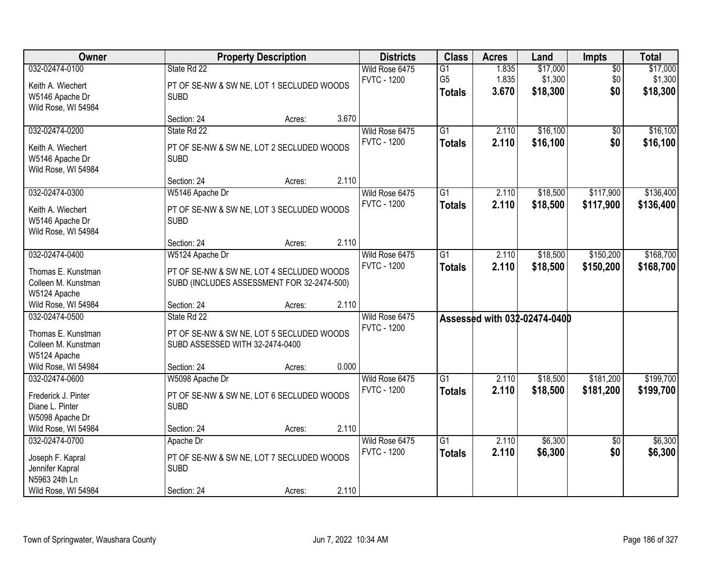| <b>Owner</b>                                                                                                              |                                                                                                                           | <b>Property Description</b> |                |                                      | <b>Class</b>                                       | <b>Acres</b>            | Land                            | Impts                         | <b>Total</b>                    |
|---------------------------------------------------------------------------------------------------------------------------|---------------------------------------------------------------------------------------------------------------------------|-----------------------------|----------------|--------------------------------------|----------------------------------------------------|-------------------------|---------------------------------|-------------------------------|---------------------------------|
| 032-02474-0100<br>Keith A. Wiechert<br>W5146 Apache Dr                                                                    | State Rd 22<br>PT OF SE-NW & SW NE, LOT 1 SECLUDED WOODS<br><b>SUBD</b>                                                   |                             |                | Wild Rose 6475<br><b>FVTC - 1200</b> | $\overline{G1}$<br>G <sub>5</sub><br><b>Totals</b> | 1.835<br>1.835<br>3.670 | \$17,000<br>\$1,300<br>\$18,300 | $\overline{50}$<br>\$0<br>\$0 | \$17,000<br>\$1,300<br>\$18,300 |
| Wild Rose, WI 54984                                                                                                       | Section: 24                                                                                                               | Acres:                      | 3.670          |                                      |                                                    |                         |                                 |                               |                                 |
| 032-02474-0200<br>Keith A. Wiechert<br>W5146 Apache Dr<br>Wild Rose, WI 54984                                             | State Rd 22<br>PT OF SE-NW & SW NE, LOT 2 SECLUDED WOODS<br><b>SUBD</b>                                                   |                             |                | Wild Rose 6475<br><b>FVTC - 1200</b> | $\overline{G1}$<br><b>Totals</b>                   | 2.110<br>2.110          | \$16,100<br>\$16,100            | \$0<br>\$0                    | \$16,100<br>\$16,100            |
|                                                                                                                           | Section: 24                                                                                                               | Acres:                      | 2.110          |                                      |                                                    |                         |                                 |                               |                                 |
| 032-02474-0300<br>Keith A. Wiechert<br>W5146 Apache Dr<br>Wild Rose, WI 54984                                             | W5146 Apache Dr<br>PT OF SE-NW & SW NE, LOT 3 SECLUDED WOODS<br><b>SUBD</b>                                               |                             |                | Wild Rose 6475<br><b>FVTC - 1200</b> | $\overline{G1}$<br><b>Totals</b>                   | 2.110<br>2.110          | \$18,500<br>\$18,500            | \$117,900<br>\$117,900        | \$136,400<br>\$136,400          |
|                                                                                                                           | Section: 24                                                                                                               | Acres:                      | 2.110          |                                      |                                                    |                         |                                 |                               |                                 |
| 032-02474-0400<br>Thomas E. Kunstman<br>Colleen M. Kunstman<br>W5124 Apache                                               | W5124 Apache Dr<br>PT OF SE-NW & SW NE, LOT 4 SECLUDED WOODS<br>SUBD (INCLUDES ASSESSMENT FOR 32-2474-500)                |                             |                | Wild Rose 6475<br><b>FVTC - 1200</b> | $\overline{G1}$<br><b>Totals</b>                   | 2.110<br>2.110          | \$18,500<br>\$18,500            | \$150,200<br>\$150,200        | \$168,700<br>\$168,700          |
| Wild Rose, WI 54984<br>032-02474-0500<br>Thomas E. Kunstman<br>Colleen M. Kunstman<br>W5124 Apache<br>Wild Rose, WI 54984 | Section: 24<br>State Rd 22<br>PT OF SE-NW & SW NE, LOT 5 SECLUDED WOODS<br>SUBD ASSESSED WITH 32-2474-0400<br>Section: 24 | Acres:<br>Acres:            | 2.110<br>0.000 | Wild Rose 6475<br><b>FVTC - 1200</b> |                                                    |                         | Assessed with 032-02474-0400    |                               |                                 |
| 032-02474-0600<br>Frederick J. Pinter<br>Diane L. Pinter<br>W5098 Apache Dr<br>Wild Rose, WI 54984                        | W5098 Apache Dr<br>PT OF SE-NW & SW NE, LOT 6 SECLUDED WOODS<br><b>SUBD</b><br>Section: 24                                | Acres:                      | 2.110          | Wild Rose 6475<br><b>FVTC - 1200</b> | G1<br><b>Totals</b>                                | 2.110<br>2.110          | \$18,500<br>\$18,500            | \$181,200<br>\$181,200        | \$199,700<br>\$199,700          |
| 032-02474-0700<br>Joseph F. Kapral<br>Jennifer Kapral<br>N5963 24th Ln<br>Wild Rose, WI 54984                             | Apache Dr<br>PT OF SE-NW & SW NE, LOT 7 SECLUDED WOODS<br><b>SUBD</b><br>Section: 24                                      | Acres:                      | 2.110          | Wild Rose 6475<br><b>FVTC - 1200</b> | $\overline{G1}$<br><b>Totals</b>                   | 2.110<br>2.110          | \$6,300<br>\$6,300              | $\overline{50}$<br>\$0        | \$6,300<br>\$6,300              |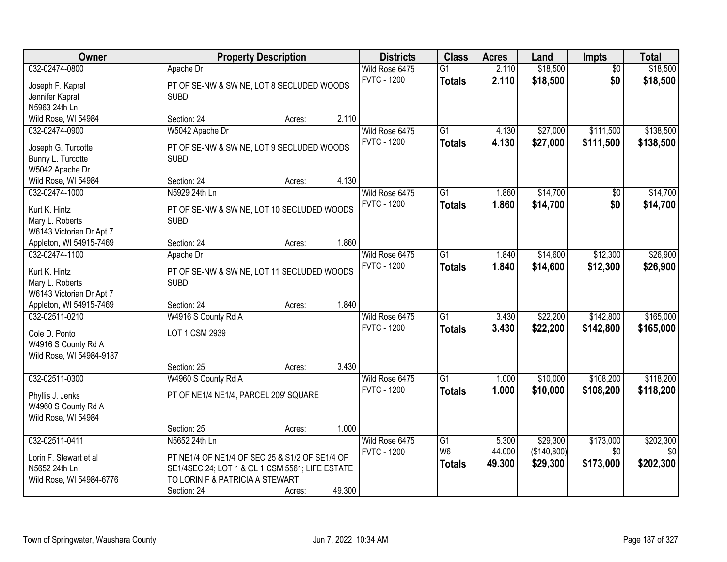| Owner                                     | <b>Property Description</b>                               |        |        | <b>Districts</b>                     | <b>Class</b>    | <b>Acres</b> | Land        | Impts           | <b>Total</b>     |
|-------------------------------------------|-----------------------------------------------------------|--------|--------|--------------------------------------|-----------------|--------------|-------------|-----------------|------------------|
| 032-02474-0800                            | Apache Dr                                                 |        |        | Wild Rose 6475                       | $\overline{G1}$ | 2.110        | \$18,500    | $\overline{50}$ | \$18,500         |
| Joseph F. Kapral                          | PT OF SE-NW & SW NE, LOT 8 SECLUDED WOODS                 |        |        | <b>FVTC - 1200</b>                   | <b>Totals</b>   | 2.110        | \$18,500    | \$0             | \$18,500         |
| Jennifer Kapral                           | <b>SUBD</b>                                               |        |        |                                      |                 |              |             |                 |                  |
| N5963 24th Ln                             |                                                           |        |        |                                      |                 |              |             |                 |                  |
| Wild Rose, WI 54984                       | Section: 24                                               | Acres: | 2.110  |                                      |                 |              |             |                 |                  |
| 032-02474-0900                            | W5042 Apache Dr                                           |        |        | Wild Rose 6475                       | $\overline{G1}$ | 4.130        | \$27,000    | \$111,500       | \$138,500        |
| Joseph G. Turcotte                        | PT OF SE-NW & SW NE, LOT 9 SECLUDED WOODS                 |        |        | <b>FVTC - 1200</b>                   | <b>Totals</b>   | 4.130        | \$27,000    | \$111,500       | \$138,500        |
| Bunny L. Turcotte                         | <b>SUBD</b>                                               |        |        |                                      |                 |              |             |                 |                  |
| W5042 Apache Dr                           |                                                           |        |        |                                      |                 |              |             |                 |                  |
| Wild Rose, WI 54984                       | Section: 24                                               | Acres: | 4.130  |                                      |                 |              |             |                 |                  |
| 032-02474-1000                            | N5929 24th Ln                                             |        |        | Wild Rose 6475                       | $\overline{G1}$ | 1.860        | \$14,700    | $\overline{50}$ | \$14,700         |
|                                           |                                                           |        |        | <b>FVTC - 1200</b>                   | <b>Totals</b>   | 1.860        | \$14,700    | \$0             | \$14,700         |
| Kurt K. Hintz<br>Mary L. Roberts          | PT OF SE-NW & SW NE, LOT 10 SECLUDED WOODS<br><b>SUBD</b> |        |        |                                      |                 |              |             |                 |                  |
| W6143 Victorian Dr Apt 7                  |                                                           |        |        |                                      |                 |              |             |                 |                  |
| Appleton, WI 54915-7469                   | Section: 24                                               | Acres: | 1.860  |                                      |                 |              |             |                 |                  |
| 032-02474-1100                            | Apache Dr                                                 |        |        | Wild Rose 6475                       | G1              | 1.840        | \$14,600    | \$12,300        | \$26,900         |
|                                           |                                                           |        |        | <b>FVTC - 1200</b>                   | <b>Totals</b>   | 1.840        | \$14,600    | \$12,300        | \$26,900         |
| Kurt K. Hintz                             | PT OF SE-NW & SW NE, LOT 11 SECLUDED WOODS                |        |        |                                      |                 |              |             |                 |                  |
| Mary L. Roberts                           | <b>SUBD</b>                                               |        |        |                                      |                 |              |             |                 |                  |
| W6143 Victorian Dr Apt 7                  |                                                           |        | 1.840  |                                      |                 |              |             |                 |                  |
| Appleton, WI 54915-7469<br>032-02511-0210 | Section: 24                                               | Acres: |        |                                      | $\overline{G1}$ | 3.430        | \$22,200    | \$142,800       | \$165,000        |
|                                           | W4916 S County Rd A                                       |        |        | Wild Rose 6475<br><b>FVTC - 1200</b> |                 |              |             |                 |                  |
| Cole D. Ponto                             | LOT 1 CSM 2939                                            |        |        |                                      | <b>Totals</b>   | 3.430        | \$22,200    | \$142,800       | \$165,000        |
| W4916 S County Rd A                       |                                                           |        |        |                                      |                 |              |             |                 |                  |
| Wild Rose, WI 54984-9187                  |                                                           |        |        |                                      |                 |              |             |                 |                  |
|                                           | Section: 25                                               | Acres: | 3.430  |                                      |                 |              |             |                 |                  |
| 032-02511-0300                            | W4960 S County Rd A                                       |        |        | Wild Rose 6475                       | G1              | 1.000        | \$10,000    | \$108,200       | \$118,200        |
| Phyllis J. Jenks                          | PT OF NE1/4 NE1/4, PARCEL 209' SQUARE                     |        |        | <b>FVTC - 1200</b>                   | <b>Totals</b>   | 1.000        | \$10,000    | \$108,200       | \$118,200        |
| W4960 S County Rd A                       |                                                           |        |        |                                      |                 |              |             |                 |                  |
| Wild Rose, WI 54984                       |                                                           |        |        |                                      |                 |              |             |                 |                  |
|                                           | Section: 25                                               | Acres: | 1.000  |                                      |                 |              |             |                 |                  |
| 032-02511-0411                            | N5652 24th Ln                                             |        |        | Wild Rose 6475                       | $\overline{G1}$ | 5.300        | \$29,300    | \$173,000       | \$202,300        |
| Lorin F. Stewart et al                    | PT NE1/4 OF NE1/4 OF SEC 25 & S1/2 OF SE1/4 OF            |        |        | <b>FVTC - 1200</b>                   | W <sub>6</sub>  | 44.000       | (\$140,800) | \$0             | \$0 <sub>1</sub> |
| N5652 24th Ln                             | SE1/4SEC 24; LOT 1 & OL 1 CSM 5561; LIFE ESTATE           |        |        |                                      | <b>Totals</b>   | 49.300       | \$29,300    | \$173,000       | \$202,300        |
| Wild Rose, WI 54984-6776                  | TO LORIN F & PATRICIA A STEWART                           |        |        |                                      |                 |              |             |                 |                  |
|                                           | Section: 24                                               | Acres: | 49.300 |                                      |                 |              |             |                 |                  |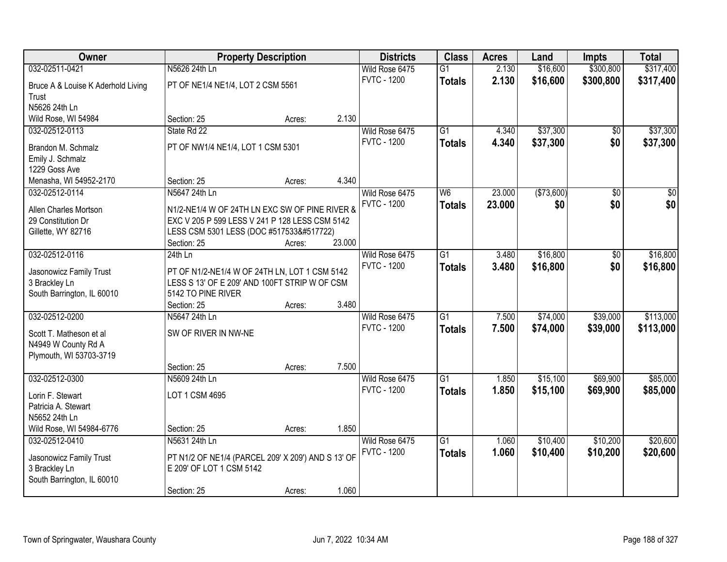| Owner                              |                                                    | <b>Property Description</b> |        | <b>Districts</b>   | <b>Class</b>    | <b>Acres</b> | Land       | <b>Impts</b>    | <b>Total</b>     |
|------------------------------------|----------------------------------------------------|-----------------------------|--------|--------------------|-----------------|--------------|------------|-----------------|------------------|
| 032-02511-0421                     | N5626 24th Ln                                      |                             |        | Wild Rose 6475     | $\overline{G1}$ | 2.130        | \$16,600   | \$300,800       | \$317,400        |
| Bruce A & Louise K Aderhold Living | PT OF NE1/4 NE1/4, LOT 2 CSM 5561                  |                             |        | <b>FVTC - 1200</b> | <b>Totals</b>   | 2.130        | \$16,600   | \$300,800       | \$317,400        |
| Trust                              |                                                    |                             |        |                    |                 |              |            |                 |                  |
| N5626 24th Ln                      |                                                    |                             |        |                    |                 |              |            |                 |                  |
| Wild Rose, WI 54984                | Section: 25                                        | Acres:                      | 2.130  |                    |                 |              |            |                 |                  |
| 032-02512-0113                     | State Rd 22                                        |                             |        | Wild Rose 6475     | $\overline{G1}$ | 4.340        | \$37,300   | $\overline{50}$ | \$37,300         |
| Brandon M. Schmalz                 | PT OF NW1/4 NE1/4, LOT 1 CSM 5301                  |                             |        | <b>FVTC - 1200</b> | <b>Totals</b>   | 4.340        | \$37,300   | \$0             | \$37,300         |
| Emily J. Schmalz                   |                                                    |                             |        |                    |                 |              |            |                 |                  |
| 1229 Goss Ave                      |                                                    |                             |        |                    |                 |              |            |                 |                  |
| Menasha, WI 54952-2170             | Section: 25                                        | Acres:                      | 4.340  |                    |                 |              |            |                 |                  |
| 032-02512-0114                     | N5647 24th Ln                                      |                             |        | Wild Rose 6475     | W6              | 23.000       | (\$73,600) | \$0             | $\overline{\$0}$ |
| Allen Charles Mortson              | N1/2-NE1/4 W OF 24TH LN EXC SW OF PINE RIVER &     |                             |        | <b>FVTC - 1200</b> | <b>Totals</b>   | 23.000       | \$0        | \$0             | \$0              |
| 29 Constitution Dr                 | EXC V 205 P 599 LESS V 241 P 128 LESS CSM 5142     |                             |        |                    |                 |              |            |                 |                  |
| Gillette, WY 82716                 | LESS CSM 5301 LESS (DOC #517533񾙚)                  |                             |        |                    |                 |              |            |                 |                  |
|                                    | Section: 25                                        | Acres:                      | 23.000 |                    |                 |              |            |                 |                  |
| 032-02512-0116                     | $24th$ Ln                                          |                             |        | Wild Rose 6475     | $\overline{G1}$ | 3.480        | \$16,800   | \$0             | \$16,800         |
| Jasonowicz Family Trust            | PT OF N1/2-NE1/4 W OF 24TH LN, LOT 1 CSM 5142      |                             |        | <b>FVTC - 1200</b> | <b>Totals</b>   | 3.480        | \$16,800   | \$0             | \$16,800         |
| 3 Brackley Ln                      | LESS S 13' OF E 209' AND 100FT STRIP W OF CSM      |                             |        |                    |                 |              |            |                 |                  |
| South Barrington, IL 60010         | 5142 TO PINE RIVER                                 |                             |        |                    |                 |              |            |                 |                  |
|                                    | Section: 25                                        | Acres:                      | 3.480  |                    |                 |              |            |                 |                  |
| 032-02512-0200                     | N5647 24th Ln                                      |                             |        | Wild Rose 6475     | $\overline{G1}$ | 7.500        | \$74,000   | \$39,000        | \$113,000        |
| Scott T. Matheson et al            | SW OF RIVER IN NW-NE                               |                             |        | <b>FVTC - 1200</b> | <b>Totals</b>   | 7.500        | \$74,000   | \$39,000        | \$113,000        |
| N4949 W County Rd A                |                                                    |                             |        |                    |                 |              |            |                 |                  |
| Plymouth, WI 53703-3719            |                                                    |                             |        |                    |                 |              |            |                 |                  |
|                                    | Section: 25                                        | Acres:                      | 7.500  |                    |                 |              |            |                 |                  |
| 032-02512-0300                     | N5609 24th Ln                                      |                             |        | Wild Rose 6475     | $\overline{G1}$ | 1.850        | \$15,100   | \$69,900        | \$85,000         |
| Lorin F. Stewart                   | LOT 1 CSM 4695                                     |                             |        | <b>FVTC - 1200</b> | <b>Totals</b>   | 1.850        | \$15,100   | \$69,900        | \$85,000         |
| Patricia A. Stewart                |                                                    |                             |        |                    |                 |              |            |                 |                  |
| N5652 24th Ln                      |                                                    |                             |        |                    |                 |              |            |                 |                  |
| Wild Rose, WI 54984-6776           | Section: 25                                        | Acres:                      | 1.850  |                    |                 |              |            |                 |                  |
| 032-02512-0410                     | N5631 24th Ln                                      |                             |        | Wild Rose 6475     | $\overline{G1}$ | 1.060        | \$10,400   | \$10,200        | \$20,600         |
| Jasonowicz Family Trust            | PT N1/2 OF NE1/4 (PARCEL 209' X 209') AND S 13' OF |                             |        | <b>FVTC - 1200</b> | <b>Totals</b>   | 1.060        | \$10,400   | \$10,200        | \$20,600         |
| 3 Brackley Ln                      | E 209' OF LOT 1 CSM 5142                           |                             |        |                    |                 |              |            |                 |                  |
| South Barrington, IL 60010         |                                                    |                             |        |                    |                 |              |            |                 |                  |
|                                    | Section: 25                                        | Acres:                      | 1.060  |                    |                 |              |            |                 |                  |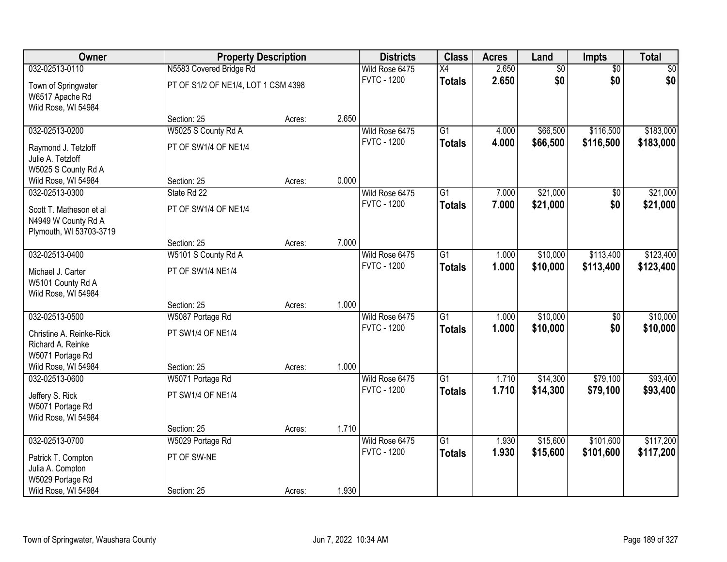| <b>Owner</b>                            |                                     | <b>Property Description</b> |       | <b>Districts</b>   | <b>Class</b>    | <b>Acres</b> | Land            | Impts           | <b>Total</b> |
|-----------------------------------------|-------------------------------------|-----------------------------|-------|--------------------|-----------------|--------------|-----------------|-----------------|--------------|
| 032-02513-0110                          | N5583 Covered Bridge Rd             |                             |       | Wild Rose 6475     | X4              | 2.650        | $\overline{50}$ | $\overline{50}$ | \$0          |
| Town of Springwater                     | PT OF S1/2 OF NE1/4, LOT 1 CSM 4398 |                             |       | <b>FVTC - 1200</b> | <b>Totals</b>   | 2.650        | \$0             | \$0             | \$0          |
| W6517 Apache Rd                         |                                     |                             |       |                    |                 |              |                 |                 |              |
| Wild Rose, WI 54984                     |                                     |                             |       |                    |                 |              |                 |                 |              |
|                                         | Section: 25                         | Acres:                      | 2.650 |                    |                 |              |                 |                 |              |
| 032-02513-0200                          | W5025 S County Rd A                 |                             |       | Wild Rose 6475     | $\overline{G1}$ | 4.000        | \$66,500        | \$116,500       | \$183,000    |
| Raymond J. Tetzloff                     | PT OF SW1/4 OF NE1/4                |                             |       | <b>FVTC - 1200</b> | <b>Totals</b>   | 4.000        | \$66,500        | \$116,500       | \$183,000    |
| Julie A. Tetzloff                       |                                     |                             |       |                    |                 |              |                 |                 |              |
| W5025 S County Rd A                     |                                     |                             |       |                    |                 |              |                 |                 |              |
| Wild Rose, WI 54984                     | Section: 25                         | Acres:                      | 0.000 |                    |                 |              |                 |                 |              |
| 032-02513-0300                          | State Rd 22                         |                             |       | Wild Rose 6475     | G1              | 7.000        | \$21,000        | \$0             | \$21,000     |
| Scott T. Matheson et al                 | PT OF SW1/4 OF NE1/4                |                             |       | <b>FVTC - 1200</b> | <b>Totals</b>   | 7.000        | \$21,000        | \$0             | \$21,000     |
| N4949 W County Rd A                     |                                     |                             |       |                    |                 |              |                 |                 |              |
| Plymouth, WI 53703-3719                 |                                     |                             |       |                    |                 |              |                 |                 |              |
|                                         | Section: 25                         | Acres:                      | 7.000 |                    |                 |              |                 |                 |              |
| 032-02513-0400                          | W5101 S County Rd A                 |                             |       | Wild Rose 6475     | G1              | 1.000        | \$10,000        | \$113,400       | \$123,400    |
| Michael J. Carter                       | PT OF SW1/4 NE1/4                   |                             |       | <b>FVTC - 1200</b> | <b>Totals</b>   | 1.000        | \$10,000        | \$113,400       | \$123,400    |
| W5101 County Rd A                       |                                     |                             |       |                    |                 |              |                 |                 |              |
| Wild Rose, WI 54984                     |                                     |                             |       |                    |                 |              |                 |                 |              |
|                                         | Section: 25                         | Acres:                      | 1.000 |                    |                 |              |                 |                 |              |
| 032-02513-0500                          | W5087 Portage Rd                    |                             |       | Wild Rose 6475     | $\overline{G1}$ | 1.000        | \$10,000        | $\overline{50}$ | \$10,000     |
| Christine A. Reinke-Rick                | PT SW1/4 OF NE1/4                   |                             |       | <b>FVTC - 1200</b> | <b>Totals</b>   | 1.000        | \$10,000        | \$0             | \$10,000     |
| Richard A. Reinke                       |                                     |                             |       |                    |                 |              |                 |                 |              |
| W5071 Portage Rd                        |                                     |                             |       |                    |                 |              |                 |                 |              |
| Wild Rose, WI 54984                     | Section: 25                         | Acres:                      | 1.000 |                    |                 |              |                 |                 |              |
| 032-02513-0600                          | W5071 Portage Rd                    |                             |       | Wild Rose 6475     | $\overline{G1}$ | 1.710        | \$14,300        | \$79,100        | \$93,400     |
|                                         |                                     |                             |       | <b>FVTC - 1200</b> | <b>Totals</b>   | 1.710        | \$14,300        | \$79,100        | \$93,400     |
| Jeffery S. Rick                         | PT SW1/4 OF NE1/4                   |                             |       |                    |                 |              |                 |                 |              |
| W5071 Portage Rd<br>Wild Rose, WI 54984 |                                     |                             |       |                    |                 |              |                 |                 |              |
|                                         | Section: 25                         | Acres:                      | 1.710 |                    |                 |              |                 |                 |              |
| 032-02513-0700                          | W5029 Portage Rd                    |                             |       | Wild Rose 6475     | $\overline{G1}$ | 1.930        | \$15,600        | \$101,600       | \$117,200    |
|                                         |                                     |                             |       | <b>FVTC - 1200</b> | <b>Totals</b>   | 1.930        | \$15,600        | \$101,600       | \$117,200    |
| Patrick T. Compton                      | PT OF SW-NE                         |                             |       |                    |                 |              |                 |                 |              |
| Julia A. Compton                        |                                     |                             |       |                    |                 |              |                 |                 |              |
| W5029 Portage Rd<br>Wild Rose, WI 54984 | Section: 25                         | Acres:                      | 1.930 |                    |                 |              |                 |                 |              |
|                                         |                                     |                             |       |                    |                 |              |                 |                 |              |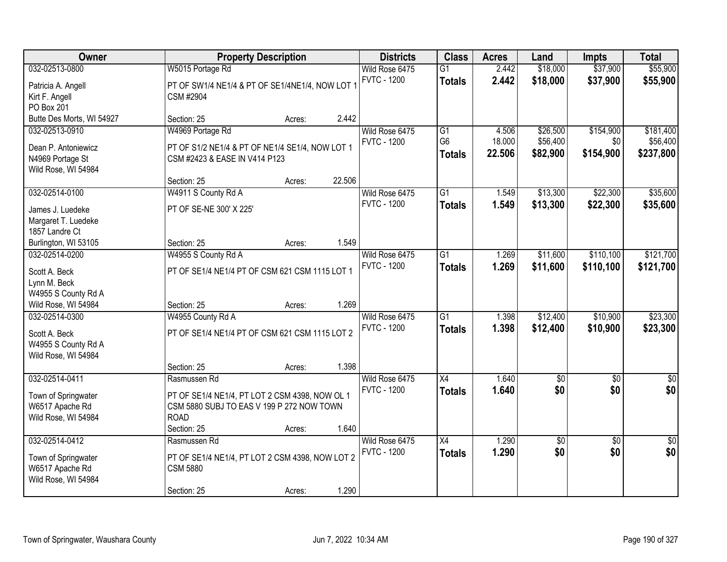| Owner                                  | <b>Property Description</b>                                        |        |        | <b>Districts</b>   | <b>Class</b>    | <b>Acres</b> | Land            | <b>Impts</b>    | <b>Total</b>     |
|----------------------------------------|--------------------------------------------------------------------|--------|--------|--------------------|-----------------|--------------|-----------------|-----------------|------------------|
| 032-02513-0800                         | W5015 Portage Rd                                                   |        |        | Wild Rose 6475     | $\overline{G1}$ | 2.442        | \$18,000        | \$37,900        | \$55,900         |
| Patricia A. Angell                     | PT OF SW1/4 NE1/4 & PT OF SE1/4NE1/4, NOW LOT 1                    |        |        | <b>FVTC - 1200</b> | <b>Totals</b>   | 2.442        | \$18,000        | \$37,900        | \$55,900         |
| Kirt F. Angell                         | CSM #2904                                                          |        |        |                    |                 |              |                 |                 |                  |
| PO Box 201                             |                                                                    |        |        |                    |                 |              |                 |                 |                  |
| Butte Des Morts, WI 54927              | Section: 25                                                        | Acres: | 2.442  |                    |                 |              |                 |                 |                  |
| 032-02513-0910                         | W4969 Portage Rd                                                   |        |        | Wild Rose 6475     | G1              | 4.506        | \$26,500        | \$154,900       | \$181,400        |
| Dean P. Antoniewicz                    | PT OF S1/2 NE1/4 & PT OF NE1/4 SE1/4, NOW LOT 1                    |        |        | <b>FVTC - 1200</b> | G <sub>6</sub>  | 18.000       | \$56,400        | \$0             | \$56,400         |
| N4969 Portage St                       | CSM #2423 & EASE IN V414 P123                                      |        |        |                    | <b>Totals</b>   | 22.506       | \$82,900        | \$154,900       | \$237,800        |
| Wild Rose, WI 54984                    |                                                                    |        |        |                    |                 |              |                 |                 |                  |
|                                        | Section: 25                                                        | Acres: | 22.506 |                    |                 |              |                 |                 |                  |
| 032-02514-0100                         | W4911 S County Rd A                                                |        |        | Wild Rose 6475     | $\overline{G1}$ | 1.549        | \$13,300        | \$22,300        | \$35,600         |
| James J. Luedeke                       | PT OF SE-NE 300' X 225'                                            |        |        | <b>FVTC - 1200</b> | <b>Totals</b>   | 1.549        | \$13,300        | \$22,300        | \$35,600         |
| Margaret T. Luedeke                    |                                                                    |        |        |                    |                 |              |                 |                 |                  |
| 1857 Landre Ct                         |                                                                    |        |        |                    |                 |              |                 |                 |                  |
| Burlington, WI 53105                   | Section: 25                                                        | Acres: | 1.549  |                    |                 |              |                 |                 |                  |
| 032-02514-0200                         | W4955 S County Rd A                                                |        |        | Wild Rose 6475     | $\overline{G1}$ | 1.269        | \$11,600        | \$110,100       | \$121,700        |
| Scott A. Beck                          | PT OF SE1/4 NE1/4 PT OF CSM 621 CSM 1115 LOT 1                     |        |        | <b>FVTC - 1200</b> | <b>Totals</b>   | 1.269        | \$11,600        | \$110,100       | \$121,700        |
| Lynn M. Beck                           |                                                                    |        |        |                    |                 |              |                 |                 |                  |
| W4955 S County Rd A                    |                                                                    |        |        |                    |                 |              |                 |                 |                  |
| Wild Rose, WI 54984                    | Section: 25                                                        | Acres: | 1.269  |                    |                 |              |                 |                 |                  |
| 032-02514-0300                         | W4955 County Rd A                                                  |        |        | Wild Rose 6475     | $\overline{G1}$ | 1.398        | \$12,400        | \$10,900        | \$23,300         |
| Scott A. Beck                          | PT OF SE1/4 NE1/4 PT OF CSM 621 CSM 1115 LOT 2                     |        |        | <b>FVTC - 1200</b> | <b>Totals</b>   | 1.398        | \$12,400        | \$10,900        | \$23,300         |
| W4955 S County Rd A                    |                                                                    |        |        |                    |                 |              |                 |                 |                  |
| Wild Rose, WI 54984                    |                                                                    |        |        |                    |                 |              |                 |                 |                  |
|                                        | Section: 25                                                        | Acres: | 1.398  |                    |                 |              |                 |                 |                  |
| 032-02514-0411                         | Rasmussen Rd                                                       |        |        | Wild Rose 6475     | $\overline{X4}$ | 1.640        | $\overline{60}$ | $\overline{50}$ | $\sqrt{50}$      |
| Town of Springwater                    | PT OF SE1/4 NE1/4, PT LOT 2 CSM 4398, NOW OL 1                     |        |        | <b>FVTC - 1200</b> | <b>Totals</b>   | 1.640        | \$0             | \$0             | \$0              |
| W6517 Apache Rd                        | CSM 5880 SUBJ TO EAS V 199 P 272 NOW TOWN                          |        |        |                    |                 |              |                 |                 |                  |
| Wild Rose, WI 54984                    | <b>ROAD</b>                                                        |        |        |                    |                 |              |                 |                 |                  |
|                                        | Section: 25                                                        | Acres: | 1.640  |                    |                 |              |                 |                 |                  |
| 032-02514-0412                         | Rasmussen Rd                                                       |        |        | Wild Rose 6475     | $\overline{X4}$ | 1.290        | $\overline{50}$ | $\overline{30}$ | $\overline{\$0}$ |
|                                        |                                                                    |        |        | <b>FVTC - 1200</b> | <b>Totals</b>   | 1.290        | \$0             | \$0             | \$0              |
| Town of Springwater<br>W6517 Apache Rd | PT OF SE1/4 NE1/4, PT LOT 2 CSM 4398, NOW LOT 2<br><b>CSM 5880</b> |        |        |                    |                 |              |                 |                 |                  |
| Wild Rose, WI 54984                    |                                                                    |        |        |                    |                 |              |                 |                 |                  |
|                                        | Section: 25                                                        | Acres: | 1.290  |                    |                 |              |                 |                 |                  |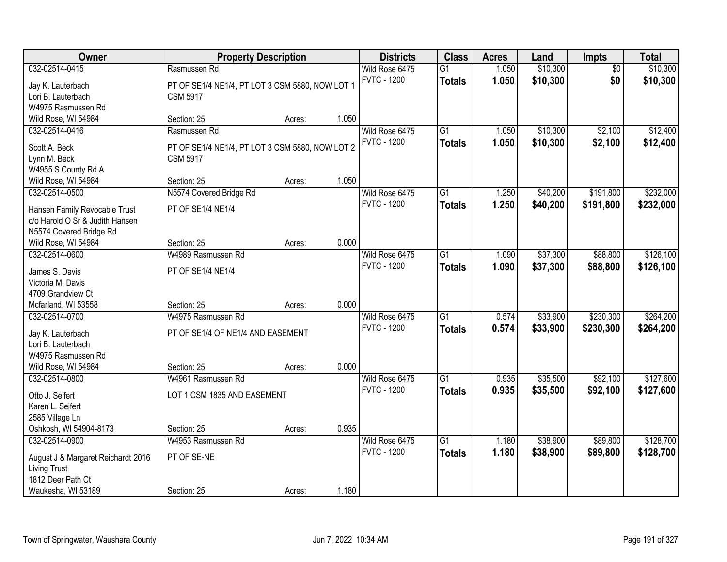| Owner                                          | <b>Property Description</b>                     |        | <b>Districts</b> | <b>Class</b>       | <b>Acres</b>    | Land  | Impts    | <b>Total</b>    |           |
|------------------------------------------------|-------------------------------------------------|--------|------------------|--------------------|-----------------|-------|----------|-----------------|-----------|
| 032-02514-0415                                 | Rasmussen Rd                                    |        |                  | Wild Rose 6475     | $\overline{G1}$ | 1.050 | \$10,300 | $\overline{50}$ | \$10,300  |
| Jay K. Lauterbach                              | PT OF SE1/4 NE1/4, PT LOT 3 CSM 5880, NOW LOT 1 |        |                  | <b>FVTC - 1200</b> | <b>Totals</b>   | 1.050 | \$10,300 | \$0             | \$10,300  |
| Lori B. Lauterbach                             | <b>CSM 5917</b>                                 |        |                  |                    |                 |       |          |                 |           |
| W4975 Rasmussen Rd                             |                                                 |        |                  |                    |                 |       |          |                 |           |
| Wild Rose, WI 54984                            | Section: 25                                     | Acres: | 1.050            |                    |                 |       |          |                 |           |
| 032-02514-0416                                 | Rasmussen Rd                                    |        |                  | Wild Rose 6475     | $\overline{G1}$ | 1.050 | \$10,300 | \$2,100         | \$12,400  |
| Scott A. Beck                                  | PT OF SE1/4 NE1/4, PT LOT 3 CSM 5880, NOW LOT 2 |        |                  | <b>FVTC - 1200</b> | <b>Totals</b>   | 1.050 | \$10,300 | \$2,100         | \$12,400  |
| Lynn M. Beck                                   | <b>CSM 5917</b>                                 |        |                  |                    |                 |       |          |                 |           |
| W4955 S County Rd A                            |                                                 |        |                  |                    |                 |       |          |                 |           |
| Wild Rose, WI 54984                            | Section: 25                                     | Acres: | 1.050            |                    |                 |       |          |                 |           |
| 032-02514-0500                                 | N5574 Covered Bridge Rd                         |        |                  | Wild Rose 6475     | $\overline{G1}$ | 1.250 | \$40,200 | \$191,800       | \$232,000 |
|                                                |                                                 |        |                  | <b>FVTC - 1200</b> | <b>Totals</b>   | 1.250 | \$40,200 | \$191,800       | \$232,000 |
| Hansen Family Revocable Trust                  | PT OF SE1/4 NE1/4                               |        |                  |                    |                 |       |          |                 |           |
| c/o Harold O Sr & Judith Hansen                |                                                 |        |                  |                    |                 |       |          |                 |           |
| N5574 Covered Bridge Rd<br>Wild Rose, WI 54984 | Section: 25                                     | Acres: | 0.000            |                    |                 |       |          |                 |           |
| 032-02514-0600                                 | W4989 Rasmussen Rd                              |        |                  | Wild Rose 6475     | $\overline{G1}$ | 1.090 | \$37,300 | \$88,800        | \$126,100 |
|                                                |                                                 |        |                  | <b>FVTC - 1200</b> | <b>Totals</b>   | 1.090 | \$37,300 | \$88,800        | \$126,100 |
| James S. Davis                                 | PT OF SE1/4 NE1/4                               |        |                  |                    |                 |       |          |                 |           |
| Victoria M. Davis                              |                                                 |        |                  |                    |                 |       |          |                 |           |
| 4709 Grandview Ct                              |                                                 |        |                  |                    |                 |       |          |                 |           |
| Mcfarland, WI 53558                            | Section: 25                                     | Acres: | 0.000            |                    |                 |       |          |                 |           |
| 032-02514-0700                                 | W4975 Rasmussen Rd                              |        |                  | Wild Rose 6475     | $\overline{G1}$ | 0.574 | \$33,900 | \$230,300       | \$264,200 |
| Jay K. Lauterbach                              | PT OF SE1/4 OF NE1/4 AND EASEMENT               |        |                  | <b>FVTC - 1200</b> | <b>Totals</b>   | 0.574 | \$33,900 | \$230,300       | \$264,200 |
| Lori B. Lauterbach                             |                                                 |        |                  |                    |                 |       |          |                 |           |
| W4975 Rasmussen Rd                             |                                                 |        |                  |                    |                 |       |          |                 |           |
| Wild Rose, WI 54984                            | Section: 25                                     | Acres: | 0.000            |                    |                 |       |          |                 |           |
| 032-02514-0800                                 | W4961 Rasmussen Rd                              |        |                  | Wild Rose 6475     | $\overline{G1}$ | 0.935 | \$35,500 | \$92,100        | \$127,600 |
| Otto J. Seifert                                | LOT 1 CSM 1835 AND EASEMENT                     |        |                  | <b>FVTC - 1200</b> | <b>Totals</b>   | 0.935 | \$35,500 | \$92,100        | \$127,600 |
| Karen L. Seifert                               |                                                 |        |                  |                    |                 |       |          |                 |           |
| 2585 Village Ln                                |                                                 |        |                  |                    |                 |       |          |                 |           |
| Oshkosh, WI 54904-8173                         | Section: 25                                     | Acres: | 0.935            |                    |                 |       |          |                 |           |
| 032-02514-0900                                 | W4953 Rasmussen Rd                              |        |                  | Wild Rose 6475     | $\overline{G1}$ | 1.180 | \$38,900 | \$89,800        | \$128,700 |
|                                                |                                                 |        |                  | <b>FVTC - 1200</b> | <b>Totals</b>   | 1.180 | \$38,900 | \$89,800        | \$128,700 |
| August J & Margaret Reichardt 2016             | PT OF SE-NE                                     |        |                  |                    |                 |       |          |                 |           |
| <b>Living Trust</b>                            |                                                 |        |                  |                    |                 |       |          |                 |           |
| 1812 Deer Path Ct                              |                                                 |        |                  |                    |                 |       |          |                 |           |
| Waukesha, WI 53189                             | Section: 25                                     | Acres: | 1.180            |                    |                 |       |          |                 |           |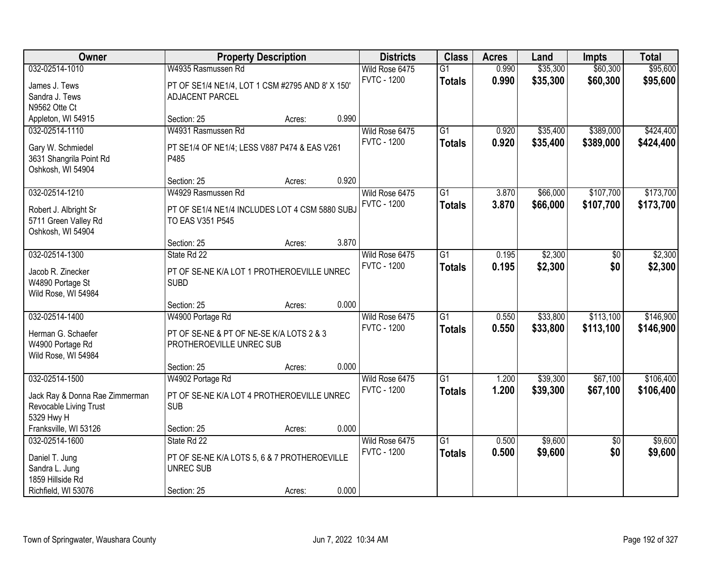| <b>Owner</b>                   | <b>Property Description</b>                      |        |       | <b>Districts</b>   | <b>Class</b>    | <b>Acres</b> | Land     | <b>Impts</b>    | <b>Total</b> |
|--------------------------------|--------------------------------------------------|--------|-------|--------------------|-----------------|--------------|----------|-----------------|--------------|
| 032-02514-1010                 | W4935 Rasmussen Rd                               |        |       | Wild Rose 6475     | $\overline{G1}$ | 0.990        | \$35,300 | \$60,300        | \$95,600     |
| James J. Tews                  | PT OF SE1/4 NE1/4, LOT 1 CSM #2795 AND 8' X 150' |        |       | <b>FVTC - 1200</b> | <b>Totals</b>   | 0.990        | \$35,300 | \$60,300        | \$95,600     |
| Sandra J. Tews                 | ADJACENT PARCEL                                  |        |       |                    |                 |              |          |                 |              |
| N9562 Otte Ct                  |                                                  |        |       |                    |                 |              |          |                 |              |
| Appleton, WI 54915             | Section: 25                                      | Acres: | 0.990 |                    |                 |              |          |                 |              |
| 032-02514-1110                 | W4931 Rasmussen Rd                               |        |       | Wild Rose 6475     | $\overline{G1}$ | 0.920        | \$35,400 | \$389,000       | \$424,400    |
| Gary W. Schmiedel              | PT SE1/4 OF NE1/4; LESS V887 P474 & EAS V261     |        |       | <b>FVTC - 1200</b> | <b>Totals</b>   | 0.920        | \$35,400 | \$389,000       | \$424,400    |
| 3631 Shangrila Point Rd        | P485                                             |        |       |                    |                 |              |          |                 |              |
| Oshkosh, WI 54904              |                                                  |        |       |                    |                 |              |          |                 |              |
|                                | Section: 25                                      | Acres: | 0.920 |                    |                 |              |          |                 |              |
| 032-02514-1210                 | W4929 Rasmussen Rd                               |        |       | Wild Rose 6475     | G <sub>1</sub>  | 3.870        | \$66,000 | \$107,700       | \$173,700    |
| Robert J. Albright Sr          | PT OF SE1/4 NE1/4 INCLUDES LOT 4 CSM 5880 SUBJ   |        |       | <b>FVTC - 1200</b> | <b>Totals</b>   | 3.870        | \$66,000 | \$107,700       | \$173,700    |
| 5711 Green Valley Rd           | TO EAS V351 P545                                 |        |       |                    |                 |              |          |                 |              |
| Oshkosh, WI 54904              |                                                  |        |       |                    |                 |              |          |                 |              |
|                                | Section: 25                                      | Acres: | 3.870 |                    |                 |              |          |                 |              |
| 032-02514-1300                 | State Rd 22                                      |        |       | Wild Rose 6475     | $\overline{G1}$ | 0.195        | \$2,300  | \$0             | \$2,300      |
| Jacob R. Zinecker              | PT OF SE-NE K/A LOT 1 PROTHEROEVILLE UNREC       |        |       | <b>FVTC - 1200</b> | <b>Totals</b>   | 0.195        | \$2,300  | \$0             | \$2,300      |
| W4890 Portage St               | <b>SUBD</b>                                      |        |       |                    |                 |              |          |                 |              |
| Wild Rose, WI 54984            |                                                  |        |       |                    |                 |              |          |                 |              |
|                                | Section: 25                                      | Acres: | 0.000 |                    |                 |              |          |                 |              |
| 032-02514-1400                 | W4900 Portage Rd                                 |        |       | Wild Rose 6475     | $\overline{G1}$ | 0.550        | \$33,800 | \$113,100       | \$146,900    |
| Herman G. Schaefer             | PT OF SE-NE & PT OF NE-SE K/A LOTS 2 & 3         |        |       | <b>FVTC - 1200</b> | <b>Totals</b>   | 0.550        | \$33,800 | \$113,100       | \$146,900    |
| W4900 Portage Rd               | PROTHEROEVILLE UNREC SUB                         |        |       |                    |                 |              |          |                 |              |
| Wild Rose, WI 54984            |                                                  |        |       |                    |                 |              |          |                 |              |
|                                | Section: 25                                      | Acres: | 0.000 |                    |                 |              |          |                 |              |
| 032-02514-1500                 | W4902 Portage Rd                                 |        |       | Wild Rose 6475     | $\overline{G1}$ | 1.200        | \$39,300 | \$67,100        | \$106,400    |
| Jack Ray & Donna Rae Zimmerman | PT OF SE-NE K/A LOT 4 PROTHEROEVILLE UNREC       |        |       | <b>FVTC - 1200</b> | <b>Totals</b>   | 1.200        | \$39,300 | \$67,100        | \$106,400    |
| Revocable Living Trust         | <b>SUB</b>                                       |        |       |                    |                 |              |          |                 |              |
| 5329 Hwy H                     |                                                  |        |       |                    |                 |              |          |                 |              |
| Franksville, WI 53126          | Section: 25                                      | Acres: | 0.000 |                    |                 |              |          |                 |              |
| 032-02514-1600                 | State Rd 22                                      |        |       | Wild Rose 6475     | $\overline{G1}$ | 0.500        | \$9,600  | $\overline{50}$ | \$9,600      |
| Daniel T. Jung                 | PT OF SE-NE K/A LOTS 5, 6 & 7 PROTHEROEVILLE     |        |       | <b>FVTC - 1200</b> | <b>Totals</b>   | 0.500        | \$9,600  | \$0             | \$9,600      |
| Sandra L. Jung                 | <b>UNREC SUB</b>                                 |        |       |                    |                 |              |          |                 |              |
| 1859 Hillside Rd               |                                                  |        |       |                    |                 |              |          |                 |              |
| Richfield, WI 53076            | Section: 25                                      | Acres: | 0.000 |                    |                 |              |          |                 |              |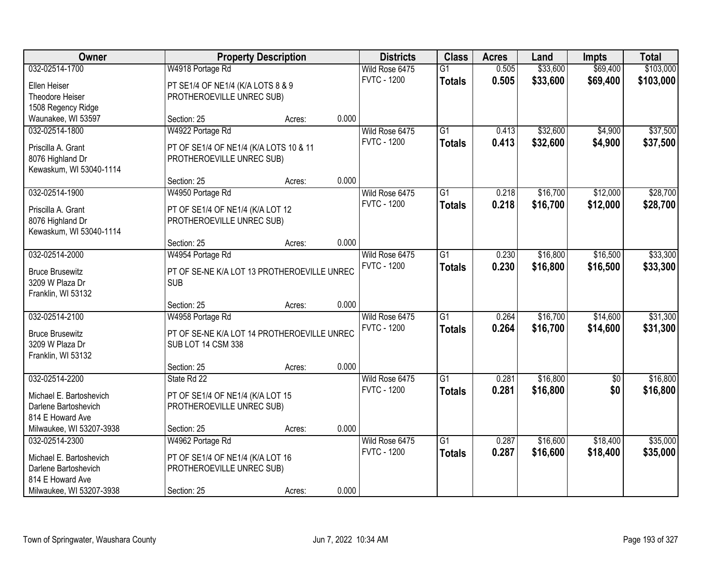| Owner                    |                                             | <b>Property Description</b> |       | <b>Districts</b>   | <b>Class</b>    | <b>Acres</b> | Land     | <b>Impts</b> | <b>Total</b> |
|--------------------------|---------------------------------------------|-----------------------------|-------|--------------------|-----------------|--------------|----------|--------------|--------------|
| 032-02514-1700           | W4918 Portage Rd                            |                             |       | Wild Rose 6475     | $\overline{G1}$ | 0.505        | \$33,600 | \$69,400     | \$103,000    |
| Ellen Heiser             | PT SE1/4 OF NE1/4 (K/A LOTS 8 & 9           |                             |       | <b>FVTC - 1200</b> | <b>Totals</b>   | 0.505        | \$33,600 | \$69,400     | \$103,000    |
| Theodore Heiser          | PROTHEROEVILLE UNREC SUB)                   |                             |       |                    |                 |              |          |              |              |
| 1508 Regency Ridge       |                                             |                             |       |                    |                 |              |          |              |              |
| Waunakee, WI 53597       | Section: 25                                 | Acres:                      | 0.000 |                    |                 |              |          |              |              |
| 032-02514-1800           | W4922 Portage Rd                            |                             |       | Wild Rose 6475     | $\overline{G1}$ | 0.413        | \$32,600 | \$4,900      | \$37,500     |
| Priscilla A. Grant       | PT OF SE1/4 OF NE1/4 (K/A LOTS 10 & 11      |                             |       | <b>FVTC - 1200</b> | <b>Totals</b>   | 0.413        | \$32,600 | \$4,900      | \$37,500     |
| 8076 Highland Dr         | PROTHEROEVILLE UNREC SUB)                   |                             |       |                    |                 |              |          |              |              |
| Kewaskum, WI 53040-1114  |                                             |                             |       |                    |                 |              |          |              |              |
|                          | Section: 25                                 | Acres:                      | 0.000 |                    |                 |              |          |              |              |
| 032-02514-1900           | W4950 Portage Rd                            |                             |       | Wild Rose 6475     | G1              | 0.218        | \$16,700 | \$12,000     | \$28,700     |
| Priscilla A. Grant       | PT OF SE1/4 OF NE1/4 (K/A LOT 12            |                             |       | <b>FVTC - 1200</b> | <b>Totals</b>   | 0.218        | \$16,700 | \$12,000     | \$28,700     |
| 8076 Highland Dr         | PROTHEROEVILLE UNREC SUB)                   |                             |       |                    |                 |              |          |              |              |
| Kewaskum, WI 53040-1114  |                                             |                             |       |                    |                 |              |          |              |              |
|                          | Section: 25                                 | Acres:                      | 0.000 |                    |                 |              |          |              |              |
| 032-02514-2000           | W4954 Portage Rd                            |                             |       | Wild Rose 6475     | G1              | 0.230        | \$16,800 | \$16,500     | \$33,300     |
| <b>Bruce Brusewitz</b>   | PT OF SE-NE K/A LOT 13 PROTHEROEVILLE UNREC |                             |       | <b>FVTC - 1200</b> | <b>Totals</b>   | 0.230        | \$16,800 | \$16,500     | \$33,300     |
| 3209 W Plaza Dr          | <b>SUB</b>                                  |                             |       |                    |                 |              |          |              |              |
| Franklin, WI 53132       |                                             |                             |       |                    |                 |              |          |              |              |
|                          | Section: 25                                 | Acres:                      | 0.000 |                    |                 |              |          |              |              |
| 032-02514-2100           | W4958 Portage Rd                            |                             |       | Wild Rose 6475     | $\overline{G1}$ | 0.264        | \$16,700 | \$14,600     | \$31,300     |
| <b>Bruce Brusewitz</b>   | PT OF SE-NE K/A LOT 14 PROTHEROEVILLE UNREC |                             |       | <b>FVTC - 1200</b> | <b>Totals</b>   | 0.264        | \$16,700 | \$14,600     | \$31,300     |
| 3209 W Plaza Dr          | SUB LOT 14 CSM 338                          |                             |       |                    |                 |              |          |              |              |
| Franklin, WI 53132       |                                             |                             |       |                    |                 |              |          |              |              |
|                          | Section: 25                                 | Acres:                      | 0.000 |                    |                 |              |          |              |              |
| 032-02514-2200           | State Rd 22                                 |                             |       | Wild Rose 6475     | $\overline{G1}$ | 0.281        | \$16,800 | $\sqrt{6}$   | \$16,800     |
| Michael E. Bartoshevich  | PT OF SE1/4 OF NE1/4 (K/A LOT 15            |                             |       | <b>FVTC - 1200</b> | <b>Totals</b>   | 0.281        | \$16,800 | \$0          | \$16,800     |
| Darlene Bartoshevich     | PROTHEROEVILLE UNREC SUB)                   |                             |       |                    |                 |              |          |              |              |
| 814 E Howard Ave         |                                             |                             |       |                    |                 |              |          |              |              |
| Milwaukee, WI 53207-3938 | Section: 25                                 | Acres:                      | 0.000 |                    |                 |              |          |              |              |
| 032-02514-2300           | W4962 Portage Rd                            |                             |       | Wild Rose 6475     | $\overline{G1}$ | 0.287        | \$16,600 | \$18,400     | \$35,000     |
| Michael E. Bartoshevich  | PT OF SE1/4 OF NE1/4 (K/A LOT 16            |                             |       | <b>FVTC - 1200</b> | <b>Totals</b>   | 0.287        | \$16,600 | \$18,400     | \$35,000     |
| Darlene Bartoshevich     | PROTHEROEVILLE UNREC SUB)                   |                             |       |                    |                 |              |          |              |              |
| 814 E Howard Ave         |                                             |                             |       |                    |                 |              |          |              |              |
| Milwaukee, WI 53207-3938 | Section: 25                                 | Acres:                      | 0.000 |                    |                 |              |          |              |              |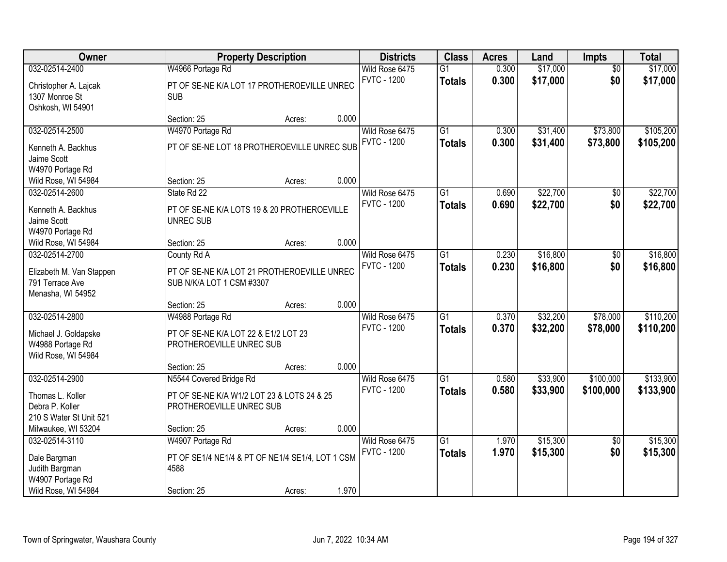| Owner                                    |                                                                  | <b>Property Description</b> |       | <b>Districts</b>   | <b>Class</b>    | <b>Acres</b> | Land     | Impts           | <b>Total</b> |
|------------------------------------------|------------------------------------------------------------------|-----------------------------|-------|--------------------|-----------------|--------------|----------|-----------------|--------------|
| 032-02514-2400                           | W4966 Portage Rd                                                 |                             |       | Wild Rose 6475     | $\overline{G1}$ | 0.300        | \$17,000 | $\overline{50}$ | \$17,000     |
| Christopher A. Lajcak                    | PT OF SE-NE K/A LOT 17 PROTHEROEVILLE UNREC                      |                             |       | <b>FVTC - 1200</b> | <b>Totals</b>   | 0.300        | \$17,000 | \$0             | \$17,000     |
| 1307 Monroe St                           | <b>SUB</b>                                                       |                             |       |                    |                 |              |          |                 |              |
| Oshkosh, WI 54901                        |                                                                  |                             |       |                    |                 |              |          |                 |              |
|                                          | Section: 25                                                      | Acres:                      | 0.000 |                    |                 |              |          |                 |              |
| 032-02514-2500                           | W4970 Portage Rd                                                 |                             |       | Wild Rose 6475     | $\overline{G1}$ | 0.300        | \$31,400 | \$73,800        | \$105,200    |
| Kenneth A. Backhus                       | PT OF SE-NE LOT 18 PROTHEROEVILLE UNREC SUB                      |                             |       | <b>FVTC - 1200</b> | <b>Totals</b>   | 0.300        | \$31,400 | \$73,800        | \$105,200    |
| Jaime Scott                              |                                                                  |                             |       |                    |                 |              |          |                 |              |
| W4970 Portage Rd                         |                                                                  |                             |       |                    |                 |              |          |                 |              |
| Wild Rose, WI 54984                      | Section: 25                                                      | Acres:                      | 0.000 |                    |                 |              |          |                 |              |
| 032-02514-2600                           | State Rd 22                                                      |                             |       | Wild Rose 6475     | G1              | 0.690        | \$22,700 | \$0             | \$22,700     |
| Kenneth A. Backhus                       | PT OF SE-NE K/A LOTS 19 & 20 PROTHEROEVILLE                      |                             |       | <b>FVTC - 1200</b> | <b>Totals</b>   | 0.690        | \$22,700 | \$0             | \$22,700     |
| Jaime Scott                              | <b>UNREC SUB</b>                                                 |                             |       |                    |                 |              |          |                 |              |
| W4970 Portage Rd                         |                                                                  |                             |       |                    |                 |              |          |                 |              |
| Wild Rose, WI 54984                      | Section: 25                                                      | Acres:                      | 0.000 |                    |                 |              |          |                 |              |
| 032-02514-2700                           | County Rd A                                                      |                             |       | Wild Rose 6475     | $\overline{G1}$ | 0.230        | \$16,800 | \$0             | \$16,800     |
| Elizabeth M. Van Stappen                 | PT OF SE-NE K/A LOT 21 PROTHEROEVILLE UNREC                      |                             |       | <b>FVTC - 1200</b> | <b>Totals</b>   | 0.230        | \$16,800 | \$0             | \$16,800     |
| 791 Terrace Ave                          | SUB N/K/A LOT 1 CSM #3307                                        |                             |       |                    |                 |              |          |                 |              |
| Menasha, WI 54952                        |                                                                  |                             |       |                    |                 |              |          |                 |              |
|                                          | Section: 25                                                      | Acres:                      | 0.000 |                    |                 |              |          |                 |              |
| 032-02514-2800                           | W4988 Portage Rd                                                 |                             |       | Wild Rose 6475     | $\overline{G1}$ | 0.370        | \$32,200 | \$78,000        | \$110,200    |
|                                          |                                                                  |                             |       | <b>FVTC - 1200</b> | <b>Totals</b>   | 0.370        | \$32,200 | \$78,000        | \$110,200    |
| Michael J. Goldapske<br>W4988 Portage Rd | PT OF SE-NE K/A LOT 22 & E1/2 LOT 23<br>PROTHEROEVILLE UNREC SUB |                             |       |                    |                 |              |          |                 |              |
| Wild Rose, WI 54984                      |                                                                  |                             |       |                    |                 |              |          |                 |              |
|                                          | Section: 25                                                      | Acres:                      | 0.000 |                    |                 |              |          |                 |              |
| 032-02514-2900                           | N5544 Covered Bridge Rd                                          |                             |       | Wild Rose 6475     | $\overline{G1}$ | 0.580        | \$33,900 | \$100,000       | \$133,900    |
| Thomas L. Koller                         | PT OF SE-NE K/A W1/2 LOT 23 & LOTS 24 & 25                       |                             |       | <b>FVTC - 1200</b> | <b>Totals</b>   | 0.580        | \$33,900 | \$100,000       | \$133,900    |
| Debra P. Koller                          | PROTHEROEVILLE UNREC SUB                                         |                             |       |                    |                 |              |          |                 |              |
| 210 S Water St Unit 521                  |                                                                  |                             |       |                    |                 |              |          |                 |              |
| Milwaukee, WI 53204                      | Section: 25                                                      | Acres:                      | 0.000 |                    |                 |              |          |                 |              |
| 032-02514-3110                           | W4907 Portage Rd                                                 |                             |       | Wild Rose 6475     | $\overline{G1}$ | 1.970        | \$15,300 | $\overline{50}$ | \$15,300     |
| Dale Bargman                             | PT OF SE1/4 NE1/4 & PT OF NE1/4 SE1/4, LOT 1 CSM                 |                             |       | <b>FVTC - 1200</b> | <b>Totals</b>   | 1.970        | \$15,300 | \$0             | \$15,300     |
| Judith Bargman                           | 4588                                                             |                             |       |                    |                 |              |          |                 |              |
| W4907 Portage Rd                         |                                                                  |                             |       |                    |                 |              |          |                 |              |
| Wild Rose, WI 54984                      | Section: 25                                                      | Acres:                      | 1.970 |                    |                 |              |          |                 |              |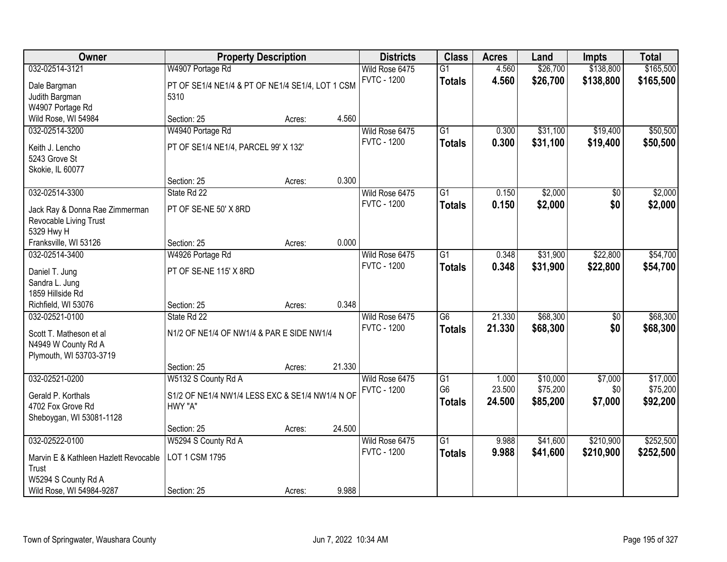| Owner                                                    | <b>Property Description</b>                      |        |        | <b>Districts</b>                     | <b>Class</b>                      | <b>Acres</b>    | Land                 | <b>Impts</b>   | <b>Total</b>         |
|----------------------------------------------------------|--------------------------------------------------|--------|--------|--------------------------------------|-----------------------------------|-----------------|----------------------|----------------|----------------------|
| 032-02514-3121                                           | W4907 Portage Rd                                 |        |        | Wild Rose 6475                       | $\overline{G1}$                   | 4.560           | \$26,700             | \$138,800      | \$165,500            |
| Dale Bargman                                             | PT OF SE1/4 NE1/4 & PT OF NE1/4 SE1/4, LOT 1 CSM |        |        | <b>FVTC - 1200</b>                   | <b>Totals</b>                     | 4.560           | \$26,700             | \$138,800      | \$165,500            |
| Judith Bargman                                           | 5310                                             |        |        |                                      |                                   |                 |                      |                |                      |
| W4907 Portage Rd                                         |                                                  |        |        |                                      |                                   |                 |                      |                |                      |
| Wild Rose, WI 54984                                      | Section: 25                                      | Acres: | 4.560  |                                      |                                   |                 |                      |                |                      |
| 032-02514-3200                                           | W4940 Portage Rd                                 |        |        | Wild Rose 6475                       | $\overline{G1}$                   | 0.300           | \$31,100             | \$19,400       | \$50,500             |
| Keith J. Lencho                                          | PT OF SE1/4 NE1/4, PARCEL 99' X 132'             |        |        | <b>FVTC - 1200</b>                   | <b>Totals</b>                     | 0.300           | \$31,100             | \$19,400       | \$50,500             |
| 5243 Grove St                                            |                                                  |        |        |                                      |                                   |                 |                      |                |                      |
| Skokie, IL 60077                                         |                                                  |        |        |                                      |                                   |                 |                      |                |                      |
|                                                          | Section: 25                                      | Acres: | 0.300  |                                      |                                   |                 |                      |                |                      |
| 032-02514-3300                                           | State Rd 22                                      |        |        | Wild Rose 6475                       | $\overline{G1}$                   | 0.150           | \$2,000              | \$0            | \$2,000              |
|                                                          |                                                  |        |        | <b>FVTC - 1200</b>                   | <b>Totals</b>                     | 0.150           | \$2,000              | \$0            | \$2,000              |
| Jack Ray & Donna Rae Zimmerman<br>Revocable Living Trust | PT OF SE-NE 50' X 8RD                            |        |        |                                      |                                   |                 |                      |                |                      |
| 5329 Hwy H                                               |                                                  |        |        |                                      |                                   |                 |                      |                |                      |
| Franksville, WI 53126                                    | Section: 25                                      | Acres: | 0.000  |                                      |                                   |                 |                      |                |                      |
| 032-02514-3400                                           | W4926 Portage Rd                                 |        |        | Wild Rose 6475                       | $\overline{G1}$                   | 0.348           | \$31,900             | \$22,800       | \$54,700             |
|                                                          |                                                  |        |        | <b>FVTC - 1200</b>                   | <b>Totals</b>                     | 0.348           | \$31,900             | \$22,800       | \$54,700             |
| Daniel T. Jung                                           | PT OF SE-NE 115' X 8RD                           |        |        |                                      |                                   |                 |                      |                |                      |
| Sandra L. Jung<br>1859 Hillside Rd                       |                                                  |        |        |                                      |                                   |                 |                      |                |                      |
| Richfield, WI 53076                                      | Section: 25                                      | Acres: | 0.348  |                                      |                                   |                 |                      |                |                      |
| 032-02521-0100                                           | State Rd 22                                      |        |        | Wild Rose 6475                       | $\overline{G6}$                   | 21.330          | \$68,300             | \$0            | \$68,300             |
|                                                          |                                                  |        |        | <b>FVTC - 1200</b>                   | <b>Totals</b>                     | 21.330          | \$68,300             | \$0            | \$68,300             |
| Scott T. Matheson et al                                  | N1/2 OF NE1/4 OF NW1/4 & PAR E SIDE NW1/4        |        |        |                                      |                                   |                 |                      |                |                      |
| N4949 W County Rd A                                      |                                                  |        |        |                                      |                                   |                 |                      |                |                      |
| Plymouth, WI 53703-3719                                  |                                                  |        |        |                                      |                                   |                 |                      |                |                      |
|                                                          | Section: 25                                      | Acres: | 21.330 |                                      |                                   |                 |                      |                |                      |
| 032-02521-0200                                           | W5132 S County Rd A                              |        |        | Wild Rose 6475<br><b>FVTC - 1200</b> | $\overline{G1}$<br>G <sub>6</sub> | 1.000<br>23.500 | \$10,000<br>\$75,200 | \$7,000<br>\$0 | \$17,000<br>\$75,200 |
| Gerald P. Korthals                                       | S1/2 OF NE1/4 NW1/4 LESS EXC & SE1/4 NW1/4 N OF  |        |        |                                      | <b>Totals</b>                     | 24.500          | \$85,200             | \$7,000        | \$92,200             |
| 4702 Fox Grove Rd                                        | HWY "A"                                          |        |        |                                      |                                   |                 |                      |                |                      |
| Sheboygan, WI 53081-1128                                 |                                                  |        |        |                                      |                                   |                 |                      |                |                      |
|                                                          | Section: 25                                      | Acres: | 24.500 |                                      |                                   |                 |                      |                |                      |
| 032-02522-0100                                           | W5294 S County Rd A                              |        |        | Wild Rose 6475                       | $\overline{G1}$                   | 9.988           | \$41,600             | \$210,900      | \$252,500            |
| Marvin E & Kathleen Hazlett Revocable                    | <b>LOT 1 CSM 1795</b>                            |        |        | <b>FVTC - 1200</b>                   | <b>Totals</b>                     | 9.988           | \$41,600             | \$210,900      | \$252,500            |
| Trust                                                    |                                                  |        |        |                                      |                                   |                 |                      |                |                      |
| W5294 S County Rd A                                      |                                                  |        |        |                                      |                                   |                 |                      |                |                      |
| Wild Rose, WI 54984-9287                                 | Section: 25                                      | Acres: | 9.988  |                                      |                                   |                 |                      |                |                      |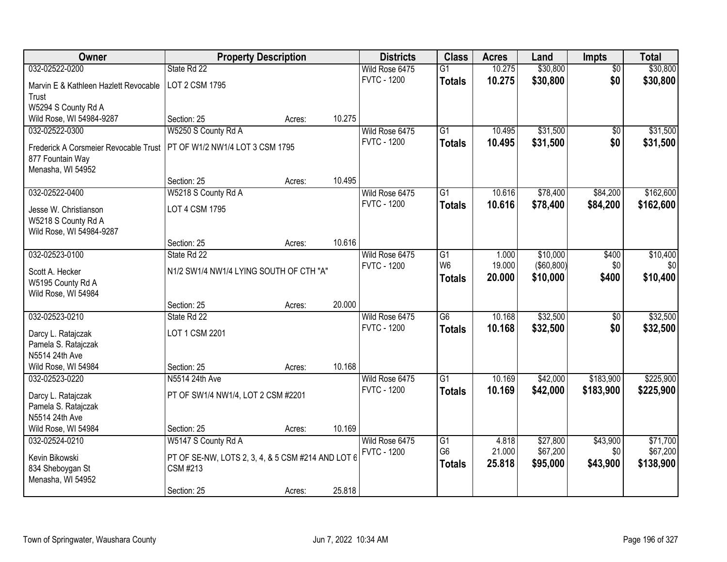| Owner                                 | <b>Property Description</b>                       |        |        | <b>Districts</b>   | <b>Class</b>    | <b>Acres</b> | Land         | <b>Impts</b>    | <b>Total</b> |
|---------------------------------------|---------------------------------------------------|--------|--------|--------------------|-----------------|--------------|--------------|-----------------|--------------|
| 032-02522-0200                        | State Rd 22                                       |        |        | Wild Rose 6475     | $\overline{G1}$ | 10.275       | \$30,800     | $\overline{50}$ | \$30,800     |
| Marvin E & Kathleen Hazlett Revocable | LOT 2 CSM 1795                                    |        |        | <b>FVTC - 1200</b> | <b>Totals</b>   | 10.275       | \$30,800     | \$0             | \$30,800     |
| Trust                                 |                                                   |        |        |                    |                 |              |              |                 |              |
| W5294 S County Rd A                   |                                                   |        |        |                    |                 |              |              |                 |              |
| Wild Rose, WI 54984-9287              | Section: 25                                       | Acres: | 10.275 |                    |                 |              |              |                 |              |
| 032-02522-0300                        | W5250 S County Rd A                               |        |        | Wild Rose 6475     | $\overline{G1}$ | 10.495       | \$31,500     | $\overline{50}$ | \$31,500     |
| Frederick A Corsmeier Revocable Trust | PT OF W1/2 NW1/4 LOT 3 CSM 1795                   |        |        | <b>FVTC - 1200</b> | <b>Totals</b>   | 10.495       | \$31,500     | \$0             | \$31,500     |
| 877 Fountain Way                      |                                                   |        |        |                    |                 |              |              |                 |              |
| Menasha, WI 54952                     |                                                   |        |        |                    |                 |              |              |                 |              |
|                                       | Section: 25                                       | Acres: | 10.495 |                    |                 |              |              |                 |              |
| 032-02522-0400                        | W5218 S County Rd A                               |        |        | Wild Rose 6475     | G1              | 10.616       | \$78,400     | \$84,200        | \$162,600    |
| Jesse W. Christianson                 | LOT 4 CSM 1795                                    |        |        | <b>FVTC - 1200</b> | <b>Totals</b>   | 10.616       | \$78,400     | \$84,200        | \$162,600    |
| W5218 S County Rd A                   |                                                   |        |        |                    |                 |              |              |                 |              |
| Wild Rose, WI 54984-9287              |                                                   |        |        |                    |                 |              |              |                 |              |
|                                       | Section: 25                                       | Acres: | 10.616 |                    |                 |              |              |                 |              |
| 032-02523-0100                        | State Rd 22                                       |        |        | Wild Rose 6475     | G1              | 1.000        | \$10,000     | \$400           | \$10,400     |
| Scott A. Hecker                       | N1/2 SW1/4 NW1/4 LYING SOUTH OF CTH "A"           |        |        | <b>FVTC - 1200</b> | W <sub>6</sub>  | 19.000       | ( \$60, 800) | \$0             | \$0          |
| W5195 County Rd A                     |                                                   |        |        |                    | <b>Totals</b>   | 20.000       | \$10,000     | \$400           | \$10,400     |
| Wild Rose, WI 54984                   |                                                   |        |        |                    |                 |              |              |                 |              |
|                                       | Section: 25                                       | Acres: | 20.000 |                    |                 |              |              |                 |              |
| 032-02523-0210                        | State Rd 22                                       |        |        | Wild Rose 6475     | $\overline{G6}$ | 10.168       | \$32,500     | $\overline{50}$ | \$32,500     |
| Darcy L. Ratajczak                    | LOT 1 CSM 2201                                    |        |        | <b>FVTC - 1200</b> | <b>Totals</b>   | 10.168       | \$32,500     | \$0             | \$32,500     |
| Pamela S. Ratajczak                   |                                                   |        |        |                    |                 |              |              |                 |              |
| N5514 24th Ave                        |                                                   |        |        |                    |                 |              |              |                 |              |
| Wild Rose, WI 54984                   | Section: 25                                       | Acres: | 10.168 |                    |                 |              |              |                 |              |
| 032-02523-0220                        | N5514 24th Ave                                    |        |        | Wild Rose 6475     | $\overline{G1}$ | 10.169       | \$42,000     | \$183,900       | \$225,900    |
| Darcy L. Ratajczak                    | PT OF SW1/4 NW1/4, LOT 2 CSM #2201                |        |        | <b>FVTC - 1200</b> | <b>Totals</b>   | 10.169       | \$42,000     | \$183,900       | \$225,900    |
| Pamela S. Ratajczak                   |                                                   |        |        |                    |                 |              |              |                 |              |
| N5514 24th Ave                        |                                                   |        |        |                    |                 |              |              |                 |              |
| Wild Rose, WI 54984                   | Section: 25                                       | Acres: | 10.169 |                    |                 |              |              |                 |              |
| 032-02524-0210                        | W5147 S County Rd A                               |        |        | Wild Rose 6475     | $\overline{G1}$ | 4.818        | \$27,800     | \$43,900        | \$71,700     |
| Kevin Bikowski                        | PT OF SE-NW, LOTS 2, 3, 4, & 5 CSM #214 AND LOT 6 |        |        | <b>FVTC - 1200</b> | G <sub>6</sub>  | 21.000       | \$67,200     | \$0             | \$67,200     |
| 834 Sheboygan St                      | CSM #213                                          |        |        |                    | <b>Totals</b>   | 25.818       | \$95,000     | \$43,900        | \$138,900    |
| Menasha, WI 54952                     |                                                   |        |        |                    |                 |              |              |                 |              |
|                                       | Section: 25                                       | Acres: | 25.818 |                    |                 |              |              |                 |              |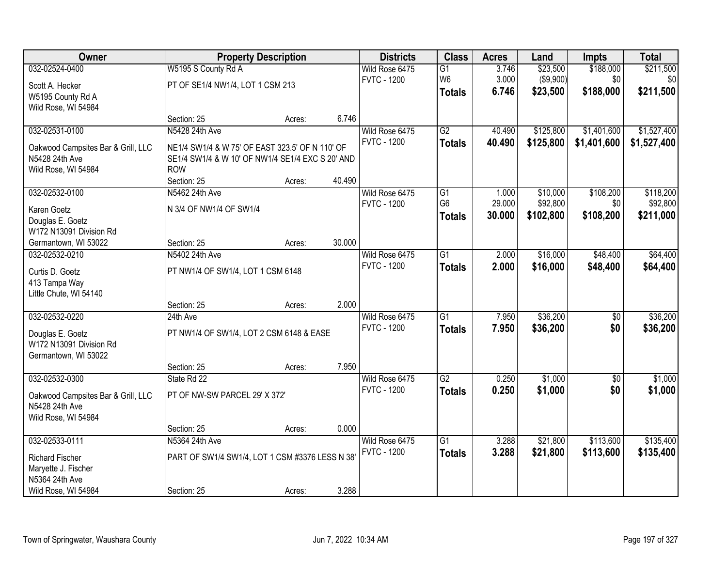| Owner                              |                                                  | <b>Property Description</b> |        | <b>Districts</b>   | <b>Class</b>    | <b>Acres</b> | Land      | <b>Impts</b>    | <b>Total</b>     |
|------------------------------------|--------------------------------------------------|-----------------------------|--------|--------------------|-----------------|--------------|-----------|-----------------|------------------|
| 032-02524-0400                     | W5195 S County Rd A                              |                             |        | Wild Rose 6475     | $\overline{G1}$ | 3.746        | \$23,500  | \$188,000       | \$211,500        |
| Scott A. Hecker                    | PT OF SE1/4 NW1/4, LOT 1 CSM 213                 |                             |        | <b>FVTC - 1200</b> | W <sub>6</sub>  | 3.000        | (\$9,900) | \$0             | \$0 <sub>1</sub> |
| W5195 County Rd A                  |                                                  |                             |        |                    | <b>Totals</b>   | 6.746        | \$23,500  | \$188,000       | \$211,500        |
| Wild Rose, WI 54984                |                                                  |                             |        |                    |                 |              |           |                 |                  |
|                                    | Section: 25                                      | Acres:                      | 6.746  |                    |                 |              |           |                 |                  |
| 032-02531-0100                     | N5428 24th Ave                                   |                             |        | Wild Rose 6475     | G2              | 40.490       | \$125,800 | \$1,401,600     | \$1,527,400      |
| Oakwood Campsites Bar & Grill, LLC | NE1/4 SW1/4 & W 75' OF EAST 323.5' OF N 110' OF  |                             |        | <b>FVTC - 1200</b> | <b>Totals</b>   | 40.490       | \$125,800 | \$1,401,600     | \$1,527,400      |
| N5428 24th Ave                     | SE1/4 SW1/4 & W 10' OF NW1/4 SE1/4 EXC S 20' AND |                             |        |                    |                 |              |           |                 |                  |
| Wild Rose, WI 54984                | <b>ROW</b>                                       |                             |        |                    |                 |              |           |                 |                  |
|                                    | Section: 25                                      | Acres:                      | 40.490 |                    |                 |              |           |                 |                  |
| 032-02532-0100                     | N5462 24th Ave                                   |                             |        | Wild Rose 6475     | G1              | 1.000        | \$10,000  | \$108,200       | \$118,200        |
| Karen Goetz                        | N 3/4 OF NW1/4 OF SW1/4                          |                             |        | <b>FVTC - 1200</b> | G <sub>6</sub>  | 29.000       | \$92,800  | \$0             | \$92,800         |
| Douglas E. Goetz                   |                                                  |                             |        |                    | <b>Totals</b>   | 30.000       | \$102,800 | \$108,200       | \$211,000        |
| W172 N13091 Division Rd            |                                                  |                             |        |                    |                 |              |           |                 |                  |
| Germantown, WI 53022               | Section: 25                                      | Acres:                      | 30.000 |                    |                 |              |           |                 |                  |
| 032-02532-0210                     | N5402 24th Ave                                   |                             |        | Wild Rose 6475     | $\overline{G1}$ | 2.000        | \$16,000  | \$48,400        | \$64,400         |
| Curtis D. Goetz                    | PT NW1/4 OF SW1/4, LOT 1 CSM 6148                |                             |        | <b>FVTC - 1200</b> | <b>Totals</b>   | 2.000        | \$16,000  | \$48,400        | \$64,400         |
| 413 Tampa Way                      |                                                  |                             |        |                    |                 |              |           |                 |                  |
| Little Chute, WI 54140             |                                                  |                             |        |                    |                 |              |           |                 |                  |
|                                    | Section: 25                                      | Acres:                      | 2.000  |                    |                 |              |           |                 |                  |
| 032-02532-0220                     | 24th Ave                                         |                             |        | Wild Rose 6475     | $\overline{G1}$ | 7.950        | \$36,200  | $\overline{50}$ | \$36,200         |
| Douglas E. Goetz                   | PT NW1/4 OF SW1/4, LOT 2 CSM 6148 & EASE         |                             |        | <b>FVTC - 1200</b> | <b>Totals</b>   | 7.950        | \$36,200  | \$0             | \$36,200         |
| W172 N13091 Division Rd            |                                                  |                             |        |                    |                 |              |           |                 |                  |
| Germantown, WI 53022               |                                                  |                             |        |                    |                 |              |           |                 |                  |
|                                    | Section: 25                                      | Acres:                      | 7.950  |                    |                 |              |           |                 |                  |
| 032-02532-0300                     | State Rd 22                                      |                             |        | Wild Rose 6475     | $\overline{G2}$ | 0.250        | \$1,000   | $\sqrt{6}$      | \$1,000          |
| Oakwood Campsites Bar & Grill, LLC | PT OF NW-SW PARCEL 29' X 372'                    |                             |        | <b>FVTC - 1200</b> | <b>Totals</b>   | 0.250        | \$1,000   | \$0             | \$1,000          |
| N5428 24th Ave                     |                                                  |                             |        |                    |                 |              |           |                 |                  |
| Wild Rose, WI 54984                |                                                  |                             |        |                    |                 |              |           |                 |                  |
|                                    | Section: 25                                      | Acres:                      | 0.000  |                    |                 |              |           |                 |                  |
| 032-02533-0111                     | N5364 24th Ave                                   |                             |        | Wild Rose 6475     | $\overline{G1}$ | 3.288        | \$21,800  | \$113,600       | \$135,400        |
| <b>Richard Fischer</b>             | PART OF SW1/4 SW1/4, LOT 1 CSM #3376 LESS N 38'  |                             |        | <b>FVTC - 1200</b> | <b>Totals</b>   | 3.288        | \$21,800  | \$113,600       | \$135,400        |
| Maryette J. Fischer                |                                                  |                             |        |                    |                 |              |           |                 |                  |
| N5364 24th Ave                     |                                                  |                             |        |                    |                 |              |           |                 |                  |
| Wild Rose, WI 54984                | Section: 25                                      | Acres:                      | 3.288  |                    |                 |              |           |                 |                  |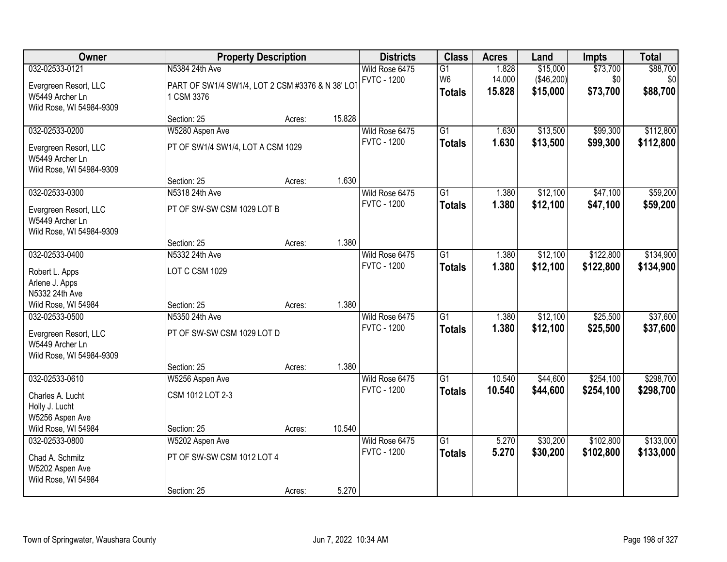| Owner                                                                |                                                                | <b>Property Description</b> |        | <b>Districts</b>                     | <b>Class</b>                      | <b>Acres</b>    | Land                   | <b>Impts</b>    | <b>Total</b>    |
|----------------------------------------------------------------------|----------------------------------------------------------------|-----------------------------|--------|--------------------------------------|-----------------------------------|-----------------|------------------------|-----------------|-----------------|
| 032-02533-0121                                                       | N5384 24th Ave                                                 |                             |        | Wild Rose 6475<br><b>FVTC - 1200</b> | $\overline{G1}$<br>W <sub>6</sub> | 1.828<br>14.000 | \$15,000<br>(\$46,200) | \$73,700<br>\$0 | \$88,700<br>\$0 |
| Evergreen Resort, LLC<br>W5449 Archer Ln<br>Wild Rose, WI 54984-9309 | PART OF SW1/4 SW1/4, LOT 2 CSM #3376 & N 38' LOT<br>1 CSM 3376 |                             |        |                                      | <b>Totals</b>                     | 15.828          | \$15,000               | \$73,700        | \$88,700        |
|                                                                      | Section: 25                                                    | Acres:                      | 15.828 |                                      |                                   |                 |                        |                 |                 |
| 032-02533-0200                                                       | W5280 Aspen Ave                                                |                             |        | Wild Rose 6475                       | $\overline{G1}$                   | 1.630           | \$13,500               | \$99,300        | \$112,800       |
| Evergreen Resort, LLC<br>W5449 Archer Ln<br>Wild Rose, WI 54984-9309 | PT OF SW1/4 SW1/4, LOT A CSM 1029                              |                             |        | <b>FVTC - 1200</b>                   | <b>Totals</b>                     | 1.630           | \$13,500               | \$99,300        | \$112,800       |
|                                                                      | Section: 25                                                    | Acres:                      | 1.630  |                                      |                                   |                 |                        |                 |                 |
| 032-02533-0300                                                       | N5318 24th Ave                                                 |                             |        | Wild Rose 6475                       | G1                                | 1.380           | \$12,100               | \$47,100        | \$59,200        |
| Evergreen Resort, LLC<br>W5449 Archer Ln<br>Wild Rose, WI 54984-9309 | PT OF SW-SW CSM 1029 LOT B                                     |                             |        | <b>FVTC - 1200</b>                   | <b>Totals</b>                     | 1.380           | \$12,100               | \$47,100        | \$59,200        |
|                                                                      | Section: 25                                                    | Acres:                      | 1.380  |                                      |                                   |                 |                        |                 |                 |
| 032-02533-0400                                                       | N5332 24th Ave                                                 |                             |        | Wild Rose 6475                       | G1                                | 1.380           | \$12,100               | \$122,800       | \$134,900       |
| Robert L. Apps<br>Arlene J. Apps                                     | LOT C CSM 1029                                                 |                             |        | <b>FVTC - 1200</b>                   | <b>Totals</b>                     | 1.380           | \$12,100               | \$122,800       | \$134,900       |
| N5332 24th Ave<br>Wild Rose, WI 54984                                | Section: 25                                                    | Acres:                      | 1.380  |                                      |                                   |                 |                        |                 |                 |
| 032-02533-0500                                                       | N5350 24th Ave                                                 |                             |        | Wild Rose 6475                       | $\overline{G1}$                   | 1.380           | \$12,100               | \$25,500        | \$37,600        |
| Evergreen Resort, LLC<br>W5449 Archer Ln<br>Wild Rose, WI 54984-9309 | PT OF SW-SW CSM 1029 LOT D                                     |                             |        | <b>FVTC - 1200</b>                   | <b>Totals</b>                     | 1.380           | \$12,100               | \$25,500        | \$37,600        |
|                                                                      | Section: 25                                                    | Acres:                      | 1.380  |                                      |                                   |                 |                        |                 |                 |
| 032-02533-0610                                                       | W5256 Aspen Ave                                                |                             |        | Wild Rose 6475                       | $\overline{G1}$                   | 10.540          | \$44,600               | \$254,100       | \$298,700       |
| Charles A. Lucht<br>Holly J. Lucht<br>W5256 Aspen Ave                | CSM 1012 LOT 2-3                                               |                             |        | <b>FVTC - 1200</b>                   | <b>Totals</b>                     | 10.540          | \$44,600               | \$254,100       | \$298,700       |
| Wild Rose, WI 54984                                                  | Section: 25                                                    | Acres:                      | 10.540 |                                      |                                   |                 |                        |                 |                 |
| 032-02533-0800                                                       | W5202 Aspen Ave                                                |                             |        | Wild Rose 6475                       | $\overline{G1}$                   | 5.270           | \$30,200               | \$102,800       | \$133,000       |
| Chad A. Schmitz<br>W5202 Aspen Ave<br>Wild Rose, WI 54984            | PT OF SW-SW CSM 1012 LOT 4                                     |                             |        | <b>FVTC - 1200</b>                   | <b>Totals</b>                     | 5.270           | \$30,200               | \$102,800       | \$133,000       |
|                                                                      | Section: 25                                                    | Acres:                      | 5.270  |                                      |                                   |                 |                        |                 |                 |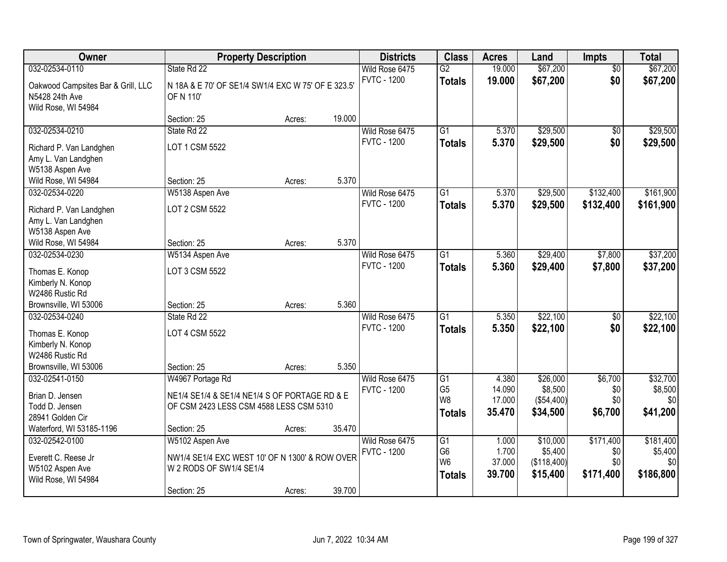| Owner                                                                       |                                                                                          | <b>Property Description</b> |        | <b>Districts</b>                     | <b>Class</b>                     | <b>Acres</b>     | Land                 | <b>Impts</b>           | <b>Total</b>         |
|-----------------------------------------------------------------------------|------------------------------------------------------------------------------------------|-----------------------------|--------|--------------------------------------|----------------------------------|------------------|----------------------|------------------------|----------------------|
| 032-02534-0110                                                              | State Rd 22                                                                              |                             |        | Wild Rose 6475<br><b>FVTC - 1200</b> | $\overline{G2}$<br><b>Totals</b> | 19.000<br>19.000 | \$67,200<br>\$67,200 | $\overline{50}$<br>\$0 | \$67,200<br>\$67,200 |
| Oakwood Campsites Bar & Grill, LLC<br>N5428 24th Ave<br>Wild Rose, WI 54984 | N 18A & E 70' OF SE1/4 SW1/4 EXC W 75' OF E 323.5'<br>OF N 110                           |                             |        |                                      |                                  |                  |                      |                        |                      |
|                                                                             | Section: 25                                                                              | Acres:                      | 19.000 |                                      |                                  |                  |                      |                        |                      |
| 032-02534-0210                                                              | State Rd 22                                                                              |                             |        | Wild Rose 6475                       | $\overline{G1}$                  | 5.370            | \$29,500             | \$0                    | \$29,500             |
| Richard P. Van Landghen                                                     | LOT 1 CSM 5522                                                                           |                             |        | <b>FVTC - 1200</b>                   | <b>Totals</b>                    | 5.370            | \$29,500             | \$0                    | \$29,500             |
| Amy L. Van Landghen                                                         |                                                                                          |                             |        |                                      |                                  |                  |                      |                        |                      |
| W5138 Aspen Ave                                                             |                                                                                          |                             |        |                                      |                                  |                  |                      |                        |                      |
| Wild Rose, WI 54984<br>032-02534-0220                                       | Section: 25                                                                              | Acres:                      | 5.370  | Wild Rose 6475                       | $\overline{G1}$                  | 5.370            | \$29,500             | \$132,400              | \$161,900            |
|                                                                             | W5138 Aspen Ave                                                                          |                             |        | <b>FVTC - 1200</b>                   | <b>Totals</b>                    | 5.370            | \$29,500             | \$132,400              | \$161,900            |
| Richard P. Van Landghen                                                     | LOT 2 CSM 5522                                                                           |                             |        |                                      |                                  |                  |                      |                        |                      |
| Amy L. Van Landghen                                                         |                                                                                          |                             |        |                                      |                                  |                  |                      |                        |                      |
| W5138 Aspen Ave<br>Wild Rose, WI 54984                                      | Section: 25                                                                              |                             | 5.370  |                                      |                                  |                  |                      |                        |                      |
| 032-02534-0230                                                              | W5134 Aspen Ave                                                                          | Acres:                      |        | Wild Rose 6475                       | $\overline{G1}$                  | 5.360            | \$29,400             | \$7,800                | \$37,200             |
|                                                                             |                                                                                          |                             |        | <b>FVTC - 1200</b>                   | <b>Totals</b>                    | 5.360            | \$29,400             | \$7,800                | \$37,200             |
| Thomas E. Konop                                                             | LOT 3 CSM 5522                                                                           |                             |        |                                      |                                  |                  |                      |                        |                      |
| Kimberly N. Konop                                                           |                                                                                          |                             |        |                                      |                                  |                  |                      |                        |                      |
| W2486 Rustic Rd<br>Brownsville, WI 53006                                    | Section: 25                                                                              | Acres:                      | 5.360  |                                      |                                  |                  |                      |                        |                      |
| 032-02534-0240                                                              | State Rd 22                                                                              |                             |        | Wild Rose 6475                       | $\overline{G1}$                  | 5.350            | \$22,100             | $\overline{50}$        | \$22,100             |
|                                                                             |                                                                                          |                             |        | <b>FVTC - 1200</b>                   | <b>Totals</b>                    | 5.350            | \$22,100             | \$0                    | \$22,100             |
| Thomas E. Konop                                                             | LOT 4 CSM 5522                                                                           |                             |        |                                      |                                  |                  |                      |                        |                      |
| Kimberly N. Konop<br>W2486 Rustic Rd                                        |                                                                                          |                             |        |                                      |                                  |                  |                      |                        |                      |
| Brownsville, WI 53006                                                       | Section: 25                                                                              | Acres:                      | 5.350  |                                      |                                  |                  |                      |                        |                      |
| 032-02541-0150                                                              | W4967 Portage Rd                                                                         |                             |        | Wild Rose 6475                       | G1                               | 4.380            | \$26,000             | \$6,700                | \$32,700             |
|                                                                             |                                                                                          |                             |        | <b>FVTC - 1200</b>                   | G <sub>5</sub>                   | 14.090           | \$8,500              | \$0                    | \$8,500              |
| Brian D. Jensen<br>Todd D. Jensen                                           | NE1/4 SE1/4 & SE1/4 NE1/4 S OF PORTAGE RD & E<br>OF CSM 2423 LESS CSM 4588 LESS CSM 5310 |                             |        |                                      | W8                               | 17.000           | (\$54,400)           | \$0                    | \$0                  |
| 28941 Golden Cir                                                            |                                                                                          |                             |        |                                      | <b>Totals</b>                    | 35.470           | \$34,500             | \$6,700                | \$41,200             |
| Waterford, WI 53185-1196                                                    | Section: 25                                                                              | Acres:                      | 35.470 |                                      |                                  |                  |                      |                        |                      |
| 032-02542-0100                                                              | W5102 Aspen Ave                                                                          |                             |        | Wild Rose 6475                       | G1                               | 1.000            | \$10,000             | \$171,400              | \$181,400            |
| Everett C. Reese Jr                                                         | NW1/4 SE1/4 EXC WEST 10' OF N 1300' & ROW OVER                                           |                             |        | <b>FVTC - 1200</b>                   | G <sub>6</sub>                   | 1.700            | \$5,400              | \$0                    | \$5,400              |
| W5102 Aspen Ave                                                             | W 2 RODS OF SW1/4 SE1/4                                                                  |                             |        |                                      | W <sub>6</sub>                   | 37.000           | (\$118,400)          | \$0                    | \$0                  |
| Wild Rose, WI 54984                                                         |                                                                                          |                             |        |                                      | <b>Totals</b>                    | 39.700           | \$15,400             | \$171,400              | \$186,800            |
|                                                                             | Section: 25                                                                              | Acres:                      | 39.700 |                                      |                                  |                  |                      |                        |                      |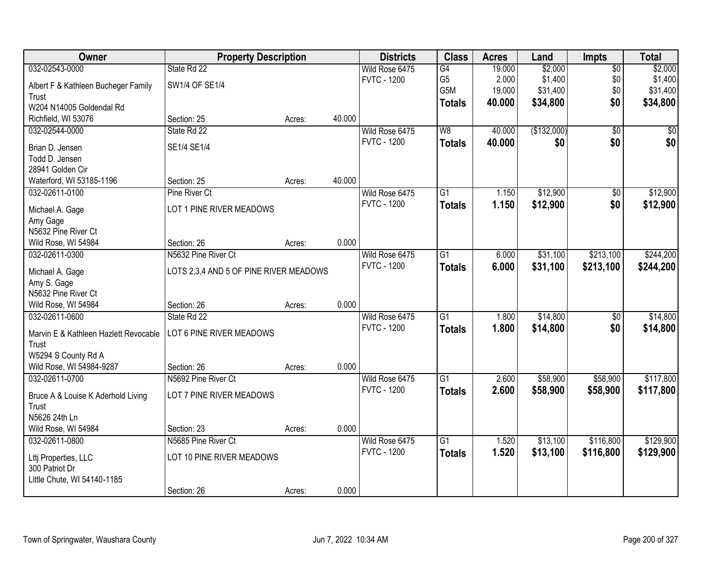| Owner                                 | <b>Property Description</b>            |        |        | <b>Districts</b>                     | <b>Class</b>    | <b>Acres</b> | Land        | <b>Impts</b>    | <b>Total</b> |
|---------------------------------------|----------------------------------------|--------|--------|--------------------------------------|-----------------|--------------|-------------|-----------------|--------------|
| 032-02543-0000                        | State Rd 22                            |        |        | Wild Rose 6475                       | G4              | 19.000       | \$2,000     | $\overline{50}$ | \$2,000      |
| Albert F & Kathleen Bucheger Family   | SW1/4 OF SE1/4                         |        |        | <b>FVTC - 1200</b>                   | G <sub>5</sub>  | 2.000        | \$1,400     | \$0             | \$1,400      |
| Trust                                 |                                        |        |        |                                      | G5M             | 19.000       | \$31,400    | \$0             | \$31,400     |
| W204 N14005 Goldendal Rd              |                                        |        |        |                                      | <b>Totals</b>   | 40.000       | \$34,800    | \$0             | \$34,800     |
| Richfield, WI 53076                   | Section: 25                            | Acres: | 40.000 |                                      |                 |              |             |                 |              |
| 032-02544-0000                        | State Rd 22                            |        |        | Wild Rose 6475                       | W8              | 40.000       | (\$132,000) | $\overline{50}$ | $\sqrt{50}$  |
|                                       |                                        |        |        | <b>FVTC - 1200</b>                   | <b>Totals</b>   | 40.000       | \$0         | \$0             | \$0          |
| Brian D. Jensen                       | SE1/4 SE1/4                            |        |        |                                      |                 |              |             |                 |              |
| Todd D. Jensen                        |                                        |        |        |                                      |                 |              |             |                 |              |
| 28941 Golden Cir                      |                                        |        |        |                                      |                 |              |             |                 |              |
| Waterford, WI 53185-1196              | Section: 25                            | Acres: | 40.000 |                                      |                 |              |             |                 |              |
| 032-02611-0100                        | <b>Pine River Ct</b>                   |        |        | Wild Rose 6475                       | G1              | 1.150        | \$12,900    | \$0             | \$12,900     |
| Michael A. Gage                       | LOT 1 PINE RIVER MEADOWS               |        |        | <b>FVTC - 1200</b>                   | <b>Totals</b>   | 1.150        | \$12,900    | \$0             | \$12,900     |
| Amy Gage                              |                                        |        |        |                                      |                 |              |             |                 |              |
| N5632 Pine River Ct                   |                                        |        |        |                                      |                 |              |             |                 |              |
| Wild Rose, WI 54984                   | Section: 26                            | Acres: | 0.000  |                                      |                 |              |             |                 |              |
| 032-02611-0300                        | N5632 Pine River Ct                    |        |        | Wild Rose 6475                       | G1              | 6.000        | \$31,100    | \$213,100       | \$244,200    |
|                                       |                                        |        |        | <b>FVTC - 1200</b>                   | <b>Totals</b>   | 6.000        | \$31,100    | \$213,100       | \$244,200    |
| Michael A. Gage                       | LOTS 2,3,4 AND 5 OF PINE RIVER MEADOWS |        |        |                                      |                 |              |             |                 |              |
| Amy S. Gage<br>N5632 Pine River Ct    |                                        |        |        |                                      |                 |              |             |                 |              |
| Wild Rose, WI 54984                   |                                        |        | 0.000  |                                      |                 |              |             |                 |              |
| 032-02611-0600                        | Section: 26<br>State Rd 22             | Acres: |        |                                      | $\overline{G1}$ | 1.800        | \$14,800    | $\overline{30}$ | \$14,800     |
|                                       |                                        |        |        | Wild Rose 6475<br><b>FVTC - 1200</b> |                 |              |             |                 |              |
| Marvin E & Kathleen Hazlett Revocable | LOT 6 PINE RIVER MEADOWS               |        |        |                                      | Totals          | 1.800        | \$14,800    | \$0             | \$14,800     |
| Trust                                 |                                        |        |        |                                      |                 |              |             |                 |              |
| W5294 S County Rd A                   |                                        |        |        |                                      |                 |              |             |                 |              |
| Wild Rose, WI 54984-9287              | Section: 26                            | Acres: | 0.000  |                                      |                 |              |             |                 |              |
| 032-02611-0700                        | N5692 Pine River Ct                    |        |        | Wild Rose 6475                       | $\overline{G1}$ | 2.600        | \$58,900    | \$58,900        | \$117,800    |
| Bruce A & Louise K Aderhold Living    | LOT 7 PINE RIVER MEADOWS               |        |        | <b>FVTC - 1200</b>                   | <b>Totals</b>   | 2.600        | \$58,900    | \$58,900        | \$117,800    |
| Trust                                 |                                        |        |        |                                      |                 |              |             |                 |              |
| N5626 24th Ln                         |                                        |        |        |                                      |                 |              |             |                 |              |
| Wild Rose, WI 54984                   | Section: 23                            | Acres: | 0.000  |                                      |                 |              |             |                 |              |
| 032-02611-0800                        | N5685 Pine River Ct                    |        |        | Wild Rose 6475                       | $\overline{G1}$ | 1.520        | \$13,100    | \$116,800       | \$129,900    |
|                                       |                                        |        |        | <b>FVTC - 1200</b>                   | <b>Totals</b>   | 1.520        | \$13,100    | \$116,800       | \$129,900    |
| Ltti Properties, LLC                  | LOT 10 PINE RIVER MEADOWS              |        |        |                                      |                 |              |             |                 |              |
| 300 Patriot Dr                        |                                        |        |        |                                      |                 |              |             |                 |              |
| Little Chute, WI 54140-1185           |                                        |        |        |                                      |                 |              |             |                 |              |
|                                       | Section: 26                            | Acres: | 0.000  |                                      |                 |              |             |                 |              |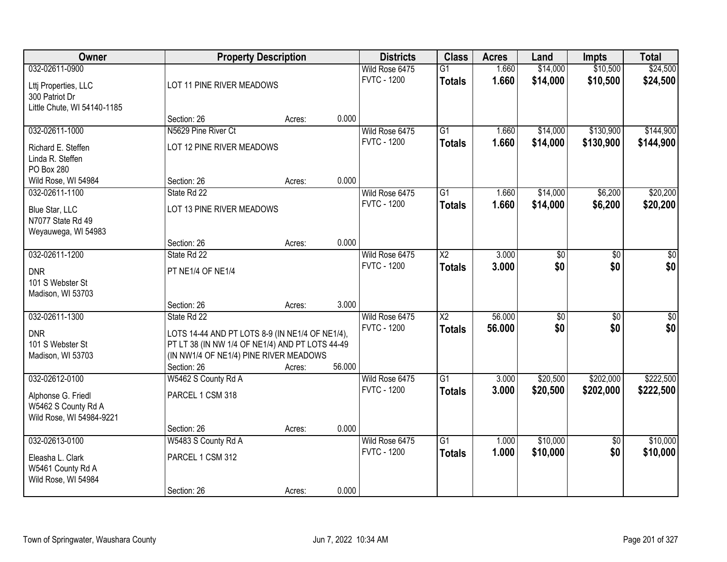| Owner                                                                 |                                                                                                                                              | <b>Property Description</b> |        | <b>Districts</b>                     | <b>Class</b>                            | <b>Acres</b>     | Land                 | <b>Impts</b>           | <b>Total</b>           |
|-----------------------------------------------------------------------|----------------------------------------------------------------------------------------------------------------------------------------------|-----------------------------|--------|--------------------------------------|-----------------------------------------|------------------|----------------------|------------------------|------------------------|
| 032-02611-0900<br>Lttj Properties, LLC<br>300 Patriot Dr              | LOT 11 PINE RIVER MEADOWS                                                                                                                    |                             |        | Wild Rose 6475<br><b>FVTC - 1200</b> | $\overline{G1}$<br><b>Totals</b>        | 1.660<br>1.660   | \$14,000<br>\$14,000 | \$10,500<br>\$10,500   | \$24,500<br>\$24,500   |
| Little Chute, WI 54140-1185                                           | Section: 26                                                                                                                                  | Acres:                      | 0.000  |                                      |                                         |                  |                      |                        |                        |
| 032-02611-1000                                                        | N5629 Pine River Ct                                                                                                                          |                             |        | Wild Rose 6475                       | $\overline{G1}$                         | 1.660            | \$14,000             | \$130,900              | \$144,900              |
| Richard E. Steffen<br>Linda R. Steffen<br>PO Box 280                  | LOT 12 PINE RIVER MEADOWS                                                                                                                    |                             |        | <b>FVTC - 1200</b>                   | <b>Totals</b>                           | 1.660            | \$14,000             | \$130,900              | \$144,900              |
| Wild Rose, WI 54984                                                   | Section: 26                                                                                                                                  | Acres:                      | 0.000  |                                      |                                         |                  |                      |                        |                        |
| 032-02611-1100                                                        | State Rd 22                                                                                                                                  |                             |        | Wild Rose 6475                       | G1                                      | 1.660            | \$14,000             | \$6,200                | \$20,200               |
| Blue Star, LLC<br>N7077 State Rd 49<br>Weyauwega, WI 54983            | LOT 13 PINE RIVER MEADOWS                                                                                                                    |                             |        | <b>FVTC - 1200</b>                   | <b>Totals</b>                           | 1.660            | \$14,000             | \$6,200                | \$20,200               |
|                                                                       | Section: 26                                                                                                                                  | Acres:                      | 0.000  |                                      |                                         |                  |                      |                        |                        |
| 032-02611-1200                                                        | State Rd 22                                                                                                                                  |                             |        | Wild Rose 6475                       | $\overline{\text{X2}}$                  | 3.000            | $\overline{50}$      | $\overline{30}$        | $\overline{50}$        |
| <b>DNR</b><br>101 S Webster St<br>Madison, WI 53703                   | PT NE1/4 OF NE1/4                                                                                                                            |                             |        | <b>FVTC - 1200</b>                   | <b>Totals</b>                           | 3.000            | \$0                  | \$0                    | \$0                    |
|                                                                       | Section: 26                                                                                                                                  | Acres:                      | 3.000  |                                      |                                         |                  |                      |                        |                        |
| 032-02611-1300                                                        | State Rd 22                                                                                                                                  |                             |        | Wild Rose 6475<br><b>FVTC - 1200</b> | $\overline{\text{X2}}$<br><b>Totals</b> | 56.000<br>56.000 | \$0 <br>\$0          | $\overline{50}$<br>\$0 | $\overline{50}$<br>\$0 |
| <b>DNR</b><br>101 S Webster St<br>Madison, WI 53703                   | LOTS 14-44 AND PT LOTS 8-9 (IN NE1/4 OF NE1/4),<br>PT LT 38 (IN NW 1/4 OF NE1/4) AND PT LOTS 44-49<br>(IN NW1/4 OF NE1/4) PINE RIVER MEADOWS |                             |        |                                      |                                         |                  |                      |                        |                        |
|                                                                       | Section: 26                                                                                                                                  | Acres:                      | 56.000 |                                      |                                         |                  |                      |                        |                        |
| 032-02612-0100                                                        | W5462 S County Rd A                                                                                                                          |                             |        | Wild Rose 6475                       | $\overline{G1}$                         | 3.000            | \$20,500             | \$202,000              | \$222,500              |
| Alphonse G. Friedl<br>W5462 S County Rd A<br>Wild Rose, WI 54984-9221 | PARCEL 1 CSM 318                                                                                                                             |                             |        | <b>FVTC - 1200</b>                   | <b>Totals</b>                           | 3.000            | \$20,500             | \$202,000              | \$222,500              |
|                                                                       | Section: 26                                                                                                                                  | Acres:                      | 0.000  |                                      |                                         |                  |                      |                        |                        |
| 032-02613-0100                                                        | W5483 S County Rd A                                                                                                                          |                             |        | Wild Rose 6475                       | $\overline{G1}$                         | 1.000            | \$10,000             | $\overline{50}$        | \$10,000               |
| Eleasha L. Clark<br>W5461 County Rd A<br>Wild Rose, WI 54984          | PARCEL 1 CSM 312                                                                                                                             |                             |        | <b>FVTC - 1200</b>                   | <b>Totals</b>                           | 1.000            | \$10,000             | \$0                    | \$10,000               |
|                                                                       | Section: 26                                                                                                                                  | Acres:                      | 0.000  |                                      |                                         |                  |                      |                        |                        |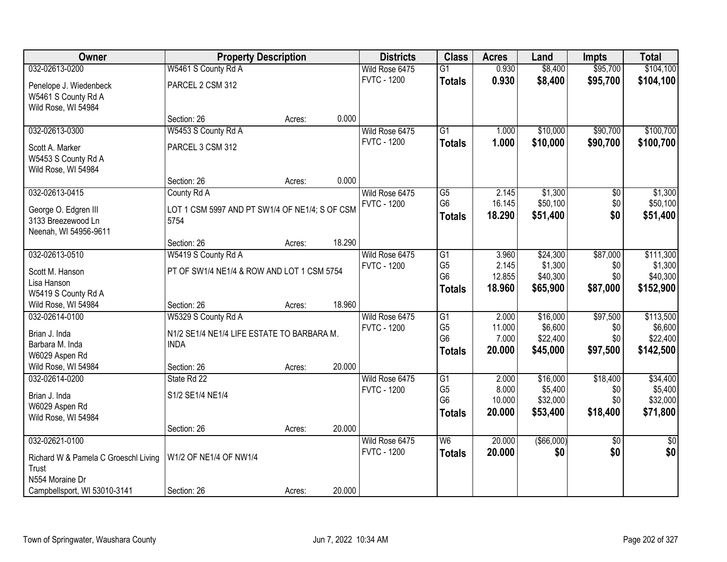| Owner                                         | <b>Property Description</b>                               |        |        | <b>Districts</b>   | <b>Class</b>    | <b>Acres</b> | Land        | <b>Impts</b>    | <b>Total</b>    |
|-----------------------------------------------|-----------------------------------------------------------|--------|--------|--------------------|-----------------|--------------|-------------|-----------------|-----------------|
| 032-02613-0200                                | W5461 S County Rd A                                       |        |        | Wild Rose 6475     | $\overline{G1}$ | 0.930        | \$8,400     | \$95,700        | \$104,100       |
| Penelope J. Wiedenbeck<br>W5461 S County Rd A | PARCEL 2 CSM 312                                          |        |        | <b>FVTC - 1200</b> | <b>Totals</b>   | 0.930        | \$8,400     | \$95,700        | \$104,100       |
| Wild Rose, WI 54984                           | Section: 26                                               | Acres: | 0.000  |                    |                 |              |             |                 |                 |
| 032-02613-0300                                | W5453 S County Rd A                                       |        |        | Wild Rose 6475     | $\overline{G1}$ | 1.000        | \$10,000    | \$90,700        | \$100,700       |
|                                               |                                                           |        |        | <b>FVTC - 1200</b> | <b>Totals</b>   | 1.000        | \$10,000    | \$90,700        | \$100,700       |
| Scott A. Marker                               | PARCEL 3 CSM 312                                          |        |        |                    |                 |              |             |                 |                 |
| W5453 S County Rd A<br>Wild Rose, WI 54984    |                                                           |        |        |                    |                 |              |             |                 |                 |
|                                               | Section: 26                                               | Acres: | 0.000  |                    |                 |              |             |                 |                 |
| 032-02613-0415                                | County Rd A                                               |        |        | Wild Rose 6475     | G5              | 2.145        | \$1,300     | \$0             | \$1,300         |
|                                               |                                                           |        |        | <b>FVTC - 1200</b> | G <sub>6</sub>  | 16.145       | \$50,100    | \$0             | \$50,100        |
| George O. Edgren III                          | LOT 1 CSM 5997 AND PT SW1/4 OF NE1/4; S OF CSM            |        |        |                    | <b>Totals</b>   | 18.290       | \$51,400    | \$0             | \$51,400        |
| 3133 Breezewood Ln<br>Neenah, WI 54956-9611   | 5754                                                      |        |        |                    |                 |              |             |                 |                 |
|                                               | Section: 26                                               | Acres: | 18.290 |                    |                 |              |             |                 |                 |
| 032-02613-0510                                | W5419 S County Rd A                                       |        |        | Wild Rose 6475     | G1              | 3.960        | \$24,300    | \$87,000        | \$111,300       |
|                                               |                                                           |        |        | <b>FVTC - 1200</b> | G <sub>5</sub>  | 2.145        | \$1,300     | \$0             | \$1,300         |
| Scott M. Hanson<br>Lisa Hanson                | PT OF SW1/4 NE1/4 & ROW AND LOT 1 CSM 5754                |        |        |                    | G <sub>6</sub>  | 12.855       | \$40,300    | \$0             | \$40,300        |
| W5419 S County Rd A                           |                                                           |        |        |                    | <b>Totals</b>   | 18.960       | \$65,900    | \$87,000        | \$152,900       |
| Wild Rose, WI 54984                           | Section: 26                                               | Acres: | 18.960 |                    |                 |              |             |                 |                 |
| 032-02614-0100                                | W5329 S County Rd A                                       |        |        | Wild Rose 6475     | $\overline{G1}$ | 2.000        | \$16,000    | \$97,500        | \$113,500       |
|                                               |                                                           |        |        | <b>FVTC - 1200</b> | G <sub>5</sub>  | 11.000       | \$6,600     | \$0             | \$6,600         |
| Brian J. Inda<br>Barbara M. Inda              | N1/2 SE1/4 NE1/4 LIFE ESTATE TO BARBARA M.<br><b>INDA</b> |        |        |                    | G <sub>6</sub>  | 7.000        | \$22,400    | \$0             | \$22,400        |
| W6029 Aspen Rd                                |                                                           |        |        |                    | <b>Totals</b>   | 20.000       | \$45,000    | \$97,500        | \$142,500       |
| Wild Rose, WI 54984                           | Section: 26                                               | Acres: | 20.000 |                    |                 |              |             |                 |                 |
| 032-02614-0200                                | State Rd 22                                               |        |        | Wild Rose 6475     | G1              | 2.000        | \$16,000    | \$18,400        | \$34,400        |
|                                               |                                                           |        |        | <b>FVTC - 1200</b> | G <sub>5</sub>  | 8.000        | \$5,400     | \$0             | \$5,400         |
| Brian J. Inda<br>W6029 Aspen Rd               | S1/2 SE1/4 NE1/4                                          |        |        |                    | G <sub>6</sub>  | 10.000       | \$32,000    | \$0             | \$32,000        |
| Wild Rose, WI 54984                           |                                                           |        |        |                    | <b>Totals</b>   | 20.000       | \$53,400    | \$18,400        | \$71,800        |
|                                               | Section: 26                                               | Acres: | 20.000 |                    |                 |              |             |                 |                 |
| 032-02621-0100                                |                                                           |        |        | Wild Rose 6475     | W6              | 20.000       | ( \$66,000) | $\overline{50}$ | $\overline{50}$ |
|                                               | W1/2 OF NE1/4 OF NW1/4                                    |        |        | <b>FVTC - 1200</b> | <b>Totals</b>   | 20.000       | \$0         | \$0             | \$0             |
| Richard W & Pamela C Groeschl Living<br>Trust |                                                           |        |        |                    |                 |              |             |                 |                 |
| N554 Moraine Dr                               |                                                           |        |        |                    |                 |              |             |                 |                 |
| Campbellsport, WI 53010-3141                  | Section: 26                                               | Acres: | 20.000 |                    |                 |              |             |                 |                 |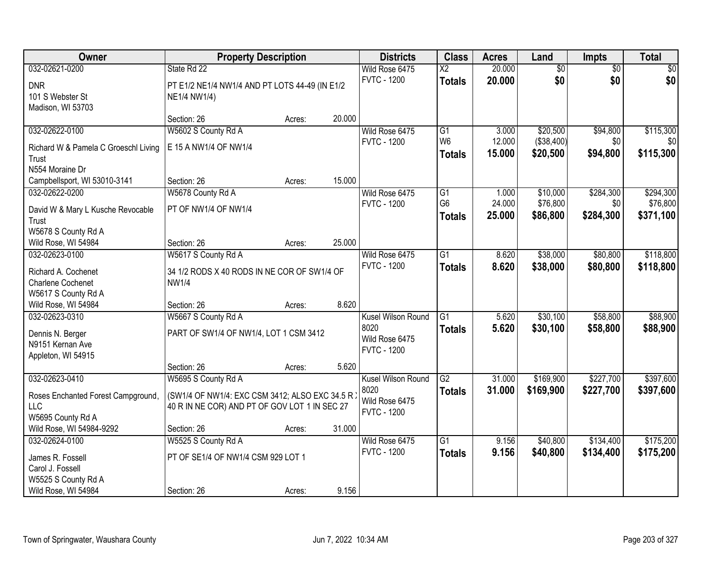| Owner                                | <b>Property Description</b>                     |        |        | <b>Districts</b>   | <b>Class</b>    | <b>Acres</b> | Land            | <b>Impts</b>    | <b>Total</b> |
|--------------------------------------|-------------------------------------------------|--------|--------|--------------------|-----------------|--------------|-----------------|-----------------|--------------|
| 032-02621-0200                       | State Rd 22                                     |        |        | Wild Rose 6475     | $\overline{X2}$ | 20.000       | $\overline{50}$ | $\overline{50}$ | $\sqrt{50}$  |
| <b>DNR</b>                           | PT E1/2 NE1/4 NW1/4 AND PT LOTS 44-49 (IN E1/2  |        |        | <b>FVTC - 1200</b> | <b>Totals</b>   | 20.000       | \$0             | \$0             | \$0          |
| 101 S Webster St                     | NE1/4 NW1/4)                                    |        |        |                    |                 |              |                 |                 |              |
| Madison, WI 53703                    |                                                 |        |        |                    |                 |              |                 |                 |              |
|                                      | Section: 26                                     | Acres: | 20.000 |                    |                 |              |                 |                 |              |
| 032-02622-0100                       | W5602 S County Rd A                             |        |        | Wild Rose 6475     | $\overline{G1}$ | 3.000        | \$20,500        | \$94,800        | \$115,300    |
| Richard W & Pamela C Groeschl Living | E 15 A NW1/4 OF NW1/4                           |        |        | <b>FVTC - 1200</b> | W <sub>6</sub>  | 12.000       | (\$38,400)      | \$0             | \$0          |
| Trust                                |                                                 |        |        |                    | <b>Totals</b>   | 15.000       | \$20,500        | \$94,800        | \$115,300    |
| N554 Moraine Dr                      |                                                 |        |        |                    |                 |              |                 |                 |              |
| Campbellsport, WI 53010-3141         | Section: 26                                     | Acres: | 15.000 |                    |                 |              |                 |                 |              |
| 032-02622-0200                       | W5678 County Rd A                               |        |        | Wild Rose 6475     | G1              | 1.000        | \$10,000        | \$284,300       | \$294,300    |
| David W & Mary L Kusche Revocable    | PT OF NW1/4 OF NW1/4                            |        |        | <b>FVTC - 1200</b> | G <sub>6</sub>  | 24.000       | \$76,800        | \$0             | \$76,800     |
| Trust                                |                                                 |        |        |                    | <b>Totals</b>   | 25.000       | \$86,800        | \$284,300       | \$371,100    |
| W5678 S County Rd A                  |                                                 |        |        |                    |                 |              |                 |                 |              |
| Wild Rose, WI 54984                  | Section: 26                                     | Acres: | 25.000 |                    |                 |              |                 |                 |              |
| 032-02623-0100                       | W5617 S County Rd A                             |        |        | Wild Rose 6475     | $\overline{G1}$ | 8.620        | \$38,000        | \$80,800        | \$118,800    |
| Richard A. Cochenet                  | 34 1/2 RODS X 40 RODS IN NE COR OF SW1/4 OF     |        |        | <b>FVTC - 1200</b> | <b>Totals</b>   | 8.620        | \$38,000        | \$80,800        | \$118,800    |
| <b>Charlene Cochenet</b>             | <b>NW1/4</b>                                    |        |        |                    |                 |              |                 |                 |              |
| W5617 S County Rd A                  |                                                 |        |        |                    |                 |              |                 |                 |              |
| Wild Rose, WI 54984                  | Section: 26                                     | Acres: | 8.620  |                    |                 |              |                 |                 |              |
| 032-02623-0310                       | W5667 S County Rd A                             |        |        | Kusel Wilson Round | $\overline{G1}$ | 5.620        | \$30,100        | \$58,800        | \$88,900     |
| Dennis N. Berger                     | PART OF SW1/4 OF NW1/4, LOT 1 CSM 3412          |        |        | 8020               | <b>Totals</b>   | 5.620        | \$30,100        | \$58,800        | \$88,900     |
| N9151 Kernan Ave                     |                                                 |        |        | Wild Rose 6475     |                 |              |                 |                 |              |
| Appleton, WI 54915                   |                                                 |        |        | <b>FVTC - 1200</b> |                 |              |                 |                 |              |
|                                      | Section: 26                                     | Acres: | 5.620  |                    |                 |              |                 |                 |              |
| 032-02623-0410                       | W5695 S County Rd A                             |        |        | Kusel Wilson Round | G2              | 31.000       | \$169,900       | \$227,700       | \$397,600    |
| Roses Enchanted Forest Campground,   | (SW1/4 OF NW1/4: EXC CSM 3412; ALSO EXC 34.5 R) |        |        | 8020               | <b>Totals</b>   | 31.000       | \$169,900       | \$227,700       | \$397,600    |
| LLC                                  | 40 R IN NE COR) AND PT OF GOV LOT 1 IN SEC 27   |        |        | Wild Rose 6475     |                 |              |                 |                 |              |
| W5695 County Rd A                    |                                                 |        |        | <b>FVTC - 1200</b> |                 |              |                 |                 |              |
| Wild Rose, WI 54984-9292             | Section: 26                                     | Acres: | 31.000 |                    |                 |              |                 |                 |              |
| 032-02624-0100                       | W5525 S County Rd A                             |        |        | Wild Rose 6475     | $\overline{G1}$ | 9.156        | \$40,800        | \$134,400       | \$175,200    |
| James R. Fossell                     | PT OF SE1/4 OF NW1/4 CSM 929 LOT 1              |        |        | <b>FVTC - 1200</b> | <b>Totals</b>   | 9.156        | \$40,800        | \$134,400       | \$175,200    |
| Carol J. Fossell                     |                                                 |        |        |                    |                 |              |                 |                 |              |
| W5525 S County Rd A                  |                                                 |        |        |                    |                 |              |                 |                 |              |
| Wild Rose, WI 54984                  | Section: 26                                     | Acres: | 9.156  |                    |                 |              |                 |                 |              |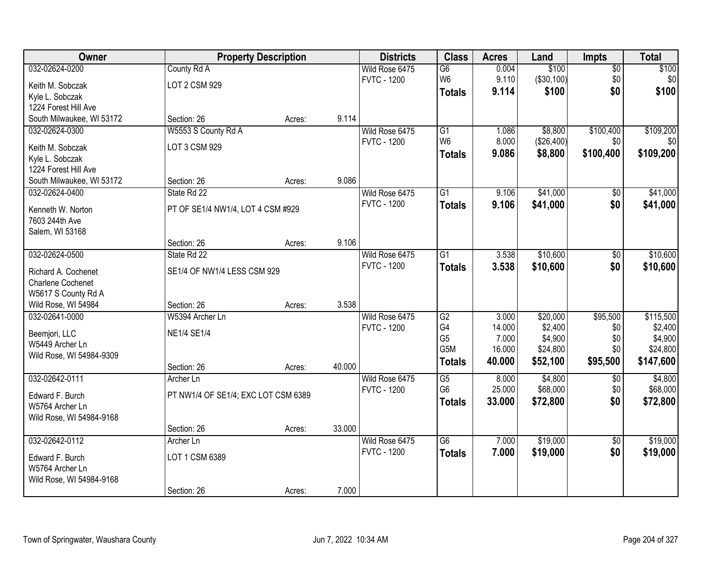| <b>Owner</b>                       |                                     | <b>Property Description</b> |        | <b>Districts</b>   | <b>Class</b>    | <b>Acres</b> | Land       | <b>Impts</b>    | <b>Total</b> |
|------------------------------------|-------------------------------------|-----------------------------|--------|--------------------|-----------------|--------------|------------|-----------------|--------------|
| 032-02624-0200                     | County Rd A                         |                             |        | Wild Rose 6475     | $\overline{G6}$ | 0.004        | \$100      | $\overline{50}$ | \$100        |
| Keith M. Sobczak                   | LOT 2 CSM 929                       |                             |        | <b>FVTC - 1200</b> | W <sub>6</sub>  | 9.110        | (\$30,100) | \$0             | \$0          |
| Kyle L. Sobczak                    |                                     |                             |        |                    | <b>Totals</b>   | 9.114        | \$100      | \$0             | \$100        |
| 1224 Forest Hill Ave               |                                     |                             |        |                    |                 |              |            |                 |              |
| South Milwaukee, WI 53172          | Section: 26                         | Acres:                      | 9.114  |                    |                 |              |            |                 |              |
| 032-02624-0300                     | W5553 S County Rd A                 |                             |        | Wild Rose 6475     | $\overline{G1}$ | 1.086        | \$8,800    | \$100,400       | \$109,200    |
| Keith M. Sobczak                   | LOT 3 CSM 929                       |                             |        | <b>FVTC - 1200</b> | W <sub>6</sub>  | 8.000        | (\$26,400) | \$0             | \$0          |
| Kyle L. Sobczak                    |                                     |                             |        |                    | <b>Totals</b>   | 9.086        | \$8,800    | \$100,400       | \$109,200    |
| 1224 Forest Hill Ave               |                                     |                             |        |                    |                 |              |            |                 |              |
| South Milwaukee, WI 53172          | Section: 26                         | Acres:                      | 9.086  |                    |                 |              |            |                 |              |
| 032-02624-0400                     | State Rd 22                         |                             |        | Wild Rose 6475     | $\overline{G1}$ | 9.106        | \$41,000   | \$0             | \$41,000     |
|                                    |                                     |                             |        | <b>FVTC - 1200</b> | <b>Totals</b>   | 9.106        | \$41,000   | \$0             | \$41,000     |
| Kenneth W. Norton                  | PT OF SE1/4 NW1/4, LOT 4 CSM #929   |                             |        |                    |                 |              |            |                 |              |
| 7603 244th Ave                     |                                     |                             |        |                    |                 |              |            |                 |              |
| Salem, WI 53168                    |                                     |                             |        |                    |                 |              |            |                 |              |
|                                    | Section: 26                         | Acres:                      | 9.106  |                    |                 |              |            |                 |              |
| 032-02624-0500                     | State Rd 22                         |                             |        | Wild Rose 6475     | $\overline{G1}$ | 3.538        | \$10,600   | \$0             | \$10,600     |
| Richard A. Cochenet                | SE1/4 OF NW1/4 LESS CSM 929         |                             |        | <b>FVTC - 1200</b> | <b>Totals</b>   | 3.538        | \$10,600   | \$0             | \$10,600     |
| <b>Charlene Cochenet</b>           |                                     |                             |        |                    |                 |              |            |                 |              |
| W5617 S County Rd A                |                                     |                             |        |                    |                 |              |            |                 |              |
| Wild Rose, WI 54984                | Section: 26                         | Acres:                      | 3.538  |                    |                 |              |            |                 |              |
| 032-02641-0000                     | W5394 Archer Ln                     |                             |        | Wild Rose 6475     | $\overline{G2}$ | 3.000        | \$20,000   | \$95,500        | \$115,500    |
| Beemjori, LLC                      | <b>NE1/4 SE1/4</b>                  |                             |        | <b>FVTC - 1200</b> | G4              | 14.000       | \$2,400    | \$0             | \$2,400      |
| W5449 Archer Ln                    |                                     |                             |        |                    | G <sub>5</sub>  | 7.000        | \$4,900    | \$0             | \$4,900      |
| Wild Rose, WI 54984-9309           |                                     |                             |        |                    | G5M             | 16.000       | \$24,800   | \$0             | \$24,800     |
|                                    | Section: 26                         | Acres:                      | 40.000 |                    | <b>Totals</b>   | 40.000       | \$52,100   | \$95,500        | \$147,600    |
| 032-02642-0111                     | Archer Ln                           |                             |        | Wild Rose 6475     | $\overline{G5}$ | 8.000        | \$4,800    | \$0             | \$4,800      |
|                                    | PT NW1/4 OF SE1/4; EXC LOT CSM 6389 |                             |        | <b>FVTC - 1200</b> | G <sub>6</sub>  | 25.000       | \$68,000   | \$0             | \$68,000     |
| Edward F. Burch<br>W5764 Archer Ln |                                     |                             |        |                    | <b>Totals</b>   | 33.000       | \$72,800   | \$0             | \$72,800     |
| Wild Rose, WI 54984-9168           |                                     |                             |        |                    |                 |              |            |                 |              |
|                                    | Section: 26                         | Acres:                      | 33.000 |                    |                 |              |            |                 |              |
| 032-02642-0112                     | Archer Ln                           |                             |        | Wild Rose 6475     | $\overline{G6}$ | 7.000        | \$19,000   | $\overline{50}$ | \$19,000     |
|                                    |                                     |                             |        | <b>FVTC - 1200</b> | <b>Totals</b>   | 7.000        | \$19,000   | \$0             | \$19,000     |
| Edward F. Burch                    | LOT 1 CSM 6389                      |                             |        |                    |                 |              |            |                 |              |
| W5764 Archer Ln                    |                                     |                             |        |                    |                 |              |            |                 |              |
| Wild Rose, WI 54984-9168           |                                     |                             |        |                    |                 |              |            |                 |              |
|                                    | Section: 26                         | Acres:                      | 7.000  |                    |                 |              |            |                 |              |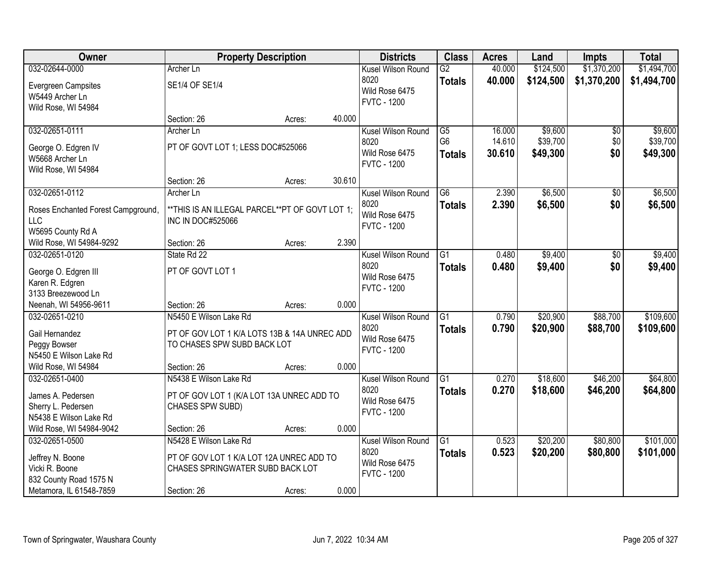| Owner                                 | <b>Property Description</b>                      |        |        | <b>Districts</b>   | <b>Class</b>    | <b>Acres</b> | Land      | <b>Impts</b>    | <b>Total</b> |
|---------------------------------------|--------------------------------------------------|--------|--------|--------------------|-----------------|--------------|-----------|-----------------|--------------|
| 032-02644-0000                        | <b>Archer Ln</b>                                 |        |        | Kusel Wilson Round | $\overline{G2}$ | 40.000       | \$124,500 | \$1,370,200     | \$1,494,700  |
| <b>Evergreen Campsites</b>            | SE1/4 OF SE1/4                                   |        |        | 8020               | <b>Totals</b>   | 40.000       | \$124,500 | \$1,370,200     | \$1,494,700  |
| W5449 Archer Ln                       |                                                  |        |        | Wild Rose 6475     |                 |              |           |                 |              |
| Wild Rose, WI 54984                   |                                                  |        |        | <b>FVTC - 1200</b> |                 |              |           |                 |              |
|                                       | Section: 26                                      | Acres: | 40.000 |                    |                 |              |           |                 |              |
| 032-02651-0111                        | Archer Ln                                        |        |        | Kusel Wilson Round | G5              | 16.000       | \$9,600   | $\overline{50}$ | \$9,600      |
| George O. Edgren IV                   | PT OF GOVT LOT 1; LESS DOC#525066                |        |        | 8020               | G <sub>6</sub>  | 14.610       | \$39,700  | \$0             | \$39,700     |
| W5668 Archer Ln                       |                                                  |        |        | Wild Rose 6475     | <b>Totals</b>   | 30.610       | \$49,300  | \$0             | \$49,300     |
| Wild Rose, WI 54984                   |                                                  |        |        | <b>FVTC - 1200</b> |                 |              |           |                 |              |
|                                       | Section: 26                                      | Acres: | 30.610 |                    |                 |              |           |                 |              |
| 032-02651-0112                        | Archer Ln                                        |        |        | Kusel Wilson Round | $\overline{G6}$ | 2.390        | \$6,500   | \$0             | \$6,500      |
| Roses Enchanted Forest Campground,    | ** THIS IS AN ILLEGAL PARCEL** PT OF GOVT LOT 1; |        |        | 8020               | <b>Totals</b>   | 2.390        | \$6,500   | \$0             | \$6,500      |
| <b>LLC</b>                            | <b>INC IN DOC#525066</b>                         |        |        | Wild Rose 6475     |                 |              |           |                 |              |
| W5695 County Rd A                     |                                                  |        |        | <b>FVTC - 1200</b> |                 |              |           |                 |              |
| Wild Rose, WI 54984-9292              | Section: 26                                      | Acres: | 2.390  |                    |                 |              |           |                 |              |
| 032-02651-0120                        | State Rd 22                                      |        |        | Kusel Wilson Round | $\overline{G1}$ | 0.480        | \$9,400   | $\sqrt[6]{3}$   | \$9,400      |
|                                       |                                                  |        |        | 8020               | <b>Totals</b>   | 0.480        | \$9,400   | \$0             | \$9,400      |
| George O. Edgren III                  | PT OF GOVT LOT 1                                 |        |        | Wild Rose 6475     |                 |              |           |                 |              |
| Karen R. Edgren<br>3133 Breezewood Ln |                                                  |        |        | <b>FVTC - 1200</b> |                 |              |           |                 |              |
| Neenah, WI 54956-9611                 | Section: 26                                      | Acres: | 0.000  |                    |                 |              |           |                 |              |
| 032-02651-0210                        | N5450 E Wilson Lake Rd                           |        |        | Kusel Wilson Round | $\overline{G1}$ | 0.790        | \$20,900  | \$88,700        | \$109,600    |
|                                       |                                                  |        |        | 8020               | <b>Totals</b>   | 0.790        | \$20,900  | \$88,700        | \$109,600    |
| Gail Hernandez                        | PT OF GOV LOT 1 K/A LOTS 13B & 14A UNREC ADD     |        |        | Wild Rose 6475     |                 |              |           |                 |              |
| Peggy Bowser                          | TO CHASES SPW SUBD BACK LOT                      |        |        | <b>FVTC - 1200</b> |                 |              |           |                 |              |
| N5450 E Wilson Lake Rd                |                                                  |        |        |                    |                 |              |           |                 |              |
| Wild Rose, WI 54984                   | Section: 26                                      | Acres: | 0.000  |                    |                 |              |           |                 |              |
| 032-02651-0400                        | N5438 E Wilson Lake Rd                           |        |        | Kusel Wilson Round | $\overline{G1}$ | 0.270        | \$18,600  | \$46,200        | \$64,800     |
| James A. Pedersen                     | PT OF GOV LOT 1 (K/A LOT 13A UNREC ADD TO        |        |        | 8020               | <b>Totals</b>   | 0.270        | \$18,600  | \$46,200        | \$64,800     |
| Sherry L. Pedersen                    | CHASES SPW SUBD)                                 |        |        | Wild Rose 6475     |                 |              |           |                 |              |
| N5438 E Wilson Lake Rd                |                                                  |        |        | <b>FVTC - 1200</b> |                 |              |           |                 |              |
| Wild Rose, WI 54984-9042              | Section: 26                                      | Acres: | 0.000  |                    |                 |              |           |                 |              |
| 032-02651-0500                        | N5428 E Wilson Lake Rd                           |        |        | Kusel Wilson Round | $\overline{G1}$ | 0.523        | \$20,200  | \$80,800        | \$101,000    |
| Jeffrey N. Boone                      | PT OF GOV LOT 1 K/A LOT 12A UNREC ADD TO         |        |        | 8020               | <b>Totals</b>   | 0.523        | \$20,200  | \$80,800        | \$101,000    |
| Vicki R. Boone                        | CHASES SPRINGWATER SUBD BACK LOT                 |        |        | Wild Rose 6475     |                 |              |           |                 |              |
| 832 County Road 1575 N                |                                                  |        |        | <b>FVTC - 1200</b> |                 |              |           |                 |              |
| Metamora, IL 61548-7859               | Section: 26                                      | Acres: | 0.000  |                    |                 |              |           |                 |              |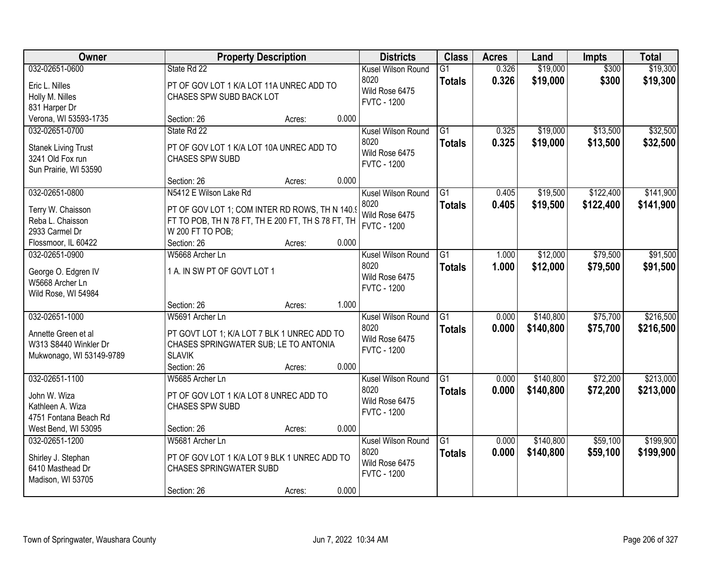| Owner                                                                                      | <b>Property Description</b>                                                                                                                        |        |       | <b>Districts</b>                                                   | <b>Class</b>                     | <b>Acres</b>   | Land                   | <b>Impts</b>           | <b>Total</b>           |
|--------------------------------------------------------------------------------------------|----------------------------------------------------------------------------------------------------------------------------------------------------|--------|-------|--------------------------------------------------------------------|----------------------------------|----------------|------------------------|------------------------|------------------------|
| 032-02651-0600<br>Eric L. Nilles<br>Holly M. Nilles<br>831 Harper Dr                       | State Rd 22<br>PT OF GOV LOT 1 K/A LOT 11A UNREC ADD TO<br>CHASES SPW SUBD BACK LOT                                                                |        |       | Kusel Wilson Round<br>8020<br>Wild Rose 6475<br><b>FVTC - 1200</b> | G1<br><b>Totals</b>              | 0.326<br>0.326 | \$19,000<br>\$19,000   | \$300<br>\$300         | \$19,300<br>\$19,300   |
| Verona, WI 53593-1735                                                                      | Section: 26                                                                                                                                        | Acres: | 0.000 |                                                                    |                                  |                |                        |                        |                        |
| 032-02651-0700<br><b>Stanek Living Trust</b><br>3241 Old Fox run<br>Sun Prairie, WI 53590  | State Rd 22<br>PT OF GOV LOT 1 K/A LOT 10A UNREC ADD TO<br><b>CHASES SPW SUBD</b>                                                                  |        |       | Kusel Wilson Round<br>8020<br>Wild Rose 6475<br><b>FVTC - 1200</b> | $\overline{G1}$<br><b>Totals</b> | 0.325<br>0.325 | \$19,000<br>\$19,000   | \$13,500<br>\$13,500   | \$32,500<br>\$32,500   |
|                                                                                            | Section: 26                                                                                                                                        | Acres: | 0.000 |                                                                    |                                  |                |                        |                        |                        |
| 032-02651-0800<br>Terry W. Chaisson<br>Reba L. Chaisson<br>2933 Carmel Dr                  | N5412 E Wilson Lake Rd<br>PT OF GOV LOT 1; COM INTER RD ROWS, TH N 140.9<br>FT TO POB, TH N 78 FT, TH E 200 FT, TH S 78 FT, TH<br>W 200 FT TO POB; |        |       | Kusel Wilson Round<br>8020<br>Wild Rose 6475<br><b>FVTC - 1200</b> | G1<br><b>Totals</b>              | 0.405<br>0.405 | \$19,500<br>\$19,500   | \$122,400<br>\$122,400 | \$141,900<br>\$141,900 |
| Flossmoor, IL 60422<br>032-02651-0900                                                      | Section: 26<br>W5668 Archer Ln                                                                                                                     | Acres: | 0.000 | Kusel Wilson Round                                                 | G1                               | 1.000          | \$12,000               | \$79,500               | \$91,500               |
| George O. Edgren IV<br>W5668 Archer Ln<br>Wild Rose, WI 54984                              | 1 A. IN SW PT OF GOVT LOT 1                                                                                                                        |        |       | 8020<br>Wild Rose 6475<br><b>FVTC - 1200</b>                       | <b>Totals</b>                    | 1.000          | \$12,000               | \$79,500               | \$91,500               |
|                                                                                            | Section: 26                                                                                                                                        | Acres: | 1.000 |                                                                    |                                  |                |                        |                        |                        |
| 032-02651-1000<br>Annette Green et al<br>W313 S8440 Winkler Dr<br>Mukwonago, WI 53149-9789 | W5691 Archer Ln<br>PT GOVT LOT 1; K/A LOT 7 BLK 1 UNREC ADD TO<br>CHASES SPRINGWATER SUB; LE TO ANTONIA<br><b>SLAVIK</b>                           |        |       | Kusel Wilson Round<br>8020<br>Wild Rose 6475<br><b>FVTC - 1200</b> | $\overline{G1}$<br><b>Totals</b> | 0.000<br>0.000 | \$140,800<br>\$140,800 | \$75,700<br>\$75,700   | \$216,500<br>\$216,500 |
|                                                                                            | Section: 26                                                                                                                                        | Acres: | 0.000 |                                                                    |                                  |                |                        |                        |                        |
| 032-02651-1100<br>John W. Wiza<br>Kathleen A. Wiza<br>4751 Fontana Beach Rd                | W5685 Archer Ln<br>PT OF GOV LOT 1 K/A LOT 8 UNREC ADD TO<br><b>CHASES SPW SUBD</b>                                                                |        |       | Kusel Wilson Round<br>8020<br>Wild Rose 6475<br><b>FVTC - 1200</b> | $\overline{G1}$<br><b>Totals</b> | 0.000<br>0.000 | \$140,800<br>\$140,800 | \$72,200<br>\$72,200   | \$213,000<br>\$213,000 |
| West Bend, WI 53095                                                                        | Section: 26                                                                                                                                        | Acres: | 0.000 |                                                                    |                                  |                |                        |                        |                        |
| 032-02651-1200<br>Shirley J. Stephan<br>6410 Masthead Dr<br>Madison, WI 53705              | W5681 Archer Ln<br>PT OF GOV LOT 1 K/A LOT 9 BLK 1 UNREC ADD TO<br><b>CHASES SPRINGWATER SUBD</b><br>Section: 26                                   | Acres: | 0.000 | Kusel Wilson Round<br>8020<br>Wild Rose 6475<br><b>FVTC - 1200</b> | $\overline{G1}$<br><b>Totals</b> | 0.000<br>0.000 | \$140,800<br>\$140,800 | \$59,100<br>\$59,100   | \$199,900<br>\$199,900 |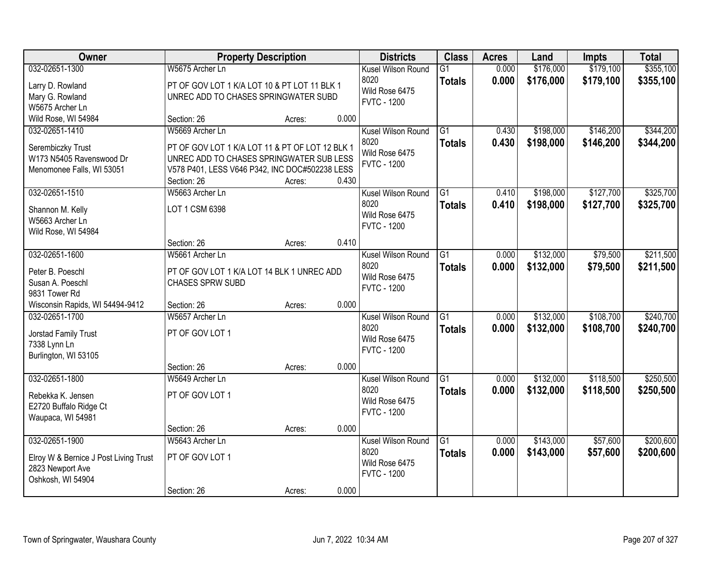| Owner                                 |                                                 | <b>Property Description</b> |       | <b>Districts</b>   | <b>Class</b>    | <b>Acres</b> | Land      | <b>Impts</b> | <b>Total</b> |
|---------------------------------------|-------------------------------------------------|-----------------------------|-------|--------------------|-----------------|--------------|-----------|--------------|--------------|
| 032-02651-1300                        | W5675 Archer Ln                                 |                             |       | Kusel Wilson Round | $\overline{G1}$ | 0.000        | \$176,000 | \$179,100    | \$355,100    |
| Larry D. Rowland                      | PT OF GOV LOT 1 K/A LOT 10 & PT LOT 11 BLK 1    |                             |       | 8020               | <b>Totals</b>   | 0.000        | \$176,000 | \$179,100    | \$355,100    |
| Mary G. Rowland                       | UNREC ADD TO CHASES SPRINGWATER SUBD            |                             |       | Wild Rose 6475     |                 |              |           |              |              |
| W5675 Archer Ln                       |                                                 |                             |       | <b>FVTC - 1200</b> |                 |              |           |              |              |
| Wild Rose, WI 54984                   | Section: 26                                     | Acres:                      | 0.000 |                    |                 |              |           |              |              |
| 032-02651-1410                        | W5669 Archer Ln                                 |                             |       | Kusel Wilson Round | $\overline{G1}$ | 0.430        | \$198,000 | \$146,200    | \$344,200    |
| Serembiczky Trust                     | PT OF GOV LOT 1 K/A LOT 11 & PT OF LOT 12 BLK 1 |                             |       | 8020               | <b>Totals</b>   | 0.430        | \$198,000 | \$146,200    | \$344,200    |
| W173 N5405 Ravenswood Dr              | UNREC ADD TO CHASES SPRINGWATER SUB LESS        |                             |       | Wild Rose 6475     |                 |              |           |              |              |
| Menomonee Falls, WI 53051             | V578 P401, LESS V646 P342, INC DOC#502238 LESS  |                             |       | <b>FVTC - 1200</b> |                 |              |           |              |              |
|                                       | Section: 26                                     | Acres:                      | 0.430 |                    |                 |              |           |              |              |
| 032-02651-1510                        | W5663 Archer Ln                                 |                             |       | Kusel Wilson Round | $\overline{G1}$ | 0.410        | \$198,000 | \$127,700    | \$325,700    |
|                                       |                                                 |                             |       | 8020               | <b>Totals</b>   | 0.410        | \$198,000 | \$127,700    | \$325,700    |
| Shannon M. Kelly<br>W5663 Archer Ln   | LOT 1 CSM 6398                                  |                             |       | Wild Rose 6475     |                 |              |           |              |              |
| Wild Rose, WI 54984                   |                                                 |                             |       | <b>FVTC - 1200</b> |                 |              |           |              |              |
|                                       | Section: 26                                     | Acres:                      | 0.410 |                    |                 |              |           |              |              |
| 032-02651-1600                        | W5661 Archer Ln                                 |                             |       | Kusel Wilson Round | $\overline{G1}$ | 0.000        | \$132,000 | \$79,500     | \$211,500    |
|                                       |                                                 |                             |       | 8020               | <b>Totals</b>   | 0.000        | \$132,000 | \$79,500     | \$211,500    |
| Peter B. Poeschl                      | PT OF GOV LOT 1 K/A LOT 14 BLK 1 UNREC ADD      |                             |       | Wild Rose 6475     |                 |              |           |              |              |
| Susan A. Poeschl                      | CHASES SPRW SUBD                                |                             |       | <b>FVTC - 1200</b> |                 |              |           |              |              |
| 9831 Tower Rd                         |                                                 |                             |       |                    |                 |              |           |              |              |
| Wisconsin Rapids, WI 54494-9412       | Section: 26                                     | Acres:                      | 0.000 |                    |                 |              |           |              |              |
| 032-02651-1700                        | W5657 Archer Ln                                 |                             |       | Kusel Wilson Round | $\overline{G1}$ | 0.000        | \$132,000 | \$108,700    | \$240,700    |
| Jorstad Family Trust                  | PT OF GOV LOT 1                                 |                             |       | 8020               | <b>Totals</b>   | 0.000        | \$132,000 | \$108,700    | \$240,700    |
| 7338 Lynn Ln                          |                                                 |                             |       | Wild Rose 6475     |                 |              |           |              |              |
| Burlington, WI 53105                  |                                                 |                             |       | <b>FVTC - 1200</b> |                 |              |           |              |              |
|                                       | Section: 26                                     | Acres:                      | 0.000 |                    |                 |              |           |              |              |
| 032-02651-1800                        | W5649 Archer Ln                                 |                             |       | Kusel Wilson Round | $\overline{G1}$ | 0.000        | \$132,000 | \$118,500    | \$250,500    |
| Rebekka K. Jensen                     | PT OF GOV LOT 1                                 |                             |       | 8020               | <b>Totals</b>   | 0.000        | \$132,000 | \$118,500    | \$250,500    |
| E2720 Buffalo Ridge Ct                |                                                 |                             |       | Wild Rose 6475     |                 |              |           |              |              |
| Waupaca, WI 54981                     |                                                 |                             |       | <b>FVTC - 1200</b> |                 |              |           |              |              |
|                                       | Section: 26                                     | Acres:                      | 0.000 |                    |                 |              |           |              |              |
| 032-02651-1900                        | W5643 Archer Ln                                 |                             |       | Kusel Wilson Round | $\overline{G1}$ | 0.000        | \$143,000 | \$57,600     | \$200,600    |
| Elroy W & Bernice J Post Living Trust | PT OF GOV LOT 1                                 |                             |       | 8020               | <b>Totals</b>   | 0.000        | \$143,000 | \$57,600     | \$200,600    |
| 2823 Newport Ave                      |                                                 |                             |       | Wild Rose 6475     |                 |              |           |              |              |
| Oshkosh, WI 54904                     |                                                 |                             |       | <b>FVTC - 1200</b> |                 |              |           |              |              |
|                                       | Section: 26                                     | Acres:                      | 0.000 |                    |                 |              |           |              |              |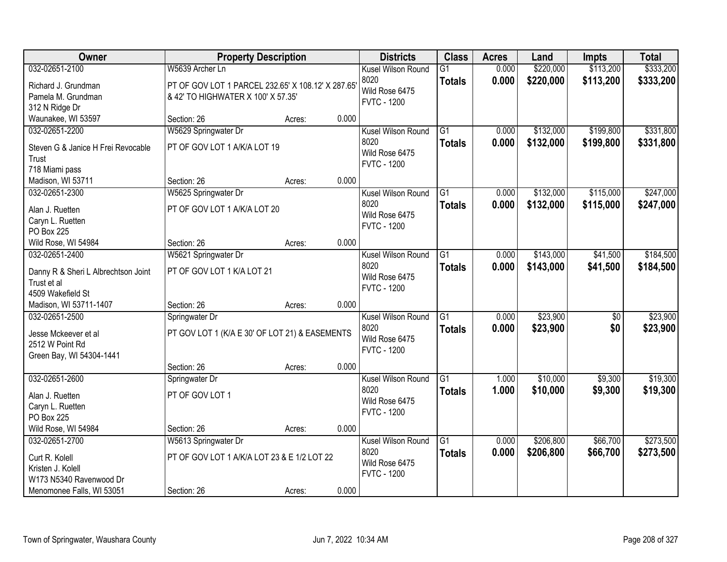| Owner                               | <b>Property Description</b>                        |        |                    | <b>Districts</b>   | <b>Class</b>    | <b>Acres</b> | Land      | <b>Impts</b> | <b>Total</b> |
|-------------------------------------|----------------------------------------------------|--------|--------------------|--------------------|-----------------|--------------|-----------|--------------|--------------|
| 032-02651-2100                      | W5639 Archer Ln                                    |        |                    | Kusel Wilson Round | $\overline{G1}$ | 0.000        | \$220,000 | \$113,200    | \$333,200    |
| Richard J. Grundman                 | PT OF GOV LOT 1 PARCEL 232.65' X 108.12' X 287.65' |        | 8020               |                    | <b>Totals</b>   | 0.000        | \$220,000 | \$113,200    | \$333,200    |
| Pamela M. Grundman                  | & 42' TO HIGHWATER X 100' X 57.35'                 |        |                    | Wild Rose 6475     |                 |              |           |              |              |
| 312 N Ridge Dr                      |                                                    |        | <b>FVTC - 1200</b> |                    |                 |              |           |              |              |
| Waunakee, WI 53597                  | Section: 26                                        | Acres: | 0.000              |                    |                 |              |           |              |              |
| 032-02651-2200                      | W5629 Springwater Dr                               |        |                    | Kusel Wilson Round | G1              | 0.000        | \$132,000 | \$199,800    | \$331,800    |
| Steven G & Janice H Frei Revocable  | PT OF GOV LOT 1 A/K/A LOT 19                       |        | 8020               |                    | Totals          | 0.000        | \$132,000 | \$199,800    | \$331,800    |
| Trust                               |                                                    |        |                    | Wild Rose 6475     |                 |              |           |              |              |
| 718 Miami pass                      |                                                    |        | <b>FVTC - 1200</b> |                    |                 |              |           |              |              |
| Madison, WI 53711                   | Section: 26                                        | Acres: | 0.000              |                    |                 |              |           |              |              |
| 032-02651-2300                      | W5625 Springwater Dr                               |        |                    | Kusel Wilson Round | G1              | 0.000        | \$132,000 | \$115,000    | \$247,000    |
| Alan J. Ruetten                     | PT OF GOV LOT 1 A/K/A LOT 20                       |        | 8020               |                    | <b>Totals</b>   | 0.000        | \$132,000 | \$115,000    | \$247,000    |
| Caryn L. Ruetten                    |                                                    |        |                    | Wild Rose 6475     |                 |              |           |              |              |
| PO Box 225                          |                                                    |        | <b>FVTC - 1200</b> |                    |                 |              |           |              |              |
| Wild Rose, WI 54984                 | Section: 26                                        | Acres: | 0.000              |                    |                 |              |           |              |              |
| 032-02651-2400                      | W5621 Springwater Dr                               |        |                    | Kusel Wilson Round | $\overline{G1}$ | 0.000        | \$143,000 | \$41,500     | \$184,500    |
| Danny R & Sheri L Albrechtson Joint | PT OF GOV LOT 1 K/A LOT 21                         |        | 8020               |                    | <b>Totals</b>   | 0.000        | \$143,000 | \$41,500     | \$184,500    |
| Trust et al                         |                                                    |        | <b>FVTC - 1200</b> | Wild Rose 6475     |                 |              |           |              |              |
| 4509 Wakefield St                   |                                                    |        |                    |                    |                 |              |           |              |              |
| Madison, WI 53711-1407              | Section: 26                                        | Acres: | 0.000              |                    |                 |              |           |              |              |
| 032-02651-2500                      | Springwater Dr                                     |        |                    | Kusel Wilson Round | $\overline{G1}$ | 0.000        | \$23,900  | \$0          | \$23,900     |
| Jesse Mckeever et al                | PT GOV LOT 1 (K/A E 30' OF LOT 21) & EASEMENTS     |        | 8020               |                    | <b>Totals</b>   | 0.000        | \$23,900  | \$0          | \$23,900     |
| 2512 W Point Rd                     |                                                    |        | <b>FVTC - 1200</b> | Wild Rose 6475     |                 |              |           |              |              |
| Green Bay, WI 54304-1441            |                                                    |        |                    |                    |                 |              |           |              |              |
|                                     | Section: 26                                        | Acres: | 0.000              |                    |                 |              |           |              |              |
| 032-02651-2600                      | Springwater Dr                                     |        |                    | Kusel Wilson Round | $\overline{G1}$ | 1.000        | \$10,000  | \$9,300      | \$19,300     |
| Alan J. Ruetten                     | PT OF GOV LOT 1                                    |        | 8020               | Wild Rose 6475     | <b>Totals</b>   | 1.000        | \$10,000  | \$9,300      | \$19,300     |
| Caryn L. Ruetten                    |                                                    |        | <b>FVTC - 1200</b> |                    |                 |              |           |              |              |
| PO Box 225                          |                                                    |        |                    |                    |                 |              |           |              |              |
| Wild Rose, WI 54984                 | Section: 26                                        | Acres: | 0.000              |                    |                 |              |           |              |              |
| 032-02651-2700                      | W5613 Springwater Dr                               |        |                    | Kusel Wilson Round | $\overline{G1}$ | 0.000        | \$206,800 | \$66,700     | \$273,500    |
| Curt R. Kolell                      | PT OF GOV LOT 1 A/K/A LOT 23 & E 1/2 LOT 22        |        | 8020               |                    | <b>Totals</b>   | 0.000        | \$206,800 | \$66,700     | \$273,500    |
| Kristen J. Kolell                   |                                                    |        | <b>FVTC - 1200</b> | Wild Rose 6475     |                 |              |           |              |              |
| W173 N5340 Ravenwood Dr             |                                                    |        |                    |                    |                 |              |           |              |              |
| Menomonee Falls, WI 53051           | Section: 26                                        | Acres: | 0.000              |                    |                 |              |           |              |              |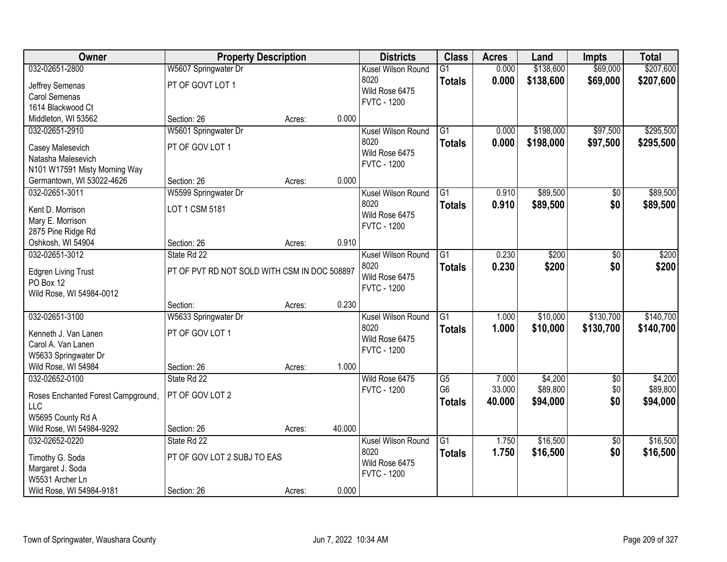| Owner                                   | <b>Property Description</b>                  |        |        | <b>Districts</b>                     | <b>Class</b>    | <b>Acres</b> | Land      | <b>Impts</b>    | <b>Total</b> |
|-----------------------------------------|----------------------------------------------|--------|--------|--------------------------------------|-----------------|--------------|-----------|-----------------|--------------|
| 032-02651-2800                          | W5607 Springwater Dr                         |        |        | Kusel Wilson Round                   | $\overline{G1}$ | 0.000        | \$138,600 | \$69,000        | \$207,600    |
| Jeffrey Semenas                         | PT OF GOVT LOT 1                             |        |        | 8020                                 | <b>Totals</b>   | 0.000        | \$138,600 | \$69,000        | \$207,600    |
| Carol Semenas                           |                                              |        |        | Wild Rose 6475                       |                 |              |           |                 |              |
| 1614 Blackwood Ct                       |                                              |        |        | <b>FVTC - 1200</b>                   |                 |              |           |                 |              |
| Middleton, WI 53562                     | Section: 26                                  | Acres: | 0.000  |                                      |                 |              |           |                 |              |
| 032-02651-2910                          | W5601 Springwater Dr                         |        |        | Kusel Wilson Round                   | $\overline{G1}$ | 0.000        | \$198,000 | \$97,500        | \$295,500    |
| Casey Malesevich                        | PT OF GOV LOT 1                              |        |        | 8020                                 | <b>Totals</b>   | 0.000        | \$198,000 | \$97,500        | \$295,500    |
| Natasha Malesevich                      |                                              |        |        | Wild Rose 6475                       |                 |              |           |                 |              |
| N101 W17591 Misty Morning Way           |                                              |        |        | <b>FVTC - 1200</b>                   |                 |              |           |                 |              |
| Germantown, WI 53022-4626               | Section: 26                                  | Acres: | 0.000  |                                      |                 |              |           |                 |              |
| 032-02651-3011                          | W5599 Springwater Dr                         |        |        | Kusel Wilson Round                   | $\overline{G1}$ | 0.910        | \$89,500  | \$0             | \$89,500     |
|                                         |                                              |        |        | 8020                                 | <b>Totals</b>   | 0.910        | \$89,500  | \$0             | \$89,500     |
| Kent D. Morrison                        | LOT 1 CSM 5181                               |        |        | Wild Rose 6475                       |                 |              |           |                 |              |
| Mary E. Morrison                        |                                              |        |        | <b>FVTC - 1200</b>                   |                 |              |           |                 |              |
| 2875 Pine Ridge Rd<br>Oshkosh, WI 54904 | Section: 26                                  | Acres: | 0.910  |                                      |                 |              |           |                 |              |
| 032-02651-3012                          | State Rd 22                                  |        |        | Kusel Wilson Round                   | G1              | 0.230        | \$200     | \$0             | \$200        |
|                                         |                                              |        |        | 8020                                 |                 | 0.230        | \$200     | \$0             | \$200        |
| <b>Edgren Living Trust</b>              | PT OF PVT RD NOT SOLD WITH CSM IN DOC 508897 |        |        | Wild Rose 6475                       | <b>Totals</b>   |              |           |                 |              |
| PO Box 12                               |                                              |        |        | <b>FVTC - 1200</b>                   |                 |              |           |                 |              |
| Wild Rose, WI 54984-0012                |                                              |        |        |                                      |                 |              |           |                 |              |
|                                         | Section:                                     | Acres: | 0.230  |                                      |                 |              |           |                 |              |
| 032-02651-3100                          | W5633 Springwater Dr                         |        |        | Kusel Wilson Round                   | $\overline{G1}$ | 1.000        | \$10,000  | \$130,700       | \$140,700    |
| Kenneth J. Van Lanen                    | PT OF GOV LOT 1                              |        |        | 8020                                 | <b>Totals</b>   | 1.000        | \$10,000  | \$130,700       | \$140,700    |
| Carol A. Van Lanen                      |                                              |        |        | Wild Rose 6475<br><b>FVTC - 1200</b> |                 |              |           |                 |              |
| W5633 Springwater Dr                    |                                              |        |        |                                      |                 |              |           |                 |              |
| Wild Rose, WI 54984                     | Section: 26                                  | Acres: | 1.000  |                                      |                 |              |           |                 |              |
| 032-02652-0100                          | State Rd 22                                  |        |        | Wild Rose 6475                       | $\overline{G5}$ | 7.000        | \$4,200   | $\sqrt{$0}$     | \$4,200      |
| Roses Enchanted Forest Campground,      | PT OF GOV LOT 2                              |        |        | <b>FVTC - 1200</b>                   | G <sub>6</sub>  | 33.000       | \$89,800  | \$0             | \$89,800     |
| LLC                                     |                                              |        |        |                                      | <b>Totals</b>   | 40.000       | \$94,000  | \$0             | \$94,000     |
| W5695 County Rd A                       |                                              |        |        |                                      |                 |              |           |                 |              |
| Wild Rose, WI 54984-9292                | Section: 26                                  | Acres: | 40.000 |                                      |                 |              |           |                 |              |
| 032-02652-0220                          | State Rd 22                                  |        |        | Kusel Wilson Round                   | $\overline{G1}$ | 1.750        | \$16,500  | $\overline{30}$ | \$16,500     |
| Timothy G. Soda                         | PT OF GOV LOT 2 SUBJ TO EAS                  |        |        | 8020                                 | <b>Totals</b>   | 1.750        | \$16,500  | \$0             | \$16,500     |
| Margaret J. Soda                        |                                              |        |        | Wild Rose 6475                       |                 |              |           |                 |              |
| W5531 Archer Ln                         |                                              |        |        | <b>FVTC - 1200</b>                   |                 |              |           |                 |              |
| Wild Rose, WI 54984-9181                | Section: 26                                  | Acres: | 0.000  |                                      |                 |              |           |                 |              |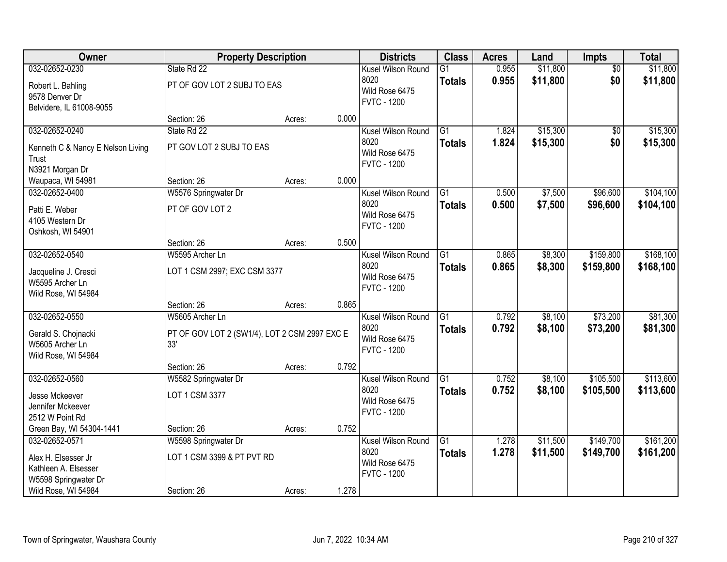| Owner                             | <b>Property Description</b>                   |        |       | <b>Districts</b>                     | <b>Class</b>    | <b>Acres</b> | Land     | Impts           | <b>Total</b> |
|-----------------------------------|-----------------------------------------------|--------|-------|--------------------------------------|-----------------|--------------|----------|-----------------|--------------|
| 032-02652-0230                    | State Rd 22                                   |        |       | Kusel Wilson Round<br>8020           | $\overline{G1}$ | 0.955        | \$11,800 | $\overline{50}$ | \$11,800     |
| Robert L. Bahling                 | PT OF GOV LOT 2 SUBJ TO EAS                   |        |       | Wild Rose 6475                       | <b>Totals</b>   | 0.955        | \$11,800 | \$0             | \$11,800     |
| 9578 Denver Dr                    |                                               |        |       | <b>FVTC - 1200</b>                   |                 |              |          |                 |              |
| Belvidere, IL 61008-9055          | Section: 26                                   | Acres: | 0.000 |                                      |                 |              |          |                 |              |
| 032-02652-0240                    | State Rd 22                                   |        |       | Kusel Wilson Round                   | $\overline{G1}$ | 1.824        | \$15,300 | $\overline{50}$ | \$15,300     |
|                                   |                                               |        |       | 8020                                 | <b>Totals</b>   | 1.824        | \$15,300 | \$0             | \$15,300     |
| Kenneth C & Nancy E Nelson Living | PT GOV LOT 2 SUBJ TO EAS                      |        |       | Wild Rose 6475                       |                 |              |          |                 |              |
| Trust<br>N3921 Morgan Dr          |                                               |        |       | <b>FVTC - 1200</b>                   |                 |              |          |                 |              |
| Waupaca, WI 54981                 | Section: 26                                   | Acres: | 0.000 |                                      |                 |              |          |                 |              |
| 032-02652-0400                    | W5576 Springwater Dr                          |        |       | Kusel Wilson Round                   | $\overline{G1}$ | 0.500        | \$7,500  | \$96,600        | \$104,100    |
| Patti E. Weber                    | PT OF GOV LOT 2                               |        |       | 8020                                 | <b>Totals</b>   | 0.500        | \$7,500  | \$96,600        | \$104,100    |
| 4105 Western Dr                   |                                               |        |       | Wild Rose 6475                       |                 |              |          |                 |              |
| Oshkosh, WI 54901                 |                                               |        |       | <b>FVTC - 1200</b>                   |                 |              |          |                 |              |
|                                   | Section: 26                                   | Acres: | 0.500 |                                      |                 |              |          |                 |              |
| 032-02652-0540                    | W5595 Archer Ln                               |        |       | Kusel Wilson Round                   | G1              | 0.865        | \$8,300  | \$159,800       | \$168,100    |
| Jacqueline J. Cresci              | LOT 1 CSM 2997; EXC CSM 3377                  |        |       | 8020                                 | <b>Totals</b>   | 0.865        | \$8,300  | \$159,800       | \$168,100    |
| W5595 Archer Ln                   |                                               |        |       | Wild Rose 6475                       |                 |              |          |                 |              |
| Wild Rose, WI 54984               |                                               |        |       | <b>FVTC - 1200</b>                   |                 |              |          |                 |              |
|                                   | Section: 26                                   | Acres: | 0.865 |                                      |                 |              |          |                 |              |
| 032-02652-0550                    | W5605 Archer Ln                               |        |       | Kusel Wilson Round                   | $\overline{G1}$ | 0.792        | \$8,100  | \$73,200        | \$81,300     |
| Gerald S. Chojnacki               | PT OF GOV LOT 2 (SW1/4), LOT 2 CSM 2997 EXC E |        |       | 8020                                 | <b>Totals</b>   | 0.792        | \$8,100  | \$73,200        | \$81,300     |
| W5605 Archer Ln                   | 33'                                           |        |       | Wild Rose 6475                       |                 |              |          |                 |              |
| Wild Rose, WI 54984               |                                               |        |       | <b>FVTC - 1200</b>                   |                 |              |          |                 |              |
|                                   | Section: 26                                   | Acres: | 0.792 |                                      |                 |              |          |                 |              |
| 032-02652-0560                    | W5582 Springwater Dr                          |        |       | Kusel Wilson Round                   | G1              | 0.752        | \$8,100  | \$105,500       | \$113,600    |
| Jesse Mckeever                    | LOT 1 CSM 3377                                |        |       | 8020                                 | <b>Totals</b>   | 0.752        | \$8,100  | \$105,500       | \$113,600    |
| Jennifer Mckeever                 |                                               |        |       | Wild Rose 6475<br><b>FVTC - 1200</b> |                 |              |          |                 |              |
| 2512 W Point Rd                   |                                               |        |       |                                      |                 |              |          |                 |              |
| Green Bay, WI 54304-1441          | Section: 26                                   | Acres: | 0.752 |                                      |                 |              |          |                 |              |
| 032-02652-0571                    | W5598 Springwater Dr                          |        |       | Kusel Wilson Round                   | $\overline{G1}$ | 1.278        | \$11,500 | \$149,700       | \$161,200    |
| Alex H. Elsesser Jr               | LOT 1 CSM 3399 & PT PVT RD                    |        |       | 8020<br>Wild Rose 6475               | <b>Totals</b>   | 1.278        | \$11,500 | \$149,700       | \$161,200    |
| Kathleen A. Elsesser              |                                               |        |       | <b>FVTC - 1200</b>                   |                 |              |          |                 |              |
| W5598 Springwater Dr              |                                               |        |       |                                      |                 |              |          |                 |              |
| Wild Rose, WI 54984               | Section: 26                                   | Acres: | 1.278 |                                      |                 |              |          |                 |              |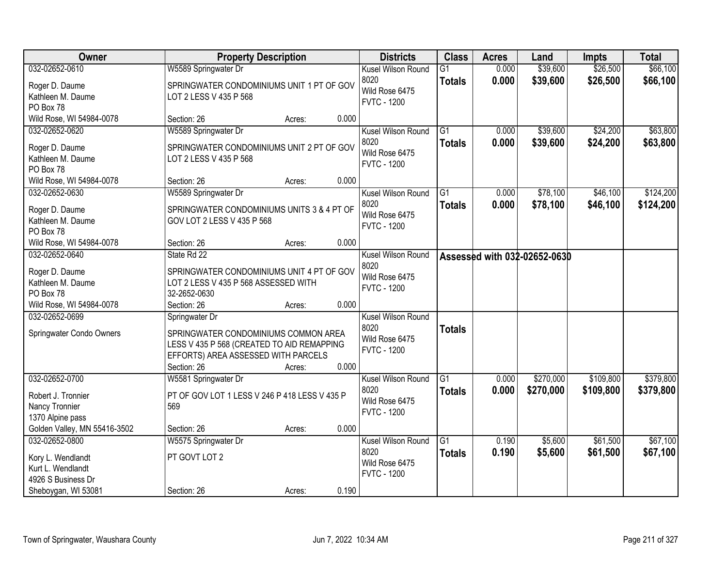| Owner                                          | <b>Property Description</b>                                                       |        |       | <b>Districts</b>                     | <b>Class</b>    | <b>Acres</b> | Land                         | <b>Impts</b> | <b>Total</b> |
|------------------------------------------------|-----------------------------------------------------------------------------------|--------|-------|--------------------------------------|-----------------|--------------|------------------------------|--------------|--------------|
| 032-02652-0610                                 | W5589 Springwater Dr                                                              |        |       | Kusel Wilson Round                   | $\overline{G1}$ | 0.000        | \$39,600                     | \$26,500     | \$66,100     |
| Roger D. Daume                                 | SPRINGWATER CONDOMINIUMS UNIT 1 PT OF GOV                                         |        |       | 8020                                 | <b>Totals</b>   | 0.000        | \$39,600                     | \$26,500     | \$66,100     |
| Kathleen M. Daume                              | LOT 2 LESS V 435 P 568                                                            |        |       | Wild Rose 6475<br><b>FVTC - 1200</b> |                 |              |                              |              |              |
| PO Box 78                                      |                                                                                   |        |       |                                      |                 |              |                              |              |              |
| Wild Rose, WI 54984-0078                       | Section: 26                                                                       | Acres: | 0.000 |                                      |                 |              |                              |              |              |
| 032-02652-0620                                 | W5589 Springwater Dr                                                              |        |       | Kusel Wilson Round                   | $\overline{G1}$ | 0.000        | \$39,600                     | \$24,200     | \$63,800     |
| Roger D. Daume                                 | SPRINGWATER CONDOMINIUMS UNIT 2 PT OF GOV                                         |        |       | 8020                                 | <b>Totals</b>   | 0.000        | \$39,600                     | \$24,200     | \$63,800     |
| Kathleen M. Daume                              | LOT 2 LESS V 435 P 568                                                            |        |       | Wild Rose 6475                       |                 |              |                              |              |              |
| PO Box 78                                      |                                                                                   |        |       | <b>FVTC - 1200</b>                   |                 |              |                              |              |              |
| Wild Rose, WI 54984-0078                       | Section: 26                                                                       | Acres: | 0.000 |                                      |                 |              |                              |              |              |
| 032-02652-0630                                 | W5589 Springwater Dr                                                              |        |       | Kusel Wilson Round                   | G1              | 0.000        | \$78,100                     | \$46,100     | \$124,200    |
| Roger D. Daume                                 | SPRINGWATER CONDOMINIUMS UNITS 3 & 4 PT OF                                        |        |       | 8020                                 | <b>Totals</b>   | 0.000        | \$78,100                     | \$46,100     | \$124,200    |
| Kathleen M. Daume                              | GOV LOT 2 LESS V 435 P 568                                                        |        |       | Wild Rose 6475                       |                 |              |                              |              |              |
| PO Box 78                                      |                                                                                   |        |       | <b>FVTC - 1200</b>                   |                 |              |                              |              |              |
| Wild Rose, WI 54984-0078                       | Section: 26                                                                       | Acres: | 0.000 |                                      |                 |              |                              |              |              |
| 032-02652-0640                                 | State Rd 22                                                                       |        |       | Kusel Wilson Round                   |                 |              | Assessed with 032-02652-0630 |              |              |
|                                                | SPRINGWATER CONDOMINIUMS UNIT 4 PT OF GOV                                         |        |       | 8020                                 |                 |              |                              |              |              |
| Roger D. Daume<br>Kathleen M. Daume            | LOT 2 LESS V 435 P 568 ASSESSED WITH                                              |        |       | Wild Rose 6475                       |                 |              |                              |              |              |
| PO Box 78                                      | 32-2652-0630                                                                      |        |       | <b>FVTC - 1200</b>                   |                 |              |                              |              |              |
| Wild Rose, WI 54984-0078                       | Section: 26                                                                       | Acres: | 0.000 |                                      |                 |              |                              |              |              |
| 032-02652-0699                                 | Springwater Dr                                                                    |        |       | Kusel Wilson Round                   |                 |              |                              |              |              |
|                                                |                                                                                   |        |       | 8020                                 | <b>Totals</b>   |              |                              |              |              |
| Springwater Condo Owners                       | SPRINGWATER CONDOMINIUMS COMMON AREA                                              |        |       | Wild Rose 6475                       |                 |              |                              |              |              |
|                                                | LESS V 435 P 568 (CREATED TO AID REMAPPING<br>EFFORTS) AREA ASSESSED WITH PARCELS |        |       | <b>FVTC - 1200</b>                   |                 |              |                              |              |              |
|                                                | Section: 26                                                                       | Acres: | 0.000 |                                      |                 |              |                              |              |              |
| 032-02652-0700                                 | W5581 Springwater Dr                                                              |        |       | Kusel Wilson Round                   | $\overline{G1}$ | 0.000        | \$270,000                    | \$109,800    | \$379,800    |
|                                                |                                                                                   |        |       | 8020                                 | <b>Totals</b>   | 0.000        | \$270,000                    | \$109,800    | \$379,800    |
| Robert J. Tronnier                             | PT OF GOV LOT 1 LESS V 246 P 418 LESS V 435 P                                     |        |       | Wild Rose 6475                       |                 |              |                              |              |              |
| Nancy Tronnier                                 | 569                                                                               |        |       | <b>FVTC - 1200</b>                   |                 |              |                              |              |              |
| 1370 Alpine pass                               |                                                                                   |        | 0.000 |                                      |                 |              |                              |              |              |
| Golden Valley, MN 55416-3502<br>032-02652-0800 | Section: 26                                                                       | Acres: |       |                                      | G1              | 0.190        | \$5,600                      | \$61,500     | \$67,100     |
|                                                | W5575 Springwater Dr                                                              |        |       | Kusel Wilson Round<br>8020           |                 |              |                              |              |              |
| Kory L. Wendlandt                              | PT GOVT LOT 2                                                                     |        |       | Wild Rose 6475                       | <b>Totals</b>   | 0.190        | \$5,600                      | \$61,500     | \$67,100     |
| Kurt L. Wendlandt                              |                                                                                   |        |       | <b>FVTC - 1200</b>                   |                 |              |                              |              |              |
| 4926 S Business Dr                             |                                                                                   |        |       |                                      |                 |              |                              |              |              |
| Sheboygan, WI 53081                            | Section: 26                                                                       | Acres: | 0.190 |                                      |                 |              |                              |              |              |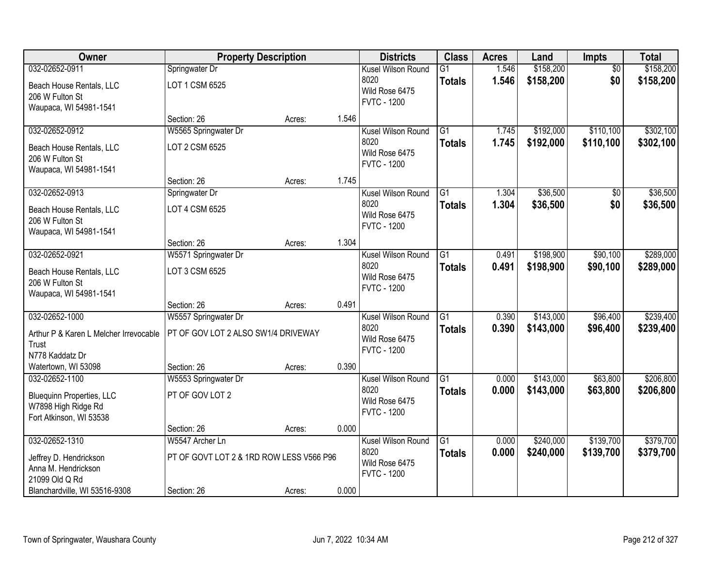| Owner                                           | <b>Property Description</b>              |        |       | <b>Districts</b>                     | <b>Class</b>    | <b>Acres</b>   | Land                 | <b>Impts</b>    | <b>Total</b> |
|-------------------------------------------------|------------------------------------------|--------|-------|--------------------------------------|-----------------|----------------|----------------------|-----------------|--------------|
| 032-02652-0911                                  | Springwater Dr                           |        |       | Kusel Wilson Round                   | $\overline{G1}$ | 1.546          | \$158,200            | $\overline{50}$ | \$158,200    |
| Beach House Rentals, LLC                        | LOT 1 CSM 6525                           |        |       | 8020                                 | <b>Totals</b>   | 1.546          | \$158,200            | \$0             | \$158,200    |
| 206 W Fulton St                                 |                                          |        |       | Wild Rose 6475<br><b>FVTC - 1200</b> |                 |                |                      |                 |              |
| Waupaca, WI 54981-1541                          |                                          |        |       |                                      |                 |                |                      |                 |              |
|                                                 | Section: 26                              | Acres: | 1.546 |                                      |                 |                |                      |                 |              |
| 032-02652-0912                                  | W5565 Springwater Dr                     |        |       | Kusel Wilson Round                   | $\overline{G1}$ | 1.745          | \$192,000            | \$110,100       | \$302,100    |
| Beach House Rentals, LLC                        | LOT 2 CSM 6525                           |        |       | 8020<br>Wild Rose 6475               | <b>Totals</b>   | 1.745          | \$192,000            | \$110,100       | \$302,100    |
| 206 W Fulton St                                 |                                          |        |       | <b>FVTC - 1200</b>                   |                 |                |                      |                 |              |
| Waupaca, WI 54981-1541                          |                                          |        |       |                                      |                 |                |                      |                 |              |
|                                                 | Section: 26                              | Acres: | 1.745 |                                      |                 |                |                      |                 |              |
| 032-02652-0913                                  | Springwater Dr                           |        |       | Kusel Wilson Round<br>8020           | G1              | 1.304<br>1.304 | \$36,500<br>\$36,500 | \$0<br>\$0      | \$36,500     |
| Beach House Rentals, LLC                        | LOT 4 CSM 6525                           |        |       | Wild Rose 6475                       | <b>Totals</b>   |                |                      |                 | \$36,500     |
| 206 W Fulton St                                 |                                          |        |       | <b>FVTC - 1200</b>                   |                 |                |                      |                 |              |
| Waupaca, WI 54981-1541                          | Section: 26                              |        | 1.304 |                                      |                 |                |                      |                 |              |
| 032-02652-0921                                  | W5571 Springwater Dr                     | Acres: |       | Kusel Wilson Round                   | G1              | 0.491          | \$198,900            | \$90,100        | \$289,000    |
|                                                 |                                          |        |       | 8020                                 | <b>Totals</b>   | 0.491          | \$198,900            | \$90,100        | \$289,000    |
| Beach House Rentals, LLC                        | LOT 3 CSM 6525                           |        |       | Wild Rose 6475                       |                 |                |                      |                 |              |
| 206 W Fulton St<br>Waupaca, WI 54981-1541       |                                          |        |       | <b>FVTC - 1200</b>                   |                 |                |                      |                 |              |
|                                                 | Section: 26                              | Acres: | 0.491 |                                      |                 |                |                      |                 |              |
| 032-02652-1000                                  | W5557 Springwater Dr                     |        |       | Kusel Wilson Round                   | $\overline{G1}$ | 0.390          | \$143,000            | \$96,400        | \$239,400    |
|                                                 | PT OF GOV LOT 2 ALSO SW1/4 DRIVEWAY      |        |       | 8020                                 | <b>Totals</b>   | 0.390          | \$143,000            | \$96,400        | \$239,400    |
| Arthur P & Karen L Melcher Irrevocable<br>Trust |                                          |        |       | Wild Rose 6475                       |                 |                |                      |                 |              |
| N778 Kaddatz Dr                                 |                                          |        |       | <b>FVTC - 1200</b>                   |                 |                |                      |                 |              |
| Watertown, WI 53098                             | Section: 26                              | Acres: | 0.390 |                                      |                 |                |                      |                 |              |
| 032-02652-1100                                  | W5553 Springwater Dr                     |        |       | Kusel Wilson Round                   | $\overline{G1}$ | 0.000          | \$143,000            | \$63,800        | \$206,800    |
| <b>Bluequinn Properties, LLC</b>                | PT OF GOV LOT 2                          |        |       | 8020                                 | <b>Totals</b>   | 0.000          | \$143,000            | \$63,800        | \$206,800    |
| W7898 High Ridge Rd                             |                                          |        |       | Wild Rose 6475                       |                 |                |                      |                 |              |
| Fort Atkinson, WI 53538                         |                                          |        |       | <b>FVTC - 1200</b>                   |                 |                |                      |                 |              |
|                                                 | Section: 26                              | Acres: | 0.000 |                                      |                 |                |                      |                 |              |
| 032-02652-1310                                  | W5547 Archer Ln                          |        |       | Kusel Wilson Round                   | $\overline{G1}$ | 0.000          | \$240,000            | \$139,700       | \$379,700    |
| Jeffrey D. Hendrickson                          | PT OF GOVT LOT 2 & 1RD ROW LESS V566 P96 |        |       | 8020                                 | <b>Totals</b>   | 0.000          | \$240,000            | \$139,700       | \$379,700    |
| Anna M. Hendrickson                             |                                          |        |       | Wild Rose 6475<br><b>FVTC - 1200</b> |                 |                |                      |                 |              |
| 21099 Old Q Rd                                  |                                          |        |       |                                      |                 |                |                      |                 |              |
| Blanchardville, WI 53516-9308                   | Section: 26                              | Acres: | 0.000 |                                      |                 |                |                      |                 |              |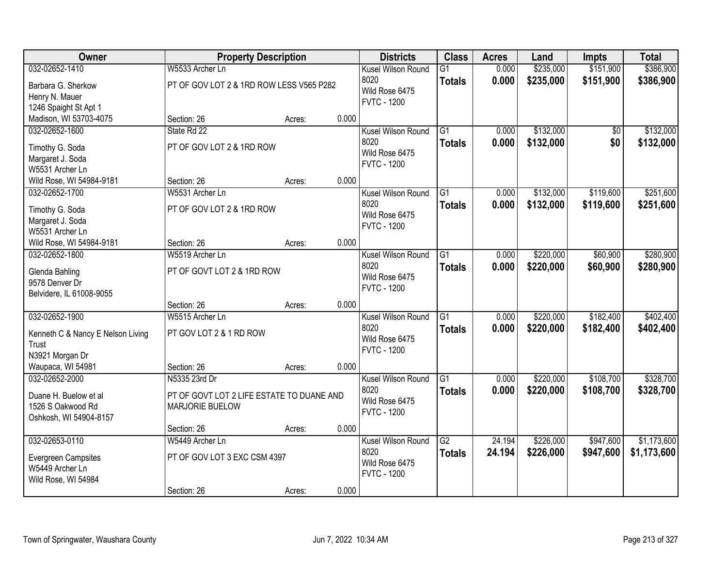| Owner                             | <b>Property Description</b>               |        |       | <b>Districts</b>       | <b>Class</b>    | <b>Acres</b> | Land      | <b>Impts</b> | <b>Total</b> |
|-----------------------------------|-------------------------------------------|--------|-------|------------------------|-----------------|--------------|-----------|--------------|--------------|
| 032-02652-1410                    | W5533 Archer Ln                           |        |       | Kusel Wilson Round     | $\overline{G1}$ | 0.000        | \$235,000 | \$151,900    | \$386,900    |
| Barbara G. Sherkow                | PT OF GOV LOT 2 & 1RD ROW LESS V565 P282  |        |       | 8020<br>Wild Rose 6475 | <b>Totals</b>   | 0.000        | \$235,000 | \$151,900    | \$386,900    |
| Henry N. Mauer                    |                                           |        |       | <b>FVTC - 1200</b>     |                 |              |           |              |              |
| 1246 Spaight St Apt 1             |                                           |        |       |                        |                 |              |           |              |              |
| Madison, WI 53703-4075            | Section: 26                               | Acres: | 0.000 |                        |                 |              |           |              |              |
| 032-02652-1600                    | State Rd 22                               |        |       | Kusel Wilson Round     | $\overline{G1}$ | 0.000        | \$132,000 | \$0          | \$132,000    |
| Timothy G. Soda                   | PT OF GOV LOT 2 & 1RD ROW                 |        |       | 8020                   | <b>Totals</b>   | 0.000        | \$132,000 | \$0          | \$132,000    |
| Margaret J. Soda                  |                                           |        |       | Wild Rose 6475         |                 |              |           |              |              |
| W5531 Archer Ln                   |                                           |        |       | <b>FVTC - 1200</b>     |                 |              |           |              |              |
| Wild Rose, WI 54984-9181          | Section: 26                               | Acres: | 0.000 |                        |                 |              |           |              |              |
| 032-02652-1700                    | W5531 Archer Ln                           |        |       | Kusel Wilson Round     | G1              | 0.000        | \$132,000 | \$119,600    | \$251,600    |
| Timothy G. Soda                   | PT OF GOV LOT 2 & 1RD ROW                 |        |       | 8020                   | <b>Totals</b>   | 0.000        | \$132,000 | \$119,600    | \$251,600    |
| Margaret J. Soda                  |                                           |        |       | Wild Rose 6475         |                 |              |           |              |              |
| W5531 Archer Ln                   |                                           |        |       | <b>FVTC - 1200</b>     |                 |              |           |              |              |
| Wild Rose, WI 54984-9181          | Section: 26                               | Acres: | 0.000 |                        |                 |              |           |              |              |
| 032-02652-1800                    | W5519 Archer Ln                           |        |       | Kusel Wilson Round     | G1              | 0.000        | \$220,000 | \$60,900     | \$280,900    |
|                                   |                                           |        |       | 8020                   | <b>Totals</b>   | 0.000        | \$220,000 | \$60,900     | \$280,900    |
| Glenda Bahling                    | PT OF GOVT LOT 2 & 1RD ROW                |        |       | Wild Rose 6475         |                 |              |           |              |              |
| 9578 Denver Dr                    |                                           |        |       | <b>FVTC - 1200</b>     |                 |              |           |              |              |
| Belvidere, IL 61008-9055          |                                           |        |       |                        |                 |              |           |              |              |
|                                   | Section: 26                               | Acres: | 0.000 |                        |                 |              |           |              |              |
| 032-02652-1900                    | W5515 Archer Ln                           |        |       | Kusel Wilson Round     | $\overline{G1}$ | 0.000        | \$220,000 | \$182,400    | \$402,400    |
| Kenneth C & Nancy E Nelson Living | PT GOV LOT 2 & 1 RD ROW                   |        |       | 8020                   | <b>Totals</b>   | 0.000        | \$220,000 | \$182,400    | \$402,400    |
| Trust                             |                                           |        |       | Wild Rose 6475         |                 |              |           |              |              |
| N3921 Morgan Dr                   |                                           |        |       | <b>FVTC - 1200</b>     |                 |              |           |              |              |
| Waupaca, WI 54981                 | Section: 26                               | Acres: | 0.000 |                        |                 |              |           |              |              |
| 032-02652-2000                    | N5335 23rd Dr                             |        |       | Kusel Wilson Round     | $\overline{G1}$ | 0.000        | \$220,000 | \$108,700    | \$328,700    |
| Duane H. Buelow et al             | PT OF GOVT LOT 2 LIFE ESTATE TO DUANE AND |        |       | 8020                   | <b>Totals</b>   | 0.000        | \$220,000 | \$108,700    | \$328,700    |
| 1526 S Oakwood Rd                 | MARJORIE BUELOW                           |        |       | Wild Rose 6475         |                 |              |           |              |              |
| Oshkosh, WI 54904-8157            |                                           |        |       | <b>FVTC - 1200</b>     |                 |              |           |              |              |
|                                   | Section: 26                               | Acres: | 0.000 |                        |                 |              |           |              |              |
| 032-02653-0110                    | W5449 Archer Ln                           |        |       | Kusel Wilson Round     | $\overline{G2}$ | 24.194       | \$226,000 | \$947,600    | \$1,173,600  |
|                                   |                                           |        |       | 8020                   | <b>Totals</b>   | 24.194       | \$226,000 | \$947,600    | \$1,173,600  |
| <b>Evergreen Campsites</b>        | PT OF GOV LOT 3 EXC CSM 4397              |        |       | Wild Rose 6475         |                 |              |           |              |              |
| W5449 Archer Ln                   |                                           |        |       | <b>FVTC - 1200</b>     |                 |              |           |              |              |
| Wild Rose, WI 54984               |                                           |        | 0.000 |                        |                 |              |           |              |              |
|                                   | Section: 26                               | Acres: |       |                        |                 |              |           |              |              |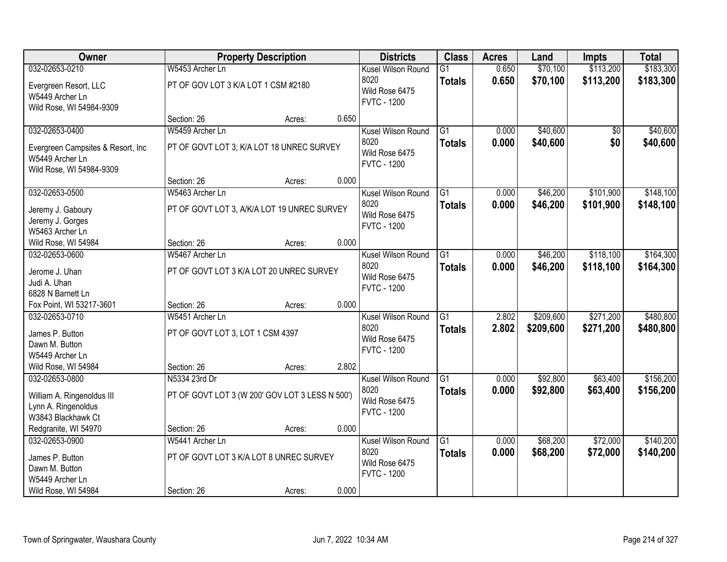| Owner                              |                                                 | <b>Property Description</b> |       | <b>Districts</b>   | <b>Class</b>    | <b>Acres</b> | Land      | <b>Impts</b> | <b>Total</b> |
|------------------------------------|-------------------------------------------------|-----------------------------|-------|--------------------|-----------------|--------------|-----------|--------------|--------------|
| 032-02653-0210                     | W5453 Archer Ln                                 |                             |       | Kusel Wilson Round | $\overline{G1}$ | 0.650        | \$70,100  | \$113,200    | \$183,300    |
| Evergreen Resort, LLC              | PT OF GOV LOT 3 K/A LOT 1 CSM #2180             |                             |       | 8020               | <b>Totals</b>   | 0.650        | \$70,100  | \$113,200    | \$183,300    |
| W5449 Archer Ln                    |                                                 |                             |       | Wild Rose 6475     |                 |              |           |              |              |
| Wild Rose, WI 54984-9309           |                                                 |                             |       | <b>FVTC - 1200</b> |                 |              |           |              |              |
|                                    | Section: 26                                     | Acres:                      | 0.650 |                    |                 |              |           |              |              |
| 032-02653-0400                     | W5459 Archer Ln                                 |                             |       | Kusel Wilson Round | $\overline{G1}$ | 0.000        | \$40,600  | \$0          | \$40,600     |
| Evergreen Campsites & Resort, Inc. | PT OF GOVT LOT 3; K/A LOT 18 UNREC SURVEY       |                             |       | 8020               | <b>Totals</b>   | 0.000        | \$40,600  | \$0          | \$40,600     |
| W5449 Archer Ln                    |                                                 |                             |       | Wild Rose 6475     |                 |              |           |              |              |
| Wild Rose, WI 54984-9309           |                                                 |                             |       | <b>FVTC - 1200</b> |                 |              |           |              |              |
|                                    | Section: 26                                     | Acres:                      | 0.000 |                    |                 |              |           |              |              |
| 032-02653-0500                     | W5463 Archer Ln                                 |                             |       | Kusel Wilson Round | $\overline{G1}$ | 0.000        | \$46,200  | \$101,900    | \$148,100    |
| Jeremy J. Gaboury                  | PT OF GOVT LOT 3, A/K/A LOT 19 UNREC SURVEY     |                             |       | 8020               | <b>Totals</b>   | 0.000        | \$46,200  | \$101,900    | \$148,100    |
| Jeremy J. Gorges                   |                                                 |                             |       | Wild Rose 6475     |                 |              |           |              |              |
| W5463 Archer Ln                    |                                                 |                             |       | <b>FVTC - 1200</b> |                 |              |           |              |              |
| Wild Rose, WI 54984                | Section: 26                                     | Acres:                      | 0.000 |                    |                 |              |           |              |              |
| 032-02653-0600                     | W5467 Archer Ln                                 |                             |       | Kusel Wilson Round | G1              | 0.000        | \$46,200  | \$118,100    | \$164,300    |
| Jerome J. Uhan                     | PT OF GOVT LOT 3 K/A LOT 20 UNREC SURVEY        |                             |       | 8020               | <b>Totals</b>   | 0.000        | \$46,200  | \$118,100    | \$164,300    |
| Judi A. Uhan                       |                                                 |                             |       | Wild Rose 6475     |                 |              |           |              |              |
| 6828 N Barnett Ln                  |                                                 |                             |       | <b>FVTC - 1200</b> |                 |              |           |              |              |
| Fox Point, WI 53217-3601           | Section: 26                                     | Acres:                      | 0.000 |                    |                 |              |           |              |              |
| 032-02653-0710                     | W5451 Archer Ln                                 |                             |       | Kusel Wilson Round | $\overline{G1}$ | 2.802        | \$209,600 | \$271,200    | \$480,800    |
| James P. Button                    | PT OF GOVT LOT 3, LOT 1 CSM 4397                |                             |       | 8020               | <b>Totals</b>   | 2.802        | \$209,600 | \$271,200    | \$480,800    |
| Dawn M. Button                     |                                                 |                             |       | Wild Rose 6475     |                 |              |           |              |              |
| W5449 Archer Ln                    |                                                 |                             |       | <b>FVTC - 1200</b> |                 |              |           |              |              |
| Wild Rose, WI 54984                | Section: 26                                     | Acres:                      | 2.802 |                    |                 |              |           |              |              |
| 032-02653-0800                     | N5334 23rd Dr                                   |                             |       | Kusel Wilson Round | G1              | 0.000        | \$92,800  | \$63,400     | \$156,200    |
| William A. Ringenoldus III         | PT OF GOVT LOT 3 (W 200' GOV LOT 3 LESS N 500') |                             |       | 8020               | <b>Totals</b>   | 0.000        | \$92,800  | \$63,400     | \$156,200    |
| Lynn A. Ringenoldus                |                                                 |                             |       | Wild Rose 6475     |                 |              |           |              |              |
| W3843 Blackhawk Ct                 |                                                 |                             |       | <b>FVTC - 1200</b> |                 |              |           |              |              |
| Redgranite, WI 54970               | Section: 26                                     | Acres:                      | 0.000 |                    |                 |              |           |              |              |
| 032-02653-0900                     | W5441 Archer Ln                                 |                             |       | Kusel Wilson Round | $\overline{G1}$ | 0.000        | \$68,200  | \$72,000     | \$140,200    |
| James P. Button                    | PT OF GOVT LOT 3 K/A LOT 8 UNREC SURVEY         |                             |       | 8020               | <b>Totals</b>   | 0.000        | \$68,200  | \$72,000     | \$140,200    |
| Dawn M. Button                     |                                                 |                             |       | Wild Rose 6475     |                 |              |           |              |              |
| W5449 Archer Ln                    |                                                 |                             |       | <b>FVTC - 1200</b> |                 |              |           |              |              |
| Wild Rose, WI 54984                | Section: 26                                     | Acres:                      | 0.000 |                    |                 |              |           |              |              |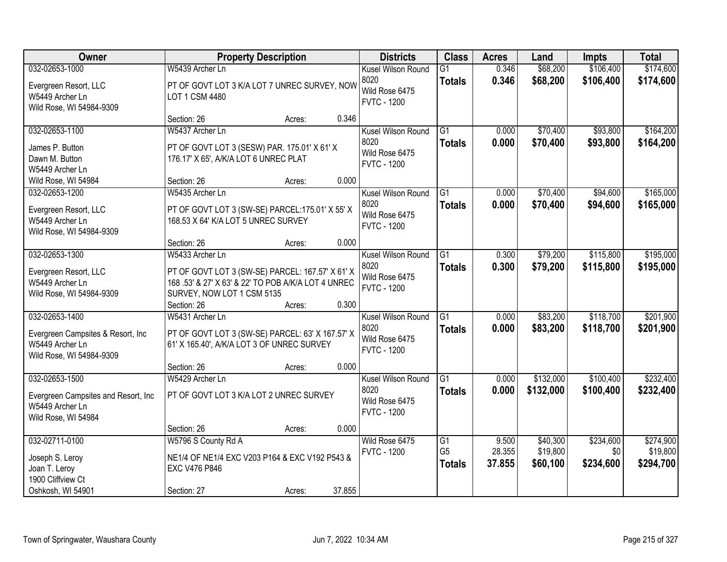| Owner                                                 | <b>Property Description</b>                                                                    |        |        | <b>Districts</b>       | <b>Class</b>    | <b>Acres</b> | Land      | <b>Impts</b> | <b>Total</b> |
|-------------------------------------------------------|------------------------------------------------------------------------------------------------|--------|--------|------------------------|-----------------|--------------|-----------|--------------|--------------|
| 032-02653-1000                                        | W5439 Archer Ln                                                                                |        |        | Kusel Wilson Round     | $\overline{G1}$ | 0.346        | \$68,200  | \$106,400    | \$174,600    |
| Evergreen Resort, LLC                                 | PT OF GOVT LOT 3 K/A LOT 7 UNREC SURVEY, NOW                                                   |        |        | 8020<br>Wild Rose 6475 | <b>Totals</b>   | 0.346        | \$68,200  | \$106,400    | \$174,600    |
| W5449 Archer Ln                                       | LOT 1 CSM 4480                                                                                 |        |        | <b>FVTC - 1200</b>     |                 |              |           |              |              |
| Wild Rose, WI 54984-9309                              |                                                                                                |        | 0.346  |                        |                 |              |           |              |              |
| 032-02653-1100                                        | Section: 26<br>W5437 Archer Ln                                                                 | Acres: |        | Kusel Wilson Round     | $\overline{G1}$ | 0.000        | \$70,400  | \$93,800     | \$164,200    |
|                                                       |                                                                                                |        |        | 8020                   | <b>Totals</b>   | 0.000        | \$70,400  | \$93,800     | \$164,200    |
| James P. Button                                       | PT OF GOVT LOT 3 (SESW) PAR. 175.01' X 61' X                                                   |        |        | Wild Rose 6475         |                 |              |           |              |              |
| Dawn M. Button                                        | 176.17' X 65', A/K/A LOT 6 UNREC PLAT                                                          |        |        | <b>FVTC - 1200</b>     |                 |              |           |              |              |
| W5449 Archer Ln<br>Wild Rose, WI 54984                | Section: 26                                                                                    | Acres: | 0.000  |                        |                 |              |           |              |              |
| 032-02653-1200                                        | W5435 Archer Ln                                                                                |        |        | Kusel Wilson Round     | G1              | 0.000        | \$70,400  | \$94,600     | \$165,000    |
|                                                       |                                                                                                |        |        | 8020                   | <b>Totals</b>   | 0.000        | \$70,400  | \$94,600     | \$165,000    |
| Evergreen Resort, LLC                                 | PT OF GOVT LOT 3 (SW-SE) PARCEL:175.01' X 55' X                                                |        |        | Wild Rose 6475         |                 |              |           |              |              |
| W5449 Archer Ln                                       | 168.53 X 64' K/A LOT 5 UNREC SURVEY                                                            |        |        | <b>FVTC - 1200</b>     |                 |              |           |              |              |
| Wild Rose, WI 54984-9309                              | Section: 26                                                                                    | Acres: | 0.000  |                        |                 |              |           |              |              |
| 032-02653-1300                                        | W5433 Archer Ln                                                                                |        |        | Kusel Wilson Round     | G1              | 0.300        | \$79,200  | \$115,800    | \$195,000    |
|                                                       |                                                                                                |        |        | 8020                   | <b>Totals</b>   | 0.300        | \$79,200  | \$115,800    | \$195,000    |
| Evergreen Resort, LLC                                 | PT OF GOVT LOT 3 (SW-SE) PARCEL: 167.57' X 61' X                                               |        |        | Wild Rose 6475         |                 |              |           |              |              |
| W5449 Archer Ln<br>Wild Rose, WI 54984-9309           | 168 .53' & 27' X 63' & 22' TO POB A/K/A LOT 4 UNREC<br>SURVEY, NOW LOT 1 CSM 5135              |        |        | <b>FVTC - 1200</b>     |                 |              |           |              |              |
|                                                       | Section: 26                                                                                    | Acres: | 0.300  |                        |                 |              |           |              |              |
| 032-02653-1400                                        | W5431 Archer Ln                                                                                |        |        | Kusel Wilson Round     | $\overline{G1}$ | 0.000        | \$83,200  | \$118,700    | \$201,900    |
|                                                       |                                                                                                |        |        | 8020                   | <b>Totals</b>   | 0.000        | \$83,200  | \$118,700    | \$201,900    |
| Evergreen Campsites & Resort, Inc.<br>W5449 Archer Ln | PT OF GOVT LOT 3 (SW-SE) PARCEL: 63' X 167.57' X<br>61' X 165.40', A/K/A LOT 3 OF UNREC SURVEY |        |        | Wild Rose 6475         |                 |              |           |              |              |
| Wild Rose, WI 54984-9309                              |                                                                                                |        |        | <b>FVTC - 1200</b>     |                 |              |           |              |              |
|                                                       | Section: 26                                                                                    | Acres: | 0.000  |                        |                 |              |           |              |              |
| 032-02653-1500                                        | W5429 Archer Ln                                                                                |        |        | Kusel Wilson Round     | $\overline{G1}$ | 0.000        | \$132,000 | \$100,400    | \$232,400    |
| Evergreen Campsites and Resort, Inc.                  | PT OF GOVT LOT 3 K/A LOT 2 UNREC SURVEY                                                        |        |        | 8020                   | <b>Totals</b>   | 0.000        | \$132,000 | \$100,400    | \$232,400    |
| W5449 Archer Ln                                       |                                                                                                |        |        | Wild Rose 6475         |                 |              |           |              |              |
| Wild Rose, WI 54984                                   |                                                                                                |        |        | <b>FVTC - 1200</b>     |                 |              |           |              |              |
|                                                       | Section: 26                                                                                    | Acres: | 0.000  |                        |                 |              |           |              |              |
| 032-02711-0100                                        | W5796 S County Rd A                                                                            |        |        | Wild Rose 6475         | $\overline{G1}$ | 9.500        | \$40,300  | \$234,600    | \$274,900    |
| Joseph S. Leroy                                       | NE1/4 OF NE1/4 EXC V203 P164 & EXC V192 P543 &                                                 |        |        | <b>FVTC - 1200</b>     | G <sub>5</sub>  | 28.355       | \$19,800  | \$0          | \$19,800     |
| Joan T. Leroy                                         | EXC V476 P846                                                                                  |        |        |                        | <b>Totals</b>   | 37.855       | \$60,100  | \$234,600    | \$294,700    |
| 1900 Cliffview Ct                                     |                                                                                                |        |        |                        |                 |              |           |              |              |
| Oshkosh, WI 54901                                     | Section: 27                                                                                    | Acres: | 37.855 |                        |                 |              |           |              |              |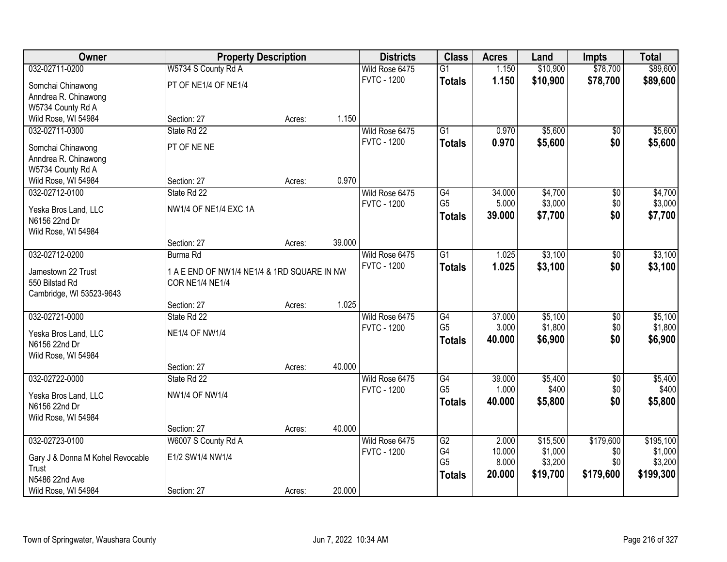| Owner                                 | <b>Property Description</b>                                           |        |        | <b>Districts</b>   | <b>Class</b>    | <b>Acres</b> | Land     | <b>Impts</b>    | <b>Total</b> |
|---------------------------------------|-----------------------------------------------------------------------|--------|--------|--------------------|-----------------|--------------|----------|-----------------|--------------|
| 032-02711-0200                        | W5734 S County Rd A                                                   |        |        | Wild Rose 6475     | $\overline{G1}$ | 1.150        | \$10,900 | \$78,700        | \$89,600     |
| Somchai Chinawong                     | PT OF NE1/4 OF NE1/4                                                  |        |        | <b>FVTC - 1200</b> | <b>Totals</b>   | 1.150        | \$10,900 | \$78,700        | \$89,600     |
| Anndrea R. Chinawong                  |                                                                       |        |        |                    |                 |              |          |                 |              |
| W5734 County Rd A                     |                                                                       |        |        |                    |                 |              |          |                 |              |
| Wild Rose, WI 54984                   | Section: 27                                                           | Acres: | 1.150  |                    |                 |              |          |                 |              |
| 032-02711-0300                        | State Rd 22                                                           |        |        | Wild Rose 6475     | $\overline{G1}$ | 0.970        | \$5,600  | $\overline{50}$ | \$5,600      |
| Somchai Chinawong                     | PT OF NE NE                                                           |        |        | <b>FVTC - 1200</b> | <b>Totals</b>   | 0.970        | \$5,600  | \$0             | \$5,600      |
| Anndrea R. Chinawong                  |                                                                       |        |        |                    |                 |              |          |                 |              |
| W5734 County Rd A                     |                                                                       |        |        |                    |                 |              |          |                 |              |
| Wild Rose, WI 54984                   | Section: 27                                                           | Acres: | 0.970  |                    |                 |              |          |                 |              |
| 032-02712-0100                        | State Rd 22                                                           |        |        | Wild Rose 6475     | G4              | 34.000       | \$4,700  | $\overline{50}$ | \$4,700      |
|                                       | NW1/4 OF NE1/4 EXC 1A                                                 |        |        | <b>FVTC - 1200</b> | G <sub>5</sub>  | 5.000        | \$3,000  | \$0             | \$3,000      |
| Yeska Bros Land, LLC<br>N6156 22nd Dr |                                                                       |        |        |                    | <b>Totals</b>   | 39.000       | \$7,700  | \$0             | \$7,700      |
| Wild Rose, WI 54984                   |                                                                       |        |        |                    |                 |              |          |                 |              |
|                                       | Section: 27                                                           | Acres: | 39.000 |                    |                 |              |          |                 |              |
| 032-02712-0200                        | Burma Rd                                                              |        |        | Wild Rose 6475     | $\overline{G1}$ | 1.025        | \$3,100  | $\sqrt[6]{}$    | \$3,100      |
|                                       |                                                                       |        |        | <b>FVTC - 1200</b> | <b>Totals</b>   | 1.025        | \$3,100  | \$0             | \$3,100      |
| Jamestown 22 Trust<br>550 Bilstad Rd  | 1 A E END OF NW1/4 NE1/4 & 1RD SQUARE IN NW<br><b>COR NE1/4 NE1/4</b> |        |        |                    |                 |              |          |                 |              |
| Cambridge, WI 53523-9643              |                                                                       |        |        |                    |                 |              |          |                 |              |
|                                       | Section: 27                                                           | Acres: | 1.025  |                    |                 |              |          |                 |              |
| 032-02721-0000                        | State Rd 22                                                           |        |        | Wild Rose 6475     | $\overline{G4}$ | 37.000       | \$5,100  | $\overline{50}$ | \$5,100      |
|                                       |                                                                       |        |        | <b>FVTC - 1200</b> | G <sub>5</sub>  | 3.000        | \$1,800  | \$0             | \$1,800      |
| Yeska Bros Land, LLC                  | <b>NE1/4 OF NW1/4</b>                                                 |        |        |                    | <b>Totals</b>   | 40.000       | \$6,900  | \$0             | \$6,900      |
| N6156 22nd Dr<br>Wild Rose, WI 54984  |                                                                       |        |        |                    |                 |              |          |                 |              |
|                                       | Section: 27                                                           | Acres: | 40.000 |                    |                 |              |          |                 |              |
| 032-02722-0000                        | State Rd 22                                                           |        |        | Wild Rose 6475     | G4              | 39.000       | \$5,400  | $\sqrt{$0}$     | \$5,400      |
|                                       |                                                                       |        |        | <b>FVTC - 1200</b> | G <sub>5</sub>  | 1.000        | \$400    | \$0             | \$400        |
| Yeska Bros Land, LLC                  | <b>NW1/4 OF NW1/4</b>                                                 |        |        |                    | <b>Totals</b>   | 40.000       | \$5,800  | \$0             | \$5,800      |
| N6156 22nd Dr                         |                                                                       |        |        |                    |                 |              |          |                 |              |
| Wild Rose, WI 54984                   | Section: 27                                                           |        | 40.000 |                    |                 |              |          |                 |              |
| 032-02723-0100                        | W6007 S County Rd A                                                   | Acres: |        | Wild Rose 6475     | G2              | 2.000        | \$15,500 | \$179,600       | \$195,100    |
|                                       |                                                                       |        |        | <b>FVTC - 1200</b> | G4              | 10.000       | \$1,000  | \$0             | \$1,000      |
| Gary J & Donna M Kohel Revocable      | E1/2 SW1/4 NW1/4                                                      |        |        |                    | G <sub>5</sub>  | 8.000        | \$3,200  | \$0             | \$3,200      |
| Trust                                 |                                                                       |        |        |                    | <b>Totals</b>   | 20.000       | \$19,700 | \$179,600       | \$199,300    |
| N5486 22nd Ave                        |                                                                       |        |        |                    |                 |              |          |                 |              |
| Wild Rose, WI 54984                   | Section: 27                                                           | Acres: | 20.000 |                    |                 |              |          |                 |              |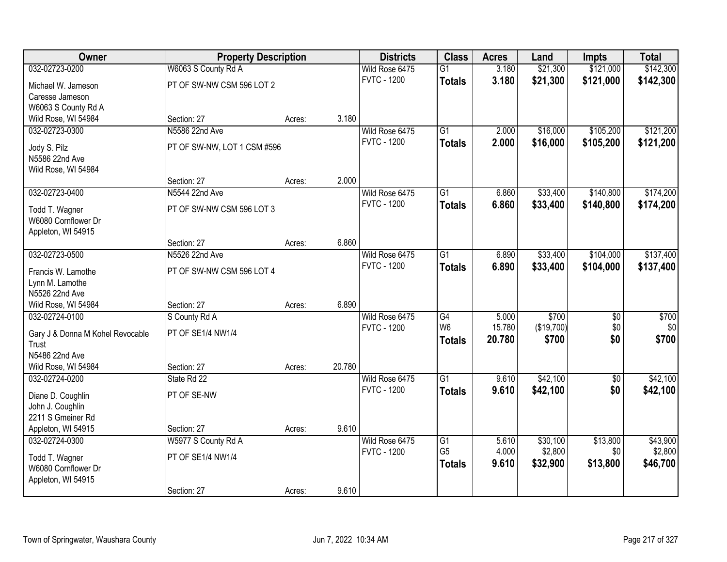| Owner                            | <b>Property Description</b> |        |        | <b>Districts</b>   | <b>Class</b>    | <b>Acres</b> | Land       | <b>Impts</b> | <b>Total</b> |
|----------------------------------|-----------------------------|--------|--------|--------------------|-----------------|--------------|------------|--------------|--------------|
| 032-02723-0200                   | W6063 S County Rd A         |        |        | Wild Rose 6475     | $\overline{G1}$ | 3.180        | \$21,300   | \$121,000    | \$142,300    |
| Michael W. Jameson               | PT OF SW-NW CSM 596 LOT 2   |        |        | <b>FVTC - 1200</b> | <b>Totals</b>   | 3.180        | \$21,300   | \$121,000    | \$142,300    |
| Caresse Jameson                  |                             |        |        |                    |                 |              |            |              |              |
| W6063 S County Rd A              |                             |        |        |                    |                 |              |            |              |              |
| Wild Rose, WI 54984              | Section: 27                 | Acres: | 3.180  |                    |                 |              |            |              |              |
| 032-02723-0300                   | N5586 22nd Ave              |        |        | Wild Rose 6475     | $\overline{G1}$ | 2.000        | \$16,000   | \$105,200    | \$121,200    |
| Jody S. Pilz                     | PT OF SW-NW, LOT 1 CSM #596 |        |        | <b>FVTC - 1200</b> | <b>Totals</b>   | 2.000        | \$16,000   | \$105,200    | \$121,200    |
| N5586 22nd Ave                   |                             |        |        |                    |                 |              |            |              |              |
| Wild Rose, WI 54984              |                             |        |        |                    |                 |              |            |              |              |
|                                  | Section: 27                 | Acres: | 2.000  |                    |                 |              |            |              |              |
| 032-02723-0400                   | N5544 22nd Ave              |        |        | Wild Rose 6475     | $\overline{G1}$ | 6.860        | \$33,400   | \$140,800    | \$174,200    |
| Todd T. Wagner                   | PT OF SW-NW CSM 596 LOT 3   |        |        | <b>FVTC - 1200</b> | <b>Totals</b>   | 6.860        | \$33,400   | \$140,800    | \$174,200    |
| W6080 Cornflower Dr              |                             |        |        |                    |                 |              |            |              |              |
| Appleton, WI 54915               |                             |        |        |                    |                 |              |            |              |              |
|                                  | Section: 27                 | Acres: | 6.860  |                    |                 |              |            |              |              |
| 032-02723-0500                   | N5526 22nd Ave              |        |        | Wild Rose 6475     | $\overline{G1}$ | 6.890        | \$33,400   | \$104,000    | \$137,400    |
| Francis W. Lamothe               | PT OF SW-NW CSM 596 LOT 4   |        |        | <b>FVTC - 1200</b> | <b>Totals</b>   | 6.890        | \$33,400   | \$104,000    | \$137,400    |
| Lynn M. Lamothe                  |                             |        |        |                    |                 |              |            |              |              |
| N5526 22nd Ave                   |                             |        |        |                    |                 |              |            |              |              |
| Wild Rose, WI 54984              | Section: 27                 | Acres: | 6.890  |                    |                 |              |            |              |              |
| 032-02724-0100                   | S County Rd A               |        |        | Wild Rose 6475     | G4              | 5.000        | \$700      | \$0          | \$700        |
| Gary J & Donna M Kohel Revocable | PT OF SE1/4 NW1/4           |        |        | <b>FVTC - 1200</b> | W <sub>6</sub>  | 15.780       | (\$19,700) | \$0          | \$0          |
| Trust                            |                             |        |        |                    | <b>Totals</b>   | 20.780       | \$700      | \$0          | \$700        |
| N5486 22nd Ave                   |                             |        |        |                    |                 |              |            |              |              |
| Wild Rose, WI 54984              | Section: 27                 | Acres: | 20.780 |                    |                 |              |            |              |              |
| 032-02724-0200                   | State Rd 22                 |        |        | Wild Rose 6475     | $\overline{G1}$ | 9.610        | \$42,100   | $\sqrt{6}$   | \$42,100     |
| Diane D. Coughlin                | PT OF SE-NW                 |        |        | <b>FVTC - 1200</b> | <b>Totals</b>   | 9.610        | \$42,100   | \$0          | \$42,100     |
| John J. Coughlin                 |                             |        |        |                    |                 |              |            |              |              |
| 2211 S Gmeiner Rd                |                             |        |        |                    |                 |              |            |              |              |
| Appleton, WI 54915               | Section: 27                 | Acres: | 9.610  |                    |                 |              |            |              |              |
| 032-02724-0300                   | W5977 S County Rd A         |        |        | Wild Rose 6475     | $\overline{G1}$ | 5.610        | \$30,100   | \$13,800     | \$43,900     |
| Todd T. Wagner                   | PT OF SE1/4 NW1/4           |        |        | <b>FVTC - 1200</b> | G <sub>5</sub>  | 4.000        | \$2,800    | \$0          | \$2,800      |
| W6080 Cornflower Dr              |                             |        |        |                    | <b>Totals</b>   | 9.610        | \$32,900   | \$13,800     | \$46,700     |
| Appleton, WI 54915               |                             |        |        |                    |                 |              |            |              |              |
|                                  | Section: 27                 | Acres: | 9.610  |                    |                 |              |            |              |              |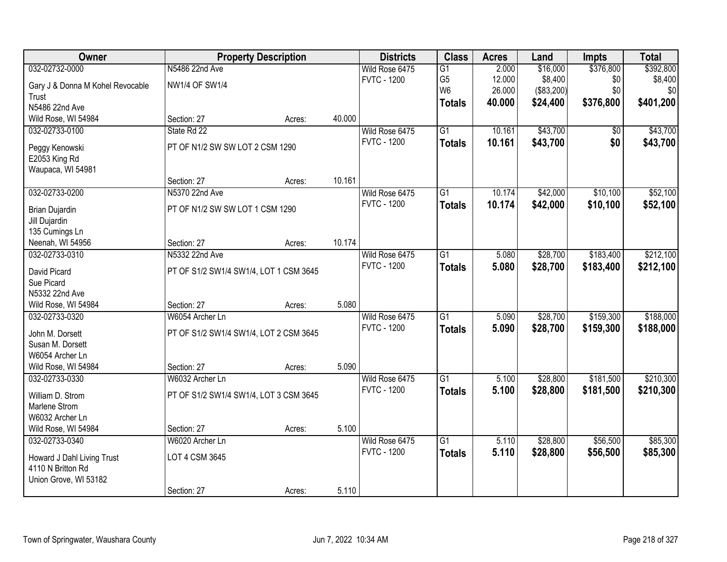| Owner                                 |                                        | <b>Property Description</b> |        | <b>Districts</b>   | <b>Class</b>    | <b>Acres</b> | Land       | <b>Impts</b> | <b>Total</b> |
|---------------------------------------|----------------------------------------|-----------------------------|--------|--------------------|-----------------|--------------|------------|--------------|--------------|
| 032-02732-0000                        | N5486 22nd Ave                         |                             |        | Wild Rose 6475     | $\overline{G1}$ | 2.000        | \$16,000   | \$376,800    | \$392,800    |
| Gary J & Donna M Kohel Revocable      | <b>NW1/4 OF SW1/4</b>                  |                             |        | <b>FVTC - 1200</b> | G <sub>5</sub>  | 12.000       | \$8,400    | \$0          | \$8,400      |
| Trust                                 |                                        |                             |        |                    | W <sub>6</sub>  | 26.000       | (\$83,200) | \$0          | \$0          |
| N5486 22nd Ave                        |                                        |                             |        |                    | <b>Totals</b>   | 40.000       | \$24,400   | \$376,800    | \$401,200    |
| Wild Rose, WI 54984                   | Section: 27                            | Acres:                      | 40.000 |                    |                 |              |            |              |              |
| 032-02733-0100                        | State Rd 22                            |                             |        | Wild Rose 6475     | $\overline{G1}$ | 10.161       | \$43,700   | \$0          | \$43,700     |
| Peggy Kenowski                        | PT OF N1/2 SW SW LOT 2 CSM 1290        |                             |        | <b>FVTC - 1200</b> | <b>Totals</b>   | 10.161       | \$43,700   | \$0          | \$43,700     |
| E2053 King Rd                         |                                        |                             |        |                    |                 |              |            |              |              |
| Waupaca, WI 54981                     |                                        |                             |        |                    |                 |              |            |              |              |
|                                       | Section: 27                            | Acres:                      | 10.161 |                    |                 |              |            |              |              |
| 032-02733-0200                        | N5370 22nd Ave                         |                             |        | Wild Rose 6475     | G1              | 10.174       | \$42,000   | \$10,100     | \$52,100     |
|                                       |                                        |                             |        | <b>FVTC - 1200</b> | <b>Totals</b>   | 10.174       | \$42,000   | \$10,100     | \$52,100     |
| <b>Brian Dujardin</b>                 | PT OF N1/2 SW SW LOT 1 CSM 1290        |                             |        |                    |                 |              |            |              |              |
| Jill Dujardin<br>135 Cumings Ln       |                                        |                             |        |                    |                 |              |            |              |              |
| Neenah, WI 54956                      | Section: 27                            | Acres:                      | 10.174 |                    |                 |              |            |              |              |
| 032-02733-0310                        | N5332 22nd Ave                         |                             |        | Wild Rose 6475     | $\overline{G1}$ | 5.080        | \$28,700   | \$183,400    | \$212,100    |
|                                       |                                        |                             |        | <b>FVTC - 1200</b> | <b>Totals</b>   | 5.080        | \$28,700   | \$183,400    | \$212,100    |
| David Picard                          | PT OF S1/2 SW1/4 SW1/4, LOT 1 CSM 3645 |                             |        |                    |                 |              |            |              |              |
| Sue Picard                            |                                        |                             |        |                    |                 |              |            |              |              |
| N5332 22nd Ave                        |                                        |                             | 5.080  |                    |                 |              |            |              |              |
| Wild Rose, WI 54984<br>032-02733-0320 | Section: 27<br>W6054 Archer Ln         | Acres:                      |        |                    | $\overline{G1}$ | 5.090        |            | \$159,300    | \$188,000    |
|                                       |                                        |                             |        | Wild Rose 6475     |                 |              | \$28,700   |              |              |
| John M. Dorsett                       | PT OF S1/2 SW1/4 SW1/4, LOT 2 CSM 3645 |                             |        | <b>FVTC - 1200</b> | <b>Totals</b>   | 5.090        | \$28,700   | \$159,300    | \$188,000    |
| Susan M. Dorsett                      |                                        |                             |        |                    |                 |              |            |              |              |
| W6054 Archer Ln                       |                                        |                             |        |                    |                 |              |            |              |              |
| Wild Rose, WI 54984                   | Section: 27                            | Acres:                      | 5.090  |                    |                 |              |            |              |              |
| 032-02733-0330                        | W6032 Archer Ln                        |                             |        | Wild Rose 6475     | $\overline{G1}$ | 5.100        | \$28,800   | \$181,500    | \$210,300    |
| William D. Strom                      | PT OF S1/2 SW1/4 SW1/4, LOT 3 CSM 3645 |                             |        | <b>FVTC - 1200</b> | <b>Totals</b>   | 5.100        | \$28,800   | \$181,500    | \$210,300    |
| Marlene Strom                         |                                        |                             |        |                    |                 |              |            |              |              |
| W6032 Archer Ln                       |                                        |                             |        |                    |                 |              |            |              |              |
| Wild Rose, WI 54984                   | Section: 27                            | Acres:                      | 5.100  |                    |                 |              |            |              |              |
| 032-02733-0340                        | W6020 Archer Ln                        |                             |        | Wild Rose 6475     | $\overline{G1}$ | 5.110        | \$28,800   | \$56,500     | \$85,300     |
| Howard J Dahl Living Trust            | LOT 4 CSM 3645                         |                             |        | <b>FVTC - 1200</b> | <b>Totals</b>   | 5.110        | \$28,800   | \$56,500     | \$85,300     |
| 4110 N Britton Rd                     |                                        |                             |        |                    |                 |              |            |              |              |
| Union Grove, WI 53182                 |                                        |                             |        |                    |                 |              |            |              |              |
|                                       | Section: 27                            | Acres:                      | 5.110  |                    |                 |              |            |              |              |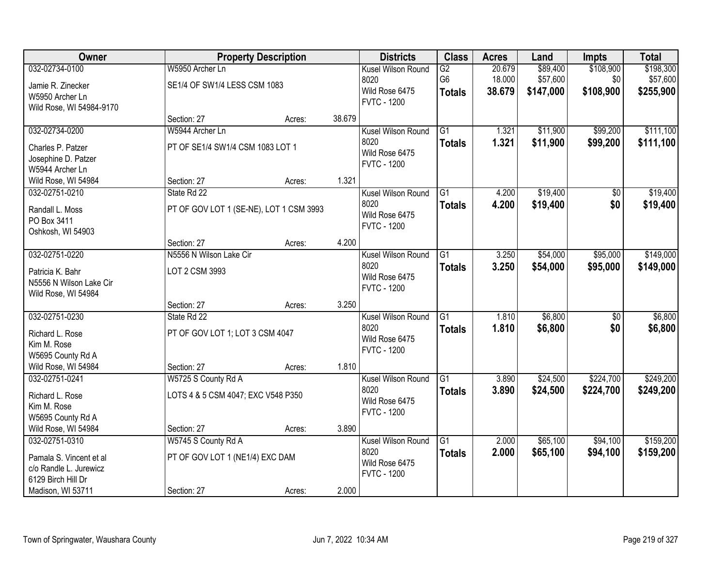| Owner                    |                                         | <b>Property Description</b> |        | <b>Districts</b>   | <b>Class</b>    | <b>Acres</b> | Land      | <b>Impts</b>    | <b>Total</b> |
|--------------------------|-----------------------------------------|-----------------------------|--------|--------------------|-----------------|--------------|-----------|-----------------|--------------|
| 032-02734-0100           | W5950 Archer Ln                         |                             |        | Kusel Wilson Round | G2              | 20.679       | \$89,400  | \$108,900       | \$198,300    |
| Jamie R. Zinecker        | SE1/4 OF SW1/4 LESS CSM 1083            |                             |        | 8020               | G6              | 18.000       | \$57,600  | \$0             | \$57,600     |
| W5950 Archer Ln          |                                         |                             |        | Wild Rose 6475     | <b>Totals</b>   | 38.679       | \$147,000 | \$108,900       | \$255,900    |
| Wild Rose, WI 54984-9170 |                                         |                             |        | <b>FVTC - 1200</b> |                 |              |           |                 |              |
|                          | Section: 27                             | Acres:                      | 38.679 |                    |                 |              |           |                 |              |
| 032-02734-0200           | W5944 Archer Ln                         |                             |        | Kusel Wilson Round | $\overline{G1}$ | 1.321        | \$11,900  | \$99,200        | \$111,100    |
| Charles P. Patzer        | PT OF SE1/4 SW1/4 CSM 1083 LOT 1        |                             |        | 8020               | <b>Totals</b>   | 1.321        | \$11,900  | \$99,200        | \$111,100    |
| Josephine D. Patzer      |                                         |                             |        | Wild Rose 6475     |                 |              |           |                 |              |
| W5944 Archer Ln          |                                         |                             |        | <b>FVTC - 1200</b> |                 |              |           |                 |              |
| Wild Rose, WI 54984      | Section: 27                             | Acres:                      | 1.321  |                    |                 |              |           |                 |              |
| 032-02751-0210           | State Rd 22                             |                             |        | Kusel Wilson Round | G1              | 4.200        | \$19,400  | $\overline{50}$ | \$19,400     |
| Randall L. Moss          | PT OF GOV LOT 1 (SE-NE), LOT 1 CSM 3993 |                             |        | 8020               | <b>Totals</b>   | 4.200        | \$19,400  | \$0             | \$19,400     |
| PO Box 3411              |                                         |                             |        | Wild Rose 6475     |                 |              |           |                 |              |
| Oshkosh, WI 54903        |                                         |                             |        | <b>FVTC - 1200</b> |                 |              |           |                 |              |
|                          | Section: 27                             | Acres:                      | 4.200  |                    |                 |              |           |                 |              |
| 032-02751-0220           | N5556 N Wilson Lake Cir                 |                             |        | Kusel Wilson Round | G1              | 3.250        | \$54,000  | \$95,000        | \$149,000    |
| Patricia K. Bahr         | LOT 2 CSM 3993                          |                             |        | 8020               | <b>Totals</b>   | 3.250        | \$54,000  | \$95,000        | \$149,000    |
| N5556 N Wilson Lake Cir  |                                         |                             |        | Wild Rose 6475     |                 |              |           |                 |              |
| Wild Rose, WI 54984      |                                         |                             |        | <b>FVTC - 1200</b> |                 |              |           |                 |              |
|                          | Section: 27                             | Acres:                      | 3.250  |                    |                 |              |           |                 |              |
| 032-02751-0230           | State Rd 22                             |                             |        | Kusel Wilson Round | $\overline{G1}$ | 1.810        | \$6,800   | $\overline{50}$ | \$6,800      |
| Richard L. Rose          | PT OF GOV LOT 1; LOT 3 CSM 4047         |                             |        | 8020               | <b>Totals</b>   | 1.810        | \$6,800   | \$0             | \$6,800      |
| Kim M. Rose              |                                         |                             |        | Wild Rose 6475     |                 |              |           |                 |              |
| W5695 County Rd A        |                                         |                             |        | <b>FVTC - 1200</b> |                 |              |           |                 |              |
| Wild Rose, WI 54984      | Section: 27                             | Acres:                      | 1.810  |                    |                 |              |           |                 |              |
| 032-02751-0241           | W5725 S County Rd A                     |                             |        | Kusel Wilson Round | G1              | 3.890        | \$24,500  | \$224,700       | \$249,200    |
| Richard L. Rose          | LOTS 4 & 5 CSM 4047; EXC V548 P350      |                             |        | 8020               | <b>Totals</b>   | 3.890        | \$24,500  | \$224,700       | \$249,200    |
| Kim M. Rose              |                                         |                             |        | Wild Rose 6475     |                 |              |           |                 |              |
| W5695 County Rd A        |                                         |                             |        | <b>FVTC - 1200</b> |                 |              |           |                 |              |
| Wild Rose, WI 54984      | Section: 27                             | Acres:                      | 3.890  |                    |                 |              |           |                 |              |
| 032-02751-0310           | W5745 S County Rd A                     |                             |        | Kusel Wilson Round | $\overline{G1}$ | 2.000        | \$65,100  | \$94,100        | \$159,200    |
| Pamala S. Vincent et al  | PT OF GOV LOT 1 (NE1/4) EXC DAM         |                             |        | 8020               | <b>Totals</b>   | 2.000        | \$65,100  | \$94,100        | \$159,200    |
| c/o Randle L. Jurewicz   |                                         |                             |        | Wild Rose 6475     |                 |              |           |                 |              |
| 6129 Birch Hill Dr       |                                         |                             |        | <b>FVTC - 1200</b> |                 |              |           |                 |              |
| Madison, WI 53711        | Section: 27                             | Acres:                      | 2.000  |                    |                 |              |           |                 |              |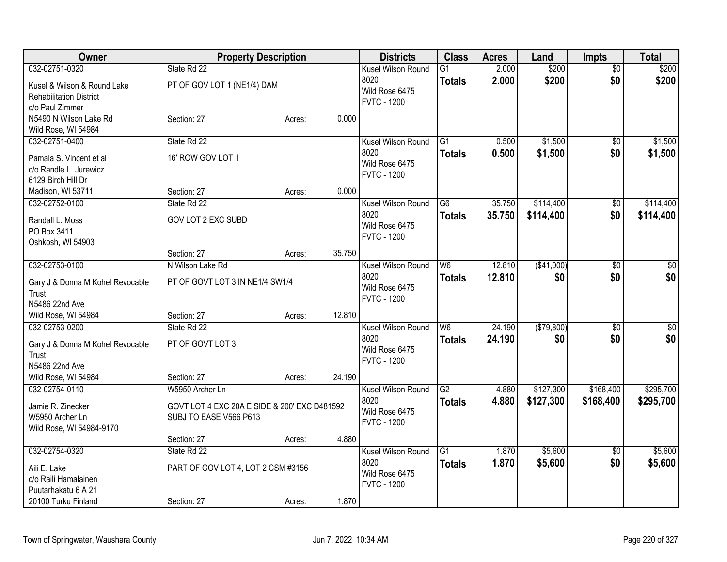| Owner                                                                                                | <b>Property Description</b>                                                               |        |        | <b>Districts</b>                                                   | <b>Class</b>                     | <b>Acres</b>     | Land                   | <b>Impts</b>           | <b>Total</b>           |
|------------------------------------------------------------------------------------------------------|-------------------------------------------------------------------------------------------|--------|--------|--------------------------------------------------------------------|----------------------------------|------------------|------------------------|------------------------|------------------------|
| 032-02751-0320<br>Kusel & Wilson & Round Lake<br><b>Rehabilitation District</b><br>c/o Paul Zimmer   | State Rd 22<br>PT OF GOV LOT 1 (NE1/4) DAM                                                |        |        | Kusel Wilson Round<br>8020<br>Wild Rose 6475<br><b>FVTC - 1200</b> | $\overline{G1}$<br><b>Totals</b> | 2.000<br>2.000   | \$200<br>\$200         | $\overline{50}$<br>\$0 | \$200<br>\$200         |
| N5490 N Wilson Lake Rd<br>Wild Rose, WI 54984                                                        | Section: 27                                                                               | Acres: | 0.000  |                                                                    |                                  |                  |                        |                        |                        |
| 032-02751-0400<br>Pamala S. Vincent et al<br>c/o Randle L. Jurewicz<br>6129 Birch Hill Dr            | State Rd 22<br>16' ROW GOV LOT 1                                                          |        |        | Kusel Wilson Round<br>8020<br>Wild Rose 6475<br><b>FVTC - 1200</b> | G1<br><b>Totals</b>              | 0.500<br>0.500   | \$1,500<br>\$1,500     | $\sqrt{$0}$<br>\$0     | \$1,500<br>\$1,500     |
| Madison, WI 53711<br>032-02752-0100                                                                  | Section: 27<br>State Rd 22                                                                | Acres: | 0.000  | Kusel Wilson Round                                                 | G6                               | 35.750           | \$114,400              | $\sqrt[6]{30}$         | \$114,400              |
| Randall L. Moss<br>PO Box 3411<br>Oshkosh, WI 54903                                                  | <b>GOV LOT 2 EXC SUBD</b>                                                                 |        |        | 8020<br>Wild Rose 6475<br><b>FVTC - 1200</b>                       | <b>Totals</b>                    | 35.750           | \$114,400              | \$0                    | \$114,400              |
|                                                                                                      | Section: 27                                                                               | Acres: | 35.750 |                                                                    |                                  |                  |                        |                        |                        |
| 032-02753-0100<br>Gary J & Donna M Kohel Revocable<br>Trust<br>N5486 22nd Ave                        | N Wilson Lake Rd<br>PT OF GOVT LOT 3 IN NE1/4 SW1/4                                       |        |        | Kusel Wilson Round<br>8020<br>Wild Rose 6475<br><b>FVTC - 1200</b> | W <sub>6</sub><br><b>Totals</b>  | 12.810<br>12.810 | (\$41,000)<br>\$0      | \$0<br>\$0             | $\sqrt{50}$<br>\$0     |
| Wild Rose, WI 54984                                                                                  | Section: 27                                                                               | Acres: | 12.810 |                                                                    |                                  |                  |                        |                        |                        |
| 032-02753-0200<br>Gary J & Donna M Kohel Revocable<br>Trust<br>N5486 22nd Ave                        | State Rd 22<br>PT OF GOVT LOT 3                                                           |        |        | Kusel Wilson Round<br>8020<br>Wild Rose 6475<br><b>FVTC - 1200</b> | W <sub>6</sub><br><b>Totals</b>  | 24.190<br>24.190 | (\$79,800)<br>\$0      | $\sqrt{6}$<br>\$0      | \$0<br>\$0             |
| Wild Rose, WI 54984                                                                                  | Section: 27                                                                               | Acres: | 24.190 |                                                                    |                                  |                  |                        |                        |                        |
| 032-02754-0110<br>Jamie R. Zinecker<br>W5950 Archer Ln<br>Wild Rose, WI 54984-9170                   | W5950 Archer Ln<br>GOVT LOT 4 EXC 20A E SIDE & 200' EXC D481592<br>SUBJ TO EASE V566 P613 |        |        | Kusel Wilson Round<br>8020<br>Wild Rose 6475<br><b>FVTC - 1200</b> | $\overline{G2}$<br><b>Totals</b> | 4.880<br>4.880   | \$127,300<br>\$127,300 | \$168,400<br>\$168,400 | \$295,700<br>\$295,700 |
|                                                                                                      | Section: 27                                                                               | Acres: | 4.880  |                                                                    |                                  |                  |                        |                        |                        |
| 032-02754-0320<br>Aili E. Lake<br>c/o Raili Hamalainen<br>Puutarhakatu 6 A 21<br>20100 Turku Finland | State Rd 22<br>PART OF GOV LOT 4, LOT 2 CSM #3156<br>Section: 27                          | Acres: | 1.870  | Kusel Wilson Round<br>8020<br>Wild Rose 6475<br><b>FVTC - 1200</b> | $\overline{G1}$<br><b>Totals</b> | 1.870<br>1.870   | \$5,600<br>\$5,600     | $\overline{50}$<br>\$0 | \$5,600<br>\$5,600     |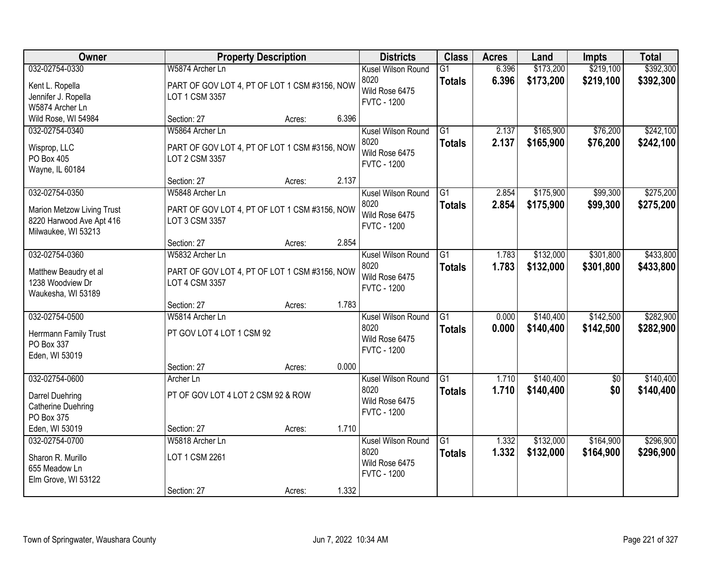| Owner                                                                                           |                                                                                    | <b>Property Description</b> |       | <b>Districts</b>                                                   | <b>Class</b>                     | <b>Acres</b>   | Land                   | <b>Impts</b>           | <b>Total</b>           |
|-------------------------------------------------------------------------------------------------|------------------------------------------------------------------------------------|-----------------------------|-------|--------------------------------------------------------------------|----------------------------------|----------------|------------------------|------------------------|------------------------|
| 032-02754-0330<br>Kent L. Ropella<br>Jennifer J. Ropella<br>W5874 Archer Ln                     | W5874 Archer Ln<br>PART OF GOV LOT 4, PT OF LOT 1 CSM #3156, NOW<br>LOT 1 CSM 3357 |                             |       | Kusel Wilson Round<br>8020<br>Wild Rose 6475<br><b>FVTC - 1200</b> | G1<br><b>Totals</b>              | 6.396<br>6.396 | \$173,200<br>\$173,200 | \$219,100<br>\$219,100 | \$392,300<br>\$392,300 |
| Wild Rose, WI 54984                                                                             | Section: 27                                                                        | Acres:                      | 6.396 |                                                                    |                                  |                |                        |                        |                        |
| 032-02754-0340<br>Wisprop, LLC<br>PO Box 405<br>Wayne, IL 60184                                 | W5864 Archer Ln<br>PART OF GOV LOT 4, PT OF LOT 1 CSM #3156, NOW<br>LOT 2 CSM 3357 |                             |       | Kusel Wilson Round<br>8020<br>Wild Rose 6475<br><b>FVTC - 1200</b> | $\overline{G1}$<br><b>Totals</b> | 2.137<br>2.137 | \$165,900<br>\$165,900 | \$76,200<br>\$76,200   | \$242,100<br>\$242,100 |
|                                                                                                 | Section: 27                                                                        | Acres:                      | 2.137 |                                                                    |                                  |                |                        |                        |                        |
| 032-02754-0350<br>Marion Metzow Living Trust<br>8220 Harwood Ave Apt 416<br>Milwaukee, WI 53213 | W5848 Archer Ln<br>PART OF GOV LOT 4, PT OF LOT 1 CSM #3156, NOW<br>LOT 3 CSM 3357 |                             |       | Kusel Wilson Round<br>8020<br>Wild Rose 6475<br><b>FVTC - 1200</b> | G1<br><b>Totals</b>              | 2.854<br>2.854 | \$175,900<br>\$175,900 | \$99,300<br>\$99,300   | \$275,200<br>\$275,200 |
|                                                                                                 | Section: 27                                                                        | Acres:                      | 2.854 |                                                                    |                                  |                |                        |                        |                        |
| 032-02754-0360<br>Matthew Beaudry et al<br>1238 Woodview Dr<br>Waukesha, WI 53189               | W5832 Archer Ln<br>PART OF GOV LOT 4, PT OF LOT 1 CSM #3156, NOW<br>LOT 4 CSM 3357 |                             |       | Kusel Wilson Round<br>8020<br>Wild Rose 6475<br><b>FVTC - 1200</b> | G1<br><b>Totals</b>              | 1.783<br>1.783 | \$132,000<br>\$132,000 | \$301,800<br>\$301,800 | \$433,800<br>\$433,800 |
|                                                                                                 | Section: 27                                                                        | Acres:                      | 1.783 |                                                                    |                                  |                |                        |                        |                        |
| 032-02754-0500<br>Herrmann Family Trust<br>PO Box 337<br>Eden, WI 53019                         | W5814 Archer Ln<br>PT GOV LOT 4 LOT 1 CSM 92                                       |                             |       | Kusel Wilson Round<br>8020<br>Wild Rose 6475<br><b>FVTC - 1200</b> | $\overline{G1}$<br><b>Totals</b> | 0.000<br>0.000 | \$140,400<br>\$140,400 | \$142,500<br>\$142,500 | \$282,900<br>\$282,900 |
|                                                                                                 | Section: 27                                                                        | Acres:                      | 0.000 |                                                                    |                                  |                |                        |                        |                        |
| 032-02754-0600<br>Darrel Duehring<br>Catherine Duehring<br>PO Box 375                           | Archer Ln<br>PT OF GOV LOT 4 LOT 2 CSM 92 & ROW                                    |                             |       | Kusel Wilson Round<br>8020<br>Wild Rose 6475<br><b>FVTC - 1200</b> | $\overline{G1}$<br><b>Totals</b> | 1.710<br>1.710 | \$140,400<br>\$140,400 | $\overline{50}$<br>\$0 | \$140,400<br>\$140,400 |
| Eden, WI 53019                                                                                  | Section: 27                                                                        | Acres:                      | 1.710 |                                                                    |                                  |                |                        |                        |                        |
| 032-02754-0700<br>Sharon R. Murillo<br>655 Meadow Ln<br>Elm Grove, WI 53122                     | W5818 Archer Ln<br>LOT 1 CSM 2261<br>Section: 27                                   | Acres:                      | 1.332 | Kusel Wilson Round<br>8020<br>Wild Rose 6475<br><b>FVTC - 1200</b> | $\overline{G1}$<br><b>Totals</b> | 1.332<br>1.332 | \$132,000<br>\$132,000 | \$164,900<br>\$164,900 | \$296,900<br>\$296,900 |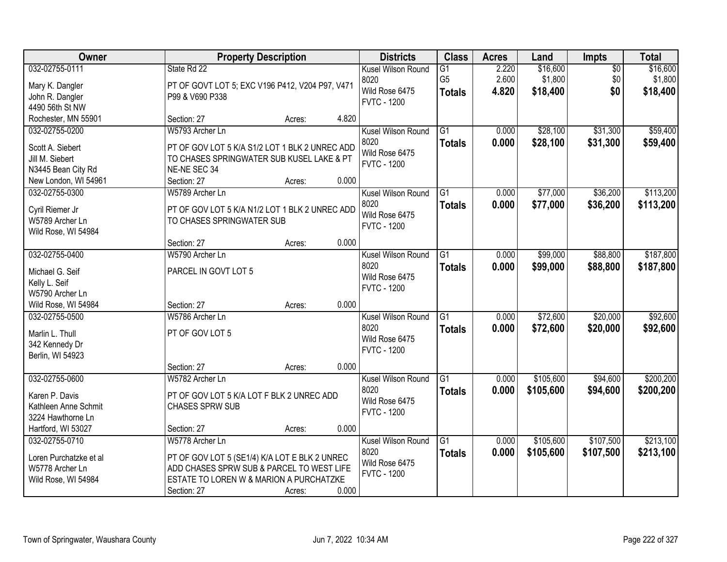| Owner                             |                                                                | <b>Property Description</b> |       | <b>Districts</b>                     | <b>Class</b>                      | <b>Acres</b>   | Land                | <b>Impts</b>           | <b>Total</b>        |
|-----------------------------------|----------------------------------------------------------------|-----------------------------|-------|--------------------------------------|-----------------------------------|----------------|---------------------|------------------------|---------------------|
| 032-02755-0111<br>Mary K. Dangler | State Rd 22<br>PT OF GOVT LOT 5; EXC V196 P412, V204 P97, V471 |                             |       | Kusel Wilson Round<br>8020           | $\overline{G1}$<br>G <sub>5</sub> | 2.220<br>2.600 | \$16,600<br>\$1,800 | $\overline{50}$<br>\$0 | \$16,600<br>\$1,800 |
| John R. Dangler                   | P99 & V690 P338                                                |                             |       | Wild Rose 6475<br><b>FVTC - 1200</b> | <b>Totals</b>                     | 4.820          | \$18,400            | \$0                    | \$18,400            |
| 4490 56th St NW                   |                                                                |                             |       |                                      |                                   |                |                     |                        |                     |
| Rochester, MN 55901               | Section: 27                                                    | Acres:                      | 4.820 |                                      |                                   |                |                     |                        |                     |
| 032-02755-0200                    | W5793 Archer Ln                                                |                             |       | Kusel Wilson Round                   | $\overline{G1}$                   | 0.000          | \$28,100            | \$31,300               | \$59,400            |
| Scott A. Siebert                  | PT OF GOV LOT 5 K/A S1/2 LOT 1 BLK 2 UNREC ADD                 |                             |       | 8020                                 | <b>Totals</b>                     | 0.000          | \$28,100            | \$31,300               | \$59,400            |
| Jill M. Siebert                   | TO CHASES SPRINGWATER SUB KUSEL LAKE & PT                      |                             |       | Wild Rose 6475<br><b>FVTC - 1200</b> |                                   |                |                     |                        |                     |
| N3445 Bean City Rd                | NE-NE SEC 34                                                   |                             |       |                                      |                                   |                |                     |                        |                     |
| New London, WI 54961              | Section: 27                                                    | Acres:                      | 0.000 |                                      |                                   |                |                     |                        |                     |
| 032-02755-0300                    | W5789 Archer Ln                                                |                             |       | Kusel Wilson Round                   | $\overline{G1}$                   | 0.000          | \$77,000            | \$36,200               | \$113,200           |
| Cyril Riemer Jr                   | PT OF GOV LOT 5 K/A N1/2 LOT 1 BLK 2 UNREC ADD                 |                             |       | 8020                                 | <b>Totals</b>                     | 0.000          | \$77,000            | \$36,200               | \$113,200           |
| W5789 Archer Ln                   | TO CHASES SPRINGWATER SUB                                      |                             |       | Wild Rose 6475<br><b>FVTC - 1200</b> |                                   |                |                     |                        |                     |
| Wild Rose, WI 54984               |                                                                |                             |       |                                      |                                   |                |                     |                        |                     |
|                                   | Section: 27                                                    | Acres:                      | 0.000 |                                      |                                   |                |                     |                        |                     |
| 032-02755-0400                    | W5790 Archer Ln                                                |                             |       | Kusel Wilson Round                   | G1                                | 0.000          | \$99,000            | \$88,800               | \$187,800           |
| Michael G. Seif                   | PARCEL IN GOVT LOT 5                                           |                             |       | 8020                                 | <b>Totals</b>                     | 0.000          | \$99,000            | \$88,800               | \$187,800           |
| Kelly L. Seif                     |                                                                |                             |       | Wild Rose 6475<br><b>FVTC - 1200</b> |                                   |                |                     |                        |                     |
| W5790 Archer Ln                   |                                                                |                             |       |                                      |                                   |                |                     |                        |                     |
| Wild Rose, WI 54984               | Section: 27                                                    | Acres:                      | 0.000 |                                      |                                   |                |                     |                        |                     |
| 032-02755-0500                    | W5786 Archer Ln                                                |                             |       | Kusel Wilson Round                   | $\overline{G1}$                   | 0.000          | \$72,600            | \$20,000               | \$92,600            |
| Marlin L. Thull                   | PT OF GOV LOT 5                                                |                             |       | 8020                                 | <b>Totals</b>                     | 0.000          | \$72,600            | \$20,000               | \$92,600            |
| 342 Kennedy Dr                    |                                                                |                             |       | Wild Rose 6475                       |                                   |                |                     |                        |                     |
| Berlin, WI 54923                  |                                                                |                             |       | <b>FVTC - 1200</b>                   |                                   |                |                     |                        |                     |
|                                   | Section: 27                                                    | Acres:                      | 0.000 |                                      |                                   |                |                     |                        |                     |
| 032-02755-0600                    | W5782 Archer Ln                                                |                             |       | Kusel Wilson Round                   | $\overline{G1}$                   | 0.000          | \$105,600           | \$94,600               | \$200,200           |
| Karen P. Davis                    | PT OF GOV LOT 5 K/A LOT F BLK 2 UNREC ADD                      |                             |       | 8020                                 | <b>Totals</b>                     | 0.000          | \$105,600           | \$94,600               | \$200,200           |
| Kathleen Anne Schmit              | <b>CHASES SPRW SUB</b>                                         |                             |       | Wild Rose 6475                       |                                   |                |                     |                        |                     |
| 3224 Hawthorne Ln                 |                                                                |                             |       | <b>FVTC - 1200</b>                   |                                   |                |                     |                        |                     |
| Hartford, WI 53027                | Section: 27                                                    | Acres:                      | 0.000 |                                      |                                   |                |                     |                        |                     |
| 032-02755-0710                    | W5778 Archer Ln                                                |                             |       | Kusel Wilson Round                   | G1                                | 0.000          | \$105,600           | \$107,500              | \$213,100           |
| Loren Purchatzke et al            | PT OF GOV LOT 5 (SE1/4) K/A LOT E BLK 2 UNREC                  |                             |       | 8020                                 | <b>Totals</b>                     | 0.000          | \$105,600           | \$107,500              | \$213,100           |
| W5778 Archer Ln                   | ADD CHASES SPRW SUB & PARCEL TO WEST LIFE                      |                             |       | Wild Rose 6475                       |                                   |                |                     |                        |                     |
| Wild Rose, WI 54984               | ESTATE TO LOREN W & MARION A PURCHATZKE                        |                             |       | <b>FVTC - 1200</b>                   |                                   |                |                     |                        |                     |
|                                   | Section: 27                                                    | Acres:                      | 0.000 |                                      |                                   |                |                     |                        |                     |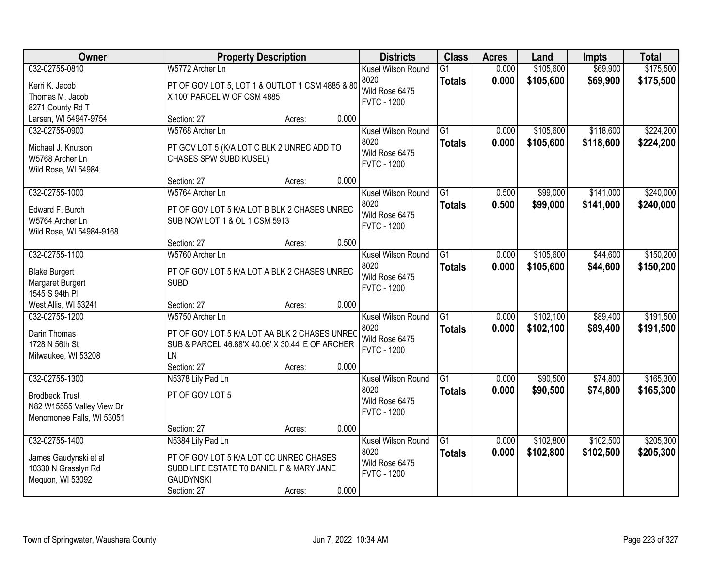| Owner                                                                              |                                                                                                                                             | <b>Property Description</b> |       | <b>Districts</b>                                                   | <b>Class</b>                     | <b>Acres</b>   | Land                   | <b>Impts</b>           | <b>Total</b>           |
|------------------------------------------------------------------------------------|---------------------------------------------------------------------------------------------------------------------------------------------|-----------------------------|-------|--------------------------------------------------------------------|----------------------------------|----------------|------------------------|------------------------|------------------------|
| 032-02755-0810<br>Kerri K. Jacob<br>Thomas M. Jacob<br>8271 County Rd T            | W5772 Archer Ln<br>PT OF GOV LOT 5, LOT 1 & OUTLOT 1 CSM 4885 & 80<br>X 100' PARCEL W OF CSM 4885                                           |                             |       | Kusel Wilson Round<br>8020<br>Wild Rose 6475<br><b>FVTC - 1200</b> | $\overline{G1}$<br><b>Totals</b> | 0.000<br>0.000 | \$105,600<br>\$105,600 | \$69,900<br>\$69,900   | \$175,500<br>\$175,500 |
| Larsen, WI 54947-9754                                                              | Section: 27                                                                                                                                 | Acres:                      | 0.000 |                                                                    |                                  |                |                        |                        |                        |
| 032-02755-0900<br>Michael J. Knutson<br>W5768 Archer Ln<br>Wild Rose, WI 54984     | W5768 Archer Ln<br>PT GOV LOT 5 (K/A LOT C BLK 2 UNREC ADD TO<br>CHASES SPW SUBD KUSEL)                                                     |                             |       | Kusel Wilson Round<br>8020<br>Wild Rose 6475<br><b>FVTC - 1200</b> | $\overline{G1}$<br><b>Totals</b> | 0.000<br>0.000 | \$105,600<br>\$105,600 | \$118,600<br>\$118,600 | \$224,200<br>\$224,200 |
|                                                                                    | Section: 27                                                                                                                                 | Acres:                      | 0.000 |                                                                    |                                  |                |                        |                        |                        |
| 032-02755-1000<br>Edward F. Burch<br>W5764 Archer Ln<br>Wild Rose, WI 54984-9168   | W5764 Archer Ln<br>PT OF GOV LOT 5 K/A LOT B BLK 2 CHASES UNREC<br>SUB NOW LOT 1 & OL 1 CSM 5913                                            |                             |       | Kusel Wilson Round<br>8020<br>Wild Rose 6475<br><b>FVTC - 1200</b> | $\overline{G1}$<br><b>Totals</b> | 0.500<br>0.500 | \$99,000<br>\$99,000   | \$141,000<br>\$141,000 | \$240,000<br>\$240,000 |
|                                                                                    | Section: 27                                                                                                                                 | Acres:                      | 0.500 |                                                                    |                                  |                |                        |                        |                        |
| 032-02755-1100<br><b>Blake Burgert</b><br>Margaret Burgert<br>1545 S 94th PI       | W5760 Archer Ln<br>PT OF GOV LOT 5 K/A LOT A BLK 2 CHASES UNREC<br><b>SUBD</b>                                                              |                             |       | Kusel Wilson Round<br>8020<br>Wild Rose 6475<br><b>FVTC - 1200</b> | G1<br><b>Totals</b>              | 0.000<br>0.000 | \$105,600<br>\$105,600 | \$44,600<br>\$44,600   | \$150,200<br>\$150,200 |
| West Allis, WI 53241                                                               | Section: 27                                                                                                                                 | Acres:                      | 0.000 |                                                                    |                                  |                |                        |                        |                        |
| 032-02755-1200<br>Darin Thomas<br>1728 N 56th St<br>Milwaukee, WI 53208            | W5750 Archer Ln<br>PT OF GOV LOT 5 K/A LOT AA BLK 2 CHASES UNREC<br>SUB & PARCEL 46.88'X 40.06' X 30.44' E OF ARCHER<br>LN                  |                             |       | Kusel Wilson Round<br>8020<br>Wild Rose 6475<br><b>FVTC - 1200</b> | $\overline{G1}$<br><b>Totals</b> | 0.000<br>0.000 | \$102,100<br>\$102,100 | \$89,400<br>\$89,400   | \$191,500<br>\$191,500 |
| 032-02755-1300                                                                     | Section: 27                                                                                                                                 | Acres:                      | 0.000 | Kusel Wilson Round                                                 | G1                               | 0.000          | \$90,500               | \$74,800               | \$165,300              |
| <b>Brodbeck Trust</b><br>N82 W15555 Valley View Dr<br>Menomonee Falls, WI 53051    | N5378 Lily Pad Ln<br>PT OF GOV LOT 5                                                                                                        |                             |       | 8020<br>Wild Rose 6475<br><b>FVTC - 1200</b>                       | <b>Totals</b>                    | 0.000          | \$90,500               | \$74,800               | \$165,300              |
|                                                                                    | Section: 27                                                                                                                                 | Acres:                      | 0.000 |                                                                    |                                  |                |                        |                        |                        |
| 032-02755-1400<br>James Gaudynski et al<br>10330 N Grasslyn Rd<br>Mequon, WI 53092 | N5384 Lily Pad Ln<br>PT OF GOV LOT 5 K/A LOT CC UNREC CHASES<br>SUBD LIFE ESTATE TO DANIEL F & MARY JANE<br><b>GAUDYNSKI</b><br>Section: 27 | Acres:                      | 0.000 | Kusel Wilson Round<br>8020<br>Wild Rose 6475<br><b>FVTC - 1200</b> | $\overline{G1}$<br><b>Totals</b> | 0.000<br>0.000 | \$102,800<br>\$102,800 | \$102,500<br>\$102,500 | \$205,300<br>\$205,300 |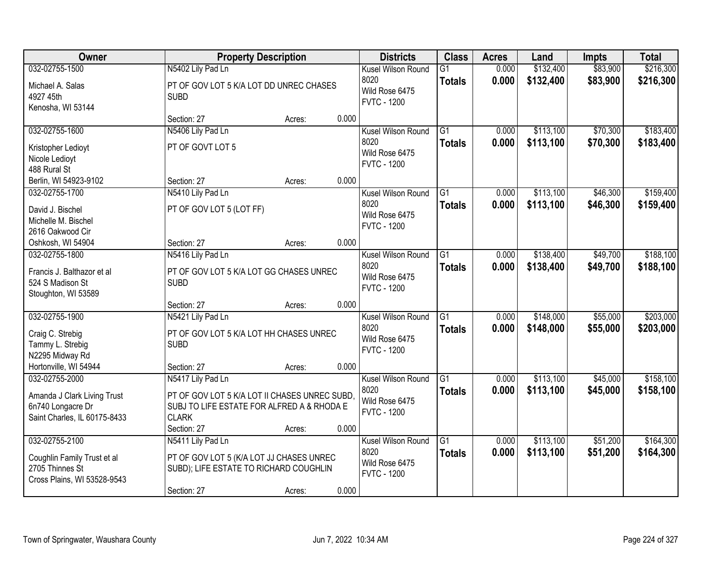| <b>Owner</b>                                                                                       |                                                                                                                                                 | <b>Property Description</b> |       | <b>Districts</b>                                                   | <b>Class</b>                     | <b>Acres</b>   | Land                   | <b>Impts</b>         | <b>Total</b>           |
|----------------------------------------------------------------------------------------------------|-------------------------------------------------------------------------------------------------------------------------------------------------|-----------------------------|-------|--------------------------------------------------------------------|----------------------------------|----------------|------------------------|----------------------|------------------------|
| 032-02755-1500<br>Michael A. Salas<br>4927 45th                                                    | N5402 Lily Pad Ln<br>PT OF GOV LOT 5 K/A LOT DD UNREC CHASES<br><b>SUBD</b>                                                                     |                             |       | Kusel Wilson Round<br>8020<br>Wild Rose 6475<br><b>FVTC - 1200</b> | $\overline{G1}$<br><b>Totals</b> | 0.000<br>0.000 | \$132,400<br>\$132,400 | \$83,900<br>\$83,900 | \$216,300<br>\$216,300 |
| Kenosha, WI 53144                                                                                  | Section: 27                                                                                                                                     | Acres:                      | 0.000 |                                                                    |                                  |                |                        |                      |                        |
| 032-02755-1600<br>Kristopher Ledioyt<br>Nicole Ledioyt<br>488 Rural St                             | N5406 Lily Pad Ln<br>PT OF GOVT LOT 5                                                                                                           |                             |       | Kusel Wilson Round<br>8020<br>Wild Rose 6475<br><b>FVTC - 1200</b> | $\overline{G1}$<br><b>Totals</b> | 0.000<br>0.000 | \$113,100<br>\$113,100 | \$70,300<br>\$70,300 | \$183,400<br>\$183,400 |
| Berlin, WI 54923-9102                                                                              | Section: 27                                                                                                                                     | Acres:                      | 0.000 |                                                                    |                                  |                |                        |                      |                        |
| 032-02755-1700<br>David J. Bischel<br>Michelle M. Bischel<br>2616 Oakwood Cir                      | N5410 Lily Pad Ln<br>PT OF GOV LOT 5 (LOT FF)                                                                                                   |                             |       | Kusel Wilson Round<br>8020<br>Wild Rose 6475<br><b>FVTC - 1200</b> | G1<br><b>Totals</b>              | 0.000<br>0.000 | \$113,100<br>\$113,100 | \$46,300<br>\$46,300 | \$159,400<br>\$159,400 |
| Oshkosh, WI 54904                                                                                  | Section: 27                                                                                                                                     | Acres:                      | 0.000 |                                                                    |                                  |                |                        |                      |                        |
| 032-02755-1800<br>Francis J. Balthazor et al<br>524 S Madison St<br>Stoughton, WI 53589            | N5416 Lily Pad Ln<br>PT OF GOV LOT 5 K/A LOT GG CHASES UNREC<br><b>SUBD</b>                                                                     |                             |       | Kusel Wilson Round<br>8020<br>Wild Rose 6475<br><b>FVTC - 1200</b> | $\overline{G1}$<br><b>Totals</b> | 0.000<br>0.000 | \$138,400<br>\$138,400 | \$49,700<br>\$49,700 | \$188,100<br>\$188,100 |
|                                                                                                    | Section: 27                                                                                                                                     | Acres:                      | 0.000 |                                                                    |                                  |                |                        |                      |                        |
| 032-02755-1900<br>Craig C. Strebig<br>Tammy L. Strebig<br>N2295 Midway Rd                          | N5421 Lily Pad Ln<br>PT OF GOV LOT 5 K/A LOT HH CHASES UNREC<br><b>SUBD</b>                                                                     |                             |       | Kusel Wilson Round<br>8020<br>Wild Rose 6475<br><b>FVTC - 1200</b> | $\overline{G1}$<br><b>Totals</b> | 0.000<br>0.000 | \$148,000<br>\$148,000 | \$55,000<br>\$55,000 | \$203,000<br>\$203,000 |
| Hortonville, WI 54944                                                                              | Section: 27                                                                                                                                     | Acres:                      | 0.000 |                                                                    |                                  |                |                        |                      |                        |
| 032-02755-2000<br>Amanda J Clark Living Trust<br>6n740 Longacre Dr<br>Saint Charles, IL 60175-8433 | N5417 Lily Pad Ln<br>PT OF GOV LOT 5 K/A LOT II CHASES UNREC SUBD,<br>SUBJ TO LIFE ESTATE FOR ALFRED A & RHODA E<br><b>CLARK</b><br>Section: 27 | Acres:                      | 0.000 | Kusel Wilson Round<br>8020<br>Wild Rose 6475<br><b>FVTC - 1200</b> | G1<br><b>Totals</b>              | 0.000<br>0.000 | \$113,100<br>\$113,100 | \$45,000<br>\$45,000 | \$158,100<br>\$158,100 |
| 032-02755-2100<br>Coughlin Family Trust et al<br>2705 Thinnes St<br>Cross Plains, WI 53528-9543    | N5411 Lily Pad Ln<br>PT OF GOV LOT 5 (K/A LOT JJ CHASES UNREC<br>SUBD); LIFE ESTATE TO RICHARD COUGHLIN<br>Section: 27                          | Acres:                      | 0.000 | Kusel Wilson Round<br>8020<br>Wild Rose 6475<br><b>FVTC - 1200</b> | $\overline{G1}$<br><b>Totals</b> | 0.000<br>0.000 | \$113,100<br>\$113,100 | \$51,200<br>\$51,200 | \$164,300<br>\$164,300 |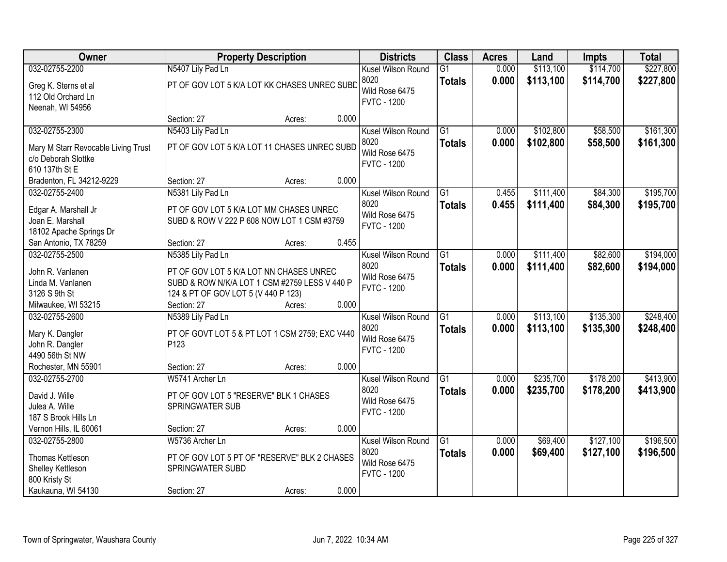| Owner                                    |                                                                                       | <b>Property Description</b> |       | <b>Districts</b>                     | <b>Class</b>    | <b>Acres</b> | Land      | <b>Impts</b> | <b>Total</b> |
|------------------------------------------|---------------------------------------------------------------------------------------|-----------------------------|-------|--------------------------------------|-----------------|--------------|-----------|--------------|--------------|
| 032-02755-2200                           | N5407 Lily Pad Ln                                                                     |                             |       | Kusel Wilson Round                   | $\overline{G1}$ | 0.000        | \$113,100 | \$114,700    | \$227,800    |
| Greg K. Sterns et al                     | PT OF GOV LOT 5 K/A LOT KK CHASES UNREC SUBD                                          |                             |       | 8020                                 | <b>Totals</b>   | 0.000        | \$113,100 | \$114,700    | \$227,800    |
| 112 Old Orchard Ln                       |                                                                                       |                             |       | Wild Rose 6475                       |                 |              |           |              |              |
| Neenah, WI 54956                         |                                                                                       |                             |       | <b>FVTC - 1200</b>                   |                 |              |           |              |              |
|                                          | Section: 27                                                                           | Acres:                      | 0.000 |                                      |                 |              |           |              |              |
| 032-02755-2300                           | N5403 Lily Pad Ln                                                                     |                             |       | Kusel Wilson Round                   | $\overline{G1}$ | 0.000        | \$102,800 | \$58,500     | \$161,300    |
| Mary M Starr Revocable Living Trust      | PT OF GOV LOT 5 K/A LOT 11 CHASES UNREC SUBD                                          |                             |       | 8020                                 | <b>Totals</b>   | 0.000        | \$102,800 | \$58,500     | \$161,300    |
| c/o Deborah Slottke                      |                                                                                       |                             |       | Wild Rose 6475                       |                 |              |           |              |              |
| 610 137th St E                           |                                                                                       |                             |       | <b>FVTC - 1200</b>                   |                 |              |           |              |              |
| Bradenton, FL 34212-9229                 | Section: 27                                                                           | Acres:                      | 0.000 |                                      |                 |              |           |              |              |
| 032-02755-2400                           | N5381 Lily Pad Ln                                                                     |                             |       | Kusel Wilson Round                   | $\overline{G1}$ | 0.455        | \$111,400 | \$84,300     | \$195,700    |
|                                          |                                                                                       |                             |       | 8020                                 | <b>Totals</b>   | 0.455        | \$111,400 | \$84,300     | \$195,700    |
| Edgar A. Marshall Jr<br>Joan E. Marshall | PT OF GOV LOT 5 K/A LOT MM CHASES UNREC<br>SUBD & ROW V 222 P 608 NOW LOT 1 CSM #3759 |                             |       | Wild Rose 6475                       |                 |              |           |              |              |
| 18102 Apache Springs Dr                  |                                                                                       |                             |       | <b>FVTC - 1200</b>                   |                 |              |           |              |              |
| San Antonio, TX 78259                    | Section: 27                                                                           | Acres:                      | 0.455 |                                      |                 |              |           |              |              |
| 032-02755-2500                           | N5385 Lily Pad Ln                                                                     |                             |       | Kusel Wilson Round                   | G1              | 0.000        | \$111,400 | \$82,600     | \$194,000    |
|                                          |                                                                                       |                             |       | 8020                                 | <b>Totals</b>   | 0.000        | \$111,400 | \$82,600     | \$194,000    |
| John R. Vanlanen                         | PT OF GOV LOT 5 K/A LOT NN CHASES UNREC                                               |                             |       | Wild Rose 6475                       |                 |              |           |              |              |
| Linda M. Vanlanen                        | SUBD & ROW N/K/A LOT 1 CSM #2759 LESS V 440 P                                         |                             |       | <b>FVTC - 1200</b>                   |                 |              |           |              |              |
| 3126 S 9th St                            | 124 & PT OF GOV LOT 5 (V 440 P 123)                                                   |                             |       |                                      |                 |              |           |              |              |
| Milwaukee, WI 53215                      | Section: 27                                                                           | Acres:                      | 0.000 |                                      |                 |              |           |              |              |
| 032-02755-2600                           | N5389 Lily Pad Ln                                                                     |                             |       | Kusel Wilson Round                   | $\overline{G1}$ | 0.000        | \$113,100 | \$135,300    | \$248,400    |
| Mary K. Dangler                          | PT OF GOVT LOT 5 & PT LOT 1 CSM 2759; EXC V440                                        |                             |       | 8020                                 | <b>Totals</b>   | 0.000        | \$113,100 | \$135,300    | \$248,400    |
| John R. Dangler                          | P <sub>123</sub>                                                                      |                             |       | Wild Rose 6475<br><b>FVTC - 1200</b> |                 |              |           |              |              |
| 4490 56th St NW                          |                                                                                       |                             |       |                                      |                 |              |           |              |              |
| Rochester, MN 55901                      | Section: 27                                                                           | Acres:                      | 0.000 |                                      |                 |              |           |              |              |
| 032-02755-2700                           | W5741 Archer Ln                                                                       |                             |       | Kusel Wilson Round                   | $\overline{G1}$ | 0.000        | \$235,700 | \$178,200    | \$413,900    |
| David J. Wille                           | PT OF GOV LOT 5 "RESERVE" BLK 1 CHASES                                                |                             |       | 8020                                 | <b>Totals</b>   | 0.000        | \$235,700 | \$178,200    | \$413,900    |
| Julea A. Wille                           | SPRINGWATER SUB                                                                       |                             |       | Wild Rose 6475                       |                 |              |           |              |              |
| 187 S Brook Hills Ln                     |                                                                                       |                             |       | <b>FVTC - 1200</b>                   |                 |              |           |              |              |
| Vernon Hills, IL 60061                   | Section: 27                                                                           | Acres:                      | 0.000 |                                      |                 |              |           |              |              |
| 032-02755-2800                           | W5736 Archer Ln                                                                       |                             |       | Kusel Wilson Round                   | G1              | 0.000        | \$69,400  | \$127,100    | \$196,500    |
| Thomas Kettleson                         | PT OF GOV LOT 5 PT OF "RESERVE" BLK 2 CHASES                                          |                             |       | 8020                                 | <b>Totals</b>   | 0.000        | \$69,400  | \$127,100    | \$196,500    |
| Shelley Kettleson                        | SPRINGWATER SUBD                                                                      |                             |       | Wild Rose 6475                       |                 |              |           |              |              |
| 800 Kristy St                            |                                                                                       |                             |       | <b>FVTC - 1200</b>                   |                 |              |           |              |              |
| Kaukauna, WI 54130                       | Section: 27                                                                           | Acres:                      | 0.000 |                                      |                 |              |           |              |              |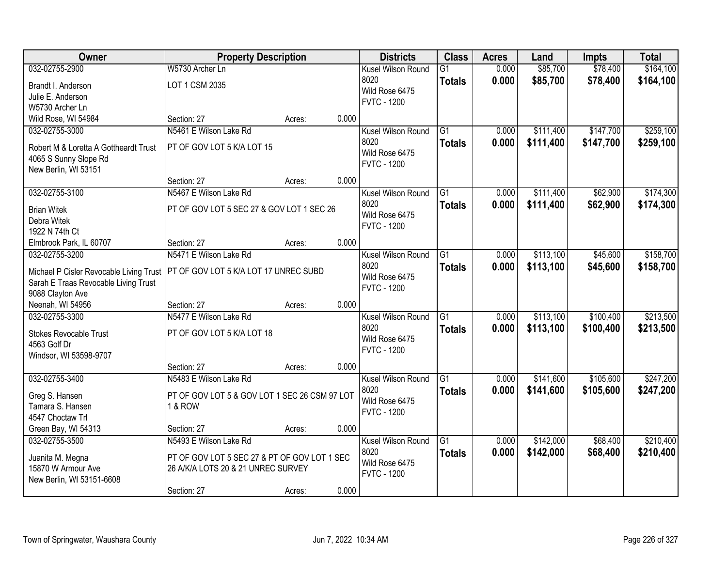| Owner                                   | <b>Property Description</b>                   |        |       | <b>Districts</b>   | <b>Class</b>    | <b>Acres</b> | Land      | <b>Impts</b> | <b>Total</b> |
|-----------------------------------------|-----------------------------------------------|--------|-------|--------------------|-----------------|--------------|-----------|--------------|--------------|
| 032-02755-2900                          | W5730 Archer Ln                               |        |       | Kusel Wilson Round | $\overline{G1}$ | 0.000        | \$85,700  | \$78,400     | \$164,100    |
| Brandt I. Anderson                      | LOT 1 CSM 2035                                |        |       | 8020               | <b>Totals</b>   | 0.000        | \$85,700  | \$78,400     | \$164,100    |
| Julie E. Anderson                       |                                               |        |       | Wild Rose 6475     |                 |              |           |              |              |
| W5730 Archer Ln                         |                                               |        |       | <b>FVTC - 1200</b> |                 |              |           |              |              |
| Wild Rose, WI 54984                     | Section: 27                                   | Acres: | 0.000 |                    |                 |              |           |              |              |
| 032-02755-3000                          | N5461 E Wilson Lake Rd                        |        |       | Kusel Wilson Round | $\overline{G1}$ | 0.000        | \$111,400 | \$147,700    | \$259,100    |
| Robert M & Loretta A Gottheardt Trust   | PT OF GOV LOT 5 K/A LOT 15                    |        |       | 8020               | <b>Totals</b>   | 0.000        | \$111,400 | \$147,700    | \$259,100    |
| 4065 S Sunny Slope Rd                   |                                               |        |       | Wild Rose 6475     |                 |              |           |              |              |
| New Berlin, WI 53151                    |                                               |        |       | <b>FVTC - 1200</b> |                 |              |           |              |              |
|                                         | Section: 27                                   | Acres: | 0.000 |                    |                 |              |           |              |              |
| 032-02755-3100                          | N5467 E Wilson Lake Rd                        |        |       | Kusel Wilson Round | $\overline{G1}$ | 0.000        | \$111,400 | \$62,900     | \$174,300    |
| <b>Brian Witek</b>                      | PT OF GOV LOT 5 SEC 27 & GOV LOT 1 SEC 26     |        |       | 8020               | <b>Totals</b>   | 0.000        | \$111,400 | \$62,900     | \$174,300    |
| Debra Witek                             |                                               |        |       | Wild Rose 6475     |                 |              |           |              |              |
| 1922 N 74th Ct                          |                                               |        |       | <b>FVTC - 1200</b> |                 |              |           |              |              |
| Elmbrook Park, IL 60707                 | Section: 27                                   | Acres: | 0.000 |                    |                 |              |           |              |              |
| 032-02755-3200                          | N5471 E Wilson Lake Rd                        |        |       | Kusel Wilson Round | $\overline{G1}$ | 0.000        | \$113,100 | \$45,600     | \$158,700    |
|                                         |                                               |        |       | 8020               | <b>Totals</b>   | 0.000        | \$113,100 | \$45,600     | \$158,700    |
| Michael P Cisler Revocable Living Trust | PT OF GOV LOT 5 K/A LOT 17 UNREC SUBD         |        |       | Wild Rose 6475     |                 |              |           |              |              |
| Sarah E Traas Revocable Living Trust    |                                               |        |       | <b>FVTC - 1200</b> |                 |              |           |              |              |
| 9088 Clayton Ave<br>Neenah, WI 54956    | Section: 27                                   | Acres: | 0.000 |                    |                 |              |           |              |              |
| 032-02755-3300                          | N5477 E Wilson Lake Rd                        |        |       | Kusel Wilson Round | $\overline{G1}$ | 0.000        | \$113,100 | \$100,400    | \$213,500    |
|                                         |                                               |        |       | 8020               |                 | 0.000        | \$113,100 | \$100,400    |              |
| Stokes Revocable Trust                  | PT OF GOV LOT 5 K/A LOT 18                    |        |       | Wild Rose 6475     | <b>Totals</b>   |              |           |              | \$213,500    |
| 4563 Golf Dr                            |                                               |        |       | <b>FVTC - 1200</b> |                 |              |           |              |              |
| Windsor, WI 53598-9707                  |                                               |        |       |                    |                 |              |           |              |              |
|                                         | Section: 27                                   | Acres: | 0.000 |                    |                 |              |           |              |              |
| 032-02755-3400                          | N5483 E Wilson Lake Rd                        |        |       | Kusel Wilson Round | $\overline{G1}$ | 0.000        | \$141,600 | \$105,600    | \$247,200    |
| Greg S. Hansen                          | PT OF GOV LOT 5 & GOV LOT 1 SEC 26 CSM 97 LOT |        |       | 8020               | <b>Totals</b>   | 0.000        | \$141,600 | \$105,600    | \$247,200    |
| Tamara S. Hansen                        | <b>1 &amp; ROW</b>                            |        |       | Wild Rose 6475     |                 |              |           |              |              |
| 4547 Choctaw Trl                        |                                               |        |       | <b>FVTC - 1200</b> |                 |              |           |              |              |
| Green Bay, WI 54313                     | Section: 27                                   | Acres: | 0.000 |                    |                 |              |           |              |              |
| 032-02755-3500                          | N5493 E Wilson Lake Rd                        |        |       | Kusel Wilson Round | $\overline{G1}$ | 0.000        | \$142,000 | \$68,400     | \$210,400    |
| Juanita M. Megna                        | PT OF GOV LOT 5 SEC 27 & PT OF GOV LOT 1 SEC  |        |       | 8020               | <b>Totals</b>   | 0.000        | \$142,000 | \$68,400     | \$210,400    |
| 15870 W Armour Ave                      | 26 A/K/A LOTS 20 & 21 UNREC SURVEY            |        |       | Wild Rose 6475     |                 |              |           |              |              |
| New Berlin, WI 53151-6608               |                                               |        |       | <b>FVTC - 1200</b> |                 |              |           |              |              |
|                                         | Section: 27                                   | Acres: | 0.000 |                    |                 |              |           |              |              |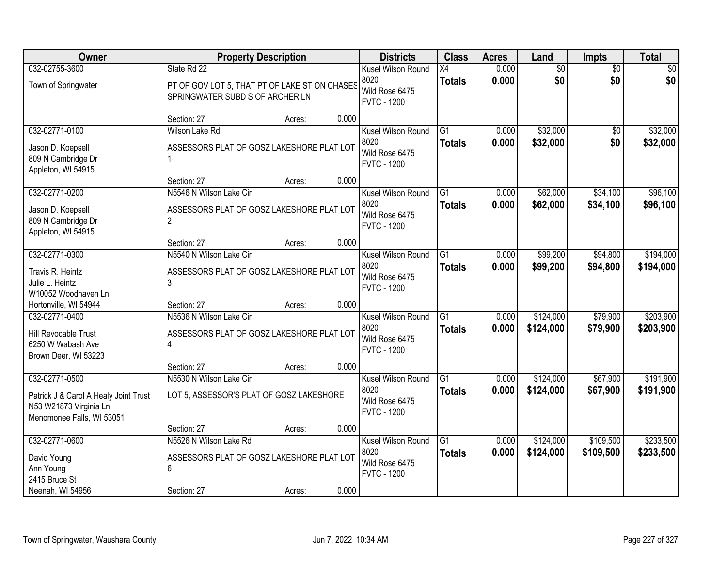| Owner                                                                                        |                                                                                  | <b>Property Description</b> |       | <b>Districts</b>                                                   | <b>Class</b>                     | <b>Acres</b>   | Land                   | <b>Impts</b>         | <b>Total</b>           |
|----------------------------------------------------------------------------------------------|----------------------------------------------------------------------------------|-----------------------------|-------|--------------------------------------------------------------------|----------------------------------|----------------|------------------------|----------------------|------------------------|
| 032-02755-3600                                                                               | State Rd 22                                                                      |                             |       | Kusel Wilson Round                                                 | X4                               | 0.000          | $\overline{50}$        | $\overline{50}$      | \$0                    |
| Town of Springwater                                                                          | PT OF GOV LOT 5, THAT PT OF LAKE ST ON CHASES<br>SPRINGWATER SUBD S OF ARCHER LN |                             |       | 8020<br>Wild Rose 6475<br><b>FVTC - 1200</b>                       | <b>Totals</b>                    | 0.000          | \$0                    | \$0                  | \$0                    |
|                                                                                              | Section: 27                                                                      | Acres:                      | 0.000 |                                                                    |                                  |                |                        |                      |                        |
| 032-02771-0100                                                                               | Wilson Lake Rd                                                                   |                             |       | Kusel Wilson Round                                                 | G1                               | 0.000          | \$32,000               | \$0                  | \$32,000               |
| Jason D. Koepsell<br>809 N Cambridge Dr<br>Appleton, WI 54915                                | ASSESSORS PLAT OF GOSZ LAKESHORE PLAT LOT                                        |                             |       | 8020<br>Wild Rose 6475<br><b>FVTC - 1200</b>                       | <b>Totals</b>                    | 0.000          | \$32,000               | \$0                  | \$32,000               |
|                                                                                              | Section: 27                                                                      | Acres:                      | 0.000 |                                                                    |                                  |                |                        |                      |                        |
| 032-02771-0200                                                                               | N5546 N Wilson Lake Cir                                                          |                             |       | Kusel Wilson Round                                                 | G1                               | 0.000          | \$62,000               | \$34,100             | \$96,100               |
| Jason D. Koepsell<br>809 N Cambridge Dr<br>Appleton, WI 54915                                | ASSESSORS PLAT OF GOSZ LAKESHORE PLAT LOT<br>$\overline{2}$                      |                             |       | 8020<br>Wild Rose 6475<br><b>FVTC - 1200</b>                       | <b>Totals</b>                    | 0.000          | \$62,000               | \$34,100             | \$96,100               |
|                                                                                              | Section: 27                                                                      | Acres:                      | 0.000 |                                                                    |                                  |                |                        |                      |                        |
| 032-02771-0300                                                                               | N5540 N Wilson Lake Cir                                                          |                             |       | Kusel Wilson Round                                                 | G1                               | 0.000          | \$99,200               | \$94,800             | \$194,000              |
| Travis R. Heintz<br>Julie L. Heintz<br>W10052 Woodhaven Ln                                   | ASSESSORS PLAT OF GOSZ LAKESHORE PLAT LOT                                        |                             |       | 8020<br>Wild Rose 6475<br><b>FVTC - 1200</b>                       | <b>Totals</b>                    | 0.000          | \$99,200               | \$94,800             | \$194,000              |
| Hortonville, WI 54944                                                                        | Section: 27                                                                      | Acres:                      | 0.000 |                                                                    |                                  |                |                        |                      |                        |
| 032-02771-0400<br>Hill Revocable Trust<br>6250 W Wabash Ave<br>Brown Deer, WI 53223          | N5536 N Wilson Lake Cir<br>ASSESSORS PLAT OF GOSZ LAKESHORE PLAT LOT<br>4        |                             |       | Kusel Wilson Round<br>8020<br>Wild Rose 6475<br><b>FVTC - 1200</b> | $\overline{G1}$<br><b>Totals</b> | 0.000<br>0.000 | \$124,000<br>\$124,000 | \$79,900<br>\$79,900 | \$203,900<br>\$203,900 |
|                                                                                              | Section: 27                                                                      | Acres:                      | 0.000 |                                                                    |                                  |                |                        |                      |                        |
| 032-02771-0500                                                                               | N5530 N Wilson Lake Cir                                                          |                             |       | Kusel Wilson Round                                                 | G1                               | 0.000          | \$124,000              | \$67,900             | \$191,900              |
| Patrick J & Carol A Healy Joint Trust<br>N53 W21873 Virginia Ln<br>Menomonee Falls, WI 53051 | LOT 5, ASSESSOR'S PLAT OF GOSZ LAKESHORE                                         |                             |       | 8020<br>Wild Rose 6475<br><b>FVTC - 1200</b>                       | <b>Totals</b>                    | 0.000          | \$124,000              | \$67,900             | \$191,900              |
|                                                                                              | Section: 27                                                                      | Acres:                      | 0.000 |                                                                    |                                  |                |                        |                      |                        |
| 032-02771-0600                                                                               | N5526 N Wilson Lake Rd                                                           |                             |       | Kusel Wilson Round                                                 | $\overline{G1}$                  | 0.000          | \$124,000              | \$109,500            | \$233,500              |
| David Young<br>Ann Young<br>2415 Bruce St                                                    | ASSESSORS PLAT OF GOSZ LAKESHORE PLAT LOT<br>6                                   |                             |       | 8020<br>Wild Rose 6475<br><b>FVTC - 1200</b>                       | <b>Totals</b>                    | 0.000          | \$124,000              | \$109,500            | \$233,500              |
| Neenah, WI 54956                                                                             | Section: 27                                                                      | Acres:                      | 0.000 |                                                                    |                                  |                |                        |                      |                        |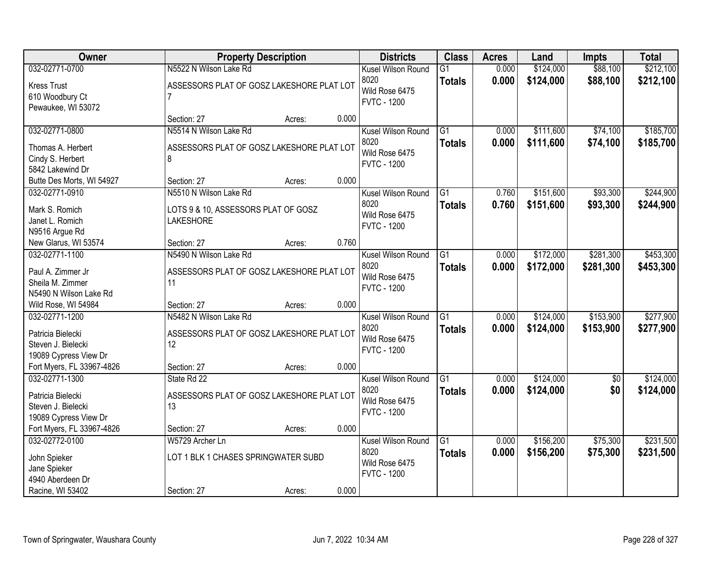| Owner                                      | <b>Property Description</b>               |        | <b>Districts</b>                     | <b>Class</b>    | <b>Acres</b> | Land      | <b>Impts</b>    | <b>Total</b> |
|--------------------------------------------|-------------------------------------------|--------|--------------------------------------|-----------------|--------------|-----------|-----------------|--------------|
| 032-02771-0700                             | N5522 N Wilson Lake Rd                    |        | Kusel Wilson Round                   | $\overline{G1}$ | 0.000        | \$124,000 | \$88,100        | \$212,100    |
| <b>Kress Trust</b>                         | ASSESSORS PLAT OF GOSZ LAKESHORE PLAT LOT |        | 8020                                 | <b>Totals</b>   | 0.000        | \$124,000 | \$88,100        | \$212,100    |
| 610 Woodbury Ct                            | $\overline{7}$                            |        | Wild Rose 6475<br><b>FVTC - 1200</b> |                 |              |           |                 |              |
| Pewaukee, WI 53072                         |                                           |        |                                      |                 |              |           |                 |              |
|                                            | Section: 27                               | Acres: | 0.000                                |                 |              |           |                 |              |
| 032-02771-0800                             | N5514 N Wilson Lake Rd                    |        | Kusel Wilson Round                   | $\overline{G1}$ | 0.000        | \$111,600 | \$74,100        | \$185,700    |
| Thomas A. Herbert                          | ASSESSORS PLAT OF GOSZ LAKESHORE PLAT LOT |        | 8020                                 | <b>Totals</b>   | 0.000        | \$111,600 | \$74,100        | \$185,700    |
| Cindy S. Herbert                           | 8                                         |        | Wild Rose 6475                       |                 |              |           |                 |              |
| 5842 Lakewind Dr                           |                                           |        | <b>FVTC - 1200</b>                   |                 |              |           |                 |              |
| Butte Des Morts, WI 54927                  | Section: 27                               | Acres: | 0.000                                |                 |              |           |                 |              |
| 032-02771-0910                             | N5510 N Wilson Lake Rd                    |        | Kusel Wilson Round                   | G <sub>1</sub>  | 0.760        | \$151,600 | \$93,300        | \$244,900    |
| Mark S. Romich                             | LOTS 9 & 10, ASSESSORS PLAT OF GOSZ       |        | 8020                                 | <b>Totals</b>   | 0.760        | \$151,600 | \$93,300        | \$244,900    |
| Janet L. Romich                            | <b>LAKESHORE</b>                          |        | Wild Rose 6475                       |                 |              |           |                 |              |
| N9516 Argue Rd                             |                                           |        | <b>FVTC - 1200</b>                   |                 |              |           |                 |              |
| New Glarus, WI 53574                       | Section: 27                               | Acres: | 0.760                                |                 |              |           |                 |              |
| 032-02771-1100                             | N5490 N Wilson Lake Rd                    |        | Kusel Wilson Round                   | $\overline{G1}$ | 0.000        | \$172,000 | \$281,300       | \$453,300    |
|                                            |                                           |        | 8020                                 | <b>Totals</b>   | 0.000        | \$172,000 | \$281,300       | \$453,300    |
| Paul A. Zimmer Jr                          | ASSESSORS PLAT OF GOSZ LAKESHORE PLAT LOT |        | Wild Rose 6475                       |                 |              |           |                 |              |
| Sheila M. Zimmer<br>N5490 N Wilson Lake Rd | 11                                        |        | <b>FVTC - 1200</b>                   |                 |              |           |                 |              |
| Wild Rose, WI 54984                        | Section: 27                               | Acres: | 0.000                                |                 |              |           |                 |              |
| 032-02771-1200                             | N5482 N Wilson Lake Rd                    |        | Kusel Wilson Round                   | $\overline{G1}$ | 0.000        | \$124,000 | \$153,900       | \$277,900    |
|                                            |                                           |        | 8020                                 | <b>Totals</b>   | 0.000        | \$124,000 | \$153,900       | \$277,900    |
| Patricia Bielecki                          | ASSESSORS PLAT OF GOSZ LAKESHORE PLAT LOT |        | Wild Rose 6475                       |                 |              |           |                 |              |
| Steven J. Bielecki                         | 12                                        |        | <b>FVTC - 1200</b>                   |                 |              |           |                 |              |
| 19089 Cypress View Dr                      |                                           |        |                                      |                 |              |           |                 |              |
| Fort Myers, FL 33967-4826                  | Section: 27                               | Acres: | 0.000                                |                 |              |           |                 |              |
| 032-02771-1300                             | State Rd 22                               |        | Kusel Wilson Round                   | $\overline{G1}$ | 0.000        | \$124,000 | $\overline{50}$ | \$124,000    |
| Patricia Bielecki                          | ASSESSORS PLAT OF GOSZ LAKESHORE PLAT LOT |        | 8020                                 | <b>Totals</b>   | 0.000        | \$124,000 | \$0             | \$124,000    |
| Steven J. Bielecki                         | 13                                        |        | Wild Rose 6475<br><b>FVTC - 1200</b> |                 |              |           |                 |              |
| 19089 Cypress View Dr                      |                                           |        |                                      |                 |              |           |                 |              |
| Fort Myers, FL 33967-4826                  | Section: 27                               | Acres: | 0.000                                |                 |              |           |                 |              |
| 032-02772-0100                             | W5729 Archer Ln                           |        | Kusel Wilson Round                   | $\overline{G1}$ | 0.000        | \$156,200 | \$75,300        | \$231,500    |
| John Spieker                               | LOT 1 BLK 1 CHASES SPRINGWATER SUBD       |        | 8020                                 | <b>Totals</b>   | 0.000        | \$156,200 | \$75,300        | \$231,500    |
| Jane Spieker                               |                                           |        | Wild Rose 6475                       |                 |              |           |                 |              |
| 4940 Aberdeen Dr                           |                                           |        | <b>FVTC - 1200</b>                   |                 |              |           |                 |              |
| Racine, WI 53402                           | Section: 27                               | Acres: | 0.000                                |                 |              |           |                 |              |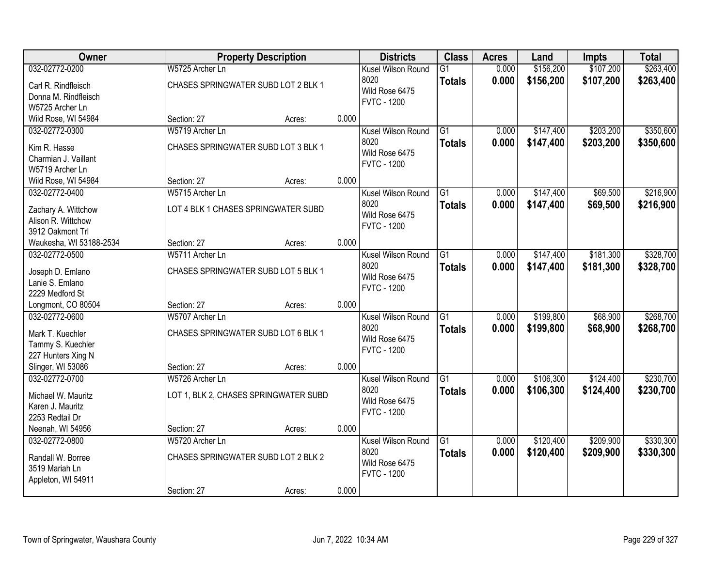| Owner                                     |                                     | <b>Property Description</b>           |       | <b>Districts</b>   | <b>Class</b>    | <b>Acres</b> | Land      | <b>Impts</b> | <b>Total</b> |
|-------------------------------------------|-------------------------------------|---------------------------------------|-------|--------------------|-----------------|--------------|-----------|--------------|--------------|
| 032-02772-0200                            | W5725 Archer Ln                     |                                       |       | Kusel Wilson Round | $\overline{G1}$ | 0.000        | \$156,200 | \$107,200    | \$263,400    |
| Carl R. Rindfleisch                       | CHASES SPRINGWATER SUBD LOT 2 BLK 1 |                                       |       | 8020               | <b>Totals</b>   | 0.000        | \$156,200 | \$107,200    | \$263,400    |
| Donna M. Rindfleisch                      |                                     |                                       |       | Wild Rose 6475     |                 |              |           |              |              |
| W5725 Archer Ln                           |                                     |                                       |       | <b>FVTC - 1200</b> |                 |              |           |              |              |
| Wild Rose, WI 54984                       | Section: 27                         | Acres:                                | 0.000 |                    |                 |              |           |              |              |
| 032-02772-0300                            | W5719 Archer Ln                     |                                       |       | Kusel Wilson Round | $\overline{G1}$ | 0.000        | \$147,400 | \$203,200    | \$350,600    |
| Kim R. Hasse                              | CHASES SPRINGWATER SUBD LOT 3 BLK 1 |                                       |       | 8020               | <b>Totals</b>   | 0.000        | \$147,400 | \$203,200    | \$350,600    |
| Charmian J. Vaillant                      |                                     |                                       |       | Wild Rose 6475     |                 |              |           |              |              |
| W5719 Archer Ln                           |                                     |                                       |       | <b>FVTC - 1200</b> |                 |              |           |              |              |
| Wild Rose, WI 54984                       | Section: 27                         | Acres:                                | 0.000 |                    |                 |              |           |              |              |
| 032-02772-0400                            | W5715 Archer Ln                     |                                       |       | Kusel Wilson Round | G1              | 0.000        | \$147,400 | \$69,500     | \$216,900    |
|                                           | LOT 4 BLK 1 CHASES SPRINGWATER SUBD |                                       |       | 8020               | <b>Totals</b>   | 0.000        | \$147,400 | \$69,500     | \$216,900    |
| Zachary A. Wittchow<br>Alison R. Wittchow |                                     |                                       |       | Wild Rose 6475     |                 |              |           |              |              |
| 3912 Oakmont Trl                          |                                     |                                       |       | <b>FVTC - 1200</b> |                 |              |           |              |              |
| Waukesha, WI 53188-2534                   | Section: 27                         | Acres:                                | 0.000 |                    |                 |              |           |              |              |
| 032-02772-0500                            | W5711 Archer Ln                     |                                       |       | Kusel Wilson Round | G1              | 0.000        | \$147,400 | \$181,300    | \$328,700    |
|                                           | CHASES SPRINGWATER SUBD LOT 5 BLK 1 |                                       |       | 8020               | <b>Totals</b>   | 0.000        | \$147,400 | \$181,300    | \$328,700    |
| Joseph D. Emlano<br>Lanie S. Emlano       |                                     |                                       |       | Wild Rose 6475     |                 |              |           |              |              |
| 2229 Medford St                           |                                     |                                       |       | <b>FVTC - 1200</b> |                 |              |           |              |              |
| Longmont, CO 80504                        | Section: 27                         | Acres:                                | 0.000 |                    |                 |              |           |              |              |
| 032-02772-0600                            | W5707 Archer Ln                     |                                       |       | Kusel Wilson Round | $\overline{G1}$ | 0.000        | \$199,800 | \$68,900     | \$268,700    |
|                                           |                                     |                                       |       | 8020               | <b>Totals</b>   | 0.000        | \$199,800 | \$68,900     | \$268,700    |
| Mark T. Kuechler                          | CHASES SPRINGWATER SUBD LOT 6 BLK 1 |                                       |       | Wild Rose 6475     |                 |              |           |              |              |
| Tammy S. Kuechler<br>227 Hunters Xing N   |                                     |                                       |       | <b>FVTC - 1200</b> |                 |              |           |              |              |
| Slinger, WI 53086                         | Section: 27                         | Acres:                                | 0.000 |                    |                 |              |           |              |              |
| 032-02772-0700                            | W5726 Archer Ln                     |                                       |       | Kusel Wilson Round | $\overline{G1}$ | 0.000        | \$106,300 | \$124,400    | \$230,700    |
|                                           |                                     |                                       |       | 8020               | <b>Totals</b>   | 0.000        | \$106,300 | \$124,400    | \$230,700    |
| Michael W. Mauritz                        |                                     | LOT 1, BLK 2, CHASES SPRINGWATER SUBD |       | Wild Rose 6475     |                 |              |           |              |              |
| Karen J. Mauritz<br>2253 Redtail Dr       |                                     |                                       |       | <b>FVTC - 1200</b> |                 |              |           |              |              |
| Neenah, WI 54956                          | Section: 27                         | Acres:                                | 0.000 |                    |                 |              |           |              |              |
| 032-02772-0800                            | W5720 Archer Ln                     |                                       |       | Kusel Wilson Round | $\overline{G1}$ | 0.000        | \$120,400 | \$209,900    | \$330,300    |
|                                           |                                     |                                       |       | 8020               | <b>Totals</b>   | 0.000        | \$120,400 | \$209,900    | \$330,300    |
| Randall W. Borree                         | CHASES SPRINGWATER SUBD LOT 2 BLK 2 |                                       |       | Wild Rose 6475     |                 |              |           |              |              |
| 3519 Mariah Ln                            |                                     |                                       |       | <b>FVTC - 1200</b> |                 |              |           |              |              |
| Appleton, WI 54911                        |                                     |                                       |       |                    |                 |              |           |              |              |
|                                           | Section: 27                         | Acres:                                | 0.000 |                    |                 |              |           |              |              |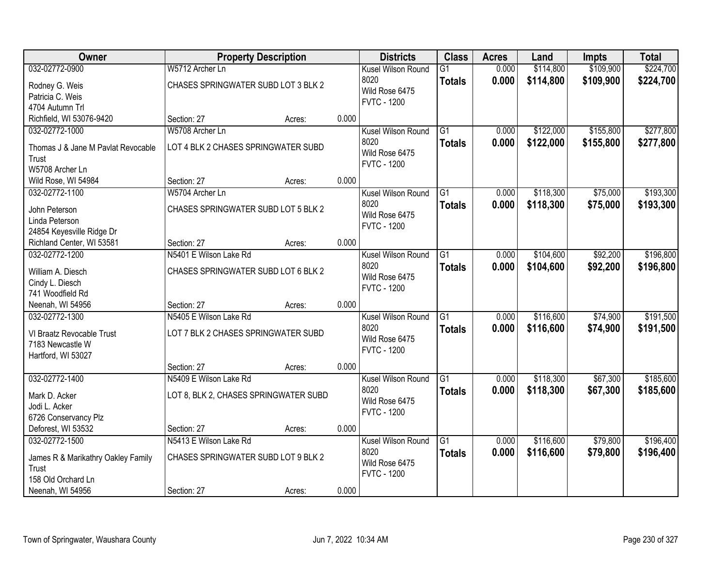| Owner                              |                                       | <b>Property Description</b> |       | <b>Districts</b>           | <b>Class</b>    | <b>Acres</b> | Land      | <b>Impts</b> | <b>Total</b> |
|------------------------------------|---------------------------------------|-----------------------------|-------|----------------------------|-----------------|--------------|-----------|--------------|--------------|
| 032-02772-0900                     | W5712 Archer Ln                       |                             |       | Kusel Wilson Round         | $\overline{G1}$ | 0.000        | \$114,800 | \$109,900    | \$224,700    |
| Rodney G. Weis                     | CHASES SPRINGWATER SUBD LOT 3 BLK 2   |                             |       | 8020                       | <b>Totals</b>   | 0.000        | \$114,800 | \$109,900    | \$224,700    |
| Patricia C. Weis                   |                                       |                             |       | Wild Rose 6475             |                 |              |           |              |              |
| 4704 Autumn Trl                    |                                       |                             |       | <b>FVTC - 1200</b>         |                 |              |           |              |              |
| Richfield, WI 53076-9420           | Section: 27                           | Acres:                      | 0.000 |                            |                 |              |           |              |              |
| 032-02772-1000                     | W5708 Archer Ln                       |                             |       | Kusel Wilson Round         | $\overline{G1}$ | 0.000        | \$122,000 | \$155,800    | \$277,800    |
| Thomas J & Jane M Pavlat Revocable | LOT 4 BLK 2 CHASES SPRINGWATER SUBD   |                             |       | 8020                       | <b>Totals</b>   | 0.000        | \$122,000 | \$155,800    | \$277,800    |
| Trust                              |                                       |                             |       | Wild Rose 6475             |                 |              |           |              |              |
| W5708 Archer Ln                    |                                       |                             |       | <b>FVTC - 1200</b>         |                 |              |           |              |              |
| Wild Rose, WI 54984                | Section: 27                           | Acres:                      | 0.000 |                            |                 |              |           |              |              |
| 032-02772-1100                     | W5704 Archer Ln                       |                             |       | Kusel Wilson Round         | G1              | 0.000        | \$118,300 | \$75,000     | \$193,300    |
|                                    |                                       |                             |       | 8020                       | <b>Totals</b>   | 0.000        | \$118,300 | \$75,000     | \$193,300    |
| John Peterson                      | CHASES SPRINGWATER SUBD LOT 5 BLK 2   |                             |       | Wild Rose 6475             |                 |              |           |              |              |
| Linda Peterson                     |                                       |                             |       | <b>FVTC - 1200</b>         |                 |              |           |              |              |
| 24854 Keyesville Ridge Dr          |                                       |                             |       |                            |                 |              |           |              |              |
| Richland Center, WI 53581          | Section: 27                           | Acres:                      | 0.000 |                            |                 |              |           |              |              |
| 032-02772-1200                     | N5401 E Wilson Lake Rd                |                             |       | Kusel Wilson Round<br>8020 | G1              | 0.000        | \$104,600 | \$92,200     | \$196,800    |
| William A. Diesch                  | CHASES SPRINGWATER SUBD LOT 6 BLK 2   |                             |       | Wild Rose 6475             | <b>Totals</b>   | 0.000        | \$104,600 | \$92,200     | \$196,800    |
| Cindy L. Diesch                    |                                       |                             |       | <b>FVTC - 1200</b>         |                 |              |           |              |              |
| 741 Woodfield Rd                   |                                       |                             |       |                            |                 |              |           |              |              |
| Neenah, WI 54956                   | Section: 27                           | Acres:                      | 0.000 |                            |                 |              |           |              |              |
| 032-02772-1300                     | N5405 E Wilson Lake Rd                |                             |       | Kusel Wilson Round         | $\overline{G1}$ | 0.000        | \$116,600 | \$74,900     | \$191,500    |
| VI Braatz Revocable Trust          | LOT 7 BLK 2 CHASES SPRINGWATER SUBD   |                             |       | 8020                       | <b>Totals</b>   | 0.000        | \$116,600 | \$74,900     | \$191,500    |
| 7183 Newcastle W                   |                                       |                             |       | Wild Rose 6475             |                 |              |           |              |              |
| Hartford, WI 53027                 |                                       |                             |       | <b>FVTC - 1200</b>         |                 |              |           |              |              |
|                                    | Section: 27                           | Acres:                      | 0.000 |                            |                 |              |           |              |              |
| 032-02772-1400                     | N5409 E Wilson Lake Rd                |                             |       | Kusel Wilson Round         | $\overline{G1}$ | 0.000        | \$118,300 | \$67,300     | \$185,600    |
| Mark D. Acker                      | LOT 8, BLK 2, CHASES SPRINGWATER SUBD |                             |       | 8020                       | <b>Totals</b>   | 0.000        | \$118,300 | \$67,300     | \$185,600    |
| Jodi L. Acker                      |                                       |                             |       | Wild Rose 6475             |                 |              |           |              |              |
| 6726 Conservancy Plz               |                                       |                             |       | <b>FVTC - 1200</b>         |                 |              |           |              |              |
| Deforest, WI 53532                 | Section: 27                           | Acres:                      | 0.000 |                            |                 |              |           |              |              |
| 032-02772-1500                     | N5413 E Wilson Lake Rd                |                             |       | Kusel Wilson Round         | $\overline{G1}$ | 0.000        | \$116,600 | \$79,800     | \$196,400    |
| James R & Marikathry Oakley Family | CHASES SPRINGWATER SUBD LOT 9 BLK 2   |                             |       | 8020                       | <b>Totals</b>   | 0.000        | \$116,600 | \$79,800     | \$196,400    |
| Trust                              |                                       |                             |       | Wild Rose 6475             |                 |              |           |              |              |
| 158 Old Orchard Ln                 |                                       |                             |       | <b>FVTC - 1200</b>         |                 |              |           |              |              |
| Neenah, WI 54956                   | Section: 27                           | Acres:                      | 0.000 |                            |                 |              |           |              |              |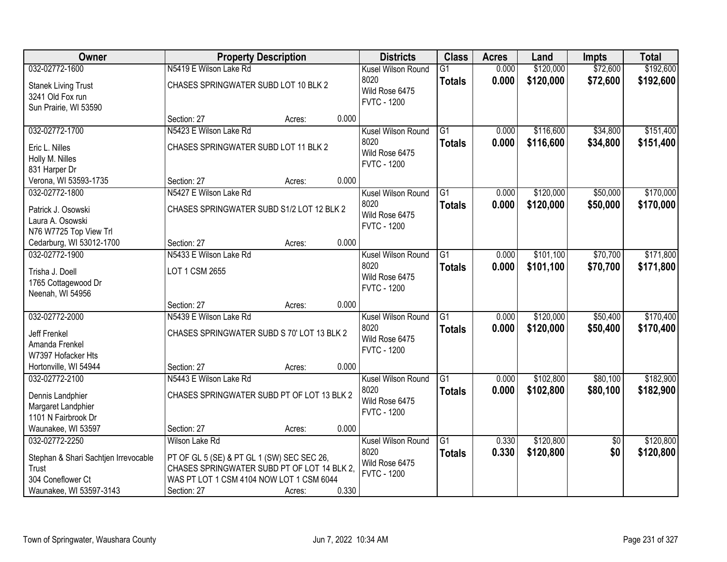| Owner                                |                                             | <b>Property Description</b> |       | <b>Districts</b>                     | <b>Class</b>    | <b>Acres</b> | Land      | <b>Impts</b>    | <b>Total</b> |
|--------------------------------------|---------------------------------------------|-----------------------------|-------|--------------------------------------|-----------------|--------------|-----------|-----------------|--------------|
| 032-02772-1600                       | N5419 E Wilson Lake Rd                      |                             |       | Kusel Wilson Round                   | $\overline{G1}$ | 0.000        | \$120,000 | \$72,600        | \$192,600    |
| <b>Stanek Living Trust</b>           | CHASES SPRINGWATER SUBD LOT 10 BLK 2        |                             |       | 8020                                 | <b>Totals</b>   | 0.000        | \$120,000 | \$72,600        | \$192,600    |
| 3241 Old Fox run                     |                                             |                             |       | Wild Rose 6475<br><b>FVTC - 1200</b> |                 |              |           |                 |              |
| Sun Prairie, WI 53590                |                                             |                             |       |                                      |                 |              |           |                 |              |
|                                      | Section: 27                                 | Acres:                      | 0.000 |                                      |                 |              |           |                 |              |
| 032-02772-1700                       | N5423 E Wilson Lake Rd                      |                             |       | Kusel Wilson Round                   | $\overline{G1}$ | 0.000        | \$116,600 | \$34,800        | \$151,400    |
| Eric L. Nilles                       | CHASES SPRINGWATER SUBD LOT 11 BLK 2        |                             |       | 8020<br>Wild Rose 6475               | <b>Totals</b>   | 0.000        | \$116,600 | \$34,800        | \$151,400    |
| Holly M. Nilles                      |                                             |                             |       | <b>FVTC - 1200</b>                   |                 |              |           |                 |              |
| 831 Harper Dr                        |                                             |                             |       |                                      |                 |              |           |                 |              |
| Verona, WI 53593-1735                | Section: 27                                 | Acres:                      | 0.000 |                                      |                 |              |           |                 |              |
| 032-02772-1800                       | N5427 E Wilson Lake Rd                      |                             |       | Kusel Wilson Round                   | $\overline{G1}$ | 0.000        | \$120,000 | \$50,000        | \$170,000    |
| Patrick J. Osowski                   | CHASES SPRINGWATER SUBD S1/2 LOT 12 BLK 2   |                             |       | 8020<br>Wild Rose 6475               | <b>Totals</b>   | 0.000        | \$120,000 | \$50,000        | \$170,000    |
| Laura A. Osowski                     |                                             |                             |       | <b>FVTC - 1200</b>                   |                 |              |           |                 |              |
| N76 W7725 Top View Trl               |                                             |                             |       |                                      |                 |              |           |                 |              |
| Cedarburg, WI 53012-1700             | Section: 27                                 | Acres:                      | 0.000 |                                      |                 |              |           |                 |              |
| 032-02772-1900                       | N5433 E Wilson Lake Rd                      |                             |       | Kusel Wilson Round                   | G1              | 0.000        | \$101,100 | \$70,700        | \$171,800    |
| Trisha J. Doell                      | LOT 1 CSM 2655                              |                             |       | 8020                                 | <b>Totals</b>   | 0.000        | \$101,100 | \$70,700        | \$171,800    |
| 1765 Cottagewood Dr                  |                                             |                             |       | Wild Rose 6475<br><b>FVTC - 1200</b> |                 |              |           |                 |              |
| Neenah, WI 54956                     |                                             |                             |       |                                      |                 |              |           |                 |              |
|                                      | Section: 27                                 | Acres:                      | 0.000 |                                      |                 |              |           |                 |              |
| 032-02772-2000                       | N5439 E Wilson Lake Rd                      |                             |       | Kusel Wilson Round                   | $\overline{G1}$ | 0.000        | \$120,000 | \$50,400        | \$170,400    |
| Jeff Frenkel                         | CHASES SPRINGWATER SUBD S 70' LOT 13 BLK 2  |                             |       | 8020                                 | <b>Totals</b>   | 0.000        | \$120,000 | \$50,400        | \$170,400    |
| Amanda Frenkel                       |                                             |                             |       | Wild Rose 6475<br><b>FVTC - 1200</b> |                 |              |           |                 |              |
| W7397 Hofacker Hts                   |                                             |                             |       |                                      |                 |              |           |                 |              |
| Hortonville, WI 54944                | Section: 27                                 | Acres:                      | 0.000 |                                      |                 |              |           |                 |              |
| 032-02772-2100                       | N5443 E Wilson Lake Rd                      |                             |       | Kusel Wilson Round                   | $\overline{G1}$ | 0.000        | \$102,800 | \$80,100        | \$182,900    |
| Dennis Landphier                     | CHASES SPRINGWATER SUBD PT OF LOT 13 BLK 2  |                             |       | 8020                                 | <b>Totals</b>   | 0.000        | \$102,800 | \$80,100        | \$182,900    |
| Margaret Landphier                   |                                             |                             |       | Wild Rose 6475                       |                 |              |           |                 |              |
| 1101 N Fairbrook Dr                  |                                             |                             |       | <b>FVTC - 1200</b>                   |                 |              |           |                 |              |
| Waunakee, WI 53597                   | Section: 27                                 | Acres:                      | 0.000 |                                      |                 |              |           |                 |              |
| 032-02772-2250                       | Wilson Lake Rd                              |                             |       | Kusel Wilson Round                   | $\overline{G1}$ | 0.330        | \$120,800 | $\overline{50}$ | \$120,800    |
| Stephan & Shari Sachtjen Irrevocable | PT OF GL 5 (SE) & PT GL 1 (SW) SEC SEC 26,  |                             |       | 8020                                 | <b>Totals</b>   | 0.330        | \$120,800 | \$0             | \$120,800    |
| Trust                                | CHASES SPRINGWATER SUBD PT OF LOT 14 BLK 2, |                             |       | Wild Rose 6475                       |                 |              |           |                 |              |
| 304 Coneflower Ct                    | WAS PT LOT 1 CSM 4104 NOW LOT 1 CSM 6044    |                             |       | <b>FVTC - 1200</b>                   |                 |              |           |                 |              |
| Waunakee, WI 53597-3143              | Section: 27                                 | Acres:                      | 0.330 |                                      |                 |              |           |                 |              |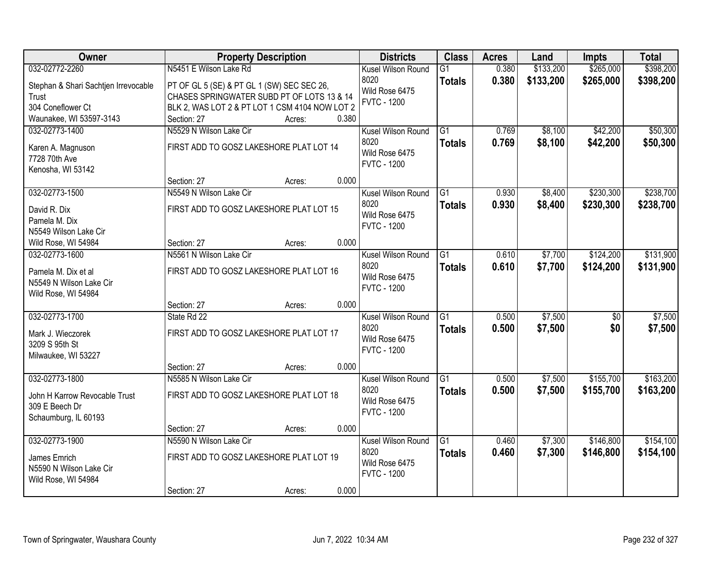| Owner                                                                   | <b>Property Description</b>                                                              |        |       | <b>Districts</b>                             | <b>Class</b>    | <b>Acres</b> | Land      | <b>Impts</b>    | <b>Total</b> |
|-------------------------------------------------------------------------|------------------------------------------------------------------------------------------|--------|-------|----------------------------------------------|-----------------|--------------|-----------|-----------------|--------------|
| 032-02772-2260                                                          | N5451 E Wilson Lake Rd                                                                   |        |       | Kusel Wilson Round                           | $\overline{G1}$ | 0.380        | \$133,200 | \$265,000       | \$398,200    |
| Stephan & Shari Sachtjen Irrevocable<br>Trust                           | PT OF GL 5 (SE) & PT GL 1 (SW) SEC SEC 26,<br>CHASES SPRINGWATER SUBD PT OF LOTS 13 & 14 |        |       | 8020<br>Wild Rose 6475<br><b>FVTC - 1200</b> | <b>Totals</b>   | 0.380        | \$133,200 | \$265,000       | \$398,200    |
| 304 Coneflower Ct                                                       | BLK 2, WAS LOT 2 & PT LOT 1 CSM 4104 NOW LOT 2                                           |        |       |                                              |                 |              |           |                 |              |
| Waunakee, WI 53597-3143                                                 | Section: 27                                                                              | Acres: | 0.380 |                                              |                 |              |           |                 |              |
| 032-02773-1400                                                          | N5529 N Wilson Lake Cir                                                                  |        |       | Kusel Wilson Round                           | $\overline{G1}$ | 0.769        | \$8,100   | \$42,200        | \$50,300     |
| Karen A. Magnuson                                                       | FIRST ADD TO GOSZ LAKESHORE PLAT LOT 14                                                  |        |       | 8020                                         | <b>Totals</b>   | 0.769        | \$8,100   | \$42,200        | \$50,300     |
| 7728 70th Ave                                                           |                                                                                          |        |       | Wild Rose 6475                               |                 |              |           |                 |              |
| Kenosha, WI 53142                                                       |                                                                                          |        |       | <b>FVTC - 1200</b>                           |                 |              |           |                 |              |
|                                                                         | Section: 27                                                                              | Acres: | 0.000 |                                              |                 |              |           |                 |              |
| 032-02773-1500                                                          | N5549 N Wilson Lake Cir                                                                  |        |       | Kusel Wilson Round                           | G1              | 0.930        | \$8,400   | \$230,300       | \$238,700    |
| David R. Dix                                                            | FIRST ADD TO GOSZ LAKESHORE PLAT LOT 15                                                  |        |       | 8020                                         | <b>Totals</b>   | 0.930        | \$8,400   | \$230,300       | \$238,700    |
| Pamela M. Dix                                                           |                                                                                          |        |       | Wild Rose 6475                               |                 |              |           |                 |              |
| N5549 Wilson Lake Cir                                                   |                                                                                          |        |       | <b>FVTC - 1200</b>                           |                 |              |           |                 |              |
| Wild Rose, WI 54984                                                     | Section: 27                                                                              | Acres: | 0.000 |                                              |                 |              |           |                 |              |
| 032-02773-1600                                                          | N5561 N Wilson Lake Cir                                                                  |        |       | Kusel Wilson Round                           | G1              | 0.610        | \$7,700   | \$124,200       | \$131,900    |
| Pamela M. Dix et al<br>N5549 N Wilson Lake Cir<br>Wild Rose, WI 54984   | FIRST ADD TO GOSZ LAKESHORE PLAT LOT 16                                                  |        |       | 8020<br>Wild Rose 6475<br><b>FVTC - 1200</b> | <b>Totals</b>   | 0.610        | \$7,700   | \$124,200       | \$131,900    |
|                                                                         | Section: 27                                                                              | Acres: | 0.000 |                                              |                 |              |           |                 |              |
| 032-02773-1700                                                          | State Rd 22                                                                              |        |       | Kusel Wilson Round                           | $\overline{G1}$ | 0.500        | \$7,500   | $\overline{50}$ | \$7,500      |
| Mark J. Wieczorek<br>3209 S 95th St<br>Milwaukee, WI 53227              | FIRST ADD TO GOSZ LAKESHORE PLAT LOT 17                                                  |        |       | 8020<br>Wild Rose 6475<br><b>FVTC - 1200</b> | <b>Totals</b>   | 0.500        | \$7,500   | \$0             | \$7,500      |
|                                                                         | Section: 27                                                                              | Acres: | 0.000 |                                              |                 |              |           |                 |              |
| 032-02773-1800                                                          | N5585 N Wilson Lake Cir                                                                  |        |       | Kusel Wilson Round                           | $\overline{G1}$ | 0.500        | \$7,500   | \$155,700       | \$163,200    |
| John H Karrow Revocable Trust<br>309 E Beech Dr<br>Schaumburg, IL 60193 | FIRST ADD TO GOSZ LAKESHORE PLAT LOT 18                                                  |        |       | 8020<br>Wild Rose 6475<br><b>FVTC - 1200</b> | <b>Totals</b>   | 0.500        | \$7,500   | \$155,700       | \$163,200    |
|                                                                         | Section: 27                                                                              | Acres: | 0.000 |                                              |                 |              |           |                 |              |
| 032-02773-1900                                                          | N5590 N Wilson Lake Cir                                                                  |        |       | Kusel Wilson Round                           | $\overline{G1}$ | 0.460        | \$7,300   | \$146,800       | \$154,100    |
| James Emrich<br>N5590 N Wilson Lake Cir<br>Wild Rose, WI 54984          | FIRST ADD TO GOSZ LAKESHORE PLAT LOT 19                                                  |        |       | 8020<br>Wild Rose 6475<br><b>FVTC - 1200</b> | <b>Totals</b>   | 0.460        | \$7,300   | \$146,800       | \$154,100    |
|                                                                         | Section: 27                                                                              | Acres: | 0.000 |                                              |                 |              |           |                 |              |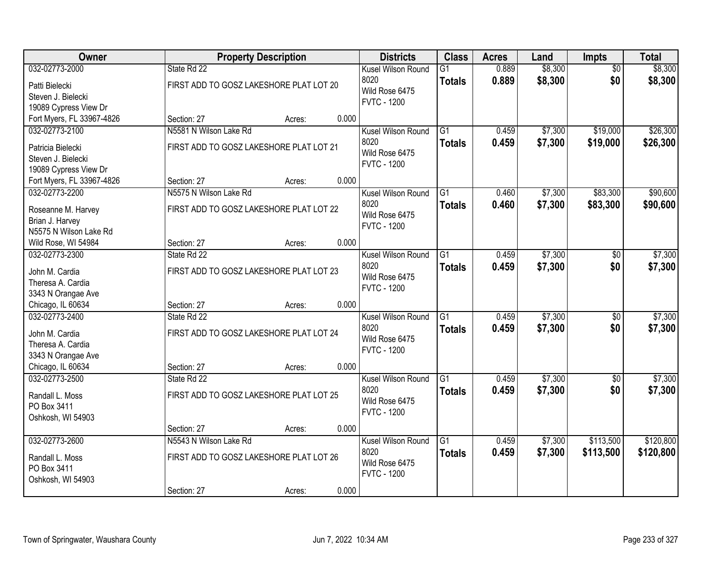| Owner                     |                                         | <b>Property Description</b> |       | <b>Districts</b>       | <b>Class</b>    | <b>Acres</b> | Land    | <b>Impts</b>    | <b>Total</b> |
|---------------------------|-----------------------------------------|-----------------------------|-------|------------------------|-----------------|--------------|---------|-----------------|--------------|
| 032-02773-2000            | State Rd 22                             |                             |       | Kusel Wilson Round     | $\overline{G1}$ | 0.889        | \$8,300 | $\overline{50}$ | \$8,300      |
| Patti Bielecki            | FIRST ADD TO GOSZ LAKESHORE PLAT LOT 20 |                             |       | 8020<br>Wild Rose 6475 | <b>Totals</b>   | 0.889        | \$8,300 | \$0             | \$8,300      |
| Steven J. Bielecki        |                                         |                             |       | <b>FVTC - 1200</b>     |                 |              |         |                 |              |
| 19089 Cypress View Dr     |                                         |                             |       |                        |                 |              |         |                 |              |
| Fort Myers, FL 33967-4826 | Section: 27                             | Acres:                      | 0.000 |                        |                 |              |         |                 |              |
| 032-02773-2100            | N5581 N Wilson Lake Rd                  |                             |       | Kusel Wilson Round     | $\overline{G1}$ | 0.459        | \$7,300 | \$19,000        | \$26,300     |
| Patricia Bielecki         | FIRST ADD TO GOSZ LAKESHORE PLAT LOT 21 |                             |       | 8020                   | <b>Totals</b>   | 0.459        | \$7,300 | \$19,000        | \$26,300     |
| Steven J. Bielecki        |                                         |                             |       | Wild Rose 6475         |                 |              |         |                 |              |
| 19089 Cypress View Dr     |                                         |                             |       | <b>FVTC - 1200</b>     |                 |              |         |                 |              |
| Fort Myers, FL 33967-4826 | Section: 27                             | Acres:                      | 0.000 |                        |                 |              |         |                 |              |
| 032-02773-2200            | N5575 N Wilson Lake Rd                  |                             |       | Kusel Wilson Round     | G1              | 0.460        | \$7,300 | \$83,300        | \$90,600     |
| Roseanne M. Harvey        | FIRST ADD TO GOSZ LAKESHORE PLAT LOT 22 |                             |       | 8020                   | <b>Totals</b>   | 0.460        | \$7,300 | \$83,300        | \$90,600     |
| Brian J. Harvey           |                                         |                             |       | Wild Rose 6475         |                 |              |         |                 |              |
| N5575 N Wilson Lake Rd    |                                         |                             |       | <b>FVTC - 1200</b>     |                 |              |         |                 |              |
| Wild Rose, WI 54984       | Section: 27                             | Acres:                      | 0.000 |                        |                 |              |         |                 |              |
| 032-02773-2300            | State Rd 22                             |                             |       | Kusel Wilson Round     | G1              | 0.459        | \$7,300 | \$0             | \$7,300      |
|                           |                                         |                             |       | 8020                   | <b>Totals</b>   | 0.459        | \$7,300 | \$0             | \$7,300      |
| John M. Cardia            | FIRST ADD TO GOSZ LAKESHORE PLAT LOT 23 |                             |       | Wild Rose 6475         |                 |              |         |                 |              |
| Theresa A. Cardia         |                                         |                             |       | <b>FVTC - 1200</b>     |                 |              |         |                 |              |
| 3343 N Orangae Ave        |                                         |                             |       |                        |                 |              |         |                 |              |
| Chicago, IL 60634         | Section: 27                             | Acres:                      | 0.000 |                        |                 |              |         |                 |              |
| 032-02773-2400            | State Rd 22                             |                             |       | Kusel Wilson Round     | $\overline{G1}$ | 0.459        | \$7,300 | $\overline{30}$ | \$7,300      |
| John M. Cardia            | FIRST ADD TO GOSZ LAKESHORE PLAT LOT 24 |                             |       | 8020                   | Totals          | 0.459        | \$7,300 | \$0             | \$7,300      |
| Theresa A. Cardia         |                                         |                             |       | Wild Rose 6475         |                 |              |         |                 |              |
| 3343 N Orangae Ave        |                                         |                             |       | <b>FVTC - 1200</b>     |                 |              |         |                 |              |
| Chicago, IL 60634         | Section: 27                             | Acres:                      | 0.000 |                        |                 |              |         |                 |              |
| 032-02773-2500            | State Rd 22                             |                             |       | Kusel Wilson Round     | $\overline{G1}$ | 0.459        | \$7,300 | $\overline{60}$ | \$7,300      |
| Randall L. Moss           | FIRST ADD TO GOSZ LAKESHORE PLAT LOT 25 |                             |       | 8020                   | <b>Totals</b>   | 0.459        | \$7,300 | \$0             | \$7,300      |
| PO Box 3411               |                                         |                             |       | Wild Rose 6475         |                 |              |         |                 |              |
| Oshkosh, WI 54903         |                                         |                             |       | <b>FVTC - 1200</b>     |                 |              |         |                 |              |
|                           | Section: 27                             | Acres:                      | 0.000 |                        |                 |              |         |                 |              |
| 032-02773-2600            | N5543 N Wilson Lake Rd                  |                             |       | Kusel Wilson Round     | G1              | 0.459        | \$7,300 | \$113,500       | \$120,800    |
|                           |                                         |                             |       | 8020                   | <b>Totals</b>   | 0.459        | \$7,300 | \$113,500       | \$120,800    |
| Randall L. Moss           | FIRST ADD TO GOSZ LAKESHORE PLAT LOT 26 |                             |       | Wild Rose 6475         |                 |              |         |                 |              |
| PO Box 3411               |                                         |                             |       | <b>FVTC - 1200</b>     |                 |              |         |                 |              |
| Oshkosh, WI 54903         |                                         |                             |       |                        |                 |              |         |                 |              |
|                           | Section: 27                             | Acres:                      | 0.000 |                        |                 |              |         |                 |              |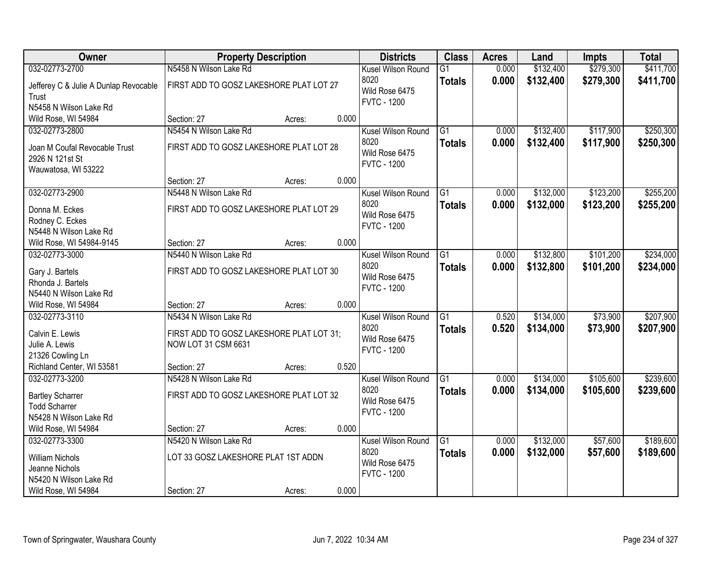| Owner                                 | <b>Property Description</b>              |        |       | <b>Districts</b>   | <b>Class</b>    | <b>Acres</b> | Land      | <b>Impts</b> | <b>Total</b> |
|---------------------------------------|------------------------------------------|--------|-------|--------------------|-----------------|--------------|-----------|--------------|--------------|
| 032-02773-2700                        | N5458 N Wilson Lake Rd                   |        |       | Kusel Wilson Round | $\overline{G1}$ | 0.000        | \$132,400 | \$279,300    | \$411,700    |
| Jefferey C & Julie A Dunlap Revocable | FIRST ADD TO GOSZ LAKESHORE PLAT LOT 27  |        |       | 8020               | <b>Totals</b>   | 0.000        | \$132,400 | \$279,300    | \$411,700    |
| Trust                                 |                                          |        |       | Wild Rose 6475     |                 |              |           |              |              |
| N5458 N Wilson Lake Rd                |                                          |        |       | <b>FVTC - 1200</b> |                 |              |           |              |              |
| Wild Rose, WI 54984                   | Section: 27                              | Acres: | 0.000 |                    |                 |              |           |              |              |
| 032-02773-2800                        | N5454 N Wilson Lake Rd                   |        |       | Kusel Wilson Round | $\overline{G1}$ | 0.000        | \$132,400 | \$117,900    | \$250,300    |
| Joan M Coufal Revocable Trust         | FIRST ADD TO GOSZ LAKESHORE PLAT LOT 28  |        |       | 8020               | <b>Totals</b>   | 0.000        | \$132,400 | \$117,900    | \$250,300    |
| 2926 N 121st St                       |                                          |        |       | Wild Rose 6475     |                 |              |           |              |              |
| Wauwatosa, WI 53222                   |                                          |        |       | <b>FVTC - 1200</b> |                 |              |           |              |              |
|                                       | Section: 27                              | Acres: | 0.000 |                    |                 |              |           |              |              |
| 032-02773-2900                        | N5448 N Wilson Lake Rd                   |        |       | Kusel Wilson Round | G1              | 0.000        | \$132,000 | \$123,200    | \$255,200    |
| Donna M. Eckes                        | FIRST ADD TO GOSZ LAKESHORE PLAT LOT 29  |        |       | 8020               | <b>Totals</b>   | 0.000        | \$132,000 | \$123,200    | \$255,200    |
| Rodney C. Eckes                       |                                          |        |       | Wild Rose 6475     |                 |              |           |              |              |
| N5448 N Wilson Lake Rd                |                                          |        |       | <b>FVTC - 1200</b> |                 |              |           |              |              |
| Wild Rose, WI 54984-9145              | Section: 27                              | Acres: | 0.000 |                    |                 |              |           |              |              |
| 032-02773-3000                        | N5440 N Wilson Lake Rd                   |        |       | Kusel Wilson Round | G1              | 0.000        | \$132,800 | \$101,200    | \$234,000    |
| Gary J. Bartels                       | FIRST ADD TO GOSZ LAKESHORE PLAT LOT 30  |        |       | 8020               | <b>Totals</b>   | 0.000        | \$132,800 | \$101,200    | \$234,000    |
| Rhonda J. Bartels                     |                                          |        |       | Wild Rose 6475     |                 |              |           |              |              |
| N5440 N Wilson Lake Rd                |                                          |        |       | <b>FVTC - 1200</b> |                 |              |           |              |              |
| Wild Rose, WI 54984                   | Section: 27                              | Acres: | 0.000 |                    |                 |              |           |              |              |
| 032-02773-3110                        | N5434 N Wilson Lake Rd                   |        |       | Kusel Wilson Round | $\overline{G1}$ | 0.520        | \$134,000 | \$73,900     | \$207,900    |
| Calvin E. Lewis                       | FIRST ADD TO GOSZ LAKESHORE PLAT LOT 31; |        |       | 8020               | <b>Totals</b>   | 0.520        | \$134,000 | \$73,900     | \$207,900    |
| Julie A. Lewis                        | NOW LOT 31 CSM 6631                      |        |       | Wild Rose 6475     |                 |              |           |              |              |
| 21326 Cowling Ln                      |                                          |        |       | <b>FVTC - 1200</b> |                 |              |           |              |              |
| Richland Center, WI 53581             | Section: 27                              | Acres: | 0.520 |                    |                 |              |           |              |              |
| 032-02773-3200                        | N5428 N Wilson Lake Rd                   |        |       | Kusel Wilson Round | $\overline{G1}$ | 0.000        | \$134,000 | \$105,600    | \$239,600    |
| <b>Bartley Scharrer</b>               | FIRST ADD TO GOSZ LAKESHORE PLAT LOT 32  |        |       | 8020               | <b>Totals</b>   | 0.000        | \$134,000 | \$105,600    | \$239,600    |
| <b>Todd Scharrer</b>                  |                                          |        |       | Wild Rose 6475     |                 |              |           |              |              |
| N5428 N Wilson Lake Rd                |                                          |        |       | <b>FVTC - 1200</b> |                 |              |           |              |              |
| Wild Rose, WI 54984                   | Section: 27                              | Acres: | 0.000 |                    |                 |              |           |              |              |
| 032-02773-3300                        | N5420 N Wilson Lake Rd                   |        |       | Kusel Wilson Round | $\overline{G1}$ | 0.000        | \$132,000 | \$57,600     | \$189,600    |
| <b>William Nichols</b>                | LOT 33 GOSZ LAKESHORE PLAT 1ST ADDN      |        |       | 8020               | <b>Totals</b>   | 0.000        | \$132,000 | \$57,600     | \$189,600    |
| Jeanne Nichols                        |                                          |        |       | Wild Rose 6475     |                 |              |           |              |              |
| N5420 N Wilson Lake Rd                |                                          |        |       | <b>FVTC - 1200</b> |                 |              |           |              |              |
| Wild Rose, WI 54984                   | Section: 27                              | Acres: | 0.000 |                    |                 |              |           |              |              |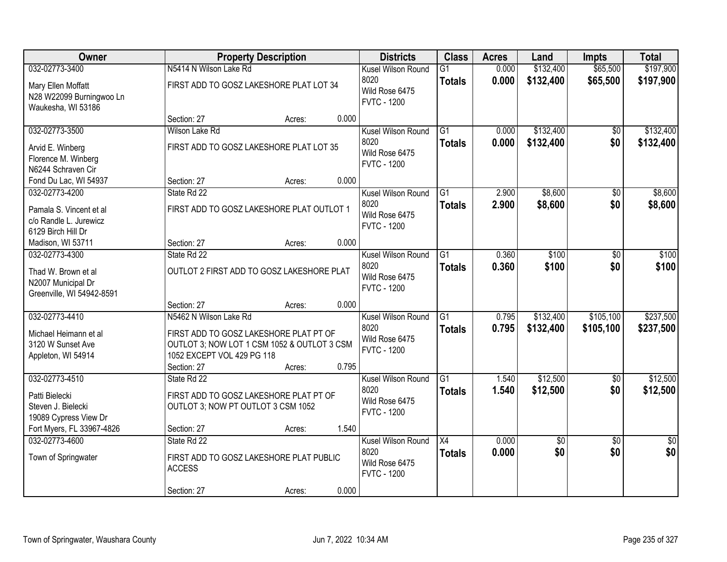| Owner                                                                              |                                                                                                                                               | <b>Property Description</b> |       | <b>Districts</b>                                                   | <b>Class</b>                     | <b>Acres</b>   | Land                   | <b>Impts</b>           | <b>Total</b>           |
|------------------------------------------------------------------------------------|-----------------------------------------------------------------------------------------------------------------------------------------------|-----------------------------|-------|--------------------------------------------------------------------|----------------------------------|----------------|------------------------|------------------------|------------------------|
| 032-02773-3400                                                                     | N5414 N Wilson Lake Rd                                                                                                                        |                             |       | Kusel Wilson Round                                                 | $\overline{G1}$                  | 0.000          | \$132,400              | \$65,500               | \$197,900              |
| Mary Ellen Moffatt<br>N28 W22099 Burningwoo Ln<br>Waukesha, WI 53186               | FIRST ADD TO GOSZ LAKESHORE PLAT LOT 34                                                                                                       |                             |       | 8020<br>Wild Rose 6475<br><b>FVTC - 1200</b>                       | <b>Totals</b>                    | 0.000          | \$132,400              | \$65,500               | \$197,900              |
|                                                                                    | Section: 27                                                                                                                                   | Acres:                      | 0.000 |                                                                    |                                  |                |                        |                        |                        |
| 032-02773-3500                                                                     | Wilson Lake Rd                                                                                                                                |                             |       | Kusel Wilson Round                                                 | $\overline{G1}$                  | 0.000          | \$132,400              | $\overline{50}$        | \$132,400              |
| Arvid E. Winberg<br>Florence M. Winberg<br>N6244 Schraven Cir                      | FIRST ADD TO GOSZ LAKESHORE PLAT LOT 35                                                                                                       |                             |       | 8020<br>Wild Rose 6475<br><b>FVTC - 1200</b>                       | <b>Totals</b>                    | 0.000          | \$132,400              | \$0                    | \$132,400              |
| Fond Du Lac, WI 54937                                                              | Section: 27                                                                                                                                   | Acres:                      | 0.000 |                                                                    |                                  |                |                        |                        |                        |
| 032-02773-4200                                                                     | State Rd 22                                                                                                                                   |                             |       | Kusel Wilson Round                                                 | $\overline{G1}$                  | 2.900          | \$8,600                | $\sqrt{6}$             | \$8,600                |
| Pamala S. Vincent et al<br>c/o Randle L. Jurewicz<br>6129 Birch Hill Dr            | FIRST ADD TO GOSZ LAKESHORE PLAT OUTLOT 1                                                                                                     |                             |       | 8020<br>Wild Rose 6475<br><b>FVTC - 1200</b>                       | <b>Totals</b>                    | 2.900          | \$8,600                | \$0                    | \$8,600                |
| Madison, WI 53711                                                                  | Section: 27                                                                                                                                   | Acres:                      | 0.000 |                                                                    |                                  |                |                        |                        |                        |
| 032-02773-4300                                                                     | State Rd 22                                                                                                                                   |                             |       | Kusel Wilson Round                                                 | G1                               | 0.360          | \$100                  | \$0                    | \$100                  |
| Thad W. Brown et al<br>N2007 Municipal Dr<br>Greenville, WI 54942-8591             | OUTLOT 2 FIRST ADD TO GOSZ LAKESHORE PLAT                                                                                                     |                             |       | 8020<br>Wild Rose 6475<br><b>FVTC - 1200</b>                       | <b>Totals</b>                    | 0.360          | \$100                  | \$0                    | \$100                  |
|                                                                                    | Section: 27                                                                                                                                   | Acres:                      | 0.000 |                                                                    |                                  |                |                        |                        |                        |
| 032-02773-4410<br>Michael Heimann et al<br>3120 W Sunset Ave<br>Appleton, WI 54914 | N5462 N Wilson Lake Rd<br>FIRST ADD TO GOSZ LAKESHORE PLAT PT OF<br>OUTLOT 3; NOW LOT 1 CSM 1052 & OUTLOT 3 CSM<br>1052 EXCEPT VOL 429 PG 118 |                             |       | Kusel Wilson Round<br>8020<br>Wild Rose 6475<br><b>FVTC - 1200</b> | $\overline{G1}$<br><b>Totals</b> | 0.795<br>0.795 | \$132,400<br>\$132,400 | \$105,100<br>\$105,100 | \$237,500<br>\$237,500 |
|                                                                                    | Section: 27                                                                                                                                   | Acres:                      | 0.795 |                                                                    |                                  |                |                        |                        |                        |
| 032-02773-4510<br>Patti Bielecki<br>Steven J. Bielecki<br>19089 Cypress View Dr    | State Rd 22<br>FIRST ADD TO GOSZ LAKESHORE PLAT PT OF<br>OUTLOT 3; NOW PT OUTLOT 3 CSM 1052                                                   |                             |       | Kusel Wilson Round<br>8020<br>Wild Rose 6475<br><b>FVTC - 1200</b> | $\overline{G1}$<br><b>Totals</b> | 1.540<br>1.540 | \$12,500<br>\$12,500   | $\overline{60}$<br>\$0 | \$12,500<br>\$12,500   |
| Fort Myers, FL 33967-4826                                                          | Section: 27                                                                                                                                   | Acres:                      | 1.540 |                                                                    |                                  |                |                        |                        |                        |
| 032-02773-4600<br>Town of Springwater                                              | State Rd 22<br>FIRST ADD TO GOSZ LAKESHORE PLAT PUBLIC<br><b>ACCESS</b>                                                                       |                             |       | Kusel Wilson Round<br>8020<br>Wild Rose 6475<br><b>FVTC - 1200</b> | $\overline{X4}$<br><b>Totals</b> | 0.000<br>0.000 | $\overline{50}$<br>\$0 | $\overline{50}$<br>\$0 | $\overline{50}$<br>\$0 |
|                                                                                    | Section: 27                                                                                                                                   | Acres:                      | 0.000 |                                                                    |                                  |                |                        |                        |                        |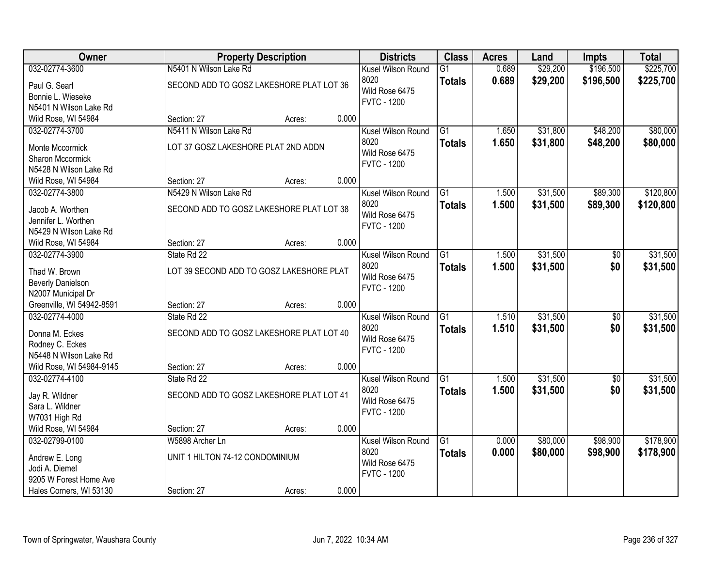| Owner                     |                                          | <b>Property Description</b> |       | <b>Districts</b>                     | <b>Class</b>    | <b>Acres</b> | Land     | <b>Impts</b>    | <b>Total</b> |
|---------------------------|------------------------------------------|-----------------------------|-------|--------------------------------------|-----------------|--------------|----------|-----------------|--------------|
| 032-02774-3600            | N5401 N Wilson Lake Rd                   |                             |       | Kusel Wilson Round                   | $\overline{G1}$ | 0.689        | \$29,200 | \$196,500       | \$225,700    |
| Paul G. Searl             | SECOND ADD TO GOSZ LAKESHORE PLAT LOT 36 |                             |       | 8020                                 | <b>Totals</b>   | 0.689        | \$29,200 | \$196,500       | \$225,700    |
| Bonnie L. Wieseke         |                                          |                             |       | Wild Rose 6475                       |                 |              |          |                 |              |
| N5401 N Wilson Lake Rd    |                                          |                             |       | <b>FVTC - 1200</b>                   |                 |              |          |                 |              |
| Wild Rose, WI 54984       | Section: 27                              | Acres:                      | 0.000 |                                      |                 |              |          |                 |              |
| 032-02774-3700            | N5411 N Wilson Lake Rd                   |                             |       | Kusel Wilson Round                   | $\overline{G1}$ | 1.650        | \$31,800 | \$48,200        | \$80,000     |
| Monte Mccormick           | LOT 37 GOSZ LAKESHORE PLAT 2ND ADDN      |                             |       | 8020                                 | <b>Totals</b>   | 1.650        | \$31,800 | \$48,200        | \$80,000     |
| Sharon Mccormick          |                                          |                             |       | Wild Rose 6475                       |                 |              |          |                 |              |
| N5428 N Wilson Lake Rd    |                                          |                             |       | <b>FVTC - 1200</b>                   |                 |              |          |                 |              |
| Wild Rose, WI 54984       | Section: 27                              | Acres:                      | 0.000 |                                      |                 |              |          |                 |              |
| 032-02774-3800            | N5429 N Wilson Lake Rd                   |                             |       | Kusel Wilson Round                   | G1              | 1.500        | \$31,500 | \$89,300        | \$120,800    |
|                           |                                          |                             |       | 8020                                 | <b>Totals</b>   | 1.500        | \$31,500 | \$89,300        | \$120,800    |
| Jacob A. Worthen          | SECOND ADD TO GOSZ LAKESHORE PLAT LOT 38 |                             |       | Wild Rose 6475                       |                 |              |          |                 |              |
| Jennifer L. Worthen       |                                          |                             |       | <b>FVTC - 1200</b>                   |                 |              |          |                 |              |
| N5429 N Wilson Lake Rd    |                                          |                             |       |                                      |                 |              |          |                 |              |
| Wild Rose, WI 54984       | Section: 27                              | Acres:                      | 0.000 |                                      |                 |              |          |                 |              |
| 032-02774-3900            | State Rd 22                              |                             |       | Kusel Wilson Round                   | G1              | 1.500        | \$31,500 | \$0             | \$31,500     |
| Thad W. Brown             | LOT 39 SECOND ADD TO GOSZ LAKESHORE PLAT |                             |       | 8020                                 | <b>Totals</b>   | 1.500        | \$31,500 | \$0             | \$31,500     |
| <b>Beverly Danielson</b>  |                                          |                             |       | Wild Rose 6475                       |                 |              |          |                 |              |
| N2007 Municipal Dr        |                                          |                             |       | <b>FVTC - 1200</b>                   |                 |              |          |                 |              |
| Greenville, WI 54942-8591 | Section: 27                              | Acres:                      | 0.000 |                                      |                 |              |          |                 |              |
| 032-02774-4000            | State Rd 22                              |                             |       | Kusel Wilson Round                   | $\overline{G1}$ | 1.510        | \$31,500 | $\overline{50}$ | \$31,500     |
| Donna M. Eckes            | SECOND ADD TO GOSZ LAKESHORE PLAT LOT 40 |                             |       | 8020                                 | <b>Totals</b>   | 1.510        | \$31,500 | \$0             | \$31,500     |
| Rodney C. Eckes           |                                          |                             |       | Wild Rose 6475                       |                 |              |          |                 |              |
| N5448 N Wilson Lake Rd    |                                          |                             |       | <b>FVTC - 1200</b>                   |                 |              |          |                 |              |
| Wild Rose, WI 54984-9145  | Section: 27                              | Acres:                      | 0.000 |                                      |                 |              |          |                 |              |
| 032-02774-4100            | State Rd 22                              |                             |       | Kusel Wilson Round                   | $\overline{G1}$ | 1.500        | \$31,500 | $\overline{50}$ | \$31,500     |
|                           |                                          |                             |       | 8020                                 | <b>Totals</b>   | 1.500        | \$31,500 | \$0             | \$31,500     |
| Jay R. Wildner            | SECOND ADD TO GOSZ LAKESHORE PLAT LOT 41 |                             |       | Wild Rose 6475                       |                 |              |          |                 |              |
| Sara L. Wildner           |                                          |                             |       | <b>FVTC - 1200</b>                   |                 |              |          |                 |              |
| W7031 High Rd             |                                          |                             |       |                                      |                 |              |          |                 |              |
| Wild Rose, WI 54984       | Section: 27                              | Acres:                      | 0.000 |                                      |                 |              |          |                 |              |
| 032-02799-0100            | W5898 Archer Ln                          |                             |       | Kusel Wilson Round                   | $\overline{G1}$ | 0.000        | \$80,000 | \$98,900        | \$178,900    |
| Andrew E. Long            | UNIT 1 HILTON 74-12 CONDOMINIUM          |                             |       | 8020                                 | <b>Totals</b>   | 0.000        | \$80,000 | \$98,900        | \$178,900    |
| Jodi A. Diemel            |                                          |                             |       | Wild Rose 6475<br><b>FVTC - 1200</b> |                 |              |          |                 |              |
| 9205 W Forest Home Ave    |                                          |                             |       |                                      |                 |              |          |                 |              |
| Hales Corners, WI 53130   | Section: 27                              | Acres:                      | 0.000 |                                      |                 |              |          |                 |              |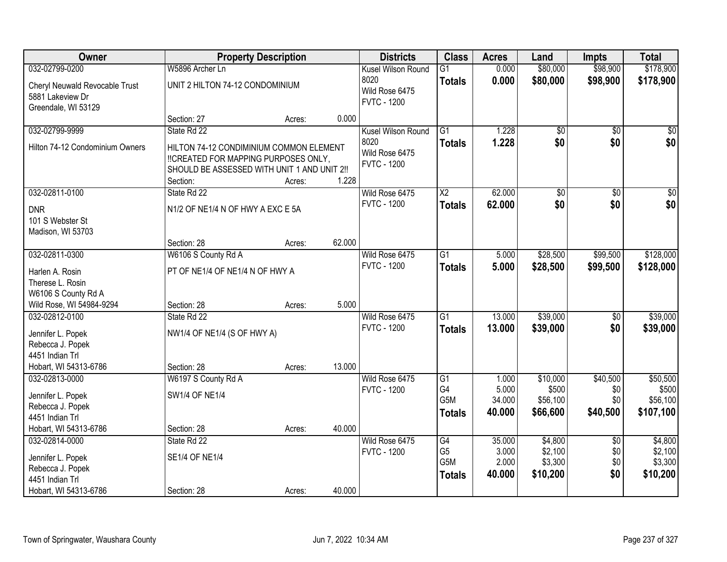| Owner                                           |                                             | <b>Property Description</b> |        | <b>Districts</b>   | <b>Class</b>     | <b>Acres</b>    | Land              | <b>Impts</b>    | <b>Total</b>      |
|-------------------------------------------------|---------------------------------------------|-----------------------------|--------|--------------------|------------------|-----------------|-------------------|-----------------|-------------------|
| 032-02799-0200                                  | W5896 Archer Ln                             |                             |        | Kusel Wilson Round | $\overline{G1}$  | 0.000           | \$80,000          | \$98,900        | \$178,900         |
| Cheryl Neuwald Revocable Trust                  | UNIT 2 HILTON 74-12 CONDOMINIUM             |                             |        | 8020               | <b>Totals</b>    | 0.000           | \$80,000          | \$98,900        | \$178,900         |
| 5881 Lakeview Dr                                |                                             |                             |        | Wild Rose 6475     |                  |                 |                   |                 |                   |
| Greendale, WI 53129                             |                                             |                             |        | <b>FVTC - 1200</b> |                  |                 |                   |                 |                   |
|                                                 | Section: 27                                 | Acres:                      | 0.000  |                    |                  |                 |                   |                 |                   |
| 032-02799-9999                                  | State Rd 22                                 |                             |        | Kusel Wilson Round | $\overline{G1}$  | 1.228           | $\overline{50}$   | $\overline{50}$ | $\sqrt{50}$       |
| Hilton 74-12 Condominium Owners                 | HILTON 74-12 CONDIMINIUM COMMON ELEMENT     |                             |        | 8020               | <b>Totals</b>    | 1.228           | \$0               | \$0             | \$0               |
|                                                 | !!CREATED FOR MAPPING PURPOSES ONLY,        |                             |        | Wild Rose 6475     |                  |                 |                   |                 |                   |
|                                                 | SHOULD BE ASSESSED WITH UNIT 1 AND UNIT 2!! |                             |        | <b>FVTC - 1200</b> |                  |                 |                   |                 |                   |
|                                                 | Section:                                    | Acres:                      | 1.228  |                    |                  |                 |                   |                 |                   |
| 032-02811-0100                                  | State Rd 22                                 |                             |        | Wild Rose 6475     | $\overline{X2}$  | 62.000          | $\overline{50}$   | $\overline{50}$ | $\overline{30}$   |
| <b>DNR</b>                                      | N1/2 OF NE1/4 N OF HWY A EXC E 5A           |                             |        | <b>FVTC - 1200</b> | <b>Totals</b>    | 62.000          | \$0               | \$0             | \$0               |
| 101 S Webster St                                |                                             |                             |        |                    |                  |                 |                   |                 |                   |
| Madison, WI 53703                               |                                             |                             |        |                    |                  |                 |                   |                 |                   |
|                                                 | Section: 28                                 | Acres:                      | 62.000 |                    |                  |                 |                   |                 |                   |
| 032-02811-0300                                  | W6106 S County Rd A                         |                             |        | Wild Rose 6475     | $\overline{G1}$  | 5.000           | \$28,500          | \$99,500        | \$128,000         |
|                                                 |                                             |                             |        | <b>FVTC - 1200</b> | <b>Totals</b>    | 5.000           | \$28,500          | \$99,500        | \$128,000         |
| Harlen A. Rosin                                 | PT OF NE1/4 OF NE1/4 N OF HWY A             |                             |        |                    |                  |                 |                   |                 |                   |
| Therese L. Rosin                                |                                             |                             |        |                    |                  |                 |                   |                 |                   |
| W6106 S County Rd A<br>Wild Rose, WI 54984-9294 | Section: 28                                 |                             | 5.000  |                    |                  |                 |                   |                 |                   |
| 032-02812-0100                                  | State Rd 22                                 | Acres:                      |        | Wild Rose 6475     | $\overline{G1}$  | 13.000          | \$39,000          | \$0             | \$39,000          |
|                                                 |                                             |                             |        | <b>FVTC - 1200</b> |                  | 13.000          | \$39,000          | \$0             | \$39,000          |
| Jennifer L. Popek                               | NW1/4 OF NE1/4 (S OF HWY A)                 |                             |        |                    | Totals           |                 |                   |                 |                   |
| Rebecca J. Popek                                |                                             |                             |        |                    |                  |                 |                   |                 |                   |
| 4451 Indian Trl                                 |                                             |                             |        |                    |                  |                 |                   |                 |                   |
| Hobart, WI 54313-6786                           | Section: 28                                 | Acres:                      | 13.000 |                    |                  |                 |                   |                 |                   |
| 032-02813-0000                                  | W6197 S County Rd A                         |                             |        | Wild Rose 6475     | $\overline{G1}$  | 1.000           | \$10,000          | \$40,500        | \$50,500          |
| Jennifer L. Popek                               | <b>SW1/4 OF NE1/4</b>                       |                             |        | <b>FVTC - 1200</b> | G4<br>G5M        | 5.000<br>34.000 | \$500<br>\$56,100 | \$0<br>\$0      | \$500<br>\$56,100 |
| Rebecca J. Popek                                |                                             |                             |        |                    |                  |                 |                   |                 |                   |
| 4451 Indian Trl                                 |                                             |                             |        |                    | <b>Totals</b>    | 40.000          | \$66,600          | \$40,500        | \$107,100         |
| Hobart, WI 54313-6786                           | Section: 28                                 | Acres:                      | 40.000 |                    |                  |                 |                   |                 |                   |
| 032-02814-0000                                  | State Rd 22                                 |                             |        | Wild Rose 6475     | G4               | 35.000          | \$4,800           | $\overline{30}$ | \$4,800           |
| Jennifer L. Popek                               | <b>SE1/4 OF NE1/4</b>                       |                             |        | <b>FVTC - 1200</b> | G <sub>5</sub>   | 3.000           | \$2,100           | \$0             | \$2,100           |
| Rebecca J. Popek                                |                                             |                             |        |                    | G <sub>5</sub> M | 2.000           | \$3,300           | \$0             | \$3,300           |
| 4451 Indian Trl                                 |                                             |                             |        |                    | <b>Totals</b>    | 40.000          | \$10,200          | \$0             | \$10,200          |
| Hobart, WI 54313-6786                           | Section: 28                                 | Acres:                      | 40.000 |                    |                  |                 |                   |                 |                   |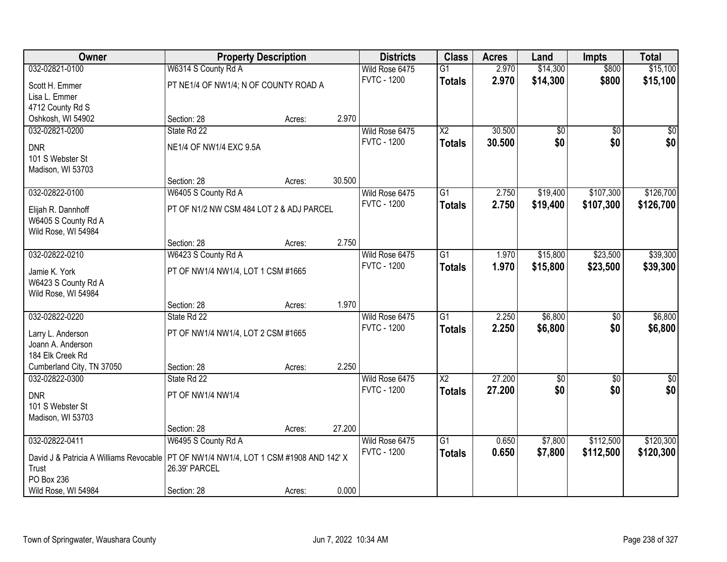| Owner                                                                                   | <b>Property Description</b>              |        |        | <b>Districts</b>   | <b>Class</b>    | <b>Acres</b> | Land            | <b>Impts</b>    | <b>Total</b> |
|-----------------------------------------------------------------------------------------|------------------------------------------|--------|--------|--------------------|-----------------|--------------|-----------------|-----------------|--------------|
| 032-02821-0100                                                                          | W6314 S County Rd A                      |        |        | Wild Rose 6475     | $\overline{G1}$ | 2.970        | \$14,300        | \$800           | \$15,100     |
| Scott H. Emmer                                                                          | PT NE1/4 OF NW1/4; N OF COUNTY ROAD A    |        |        | <b>FVTC - 1200</b> | <b>Totals</b>   | 2.970        | \$14,300        | \$800           | \$15,100     |
| Lisa L. Emmer                                                                           |                                          |        |        |                    |                 |              |                 |                 |              |
| 4712 County Rd S                                                                        |                                          |        |        |                    |                 |              |                 |                 |              |
| Oshkosh, WI 54902                                                                       | Section: 28                              | Acres: | 2.970  |                    |                 |              |                 |                 |              |
| 032-02821-0200                                                                          | State Rd 22                              |        |        | Wild Rose 6475     | $\overline{X2}$ | 30.500       | \$0             | $\overline{50}$ | \$0          |
| <b>DNR</b>                                                                              | NE1/4 OF NW1/4 EXC 9.5A                  |        |        | <b>FVTC - 1200</b> | <b>Totals</b>   | 30.500       | \$0             | \$0             | \$0          |
| 101 S Webster St                                                                        |                                          |        |        |                    |                 |              |                 |                 |              |
| Madison, WI 53703                                                                       |                                          |        |        |                    |                 |              |                 |                 |              |
|                                                                                         | Section: 28                              | Acres: | 30.500 |                    |                 |              |                 |                 |              |
| 032-02822-0100                                                                          | W6405 S County Rd A                      |        |        | Wild Rose 6475     | G1              | 2.750        | \$19,400        | \$107,300       | \$126,700    |
| Elijah R. Dannhoff                                                                      | PT OF N1/2 NW CSM 484 LOT 2 & ADJ PARCEL |        |        | <b>FVTC - 1200</b> | <b>Totals</b>   | 2.750        | \$19,400        | \$107,300       | \$126,700    |
| W6405 S County Rd A                                                                     |                                          |        |        |                    |                 |              |                 |                 |              |
| Wild Rose, WI 54984                                                                     |                                          |        |        |                    |                 |              |                 |                 |              |
|                                                                                         | Section: 28                              | Acres: | 2.750  |                    |                 |              |                 |                 |              |
| 032-02822-0210                                                                          | W6423 S County Rd A                      |        |        | Wild Rose 6475     | $\overline{G1}$ | 1.970        | \$15,800        | \$23,500        | \$39,300     |
| Jamie K. York                                                                           | PT OF NW1/4 NW1/4, LOT 1 CSM #1665       |        |        | <b>FVTC - 1200</b> | <b>Totals</b>   | 1.970        | \$15,800        | \$23,500        | \$39,300     |
| W6423 S County Rd A                                                                     |                                          |        |        |                    |                 |              |                 |                 |              |
| Wild Rose, WI 54984                                                                     |                                          |        |        |                    |                 |              |                 |                 |              |
|                                                                                         | Section: 28                              | Acres: | 1.970  |                    |                 |              |                 |                 |              |
| 032-02822-0220                                                                          | State Rd 22                              |        |        | Wild Rose 6475     | $\overline{G1}$ | 2.250        | \$6,800         | $\overline{50}$ | \$6,800      |
| Larry L. Anderson                                                                       | PT OF NW1/4 NW1/4, LOT 2 CSM #1665       |        |        | <b>FVTC - 1200</b> | <b>Totals</b>   | 2.250        | \$6,800         | \$0             | \$6,800      |
| Joann A. Anderson                                                                       |                                          |        |        |                    |                 |              |                 |                 |              |
| 184 Elk Creek Rd                                                                        |                                          |        |        |                    |                 |              |                 |                 |              |
| Cumberland City, TN 37050                                                               | Section: 28                              | Acres: | 2.250  |                    |                 |              |                 |                 |              |
| 032-02822-0300                                                                          | State Rd 22                              |        |        | Wild Rose 6475     | $\overline{X2}$ | 27.200       | $\overline{60}$ | $\overline{60}$ | $\sqrt{50}$  |
| <b>DNR</b>                                                                              | PT OF NW1/4 NW1/4                        |        |        | <b>FVTC - 1200</b> | <b>Totals</b>   | 27.200       | \$0             | \$0             | \$0          |
| 101 S Webster St                                                                        |                                          |        |        |                    |                 |              |                 |                 |              |
| Madison, WI 53703                                                                       |                                          |        |        |                    |                 |              |                 |                 |              |
|                                                                                         | Section: 28                              | Acres: | 27.200 |                    |                 |              |                 |                 |              |
| 032-02822-0411                                                                          | W6495 S County Rd A                      |        |        | Wild Rose 6475     | $\overline{G1}$ | 0.650        | \$7,800         | \$112,500       | \$120,300    |
| David J & Patricia A Williams Revocable   PT OF NW1/4 NW1/4, LOT 1 CSM #1908 AND 142' X |                                          |        |        | <b>FVTC - 1200</b> | <b>Totals</b>   | 0.650        | \$7,800         | \$112,500       | \$120,300    |
| Trust                                                                                   | 26.39' PARCEL                            |        |        |                    |                 |              |                 |                 |              |
| PO Box 236                                                                              |                                          |        |        |                    |                 |              |                 |                 |              |
| Wild Rose, WI 54984                                                                     | Section: 28                              | Acres: | 0.000  |                    |                 |              |                 |                 |              |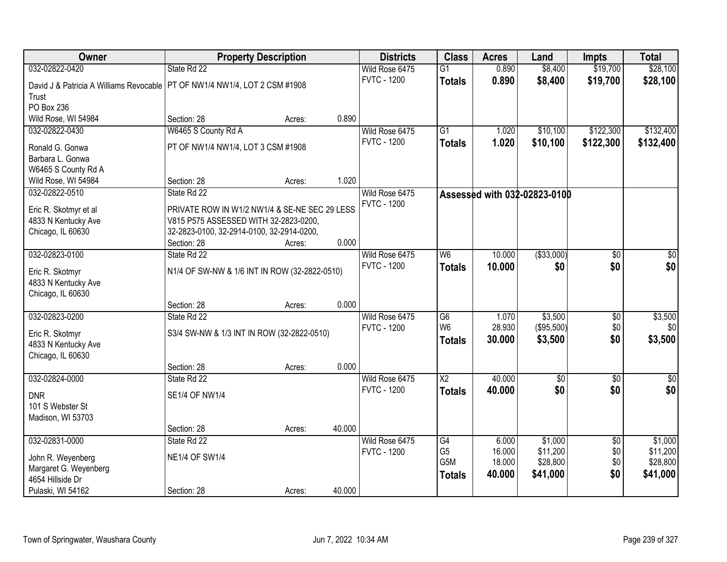| Owner                                                                        | <b>Property Description</b>                   |        |        | <b>Districts</b>   | <b>Class</b>    | <b>Acres</b> | Land                         | <b>Impts</b>    | <b>Total</b> |
|------------------------------------------------------------------------------|-----------------------------------------------|--------|--------|--------------------|-----------------|--------------|------------------------------|-----------------|--------------|
| 032-02822-0420                                                               | State Rd 22                                   |        |        | Wild Rose 6475     | $\overline{G1}$ | 0.890        | \$8,400                      | \$19,700        | \$28,100     |
| David J & Patricia A Williams Revocable   PT OF NW1/4 NW1/4, LOT 2 CSM #1908 |                                               |        |        | <b>FVTC - 1200</b> | <b>Totals</b>   | 0.890        | \$8,400                      | \$19,700        | \$28,100     |
| Trust                                                                        |                                               |        |        |                    |                 |              |                              |                 |              |
| PO Box 236                                                                   |                                               |        |        |                    |                 |              |                              |                 |              |
| Wild Rose, WI 54984                                                          | Section: 28                                   | Acres: | 0.890  |                    |                 |              |                              |                 |              |
| 032-02822-0430                                                               | W6465 S County Rd A                           |        |        | Wild Rose 6475     | $\overline{G1}$ | 1.020        | \$10,100                     | \$122,300       | \$132,400    |
| Ronald G. Gonwa                                                              | PT OF NW1/4 NW1/4, LOT 3 CSM #1908            |        |        | <b>FVTC - 1200</b> | <b>Totals</b>   | 1.020        | \$10,100                     | \$122,300       | \$132,400    |
| Barbara L. Gonwa                                                             |                                               |        |        |                    |                 |              |                              |                 |              |
| W6465 S County Rd A                                                          |                                               |        |        |                    |                 |              |                              |                 |              |
| Wild Rose, WI 54984                                                          | Section: 28                                   | Acres: | 1.020  |                    |                 |              |                              |                 |              |
| 032-02822-0510                                                               | State Rd 22                                   |        |        | Wild Rose 6475     |                 |              | Assessed with 032-02823-0100 |                 |              |
| Eric R. Skotmyr et al                                                        | PRIVATE ROW IN W1/2 NW1/4 & SE-NE SEC 29 LESS |        |        | <b>FVTC - 1200</b> |                 |              |                              |                 |              |
| 4833 N Kentucky Ave                                                          | V815 P575 ASSESSED WITH 32-2823-0200,         |        |        |                    |                 |              |                              |                 |              |
| Chicago, IL 60630                                                            | 32-2823-0100, 32-2914-0100, 32-2914-0200,     |        |        |                    |                 |              |                              |                 |              |
|                                                                              | Section: 28                                   | Acres: | 0.000  |                    |                 |              |                              |                 |              |
| 032-02823-0100                                                               | State Rd 22                                   |        |        | Wild Rose 6475     | W6              | 10.000       | ( \$33,000)                  | $\overline{50}$ | \$0          |
|                                                                              | N1/4 OF SW-NW & 1/6 INT IN ROW (32-2822-0510) |        |        | <b>FVTC - 1200</b> | <b>Totals</b>   | 10.000       | \$0                          | \$0             | \$0          |
| Eric R. Skotmyr<br>4833 N Kentucky Ave                                       |                                               |        |        |                    |                 |              |                              |                 |              |
| Chicago, IL 60630                                                            |                                               |        |        |                    |                 |              |                              |                 |              |
|                                                                              | Section: 28                                   | Acres: | 0.000  |                    |                 |              |                              |                 |              |
| 032-02823-0200                                                               | State Rd 22                                   |        |        | Wild Rose 6475     | G6              | 1.070        | \$3,500                      | $\overline{50}$ | \$3,500      |
|                                                                              |                                               |        |        | <b>FVTC - 1200</b> | W <sub>6</sub>  | 28.930       | (\$95,500)                   | \$0             | \$0          |
| Eric R. Skotmyr<br>4833 N Kentucky Ave                                       | S3/4 SW-NW & 1/3 INT IN ROW (32-2822-0510)    |        |        |                    | <b>Totals</b>   | 30.000       | \$3,500                      | \$0             | \$3,500      |
| Chicago, IL 60630                                                            |                                               |        |        |                    |                 |              |                              |                 |              |
|                                                                              | Section: 28                                   | Acres: | 0.000  |                    |                 |              |                              |                 |              |
| 032-02824-0000                                                               | State Rd 22                                   |        |        | Wild Rose 6475     | $\overline{X2}$ | 40.000       | $\overline{60}$              | $\overline{60}$ | $\sqrt{50}$  |
| <b>DNR</b>                                                                   | SE1/4 OF NW1/4                                |        |        | <b>FVTC - 1200</b> | <b>Totals</b>   | 40.000       | \$0                          | \$0             | \$0          |
| 101 S Webster St                                                             |                                               |        |        |                    |                 |              |                              |                 |              |
| Madison, WI 53703                                                            |                                               |        |        |                    |                 |              |                              |                 |              |
|                                                                              | Section: 28                                   | Acres: | 40.000 |                    |                 |              |                              |                 |              |
| 032-02831-0000                                                               | State Rd 22                                   |        |        | Wild Rose 6475     | G4              | 6.000        | \$1,000                      | $\overline{30}$ | \$1,000      |
| John R. Weyenberg                                                            | <b>NE1/4 OF SW1/4</b>                         |        |        | <b>FVTC - 1200</b> | G <sub>5</sub>  | 16.000       | \$11,200                     | \$0             | \$11,200     |
| Margaret G. Weyenberg                                                        |                                               |        |        |                    | G5M             | 18.000       | \$28,800                     | \$0             | \$28,800     |
| 4654 Hillside Dr                                                             |                                               |        |        |                    | <b>Totals</b>   | 40.000       | \$41,000                     | \$0             | \$41,000     |
| Pulaski, WI 54162                                                            | Section: 28                                   | Acres: | 40.000 |                    |                 |              |                              |                 |              |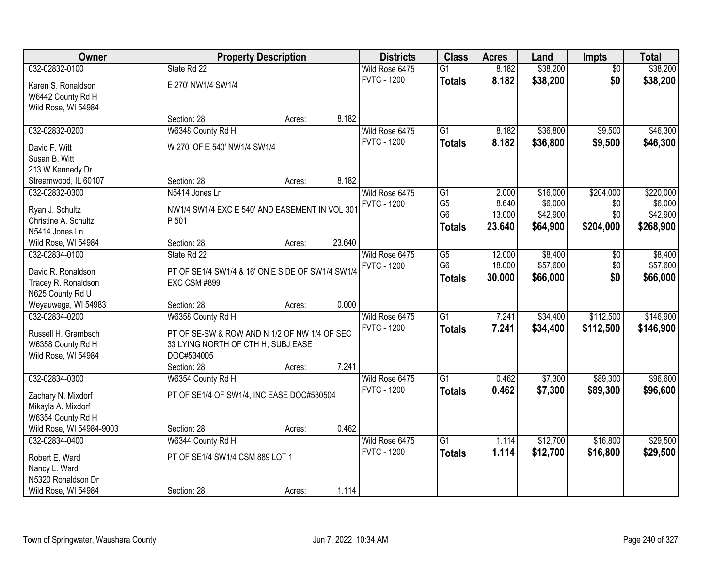| Owner                                    |                                                  | <b>Property Description</b> |        | <b>Districts</b>   | <b>Class</b>    | <b>Acres</b> | Land     | <b>Impts</b>    | <b>Total</b> |
|------------------------------------------|--------------------------------------------------|-----------------------------|--------|--------------------|-----------------|--------------|----------|-----------------|--------------|
| 032-02832-0100                           | State Rd 22                                      |                             |        | Wild Rose 6475     | $\overline{G1}$ | 8.182        | \$38,200 | $\overline{50}$ | \$38,200     |
| Karen S. Ronaldson                       | E 270' NW1/4 SW1/4                               |                             |        | <b>FVTC - 1200</b> | <b>Totals</b>   | 8.182        | \$38,200 | \$0             | \$38,200     |
| W6442 County Rd H                        |                                                  |                             |        |                    |                 |              |          |                 |              |
| Wild Rose, WI 54984                      |                                                  |                             |        |                    |                 |              |          |                 |              |
|                                          | Section: 28                                      | Acres:                      | 8.182  |                    |                 |              |          |                 |              |
| 032-02832-0200                           | W6348 County Rd H                                |                             |        | Wild Rose 6475     | $\overline{G1}$ | 8.182        | \$36,800 | \$9,500         | \$46,300     |
| David F. Witt                            | W 270' OF E 540' NW1/4 SW1/4                     |                             |        | <b>FVTC - 1200</b> | <b>Totals</b>   | 8.182        | \$36,800 | \$9,500         | \$46,300     |
| Susan B. Witt                            |                                                  |                             |        |                    |                 |              |          |                 |              |
| 213 W Kennedy Dr                         |                                                  |                             |        |                    |                 |              |          |                 |              |
| Streamwood, IL 60107                     | Section: 28                                      | Acres:                      | 8.182  |                    |                 |              |          |                 |              |
| 032-02832-0300                           | N5414 Jones Ln                                   |                             |        | Wild Rose 6475     | G1              | 2.000        | \$16,000 | \$204,000       | \$220,000    |
| Ryan J. Schultz                          | NW1/4 SW1/4 EXC E 540' AND EASEMENT IN VOL 301   |                             |        | <b>FVTC - 1200</b> | G <sub>5</sub>  | 8.640        | \$6,000  | \$0             | \$6,000      |
| Christine A. Schultz                     | P 501                                            |                             |        |                    | G <sub>6</sub>  | 13.000       | \$42,900 | \$0             | \$42,900     |
| N5414 Jones Ln                           |                                                  |                             |        |                    | <b>Totals</b>   | 23.640       | \$64,900 | \$204,000       | \$268,900    |
| Wild Rose, WI 54984                      | Section: 28                                      | Acres:                      | 23.640 |                    |                 |              |          |                 |              |
| 032-02834-0100                           | State Rd 22                                      |                             |        | Wild Rose 6475     | $\overline{G5}$ | 12.000       | \$8,400  | $\sqrt[6]{3}$   | \$8,400      |
| David R. Ronaldson                       | PT OF SE1/4 SW1/4 & 16' ON E SIDE OF SW1/4 SW1/4 |                             |        | <b>FVTC - 1200</b> | G <sub>6</sub>  | 18.000       | \$57,600 | \$0             | \$57,600     |
| Tracey R. Ronaldson                      | EXC CSM #899                                     |                             |        |                    | <b>Totals</b>   | 30.000       | \$66,000 | \$0             | \$66,000     |
| N625 County Rd U                         |                                                  |                             |        |                    |                 |              |          |                 |              |
| Weyauwega, WI 54983                      | Section: 28                                      | Acres:                      | 0.000  |                    |                 |              |          |                 |              |
| 032-02834-0200                           | W6358 County Rd H                                |                             |        | Wild Rose 6475     | $\overline{G1}$ | 7.241        | \$34,400 | \$112,500       | \$146,900    |
|                                          |                                                  |                             |        | <b>FVTC - 1200</b> | <b>Totals</b>   | 7.241        | \$34,400 | \$112,500       | \$146,900    |
| Russell H. Grambsch<br>W6358 County Rd H | PT OF SE-SW & ROW AND N 1/2 OF NW 1/4 OF SEC     |                             |        |                    |                 |              |          |                 |              |
| Wild Rose, WI 54984                      | 33 LYING NORTH OF CTH H; SUBJ EASE<br>DOC#534005 |                             |        |                    |                 |              |          |                 |              |
|                                          | Section: 28                                      | Acres:                      | 7.241  |                    |                 |              |          |                 |              |
| 032-02834-0300                           | W6354 County Rd H                                |                             |        | Wild Rose 6475     | $\overline{G1}$ | 0.462        | \$7,300  | \$89,300        | \$96,600     |
|                                          |                                                  |                             |        | <b>FVTC - 1200</b> | <b>Totals</b>   | 0.462        | \$7,300  | \$89,300        | \$96,600     |
| Zachary N. Mixdorf                       | PT OF SE1/4 OF SW1/4, INC EASE DOC#530504        |                             |        |                    |                 |              |          |                 |              |
| Mikayla A. Mixdorf<br>W6354 County Rd H  |                                                  |                             |        |                    |                 |              |          |                 |              |
| Wild Rose, WI 54984-9003                 | Section: 28                                      | Acres:                      | 0.462  |                    |                 |              |          |                 |              |
| 032-02834-0400                           | W6344 County Rd H                                |                             |        | Wild Rose 6475     | $\overline{G1}$ | 1.114        | \$12,700 | \$16,800        | \$29,500     |
|                                          |                                                  |                             |        | <b>FVTC - 1200</b> | <b>Totals</b>   | 1.114        | \$12,700 | \$16,800        | \$29,500     |
| Robert E. Ward                           | PT OF SE1/4 SW1/4 CSM 889 LOT 1                  |                             |        |                    |                 |              |          |                 |              |
| Nancy L. Ward                            |                                                  |                             |        |                    |                 |              |          |                 |              |
| N5320 Ronaldson Dr                       |                                                  |                             |        |                    |                 |              |          |                 |              |
| Wild Rose, WI 54984                      | Section: 28                                      | Acres:                      | 1.114  |                    |                 |              |          |                 |              |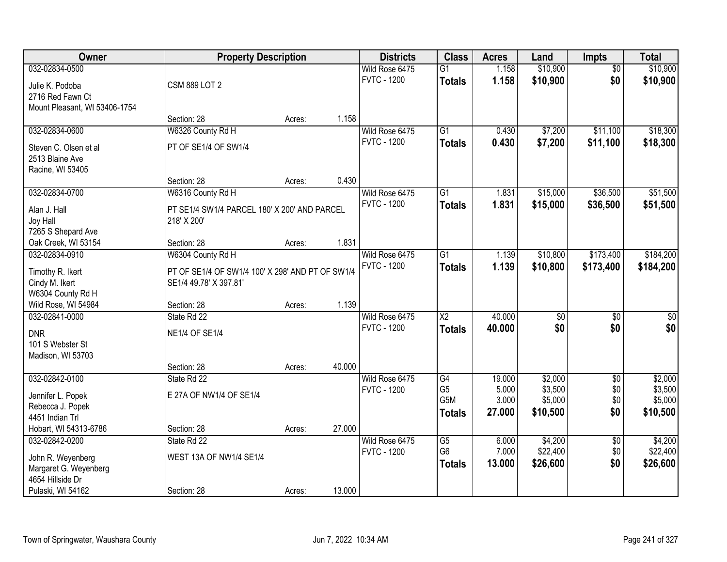| Owner                               | <b>Property Description</b>                      |        |        | <b>Districts</b>   | <b>Class</b>           | <b>Acres</b> | Land            | <b>Impts</b>    | <b>Total</b> |
|-------------------------------------|--------------------------------------------------|--------|--------|--------------------|------------------------|--------------|-----------------|-----------------|--------------|
| 032-02834-0500                      |                                                  |        |        | Wild Rose 6475     | $\overline{G1}$        | 1.158        | \$10,900        | $\overline{50}$ | \$10,900     |
| Julie K. Podoba                     | <b>CSM 889 LOT 2</b>                             |        |        | <b>FVTC - 1200</b> | <b>Totals</b>          | 1.158        | \$10,900        | \$0             | \$10,900     |
| 2716 Red Fawn Ct                    |                                                  |        |        |                    |                        |              |                 |                 |              |
| Mount Pleasant, WI 53406-1754       |                                                  |        |        |                    |                        |              |                 |                 |              |
|                                     | Section: 28                                      | Acres: | 1.158  |                    |                        |              |                 |                 |              |
| 032-02834-0600                      | W6326 County Rd H                                |        |        | Wild Rose 6475     | $\overline{G1}$        | 0.430        | \$7,200         | \$11,100        | \$18,300     |
| Steven C. Olsen et al               | PT OF SE1/4 OF SW1/4                             |        |        | <b>FVTC - 1200</b> | <b>Totals</b>          | 0.430        | \$7,200         | \$11,100        | \$18,300     |
| 2513 Blaine Ave                     |                                                  |        |        |                    |                        |              |                 |                 |              |
| Racine, WI 53405                    |                                                  |        |        |                    |                        |              |                 |                 |              |
|                                     | Section: 28                                      | Acres: | 0.430  |                    |                        |              |                 |                 |              |
| 032-02834-0700                      | W6316 County Rd H                                |        |        | Wild Rose 6475     | G1                     | 1.831        | \$15,000        | \$36,500        | \$51,500     |
| Alan J. Hall                        | PT SE1/4 SW1/4 PARCEL 180' X 200' AND PARCEL     |        |        | <b>FVTC - 1200</b> | <b>Totals</b>          | 1.831        | \$15,000        | \$36,500        | \$51,500     |
| Joy Hall                            | 218' X 200'                                      |        |        |                    |                        |              |                 |                 |              |
| 7265 S Shepard Ave                  |                                                  |        |        |                    |                        |              |                 |                 |              |
| Oak Creek, WI 53154                 | Section: 28                                      | Acres: | 1.831  |                    |                        |              |                 |                 |              |
| 032-02834-0910                      | W6304 County Rd H                                |        |        | Wild Rose 6475     | $\overline{G1}$        | 1.139        | \$10,800        | \$173,400       | \$184,200    |
|                                     | PT OF SE1/4 OF SW1/4 100' X 298' AND PT OF SW1/4 |        |        | <b>FVTC - 1200</b> | <b>Totals</b>          | 1.139        | \$10,800        | \$173,400       | \$184,200    |
| Timothy R. Ikert<br>Cindy M. Ikert  | SE1/4 49.78' X 397.81'                           |        |        |                    |                        |              |                 |                 |              |
| W6304 County Rd H                   |                                                  |        |        |                    |                        |              |                 |                 |              |
| Wild Rose, WI 54984                 | Section: 28                                      | Acres: | 1.139  |                    |                        |              |                 |                 |              |
| 032-02841-0000                      | State Rd 22                                      |        |        | Wild Rose 6475     | $\overline{\text{X2}}$ | 40.000       | $\overline{50}$ | $\overline{50}$ | $\sqrt{50}$  |
|                                     |                                                  |        |        | <b>FVTC - 1200</b> | <b>Totals</b>          | 40.000       | \$0             | \$0             | \$0          |
| <b>DNR</b><br>101 S Webster St      | <b>NE1/4 OF SE1/4</b>                            |        |        |                    |                        |              |                 |                 |              |
| Madison, WI 53703                   |                                                  |        |        |                    |                        |              |                 |                 |              |
|                                     | Section: 28                                      | Acres: | 40.000 |                    |                        |              |                 |                 |              |
| 032-02842-0100                      | State Rd 22                                      |        |        | Wild Rose 6475     | G4                     | 19.000       | \$2,000         | $\overline{50}$ | \$2,000      |
|                                     |                                                  |        |        | <b>FVTC - 1200</b> | G <sub>5</sub>         | 5.000        | \$3,500         | \$0             | \$3,500      |
| Jennifer L. Popek                   | E 27A OF NW1/4 OF SE1/4                          |        |        |                    | G <sub>5</sub> M       | 3.000        | \$5,000         | \$0             | \$5,000      |
| Rebecca J. Popek<br>4451 Indian Trl |                                                  |        |        |                    | <b>Totals</b>          | 27.000       | \$10,500        | \$0             | \$10,500     |
| Hobart, WI 54313-6786               | Section: 28                                      | Acres: | 27.000 |                    |                        |              |                 |                 |              |
| 032-02842-0200                      | State Rd 22                                      |        |        | Wild Rose 6475     | $\overline{G5}$        | 6.000        | \$4,200         | $\overline{50}$ | \$4,200      |
|                                     |                                                  |        |        | <b>FVTC - 1200</b> | G <sub>6</sub>         | 7.000        | \$22,400        | \$0             | \$22,400     |
| John R. Weyenberg                   | WEST 13A OF NW1/4 SE1/4                          |        |        |                    | <b>Totals</b>          | 13.000       | \$26,600        | \$0             | \$26,600     |
| Margaret G. Weyenberg               |                                                  |        |        |                    |                        |              |                 |                 |              |
| 4654 Hillside Dr                    |                                                  |        | 13.000 |                    |                        |              |                 |                 |              |
| Pulaski, WI 54162                   | Section: 28                                      | Acres: |        |                    |                        |              |                 |                 |              |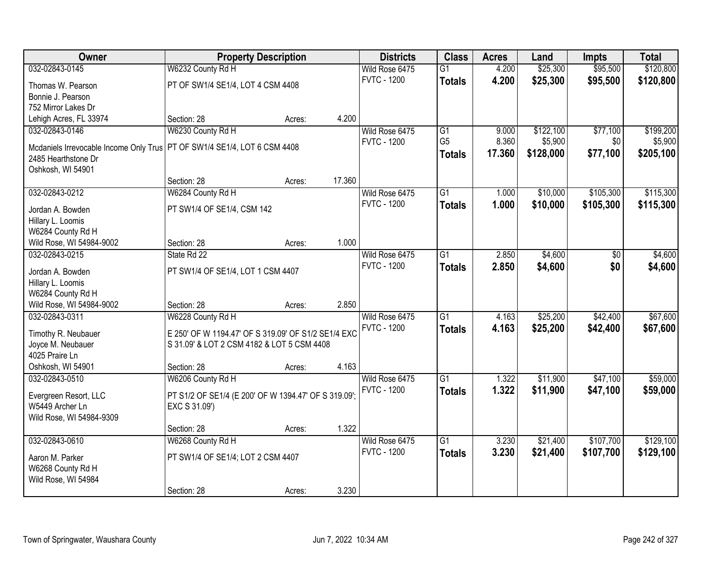| Owner                                  | <b>Property Description</b>                          |        |        | <b>Districts</b>   | <b>Class</b>    | <b>Acres</b> | Land      | <b>Impts</b> | <b>Total</b> |
|----------------------------------------|------------------------------------------------------|--------|--------|--------------------|-----------------|--------------|-----------|--------------|--------------|
| 032-02843-0145                         | W6232 County Rd H                                    |        |        | Wild Rose 6475     | $\overline{G1}$ | 4.200        | \$25,300  | \$95,500     | \$120,800    |
| Thomas W. Pearson                      | PT OF SW1/4 SE1/4, LOT 4 CSM 4408                    |        |        | <b>FVTC - 1200</b> | <b>Totals</b>   | 4.200        | \$25,300  | \$95,500     | \$120,800    |
| Bonnie J. Pearson                      |                                                      |        |        |                    |                 |              |           |              |              |
| 752 Mirror Lakes Dr                    |                                                      |        |        |                    |                 |              |           |              |              |
| Lehigh Acres, FL 33974                 | Section: 28                                          | Acres: | 4.200  |                    |                 |              |           |              |              |
| 032-02843-0146                         | W6230 County Rd H                                    |        |        | Wild Rose 6475     | $\overline{G1}$ | 9.000        | \$122,100 | \$77,100     | \$199,200    |
|                                        |                                                      |        |        | <b>FVTC - 1200</b> | G <sub>5</sub>  | 8.360        | \$5,900   | \$0          | \$5,900      |
| Mcdaniels Irrevocable Income Only Trus | PT OF SW1/4 SE1/4, LOT 6 CSM 4408                    |        |        |                    | <b>Totals</b>   | 17.360       | \$128,000 | \$77,100     | \$205,100    |
| 2485 Hearthstone Dr                    |                                                      |        |        |                    |                 |              |           |              |              |
| Oshkosh, WI 54901                      |                                                      |        |        |                    |                 |              |           |              |              |
|                                        | Section: 28                                          | Acres: | 17.360 |                    |                 |              |           |              |              |
| 032-02843-0212                         | W6284 County Rd H                                    |        |        | Wild Rose 6475     | G1              | 1.000        | \$10,000  | \$105,300    | \$115,300    |
| Jordan A. Bowden                       | PT SW1/4 OF SE1/4, CSM 142                           |        |        | <b>FVTC - 1200</b> | <b>Totals</b>   | 1.000        | \$10,000  | \$105,300    | \$115,300    |
| Hillary L. Loomis                      |                                                      |        |        |                    |                 |              |           |              |              |
| W6284 County Rd H                      |                                                      |        |        |                    |                 |              |           |              |              |
| Wild Rose, WI 54984-9002               | Section: 28                                          | Acres: | 1.000  |                    |                 |              |           |              |              |
| 032-02843-0215                         | State Rd 22                                          |        |        | Wild Rose 6475     | G1              | 2.850        | \$4,600   | \$0          | \$4,600      |
|                                        |                                                      |        |        | <b>FVTC - 1200</b> | <b>Totals</b>   | 2.850        | \$4,600   | \$0          | \$4,600      |
| Jordan A. Bowden<br>Hillary L. Loomis  | PT SW1/4 OF SE1/4, LOT 1 CSM 4407                    |        |        |                    |                 |              |           |              |              |
| W6284 County Rd H                      |                                                      |        |        |                    |                 |              |           |              |              |
| Wild Rose, WI 54984-9002               | Section: 28                                          | Acres: | 2.850  |                    |                 |              |           |              |              |
| 032-02843-0311                         | W6228 County Rd H                                    |        |        | Wild Rose 6475     | $\overline{G1}$ | 4.163        | \$25,200  | \$42,400     | \$67,600     |
|                                        |                                                      |        |        | <b>FVTC - 1200</b> |                 | 4.163        |           |              |              |
| Timothy R. Neubauer                    | E 250' OF W 1194.47' OF S 319.09' OF S1/2 SE1/4 EXC  |        |        |                    | <b>Totals</b>   |              | \$25,200  | \$42,400     | \$67,600     |
| Joyce M. Neubauer                      | S 31.09' & LOT 2 CSM 4182 & LOT 5 CSM 4408           |        |        |                    |                 |              |           |              |              |
| 4025 Praire Ln                         |                                                      |        |        |                    |                 |              |           |              |              |
| Oshkosh, WI 54901                      | Section: 28                                          | Acres: | 4.163  |                    |                 |              |           |              |              |
| 032-02843-0510                         | W6206 County Rd H                                    |        |        | Wild Rose 6475     | $\overline{G1}$ | 1.322        | \$11,900  | \$47,100     | \$59,000     |
| Evergreen Resort, LLC                  | PT S1/2 OF SE1/4 (E 200' OF W 1394.47' OF S 319.09'; |        |        | <b>FVTC - 1200</b> | <b>Totals</b>   | 1.322        | \$11,900  | \$47,100     | \$59,000     |
| W5449 Archer Ln                        | EXC S 31.09')                                        |        |        |                    |                 |              |           |              |              |
| Wild Rose, WI 54984-9309               |                                                      |        |        |                    |                 |              |           |              |              |
|                                        | Section: 28                                          | Acres: | 1.322  |                    |                 |              |           |              |              |
| 032-02843-0610                         | W6268 County Rd H                                    |        |        | Wild Rose 6475     | $\overline{G1}$ | 3.230        | \$21,400  | \$107,700    | \$129,100    |
|                                        |                                                      |        |        | <b>FVTC - 1200</b> | <b>Totals</b>   | 3.230        | \$21,400  | \$107,700    | \$129,100    |
| Aaron M. Parker                        | PT SW1/4 OF SE1/4; LOT 2 CSM 4407                    |        |        |                    |                 |              |           |              |              |
| W6268 County Rd H                      |                                                      |        |        |                    |                 |              |           |              |              |
| Wild Rose, WI 54984                    |                                                      |        |        |                    |                 |              |           |              |              |
|                                        | Section: 28                                          | Acres: | 3.230  |                    |                 |              |           |              |              |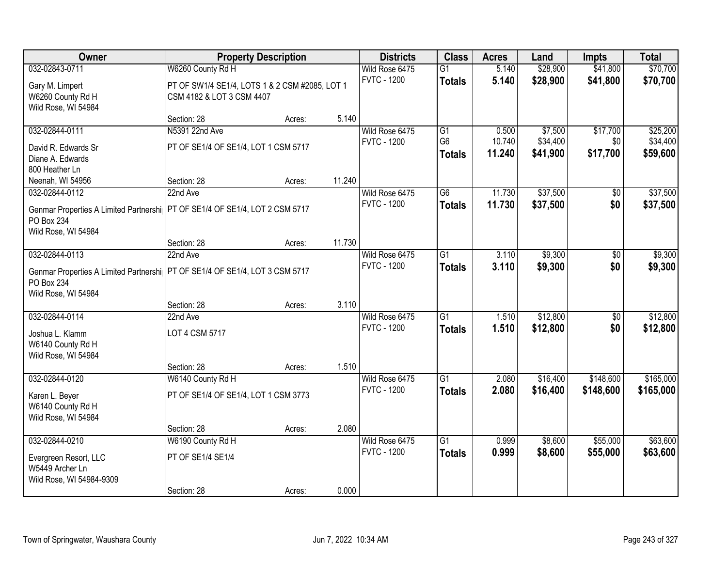| Owner                                                                         |                                                | <b>Property Description</b> |        | <b>Districts</b>   | <b>Class</b>    | <b>Acres</b> | Land     | <b>Impts</b> | <b>Total</b> |
|-------------------------------------------------------------------------------|------------------------------------------------|-----------------------------|--------|--------------------|-----------------|--------------|----------|--------------|--------------|
| 032-02843-0711                                                                | W6260 County Rd H                              |                             |        | Wild Rose 6475     | $\overline{G1}$ | 5.140        | \$28,900 | \$41,800     | \$70,700     |
| Gary M. Limpert                                                               | PT OF SW1/4 SE1/4, LOTS 1 & 2 CSM #2085, LOT 1 |                             |        | <b>FVTC - 1200</b> | <b>Totals</b>   | 5.140        | \$28,900 | \$41,800     | \$70,700     |
| W6260 County Rd H                                                             | CSM 4182 & LOT 3 CSM 4407                      |                             |        |                    |                 |              |          |              |              |
| Wild Rose, WI 54984                                                           |                                                |                             |        |                    |                 |              |          |              |              |
|                                                                               | Section: 28                                    | Acres:                      | 5.140  |                    |                 |              |          |              |              |
| 032-02844-0111                                                                | N5391 22nd Ave                                 |                             |        | Wild Rose 6475     | G1              | 0.500        | \$7,500  | \$17,700     | \$25,200     |
| David R. Edwards Sr                                                           | PT OF SE1/4 OF SE1/4, LOT 1 CSM 5717           |                             |        | <b>FVTC - 1200</b> | G <sub>6</sub>  | 10.740       | \$34,400 | \$0          | \$34,400     |
| Diane A. Edwards                                                              |                                                |                             |        |                    | <b>Totals</b>   | 11.240       | \$41,900 | \$17,700     | \$59,600     |
| 800 Heather Ln                                                                |                                                |                             |        |                    |                 |              |          |              |              |
| Neenah, WI 54956                                                              | Section: 28                                    | Acres:                      | 11.240 |                    |                 |              |          |              |              |
| 032-02844-0112                                                                | 22nd Ave                                       |                             |        | Wild Rose 6475     | $\overline{G6}$ | 11.730       | \$37,500 | \$0          | \$37,500     |
| Genmar Properties A Limited Partnershi   PT OF SE1/4 OF SE1/4, LOT 2 CSM 5717 |                                                |                             |        | <b>FVTC - 1200</b> | <b>Totals</b>   | 11.730       | \$37,500 | \$0          | \$37,500     |
| PO Box 234                                                                    |                                                |                             |        |                    |                 |              |          |              |              |
| Wild Rose, WI 54984                                                           |                                                |                             |        |                    |                 |              |          |              |              |
|                                                                               | Section: 28                                    | Acres:                      | 11.730 |                    |                 |              |          |              |              |
| 032-02844-0113                                                                | 22nd Ave                                       |                             |        | Wild Rose 6475     | $\overline{G1}$ | 3.110        | \$9,300  | \$0          | \$9,300      |
| Genmar Properties A Limited Partnershi   PT OF SE1/4 OF SE1/4, LOT 3 CSM 5717 |                                                |                             |        | <b>FVTC - 1200</b> | <b>Totals</b>   | 3.110        | \$9,300  | \$0          | \$9,300      |
| PO Box 234                                                                    |                                                |                             |        |                    |                 |              |          |              |              |
| Wild Rose, WI 54984                                                           |                                                |                             |        |                    |                 |              |          |              |              |
|                                                                               | Section: 28                                    | Acres:                      | 3.110  |                    |                 |              |          |              |              |
| 032-02844-0114                                                                | 22nd Ave                                       |                             |        | Wild Rose 6475     | $\overline{G1}$ | 1.510        | \$12,800 | \$0          | \$12,800     |
| Joshua L. Klamm                                                               | LOT 4 CSM 5717                                 |                             |        | <b>FVTC - 1200</b> | <b>Totals</b>   | 1.510        | \$12,800 | \$0          | \$12,800     |
| W6140 County Rd H                                                             |                                                |                             |        |                    |                 |              |          |              |              |
| Wild Rose, WI 54984                                                           |                                                |                             |        |                    |                 |              |          |              |              |
|                                                                               | Section: 28                                    | Acres:                      | 1.510  |                    |                 |              |          |              |              |
| 032-02844-0120                                                                | W6140 County Rd H                              |                             |        | Wild Rose 6475     | $\overline{G1}$ | 2.080        | \$16,400 | \$148,600    | \$165,000    |
| Karen L. Beyer                                                                | PT OF SE1/4 OF SE1/4, LOT 1 CSM 3773           |                             |        | <b>FVTC - 1200</b> | <b>Totals</b>   | 2.080        | \$16,400 | \$148,600    | \$165,000    |
| W6140 County Rd H                                                             |                                                |                             |        |                    |                 |              |          |              |              |
| Wild Rose, WI 54984                                                           |                                                |                             |        |                    |                 |              |          |              |              |
|                                                                               | Section: 28                                    | Acres:                      | 2.080  |                    |                 |              |          |              |              |
| 032-02844-0210                                                                | W6190 County Rd H                              |                             |        | Wild Rose 6475     | $\overline{G1}$ | 0.999        | \$8,600  | \$55,000     | \$63,600     |
| Evergreen Resort, LLC                                                         | PT OF SE1/4 SE1/4                              |                             |        | <b>FVTC - 1200</b> | <b>Totals</b>   | 0.999        | \$8,600  | \$55,000     | \$63,600     |
| W5449 Archer Ln                                                               |                                                |                             |        |                    |                 |              |          |              |              |
| Wild Rose, WI 54984-9309                                                      |                                                |                             |        |                    |                 |              |          |              |              |
|                                                                               | Section: 28                                    | Acres:                      | 0.000  |                    |                 |              |          |              |              |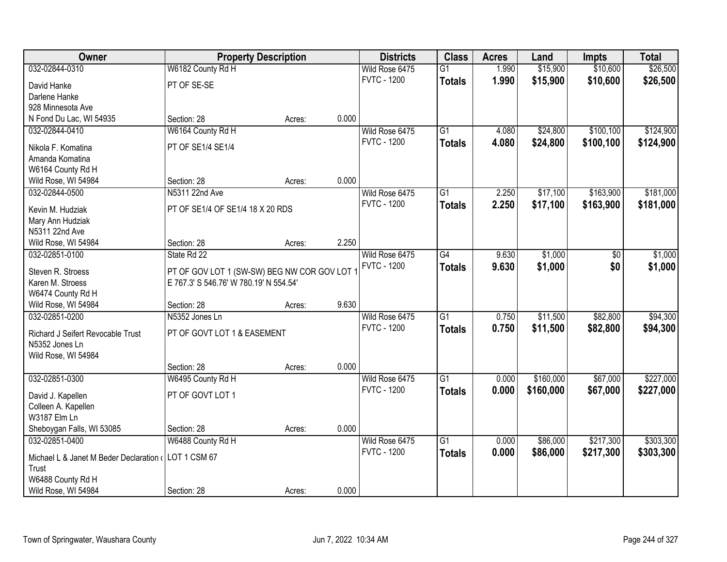| Owner                                                |                                              | <b>Property Description</b> |       | <b>Districts</b>   | <b>Class</b>    | <b>Acres</b> | Land      | <b>Impts</b> | <b>Total</b> |
|------------------------------------------------------|----------------------------------------------|-----------------------------|-------|--------------------|-----------------|--------------|-----------|--------------|--------------|
| 032-02844-0310                                       | W6182 County Rd H                            |                             |       | Wild Rose 6475     | $\overline{G1}$ | 1.990        | \$15,900  | \$10,600     | \$26,500     |
| David Hanke                                          | PT OF SE-SE                                  |                             |       | <b>FVTC - 1200</b> | <b>Totals</b>   | 1.990        | \$15,900  | \$10,600     | \$26,500     |
| Darlene Hanke                                        |                                              |                             |       |                    |                 |              |           |              |              |
| 928 Minnesota Ave                                    |                                              |                             |       |                    |                 |              |           |              |              |
| N Fond Du Lac, WI 54935                              | Section: 28                                  | Acres:                      | 0.000 |                    |                 |              |           |              |              |
| 032-02844-0410                                       | W6164 County Rd H                            |                             |       | Wild Rose 6475     | $\overline{G1}$ | 4.080        | \$24,800  | \$100,100    | \$124,900    |
|                                                      |                                              |                             |       | <b>FVTC - 1200</b> | <b>Totals</b>   | 4.080        | \$24,800  | \$100,100    | \$124,900    |
| Nikola F. Komatina                                   | PT OF SE1/4 SE1/4                            |                             |       |                    |                 |              |           |              |              |
| Amanda Komatina                                      |                                              |                             |       |                    |                 |              |           |              |              |
| W6164 County Rd H                                    |                                              |                             |       |                    |                 |              |           |              |              |
| Wild Rose, WI 54984                                  | Section: 28                                  | Acres:                      | 0.000 |                    |                 |              |           |              |              |
| 032-02844-0500                                       | N5311 22nd Ave                               |                             |       | Wild Rose 6475     | G1              | 2.250        | \$17,100  | \$163,900    | \$181,000    |
| Kevin M. Hudziak                                     | PT OF SE1/4 OF SE1/4 18 X 20 RDS             |                             |       | <b>FVTC - 1200</b> | <b>Totals</b>   | 2.250        | \$17,100  | \$163,900    | \$181,000    |
| Mary Ann Hudziak                                     |                                              |                             |       |                    |                 |              |           |              |              |
| N5311 22nd Ave                                       |                                              |                             |       |                    |                 |              |           |              |              |
| Wild Rose, WI 54984                                  | Section: 28                                  | Acres:                      | 2.250 |                    |                 |              |           |              |              |
| 032-02851-0100                                       | State Rd 22                                  |                             |       | Wild Rose 6475     | G4              | 9.630        | \$1,000   | $\sqrt[6]{}$ | \$1,000      |
| Steven R. Stroess                                    | PT OF GOV LOT 1 (SW-SW) BEG NW COR GOV LOT 1 |                             |       | <b>FVTC - 1200</b> | <b>Totals</b>   | 9.630        | \$1,000   | \$0          | \$1,000      |
| Karen M. Stroess                                     | E 767.3' S 546.76' W 780.19' N 554.54'       |                             |       |                    |                 |              |           |              |              |
| W6474 County Rd H                                    |                                              |                             |       |                    |                 |              |           |              |              |
| Wild Rose, WI 54984                                  | Section: 28                                  | Acres:                      | 9.630 |                    |                 |              |           |              |              |
| 032-02851-0200                                       | N5352 Jones Ln                               |                             |       | Wild Rose 6475     | $\overline{G1}$ | 0.750        | \$11,500  | \$82,800     | \$94,300     |
|                                                      |                                              |                             |       | <b>FVTC - 1200</b> | <b>Totals</b>   | 0.750        | \$11,500  | \$82,800     | \$94,300     |
| Richard J Seifert Revocable Trust                    | PT OF GOVT LOT 1 & EASEMENT                  |                             |       |                    |                 |              |           |              |              |
| N5352 Jones Ln                                       |                                              |                             |       |                    |                 |              |           |              |              |
| Wild Rose, WI 54984                                  |                                              |                             |       |                    |                 |              |           |              |              |
|                                                      | Section: 28                                  | Acres:                      | 0.000 |                    |                 |              |           |              |              |
| 032-02851-0300                                       | W6495 County Rd H                            |                             |       | Wild Rose 6475     | $\overline{G1}$ | 0.000        | \$160,000 | \$67,000     | \$227,000    |
| David J. Kapellen                                    | PT OF GOVT LOT 1                             |                             |       | <b>FVTC - 1200</b> | <b>Totals</b>   | 0.000        | \$160,000 | \$67,000     | \$227,000    |
| Colleen A. Kapellen                                  |                                              |                             |       |                    |                 |              |           |              |              |
| W3187 Elm Ln                                         |                                              |                             |       |                    |                 |              |           |              |              |
| Sheboygan Falls, WI 53085                            | Section: 28                                  | Acres:                      | 0.000 |                    |                 |              |           |              |              |
| 032-02851-0400                                       | W6488 County Rd H                            |                             |       | Wild Rose 6475     | $\overline{G1}$ | 0.000        | \$86,000  | \$217,300    | \$303,300    |
|                                                      |                                              |                             |       | <b>FVTC - 1200</b> | <b>Totals</b>   | 0.000        | \$86,000  | \$217,300    | \$303,300    |
| Michael L & Janet M Beder Declaration ( LOT 1 CSM 67 |                                              |                             |       |                    |                 |              |           |              |              |
| Trust                                                |                                              |                             |       |                    |                 |              |           |              |              |
| W6488 County Rd H<br>Wild Rose, WI 54984             | Section: 28                                  |                             | 0.000 |                    |                 |              |           |              |              |
|                                                      |                                              | Acres:                      |       |                    |                 |              |           |              |              |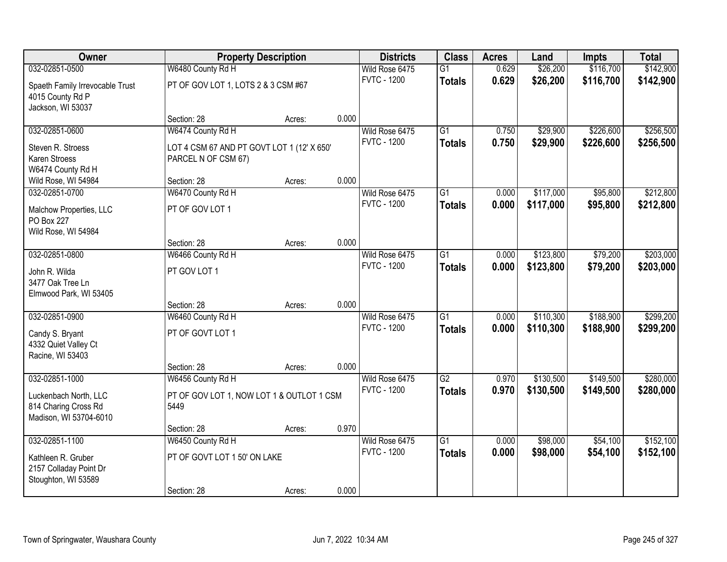| Owner                                         |                                                   | <b>Property Description</b> |       | <b>Districts</b>                     | <b>Class</b>    | <b>Acres</b> | Land      | <b>Impts</b> | <b>Total</b> |
|-----------------------------------------------|---------------------------------------------------|-----------------------------|-------|--------------------------------------|-----------------|--------------|-----------|--------------|--------------|
| 032-02851-0500                                | W6480 County Rd H                                 |                             |       | Wild Rose 6475                       | $\overline{G1}$ | 0.629        | \$26,200  | \$116,700    | \$142,900    |
| Spaeth Family Irrevocable Trust               | PT OF GOV LOT 1, LOTS 2 & 3 CSM #67               |                             |       | <b>FVTC - 1200</b>                   | <b>Totals</b>   | 0.629        | \$26,200  | \$116,700    | \$142,900    |
| 4015 County Rd P                              |                                                   |                             |       |                                      |                 |              |           |              |              |
| Jackson, WI 53037                             |                                                   |                             |       |                                      |                 |              |           |              |              |
|                                               | Section: 28                                       | Acres:                      | 0.000 |                                      |                 |              |           |              |              |
| 032-02851-0600                                | W6474 County Rd H                                 |                             |       | Wild Rose 6475                       | $\overline{G1}$ | 0.750        | \$29,900  | \$226,600    | \$256,500    |
| Steven R. Stroess                             | LOT 4 CSM 67 AND PT GOVT LOT 1 (12' X 650'        |                             |       | <b>FVTC - 1200</b>                   | <b>Totals</b>   | 0.750        | \$29,900  | \$226,600    | \$256,500    |
| Karen Stroess                                 | PARCEL N OF CSM 67)                               |                             |       |                                      |                 |              |           |              |              |
| W6474 County Rd H                             |                                                   |                             |       |                                      |                 |              |           |              |              |
| Wild Rose, WI 54984                           | Section: 28                                       | Acres:                      | 0.000 |                                      |                 |              |           |              |              |
| 032-02851-0700                                | W6470 County Rd H                                 |                             |       | Wild Rose 6475<br><b>FVTC - 1200</b> | G1              | 0.000        | \$117,000 | \$95,800     | \$212,800    |
| Malchow Properties, LLC                       | PT OF GOV LOT 1                                   |                             |       |                                      | <b>Totals</b>   | 0.000        | \$117,000 | \$95,800     | \$212,800    |
| PO Box 227                                    |                                                   |                             |       |                                      |                 |              |           |              |              |
| Wild Rose, WI 54984                           |                                                   |                             |       |                                      |                 |              |           |              |              |
| 032-02851-0800                                | Section: 28<br>W6466 County Rd H                  | Acres:                      | 0.000 | Wild Rose 6475                       | G1              | 0.000        | \$123,800 | \$79,200     | \$203,000    |
|                                               |                                                   |                             |       | <b>FVTC - 1200</b>                   | <b>Totals</b>   | 0.000        | \$123,800 | \$79,200     | \$203,000    |
| John R. Wilda                                 | PT GOV LOT 1                                      |                             |       |                                      |                 |              |           |              |              |
| 3477 Oak Tree Ln                              |                                                   |                             |       |                                      |                 |              |           |              |              |
| Elmwood Park, WI 53405                        | Section: 28                                       |                             | 0.000 |                                      |                 |              |           |              |              |
| 032-02851-0900                                | W6460 County Rd H                                 | Acres:                      |       | Wild Rose 6475                       | $\overline{G1}$ | 0.000        | \$110,300 | \$188,900    | \$299,200    |
|                                               |                                                   |                             |       | <b>FVTC - 1200</b>                   | <b>Totals</b>   | 0.000        | \$110,300 | \$188,900    | \$299,200    |
| Candy S. Bryant                               | PT OF GOVT LOT 1                                  |                             |       |                                      |                 |              |           |              |              |
| 4332 Quiet Valley Ct<br>Racine, WI 53403      |                                                   |                             |       |                                      |                 |              |           |              |              |
|                                               | Section: 28                                       | Acres:                      | 0.000 |                                      |                 |              |           |              |              |
| 032-02851-1000                                | W6456 County Rd H                                 |                             |       | Wild Rose 6475                       | $\overline{G2}$ | 0.970        | \$130,500 | \$149,500    | \$280,000    |
|                                               |                                                   |                             |       | <b>FVTC - 1200</b>                   | <b>Totals</b>   | 0.970        | \$130,500 | \$149,500    | \$280,000    |
| Luckenbach North, LLC<br>814 Charing Cross Rd | PT OF GOV LOT 1, NOW LOT 1 & OUTLOT 1 CSM<br>5449 |                             |       |                                      |                 |              |           |              |              |
| Madison, WI 53704-6010                        |                                                   |                             |       |                                      |                 |              |           |              |              |
|                                               | Section: 28                                       | Acres:                      | 0.970 |                                      |                 |              |           |              |              |
| 032-02851-1100                                | W6450 County Rd H                                 |                             |       | Wild Rose 6475                       | $\overline{G1}$ | 0.000        | \$98,000  | \$54,100     | \$152,100    |
| Kathleen R. Gruber                            | PT OF GOVT LOT 1 50' ON LAKE                      |                             |       | <b>FVTC - 1200</b>                   | <b>Totals</b>   | 0.000        | \$98,000  | \$54,100     | \$152,100    |
| 2157 Colladay Point Dr                        |                                                   |                             |       |                                      |                 |              |           |              |              |
| Stoughton, WI 53589                           |                                                   |                             |       |                                      |                 |              |           |              |              |
|                                               | Section: 28                                       | Acres:                      | 0.000 |                                      |                 |              |           |              |              |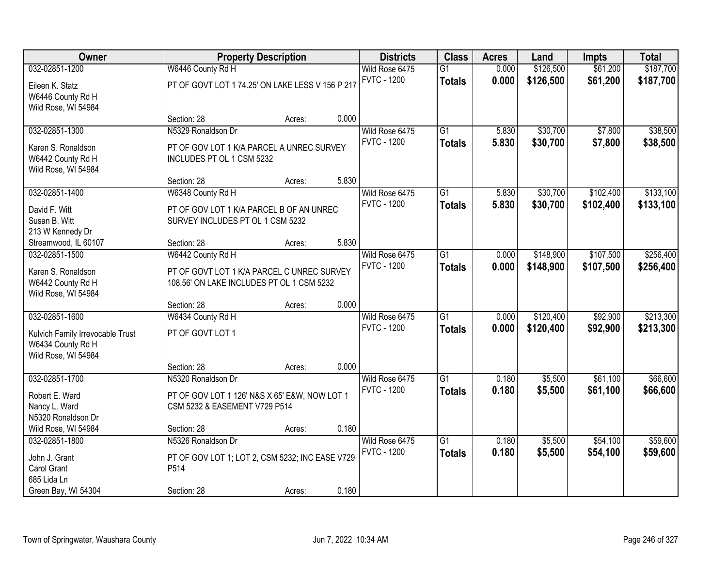| Owner                            |                                                  | <b>Property Description</b> |       | <b>Districts</b>   | <b>Class</b>    | <b>Acres</b> | Land      | <b>Impts</b> | <b>Total</b> |
|----------------------------------|--------------------------------------------------|-----------------------------|-------|--------------------|-----------------|--------------|-----------|--------------|--------------|
| 032-02851-1200                   | W6446 County Rd H                                |                             |       | Wild Rose 6475     | $\overline{G1}$ | 0.000        | \$126,500 | \$61,200     | \$187,700    |
| Eileen K. Statz                  | PT OF GOVT LOT 1 74.25' ON LAKE LESS V 156 P 217 |                             |       | <b>FVTC - 1200</b> | <b>Totals</b>   | 0.000        | \$126,500 | \$61,200     | \$187,700    |
| W6446 County Rd H                |                                                  |                             |       |                    |                 |              |           |              |              |
| Wild Rose, WI 54984              |                                                  |                             |       |                    |                 |              |           |              |              |
|                                  | Section: 28                                      | Acres:                      | 0.000 |                    |                 |              |           |              |              |
| 032-02851-1300                   | N5329 Ronaldson Dr                               |                             |       | Wild Rose 6475     | $\overline{G1}$ | 5.830        | \$30,700  | \$7,800      | \$38,500     |
| Karen S. Ronaldson               | PT OF GOV LOT 1 K/A PARCEL A UNREC SURVEY        |                             |       | <b>FVTC - 1200</b> | <b>Totals</b>   | 5.830        | \$30,700  | \$7,800      | \$38,500     |
| W6442 County Rd H                | INCLUDES PT OL 1 CSM 5232                        |                             |       |                    |                 |              |           |              |              |
| Wild Rose, WI 54984              |                                                  |                             |       |                    |                 |              |           |              |              |
|                                  | Section: 28                                      | Acres:                      | 5.830 |                    |                 |              |           |              |              |
| 032-02851-1400                   | W6348 County Rd H                                |                             |       | Wild Rose 6475     | G1              | 5.830        | \$30,700  | \$102,400    | \$133,100    |
| David F. Witt                    | PT OF GOV LOT 1 K/A PARCEL B OF AN UNREC         |                             |       | <b>FVTC - 1200</b> | <b>Totals</b>   | 5.830        | \$30,700  | \$102,400    | \$133,100    |
| Susan B. Witt                    | SURVEY INCLUDES PT OL 1 CSM 5232                 |                             |       |                    |                 |              |           |              |              |
| 213 W Kennedy Dr                 |                                                  |                             |       |                    |                 |              |           |              |              |
| Streamwood, IL 60107             | Section: 28                                      | Acres:                      | 5.830 |                    |                 |              |           |              |              |
| 032-02851-1500                   | W6442 County Rd H                                |                             |       | Wild Rose 6475     | $\overline{G1}$ | 0.000        | \$148,900 | \$107,500    | \$256,400    |
| Karen S. Ronaldson               | PT OF GOVT LOT 1 K/A PARCEL C UNREC SURVEY       |                             |       | <b>FVTC - 1200</b> | <b>Totals</b>   | 0.000        | \$148,900 | \$107,500    | \$256,400    |
| W6442 County Rd H                | 108.56' ON LAKE INCLUDES PT OL 1 CSM 5232        |                             |       |                    |                 |              |           |              |              |
| Wild Rose, WI 54984              |                                                  |                             |       |                    |                 |              |           |              |              |
|                                  | Section: 28                                      | Acres:                      | 0.000 |                    |                 |              |           |              |              |
| 032-02851-1600                   | W6434 County Rd H                                |                             |       | Wild Rose 6475     | $\overline{G1}$ | 0.000        | \$120,400 | \$92,900     | \$213,300    |
| Kulvich Family Irrevocable Trust | PT OF GOVT LOT 1                                 |                             |       | <b>FVTC - 1200</b> | <b>Totals</b>   | 0.000        | \$120,400 | \$92,900     | \$213,300    |
| W6434 County Rd H                |                                                  |                             |       |                    |                 |              |           |              |              |
| Wild Rose, WI 54984              |                                                  |                             |       |                    |                 |              |           |              |              |
|                                  | Section: 28                                      | Acres:                      | 0.000 |                    |                 |              |           |              |              |
| 032-02851-1700                   | N5320 Ronaldson Dr                               |                             |       | Wild Rose 6475     | $\overline{G1}$ | 0.180        | \$5,500   | \$61,100     | \$66,600     |
| Robert E. Ward                   | PT OF GOV LOT 1 126' N&S X 65' E&W, NOW LOT 1    |                             |       | <b>FVTC - 1200</b> | <b>Totals</b>   | 0.180        | \$5,500   | \$61,100     | \$66,600     |
| Nancy L. Ward                    | CSM 5232 & EASEMENT V729 P514                    |                             |       |                    |                 |              |           |              |              |
| N5320 Ronaldson Dr               |                                                  |                             |       |                    |                 |              |           |              |              |
| Wild Rose, WI 54984              | Section: 28                                      | Acres:                      | 0.180 |                    |                 |              |           |              |              |
| 032-02851-1800                   | N5326 Ronaldson Dr                               |                             |       | Wild Rose 6475     | $\overline{G1}$ | 0.180        | \$5,500   | \$54,100     | \$59,600     |
| John J. Grant                    | PT OF GOV LOT 1; LOT 2, CSM 5232; INC EASE V729  |                             |       | <b>FVTC - 1200</b> | <b>Totals</b>   | 0.180        | \$5,500   | \$54,100     | \$59,600     |
| Carol Grant                      | P514                                             |                             |       |                    |                 |              |           |              |              |
| 685 Lida Ln                      |                                                  |                             |       |                    |                 |              |           |              |              |
| Green Bay, WI 54304              | Section: 28                                      | Acres:                      | 0.180 |                    |                 |              |           |              |              |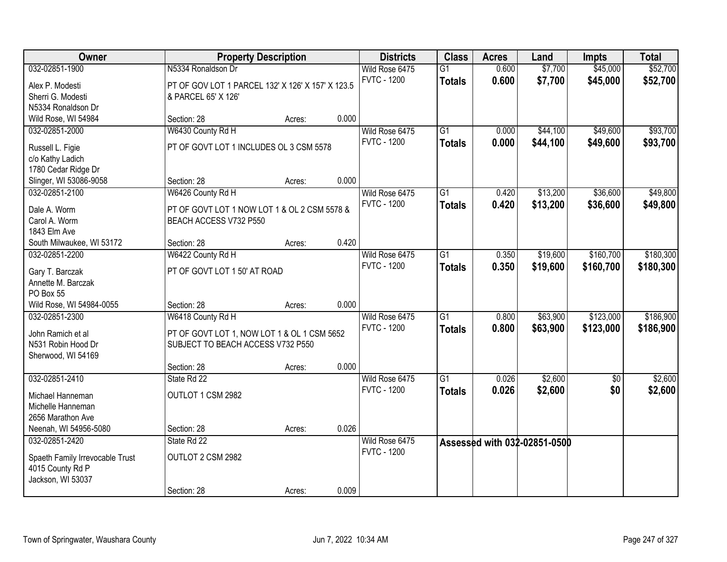| Owner                                 |                                                                        | <b>Property Description</b> |       | <b>Districts</b>   | <b>Class</b>    | <b>Acres</b> | Land                         | <b>Impts</b> | <b>Total</b> |
|---------------------------------------|------------------------------------------------------------------------|-----------------------------|-------|--------------------|-----------------|--------------|------------------------------|--------------|--------------|
| 032-02851-1900                        | N5334 Ronaldson Dr                                                     |                             |       | Wild Rose 6475     | $\overline{G1}$ | 0.600        | \$7,700                      | \$45,000     | \$52,700     |
| Alex P. Modesti                       | PT OF GOV LOT 1 PARCEL 132' X 126' X 157' X 123.5                      |                             |       | <b>FVTC - 1200</b> | <b>Totals</b>   | 0.600        | \$7,700                      | \$45,000     | \$52,700     |
| Sherri G. Modesti                     | & PARCEL 65' X 126'                                                    |                             |       |                    |                 |              |                              |              |              |
| N5334 Ronaldson Dr                    |                                                                        |                             |       |                    |                 |              |                              |              |              |
| Wild Rose, WI 54984                   | Section: 28                                                            | Acres:                      | 0.000 |                    |                 |              |                              |              |              |
| 032-02851-2000                        | W6430 County Rd H                                                      |                             |       | Wild Rose 6475     | $\overline{G1}$ | 0.000        | \$44,100                     | \$49,600     | \$93,700     |
| Russell L. Figie                      | PT OF GOVT LOT 1 INCLUDES OL 3 CSM 5578                                |                             |       | <b>FVTC - 1200</b> | <b>Totals</b>   | 0.000        | \$44,100                     | \$49,600     | \$93,700     |
| c/o Kathy Ladich                      |                                                                        |                             |       |                    |                 |              |                              |              |              |
| 1780 Cedar Ridge Dr                   |                                                                        |                             |       |                    |                 |              |                              |              |              |
| Slinger, WI 53086-9058                | Section: 28                                                            | Acres:                      | 0.000 |                    |                 |              |                              |              |              |
| 032-02851-2100                        | W6426 County Rd H                                                      |                             |       | Wild Rose 6475     | $\overline{G1}$ | 0.420        | \$13,200                     | \$36,600     | \$49,800     |
|                                       |                                                                        |                             |       | <b>FVTC - 1200</b> | <b>Totals</b>   | 0.420        | \$13,200                     | \$36,600     | \$49,800     |
| Dale A. Worm<br>Carol A. Worm         | PT OF GOVT LOT 1 NOW LOT 1 & OL 2 CSM 5578 &<br>BEACH ACCESS V732 P550 |                             |       |                    |                 |              |                              |              |              |
| 1843 Elm Ave                          |                                                                        |                             |       |                    |                 |              |                              |              |              |
| South Milwaukee, WI 53172             | Section: 28                                                            | Acres:                      | 0.420 |                    |                 |              |                              |              |              |
| 032-02851-2200                        | W6422 County Rd H                                                      |                             |       | Wild Rose 6475     | $\overline{G1}$ | 0.350        | \$19,600                     | \$160,700    | \$180,300    |
|                                       |                                                                        |                             |       | <b>FVTC - 1200</b> | <b>Totals</b>   | 0.350        | \$19,600                     | \$160,700    | \$180,300    |
| Gary T. Barczak                       | PT OF GOVT LOT 1 50' AT ROAD                                           |                             |       |                    |                 |              |                              |              |              |
| Annette M. Barczak                    |                                                                        |                             |       |                    |                 |              |                              |              |              |
| PO Box 55<br>Wild Rose, WI 54984-0055 | Section: 28                                                            |                             | 0.000 |                    |                 |              |                              |              |              |
| 032-02851-2300                        | W6418 County Rd H                                                      | Acres:                      |       | Wild Rose 6475     | $\overline{G1}$ | 0.800        | \$63,900                     | \$123,000    | \$186,900    |
|                                       |                                                                        |                             |       | <b>FVTC - 1200</b> | <b>Totals</b>   | 0.800        | \$63,900                     | \$123,000    | \$186,900    |
| John Ramich et al                     | PT OF GOVT LOT 1, NOW LOT 1 & OL 1 CSM 5652                            |                             |       |                    |                 |              |                              |              |              |
| N531 Robin Hood Dr                    | SUBJECT TO BEACH ACCESS V732 P550                                      |                             |       |                    |                 |              |                              |              |              |
| Sherwood, WI 54169                    |                                                                        |                             |       |                    |                 |              |                              |              |              |
|                                       | Section: 28                                                            | Acres:                      | 0.000 |                    |                 |              |                              |              |              |
| 032-02851-2410                        | State Rd 22                                                            |                             |       | Wild Rose 6475     | $\overline{G1}$ | 0.026        | \$2,600                      | $\sqrt{6}$   | \$2,600      |
| Michael Hanneman                      | OUTLOT 1 CSM 2982                                                      |                             |       | <b>FVTC - 1200</b> | <b>Totals</b>   | 0.026        | \$2,600                      | \$0          | \$2,600      |
| Michelle Hanneman                     |                                                                        |                             |       |                    |                 |              |                              |              |              |
| 2656 Marathon Ave                     |                                                                        |                             |       |                    |                 |              |                              |              |              |
| Neenah, WI 54956-5080                 | Section: 28                                                            | Acres:                      | 0.026 |                    |                 |              |                              |              |              |
| 032-02851-2420                        | State Rd 22                                                            |                             |       | Wild Rose 6475     |                 |              | Assessed with 032-02851-0500 |              |              |
| Spaeth Family Irrevocable Trust       | OUTLOT 2 CSM 2982                                                      |                             |       | <b>FVTC - 1200</b> |                 |              |                              |              |              |
| 4015 County Rd P                      |                                                                        |                             |       |                    |                 |              |                              |              |              |
| Jackson, WI 53037                     |                                                                        |                             |       |                    |                 |              |                              |              |              |
|                                       | Section: 28                                                            | Acres:                      | 0.009 |                    |                 |              |                              |              |              |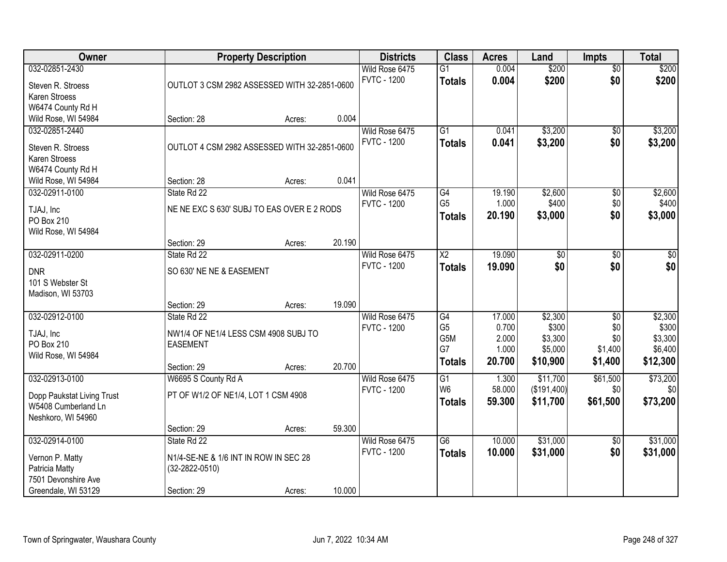| Owner                                                                                             |                                                                                             | <b>Property Description</b> |        | <b>Districts</b>                     | <b>Class</b>                                       | <b>Acres</b>                                | Land                                               | <b>Impts</b>                                        | <b>Total</b>                                       |
|---------------------------------------------------------------------------------------------------|---------------------------------------------------------------------------------------------|-----------------------------|--------|--------------------------------------|----------------------------------------------------|---------------------------------------------|----------------------------------------------------|-----------------------------------------------------|----------------------------------------------------|
| 032-02851-2430<br>Steven R. Stroess<br>Karen Stroess                                              | OUTLOT 3 CSM 2982 ASSESSED WITH 32-2851-0600                                                |                             |        | Wild Rose 6475<br><b>FVTC - 1200</b> | $\overline{G1}$<br><b>Totals</b>                   | 0.004<br>0.004                              | \$200<br>\$200                                     | $\overline{50}$<br>\$0                              | \$200<br>\$200                                     |
| W6474 County Rd H<br>Wild Rose, WI 54984<br>032-02851-2440                                        | Section: 28                                                                                 | Acres:                      | 0.004  | Wild Rose 6475<br><b>FVTC - 1200</b> | $\overline{G1}$                                    | 0.041<br>0.041                              | \$3,200<br>\$3,200                                 | \$0<br>\$0                                          | \$3,200                                            |
| Steven R. Stroess<br>Karen Stroess<br>W6474 County Rd H<br>Wild Rose, WI 54984                    | OUTLOT 4 CSM 2982 ASSESSED WITH 32-2851-0600<br>Section: 28                                 | Acres:                      | 0.041  |                                      | <b>Totals</b>                                      |                                             |                                                    |                                                     | \$3,200                                            |
| 032-02911-0100<br>TJAJ, Inc<br>PO Box 210<br>Wild Rose, WI 54984                                  | State Rd 22<br>NE NE EXC S 630' SUBJ TO EAS OVER E 2 RODS<br>Section: 29                    | Acres:                      | 20.190 | Wild Rose 6475<br><b>FVTC - 1200</b> | G4<br>G <sub>5</sub><br><b>Totals</b>              | 19.190<br>1.000<br>20.190                   | \$2,600<br>\$400<br>\$3,000                        | \$0<br>\$0<br>\$0                                   | \$2,600<br>\$400<br>\$3,000                        |
| 032-02911-0200<br><b>DNR</b><br>101 S Webster St<br>Madison, WI 53703                             | State Rd 22<br>SO 630' NE NE & EASEMENT<br>Section: 29                                      | Acres:                      | 19.090 | Wild Rose 6475<br><b>FVTC - 1200</b> | $\overline{X2}$<br><b>Totals</b>                   | 19.090<br>19.090                            | \$0<br>\$0                                         | \$0<br>\$0                                          | $\sqrt{50}$<br>\$0                                 |
| 032-02912-0100<br>TJAJ, Inc<br>PO Box 210<br>Wild Rose, WI 54984                                  | State Rd 22<br>NW1/4 OF NE1/4 LESS CSM 4908 SUBJ TO<br><b>EASEMENT</b><br>Section: 29       | Acres:                      | 20.700 | Wild Rose 6475<br><b>FVTC - 1200</b> | G4<br>G <sub>5</sub><br>G5M<br>G7<br><b>Totals</b> | 17.000<br>0.700<br>2.000<br>1.000<br>20.700 | \$2,300<br>\$300<br>\$3,300<br>\$5,000<br>\$10,900 | $\overline{50}$<br>\$0<br>\$0<br>\$1,400<br>\$1,400 | \$2,300<br>\$300<br>\$3,300<br>\$6,400<br>\$12,300 |
| 032-02913-0100<br>Dopp Paukstat Living Trust<br>W5408 Cumberland Ln<br>Neshkoro, WI 54960         | W6695 S County Rd A<br>PT OF W1/2 OF NE1/4, LOT 1 CSM 4908<br>Section: 29                   |                             | 59.300 | Wild Rose 6475<br><b>FVTC - 1200</b> | G1<br>W <sub>6</sub><br><b>Totals</b>              | 1.300<br>58.000<br>59.300                   | \$11,700<br>(\$191,400)<br>\$11,700                | \$61,500<br>\$0<br>\$61,500                         | \$73,200<br>\$0<br>\$73,200                        |
| 032-02914-0100<br>Vernon P. Matty<br>Patricia Matty<br>7501 Devonshire Ave<br>Greendale, WI 53129 | State Rd 22<br>N1/4-SE-NE & 1/6 INT IN ROW IN SEC 28<br>$(32 - 2822 - 0510)$<br>Section: 29 | Acres:<br>Acres:            | 10.000 | Wild Rose 6475<br><b>FVTC - 1200</b> | $\overline{G6}$<br><b>Totals</b>                   | 10.000<br>10.000                            | \$31,000<br>\$31,000                               | $\overline{50}$<br>\$0                              | \$31,000<br>\$31,000                               |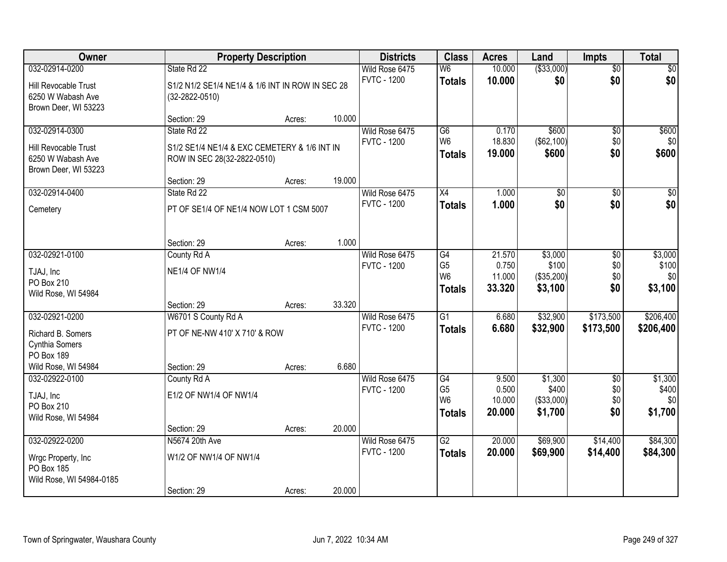| 032-02914-0200<br>State Rd 22<br>Wild Rose 6475<br>W <sub>6</sub><br>10.000<br>$\overline{50}$<br>\$0<br><b>FVTC - 1200</b><br>10.000<br>\$0<br><b>Totals</b><br>S1/2 N1/2 SE1/4 NE1/4 & 1/6 INT IN ROW IN SEC 28<br>Hill Revocable Trust<br>6250 W Wabash Ave<br>$(32 - 2822 - 0510)$<br>Brown Deer, WI 53223<br>10.000<br>Section: 29<br>Acres:<br>032-02914-0300<br>Wild Rose 6475<br>$\overline{G6}$<br>0.170<br>\$600<br>$\overline{50}$<br>State Rd 22<br>W <sub>6</sub><br>18.830<br>(\$62,100)<br>\$0<br><b>FVTC - 1200</b><br>S1/2 SE1/4 NE1/4 & EXC CEMETERY & 1/6 INT IN<br>Hill Revocable Trust<br>\$0<br>19.000<br>\$600<br><b>Totals</b><br>6250 W Wabash Ave<br>ROW IN SEC 28(32-2822-0510)<br>Brown Deer, WI 53223<br>19.000<br>Section: 29<br>Acres:<br>032-02914-0400<br>X4<br>$\overline{50}$<br>State Rd 22<br>Wild Rose 6475<br>1.000<br>\$0<br>\$0<br><b>FVTC - 1200</b><br>\$0<br>1.000<br><b>Totals</b><br>PT OF SE1/4 OF NE1/4 NOW LOT 1 CSM 5007<br>Cemetery<br>1.000<br>Section: 29<br>Acres:<br>032-02921-0100<br>Wild Rose 6475<br>\$3,000<br>County Rd A<br>G4<br>21.570<br>\$0<br>G <sub>5</sub><br>0.750<br>\$100<br>\$0<br><b>FVTC - 1200</b><br><b>NE1/4 OF NW1/4</b><br>TJAJ, Inc<br>W <sub>6</sub><br>11.000<br>(\$35,200)<br>\$0<br>PO Box 210<br>\$0<br>33.320<br>\$3,100<br><b>Totals</b><br>Wild Rose, WI 54984<br>33.320<br>Section: 29<br>Acres:<br>$\overline{G1}$<br>\$32,900<br>032-02921-0200<br>W6701 S County Rd A<br>6.680<br>\$173,500<br>Wild Rose 6475<br><b>FVTC - 1200</b><br>6.680<br>\$32,900<br>\$173,500<br><b>Totals</b><br>PT OF NE-NW 410' X 710' & ROW<br>Richard B. Somers<br>Cynthia Somers<br>PO Box 189<br>6.680<br>Wild Rose, WI 54984<br>Section: 29<br>Acres:<br>032-02922-0100<br>G4<br>\$1,300<br>County Rd A<br>Wild Rose 6475<br>9.500<br>$\overline{50}$<br>G <sub>5</sub><br>0.500<br>\$400<br>\$0<br><b>FVTC - 1200</b><br>E1/2 OF NW1/4 OF NW1/4<br>TJAJ, Inc<br>W <sub>6</sub><br>10.000<br>(\$33,000)<br>\$0<br>PO Box 210<br>\$0<br>20.000<br>\$1,700<br><b>Totals</b><br>Wild Rose, WI 54984<br>20.000<br>Section: 29<br>Acres:<br>$\overline{G2}$<br>\$69,900<br>032-02922-0200<br>N5674 20th Ave<br>Wild Rose 6475<br>20.000<br>\$14,400 | Owner               |                        | <b>Property Description</b> | <b>Districts</b>   | <b>Class</b>  | <b>Acres</b> | Land        | <b>Impts</b> | <b>Total</b>                       |
|-----------------------------------------------------------------------------------------------------------------------------------------------------------------------------------------------------------------------------------------------------------------------------------------------------------------------------------------------------------------------------------------------------------------------------------------------------------------------------------------------------------------------------------------------------------------------------------------------------------------------------------------------------------------------------------------------------------------------------------------------------------------------------------------------------------------------------------------------------------------------------------------------------------------------------------------------------------------------------------------------------------------------------------------------------------------------------------------------------------------------------------------------------------------------------------------------------------------------------------------------------------------------------------------------------------------------------------------------------------------------------------------------------------------------------------------------------------------------------------------------------------------------------------------------------------------------------------------------------------------------------------------------------------------------------------------------------------------------------------------------------------------------------------------------------------------------------------------------------------------------------------------------------------------------------------------------------------------------------------------------------------------------------------------------------------------------------------------------------------------------------------------------------------------------------------------------------------------------------|---------------------|------------------------|-----------------------------|--------------------|---------------|--------------|-------------|--------------|------------------------------------|
|                                                                                                                                                                                                                                                                                                                                                                                                                                                                                                                                                                                                                                                                                                                                                                                                                                                                                                                                                                                                                                                                                                                                                                                                                                                                                                                                                                                                                                                                                                                                                                                                                                                                                                                                                                                                                                                                                                                                                                                                                                                                                                                                                                                                                             |                     |                        |                             |                    |               |              | ( \$33,000) |              | \$0<br>\$0                         |
|                                                                                                                                                                                                                                                                                                                                                                                                                                                                                                                                                                                                                                                                                                                                                                                                                                                                                                                                                                                                                                                                                                                                                                                                                                                                                                                                                                                                                                                                                                                                                                                                                                                                                                                                                                                                                                                                                                                                                                                                                                                                                                                                                                                                                             |                     |                        |                             |                    |               |              |             |              |                                    |
|                                                                                                                                                                                                                                                                                                                                                                                                                                                                                                                                                                                                                                                                                                                                                                                                                                                                                                                                                                                                                                                                                                                                                                                                                                                                                                                                                                                                                                                                                                                                                                                                                                                                                                                                                                                                                                                                                                                                                                                                                                                                                                                                                                                                                             |                     |                        |                             |                    |               |              |             |              | \$600<br>\$0<br>\$600              |
|                                                                                                                                                                                                                                                                                                                                                                                                                                                                                                                                                                                                                                                                                                                                                                                                                                                                                                                                                                                                                                                                                                                                                                                                                                                                                                                                                                                                                                                                                                                                                                                                                                                                                                                                                                                                                                                                                                                                                                                                                                                                                                                                                                                                                             |                     |                        |                             |                    |               |              |             |              | \$0                                |
|                                                                                                                                                                                                                                                                                                                                                                                                                                                                                                                                                                                                                                                                                                                                                                                                                                                                                                                                                                                                                                                                                                                                                                                                                                                                                                                                                                                                                                                                                                                                                                                                                                                                                                                                                                                                                                                                                                                                                                                                                                                                                                                                                                                                                             |                     |                        |                             |                    |               |              |             |              | \$0                                |
|                                                                                                                                                                                                                                                                                                                                                                                                                                                                                                                                                                                                                                                                                                                                                                                                                                                                                                                                                                                                                                                                                                                                                                                                                                                                                                                                                                                                                                                                                                                                                                                                                                                                                                                                                                                                                                                                                                                                                                                                                                                                                                                                                                                                                             |                     |                        |                             |                    |               |              |             |              |                                    |
|                                                                                                                                                                                                                                                                                                                                                                                                                                                                                                                                                                                                                                                                                                                                                                                                                                                                                                                                                                                                                                                                                                                                                                                                                                                                                                                                                                                                                                                                                                                                                                                                                                                                                                                                                                                                                                                                                                                                                                                                                                                                                                                                                                                                                             |                     |                        |                             |                    |               |              |             |              | \$3,000<br>\$100<br>\$0<br>\$3,100 |
|                                                                                                                                                                                                                                                                                                                                                                                                                                                                                                                                                                                                                                                                                                                                                                                                                                                                                                                                                                                                                                                                                                                                                                                                                                                                                                                                                                                                                                                                                                                                                                                                                                                                                                                                                                                                                                                                                                                                                                                                                                                                                                                                                                                                                             |                     |                        |                             |                    |               |              |             |              |                                    |
|                                                                                                                                                                                                                                                                                                                                                                                                                                                                                                                                                                                                                                                                                                                                                                                                                                                                                                                                                                                                                                                                                                                                                                                                                                                                                                                                                                                                                                                                                                                                                                                                                                                                                                                                                                                                                                                                                                                                                                                                                                                                                                                                                                                                                             |                     |                        |                             |                    |               |              |             |              | \$206,400<br>\$206,400             |
|                                                                                                                                                                                                                                                                                                                                                                                                                                                                                                                                                                                                                                                                                                                                                                                                                                                                                                                                                                                                                                                                                                                                                                                                                                                                                                                                                                                                                                                                                                                                                                                                                                                                                                                                                                                                                                                                                                                                                                                                                                                                                                                                                                                                                             |                     |                        |                             |                    |               |              |             |              | \$1,300<br>\$400<br>\$0<br>\$1,700 |
|                                                                                                                                                                                                                                                                                                                                                                                                                                                                                                                                                                                                                                                                                                                                                                                                                                                                                                                                                                                                                                                                                                                                                                                                                                                                                                                                                                                                                                                                                                                                                                                                                                                                                                                                                                                                                                                                                                                                                                                                                                                                                                                                                                                                                             |                     |                        |                             |                    |               |              |             |              |                                    |
| PO Box 185<br>Wild Rose, WI 54984-0185<br>20.000<br>Section: 29<br>Acres:                                                                                                                                                                                                                                                                                                                                                                                                                                                                                                                                                                                                                                                                                                                                                                                                                                                                                                                                                                                                                                                                                                                                                                                                                                                                                                                                                                                                                                                                                                                                                                                                                                                                                                                                                                                                                                                                                                                                                                                                                                                                                                                                                   | Wrgc Property, Inc. | W1/2 OF NW1/4 OF NW1/4 |                             | <b>FVTC - 1200</b> | <b>Totals</b> | 20.000       | \$69,900    | \$14,400     | \$84,300<br>\$84,300               |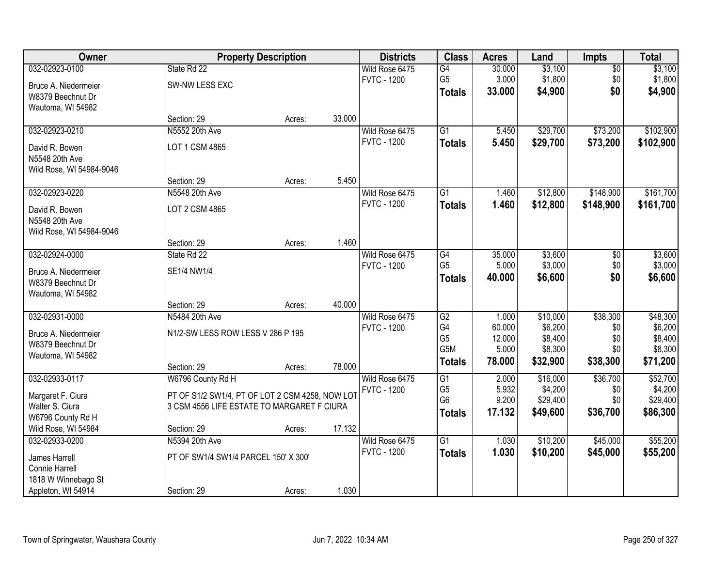| Owner                    |                                                 | <b>Property Description</b> |        | <b>Districts</b>   | <b>Class</b>    | <b>Acres</b> | Land     | <b>Impts</b>  | <b>Total</b> |
|--------------------------|-------------------------------------------------|-----------------------------|--------|--------------------|-----------------|--------------|----------|---------------|--------------|
| 032-02923-0100           | State Rd 22                                     |                             |        | Wild Rose 6475     | $\overline{G4}$ | 30.000       | \$3,100  | $\sqrt{$0}$   | \$3,100      |
| Bruce A. Niedermeier     | SW-NW LESS EXC                                  |                             |        | <b>FVTC - 1200</b> | G <sub>5</sub>  | 3.000        | \$1,800  | \$0           | \$1,800      |
| W8379 Beechnut Dr        |                                                 |                             |        |                    | <b>Totals</b>   | 33.000       | \$4,900  | \$0           | \$4,900      |
| Wautoma, WI 54982        |                                                 |                             |        |                    |                 |              |          |               |              |
|                          | Section: 29                                     | Acres:                      | 33.000 |                    |                 |              |          |               |              |
| 032-02923-0210           | N5552 20th Ave                                  |                             |        | Wild Rose 6475     | $\overline{G1}$ | 5.450        | \$29,700 | \$73,200      | \$102,900    |
| David R. Bowen           | LOT 1 CSM 4865                                  |                             |        | <b>FVTC - 1200</b> | <b>Totals</b>   | 5.450        | \$29,700 | \$73,200      | \$102,900    |
| N5548 20th Ave           |                                                 |                             |        |                    |                 |              |          |               |              |
| Wild Rose, WI 54984-9046 |                                                 |                             |        |                    |                 |              |          |               |              |
|                          | Section: 29                                     | Acres:                      | 5.450  |                    |                 |              |          |               |              |
| 032-02923-0220           | N5548 20th Ave                                  |                             |        | Wild Rose 6475     | G1              | 1.460        | \$12,800 | \$148,900     | \$161,700    |
| David R. Bowen           | LOT 2 CSM 4865                                  |                             |        | <b>FVTC - 1200</b> | <b>Totals</b>   | 1.460        | \$12,800 | \$148,900     | \$161,700    |
| N5548 20th Ave           |                                                 |                             |        |                    |                 |              |          |               |              |
| Wild Rose, WI 54984-9046 |                                                 |                             |        |                    |                 |              |          |               |              |
|                          | Section: 29                                     | Acres:                      | 1.460  |                    |                 |              |          |               |              |
| 032-02924-0000           | State Rd 22                                     |                             |        | Wild Rose 6475     | G4              | 35.000       | \$3,600  | $\sqrt[6]{3}$ | \$3,600      |
| Bruce A. Niedermeier     | SE1/4 NW1/4                                     |                             |        | <b>FVTC - 1200</b> | G <sub>5</sub>  | 5.000        | \$3,000  | \$0           | \$3,000      |
| W8379 Beechnut Dr        |                                                 |                             |        |                    | <b>Totals</b>   | 40.000       | \$6,600  | \$0           | \$6,600      |
| Wautoma, WI 54982        |                                                 |                             |        |                    |                 |              |          |               |              |
|                          | Section: 29                                     | Acres:                      | 40.000 |                    |                 |              |          |               |              |
| 032-02931-0000           | N5484 20th Ave                                  |                             |        | Wild Rose 6475     | $\overline{G2}$ | 1.000        | \$10,000 | \$38,300      | \$48,300     |
| Bruce A. Niedermeier     | N1/2-SW LESS ROW LESS V 286 P 195               |                             |        | <b>FVTC - 1200</b> | G4              | 60.000       | \$6,200  | \$0           | \$6,200      |
| W8379 Beechnut Dr        |                                                 |                             |        |                    | G <sub>5</sub>  | 12.000       | \$8,400  | \$0           | \$8,400      |
| Wautoma, WI 54982        |                                                 |                             |        |                    | G5M             | 5.000        | \$8,300  | \$0           | \$8,300      |
|                          | Section: 29                                     | Acres:                      | 78.000 |                    | <b>Totals</b>   | 78.000       | \$32,900 | \$38,300      | \$71,200     |
| 032-02933-0117           | W6796 County Rd H                               |                             |        | Wild Rose 6475     | $\overline{G1}$ | 2.000        | \$16,000 | \$36,700      | \$52,700     |
| Margaret F. Ciura        | PT OF S1/2 SW1/4, PT OF LOT 2 CSM 4258, NOW LOT |                             |        | <b>FVTC - 1200</b> | G <sub>5</sub>  | 5.932        | \$4,200  | \$0           | \$4,200      |
| Walter S. Ciura          | 3 CSM 4556 LIFE ESTATE TO MARGARET F CIURA      |                             |        |                    | G <sub>6</sub>  | 9.200        | \$29,400 | \$0           | \$29,400     |
| W6796 County Rd H        |                                                 |                             |        |                    | <b>Totals</b>   | 17.132       | \$49,600 | \$36,700      | \$86,300     |
| Wild Rose, WI 54984      | Section: 29                                     | Acres:                      | 17.132 |                    |                 |              |          |               |              |
| 032-02933-0200           | N5394 20th Ave                                  |                             |        | Wild Rose 6475     | $\overline{G1}$ | 1.030        | \$10,200 | \$45,000      | \$55,200     |
| James Harrell            | PT OF SW1/4 SW1/4 PARCEL 150' X 300'            |                             |        | <b>FVTC - 1200</b> | <b>Totals</b>   | 1.030        | \$10,200 | \$45,000      | \$55,200     |
| Connie Harrell           |                                                 |                             |        |                    |                 |              |          |               |              |
| 1818 W Winnebago St      |                                                 |                             |        |                    |                 |              |          |               |              |
| Appleton, WI 54914       | Section: 29                                     | Acres:                      | 1.030  |                    |                 |              |          |               |              |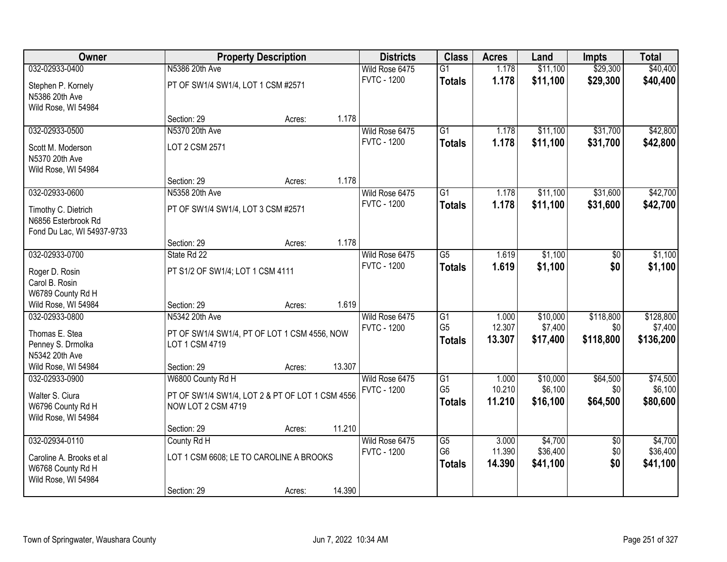| Owner                                                                    |                                                                | <b>Property Description</b> |        | <b>Districts</b>   | <b>Class</b>                    | <b>Acres</b>     | Land                 | <b>Impts</b>    | <b>Total</b>         |
|--------------------------------------------------------------------------|----------------------------------------------------------------|-----------------------------|--------|--------------------|---------------------------------|------------------|----------------------|-----------------|----------------------|
| 032-02933-0400                                                           | N5386 20th Ave                                                 |                             |        | Wild Rose 6475     | $\overline{G1}$                 | 1.178            | \$11,100             | \$29,300        | \$40,400             |
| Stephen P. Kornely<br>N5386 20th Ave                                     | PT OF SW1/4 SW1/4, LOT 1 CSM #2571                             |                             |        | <b>FVTC - 1200</b> | <b>Totals</b>                   | 1.178            | \$11,100             | \$29,300        | \$40,400             |
| Wild Rose, WI 54984                                                      | Section: 29                                                    | Acres:                      | 1.178  |                    |                                 |                  |                      |                 |                      |
| 032-02933-0500                                                           | N5370 20th Ave                                                 |                             |        | Wild Rose 6475     | $\overline{G1}$                 | 1.178            | \$11,100             | \$31,700        | \$42,800             |
|                                                                          |                                                                |                             |        | <b>FVTC - 1200</b> | <b>Totals</b>                   | 1.178            | \$11,100             | \$31,700        | \$42,800             |
| Scott M. Moderson<br>N5370 20th Ave<br>Wild Rose, WI 54984               | LOT 2 CSM 2571                                                 |                             |        |                    |                                 |                  |                      |                 |                      |
|                                                                          | Section: 29                                                    | Acres:                      | 1.178  |                    |                                 |                  |                      |                 |                      |
| 032-02933-0600                                                           | N5358 20th Ave                                                 |                             |        | Wild Rose 6475     | $\overline{G1}$                 | 1.178            | \$11,100             | \$31,600        | \$42,700             |
| Timothy C. Dietrich<br>N6856 Esterbrook Rd<br>Fond Du Lac, WI 54937-9733 | PT OF SW1/4 SW1/4, LOT 3 CSM #2571                             |                             |        | <b>FVTC - 1200</b> | <b>Totals</b>                   | 1.178            | \$11,100             | \$31,600        | \$42,700             |
|                                                                          | Section: 29                                                    | Acres:                      | 1.178  |                    |                                 |                  |                      |                 |                      |
| 032-02933-0700                                                           | State Rd 22                                                    |                             |        | Wild Rose 6475     | $\overline{G5}$                 | 1.619            | \$1,100              | \$0             | \$1,100              |
| Roger D. Rosin                                                           | PT S1/2 OF SW1/4; LOT 1 CSM 4111                               |                             |        | <b>FVTC - 1200</b> | <b>Totals</b>                   | 1.619            | \$1,100              | \$0             | \$1,100              |
| Carol B. Rosin<br>W6789 County Rd H                                      |                                                                |                             |        |                    |                                 |                  |                      |                 |                      |
| Wild Rose, WI 54984                                                      | Section: 29                                                    | Acres:                      | 1.619  |                    |                                 |                  |                      |                 |                      |
| 032-02933-0800                                                           | N5342 20th Ave                                                 |                             |        | Wild Rose 6475     | G1                              | 1.000            | \$10,000             | \$118,800       | \$128,800            |
|                                                                          |                                                                |                             |        | <b>FVTC - 1200</b> | G <sub>5</sub>                  | 12.307           | \$7,400              | \$0             | \$7,400              |
| Thomas E. Stea<br>Penney S. Drmolka                                      | PT OF SW1/4 SW1/4, PT OF LOT 1 CSM 4556, NOW<br>LOT 1 CSM 4719 |                             |        |                    | <b>Totals</b>                   | 13.307           | \$17,400             | \$118,800       | \$136,200            |
| N5342 20th Ave                                                           |                                                                |                             |        |                    |                                 |                  |                      |                 |                      |
| Wild Rose, WI 54984                                                      | Section: 29                                                    | Acres:                      | 13.307 |                    |                                 |                  |                      |                 |                      |
| 032-02933-0900                                                           | W6800 County Rd H                                              |                             |        | Wild Rose 6475     | $\overline{G1}$                 | 1.000            | \$10,000             | \$64,500        | \$74,500             |
| Walter S. Ciura                                                          | PT OF SW1/4 SW1/4, LOT 2 & PT OF LOT 1 CSM 4556.               |                             |        | <b>FVTC - 1200</b> | G <sub>5</sub>                  | 10.210           | \$6,100              | \$0             | \$6,100              |
| W6796 County Rd H                                                        | NOW LOT 2 CSM 4719                                             |                             |        |                    | <b>Totals</b>                   | 11.210           | \$16,100             | \$64,500        | \$80,600             |
| Wild Rose, WI 54984                                                      |                                                                |                             |        |                    |                                 |                  |                      |                 |                      |
|                                                                          | Section: 29                                                    | Acres:                      | 11.210 |                    |                                 |                  |                      |                 |                      |
| 032-02934-0110                                                           | County Rd H                                                    |                             |        | Wild Rose 6475     | $\overline{G5}$                 | 3.000            | \$4,700              | $\overline{30}$ | \$4,700              |
| Caroline A. Brooks et al<br>W6768 County Rd H<br>Wild Rose, WI 54984     | LOT 1 CSM 6608; LE TO CAROLINE A BROOKS                        |                             |        | <b>FVTC - 1200</b> | G <sub>6</sub><br><b>Totals</b> | 11.390<br>14.390 | \$36,400<br>\$41,100 | \$0<br>\$0      | \$36,400<br>\$41,100 |
|                                                                          | Section: 29                                                    | Acres:                      | 14.390 |                    |                                 |                  |                      |                 |                      |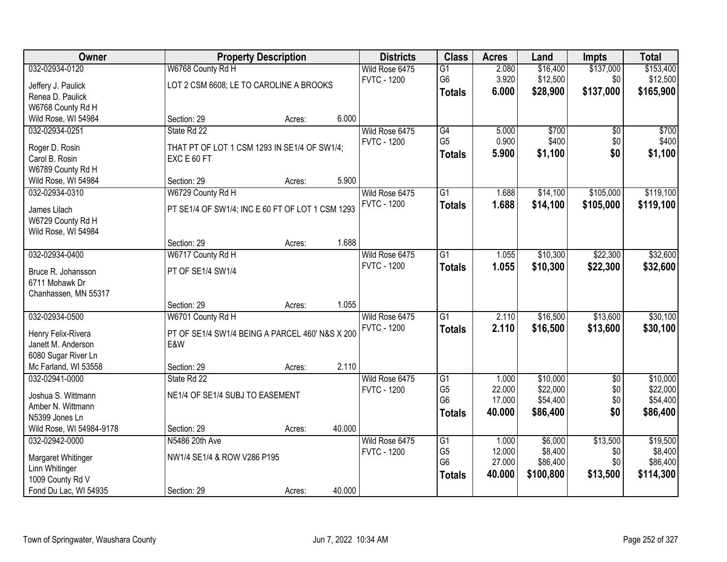| Owner                                    |                                                  | <b>Property Description</b> |        | <b>Districts</b>                     | <b>Class</b>    | <b>Acres</b> | Land      | <b>Impts</b>    | <b>Total</b> |
|------------------------------------------|--------------------------------------------------|-----------------------------|--------|--------------------------------------|-----------------|--------------|-----------|-----------------|--------------|
| 032-02934-0120                           | W6768 County Rd H                                |                             |        | Wild Rose 6475                       | $\overline{G1}$ | 2.080        | \$16,400  | \$137,000       | \$153,400    |
| Jeffery J. Paulick                       | LOT 2 CSM 6608; LE TO CAROLINE A BROOKS          |                             |        | <b>FVTC - 1200</b>                   | G6              | 3.920        | \$12,500  | \$0             | \$12,500     |
| Renea D. Paulick                         |                                                  |                             |        |                                      | <b>Totals</b>   | 6.000        | \$28,900  | \$137,000       | \$165,900    |
| W6768 County Rd H                        |                                                  |                             |        |                                      |                 |              |           |                 |              |
| Wild Rose, WI 54984                      | Section: 29                                      | Acres:                      | 6.000  |                                      |                 |              |           |                 |              |
| 032-02934-0251                           | State Rd 22                                      |                             |        | Wild Rose 6475                       | G4              | 5.000        | \$700     | $\overline{50}$ | \$700        |
| Roger D. Rosin                           | THAT PT OF LOT 1 CSM 1293 IN SE1/4 OF SW1/4;     |                             |        | <b>FVTC - 1200</b>                   | G <sub>5</sub>  | 0.900        | \$400     | \$0             | \$400        |
| Carol B. Rosin                           | EXC E 60 FT                                      |                             |        |                                      | <b>Totals</b>   | 5.900        | \$1,100   | \$0             | \$1,100      |
| W6789 County Rd H                        |                                                  |                             |        |                                      |                 |              |           |                 |              |
| Wild Rose, WI 54984                      | Section: 29                                      | Acres:                      | 5.900  |                                      |                 |              |           |                 |              |
| 032-02934-0310                           | W6729 County Rd H                                |                             |        | Wild Rose 6475                       | $\overline{G1}$ | 1.688        | \$14,100  | \$105,000       | \$119,100    |
|                                          |                                                  |                             |        | <b>FVTC - 1200</b>                   | <b>Totals</b>   | 1.688        | \$14,100  | \$105,000       | \$119,100    |
| James Lilach                             | PT SE1/4 OF SW1/4; INC E 60 FT OF LOT 1 CSM 1293 |                             |        |                                      |                 |              |           |                 |              |
| W6729 County Rd H<br>Wild Rose, WI 54984 |                                                  |                             |        |                                      |                 |              |           |                 |              |
|                                          | Section: 29                                      | Acres:                      | 1.688  |                                      |                 |              |           |                 |              |
| 032-02934-0400                           | W6717 County Rd H                                |                             |        | Wild Rose 6475                       | $\overline{G1}$ | 1.055        | \$10,300  | \$22,300        | \$32,600     |
|                                          |                                                  |                             |        | <b>FVTC - 1200</b>                   | <b>Totals</b>   | 1.055        | \$10,300  | \$22,300        | \$32,600     |
| Bruce R. Johansson                       | PT OF SE1/4 SW1/4                                |                             |        |                                      |                 |              |           |                 |              |
| 6711 Mohawk Dr                           |                                                  |                             |        |                                      |                 |              |           |                 |              |
| Chanhassen, MN 55317                     |                                                  |                             |        |                                      |                 |              |           |                 |              |
|                                          | Section: 29                                      | Acres:                      | 1.055  |                                      | $\overline{G1}$ | 2.110        | \$16,500  | \$13,600        | \$30,100     |
| 032-02934-0500                           | W6701 County Rd H                                |                             |        | Wild Rose 6475<br><b>FVTC - 1200</b> |                 |              |           |                 |              |
| Henry Felix-Rivera                       | PT OF SE1/4 SW1/4 BEING A PARCEL 460' N&S X 200  |                             |        |                                      | <b>Totals</b>   | 2.110        | \$16,500  | \$13,600        | \$30,100     |
| Janett M. Anderson                       | E&W                                              |                             |        |                                      |                 |              |           |                 |              |
| 6080 Sugar River Ln                      |                                                  |                             |        |                                      |                 |              |           |                 |              |
| Mc Farland, WI 53558                     | Section: 29                                      | Acres:                      | 2.110  |                                      |                 |              |           |                 |              |
| 032-02941-0000                           | State Rd 22                                      |                             |        | Wild Rose 6475                       | G1              | 1.000        | \$10,000  | $\overline{60}$ | \$10,000     |
| Joshua S. Wittmann                       | NE1/4 OF SE1/4 SUBJ TO EASEMENT                  |                             |        | <b>FVTC - 1200</b>                   | G <sub>5</sub>  | 22.000       | \$22,000  | \$0             | \$22,000     |
| Amber N. Wittmann                        |                                                  |                             |        |                                      | G <sub>6</sub>  | 17.000       | \$54,400  | \$0             | \$54,400     |
| N5399 Jones Ln                           |                                                  |                             |        |                                      | <b>Totals</b>   | 40.000       | \$86,400  | \$0             | \$86,400     |
| Wild Rose, WI 54984-9178                 | Section: 29                                      | Acres:                      | 40.000 |                                      |                 |              |           |                 |              |
| 032-02942-0000                           | N5486 20th Ave                                   |                             |        | Wild Rose 6475                       | G1              | 1.000        | \$6,000   | \$13,500        | \$19,500     |
| Margaret Whitinger                       | NW1/4 SE1/4 & ROW V286 P195                      |                             |        | <b>FVTC - 1200</b>                   | G <sub>5</sub>  | 12.000       | \$8,400   | \$0             | \$8,400      |
| Linn Whitinger                           |                                                  |                             |        |                                      | G <sub>6</sub>  | 27.000       | \$86,400  | \$0             | \$86,400     |
| 1009 County Rd V                         |                                                  |                             |        |                                      | <b>Totals</b>   | 40.000       | \$100,800 | \$13,500        | \$114,300    |
| Fond Du Lac, WI 54935                    | Section: 29                                      | Acres:                      | 40.000 |                                      |                 |              |           |                 |              |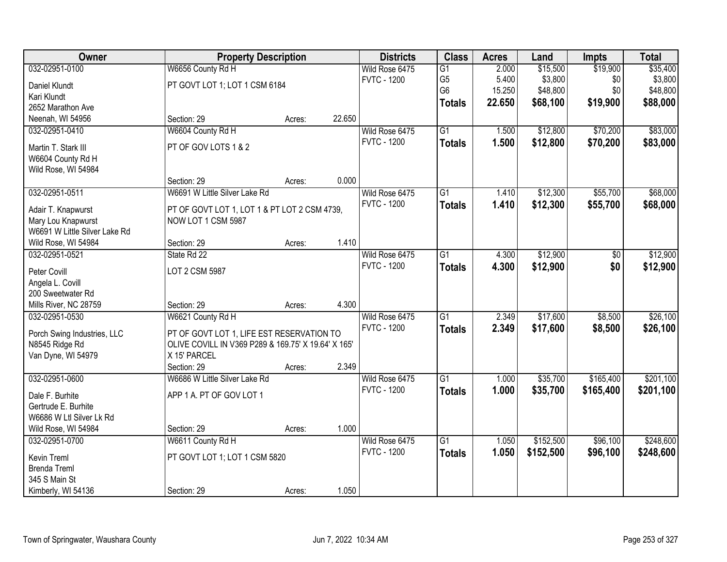| Owner                            | <b>Property Description</b>                         |        |        | <b>Districts</b>   | <b>Class</b>    | <b>Acres</b> | Land      | <b>Impts</b> | <b>Total</b> |
|----------------------------------|-----------------------------------------------------|--------|--------|--------------------|-----------------|--------------|-----------|--------------|--------------|
| 032-02951-0100                   | W6656 County Rd H                                   |        |        | Wild Rose 6475     | $\overline{G1}$ | 2.000        | \$15,500  | \$19,900     | \$35,400     |
| Daniel Klundt                    | PT GOVT LOT 1; LOT 1 CSM 6184                       |        |        | <b>FVTC - 1200</b> | G <sub>5</sub>  | 5.400        | \$3,800   | \$0          | \$3,800      |
| Kari Klundt                      |                                                     |        |        |                    | G <sub>6</sub>  | 15.250       | \$48,800  | \$0          | \$48,800     |
| 2652 Marathon Ave                |                                                     |        |        |                    | <b>Totals</b>   | 22.650       | \$68,100  | \$19,900     | \$88,000     |
| Neenah, WI 54956                 | Section: 29                                         | Acres: | 22.650 |                    |                 |              |           |              |              |
| 032-02951-0410                   | W6604 County Rd H                                   |        |        | Wild Rose 6475     | $\overline{G1}$ | 1.500        | \$12,800  | \$70,200     | \$83,000     |
|                                  |                                                     |        |        | <b>FVTC - 1200</b> | <b>Totals</b>   | 1.500        | \$12,800  | \$70,200     | \$83,000     |
| Martin T. Stark III              | PT OF GOV LOTS 1 & 2                                |        |        |                    |                 |              |           |              |              |
| W6604 County Rd H                |                                                     |        |        |                    |                 |              |           |              |              |
| Wild Rose, WI 54984              |                                                     |        |        |                    |                 |              |           |              |              |
|                                  | Section: 29                                         | Acres: | 0.000  |                    |                 |              |           |              |              |
| 032-02951-0511                   | W6691 W Little Silver Lake Rd                       |        |        | Wild Rose 6475     | G1              | 1.410        | \$12,300  | \$55,700     | \$68,000     |
| Adair T. Knapwurst               | PT OF GOVT LOT 1, LOT 1 & PT LOT 2 CSM 4739,        |        |        | <b>FVTC - 1200</b> | <b>Totals</b>   | 1.410        | \$12,300  | \$55,700     | \$68,000     |
| Mary Lou Knapwurst               | NOW LOT 1 CSM 5987                                  |        |        |                    |                 |              |           |              |              |
| W6691 W Little Silver Lake Rd    |                                                     |        |        |                    |                 |              |           |              |              |
| Wild Rose, WI 54984              | Section: 29                                         | Acres: | 1.410  |                    |                 |              |           |              |              |
| 032-02951-0521                   | State Rd 22                                         |        |        | Wild Rose 6475     | G1              | 4.300        | \$12,900  | \$0          | \$12,900     |
|                                  | LOT 2 CSM 5987                                      |        |        | <b>FVTC - 1200</b> | <b>Totals</b>   | 4.300        | \$12,900  | \$0          | \$12,900     |
| Peter Covill<br>Angela L. Covill |                                                     |        |        |                    |                 |              |           |              |              |
| 200 Sweetwater Rd                |                                                     |        |        |                    |                 |              |           |              |              |
| Mills River, NC 28759            | Section: 29                                         | Acres: | 4.300  |                    |                 |              |           |              |              |
| 032-02951-0530                   | W6621 County Rd H                                   |        |        | Wild Rose 6475     | $\overline{G1}$ | 2.349        | \$17,600  | \$8,500      | \$26,100     |
|                                  |                                                     |        |        | <b>FVTC - 1200</b> |                 | 2.349        | \$17,600  | \$8,500      | \$26,100     |
| Porch Swing Industries, LLC      | PT OF GOVT LOT 1, LIFE EST RESERVATION TO           |        |        |                    | Totals          |              |           |              |              |
| N8545 Ridge Rd                   | OLIVE COVILL IN V369 P289 & 169.75' X 19.64' X 165' |        |        |                    |                 |              |           |              |              |
| Van Dyne, WI 54979               | X 15' PARCEL                                        |        |        |                    |                 |              |           |              |              |
|                                  | Section: 29                                         | Acres: | 2.349  |                    |                 |              |           |              |              |
| 032-02951-0600                   | W6686 W Little Silver Lake Rd                       |        |        | Wild Rose 6475     | $\overline{G1}$ | 1.000        | \$35,700  | \$165,400    | \$201,100    |
| Dale F. Burhite                  | APP 1 A. PT OF GOV LOT 1                            |        |        | <b>FVTC - 1200</b> | <b>Totals</b>   | 1.000        | \$35,700  | \$165,400    | \$201,100    |
| Gertrude E. Burhite              |                                                     |        |        |                    |                 |              |           |              |              |
| W6686 W Ltl Silver Lk Rd         |                                                     |        |        |                    |                 |              |           |              |              |
| Wild Rose, WI 54984              | Section: 29                                         | Acres: | 1.000  |                    |                 |              |           |              |              |
| 032-02951-0700                   | W6611 County Rd H                                   |        |        | Wild Rose 6475     | $\overline{G1}$ | 1.050        | \$152,500 | \$96,100     | \$248,600    |
|                                  |                                                     |        |        | <b>FVTC - 1200</b> | <b>Totals</b>   | 1.050        | \$152,500 | \$96,100     | \$248,600    |
| <b>Kevin Treml</b>               | PT GOVT LOT 1; LOT 1 CSM 5820                       |        |        |                    |                 |              |           |              |              |
| <b>Brenda Treml</b>              |                                                     |        |        |                    |                 |              |           |              |              |
| 345 S Main St                    |                                                     |        |        |                    |                 |              |           |              |              |
| Kimberly, WI 54136               | Section: 29                                         | Acres: | 1.050  |                    |                 |              |           |              |              |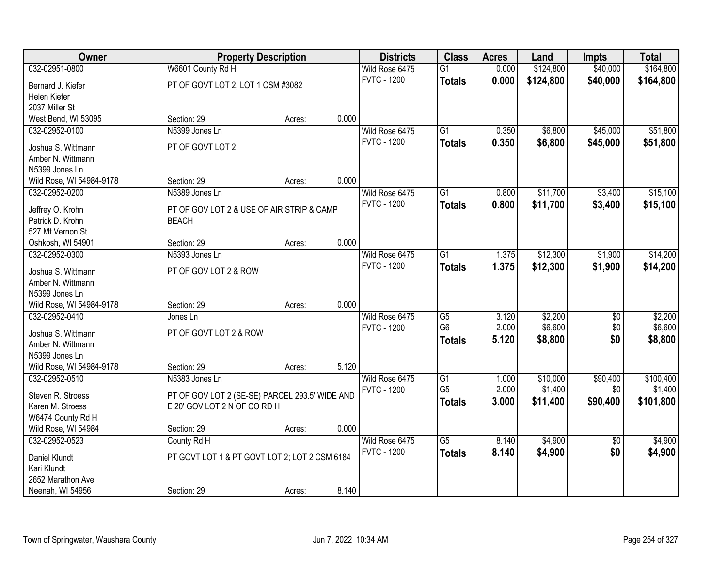| Owner                                      |                                                | <b>Property Description</b> |       | <b>Districts</b>                     | <b>Class</b>           | <b>Acres</b> | Land      | <b>Impts</b>    | <b>Total</b> |
|--------------------------------------------|------------------------------------------------|-----------------------------|-------|--------------------------------------|------------------------|--------------|-----------|-----------------|--------------|
| 032-02951-0800                             | W6601 County Rd H                              |                             |       | Wild Rose 6475                       | $\overline{G1}$        | 0.000        | \$124,800 | \$40,000        | \$164,800    |
| Bernard J. Kiefer                          | PT OF GOVT LOT 2, LOT 1 CSM #3082              |                             |       | <b>FVTC - 1200</b>                   | <b>Totals</b>          | 0.000        | \$124,800 | \$40,000        | \$164,800    |
| Helen Kiefer                               |                                                |                             |       |                                      |                        |              |           |                 |              |
| 2037 Miller St                             |                                                |                             |       |                                      |                        |              |           |                 |              |
| West Bend, WI 53095                        | Section: 29                                    | Acres:                      | 0.000 |                                      |                        |              |           |                 |              |
| 032-02952-0100                             | N5399 Jones Ln                                 |                             |       | Wild Rose 6475                       | $\overline{G1}$        | 0.350        | \$6,800   | \$45,000        | \$51,800     |
|                                            |                                                |                             |       | <b>FVTC - 1200</b>                   | <b>Totals</b>          | 0.350        | \$6,800   | \$45,000        | \$51,800     |
| Joshua S. Wittmann                         | PT OF GOVT LOT 2                               |                             |       |                                      |                        |              |           |                 |              |
| Amber N. Wittmann                          |                                                |                             |       |                                      |                        |              |           |                 |              |
| N5399 Jones Ln                             | Section: 29                                    |                             | 0.000 |                                      |                        |              |           |                 |              |
| Wild Rose, WI 54984-9178<br>032-02952-0200 | N5389 Jones Ln                                 | Acres:                      |       |                                      | G1                     |              | \$11,700  |                 | \$15,100     |
|                                            |                                                |                             |       | Wild Rose 6475<br><b>FVTC - 1200</b> |                        | 0.800        |           | \$3,400         |              |
| Jeffrey O. Krohn                           | PT OF GOV LOT 2 & USE OF AIR STRIP & CAMP      |                             |       |                                      | <b>Totals</b>          | 0.800        | \$11,700  | \$3,400         | \$15,100     |
| Patrick D. Krohn                           | <b>BEACH</b>                                   |                             |       |                                      |                        |              |           |                 |              |
| 527 Mt Vernon St                           |                                                |                             |       |                                      |                        |              |           |                 |              |
| Oshkosh, WI 54901                          | Section: 29                                    | Acres:                      | 0.000 |                                      |                        |              |           |                 |              |
| 032-02952-0300                             | N5393 Jones Ln                                 |                             |       | Wild Rose 6475                       | G1                     | 1.375        | \$12,300  | \$1,900         | \$14,200     |
| Joshua S. Wittmann                         | PT OF GOV LOT 2 & ROW                          |                             |       | <b>FVTC - 1200</b>                   | <b>Totals</b>          | 1.375        | \$12,300  | \$1,900         | \$14,200     |
| Amber N. Wittmann                          |                                                |                             |       |                                      |                        |              |           |                 |              |
| N5399 Jones Ln                             |                                                |                             |       |                                      |                        |              |           |                 |              |
| Wild Rose, WI 54984-9178                   | Section: 29                                    | Acres:                      | 0.000 |                                      |                        |              |           |                 |              |
| 032-02952-0410                             | Jones Ln                                       |                             |       | Wild Rose 6475                       | $\overline{\text{G5}}$ | 3.120        | \$2,200   | $\overline{50}$ | \$2,200      |
|                                            |                                                |                             |       | <b>FVTC - 1200</b>                   | G <sub>6</sub>         | 2.000        | \$6,600   | \$0             | \$6,600      |
| Joshua S. Wittmann                         | PT OF GOVT LOT 2 & ROW                         |                             |       |                                      | <b>Totals</b>          | 5.120        | \$8,800   | \$0             | \$8,800      |
| Amber N. Wittmann                          |                                                |                             |       |                                      |                        |              |           |                 |              |
| N5399 Jones Ln                             |                                                |                             |       |                                      |                        |              |           |                 |              |
| Wild Rose, WI 54984-9178                   | Section: 29                                    | Acres:                      | 5.120 |                                      |                        |              |           |                 |              |
| 032-02952-0510                             | N5383 Jones Ln                                 |                             |       | Wild Rose 6475                       | G1                     | 1.000        | \$10,000  | \$90,400        | \$100,400    |
| Steven R. Stroess                          | PT OF GOV LOT 2 (SE-SE) PARCEL 293.5' WIDE AND |                             |       | <b>FVTC - 1200</b>                   | G <sub>5</sub>         | 2.000        | \$1,400   | \$0             | \$1,400      |
| Karen M. Stroess                           | E 20' GOV LOT 2 N OF CO RD H                   |                             |       |                                      | <b>Totals</b>          | 3.000        | \$11,400  | \$90,400        | \$101,800    |
| W6474 County Rd H                          |                                                |                             |       |                                      |                        |              |           |                 |              |
| Wild Rose, WI 54984                        | Section: 29                                    | Acres:                      | 0.000 |                                      |                        |              |           |                 |              |
| 032-02952-0523                             | County Rd H                                    |                             |       | Wild Rose 6475                       | $\overline{G5}$        | 8.140        | \$4,900   | $\overline{30}$ | \$4,900      |
|                                            |                                                |                             |       | <b>FVTC - 1200</b>                   | <b>Totals</b>          | 8.140        | \$4,900   | \$0             | \$4,900      |
| Daniel Klundt                              | PT GOVT LOT 1 & PT GOVT LOT 2; LOT 2 CSM 6184  |                             |       |                                      |                        |              |           |                 |              |
| Kari Klundt<br>2652 Marathon Ave           |                                                |                             |       |                                      |                        |              |           |                 |              |
| Neenah, WI 54956                           | Section: 29                                    |                             | 8.140 |                                      |                        |              |           |                 |              |
|                                            |                                                | Acres:                      |       |                                      |                        |              |           |                 |              |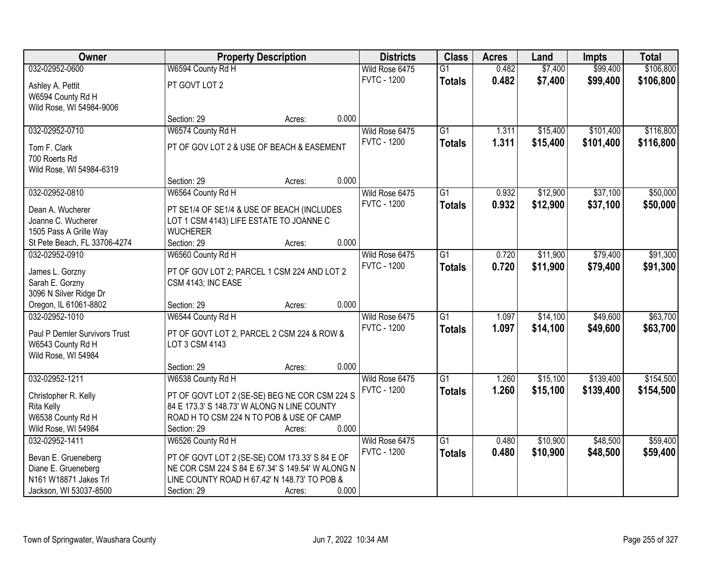| Owner                                    |                                                                   | <b>Property Description</b> |       | <b>Districts</b>   | <b>Class</b>    | <b>Acres</b> | Land     | <b>Impts</b> | <b>Total</b> |
|------------------------------------------|-------------------------------------------------------------------|-----------------------------|-------|--------------------|-----------------|--------------|----------|--------------|--------------|
| 032-02952-0600                           | W6594 County Rd H                                                 |                             |       | Wild Rose 6475     | $\overline{G1}$ | 0.482        | \$7,400  | \$99,400     | \$106,800    |
| Ashley A. Pettit                         | PT GOVT LOT 2                                                     |                             |       | <b>FVTC - 1200</b> | <b>Totals</b>   | 0.482        | \$7,400  | \$99,400     | \$106,800    |
| W6594 County Rd H                        |                                                                   |                             |       |                    |                 |              |          |              |              |
| Wild Rose, WI 54984-9006                 |                                                                   |                             |       |                    |                 |              |          |              |              |
|                                          | Section: 29                                                       | Acres:                      | 0.000 |                    |                 |              |          |              |              |
| 032-02952-0710                           | W6574 County Rd H                                                 |                             |       | Wild Rose 6475     | $\overline{G1}$ | 1.311        | \$15,400 | \$101,400    | \$116,800    |
| Tom F. Clark                             | PT OF GOV LOT 2 & USE OF BEACH & EASEMENT                         |                             |       | <b>FVTC - 1200</b> | <b>Totals</b>   | 1.311        | \$15,400 | \$101,400    | \$116,800    |
| 700 Roerts Rd                            |                                                                   |                             |       |                    |                 |              |          |              |              |
| Wild Rose, WI 54984-6319                 |                                                                   |                             |       |                    |                 |              |          |              |              |
|                                          | Section: 29                                                       | Acres:                      | 0.000 |                    |                 |              |          |              |              |
| 032-02952-0810                           | W6564 County Rd H                                                 |                             |       | Wild Rose 6475     | $\overline{G1}$ | 0.932        | \$12,900 | \$37,100     | \$50,000     |
| Dean A. Wucherer                         | PT SE1/4 OF SE1/4 & USE OF BEACH (INCLUDES                        |                             |       | <b>FVTC - 1200</b> | <b>Totals</b>   | 0.932        | \$12,900 | \$37,100     | \$50,000     |
| Joanne C. Wucherer                       | LOT 1 CSM 4143) LIFE ESTATE TO JOANNE C                           |                             |       |                    |                 |              |          |              |              |
| 1505 Pass A Grille Way                   | <b>WUCHERER</b>                                                   |                             |       |                    |                 |              |          |              |              |
| St Pete Beach, FL 33706-4274             | Section: 29                                                       | Acres:                      | 0.000 |                    |                 |              |          |              |              |
| 032-02952-0910                           | W6560 County Rd H                                                 |                             |       | Wild Rose 6475     | $\overline{G1}$ | 0.720        | \$11,900 | \$79,400     | \$91,300     |
|                                          |                                                                   |                             |       | <b>FVTC - 1200</b> | <b>Totals</b>   | 0.720        | \$11,900 | \$79,400     | \$91,300     |
| James L. Gorzny<br>Sarah E. Gorzny       | PT OF GOV LOT 2; PARCEL 1 CSM 224 AND LOT 2<br>CSM 4143; INC EASE |                             |       |                    |                 |              |          |              |              |
| 3096 N Silver Ridge Dr                   |                                                                   |                             |       |                    |                 |              |          |              |              |
| Oregon, IL 61061-8802                    | Section: 29                                                       | Acres:                      | 0.000 |                    |                 |              |          |              |              |
| 032-02952-1010                           | W6544 County Rd H                                                 |                             |       | Wild Rose 6475     | $\overline{G1}$ | 1.097        | \$14,100 | \$49,600     | \$63,700     |
|                                          |                                                                   |                             |       | <b>FVTC - 1200</b> | <b>Totals</b>   | 1.097        | \$14,100 | \$49,600     | \$63,700     |
| Paul P Demler Survivors Trust            | PT OF GOVT LOT 2, PARCEL 2 CSM 224 & ROW &                        |                             |       |                    |                 |              |          |              |              |
| W6543 County Rd H<br>Wild Rose, WI 54984 | LOT 3 CSM 4143                                                    |                             |       |                    |                 |              |          |              |              |
|                                          | Section: 29                                                       | Acres:                      | 0.000 |                    |                 |              |          |              |              |
| 032-02952-1211                           | W6538 County Rd H                                                 |                             |       | Wild Rose 6475     | G1              | 1.260        | \$15,100 | \$139,400    | \$154,500    |
|                                          |                                                                   |                             |       | <b>FVTC - 1200</b> | <b>Totals</b>   | 1.260        | \$15,100 | \$139,400    | \$154,500    |
| Christopher R. Kelly                     | PT OF GOVT LOT 2 (SE-SE) BEG NE COR CSM 224 S                     |                             |       |                    |                 |              |          |              |              |
| Rita Kelly                               | 84 E 173.3' S 148.73' W ALONG N LINE COUNTY                       |                             |       |                    |                 |              |          |              |              |
| W6538 County Rd H<br>Wild Rose, WI 54984 | ROAD H TO CSM 224 N TO POB & USE OF CAMP<br>Section: 29           |                             | 0.000 |                    |                 |              |          |              |              |
| 032-02952-1411                           | W6526 County Rd H                                                 | Acres:                      |       | Wild Rose 6475     | $\overline{G1}$ | 0.480        | \$10,900 | \$48,500     | \$59,400     |
|                                          |                                                                   |                             |       | <b>FVTC - 1200</b> | <b>Totals</b>   | 0.480        | \$10,900 | \$48,500     | \$59,400     |
| Bevan E. Grueneberg                      | PT OF GOVT LOT 2 (SE-SE) COM 173.33' S 84 E OF                    |                             |       |                    |                 |              |          |              |              |
| Diane E. Grueneberg                      | NE COR CSM 224 S 84 E 67.34' S 149.54' W ALONG N                  |                             |       |                    |                 |              |          |              |              |
| N161 W18871 Jakes Trl                    | LINE COUNTY ROAD H 67.42' N 148.73' TO POB &                      |                             |       |                    |                 |              |          |              |              |
| Jackson, WI 53037-8500                   | Section: 29                                                       | Acres:                      | 0.000 |                    |                 |              |          |              |              |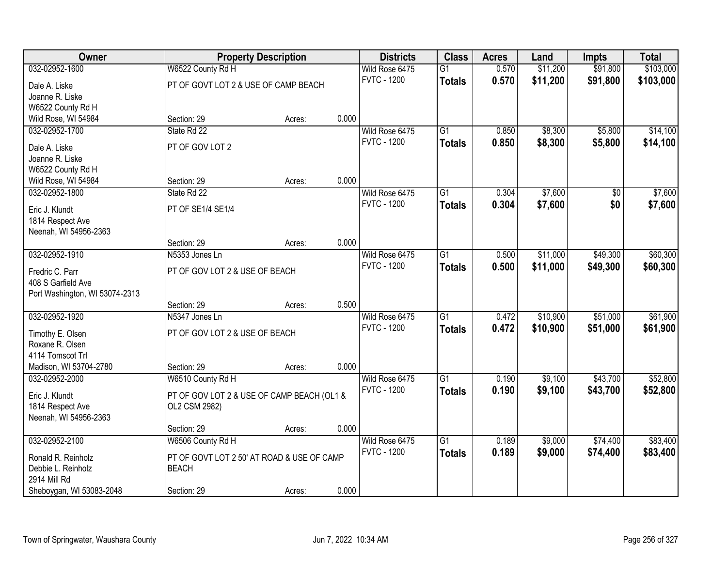| \$103,000<br>032-02952-1600<br>W6522 County Rd H<br>Wild Rose 6475<br>0.570<br>\$11,200<br>\$91,800<br>$\overline{G1}$<br><b>FVTC - 1200</b><br>0.570<br>\$11,200<br>\$91,800<br>\$103,000<br><b>Totals</b><br>PT OF GOVT LOT 2 & USE OF CAMP BEACH<br>Dale A. Liske<br>Joanne R. Liske<br>W6522 County Rd H<br>0.000<br>Wild Rose, WI 54984<br>Section: 29<br>Acres:<br>\$8,300<br>032-02952-1700<br>State Rd 22<br>$\overline{G1}$<br>0.850<br>\$5,800<br>\$14,100<br>Wild Rose 6475<br><b>FVTC - 1200</b><br>0.850<br>\$8,300<br>\$5,800<br>\$14,100<br><b>Totals</b><br>PT OF GOV LOT 2<br>Dale A. Liske<br>Joanne R. Liske<br>W6522 County Rd H<br>0.000<br>Wild Rose, WI 54984<br>Section: 29<br>Acres:<br>\$7,600<br>032-02952-1800<br>0.304<br>\$7,600<br>State Rd 22<br>Wild Rose 6475<br>G1<br>\$0<br><b>FVTC - 1200</b><br>\$0<br>0.304<br>\$7,600<br><b>Totals</b><br>\$7,600<br>Eric J. Klundt<br>PT OF SE1/4 SE1/4<br>1814 Respect Ave<br>Neenah, WI 54956-2363<br>0.000<br>Section: 29<br>Acres:<br>\$11,000<br>\$49,300<br>\$60,300<br>032-02952-1910<br>N5353 Jones Ln<br>Wild Rose 6475<br>$\overline{G1}$<br>0.500<br><b>FVTC - 1200</b><br>0.500<br>\$11,000<br>\$49,300<br>\$60,300<br><b>Totals</b><br>PT OF GOV LOT 2 & USE OF BEACH<br>Fredric C. Parr<br>408 S Garfield Ave<br>Port Washington, WI 53074-2313<br>0.500<br>Section: 29<br>Acres:<br>\$51,000<br>\$61,900<br>032-02952-1920<br>N5347 Jones Ln<br>$\overline{G1}$<br>0.472<br>\$10,900<br>Wild Rose 6475<br><b>FVTC - 1200</b><br>0.472<br>\$10,900<br>\$51,000<br>\$61,900<br><b>Totals</b><br>PT OF GOV LOT 2 & USE OF BEACH<br>Timothy E. Olsen<br>Roxane R. Olsen<br>4114 Tomscot Trl<br>Madison, WI 53704-2780<br>0.000<br>Section: 29<br>Acres:<br>$\overline{G1}$<br>\$9,100<br>\$43,700<br>\$52,800<br>032-02952-2000<br>0.190<br>W6510 County Rd H<br>Wild Rose 6475<br><b>FVTC - 1200</b><br>0.190<br>\$9,100<br>\$52,800<br><b>Totals</b><br>\$43,700<br>Eric J. Klundt<br>PT OF GOV LOT 2 & USE OF CAMP BEACH (OL1 &<br>OL2 CSM 2982)<br>1814 Respect Ave<br>Neenah, WI 54956-2363 | Owner | <b>Property Description</b> | <b>Districts</b> | <b>Class</b> | <b>Acres</b> | Land | <b>Impts</b> | <b>Total</b> |
|--------------------------------------------------------------------------------------------------------------------------------------------------------------------------------------------------------------------------------------------------------------------------------------------------------------------------------------------------------------------------------------------------------------------------------------------------------------------------------------------------------------------------------------------------------------------------------------------------------------------------------------------------------------------------------------------------------------------------------------------------------------------------------------------------------------------------------------------------------------------------------------------------------------------------------------------------------------------------------------------------------------------------------------------------------------------------------------------------------------------------------------------------------------------------------------------------------------------------------------------------------------------------------------------------------------------------------------------------------------------------------------------------------------------------------------------------------------------------------------------------------------------------------------------------------------------------------------------------------------------------------------------------------------------------------------------------------------------------------------------------------------------------------------------------------------------------------------------------------------------------------------------------------------------------------------------------------------------------------------------------------------------------------------------------------------------------------------|-------|-----------------------------|------------------|--------------|--------------|------|--------------|--------------|
|                                                                                                                                                                                                                                                                                                                                                                                                                                                                                                                                                                                                                                                                                                                                                                                                                                                                                                                                                                                                                                                                                                                                                                                                                                                                                                                                                                                                                                                                                                                                                                                                                                                                                                                                                                                                                                                                                                                                                                                                                                                                                      |       |                             |                  |              |              |      |              |              |
|                                                                                                                                                                                                                                                                                                                                                                                                                                                                                                                                                                                                                                                                                                                                                                                                                                                                                                                                                                                                                                                                                                                                                                                                                                                                                                                                                                                                                                                                                                                                                                                                                                                                                                                                                                                                                                                                                                                                                                                                                                                                                      |       |                             |                  |              |              |      |              |              |
|                                                                                                                                                                                                                                                                                                                                                                                                                                                                                                                                                                                                                                                                                                                                                                                                                                                                                                                                                                                                                                                                                                                                                                                                                                                                                                                                                                                                                                                                                                                                                                                                                                                                                                                                                                                                                                                                                                                                                                                                                                                                                      |       |                             |                  |              |              |      |              |              |
|                                                                                                                                                                                                                                                                                                                                                                                                                                                                                                                                                                                                                                                                                                                                                                                                                                                                                                                                                                                                                                                                                                                                                                                                                                                                                                                                                                                                                                                                                                                                                                                                                                                                                                                                                                                                                                                                                                                                                                                                                                                                                      |       |                             |                  |              |              |      |              |              |
|                                                                                                                                                                                                                                                                                                                                                                                                                                                                                                                                                                                                                                                                                                                                                                                                                                                                                                                                                                                                                                                                                                                                                                                                                                                                                                                                                                                                                                                                                                                                                                                                                                                                                                                                                                                                                                                                                                                                                                                                                                                                                      |       |                             |                  |              |              |      |              |              |
|                                                                                                                                                                                                                                                                                                                                                                                                                                                                                                                                                                                                                                                                                                                                                                                                                                                                                                                                                                                                                                                                                                                                                                                                                                                                                                                                                                                                                                                                                                                                                                                                                                                                                                                                                                                                                                                                                                                                                                                                                                                                                      |       |                             |                  |              |              |      |              |              |
|                                                                                                                                                                                                                                                                                                                                                                                                                                                                                                                                                                                                                                                                                                                                                                                                                                                                                                                                                                                                                                                                                                                                                                                                                                                                                                                                                                                                                                                                                                                                                                                                                                                                                                                                                                                                                                                                                                                                                                                                                                                                                      |       |                             |                  |              |              |      |              |              |
|                                                                                                                                                                                                                                                                                                                                                                                                                                                                                                                                                                                                                                                                                                                                                                                                                                                                                                                                                                                                                                                                                                                                                                                                                                                                                                                                                                                                                                                                                                                                                                                                                                                                                                                                                                                                                                                                                                                                                                                                                                                                                      |       |                             |                  |              |              |      |              |              |
|                                                                                                                                                                                                                                                                                                                                                                                                                                                                                                                                                                                                                                                                                                                                                                                                                                                                                                                                                                                                                                                                                                                                                                                                                                                                                                                                                                                                                                                                                                                                                                                                                                                                                                                                                                                                                                                                                                                                                                                                                                                                                      |       |                             |                  |              |              |      |              |              |
|                                                                                                                                                                                                                                                                                                                                                                                                                                                                                                                                                                                                                                                                                                                                                                                                                                                                                                                                                                                                                                                                                                                                                                                                                                                                                                                                                                                                                                                                                                                                                                                                                                                                                                                                                                                                                                                                                                                                                                                                                                                                                      |       |                             |                  |              |              |      |              |              |
|                                                                                                                                                                                                                                                                                                                                                                                                                                                                                                                                                                                                                                                                                                                                                                                                                                                                                                                                                                                                                                                                                                                                                                                                                                                                                                                                                                                                                                                                                                                                                                                                                                                                                                                                                                                                                                                                                                                                                                                                                                                                                      |       |                             |                  |              |              |      |              |              |
|                                                                                                                                                                                                                                                                                                                                                                                                                                                                                                                                                                                                                                                                                                                                                                                                                                                                                                                                                                                                                                                                                                                                                                                                                                                                                                                                                                                                                                                                                                                                                                                                                                                                                                                                                                                                                                                                                                                                                                                                                                                                                      |       |                             |                  |              |              |      |              |              |
|                                                                                                                                                                                                                                                                                                                                                                                                                                                                                                                                                                                                                                                                                                                                                                                                                                                                                                                                                                                                                                                                                                                                                                                                                                                                                                                                                                                                                                                                                                                                                                                                                                                                                                                                                                                                                                                                                                                                                                                                                                                                                      |       |                             |                  |              |              |      |              |              |
|                                                                                                                                                                                                                                                                                                                                                                                                                                                                                                                                                                                                                                                                                                                                                                                                                                                                                                                                                                                                                                                                                                                                                                                                                                                                                                                                                                                                                                                                                                                                                                                                                                                                                                                                                                                                                                                                                                                                                                                                                                                                                      |       |                             |                  |              |              |      |              |              |
|                                                                                                                                                                                                                                                                                                                                                                                                                                                                                                                                                                                                                                                                                                                                                                                                                                                                                                                                                                                                                                                                                                                                                                                                                                                                                                                                                                                                                                                                                                                                                                                                                                                                                                                                                                                                                                                                                                                                                                                                                                                                                      |       |                             |                  |              |              |      |              |              |
|                                                                                                                                                                                                                                                                                                                                                                                                                                                                                                                                                                                                                                                                                                                                                                                                                                                                                                                                                                                                                                                                                                                                                                                                                                                                                                                                                                                                                                                                                                                                                                                                                                                                                                                                                                                                                                                                                                                                                                                                                                                                                      |       |                             |                  |              |              |      |              |              |
|                                                                                                                                                                                                                                                                                                                                                                                                                                                                                                                                                                                                                                                                                                                                                                                                                                                                                                                                                                                                                                                                                                                                                                                                                                                                                                                                                                                                                                                                                                                                                                                                                                                                                                                                                                                                                                                                                                                                                                                                                                                                                      |       |                             |                  |              |              |      |              |              |
|                                                                                                                                                                                                                                                                                                                                                                                                                                                                                                                                                                                                                                                                                                                                                                                                                                                                                                                                                                                                                                                                                                                                                                                                                                                                                                                                                                                                                                                                                                                                                                                                                                                                                                                                                                                                                                                                                                                                                                                                                                                                                      |       |                             |                  |              |              |      |              |              |
|                                                                                                                                                                                                                                                                                                                                                                                                                                                                                                                                                                                                                                                                                                                                                                                                                                                                                                                                                                                                                                                                                                                                                                                                                                                                                                                                                                                                                                                                                                                                                                                                                                                                                                                                                                                                                                                                                                                                                                                                                                                                                      |       |                             |                  |              |              |      |              |              |
|                                                                                                                                                                                                                                                                                                                                                                                                                                                                                                                                                                                                                                                                                                                                                                                                                                                                                                                                                                                                                                                                                                                                                                                                                                                                                                                                                                                                                                                                                                                                                                                                                                                                                                                                                                                                                                                                                                                                                                                                                                                                                      |       |                             |                  |              |              |      |              |              |
|                                                                                                                                                                                                                                                                                                                                                                                                                                                                                                                                                                                                                                                                                                                                                                                                                                                                                                                                                                                                                                                                                                                                                                                                                                                                                                                                                                                                                                                                                                                                                                                                                                                                                                                                                                                                                                                                                                                                                                                                                                                                                      |       |                             |                  |              |              |      |              |              |
|                                                                                                                                                                                                                                                                                                                                                                                                                                                                                                                                                                                                                                                                                                                                                                                                                                                                                                                                                                                                                                                                                                                                                                                                                                                                                                                                                                                                                                                                                                                                                                                                                                                                                                                                                                                                                                                                                                                                                                                                                                                                                      |       |                             |                  |              |              |      |              |              |
|                                                                                                                                                                                                                                                                                                                                                                                                                                                                                                                                                                                                                                                                                                                                                                                                                                                                                                                                                                                                                                                                                                                                                                                                                                                                                                                                                                                                                                                                                                                                                                                                                                                                                                                                                                                                                                                                                                                                                                                                                                                                                      |       |                             |                  |              |              |      |              |              |
|                                                                                                                                                                                                                                                                                                                                                                                                                                                                                                                                                                                                                                                                                                                                                                                                                                                                                                                                                                                                                                                                                                                                                                                                                                                                                                                                                                                                                                                                                                                                                                                                                                                                                                                                                                                                                                                                                                                                                                                                                                                                                      |       |                             |                  |              |              |      |              |              |
|                                                                                                                                                                                                                                                                                                                                                                                                                                                                                                                                                                                                                                                                                                                                                                                                                                                                                                                                                                                                                                                                                                                                                                                                                                                                                                                                                                                                                                                                                                                                                                                                                                                                                                                                                                                                                                                                                                                                                                                                                                                                                      |       |                             |                  |              |              |      |              |              |
|                                                                                                                                                                                                                                                                                                                                                                                                                                                                                                                                                                                                                                                                                                                                                                                                                                                                                                                                                                                                                                                                                                                                                                                                                                                                                                                                                                                                                                                                                                                                                                                                                                                                                                                                                                                                                                                                                                                                                                                                                                                                                      |       |                             |                  |              |              |      |              |              |
|                                                                                                                                                                                                                                                                                                                                                                                                                                                                                                                                                                                                                                                                                                                                                                                                                                                                                                                                                                                                                                                                                                                                                                                                                                                                                                                                                                                                                                                                                                                                                                                                                                                                                                                                                                                                                                                                                                                                                                                                                                                                                      |       |                             |                  |              |              |      |              |              |
|                                                                                                                                                                                                                                                                                                                                                                                                                                                                                                                                                                                                                                                                                                                                                                                                                                                                                                                                                                                                                                                                                                                                                                                                                                                                                                                                                                                                                                                                                                                                                                                                                                                                                                                                                                                                                                                                                                                                                                                                                                                                                      |       |                             |                  |              |              |      |              |              |
|                                                                                                                                                                                                                                                                                                                                                                                                                                                                                                                                                                                                                                                                                                                                                                                                                                                                                                                                                                                                                                                                                                                                                                                                                                                                                                                                                                                                                                                                                                                                                                                                                                                                                                                                                                                                                                                                                                                                                                                                                                                                                      |       |                             |                  |              |              |      |              |              |
|                                                                                                                                                                                                                                                                                                                                                                                                                                                                                                                                                                                                                                                                                                                                                                                                                                                                                                                                                                                                                                                                                                                                                                                                                                                                                                                                                                                                                                                                                                                                                                                                                                                                                                                                                                                                                                                                                                                                                                                                                                                                                      |       |                             |                  |              |              |      |              |              |
|                                                                                                                                                                                                                                                                                                                                                                                                                                                                                                                                                                                                                                                                                                                                                                                                                                                                                                                                                                                                                                                                                                                                                                                                                                                                                                                                                                                                                                                                                                                                                                                                                                                                                                                                                                                                                                                                                                                                                                                                                                                                                      |       |                             |                  |              |              |      |              |              |
| 0.000<br>Section: 29<br>Acres:                                                                                                                                                                                                                                                                                                                                                                                                                                                                                                                                                                                                                                                                                                                                                                                                                                                                                                                                                                                                                                                                                                                                                                                                                                                                                                                                                                                                                                                                                                                                                                                                                                                                                                                                                                                                                                                                                                                                                                                                                                                       |       |                             |                  |              |              |      |              |              |
| 032-02952-2100<br>\$9,000<br>\$74,400<br>\$83,400<br>W6506 County Rd H<br>Wild Rose 6475<br>$\overline{G1}$<br>0.189                                                                                                                                                                                                                                                                                                                                                                                                                                                                                                                                                                                                                                                                                                                                                                                                                                                                                                                                                                                                                                                                                                                                                                                                                                                                                                                                                                                                                                                                                                                                                                                                                                                                                                                                                                                                                                                                                                                                                                 |       |                             |                  |              |              |      |              |              |
| <b>FVTC - 1200</b><br>0.189<br>\$74,400<br>\$9,000<br>\$83,400<br><b>Totals</b>                                                                                                                                                                                                                                                                                                                                                                                                                                                                                                                                                                                                                                                                                                                                                                                                                                                                                                                                                                                                                                                                                                                                                                                                                                                                                                                                                                                                                                                                                                                                                                                                                                                                                                                                                                                                                                                                                                                                                                                                      |       |                             |                  |              |              |      |              |              |
| PT OF GOVT LOT 2 50' AT ROAD & USE OF CAMP<br>Ronald R. Reinholz<br>Debbie L. Reinholz                                                                                                                                                                                                                                                                                                                                                                                                                                                                                                                                                                                                                                                                                                                                                                                                                                                                                                                                                                                                                                                                                                                                                                                                                                                                                                                                                                                                                                                                                                                                                                                                                                                                                                                                                                                                                                                                                                                                                                                               |       |                             |                  |              |              |      |              |              |
| <b>BEACH</b><br>2914 Mill Rd                                                                                                                                                                                                                                                                                                                                                                                                                                                                                                                                                                                                                                                                                                                                                                                                                                                                                                                                                                                                                                                                                                                                                                                                                                                                                                                                                                                                                                                                                                                                                                                                                                                                                                                                                                                                                                                                                                                                                                                                                                                         |       |                             |                  |              |              |      |              |              |
| 0.000<br>Sheboygan, WI 53083-2048<br>Section: 29<br>Acres:                                                                                                                                                                                                                                                                                                                                                                                                                                                                                                                                                                                                                                                                                                                                                                                                                                                                                                                                                                                                                                                                                                                                                                                                                                                                                                                                                                                                                                                                                                                                                                                                                                                                                                                                                                                                                                                                                                                                                                                                                           |       |                             |                  |              |              |      |              |              |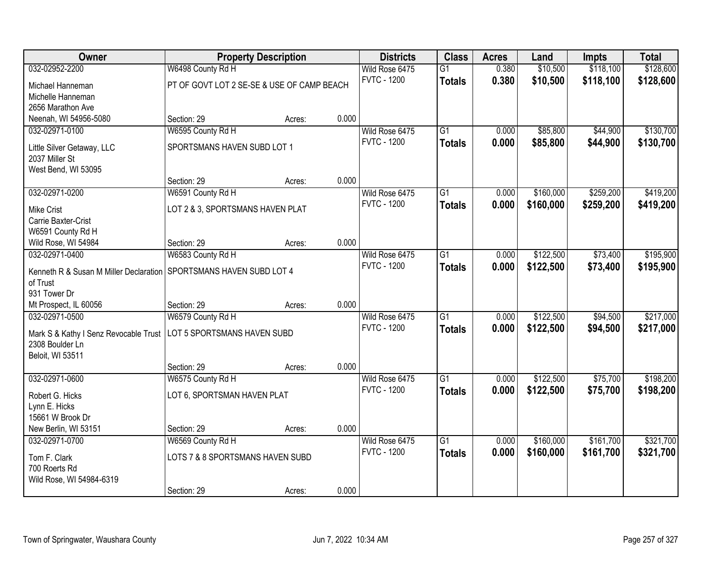| <b>Owner</b>                                                       |                                            | <b>Property Description</b> |       | <b>Districts</b>   | <b>Class</b>    | <b>Acres</b> | Land      | <b>Impts</b> | <b>Total</b> |
|--------------------------------------------------------------------|--------------------------------------------|-----------------------------|-------|--------------------|-----------------|--------------|-----------|--------------|--------------|
| 032-02952-2200                                                     | W6498 County Rd H                          |                             |       | Wild Rose 6475     | $\overline{G1}$ | 0.380        | \$10,500  | \$118,100    | \$128,600    |
| Michael Hanneman                                                   | PT OF GOVT LOT 2 SE-SE & USE OF CAMP BEACH |                             |       | <b>FVTC - 1200</b> | <b>Totals</b>   | 0.380        | \$10,500  | \$118,100    | \$128,600    |
| Michelle Hanneman                                                  |                                            |                             |       |                    |                 |              |           |              |              |
| 2656 Marathon Ave                                                  |                                            |                             |       |                    |                 |              |           |              |              |
| Neenah, WI 54956-5080                                              | Section: 29                                | Acres:                      | 0.000 |                    |                 |              |           |              |              |
| 032-02971-0100                                                     | W6595 County Rd H                          |                             |       | Wild Rose 6475     | G1              | 0.000        | \$85,800  | \$44,900     | \$130,700    |
| Little Silver Getaway, LLC                                         | SPORTSMANS HAVEN SUBD LOT 1                |                             |       | <b>FVTC - 1200</b> | <b>Totals</b>   | 0.000        | \$85,800  | \$44,900     | \$130,700    |
| 2037 Miller St                                                     |                                            |                             |       |                    |                 |              |           |              |              |
| West Bend, WI 53095                                                |                                            |                             |       |                    |                 |              |           |              |              |
|                                                                    | Section: 29                                | Acres:                      | 0.000 |                    |                 |              |           |              |              |
| 032-02971-0200                                                     | W6591 County Rd H                          |                             |       | Wild Rose 6475     | $\overline{G1}$ | 0.000        | \$160,000 | \$259,200    | \$419,200    |
| <b>Mike Crist</b>                                                  | LOT 2 & 3, SPORTSMANS HAVEN PLAT           |                             |       | <b>FVTC - 1200</b> | <b>Totals</b>   | 0.000        | \$160,000 | \$259,200    | \$419,200    |
| Carrie Baxter-Crist                                                |                                            |                             |       |                    |                 |              |           |              |              |
| W6591 County Rd H                                                  |                                            |                             |       |                    |                 |              |           |              |              |
| Wild Rose, WI 54984                                                | Section: 29                                | Acres:                      | 0.000 |                    |                 |              |           |              |              |
| 032-02971-0400                                                     | W6583 County Rd H                          |                             |       | Wild Rose 6475     | $\overline{G1}$ | 0.000        | \$122,500 | \$73,400     | \$195,900    |
| Kenneth R & Susan M Miller Declaration SPORTSMANS HAVEN SUBD LOT 4 |                                            |                             |       | <b>FVTC - 1200</b> | <b>Totals</b>   | 0.000        | \$122,500 | \$73,400     | \$195,900    |
| of Trust                                                           |                                            |                             |       |                    |                 |              |           |              |              |
| 931 Tower Dr                                                       |                                            |                             |       |                    |                 |              |           |              |              |
| Mt Prospect, IL 60056                                              | Section: 29                                | Acres:                      | 0.000 |                    |                 |              |           |              |              |
| 032-02971-0500                                                     | W6579 County Rd H                          |                             |       | Wild Rose 6475     | $\overline{G1}$ | 0.000        | \$122,500 | \$94,500     | \$217,000    |
| Mark S & Kathy I Senz Revocable Trust                              | LOT 5 SPORTSMANS HAVEN SUBD                |                             |       | <b>FVTC - 1200</b> | <b>Totals</b>   | 0.000        | \$122,500 | \$94,500     | \$217,000    |
| 2308 Boulder Ln                                                    |                                            |                             |       |                    |                 |              |           |              |              |
| Beloit, WI 53511                                                   |                                            |                             |       |                    |                 |              |           |              |              |
|                                                                    | Section: 29                                | Acres:                      | 0.000 |                    |                 |              |           |              |              |
| 032-02971-0600                                                     | W6575 County Rd H                          |                             |       | Wild Rose 6475     | $\overline{G1}$ | 0.000        | \$122,500 | \$75,700     | \$198,200    |
| Robert G. Hicks                                                    | LOT 6, SPORTSMAN HAVEN PLAT                |                             |       | <b>FVTC - 1200</b> | <b>Totals</b>   | 0.000        | \$122,500 | \$75,700     | \$198,200    |
| Lynn E. Hicks                                                      |                                            |                             |       |                    |                 |              |           |              |              |
| 15661 W Brook Dr                                                   |                                            |                             |       |                    |                 |              |           |              |              |
| New Berlin, WI 53151                                               | Section: 29                                | Acres:                      | 0.000 |                    |                 |              |           |              |              |
| 032-02971-0700                                                     | W6569 County Rd H                          |                             |       | Wild Rose 6475     | $\overline{G1}$ | 0.000        | \$160,000 | \$161,700    | \$321,700    |
| Tom F. Clark                                                       | LOTS 7 & 8 SPORTSMANS HAVEN SUBD           |                             |       | <b>FVTC - 1200</b> | <b>Totals</b>   | 0.000        | \$160,000 | \$161,700    | \$321,700    |
| 700 Roerts Rd                                                      |                                            |                             |       |                    |                 |              |           |              |              |
| Wild Rose, WI 54984-6319                                           |                                            |                             |       |                    |                 |              |           |              |              |
|                                                                    | Section: 29                                | Acres:                      | 0.000 |                    |                 |              |           |              |              |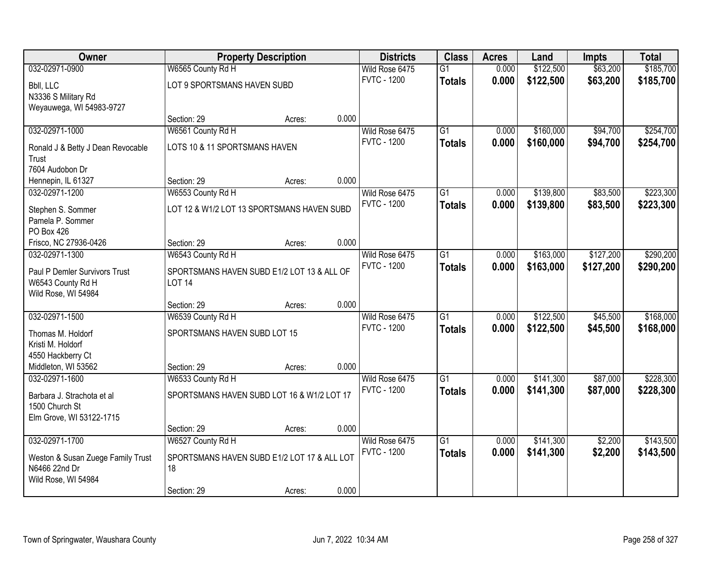| Owner                                              |                                                   | <b>Property Description</b> |       | <b>Districts</b>   | <b>Class</b>    | <b>Acres</b> | Land      | <b>Impts</b> | <b>Total</b> |
|----------------------------------------------------|---------------------------------------------------|-----------------------------|-------|--------------------|-----------------|--------------|-----------|--------------|--------------|
| 032-02971-0900                                     | W6565 County Rd H                                 |                             |       | Wild Rose 6475     | $\overline{G1}$ | 0.000        | \$122,500 | \$63,200     | \$185,700    |
| Bbll, LLC                                          | LOT 9 SPORTSMANS HAVEN SUBD                       |                             |       | <b>FVTC - 1200</b> | <b>Totals</b>   | 0.000        | \$122,500 | \$63,200     | \$185,700    |
| N3336 S Military Rd                                |                                                   |                             |       |                    |                 |              |           |              |              |
| Weyauwega, WI 54983-9727                           |                                                   |                             |       |                    |                 |              |           |              |              |
|                                                    | Section: 29                                       | Acres:                      | 0.000 |                    |                 |              |           |              |              |
| 032-02971-1000                                     | W6561 County Rd H                                 |                             |       | Wild Rose 6475     | $\overline{G1}$ | 0.000        | \$160,000 | \$94,700     | \$254,700    |
| Ronald J & Betty J Dean Revocable                  | LOTS 10 & 11 SPORTSMANS HAVEN                     |                             |       | <b>FVTC - 1200</b> | <b>Totals</b>   | 0.000        | \$160,000 | \$94,700     | \$254,700    |
| Trust                                              |                                                   |                             |       |                    |                 |              |           |              |              |
| 7604 Audobon Dr                                    |                                                   |                             |       |                    |                 |              |           |              |              |
| Hennepin, IL 61327                                 | Section: 29                                       | Acres:                      | 0.000 |                    |                 |              |           |              |              |
| 032-02971-1200                                     | W6553 County Rd H                                 |                             |       | Wild Rose 6475     | G1              | 0.000        | \$139,800 | \$83,500     | \$223,300    |
| Stephen S. Sommer                                  | LOT 12 & W1/2 LOT 13 SPORTSMANS HAVEN SUBD        |                             |       | <b>FVTC - 1200</b> | <b>Totals</b>   | 0.000        | \$139,800 | \$83,500     | \$223,300    |
| Pamela P. Sommer                                   |                                                   |                             |       |                    |                 |              |           |              |              |
| PO Box 426                                         |                                                   |                             |       |                    |                 |              |           |              |              |
| Frisco, NC 27936-0426                              | Section: 29                                       | Acres:                      | 0.000 |                    |                 |              |           |              |              |
| 032-02971-1300                                     | W6543 County Rd H                                 |                             |       | Wild Rose 6475     | $\overline{G1}$ | 0.000        | \$163,000 | \$127,200    | \$290,200    |
| Paul P Demler Survivors Trust                      | SPORTSMANS HAVEN SUBD E1/2 LOT 13 & ALL OF        |                             |       | <b>FVTC - 1200</b> | <b>Totals</b>   | 0.000        | \$163,000 | \$127,200    | \$290,200    |
| W6543 County Rd H                                  | <b>LOT 14</b>                                     |                             |       |                    |                 |              |           |              |              |
| Wild Rose, WI 54984                                |                                                   |                             |       |                    |                 |              |           |              |              |
|                                                    | Section: 29                                       | Acres:                      | 0.000 |                    |                 |              |           |              |              |
| 032-02971-1500                                     | W6539 County Rd H                                 |                             |       | Wild Rose 6475     | $\overline{G1}$ | 0.000        | \$122,500 | \$45,500     | \$168,000    |
| Thomas M. Holdorf                                  | SPORTSMANS HAVEN SUBD LOT 15                      |                             |       | <b>FVTC - 1200</b> | <b>Totals</b>   | 0.000        | \$122,500 | \$45,500     | \$168,000    |
| Kristi M. Holdorf                                  |                                                   |                             |       |                    |                 |              |           |              |              |
| 4550 Hackberry Ct                                  |                                                   |                             |       |                    |                 |              |           |              |              |
| Middleton, WI 53562                                | Section: 29                                       | Acres:                      | 0.000 |                    |                 |              |           |              |              |
| 032-02971-1600                                     | W6533 County Rd H                                 |                             |       | Wild Rose 6475     | $\overline{G1}$ | 0.000        | \$141,300 | \$87,000     | \$228,300    |
|                                                    | SPORTSMANS HAVEN SUBD LOT 16 & W1/2 LOT 17        |                             |       | <b>FVTC - 1200</b> | <b>Totals</b>   | 0.000        | \$141,300 | \$87,000     | \$228,300    |
| Barbara J. Strachota et al<br>1500 Church St       |                                                   |                             |       |                    |                 |              |           |              |              |
| Elm Grove, WI 53122-1715                           |                                                   |                             |       |                    |                 |              |           |              |              |
|                                                    | Section: 29                                       | Acres:                      | 0.000 |                    |                 |              |           |              |              |
| 032-02971-1700                                     | W6527 County Rd H                                 |                             |       | Wild Rose 6475     | $\overline{G1}$ | 0.000        | \$141,300 | \$2,200      | \$143,500    |
|                                                    |                                                   |                             |       | <b>FVTC - 1200</b> | <b>Totals</b>   | 0.000        | \$141,300 | \$2,200      | \$143,500    |
| Weston & Susan Zuege Family Trust<br>N6466 22nd Dr | SPORTSMANS HAVEN SUBD E1/2 LOT 17 & ALL LOT<br>18 |                             |       |                    |                 |              |           |              |              |
| Wild Rose, WI 54984                                |                                                   |                             |       |                    |                 |              |           |              |              |
|                                                    | Section: 29                                       | Acres:                      | 0.000 |                    |                 |              |           |              |              |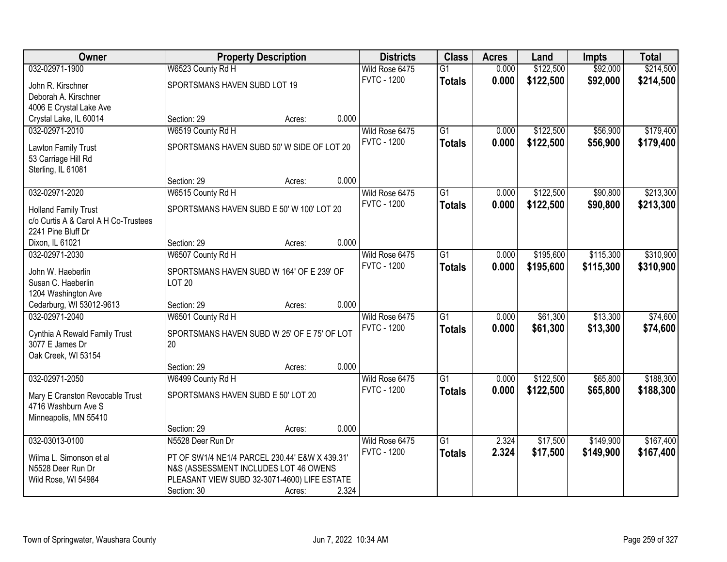| <b>Owner</b>                         |                                                | <b>Property Description</b> |       | <b>Districts</b>                     | <b>Class</b>    | <b>Acres</b> | Land      | <b>Impts</b> | <b>Total</b> |
|--------------------------------------|------------------------------------------------|-----------------------------|-------|--------------------------------------|-----------------|--------------|-----------|--------------|--------------|
| 032-02971-1900                       | W6523 County Rd H                              |                             |       | Wild Rose 6475                       | $\overline{G1}$ | 0.000        | \$122,500 | \$92,000     | \$214,500    |
| John R. Kirschner                    | SPORTSMANS HAVEN SUBD LOT 19                   |                             |       | <b>FVTC - 1200</b>                   | <b>Totals</b>   | 0.000        | \$122,500 | \$92,000     | \$214,500    |
| Deborah A. Kirschner                 |                                                |                             |       |                                      |                 |              |           |              |              |
| 4006 E Crystal Lake Ave              |                                                |                             |       |                                      |                 |              |           |              |              |
| Crystal Lake, IL 60014               | Section: 29                                    | Acres:                      | 0.000 |                                      |                 |              |           |              |              |
| 032-02971-2010                       | W6519 County Rd H                              |                             |       | Wild Rose 6475                       | $\overline{G1}$ | 0.000        | \$122,500 | \$56,900     | \$179,400    |
|                                      |                                                |                             |       | <b>FVTC - 1200</b>                   | <b>Totals</b>   | 0.000        | \$122,500 | \$56,900     | \$179,400    |
| Lawton Family Trust                  | SPORTSMANS HAVEN SUBD 50' W SIDE OF LOT 20     |                             |       |                                      |                 |              |           |              |              |
| 53 Carriage Hill Rd                  |                                                |                             |       |                                      |                 |              |           |              |              |
| Sterling, IL 61081                   | Section: 29                                    |                             | 0.000 |                                      |                 |              |           |              |              |
|                                      |                                                | Acres:                      |       |                                      |                 |              | \$122,500 |              | \$213,300    |
| 032-02971-2020                       | W6515 County Rd H                              |                             |       | Wild Rose 6475<br><b>FVTC - 1200</b> | G1              | 0.000        |           | \$90,800     |              |
| <b>Holland Family Trust</b>          | SPORTSMANS HAVEN SUBD E 50' W 100' LOT 20      |                             |       |                                      | <b>Totals</b>   | 0.000        | \$122,500 | \$90,800     | \$213,300    |
| c/o Curtis A & Carol A H Co-Trustees |                                                |                             |       |                                      |                 |              |           |              |              |
| 2241 Pine Bluff Dr                   |                                                |                             |       |                                      |                 |              |           |              |              |
| Dixon, IL 61021                      | Section: 29                                    | Acres:                      | 0.000 |                                      |                 |              |           |              |              |
| 032-02971-2030                       | W6507 County Rd H                              |                             |       | Wild Rose 6475                       | $\overline{G1}$ | 0.000        | \$195,600 | \$115,300    | \$310,900    |
| John W. Haeberlin                    | SPORTSMANS HAVEN SUBD W 164' OF E 239' OF      |                             |       | <b>FVTC - 1200</b>                   | <b>Totals</b>   | 0.000        | \$195,600 | \$115,300    | \$310,900    |
| Susan C. Haeberlin                   | <b>LOT 20</b>                                  |                             |       |                                      |                 |              |           |              |              |
| 1204 Washington Ave                  |                                                |                             |       |                                      |                 |              |           |              |              |
| Cedarburg, WI 53012-9613             | Section: 29                                    | Acres:                      | 0.000 |                                      |                 |              |           |              |              |
| 032-02971-2040                       | W6501 County Rd H                              |                             |       | Wild Rose 6475                       | $\overline{G1}$ | 0.000        | \$61,300  | \$13,300     | \$74,600     |
|                                      |                                                |                             |       | <b>FVTC - 1200</b>                   | <b>Totals</b>   | 0.000        | \$61,300  | \$13,300     | \$74,600     |
| Cynthia A Rewald Family Trust        | SPORTSMANS HAVEN SUBD W 25' OF E 75' OF LOT    |                             |       |                                      |                 |              |           |              |              |
| 3077 E James Dr                      | 20                                             |                             |       |                                      |                 |              |           |              |              |
| Oak Creek, WI 53154                  |                                                |                             |       |                                      |                 |              |           |              |              |
|                                      | Section: 29                                    | Acres:                      | 0.000 |                                      |                 |              |           |              |              |
| 032-02971-2050                       | W6499 County Rd H                              |                             |       | Wild Rose 6475                       | $\overline{G1}$ | 0.000        | \$122,500 | \$65,800     | \$188,300    |
| Mary E Cranston Revocable Trust      | SPORTSMANS HAVEN SUBD E 50' LOT 20             |                             |       | <b>FVTC - 1200</b>                   | <b>Totals</b>   | 0.000        | \$122,500 | \$65,800     | \$188,300    |
| 4716 Washburn Ave S                  |                                                |                             |       |                                      |                 |              |           |              |              |
| Minneapolis, MN 55410                |                                                |                             |       |                                      |                 |              |           |              |              |
|                                      | Section: 29                                    | Acres:                      | 0.000 |                                      |                 |              |           |              |              |
| 032-03013-0100                       | N5528 Deer Run Dr                              |                             |       | Wild Rose 6475                       | $\overline{G1}$ | 2.324        | \$17,500  | \$149,900    | \$167,400    |
| Wilma L. Simonson et al              | PT OF SW1/4 NE1/4 PARCEL 230.44' E&W X 439.31' |                             |       | <b>FVTC - 1200</b>                   | <b>Totals</b>   | 2.324        | \$17,500  | \$149,900    | \$167,400    |
| N5528 Deer Run Dr                    | N&S (ASSESSMENT INCLUDES LOT 46 OWENS          |                             |       |                                      |                 |              |           |              |              |
| Wild Rose, WI 54984                  | PLEASANT VIEW SUBD 32-3071-4600) LIFE ESTATE   |                             |       |                                      |                 |              |           |              |              |
|                                      | Section: 30                                    | Acres:                      | 2.324 |                                      |                 |              |           |              |              |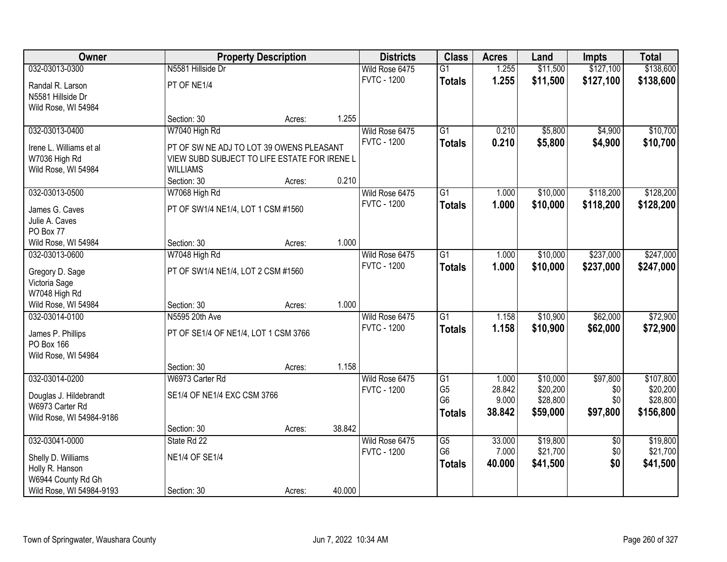| Owner                    |                                              | <b>Property Description</b> |        | <b>Districts</b>   | <b>Class</b>    | <b>Acres</b> | Land     | <b>Impts</b>    | <b>Total</b> |
|--------------------------|----------------------------------------------|-----------------------------|--------|--------------------|-----------------|--------------|----------|-----------------|--------------|
| 032-03013-0300           | N5581 Hillside Dr                            |                             |        | Wild Rose 6475     | $\overline{G1}$ | 1.255        | \$11,500 | \$127,100       | \$138,600    |
| Randal R. Larson         | PT OF NE1/4                                  |                             |        | <b>FVTC - 1200</b> | <b>Totals</b>   | 1.255        | \$11,500 | \$127,100       | \$138,600    |
| N5581 Hillside Dr        |                                              |                             |        |                    |                 |              |          |                 |              |
| Wild Rose, WI 54984      |                                              |                             |        |                    |                 |              |          |                 |              |
|                          | Section: 30                                  | Acres:                      | 1.255  |                    |                 |              |          |                 |              |
| 032-03013-0400           | W7040 High Rd                                |                             |        | Wild Rose 6475     | $\overline{G1}$ | 0.210        | \$5,800  | \$4,900         | \$10,700     |
| Irene L. Williams et al  | PT OF SW NE ADJ TO LOT 39 OWENS PLEASANT     |                             |        | <b>FVTC - 1200</b> | <b>Totals</b>   | 0.210        | \$5,800  | \$4,900         | \$10,700     |
| W7036 High Rd            | VIEW SUBD SUBJECT TO LIFE ESTATE FOR IRENE L |                             |        |                    |                 |              |          |                 |              |
| Wild Rose, WI 54984      | <b>WILLIAMS</b>                              |                             |        |                    |                 |              |          |                 |              |
|                          | Section: 30                                  | Acres:                      | 0.210  |                    |                 |              |          |                 |              |
| 032-03013-0500           | W7068 High Rd                                |                             |        | Wild Rose 6475     | G <sub>1</sub>  | 1.000        | \$10,000 | \$118,200       | \$128,200    |
| James G. Caves           | PT OF SW1/4 NE1/4, LOT 1 CSM #1560           |                             |        | <b>FVTC - 1200</b> | <b>Totals</b>   | 1.000        | \$10,000 | \$118,200       | \$128,200    |
| Julie A. Caves           |                                              |                             |        |                    |                 |              |          |                 |              |
| PO Box 77                |                                              |                             |        |                    |                 |              |          |                 |              |
| Wild Rose, WI 54984      | Section: 30                                  | Acres:                      | 1.000  |                    |                 |              |          |                 |              |
| 032-03013-0600           | W7048 High Rd                                |                             |        | Wild Rose 6475     | $\overline{G1}$ | 1.000        | \$10,000 | \$237,000       | \$247,000    |
| Gregory D. Sage          | PT OF SW1/4 NE1/4, LOT 2 CSM #1560           |                             |        | <b>FVTC - 1200</b> | <b>Totals</b>   | 1.000        | \$10,000 | \$237,000       | \$247,000    |
| Victoria Sage            |                                              |                             |        |                    |                 |              |          |                 |              |
| W7048 High Rd            |                                              |                             |        |                    |                 |              |          |                 |              |
| Wild Rose, WI 54984      | Section: 30                                  | Acres:                      | 1.000  |                    |                 |              |          |                 |              |
| 032-03014-0100           | N5595 20th Ave                               |                             |        | Wild Rose 6475     | $\overline{G1}$ | 1.158        | \$10,900 | \$62,000        | \$72,900     |
| James P. Phillips        | PT OF SE1/4 OF NE1/4, LOT 1 CSM 3766         |                             |        | <b>FVTC - 1200</b> | <b>Totals</b>   | 1.158        | \$10,900 | \$62,000        | \$72,900     |
| PO Box 166               |                                              |                             |        |                    |                 |              |          |                 |              |
| Wild Rose, WI 54984      |                                              |                             |        |                    |                 |              |          |                 |              |
|                          | Section: 30                                  | Acres:                      | 1.158  |                    |                 |              |          |                 |              |
| 032-03014-0200           | W6973 Carter Rd                              |                             |        | Wild Rose 6475     | G1              | 1.000        | \$10,000 | \$97,800        | \$107,800    |
| Douglas J. Hildebrandt   | SE1/4 OF NE1/4 EXC CSM 3766                  |                             |        | <b>FVTC - 1200</b> | G <sub>5</sub>  | 28.842       | \$20,200 | \$0             | \$20,200     |
| W6973 Carter Rd          |                                              |                             |        |                    | G <sub>6</sub>  | 9.000        | \$28,800 | \$0             | \$28,800     |
| Wild Rose, WI 54984-9186 |                                              |                             |        |                    | <b>Totals</b>   | 38.842       | \$59,000 | \$97,800        | \$156,800    |
|                          | Section: 30                                  | Acres:                      | 38.842 |                    |                 |              |          |                 |              |
| 032-03041-0000           | State Rd 22                                  |                             |        | Wild Rose 6475     | G5              | 33.000       | \$19,800 | $\overline{50}$ | \$19,800     |
| Shelly D. Williams       | <b>NE1/4 OF SE1/4</b>                        |                             |        | <b>FVTC - 1200</b> | G <sub>6</sub>  | 7.000        | \$21,700 | \$0             | \$21,700     |
| Holly R. Hanson          |                                              |                             |        |                    | <b>Totals</b>   | 40.000       | \$41,500 | \$0             | \$41,500     |
| W6944 County Rd Gh       |                                              |                             |        |                    |                 |              |          |                 |              |
| Wild Rose, WI 54984-9193 | Section: 30                                  | Acres:                      | 40.000 |                    |                 |              |          |                 |              |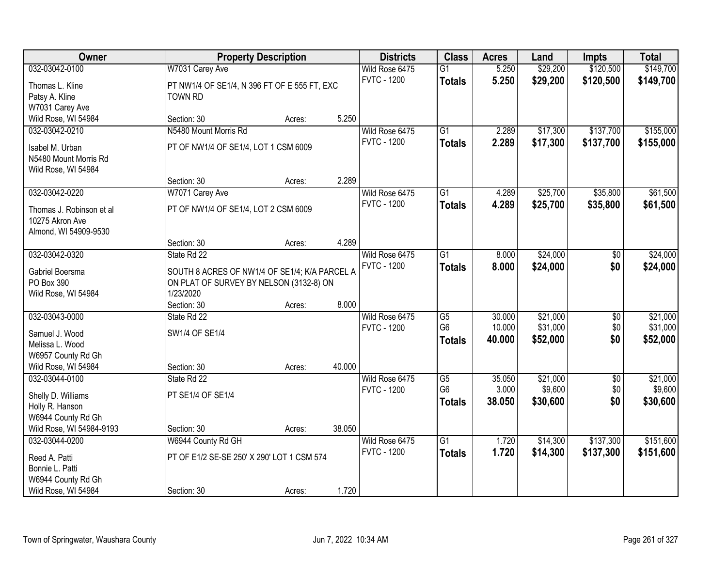| <b>Owner</b>                             |                                               | <b>Property Description</b> |        | <b>Districts</b>   | <b>Class</b>    | <b>Acres</b> | Land     | <b>Impts</b>    | <b>Total</b> |
|------------------------------------------|-----------------------------------------------|-----------------------------|--------|--------------------|-----------------|--------------|----------|-----------------|--------------|
| 032-03042-0100                           | W7031 Carey Ave                               |                             |        | Wild Rose 6475     | $\overline{G1}$ | 5.250        | \$29,200 | \$120,500       | \$149,700    |
| Thomas L. Kline                          | PT NW1/4 OF SE1/4, N 396 FT OF E 555 FT, EXC  |                             |        | <b>FVTC - 1200</b> | <b>Totals</b>   | 5.250        | \$29,200 | \$120,500       | \$149,700    |
| Patsy A. Kline                           | TOWN RD                                       |                             |        |                    |                 |              |          |                 |              |
| W7031 Carey Ave                          |                                               |                             |        |                    |                 |              |          |                 |              |
| Wild Rose, WI 54984                      | Section: 30                                   | Acres:                      | 5.250  |                    |                 |              |          |                 |              |
| 032-03042-0210                           | N5480 Mount Morris Rd                         |                             |        | Wild Rose 6475     | $\overline{G1}$ | 2.289        | \$17,300 | \$137,700       | \$155,000    |
|                                          |                                               |                             |        | <b>FVTC - 1200</b> | <b>Totals</b>   | 2.289        | \$17,300 | \$137,700       | \$155,000    |
| Isabel M. Urban<br>N5480 Mount Morris Rd | PT OF NW1/4 OF SE1/4, LOT 1 CSM 6009          |                             |        |                    |                 |              |          |                 |              |
| Wild Rose, WI 54984                      |                                               |                             |        |                    |                 |              |          |                 |              |
|                                          | Section: 30                                   | Acres:                      | 2.289  |                    |                 |              |          |                 |              |
| 032-03042-0220                           | W7071 Carey Ave                               |                             |        | Wild Rose 6475     | $\overline{G1}$ | 4.289        | \$25,700 | \$35,800        | \$61,500     |
|                                          |                                               |                             |        | <b>FVTC - 1200</b> | <b>Totals</b>   | 4.289        | \$25,700 | \$35,800        | \$61,500     |
| Thomas J. Robinson et al                 | PT OF NW1/4 OF SE1/4, LOT 2 CSM 6009          |                             |        |                    |                 |              |          |                 |              |
| 10275 Akron Ave                          |                                               |                             |        |                    |                 |              |          |                 |              |
| Almond, WI 54909-9530                    |                                               |                             |        |                    |                 |              |          |                 |              |
|                                          | Section: 30                                   | Acres:                      | 4.289  |                    |                 |              |          |                 |              |
| 032-03042-0320                           | State Rd 22                                   |                             |        | Wild Rose 6475     | G1              | 8.000        | \$24,000 | $\sqrt[6]{}$    | \$24,000     |
| Gabriel Boersma                          | SOUTH 8 ACRES OF NW1/4 OF SE1/4; K/A PARCEL A |                             |        | <b>FVTC - 1200</b> | <b>Totals</b>   | 8.000        | \$24,000 | \$0             | \$24,000     |
| PO Box 390                               | ON PLAT OF SURVEY BY NELSON (3132-8) ON       |                             |        |                    |                 |              |          |                 |              |
| Wild Rose, WI 54984                      | 1/23/2020                                     |                             |        |                    |                 |              |          |                 |              |
|                                          | Section: 30                                   | Acres:                      | 8.000  |                    |                 |              |          |                 |              |
| 032-03043-0000                           | State Rd 22                                   |                             |        | Wild Rose 6475     | $\overline{G5}$ | 30.000       | \$21,000 | $\overline{30}$ | \$21,000     |
| Samuel J. Wood                           | SW1/4 OF SE1/4                                |                             |        | <b>FVTC - 1200</b> | G <sub>6</sub>  | 10.000       | \$31,000 | \$0             | \$31,000     |
| Melissa L. Wood                          |                                               |                             |        |                    | <b>Totals</b>   | 40.000       | \$52,000 | \$0             | \$52,000     |
| W6957 County Rd Gh                       |                                               |                             |        |                    |                 |              |          |                 |              |
| Wild Rose, WI 54984                      | Section: 30                                   | Acres:                      | 40.000 |                    |                 |              |          |                 |              |
| 032-03044-0100                           | State Rd 22                                   |                             |        | Wild Rose 6475     | G5              | 35.050       | \$21,000 | $\overline{60}$ | \$21,000     |
| Shelly D. Williams                       | PT SE1/4 OF SE1/4                             |                             |        | <b>FVTC - 1200</b> | G <sub>6</sub>  | 3.000        | \$9,600  | \$0             | \$9,600      |
| Holly R. Hanson                          |                                               |                             |        |                    | <b>Totals</b>   | 38.050       | \$30,600 | \$0             | \$30,600     |
| W6944 County Rd Gh                       |                                               |                             |        |                    |                 |              |          |                 |              |
| Wild Rose, WI 54984-9193                 | Section: 30                                   | Acres:                      | 38.050 |                    |                 |              |          |                 |              |
| 032-03044-0200                           | W6944 County Rd GH                            |                             |        | Wild Rose 6475     | $\overline{G1}$ | 1.720        | \$14,300 | \$137,300       | \$151,600    |
|                                          |                                               |                             |        | <b>FVTC - 1200</b> | <b>Totals</b>   | 1.720        | \$14,300 | \$137,300       | \$151,600    |
| Reed A. Patti                            | PT OF E1/2 SE-SE 250' X 290' LOT 1 CSM 574    |                             |        |                    |                 |              |          |                 |              |
| Bonnie L. Patti                          |                                               |                             |        |                    |                 |              |          |                 |              |
| W6944 County Rd Gh                       |                                               |                             | 1.720  |                    |                 |              |          |                 |              |
| Wild Rose, WI 54984                      | Section: 30                                   | Acres:                      |        |                    |                 |              |          |                 |              |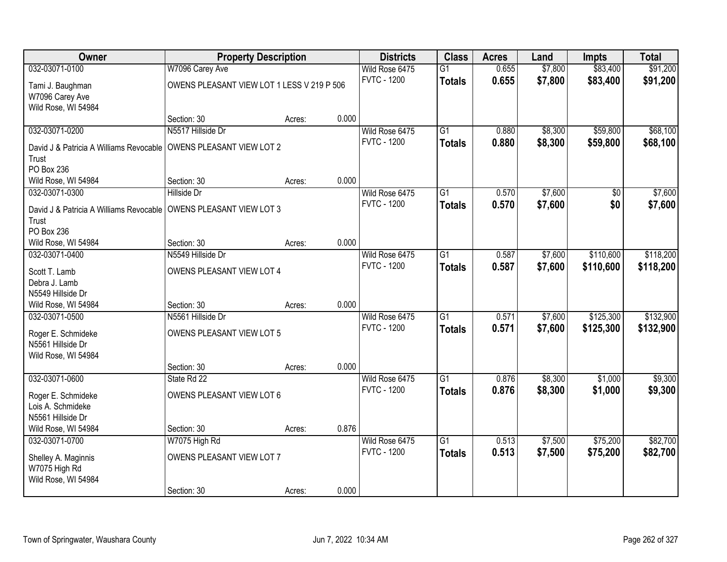| <b>Owner</b>                                                        | <b>Property Description</b>                |        |       | <b>Districts</b>   | <b>Class</b>    | <b>Acres</b> | Land    | <b>Impts</b>   | <b>Total</b> |
|---------------------------------------------------------------------|--------------------------------------------|--------|-------|--------------------|-----------------|--------------|---------|----------------|--------------|
| 032-03071-0100                                                      | W7096 Carey Ave                            |        |       | Wild Rose 6475     | $\overline{G1}$ | 0.655        | \$7,800 | \$83,400       | \$91,200     |
| Tami J. Baughman                                                    | OWENS PLEASANT VIEW LOT 1 LESS V 219 P 506 |        |       | <b>FVTC - 1200</b> | <b>Totals</b>   | 0.655        | \$7,800 | \$83,400       | \$91,200     |
| W7096 Carey Ave                                                     |                                            |        |       |                    |                 |              |         |                |              |
| Wild Rose, WI 54984                                                 |                                            |        |       |                    |                 |              |         |                |              |
|                                                                     | Section: 30                                | Acres: | 0.000 |                    |                 |              |         |                |              |
| 032-03071-0200                                                      | N5517 Hillside Dr                          |        |       | Wild Rose 6475     | $\overline{G1}$ | 0.880        | \$8,300 | \$59,800       | \$68,100     |
| David J & Patricia A Williams Revocable                             | OWENS PLEASANT VIEW LOT 2                  |        |       | <b>FVTC - 1200</b> | Totals          | 0.880        | \$8,300 | \$59,800       | \$68,100     |
| Trust                                                               |                                            |        |       |                    |                 |              |         |                |              |
| <b>PO Box 236</b>                                                   |                                            |        |       |                    |                 |              |         |                |              |
| Wild Rose, WI 54984                                                 | Section: 30                                | Acres: | 0.000 |                    |                 |              |         |                |              |
| 032-03071-0300                                                      | Hillside Dr                                |        |       | Wild Rose 6475     | $\overline{G1}$ | 0.570        | \$7,600 | $\sqrt[6]{30}$ | \$7,600      |
| David J & Patricia A Williams Revocable   OWENS PLEASANT VIEW LOT 3 |                                            |        |       | <b>FVTC - 1200</b> | <b>Totals</b>   | 0.570        | \$7,600 | \$0            | \$7,600      |
| Trust                                                               |                                            |        |       |                    |                 |              |         |                |              |
| PO Box 236                                                          |                                            |        |       |                    |                 |              |         |                |              |
| Wild Rose, WI 54984                                                 | Section: 30                                | Acres: | 0.000 |                    |                 |              |         |                |              |
| 032-03071-0400                                                      | N5549 Hillside Dr                          |        |       | Wild Rose 6475     | $\overline{G1}$ | 0.587        | \$7,600 | \$110,600      | \$118,200    |
| Scott T. Lamb                                                       | OWENS PLEASANT VIEW LOT 4                  |        |       | <b>FVTC - 1200</b> | <b>Totals</b>   | 0.587        | \$7,600 | \$110,600      | \$118,200    |
| Debra J. Lamb                                                       |                                            |        |       |                    |                 |              |         |                |              |
| N5549 Hillside Dr                                                   |                                            |        |       |                    |                 |              |         |                |              |
| Wild Rose, WI 54984                                                 | Section: 30                                | Acres: | 0.000 |                    |                 |              |         |                |              |
| 032-03071-0500                                                      | N5561 Hillside Dr                          |        |       | Wild Rose 6475     | $\overline{G1}$ | 0.571        | \$7,600 | \$125,300      | \$132,900    |
| Roger E. Schmideke                                                  | OWENS PLEASANT VIEW LOT 5                  |        |       | <b>FVTC - 1200</b> | <b>Totals</b>   | 0.571        | \$7,600 | \$125,300      | \$132,900    |
| N5561 Hillside Dr                                                   |                                            |        |       |                    |                 |              |         |                |              |
| Wild Rose, WI 54984                                                 |                                            |        |       |                    |                 |              |         |                |              |
|                                                                     | Section: 30                                | Acres: | 0.000 |                    |                 |              |         |                |              |
| 032-03071-0600                                                      | State Rd 22                                |        |       | Wild Rose 6475     | $\overline{G1}$ | 0.876        | \$8,300 | \$1,000        | \$9,300      |
| Roger E. Schmideke                                                  | OWENS PLEASANT VIEW LOT 6                  |        |       | <b>FVTC - 1200</b> | <b>Totals</b>   | 0.876        | \$8,300 | \$1,000        | \$9,300      |
| Lois A. Schmideke                                                   |                                            |        |       |                    |                 |              |         |                |              |
| N5561 Hillside Dr                                                   |                                            |        |       |                    |                 |              |         |                |              |
| Wild Rose, WI 54984                                                 | Section: 30                                | Acres: | 0.876 |                    |                 |              |         |                |              |
| 032-03071-0700                                                      | W7075 High Rd                              |        |       | Wild Rose 6475     | $\overline{G1}$ | 0.513        | \$7,500 | \$75,200       | \$82,700     |
|                                                                     |                                            |        |       | <b>FVTC - 1200</b> | <b>Totals</b>   | 0.513        | \$7,500 | \$75,200       | \$82,700     |
| Shelley A. Maginnis<br>W7075 High Rd                                | OWENS PLEASANT VIEW LOT 7                  |        |       |                    |                 |              |         |                |              |
| Wild Rose, WI 54984                                                 |                                            |        |       |                    |                 |              |         |                |              |
|                                                                     | Section: 30                                | Acres: | 0.000 |                    |                 |              |         |                |              |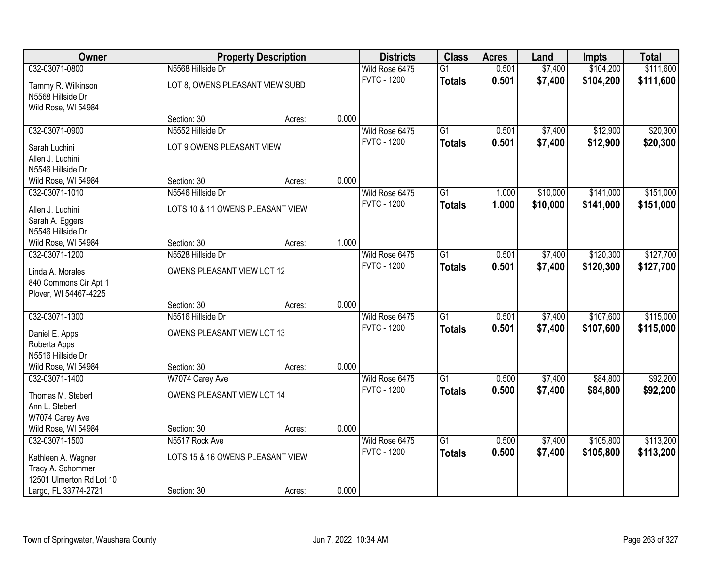| Owner                    |                                  | <b>Property Description</b> |       | <b>Districts</b>   | <b>Class</b>    | <b>Acres</b> | Land     | <b>Impts</b> | <b>Total</b> |
|--------------------------|----------------------------------|-----------------------------|-------|--------------------|-----------------|--------------|----------|--------------|--------------|
| 032-03071-0800           | N5568 Hillside Dr                |                             |       | Wild Rose 6475     | $\overline{G1}$ | 0.501        | \$7,400  | \$104,200    | \$111,600    |
| Tammy R. Wilkinson       | LOT 8, OWENS PLEASANT VIEW SUBD  |                             |       | <b>FVTC - 1200</b> | <b>Totals</b>   | 0.501        | \$7,400  | \$104,200    | \$111,600    |
| N5568 Hillside Dr        |                                  |                             |       |                    |                 |              |          |              |              |
| Wild Rose, WI 54984      |                                  |                             |       |                    |                 |              |          |              |              |
|                          | Section: 30                      | Acres:                      | 0.000 |                    |                 |              |          |              |              |
| 032-03071-0900           | N5552 Hillside Dr                |                             |       | Wild Rose 6475     | $\overline{G1}$ | 0.501        | \$7,400  | \$12,900     | \$20,300     |
| Sarah Luchini            | LOT 9 OWENS PLEASANT VIEW        |                             |       | <b>FVTC - 1200</b> | <b>Totals</b>   | 0.501        | \$7,400  | \$12,900     | \$20,300     |
| Allen J. Luchini         |                                  |                             |       |                    |                 |              |          |              |              |
| N5546 Hillside Dr        |                                  |                             |       |                    |                 |              |          |              |              |
| Wild Rose, WI 54984      | Section: 30                      | Acres:                      | 0.000 |                    |                 |              |          |              |              |
| 032-03071-1010           | N5546 Hillside Dr                |                             |       | Wild Rose 6475     | $\overline{G1}$ | 1.000        | \$10,000 | \$141,000    | \$151,000    |
| Allen J. Luchini         | LOTS 10 & 11 OWENS PLEASANT VIEW |                             |       | <b>FVTC - 1200</b> | <b>Totals</b>   | 1.000        | \$10,000 | \$141,000    | \$151,000    |
| Sarah A. Eggers          |                                  |                             |       |                    |                 |              |          |              |              |
| N5546 Hillside Dr        |                                  |                             |       |                    |                 |              |          |              |              |
| Wild Rose, WI 54984      | Section: 30                      | Acres:                      | 1.000 |                    |                 |              |          |              |              |
| 032-03071-1200           | N5528 Hillside Dr                |                             |       | Wild Rose 6475     | $\overline{G1}$ | 0.501        | \$7,400  | \$120,300    | \$127,700    |
| Linda A. Morales         | OWENS PLEASANT VIEW LOT 12       |                             |       | <b>FVTC - 1200</b> | <b>Totals</b>   | 0.501        | \$7,400  | \$120,300    | \$127,700    |
| 840 Commons Cir Apt 1    |                                  |                             |       |                    |                 |              |          |              |              |
| Plover, WI 54467-4225    |                                  |                             |       |                    |                 |              |          |              |              |
|                          | Section: 30                      | Acres:                      | 0.000 |                    |                 |              |          |              |              |
| 032-03071-1300           | N5516 Hillside Dr                |                             |       | Wild Rose 6475     | $\overline{G1}$ | 0.501        | \$7,400  | \$107,600    | \$115,000    |
| Daniel E. Apps           | OWENS PLEASANT VIEW LOT 13       |                             |       | <b>FVTC - 1200</b> | <b>Totals</b>   | 0.501        | \$7,400  | \$107,600    | \$115,000    |
| Roberta Apps             |                                  |                             |       |                    |                 |              |          |              |              |
| N5516 Hillside Dr        |                                  |                             |       |                    |                 |              |          |              |              |
| Wild Rose, WI 54984      | Section: 30                      | Acres:                      | 0.000 |                    |                 |              |          |              |              |
| 032-03071-1400           | W7074 Carey Ave                  |                             |       | Wild Rose 6475     | $\overline{G1}$ | 0.500        | \$7,400  | \$84,800     | \$92,200     |
| Thomas M. Steberl        | OWENS PLEASANT VIEW LOT 14       |                             |       | <b>FVTC - 1200</b> | <b>Totals</b>   | 0.500        | \$7,400  | \$84,800     | \$92,200     |
| Ann L. Steberl           |                                  |                             |       |                    |                 |              |          |              |              |
| W7074 Carey Ave          |                                  |                             |       |                    |                 |              |          |              |              |
| Wild Rose, WI 54984      | Section: 30                      | Acres:                      | 0.000 |                    |                 |              |          |              |              |
| 032-03071-1500           | N5517 Rock Ave                   |                             |       | Wild Rose 6475     | $\overline{G1}$ | 0.500        | \$7,400  | \$105,800    | \$113,200    |
| Kathleen A. Wagner       | LOTS 15 & 16 OWENS PLEASANT VIEW |                             |       | <b>FVTC - 1200</b> | <b>Totals</b>   | 0.500        | \$7,400  | \$105,800    | \$113,200    |
| Tracy A. Schommer        |                                  |                             |       |                    |                 |              |          |              |              |
| 12501 Ulmerton Rd Lot 10 |                                  |                             |       |                    |                 |              |          |              |              |
| Largo, FL 33774-2721     | Section: 30                      | Acres:                      | 0.000 |                    |                 |              |          |              |              |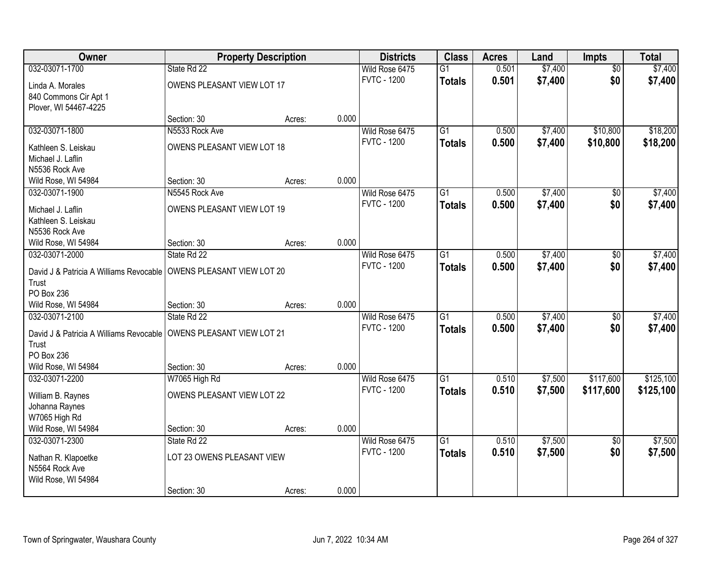| Owner                                                                |                            | <b>Property Description</b> |       | <b>Districts</b>   | <b>Class</b>    | <b>Acres</b> | Land    | <b>Impts</b>    | <b>Total</b> |
|----------------------------------------------------------------------|----------------------------|-----------------------------|-------|--------------------|-----------------|--------------|---------|-----------------|--------------|
| 032-03071-1700                                                       | State Rd 22                |                             |       | Wild Rose 6475     | $\overline{G1}$ | 0.501        | \$7,400 | $\overline{50}$ | \$7,400      |
| Linda A. Morales                                                     | OWENS PLEASANT VIEW LOT 17 |                             |       | <b>FVTC - 1200</b> | <b>Totals</b>   | 0.501        | \$7,400 | \$0             | \$7,400      |
| 840 Commons Cir Apt 1                                                |                            |                             |       |                    |                 |              |         |                 |              |
| Plover, WI 54467-4225                                                |                            |                             |       |                    |                 |              |         |                 |              |
|                                                                      | Section: 30                | Acres:                      | 0.000 |                    |                 |              |         |                 |              |
| 032-03071-1800                                                       | N5533 Rock Ave             |                             |       | Wild Rose 6475     | $\overline{G1}$ | 0.500        | \$7,400 | \$10,800        | \$18,200     |
|                                                                      |                            |                             |       | <b>FVTC - 1200</b> | <b>Totals</b>   | 0.500        | \$7,400 | \$10,800        | \$18,200     |
| Kathleen S. Leiskau                                                  | OWENS PLEASANT VIEW LOT 18 |                             |       |                    |                 |              |         |                 |              |
| Michael J. Laflin                                                    |                            |                             |       |                    |                 |              |         |                 |              |
| N5536 Rock Ave                                                       |                            |                             |       |                    |                 |              |         |                 |              |
| Wild Rose, WI 54984                                                  | Section: 30                | Acres:                      | 0.000 |                    |                 |              |         |                 |              |
| 032-03071-1900                                                       | N5545 Rock Ave             |                             |       | Wild Rose 6475     | G1              | 0.500        | \$7,400 | \$0             | \$7,400      |
| Michael J. Laflin                                                    | OWENS PLEASANT VIEW LOT 19 |                             |       | <b>FVTC - 1200</b> | <b>Totals</b>   | 0.500        | \$7,400 | \$0             | \$7,400      |
| Kathleen S. Leiskau                                                  |                            |                             |       |                    |                 |              |         |                 |              |
| N5536 Rock Ave                                                       |                            |                             |       |                    |                 |              |         |                 |              |
| Wild Rose, WI 54984                                                  | Section: 30                | Acres:                      | 0.000 |                    |                 |              |         |                 |              |
| 032-03071-2000                                                       | State Rd 22                |                             |       | Wild Rose 6475     | $\overline{G1}$ | 0.500        | \$7,400 | \$0             | \$7,400      |
|                                                                      |                            |                             |       | <b>FVTC - 1200</b> | <b>Totals</b>   | 0.500        | \$7,400 | \$0             | \$7,400      |
| David J & Patricia A Williams Revocable                              | OWENS PLEASANT VIEW LOT 20 |                             |       |                    |                 |              |         |                 |              |
| Trust                                                                |                            |                             |       |                    |                 |              |         |                 |              |
| PO Box 236                                                           |                            |                             |       |                    |                 |              |         |                 |              |
| Wild Rose, WI 54984                                                  | Section: 30                | Acres:                      | 0.000 |                    |                 |              |         |                 |              |
| 032-03071-2100                                                       | State Rd 22                |                             |       | Wild Rose 6475     | $\overline{G1}$ | 0.500        | \$7,400 | $\overline{30}$ | \$7,400      |
| David J & Patricia A Williams Revocable   OWENS PLEASANT VIEW LOT 21 |                            |                             |       | <b>FVTC - 1200</b> | <b>Totals</b>   | 0.500        | \$7,400 | \$0             | \$7,400      |
| Trust                                                                |                            |                             |       |                    |                 |              |         |                 |              |
| PO Box 236                                                           |                            |                             |       |                    |                 |              |         |                 |              |
| Wild Rose, WI 54984                                                  | Section: 30                | Acres:                      | 0.000 |                    |                 |              |         |                 |              |
| 032-03071-2200                                                       | W7065 High Rd              |                             |       | Wild Rose 6475     | $\overline{G1}$ | 0.510        | \$7,500 | \$117,600       | \$125,100    |
|                                                                      |                            |                             |       | <b>FVTC - 1200</b> | <b>Totals</b>   | 0.510        | \$7,500 | \$117,600       | \$125,100    |
| William B. Raynes                                                    | OWENS PLEASANT VIEW LOT 22 |                             |       |                    |                 |              |         |                 |              |
| Johanna Raynes                                                       |                            |                             |       |                    |                 |              |         |                 |              |
| W7065 High Rd                                                        |                            |                             |       |                    |                 |              |         |                 |              |
| Wild Rose, WI 54984                                                  | Section: 30                | Acres:                      | 0.000 |                    |                 |              |         |                 |              |
| 032-03071-2300                                                       | State Rd 22                |                             |       | Wild Rose 6475     | $\overline{G1}$ | 0.510        | \$7,500 | $\overline{50}$ | \$7,500      |
| Nathan R. Klapoetke                                                  | LOT 23 OWENS PLEASANT VIEW |                             |       | <b>FVTC - 1200</b> | <b>Totals</b>   | 0.510        | \$7,500 | \$0             | \$7,500      |
| N5564 Rock Ave                                                       |                            |                             |       |                    |                 |              |         |                 |              |
| Wild Rose, WI 54984                                                  |                            |                             |       |                    |                 |              |         |                 |              |
|                                                                      | Section: 30                | Acres:                      | 0.000 |                    |                 |              |         |                 |              |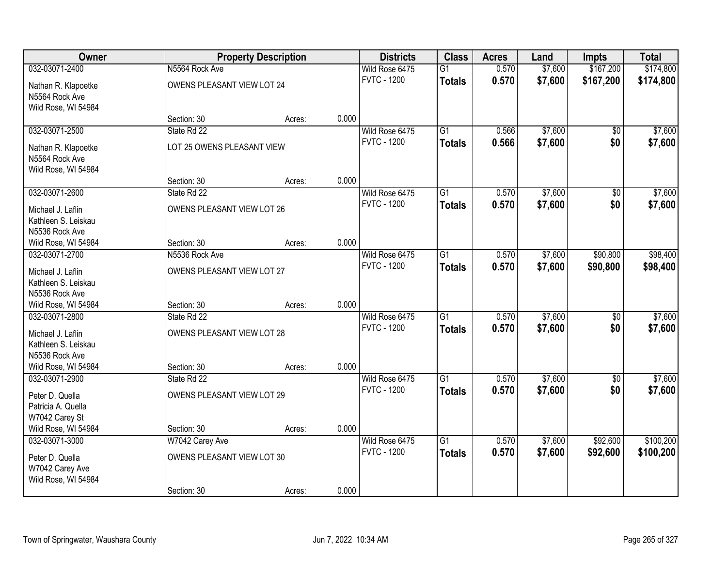| Owner                                    |                                | <b>Property Description</b> |       | <b>Districts</b>   | <b>Class</b>    | <b>Acres</b> | Land    | <b>Impts</b>    | <b>Total</b> |
|------------------------------------------|--------------------------------|-----------------------------|-------|--------------------|-----------------|--------------|---------|-----------------|--------------|
| 032-03071-2400                           | N5564 Rock Ave                 |                             |       | Wild Rose 6475     | $\overline{G1}$ | 0.570        | \$7,600 | \$167,200       | \$174,800    |
| Nathan R. Klapoetke                      | OWENS PLEASANT VIEW LOT 24     |                             |       | <b>FVTC - 1200</b> | <b>Totals</b>   | 0.570        | \$7,600 | \$167,200       | \$174,800    |
| N5564 Rock Ave                           |                                |                             |       |                    |                 |              |         |                 |              |
| Wild Rose, WI 54984                      |                                |                             |       |                    |                 |              |         |                 |              |
|                                          | Section: 30                    | Acres:                      | 0.000 |                    |                 |              |         |                 |              |
| 032-03071-2500                           | State Rd 22                    |                             |       | Wild Rose 6475     | $\overline{G1}$ | 0.566        | \$7,600 | $\overline{50}$ | \$7,600      |
| Nathan R. Klapoetke                      | LOT 25 OWENS PLEASANT VIEW     |                             |       | <b>FVTC - 1200</b> | <b>Totals</b>   | 0.566        | \$7,600 | \$0             | \$7,600      |
| N5564 Rock Ave                           |                                |                             |       |                    |                 |              |         |                 |              |
| Wild Rose, WI 54984                      |                                |                             |       |                    |                 |              |         |                 |              |
|                                          | Section: 30                    | Acres:                      | 0.000 |                    |                 |              |         |                 |              |
| 032-03071-2600                           | State Rd 22                    |                             |       | Wild Rose 6475     | $\overline{G1}$ | 0.570        | \$7,600 | \$0             | \$7,600      |
| Michael J. Laflin                        | OWENS PLEASANT VIEW LOT 26     |                             |       | <b>FVTC - 1200</b> | <b>Totals</b>   | 0.570        | \$7,600 | \$0             | \$7,600      |
| Kathleen S. Leiskau                      |                                |                             |       |                    |                 |              |         |                 |              |
| N5536 Rock Ave                           |                                |                             |       |                    |                 |              |         |                 |              |
| Wild Rose, WI 54984                      | Section: 30                    | Acres:                      | 0.000 |                    |                 |              |         |                 |              |
| 032-03071-2700                           | N5536 Rock Ave                 |                             |       | Wild Rose 6475     | $\overline{G1}$ | 0.570        | \$7,600 | \$90,800        | \$98,400     |
|                                          |                                |                             |       | <b>FVTC - 1200</b> | <b>Totals</b>   | 0.570        | \$7,600 | \$90,800        | \$98,400     |
| Michael J. Laflin<br>Kathleen S. Leiskau | OWENS PLEASANT VIEW LOT 27     |                             |       |                    |                 |              |         |                 |              |
| N5536 Rock Ave                           |                                |                             |       |                    |                 |              |         |                 |              |
| Wild Rose, WI 54984                      | Section: 30                    | Acres:                      | 0.000 |                    |                 |              |         |                 |              |
| 032-03071-2800                           | State Rd 22                    |                             |       | Wild Rose 6475     | $\overline{G1}$ | 0.570        | \$7,600 | \$0             | \$7,600      |
|                                          |                                |                             |       | <b>FVTC - 1200</b> | <b>Totals</b>   | 0.570        | \$7,600 | \$0             | \$7,600      |
| Michael J. Laflin                        | OWENS PLEASANT VIEW LOT 28     |                             |       |                    |                 |              |         |                 |              |
| Kathleen S. Leiskau<br>N5536 Rock Ave    |                                |                             |       |                    |                 |              |         |                 |              |
| Wild Rose, WI 54984                      | Section: 30                    | Acres:                      | 0.000 |                    |                 |              |         |                 |              |
| 032-03071-2900                           | State Rd 22                    |                             |       | Wild Rose 6475     | $\overline{G1}$ | 0.570        | \$7,600 | \$0             | \$7,600      |
|                                          |                                |                             |       | <b>FVTC - 1200</b> | <b>Totals</b>   | 0.570        | \$7,600 | \$0             | \$7,600      |
| Peter D. Quella                          | OWENS PLEASANT VIEW LOT 29     |                             |       |                    |                 |              |         |                 |              |
| Patricia A. Quella                       |                                |                             |       |                    |                 |              |         |                 |              |
| W7042 Carey St                           |                                |                             | 0.000 |                    |                 |              |         |                 |              |
| Wild Rose, WI 54984<br>032-03071-3000    | Section: 30<br>W7042 Carey Ave | Acres:                      |       | Wild Rose 6475     | $\overline{G1}$ | 0.570        | \$7,600 | \$92,600        | \$100,200    |
|                                          |                                |                             |       | <b>FVTC - 1200</b> | <b>Totals</b>   | 0.570        | \$7,600 | \$92,600        | \$100,200    |
| Peter D. Quella                          | OWENS PLEASANT VIEW LOT 30     |                             |       |                    |                 |              |         |                 |              |
| W7042 Carey Ave                          |                                |                             |       |                    |                 |              |         |                 |              |
| Wild Rose, WI 54984                      |                                |                             |       |                    |                 |              |         |                 |              |
|                                          | Section: 30                    | Acres:                      | 0.000 |                    |                 |              |         |                 |              |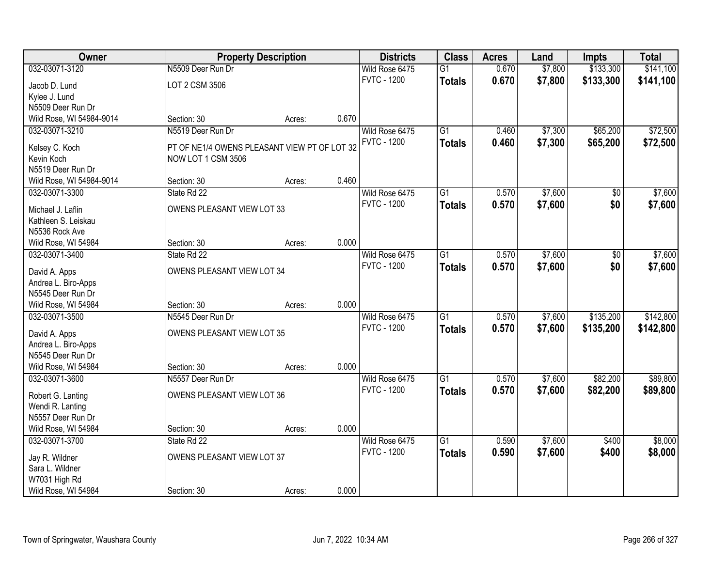| Owner                                 |                                              | <b>Property Description</b> |       | <b>Districts</b>                     | <b>Class</b>    | <b>Acres</b> | Land    | <b>Impts</b> | <b>Total</b> |
|---------------------------------------|----------------------------------------------|-----------------------------|-------|--------------------------------------|-----------------|--------------|---------|--------------|--------------|
| 032-03071-3120                        | N5509 Deer Run Dr                            |                             |       | Wild Rose 6475                       | $\overline{G1}$ | 0.670        | \$7,800 | \$133,300    | \$141,100    |
| Jacob D. Lund                         | LOT 2 CSM 3506                               |                             |       | <b>FVTC - 1200</b>                   | <b>Totals</b>   | 0.670        | \$7,800 | \$133,300    | \$141,100    |
| Kylee J. Lund                         |                                              |                             |       |                                      |                 |              |         |              |              |
| N5509 Deer Run Dr                     |                                              |                             |       |                                      |                 |              |         |              |              |
| Wild Rose, WI 54984-9014              | Section: 30                                  | Acres:                      | 0.670 |                                      |                 |              |         |              |              |
| 032-03071-3210                        | N5519 Deer Run Dr                            |                             |       | Wild Rose 6475                       | $\overline{G1}$ | 0.460        | \$7,300 | \$65,200     | \$72,500     |
| Kelsey C. Koch                        | PT OF NE1/4 OWENS PLEASANT VIEW PT OF LOT 32 |                             |       | <b>FVTC - 1200</b>                   | <b>Totals</b>   | 0.460        | \$7,300 | \$65,200     | \$72,500     |
| Kevin Koch                            | NOW LOT 1 CSM 3506                           |                             |       |                                      |                 |              |         |              |              |
| N5519 Deer Run Dr                     |                                              |                             |       |                                      |                 |              |         |              |              |
| Wild Rose, WI 54984-9014              | Section: 30                                  | Acres:                      | 0.460 |                                      |                 |              |         |              |              |
| 032-03071-3300                        | State Rd 22                                  |                             |       | Wild Rose 6475                       | G1              | 0.570        | \$7,600 | \$0          | \$7,600      |
|                                       |                                              |                             |       | <b>FVTC - 1200</b>                   | <b>Totals</b>   | 0.570        | \$7,600 | \$0          | \$7,600      |
| Michael J. Laflin                     | OWENS PLEASANT VIEW LOT 33                   |                             |       |                                      |                 |              |         |              |              |
| Kathleen S. Leiskau                   |                                              |                             |       |                                      |                 |              |         |              |              |
| N5536 Rock Ave                        |                                              |                             | 0.000 |                                      |                 |              |         |              |              |
| Wild Rose, WI 54984<br>032-03071-3400 | Section: 30<br>State Rd 22                   | Acres:                      |       |                                      | $\overline{G1}$ | 0.570        | \$7,600 |              |              |
|                                       |                                              |                             |       | Wild Rose 6475<br><b>FVTC - 1200</b> |                 |              |         | $\sqrt[6]{}$ | \$7,600      |
| David A. Apps                         | OWENS PLEASANT VIEW LOT 34                   |                             |       |                                      | <b>Totals</b>   | 0.570        | \$7,600 | \$0          | \$7,600      |
| Andrea L. Biro-Apps                   |                                              |                             |       |                                      |                 |              |         |              |              |
| N5545 Deer Run Dr                     |                                              |                             |       |                                      |                 |              |         |              |              |
| Wild Rose, WI 54984                   | Section: 30                                  | Acres:                      | 0.000 |                                      |                 |              |         |              |              |
| 032-03071-3500                        | N5545 Deer Run Dr                            |                             |       | Wild Rose 6475                       | $\overline{G1}$ | 0.570        | \$7,600 | \$135,200    | \$142,800    |
| David A. Apps                         | OWENS PLEASANT VIEW LOT 35                   |                             |       | <b>FVTC - 1200</b>                   | <b>Totals</b>   | 0.570        | \$7,600 | \$135,200    | \$142,800    |
| Andrea L. Biro-Apps                   |                                              |                             |       |                                      |                 |              |         |              |              |
| N5545 Deer Run Dr                     |                                              |                             |       |                                      |                 |              |         |              |              |
| Wild Rose, WI 54984                   | Section: 30                                  | Acres:                      | 0.000 |                                      |                 |              |         |              |              |
| 032-03071-3600                        | N5557 Deer Run Dr                            |                             |       | Wild Rose 6475                       | $\overline{G1}$ | 0.570        | \$7,600 | \$82,200     | \$89,800     |
| Robert G. Lanting                     | OWENS PLEASANT VIEW LOT 36                   |                             |       | <b>FVTC - 1200</b>                   | <b>Totals</b>   | 0.570        | \$7,600 | \$82,200     | \$89,800     |
| Wendi R. Lanting                      |                                              |                             |       |                                      |                 |              |         |              |              |
| N5557 Deer Run Dr                     |                                              |                             |       |                                      |                 |              |         |              |              |
| Wild Rose, WI 54984                   | Section: 30                                  | Acres:                      | 0.000 |                                      |                 |              |         |              |              |
| 032-03071-3700                        | State Rd 22                                  |                             |       | Wild Rose 6475                       | $\overline{G1}$ | 0.590        | \$7,600 | \$400        | \$8,000      |
|                                       |                                              |                             |       | <b>FVTC - 1200</b>                   | <b>Totals</b>   | 0.590        | \$7,600 | \$400        | \$8,000      |
| Jay R. Wildner                        | OWENS PLEASANT VIEW LOT 37                   |                             |       |                                      |                 |              |         |              |              |
| Sara L. Wildner                       |                                              |                             |       |                                      |                 |              |         |              |              |
| W7031 High Rd                         |                                              |                             |       |                                      |                 |              |         |              |              |
| Wild Rose, WI 54984                   | Section: 30                                  | Acres:                      | 0.000 |                                      |                 |              |         |              |              |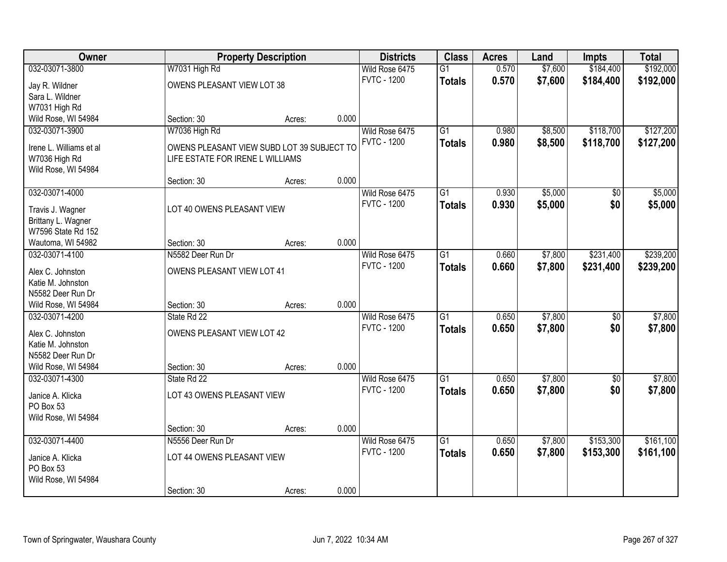| Owner                                 |                                            | <b>Property Description</b> |       | <b>Districts</b>   | <b>Class</b>    | <b>Acres</b> | Land    | <b>Impts</b>    | <b>Total</b> |
|---------------------------------------|--------------------------------------------|-----------------------------|-------|--------------------|-----------------|--------------|---------|-----------------|--------------|
| 032-03071-3800                        | W7031 High Rd                              |                             |       | Wild Rose 6475     | $\overline{G1}$ | 0.570        | \$7,600 | \$184,400       | \$192,000    |
| Jay R. Wildner                        | OWENS PLEASANT VIEW LOT 38                 |                             |       | <b>FVTC - 1200</b> | <b>Totals</b>   | 0.570        | \$7,600 | \$184,400       | \$192,000    |
| Sara L. Wildner                       |                                            |                             |       |                    |                 |              |         |                 |              |
| W7031 High Rd                         |                                            |                             |       |                    |                 |              |         |                 |              |
| Wild Rose, WI 54984                   | Section: 30                                | Acres:                      | 0.000 |                    |                 |              |         |                 |              |
| 032-03071-3900                        | W7036 High Rd                              |                             |       | Wild Rose 6475     | $\overline{G1}$ | 0.980        | \$8,500 | \$118,700       | \$127,200    |
|                                       |                                            |                             |       | <b>FVTC - 1200</b> | <b>Totals</b>   | 0.980        | \$8,500 | \$118,700       | \$127,200    |
| Irene L. Williams et al               | OWENS PLEASANT VIEW SUBD LOT 39 SUBJECT TO |                             |       |                    |                 |              |         |                 |              |
| W7036 High Rd<br>Wild Rose, WI 54984  | LIFE ESTATE FOR IRENE L WILLIAMS           |                             |       |                    |                 |              |         |                 |              |
|                                       | Section: 30                                | Acres:                      | 0.000 |                    |                 |              |         |                 |              |
| 032-03071-4000                        |                                            |                             |       | Wild Rose 6475     | $\overline{G1}$ | 0.930        | \$5,000 | \$0             | \$5,000      |
|                                       |                                            |                             |       | <b>FVTC - 1200</b> | <b>Totals</b>   | 0.930        | \$5,000 | \$0             | \$5,000      |
| Travis J. Wagner                      | LOT 40 OWENS PLEASANT VIEW                 |                             |       |                    |                 |              |         |                 |              |
| Brittany L. Wagner                    |                                            |                             |       |                    |                 |              |         |                 |              |
| W7596 State Rd 152                    |                                            |                             |       |                    |                 |              |         |                 |              |
| Wautoma, WI 54982                     | Section: 30                                | Acres:                      | 0.000 |                    |                 |              |         |                 |              |
| 032-03071-4100                        | N5582 Deer Run Dr                          |                             |       | Wild Rose 6475     | $\overline{G1}$ | 0.660        | \$7,800 | \$231,400       | \$239,200    |
| Alex C. Johnston                      | OWENS PLEASANT VIEW LOT 41                 |                             |       | <b>FVTC - 1200</b> | <b>Totals</b>   | 0.660        | \$7,800 | \$231,400       | \$239,200    |
| Katie M. Johnston                     |                                            |                             |       |                    |                 |              |         |                 |              |
| N5582 Deer Run Dr                     |                                            |                             |       |                    |                 |              |         |                 |              |
| Wild Rose, WI 54984                   | Section: 30                                | Acres:                      | 0.000 |                    |                 |              |         |                 |              |
| 032-03071-4200                        | State Rd 22                                |                             |       | Wild Rose 6475     | $\overline{G1}$ | 0.650        | \$7,800 | $\overline{50}$ | \$7,800      |
|                                       | OWENS PLEASANT VIEW LOT 42                 |                             |       | <b>FVTC - 1200</b> | <b>Totals</b>   | 0.650        | \$7,800 | \$0             | \$7,800      |
| Alex C. Johnston<br>Katie M. Johnston |                                            |                             |       |                    |                 |              |         |                 |              |
| N5582 Deer Run Dr                     |                                            |                             |       |                    |                 |              |         |                 |              |
| Wild Rose, WI 54984                   | Section: 30                                | Acres:                      | 0.000 |                    |                 |              |         |                 |              |
| 032-03071-4300                        | State Rd 22                                |                             |       | Wild Rose 6475     | $\overline{G1}$ | 0.650        | \$7,800 | $\sqrt{6}$      | \$7,800      |
|                                       |                                            |                             |       | <b>FVTC - 1200</b> | <b>Totals</b>   | 0.650        | \$7,800 | \$0             | \$7,800      |
| Janice A. Klicka                      | LOT 43 OWENS PLEASANT VIEW                 |                             |       |                    |                 |              |         |                 |              |
| PO Box 53                             |                                            |                             |       |                    |                 |              |         |                 |              |
| Wild Rose, WI 54984                   |                                            |                             |       |                    |                 |              |         |                 |              |
|                                       | Section: 30                                | Acres:                      | 0.000 |                    |                 |              |         |                 |              |
| 032-03071-4400                        | N5556 Deer Run Dr                          |                             |       | Wild Rose 6475     | $\overline{G1}$ | 0.650        | \$7,800 | \$153,300       | \$161,100    |
| Janice A. Klicka                      | LOT 44 OWENS PLEASANT VIEW                 |                             |       | <b>FVTC - 1200</b> | <b>Totals</b>   | 0.650        | \$7,800 | \$153,300       | \$161,100    |
| PO Box 53                             |                                            |                             |       |                    |                 |              |         |                 |              |
| Wild Rose, WI 54984                   |                                            |                             |       |                    |                 |              |         |                 |              |
|                                       | Section: 30                                | Acres:                      | 0.000 |                    |                 |              |         |                 |              |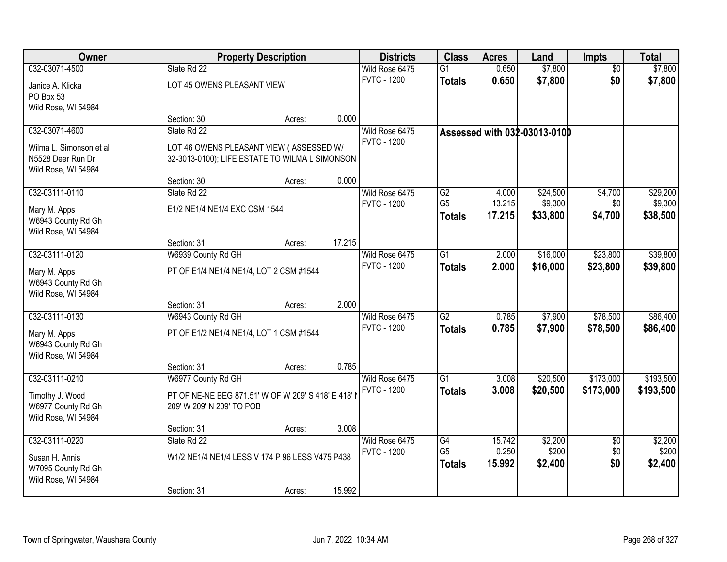| Owner                                     |                                                   | <b>Property Description</b> |        | <b>Districts</b>                     | <b>Class</b>                      | <b>Acres</b>    | Land                         | <b>Impts</b>           | <b>Total</b>     |
|-------------------------------------------|---------------------------------------------------|-----------------------------|--------|--------------------------------------|-----------------------------------|-----------------|------------------------------|------------------------|------------------|
| 032-03071-4500                            | State Rd 22                                       |                             |        | Wild Rose 6475                       | $\overline{G1}$                   | 0.650           | \$7,800                      | $\overline{50}$        | \$7,800          |
| Janice A. Klicka                          | LOT 45 OWENS PLEASANT VIEW                        |                             |        | <b>FVTC - 1200</b>                   | <b>Totals</b>                     | 0.650           | \$7,800                      | \$0                    | \$7,800          |
| PO Box 53                                 |                                                   |                             |        |                                      |                                   |                 |                              |                        |                  |
| Wild Rose, WI 54984                       |                                                   |                             |        |                                      |                                   |                 |                              |                        |                  |
|                                           | Section: 30                                       | Acres:                      | 0.000  |                                      |                                   |                 |                              |                        |                  |
| 032-03071-4600                            | State Rd 22                                       |                             |        | Wild Rose 6475<br><b>FVTC - 1200</b> |                                   |                 | Assessed with 032-03013-0100 |                        |                  |
| Wilma L. Simonson et al                   | LOT 46 OWENS PLEASANT VIEW (ASSESSED W/           |                             |        |                                      |                                   |                 |                              |                        |                  |
| N5528 Deer Run Dr                         | 32-3013-0100); LIFE ESTATE TO WILMA L SIMONSON    |                             |        |                                      |                                   |                 |                              |                        |                  |
| Wild Rose, WI 54984                       | Section: 30                                       |                             | 0.000  |                                      |                                   |                 |                              |                        |                  |
| 032-03111-0110                            | State Rd 22                                       | Acres:                      |        | Wild Rose 6475                       | G2                                | 4.000           | \$24,500                     | \$4,700                | \$29,200         |
|                                           |                                                   |                             |        | <b>FVTC - 1200</b>                   | G <sub>5</sub>                    | 13.215          | \$9,300                      | \$0                    | \$9,300          |
| Mary M. Apps                              | E1/2 NE1/4 NE1/4 EXC CSM 1544                     |                             |        |                                      | <b>Totals</b>                     | 17.215          | \$33,800                     | \$4,700                | \$38,500         |
| W6943 County Rd Gh<br>Wild Rose, WI 54984 |                                                   |                             |        |                                      |                                   |                 |                              |                        |                  |
|                                           | Section: 31                                       | Acres:                      | 17.215 |                                      |                                   |                 |                              |                        |                  |
| 032-03111-0120                            | W6939 County Rd GH                                |                             |        | Wild Rose 6475                       | $\overline{G1}$                   | 2.000           | \$16,000                     | \$23,800               | \$39,800         |
|                                           | PT OF E1/4 NE1/4 NE1/4, LOT 2 CSM #1544           |                             |        | <b>FVTC - 1200</b>                   | <b>Totals</b>                     | 2.000           | \$16,000                     | \$23,800               | \$39,800         |
| Mary M. Apps<br>W6943 County Rd Gh        |                                                   |                             |        |                                      |                                   |                 |                              |                        |                  |
| Wild Rose, WI 54984                       |                                                   |                             |        |                                      |                                   |                 |                              |                        |                  |
|                                           | Section: 31                                       | Acres:                      | 2.000  |                                      |                                   |                 |                              |                        |                  |
| 032-03111-0130                            | W6943 County Rd GH                                |                             |        | Wild Rose 6475                       | $\overline{G2}$                   | 0.785           | \$7,900                      | \$78,500               | \$86,400         |
| Mary M. Apps                              | PT OF E1/2 NE1/4 NE1/4, LOT 1 CSM #1544           |                             |        | <b>FVTC - 1200</b>                   | <b>Totals</b>                     | 0.785           | \$7,900                      | \$78,500               | \$86,400         |
| W6943 County Rd Gh                        |                                                   |                             |        |                                      |                                   |                 |                              |                        |                  |
| Wild Rose, WI 54984                       |                                                   |                             |        |                                      |                                   |                 |                              |                        |                  |
|                                           | Section: 31                                       | Acres:                      | 0.785  |                                      |                                   |                 |                              |                        |                  |
| 032-03111-0210                            | W6977 County Rd GH                                |                             |        | Wild Rose 6475                       | $\overline{G1}$                   | 3.008           | \$20,500                     | \$173,000              | \$193,500        |
| Timothy J. Wood                           | PT OF NE-NE BEG 871.51' W OF W 209' S 418' E 418' |                             |        | <b>FVTC - 1200</b>                   | <b>Totals</b>                     | 3.008           | \$20,500                     | \$173,000              | \$193,500        |
| W6977 County Rd Gh                        | 209' W 209' N 209' TO POB                         |                             |        |                                      |                                   |                 |                              |                        |                  |
| Wild Rose, WI 54984                       |                                                   |                             |        |                                      |                                   |                 |                              |                        |                  |
|                                           | Section: 31                                       | Acres:                      | 3.008  |                                      |                                   |                 |                              |                        |                  |
| 032-03111-0220                            | State Rd 22                                       |                             |        | Wild Rose 6475<br><b>FVTC - 1200</b> | $\overline{G4}$<br>G <sub>5</sub> | 15.742<br>0.250 | \$2,200<br>\$200             | $\overline{50}$<br>\$0 | \$2,200<br>\$200 |
| Susan H. Annis                            | W1/2 NE1/4 NE1/4 LESS V 174 P 96 LESS V475 P438   |                             |        |                                      | <b>Totals</b>                     | 15.992          | \$2,400                      | \$0                    | \$2,400          |
| W7095 County Rd Gh                        |                                                   |                             |        |                                      |                                   |                 |                              |                        |                  |
| Wild Rose, WI 54984                       |                                                   |                             |        |                                      |                                   |                 |                              |                        |                  |
|                                           | Section: 31                                       | Acres:                      | 15.992 |                                      |                                   |                 |                              |                        |                  |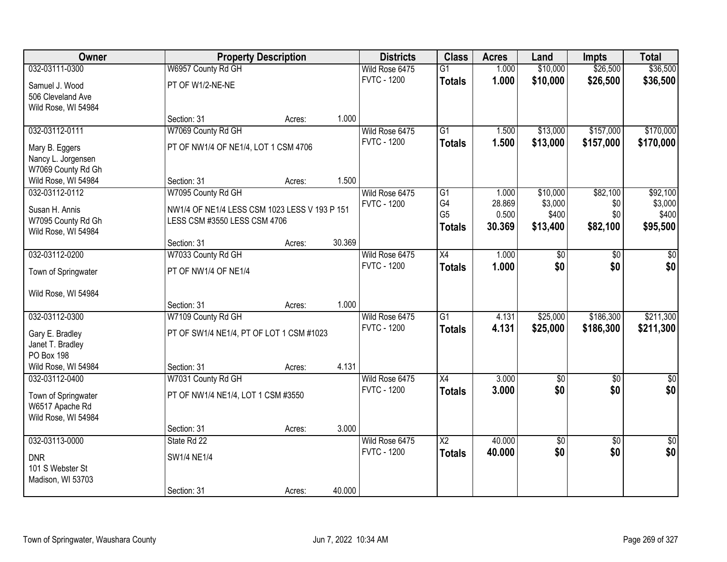| <b>Owner</b>                           |                                               | <b>Property Description</b> |        | <b>Districts</b>   | <b>Class</b>           | <b>Acres</b> | Land       | <b>Impts</b>    | <b>Total</b>  |
|----------------------------------------|-----------------------------------------------|-----------------------------|--------|--------------------|------------------------|--------------|------------|-----------------|---------------|
| 032-03111-0300                         | W6957 County Rd GH                            |                             |        | Wild Rose 6475     | $\overline{G1}$        | 1.000        | \$10,000   | \$26,500        | \$36,500      |
| Samuel J. Wood                         | PT OF W1/2-NE-NE                              |                             |        | <b>FVTC - 1200</b> | <b>Totals</b>          | 1.000        | \$10,000   | \$26,500        | \$36,500      |
| 506 Cleveland Ave                      |                                               |                             |        |                    |                        |              |            |                 |               |
| Wild Rose, WI 54984                    |                                               |                             |        |                    |                        |              |            |                 |               |
|                                        | Section: 31                                   | Acres:                      | 1.000  |                    |                        |              |            |                 |               |
| 032-03112-0111                         | W7069 County Rd GH                            |                             |        | Wild Rose 6475     | $\overline{G1}$        | 1.500        | \$13,000   | \$157,000       | \$170,000     |
| Mary B. Eggers                         | PT OF NW1/4 OF NE1/4, LOT 1 CSM 4706          |                             |        | <b>FVTC - 1200</b> | <b>Totals</b>          | 1.500        | \$13,000   | \$157,000       | \$170,000     |
| Nancy L. Jorgensen                     |                                               |                             |        |                    |                        |              |            |                 |               |
| W7069 County Rd Gh                     |                                               |                             |        |                    |                        |              |            |                 |               |
| Wild Rose, WI 54984                    | Section: 31                                   | Acres:                      | 1.500  |                    |                        |              |            |                 |               |
| 032-03112-0112                         | W7095 County Rd GH                            |                             |        | Wild Rose 6475     | G1                     | 1.000        | \$10,000   | \$82,100        | \$92,100      |
| Susan H. Annis                         | NW1/4 OF NE1/4 LESS CSM 1023 LESS V 193 P 151 |                             |        | <b>FVTC - 1200</b> | G4                     | 28.869       | \$3,000    | \$0             | \$3,000       |
| W7095 County Rd Gh                     | LESS CSM #3550 LESS CSM 4706                  |                             |        |                    | G <sub>5</sub>         | 0.500        | \$400      | \$0             | \$400         |
| Wild Rose, WI 54984                    |                                               |                             |        |                    | <b>Totals</b>          | 30.369       | \$13,400   | \$82,100        | \$95,500      |
|                                        | Section: 31                                   | Acres:                      | 30.369 |                    |                        |              |            |                 |               |
| 032-03112-0200                         | W7033 County Rd GH                            |                             |        | Wild Rose 6475     | $\overline{X4}$        | 1.000        | \$0        | \$0             | $\sqrt{6}$    |
| Town of Springwater                    | PT OF NW1/4 OF NE1/4                          |                             |        | <b>FVTC - 1200</b> | <b>Totals</b>          | 1.000        | \$0        | \$0             | \$0           |
| Wild Rose, WI 54984                    |                                               |                             |        |                    |                        |              |            |                 |               |
|                                        | Section: 31                                   | Acres:                      | 1.000  |                    |                        |              |            |                 |               |
| 032-03112-0300                         | W7109 County Rd GH                            |                             |        | Wild Rose 6475     | $\overline{G1}$        | 4.131        | \$25,000   | \$186,300       | \$211,300     |
|                                        |                                               |                             |        | <b>FVTC - 1200</b> | <b>Totals</b>          | 4.131        | \$25,000   | \$186,300       | \$211,300     |
| Gary E. Bradley<br>Janet T. Bradley    | PT OF SW1/4 NE1/4, PT OF LOT 1 CSM #1023      |                             |        |                    |                        |              |            |                 |               |
| PO Box 198                             |                                               |                             |        |                    |                        |              |            |                 |               |
| Wild Rose, WI 54984                    | Section: 31                                   | Acres:                      | 4.131  |                    |                        |              |            |                 |               |
| 032-03112-0400                         | W7031 County Rd GH                            |                             |        | Wild Rose 6475     | X4                     | 3.000        | $\sqrt{6}$ | $\sqrt{6}$      | $\frac{1}{6}$ |
|                                        | PT OF NW1/4 NE1/4, LOT 1 CSM #3550            |                             |        | <b>FVTC - 1200</b> | <b>Totals</b>          | 3.000        | \$0        | \$0             | \$0           |
| Town of Springwater<br>W6517 Apache Rd |                                               |                             |        |                    |                        |              |            |                 |               |
| Wild Rose, WI 54984                    |                                               |                             |        |                    |                        |              |            |                 |               |
|                                        | Section: 31                                   | Acres:                      | 3.000  |                    |                        |              |            |                 |               |
| 032-03113-0000                         | State Rd 22                                   |                             |        | Wild Rose 6475     | $\overline{\text{X2}}$ | 40.000       | \$0        | $\overline{50}$ | \$0           |
|                                        |                                               |                             |        | <b>FVTC - 1200</b> | <b>Totals</b>          | 40.000       | \$0        | \$0             | \$0           |
| <b>DNR</b><br>101 S Webster St         | SW1/4 NE1/4                                   |                             |        |                    |                        |              |            |                 |               |
| Madison, WI 53703                      |                                               |                             |        |                    |                        |              |            |                 |               |
|                                        | Section: 31                                   | Acres:                      | 40.000 |                    |                        |              |            |                 |               |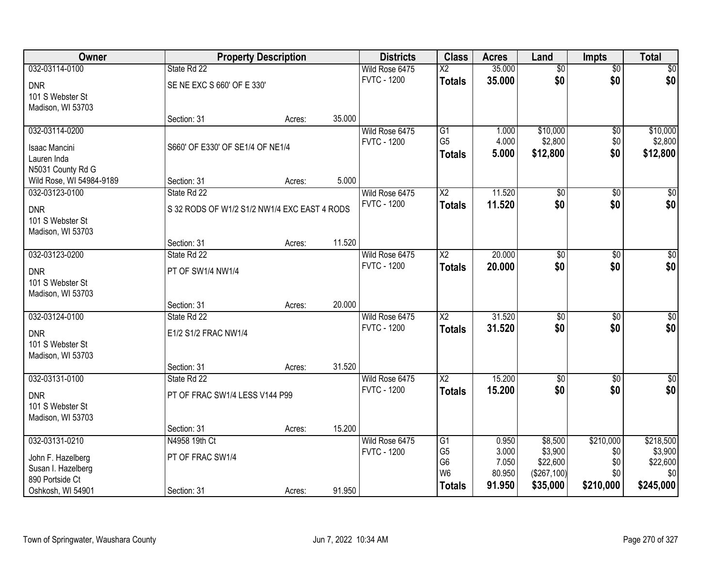| Owner                    | <b>Property Description</b>                  |        |        | <b>Districts</b>   | <b>Class</b>           | <b>Acres</b> | Land            | <b>Impts</b>    | <b>Total</b>     |
|--------------------------|----------------------------------------------|--------|--------|--------------------|------------------------|--------------|-----------------|-----------------|------------------|
| 032-03114-0100           | State Rd 22                                  |        |        | Wild Rose 6475     | $\overline{\text{X2}}$ | 35.000       | $\overline{50}$ | $\overline{50}$ | \$0              |
| <b>DNR</b>               | SE NE EXC S 660' OF E 330'                   |        |        | <b>FVTC - 1200</b> | <b>Totals</b>          | 35.000       | \$0             | \$0             | \$0              |
| 101 S Webster St         |                                              |        |        |                    |                        |              |                 |                 |                  |
| Madison, WI 53703        |                                              |        |        |                    |                        |              |                 |                 |                  |
|                          | Section: 31                                  | Acres: | 35.000 |                    |                        |              |                 |                 |                  |
| 032-03114-0200           |                                              |        |        | Wild Rose 6475     | G1                     | 1.000        | \$10,000        | \$0             | \$10,000         |
| <b>Isaac Mancini</b>     | S660' OF E330' OF SE1/4 OF NE1/4             |        |        | <b>FVTC - 1200</b> | G <sub>5</sub>         | 4.000        | \$2,800         | \$0             | \$2,800          |
| Lauren Inda              |                                              |        |        |                    | <b>Totals</b>          | 5.000        | \$12,800        | \$0             | \$12,800         |
| N5031 County Rd G        |                                              |        |        |                    |                        |              |                 |                 |                  |
| Wild Rose, WI 54984-9189 | Section: 31                                  | Acres: | 5.000  |                    |                        |              |                 |                 |                  |
| 032-03123-0100           | State Rd 22                                  |        |        | Wild Rose 6475     | $\overline{X2}$        | 11.520       | $\overline{50}$ | \$0             | $\overline{\$0}$ |
| <b>DNR</b>               | S 32 RODS OF W1/2 S1/2 NW1/4 EXC EAST 4 RODS |        |        | <b>FVTC - 1200</b> | <b>Totals</b>          | 11.520       | \$0             | \$0             | \$0              |
| 101 S Webster St         |                                              |        |        |                    |                        |              |                 |                 |                  |
| Madison, WI 53703        |                                              |        |        |                    |                        |              |                 |                 |                  |
|                          | Section: 31                                  | Acres: | 11.520 |                    |                        |              |                 |                 |                  |
| 032-03123-0200           | State Rd 22                                  |        |        | Wild Rose 6475     | $\overline{\text{X2}}$ | 20.000       | \$0             | \$0             | $\sqrt{60}$      |
| <b>DNR</b>               | PT OF SW1/4 NW1/4                            |        |        | <b>FVTC - 1200</b> | <b>Totals</b>          | 20.000       | \$0             | \$0             | \$0              |
| 101 S Webster St         |                                              |        |        |                    |                        |              |                 |                 |                  |
| Madison, WI 53703        |                                              |        |        |                    |                        |              |                 |                 |                  |
|                          | Section: 31                                  | Acres: | 20.000 |                    |                        |              |                 |                 |                  |
| 032-03124-0100           | State Rd 22                                  |        |        | Wild Rose 6475     | $\overline{X2}$        | 31.520       | $\overline{50}$ | $\overline{50}$ | $\overline{50}$  |
| <b>DNR</b>               | E1/2 S1/2 FRAC NW1/4                         |        |        | <b>FVTC - 1200</b> | <b>Totals</b>          | 31.520       | \$0             | \$0             | \$0              |
| 101 S Webster St         |                                              |        |        |                    |                        |              |                 |                 |                  |
| Madison, WI 53703        |                                              |        |        |                    |                        |              |                 |                 |                  |
|                          | Section: 31                                  | Acres: | 31.520 |                    |                        |              |                 |                 |                  |
| 032-03131-0100           | State Rd 22                                  |        |        | Wild Rose 6475     | $\overline{X2}$        | 15.200       | $\overline{50}$ | $\overline{50}$ | \$0              |
| <b>DNR</b>               | PT OF FRAC SW1/4 LESS V144 P99               |        |        | <b>FVTC - 1200</b> | <b>Totals</b>          | 15.200       | \$0             | \$0             | \$0              |
| 101 S Webster St         |                                              |        |        |                    |                        |              |                 |                 |                  |
| Madison, WI 53703        |                                              |        |        |                    |                        |              |                 |                 |                  |
|                          | Section: 31                                  | Acres: | 15.200 |                    |                        |              |                 |                 |                  |
| 032-03131-0210           | N4958 19th Ct                                |        |        | Wild Rose 6475     | G1                     | 0.950        | \$8,500         | \$210,000       | \$218,500        |
| John F. Hazelberg        | PT OF FRAC SW1/4                             |        |        | <b>FVTC - 1200</b> | G <sub>5</sub>         | 3.000        | \$3,900         | \$0             | \$3,900          |
| Susan I. Hazelberg       |                                              |        |        |                    | G <sub>6</sub>         | 7.050        | \$22,600        | \$0             | \$22,600         |
| 890 Portside Ct          |                                              |        |        |                    | W <sub>6</sub>         | 80.950       | (\$267,100)     | \$0             | \$0              |
| Oshkosh, WI 54901        | Section: 31                                  | Acres: | 91.950 |                    | <b>Totals</b>          | 91.950       | \$35,000        | \$210,000       | \$245,000        |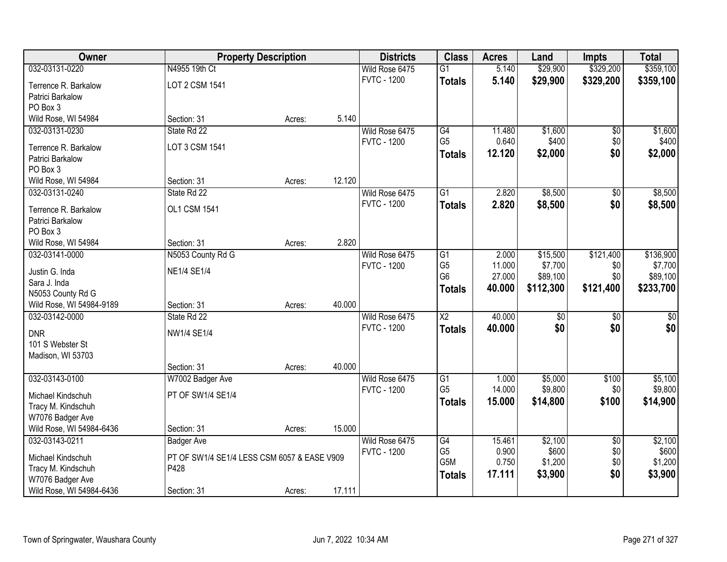| Owner                                        |                                             | <b>Property Description</b> |        | <b>Districts</b>   | <b>Class</b>    | <b>Acres</b> | Land            | <b>Impts</b>  | <b>Total</b>     |
|----------------------------------------------|---------------------------------------------|-----------------------------|--------|--------------------|-----------------|--------------|-----------------|---------------|------------------|
| 032-03131-0220                               | N4955 19th Ct                               |                             |        | Wild Rose 6475     | $\overline{G1}$ | 5.140        | \$29,900        | \$329,200     | \$359,100        |
| Terrence R. Barkalow                         | LOT 2 CSM 1541                              |                             |        | <b>FVTC - 1200</b> | <b>Totals</b>   | 5.140        | \$29,900        | \$329,200     | \$359,100        |
| Patrici Barkalow                             |                                             |                             |        |                    |                 |              |                 |               |                  |
| PO Box 3                                     |                                             |                             |        |                    |                 |              |                 |               |                  |
| Wild Rose, WI 54984                          | Section: 31                                 | Acres:                      | 5.140  |                    |                 |              |                 |               |                  |
| 032-03131-0230                               | State Rd 22                                 |                             |        | Wild Rose 6475     | G4              | 11.480       | \$1,600         | \$0           | \$1,600          |
| Terrence R. Barkalow                         | LOT 3 CSM 1541                              |                             |        | <b>FVTC - 1200</b> | G <sub>5</sub>  | 0.640        | \$400           | \$0           | \$400            |
| Patrici Barkalow                             |                                             |                             |        |                    | <b>Totals</b>   | 12.120       | \$2,000         | \$0           | \$2,000          |
| PO Box 3                                     |                                             |                             |        |                    |                 |              |                 |               |                  |
| Wild Rose, WI 54984                          | Section: 31                                 | Acres:                      | 12.120 |                    |                 |              |                 |               |                  |
| 032-03131-0240                               | State Rd 22                                 |                             |        | Wild Rose 6475     | G1              | 2.820        | \$8,500         | $\sqrt[6]{3}$ | \$8,500          |
| Terrence R. Barkalow                         | OL1 CSM 1541                                |                             |        | <b>FVTC - 1200</b> | <b>Totals</b>   | 2.820        | \$8,500         | \$0           | \$8,500          |
| Patrici Barkalow                             |                                             |                             |        |                    |                 |              |                 |               |                  |
| PO Box 3                                     |                                             |                             |        |                    |                 |              |                 |               |                  |
| Wild Rose, WI 54984                          | Section: 31                                 | Acres:                      | 2.820  |                    |                 |              |                 |               |                  |
| 032-03141-0000                               | N5053 County Rd G                           |                             |        | Wild Rose 6475     | $\overline{G1}$ | 2.000        | \$15,500        | \$121,400     | \$136,900        |
|                                              |                                             |                             |        | <b>FVTC - 1200</b> | G <sub>5</sub>  | 11.000       | \$7,700         | \$0           | \$7,700          |
| Justin G. Inda<br>Sara J. Inda               | <b>NE1/4 SE1/4</b>                          |                             |        |                    | G <sub>6</sub>  | 27.000       | \$89,100        | \$0           | \$89,100         |
| N5053 County Rd G                            |                                             |                             |        |                    | <b>Totals</b>   | 40.000       | \$112,300       | \$121,400     | \$233,700        |
| Wild Rose, WI 54984-9189                     | Section: 31                                 | Acres:                      | 40.000 |                    |                 |              |                 |               |                  |
| 032-03142-0000                               | State Rd 22                                 |                             |        | Wild Rose 6475     | $\overline{X2}$ | 40.000       | $\overline{50}$ | \$0           | $\overline{\$0}$ |
|                                              |                                             |                             |        | <b>FVTC - 1200</b> | <b>Totals</b>   | 40.000       | \$0             | \$0           | \$0              |
| <b>DNR</b>                                   | NW1/4 SE1/4                                 |                             |        |                    |                 |              |                 |               |                  |
| 101 S Webster St<br>Madison, WI 53703        |                                             |                             |        |                    |                 |              |                 |               |                  |
|                                              | Section: 31                                 | Acres:                      | 40.000 |                    |                 |              |                 |               |                  |
| 032-03143-0100                               | W7002 Badger Ave                            |                             |        | Wild Rose 6475     | $\overline{G1}$ | 1.000        | \$5,000         | \$100         | \$5,100          |
|                                              |                                             |                             |        | <b>FVTC - 1200</b> | G <sub>5</sub>  | 14.000       | \$9,800         | \$0           | \$9,800          |
| Michael Kindschuh                            | PT OF SW1/4 SE1/4                           |                             |        |                    | <b>Totals</b>   | 15.000       | \$14,800        | \$100         | \$14,900         |
| Tracy M. Kindschuh                           |                                             |                             |        |                    |                 |              |                 |               |                  |
| W7076 Badger Ave<br>Wild Rose, WI 54984-6436 | Section: 31                                 | Acres:                      | 15.000 |                    |                 |              |                 |               |                  |
| 032-03143-0211                               | <b>Badger Ave</b>                           |                             |        | Wild Rose 6475     | G4              | 15.461       | \$2,100         | \$0           | \$2,100          |
|                                              |                                             |                             |        | <b>FVTC - 1200</b> | G <sub>5</sub>  | 0.900        | \$600           | \$0           | \$600            |
| Michael Kindschuh                            | PT OF SW1/4 SE1/4 LESS CSM 6057 & EASE V909 |                             |        |                    | G5M             | 0.750        | \$1,200         | \$0           | \$1,200          |
| Tracy M. Kindschuh                           | P428                                        |                             |        |                    | <b>Totals</b>   | 17.111       | \$3,900         | \$0           | \$3,900          |
| W7076 Badger Ave                             |                                             |                             |        |                    |                 |              |                 |               |                  |
| Wild Rose, WI 54984-6436                     | Section: 31                                 | Acres:                      | 17.111 |                    |                 |              |                 |               |                  |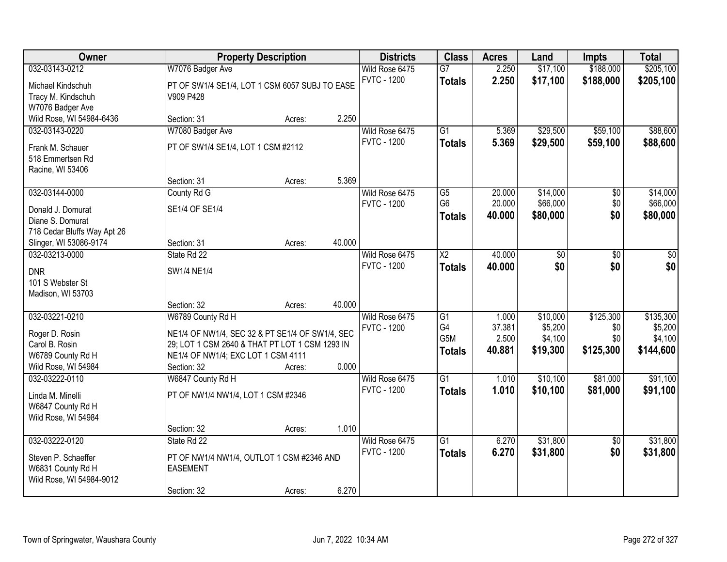| Owner                       |                                                              | <b>Property Description</b> |        | <b>Districts</b>   | <b>Class</b>    | <b>Acres</b> | Land     | <b>Impts</b>    | <b>Total</b> |
|-----------------------------|--------------------------------------------------------------|-----------------------------|--------|--------------------|-----------------|--------------|----------|-----------------|--------------|
| 032-03143-0212              | W7076 Badger Ave                                             |                             |        | Wild Rose 6475     | $\overline{G7}$ | 2.250        | \$17,100 | \$188,000       | \$205,100    |
| Michael Kindschuh           | PT OF SW1/4 SE1/4, LOT 1 CSM 6057 SUBJ TO EASE               |                             |        | <b>FVTC - 1200</b> | <b>Totals</b>   | 2.250        | \$17,100 | \$188,000       | \$205,100    |
| Tracy M. Kindschuh          | V909 P428                                                    |                             |        |                    |                 |              |          |                 |              |
| W7076 Badger Ave            |                                                              |                             |        |                    |                 |              |          |                 |              |
| Wild Rose, WI 54984-6436    | Section: 31                                                  | Acres:                      | 2.250  |                    |                 |              |          |                 |              |
| 032-03143-0220              | W7080 Badger Ave                                             |                             |        | Wild Rose 6475     | $\overline{G1}$ | 5.369        | \$29,500 | \$59,100        | \$88,600     |
| Frank M. Schauer            | PT OF SW1/4 SE1/4, LOT 1 CSM #2112                           |                             |        | <b>FVTC - 1200</b> | <b>Totals</b>   | 5.369        | \$29,500 | \$59,100        | \$88,600     |
| 518 Emmertsen Rd            |                                                              |                             |        |                    |                 |              |          |                 |              |
| Racine, WI 53406            |                                                              |                             |        |                    |                 |              |          |                 |              |
|                             | Section: 31                                                  | Acres:                      | 5.369  |                    |                 |              |          |                 |              |
| 032-03144-0000              | County Rd G                                                  |                             |        | Wild Rose 6475     | $\overline{G5}$ | 20.000       | \$14,000 | \$0             | \$14,000     |
| Donald J. Domurat           | SE1/4 OF SE1/4                                               |                             |        | <b>FVTC - 1200</b> | G <sub>6</sub>  | 20.000       | \$66,000 | \$0             | \$66,000     |
| Diane S. Domurat            |                                                              |                             |        |                    | <b>Totals</b>   | 40.000       | \$80,000 | \$0             | \$80,000     |
| 718 Cedar Bluffs Way Apt 26 |                                                              |                             |        |                    |                 |              |          |                 |              |
| Slinger, WI 53086-9174      | Section: 31                                                  | Acres:                      | 40.000 |                    |                 |              |          |                 |              |
| 032-03213-0000              | State Rd 22                                                  |                             |        | Wild Rose 6475     | $\overline{X2}$ | 40.000       | \$0      | \$0             | \$0          |
| <b>DNR</b>                  | SW1/4 NE1/4                                                  |                             |        | <b>FVTC - 1200</b> | <b>Totals</b>   | 40,000       | \$0      | \$0             | \$0          |
| 101 S Webster St            |                                                              |                             |        |                    |                 |              |          |                 |              |
| Madison, WI 53703           |                                                              |                             |        |                    |                 |              |          |                 |              |
|                             | Section: 32                                                  | Acres:                      | 40.000 |                    |                 |              |          |                 |              |
| 032-03221-0210              | W6789 County Rd H                                            |                             |        | Wild Rose 6475     | $\overline{G1}$ | 1.000        | \$10,000 | \$125,300       | \$135,300    |
| Roger D. Rosin              | NE1/4 OF NW1/4, SEC 32 & PT SE1/4 OF SW1/4, SEC              |                             |        | <b>FVTC - 1200</b> | G4              | 37.381       | \$5,200  | \$0             | \$5,200      |
| Carol B. Rosin              | 29; LOT 1 CSM 2640 & THAT PT LOT 1 CSM 1293 IN               |                             |        |                    | G5M             | 2.500        | \$4,100  | \$0             | \$4,100      |
| W6789 County Rd H           | NE1/4 OF NW1/4; EXC LOT 1 CSM 4111                           |                             |        |                    | <b>Totals</b>   | 40.881       | \$19,300 | \$125,300       | \$144,600    |
| Wild Rose, WI 54984         | Section: 32                                                  | Acres:                      | 0.000  |                    |                 |              |          |                 |              |
| 032-03222-0110              | W6847 County Rd H                                            |                             |        | Wild Rose 6475     | $\overline{G1}$ | 1.010        | \$10,100 | \$81,000        | \$91,100     |
| Linda M. Minelli            | PT OF NW1/4 NW1/4, LOT 1 CSM #2346                           |                             |        | <b>FVTC - 1200</b> | <b>Totals</b>   | 1.010        | \$10,100 | \$81,000        | \$91,100     |
| W6847 County Rd H           |                                                              |                             |        |                    |                 |              |          |                 |              |
| Wild Rose, WI 54984         |                                                              |                             |        |                    |                 |              |          |                 |              |
|                             | Section: 32                                                  | Acres:                      | 1.010  |                    |                 |              |          |                 |              |
| 032-03222-0120              | State Rd 22                                                  |                             |        | Wild Rose 6475     | $\overline{G1}$ | 6.270        | \$31,800 | $\overline{50}$ | \$31,800     |
| Steven P. Schaeffer         |                                                              |                             |        | <b>FVTC - 1200</b> | <b>Totals</b>   | 6.270        | \$31,800 | \$0             | \$31,800     |
| W6831 County Rd H           | PT OF NW1/4 NW1/4, OUTLOT 1 CSM #2346 AND<br><b>EASEMENT</b> |                             |        |                    |                 |              |          |                 |              |
| Wild Rose, WI 54984-9012    |                                                              |                             |        |                    |                 |              |          |                 |              |
|                             | Section: 32                                                  | Acres:                      | 6.270  |                    |                 |              |          |                 |              |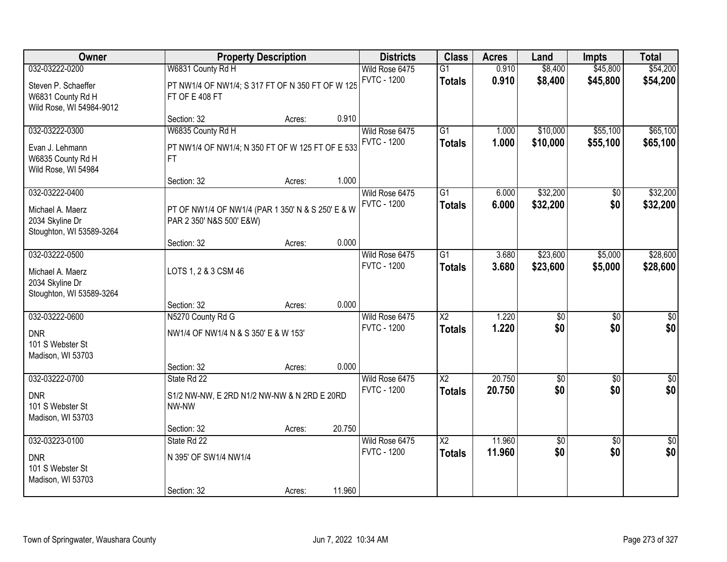| Owner                                                                             |                                                                               | <b>Property Description</b> |        | <b>Districts</b>                     | <b>Class</b>                            | <b>Acres</b>     | Land                   | <b>Impts</b>           | <b>Total</b>           |
|-----------------------------------------------------------------------------------|-------------------------------------------------------------------------------|-----------------------------|--------|--------------------------------------|-----------------------------------------|------------------|------------------------|------------------------|------------------------|
| 032-03222-0200                                                                    | W6831 County Rd H                                                             |                             |        | Wild Rose 6475                       | $\overline{G1}$                         | 0.910            | \$8,400                | \$45,800               | \$54,200               |
| Steven P. Schaeffer<br>W6831 County Rd H<br>Wild Rose, WI 54984-9012              | PT NW1/4 OF NW1/4; S 317 FT OF N 350 FT OF W 125<br>FT OF E 408 FT            |                             |        | <b>FVTC - 1200</b>                   | <b>Totals</b>                           | 0.910            | \$8,400                | \$45,800               | \$54,200               |
|                                                                                   | Section: 32                                                                   | Acres:                      | 0.910  |                                      |                                         |                  |                        |                        |                        |
| 032-03222-0300                                                                    | W6835 County Rd H                                                             |                             |        | Wild Rose 6475                       | $\overline{G1}$                         | 1.000            | \$10,000               | \$55,100               | \$65,100               |
| Evan J. Lehmann<br>W6835 County Rd H<br>Wild Rose, WI 54984                       | PT NW1/4 OF NW1/4; N 350 FT OF W 125 FT OF E 533<br><b>FT</b>                 |                             |        | <b>FVTC - 1200</b>                   | <b>Totals</b>                           | 1.000            | \$10,000               | \$55,100               | \$65,100               |
|                                                                                   | Section: 32                                                                   | Acres:                      | 1.000  |                                      |                                         |                  |                        |                        |                        |
| 032-03222-0400<br>Michael A. Maerz<br>2034 Skyline Dr                             | PT OF NW1/4 OF NW1/4 (PAR 1 350' N & S 250' E & W<br>PAR 2 350' N&S 500' E&W) |                             |        | Wild Rose 6475<br><b>FVTC - 1200</b> | G1<br><b>Totals</b>                     | 6.000<br>6.000   | \$32,200<br>\$32,200   | \$0<br>\$0             | \$32,200<br>\$32,200   |
| Stoughton, WI 53589-3264                                                          |                                                                               |                             |        |                                      |                                         |                  |                        |                        |                        |
|                                                                                   | Section: 32                                                                   | Acres:                      | 0.000  |                                      |                                         |                  |                        |                        |                        |
| 032-03222-0500<br>Michael A. Maerz<br>2034 Skyline Dr<br>Stoughton, WI 53589-3264 | LOTS 1, 2 & 3 CSM 46                                                          |                             |        | Wild Rose 6475<br><b>FVTC - 1200</b> | $\overline{G1}$<br><b>Totals</b>        | 3.680<br>3.680   | \$23,600<br>\$23,600   | \$5,000<br>\$5,000     | \$28,600<br>\$28,600   |
|                                                                                   | Section: 32                                                                   | Acres:                      | 0.000  |                                      |                                         |                  |                        |                        |                        |
| 032-03222-0600<br><b>DNR</b><br>101 S Webster St<br>Madison, WI 53703             | N5270 County Rd G<br>NW1/4 OF NW1/4 N & S 350' E & W 153'                     |                             |        | Wild Rose 6475<br><b>FVTC - 1200</b> | $\overline{X2}$<br><b>Totals</b>        | 1.220<br>1.220   | $\overline{50}$<br>\$0 | $\overline{50}$<br>\$0 | $\overline{50}$<br>\$0 |
|                                                                                   | Section: 32                                                                   | Acres:                      | 0.000  |                                      |                                         |                  |                        |                        |                        |
| 032-03222-0700<br><b>DNR</b><br>101 S Webster St<br>Madison, WI 53703             | State Rd 22<br>S1/2 NW-NW, E 2RD N1/2 NW-NW & N 2RD E 20RD<br>NW-NW           |                             |        | Wild Rose 6475<br><b>FVTC - 1200</b> | $\overline{\text{X2}}$<br><b>Totals</b> | 20.750<br>20.750 | $\overline{50}$<br>\$0 | $\overline{50}$<br>\$0 | $\sqrt{60}$<br>\$0     |
|                                                                                   | Section: 32                                                                   | Acres:                      | 20.750 |                                      |                                         |                  |                        |                        |                        |
| 032-03223-0100                                                                    | State Rd 22                                                                   |                             |        | Wild Rose 6475                       | $\overline{\mathsf{X2}}$                | 11.960           | \$0                    | $\overline{50}$        | $\frac{1}{2}$          |
| <b>DNR</b><br>101 S Webster St<br>Madison, WI 53703                               | N 395' OF SW1/4 NW1/4<br>Section: 32                                          |                             | 11.960 | <b>FVTC - 1200</b>                   | <b>Totals</b>                           | 11.960           | \$0                    | \$0                    | \$0                    |
|                                                                                   |                                                                               | Acres:                      |        |                                      |                                         |                  |                        |                        |                        |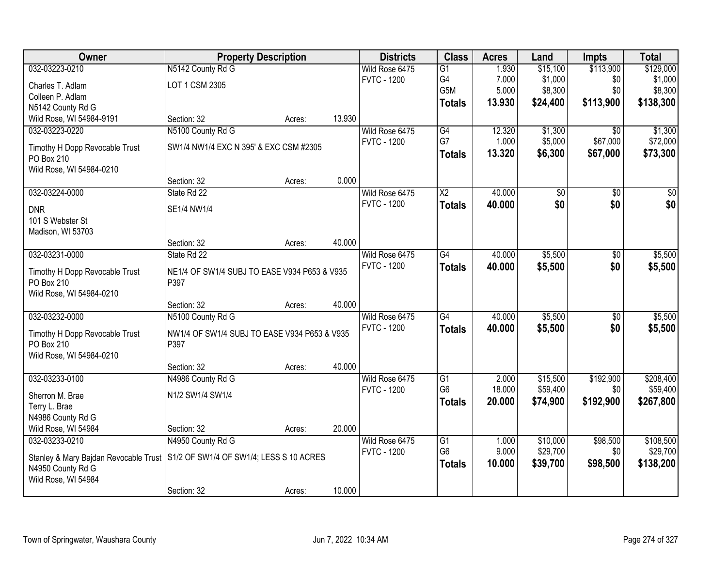| <b>Owner</b>                                 | <b>Property Description</b>                          |        |        | <b>Districts</b>   | <b>Class</b>           | <b>Acres</b> | Land     | <b>Impts</b>    | <b>Total</b> |
|----------------------------------------------|------------------------------------------------------|--------|--------|--------------------|------------------------|--------------|----------|-----------------|--------------|
| 032-03223-0210                               | N5142 County Rd G                                    |        |        | Wild Rose 6475     | $\overline{G1}$        | 1.930        | \$15,100 | \$113,900       | \$129,000    |
| Charles T. Adlam                             | LOT 1 CSM 2305                                       |        |        | <b>FVTC - 1200</b> | G4                     | 7.000        | \$1,000  | \$0             | \$1,000      |
| Colleen P. Adlam                             |                                                      |        |        |                    | G5M                    | 5.000        | \$8,300  | \$0             | \$8,300      |
| N5142 County Rd G                            |                                                      |        |        |                    | <b>Totals</b>          | 13.930       | \$24,400 | \$113,900       | \$138,300    |
| Wild Rose, WI 54984-9191                     | Section: 32                                          | Acres: | 13.930 |                    |                        |              |          |                 |              |
| 032-03223-0220                               | N5100 County Rd G                                    |        |        | Wild Rose 6475     | G4                     | 12.320       | \$1,300  | $\overline{50}$ | \$1,300      |
| Timothy H Dopp Revocable Trust               | SW1/4 NW1/4 EXC N 395' & EXC CSM #2305               |        |        | <b>FVTC - 1200</b> | G7                     | 1.000        | \$5,000  | \$67,000        | \$72,000     |
| PO Box 210                                   |                                                      |        |        |                    | <b>Totals</b>          | 13.320       | \$6,300  | \$67,000        | \$73,300     |
| Wild Rose, WI 54984-0210                     |                                                      |        |        |                    |                        |              |          |                 |              |
|                                              | Section: 32                                          | Acres: | 0.000  |                    |                        |              |          |                 |              |
| 032-03224-0000                               | State Rd 22                                          |        |        | Wild Rose 6475     | $\overline{\text{X2}}$ | 40.000       | \$0      | \$0             | \$0          |
| <b>DNR</b>                                   | SE1/4 NW1/4                                          |        |        | <b>FVTC - 1200</b> | <b>Totals</b>          | 40.000       | \$0      | \$0             | \$0          |
| 101 S Webster St                             |                                                      |        |        |                    |                        |              |          |                 |              |
| Madison, WI 53703                            |                                                      |        |        |                    |                        |              |          |                 |              |
|                                              | Section: 32                                          | Acres: | 40.000 |                    |                        |              |          |                 |              |
| 032-03231-0000                               | State Rd 22                                          |        |        | Wild Rose 6475     | G4                     | 40.000       | \$5,500  | \$0             | \$5,500      |
|                                              |                                                      |        |        | <b>FVTC - 1200</b> | <b>Totals</b>          | 40.000       | \$5,500  | \$0             | \$5,500      |
| Timothy H Dopp Revocable Trust<br>PO Box 210 | NE1/4 OF SW1/4 SUBJ TO EASE V934 P653 & V935<br>P397 |        |        |                    |                        |              |          |                 |              |
| Wild Rose, WI 54984-0210                     |                                                      |        |        |                    |                        |              |          |                 |              |
|                                              | Section: 32                                          | Acres: | 40.000 |                    |                        |              |          |                 |              |
| 032-03232-0000                               | N5100 County Rd G                                    |        |        | Wild Rose 6475     | $\overline{G4}$        | 40.000       | \$5,500  | $\overline{50}$ | \$5,500      |
|                                              |                                                      |        |        | <b>FVTC - 1200</b> | <b>Totals</b>          | 40.000       | \$5,500  | \$0             | \$5,500      |
| Timothy H Dopp Revocable Trust               | NW1/4 OF SW1/4 SUBJ TO EASE V934 P653 & V935         |        |        |                    |                        |              |          |                 |              |
| PO Box 210                                   | P397                                                 |        |        |                    |                        |              |          |                 |              |
| Wild Rose, WI 54984-0210                     | Section: 32                                          | Acres: | 40.000 |                    |                        |              |          |                 |              |
| 032-03233-0100                               | N4986 County Rd G                                    |        |        | Wild Rose 6475     | G1                     | 2.000        | \$15,500 | \$192,900       | \$208,400    |
|                                              |                                                      |        |        | <b>FVTC - 1200</b> | G <sub>6</sub>         | 18.000       | \$59,400 | \$0             | \$59,400     |
| Sherron M. Brae                              | N1/2 SW1/4 SW1/4                                     |        |        |                    | <b>Totals</b>          | 20,000       | \$74,900 | \$192,900       | \$267,800    |
| Terry L. Brae                                |                                                      |        |        |                    |                        |              |          |                 |              |
| N4986 County Rd G                            |                                                      |        |        |                    |                        |              |          |                 |              |
| Wild Rose, WI 54984<br>032-03233-0210        | Section: 32<br>N4950 County Rd G                     | Acres: | 20.000 | Wild Rose 6475     | $\overline{G1}$        | 1.000        | \$10,000 | \$98,500        | \$108,500    |
|                                              |                                                      |        |        | <b>FVTC - 1200</b> | G <sub>6</sub>         | 9.000        | \$29,700 | \$0             | \$29,700     |
| Stanley & Mary Bajdan Revocable Trust        | S1/2 OF SW1/4 OF SW1/4; LESS S 10 ACRES              |        |        |                    | <b>Totals</b>          | 10.000       | \$39,700 | \$98,500        | \$138,200    |
| N4950 County Rd G                            |                                                      |        |        |                    |                        |              |          |                 |              |
| Wild Rose, WI 54984                          |                                                      |        |        |                    |                        |              |          |                 |              |
|                                              | Section: 32                                          | Acres: | 10.000 |                    |                        |              |          |                 |              |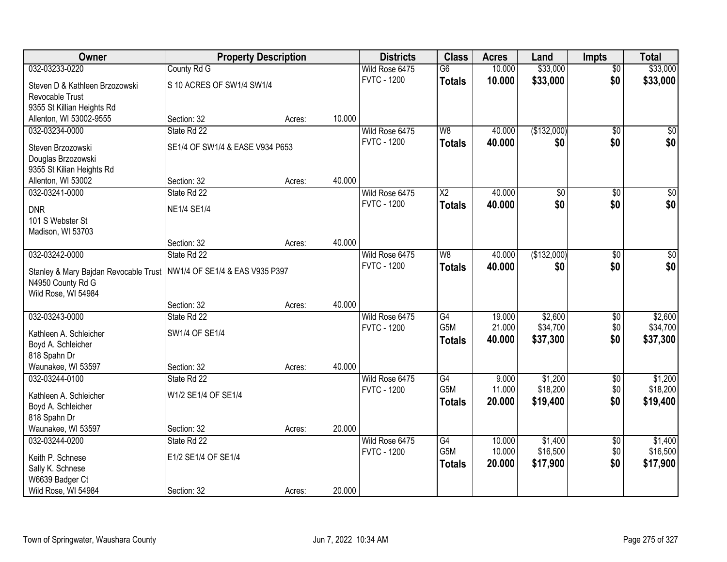| Owner                                                                                       | <b>Property Description</b>     |        |        | <b>Districts</b>   | <b>Class</b>           | <b>Acres</b> | Land            | <b>Impts</b>    | <b>Total</b>     |
|---------------------------------------------------------------------------------------------|---------------------------------|--------|--------|--------------------|------------------------|--------------|-----------------|-----------------|------------------|
| 032-03233-0220                                                                              | County Rd G                     |        |        | Wild Rose 6475     | $\overline{G6}$        | 10.000       | \$33,000        | $\overline{50}$ | \$33,000         |
| Steven D & Kathleen Brzozowski                                                              | S 10 ACRES OF SW1/4 SW1/4       |        |        | <b>FVTC - 1200</b> | <b>Totals</b>          | 10.000       | \$33,000        | \$0             | \$33,000         |
| Revocable Trust                                                                             |                                 |        |        |                    |                        |              |                 |                 |                  |
| 9355 St Killian Heights Rd                                                                  |                                 |        |        |                    |                        |              |                 |                 |                  |
| Allenton, WI 53002-9555                                                                     | Section: 32                     | Acres: | 10.000 |                    |                        |              |                 |                 |                  |
| 032-03234-0000                                                                              | State Rd 22                     |        |        | Wild Rose 6475     | W8                     | 40.000       | (\$132,000)     | $\overline{50}$ | \$0              |
| Steven Brzozowski                                                                           | SE1/4 OF SW1/4 & EASE V934 P653 |        |        | <b>FVTC - 1200</b> | <b>Totals</b>          | 40.000       | \$0             | \$0             | \$0              |
| Douglas Brzozowski                                                                          |                                 |        |        |                    |                        |              |                 |                 |                  |
| 9355 St Kilian Heights Rd                                                                   |                                 |        |        |                    |                        |              |                 |                 |                  |
| Allenton, WI 53002                                                                          | Section: 32                     | Acres: | 40.000 |                    |                        |              |                 |                 |                  |
| 032-03241-0000                                                                              | State Rd 22                     |        |        | Wild Rose 6475     | $\overline{\text{X2}}$ | 40.000       | $\overline{50}$ | \$0             | $\overline{\$0}$ |
| <b>DNR</b>                                                                                  | <b>NE1/4 SE1/4</b>              |        |        | <b>FVTC - 1200</b> | <b>Totals</b>          | 40.000       | \$0             | \$0             | \$0              |
| 101 S Webster St                                                                            |                                 |        |        |                    |                        |              |                 |                 |                  |
| Madison, WI 53703                                                                           |                                 |        |        |                    |                        |              |                 |                 |                  |
|                                                                                             | Section: 32                     | Acres: | 40.000 |                    |                        |              |                 |                 |                  |
| 032-03242-0000                                                                              | State Rd 22                     |        |        | Wild Rose 6475     | W8                     | 40.000       | (\$132,000)     | $\sqrt[6]{3}$   | $\sqrt{50}$      |
|                                                                                             |                                 |        |        | <b>FVTC - 1200</b> | <b>Totals</b>          | 40.000       | \$0             | \$0             | \$0              |
| Stanley & Mary Bajdan Revocable Trust   NW1/4 OF SE1/4 & EAS V935 P397<br>N4950 County Rd G |                                 |        |        |                    |                        |              |                 |                 |                  |
| Wild Rose, WI 54984                                                                         |                                 |        |        |                    |                        |              |                 |                 |                  |
|                                                                                             | Section: 32                     | Acres: | 40.000 |                    |                        |              |                 |                 |                  |
| 032-03243-0000                                                                              | State Rd 22                     |        |        | Wild Rose 6475     | $\overline{G4}$        | 19.000       | \$2,600         | $\overline{50}$ | \$2,600          |
|                                                                                             |                                 |        |        | <b>FVTC - 1200</b> | G <sub>5</sub> M       | 21.000       | \$34,700        | \$0             | \$34,700         |
| Kathleen A. Schleicher<br>Boyd A. Schleicher                                                | SW1/4 OF SE1/4                  |        |        |                    | <b>Totals</b>          | 40.000       | \$37,300        | \$0             | \$37,300         |
| 818 Spahn Dr                                                                                |                                 |        |        |                    |                        |              |                 |                 |                  |
| Waunakee, WI 53597                                                                          | Section: 32                     | Acres: | 40.000 |                    |                        |              |                 |                 |                  |
| 032-03244-0100                                                                              | State Rd 22                     |        |        | Wild Rose 6475     | G4                     | 9.000        | \$1,200         | $\sqrt{6}$      | \$1,200          |
|                                                                                             |                                 |        |        | <b>FVTC - 1200</b> | G5M                    | 11.000       | \$18,200        | \$0             | \$18,200         |
| Kathleen A. Schleicher                                                                      | W1/2 SE1/4 OF SE1/4             |        |        |                    | <b>Totals</b>          | 20.000       | \$19,400        | \$0             | \$19,400         |
| Boyd A. Schleicher<br>818 Spahn Dr                                                          |                                 |        |        |                    |                        |              |                 |                 |                  |
| Waunakee, WI 53597                                                                          | Section: 32                     | Acres: | 20.000 |                    |                        |              |                 |                 |                  |
| 032-03244-0200                                                                              | State Rd 22                     |        |        | Wild Rose 6475     | G4                     | 10.000       | \$1,400         | $\overline{60}$ | \$1,400          |
|                                                                                             |                                 |        |        | <b>FVTC - 1200</b> | G5M                    | 10.000       | \$16,500        | \$0             | \$16,500         |
| Keith P. Schnese                                                                            | E1/2 SE1/4 OF SE1/4             |        |        |                    | <b>Totals</b>          | 20.000       | \$17,900        | \$0             | \$17,900         |
| Sally K. Schnese                                                                            |                                 |        |        |                    |                        |              |                 |                 |                  |
| W6639 Badger Ct                                                                             |                                 |        | 20.000 |                    |                        |              |                 |                 |                  |
| Wild Rose, WI 54984                                                                         | Section: 32                     | Acres: |        |                    |                        |              |                 |                 |                  |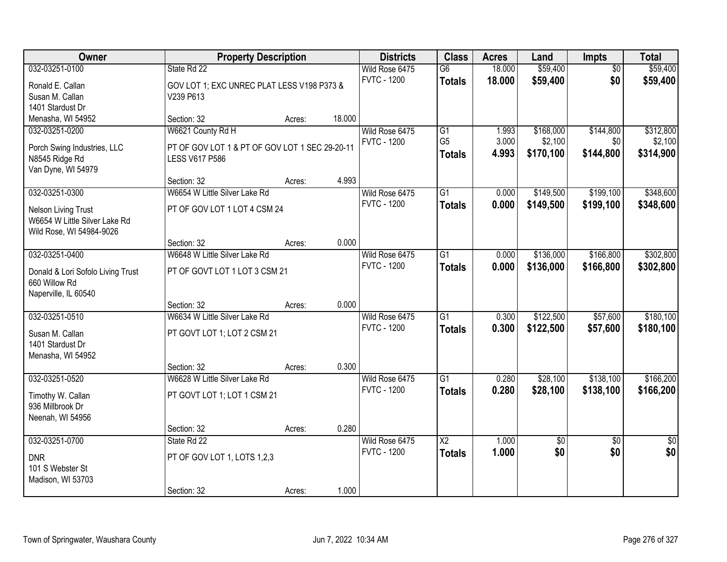| Owner                                                                                                     | <b>Property Description</b>                                                                  |        |        | <b>Districts</b>                     | <b>Class</b>                                       | <b>Acres</b>            | Land                              | Impts                         | <b>Total</b>                      |
|-----------------------------------------------------------------------------------------------------------|----------------------------------------------------------------------------------------------|--------|--------|--------------------------------------|----------------------------------------------------|-------------------------|-----------------------------------|-------------------------------|-----------------------------------|
| 032-03251-0100<br>Ronald E. Callan<br>Susan M. Callan<br>1401 Stardust Dr                                 | State Rd 22<br>GOV LOT 1; EXC UNREC PLAT LESS V198 P373 &<br>V239 P613                       |        |        | Wild Rose 6475<br><b>FVTC - 1200</b> | $\overline{G6}$<br><b>Totals</b>                   | 18.000<br>18.000        | \$59,400<br>\$59,400              | $\overline{50}$<br>\$0        | \$59,400<br>\$59,400              |
| Menasha, WI 54952                                                                                         | Section: 32                                                                                  | Acres: | 18.000 |                                      |                                                    |                         |                                   |                               |                                   |
| 032-03251-0200<br>Porch Swing Industries, LLC<br>N8545 Ridge Rd<br>Van Dyne, WI 54979                     | W6621 County Rd H<br>PT OF GOV LOT 1 & PT OF GOV LOT 1 SEC 29-20-11<br><b>LESS V617 P586</b> |        |        | Wild Rose 6475<br><b>FVTC - 1200</b> | $\overline{G1}$<br>G <sub>5</sub><br><b>Totals</b> | 1.993<br>3.000<br>4.993 | \$168,000<br>\$2,100<br>\$170,100 | \$144,800<br>\$0<br>\$144,800 | \$312,800<br>\$2,100<br>\$314,900 |
|                                                                                                           | Section: 32                                                                                  | Acres: | 4.993  |                                      |                                                    |                         |                                   |                               |                                   |
| 032-03251-0300<br><b>Nelson Living Trust</b><br>W6654 W Little Silver Lake Rd<br>Wild Rose, WI 54984-9026 | W6654 W Little Silver Lake Rd<br>PT OF GOV LOT 1 LOT 4 CSM 24                                |        |        | Wild Rose 6475<br><b>FVTC - 1200</b> | G1<br><b>Totals</b>                                | 0.000<br>0.000          | \$149,500<br>\$149,500            | \$199,100<br>\$199,100        | \$348,600<br>\$348,600            |
|                                                                                                           | Section: 32                                                                                  | Acres: | 0.000  |                                      |                                                    |                         |                                   |                               |                                   |
| 032-03251-0400<br>Donald & Lori Sofolo Living Trust<br>660 Willow Rd<br>Naperville, IL 60540              | W6648 W Little Silver Lake Rd<br>PT OF GOVT LOT 1 LOT 3 CSM 21                               |        |        | Wild Rose 6475<br><b>FVTC - 1200</b> | G1<br><b>Totals</b>                                | 0.000<br>0.000          | \$136,000<br>\$136,000            | \$166,800<br>\$166,800        | \$302,800<br>\$302,800            |
|                                                                                                           | Section: 32                                                                                  | Acres: | 0.000  |                                      |                                                    |                         |                                   |                               |                                   |
| 032-03251-0510<br>Susan M. Callan<br>1401 Stardust Dr<br>Menasha, WI 54952                                | W6634 W Little Silver Lake Rd<br>PT GOVT LOT 1; LOT 2 CSM 21<br>Section: 32                  | Acres: | 0.300  | Wild Rose 6475<br><b>FVTC - 1200</b> | $\overline{G1}$<br><b>Totals</b>                   | 0.300<br>0.300          | \$122,500<br>\$122,500            | \$57,600<br>\$57,600          | \$180,100<br>\$180,100            |
| 032-03251-0520                                                                                            | W6628 W Little Silver Lake Rd                                                                |        |        | Wild Rose 6475                       | $\overline{G1}$                                    | 0.280                   | \$28,100                          | \$138,100                     | \$166,200                         |
| Timothy W. Callan<br>936 Millbrook Dr<br>Neenah, WI 54956                                                 | PT GOVT LOT 1; LOT 1 CSM 21                                                                  |        |        | <b>FVTC - 1200</b>                   | <b>Totals</b>                                      | 0.280                   | \$28,100                          | \$138,100                     | \$166,200                         |
|                                                                                                           | Section: 32                                                                                  | Acres: | 0.280  |                                      |                                                    |                         |                                   |                               |                                   |
| 032-03251-0700<br><b>DNR</b><br>101 S Webster St<br>Madison, WI 53703                                     | State Rd 22<br>PT OF GOV LOT 1, LOTS 1,2,3                                                   |        |        | Wild Rose 6475<br><b>FVTC - 1200</b> | $\overline{\text{X2}}$<br><b>Totals</b>            | 1.000<br>1.000          | \$0<br>\$0                        | $\overline{50}$<br>\$0        | $\overline{50}$<br>\$0            |
|                                                                                                           | Section: 32                                                                                  | Acres: | 1.000  |                                      |                                                    |                         |                                   |                               |                                   |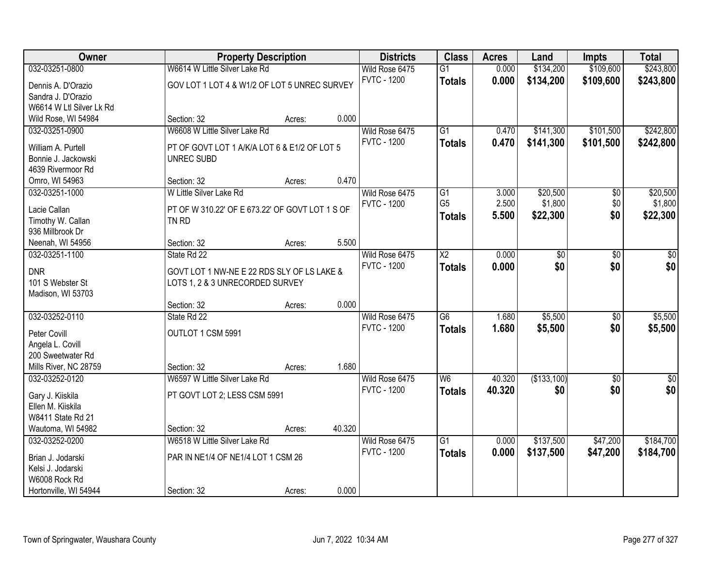| Owner                                 | <b>Property Description</b>                              |        |        | <b>Districts</b>                     | <b>Class</b>           | <b>Acres</b> | Land            | <b>Impts</b> | <b>Total</b> |
|---------------------------------------|----------------------------------------------------------|--------|--------|--------------------------------------|------------------------|--------------|-----------------|--------------|--------------|
| 032-03251-0800                        | W6614 W Little Silver Lake Rd                            |        |        | Wild Rose 6475                       | $\overline{G1}$        | 0.000        | \$134,200       | \$109,600    | \$243,800    |
| Dennis A. D'Orazio                    | GOV LOT 1 LOT 4 & W1/2 OF LOT 5 UNREC SURVEY             |        |        | <b>FVTC - 1200</b>                   | <b>Totals</b>          | 0.000        | \$134,200       | \$109,600    | \$243,800    |
| Sandra J. D'Orazio                    |                                                          |        |        |                                      |                        |              |                 |              |              |
| W6614 W Ltl Silver Lk Rd              |                                                          |        |        |                                      |                        |              |                 |              |              |
| Wild Rose, WI 54984                   | Section: 32                                              | Acres: | 0.000  |                                      |                        |              |                 |              |              |
| 032-03251-0900                        | W6608 W Little Silver Lake Rd                            |        |        | Wild Rose 6475                       | $\overline{G1}$        | 0.470        | \$141,300       | \$101,500    | \$242,800    |
| William A. Purtell                    | PT OF GOVT LOT 1 A/K/A LOT 6 & E1/2 OF LOT 5             |        |        | <b>FVTC - 1200</b>                   | <b>Totals</b>          | 0.470        | \$141,300       | \$101,500    | \$242,800    |
| Bonnie J. Jackowski                   | <b>UNREC SUBD</b>                                        |        |        |                                      |                        |              |                 |              |              |
| 4639 Rivermoor Rd                     |                                                          |        |        |                                      |                        |              |                 |              |              |
| Omro, WI 54963                        | Section: 32                                              | Acres: | 0.470  |                                      |                        |              |                 |              |              |
| 032-03251-1000                        | W Little Silver Lake Rd                                  |        |        | Wild Rose 6475                       | G1                     | 3.000        | \$20,500        | \$0          | \$20,500     |
|                                       |                                                          |        |        | <b>FVTC - 1200</b>                   | G <sub>5</sub>         | 2.500        | \$1,800         | \$0          | \$1,800      |
| Lacie Callan                          | PT OF W 310.22' OF E 673.22' OF GOVT LOT 1 S OF<br>TN RD |        |        |                                      | <b>Totals</b>          | 5.500        | \$22,300        | \$0          | \$22,300     |
| Timothy W. Callan<br>936 Millbrook Dr |                                                          |        |        |                                      |                        |              |                 |              |              |
| Neenah, WI 54956                      | Section: 32                                              | Acres: | 5.500  |                                      |                        |              |                 |              |              |
| 032-03251-1100                        | State Rd 22                                              |        |        | Wild Rose 6475                       | $\overline{\text{X2}}$ | 0.000        | $\overline{60}$ | \$0          | $\sqrt{50}$  |
|                                       |                                                          |        |        | <b>FVTC - 1200</b>                   | <b>Totals</b>          | 0.000        | \$0             | \$0          | \$0          |
| <b>DNR</b>                            | GOVT LOT 1 NW-NE E 22 RDS SLY OF LS LAKE &               |        |        |                                      |                        |              |                 |              |              |
| 101 S Webster St                      | LOTS 1, 2 & 3 UNRECORDED SURVEY                          |        |        |                                      |                        |              |                 |              |              |
| Madison, WI 53703                     |                                                          |        | 0.000  |                                      |                        |              |                 |              |              |
| 032-03252-0110                        | Section: 32<br>State Rd 22                               | Acres: |        |                                      | $\overline{G6}$        | 1.680        | \$5,500         | \$0          | \$5,500      |
|                                       |                                                          |        |        | Wild Rose 6475<br><b>FVTC - 1200</b> |                        | 1.680        | \$5,500         | \$0          |              |
| Peter Covill                          | OUTLOT 1 CSM 5991                                        |        |        |                                      | <b>Totals</b>          |              |                 |              | \$5,500      |
| Angela L. Covill                      |                                                          |        |        |                                      |                        |              |                 |              |              |
| 200 Sweetwater Rd                     |                                                          |        |        |                                      |                        |              |                 |              |              |
| Mills River, NC 28759                 | Section: 32                                              | Acres: | 1.680  |                                      |                        |              |                 |              |              |
| 032-03252-0120                        | W6597 W Little Silver Lake Rd                            |        |        | Wild Rose 6475                       | W <sub>6</sub>         | 40.320       | (\$133,100)     | \$0          | $\sqrt{30}$  |
| Gary J. Kiiskila                      | PT GOVT LOT 2; LESS CSM 5991                             |        |        | <b>FVTC - 1200</b>                   | <b>Totals</b>          | 40.320       | \$0             | \$0          | \$0          |
| Ellen M. Kiiskila                     |                                                          |        |        |                                      |                        |              |                 |              |              |
| W8411 State Rd 21                     |                                                          |        |        |                                      |                        |              |                 |              |              |
| Wautoma, WI 54982                     | Section: 32                                              | Acres: | 40.320 |                                      |                        |              |                 |              |              |
| 032-03252-0200                        | W6518 W Little Silver Lake Rd                            |        |        | Wild Rose 6475                       | $\overline{G1}$        | 0.000        | \$137,500       | \$47,200     | \$184,700    |
| Brian J. Jodarski                     | PAR IN NE1/4 OF NE1/4 LOT 1 CSM 26                       |        |        | <b>FVTC - 1200</b>                   | <b>Totals</b>          | 0.000        | \$137,500       | \$47,200     | \$184,700    |
| Kelsi J. Jodarski                     |                                                          |        |        |                                      |                        |              |                 |              |              |
| W6008 Rock Rd                         |                                                          |        |        |                                      |                        |              |                 |              |              |
| Hortonville, WI 54944                 | Section: 32                                              | Acres: | 0.000  |                                      |                        |              |                 |              |              |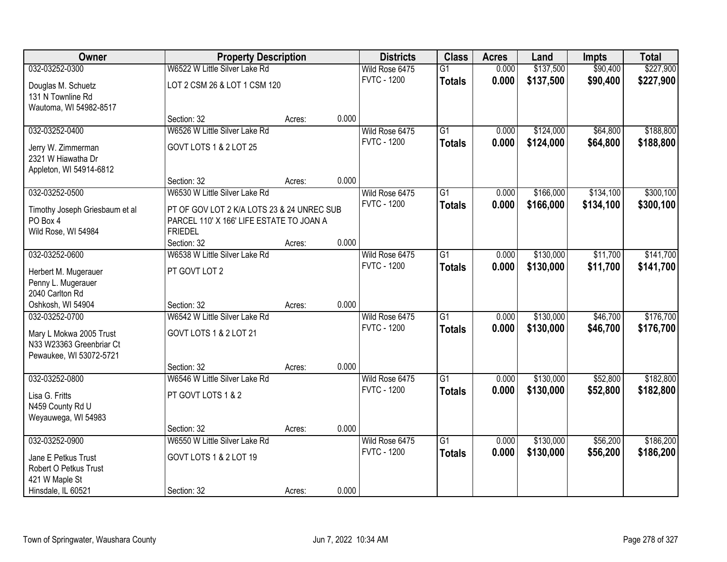| <b>Owner</b>                   |                                            | <b>Property Description</b> |       | <b>Districts</b>   | <b>Class</b>    | <b>Acres</b> | Land      | <b>Impts</b> | <b>Total</b> |
|--------------------------------|--------------------------------------------|-----------------------------|-------|--------------------|-----------------|--------------|-----------|--------------|--------------|
| 032-03252-0300                 | W6522 W Little Silver Lake Rd              |                             |       | Wild Rose 6475     | $\overline{G1}$ | 0.000        | \$137,500 | \$90,400     | \$227,900    |
| Douglas M. Schuetz             | LOT 2 CSM 26 & LOT 1 CSM 120               |                             |       | <b>FVTC - 1200</b> | <b>Totals</b>   | 0.000        | \$137,500 | \$90,400     | \$227,900    |
| 131 N Townline Rd              |                                            |                             |       |                    |                 |              |           |              |              |
| Wautoma, WI 54982-8517         |                                            |                             |       |                    |                 |              |           |              |              |
|                                | Section: 32                                | Acres:                      | 0.000 |                    |                 |              |           |              |              |
| 032-03252-0400                 | W6526 W Little Silver Lake Rd              |                             |       | Wild Rose 6475     | $\overline{G1}$ | 0.000        | \$124,000 | \$64,800     | \$188,800    |
| Jerry W. Zimmerman             | GOVT LOTS 1 & 2 LOT 25                     |                             |       | <b>FVTC - 1200</b> | <b>Totals</b>   | 0.000        | \$124,000 | \$64,800     | \$188,800    |
| 2321 W Hiawatha Dr             |                                            |                             |       |                    |                 |              |           |              |              |
| Appleton, WI 54914-6812        |                                            |                             |       |                    |                 |              |           |              |              |
|                                | Section: 32                                | Acres:                      | 0.000 |                    |                 |              |           |              |              |
| 032-03252-0500                 | W6530 W Little Silver Lake Rd              |                             |       | Wild Rose 6475     | G1              | 0.000        | \$166,000 | \$134,100    | \$300,100    |
| Timothy Joseph Griesbaum et al | PT OF GOV LOT 2 K/A LOTS 23 & 24 UNREC SUB |                             |       | <b>FVTC - 1200</b> | <b>Totals</b>   | 0.000        | \$166,000 | \$134,100    | \$300,100    |
| PO Box 4                       | PARCEL 110' X 166' LIFE ESTATE TO JOAN A   |                             |       |                    |                 |              |           |              |              |
| Wild Rose, WI 54984            | <b>FRIEDEL</b>                             |                             |       |                    |                 |              |           |              |              |
|                                | Section: 32                                | Acres:                      | 0.000 |                    |                 |              |           |              |              |
| 032-03252-0600                 | W6538 W Little Silver Lake Rd              |                             |       | Wild Rose 6475     | $\overline{G1}$ | 0.000        | \$130,000 | \$11,700     | \$141,700    |
| Herbert M. Mugerauer           | PT GOVT LOT 2                              |                             |       | <b>FVTC - 1200</b> | <b>Totals</b>   | 0.000        | \$130,000 | \$11,700     | \$141,700    |
| Penny L. Mugerauer             |                                            |                             |       |                    |                 |              |           |              |              |
| 2040 Carlton Rd                |                                            |                             |       |                    |                 |              |           |              |              |
| Oshkosh, WI 54904              | Section: 32                                | Acres:                      | 0.000 |                    |                 |              |           |              |              |
| 032-03252-0700                 | W6542 W Little Silver Lake Rd              |                             |       | Wild Rose 6475     | $\overline{G1}$ | 0.000        | \$130,000 | \$46,700     | \$176,700    |
| Mary L Mokwa 2005 Trust        | GOVT LOTS 1 & 2 LOT 21                     |                             |       | <b>FVTC - 1200</b> | <b>Totals</b>   | 0.000        | \$130,000 | \$46,700     | \$176,700    |
| N33 W23363 Greenbriar Ct       |                                            |                             |       |                    |                 |              |           |              |              |
| Pewaukee, WI 53072-5721        |                                            |                             |       |                    |                 |              |           |              |              |
|                                | Section: 32                                | Acres:                      | 0.000 |                    |                 |              |           |              |              |
| 032-03252-0800                 | W6546 W Little Silver Lake Rd              |                             |       | Wild Rose 6475     | $\overline{G1}$ | 0.000        | \$130,000 | \$52,800     | \$182,800    |
| Lisa G. Fritts                 | PT GOVT LOTS 1 & 2                         |                             |       | <b>FVTC - 1200</b> | <b>Totals</b>   | 0.000        | \$130,000 | \$52,800     | \$182,800    |
| N459 County Rd U               |                                            |                             |       |                    |                 |              |           |              |              |
| Weyauwega, WI 54983            |                                            |                             |       |                    |                 |              |           |              |              |
|                                | Section: 32                                | Acres:                      | 0.000 |                    |                 |              |           |              |              |
| 032-03252-0900                 | W6550 W Little Silver Lake Rd              |                             |       | Wild Rose 6475     | $\overline{G1}$ | 0.000        | \$130,000 | \$56,200     | \$186,200    |
| Jane E Petkus Trust            | GOVT LOTS 1 & 2 LOT 19                     |                             |       | <b>FVTC - 1200</b> | <b>Totals</b>   | 0.000        | \$130,000 | \$56,200     | \$186,200    |
| Robert O Petkus Trust          |                                            |                             |       |                    |                 |              |           |              |              |
| 421 W Maple St                 |                                            |                             |       |                    |                 |              |           |              |              |
| Hinsdale, IL 60521             | Section: 32                                | Acres:                      | 0.000 |                    |                 |              |           |              |              |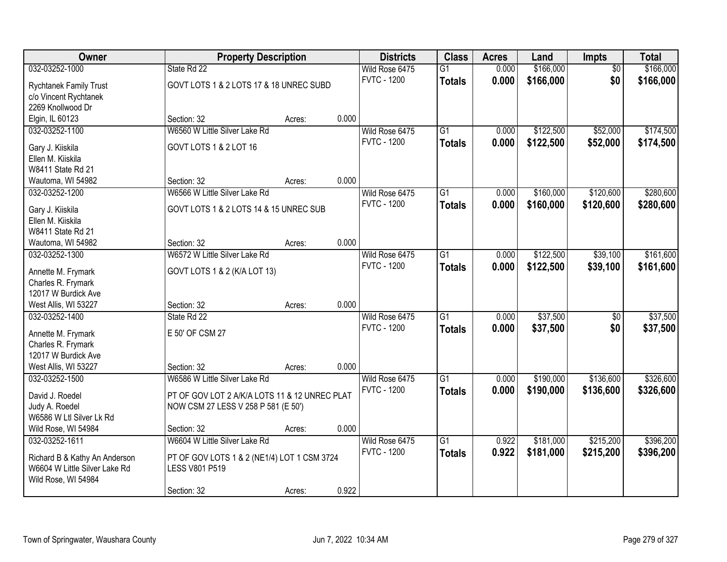| \$166,000<br>\$166,000<br>032-03252-1000<br>State Rd 22<br>0.000<br>Wild Rose 6475<br>$\overline{G1}$<br>$\overline{50}$<br><b>FVTC - 1200</b><br>0.000<br>\$166,000<br>\$0<br>\$166,000<br><b>Totals</b><br>GOVT LOTS 1 & 2 LOTS 17 & 18 UNREC SUBD<br><b>Rychtanek Family Trust</b><br>c/o Vincent Rychtanek<br>2269 Knollwood Dr<br>0.000<br>Elgin, IL 60123<br>Section: 32<br>Acres:<br>W6560 W Little Silver Lake Rd<br>$\overline{G1}$<br>\$122,500<br>\$52,000<br>\$174,500<br>032-03252-1100<br>Wild Rose 6475<br>0.000 |
|---------------------------------------------------------------------------------------------------------------------------------------------------------------------------------------------------------------------------------------------------------------------------------------------------------------------------------------------------------------------------------------------------------------------------------------------------------------------------------------------------------------------------------|
|                                                                                                                                                                                                                                                                                                                                                                                                                                                                                                                                 |
|                                                                                                                                                                                                                                                                                                                                                                                                                                                                                                                                 |
|                                                                                                                                                                                                                                                                                                                                                                                                                                                                                                                                 |
|                                                                                                                                                                                                                                                                                                                                                                                                                                                                                                                                 |
|                                                                                                                                                                                                                                                                                                                                                                                                                                                                                                                                 |
|                                                                                                                                                                                                                                                                                                                                                                                                                                                                                                                                 |
| <b>FVTC - 1200</b><br>0.000<br>\$122,500<br>\$52,000<br>\$174,500<br><b>Totals</b>                                                                                                                                                                                                                                                                                                                                                                                                                                              |
| GOVT LOTS 1 & 2 LOT 16<br>Gary J. Kiiskila                                                                                                                                                                                                                                                                                                                                                                                                                                                                                      |
| Ellen M. Kiiskila                                                                                                                                                                                                                                                                                                                                                                                                                                                                                                               |
| W8411 State Rd 21                                                                                                                                                                                                                                                                                                                                                                                                                                                                                                               |
| 0.000<br>Wautoma, WI 54982<br>Section: 32<br>Acres:                                                                                                                                                                                                                                                                                                                                                                                                                                                                             |
| \$280,600<br>W6566 W Little Silver Lake Rd<br>\$160,000<br>\$120,600<br>032-03252-1200<br>Wild Rose 6475<br>$\overline{G1}$<br>0.000                                                                                                                                                                                                                                                                                                                                                                                            |
| <b>FVTC - 1200</b><br>0.000<br>\$160,000<br>\$120,600<br>\$280,600<br><b>Totals</b><br>GOVT LOTS 1 & 2 LOTS 14 & 15 UNREC SUB<br>Gary J. Kiiskila                                                                                                                                                                                                                                                                                                                                                                               |
| Ellen M. Kiiskila                                                                                                                                                                                                                                                                                                                                                                                                                                                                                                               |
| W8411 State Rd 21                                                                                                                                                                                                                                                                                                                                                                                                                                                                                                               |
| 0.000<br>Wautoma, WI 54982<br>Section: 32<br>Acres:                                                                                                                                                                                                                                                                                                                                                                                                                                                                             |
| W6572 W Little Silver Lake Rd<br>\$122,500<br>\$39,100<br>\$161,600<br>032-03252-1300<br>Wild Rose 6475<br>$\overline{G1}$<br>0.000                                                                                                                                                                                                                                                                                                                                                                                             |
| <b>FVTC - 1200</b><br>0.000<br>\$122,500<br>\$39,100<br>\$161,600<br><b>Totals</b>                                                                                                                                                                                                                                                                                                                                                                                                                                              |
| GOVT LOTS 1 & 2 (K/A LOT 13)<br>Annette M. Frymark                                                                                                                                                                                                                                                                                                                                                                                                                                                                              |
| Charles R. Frymark                                                                                                                                                                                                                                                                                                                                                                                                                                                                                                              |
| 12017 W Burdick Ave                                                                                                                                                                                                                                                                                                                                                                                                                                                                                                             |
| 0.000<br>West Allis, WI 53227<br>Section: 32<br>Acres:                                                                                                                                                                                                                                                                                                                                                                                                                                                                          |
| \$37,500<br>\$37,500<br>$\overline{G1}$<br>032-03252-1400<br>State Rd 22<br>0.000<br>$\overline{50}$<br>Wild Rose 6475                                                                                                                                                                                                                                                                                                                                                                                                          |
| <b>FVTC - 1200</b><br>0.000<br>\$37,500<br>\$0<br>\$37,500<br><b>Totals</b><br>E 50' OF CSM 27<br>Annette M. Frymark                                                                                                                                                                                                                                                                                                                                                                                                            |
| Charles R. Frymark                                                                                                                                                                                                                                                                                                                                                                                                                                                                                                              |
| 12017 W Burdick Ave                                                                                                                                                                                                                                                                                                                                                                                                                                                                                                             |
| 0.000<br>West Allis, WI 53227<br>Section: 32<br>Acres:                                                                                                                                                                                                                                                                                                                                                                                                                                                                          |
| \$326,600<br>W6586 W Little Silver Lake Rd<br>G1<br>\$190,000<br>\$136,600<br>032-03252-1500<br>Wild Rose 6475<br>0.000                                                                                                                                                                                                                                                                                                                                                                                                         |
| <b>FVTC - 1200</b><br>0.000<br>\$190,000<br>\$136,600<br>\$326,600<br><b>Totals</b>                                                                                                                                                                                                                                                                                                                                                                                                                                             |
| David J. Roedel<br>PT OF GOV LOT 2 A/K/A LOTS 11 & 12 UNREC PLAT                                                                                                                                                                                                                                                                                                                                                                                                                                                                |
| Judy A. Roedel<br>NOW CSM 27 LESS V 258 P 581 (E 50')                                                                                                                                                                                                                                                                                                                                                                                                                                                                           |
| W6586 W Ltl Silver Lk Rd                                                                                                                                                                                                                                                                                                                                                                                                                                                                                                        |
| 0.000<br>Wild Rose, WI 54984<br>Section: 32<br>Acres:                                                                                                                                                                                                                                                                                                                                                                                                                                                                           |
| W6604 W Little Silver Lake Rd<br>\$396,200<br>$\overline{G1}$<br>\$181,000<br>\$215,200<br>032-03252-1611<br>Wild Rose 6475<br>0.922                                                                                                                                                                                                                                                                                                                                                                                            |
| 0.922<br><b>FVTC - 1200</b><br>\$181,000<br>\$396,200<br>\$215,200<br><b>Totals</b><br>PT OF GOV LOTS 1 & 2 (NE1/4) LOT 1 CSM 3724<br>Richard B & Kathy An Anderson                                                                                                                                                                                                                                                                                                                                                             |
| W6604 W Little Silver Lake Rd<br><b>LESS V801 P519</b>                                                                                                                                                                                                                                                                                                                                                                                                                                                                          |
| Wild Rose, WI 54984                                                                                                                                                                                                                                                                                                                                                                                                                                                                                                             |
| 0.922<br>Section: 32<br>Acres:                                                                                                                                                                                                                                                                                                                                                                                                                                                                                                  |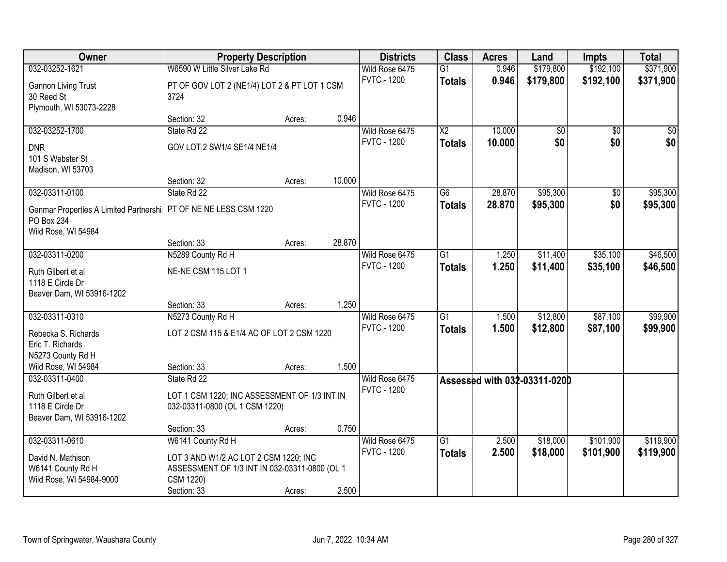| Owner                                                              | <b>Property Description</b>                   |        |        | <b>Districts</b>   | <b>Class</b>    | <b>Acres</b> | Land                         | <b>Impts</b>    | <b>Total</b> |
|--------------------------------------------------------------------|-----------------------------------------------|--------|--------|--------------------|-----------------|--------------|------------------------------|-----------------|--------------|
| 032-03252-1621                                                     | W6590 W Little Silver Lake Rd                 |        |        | Wild Rose 6475     | $\overline{G1}$ | 0.946        | \$179,800                    | \$192,100       | \$371,900    |
| <b>Gannon Living Trust</b>                                         | PT OF GOV LOT 2 (NE1/4) LOT 2 & PT LOT 1 CSM  |        |        | <b>FVTC - 1200</b> | <b>Totals</b>   | 0.946        | \$179,800                    | \$192,100       | \$371,900    |
| 30 Reed St                                                         | 3724                                          |        |        |                    |                 |              |                              |                 |              |
| Plymouth, WI 53073-2228                                            |                                               |        |        |                    |                 |              |                              |                 |              |
|                                                                    | Section: 32                                   | Acres: | 0.946  |                    |                 |              |                              |                 |              |
| 032-03252-1700                                                     | State Rd 22                                   |        |        | Wild Rose 6475     | $\overline{X2}$ | 10.000       | \$0                          | $\overline{50}$ | \$0          |
| <b>DNR</b>                                                         | GOV LOT 2 SW1/4 SE1/4 NE1/4                   |        |        | <b>FVTC - 1200</b> | Totals          | 10.000       | \$0                          | \$0             | \$0          |
| 101 S Webster St                                                   |                                               |        |        |                    |                 |              |                              |                 |              |
| Madison, WI 53703                                                  |                                               |        |        |                    |                 |              |                              |                 |              |
|                                                                    | Section: 32                                   | Acres: | 10.000 |                    |                 |              |                              |                 |              |
| 032-03311-0100                                                     | State Rd 22                                   |        |        | Wild Rose 6475     | G6              | 28.870       | \$95,300                     | \$0             | \$95,300     |
| Genmar Properties A Limited Partnershi   PT OF NE NE LESS CSM 1220 |                                               |        |        | <b>FVTC - 1200</b> | <b>Totals</b>   | 28.870       | \$95,300                     | \$0             | \$95,300     |
| PO Box 234                                                         |                                               |        |        |                    |                 |              |                              |                 |              |
| Wild Rose, WI 54984                                                |                                               |        |        |                    |                 |              |                              |                 |              |
|                                                                    | Section: 33                                   | Acres: | 28.870 |                    |                 |              |                              |                 |              |
| 032-03311-0200                                                     | N5289 County Rd H                             |        |        | Wild Rose 6475     | $\overline{G1}$ | 1.250        | \$11,400                     | \$35,100        | \$46,500     |
| Ruth Gilbert et al                                                 | NE-NE CSM 115 LOT 1                           |        |        | <b>FVTC - 1200</b> | <b>Totals</b>   | 1.250        | \$11,400                     | \$35,100        | \$46,500     |
| 1118 E Circle Dr                                                   |                                               |        |        |                    |                 |              |                              |                 |              |
| Beaver Dam, WI 53916-1202                                          |                                               |        |        |                    |                 |              |                              |                 |              |
|                                                                    | Section: 33                                   | Acres: | 1.250  |                    |                 |              |                              |                 |              |
| 032-03311-0310                                                     | N5273 County Rd H                             |        |        | Wild Rose 6475     | $\overline{G1}$ | 1.500        | \$12,800                     | \$87,100        | \$99,900     |
| Rebecka S. Richards                                                | LOT 2 CSM 115 & E1/4 AC OF LOT 2 CSM 1220     |        |        | <b>FVTC - 1200</b> | <b>Totals</b>   | 1.500        | \$12,800                     | \$87,100        | \$99,900     |
| Eric T. Richards                                                   |                                               |        |        |                    |                 |              |                              |                 |              |
| N5273 County Rd H                                                  |                                               |        |        |                    |                 |              |                              |                 |              |
| Wild Rose, WI 54984                                                | Section: 33                                   | Acres: | 1.500  |                    |                 |              |                              |                 |              |
| 032-03311-0400                                                     | State Rd 22                                   |        |        | Wild Rose 6475     |                 |              | Assessed with 032-03311-0200 |                 |              |
| Ruth Gilbert et al                                                 | LOT 1 CSM 1220; INC ASSESSMENT OF 1/3 INT IN  |        |        | <b>FVTC - 1200</b> |                 |              |                              |                 |              |
| 1118 E Circle Dr                                                   | 032-03311-0800 (OL 1 CSM 1220)                |        |        |                    |                 |              |                              |                 |              |
| Beaver Dam, WI 53916-1202                                          |                                               |        |        |                    |                 |              |                              |                 |              |
|                                                                    | Section: 33                                   | Acres: | 0.750  |                    |                 |              |                              |                 |              |
| 032-03311-0610                                                     | W6141 County Rd H                             |        |        | Wild Rose 6475     | $\overline{G1}$ | 2.500        | \$18,000                     | \$101,900       | \$119,900    |
| David N. Mathison                                                  | LOT 3 AND W1/2 AC LOT 2 CSM 1220; INC         |        |        | <b>FVTC - 1200</b> | <b>Totals</b>   | 2.500        | \$18,000                     | \$101,900       | \$119,900    |
| W6141 County Rd H                                                  | ASSESSMENT OF 1/3 INT IN 032-03311-0800 (OL 1 |        |        |                    |                 |              |                              |                 |              |
| Wild Rose, WI 54984-9000                                           | CSM 1220)                                     |        |        |                    |                 |              |                              |                 |              |
|                                                                    | Section: 33                                   | Acres: | 2.500  |                    |                 |              |                              |                 |              |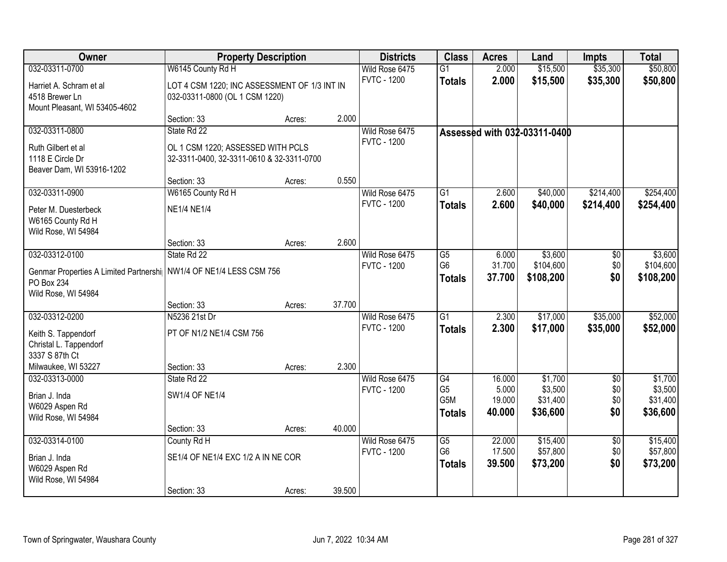| Owner                                                                | <b>Property Description</b>                  |        |        | <b>Districts</b>   | <b>Class</b>          | <b>Acres</b>    | Land                         | <b>Impts</b>    | <b>Total</b>        |
|----------------------------------------------------------------------|----------------------------------------------|--------|--------|--------------------|-----------------------|-----------------|------------------------------|-----------------|---------------------|
| 032-03311-0700                                                       | W6145 County Rd H                            |        |        | Wild Rose 6475     | G1                    | 2.000           | \$15,500                     | \$35,300        | \$50,800            |
| Harriet A. Schram et al                                              | LOT 4 CSM 1220; INC ASSESSMENT OF 1/3 INT IN |        |        | <b>FVTC - 1200</b> | <b>Totals</b>         | 2.000           | \$15,500                     | \$35,300        | \$50,800            |
| 4518 Brewer Ln                                                       | 032-03311-0800 (OL 1 CSM 1220)               |        |        |                    |                       |                 |                              |                 |                     |
| Mount Pleasant, WI 53405-4602                                        |                                              |        |        |                    |                       |                 |                              |                 |                     |
|                                                                      | Section: 33                                  | Acres: | 2.000  |                    |                       |                 |                              |                 |                     |
| 032-03311-0800                                                       | State Rd 22                                  |        |        | Wild Rose 6475     |                       |                 | Assessed with 032-03311-0400 |                 |                     |
| Ruth Gilbert et al                                                   | OL 1 CSM 1220; ASSESSED WITH PCLS            |        |        | <b>FVTC - 1200</b> |                       |                 |                              |                 |                     |
| 1118 E Circle Dr                                                     | 32-3311-0400, 32-3311-0610 & 32-3311-0700    |        |        |                    |                       |                 |                              |                 |                     |
| Beaver Dam, WI 53916-1202                                            |                                              |        |        |                    |                       |                 |                              |                 |                     |
|                                                                      | Section: 33                                  | Acres: | 0.550  |                    |                       |                 |                              |                 |                     |
| 032-03311-0900                                                       | W6165 County Rd H                            |        |        | Wild Rose 6475     | G <sub>1</sub>        | 2.600           | \$40,000                     | \$214,400       | \$254,400           |
| Peter M. Duesterbeck                                                 | <b>NE1/4 NE1/4</b>                           |        |        | <b>FVTC - 1200</b> | <b>Totals</b>         | 2.600           | \$40,000                     | \$214,400       | \$254,400           |
| W6165 County Rd H                                                    |                                              |        |        |                    |                       |                 |                              |                 |                     |
| Wild Rose, WI 54984                                                  |                                              |        |        |                    |                       |                 |                              |                 |                     |
|                                                                      | Section: 33                                  | Acres: | 2.600  |                    |                       |                 |                              |                 |                     |
| 032-03312-0100                                                       | State Rd 22                                  |        |        | Wild Rose 6475     | G5                    | 6.000           | \$3,600                      | \$0             | \$3,600             |
| Genmar Properties A Limited Partnershi   NW1/4 OF NE1/4 LESS CSM 756 |                                              |        |        | <b>FVTC - 1200</b> | G <sub>6</sub>        | 31.700          | \$104,600                    | \$0             | \$104,600           |
| PO Box 234                                                           |                                              |        |        |                    | <b>Totals</b>         | 37.700          | \$108,200                    | \$0             | \$108,200           |
| Wild Rose, WI 54984                                                  |                                              |        |        |                    |                       |                 |                              |                 |                     |
|                                                                      | Section: 33                                  | Acres: | 37.700 |                    |                       |                 |                              |                 |                     |
| 032-03312-0200                                                       | N5236 21st Dr                                |        |        | Wild Rose 6475     | $\overline{G1}$       | 2.300           | \$17,000                     | \$35,000        | \$52,000            |
| Keith S. Tappendorf                                                  | PT OF N1/2 NE1/4 CSM 756                     |        |        | <b>FVTC - 1200</b> | <b>Totals</b>         | 2.300           | \$17,000                     | \$35,000        | \$52,000            |
| Christal L. Tappendorf                                               |                                              |        |        |                    |                       |                 |                              |                 |                     |
| 3337 S 87th Ct                                                       |                                              |        |        |                    |                       |                 |                              |                 |                     |
| Milwaukee, WI 53227                                                  | Section: 33                                  | Acres: | 2.300  |                    |                       |                 |                              |                 |                     |
| 032-03313-0000                                                       | State Rd 22                                  |        |        | Wild Rose 6475     | G4                    | 16.000          | \$1,700                      | $\overline{50}$ | \$1,700             |
| Brian J. Inda                                                        | SW1/4 OF NE1/4                               |        |        | <b>FVTC - 1200</b> | G <sub>5</sub><br>G5M | 5.000<br>19.000 | \$3,500<br>\$31,400          | \$0<br>\$0      | \$3,500<br>\$31,400 |
| W6029 Aspen Rd                                                       |                                              |        |        |                    | <b>Totals</b>         | 40.000          | \$36,600                     | \$0             | \$36,600            |
| Wild Rose, WI 54984                                                  |                                              |        |        |                    |                       |                 |                              |                 |                     |
|                                                                      | Section: 33                                  | Acres: | 40.000 |                    |                       |                 |                              |                 |                     |
| 032-03314-0100                                                       | County Rd H                                  |        |        | Wild Rose 6475     | G5<br>G <sub>6</sub>  | 22.000          | \$15,400                     | $\overline{50}$ | \$15,400            |
| Brian J. Inda                                                        | SE1/4 OF NE1/4 EXC 1/2 A IN NE COR           |        |        | <b>FVTC - 1200</b> |                       | 17.500          | \$57,800                     | \$0<br>\$0      | \$57,800            |
| W6029 Aspen Rd                                                       |                                              |        |        |                    | <b>Totals</b>         | 39.500          | \$73,200                     |                 | \$73,200            |
| Wild Rose, WI 54984                                                  |                                              |        |        |                    |                       |                 |                              |                 |                     |
|                                                                      | Section: 33                                  | Acres: | 39.500 |                    |                       |                 |                              |                 |                     |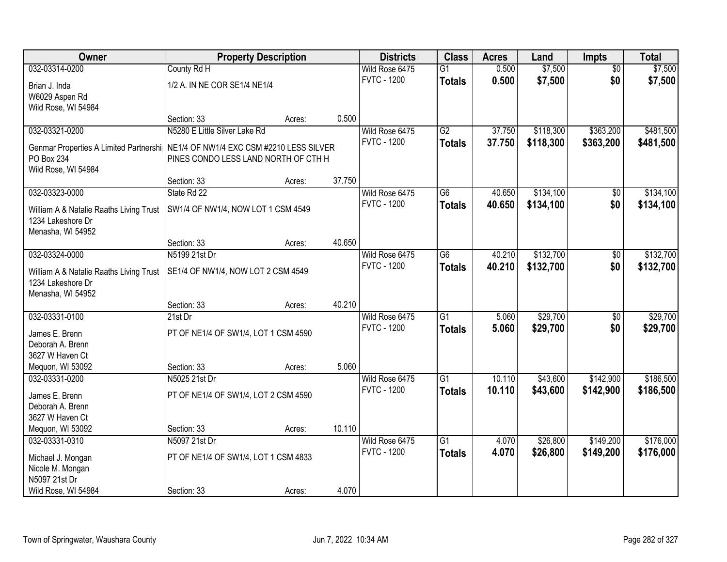| Owner                                   | <b>Property Description</b>              |        |        | <b>Districts</b>   | <b>Class</b>    | <b>Acres</b> | Land      | <b>Impts</b>    | <b>Total</b> |
|-----------------------------------------|------------------------------------------|--------|--------|--------------------|-----------------|--------------|-----------|-----------------|--------------|
| 032-03314-0200                          | County Rd H                              |        |        | Wild Rose 6475     | $\overline{G1}$ | 0.500        | \$7,500   | $\overline{50}$ | \$7,500      |
| Brian J. Inda                           | 1/2 A. IN NE COR SE1/4 NE1/4             |        |        | <b>FVTC - 1200</b> | <b>Totals</b>   | 0.500        | \$7,500   | \$0             | \$7,500      |
| W6029 Aspen Rd                          |                                          |        |        |                    |                 |              |           |                 |              |
| Wild Rose, WI 54984                     |                                          |        |        |                    |                 |              |           |                 |              |
|                                         | Section: 33                              | Acres: | 0.500  |                    |                 |              |           |                 |              |
| 032-03321-0200                          | N5280 E Little Silver Lake Rd            |        |        | Wild Rose 6475     | G2              | 37.750       | \$118,300 | \$363,200       | \$481,500    |
| Genmar Properties A Limited Partnershi  | NE1/4 OF NW1/4 EXC CSM #2210 LESS SILVER |        |        | <b>FVTC - 1200</b> | <b>Totals</b>   | 37.750       | \$118,300 | \$363,200       | \$481,500    |
| PO Box 234                              | PINES CONDO LESS LAND NORTH OF CTH H     |        |        |                    |                 |              |           |                 |              |
| Wild Rose, WI 54984                     |                                          |        |        |                    |                 |              |           |                 |              |
|                                         | Section: 33                              | Acres: | 37.750 |                    |                 |              |           |                 |              |
| 032-03323-0000                          | State Rd 22                              |        |        | Wild Rose 6475     | $\overline{G6}$ | 40.650       | \$134,100 | \$0             | \$134,100    |
| William A & Natalie Raaths Living Trust | SW1/4 OF NW1/4, NOW LOT 1 CSM 4549       |        |        | <b>FVTC - 1200</b> | <b>Totals</b>   | 40.650       | \$134,100 | \$0             | \$134,100    |
| 1234 Lakeshore Dr                       |                                          |        |        |                    |                 |              |           |                 |              |
| Menasha, WI 54952                       |                                          |        |        |                    |                 |              |           |                 |              |
|                                         | Section: 33                              | Acres: | 40.650 |                    |                 |              |           |                 |              |
| 032-03324-0000                          | N5199 21st Dr                            |        |        | Wild Rose 6475     | $\overline{G6}$ | 40.210       | \$132,700 | \$0             | \$132,700    |
| William A & Natalie Raaths Living Trust | SE1/4 OF NW1/4, NOW LOT 2 CSM 4549       |        |        | <b>FVTC - 1200</b> | <b>Totals</b>   | 40.210       | \$132,700 | \$0             | \$132,700    |
| 1234 Lakeshore Dr                       |                                          |        |        |                    |                 |              |           |                 |              |
| Menasha, WI 54952                       |                                          |        |        |                    |                 |              |           |                 |              |
|                                         | Section: 33                              | Acres: | 40.210 |                    |                 |              |           |                 |              |
| 032-03331-0100                          | 21st Dr                                  |        |        | Wild Rose 6475     | $\overline{G1}$ | 5.060        | \$29,700  | \$0             | \$29,700     |
| James E. Brenn                          | PT OF NE1/4 OF SW1/4, LOT 1 CSM 4590     |        |        | <b>FVTC - 1200</b> | <b>Totals</b>   | 5.060        | \$29,700  | \$0             | \$29,700     |
| Deborah A. Brenn                        |                                          |        |        |                    |                 |              |           |                 |              |
| 3627 W Haven Ct                         |                                          |        |        |                    |                 |              |           |                 |              |
| Mequon, WI 53092                        | Section: 33                              | Acres: | 5.060  |                    |                 |              |           |                 |              |
| 032-03331-0200                          | N5025 21st Dr                            |        |        | Wild Rose 6475     | $\overline{G1}$ | 10.110       | \$43,600  | \$142,900       | \$186,500    |
| James E. Brenn                          | PT OF NE1/4 OF SW1/4, LOT 2 CSM 4590     |        |        | <b>FVTC - 1200</b> | <b>Totals</b>   | 10.110       | \$43,600  | \$142,900       | \$186,500    |
| Deborah A. Brenn                        |                                          |        |        |                    |                 |              |           |                 |              |
| 3627 W Haven Ct                         |                                          |        |        |                    |                 |              |           |                 |              |
| Mequon, WI 53092                        | Section: 33                              | Acres: | 10.110 |                    |                 |              |           |                 |              |
| 032-03331-0310                          | N5097 21st Dr                            |        |        | Wild Rose 6475     | $\overline{G1}$ | 4.070        | \$26,800  | \$149,200       | \$176,000    |
| Michael J. Mongan                       | PT OF NE1/4 OF SW1/4, LOT 1 CSM 4833     |        |        | <b>FVTC - 1200</b> | <b>Totals</b>   | 4.070        | \$26,800  | \$149,200       | \$176,000    |
| Nicole M. Mongan                        |                                          |        |        |                    |                 |              |           |                 |              |
| N5097 21st Dr                           |                                          |        |        |                    |                 |              |           |                 |              |
| Wild Rose, WI 54984                     | Section: 33                              | Acres: | 4.070  |                    |                 |              |           |                 |              |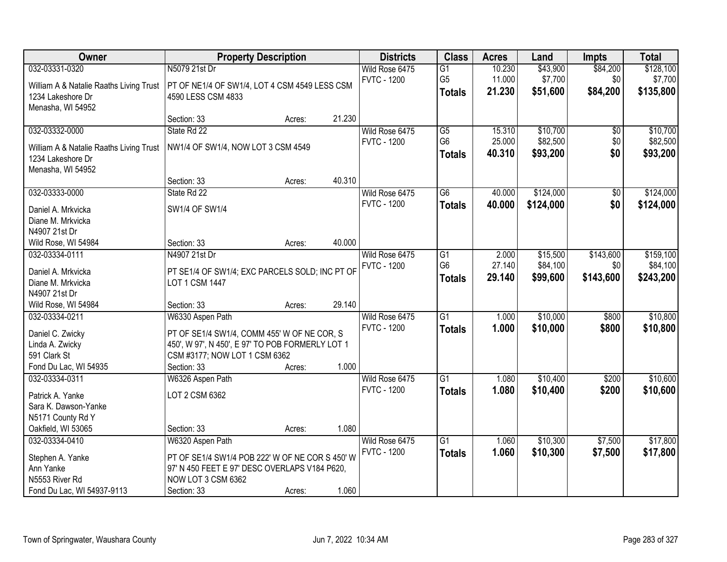| Owner                                                        |                                                  | <b>Property Description</b> |        | <b>Districts</b>   | <b>Class</b>    | <b>Acres</b> | Land      | <b>Impts</b>    | <b>Total</b> |
|--------------------------------------------------------------|--------------------------------------------------|-----------------------------|--------|--------------------|-----------------|--------------|-----------|-----------------|--------------|
| 032-03331-0320                                               | N5079 21st Dr                                    |                             |        | Wild Rose 6475     | G1              | 10.230       | \$43,900  | \$84,200        | \$128,100    |
| William A & Natalie Raaths Living Trust                      | PT OF NE1/4 OF SW1/4, LOT 4 CSM 4549 LESS CSM    |                             |        | <b>FVTC - 1200</b> | G <sub>5</sub>  | 11.000       | \$7,700   | \$0             | \$7,700      |
| 1234 Lakeshore Dr                                            | 4590 LESS CSM 4833                               |                             |        |                    | <b>Totals</b>   | 21.230       | \$51,600  | \$84,200        | \$135,800    |
| Menasha, WI 54952                                            |                                                  |                             |        |                    |                 |              |           |                 |              |
|                                                              | Section: 33                                      | Acres:                      | 21.230 |                    |                 |              |           |                 |              |
| 032-03332-0000                                               | State Rd 22                                      |                             |        | Wild Rose 6475     | $\overline{G5}$ | 15.310       | \$10,700  | \$0             | \$10,700     |
|                                                              | NW1/4 OF SW1/4, NOW LOT 3 CSM 4549               |                             |        | <b>FVTC - 1200</b> | G <sub>6</sub>  | 25.000       | \$82,500  | \$0             | \$82,500     |
| William A & Natalie Raaths Living Trust<br>1234 Lakeshore Dr |                                                  |                             |        |                    | <b>Totals</b>   | 40.310       | \$93,200  | \$0             | \$93,200     |
| Menasha, WI 54952                                            |                                                  |                             |        |                    |                 |              |           |                 |              |
|                                                              | Section: 33                                      | Acres:                      | 40.310 |                    |                 |              |           |                 |              |
| 032-03333-0000                                               | State Rd 22                                      |                             |        | Wild Rose 6475     | $\overline{G6}$ | 40.000       | \$124,000 | $\overline{50}$ | \$124,000    |
|                                                              |                                                  |                             |        | <b>FVTC - 1200</b> | <b>Totals</b>   | 40.000       | \$124,000 | \$0             | \$124,000    |
| Daniel A. Mrkvicka                                           | SW1/4 OF SW1/4                                   |                             |        |                    |                 |              |           |                 |              |
| Diane M. Mrkvicka                                            |                                                  |                             |        |                    |                 |              |           |                 |              |
| N4907 21st Dr                                                | Section: 33                                      |                             | 40.000 |                    |                 |              |           |                 |              |
| Wild Rose, WI 54984<br>032-03334-0111                        | N4907 21st Dr                                    | Acres:                      |        | Wild Rose 6475     | $\overline{G1}$ | 2.000        | \$15,500  | \$143,600       | \$159,100    |
|                                                              |                                                  |                             |        | <b>FVTC - 1200</b> | G <sub>6</sub>  | 27.140       | \$84,100  | \$0             | \$84,100     |
| Daniel A. Mrkvicka                                           | PT SE1/4 OF SW1/4; EXC PARCELS SOLD; INC PT OF   |                             |        |                    |                 | 29.140       | \$99,600  | \$143,600       | \$243,200    |
| Diane M. Mrkvicka                                            | <b>LOT 1 CSM 1447</b>                            |                             |        |                    | <b>Totals</b>   |              |           |                 |              |
| N4907 21st Dr                                                |                                                  |                             |        |                    |                 |              |           |                 |              |
| Wild Rose, WI 54984                                          | Section: 33                                      | Acres:                      | 29.140 |                    |                 |              |           |                 |              |
| 032-03334-0211                                               | W6330 Aspen Path                                 |                             |        | Wild Rose 6475     | $\overline{G1}$ | 1.000        | \$10,000  | \$800           | \$10,800     |
| Daniel C. Zwicky                                             | PT OF SE1/4 SW1/4, COMM 455' W OF NE COR, S      |                             |        | <b>FVTC - 1200</b> | <b>Totals</b>   | 1.000        | \$10,000  | \$800           | \$10,800     |
| Linda A. Zwicky                                              | 450', W 97', N 450', E 97' TO POB FORMERLY LOT 1 |                             |        |                    |                 |              |           |                 |              |
| 591 Clark St                                                 | CSM #3177; NOW LOT 1 CSM 6362                    |                             |        |                    |                 |              |           |                 |              |
| Fond Du Lac, WI 54935                                        | Section: 33                                      | Acres:                      | 1.000  |                    |                 |              |           |                 |              |
| 032-03334-0311                                               | W6326 Aspen Path                                 |                             |        | Wild Rose 6475     | $\overline{G1}$ | 1.080        | \$10,400  | \$200           | \$10,600     |
| Patrick A. Yanke                                             | LOT 2 CSM 6362                                   |                             |        | <b>FVTC - 1200</b> | <b>Totals</b>   | 1.080        | \$10,400  | \$200           | \$10,600     |
| Sara K. Dawson-Yanke                                         |                                                  |                             |        |                    |                 |              |           |                 |              |
| N5171 County Rd Y                                            |                                                  |                             |        |                    |                 |              |           |                 |              |
| Oakfield, WI 53065                                           | Section: 33                                      | Acres:                      | 1.080  |                    |                 |              |           |                 |              |
| 032-03334-0410                                               | W6320 Aspen Path                                 |                             |        | Wild Rose 6475     | G <sub>1</sub>  | 1.060        | \$10,300  | \$7,500         | \$17,800     |
| Stephen A. Yanke                                             | PT OF SE1/4 SW1/4 POB 222' W OF NE COR S 450' W  |                             |        | <b>FVTC - 1200</b> | <b>Totals</b>   | 1.060        | \$10,300  | \$7,500         | \$17,800     |
| Ann Yanke                                                    | 97' N 450 FEET E 97' DESC OVERLAPS V184 P620,    |                             |        |                    |                 |              |           |                 |              |
| N5553 River Rd                                               | NOW LOT 3 CSM 6362                               |                             |        |                    |                 |              |           |                 |              |
| Fond Du Lac, WI 54937-9113                                   | Section: 33                                      | Acres:                      | 1.060  |                    |                 |              |           |                 |              |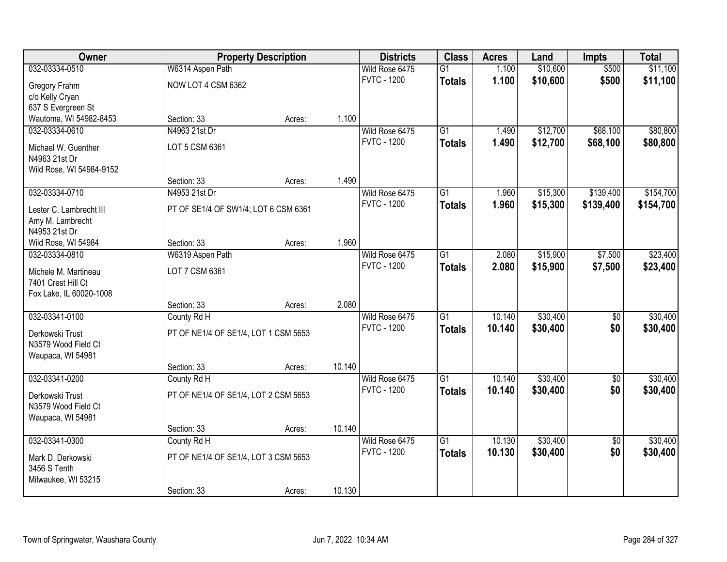| Owner                                |                                      | <b>Property Description</b> |        | <b>Districts</b>   | <b>Class</b>    | <b>Acres</b> | Land     | <b>Impts</b>    | <b>Total</b> |
|--------------------------------------|--------------------------------------|-----------------------------|--------|--------------------|-----------------|--------------|----------|-----------------|--------------|
| 032-03334-0510                       | W6314 Aspen Path                     |                             |        | Wild Rose 6475     | $\overline{G1}$ | 1.100        | \$10,600 | \$500           | \$11,100     |
| Gregory Frahm                        | NOW LOT 4 CSM 6362                   |                             |        | <b>FVTC - 1200</b> | <b>Totals</b>   | 1.100        | \$10,600 | \$500           | \$11,100     |
| c/o Kelly Cryan                      |                                      |                             |        |                    |                 |              |          |                 |              |
| 637 S Evergreen St                   |                                      |                             |        |                    |                 |              |          |                 |              |
| Wautoma, WI 54982-8453               | Section: 33                          | Acres:                      | 1.100  |                    |                 |              |          |                 |              |
| 032-03334-0610                       | N4963 21st Dr                        |                             |        | Wild Rose 6475     | $\overline{G1}$ | 1.490        | \$12,700 | \$68,100        | \$80,800     |
|                                      |                                      |                             |        | <b>FVTC - 1200</b> | <b>Totals</b>   | 1.490        | \$12,700 | \$68,100        | \$80,800     |
| Michael W. Guenther<br>N4963 21st Dr | LOT 5 CSM 6361                       |                             |        |                    |                 |              |          |                 |              |
| Wild Rose, WI 54984-9152             |                                      |                             |        |                    |                 |              |          |                 |              |
|                                      | Section: 33                          | Acres:                      | 1.490  |                    |                 |              |          |                 |              |
| 032-03334-0710                       | N4953 21st Dr                        |                             |        | Wild Rose 6475     | G1              | 1.960        | \$15,300 | \$139,400       | \$154,700    |
|                                      |                                      |                             |        | <b>FVTC - 1200</b> | <b>Totals</b>   | 1.960        | \$15,300 | \$139,400       | \$154,700    |
| Lester C. Lambrecht III              | PT OF SE1/4 OF SW1/4; LOT 6 CSM 6361 |                             |        |                    |                 |              |          |                 |              |
| Amy M. Lambrecht                     |                                      |                             |        |                    |                 |              |          |                 |              |
| N4953 21st Dr                        |                                      |                             |        |                    |                 |              |          |                 |              |
| Wild Rose, WI 54984                  | Section: 33                          | Acres:                      | 1.960  |                    |                 |              |          |                 |              |
| 032-03334-0810                       | W6319 Aspen Path                     |                             |        | Wild Rose 6475     | G1              | 2.080        | \$15,900 | \$7,500         | \$23,400     |
| Michele M. Martineau                 | LOT 7 CSM 6361                       |                             |        | <b>FVTC - 1200</b> | <b>Totals</b>   | 2.080        | \$15,900 | \$7,500         | \$23,400     |
| 7401 Crest Hill Ct                   |                                      |                             |        |                    |                 |              |          |                 |              |
| Fox Lake, IL 60020-1008              |                                      |                             |        |                    |                 |              |          |                 |              |
|                                      | Section: 33                          | Acres:                      | 2.080  |                    |                 |              |          |                 |              |
| 032-03341-0100                       | County Rd H                          |                             |        | Wild Rose 6475     | $\overline{G1}$ | 10.140       | \$30,400 | $\overline{50}$ | \$30,400     |
| Derkowski Trust                      | PT OF NE1/4 OF SE1/4, LOT 1 CSM 5653 |                             |        | <b>FVTC - 1200</b> | <b>Totals</b>   | 10.140       | \$30,400 | \$0             | \$30,400     |
| N3579 Wood Field Ct                  |                                      |                             |        |                    |                 |              |          |                 |              |
| Waupaca, WI 54981                    |                                      |                             |        |                    |                 |              |          |                 |              |
|                                      | Section: 33                          | Acres:                      | 10.140 |                    |                 |              |          |                 |              |
| 032-03341-0200                       | County Rd H                          |                             |        | Wild Rose 6475     | $\overline{G1}$ | 10.140       | \$30,400 | $\overline{50}$ | \$30,400     |
|                                      |                                      |                             |        | <b>FVTC - 1200</b> | <b>Totals</b>   | 10.140       | \$30,400 | \$0             | \$30,400     |
| Derkowski Trust                      | PT OF NE1/4 OF SE1/4, LOT 2 CSM 5653 |                             |        |                    |                 |              |          |                 |              |
| N3579 Wood Field Ct                  |                                      |                             |        |                    |                 |              |          |                 |              |
| Waupaca, WI 54981                    |                                      |                             |        |                    |                 |              |          |                 |              |
|                                      | Section: 33                          | Acres:                      | 10.140 |                    |                 |              |          |                 |              |
| 032-03341-0300                       | County Rd H                          |                             |        | Wild Rose 6475     | $\overline{G1}$ | 10.130       | \$30,400 | $\overline{50}$ | \$30,400     |
| Mark D. Derkowski                    | PT OF NE1/4 OF SE1/4, LOT 3 CSM 5653 |                             |        | <b>FVTC - 1200</b> | <b>Totals</b>   | 10.130       | \$30,400 | \$0             | \$30,400     |
| 3456 S Tenth                         |                                      |                             |        |                    |                 |              |          |                 |              |
| Milwaukee, WI 53215                  |                                      |                             |        |                    |                 |              |          |                 |              |
|                                      | Section: 33                          | Acres:                      | 10.130 |                    |                 |              |          |                 |              |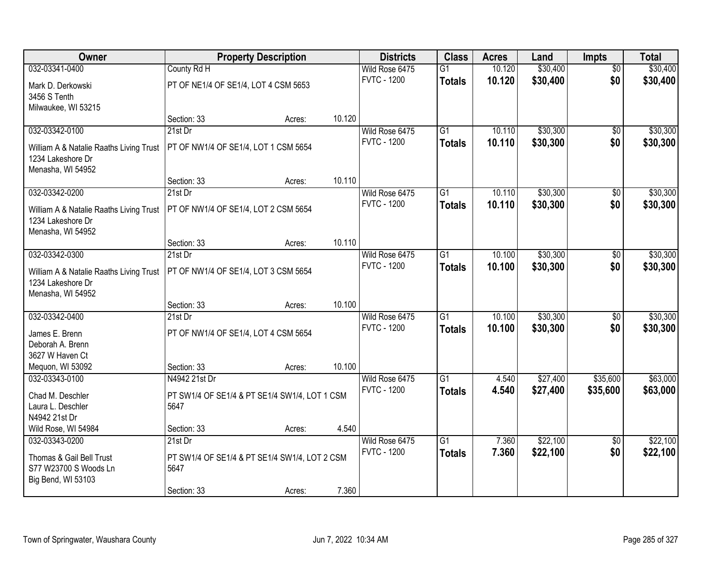| <b>Owner</b>                                                 |                                               | <b>Property Description</b> |        | <b>Districts</b>                     | <b>Class</b>    | <b>Acres</b> | Land     | <b>Impts</b>    | <b>Total</b> |
|--------------------------------------------------------------|-----------------------------------------------|-----------------------------|--------|--------------------------------------|-----------------|--------------|----------|-----------------|--------------|
| 032-03341-0400                                               | County Rd H                                   |                             |        | Wild Rose 6475                       | G1              | 10.120       | \$30,400 | $\overline{50}$ | \$30,400     |
| Mark D. Derkowski                                            | PT OF NE1/4 OF SE1/4, LOT 4 CSM 5653          |                             |        | <b>FVTC - 1200</b>                   | <b>Totals</b>   | 10.120       | \$30,400 | \$0             | \$30,400     |
| 3456 S Tenth                                                 |                                               |                             |        |                                      |                 |              |          |                 |              |
| Milwaukee, WI 53215                                          |                                               |                             |        |                                      |                 |              |          |                 |              |
|                                                              | Section: 33                                   | Acres:                      | 10.120 |                                      |                 |              |          |                 |              |
| 032-03342-0100                                               | $21st$ Dr                                     |                             |        | Wild Rose 6475<br><b>FVTC - 1200</b> | $\overline{G1}$ | 10.110       | \$30,300 | \$0             | \$30,300     |
| William A & Natalie Raaths Living Trust                      | PT OF NW1/4 OF SE1/4, LOT 1 CSM 5654          |                             |        |                                      | <b>Totals</b>   | 10.110       | \$30,300 | \$0             | \$30,300     |
| 1234 Lakeshore Dr                                            |                                               |                             |        |                                      |                 |              |          |                 |              |
| Menasha, WI 54952                                            |                                               |                             | 10.110 |                                      |                 |              |          |                 |              |
| 032-03342-0200                                               | Section: 33<br>21st Dr                        | Acres:                      |        | Wild Rose 6475                       | $\overline{G1}$ | 10.110       | \$30,300 | \$0             | \$30,300     |
|                                                              |                                               |                             |        | <b>FVTC - 1200</b>                   | <b>Totals</b>   | 10.110       | \$30,300 | \$0             | \$30,300     |
| William A & Natalie Raaths Living Trust                      | PT OF NW1/4 OF SE1/4, LOT 2 CSM 5654          |                             |        |                                      |                 |              |          |                 |              |
| 1234 Lakeshore Dr                                            |                                               |                             |        |                                      |                 |              |          |                 |              |
| Menasha, WI 54952                                            | Section: 33                                   | Acres:                      | 10.110 |                                      |                 |              |          |                 |              |
| 032-03342-0300                                               | 21st Dr                                       |                             |        | Wild Rose 6475                       | $\overline{G1}$ | 10.100       | \$30,300 | $\frac{1}{20}$  | \$30,300     |
|                                                              |                                               |                             |        | <b>FVTC - 1200</b>                   | <b>Totals</b>   | 10.100       | \$30,300 | \$0             | \$30,300     |
| William A & Natalie Raaths Living Trust<br>1234 Lakeshore Dr | PT OF NW1/4 OF SE1/4, LOT 3 CSM 5654          |                             |        |                                      |                 |              |          |                 |              |
| Menasha, WI 54952                                            |                                               |                             |        |                                      |                 |              |          |                 |              |
|                                                              | Section: 33                                   | Acres:                      | 10.100 |                                      |                 |              |          |                 |              |
| 032-03342-0400                                               | 21st Dr                                       |                             |        | Wild Rose 6475                       | $\overline{G1}$ | 10.100       | \$30,300 | $\overline{50}$ | \$30,300     |
| James E. Brenn                                               | PT OF NW1/4 OF SE1/4, LOT 4 CSM 5654          |                             |        | <b>FVTC - 1200</b>                   | <b>Totals</b>   | 10.100       | \$30,300 | \$0             | \$30,300     |
| Deborah A. Brenn                                             |                                               |                             |        |                                      |                 |              |          |                 |              |
| 3627 W Haven Ct                                              |                                               |                             |        |                                      |                 |              |          |                 |              |
| Mequon, WI 53092                                             | Section: 33                                   | Acres:                      | 10.100 |                                      |                 |              |          |                 |              |
| 032-03343-0100                                               | N4942 21st Dr                                 |                             |        | Wild Rose 6475                       | $\overline{G1}$ | 4.540        | \$27,400 | \$35,600        | \$63,000     |
| Chad M. Deschler                                             | PT SW1/4 OF SE1/4 & PT SE1/4 SW1/4, LOT 1 CSM |                             |        | <b>FVTC - 1200</b>                   | <b>Totals</b>   | 4.540        | \$27,400 | \$35,600        | \$63,000     |
| Laura L. Deschler                                            | 5647                                          |                             |        |                                      |                 |              |          |                 |              |
| N4942 21st Dr                                                |                                               |                             |        |                                      |                 |              |          |                 |              |
| Wild Rose, WI 54984                                          | Section: 33                                   | Acres:                      | 4.540  |                                      |                 |              |          |                 |              |
| 032-03343-0200                                               | $21st$ Dr                                     |                             |        | Wild Rose 6475                       | $\overline{G1}$ | 7.360        | \$22,100 | $\overline{30}$ | \$22,100     |
| Thomas & Gail Bell Trust                                     | PT SW1/4 OF SE1/4 & PT SE1/4 SW1/4, LOT 2 CSM |                             |        | <b>FVTC - 1200</b>                   | <b>Totals</b>   | 7.360        | \$22,100 | \$0             | \$22,100     |
| S77 W23700 S Woods Ln                                        | 5647                                          |                             |        |                                      |                 |              |          |                 |              |
| Big Bend, WI 53103                                           |                                               |                             |        |                                      |                 |              |          |                 |              |
|                                                              | Section: 33                                   | Acres:                      | 7.360  |                                      |                 |              |          |                 |              |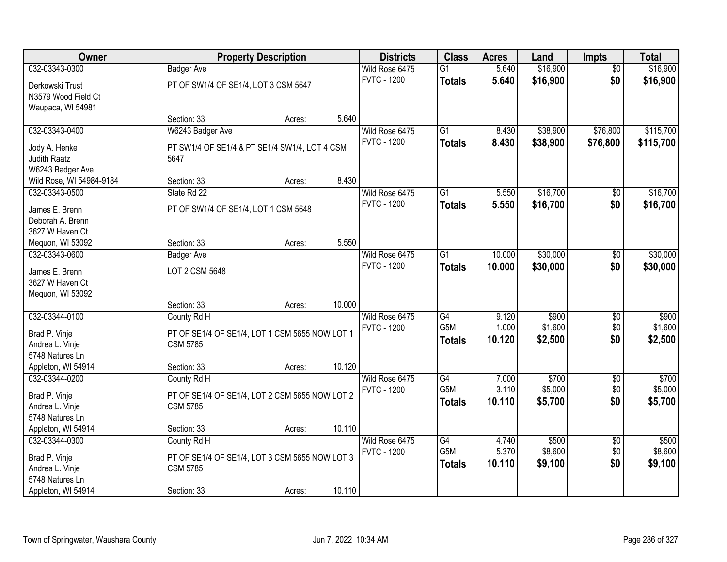| <b>Owner</b>                          |                                                | <b>Property Description</b> |        | <b>Districts</b>   | <b>Class</b>    | <b>Acres</b>   | Land             | <b>Impts</b>           | <b>Total</b>     |
|---------------------------------------|------------------------------------------------|-----------------------------|--------|--------------------|-----------------|----------------|------------------|------------------------|------------------|
| 032-03343-0300                        | <b>Badger Ave</b>                              |                             |        | Wild Rose 6475     | $\overline{G1}$ | 5.640          | \$16,900         | $\overline{50}$        | \$16,900         |
| Derkowski Trust                       | PT OF SW1/4 OF SE1/4, LOT 3 CSM 5647           |                             |        | <b>FVTC - 1200</b> | <b>Totals</b>   | 5.640          | \$16,900         | \$0                    | \$16,900         |
| N3579 Wood Field Ct                   |                                                |                             |        |                    |                 |                |                  |                        |                  |
| Waupaca, WI 54981                     |                                                |                             |        |                    |                 |                |                  |                        |                  |
|                                       | Section: 33                                    | Acres:                      | 5.640  |                    |                 |                |                  |                        |                  |
| 032-03343-0400                        | W6243 Badger Ave                               |                             |        | Wild Rose 6475     | $\overline{G1}$ | 8.430          | \$38,900         | \$76,800               | \$115,700        |
| Jody A. Henke                         | PT SW1/4 OF SE1/4 & PT SE1/4 SW1/4, LOT 4 CSM  |                             |        | <b>FVTC - 1200</b> | <b>Totals</b>   | 8.430          | \$38,900         | \$76,800               | \$115,700        |
| <b>Judith Raatz</b>                   | 5647                                           |                             |        |                    |                 |                |                  |                        |                  |
| W6243 Badger Ave                      |                                                |                             |        |                    |                 |                |                  |                        |                  |
| Wild Rose, WI 54984-9184              | Section: 33                                    | Acres:                      | 8.430  |                    |                 |                |                  |                        |                  |
| 032-03343-0500                        | State Rd 22                                    |                             |        | Wild Rose 6475     | $\overline{G1}$ | 5.550          | \$16,700         | \$0                    | \$16,700         |
| James E. Brenn                        | PT OF SW1/4 OF SE1/4, LOT 1 CSM 5648           |                             |        | <b>FVTC - 1200</b> | <b>Totals</b>   | 5.550          | \$16,700         | \$0                    | \$16,700         |
| Deborah A. Brenn                      |                                                |                             |        |                    |                 |                |                  |                        |                  |
| 3627 W Haven Ct                       |                                                |                             |        |                    |                 |                |                  |                        |                  |
| Mequon, WI 53092                      | Section: 33                                    | Acres:                      | 5.550  |                    |                 |                |                  |                        |                  |
| 032-03343-0600                        | <b>Badger Ave</b>                              |                             |        | Wild Rose 6475     | $\overline{G1}$ | 10.000         | \$30,000         | $\sqrt[6]{3}$          | \$30,000         |
|                                       |                                                |                             |        | <b>FVTC - 1200</b> | <b>Totals</b>   | 10.000         | \$30,000         | \$0                    | \$30,000         |
| James E. Brenn<br>3627 W Haven Ct     | LOT 2 CSM 5648                                 |                             |        |                    |                 |                |                  |                        |                  |
| Mequon, WI 53092                      |                                                |                             |        |                    |                 |                |                  |                        |                  |
|                                       | Section: 33                                    | Acres:                      | 10.000 |                    |                 |                |                  |                        |                  |
| 032-03344-0100                        | County Rd H                                    |                             |        | Wild Rose 6475     | G4              | 9.120          | \$900            | $\overline{50}$        | \$900            |
|                                       |                                                |                             |        | <b>FVTC - 1200</b> | G5M             | 1.000          | \$1,600          | \$0                    | \$1,600          |
| Brad P. Vinje                         | PT OF SE1/4 OF SE1/4, LOT 1 CSM 5655 NOW LOT 1 |                             |        |                    | <b>Totals</b>   | 10.120         | \$2,500          | \$0                    | \$2,500          |
| Andrea L. Vinje                       | <b>CSM 5785</b>                                |                             |        |                    |                 |                |                  |                        |                  |
| 5748 Natures Ln<br>Appleton, WI 54914 | Section: 33                                    |                             | 10.120 |                    |                 |                |                  |                        |                  |
| 032-03344-0200                        | County Rd H                                    | Acres:                      |        | Wild Rose 6475     | G4              | 7.000          | \$700            | $\sqrt{6}$             | \$700            |
|                                       |                                                |                             |        | <b>FVTC - 1200</b> | G5M             | 3.110          | \$5,000          | \$0                    | \$5,000          |
| Brad P. Vinje                         | PT OF SE1/4 OF SE1/4, LOT 2 CSM 5655 NOW LOT 2 |                             |        |                    | <b>Totals</b>   | 10.110         | \$5,700          | \$0                    | \$5,700          |
| Andrea L. Vinje                       | <b>CSM 5785</b>                                |                             |        |                    |                 |                |                  |                        |                  |
| 5748 Natures Ln                       |                                                |                             |        |                    |                 |                |                  |                        |                  |
| Appleton, WI 54914                    | Section: 33                                    | Acres:                      | 10.110 |                    |                 |                |                  |                        |                  |
| 032-03344-0300                        | County Rd H                                    |                             |        | Wild Rose 6475     | G4<br>G5M       | 4.740<br>5.370 | \$500<br>\$8,600 | $\overline{60}$<br>\$0 | \$500<br>\$8,600 |
| Brad P. Vinje                         | PT OF SE1/4 OF SE1/4, LOT 3 CSM 5655 NOW LOT 3 |                             |        | <b>FVTC - 1200</b> |                 |                |                  | \$0                    |                  |
| Andrea L. Vinje                       | <b>CSM 5785</b>                                |                             |        |                    | <b>Totals</b>   | 10.110         | \$9,100          |                        | \$9,100          |
| 5748 Natures Ln                       |                                                |                             |        |                    |                 |                |                  |                        |                  |
| Appleton, WI 54914                    | Section: 33                                    | Acres:                      | 10.110 |                    |                 |                |                  |                        |                  |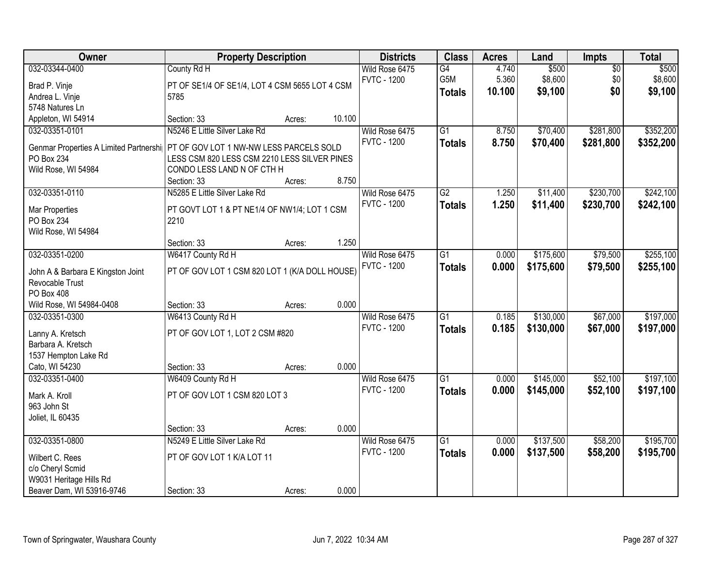| Owner                                  | <b>Property Description</b>                          |        |        | <b>Districts</b>                     | <b>Class</b>    | <b>Acres</b>   | Land             | Impts                  | <b>Total</b>     |
|----------------------------------------|------------------------------------------------------|--------|--------|--------------------------------------|-----------------|----------------|------------------|------------------------|------------------|
| 032-03344-0400                         | County Rd H                                          |        |        | Wild Rose 6475<br><b>FVTC - 1200</b> | G4<br>G5M       | 4.740<br>5.360 | \$500<br>\$8,600 | $\overline{50}$<br>\$0 | \$500<br>\$8,600 |
| Brad P. Vinje                          | PT OF SE1/4 OF SE1/4, LOT 4 CSM 5655 LOT 4 CSM       |        |        |                                      | <b>Totals</b>   | 10.100         | \$9,100          | \$0                    | \$9,100          |
| Andrea L. Vinje                        | 5785                                                 |        |        |                                      |                 |                |                  |                        |                  |
| 5748 Natures Ln                        |                                                      |        |        |                                      |                 |                |                  |                        |                  |
| Appleton, WI 54914                     | Section: 33                                          | Acres: | 10.100 |                                      |                 |                |                  |                        |                  |
| 032-03351-0101                         | N5246 E Little Silver Lake Rd                        |        |        | Wild Rose 6475                       | $\overline{G1}$ | 8.750          | \$70,400         | \$281,800              | \$352,200        |
| Genmar Properties A Limited Partnershi | PT OF GOV LOT 1 NW-NW LESS PARCELS SOLD              |        |        | <b>FVTC - 1200</b>                   | <b>Totals</b>   | 8.750          | \$70,400         | \$281,800              | \$352,200        |
| PO Box 234                             | LESS CSM 820 LESS CSM 2210 LESS SILVER PINES         |        |        |                                      |                 |                |                  |                        |                  |
| Wild Rose, WI 54984                    | CONDO LESS LAND N OF CTH H                           |        |        |                                      |                 |                |                  |                        |                  |
|                                        | Section: 33                                          | Acres: | 8.750  |                                      |                 |                |                  |                        |                  |
| 032-03351-0110                         | N5285 E Little Silver Lake Rd                        |        |        | Wild Rose 6475                       | $\overline{G2}$ | 1.250          | \$11,400         | \$230,700              | \$242,100        |
|                                        |                                                      |        |        | <b>FVTC - 1200</b>                   | <b>Totals</b>   | 1.250          | \$11,400         | \$230,700              | \$242,100        |
| Mar Properties<br>PO Box 234           | PT GOVT LOT 1 & PT NE1/4 OF NW1/4; LOT 1 CSM<br>2210 |        |        |                                      |                 |                |                  |                        |                  |
|                                        |                                                      |        |        |                                      |                 |                |                  |                        |                  |
| Wild Rose, WI 54984                    | Section: 33                                          | Acres: | 1.250  |                                      |                 |                |                  |                        |                  |
| 032-03351-0200                         | W6417 County Rd H                                    |        |        | Wild Rose 6475                       | $\overline{G1}$ | 0.000          | \$175,600        | \$79,500               | \$255,100        |
|                                        |                                                      |        |        | <b>FVTC - 1200</b>                   |                 | 0.000          | \$175,600        | \$79,500               | \$255,100        |
| John A & Barbara E Kingston Joint      | PT OF GOV LOT 1 CSM 820 LOT 1 (K/A DOLL HOUSE)       |        |        |                                      | <b>Totals</b>   |                |                  |                        |                  |
| Revocable Trust                        |                                                      |        |        |                                      |                 |                |                  |                        |                  |
| PO Box 408                             |                                                      |        |        |                                      |                 |                |                  |                        |                  |
| Wild Rose, WI 54984-0408               | Section: 33                                          | Acres: | 0.000  |                                      |                 |                |                  |                        |                  |
| 032-03351-0300                         | W6413 County Rd H                                    |        |        | Wild Rose 6475                       | $\overline{G1}$ | 0.185          | \$130,000        | \$67,000               | \$197,000        |
| Lanny A. Kretsch                       | PT OF GOV LOT 1, LOT 2 CSM #820                      |        |        | <b>FVTC - 1200</b>                   | <b>Totals</b>   | 0.185          | \$130,000        | \$67,000               | \$197,000        |
| Barbara A. Kretsch                     |                                                      |        |        |                                      |                 |                |                  |                        |                  |
| 1537 Hempton Lake Rd                   |                                                      |        |        |                                      |                 |                |                  |                        |                  |
| Cato, WI 54230                         | Section: 33                                          | Acres: | 0.000  |                                      |                 |                |                  |                        |                  |
| 032-03351-0400                         | W6409 County Rd H                                    |        |        | Wild Rose 6475                       | $\overline{G1}$ | 0.000          | \$145,000        | \$52,100               | \$197,100        |
|                                        |                                                      |        |        | <b>FVTC - 1200</b>                   | <b>Totals</b>   | 0.000          | \$145,000        | \$52,100               | \$197,100        |
| Mark A. Kroll                          | PT OF GOV LOT 1 CSM 820 LOT 3                        |        |        |                                      |                 |                |                  |                        |                  |
| 963 John St                            |                                                      |        |        |                                      |                 |                |                  |                        |                  |
| Joliet, IL 60435                       | Section: 33                                          | Acres: | 0.000  |                                      |                 |                |                  |                        |                  |
| 032-03351-0800                         | N5249 E Little Silver Lake Rd                        |        |        | Wild Rose 6475                       | $\overline{G1}$ | 0.000          | \$137,500        | \$58,200               | \$195,700        |
|                                        |                                                      |        |        | <b>FVTC - 1200</b>                   |                 | 0.000          |                  |                        |                  |
| Wilbert C. Rees                        | PT OF GOV LOT 1 K/A LOT 11                           |        |        |                                      | <b>Totals</b>   |                | \$137,500        | \$58,200               | \$195,700        |
| c/o Cheryl Scmid                       |                                                      |        |        |                                      |                 |                |                  |                        |                  |
| W9031 Heritage Hills Rd                |                                                      |        |        |                                      |                 |                |                  |                        |                  |
| Beaver Dam, WI 53916-9746              | Section: 33                                          | Acres: | 0.000  |                                      |                 |                |                  |                        |                  |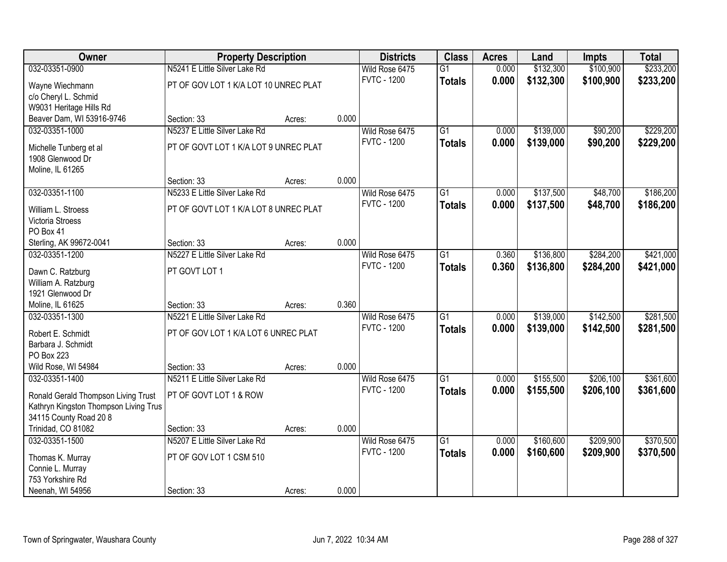| Owner                                  | <b>Property Description</b>           |        |       | <b>Districts</b>   | <b>Class</b>    | <b>Acres</b> | Land      | <b>Impts</b> | <b>Total</b> |
|----------------------------------------|---------------------------------------|--------|-------|--------------------|-----------------|--------------|-----------|--------------|--------------|
| 032-03351-0900                         | N5241 E Little Silver Lake Rd         |        |       | Wild Rose 6475     | $\overline{G1}$ | 0.000        | \$132,300 | \$100,900    | \$233,200    |
| Wayne Wiechmann                        | PT OF GOV LOT 1 K/A LOT 10 UNREC PLAT |        |       | <b>FVTC - 1200</b> | <b>Totals</b>   | 0.000        | \$132,300 | \$100,900    | \$233,200    |
| c/o Cheryl L. Schmid                   |                                       |        |       |                    |                 |              |           |              |              |
| W9031 Heritage Hills Rd                |                                       |        |       |                    |                 |              |           |              |              |
| Beaver Dam, WI 53916-9746              | Section: 33                           | Acres: | 0.000 |                    |                 |              |           |              |              |
| 032-03351-1000                         | N5237 E Little Silver Lake Rd         |        |       | Wild Rose 6475     | $\overline{G1}$ | 0.000        | \$139,000 | \$90,200     | \$229,200    |
| Michelle Tunberg et al                 | PT OF GOVT LOT 1 K/A LOT 9 UNREC PLAT |        |       | <b>FVTC - 1200</b> | <b>Totals</b>   | 0.000        | \$139,000 | \$90,200     | \$229,200    |
| 1908 Glenwood Dr                       |                                       |        |       |                    |                 |              |           |              |              |
| Moline, IL 61265                       |                                       |        |       |                    |                 |              |           |              |              |
|                                        | Section: 33                           | Acres: | 0.000 |                    |                 |              |           |              |              |
| 032-03351-1100                         | N5233 E Little Silver Lake Rd         |        |       | Wild Rose 6475     | G1              | 0.000        | \$137,500 | \$48,700     | \$186,200    |
|                                        | PT OF GOVT LOT 1 K/A LOT 8 UNREC PLAT |        |       | <b>FVTC - 1200</b> | <b>Totals</b>   | 0.000        | \$137,500 | \$48,700     | \$186,200    |
| William L. Stroess<br>Victoria Stroess |                                       |        |       |                    |                 |              |           |              |              |
| PO Box 41                              |                                       |        |       |                    |                 |              |           |              |              |
| Sterling, AK 99672-0041                | Section: 33                           | Acres: | 0.000 |                    |                 |              |           |              |              |
| 032-03351-1200                         | N5227 E Little Silver Lake Rd         |        |       | Wild Rose 6475     | G1              | 0.360        | \$136,800 | \$284,200    | \$421,000    |
|                                        |                                       |        |       | <b>FVTC - 1200</b> | <b>Totals</b>   | 0.360        | \$136,800 | \$284,200    | \$421,000    |
| Dawn C. Ratzburg                       | PT GOVT LOT 1                         |        |       |                    |                 |              |           |              |              |
| William A. Ratzburg                    |                                       |        |       |                    |                 |              |           |              |              |
| 1921 Glenwood Dr<br>Moline, IL 61625   | Section: 33                           |        | 0.360 |                    |                 |              |           |              |              |
| 032-03351-1300                         | N5221 E Little Silver Lake Rd         | Acres: |       | Wild Rose 6475     | $\overline{G1}$ | 0.000        | \$139,000 | \$142,500    | \$281,500    |
|                                        |                                       |        |       | <b>FVTC - 1200</b> | <b>Totals</b>   | 0.000        | \$139,000 | \$142,500    | \$281,500    |
| Robert E. Schmidt                      | PT OF GOV LOT 1 K/A LOT 6 UNREC PLAT  |        |       |                    |                 |              |           |              |              |
| Barbara J. Schmidt                     |                                       |        |       |                    |                 |              |           |              |              |
| PO Box 223                             |                                       |        |       |                    |                 |              |           |              |              |
| Wild Rose, WI 54984                    | Section: 33                           | Acres: | 0.000 |                    |                 |              |           |              |              |
| 032-03351-1400                         | N5211 E Little Silver Lake Rd         |        |       | Wild Rose 6475     | $\overline{G1}$ | 0.000        | \$155,500 | \$206,100    | \$361,600    |
| Ronald Gerald Thompson Living Trust    | PT OF GOVT LOT 1 & ROW                |        |       | <b>FVTC - 1200</b> | <b>Totals</b>   | 0.000        | \$155,500 | \$206,100    | \$361,600    |
| Kathryn Kingston Thompson Living Trus  |                                       |        |       |                    |                 |              |           |              |              |
| 34115 County Road 20 8                 |                                       |        |       |                    |                 |              |           |              |              |
| Trinidad, CO 81082                     | Section: 33                           | Acres: | 0.000 |                    |                 |              |           |              |              |
| 032-03351-1500                         | N5207 E Little Silver Lake Rd         |        |       | Wild Rose 6475     | $\overline{G1}$ | 0.000        | \$160,600 | \$209,900    | \$370,500    |
| Thomas K. Murray                       | PT OF GOV LOT 1 CSM 510               |        |       | <b>FVTC - 1200</b> | <b>Totals</b>   | 0.000        | \$160,600 | \$209,900    | \$370,500    |
| Connie L. Murray                       |                                       |        |       |                    |                 |              |           |              |              |
| 753 Yorkshire Rd                       |                                       |        |       |                    |                 |              |           |              |              |
| Neenah, WI 54956                       | Section: 33                           | Acres: | 0.000 |                    |                 |              |           |              |              |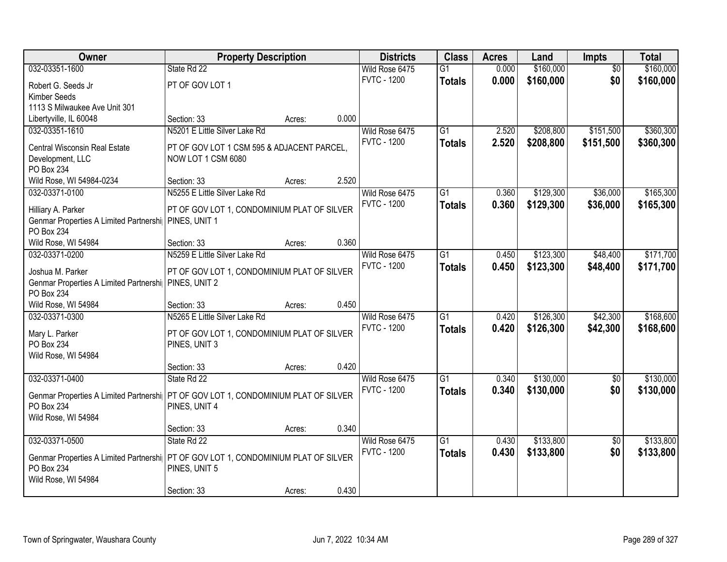| Owner                                                                              | <b>Property Description</b>                 |        |       | <b>Districts</b>                     | <b>Class</b>    | <b>Acres</b>   | Land      | <b>Impts</b>           | <b>Total</b> |
|------------------------------------------------------------------------------------|---------------------------------------------|--------|-------|--------------------------------------|-----------------|----------------|-----------|------------------------|--------------|
| 032-03351-1600                                                                     | State Rd 22                                 |        |       | Wild Rose 6475                       | $\overline{G1}$ | 0.000          | \$160,000 | $\overline{30}$        | \$160,000    |
| Robert G. Seeds Jr                                                                 | PT OF GOV LOT 1                             |        |       | <b>FVTC - 1200</b>                   | <b>Totals</b>   | 0.000          | \$160,000 | \$0                    | \$160,000    |
| Kimber Seeds                                                                       |                                             |        |       |                                      |                 |                |           |                        |              |
| 1113 S Milwaukee Ave Unit 301                                                      |                                             |        |       |                                      |                 |                |           |                        |              |
| Libertyville, IL 60048                                                             | Section: 33                                 | Acres: | 0.000 |                                      |                 |                |           |                        |              |
| 032-03351-1610                                                                     | N5201 E Little Silver Lake Rd               |        |       | Wild Rose 6475                       | $\overline{G1}$ | 2.520          | \$208,800 | \$151,500              | \$360,300    |
| Central Wisconsin Real Estate                                                      | PT OF GOV LOT 1 CSM 595 & ADJACENT PARCEL,  |        |       | <b>FVTC - 1200</b>                   | <b>Totals</b>   | 2.520          | \$208,800 | \$151,500              | \$360,300    |
| Development, LLC                                                                   | NOW LOT 1 CSM 6080                          |        |       |                                      |                 |                |           |                        |              |
| PO Box 234                                                                         |                                             |        |       |                                      |                 |                |           |                        |              |
| Wild Rose, WI 54984-0234                                                           | Section: 33                                 | Acres: | 2.520 |                                      |                 |                |           |                        |              |
| 032-03371-0100                                                                     | N5255 E Little Silver Lake Rd               |        |       | Wild Rose 6475                       | G1              | 0.360          | \$129,300 | \$36,000               | \$165,300    |
|                                                                                    |                                             |        |       | <b>FVTC - 1200</b>                   | <b>Totals</b>   | 0.360          | \$129,300 | \$36,000               | \$165,300    |
| Hilliary A. Parker<br>Genmar Properties A Limited Partnershi PINES, UNIT 1         | PT OF GOV LOT 1, CONDOMINIUM PLAT OF SILVER |        |       |                                      |                 |                |           |                        |              |
| <b>PO Box 234</b>                                                                  |                                             |        |       |                                      |                 |                |           |                        |              |
| Wild Rose, WI 54984                                                                | Section: 33                                 | Acres: | 0.360 |                                      |                 |                |           |                        |              |
| 032-03371-0200                                                                     | N5259 E Little Silver Lake Rd               |        |       | Wild Rose 6475                       | G1              | 0.450          | \$123,300 | \$48,400               | \$171,700    |
|                                                                                    |                                             |        |       | <b>FVTC - 1200</b>                   | <b>Totals</b>   | 0.450          | \$123,300 | \$48,400               | \$171,700    |
| Joshua M. Parker                                                                   | PT OF GOV LOT 1, CONDOMINIUM PLAT OF SILVER |        |       |                                      |                 |                |           |                        |              |
| Genmar Properties A Limited Partnershi   PINES, UNIT 2<br><b>PO Box 234</b>        |                                             |        |       |                                      |                 |                |           |                        |              |
| Wild Rose, WI 54984                                                                | Section: 33                                 | Acres: | 0.450 |                                      |                 |                |           |                        |              |
| 032-03371-0300                                                                     | N5265 E Little Silver Lake Rd               |        |       | Wild Rose 6475                       | $\overline{G1}$ | 0.420          | \$126,300 | \$42,300               | \$168,600    |
|                                                                                    |                                             |        |       | <b>FVTC - 1200</b>                   | <b>Totals</b>   | 0.420          | \$126,300 | \$42,300               | \$168,600    |
| Mary L. Parker                                                                     | PT OF GOV LOT 1, CONDOMINIUM PLAT OF SILVER |        |       |                                      |                 |                |           |                        |              |
| PO Box 234                                                                         | PINES, UNIT 3                               |        |       |                                      |                 |                |           |                        |              |
| Wild Rose, WI 54984                                                                | Section: 33                                 | Acres: | 0.420 |                                      |                 |                |           |                        |              |
| 032-03371-0400                                                                     | State Rd 22                                 |        |       | Wild Rose 6475                       | $\overline{G1}$ | 0.340          | \$130,000 | $\overline{50}$        | \$130,000    |
|                                                                                    |                                             |        |       | <b>FVTC - 1200</b>                   | <b>Totals</b>   | 0.340          | \$130,000 | \$0                    | \$130,000    |
| Genmar Properties A Limited Partnershi PT OF GOV LOT 1, CONDOMINIUM PLAT OF SILVER |                                             |        |       |                                      |                 |                |           |                        |              |
| PO Box 234                                                                         | PINES, UNIT 4                               |        |       |                                      |                 |                |           |                        |              |
| Wild Rose, WI 54984                                                                |                                             |        |       |                                      |                 |                |           |                        |              |
|                                                                                    | Section: 33                                 | Acres: | 0.340 |                                      |                 |                |           |                        |              |
| 032-03371-0500                                                                     | State Rd 22                                 |        |       | Wild Rose 6475<br><b>FVTC - 1200</b> | $\overline{G1}$ | 0.430<br>0.430 | \$133,800 | $\overline{50}$<br>\$0 | \$133,800    |
| Genmar Properties A Limited Partnershi PT OF GOV LOT 1, CONDOMINIUM PLAT OF SILVER |                                             |        |       |                                      | <b>Totals</b>   |                | \$133,800 |                        | \$133,800    |
| PO Box 234                                                                         | PINES, UNIT 5                               |        |       |                                      |                 |                |           |                        |              |
| Wild Rose, WI 54984                                                                |                                             |        |       |                                      |                 |                |           |                        |              |
|                                                                                    | Section: 33                                 | Acres: | 0.430 |                                      |                 |                |           |                        |              |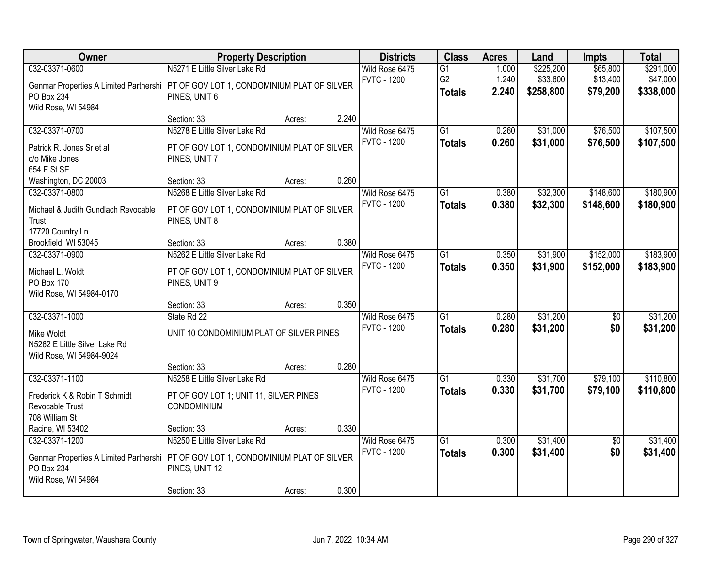| Owner                                                                                | <b>Property Description</b>                                  |        |       | <b>Districts</b>   | <b>Class</b>    | <b>Acres</b> | Land      | <b>Impts</b>    | <b>Total</b> |
|--------------------------------------------------------------------------------------|--------------------------------------------------------------|--------|-------|--------------------|-----------------|--------------|-----------|-----------------|--------------|
| 032-03371-0600                                                                       | N5271 E Little Silver Lake Rd                                |        |       | Wild Rose 6475     | $\overline{G1}$ | 1.000        | \$225,200 | \$65,800        | \$291,000    |
| Genmar Properties A Limited Partnershi   PT OF GOV LOT 1, CONDOMINIUM PLAT OF SILVER |                                                              |        |       | <b>FVTC - 1200</b> | G <sub>2</sub>  | 1.240        | \$33,600  | \$13,400        | \$47,000     |
| PO Box 234                                                                           | PINES, UNIT 6                                                |        |       |                    | <b>Totals</b>   | 2.240        | \$258,800 | \$79,200        | \$338,000    |
| Wild Rose, WI 54984                                                                  |                                                              |        |       |                    |                 |              |           |                 |              |
|                                                                                      | Section: 33                                                  | Acres: | 2.240 |                    |                 |              |           |                 |              |
| 032-03371-0700                                                                       | N5278 E Little Silver Lake Rd                                |        |       | Wild Rose 6475     | $\overline{G1}$ | 0.260        | \$31,000  | \$76,500        | \$107,500    |
| Patrick R. Jones Sr et al                                                            | PT OF GOV LOT 1, CONDOMINIUM PLAT OF SILVER                  |        |       | <b>FVTC - 1200</b> | <b>Totals</b>   | 0.260        | \$31,000  | \$76,500        | \$107,500    |
| c/o Mike Jones                                                                       | PINES, UNIT 7                                                |        |       |                    |                 |              |           |                 |              |
| 654 E St SE                                                                          |                                                              |        |       |                    |                 |              |           |                 |              |
| Washington, DC 20003                                                                 | Section: 33                                                  | Acres: | 0.260 |                    |                 |              |           |                 |              |
| 032-03371-0800                                                                       | N5268 E Little Silver Lake Rd                                |        |       | Wild Rose 6475     | $\overline{G1}$ | 0.380        | \$32,300  | \$148,600       | \$180,900    |
| Michael & Judith Gundlach Revocable                                                  | PT OF GOV LOT 1, CONDOMINIUM PLAT OF SILVER                  |        |       | <b>FVTC - 1200</b> | <b>Totals</b>   | 0.380        | \$32,300  | \$148,600       | \$180,900    |
| Trust                                                                                | PINES, UNIT 8                                                |        |       |                    |                 |              |           |                 |              |
| 17720 Country Ln                                                                     |                                                              |        |       |                    |                 |              |           |                 |              |
| Brookfield, WI 53045                                                                 | Section: 33                                                  | Acres: | 0.380 |                    |                 |              |           |                 |              |
| 032-03371-0900                                                                       | N5262 E Little Silver Lake Rd                                |        |       | Wild Rose 6475     | G1              | 0.350        | \$31,900  | \$152,000       | \$183,900    |
| Michael L. Woldt                                                                     | PT OF GOV LOT 1, CONDOMINIUM PLAT OF SILVER                  |        |       | <b>FVTC - 1200</b> | <b>Totals</b>   | 0.350        | \$31,900  | \$152,000       | \$183,900    |
| PO Box 170                                                                           | PINES, UNIT 9                                                |        |       |                    |                 |              |           |                 |              |
| Wild Rose, WI 54984-0170                                                             |                                                              |        |       |                    |                 |              |           |                 |              |
|                                                                                      | Section: 33                                                  | Acres: | 0.350 |                    |                 |              |           |                 |              |
| 032-03371-1000                                                                       | State Rd 22                                                  |        |       | Wild Rose 6475     | $\overline{G1}$ | 0.280        | \$31,200  | $\overline{50}$ | \$31,200     |
| Mike Woldt                                                                           | UNIT 10 CONDOMINIUM PLAT OF SILVER PINES                     |        |       | <b>FVTC - 1200</b> | <b>Totals</b>   | 0.280        | \$31,200  | \$0             | \$31,200     |
| N5262 E Little Silver Lake Rd                                                        |                                                              |        |       |                    |                 |              |           |                 |              |
| Wild Rose, WI 54984-9024                                                             |                                                              |        |       |                    |                 |              |           |                 |              |
|                                                                                      | Section: 33                                                  | Acres: | 0.280 |                    |                 |              |           |                 |              |
| 032-03371-1100                                                                       | N5258 E Little Silver Lake Rd                                |        |       | Wild Rose 6475     | $\overline{G1}$ | 0.330        | \$31,700  | \$79,100        | \$110,800    |
|                                                                                      |                                                              |        |       | <b>FVTC - 1200</b> | <b>Totals</b>   | 0.330        | \$31,700  | \$79,100        | \$110,800    |
| Frederick K & Robin T Schmidt<br>Revocable Trust                                     | PT OF GOV LOT 1; UNIT 11, SILVER PINES<br><b>CONDOMINIUM</b> |        |       |                    |                 |              |           |                 |              |
| 708 William St                                                                       |                                                              |        |       |                    |                 |              |           |                 |              |
| Racine, WI 53402                                                                     | Section: 33                                                  | Acres: | 0.330 |                    |                 |              |           |                 |              |
| 032-03371-1200                                                                       | N5250 E Little Silver Lake Rd                                |        |       | Wild Rose 6475     | $\overline{G1}$ | 0.300        | \$31,400  | $\overline{50}$ | \$31,400     |
|                                                                                      |                                                              |        |       | <b>FVTC - 1200</b> | <b>Totals</b>   | 0.300        | \$31,400  | \$0             | \$31,400     |
| Genmar Properties A Limited Partnershi PT OF GOV LOT 1, CONDOMINIUM PLAT OF SILVER   |                                                              |        |       |                    |                 |              |           |                 |              |
| PO Box 234<br>Wild Rose, WI 54984                                                    | PINES, UNIT 12                                               |        |       |                    |                 |              |           |                 |              |
|                                                                                      | Section: 33                                                  | Acres: | 0.300 |                    |                 |              |           |                 |              |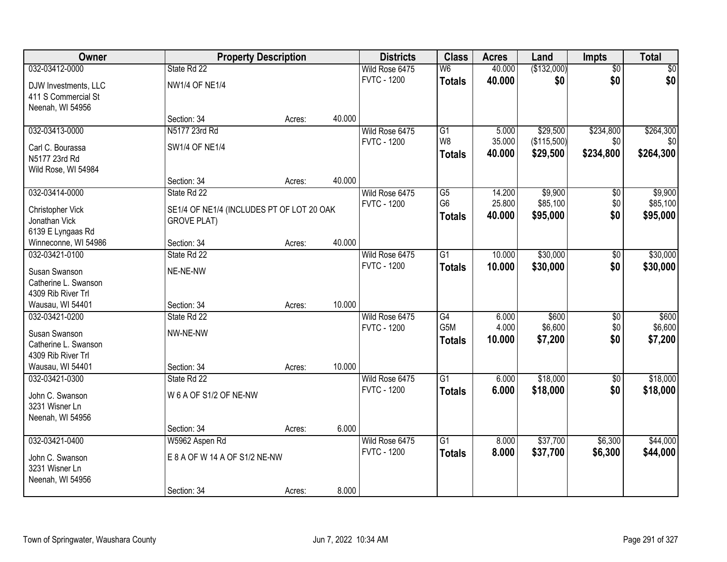| Owner                              | <b>Property Description</b>               |        |        | <b>Districts</b>   | <b>Class</b>     | <b>Acres</b> | Land        | <b>Impts</b>    | <b>Total</b>    |
|------------------------------------|-------------------------------------------|--------|--------|--------------------|------------------|--------------|-------------|-----------------|-----------------|
| 032-03412-0000                     | State Rd 22                               |        |        | Wild Rose 6475     | W <sub>6</sub>   | 40.000       | (\$132,000) | $\overline{50}$ | $\overline{30}$ |
| DJW Investments, LLC               | NW1/4 OF NE1/4                            |        |        | <b>FVTC - 1200</b> | <b>Totals</b>    | 40.000       | \$0         | \$0             | \$0             |
| 411 S Commercial St                |                                           |        |        |                    |                  |              |             |                 |                 |
| Neenah, WI 54956                   |                                           |        |        |                    |                  |              |             |                 |                 |
|                                    | Section: 34                               | Acres: | 40.000 |                    |                  |              |             |                 |                 |
| 032-03413-0000                     | N5177 23rd Rd                             |        |        | Wild Rose 6475     | $\overline{G1}$  | 5.000        | \$29,500    | \$234,800       | \$264,300       |
| Carl C. Bourassa                   | <b>SW1/4 OF NE1/4</b>                     |        |        | <b>FVTC - 1200</b> | W <sub>8</sub>   | 35.000       | (\$115,500) | \$0             | \$0             |
| N5177 23rd Rd                      |                                           |        |        |                    | <b>Totals</b>    | 40.000       | \$29,500    | \$234,800       | \$264,300       |
| Wild Rose, WI 54984                |                                           |        |        |                    |                  |              |             |                 |                 |
|                                    | Section: 34                               | Acres: | 40.000 |                    |                  |              |             |                 |                 |
| 032-03414-0000                     | State Rd 22                               |        |        | Wild Rose 6475     | $\overline{G5}$  | 14.200       | \$9,900     | \$0             | \$9,900         |
|                                    |                                           |        |        | <b>FVTC - 1200</b> | G <sub>6</sub>   | 25.800       | \$85,100    | \$0             | \$85,100        |
| Christopher Vick                   | SE1/4 OF NE1/4 (INCLUDES PT OF LOT 20 OAK |        |        |                    | <b>Totals</b>    | 40.000       | \$95,000    | \$0             | \$95,000        |
| Jonathan Vick<br>6139 E Lyngaas Rd | <b>GROVE PLAT)</b>                        |        |        |                    |                  |              |             |                 |                 |
| Winneconne, WI 54986               | Section: 34                               | Acres: | 40.000 |                    |                  |              |             |                 |                 |
| 032-03421-0100                     | State Rd 22                               |        |        | Wild Rose 6475     | G1               | 10.000       | \$30,000    | \$0             | \$30,000        |
|                                    |                                           |        |        | <b>FVTC - 1200</b> | <b>Totals</b>    | 10.000       | \$30,000    | \$0             | \$30,000        |
| Susan Swanson                      | NE-NE-NW                                  |        |        |                    |                  |              |             |                 |                 |
| Catherine L. Swanson               |                                           |        |        |                    |                  |              |             |                 |                 |
| 4309 Rib River Trl                 |                                           |        |        |                    |                  |              |             |                 |                 |
| Wausau, WI 54401                   | Section: 34                               | Acres: | 10.000 |                    |                  |              |             |                 |                 |
| 032-03421-0200                     | State Rd 22                               |        |        | Wild Rose 6475     | $\overline{G4}$  | 6.000        | \$600       | \$0             | \$600           |
| Susan Swanson                      | NW-NE-NW                                  |        |        | <b>FVTC - 1200</b> | G <sub>5</sub> M | 4.000        | \$6,600     | \$0             | \$6,600         |
| Catherine L. Swanson               |                                           |        |        |                    | <b>Totals</b>    | 10.000       | \$7,200     | \$0             | \$7,200         |
| 4309 Rib River Trl                 |                                           |        |        |                    |                  |              |             |                 |                 |
| Wausau, WI 54401                   | Section: 34                               | Acres: | 10.000 |                    |                  |              |             |                 |                 |
| 032-03421-0300                     | State Rd 22                               |        |        | Wild Rose 6475     | $\overline{G1}$  | 6.000        | \$18,000    | $\sqrt{6}$      | \$18,000        |
| John C. Swanson                    | W 6 A OF S1/2 OF NE-NW                    |        |        | <b>FVTC - 1200</b> | <b>Totals</b>    | 6.000        | \$18,000    | \$0             | \$18,000        |
| 3231 Wisner Ln                     |                                           |        |        |                    |                  |              |             |                 |                 |
| Neenah, WI 54956                   |                                           |        |        |                    |                  |              |             |                 |                 |
|                                    | Section: 34                               | Acres: | 6.000  |                    |                  |              |             |                 |                 |
| 032-03421-0400                     | W5962 Aspen Rd                            |        |        | Wild Rose 6475     | $\overline{G1}$  | 8.000        | \$37,700    | \$6,300         | \$44,000        |
|                                    |                                           |        |        | <b>FVTC - 1200</b> | <b>Totals</b>    | 8.000        | \$37,700    | \$6,300         | \$44,000        |
| John C. Swanson                    | E 8 A OF W 14 A OF S1/2 NE-NW             |        |        |                    |                  |              |             |                 |                 |
| 3231 Wisner Ln                     |                                           |        |        |                    |                  |              |             |                 |                 |
| Neenah, WI 54956                   |                                           |        |        |                    |                  |              |             |                 |                 |
|                                    | Section: 34                               | Acres: | 8.000  |                    |                  |              |             |                 |                 |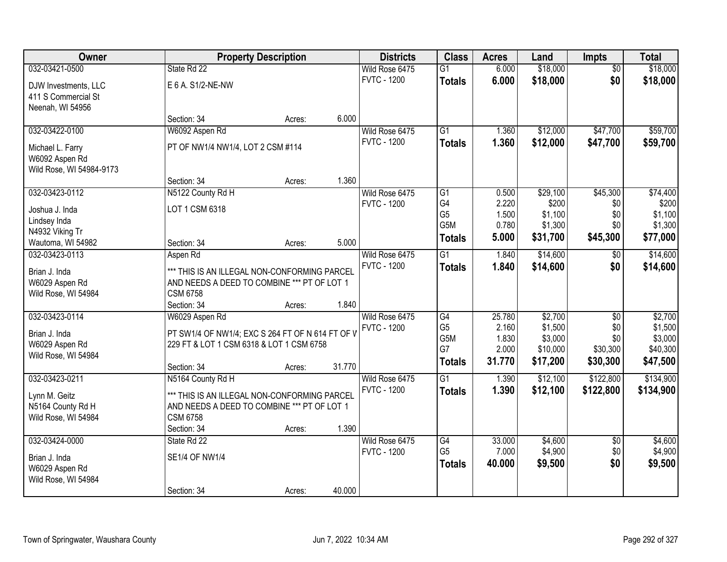| Owner                    |                                                  | <b>Property Description</b> |        | <b>Districts</b>   | <b>Class</b>                       | <b>Acres</b>   | Land                | <b>Impts</b>    | <b>Total</b>        |
|--------------------------|--------------------------------------------------|-----------------------------|--------|--------------------|------------------------------------|----------------|---------------------|-----------------|---------------------|
| 032-03421-0500           | State Rd 22                                      |                             |        | Wild Rose 6475     | $\overline{G1}$                    | 6.000          | \$18,000            | $\overline{50}$ | \$18,000            |
| DJW Investments, LLC     | E 6 A. S1/2-NE-NW                                |                             |        | <b>FVTC - 1200</b> | <b>Totals</b>                      | 6.000          | \$18,000            | \$0             | \$18,000            |
| 411 S Commercial St      |                                                  |                             |        |                    |                                    |                |                     |                 |                     |
| Neenah, WI 54956         |                                                  |                             |        |                    |                                    |                |                     |                 |                     |
|                          | Section: 34                                      | Acres:                      | 6.000  |                    |                                    |                |                     |                 |                     |
| 032-03422-0100           | W6092 Aspen Rd                                   |                             |        | Wild Rose 6475     | $\overline{G1}$                    | 1.360          | \$12,000            | \$47,700        | \$59,700            |
| Michael L. Farry         | PT OF NW1/4 NW1/4, LOT 2 CSM #114                |                             |        | <b>FVTC - 1200</b> | <b>Totals</b>                      | 1.360          | \$12,000            | \$47,700        | \$59,700            |
| W6092 Aspen Rd           |                                                  |                             |        |                    |                                    |                |                     |                 |                     |
| Wild Rose, WI 54984-9173 |                                                  |                             |        |                    |                                    |                |                     |                 |                     |
|                          | Section: 34                                      | Acres:                      | 1.360  |                    |                                    |                |                     |                 |                     |
| 032-03423-0112           | N5122 County Rd H                                |                             |        | Wild Rose 6475     | $\overline{G1}$                    | 0.500          | \$29,100            | \$45,300        | \$74,400            |
| Joshua J. Inda           | LOT 1 CSM 6318                                   |                             |        | <b>FVTC - 1200</b> | G4                                 | 2.220          | \$200               | \$0             | \$200               |
| Lindsey Inda             |                                                  |                             |        |                    | G <sub>5</sub><br>G <sub>5</sub> M | 1.500<br>0.780 | \$1,100<br>\$1,300  | \$0<br>\$0      | \$1,100<br>\$1,300  |
| N4932 Viking Tr          |                                                  |                             |        |                    |                                    | 5.000          | \$31,700            | \$45,300        | \$77,000            |
| Wautoma, WI 54982        | Section: 34                                      | Acres:                      | 5.000  |                    | <b>Totals</b>                      |                |                     |                 |                     |
| 032-03423-0113           | Aspen Rd                                         |                             |        | Wild Rose 6475     | $\overline{G1}$                    | 1.840          | \$14,600            | \$0             | \$14,600            |
| Brian J. Inda            | *** THIS IS AN ILLEGAL NON-CONFORMING PARCEL     |                             |        | <b>FVTC - 1200</b> | <b>Totals</b>                      | 1.840          | \$14,600            | \$0             | \$14,600            |
| W6029 Aspen Rd           | AND NEEDS A DEED TO COMBINE *** PT OF LOT 1      |                             |        |                    |                                    |                |                     |                 |                     |
| Wild Rose, WI 54984      | <b>CSM 6758</b>                                  |                             |        |                    |                                    |                |                     |                 |                     |
|                          | Section: 34                                      | Acres:                      | 1.840  |                    |                                    |                |                     |                 |                     |
| 032-03423-0114           | W6029 Aspen Rd                                   |                             |        | Wild Rose 6475     | G4                                 | 25.780         | \$2,700             | $\overline{50}$ | \$2,700             |
| Brian J. Inda            | PT SW1/4 OF NW1/4; EXC S 264 FT OF N 614 FT OF V |                             |        | <b>FVTC - 1200</b> | G <sub>5</sub>                     | 2.160          | \$1,500             | \$0             | \$1,500             |
| W6029 Aspen Rd           | 229 FT & LOT 1 CSM 6318 & LOT 1 CSM 6758         |                             |        |                    | G5M<br>G7                          | 1.830<br>2.000 | \$3,000<br>\$10,000 | \$0<br>\$30,300 | \$3,000<br>\$40,300 |
| Wild Rose, WI 54984      |                                                  |                             |        |                    | <b>Totals</b>                      | 31.770         | \$17,200            | \$30,300        | \$47,500            |
|                          | Section: 34                                      | Acres:                      | 31.770 |                    |                                    |                |                     |                 |                     |
| 032-03423-0211           | N5164 County Rd H                                |                             |        | Wild Rose 6475     | G1                                 | 1.390          | \$12,100            | \$122,800       | \$134,900           |
| Lynn M. Geitz            | *** THIS IS AN ILLEGAL NON-CONFORMING PARCEL     |                             |        | <b>FVTC - 1200</b> | <b>Totals</b>                      | 1.390          | \$12,100            | \$122,800       | \$134,900           |
| N5164 County Rd H        | AND NEEDS A DEED TO COMBINE *** PT OF LOT 1      |                             |        |                    |                                    |                |                     |                 |                     |
| Wild Rose, WI 54984      | <b>CSM 6758</b>                                  |                             |        |                    |                                    |                |                     |                 |                     |
|                          | Section: 34                                      | Acres:                      | 1.390  |                    |                                    |                |                     |                 |                     |
| 032-03424-0000           | State Rd 22                                      |                             |        | Wild Rose 6475     | G4                                 | 33.000         | \$4,600             | $\overline{50}$ | \$4,600             |
| Brian J. Inda            | <b>SE1/4 OF NW1/4</b>                            |                             |        | <b>FVTC - 1200</b> | G <sub>5</sub>                     | 7.000          | \$4,900             | \$0             | \$4,900             |
| W6029 Aspen Rd           |                                                  |                             |        |                    | <b>Totals</b>                      | 40.000         | \$9,500             | \$0             | \$9,500             |
| Wild Rose, WI 54984      |                                                  |                             |        |                    |                                    |                |                     |                 |                     |
|                          | Section: 34                                      | Acres:                      | 40.000 |                    |                                    |                |                     |                 |                     |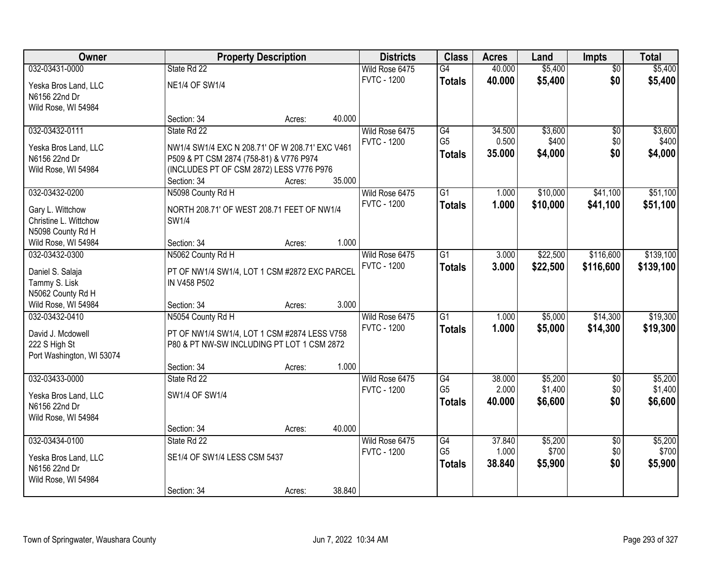| <b>Owner</b>              |                                                 | <b>Property Description</b> |        | <b>Districts</b>   | <b>Class</b>    | <b>Acres</b> | Land     | <b>Impts</b>    | <b>Total</b> |
|---------------------------|-------------------------------------------------|-----------------------------|--------|--------------------|-----------------|--------------|----------|-----------------|--------------|
| 032-03431-0000            | State Rd 22                                     |                             |        | Wild Rose 6475     | G4              | 40.000       | \$5,400  | $\overline{30}$ | \$5,400      |
| Yeska Bros Land, LLC      | <b>NE1/4 OF SW1/4</b>                           |                             |        | <b>FVTC - 1200</b> | <b>Totals</b>   | 40.000       | \$5,400  | \$0             | \$5,400      |
| N6156 22nd Dr             |                                                 |                             |        |                    |                 |              |          |                 |              |
| Wild Rose, WI 54984       |                                                 |                             |        |                    |                 |              |          |                 |              |
|                           | Section: 34                                     | Acres:                      | 40.000 |                    |                 |              |          |                 |              |
| 032-03432-0111            | State Rd 22                                     |                             |        | Wild Rose 6475     | G4              | 34.500       | \$3,600  | $\overline{50}$ | \$3,600      |
| Yeska Bros Land, LLC      | NW1/4 SW1/4 EXC N 208.71' OF W 208.71' EXC V461 |                             |        | <b>FVTC - 1200</b> | G <sub>5</sub>  | 0.500        | \$400    | \$0             | \$400        |
| N6156 22nd Dr             | P509 & PT CSM 2874 (758-81) & V776 P974         |                             |        |                    | <b>Totals</b>   | 35.000       | \$4,000  | \$0             | \$4,000      |
| Wild Rose, WI 54984       | (INCLUDES PT OF CSM 2872) LESS V776 P976        |                             |        |                    |                 |              |          |                 |              |
|                           | Section: 34                                     | Acres:                      | 35.000 |                    |                 |              |          |                 |              |
| 032-03432-0200            | N5098 County Rd H                               |                             |        | Wild Rose 6475     | G1              | 1.000        | \$10,000 | \$41,100        | \$51,100     |
| Gary L. Wittchow          | NORTH 208.71' OF WEST 208.71 FEET OF NW1/4      |                             |        | <b>FVTC - 1200</b> | <b>Totals</b>   | 1.000        | \$10,000 | \$41,100        | \$51,100     |
| Christine L. Wittchow     | SW1/4                                           |                             |        |                    |                 |              |          |                 |              |
| N5098 County Rd H         |                                                 |                             |        |                    |                 |              |          |                 |              |
| Wild Rose, WI 54984       | Section: 34                                     | Acres:                      | 1.000  |                    |                 |              |          |                 |              |
| 032-03432-0300            | N5062 County Rd H                               |                             |        | Wild Rose 6475     | $\overline{G1}$ | 3.000        | \$22,500 | \$116,600       | \$139,100    |
| Daniel S. Salaja          | PT OF NW1/4 SW1/4, LOT 1 CSM #2872 EXC PARCEL   |                             |        | <b>FVTC - 1200</b> | <b>Totals</b>   | 3.000        | \$22,500 | \$116,600       | \$139,100    |
| Tammy S. Lisk             | IN V458 P502                                    |                             |        |                    |                 |              |          |                 |              |
| N5062 County Rd H         |                                                 |                             |        |                    |                 |              |          |                 |              |
| Wild Rose, WI 54984       | Section: 34                                     | Acres:                      | 3.000  |                    |                 |              |          |                 |              |
| 032-03432-0410            | N5054 County Rd H                               |                             |        | Wild Rose 6475     | $\overline{G1}$ | 1.000        | \$5,000  | \$14,300        | \$19,300     |
| David J. Mcdowell         | PT OF NW1/4 SW1/4, LOT 1 CSM #2874 LESS V758    |                             |        | <b>FVTC - 1200</b> | <b>Totals</b>   | 1.000        | \$5,000  | \$14,300        | \$19,300     |
| 222 S High St             | P80 & PT NW-SW INCLUDING PT LOT 1 CSM 2872      |                             |        |                    |                 |              |          |                 |              |
| Port Washington, WI 53074 |                                                 |                             |        |                    |                 |              |          |                 |              |
|                           | Section: 34                                     | Acres:                      | 1.000  |                    |                 |              |          |                 |              |
| 032-03433-0000            | State Rd 22                                     |                             |        | Wild Rose 6475     | G4              | 38.000       | \$5,200  | $\overline{50}$ | \$5,200      |
| Yeska Bros Land, LLC      | SW1/4 OF SW1/4                                  |                             |        | <b>FVTC - 1200</b> | G <sub>5</sub>  | 2.000        | \$1,400  | \$0             | \$1,400      |
| N6156 22nd Dr             |                                                 |                             |        |                    | <b>Totals</b>   | 40.000       | \$6,600  | \$0             | \$6,600      |
| Wild Rose, WI 54984       |                                                 |                             |        |                    |                 |              |          |                 |              |
|                           | Section: 34                                     | Acres:                      | 40.000 |                    |                 |              |          |                 |              |
| 032-03434-0100            | State Rd 22                                     |                             |        | Wild Rose 6475     | G4              | 37.840       | \$5,200  | $\overline{50}$ | \$5,200      |
| Yeska Bros Land, LLC      | SE1/4 OF SW1/4 LESS CSM 5437                    |                             |        | <b>FVTC - 1200</b> | G <sub>5</sub>  | 1.000        | \$700    | \$0             | \$700        |
| N6156 22nd Dr             |                                                 |                             |        |                    | <b>Totals</b>   | 38.840       | \$5,900  | \$0             | \$5,900      |
| Wild Rose, WI 54984       |                                                 |                             |        |                    |                 |              |          |                 |              |
|                           | Section: 34                                     | Acres:                      | 38.840 |                    |                 |              |          |                 |              |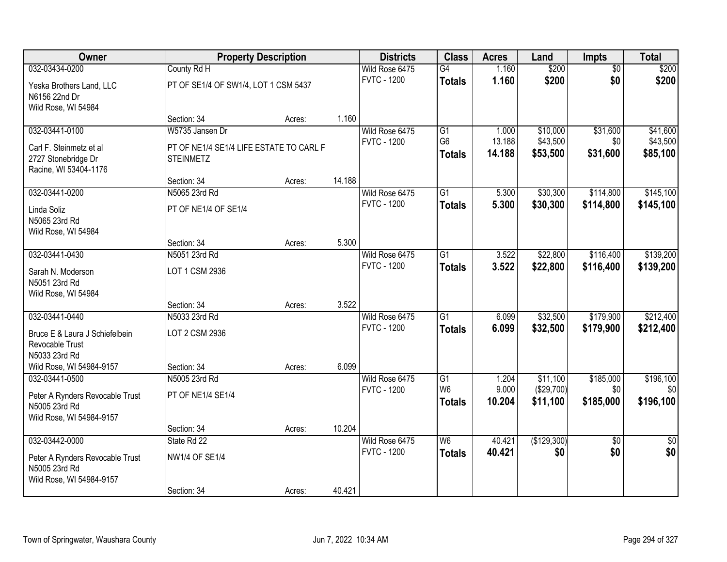| Owner                           |                                         | <b>Property Description</b> |        | <b>Districts</b>   | <b>Class</b>    | <b>Acres</b> | Land        | Impts           | <b>Total</b>    |
|---------------------------------|-----------------------------------------|-----------------------------|--------|--------------------|-----------------|--------------|-------------|-----------------|-----------------|
| 032-03434-0200                  | County Rd H                             |                             |        | Wild Rose 6475     | G4              | 1.160        | \$200       | $\overline{50}$ | \$200           |
| Yeska Brothers Land, LLC        | PT OF SE1/4 OF SW1/4, LOT 1 CSM 5437    |                             |        | <b>FVTC - 1200</b> | <b>Totals</b>   | 1.160        | \$200       | \$0             | \$200           |
| N6156 22nd Dr                   |                                         |                             |        |                    |                 |              |             |                 |                 |
| Wild Rose, WI 54984             |                                         |                             |        |                    |                 |              |             |                 |                 |
|                                 | Section: 34                             | Acres:                      | 1.160  |                    |                 |              |             |                 |                 |
| 032-03441-0100                  | W5735 Jansen Dr                         |                             |        | Wild Rose 6475     | $\overline{G1}$ | 1.000        | \$10,000    | \$31,600        | \$41,600        |
| Carl F. Steinmetz et al         | PT OF NE1/4 SE1/4 LIFE ESTATE TO CARL F |                             |        | <b>FVTC - 1200</b> | G <sub>6</sub>  | 13.188       | \$43,500    | \$0             | \$43,500        |
| 2727 Stonebridge Dr             | <b>STEINMETZ</b>                        |                             |        |                    | <b>Totals</b>   | 14.188       | \$53,500    | \$31,600        | \$85,100        |
| Racine, WI 53404-1176           |                                         |                             |        |                    |                 |              |             |                 |                 |
|                                 | Section: 34                             | Acres:                      | 14.188 |                    |                 |              |             |                 |                 |
| 032-03441-0200                  | N5065 23rd Rd                           |                             |        | Wild Rose 6475     | G1              | 5.300        | \$30,300    | \$114,800       | \$145,100       |
| Linda Soliz                     | PT OF NE1/4 OF SE1/4                    |                             |        | <b>FVTC - 1200</b> | <b>Totals</b>   | 5.300        | \$30,300    | \$114,800       | \$145,100       |
| N5065 23rd Rd                   |                                         |                             |        |                    |                 |              |             |                 |                 |
| Wild Rose, WI 54984             |                                         |                             |        |                    |                 |              |             |                 |                 |
|                                 | Section: 34                             | Acres:                      | 5.300  |                    |                 |              |             |                 |                 |
| 032-03441-0430                  | N5051 23rd Rd                           |                             |        | Wild Rose 6475     | G1              | 3.522        | \$22,800    | \$116,400       | \$139,200       |
| Sarah N. Moderson               | LOT 1 CSM 2936                          |                             |        | <b>FVTC - 1200</b> | <b>Totals</b>   | 3.522        | \$22,800    | \$116,400       | \$139,200       |
| N5051 23rd Rd                   |                                         |                             |        |                    |                 |              |             |                 |                 |
| Wild Rose, WI 54984             |                                         |                             |        |                    |                 |              |             |                 |                 |
|                                 | Section: 34                             | Acres:                      | 3.522  |                    |                 |              |             |                 |                 |
| 032-03441-0440                  | N5033 23rd Rd                           |                             |        | Wild Rose 6475     | $\overline{G1}$ | 6.099        | \$32,500    | \$179,900       | \$212,400       |
| Bruce E & Laura J Schiefelbein  | LOT 2 CSM 2936                          |                             |        | <b>FVTC - 1200</b> | <b>Totals</b>   | 6.099        | \$32,500    | \$179,900       | \$212,400       |
| Revocable Trust                 |                                         |                             |        |                    |                 |              |             |                 |                 |
| N5033 23rd Rd                   |                                         |                             |        |                    |                 |              |             |                 |                 |
| Wild Rose, WI 54984-9157        | Section: 34                             | Acres:                      | 6.099  |                    |                 |              |             |                 |                 |
| 032-03441-0500                  | N5005 23rd Rd                           |                             |        | Wild Rose 6475     | G1              | 1.204        | \$11,100    | \$185,000       | \$196,100       |
| Peter A Rynders Revocable Trust | PT OF NE1/4 SE1/4                       |                             |        | <b>FVTC - 1200</b> | W <sub>6</sub>  | 9.000        | (\$29,700)  | \$0             | \$0             |
| N5005 23rd Rd                   |                                         |                             |        |                    | <b>Totals</b>   | 10.204       | \$11,100    | \$185,000       | \$196,100       |
| Wild Rose, WI 54984-9157        |                                         |                             |        |                    |                 |              |             |                 |                 |
|                                 | Section: 34                             | Acres:                      | 10.204 |                    |                 |              |             |                 |                 |
| 032-03442-0000                  | State Rd 22                             |                             |        | Wild Rose 6475     | W6              | 40.421       | (\$129,300) | $\overline{50}$ | $\overline{50}$ |
| Peter A Rynders Revocable Trust | <b>NW1/4 OF SE1/4</b>                   |                             |        | <b>FVTC - 1200</b> | <b>Totals</b>   | 40.421       | \$0         | \$0             | \$0             |
| N5005 23rd Rd                   |                                         |                             |        |                    |                 |              |             |                 |                 |
| Wild Rose, WI 54984-9157        |                                         |                             |        |                    |                 |              |             |                 |                 |
|                                 | Section: 34                             | Acres:                      | 40.421 |                    |                 |              |             |                 |                 |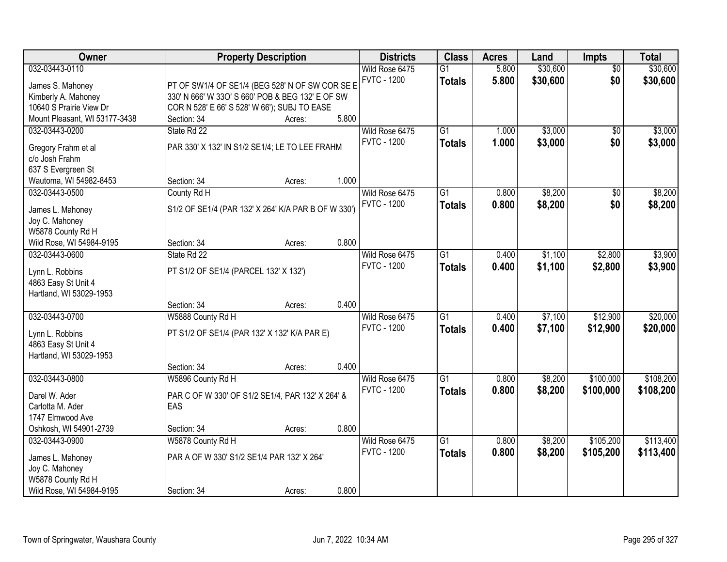| Owner                                          |                                                     | <b>Property Description</b> |       | <b>Districts</b>   | <b>Class</b>    | <b>Acres</b> | Land     | <b>Impts</b>    | <b>Total</b> |
|------------------------------------------------|-----------------------------------------------------|-----------------------------|-------|--------------------|-----------------|--------------|----------|-----------------|--------------|
| 032-03443-0110                                 |                                                     |                             |       | Wild Rose 6475     | $\overline{G1}$ | 5.800        | \$30,600 | $\overline{30}$ | \$30,600     |
| James S. Mahoney                               | PT OF SW1/4 OF SE1/4 (BEG 528' N OF SW COR SE E     |                             |       | <b>FVTC - 1200</b> | <b>Totals</b>   | 5.800        | \$30,600 | \$0             | \$30,600     |
| Kimberly A. Mahoney                            | 330' N 666' W 330' S 660' POB & BEG 132' E OF SW    |                             |       |                    |                 |              |          |                 |              |
| 10640 S Prairie View Dr                        | COR N 528' E 66' S 528' W 66'); SUBJ TO EASE        |                             |       |                    |                 |              |          |                 |              |
| Mount Pleasant, WI 53177-3438                  | Section: 34                                         | Acres:                      | 5.800 |                    |                 |              |          |                 |              |
| 032-03443-0200                                 | State Rd 22                                         |                             |       | Wild Rose 6475     | $\overline{G1}$ | 1.000        | \$3,000  | $\overline{50}$ | \$3,000      |
|                                                |                                                     |                             |       | <b>FVTC - 1200</b> | <b>Totals</b>   | 1.000        | \$3,000  | \$0             | \$3,000      |
| Gregory Frahm et al                            | PAR 330' X 132' IN S1/2 SE1/4; LE TO LEE FRAHM      |                             |       |                    |                 |              |          |                 |              |
| c/o Josh Frahm                                 |                                                     |                             |       |                    |                 |              |          |                 |              |
| 637 S Evergreen St                             |                                                     |                             | 1.000 |                    |                 |              |          |                 |              |
| Wautoma, WI 54982-8453                         | Section: 34                                         | Acres:                      |       |                    |                 |              |          |                 |              |
| 032-03443-0500                                 | County Rd H                                         |                             |       | Wild Rose 6475     | $\overline{G1}$ | 0.800        | \$8,200  | \$0             | \$8,200      |
| James L. Mahoney                               | S1/2 OF SE1/4 (PAR 132' X 264' K/A PAR B OF W 330') |                             |       | <b>FVTC - 1200</b> | <b>Totals</b>   | 0.800        | \$8,200  | \$0             | \$8,200      |
| Joy C. Mahoney                                 |                                                     |                             |       |                    |                 |              |          |                 |              |
| W5878 County Rd H                              |                                                     |                             |       |                    |                 |              |          |                 |              |
| Wild Rose, WI 54984-9195                       | Section: 34                                         | Acres:                      | 0.800 |                    |                 |              |          |                 |              |
| 032-03443-0600                                 | State Rd 22                                         |                             |       | Wild Rose 6475     | $\overline{G1}$ | 0.400        | \$1,100  | \$2,800         | \$3,900      |
|                                                |                                                     |                             |       | <b>FVTC - 1200</b> | <b>Totals</b>   | 0.400        | \$1,100  | \$2,800         | \$3,900      |
| Lynn L. Robbins                                | PT S1/2 OF SE1/4 (PARCEL 132' X 132')               |                             |       |                    |                 |              |          |                 |              |
| 4863 Easy St Unit 4<br>Hartland, WI 53029-1953 |                                                     |                             |       |                    |                 |              |          |                 |              |
|                                                | Section: 34                                         | Acres:                      | 0.400 |                    |                 |              |          |                 |              |
| 032-03443-0700                                 | W5888 County Rd H                                   |                             |       | Wild Rose 6475     | $\overline{G1}$ | 0.400        | \$7,100  | \$12,900        | \$20,000     |
|                                                |                                                     |                             |       | <b>FVTC - 1200</b> |                 |              |          |                 |              |
| Lynn L. Robbins                                | PT S1/2 OF SE1/4 (PAR 132' X 132' K/A PAR E)        |                             |       |                    | <b>Totals</b>   | 0.400        | \$7,100  | \$12,900        | \$20,000     |
| 4863 Easy St Unit 4                            |                                                     |                             |       |                    |                 |              |          |                 |              |
| Hartland, WI 53029-1953                        |                                                     |                             |       |                    |                 |              |          |                 |              |
|                                                | Section: 34                                         | Acres:                      | 0.400 |                    |                 |              |          |                 |              |
| 032-03443-0800                                 | W5896 County Rd H                                   |                             |       | Wild Rose 6475     | $\overline{G1}$ | 0.800        | \$8,200  | \$100,000       | \$108,200    |
| Darel W. Ader                                  | PAR C OF W 330' OF S1/2 SE1/4, PAR 132' X 264' &    |                             |       | <b>FVTC - 1200</b> | <b>Totals</b>   | 0.800        | \$8,200  | \$100,000       | \$108,200    |
| Carlotta M. Ader                               | EAS                                                 |                             |       |                    |                 |              |          |                 |              |
| 1747 Elmwood Ave                               |                                                     |                             |       |                    |                 |              |          |                 |              |
| Oshkosh, WI 54901-2739                         | Section: 34                                         | Acres:                      | 0.800 |                    |                 |              |          |                 |              |
| 032-03443-0900                                 | W5878 County Rd H                                   |                             |       | Wild Rose 6475     | $\overline{G1}$ | 0.800        | \$8,200  | \$105,200       | \$113,400    |
|                                                |                                                     |                             |       | <b>FVTC - 1200</b> | <b>Totals</b>   | 0.800        | \$8,200  | \$105,200       | \$113,400    |
| James L. Mahoney                               | PAR A OF W 330' S1/2 SE1/4 PAR 132' X 264'          |                             |       |                    |                 |              |          |                 |              |
| Joy C. Mahoney                                 |                                                     |                             |       |                    |                 |              |          |                 |              |
| W5878 County Rd H                              |                                                     |                             |       |                    |                 |              |          |                 |              |
| Wild Rose, WI 54984-9195                       | Section: 34                                         | Acres:                      | 0.800 |                    |                 |              |          |                 |              |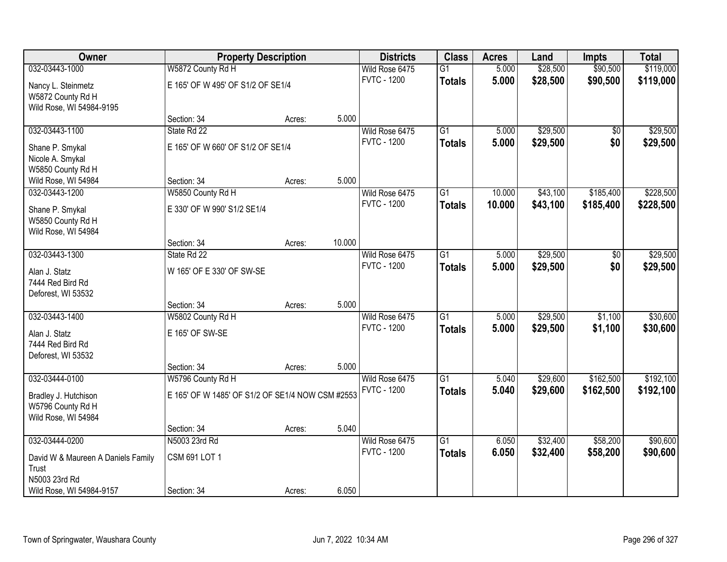| Owner                                                                         |                                                  | <b>Property Description</b> |        | <b>Districts</b>                     | <b>Class</b>                     | <b>Acres</b>     | Land                 | <b>Impts</b>           | <b>Total</b>           |
|-------------------------------------------------------------------------------|--------------------------------------------------|-----------------------------|--------|--------------------------------------|----------------------------------|------------------|----------------------|------------------------|------------------------|
| 032-03443-1000                                                                | W5872 County Rd H                                |                             |        | Wild Rose 6475                       | $\overline{G1}$                  | 5.000            | \$28,500             | \$90,500               | \$119,000              |
| Nancy L. Steinmetz<br>W5872 County Rd H<br>Wild Rose, WI 54984-9195           | E 165' OF W 495' OF S1/2 OF SE1/4                |                             |        | <b>FVTC - 1200</b>                   | <b>Totals</b>                    | 5.000            | \$28,500             | \$90,500               | \$119,000              |
|                                                                               | Section: 34                                      | Acres:                      | 5.000  |                                      |                                  |                  |                      |                        |                        |
| 032-03443-1100                                                                | State Rd 22                                      |                             |        | Wild Rose 6475                       | $\overline{G1}$                  | 5.000            | \$29,500             | \$0                    | \$29,500               |
| Shane P. Smykal<br>Nicole A. Smykal<br>W5850 County Rd H                      | E 165' OF W 660' OF S1/2 OF SE1/4                |                             |        | <b>FVTC - 1200</b>                   | <b>Totals</b>                    | 5.000            | \$29,500             | \$0                    | \$29,500               |
| Wild Rose, WI 54984                                                           | Section: 34                                      | Acres:                      | 5.000  |                                      |                                  |                  |                      |                        |                        |
| 032-03443-1200<br>Shane P. Smykal<br>W5850 County Rd H<br>Wild Rose, WI 54984 | W5850 County Rd H<br>E 330' OF W 990' S1/2 SE1/4 |                             |        | Wild Rose 6475<br><b>FVTC - 1200</b> | $\overline{G1}$<br><b>Totals</b> | 10.000<br>10.000 | \$43,100<br>\$43,100 | \$185,400<br>\$185,400 | \$228,500<br>\$228,500 |
|                                                                               | Section: 34                                      | Acres:                      | 10.000 |                                      |                                  |                  |                      |                        |                        |
| 032-03443-1300                                                                | State Rd 22                                      |                             |        | Wild Rose 6475                       | $\overline{G1}$                  | 5.000            | \$29,500             | \$0                    | \$29,500               |
| Alan J. Statz<br>7444 Red Bird Rd<br>Deforest, WI 53532                       | W 165' OF E 330' OF SW-SE                        |                             |        | <b>FVTC - 1200</b>                   | <b>Totals</b>                    | 5.000            | \$29,500             | \$0                    | \$29,500               |
|                                                                               | Section: 34                                      | Acres:                      | 5.000  |                                      |                                  |                  |                      |                        |                        |
| 032-03443-1400<br>Alan J. Statz<br>7444 Red Bird Rd<br>Deforest, WI 53532     | W5802 County Rd H<br>E 165' OF SW-SE             |                             |        | Wild Rose 6475<br><b>FVTC - 1200</b> | $\overline{G1}$<br><b>Totals</b> | 5.000<br>5.000   | \$29,500<br>\$29,500 | \$1,100<br>\$1,100     | \$30,600<br>\$30,600   |
|                                                                               | Section: 34                                      | Acres:                      | 5.000  |                                      |                                  |                  |                      |                        |                        |
| 032-03444-0100                                                                | W5796 County Rd H                                |                             |        | Wild Rose 6475                       | $\overline{G1}$                  | 5.040            | \$29,600             | \$162,500              | \$192,100              |
| Bradley J. Hutchison<br>W5796 County Rd H<br>Wild Rose, WI 54984              | E 165' OF W 1485' OF S1/2 OF SE1/4 NOW CSM #2553 |                             |        | <b>FVTC - 1200</b>                   | <b>Totals</b>                    | 5.040            | \$29,600             | \$162,500              | \$192,100              |
|                                                                               | Section: 34                                      | Acres:                      | 5.040  |                                      |                                  |                  |                      |                        |                        |
| 032-03444-0200                                                                | N5003 23rd Rd                                    |                             |        | Wild Rose 6475                       | $\overline{G1}$                  | 6.050            | \$32,400             | \$58,200               | \$90,600               |
| David W & Maureen A Daniels Family<br>Trust<br>N5003 23rd Rd                  | CSM 691 LOT 1                                    |                             |        | <b>FVTC - 1200</b>                   | <b>Totals</b>                    | 6.050            | \$32,400             | \$58,200               | \$90,600               |
| Wild Rose, WI 54984-9157                                                      | Section: 34                                      | Acres:                      | 6.050  |                                      |                                  |                  |                      |                        |                        |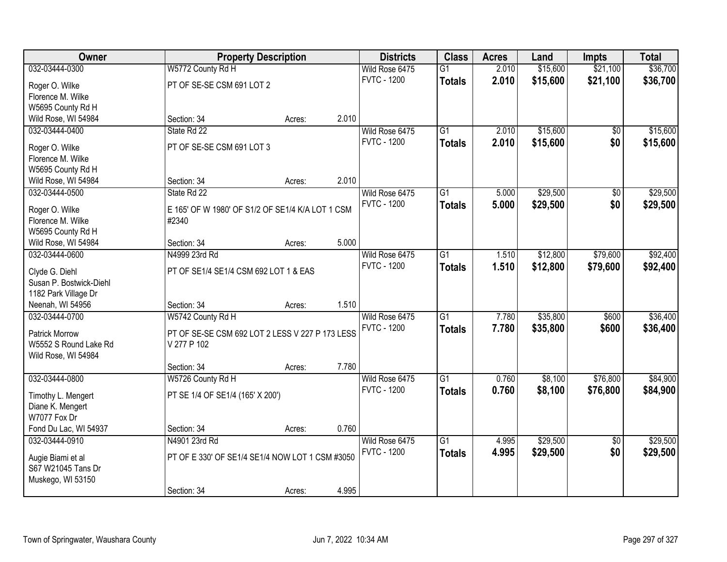| Owner                               |                                                           | <b>Property Description</b> |       | <b>Districts</b>                     | <b>Class</b>    | <b>Acres</b> | Land     | <b>Impts</b>    | <b>Total</b> |
|-------------------------------------|-----------------------------------------------------------|-----------------------------|-------|--------------------------------------|-----------------|--------------|----------|-----------------|--------------|
| 032-03444-0300                      | W5772 County Rd H                                         |                             |       | Wild Rose 6475                       | $\overline{G1}$ | 2.010        | \$15,600 | \$21,100        | \$36,700     |
| Roger O. Wilke                      | PT OF SE-SE CSM 691 LOT 2                                 |                             |       | <b>FVTC - 1200</b>                   | <b>Totals</b>   | 2.010        | \$15,600 | \$21,100        | \$36,700     |
| Florence M. Wilke                   |                                                           |                             |       |                                      |                 |              |          |                 |              |
| W5695 County Rd H                   |                                                           |                             |       |                                      |                 |              |          |                 |              |
| Wild Rose, WI 54984                 | Section: 34                                               | Acres:                      | 2.010 |                                      |                 |              |          |                 |              |
| 032-03444-0400                      | State Rd 22                                               |                             |       | Wild Rose 6475                       | $\overline{G1}$ | 2.010        | \$15,600 | \$0             | \$15,600     |
| Roger O. Wilke                      | PT OF SE-SE CSM 691 LOT 3                                 |                             |       | <b>FVTC - 1200</b>                   | <b>Totals</b>   | 2.010        | \$15,600 | \$0             | \$15,600     |
| Florence M. Wilke                   |                                                           |                             |       |                                      |                 |              |          |                 |              |
| W5695 County Rd H                   |                                                           |                             |       |                                      |                 |              |          |                 |              |
| Wild Rose, WI 54984                 | Section: 34                                               | Acres:                      | 2.010 |                                      |                 |              |          |                 |              |
| 032-03444-0500                      | State Rd 22                                               |                             |       | Wild Rose 6475                       | G1              | 5.000        | \$29,500 | \$0             | \$29,500     |
|                                     |                                                           |                             |       | <b>FVTC - 1200</b>                   | <b>Totals</b>   | 5.000        | \$29,500 | \$0             | \$29,500     |
| Roger O. Wilke<br>Florence M. Wilke | E 165' OF W 1980' OF S1/2 OF SE1/4 K/A LOT 1 CSM<br>#2340 |                             |       |                                      |                 |              |          |                 |              |
| W5695 County Rd H                   |                                                           |                             |       |                                      |                 |              |          |                 |              |
| Wild Rose, WI 54984                 | Section: 34                                               | Acres:                      | 5.000 |                                      |                 |              |          |                 |              |
| 032-03444-0600                      | N4999 23rd Rd                                             |                             |       | Wild Rose 6475                       | $\overline{G1}$ | 1.510        | \$12,800 | \$79,600        | \$92,400     |
|                                     |                                                           |                             |       | <b>FVTC - 1200</b>                   | <b>Totals</b>   | 1.510        | \$12,800 | \$79,600        | \$92,400     |
| Clyde G. Diehl                      | PT OF SE1/4 SE1/4 CSM 692 LOT 1 & EAS                     |                             |       |                                      |                 |              |          |                 |              |
| Susan P. Bostwick-Diehl             |                                                           |                             |       |                                      |                 |              |          |                 |              |
| 1182 Park Village Dr                |                                                           |                             |       |                                      |                 |              |          |                 |              |
| Neenah, WI 54956<br>032-03444-0700  | Section: 34                                               | Acres:                      | 1.510 |                                      | $\overline{G1}$ | 7.780        | \$35,800 |                 | \$36,400     |
|                                     | W5742 County Rd H                                         |                             |       | Wild Rose 6475<br><b>FVTC - 1200</b> |                 |              |          | \$600           |              |
| <b>Patrick Morrow</b>               | PT OF SE-SE CSM 692 LOT 2 LESS V 227 P 173 LESS           |                             |       |                                      | <b>Totals</b>   | 7.780        | \$35,800 | \$600           | \$36,400     |
| W5552 S Round Lake Rd               | V 277 P 102                                               |                             |       |                                      |                 |              |          |                 |              |
| Wild Rose, WI 54984                 |                                                           |                             |       |                                      |                 |              |          |                 |              |
|                                     | Section: 34                                               | Acres:                      | 7.780 |                                      |                 |              |          |                 |              |
| 032-03444-0800                      | W5726 County Rd H                                         |                             |       | Wild Rose 6475                       | $\overline{G1}$ | 0.760        | \$8,100  | \$76,800        | \$84,900     |
| Timothy L. Mengert                  | PT SE 1/4 OF SE1/4 (165' X 200')                          |                             |       | <b>FVTC - 1200</b>                   | <b>Totals</b>   | 0.760        | \$8,100  | \$76,800        | \$84,900     |
| Diane K. Mengert                    |                                                           |                             |       |                                      |                 |              |          |                 |              |
| W7077 Fox Dr                        |                                                           |                             |       |                                      |                 |              |          |                 |              |
| Fond Du Lac, WI 54937               | Section: 34                                               | Acres:                      | 0.760 |                                      |                 |              |          |                 |              |
| 032-03444-0910                      | N4901 23rd Rd                                             |                             |       | Wild Rose 6475                       | $\overline{G1}$ | 4.995        | \$29,500 | $\overline{50}$ | \$29,500     |
| Augie Biami et al                   | PT OF E 330' OF SE1/4 SE1/4 NOW LOT 1 CSM #3050           |                             |       | <b>FVTC - 1200</b>                   | <b>Totals</b>   | 4.995        | \$29,500 | \$0             | \$29,500     |
| S67 W21045 Tans Dr                  |                                                           |                             |       |                                      |                 |              |          |                 |              |
| Muskego, WI 53150                   |                                                           |                             |       |                                      |                 |              |          |                 |              |
|                                     | Section: 34                                               | Acres:                      | 4.995 |                                      |                 |              |          |                 |              |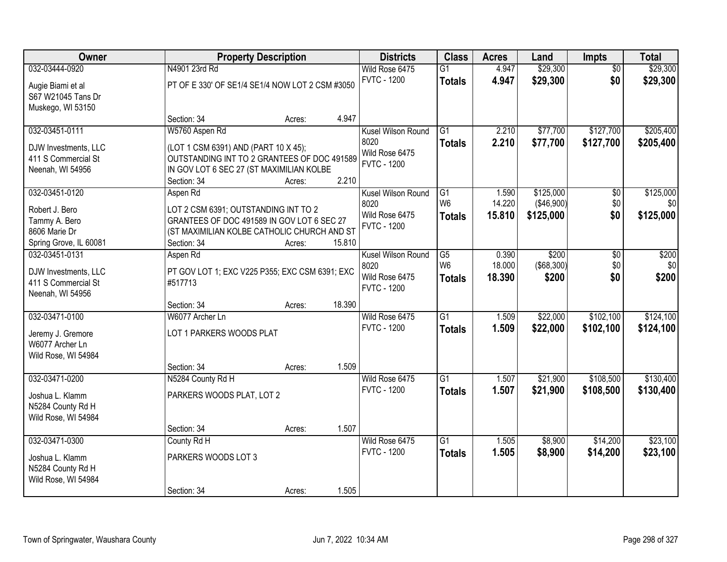| Owner                                                                                        | <b>Property Description</b>                                                                                                                                                         | <b>Districts</b>                                                   | <b>Class</b>                          | <b>Acres</b>              | Land                                 | Impts                           | <b>Total</b>                  |
|----------------------------------------------------------------------------------------------|-------------------------------------------------------------------------------------------------------------------------------------------------------------------------------------|--------------------------------------------------------------------|---------------------------------------|---------------------------|--------------------------------------|---------------------------------|-------------------------------|
| 032-03444-0920<br>Augie Biami et al<br>S67 W21045 Tans Dr<br>Muskego, WI 53150               | N4901 23rd Rd<br>PT OF E 330' OF SE1/4 SE1/4 NOW LOT 2 CSM #3050                                                                                                                    | Wild Rose 6475<br><b>FVTC - 1200</b>                               | G1<br><b>Totals</b>                   | 4.947<br>4.947            | \$29,300<br>\$29,300                 | $\overline{50}$<br>\$0          | \$29,300<br>\$29,300          |
|                                                                                              | 4.947<br>Section: 34<br>Acres:                                                                                                                                                      |                                                                    |                                       |                           |                                      |                                 |                               |
| 032-03451-0111<br>DJW Investments, LLC<br>411 S Commercial St<br>Neenah, WI 54956            | W5760 Aspen Rd<br>(LOT 1 CSM 6391) AND (PART 10 X 45);<br>OUTSTANDING INT TO 2 GRANTEES OF DOC 491589<br>IN GOV LOT 6 SEC 27 (ST MAXIMILIAN KOLBE<br>2.210<br>Section: 34<br>Acres: | Kusel Wilson Round<br>8020<br>Wild Rose 6475<br><b>FVTC - 1200</b> | $\overline{G1}$<br><b>Totals</b>      | 2.210<br>2.210            | \$77,700<br>\$77,700                 | \$127,700<br>\$127,700          | \$205,400<br>\$205,400        |
| 032-03451-0120<br>Robert J. Bero<br>Tammy A. Bero<br>8606 Marie Dr<br>Spring Grove, IL 60081 | Aspen Rd<br>LOT 2 CSM 6391; OUTSTANDING INT TO 2<br>GRANTEES OF DOC 491589 IN GOV LOT 6 SEC 27<br>(ST MAXIMILIAN KOLBE CATHOLIC CHURCH AND ST<br>15.810<br>Section: 34<br>Acres:    | Kusel Wilson Round<br>8020<br>Wild Rose 6475<br><b>FVTC - 1200</b> | G1<br>W <sub>6</sub><br><b>Totals</b> | 1.590<br>14.220<br>15.810 | \$125,000<br>(\$46,900)<br>\$125,000 | $\overline{50}$<br>\$0\$<br>\$0 | \$125,000<br>\$0<br>\$125,000 |
| 032-03451-0131<br>DJW Investments, LLC<br>411 S Commercial St<br>Neenah, WI 54956            | Aspen Rd<br>PT GOV LOT 1; EXC V225 P355; EXC CSM 6391; EXC<br>#517713<br>18.390<br>Section: 34<br>Acres:                                                                            | Kusel Wilson Round<br>8020<br>Wild Rose 6475<br><b>FVTC - 1200</b> | G5<br>W <sub>6</sub><br><b>Totals</b> | 0.390<br>18.000<br>18.390 | \$200<br>$($ \$68,300) $ $<br>\$200  | $\overline{50}$<br>\$0<br>\$0   | \$200<br>\$0<br>\$200         |
| 032-03471-0100<br>Jeremy J. Gremore<br>W6077 Archer Ln<br>Wild Rose, WI 54984                | W6077 Archer Ln<br>LOT 1 PARKERS WOODS PLAT<br>1.509<br>Section: 34<br>Acres:                                                                                                       | Wild Rose 6475<br><b>FVTC - 1200</b>                               | $\overline{G1}$<br><b>Totals</b>      | 1.509<br>1.509            | \$22,000<br>\$22,000                 | \$102,100<br>\$102,100          | \$124,100<br>\$124,100        |
| 032-03471-0200<br>Joshua L. Klamm<br>N5284 County Rd H<br>Wild Rose, WI 54984                | N5284 County Rd H<br>PARKERS WOODS PLAT, LOT 2<br>1.507<br>Section: 34<br>Acres:                                                                                                    | Wild Rose 6475<br><b>FVTC - 1200</b>                               | G1<br><b>Totals</b>                   | 1.507<br>1.507            | \$21,900<br>\$21,900                 | \$108,500<br>\$108,500          | \$130,400<br>\$130,400        |
| 032-03471-0300<br>Joshua L. Klamm<br>N5284 County Rd H<br>Wild Rose, WI 54984                | County Rd H<br>PARKERS WOODS LOT 3<br>1.505<br>Section: 34<br>Acres:                                                                                                                | Wild Rose 6475<br><b>FVTC - 1200</b>                               | $\overline{G1}$<br><b>Totals</b>      | 1.505<br>1.505            | \$8,900<br>\$8,900                   | \$14,200<br>\$14,200            | \$23,100<br>\$23,100          |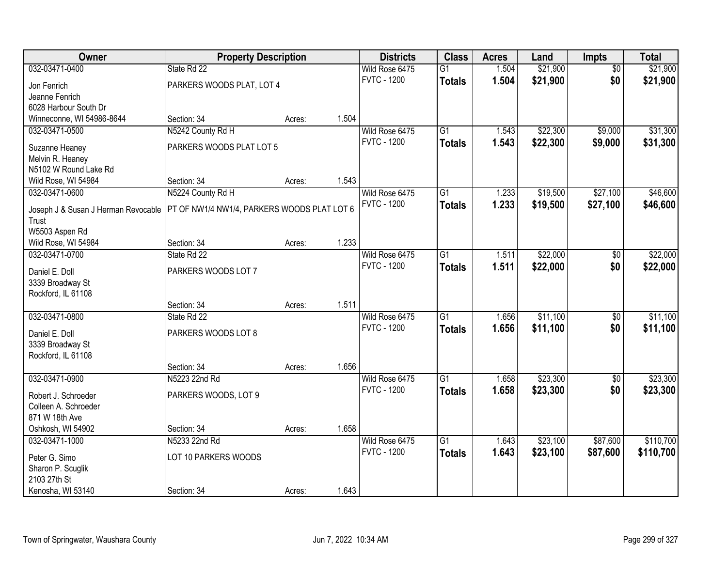| Owner                                        | <b>Property Description</b>                 |        |       | <b>Districts</b>   | <b>Class</b>    | <b>Acres</b> | Land     | <b>Impts</b>    | <b>Total</b> |
|----------------------------------------------|---------------------------------------------|--------|-------|--------------------|-----------------|--------------|----------|-----------------|--------------|
| 032-03471-0400                               | State Rd 22                                 |        |       | Wild Rose 6475     | $\overline{G1}$ | 1.504        | \$21,900 | $\overline{30}$ | \$21,900     |
| Jon Fenrich                                  | PARKERS WOODS PLAT, LOT 4                   |        |       | <b>FVTC - 1200</b> | <b>Totals</b>   | 1.504        | \$21,900 | \$0             | \$21,900     |
| Jeanne Fenrich                               |                                             |        |       |                    |                 |              |          |                 |              |
| 6028 Harbour South Dr                        |                                             |        |       |                    |                 |              |          |                 |              |
| Winneconne, WI 54986-8644                    | Section: 34                                 | Acres: | 1.504 |                    |                 |              |          |                 |              |
| 032-03471-0500                               | N5242 County Rd H                           |        |       | Wild Rose 6475     | $\overline{G1}$ | 1.543        | \$22,300 | \$9,000         | \$31,300     |
| Suzanne Heaney                               | PARKERS WOODS PLAT LOT 5                    |        |       | <b>FVTC - 1200</b> | <b>Totals</b>   | 1.543        | \$22,300 | \$9,000         | \$31,300     |
| Melvin R. Heaney                             |                                             |        |       |                    |                 |              |          |                 |              |
| N5102 W Round Lake Rd                        |                                             |        |       |                    |                 |              |          |                 |              |
| Wild Rose, WI 54984                          | Section: 34                                 | Acres: | 1.543 |                    |                 |              |          |                 |              |
| 032-03471-0600                               | N5224 County Rd H                           |        |       | Wild Rose 6475     | G1              | 1.233        | \$19,500 | \$27,100        | \$46,600     |
|                                              |                                             |        |       | <b>FVTC - 1200</b> | <b>Totals</b>   | 1.233        | \$19,500 | \$27,100        | \$46,600     |
| Joseph J & Susan J Herman Revocable<br>Trust | PT OF NW1/4 NW1/4, PARKERS WOODS PLAT LOT 6 |        |       |                    |                 |              |          |                 |              |
| W5503 Aspen Rd                               |                                             |        |       |                    |                 |              |          |                 |              |
| Wild Rose, WI 54984                          | Section: 34                                 | Acres: | 1.233 |                    |                 |              |          |                 |              |
| 032-03471-0700                               | State Rd 22                                 |        |       | Wild Rose 6475     | $\overline{G1}$ | 1.511        | \$22,000 | \$0             | \$22,000     |
|                                              |                                             |        |       | <b>FVTC - 1200</b> | <b>Totals</b>   | 1.511        | \$22,000 | \$0             | \$22,000     |
| Daniel E. Doll                               | PARKERS WOODS LOT 7                         |        |       |                    |                 |              |          |                 |              |
| 3339 Broadway St                             |                                             |        |       |                    |                 |              |          |                 |              |
| Rockford, IL 61108                           |                                             |        | 1.511 |                    |                 |              |          |                 |              |
| 032-03471-0800                               | Section: 34<br>State Rd 22                  | Acres: |       | Wild Rose 6475     | $\overline{G1}$ | 1.656        | \$11,100 | $\overline{50}$ | \$11,100     |
|                                              |                                             |        |       | <b>FVTC - 1200</b> |                 |              |          |                 |              |
| Daniel E. Doll                               | PARKERS WOODS LOT 8                         |        |       |                    | <b>Totals</b>   | 1.656        | \$11,100 | \$0             | \$11,100     |
| 3339 Broadway St                             |                                             |        |       |                    |                 |              |          |                 |              |
| Rockford, IL 61108                           |                                             |        |       |                    |                 |              |          |                 |              |
|                                              | Section: 34                                 | Acres: | 1.656 |                    |                 |              |          |                 |              |
| 032-03471-0900                               | N5223 22nd Rd                               |        |       | Wild Rose 6475     | $\overline{G1}$ | 1.658        | \$23,300 | $\overline{50}$ | \$23,300     |
| Robert J. Schroeder                          | PARKERS WOODS, LOT 9                        |        |       | <b>FVTC - 1200</b> | <b>Totals</b>   | 1.658        | \$23,300 | \$0             | \$23,300     |
| Colleen A. Schroeder                         |                                             |        |       |                    |                 |              |          |                 |              |
| 871 W 18th Ave                               |                                             |        |       |                    |                 |              |          |                 |              |
| Oshkosh, WI 54902                            | Section: 34                                 | Acres: | 1.658 |                    |                 |              |          |                 |              |
| 032-03471-1000                               | N5233 22nd Rd                               |        |       | Wild Rose 6475     | $\overline{G1}$ | 1.643        | \$23,100 | \$87,600        | \$110,700    |
| Peter G. Simo                                | LOT 10 PARKERS WOODS                        |        |       | <b>FVTC - 1200</b> | <b>Totals</b>   | 1.643        | \$23,100 | \$87,600        | \$110,700    |
| Sharon P. Scuglik                            |                                             |        |       |                    |                 |              |          |                 |              |
| 2103 27th St                                 |                                             |        |       |                    |                 |              |          |                 |              |
| Kenosha, WI 53140                            | Section: 34                                 | Acres: | 1.643 |                    |                 |              |          |                 |              |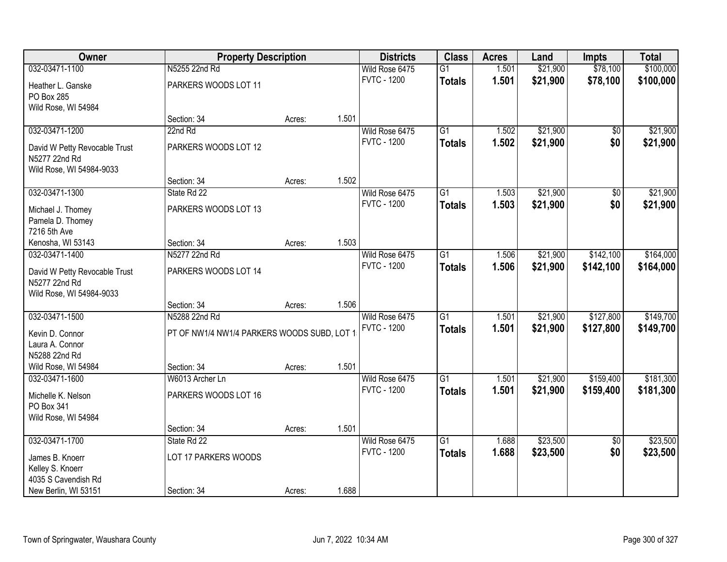| Owner                                   | <b>Property Description</b>                 |        |       | <b>Districts</b>   | <b>Class</b>    | <b>Acres</b> | Land     | <b>Impts</b>    | <b>Total</b> |
|-----------------------------------------|---------------------------------------------|--------|-------|--------------------|-----------------|--------------|----------|-----------------|--------------|
| 032-03471-1100                          | N5255 22nd Rd                               |        |       | Wild Rose 6475     | G1              | 1.501        | \$21,900 | \$78,100        | \$100,000    |
| Heather L. Ganske                       | PARKERS WOODS LOT 11                        |        |       | <b>FVTC - 1200</b> | <b>Totals</b>   | 1.501        | \$21,900 | \$78,100        | \$100,000    |
| PO Box 285                              |                                             |        |       |                    |                 |              |          |                 |              |
| Wild Rose, WI 54984                     |                                             |        |       |                    |                 |              |          |                 |              |
|                                         | Section: 34                                 | Acres: | 1.501 |                    |                 |              |          |                 |              |
| 032-03471-1200                          | 22nd Rd                                     |        |       | Wild Rose 6475     | $\overline{G1}$ | 1.502        | \$21,900 | $\overline{50}$ | \$21,900     |
| David W Petty Revocable Trust           | PARKERS WOODS LOT 12                        |        |       | <b>FVTC - 1200</b> | <b>Totals</b>   | 1.502        | \$21,900 | \$0             | \$21,900     |
| N5277 22nd Rd                           |                                             |        |       |                    |                 |              |          |                 |              |
| Wild Rose, WI 54984-9033                |                                             |        |       |                    |                 |              |          |                 |              |
|                                         | Section: 34                                 | Acres: | 1.502 |                    |                 |              |          |                 |              |
| 032-03471-1300                          | State Rd 22                                 |        |       | Wild Rose 6475     | G <sub>1</sub>  | 1.503        | \$21,900 | \$0             | \$21,900     |
| Michael J. Thomey                       | PARKERS WOODS LOT 13                        |        |       | <b>FVTC - 1200</b> | <b>Totals</b>   | 1.503        | \$21,900 | \$0             | \$21,900     |
| Pamela D. Thomey                        |                                             |        |       |                    |                 |              |          |                 |              |
| 7216 5th Ave                            |                                             |        |       |                    |                 |              |          |                 |              |
| Kenosha, WI 53143                       | Section: 34                                 | Acres: | 1.503 |                    |                 |              |          |                 |              |
| 032-03471-1400                          | N5277 22nd Rd                               |        |       | Wild Rose 6475     | $\overline{G1}$ | 1.506        | \$21,900 | \$142,100       | \$164,000    |
| David W Petty Revocable Trust           | PARKERS WOODS LOT 14                        |        |       | <b>FVTC - 1200</b> | <b>Totals</b>   | 1.506        | \$21,900 | \$142,100       | \$164,000    |
| N5277 22nd Rd                           |                                             |        |       |                    |                 |              |          |                 |              |
| Wild Rose, WI 54984-9033                |                                             |        |       |                    |                 |              |          |                 |              |
|                                         | Section: 34                                 | Acres: | 1.506 |                    |                 |              |          |                 |              |
| 032-03471-1500                          | N5288 22nd Rd                               |        |       | Wild Rose 6475     | $\overline{G1}$ | 1.501        | \$21,900 | \$127,800       | \$149,700    |
|                                         |                                             |        |       | <b>FVTC - 1200</b> | <b>Totals</b>   | 1.501        | \$21,900 | \$127,800       | \$149,700    |
| Kevin D. Connor<br>Laura A. Connor      | PT OF NW1/4 NW1/4 PARKERS WOODS SUBD, LOT 1 |        |       |                    |                 |              |          |                 |              |
| N5288 22nd Rd                           |                                             |        |       |                    |                 |              |          |                 |              |
| Wild Rose, WI 54984                     | Section: 34                                 | Acres: | 1.501 |                    |                 |              |          |                 |              |
| 032-03471-1600                          | W6013 Archer Ln                             |        |       | Wild Rose 6475     | $\overline{G1}$ | 1.501        | \$21,900 | \$159,400       | \$181,300    |
|                                         |                                             |        |       | <b>FVTC - 1200</b> | <b>Totals</b>   | 1.501        | \$21,900 | \$159,400       | \$181,300    |
| Michelle K. Nelson                      | PARKERS WOODS LOT 16                        |        |       |                    |                 |              |          |                 |              |
| PO Box 341<br>Wild Rose, WI 54984       |                                             |        |       |                    |                 |              |          |                 |              |
|                                         | Section: 34                                 | Acres: | 1.501 |                    |                 |              |          |                 |              |
| 032-03471-1700                          | State Rd 22                                 |        |       | Wild Rose 6475     | $\overline{G1}$ | 1.688        | \$23,500 | $\overline{50}$ | \$23,500     |
|                                         |                                             |        |       | <b>FVTC - 1200</b> | <b>Totals</b>   | 1.688        | \$23,500 | \$0             | \$23,500     |
| James B. Knoerr                         | LOT 17 PARKERS WOODS                        |        |       |                    |                 |              |          |                 |              |
| Kelley S. Knoerr<br>4035 S Cavendish Rd |                                             |        |       |                    |                 |              |          |                 |              |
| New Berlin, WI 53151                    | Section: 34                                 | Acres: | 1.688 |                    |                 |              |          |                 |              |
|                                         |                                             |        |       |                    |                 |              |          |                 |              |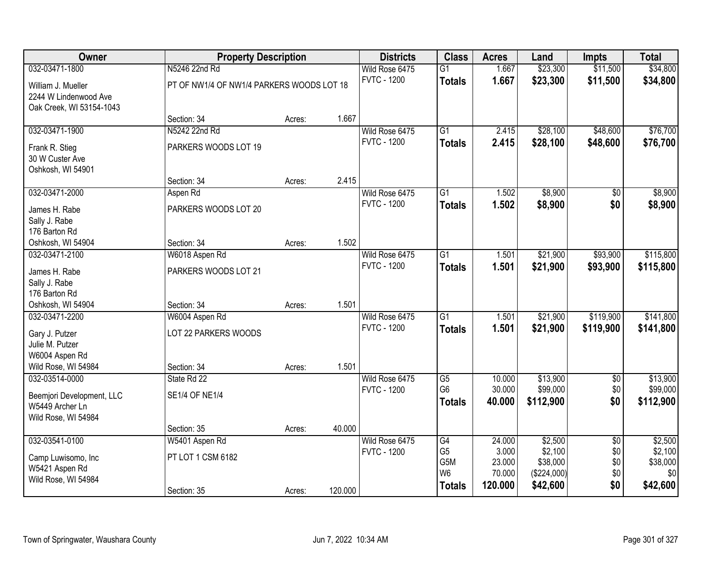| Owner                                                                                 | <b>Property Description</b>               |        |         | <b>Districts</b>                     | <b>Class</b>                                       | <b>Acres</b>               | Land                              | <b>Impts</b>                  | <b>Total</b>                      |
|---------------------------------------------------------------------------------------|-------------------------------------------|--------|---------|--------------------------------------|----------------------------------------------------|----------------------------|-----------------------------------|-------------------------------|-----------------------------------|
| 032-03471-1800                                                                        | N5246 22nd Rd                             |        |         | Wild Rose 6475                       | $\overline{G1}$                                    | 1.667                      | \$23,300                          | \$11,500                      | \$34,800                          |
| William J. Mueller<br>2244 W Lindenwood Ave<br>Oak Creek, WI 53154-1043               | PT OF NW1/4 OF NW1/4 PARKERS WOODS LOT 18 |        |         | <b>FVTC - 1200</b>                   | <b>Totals</b>                                      | 1.667                      | \$23,300                          | \$11,500                      | \$34,800                          |
|                                                                                       | Section: 34                               | Acres: | 1.667   |                                      |                                                    |                            |                                   |                               |                                   |
| 032-03471-1900                                                                        | N5242 22nd Rd                             |        |         | Wild Rose 6475                       | $\overline{G1}$                                    | 2.415                      | \$28,100                          | \$48,600                      | \$76,700                          |
| Frank R. Stieg<br>30 W Custer Ave<br>Oshkosh, WI 54901                                | PARKERS WOODS LOT 19                      |        |         | <b>FVTC - 1200</b>                   | <b>Totals</b>                                      | 2.415                      | \$28,100                          | \$48,600                      | \$76,700                          |
|                                                                                       | Section: 34                               | Acres: | 2.415   |                                      |                                                    |                            |                                   |                               |                                   |
| 032-03471-2000                                                                        | Aspen Rd                                  |        |         | Wild Rose 6475                       | G1                                                 | 1.502                      | \$8,900                           | $\sqrt{6}$                    | \$8,900                           |
| James H. Rabe<br>Sally J. Rabe<br>176 Barton Rd                                       | PARKERS WOODS LOT 20                      |        |         | <b>FVTC - 1200</b>                   | <b>Totals</b>                                      | 1.502                      | \$8,900                           | \$0                           | \$8,900                           |
| Oshkosh, WI 54904                                                                     | Section: 34                               | Acres: | 1.502   |                                      |                                                    |                            |                                   |                               |                                   |
| 032-03471-2100                                                                        | W6018 Aspen Rd                            |        |         | Wild Rose 6475                       | $\overline{G1}$                                    | 1.501                      | \$21,900                          | \$93,900                      | \$115,800                         |
| James H. Rabe                                                                         | PARKERS WOODS LOT 21                      |        |         | <b>FVTC - 1200</b>                   | <b>Totals</b>                                      | 1.501                      | \$21,900                          | \$93,900                      | \$115,800                         |
| Sally J. Rabe<br>176 Barton Rd                                                        |                                           |        |         |                                      |                                                    |                            |                                   |                               |                                   |
| Oshkosh, WI 54904                                                                     | Section: 34                               | Acres: | 1.501   |                                      |                                                    |                            |                                   |                               |                                   |
| 032-03471-2200                                                                        | W6004 Aspen Rd                            |        |         | Wild Rose 6475                       | $\overline{G1}$                                    | 1.501                      | \$21,900                          | \$119,900                     | \$141,800                         |
| Gary J. Putzer<br>Julie M. Putzer                                                     | LOT 22 PARKERS WOODS                      |        |         | <b>FVTC - 1200</b>                   | <b>Totals</b>                                      | 1.501                      | \$21,900                          | \$119,900                     | \$141,800                         |
| W6004 Aspen Rd                                                                        |                                           |        |         |                                      |                                                    |                            |                                   |                               |                                   |
| Wild Rose, WI 54984                                                                   | Section: 34                               | Acres: | 1.501   |                                      |                                                    |                            |                                   |                               |                                   |
| 032-03514-0000<br>Beemjori Development, LLC<br>W5449 Archer Ln<br>Wild Rose, WI 54984 | State Rd 22<br><b>SE1/4 OF NE1/4</b>      |        |         | Wild Rose 6475<br><b>FVTC - 1200</b> | $\overline{G5}$<br>G <sub>6</sub><br><b>Totals</b> | 10.000<br>30.000<br>40.000 | \$13,900<br>\$99,000<br>\$112,900 | $\overline{60}$<br>\$0<br>\$0 | \$13,900<br>\$99,000<br>\$112,900 |
|                                                                                       | Section: 35                               | Acres: | 40.000  |                                      |                                                    |                            |                                   |                               |                                   |
| 032-03541-0100                                                                        | W5401 Aspen Rd                            |        |         | Wild Rose 6475                       | G4                                                 | 24.000                     | \$2,500                           | $\overline{50}$               | \$2,500                           |
| Camp Luwisomo, Inc                                                                    | PT LOT 1 CSM 6182                         |        |         | <b>FVTC - 1200</b>                   | G <sub>5</sub><br>G <sub>5</sub> M                 | 3.000<br>23.000            | \$2,100<br>\$38,000               | \$0<br>\$0                    | \$2,100<br>\$38,000               |
| W5421 Aspen Rd                                                                        |                                           |        |         |                                      | W <sub>6</sub>                                     | 70.000                     | (\$224,000)                       | \$0                           | \$0                               |
| Wild Rose, WI 54984                                                                   |                                           |        |         |                                      | <b>Totals</b>                                      | 120.000                    | \$42,600                          | \$0                           | \$42,600                          |
|                                                                                       | Section: 35                               | Acres: | 120.000 |                                      |                                                    |                            |                                   |                               |                                   |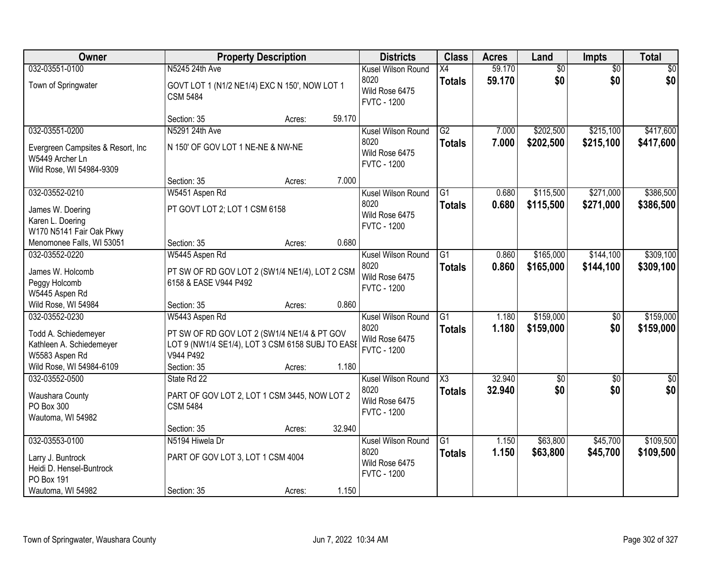| Owner                                                                                | <b>Property Description</b>                                                                                                    |                  | <b>Districts</b>                                                   | <b>Class</b>                         | <b>Acres</b>     | Land                   | Impts                  | <b>Total</b>           |
|--------------------------------------------------------------------------------------|--------------------------------------------------------------------------------------------------------------------------------|------------------|--------------------------------------------------------------------|--------------------------------------|------------------|------------------------|------------------------|------------------------|
| 032-03551-0100                                                                       | N5245 24th Ave                                                                                                                 |                  | Kusel Wilson Round                                                 | $\overline{X4}$                      | 59.170           | $\overline{60}$        | $\overline{50}$        | \$0                    |
| Town of Springwater                                                                  | GOVT LOT 1 (N1/2 NE1/4) EXC N 150', NOW LOT 1<br><b>CSM 5484</b>                                                               |                  | 8020<br>Wild Rose 6475<br><b>FVTC - 1200</b>                       | <b>Totals</b>                        | 59.170           | \$0                    | \$0                    | \$0                    |
|                                                                                      | Section: 35                                                                                                                    | 59.170<br>Acres: |                                                                    |                                      |                  |                        |                        |                        |
| 032-03551-0200                                                                       | N5291 24th Ave                                                                                                                 |                  | Kusel Wilson Round                                                 | G2                                   | 7.000            | \$202,500              | \$215,100              | \$417,600              |
| Evergreen Campsites & Resort, Inc.<br>W5449 Archer Ln<br>Wild Rose, WI 54984-9309    | N 150' OF GOV LOT 1 NE-NE & NW-NE                                                                                              |                  | 8020<br>Wild Rose 6475<br><b>FVTC - 1200</b>                       | <b>Totals</b>                        | 7.000            | \$202,500              | \$215,100              | \$417,600              |
|                                                                                      | Section: 35                                                                                                                    | 7.000<br>Acres:  |                                                                    |                                      |                  |                        |                        |                        |
| 032-03552-0210                                                                       | W5451 Aspen Rd                                                                                                                 |                  | Kusel Wilson Round                                                 | $\overline{G1}$                      | 0.680            | \$115,500              | \$271,000              | \$386,500              |
| James W. Doering<br>Karen L. Doering<br>W170 N5141 Fair Oak Pkwy                     | PT GOVT LOT 2; LOT 1 CSM 6158                                                                                                  |                  | 8020<br>Wild Rose 6475<br><b>FVTC - 1200</b>                       | <b>Totals</b>                        | 0.680            | \$115,500              | \$271,000              | \$386,500              |
| Menomonee Falls, WI 53051                                                            | Section: 35                                                                                                                    | 0.680<br>Acres:  |                                                                    |                                      |                  |                        |                        |                        |
| 032-03552-0220                                                                       | W5445 Aspen Rd                                                                                                                 |                  | Kusel Wilson Round                                                 | $\overline{G1}$                      | 0.860            | \$165,000              | \$144,100              | \$309,100              |
| James W. Holcomb<br>Peggy Holcomb<br>W5445 Aspen Rd                                  | PT SW OF RD GOV LOT 2 (SW1/4 NE1/4), LOT 2 CSM<br>6158 & EASE V944 P492                                                        |                  | 8020<br>Wild Rose 6475<br><b>FVTC - 1200</b>                       | <b>Totals</b>                        | 0.860            | \$165,000              | \$144,100              | \$309,100              |
| Wild Rose, WI 54984                                                                  | Section: 35                                                                                                                    | 0.860<br>Acres:  |                                                                    |                                      |                  |                        |                        |                        |
| 032-03552-0230<br>Todd A. Schiedemeyer<br>Kathleen A. Schiedemeyer<br>W5583 Aspen Rd | W5443 Aspen Rd<br>PT SW OF RD GOV LOT 2 (SW1/4 NE1/4 & PT GOV<br>LOT 9 (NW1/4 SE1/4), LOT 3 CSM 6158 SUBJ TO EASE<br>V944 P492 |                  | Kusel Wilson Round<br>8020<br>Wild Rose 6475<br><b>FVTC - 1200</b> | $\overline{G1}$<br><b>Totals</b>     | 1.180<br>1.180   | \$159,000<br>\$159,000 | \$0<br>\$0             | \$159,000<br>\$159,000 |
| Wild Rose, WI 54984-6109                                                             | Section: 35                                                                                                                    | 1.180<br>Acres:  |                                                                    |                                      |                  |                        |                        |                        |
| 032-03552-0500<br>Waushara County<br>PO Box 300<br>Wautoma, WI 54982                 | State Rd 22<br>PART OF GOV LOT 2, LOT 1 CSM 3445, NOW LOT 2<br><b>CSM 5484</b>                                                 |                  | Kusel Wilson Round<br>8020<br>Wild Rose 6475<br><b>FVTC - 1200</b> | $\overline{\chi_3}$<br><b>Totals</b> | 32.940<br>32.940 | $\sqrt{50}$<br>\$0     | $\overline{50}$<br>\$0 | \$0<br>\$0             |
|                                                                                      | Section: 35                                                                                                                    | 32.940<br>Acres: |                                                                    |                                      |                  |                        |                        |                        |
| 032-03553-0100<br>Larry J. Buntrock<br>Heidi D. Hensel-Buntrock<br>PO Box 191        | N5194 Hiwela Dr<br>PART OF GOV LOT 3, LOT 1 CSM 4004                                                                           |                  | Kusel Wilson Round<br>8020<br>Wild Rose 6475<br><b>FVTC - 1200</b> | $\overline{G1}$<br><b>Totals</b>     | 1.150<br>1.150   | \$63,800<br>\$63,800   | \$45,700<br>\$45,700   | \$109,500<br>\$109,500 |
| Wautoma, WI 54982                                                                    | Section: 35                                                                                                                    | 1.150<br>Acres:  |                                                                    |                                      |                  |                        |                        |                        |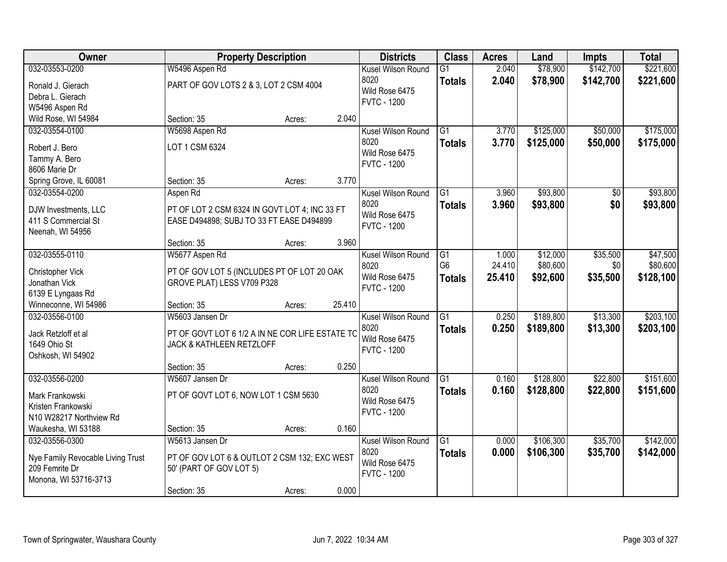| Owner                                                                                          |                                                                                                           | <b>Property Description</b> |        | <b>Districts</b>                                                   | <b>Class</b>                     | <b>Acres</b>     | Land                   | <b>Impts</b>         | <b>Total</b>           |
|------------------------------------------------------------------------------------------------|-----------------------------------------------------------------------------------------------------------|-----------------------------|--------|--------------------------------------------------------------------|----------------------------------|------------------|------------------------|----------------------|------------------------|
| 032-03553-0200                                                                                 | W5496 Aspen Rd                                                                                            |                             |        | Kusel Wilson Round                                                 | $\overline{G1}$                  | 2.040            | \$78,900               | \$142,700            | \$221,600              |
| Ronald J. Gierach<br>Debra L. Gierach<br>W5496 Aspen Rd                                        | PART OF GOV LOTS 2 & 3, LOT 2 CSM 4004                                                                    |                             |        | 8020<br>Wild Rose 6475<br><b>FVTC - 1200</b>                       | <b>Totals</b>                    | 2.040            | \$78,900               | \$142,700            | \$221,600              |
| Wild Rose, WI 54984                                                                            | Section: 35                                                                                               | Acres:                      | 2.040  |                                                                    |                                  |                  |                        |                      |                        |
| 032-03554-0100                                                                                 | W5698 Aspen Rd                                                                                            |                             |        | Kusel Wilson Round                                                 | $\overline{G1}$                  | 3.770            | \$125,000              | \$50,000             | \$175,000              |
| Robert J. Bero<br>Tammy A. Bero<br>8606 Marie Dr                                               | LOT 1 CSM 6324                                                                                            |                             |        | 8020<br>Wild Rose 6475<br><b>FVTC - 1200</b>                       | <b>Totals</b>                    | 3.770            | \$125,000              | \$50,000             | \$175,000              |
| Spring Grove, IL 60081                                                                         | Section: 35                                                                                               | Acres:                      | 3.770  |                                                                    |                                  |                  |                        |                      |                        |
| 032-03554-0200                                                                                 | Aspen Rd                                                                                                  |                             |        | Kusel Wilson Round                                                 | $\overline{G1}$                  | 3.960            | \$93,800               | \$0                  | \$93,800               |
| DJW Investments, LLC<br>411 S Commercial St<br>Neenah, WI 54956                                | PT OF LOT 2 CSM 6324 IN GOVT LOT 4; INC 33 FT<br>EASE D494898; SUBJ TO 33 FT EASE D494899                 |                             |        | 8020<br>Wild Rose 6475<br><b>FVTC - 1200</b>                       | <b>Totals</b>                    | 3.960            | \$93,800               | \$0                  | \$93,800               |
|                                                                                                | Section: 35                                                                                               | Acres:                      | 3.960  |                                                                    |                                  |                  |                        |                      |                        |
| 032-03555-0110                                                                                 | W5677 Aspen Rd                                                                                            |                             |        | Kusel Wilson Round                                                 | G1                               | 1.000            | \$12,000               | \$35,500             | \$47,500               |
| Christopher Vick<br>Jonathan Vick<br>6139 E Lyngaas Rd                                         | PT OF GOV LOT 5 (INCLUDES PT OF LOT 20 OAK<br>GROVE PLAT) LESS V709 P328                                  |                             |        | 8020<br>Wild Rose 6475<br><b>FVTC - 1200</b>                       | G <sub>6</sub><br><b>Totals</b>  | 24.410<br>25.410 | \$80,600<br>\$92,600   | \$0<br>\$35,500      | \$80,600<br>\$128,100  |
| Winneconne, WI 54986                                                                           | Section: 35                                                                                               | Acres:                      | 25.410 |                                                                    |                                  |                  |                        |                      |                        |
| 032-03556-0100<br>Jack Retzloff et al<br>1649 Ohio St<br>Oshkosh, WI 54902                     | W5603 Jansen Dr<br>PT OF GOVT LOT 6 1/2 A IN NE COR LIFE ESTATE TO<br>JACK & KATHLEEN RETZLOFF            |                             |        | Kusel Wilson Round<br>8020<br>Wild Rose 6475<br><b>FVTC - 1200</b> | $\overline{G1}$<br><b>Totals</b> | 0.250<br>0.250   | \$189,800<br>\$189,800 | \$13,300<br>\$13,300 | \$203,100<br>\$203,100 |
|                                                                                                | Section: 35                                                                                               | Acres:                      | 0.250  |                                                                    |                                  |                  |                        |                      |                        |
| 032-03556-0200                                                                                 | W5607 Jansen Dr                                                                                           |                             |        | Kusel Wilson Round                                                 | $\overline{G1}$                  | 0.160            | \$128,800              | \$22,800             | \$151,600              |
| Mark Frankowski<br>Kristen Frankowski<br>N10 W28217 Northview Rd                               | PT OF GOVT LOT 6, NOW LOT 1 CSM 5630                                                                      |                             |        | 8020<br>Wild Rose 6475<br><b>FVTC - 1200</b>                       | <b>Totals</b>                    | 0.160            | \$128,800              | \$22,800             | \$151,600              |
| Waukesha, WI 53188                                                                             | Section: 35                                                                                               | Acres:                      | 0.160  |                                                                    |                                  |                  |                        |                      |                        |
| 032-03556-0300<br>Nye Family Revocable Living Trust<br>209 Femrite Dr<br>Monona, WI 53716-3713 | W5613 Jansen Dr<br>PT OF GOV LOT 6 & OUTLOT 2 CSM 132; EXC WEST<br>50' (PART OF GOV LOT 5)<br>Section: 35 | Acres:                      | 0.000  | Kusel Wilson Round<br>8020<br>Wild Rose 6475<br><b>FVTC - 1200</b> | $\overline{G1}$<br><b>Totals</b> | 0.000<br>0.000   | \$106,300<br>\$106,300 | \$35,700<br>\$35,700 | \$142,000<br>\$142,000 |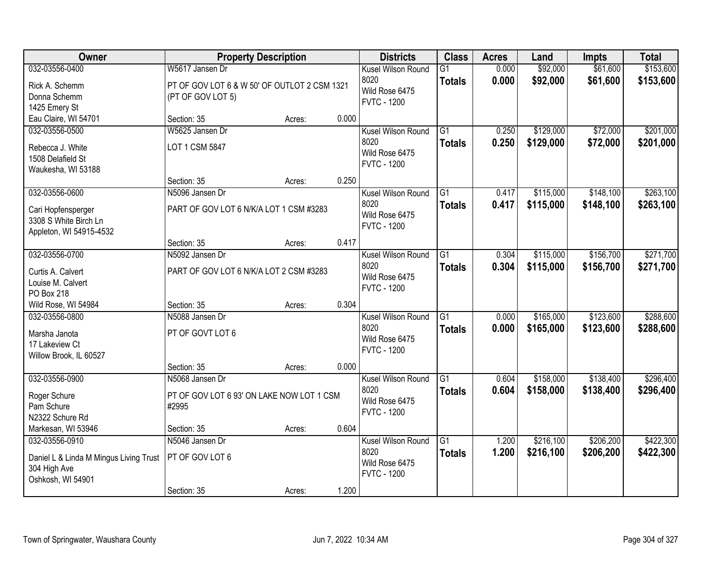| Owner                                   | <b>Property Description</b>                  |        |       | <b>Districts</b>           | <b>Class</b>                     | <b>Acres</b>   | Land                 | <b>Impts</b>         | <b>Total</b>           |
|-----------------------------------------|----------------------------------------------|--------|-------|----------------------------|----------------------------------|----------------|----------------------|----------------------|------------------------|
| 032-03556-0400                          | W5617 Jansen Dr                              |        |       | Kusel Wilson Round<br>8020 | $\overline{G1}$<br><b>Totals</b> | 0.000<br>0.000 | \$92,000<br>\$92,000 | \$61,600<br>\$61,600 | \$153,600<br>\$153,600 |
| Rick A. Schemm                          | PT OF GOV LOT 6 & W 50' OF OUTLOT 2 CSM 1321 |        |       | Wild Rose 6475             |                                  |                |                      |                      |                        |
| Donna Schemm                            | (PT OF GOV LOT 5)                            |        |       | <b>FVTC - 1200</b>         |                                  |                |                      |                      |                        |
| 1425 Emery St<br>Eau Claire, WI 54701   | Section: 35                                  | Acres: | 0.000 |                            |                                  |                |                      |                      |                        |
| 032-03556-0500                          | W5625 Jansen Dr                              |        |       | Kusel Wilson Round         | $\overline{G1}$                  | 0.250          | \$129,000            | \$72,000             | \$201,000              |
|                                         |                                              |        |       | 8020                       | <b>Totals</b>                    | 0.250          | \$129,000            | \$72,000             | \$201,000              |
| Rebecca J. White                        | LOT 1 CSM 5847                               |        |       | Wild Rose 6475             |                                  |                |                      |                      |                        |
| 1508 Delafield St<br>Waukesha, WI 53188 |                                              |        |       | <b>FVTC - 1200</b>         |                                  |                |                      |                      |                        |
|                                         | Section: 35                                  | Acres: | 0.250 |                            |                                  |                |                      |                      |                        |
| 032-03556-0600                          | N5096 Jansen Dr                              |        |       | Kusel Wilson Round         | G1                               | 0.417          | \$115,000            | \$148,100            | \$263,100              |
| Cari Hopfensperger                      | PART OF GOV LOT 6 N/K/A LOT 1 CSM #3283      |        |       | 8020                       | <b>Totals</b>                    | 0.417          | \$115,000            | \$148,100            | \$263,100              |
| 3308 S White Birch Ln                   |                                              |        |       | Wild Rose 6475             |                                  |                |                      |                      |                        |
| Appleton, WI 54915-4532                 |                                              |        |       | <b>FVTC - 1200</b>         |                                  |                |                      |                      |                        |
|                                         | Section: 35                                  | Acres: | 0.417 |                            |                                  |                |                      |                      |                        |
| 032-03556-0700                          | N5092 Jansen Dr                              |        |       | Kusel Wilson Round         | G1                               | 0.304          | \$115,000            | \$156,700            | \$271,700              |
| Curtis A. Calvert                       | PART OF GOV LOT 6 N/K/A LOT 2 CSM #3283      |        |       | 8020                       | <b>Totals</b>                    | 0.304          | \$115,000            | \$156,700            | \$271,700              |
| Louise M. Calvert                       |                                              |        |       | Wild Rose 6475             |                                  |                |                      |                      |                        |
| PO Box 218                              |                                              |        |       | <b>FVTC - 1200</b>         |                                  |                |                      |                      |                        |
| Wild Rose, WI 54984                     | Section: 35                                  | Acres: | 0.304 |                            |                                  |                |                      |                      |                        |
| 032-03556-0800                          | N5088 Jansen Dr                              |        |       | Kusel Wilson Round         | $\overline{G1}$                  | 0.000          | \$165,000            | \$123,600            | \$288,600              |
| Marsha Janota                           | PT OF GOVT LOT 6                             |        |       | 8020                       | <b>Totals</b>                    | 0.000          | \$165,000            | \$123,600            | \$288,600              |
| 17 Lakeview Ct                          |                                              |        |       | Wild Rose 6475             |                                  |                |                      |                      |                        |
| Willow Brook, IL 60527                  |                                              |        |       | <b>FVTC - 1200</b>         |                                  |                |                      |                      |                        |
|                                         | Section: 35                                  | Acres: | 0.000 |                            |                                  |                |                      |                      |                        |
| 032-03556-0900                          | N5068 Jansen Dr                              |        |       | Kusel Wilson Round         | $\overline{G1}$                  | 0.604          | \$158,000            | \$138,400            | \$296,400              |
| Roger Schure                            | PT OF GOV LOT 6 93' ON LAKE NOW LOT 1 CSM    |        |       | 8020                       | <b>Totals</b>                    | 0.604          | \$158,000            | \$138,400            | \$296,400              |
| Pam Schure                              | #2995                                        |        |       | Wild Rose 6475             |                                  |                |                      |                      |                        |
| N2322 Schure Rd                         |                                              |        |       | <b>FVTC - 1200</b>         |                                  |                |                      |                      |                        |
| Markesan, WI 53946                      | Section: 35                                  | Acres: | 0.604 |                            |                                  |                |                      |                      |                        |
| 032-03556-0910                          | N5046 Jansen Dr                              |        |       | Kusel Wilson Round         | $\overline{G1}$                  | 1.200          | \$216,100            | \$206,200            | \$422,300              |
| Daniel L & Linda M Mingus Living Trust  | PT OF GOV LOT 6                              |        |       | 8020                       | <b>Totals</b>                    | 1.200          | \$216,100            | \$206,200            | \$422,300              |
| 304 High Ave                            |                                              |        |       | Wild Rose 6475             |                                  |                |                      |                      |                        |
| Oshkosh, WI 54901                       |                                              |        |       | <b>FVTC - 1200</b>         |                                  |                |                      |                      |                        |
|                                         | Section: 35                                  | Acres: | 1.200 |                            |                                  |                |                      |                      |                        |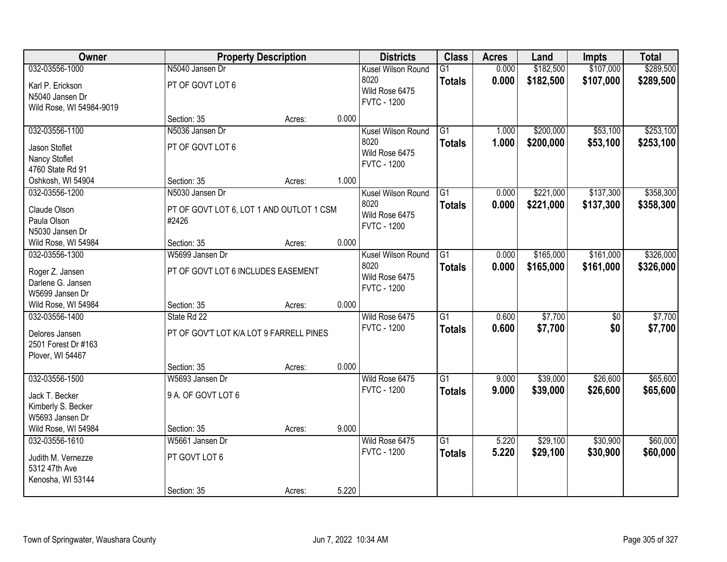| Owner                                   |                                          | <b>Property Description</b> |       | <b>Districts</b>   | <b>Class</b>    | <b>Acres</b> | Land      | <b>Impts</b> | <b>Total</b> |
|-----------------------------------------|------------------------------------------|-----------------------------|-------|--------------------|-----------------|--------------|-----------|--------------|--------------|
| 032-03556-1000                          | N5040 Jansen Dr                          |                             |       | Kusel Wilson Round | $\overline{G1}$ | 0.000        | \$182,500 | \$107,000    | \$289,500    |
| Karl P. Erickson                        | PT OF GOVT LOT 6                         |                             |       | 8020               | <b>Totals</b>   | 0.000        | \$182,500 | \$107,000    | \$289,500    |
| N5040 Jansen Dr                         |                                          |                             |       | Wild Rose 6475     |                 |              |           |              |              |
| Wild Rose, WI 54984-9019                |                                          |                             |       | <b>FVTC - 1200</b> |                 |              |           |              |              |
|                                         | Section: 35                              | Acres:                      | 0.000 |                    |                 |              |           |              |              |
| 032-03556-1100                          | N5036 Jansen Dr                          |                             |       | Kusel Wilson Round | $\overline{G1}$ | 1.000        | \$200,000 | \$53,100     | \$253,100    |
| Jason Stoflet                           | PT OF GOVT LOT 6                         |                             |       | 8020               | <b>Totals</b>   | 1.000        | \$200,000 | \$53,100     | \$253,100    |
| Nancy Stoflet                           |                                          |                             |       | Wild Rose 6475     |                 |              |           |              |              |
| 4760 State Rd 91                        |                                          |                             |       | <b>FVTC - 1200</b> |                 |              |           |              |              |
| Oshkosh, WI 54904                       | Section: 35                              | Acres:                      | 1.000 |                    |                 |              |           |              |              |
| 032-03556-1200                          | N5030 Jansen Dr                          |                             |       | Kusel Wilson Round | G1              | 0.000        | \$221,000 | \$137,300    | \$358,300    |
| Claude Olson                            | PT OF GOVT LOT 6, LOT 1 AND OUTLOT 1 CSM |                             |       | 8020               | <b>Totals</b>   | 0.000        | \$221,000 | \$137,300    | \$358,300    |
| Paula Olson                             | #2426                                    |                             |       | Wild Rose 6475     |                 |              |           |              |              |
| N5030 Jansen Dr                         |                                          |                             |       | <b>FVTC - 1200</b> |                 |              |           |              |              |
| Wild Rose, WI 54984                     | Section: 35                              | Acres:                      | 0.000 |                    |                 |              |           |              |              |
| 032-03556-1300                          | W5699 Jansen Dr                          |                             |       | Kusel Wilson Round | G1              | 0.000        | \$165,000 | \$161,000    | \$326,000    |
| Roger Z. Jansen                         | PT OF GOVT LOT 6 INCLUDES EASEMENT       |                             |       | 8020               | <b>Totals</b>   | 0.000        | \$165,000 | \$161,000    | \$326,000    |
| Darlene G. Jansen                       |                                          |                             |       | Wild Rose 6475     |                 |              |           |              |              |
| W5699 Jansen Dr                         |                                          |                             |       | <b>FVTC - 1200</b> |                 |              |           |              |              |
| Wild Rose, WI 54984                     | Section: 35                              | Acres:                      | 0.000 |                    |                 |              |           |              |              |
| 032-03556-1400                          | State Rd 22                              |                             |       | Wild Rose 6475     | $\overline{G1}$ | 0.600        | \$7,700   | \$0          | \$7,700      |
|                                         |                                          |                             |       | <b>FVTC - 1200</b> | <b>Totals</b>   | 0.600        | \$7,700   | \$0          | \$7,700      |
| Delores Jansen                          | PT OF GOV'T LOT K/A LOT 9 FARRELL PINES  |                             |       |                    |                 |              |           |              |              |
| 2501 Forest Dr #163<br>Plover, WI 54467 |                                          |                             |       |                    |                 |              |           |              |              |
|                                         | Section: 35                              | Acres:                      | 0.000 |                    |                 |              |           |              |              |
| 032-03556-1500                          | W5693 Jansen Dr                          |                             |       | Wild Rose 6475     | $\overline{G1}$ | 9.000        | \$39,000  | \$26,600     | \$65,600     |
|                                         |                                          |                             |       | <b>FVTC - 1200</b> | <b>Totals</b>   | 9.000        | \$39,000  | \$26,600     | \$65,600     |
| Jack T. Becker                          | 9 A. OF GOVT LOT 6                       |                             |       |                    |                 |              |           |              |              |
| Kimberly S. Becker                      |                                          |                             |       |                    |                 |              |           |              |              |
| W5693 Jansen Dr<br>Wild Rose, WI 54984  | Section: 35                              | Acres:                      | 9.000 |                    |                 |              |           |              |              |
| 032-03556-1610                          | W5661 Jansen Dr                          |                             |       | Wild Rose 6475     | $\overline{G1}$ | 5.220        | \$29,100  | \$30,900     | \$60,000     |
|                                         |                                          |                             |       | <b>FVTC - 1200</b> | <b>Totals</b>   | 5.220        | \$29,100  | \$30,900     | \$60,000     |
| Judith M. Vernezze                      | PT GOVT LOT 6                            |                             |       |                    |                 |              |           |              |              |
| 5312 47th Ave                           |                                          |                             |       |                    |                 |              |           |              |              |
| Kenosha, WI 53144                       |                                          |                             |       |                    |                 |              |           |              |              |
|                                         | Section: 35                              | Acres:                      | 5.220 |                    |                 |              |           |              |              |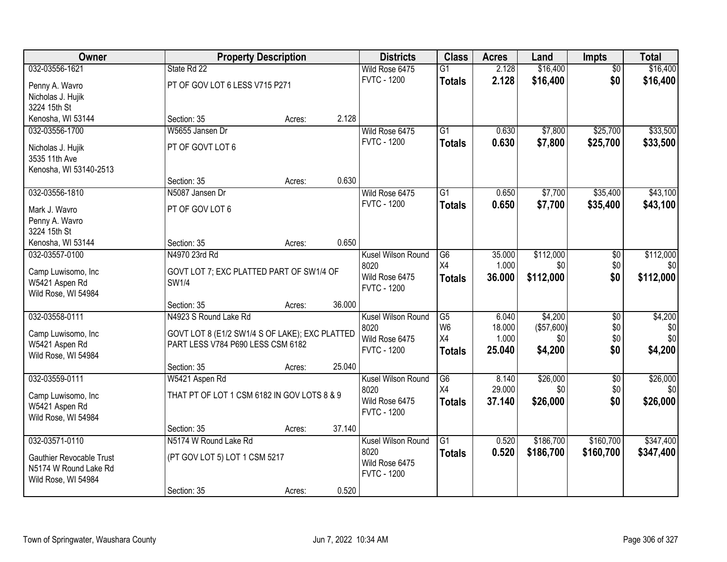| Owner                           |                                                | <b>Property Description</b> |        | <b>Districts</b>       | <b>Class</b>           | <b>Acres</b>    | Land            | <b>Impts</b>           | <b>Total</b>    |
|---------------------------------|------------------------------------------------|-----------------------------|--------|------------------------|------------------------|-----------------|-----------------|------------------------|-----------------|
| 032-03556-1621                  | State Rd 22                                    |                             |        | Wild Rose 6475         | $\overline{G1}$        | 2.128           | \$16,400        | $\overline{50}$        | \$16,400        |
| Penny A. Wavro                  | PT OF GOV LOT 6 LESS V715 P271                 |                             |        | <b>FVTC - 1200</b>     | <b>Totals</b>          | 2.128           | \$16,400        | \$0                    | \$16,400        |
| Nicholas J. Hujik               |                                                |                             |        |                        |                        |                 |                 |                        |                 |
| 3224 15th St                    |                                                |                             |        |                        |                        |                 |                 |                        |                 |
| Kenosha, WI 53144               | Section: 35                                    | Acres:                      | 2.128  |                        |                        |                 |                 |                        |                 |
| 032-03556-1700                  | W5655 Jansen Dr                                |                             |        | Wild Rose 6475         | $\overline{G1}$        | 0.630           | \$7,800         | \$25,700               | \$33,500        |
| Nicholas J. Hujik               | PT OF GOVT LOT 6                               |                             |        | <b>FVTC - 1200</b>     | <b>Totals</b>          | 0.630           | \$7,800         | \$25,700               | \$33,500        |
| 3535 11th Ave                   |                                                |                             |        |                        |                        |                 |                 |                        |                 |
| Kenosha, WI 53140-2513          |                                                |                             |        |                        |                        |                 |                 |                        |                 |
|                                 | Section: 35                                    | Acres:                      | 0.630  |                        |                        |                 |                 |                        |                 |
| 032-03556-1810                  | N5087 Jansen Dr                                |                             |        | Wild Rose 6475         | $\overline{G1}$        | 0.650           | \$7,700         | \$35,400               | \$43,100        |
|                                 |                                                |                             |        | <b>FVTC - 1200</b>     | <b>Totals</b>          | 0.650           | \$7,700         | \$35,400               | \$43,100        |
| Mark J. Wavro<br>Penny A. Wavro | PT OF GOV LOT 6                                |                             |        |                        |                        |                 |                 |                        |                 |
| 3224 15th St                    |                                                |                             |        |                        |                        |                 |                 |                        |                 |
| Kenosha, WI 53144               | Section: 35                                    | Acres:                      | 0.650  |                        |                        |                 |                 |                        |                 |
| 032-03557-0100                  | N4970 23rd Rd                                  |                             |        | Kusel Wilson Round     | G6                     | 35.000          | \$112,000       | \$0                    | \$112,000       |
|                                 |                                                |                             |        | 8020                   | X4                     | 1.000           | \$0             | \$0                    | \$0             |
| Camp Luwisomo, Inc              | GOVT LOT 7; EXC PLATTED PART OF SW1/4 OF       |                             |        | Wild Rose 6475         | <b>Totals</b>          | 36.000          | \$112,000       | \$0                    | \$112,000       |
| W5421 Aspen Rd                  | SW1/4                                          |                             |        | <b>FVTC - 1200</b>     |                        |                 |                 |                        |                 |
| Wild Rose, WI 54984             | Section: 35                                    |                             | 36.000 |                        |                        |                 |                 |                        |                 |
| 032-03558-0111                  | N4923 S Round Lake Rd                          | Acres:                      |        | Kusel Wilson Round     | $\overline{\text{G5}}$ | 6.040           | \$4,200         | $\overline{50}$        | \$4,200         |
|                                 |                                                |                             |        | 8020                   | W <sub>6</sub>         | 18.000          | (\$57,600)      | \$0                    | \$0             |
| Camp Luwisomo, Inc              | GOVT LOT 8 (E1/2 SW1/4 S OF LAKE); EXC PLATTED |                             |        | Wild Rose 6475         | X4                     | 1.000           | \$0             | \$0                    | \$0             |
| W5421 Aspen Rd                  | PART LESS V784 P690 LESS CSM 6182              |                             |        | <b>FVTC - 1200</b>     | <b>Totals</b>          | 25.040          | \$4,200         | \$0                    | \$4,200         |
| Wild Rose, WI 54984             |                                                |                             |        |                        |                        |                 |                 |                        |                 |
|                                 | Section: 35                                    | Acres:                      | 25.040 |                        |                        |                 |                 |                        |                 |
| 032-03559-0111                  | W5421 Aspen Rd                                 |                             |        | Kusel Wilson Round     | G6<br>X4               | 8.140<br>29.000 | \$26,000<br>\$0 | $\overline{50}$<br>\$0 | \$26,000<br>\$0 |
| Camp Luwisomo, Inc              | THAT PT OF LOT 1 CSM 6182 IN GOV LOTS 8 & 9    |                             |        | 8020<br>Wild Rose 6475 |                        | 37.140          |                 | \$0                    |                 |
| W5421 Aspen Rd                  |                                                |                             |        | <b>FVTC - 1200</b>     | <b>Totals</b>          |                 | \$26,000        |                        | \$26,000        |
| Wild Rose, WI 54984             |                                                |                             |        |                        |                        |                 |                 |                        |                 |
|                                 | Section: 35                                    | Acres:                      | 37.140 |                        |                        |                 |                 |                        |                 |
| 032-03571-0110                  | N5174 W Round Lake Rd                          |                             |        | Kusel Wilson Round     | $\overline{G1}$        | 0.520           | \$186,700       | \$160,700              | \$347,400       |
| <b>Gauthier Revocable Trust</b> | (PT GOV LOT 5) LOT 1 CSM 5217                  |                             |        | 8020                   | <b>Totals</b>          | 0.520           | \$186,700       | \$160,700              | \$347,400       |
| N5174 W Round Lake Rd           |                                                |                             |        | Wild Rose 6475         |                        |                 |                 |                        |                 |
| Wild Rose, WI 54984             |                                                |                             |        | <b>FVTC - 1200</b>     |                        |                 |                 |                        |                 |
|                                 | Section: 35                                    | Acres:                      | 0.520  |                        |                        |                 |                 |                        |                 |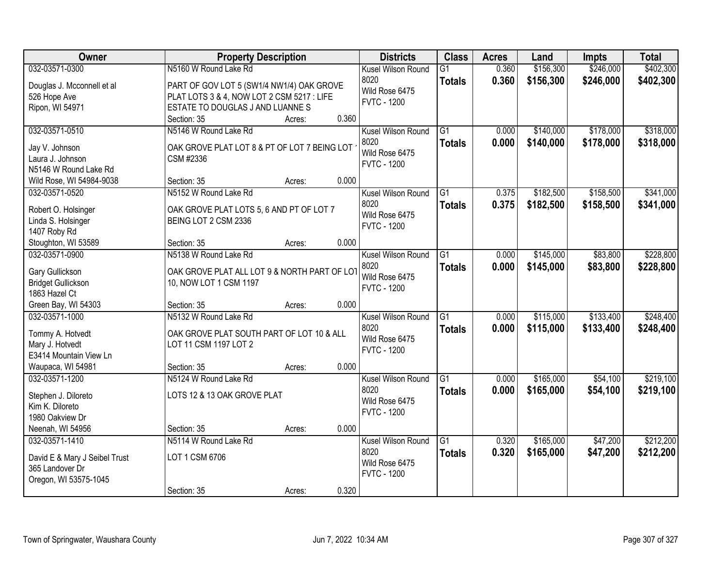| Owner                                        | <b>Property Description</b>                                            |        |       | <b>Districts</b>           | <b>Class</b>    | <b>Acres</b> | Land      | <b>Impts</b> | <b>Total</b> |
|----------------------------------------------|------------------------------------------------------------------------|--------|-------|----------------------------|-----------------|--------------|-----------|--------------|--------------|
| 032-03571-0300                               | N5160 W Round Lake Rd                                                  |        |       | Kusel Wilson Round         | $\overline{G1}$ | 0.360        | \$156,300 | \$246,000    | \$402,300    |
| Douglas J. Mcconnell et al                   | PART OF GOV LOT 5 (SW1/4 NW1/4) OAK GROVE                              |        |       | 8020                       | <b>Totals</b>   | 0.360        | \$156,300 | \$246,000    | \$402,300    |
| 526 Hope Ave                                 | PLAT LOTS 3 & 4, NOW LOT 2 CSM 5217 : LIFE                             |        |       | Wild Rose 6475             |                 |              |           |              |              |
| Ripon, WI 54971                              | ESTATE TO DOUGLAS J AND LUANNES                                        |        |       | <b>FVTC - 1200</b>         |                 |              |           |              |              |
|                                              | Section: 35                                                            | Acres: | 0.360 |                            |                 |              |           |              |              |
| 032-03571-0510                               | N5146 W Round Lake Rd                                                  |        |       | Kusel Wilson Round         | $\overline{G1}$ | 0.000        | \$140,000 | \$178,000    | \$318,000    |
| Jay V. Johnson                               | OAK GROVE PLAT LOT 8 & PT OF LOT 7 BEING LOT                           |        |       | 8020                       | <b>Totals</b>   | 0.000        | \$140,000 | \$178,000    | \$318,000    |
| Laura J. Johnson                             | CSM #2336                                                              |        |       | Wild Rose 6475             |                 |              |           |              |              |
| N5146 W Round Lake Rd                        |                                                                        |        |       | <b>FVTC - 1200</b>         |                 |              |           |              |              |
| Wild Rose, WI 54984-9038                     | Section: 35                                                            | Acres: | 0.000 |                            |                 |              |           |              |              |
| 032-03571-0520                               | N5152 W Round Lake Rd                                                  |        |       | Kusel Wilson Round         | G1              | 0.375        | \$182,500 | \$158,500    | \$341,000    |
| Robert O. Holsinger                          | OAK GROVE PLAT LOTS 5, 6 AND PT OF LOT 7                               |        |       | 8020                       | <b>Totals</b>   | 0.375        | \$182,500 | \$158,500    | \$341,000    |
| Linda S. Holsinger                           | BEING LOT 2 CSM 2336                                                   |        |       | Wild Rose 6475             |                 |              |           |              |              |
| 1407 Roby Rd                                 |                                                                        |        |       | <b>FVTC - 1200</b>         |                 |              |           |              |              |
| Stoughton, WI 53589                          | Section: 35                                                            | Acres: | 0.000 |                            |                 |              |           |              |              |
| 032-03571-0900                               | N5138 W Round Lake Rd                                                  |        |       | Kusel Wilson Round         | G1              | 0.000        | \$145,000 | \$83,800     | \$228,800    |
|                                              |                                                                        |        |       | 8020                       | <b>Totals</b>   | 0.000        | \$145,000 | \$83,800     | \$228,800    |
| Gary Gullickson<br><b>Bridget Gullickson</b> | OAK GROVE PLAT ALL LOT 9 & NORTH PART OF LOT<br>10, NOW LOT 1 CSM 1197 |        |       | Wild Rose 6475             |                 |              |           |              |              |
| 1863 Hazel Ct                                |                                                                        |        |       | <b>FVTC - 1200</b>         |                 |              |           |              |              |
| Green Bay, WI 54303                          | Section: 35                                                            | Acres: | 0.000 |                            |                 |              |           |              |              |
| 032-03571-1000                               | N5132 W Round Lake Rd                                                  |        |       | Kusel Wilson Round         | $\overline{G1}$ | 0.000        | \$115,000 | \$133,400    | \$248,400    |
|                                              |                                                                        |        |       | 8020                       | <b>Totals</b>   | 0.000        | \$115,000 | \$133,400    | \$248,400    |
| Tommy A. Hotvedt                             | OAK GROVE PLAT SOUTH PART OF LOT 10 & ALL                              |        |       | Wild Rose 6475             |                 |              |           |              |              |
| Mary J. Hotvedt                              | LOT 11 CSM 1197 LOT 2                                                  |        |       | <b>FVTC - 1200</b>         |                 |              |           |              |              |
| E3414 Mountain View Ln                       |                                                                        |        |       |                            |                 |              |           |              |              |
| Waupaca, WI 54981<br>032-03571-1200          | Section: 35<br>N5124 W Round Lake Rd                                   | Acres: | 0.000 |                            | $\overline{G1}$ | 0.000        | \$165,000 | \$54,100     | \$219,100    |
|                                              |                                                                        |        |       | Kusel Wilson Round<br>8020 |                 |              |           |              |              |
| Stephen J. Diloreto                          | LOTS 12 & 13 OAK GROVE PLAT                                            |        |       | Wild Rose 6475             | <b>Totals</b>   | 0.000        | \$165,000 | \$54,100     | \$219,100    |
| Kim K. Diloreto                              |                                                                        |        |       | <b>FVTC - 1200</b>         |                 |              |           |              |              |
| 1980 Oakview Dr                              |                                                                        |        |       |                            |                 |              |           |              |              |
| Neenah, WI 54956                             | Section: 35                                                            | Acres: | 0.000 |                            |                 |              |           |              |              |
| 032-03571-1410                               | N5114 W Round Lake Rd                                                  |        |       | Kusel Wilson Round         | G1              | 0.320        | \$165,000 | \$47,200     | \$212,200    |
| David E & Mary J Seibel Trust                | LOT 1 CSM 6706                                                         |        |       | 8020                       | <b>Totals</b>   | 0.320        | \$165,000 | \$47,200     | \$212,200    |
| 365 Landover Dr                              |                                                                        |        |       | Wild Rose 6475             |                 |              |           |              |              |
| Oregon, WI 53575-1045                        |                                                                        |        |       | <b>FVTC - 1200</b>         |                 |              |           |              |              |
|                                              | Section: 35                                                            | Acres: | 0.320 |                            |                 |              |           |              |              |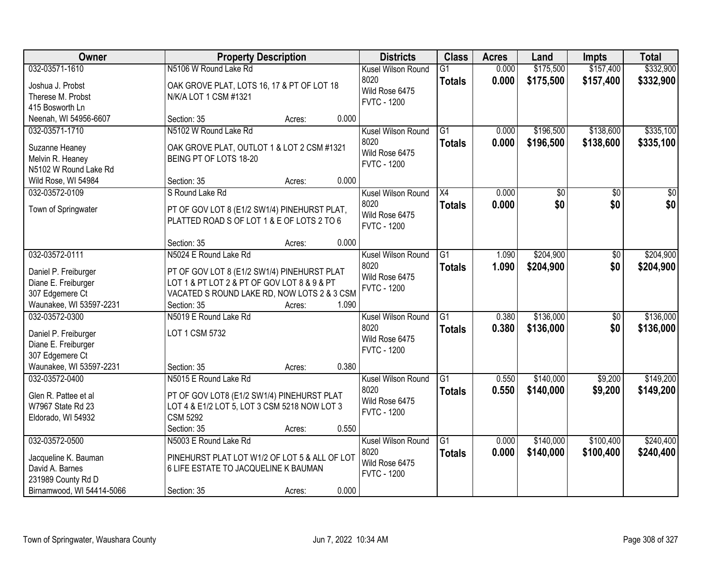| Owner                                   | <b>Property Description</b>                                                                | <b>Districts</b>   | <b>Class</b>    | <b>Acres</b> | Land            | <b>Impts</b> | <b>Total</b> |
|-----------------------------------------|--------------------------------------------------------------------------------------------|--------------------|-----------------|--------------|-----------------|--------------|--------------|
| 032-03571-1610                          | N5106 W Round Lake Rd                                                                      | Kusel Wilson Round | G1              | 0.000        | \$175,500       | \$157,400    | \$332,900    |
| Joshua J. Probst                        | OAK GROVE PLAT, LOTS 16, 17 & PT OF LOT 18                                                 | 8020               | <b>Totals</b>   | 0.000        | \$175,500       | \$157,400    | \$332,900    |
| Therese M. Probst                       | N/K/A LOT 1 CSM #1321                                                                      | Wild Rose 6475     |                 |              |                 |              |              |
| 415 Bosworth Ln                         |                                                                                            | <b>FVTC - 1200</b> |                 |              |                 |              |              |
| Neenah, WI 54956-6607                   | 0.000<br>Section: 35<br>Acres:                                                             |                    |                 |              |                 |              |              |
| 032-03571-1710                          | N5102 W Round Lake Rd                                                                      | Kusel Wilson Round | $\overline{G1}$ | 0.000        | \$196,500       | \$138,600    | \$335,100    |
| Suzanne Heaney                          | OAK GROVE PLAT, OUTLOT 1 & LOT 2 CSM #1321                                                 | 8020               | <b>Totals</b>   | 0.000        | \$196,500       | \$138,600    | \$335,100    |
| Melvin R. Heaney                        | BEING PT OF LOTS 18-20                                                                     | Wild Rose 6475     |                 |              |                 |              |              |
| N5102 W Round Lake Rd                   |                                                                                            | <b>FVTC - 1200</b> |                 |              |                 |              |              |
| Wild Rose, WI 54984                     | 0.000<br>Section: 35<br>Acres:                                                             |                    |                 |              |                 |              |              |
| 032-03572-0109                          | S Round Lake Rd                                                                            | Kusel Wilson Round | X4              | 0.000        | $\overline{50}$ | \$0          | $\sqrt{50}$  |
|                                         |                                                                                            | 8020               | <b>Totals</b>   | 0.000        | \$0             | \$0          | \$0          |
| Town of Springwater                     | PT OF GOV LOT 8 (E1/2 SW1/4) PINEHURST PLAT,                                               | Wild Rose 6475     |                 |              |                 |              |              |
|                                         | PLATTED ROAD S OF LOT 1 & E OF LOTS 2 TO 6                                                 | <b>FVTC - 1200</b> |                 |              |                 |              |              |
|                                         | 0.000                                                                                      |                    |                 |              |                 |              |              |
| 032-03572-0111                          | Section: 35<br>Acres:<br>N5024 E Round Lake Rd                                             | Kusel Wilson Round | $\overline{G1}$ | 1.090        | \$204,900       |              | \$204,900    |
|                                         |                                                                                            | 8020               |                 |              |                 | \$0          |              |
| Daniel P. Freiburger                    | PT OF GOV LOT 8 (E1/2 SW1/4) PINEHURST PLAT                                                | Wild Rose 6475     | <b>Totals</b>   | 1.090        | \$204,900       | \$0          | \$204,900    |
| Diane E. Freiburger                     | LOT 1 & PT LOT 2 & PT OF GOV LOT 8 & 9 & PT                                                | <b>FVTC - 1200</b> |                 |              |                 |              |              |
| 307 Edgemere Ct                         | VACATED S ROUND LAKE RD, NOW LOTS 2 & 3 CSM                                                |                    |                 |              |                 |              |              |
| Waunakee, WI 53597-2231                 | 1.090<br>Section: 35<br>Acres:                                                             |                    |                 |              |                 |              |              |
| 032-03572-0300                          | N5019 E Round Lake Rd                                                                      | Kusel Wilson Round | $\overline{G1}$ | 0.380        | \$136,000       | \$0          | \$136,000    |
| Daniel P. Freiburger                    | LOT 1 CSM 5732                                                                             | 8020               | <b>Totals</b>   | 0.380        | \$136,000       | \$0          | \$136,000    |
| Diane E. Freiburger                     |                                                                                            | Wild Rose 6475     |                 |              |                 |              |              |
| 307 Edgemere Ct                         |                                                                                            | <b>FVTC - 1200</b> |                 |              |                 |              |              |
| Waunakee, WI 53597-2231                 | 0.380<br>Section: 35<br>Acres:                                                             |                    |                 |              |                 |              |              |
| 032-03572-0400                          | N5015 E Round Lake Rd                                                                      | Kusel Wilson Round | $\overline{G1}$ | 0.550        | \$140,000       | \$9,200      | \$149,200    |
| Glen R. Pattee et al                    |                                                                                            | 8020               | <b>Totals</b>   | 0.550        | \$140,000       | \$9,200      | \$149,200    |
|                                         | PT OF GOV LOT8 (E1/2 SW1/4) PINEHURST PLAT<br>LOT 4 & E1/2 LOT 5, LOT 3 CSM 5218 NOW LOT 3 | Wild Rose 6475     |                 |              |                 |              |              |
| W7967 State Rd 23<br>Eldorado, WI 54932 | <b>CSM 5292</b>                                                                            | <b>FVTC - 1200</b> |                 |              |                 |              |              |
|                                         | 0.550<br>Section: 35<br>Acres:                                                             |                    |                 |              |                 |              |              |
| 032-03572-0500                          | N5003 E Round Lake Rd                                                                      | Kusel Wilson Round | $\overline{G1}$ | 0.000        | \$140,000       | \$100,400    | \$240,400    |
|                                         |                                                                                            | 8020               | <b>Totals</b>   | 0.000        | \$140,000       | \$100,400    | \$240,400    |
| Jacqueline K. Bauman                    | PINEHURST PLAT LOT W1/2 OF LOT 5 & ALL OF LOT                                              | Wild Rose 6475     |                 |              |                 |              |              |
| David A. Barnes                         | 6 LIFE ESTATE TO JACQUELINE K BAUMAN                                                       | <b>FVTC - 1200</b> |                 |              |                 |              |              |
| 231989 County Rd D                      |                                                                                            |                    |                 |              |                 |              |              |
| Birnamwood, WI 54414-5066               | 0.000<br>Section: 35<br>Acres:                                                             |                    |                 |              |                 |              |              |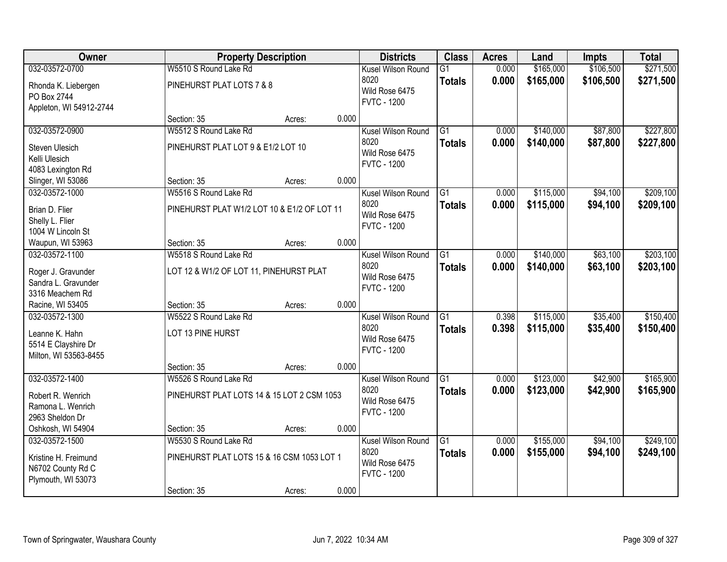| Owner                   |                                             | <b>Property Description</b> |       | <b>Districts</b>   | <b>Class</b>    | <b>Acres</b> | Land      | <b>Impts</b> | <b>Total</b> |
|-------------------------|---------------------------------------------|-----------------------------|-------|--------------------|-----------------|--------------|-----------|--------------|--------------|
| 032-03572-0700          | W5510 S Round Lake Rd                       |                             |       | Kusel Wilson Round | $\overline{G1}$ | 0.000        | \$165,000 | \$106,500    | \$271,500    |
| Rhonda K. Liebergen     | PINEHURST PLAT LOTS 7 & 8                   |                             |       | 8020               | <b>Totals</b>   | 0.000        | \$165,000 | \$106,500    | \$271,500    |
| PO Box 2744             |                                             |                             |       | Wild Rose 6475     |                 |              |           |              |              |
| Appleton, WI 54912-2744 |                                             |                             |       | <b>FVTC - 1200</b> |                 |              |           |              |              |
|                         | Section: 35                                 | Acres:                      | 0.000 |                    |                 |              |           |              |              |
| 032-03572-0900          | W5512 S Round Lake Rd                       |                             |       | Kusel Wilson Round | $\overline{G1}$ | 0.000        | \$140,000 | \$87,800     | \$227,800    |
| <b>Steven Ulesich</b>   | PINEHURST PLAT LOT 9 & E1/2 LOT 10          |                             |       | 8020               | <b>Totals</b>   | 0.000        | \$140,000 | \$87,800     | \$227,800    |
| Kelli Ulesich           |                                             |                             |       | Wild Rose 6475     |                 |              |           |              |              |
| 4083 Lexington Rd       |                                             |                             |       | <b>FVTC - 1200</b> |                 |              |           |              |              |
| Slinger, WI 53086       | Section: 35                                 | Acres:                      | 0.000 |                    |                 |              |           |              |              |
| 032-03572-1000          | W5516 S Round Lake Rd                       |                             |       | Kusel Wilson Round | G1              | 0.000        | \$115,000 | \$94,100     | \$209,100    |
| Brian D. Flier          | PINEHURST PLAT W1/2 LOT 10 & E1/2 OF LOT 11 |                             |       | 8020               | <b>Totals</b>   | 0.000        | \$115,000 | \$94,100     | \$209,100    |
| Shelly L. Flier         |                                             |                             |       | Wild Rose 6475     |                 |              |           |              |              |
| 1004 W Lincoln St       |                                             |                             |       | <b>FVTC - 1200</b> |                 |              |           |              |              |
| Waupun, WI 53963        | Section: 35                                 | Acres:                      | 0.000 |                    |                 |              |           |              |              |
| 032-03572-1100          | W5518 S Round Lake Rd                       |                             |       | Kusel Wilson Round | G1              | 0.000        | \$140,000 | \$63,100     | \$203,100    |
| Roger J. Gravunder      | LOT 12 & W1/2 OF LOT 11, PINEHURST PLAT     |                             |       | 8020               | <b>Totals</b>   | 0.000        | \$140,000 | \$63,100     | \$203,100    |
| Sandra L. Gravunder     |                                             |                             |       | Wild Rose 6475     |                 |              |           |              |              |
| 3316 Meachem Rd         |                                             |                             |       | <b>FVTC - 1200</b> |                 |              |           |              |              |
| Racine, WI 53405        | Section: 35                                 | Acres:                      | 0.000 |                    |                 |              |           |              |              |
| 032-03572-1300          | W5522 S Round Lake Rd                       |                             |       | Kusel Wilson Round | $\overline{G1}$ | 0.398        | \$115,000 | \$35,400     | \$150,400    |
| Leanne K. Hahn          | LOT 13 PINE HURST                           |                             |       | 8020               | <b>Totals</b>   | 0.398        | \$115,000 | \$35,400     | \$150,400    |
| 5514 E Clayshire Dr     |                                             |                             |       | Wild Rose 6475     |                 |              |           |              |              |
| Milton, WI 53563-8455   |                                             |                             |       | <b>FVTC - 1200</b> |                 |              |           |              |              |
|                         | Section: 35                                 | Acres:                      | 0.000 |                    |                 |              |           |              |              |
| 032-03572-1400          | W5526 S Round Lake Rd                       |                             |       | Kusel Wilson Round | $\overline{G1}$ | 0.000        | \$123,000 | \$42,900     | \$165,900    |
| Robert R. Wenrich       | PINEHURST PLAT LOTS 14 & 15 LOT 2 CSM 1053  |                             |       | 8020               | <b>Totals</b>   | 0.000        | \$123,000 | \$42,900     | \$165,900    |
| Ramona L. Wenrich       |                                             |                             |       | Wild Rose 6475     |                 |              |           |              |              |
| 2963 Sheldon Dr         |                                             |                             |       | <b>FVTC - 1200</b> |                 |              |           |              |              |
| Oshkosh, WI 54904       | Section: 35                                 | Acres:                      | 0.000 |                    |                 |              |           |              |              |
| 032-03572-1500          | W5530 S Round Lake Rd                       |                             |       | Kusel Wilson Round | G1              | 0.000        | \$155,000 | \$94,100     | \$249,100    |
| Kristine H. Freimund    | PINEHURST PLAT LOTS 15 & 16 CSM 1053 LOT 1  |                             |       | 8020               | <b>Totals</b>   | 0.000        | \$155,000 | \$94,100     | \$249,100    |
| N6702 County Rd C       |                                             |                             |       | Wild Rose 6475     |                 |              |           |              |              |
| Plymouth, WI 53073      |                                             |                             |       | <b>FVTC - 1200</b> |                 |              |           |              |              |
|                         | Section: 35                                 | Acres:                      | 0.000 |                    |                 |              |           |              |              |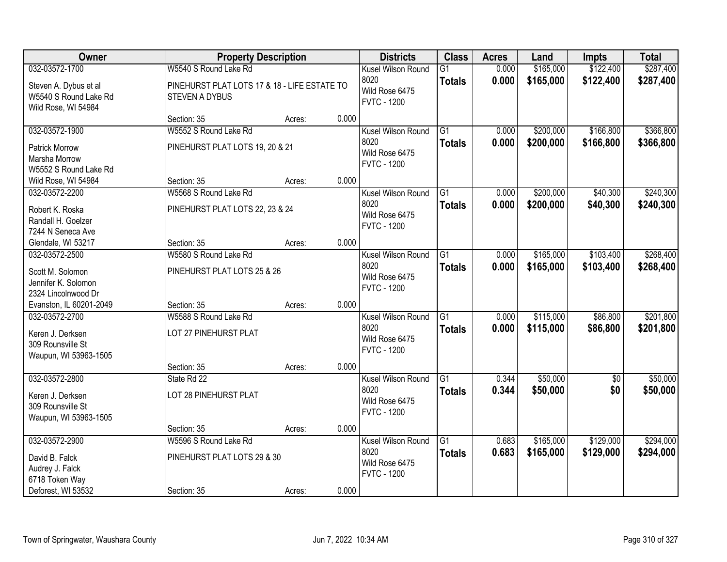| Owner                                                                                       |                                                                       | <b>Property Description</b> |       | <b>Districts</b>                                                   | <b>Class</b>                     | <b>Acres</b>   | Land                   | <b>Impts</b>           | <b>Total</b>           |
|---------------------------------------------------------------------------------------------|-----------------------------------------------------------------------|-----------------------------|-------|--------------------------------------------------------------------|----------------------------------|----------------|------------------------|------------------------|------------------------|
| 032-03572-1700                                                                              | W5540 S Round Lake Rd                                                 |                             |       | Kusel Wilson Round                                                 | $\overline{G1}$                  | 0.000          | \$165,000              | \$122,400              | \$287,400              |
| Steven A. Dybus et al<br>W5540 S Round Lake Rd<br>Wild Rose, WI 54984                       | PINEHURST PLAT LOTS 17 & 18 - LIFE ESTATE TO<br><b>STEVEN A DYBUS</b> |                             |       | 8020<br>Wild Rose 6475<br><b>FVTC - 1200</b>                       | <b>Totals</b>                    | 0.000          | \$165,000              | \$122,400              | \$287,400              |
|                                                                                             | Section: 35                                                           | Acres:                      | 0.000 |                                                                    |                                  |                |                        |                        |                        |
| 032-03572-1900<br><b>Patrick Morrow</b><br>Marsha Morrow<br>W5552 S Round Lake Rd           | W5552 S Round Lake Rd<br>PINEHURST PLAT LOTS 19, 20 & 21              |                             |       | Kusel Wilson Round<br>8020<br>Wild Rose 6475<br><b>FVTC - 1200</b> | $\overline{G1}$<br><b>Totals</b> | 0.000<br>0.000 | \$200,000<br>\$200,000 | \$166,800<br>\$166,800 | \$366,800<br>\$366,800 |
| Wild Rose, WI 54984                                                                         | Section: 35                                                           | Acres:                      | 0.000 |                                                                    |                                  |                |                        |                        |                        |
| 032-03572-2200<br>Robert K. Roska<br>Randall H. Goelzer<br>7244 N Seneca Ave                | W5568 S Round Lake Rd<br>PINEHURST PLAT LOTS 22, 23 & 24              |                             |       | Kusel Wilson Round<br>8020<br>Wild Rose 6475<br><b>FVTC - 1200</b> | G1<br><b>Totals</b>              | 0.000<br>0.000 | \$200,000<br>\$200,000 | \$40,300<br>\$40,300   | \$240,300<br>\$240,300 |
| Glendale, WI 53217                                                                          | Section: 35                                                           | Acres:                      | 0.000 |                                                                    |                                  |                |                        |                        |                        |
| 032-03572-2500<br>Scott M. Solomon<br>Jennifer K. Solomon<br>2324 Lincolnwood Dr            | W5580 S Round Lake Rd<br>PINEHURST PLAT LOTS 25 & 26                  |                             |       | Kusel Wilson Round<br>8020<br>Wild Rose 6475<br><b>FVTC - 1200</b> | G1<br><b>Totals</b>              | 0.000<br>0.000 | \$165,000<br>\$165,000 | \$103,400<br>\$103,400 | \$268,400<br>\$268,400 |
| Evanston, IL 60201-2049                                                                     | Section: 35                                                           | Acres:                      | 0.000 |                                                                    |                                  |                |                        |                        |                        |
| 032-03572-2700<br>Keren J. Derksen<br>309 Rounsville St<br>Waupun, WI 53963-1505            | W5588 S Round Lake Rd<br>LOT 27 PINEHURST PLAT                        |                             |       | Kusel Wilson Round<br>8020<br>Wild Rose 6475<br><b>FVTC - 1200</b> | $\overline{G1}$<br><b>Totals</b> | 0.000<br>0.000 | \$115,000<br>\$115,000 | \$86,800<br>\$86,800   | \$201,800<br>\$201,800 |
|                                                                                             | Section: 35                                                           | Acres:                      | 0.000 |                                                                    |                                  |                |                        |                        |                        |
| 032-03572-2800<br>Keren J. Derksen<br>309 Rounsville St<br>Waupun, WI 53963-1505            | State Rd 22<br>LOT 28 PINEHURST PLAT                                  |                             |       | Kusel Wilson Round<br>8020<br>Wild Rose 6475<br><b>FVTC - 1200</b> | $\overline{G1}$<br><b>Totals</b> | 0.344<br>0.344 | \$50,000<br>\$50,000   | $\overline{50}$<br>\$0 | \$50,000<br>\$50,000   |
|                                                                                             | Section: 35                                                           | Acres:                      | 0.000 |                                                                    |                                  |                |                        |                        |                        |
| 032-03572-2900<br>David B. Falck<br>Audrey J. Falck<br>6718 Token Way<br>Deforest, WI 53532 | W5596 S Round Lake Rd<br>PINEHURST PLAT LOTS 29 & 30<br>Section: 35   | Acres:                      | 0.000 | Kusel Wilson Round<br>8020<br>Wild Rose 6475<br><b>FVTC - 1200</b> | $\overline{G1}$<br><b>Totals</b> | 0.683<br>0.683 | \$165,000<br>\$165,000 | \$129,000<br>\$129,000 | \$294,000<br>\$294,000 |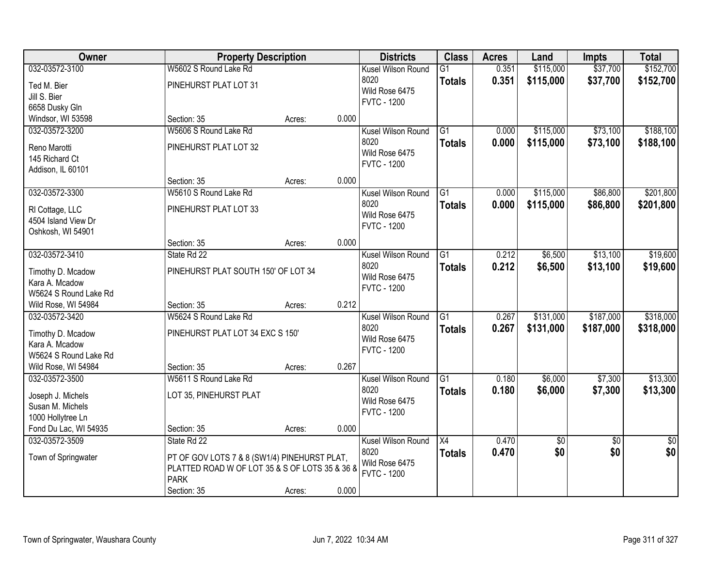| Owner                 |                                                | <b>Property Description</b> |       | <b>Districts</b>   | <b>Class</b>    | <b>Acres</b> | Land       | <b>Impts</b>    | <b>Total</b>    |
|-----------------------|------------------------------------------------|-----------------------------|-------|--------------------|-----------------|--------------|------------|-----------------|-----------------|
| 032-03572-3100        | W5602 S Round Lake Rd                          |                             |       | Kusel Wilson Round | $\overline{G1}$ | 0.351        | \$115,000  | \$37,700        | \$152,700       |
| Ted M. Bier           | PINEHURST PLAT LOT 31                          |                             |       | 8020               | <b>Totals</b>   | 0.351        | \$115,000  | \$37,700        | \$152,700       |
| Jill S. Bier          |                                                |                             |       | Wild Rose 6475     |                 |              |            |                 |                 |
| 6658 Dusky Gln        |                                                |                             |       | <b>FVTC - 1200</b> |                 |              |            |                 |                 |
| Windsor, WI 53598     | Section: 35                                    | Acres:                      | 0.000 |                    |                 |              |            |                 |                 |
| 032-03572-3200        | W5606 S Round Lake Rd                          |                             |       | Kusel Wilson Round | $\overline{G1}$ | 0.000        | \$115,000  | \$73,100        | \$188,100       |
| Reno Marotti          | PINEHURST PLAT LOT 32                          |                             |       | 8020               | <b>Totals</b>   | 0.000        | \$115,000  | \$73,100        | \$188,100       |
| 145 Richard Ct        |                                                |                             |       | Wild Rose 6475     |                 |              |            |                 |                 |
| Addison, IL 60101     |                                                |                             |       | <b>FVTC - 1200</b> |                 |              |            |                 |                 |
|                       | Section: 35                                    | Acres:                      | 0.000 |                    |                 |              |            |                 |                 |
| 032-03572-3300        | W5610 S Round Lake Rd                          |                             |       | Kusel Wilson Round | G1              | 0.000        | \$115,000  | \$86,800        | \$201,800       |
| RI Cottage, LLC       | PINEHURST PLAT LOT 33                          |                             |       | 8020               | <b>Totals</b>   | 0.000        | \$115,000  | \$86,800        | \$201,800       |
| 4504 Island View Dr   |                                                |                             |       | Wild Rose 6475     |                 |              |            |                 |                 |
| Oshkosh, WI 54901     |                                                |                             |       | <b>FVTC - 1200</b> |                 |              |            |                 |                 |
|                       | Section: 35                                    | Acres:                      | 0.000 |                    |                 |              |            |                 |                 |
| 032-03572-3410        | State Rd 22                                    |                             |       | Kusel Wilson Round | $\overline{G1}$ | 0.212        | \$6,500    | \$13,100        | \$19,600        |
| Timothy D. Mcadow     | PINEHURST PLAT SOUTH 150' OF LOT 34            |                             |       | 8020               | <b>Totals</b>   | 0.212        | \$6,500    | \$13,100        | \$19,600        |
| Kara A. Mcadow        |                                                |                             |       | Wild Rose 6475     |                 |              |            |                 |                 |
| W5624 S Round Lake Rd |                                                |                             |       | <b>FVTC - 1200</b> |                 |              |            |                 |                 |
| Wild Rose, WI 54984   | Section: 35                                    | Acres:                      | 0.212 |                    |                 |              |            |                 |                 |
| 032-03572-3420        | W5624 S Round Lake Rd                          |                             |       | Kusel Wilson Round | $\overline{G1}$ | 0.267        | \$131,000  | \$187,000       | \$318,000       |
| Timothy D. Mcadow     | PINEHURST PLAT LOT 34 EXC S 150'               |                             |       | 8020               | <b>Totals</b>   | 0.267        | \$131,000  | \$187,000       | \$318,000       |
| Kara A. Mcadow        |                                                |                             |       | Wild Rose 6475     |                 |              |            |                 |                 |
| W5624 S Round Lake Rd |                                                |                             |       | <b>FVTC - 1200</b> |                 |              |            |                 |                 |
| Wild Rose, WI 54984   | Section: 35                                    | Acres:                      | 0.267 |                    |                 |              |            |                 |                 |
| 032-03572-3500        | W5611 S Round Lake Rd                          |                             |       | Kusel Wilson Round | $\overline{G1}$ | 0.180        | \$6,000    | \$7,300         | \$13,300        |
| Joseph J. Michels     | LOT 35, PINEHURST PLAT                         |                             |       | 8020               | <b>Totals</b>   | 0.180        | \$6,000    | \$7,300         | \$13,300        |
| Susan M. Michels      |                                                |                             |       | Wild Rose 6475     |                 |              |            |                 |                 |
| 1000 Hollytree Ln     |                                                |                             |       | <b>FVTC - 1200</b> |                 |              |            |                 |                 |
| Fond Du Lac, WI 54935 | Section: 35                                    | Acres:                      | 0.000 |                    |                 |              |            |                 |                 |
| 032-03572-3509        | State Rd 22                                    |                             |       | Kusel Wilson Round | X4              | 0.470        | $\sqrt{6}$ | $\overline{50}$ | $\overline{50}$ |
| Town of Springwater   | PT OF GOV LOTS 7 & 8 (SW1/4) PINEHURST PLAT,   |                             |       | 8020               | <b>Totals</b>   | 0.470        | \$0        | \$0             | \$0             |
|                       | PLATTED ROAD W OF LOT 35 & S OF LOTS 35 & 36 & |                             |       | Wild Rose 6475     |                 |              |            |                 |                 |
|                       | <b>PARK</b>                                    |                             |       | <b>FVTC - 1200</b> |                 |              |            |                 |                 |
|                       | Section: 35                                    | Acres:                      | 0.000 |                    |                 |              |            |                 |                 |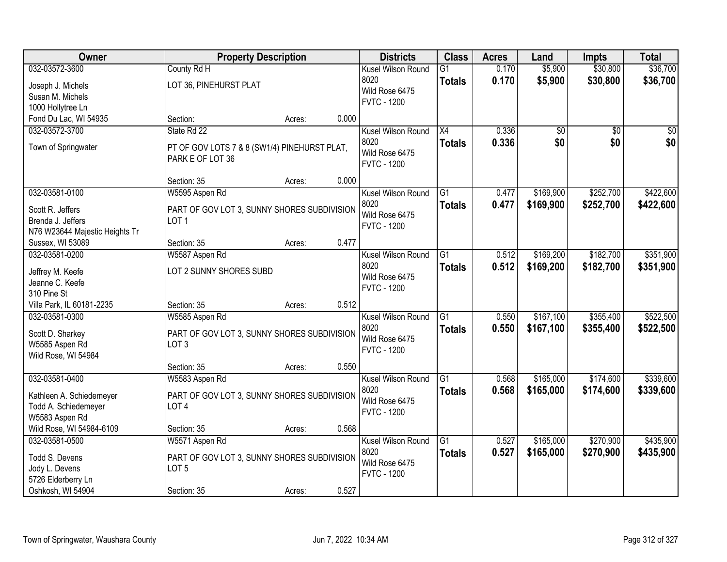| \$36,700<br>032-03572-3600<br>\$5,900<br>\$30,800<br>County Rd H<br>Kusel Wilson Round<br>$\overline{G1}$<br>0.170<br>8020<br>0.170<br>\$5,900<br>\$30,800<br>\$36,700<br><b>Totals</b><br>LOT 36, PINEHURST PLAT<br>Joseph J. Michels<br>Wild Rose 6475<br>Susan M. Michels<br><b>FVTC - 1200</b><br>1000 Hollytree Ln<br>0.000<br>Fond Du Lac, WI 54935<br>Section:<br>Acres:<br>032-03572-3700<br>State Rd 22<br>X4<br>0.336<br>$\overline{50}$<br>Kusel Wilson Round<br>\$0<br>\$0<br>\$0<br>\$0<br>8020<br>0.336<br>\$0<br><b>Totals</b><br>Town of Springwater<br>PT OF GOV LOTS 7 & 8 (SW1/4) PINEHURST PLAT,<br>Wild Rose 6475<br>PARK E OF LOT 36<br><b>FVTC - 1200</b><br>0.000<br>Section: 35<br>Acres:<br>\$252,700<br>\$422,600<br>032-03581-0100<br>G1<br>\$169,900<br>W5595 Aspen Rd<br>Kusel Wilson Round<br>0.477<br>8020<br>0.477<br>\$169,900<br>\$252,700<br>\$422,600<br><b>Totals</b><br>Scott R. Jeffers<br>PART OF GOV LOT 3, SUNNY SHORES SUBDIVISION<br>Wild Rose 6475<br>Brenda J. Jeffers<br>LOT <sub>1</sub><br><b>FVTC - 1200</b><br>N76 W23644 Majestic Heights Tr<br>0.477<br>Sussex, WI 53089<br>Section: 35<br>Acres:<br>032-03581-0200<br>\$169,200<br>\$182,700<br>\$351,900<br>W5587 Aspen Rd<br>Kusel Wilson Round<br>G1<br>0.512<br>8020<br>0.512<br>\$169,200<br>\$182,700<br>\$351,900<br><b>Totals</b><br>LOT 2 SUNNY SHORES SUBD<br>Jeffrey M. Keefe<br>Wild Rose 6475<br>Jeanne C. Keefe<br><b>FVTC - 1200</b><br>310 Pine St<br>0.512<br>Villa Park, IL 60181-2235<br>Section: 35<br>Acres:<br>$\overline{G1}$<br>\$167,100<br>\$355,400<br>032-03581-0300<br>0.550<br>W5585 Aspen Rd<br>Kusel Wilson Round<br>8020<br>0.550<br>\$167,100<br>\$355,400<br><b>Totals</b><br>Scott D. Sharkey<br>PART OF GOV LOT 3, SUNNY SHORES SUBDIVISION<br>Wild Rose 6475<br>W5585 Aspen Rd<br>LOT <sub>3</sub><br><b>FVTC - 1200</b><br>Wild Rose, WI 54984<br>0.550<br>Section: 35<br>Acres:<br>G1<br>\$165,000<br>\$174,600<br>032-03581-0400<br>Kusel Wilson Round<br>0.568<br>W5583 Aspen Rd<br>8020<br>0.568<br>\$165,000<br>\$174,600<br><b>Totals</b><br>PART OF GOV LOT 3, SUNNY SHORES SUBDIVISION<br>Kathleen A. Schiedemeyer<br>Wild Rose 6475 | Owner                | <b>Property Description</b> | <b>Districts</b> | <b>Class</b> | <b>Acres</b> | Land | <b>Impts</b> | <b>Total</b> |
|--------------------------------------------------------------------------------------------------------------------------------------------------------------------------------------------------------------------------------------------------------------------------------------------------------------------------------------------------------------------------------------------------------------------------------------------------------------------------------------------------------------------------------------------------------------------------------------------------------------------------------------------------------------------------------------------------------------------------------------------------------------------------------------------------------------------------------------------------------------------------------------------------------------------------------------------------------------------------------------------------------------------------------------------------------------------------------------------------------------------------------------------------------------------------------------------------------------------------------------------------------------------------------------------------------------------------------------------------------------------------------------------------------------------------------------------------------------------------------------------------------------------------------------------------------------------------------------------------------------------------------------------------------------------------------------------------------------------------------------------------------------------------------------------------------------------------------------------------------------------------------------------------------------------------------------------------------------------------------------------------------------------------------------------------------------------------------------------------------------------------------------------------------------------------------------------|----------------------|-----------------------------|------------------|--------------|--------------|------|--------------|--------------|
|                                                                                                                                                                                                                                                                                                                                                                                                                                                                                                                                                                                                                                                                                                                                                                                                                                                                                                                                                                                                                                                                                                                                                                                                                                                                                                                                                                                                                                                                                                                                                                                                                                                                                                                                                                                                                                                                                                                                                                                                                                                                                                                                                                                            |                      |                             |                  |              |              |      |              |              |
|                                                                                                                                                                                                                                                                                                                                                                                                                                                                                                                                                                                                                                                                                                                                                                                                                                                                                                                                                                                                                                                                                                                                                                                                                                                                                                                                                                                                                                                                                                                                                                                                                                                                                                                                                                                                                                                                                                                                                                                                                                                                                                                                                                                            |                      |                             |                  |              |              |      |              |              |
|                                                                                                                                                                                                                                                                                                                                                                                                                                                                                                                                                                                                                                                                                                                                                                                                                                                                                                                                                                                                                                                                                                                                                                                                                                                                                                                                                                                                                                                                                                                                                                                                                                                                                                                                                                                                                                                                                                                                                                                                                                                                                                                                                                                            |                      |                             |                  |              |              |      |              |              |
|                                                                                                                                                                                                                                                                                                                                                                                                                                                                                                                                                                                                                                                                                                                                                                                                                                                                                                                                                                                                                                                                                                                                                                                                                                                                                                                                                                                                                                                                                                                                                                                                                                                                                                                                                                                                                                                                                                                                                                                                                                                                                                                                                                                            |                      |                             |                  |              |              |      |              |              |
|                                                                                                                                                                                                                                                                                                                                                                                                                                                                                                                                                                                                                                                                                                                                                                                                                                                                                                                                                                                                                                                                                                                                                                                                                                                                                                                                                                                                                                                                                                                                                                                                                                                                                                                                                                                                                                                                                                                                                                                                                                                                                                                                                                                            |                      |                             |                  |              |              |      |              |              |
|                                                                                                                                                                                                                                                                                                                                                                                                                                                                                                                                                                                                                                                                                                                                                                                                                                                                                                                                                                                                                                                                                                                                                                                                                                                                                                                                                                                                                                                                                                                                                                                                                                                                                                                                                                                                                                                                                                                                                                                                                                                                                                                                                                                            |                      |                             |                  |              |              |      |              |              |
|                                                                                                                                                                                                                                                                                                                                                                                                                                                                                                                                                                                                                                                                                                                                                                                                                                                                                                                                                                                                                                                                                                                                                                                                                                                                                                                                                                                                                                                                                                                                                                                                                                                                                                                                                                                                                                                                                                                                                                                                                                                                                                                                                                                            |                      |                             |                  |              |              |      |              |              |
|                                                                                                                                                                                                                                                                                                                                                                                                                                                                                                                                                                                                                                                                                                                                                                                                                                                                                                                                                                                                                                                                                                                                                                                                                                                                                                                                                                                                                                                                                                                                                                                                                                                                                                                                                                                                                                                                                                                                                                                                                                                                                                                                                                                            |                      |                             |                  |              |              |      |              |              |
|                                                                                                                                                                                                                                                                                                                                                                                                                                                                                                                                                                                                                                                                                                                                                                                                                                                                                                                                                                                                                                                                                                                                                                                                                                                                                                                                                                                                                                                                                                                                                                                                                                                                                                                                                                                                                                                                                                                                                                                                                                                                                                                                                                                            |                      |                             |                  |              |              |      |              |              |
|                                                                                                                                                                                                                                                                                                                                                                                                                                                                                                                                                                                                                                                                                                                                                                                                                                                                                                                                                                                                                                                                                                                                                                                                                                                                                                                                                                                                                                                                                                                                                                                                                                                                                                                                                                                                                                                                                                                                                                                                                                                                                                                                                                                            |                      |                             |                  |              |              |      |              |              |
|                                                                                                                                                                                                                                                                                                                                                                                                                                                                                                                                                                                                                                                                                                                                                                                                                                                                                                                                                                                                                                                                                                                                                                                                                                                                                                                                                                                                                                                                                                                                                                                                                                                                                                                                                                                                                                                                                                                                                                                                                                                                                                                                                                                            |                      |                             |                  |              |              |      |              |              |
|                                                                                                                                                                                                                                                                                                                                                                                                                                                                                                                                                                                                                                                                                                                                                                                                                                                                                                                                                                                                                                                                                                                                                                                                                                                                                                                                                                                                                                                                                                                                                                                                                                                                                                                                                                                                                                                                                                                                                                                                                                                                                                                                                                                            |                      |                             |                  |              |              |      |              |              |
|                                                                                                                                                                                                                                                                                                                                                                                                                                                                                                                                                                                                                                                                                                                                                                                                                                                                                                                                                                                                                                                                                                                                                                                                                                                                                                                                                                                                                                                                                                                                                                                                                                                                                                                                                                                                                                                                                                                                                                                                                                                                                                                                                                                            |                      |                             |                  |              |              |      |              |              |
|                                                                                                                                                                                                                                                                                                                                                                                                                                                                                                                                                                                                                                                                                                                                                                                                                                                                                                                                                                                                                                                                                                                                                                                                                                                                                                                                                                                                                                                                                                                                                                                                                                                                                                                                                                                                                                                                                                                                                                                                                                                                                                                                                                                            |                      |                             |                  |              |              |      |              |              |
|                                                                                                                                                                                                                                                                                                                                                                                                                                                                                                                                                                                                                                                                                                                                                                                                                                                                                                                                                                                                                                                                                                                                                                                                                                                                                                                                                                                                                                                                                                                                                                                                                                                                                                                                                                                                                                                                                                                                                                                                                                                                                                                                                                                            |                      |                             |                  |              |              |      |              |              |
|                                                                                                                                                                                                                                                                                                                                                                                                                                                                                                                                                                                                                                                                                                                                                                                                                                                                                                                                                                                                                                                                                                                                                                                                                                                                                                                                                                                                                                                                                                                                                                                                                                                                                                                                                                                                                                                                                                                                                                                                                                                                                                                                                                                            |                      |                             |                  |              |              |      |              |              |
|                                                                                                                                                                                                                                                                                                                                                                                                                                                                                                                                                                                                                                                                                                                                                                                                                                                                                                                                                                                                                                                                                                                                                                                                                                                                                                                                                                                                                                                                                                                                                                                                                                                                                                                                                                                                                                                                                                                                                                                                                                                                                                                                                                                            |                      |                             |                  |              |              |      |              |              |
|                                                                                                                                                                                                                                                                                                                                                                                                                                                                                                                                                                                                                                                                                                                                                                                                                                                                                                                                                                                                                                                                                                                                                                                                                                                                                                                                                                                                                                                                                                                                                                                                                                                                                                                                                                                                                                                                                                                                                                                                                                                                                                                                                                                            |                      |                             |                  |              |              |      |              |              |
| \$522,500<br>\$522,500<br>\$339,600<br>\$339,600                                                                                                                                                                                                                                                                                                                                                                                                                                                                                                                                                                                                                                                                                                                                                                                                                                                                                                                                                                                                                                                                                                                                                                                                                                                                                                                                                                                                                                                                                                                                                                                                                                                                                                                                                                                                                                                                                                                                                                                                                                                                                                                                           |                      |                             |                  |              |              |      |              |              |
|                                                                                                                                                                                                                                                                                                                                                                                                                                                                                                                                                                                                                                                                                                                                                                                                                                                                                                                                                                                                                                                                                                                                                                                                                                                                                                                                                                                                                                                                                                                                                                                                                                                                                                                                                                                                                                                                                                                                                                                                                                                                                                                                                                                            |                      |                             |                  |              |              |      |              |              |
|                                                                                                                                                                                                                                                                                                                                                                                                                                                                                                                                                                                                                                                                                                                                                                                                                                                                                                                                                                                                                                                                                                                                                                                                                                                                                                                                                                                                                                                                                                                                                                                                                                                                                                                                                                                                                                                                                                                                                                                                                                                                                                                                                                                            |                      |                             |                  |              |              |      |              |              |
|                                                                                                                                                                                                                                                                                                                                                                                                                                                                                                                                                                                                                                                                                                                                                                                                                                                                                                                                                                                                                                                                                                                                                                                                                                                                                                                                                                                                                                                                                                                                                                                                                                                                                                                                                                                                                                                                                                                                                                                                                                                                                                                                                                                            |                      |                             |                  |              |              |      |              |              |
|                                                                                                                                                                                                                                                                                                                                                                                                                                                                                                                                                                                                                                                                                                                                                                                                                                                                                                                                                                                                                                                                                                                                                                                                                                                                                                                                                                                                                                                                                                                                                                                                                                                                                                                                                                                                                                                                                                                                                                                                                                                                                                                                                                                            |                      |                             |                  |              |              |      |              |              |
|                                                                                                                                                                                                                                                                                                                                                                                                                                                                                                                                                                                                                                                                                                                                                                                                                                                                                                                                                                                                                                                                                                                                                                                                                                                                                                                                                                                                                                                                                                                                                                                                                                                                                                                                                                                                                                                                                                                                                                                                                                                                                                                                                                                            |                      |                             |                  |              |              |      |              |              |
|                                                                                                                                                                                                                                                                                                                                                                                                                                                                                                                                                                                                                                                                                                                                                                                                                                                                                                                                                                                                                                                                                                                                                                                                                                                                                                                                                                                                                                                                                                                                                                                                                                                                                                                                                                                                                                                                                                                                                                                                                                                                                                                                                                                            |                      |                             |                  |              |              |      |              |              |
|                                                                                                                                                                                                                                                                                                                                                                                                                                                                                                                                                                                                                                                                                                                                                                                                                                                                                                                                                                                                                                                                                                                                                                                                                                                                                                                                                                                                                                                                                                                                                                                                                                                                                                                                                                                                                                                                                                                                                                                                                                                                                                                                                                                            |                      |                             |                  |              |              |      |              |              |
|                                                                                                                                                                                                                                                                                                                                                                                                                                                                                                                                                                                                                                                                                                                                                                                                                                                                                                                                                                                                                                                                                                                                                                                                                                                                                                                                                                                                                                                                                                                                                                                                                                                                                                                                                                                                                                                                                                                                                                                                                                                                                                                                                                                            |                      |                             |                  |              |              |      |              |              |
|                                                                                                                                                                                                                                                                                                                                                                                                                                                                                                                                                                                                                                                                                                                                                                                                                                                                                                                                                                                                                                                                                                                                                                                                                                                                                                                                                                                                                                                                                                                                                                                                                                                                                                                                                                                                                                                                                                                                                                                                                                                                                                                                                                                            | Todd A. Schiedemeyer | LOT <sub>4</sub>            |                  |              |              |      |              |              |
| <b>FVTC - 1200</b><br>W5583 Aspen Rd                                                                                                                                                                                                                                                                                                                                                                                                                                                                                                                                                                                                                                                                                                                                                                                                                                                                                                                                                                                                                                                                                                                                                                                                                                                                                                                                                                                                                                                                                                                                                                                                                                                                                                                                                                                                                                                                                                                                                                                                                                                                                                                                                       |                      |                             |                  |              |              |      |              |              |
| Wild Rose, WI 54984-6109<br>0.568<br>Section: 35<br>Acres:                                                                                                                                                                                                                                                                                                                                                                                                                                                                                                                                                                                                                                                                                                                                                                                                                                                                                                                                                                                                                                                                                                                                                                                                                                                                                                                                                                                                                                                                                                                                                                                                                                                                                                                                                                                                                                                                                                                                                                                                                                                                                                                                 |                      |                             |                  |              |              |      |              |              |
| \$165,000<br>\$270,900<br>\$435,900<br>032-03581-0500<br>W5571 Aspen Rd<br>Kusel Wilson Round<br>G1<br>0.527                                                                                                                                                                                                                                                                                                                                                                                                                                                                                                                                                                                                                                                                                                                                                                                                                                                                                                                                                                                                                                                                                                                                                                                                                                                                                                                                                                                                                                                                                                                                                                                                                                                                                                                                                                                                                                                                                                                                                                                                                                                                               |                      |                             |                  |              |              |      |              |              |
| 0.527<br>8020<br>\$165,000<br>\$270,900<br>\$435,900<br><b>Totals</b>                                                                                                                                                                                                                                                                                                                                                                                                                                                                                                                                                                                                                                                                                                                                                                                                                                                                                                                                                                                                                                                                                                                                                                                                                                                                                                                                                                                                                                                                                                                                                                                                                                                                                                                                                                                                                                                                                                                                                                                                                                                                                                                      |                      |                             |                  |              |              |      |              |              |
| Todd S. Devens<br>PART OF GOV LOT 3, SUNNY SHORES SUBDIVISION<br>Wild Rose 6475                                                                                                                                                                                                                                                                                                                                                                                                                                                                                                                                                                                                                                                                                                                                                                                                                                                                                                                                                                                                                                                                                                                                                                                                                                                                                                                                                                                                                                                                                                                                                                                                                                                                                                                                                                                                                                                                                                                                                                                                                                                                                                            |                      |                             |                  |              |              |      |              |              |
| Jody L. Devens<br>LOT <sub>5</sub><br><b>FVTC - 1200</b><br>5726 Elderberry Ln                                                                                                                                                                                                                                                                                                                                                                                                                                                                                                                                                                                                                                                                                                                                                                                                                                                                                                                                                                                                                                                                                                                                                                                                                                                                                                                                                                                                                                                                                                                                                                                                                                                                                                                                                                                                                                                                                                                                                                                                                                                                                                             |                      |                             |                  |              |              |      |              |              |
| 0.527<br>Oshkosh, WI 54904<br>Section: 35<br>Acres:                                                                                                                                                                                                                                                                                                                                                                                                                                                                                                                                                                                                                                                                                                                                                                                                                                                                                                                                                                                                                                                                                                                                                                                                                                                                                                                                                                                                                                                                                                                                                                                                                                                                                                                                                                                                                                                                                                                                                                                                                                                                                                                                        |                      |                             |                  |              |              |      |              |              |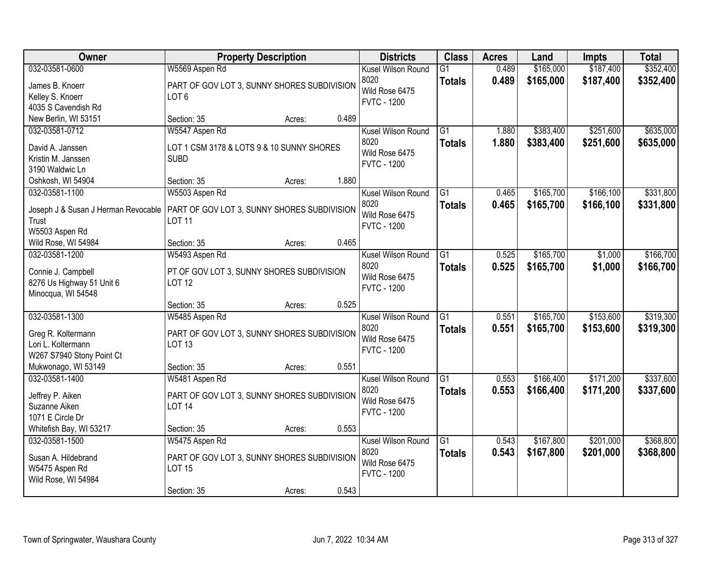| <b>Owner</b>                                    | <b>Property Description</b>                                |        |       | <b>Districts</b>   | <b>Class</b>    | <b>Acres</b> | Land      | <b>Impts</b> | <b>Total</b> |
|-------------------------------------------------|------------------------------------------------------------|--------|-------|--------------------|-----------------|--------------|-----------|--------------|--------------|
| 032-03581-0600                                  | W5569 Aspen Rd                                             |        |       | Kusel Wilson Round | $\overline{G1}$ | 0.489        | \$165,000 | \$187,400    | \$352,400    |
| James B. Knoerr                                 | PART OF GOV LOT 3, SUNNY SHORES SUBDIVISION                |        |       | 8020               | <b>Totals</b>   | 0.489        | \$165,000 | \$187,400    | \$352,400    |
| Kelley S. Knoerr                                | LOT <sub>6</sub>                                           |        |       | Wild Rose 6475     |                 |              |           |              |              |
| 4035 S Cavendish Rd                             |                                                            |        |       | <b>FVTC - 1200</b> |                 |              |           |              |              |
| New Berlin, WI 53151                            | Section: 35                                                | Acres: | 0.489 |                    |                 |              |           |              |              |
| 032-03581-0712                                  | W5547 Aspen Rd                                             |        |       | Kusel Wilson Round | $\overline{G1}$ | 1.880        | \$383,400 | \$251,600    | \$635,000    |
|                                                 |                                                            |        |       | 8020               | <b>Totals</b>   | 1.880        | \$383,400 | \$251,600    | \$635,000    |
| David A. Janssen                                | LOT 1 CSM 3178 & LOTS 9 & 10 SUNNY SHORES                  |        |       | Wild Rose 6475     |                 |              |           |              |              |
| Kristin M. Janssen                              | <b>SUBD</b>                                                |        |       | <b>FVTC - 1200</b> |                 |              |           |              |              |
| 3190 Waldwic Ln                                 |                                                            |        | 1.880 |                    |                 |              |           |              |              |
| Oshkosh, WI 54904                               | Section: 35                                                | Acres: |       |                    |                 |              |           |              |              |
| 032-03581-1100                                  | W5503 Aspen Rd                                             |        |       | Kusel Wilson Round | $\overline{G1}$ | 0.465        | \$165,700 | \$166,100    | \$331,800    |
| Joseph J & Susan J Herman Revocable             | PART OF GOV LOT 3, SUNNY SHORES SUBDIVISION                |        |       | 8020               | <b>Totals</b>   | 0.465        | \$165,700 | \$166,100    | \$331,800    |
| Trust                                           | <b>LOT 11</b>                                              |        |       | Wild Rose 6475     |                 |              |           |              |              |
| W5503 Aspen Rd                                  |                                                            |        |       | <b>FVTC - 1200</b> |                 |              |           |              |              |
| Wild Rose, WI 54984                             | Section: 35                                                | Acres: | 0.465 |                    |                 |              |           |              |              |
| 032-03581-1200                                  | W5493 Aspen Rd                                             |        |       | Kusel Wilson Round | G1              | 0.525        | \$165,700 | \$1,000      | \$166,700    |
|                                                 |                                                            |        |       | 8020               | <b>Totals</b>   | 0.525        | \$165,700 | \$1,000      | \$166,700    |
| Connie J. Campbell                              | PT OF GOV LOT 3, SUNNY SHORES SUBDIVISION<br><b>LOT 12</b> |        |       | Wild Rose 6475     |                 |              |           |              |              |
| 8276 Us Highway 51 Unit 6<br>Minocqua, WI 54548 |                                                            |        |       | <b>FVTC - 1200</b> |                 |              |           |              |              |
|                                                 | Section: 35                                                | Acres: | 0.525 |                    |                 |              |           |              |              |
| 032-03581-1300                                  | W5485 Aspen Rd                                             |        |       | Kusel Wilson Round | $\overline{G1}$ | 0.551        | \$165,700 | \$153,600    | \$319,300    |
|                                                 |                                                            |        |       | 8020               |                 |              |           |              |              |
| Greg R. Koltermann                              | PART OF GOV LOT 3, SUNNY SHORES SUBDIVISION                |        |       | Wild Rose 6475     | <b>Totals</b>   | 0.551        | \$165,700 | \$153,600    | \$319,300    |
| Lori L. Koltermann                              | <b>LOT 13</b>                                              |        |       | <b>FVTC - 1200</b> |                 |              |           |              |              |
| W267 S7940 Stony Point Ct                       |                                                            |        |       |                    |                 |              |           |              |              |
| Mukwonago, WI 53149                             | Section: 35                                                | Acres: | 0.551 |                    |                 |              |           |              |              |
| 032-03581-1400                                  | W5481 Aspen Rd                                             |        |       | Kusel Wilson Round | G1              | 0.553        | \$166,400 | \$171,200    | \$337,600    |
| Jeffrey P. Aiken                                | PART OF GOV LOT 3, SUNNY SHORES SUBDIVISION                |        |       | 8020               | <b>Totals</b>   | 0.553        | \$166,400 | \$171,200    | \$337,600    |
| Suzanne Aiken                                   | <b>LOT 14</b>                                              |        |       | Wild Rose 6475     |                 |              |           |              |              |
| 1071 E Circle Dr                                |                                                            |        |       | <b>FVTC - 1200</b> |                 |              |           |              |              |
| Whitefish Bay, WI 53217                         | Section: 35                                                | Acres: | 0.553 |                    |                 |              |           |              |              |
| 032-03581-1500                                  | W5475 Aspen Rd                                             |        |       | Kusel Wilson Round | $\overline{G1}$ | 0.543        | \$167,800 | \$201,000    | \$368,800    |
|                                                 |                                                            |        |       | 8020               | <b>Totals</b>   | 0.543        | \$167,800 | \$201,000    | \$368,800    |
| Susan A. Hildebrand                             | PART OF GOV LOT 3, SUNNY SHORES SUBDIVISION                |        |       | Wild Rose 6475     |                 |              |           |              |              |
| W5475 Aspen Rd                                  | <b>LOT 15</b>                                              |        |       | <b>FVTC - 1200</b> |                 |              |           |              |              |
| Wild Rose, WI 54984                             |                                                            |        |       |                    |                 |              |           |              |              |
|                                                 | Section: 35                                                | Acres: | 0.543 |                    |                 |              |           |              |              |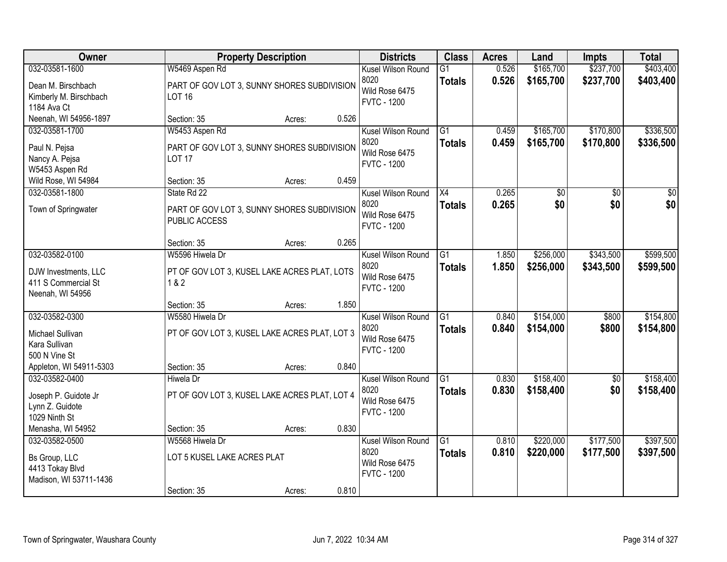| Owner                                 |                                               | <b>Property Description</b> |       | <b>Districts</b>                     | <b>Class</b>    | <b>Acres</b> | Land      | <b>Impts</b>    | <b>Total</b> |
|---------------------------------------|-----------------------------------------------|-----------------------------|-------|--------------------------------------|-----------------|--------------|-----------|-----------------|--------------|
| 032-03581-1600                        | W5469 Aspen Rd                                |                             |       | Kusel Wilson Round                   | G1              | 0.526        | \$165,700 | \$237,700       | \$403,400    |
| Dean M. Birschbach                    | PART OF GOV LOT 3, SUNNY SHORES SUBDIVISION   |                             |       | 8020<br>Wild Rose 6475               | <b>Totals</b>   | 0.526        | \$165,700 | \$237,700       | \$403,400    |
| Kimberly M. Birschbach                | <b>LOT 16</b>                                 |                             |       | <b>FVTC - 1200</b>                   |                 |              |           |                 |              |
| 1184 Ava Ct<br>Neenah, WI 54956-1897  | Section: 35                                   | Acres:                      | 0.526 |                                      |                 |              |           |                 |              |
| 032-03581-1700                        | W5453 Aspen Rd                                |                             |       | Kusel Wilson Round                   | $\overline{G1}$ | 0.459        | \$165,700 | \$170,800       | \$336,500    |
|                                       |                                               |                             |       | 8020                                 | <b>Totals</b>   | 0.459        | \$165,700 | \$170,800       | \$336,500    |
| Paul N. Pejsa                         | PART OF GOV LOT 3, SUNNY SHORES SUBDIVISION   |                             |       | Wild Rose 6475                       |                 |              |           |                 |              |
| Nancy A. Pejsa                        | <b>LOT 17</b>                                 |                             |       | <b>FVTC - 1200</b>                   |                 |              |           |                 |              |
| W5453 Aspen Rd<br>Wild Rose, WI 54984 | Section: 35                                   | Acres:                      | 0.459 |                                      |                 |              |           |                 |              |
| 032-03581-1800                        | State Rd 22                                   |                             |       | Kusel Wilson Round                   | X4              | 0.265        | \$0       | \$0             | \$0          |
|                                       |                                               |                             |       | 8020                                 | <b>Totals</b>   | 0.265        | \$0       | \$0             | \$0          |
| Town of Springwater                   | PART OF GOV LOT 3, SUNNY SHORES SUBDIVISION   |                             |       | Wild Rose 6475                       |                 |              |           |                 |              |
|                                       | PUBLIC ACCESS                                 |                             |       | <b>FVTC - 1200</b>                   |                 |              |           |                 |              |
|                                       | Section: 35                                   | Acres:                      | 0.265 |                                      |                 |              |           |                 |              |
| 032-03582-0100                        | W5596 Hiwela Dr                               |                             |       | Kusel Wilson Round                   | G1              | 1.850        | \$256,000 | \$343,500       | \$599,500    |
| DJW Investments, LLC                  | PT OF GOV LOT 3, KUSEL LAKE ACRES PLAT, LOTS  |                             |       | 8020                                 | <b>Totals</b>   | 1.850        | \$256,000 | \$343,500       | \$599,500    |
| 411 S Commercial St                   | 1 & 2                                         |                             |       | Wild Rose 6475                       |                 |              |           |                 |              |
| Neenah, WI 54956                      |                                               |                             |       | <b>FVTC - 1200</b>                   |                 |              |           |                 |              |
|                                       | Section: 35                                   | Acres:                      | 1.850 |                                      |                 |              |           |                 |              |
| 032-03582-0300                        | W5580 Hiwela Dr                               |                             |       | Kusel Wilson Round                   | $\overline{G1}$ | 0.840        | \$154,000 | \$800           | \$154,800    |
| Michael Sullivan                      | PT OF GOV LOT 3, KUSEL LAKE ACRES PLAT, LOT 3 |                             |       | 8020                                 | <b>Totals</b>   | 0.840        | \$154,000 | \$800           | \$154,800    |
| Kara Sullivan                         |                                               |                             |       | Wild Rose 6475                       |                 |              |           |                 |              |
| 500 N Vine St                         |                                               |                             |       | <b>FVTC - 1200</b>                   |                 |              |           |                 |              |
| Appleton, WI 54911-5303               | Section: 35                                   | Acres:                      | 0.840 |                                      |                 |              |           |                 |              |
| 032-03582-0400                        | <b>Hiwela Dr</b>                              |                             |       | Kusel Wilson Round                   | $\overline{G1}$ | 0.830        | \$158,400 | $\overline{50}$ | \$158,400    |
| Joseph P. Guidote Jr                  | PT OF GOV LOT 3, KUSEL LAKE ACRES PLAT, LOT 4 |                             |       | 8020                                 | <b>Totals</b>   | 0.830        | \$158,400 | \$0             | \$158,400    |
| Lynn Z. Guidote                       |                                               |                             |       | Wild Rose 6475<br><b>FVTC - 1200</b> |                 |              |           |                 |              |
| 1029 Ninth St                         |                                               |                             |       |                                      |                 |              |           |                 |              |
| Menasha, WI 54952                     | Section: 35                                   | Acres:                      | 0.830 |                                      |                 |              |           |                 |              |
| 032-03582-0500                        | W5568 Hiwela Dr                               |                             |       | Kusel Wilson Round                   | G1              | 0.810        | \$220,000 | \$177,500       | \$397,500    |
| Bs Group, LLC                         | LOT 5 KUSEL LAKE ACRES PLAT                   |                             |       | 8020                                 | <b>Totals</b>   | 0.810        | \$220,000 | \$177,500       | \$397,500    |
| 4413 Tokay Blvd                       |                                               |                             |       | Wild Rose 6475<br><b>FVTC - 1200</b> |                 |              |           |                 |              |
| Madison, WI 53711-1436                |                                               |                             |       |                                      |                 |              |           |                 |              |
|                                       | Section: 35                                   | Acres:                      | 0.810 |                                      |                 |              |           |                 |              |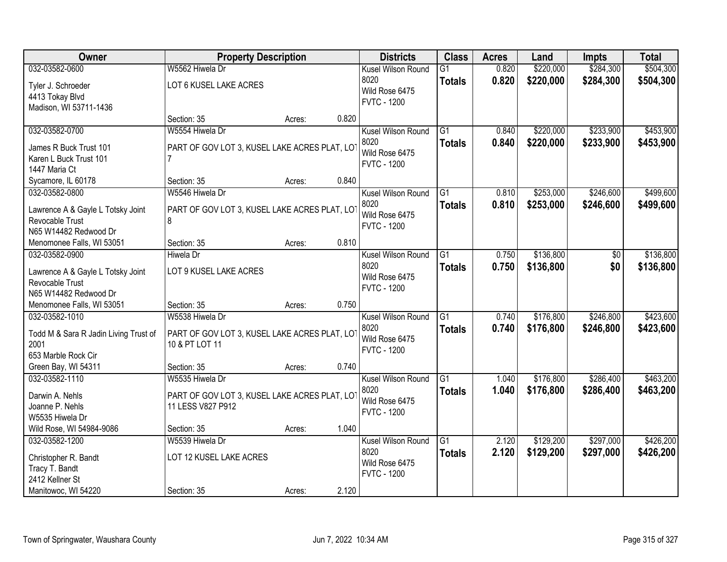| Owner                                    | <b>Property Description</b>                   |        |       | <b>Districts</b>   | <b>Class</b>    | <b>Acres</b> | Land      | <b>Impts</b> | <b>Total</b> |
|------------------------------------------|-----------------------------------------------|--------|-------|--------------------|-----------------|--------------|-----------|--------------|--------------|
| 032-03582-0600                           | W5562 Hiwela Dr                               |        |       | Kusel Wilson Round | $\overline{G1}$ | 0.820        | \$220,000 | \$284,300    | \$504,300    |
| Tyler J. Schroeder                       | LOT 6 KUSEL LAKE ACRES                        |        |       | 8020               | <b>Totals</b>   | 0.820        | \$220,000 | \$284,300    | \$504,300    |
| 4413 Tokay Blvd                          |                                               |        |       | Wild Rose 6475     |                 |              |           |              |              |
| Madison, WI 53711-1436                   |                                               |        |       | <b>FVTC - 1200</b> |                 |              |           |              |              |
|                                          | Section: 35                                   | Acres: | 0.820 |                    |                 |              |           |              |              |
| 032-03582-0700                           | W5554 Hiwela Dr                               |        |       | Kusel Wilson Round | $\overline{G1}$ | 0.840        | \$220,000 | \$233,900    | \$453,900    |
| James R Buck Trust 101                   | PART OF GOV LOT 3, KUSEL LAKE ACRES PLAT, LOT |        |       | 8020               | <b>Totals</b>   | 0.840        | \$220,000 | \$233,900    | \$453,900    |
| Karen L Buck Trust 101                   |                                               |        |       | Wild Rose 6475     |                 |              |           |              |              |
| 1447 Maria Ct                            |                                               |        |       | <b>FVTC - 1200</b> |                 |              |           |              |              |
| Sycamore, IL 60178                       | Section: 35                                   | Acres: | 0.840 |                    |                 |              |           |              |              |
| 032-03582-0800                           | W5546 Hiwela Dr                               |        |       | Kusel Wilson Round | G1              | 0.810        | \$253,000 | \$246,600    | \$499,600    |
|                                          |                                               |        |       | 8020               | <b>Totals</b>   | 0.810        | \$253,000 | \$246,600    | \$499,600    |
| Lawrence A & Gayle L Totsky Joint        | PART OF GOV LOT 3, KUSEL LAKE ACRES PLAT, LOT |        |       | Wild Rose 6475     |                 |              |           |              |              |
| Revocable Trust<br>N65 W14482 Redwood Dr | 8                                             |        |       | <b>FVTC - 1200</b> |                 |              |           |              |              |
| Menomonee Falls, WI 53051                | Section: 35                                   | Acres: | 0.810 |                    |                 |              |           |              |              |
| 032-03582-0900                           | <b>Hiwela Dr</b>                              |        |       | Kusel Wilson Round | G1              | 0.750        | \$136,800 | $\sqrt[6]{}$ | \$136,800    |
|                                          |                                               |        |       | 8020               | <b>Totals</b>   | 0.750        | \$136,800 | \$0          | \$136,800    |
| Lawrence A & Gayle L Totsky Joint        | LOT 9 KUSEL LAKE ACRES                        |        |       | Wild Rose 6475     |                 |              |           |              |              |
| Revocable Trust                          |                                               |        |       | <b>FVTC - 1200</b> |                 |              |           |              |              |
| N65 W14482 Redwood Dr                    |                                               |        |       |                    |                 |              |           |              |              |
| Menomonee Falls, WI 53051                | Section: 35                                   | Acres: | 0.750 |                    |                 |              |           |              |              |
| 032-03582-1010                           | W5538 Hiwela Dr                               |        |       | Kusel Wilson Round | $\overline{G1}$ | 0.740        | \$176,800 | \$246,800    | \$423,600    |
| Todd M & Sara R Jadin Living Trust of    | PART OF GOV LOT 3, KUSEL LAKE ACRES PLAT, LOT |        |       | 8020               | <b>Totals</b>   | 0.740        | \$176,800 | \$246,800    | \$423,600    |
| 2001                                     | 10 & PT LOT 11                                |        |       | Wild Rose 6475     |                 |              |           |              |              |
| 653 Marble Rock Cir                      |                                               |        |       | <b>FVTC - 1200</b> |                 |              |           |              |              |
| Green Bay, WI 54311                      | Section: 35                                   | Acres: | 0.740 |                    |                 |              |           |              |              |
| 032-03582-1110                           | W5535 Hiwela Dr                               |        |       | Kusel Wilson Round | $\overline{G1}$ | 1.040        | \$176,800 | \$286,400    | \$463,200    |
| Darwin A. Nehls                          | PART OF GOV LOT 3, KUSEL LAKE ACRES PLAT, LOT |        |       | 8020               | <b>Totals</b>   | 1.040        | \$176,800 | \$286,400    | \$463,200    |
| Joanne P. Nehls                          | 11 LESS V827 P912                             |        |       | Wild Rose 6475     |                 |              |           |              |              |
| W5535 Hiwela Dr                          |                                               |        |       | <b>FVTC - 1200</b> |                 |              |           |              |              |
| Wild Rose, WI 54984-9086                 | Section: 35                                   | Acres: | 1.040 |                    |                 |              |           |              |              |
| 032-03582-1200                           | W5539 Hiwela Dr                               |        |       | Kusel Wilson Round | G1              | 2.120        | \$129,200 | \$297,000    | \$426,200    |
|                                          | LOT 12 KUSEL LAKE ACRES                       |        |       | 8020               | <b>Totals</b>   | 2.120        | \$129,200 | \$297,000    | \$426,200    |
| Christopher R. Bandt<br>Tracy T. Bandt   |                                               |        |       | Wild Rose 6475     |                 |              |           |              |              |
| 2412 Kellner St                          |                                               |        |       | <b>FVTC - 1200</b> |                 |              |           |              |              |
| Manitowoc, WI 54220                      | Section: 35                                   | Acres: | 2.120 |                    |                 |              |           |              |              |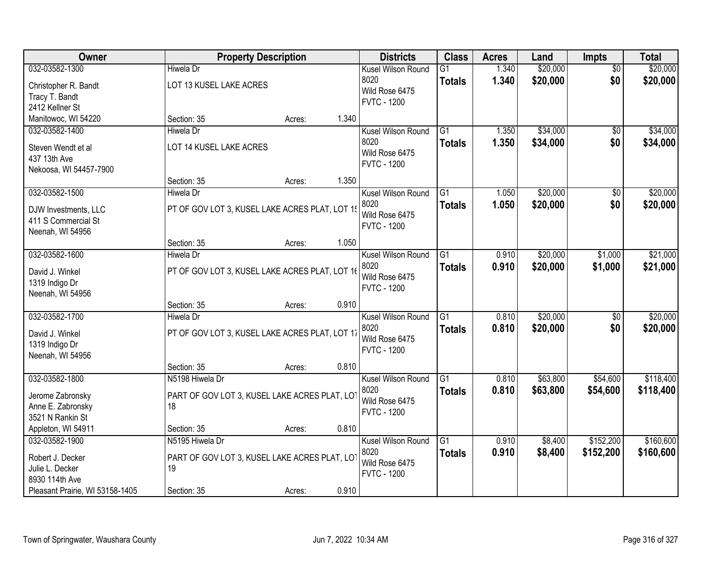| Owner                           | <b>Property Description</b>                    |        |       | <b>Districts</b>   | <b>Class</b>    | <b>Acres</b> | Land     | Impts           | <b>Total</b> |
|---------------------------------|------------------------------------------------|--------|-------|--------------------|-----------------|--------------|----------|-----------------|--------------|
| 032-03582-1300                  | <b>Hiwela Dr</b>                               |        |       | Kusel Wilson Round | $\overline{G1}$ | 1.340        | \$20,000 | $\overline{50}$ | \$20,000     |
| Christopher R. Bandt            | LOT 13 KUSEL LAKE ACRES                        |        |       | 8020               | <b>Totals</b>   | 1.340        | \$20,000 | \$0             | \$20,000     |
| Tracy T. Bandt                  |                                                |        |       | Wild Rose 6475     |                 |              |          |                 |              |
| 2412 Kellner St                 |                                                |        |       | <b>FVTC - 1200</b> |                 |              |          |                 |              |
| Manitowoc, WI 54220             | Section: 35                                    | Acres: | 1.340 |                    |                 |              |          |                 |              |
| 032-03582-1400                  | <b>Hiwela Dr</b>                               |        |       | Kusel Wilson Round | $\overline{G1}$ | 1.350        | \$34,000 | \$0             | \$34,000     |
| Steven Wendt et al              | LOT 14 KUSEL LAKE ACRES                        |        |       | 8020               | <b>Totals</b>   | 1.350        | \$34,000 | \$0             | \$34,000     |
| 437 13th Ave                    |                                                |        |       | Wild Rose 6475     |                 |              |          |                 |              |
| Nekoosa, WI 54457-7900          |                                                |        |       | <b>FVTC - 1200</b> |                 |              |          |                 |              |
|                                 | Section: 35                                    | Acres: | 1.350 |                    |                 |              |          |                 |              |
| 032-03582-1500                  | <b>Hiwela Dr</b>                               |        |       | Kusel Wilson Round | G1              | 1.050        | \$20,000 | $\overline{50}$ | \$20,000     |
| DJW Investments, LLC            | PT OF GOV LOT 3, KUSEL LAKE ACRES PLAT, LOT 15 |        |       | 8020               | <b>Totals</b>   | 1.050        | \$20,000 | \$0             | \$20,000     |
| 411 S Commercial St             |                                                |        |       | Wild Rose 6475     |                 |              |          |                 |              |
| Neenah, WI 54956                |                                                |        |       | <b>FVTC - 1200</b> |                 |              |          |                 |              |
|                                 | Section: 35                                    | Acres: | 1.050 |                    |                 |              |          |                 |              |
| 032-03582-1600                  | <b>Hiwela Dr</b>                               |        |       | Kusel Wilson Round | G1              | 0.910        | \$20,000 | \$1,000         | \$21,000     |
| David J. Winkel                 | PT OF GOV LOT 3, KUSEL LAKE ACRES PLAT, LOT 16 |        |       | 8020               | <b>Totals</b>   | 0.910        | \$20,000 | \$1,000         | \$21,000     |
| 1319 Indigo Dr                  |                                                |        |       | Wild Rose 6475     |                 |              |          |                 |              |
| Neenah, WI 54956                |                                                |        |       | <b>FVTC - 1200</b> |                 |              |          |                 |              |
|                                 | Section: 35                                    | Acres: | 0.910 |                    |                 |              |          |                 |              |
| 032-03582-1700                  | <b>Hiwela Dr</b>                               |        |       | Kusel Wilson Round | $\overline{G1}$ | 0.810        | \$20,000 | $\overline{50}$ | \$20,000     |
| David J. Winkel                 | PT OF GOV LOT 3, KUSEL LAKE ACRES PLAT, LOT 17 |        |       | 8020               | <b>Totals</b>   | 0.810        | \$20,000 | \$0             | \$20,000     |
| 1319 Indigo Dr                  |                                                |        |       | Wild Rose 6475     |                 |              |          |                 |              |
| Neenah, WI 54956                |                                                |        |       | <b>FVTC - 1200</b> |                 |              |          |                 |              |
|                                 | Section: 35                                    | Acres: | 0.810 |                    |                 |              |          |                 |              |
| 032-03582-1800                  | N5198 Hiwela Dr                                |        |       | Kusel Wilson Round | G1              | 0.810        | \$63,800 | \$54,600        | \$118,400    |
| Jerome Zabronsky                | PART OF GOV LOT 3, KUSEL LAKE ACRES PLAT, LOT  |        |       | 8020               | <b>Totals</b>   | 0.810        | \$63,800 | \$54,600        | \$118,400    |
| Anne E. Zabronsky               | 18                                             |        |       | Wild Rose 6475     |                 |              |          |                 |              |
| 3521 N Rankin St                |                                                |        |       | <b>FVTC - 1200</b> |                 |              |          |                 |              |
| Appleton, WI 54911              | Section: 35                                    | Acres: | 0.810 |                    |                 |              |          |                 |              |
| 032-03582-1900                  | N5195 Hiwela Dr                                |        |       | Kusel Wilson Round | $\overline{G1}$ | 0.910        | \$8,400  | \$152,200       | \$160,600    |
| Robert J. Decker                | PART OF GOV LOT 3, KUSEL LAKE ACRES PLAT, LOT  |        |       | 8020               | <b>Totals</b>   | 0.910        | \$8,400  | \$152,200       | \$160,600    |
| Julie L. Decker                 | 19                                             |        |       | Wild Rose 6475     |                 |              |          |                 |              |
| 8930 114th Ave                  |                                                |        |       | <b>FVTC - 1200</b> |                 |              |          |                 |              |
| Pleasant Prairie, WI 53158-1405 | Section: 35                                    | Acres: | 0.910 |                    |                 |              |          |                 |              |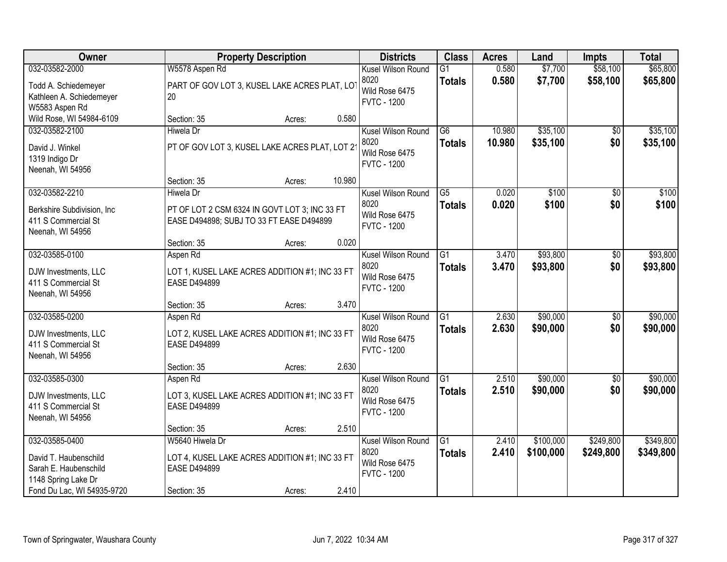| Owner                       |                                                | <b>Property Description</b> |        | <b>Districts</b>   | <b>Class</b>    | <b>Acres</b> | Land      | <b>Impts</b>    | <b>Total</b> |
|-----------------------------|------------------------------------------------|-----------------------------|--------|--------------------|-----------------|--------------|-----------|-----------------|--------------|
| 032-03582-2000              | W5578 Aspen Rd                                 |                             |        | Kusel Wilson Round | $\overline{G1}$ | 0.580        | \$7,700   | \$58,100        | \$65,800     |
| Todd A. Schiedemeyer        | PART OF GOV LOT 3, KUSEL LAKE ACRES PLAT, LOT  |                             |        | 8020               | <b>Totals</b>   | 0.580        | \$7,700   | \$58,100        | \$65,800     |
| Kathleen A. Schiedemeyer    | 20                                             |                             |        | Wild Rose 6475     |                 |              |           |                 |              |
| W5583 Aspen Rd              |                                                |                             |        | <b>FVTC - 1200</b> |                 |              |           |                 |              |
| Wild Rose, WI 54984-6109    | Section: 35                                    | Acres:                      | 0.580  |                    |                 |              |           |                 |              |
| 032-03582-2100              | <b>Hiwela Dr</b>                               |                             |        | Kusel Wilson Round | $\overline{G6}$ | 10.980       | \$35,100  | $\overline{50}$ | \$35,100     |
| David J. Winkel             | PT OF GOV LOT 3, KUSEL LAKE ACRES PLAT, LOT 2  |                             |        | 8020               | <b>Totals</b>   | 10.980       | \$35,100  | \$0             | \$35,100     |
| 1319 Indigo Dr              |                                                |                             |        | Wild Rose 6475     |                 |              |           |                 |              |
| Neenah, WI 54956            |                                                |                             |        | <b>FVTC - 1200</b> |                 |              |           |                 |              |
|                             | Section: 35                                    | Acres:                      | 10.980 |                    |                 |              |           |                 |              |
| 032-03582-2210              | Hiwela Dr                                      |                             |        | Kusel Wilson Round | G5              | 0.020        | \$100     | \$0             | \$100        |
| Berkshire Subdivision, Inc. | PT OF LOT 2 CSM 6324 IN GOVT LOT 3: INC 33 FT  |                             |        | 8020               | <b>Totals</b>   | 0.020        | \$100     | \$0             | \$100        |
| 411 S Commercial St         | EASE D494898; SUBJ TO 33 FT EASE D494899       |                             |        | Wild Rose 6475     |                 |              |           |                 |              |
| Neenah, WI 54956            |                                                |                             |        | <b>FVTC - 1200</b> |                 |              |           |                 |              |
|                             | Section: 35                                    | Acres:                      | 0.020  |                    |                 |              |           |                 |              |
| 032-03585-0100              | Aspen Rd                                       |                             |        | Kusel Wilson Round | $\overline{G1}$ | 3.470        | \$93,800  | \$0             | \$93,800     |
| DJW Investments, LLC        | LOT 1, KUSEL LAKE ACRES ADDITION #1; INC 33 FT |                             |        | 8020               | <b>Totals</b>   | 3.470        | \$93,800  | \$0             | \$93,800     |
| 411 S Commercial St         | <b>EASE D494899</b>                            |                             |        | Wild Rose 6475     |                 |              |           |                 |              |
| Neenah, WI 54956            |                                                |                             |        | <b>FVTC - 1200</b> |                 |              |           |                 |              |
|                             | Section: 35                                    | Acres:                      | 3.470  |                    |                 |              |           |                 |              |
| 032-03585-0200              | Aspen Rd                                       |                             |        | Kusel Wilson Round | $\overline{G1}$ | 2.630        | \$90,000  | \$0             | \$90,000     |
| DJW Investments, LLC        | LOT 2, KUSEL LAKE ACRES ADDITION #1; INC 33 FT |                             |        | 8020               | <b>Totals</b>   | 2.630        | \$90,000  | \$0             | \$90,000     |
| 411 S Commercial St         | <b>EASE D494899</b>                            |                             |        | Wild Rose 6475     |                 |              |           |                 |              |
| Neenah, WI 54956            |                                                |                             |        | <b>FVTC - 1200</b> |                 |              |           |                 |              |
|                             | Section: 35                                    | Acres:                      | 2.630  |                    |                 |              |           |                 |              |
| 032-03585-0300              | Aspen Rd                                       |                             |        | Kusel Wilson Round | $\overline{G1}$ | 2.510        | \$90,000  | $\overline{60}$ | \$90,000     |
| DJW Investments, LLC        | LOT 3, KUSEL LAKE ACRES ADDITION #1; INC 33 FT |                             |        | 8020               | <b>Totals</b>   | 2.510        | \$90,000  | \$0             | \$90,000     |
| 411 S Commercial St         | <b>EASE D494899</b>                            |                             |        | Wild Rose 6475     |                 |              |           |                 |              |
| Neenah, WI 54956            |                                                |                             |        | <b>FVTC - 1200</b> |                 |              |           |                 |              |
|                             | Section: 35                                    | Acres:                      | 2.510  |                    |                 |              |           |                 |              |
| 032-03585-0400              | W5640 Hiwela Dr                                |                             |        | Kusel Wilson Round | $\overline{G1}$ | 2.410        | \$100,000 | \$249,800       | \$349,800    |
| David T. Haubenschild       | LOT 4, KUSEL LAKE ACRES ADDITION #1; INC 33 FT |                             |        | 8020               | <b>Totals</b>   | 2.410        | \$100,000 | \$249,800       | \$349,800    |
| Sarah E. Haubenschild       | <b>EASE D494899</b>                            |                             |        | Wild Rose 6475     |                 |              |           |                 |              |
| 1148 Spring Lake Dr         |                                                |                             |        | <b>FVTC - 1200</b> |                 |              |           |                 |              |
| Fond Du Lac, WI 54935-9720  | Section: 35                                    | Acres:                      | 2.410  |                    |                 |              |           |                 |              |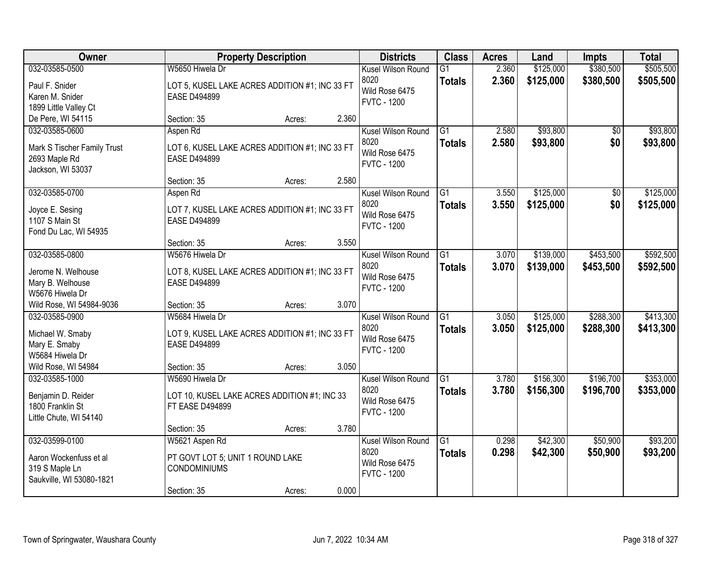| \$380,500<br>\$505,500<br>032-03585-0500<br>W5650 Hiwela Dr<br>2.360<br>\$125,000<br>Kusel Wilson Round<br>$\overline{G1}$<br>8020<br>2.360<br>\$125,000<br>\$380,500<br>\$505,500<br><b>Totals</b><br>LOT 5, KUSEL LAKE ACRES ADDITION #1; INC 33 FT<br>Paul F. Snider<br>Wild Rose 6475<br>Karen M. Snider<br><b>EASE D494899</b><br><b>FVTC - 1200</b><br>1899 Little Valley Ct<br>2.360<br>De Pere, WI 54115<br>Section: 35<br>Acres:<br>\$93,800<br>\$93,800<br>032-03585-0600<br>$\overline{G1}$<br>2.580<br>Aspen Rd<br>Kusel Wilson Round<br>\$0<br>8020<br>2.580<br>\$93,800<br>\$0<br><b>Totals</b><br>LOT 6, KUSEL LAKE ACRES ADDITION #1; INC 33 FT<br>Mark S Tischer Family Trust<br>Wild Rose 6475<br><b>EASE D494899</b><br>2693 Maple Rd<br><b>FVTC - 1200</b><br>Jackson, WI 53037<br>2.580<br>Section: 35<br>Acres:<br>\$125,000<br>032-03585-0700<br>G1<br>3.550<br>$\overline{50}$<br>Aspen Rd<br>Kusel Wilson Round<br>8020<br>\$0<br>3.550<br>\$125,000<br><b>Totals</b><br>LOT 7, KUSEL LAKE ACRES ADDITION #1; INC 33 FT<br>Joyce E. Sesing<br>Wild Rose 6475<br>1107 S Main St<br><b>EASE D494899</b><br><b>FVTC - 1200</b><br>Fond Du Lac, WI 54935<br>3.550<br>Section: 35<br>Acres:<br>W5676 Hiwela Dr<br>\$139,000<br>\$453,500<br>032-03585-0800<br>Kusel Wilson Round<br>G1<br>3.070<br>8020<br>3.070<br>\$139,000<br>\$453,500<br><b>Totals</b><br>Jerome N. Welhouse<br>LOT 8, KUSEL LAKE ACRES ADDITION #1; INC 33 FT<br>Wild Rose 6475<br>Mary B. Welhouse<br><b>EASE D494899</b><br><b>FVTC - 1200</b><br>W5676 Hiwela Dr<br>3.070<br>Wild Rose, WI 54984-9036<br>Section: 35<br>Acres:<br>$\overline{G1}$<br>\$125,000<br>\$288,300<br>032-03585-0900<br>W5684 Hiwela Dr<br>3.050<br>Kusel Wilson Round<br>8020<br>3.050<br>\$125,000<br>\$288,300<br><b>Totals</b><br>Michael W. Smaby<br>LOT 9, KUSEL LAKE ACRES ADDITION #1; INC 33 FT<br>Wild Rose 6475<br>Mary E. Smaby<br><b>EASE D494899</b><br><b>FVTC - 1200</b><br>W5684 Hiwela Dr<br>3.050<br>Wild Rose, WI 54984<br>Section: 35<br>Acres:<br>G1<br>\$156,300<br>\$196,700<br>032-03585-1000<br>Kusel Wilson Round<br>3.780<br>W5690 Hiwela Dr<br>8020<br>3.780<br>\$156,300<br>\$196,700<br><b>Totals</b><br>Benjamin D. Reider<br>LOT 10, KUSEL LAKE ACRES ADDITION #1; INC 33<br>Wild Rose 6475<br>1800 Franklin St<br><b>FT EASE D494899</b><br><b>FVTC - 1200</b><br>Little Chute, WI 54140<br>3.780<br>Section: 35<br>Acres:<br>\$50,900<br>032-03599-0100<br>\$42,300<br>W5621 Aspen Rd<br>Kusel Wilson Round<br>$\overline{G1}$<br>0.298<br>0.298<br>8020<br>\$42,300<br>\$50,900<br><b>Totals</b><br>Aaron Wockenfuss et al<br>PT GOVT LOT 5; UNIT 1 ROUND LAKE<br>Wild Rose 6475<br>319 S Maple Ln<br><b>CONDOMINIUMS</b><br><b>FVTC - 1200</b><br>Saukville, WI 53080-1821 | Owner |             | <b>Property Description</b> |       | <b>Districts</b> | <b>Class</b> | <b>Acres</b> | Land | <b>Impts</b> | <b>Total</b> |
|---------------------------------------------------------------------------------------------------------------------------------------------------------------------------------------------------------------------------------------------------------------------------------------------------------------------------------------------------------------------------------------------------------------------------------------------------------------------------------------------------------------------------------------------------------------------------------------------------------------------------------------------------------------------------------------------------------------------------------------------------------------------------------------------------------------------------------------------------------------------------------------------------------------------------------------------------------------------------------------------------------------------------------------------------------------------------------------------------------------------------------------------------------------------------------------------------------------------------------------------------------------------------------------------------------------------------------------------------------------------------------------------------------------------------------------------------------------------------------------------------------------------------------------------------------------------------------------------------------------------------------------------------------------------------------------------------------------------------------------------------------------------------------------------------------------------------------------------------------------------------------------------------------------------------------------------------------------------------------------------------------------------------------------------------------------------------------------------------------------------------------------------------------------------------------------------------------------------------------------------------------------------------------------------------------------------------------------------------------------------------------------------------------------------------------------------------------------------------------------------------------------------------------------------------------------------------------------------------------------------------------------------------------------------------------------------------------------------------------------------------------------------------------------|-------|-------------|-----------------------------|-------|------------------|--------------|--------------|------|--------------|--------------|
|                                                                                                                                                                                                                                                                                                                                                                                                                                                                                                                                                                                                                                                                                                                                                                                                                                                                                                                                                                                                                                                                                                                                                                                                                                                                                                                                                                                                                                                                                                                                                                                                                                                                                                                                                                                                                                                                                                                                                                                                                                                                                                                                                                                                                                                                                                                                                                                                                                                                                                                                                                                                                                                                                                                                                                                       |       |             |                             |       |                  |              |              |      |              |              |
|                                                                                                                                                                                                                                                                                                                                                                                                                                                                                                                                                                                                                                                                                                                                                                                                                                                                                                                                                                                                                                                                                                                                                                                                                                                                                                                                                                                                                                                                                                                                                                                                                                                                                                                                                                                                                                                                                                                                                                                                                                                                                                                                                                                                                                                                                                                                                                                                                                                                                                                                                                                                                                                                                                                                                                                       |       |             |                             |       |                  |              |              |      |              |              |
|                                                                                                                                                                                                                                                                                                                                                                                                                                                                                                                                                                                                                                                                                                                                                                                                                                                                                                                                                                                                                                                                                                                                                                                                                                                                                                                                                                                                                                                                                                                                                                                                                                                                                                                                                                                                                                                                                                                                                                                                                                                                                                                                                                                                                                                                                                                                                                                                                                                                                                                                                                                                                                                                                                                                                                                       |       |             |                             |       |                  |              |              |      |              |              |
|                                                                                                                                                                                                                                                                                                                                                                                                                                                                                                                                                                                                                                                                                                                                                                                                                                                                                                                                                                                                                                                                                                                                                                                                                                                                                                                                                                                                                                                                                                                                                                                                                                                                                                                                                                                                                                                                                                                                                                                                                                                                                                                                                                                                                                                                                                                                                                                                                                                                                                                                                                                                                                                                                                                                                                                       |       |             |                             |       |                  |              |              |      |              |              |
| \$93,800<br>\$125,000<br>\$125,000<br>\$592,500<br>\$592,500<br>\$413,300<br>\$413,300<br>\$353,000<br>\$353,000<br>\$93,200<br>\$93,200                                                                                                                                                                                                                                                                                                                                                                                                                                                                                                                                                                                                                                                                                                                                                                                                                                                                                                                                                                                                                                                                                                                                                                                                                                                                                                                                                                                                                                                                                                                                                                                                                                                                                                                                                                                                                                                                                                                                                                                                                                                                                                                                                                                                                                                                                                                                                                                                                                                                                                                                                                                                                                              |       |             |                             |       |                  |              |              |      |              |              |
|                                                                                                                                                                                                                                                                                                                                                                                                                                                                                                                                                                                                                                                                                                                                                                                                                                                                                                                                                                                                                                                                                                                                                                                                                                                                                                                                                                                                                                                                                                                                                                                                                                                                                                                                                                                                                                                                                                                                                                                                                                                                                                                                                                                                                                                                                                                                                                                                                                                                                                                                                                                                                                                                                                                                                                                       |       |             |                             |       |                  |              |              |      |              |              |
|                                                                                                                                                                                                                                                                                                                                                                                                                                                                                                                                                                                                                                                                                                                                                                                                                                                                                                                                                                                                                                                                                                                                                                                                                                                                                                                                                                                                                                                                                                                                                                                                                                                                                                                                                                                                                                                                                                                                                                                                                                                                                                                                                                                                                                                                                                                                                                                                                                                                                                                                                                                                                                                                                                                                                                                       |       |             |                             |       |                  |              |              |      |              |              |
|                                                                                                                                                                                                                                                                                                                                                                                                                                                                                                                                                                                                                                                                                                                                                                                                                                                                                                                                                                                                                                                                                                                                                                                                                                                                                                                                                                                                                                                                                                                                                                                                                                                                                                                                                                                                                                                                                                                                                                                                                                                                                                                                                                                                                                                                                                                                                                                                                                                                                                                                                                                                                                                                                                                                                                                       |       |             |                             |       |                  |              |              |      |              |              |
|                                                                                                                                                                                                                                                                                                                                                                                                                                                                                                                                                                                                                                                                                                                                                                                                                                                                                                                                                                                                                                                                                                                                                                                                                                                                                                                                                                                                                                                                                                                                                                                                                                                                                                                                                                                                                                                                                                                                                                                                                                                                                                                                                                                                                                                                                                                                                                                                                                                                                                                                                                                                                                                                                                                                                                                       |       |             |                             |       |                  |              |              |      |              |              |
|                                                                                                                                                                                                                                                                                                                                                                                                                                                                                                                                                                                                                                                                                                                                                                                                                                                                                                                                                                                                                                                                                                                                                                                                                                                                                                                                                                                                                                                                                                                                                                                                                                                                                                                                                                                                                                                                                                                                                                                                                                                                                                                                                                                                                                                                                                                                                                                                                                                                                                                                                                                                                                                                                                                                                                                       |       |             |                             |       |                  |              |              |      |              |              |
|                                                                                                                                                                                                                                                                                                                                                                                                                                                                                                                                                                                                                                                                                                                                                                                                                                                                                                                                                                                                                                                                                                                                                                                                                                                                                                                                                                                                                                                                                                                                                                                                                                                                                                                                                                                                                                                                                                                                                                                                                                                                                                                                                                                                                                                                                                                                                                                                                                                                                                                                                                                                                                                                                                                                                                                       |       |             |                             |       |                  |              |              |      |              |              |
|                                                                                                                                                                                                                                                                                                                                                                                                                                                                                                                                                                                                                                                                                                                                                                                                                                                                                                                                                                                                                                                                                                                                                                                                                                                                                                                                                                                                                                                                                                                                                                                                                                                                                                                                                                                                                                                                                                                                                                                                                                                                                                                                                                                                                                                                                                                                                                                                                                                                                                                                                                                                                                                                                                                                                                                       |       |             |                             |       |                  |              |              |      |              |              |
|                                                                                                                                                                                                                                                                                                                                                                                                                                                                                                                                                                                                                                                                                                                                                                                                                                                                                                                                                                                                                                                                                                                                                                                                                                                                                                                                                                                                                                                                                                                                                                                                                                                                                                                                                                                                                                                                                                                                                                                                                                                                                                                                                                                                                                                                                                                                                                                                                                                                                                                                                                                                                                                                                                                                                                                       |       |             |                             |       |                  |              |              |      |              |              |
|                                                                                                                                                                                                                                                                                                                                                                                                                                                                                                                                                                                                                                                                                                                                                                                                                                                                                                                                                                                                                                                                                                                                                                                                                                                                                                                                                                                                                                                                                                                                                                                                                                                                                                                                                                                                                                                                                                                                                                                                                                                                                                                                                                                                                                                                                                                                                                                                                                                                                                                                                                                                                                                                                                                                                                                       |       |             |                             |       |                  |              |              |      |              |              |
|                                                                                                                                                                                                                                                                                                                                                                                                                                                                                                                                                                                                                                                                                                                                                                                                                                                                                                                                                                                                                                                                                                                                                                                                                                                                                                                                                                                                                                                                                                                                                                                                                                                                                                                                                                                                                                                                                                                                                                                                                                                                                                                                                                                                                                                                                                                                                                                                                                                                                                                                                                                                                                                                                                                                                                                       |       |             |                             |       |                  |              |              |      |              |              |
|                                                                                                                                                                                                                                                                                                                                                                                                                                                                                                                                                                                                                                                                                                                                                                                                                                                                                                                                                                                                                                                                                                                                                                                                                                                                                                                                                                                                                                                                                                                                                                                                                                                                                                                                                                                                                                                                                                                                                                                                                                                                                                                                                                                                                                                                                                                                                                                                                                                                                                                                                                                                                                                                                                                                                                                       |       |             |                             |       |                  |              |              |      |              |              |
|                                                                                                                                                                                                                                                                                                                                                                                                                                                                                                                                                                                                                                                                                                                                                                                                                                                                                                                                                                                                                                                                                                                                                                                                                                                                                                                                                                                                                                                                                                                                                                                                                                                                                                                                                                                                                                                                                                                                                                                                                                                                                                                                                                                                                                                                                                                                                                                                                                                                                                                                                                                                                                                                                                                                                                                       |       |             |                             |       |                  |              |              |      |              |              |
|                                                                                                                                                                                                                                                                                                                                                                                                                                                                                                                                                                                                                                                                                                                                                                                                                                                                                                                                                                                                                                                                                                                                                                                                                                                                                                                                                                                                                                                                                                                                                                                                                                                                                                                                                                                                                                                                                                                                                                                                                                                                                                                                                                                                                                                                                                                                                                                                                                                                                                                                                                                                                                                                                                                                                                                       |       |             |                             |       |                  |              |              |      |              |              |
|                                                                                                                                                                                                                                                                                                                                                                                                                                                                                                                                                                                                                                                                                                                                                                                                                                                                                                                                                                                                                                                                                                                                                                                                                                                                                                                                                                                                                                                                                                                                                                                                                                                                                                                                                                                                                                                                                                                                                                                                                                                                                                                                                                                                                                                                                                                                                                                                                                                                                                                                                                                                                                                                                                                                                                                       |       |             |                             |       |                  |              |              |      |              |              |
|                                                                                                                                                                                                                                                                                                                                                                                                                                                                                                                                                                                                                                                                                                                                                                                                                                                                                                                                                                                                                                                                                                                                                                                                                                                                                                                                                                                                                                                                                                                                                                                                                                                                                                                                                                                                                                                                                                                                                                                                                                                                                                                                                                                                                                                                                                                                                                                                                                                                                                                                                                                                                                                                                                                                                                                       |       |             |                             |       |                  |              |              |      |              |              |
|                                                                                                                                                                                                                                                                                                                                                                                                                                                                                                                                                                                                                                                                                                                                                                                                                                                                                                                                                                                                                                                                                                                                                                                                                                                                                                                                                                                                                                                                                                                                                                                                                                                                                                                                                                                                                                                                                                                                                                                                                                                                                                                                                                                                                                                                                                                                                                                                                                                                                                                                                                                                                                                                                                                                                                                       |       |             |                             |       |                  |              |              |      |              |              |
|                                                                                                                                                                                                                                                                                                                                                                                                                                                                                                                                                                                                                                                                                                                                                                                                                                                                                                                                                                                                                                                                                                                                                                                                                                                                                                                                                                                                                                                                                                                                                                                                                                                                                                                                                                                                                                                                                                                                                                                                                                                                                                                                                                                                                                                                                                                                                                                                                                                                                                                                                                                                                                                                                                                                                                                       |       |             |                             |       |                  |              |              |      |              |              |
|                                                                                                                                                                                                                                                                                                                                                                                                                                                                                                                                                                                                                                                                                                                                                                                                                                                                                                                                                                                                                                                                                                                                                                                                                                                                                                                                                                                                                                                                                                                                                                                                                                                                                                                                                                                                                                                                                                                                                                                                                                                                                                                                                                                                                                                                                                                                                                                                                                                                                                                                                                                                                                                                                                                                                                                       |       |             |                             |       |                  |              |              |      |              |              |
|                                                                                                                                                                                                                                                                                                                                                                                                                                                                                                                                                                                                                                                                                                                                                                                                                                                                                                                                                                                                                                                                                                                                                                                                                                                                                                                                                                                                                                                                                                                                                                                                                                                                                                                                                                                                                                                                                                                                                                                                                                                                                                                                                                                                                                                                                                                                                                                                                                                                                                                                                                                                                                                                                                                                                                                       |       |             |                             |       |                  |              |              |      |              |              |
|                                                                                                                                                                                                                                                                                                                                                                                                                                                                                                                                                                                                                                                                                                                                                                                                                                                                                                                                                                                                                                                                                                                                                                                                                                                                                                                                                                                                                                                                                                                                                                                                                                                                                                                                                                                                                                                                                                                                                                                                                                                                                                                                                                                                                                                                                                                                                                                                                                                                                                                                                                                                                                                                                                                                                                                       |       |             |                             |       |                  |              |              |      |              |              |
|                                                                                                                                                                                                                                                                                                                                                                                                                                                                                                                                                                                                                                                                                                                                                                                                                                                                                                                                                                                                                                                                                                                                                                                                                                                                                                                                                                                                                                                                                                                                                                                                                                                                                                                                                                                                                                                                                                                                                                                                                                                                                                                                                                                                                                                                                                                                                                                                                                                                                                                                                                                                                                                                                                                                                                                       |       |             |                             |       |                  |              |              |      |              |              |
|                                                                                                                                                                                                                                                                                                                                                                                                                                                                                                                                                                                                                                                                                                                                                                                                                                                                                                                                                                                                                                                                                                                                                                                                                                                                                                                                                                                                                                                                                                                                                                                                                                                                                                                                                                                                                                                                                                                                                                                                                                                                                                                                                                                                                                                                                                                                                                                                                                                                                                                                                                                                                                                                                                                                                                                       |       |             |                             |       |                  |              |              |      |              |              |
|                                                                                                                                                                                                                                                                                                                                                                                                                                                                                                                                                                                                                                                                                                                                                                                                                                                                                                                                                                                                                                                                                                                                                                                                                                                                                                                                                                                                                                                                                                                                                                                                                                                                                                                                                                                                                                                                                                                                                                                                                                                                                                                                                                                                                                                                                                                                                                                                                                                                                                                                                                                                                                                                                                                                                                                       |       |             |                             |       |                  |              |              |      |              |              |
|                                                                                                                                                                                                                                                                                                                                                                                                                                                                                                                                                                                                                                                                                                                                                                                                                                                                                                                                                                                                                                                                                                                                                                                                                                                                                                                                                                                                                                                                                                                                                                                                                                                                                                                                                                                                                                                                                                                                                                                                                                                                                                                                                                                                                                                                                                                                                                                                                                                                                                                                                                                                                                                                                                                                                                                       |       |             |                             |       |                  |              |              |      |              |              |
|                                                                                                                                                                                                                                                                                                                                                                                                                                                                                                                                                                                                                                                                                                                                                                                                                                                                                                                                                                                                                                                                                                                                                                                                                                                                                                                                                                                                                                                                                                                                                                                                                                                                                                                                                                                                                                                                                                                                                                                                                                                                                                                                                                                                                                                                                                                                                                                                                                                                                                                                                                                                                                                                                                                                                                                       |       |             |                             |       |                  |              |              |      |              |              |
|                                                                                                                                                                                                                                                                                                                                                                                                                                                                                                                                                                                                                                                                                                                                                                                                                                                                                                                                                                                                                                                                                                                                                                                                                                                                                                                                                                                                                                                                                                                                                                                                                                                                                                                                                                                                                                                                                                                                                                                                                                                                                                                                                                                                                                                                                                                                                                                                                                                                                                                                                                                                                                                                                                                                                                                       |       |             |                             |       |                  |              |              |      |              |              |
|                                                                                                                                                                                                                                                                                                                                                                                                                                                                                                                                                                                                                                                                                                                                                                                                                                                                                                                                                                                                                                                                                                                                                                                                                                                                                                                                                                                                                                                                                                                                                                                                                                                                                                                                                                                                                                                                                                                                                                                                                                                                                                                                                                                                                                                                                                                                                                                                                                                                                                                                                                                                                                                                                                                                                                                       |       |             |                             |       |                  |              |              |      |              |              |
|                                                                                                                                                                                                                                                                                                                                                                                                                                                                                                                                                                                                                                                                                                                                                                                                                                                                                                                                                                                                                                                                                                                                                                                                                                                                                                                                                                                                                                                                                                                                                                                                                                                                                                                                                                                                                                                                                                                                                                                                                                                                                                                                                                                                                                                                                                                                                                                                                                                                                                                                                                                                                                                                                                                                                                                       |       |             |                             |       |                  |              |              |      |              |              |
|                                                                                                                                                                                                                                                                                                                                                                                                                                                                                                                                                                                                                                                                                                                                                                                                                                                                                                                                                                                                                                                                                                                                                                                                                                                                                                                                                                                                                                                                                                                                                                                                                                                                                                                                                                                                                                                                                                                                                                                                                                                                                                                                                                                                                                                                                                                                                                                                                                                                                                                                                                                                                                                                                                                                                                                       |       |             |                             |       |                  |              |              |      |              |              |
|                                                                                                                                                                                                                                                                                                                                                                                                                                                                                                                                                                                                                                                                                                                                                                                                                                                                                                                                                                                                                                                                                                                                                                                                                                                                                                                                                                                                                                                                                                                                                                                                                                                                                                                                                                                                                                                                                                                                                                                                                                                                                                                                                                                                                                                                                                                                                                                                                                                                                                                                                                                                                                                                                                                                                                                       |       | Section: 35 | Acres:                      | 0.000 |                  |              |              |      |              |              |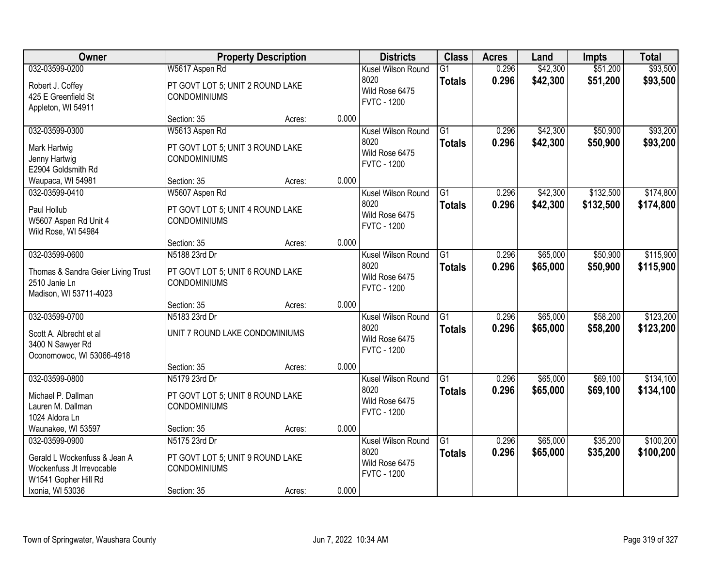| <b>Owner</b>                                                                                                            |                                                                                         | <b>Property Description</b> |       | <b>Districts</b>                                                   | <b>Class</b>                     | <b>Acres</b>   | Land                 | <b>Impts</b>           | <b>Total</b>           |
|-------------------------------------------------------------------------------------------------------------------------|-----------------------------------------------------------------------------------------|-----------------------------|-------|--------------------------------------------------------------------|----------------------------------|----------------|----------------------|------------------------|------------------------|
| 032-03599-0200<br>Robert J. Coffey<br>425 E Greenfield St<br>Appleton, WI 54911                                         | W5617 Aspen Rd<br>PT GOVT LOT 5; UNIT 2 ROUND LAKE<br><b>CONDOMINIUMS</b>               |                             |       | Kusel Wilson Round<br>8020<br>Wild Rose 6475<br><b>FVTC - 1200</b> | $\overline{G1}$<br><b>Totals</b> | 0.296<br>0.296 | \$42,300<br>\$42,300 | \$51,200<br>\$51,200   | \$93,500<br>\$93,500   |
|                                                                                                                         | Section: 35                                                                             | Acres:                      | 0.000 |                                                                    |                                  |                |                      |                        |                        |
| 032-03599-0300<br>Mark Hartwig<br>Jenny Hartwig<br>E2904 Goldsmith Rd                                                   | W5613 Aspen Rd<br>PT GOVT LOT 5; UNIT 3 ROUND LAKE<br><b>CONDOMINIUMS</b>               |                             |       | Kusel Wilson Round<br>8020<br>Wild Rose 6475<br><b>FVTC - 1200</b> | $\overline{G1}$<br><b>Totals</b> | 0.296<br>0.296 | \$42,300<br>\$42,300 | \$50,900<br>\$50,900   | \$93,200<br>\$93,200   |
| Waupaca, WI 54981                                                                                                       | Section: 35                                                                             | Acres:                      | 0.000 |                                                                    |                                  |                |                      |                        |                        |
| 032-03599-0410<br>Paul Hollub<br>W5607 Aspen Rd Unit 4<br>Wild Rose, WI 54984                                           | W5607 Aspen Rd<br>PT GOVT LOT 5; UNIT 4 ROUND LAKE<br><b>CONDOMINIUMS</b>               |                             |       | Kusel Wilson Round<br>8020<br>Wild Rose 6475<br><b>FVTC - 1200</b> | $\overline{G1}$<br><b>Totals</b> | 0.296<br>0.296 | \$42,300<br>\$42,300 | \$132,500<br>\$132,500 | \$174,800<br>\$174,800 |
|                                                                                                                         | Section: 35                                                                             | Acres:                      | 0.000 |                                                                    |                                  |                |                      |                        |                        |
| 032-03599-0600<br>Thomas & Sandra Geier Living Trust<br>2510 Janie Ln<br>Madison, WI 53711-4023                         | N5188 23rd Dr<br>PT GOVT LOT 5; UNIT 6 ROUND LAKE<br><b>CONDOMINIUMS</b>                |                             |       | Kusel Wilson Round<br>8020<br>Wild Rose 6475<br><b>FVTC - 1200</b> | $\overline{G1}$<br><b>Totals</b> | 0.296<br>0.296 | \$65,000<br>\$65,000 | \$50,900<br>\$50,900   | \$115,900<br>\$115,900 |
|                                                                                                                         | Section: 35                                                                             | Acres:                      | 0.000 |                                                                    |                                  |                |                      |                        |                        |
| 032-03599-0700<br>Scott A. Albrecht et al<br>3400 N Sawyer Rd<br>Oconomowoc, WI 53066-4918                              | N5183 23rd Dr<br>UNIT 7 ROUND LAKE CONDOMINIUMS                                         |                             |       | Kusel Wilson Round<br>8020<br>Wild Rose 6475<br><b>FVTC - 1200</b> | $\overline{G1}$<br><b>Totals</b> | 0.296<br>0.296 | \$65,000<br>\$65,000 | \$58,200<br>\$58,200   | \$123,200<br>\$123,200 |
|                                                                                                                         | Section: 35                                                                             | Acres:                      | 0.000 |                                                                    |                                  |                |                      |                        |                        |
| 032-03599-0800<br>Michael P. Dallman<br>Lauren M. Dallman<br>1024 Aldora Ln                                             | N5179 23rd Dr<br>PT GOVT LOT 5; UNIT 8 ROUND LAKE<br><b>CONDOMINIUMS</b>                |                             |       | Kusel Wilson Round<br>8020<br>Wild Rose 6475<br><b>FVTC - 1200</b> | $\overline{G1}$<br><b>Totals</b> | 0.296<br>0.296 | \$65,000<br>\$65,000 | \$69,100<br>\$69,100   | \$134,100<br>\$134,100 |
| Waunakee, WI 53597                                                                                                      | Section: 35                                                                             | Acres:                      | 0.000 |                                                                    |                                  |                |                      |                        |                        |
| 032-03599-0900<br>Gerald L Wockenfuss & Jean A<br>Wockenfuss Jt Irrevocable<br>W1541 Gopher Hill Rd<br>Ixonia, WI 53036 | N5175 23rd Dr<br>PT GOVT LOT 5; UNIT 9 ROUND LAKE<br><b>CONDOMINIUMS</b><br>Section: 35 | Acres:                      | 0.000 | Kusel Wilson Round<br>8020<br>Wild Rose 6475<br><b>FVTC - 1200</b> | $\overline{G1}$<br><b>Totals</b> | 0.296<br>0.296 | \$65,000<br>\$65,000 | \$35,200<br>\$35,200   | \$100,200<br>\$100,200 |
|                                                                                                                         |                                                                                         |                             |       |                                                                    |                                  |                |                      |                        |                        |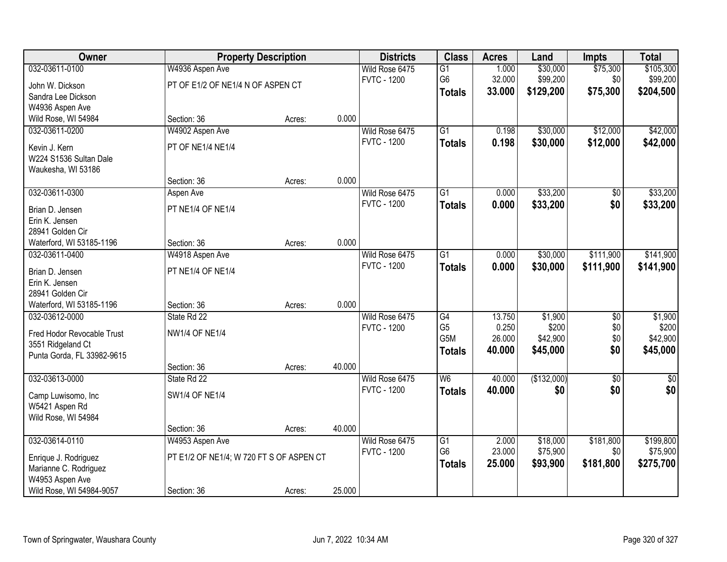| <b>Owner</b>               |                                          | <b>Property Description</b> |        | <b>Districts</b>   | <b>Class</b>             | <b>Acres</b>    | Land              | <b>Impts</b>    | <b>Total</b>      |
|----------------------------|------------------------------------------|-----------------------------|--------|--------------------|--------------------------|-----------------|-------------------|-----------------|-------------------|
| 032-03611-0100             | W4936 Aspen Ave                          |                             |        | Wild Rose 6475     | $\overline{G1}$          | 1.000           | \$30,000          | \$75,300        | \$105,300         |
| John W. Dickson            | PT OF E1/2 OF NE1/4 N OF ASPEN CT        |                             |        | <b>FVTC - 1200</b> | G6                       | 32.000          | \$99,200          | \$0             | \$99,200          |
| Sandra Lee Dickson         |                                          |                             |        |                    | <b>Totals</b>            | 33.000          | \$129,200         | \$75,300        | \$204,500         |
| W4936 Aspen Ave            |                                          |                             |        |                    |                          |                 |                   |                 |                   |
| Wild Rose, WI 54984        | Section: 36                              | Acres:                      | 0.000  |                    |                          |                 |                   |                 |                   |
| 032-03611-0200             | W4902 Aspen Ave                          |                             |        | Wild Rose 6475     | $\overline{G1}$          | 0.198           | \$30,000          | \$12,000        | \$42,000          |
| Kevin J. Kern              | PT OF NE1/4 NE1/4                        |                             |        | <b>FVTC - 1200</b> | <b>Totals</b>            | 0.198           | \$30,000          | \$12,000        | \$42,000          |
| W224 S1536 Sultan Dale     |                                          |                             |        |                    |                          |                 |                   |                 |                   |
| Waukesha, WI 53186         |                                          |                             |        |                    |                          |                 |                   |                 |                   |
|                            | Section: 36                              | Acres:                      | 0.000  |                    |                          |                 |                   |                 |                   |
| 032-03611-0300             | Aspen Ave                                |                             |        | Wild Rose 6475     | $\overline{G1}$          | 0.000           | \$33,200          | $\overline{50}$ | \$33,200          |
| Brian D. Jensen            | PT NE1/4 OF NE1/4                        |                             |        | <b>FVTC - 1200</b> | <b>Totals</b>            | 0.000           | \$33,200          | \$0             | \$33,200          |
| Erin K. Jensen             |                                          |                             |        |                    |                          |                 |                   |                 |                   |
| 28941 Golden Cir           |                                          |                             |        |                    |                          |                 |                   |                 |                   |
| Waterford, WI 53185-1196   | Section: 36                              | Acres:                      | 0.000  |                    |                          |                 |                   |                 |                   |
| 032-03611-0400             | W4918 Aspen Ave                          |                             |        | Wild Rose 6475     | $\overline{G1}$          | 0.000           | \$30,000          | \$111,900       | \$141,900         |
|                            |                                          |                             |        | <b>FVTC - 1200</b> | <b>Totals</b>            | 0.000           | \$30,000          | \$111,900       | \$141,900         |
| Brian D. Jensen            | PT NE1/4 OF NE1/4                        |                             |        |                    |                          |                 |                   |                 |                   |
| Erin K. Jensen             |                                          |                             |        |                    |                          |                 |                   |                 |                   |
| 28941 Golden Cir           |                                          |                             |        |                    |                          |                 |                   |                 |                   |
| Waterford, WI 53185-1196   | Section: 36                              | Acres:                      | 0.000  |                    |                          |                 |                   |                 |                   |
| 032-03612-0000             | State Rd 22                              |                             |        | Wild Rose 6475     | $\overline{G4}$          | 13.750          | \$1,900           | $\overline{50}$ | \$1,900           |
| Fred Hodor Revocable Trust | <b>NW1/4 OF NE1/4</b>                    |                             |        | <b>FVTC - 1200</b> | G <sub>5</sub><br>G5M    | 0.250<br>26.000 | \$200<br>\$42,900 | \$0<br>\$0      | \$200<br>\$42,900 |
| 3551 Ridgeland Ct          |                                          |                             |        |                    |                          | 40.000          | \$45,000          | \$0             |                   |
| Punta Gorda, FL 33982-9615 |                                          |                             |        |                    | <b>Totals</b>            |                 |                   |                 | \$45,000          |
|                            | Section: 36                              | Acres:                      | 40.000 |                    |                          |                 |                   |                 |                   |
| 032-03613-0000             | State Rd 22                              |                             |        | Wild Rose 6475     | $\overline{\mathsf{W6}}$ | 40.000          | (\$132,000)       | $\overline{50}$ | $\frac{6}{3}$     |
| Camp Luwisomo, Inc         | <b>SW1/4 OF NE1/4</b>                    |                             |        | <b>FVTC - 1200</b> | <b>Totals</b>            | 40.000          | \$0               | \$0             | \$0               |
| W5421 Aspen Rd             |                                          |                             |        |                    |                          |                 |                   |                 |                   |
| Wild Rose, WI 54984        |                                          |                             |        |                    |                          |                 |                   |                 |                   |
|                            | Section: 36                              | Acres:                      | 40.000 |                    |                          |                 |                   |                 |                   |
| 032-03614-0110             | W4953 Aspen Ave                          |                             |        | Wild Rose 6475     | $\overline{G1}$          | 2.000           | \$18,000          | \$181,800       | \$199,800         |
| Enrique J. Rodriguez       | PT E1/2 OF NE1/4; W 720 FT S OF ASPEN CT |                             |        | <b>FVTC - 1200</b> | G <sub>6</sub>           | 23.000          | \$75,900          | \$0             | \$75,900          |
| Marianne C. Rodriguez      |                                          |                             |        |                    | <b>Totals</b>            | 25.000          | \$93,900          | \$181,800       | \$275,700         |
| W4953 Aspen Ave            |                                          |                             |        |                    |                          |                 |                   |                 |                   |
| Wild Rose, WI 54984-9057   | Section: 36                              | Acres:                      | 25.000 |                    |                          |                 |                   |                 |                   |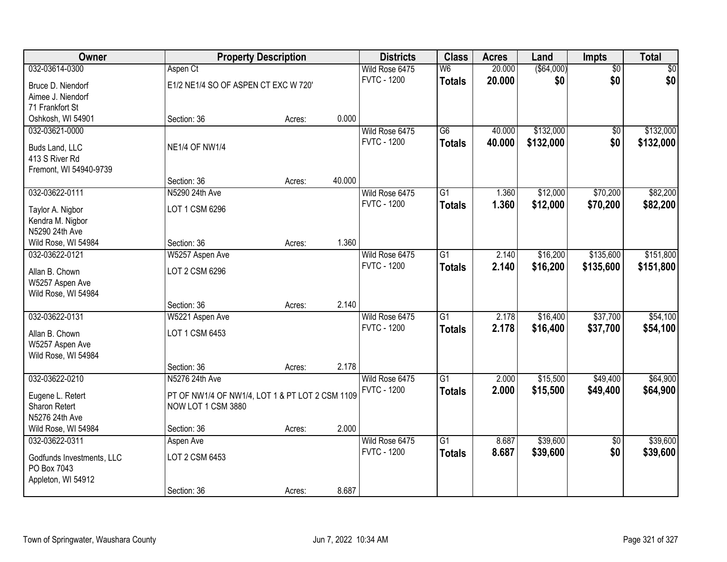| <b>Owner</b>                         |                                                 | <b>Property Description</b> |        | <b>Districts</b>                     | <b>Class</b>    | <b>Acres</b> | Land       | Impts           | <b>Total</b> |
|--------------------------------------|-------------------------------------------------|-----------------------------|--------|--------------------------------------|-----------------|--------------|------------|-----------------|--------------|
| 032-03614-0300                       | Aspen Ct                                        |                             |        | Wild Rose 6475                       | W6              | 20.000       | (\$64,000) | $\overline{50}$ | \$0          |
| Bruce D. Niendorf                    | E1/2 NE1/4 SO OF ASPEN CT EXC W 720'            |                             |        | <b>FVTC - 1200</b>                   | <b>Totals</b>   | 20.000       | \$0        | \$0             | \$0          |
| Aimee J. Niendorf                    |                                                 |                             |        |                                      |                 |              |            |                 |              |
| 71 Frankfort St                      |                                                 |                             |        |                                      |                 |              |            |                 |              |
| Oshkosh, WI 54901                    | Section: 36                                     | Acres:                      | 0.000  |                                      |                 |              |            |                 |              |
| 032-03621-0000                       |                                                 |                             |        | Wild Rose 6475                       | $\overline{G6}$ | 40.000       | \$132,000  | $\overline{50}$ | \$132,000    |
| Buds Land, LLC                       | <b>NE1/4 OF NW1/4</b>                           |                             |        | <b>FVTC - 1200</b>                   | <b>Totals</b>   | 40.000       | \$132,000  | \$0             | \$132,000    |
| 413 S River Rd                       |                                                 |                             |        |                                      |                 |              |            |                 |              |
| Fremont, WI 54940-9739               |                                                 |                             |        |                                      |                 |              |            |                 |              |
|                                      | Section: 36                                     | Acres:                      | 40.000 |                                      |                 |              |            |                 |              |
| 032-03622-0111                       | N5290 24th Ave                                  |                             |        | Wild Rose 6475                       | G1              | 1.360        | \$12,000   | \$70,200        | \$82,200     |
|                                      | LOT 1 CSM 6296                                  |                             |        | <b>FVTC - 1200</b>                   | <b>Totals</b>   | 1.360        | \$12,000   | \$70,200        | \$82,200     |
| Taylor A. Nigbor<br>Kendra M. Nigbor |                                                 |                             |        |                                      |                 |              |            |                 |              |
| N5290 24th Ave                       |                                                 |                             |        |                                      |                 |              |            |                 |              |
| Wild Rose, WI 54984                  | Section: 36                                     | Acres:                      | 1.360  |                                      |                 |              |            |                 |              |
| 032-03622-0121                       | W5257 Aspen Ave                                 |                             |        | Wild Rose 6475                       | G1              | 2.140        | \$16,200   | \$135,600       | \$151,800    |
|                                      |                                                 |                             |        | <b>FVTC - 1200</b>                   | <b>Totals</b>   | 2.140        | \$16,200   | \$135,600       | \$151,800    |
| Allan B. Chown                       | LOT 2 CSM 6296                                  |                             |        |                                      |                 |              |            |                 |              |
| W5257 Aspen Ave                      |                                                 |                             |        |                                      |                 |              |            |                 |              |
| Wild Rose, WI 54984                  |                                                 |                             | 2.140  |                                      |                 |              |            |                 |              |
| 032-03622-0131                       | Section: 36                                     | Acres:                      |        |                                      | $\overline{G1}$ | 2.178        | \$16,400   | \$37,700        | \$54,100     |
|                                      | W5221 Aspen Ave                                 |                             |        | Wild Rose 6475<br><b>FVTC - 1200</b> |                 | 2.178        |            |                 |              |
| Allan B. Chown                       | LOT 1 CSM 6453                                  |                             |        |                                      | <b>Totals</b>   |              | \$16,400   | \$37,700        | \$54,100     |
| W5257 Aspen Ave                      |                                                 |                             |        |                                      |                 |              |            |                 |              |
| Wild Rose, WI 54984                  |                                                 |                             |        |                                      |                 |              |            |                 |              |
|                                      | Section: 36                                     | Acres:                      | 2.178  |                                      |                 |              |            |                 |              |
| 032-03622-0210                       | N5276 24th Ave                                  |                             |        | Wild Rose 6475                       | $\overline{G1}$ | 2.000        | \$15,500   | \$49,400        | \$64,900     |
| Eugene L. Retert                     | PT OF NW1/4 OF NW1/4, LOT 1 & PT LOT 2 CSM 1109 |                             |        | <b>FVTC - 1200</b>                   | <b>Totals</b>   | 2.000        | \$15,500   | \$49,400        | \$64,900     |
| Sharon Retert                        | NOW LOT 1 CSM 3880                              |                             |        |                                      |                 |              |            |                 |              |
| N5276 24th Ave                       |                                                 |                             |        |                                      |                 |              |            |                 |              |
| Wild Rose, WI 54984                  | Section: 36                                     | Acres:                      | 2.000  |                                      |                 |              |            |                 |              |
| 032-03622-0311                       | Aspen Ave                                       |                             |        | Wild Rose 6475                       | $\overline{G1}$ | 8.687        | \$39,600   | $\overline{50}$ | \$39,600     |
| Godfunds Investments, LLC            | LOT 2 CSM 6453                                  |                             |        | <b>FVTC - 1200</b>                   | <b>Totals</b>   | 8.687        | \$39,600   | \$0             | \$39,600     |
| PO Box 7043                          |                                                 |                             |        |                                      |                 |              |            |                 |              |
| Appleton, WI 54912                   |                                                 |                             |        |                                      |                 |              |            |                 |              |
|                                      | Section: 36                                     | Acres:                      | 8.687  |                                      |                 |              |            |                 |              |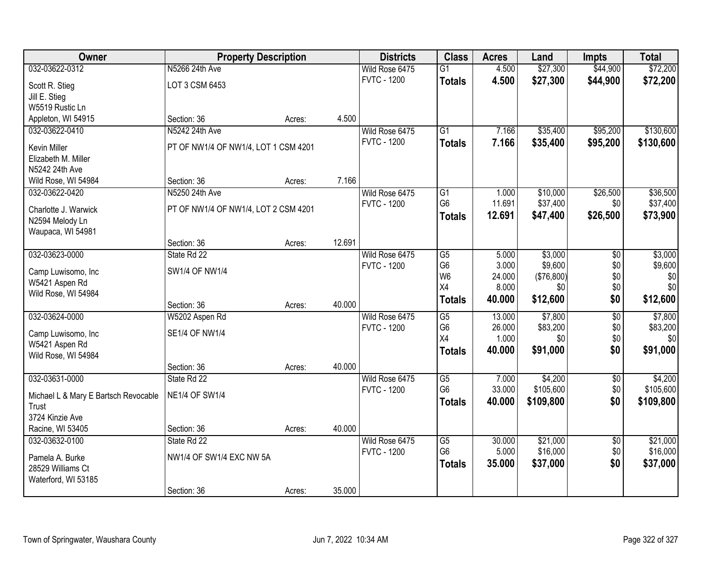| Owner                                   | <b>Property Description</b>          |        |        | <b>Districts</b>                     | <b>Class</b>                      | <b>Acres</b>    | Land                 | <b>Impts</b>           | <b>Total</b>         |
|-----------------------------------------|--------------------------------------|--------|--------|--------------------------------------|-----------------------------------|-----------------|----------------------|------------------------|----------------------|
| 032-03622-0312                          | N5266 24th Ave                       |        |        | Wild Rose 6475                       | $\overline{G1}$                   | 4.500           | \$27,300             | \$44,900               | \$72,200             |
| Scott R. Stieg                          | LOT 3 CSM 6453                       |        |        | <b>FVTC - 1200</b>                   | <b>Totals</b>                     | 4.500           | \$27,300             | \$44,900               | \$72,200             |
| Jill E. Stieg                           |                                      |        |        |                                      |                                   |                 |                      |                        |                      |
| W5519 Rustic Ln                         |                                      |        |        |                                      |                                   |                 |                      |                        |                      |
| Appleton, WI 54915                      | Section: 36                          | Acres: | 4.500  |                                      |                                   |                 |                      |                        |                      |
| 032-03622-0410                          | N5242 24th Ave                       |        |        | Wild Rose 6475                       | $\overline{G1}$                   | 7.166           | \$35,400             | \$95,200               | \$130,600            |
| <b>Kevin Miller</b>                     | PT OF NW1/4 OF NW1/4, LOT 1 CSM 4201 |        |        | <b>FVTC - 1200</b>                   | <b>Totals</b>                     | 7.166           | \$35,400             | \$95,200               | \$130,600            |
| Elizabeth M. Miller                     |                                      |        |        |                                      |                                   |                 |                      |                        |                      |
| N5242 24th Ave                          |                                      |        |        |                                      |                                   |                 |                      |                        |                      |
| Wild Rose, WI 54984                     | Section: 36                          | Acres: | 7.166  |                                      |                                   |                 |                      |                        |                      |
| 032-03622-0420                          | N5250 24th Ave                       |        |        | Wild Rose 6475                       | G1                                | 1.000           | \$10,000             | \$26,500               | \$36,500             |
|                                         |                                      |        |        | <b>FVTC - 1200</b>                   | G <sub>6</sub>                    | 11.691          | \$37,400             | \$0                    | \$37,400             |
| Charlotte J. Warwick<br>N2594 Melody Ln | PT OF NW1/4 OF NW1/4, LOT 2 CSM 4201 |        |        |                                      | <b>Totals</b>                     | 12.691          | \$47,400             | \$26,500               | \$73,900             |
| Waupaca, WI 54981                       |                                      |        |        |                                      |                                   |                 |                      |                        |                      |
|                                         | Section: 36                          | Acres: | 12.691 |                                      |                                   |                 |                      |                        |                      |
| 032-03623-0000                          | State Rd 22                          |        |        | Wild Rose 6475                       | $\overline{G5}$                   | 5.000           | \$3,000              | \$0                    | \$3,000              |
|                                         |                                      |        |        | <b>FVTC - 1200</b>                   | G <sub>6</sub>                    | 3.000           | \$9,600              | \$0                    | \$9,600              |
| Camp Luwisomo, Inc                      | <b>SW1/4 OF NW1/4</b>                |        |        |                                      | W <sub>6</sub>                    | 24.000          | (\$76,800)           | \$0                    | \$0                  |
| W5421 Aspen Rd<br>Wild Rose, WI 54984   |                                      |        |        |                                      | X4                                | 8.000           | \$0                  | \$0                    | \$0                  |
|                                         | Section: 36                          | Acres: | 40.000 |                                      | <b>Totals</b>                     | 40.000          | \$12,600             | \$0                    | \$12,600             |
| 032-03624-0000                          | W5202 Aspen Rd                       |        |        | Wild Rose 6475                       | $\overline{G5}$                   | 13.000          | \$7,800              | $\overline{30}$        | \$7,800              |
|                                         |                                      |        |        | <b>FVTC - 1200</b>                   | G <sub>6</sub>                    | 26.000          | \$83,200             | \$0                    | \$83,200             |
| Camp Luwisomo, Inc                      | <b>SE1/4 OF NW1/4</b>                |        |        |                                      | X4                                | 1.000           | \$0                  | \$0                    | \$0                  |
| W5421 Aspen Rd                          |                                      |        |        |                                      | <b>Totals</b>                     | 40.000          | \$91,000             | \$0                    | \$91,000             |
| Wild Rose, WI 54984                     | Section: 36                          |        | 40.000 |                                      |                                   |                 |                      |                        |                      |
| 032-03631-0000                          | State Rd 22                          | Acres: |        | Wild Rose 6475                       | $\overline{G5}$                   | 7.000           | \$4,200              | $\sqrt{6}$             | \$4,200              |
|                                         |                                      |        |        | <b>FVTC - 1200</b>                   | G <sub>6</sub>                    | 33.000          | \$105,600            | \$0                    | \$105,600            |
| Michael L & Mary E Bartsch Revocable    | <b>NE1/4 OF SW1/4</b>                |        |        |                                      | <b>Totals</b>                     | 40.000          | \$109,800            | \$0                    | \$109,800            |
| Trust                                   |                                      |        |        |                                      |                                   |                 |                      |                        |                      |
| 3724 Kinzie Ave                         |                                      |        |        |                                      |                                   |                 |                      |                        |                      |
| Racine, WI 53405                        | Section: 36                          | Acres: | 40.000 |                                      |                                   |                 |                      |                        |                      |
| 032-03632-0100                          | State Rd 22                          |        |        | Wild Rose 6475<br><b>FVTC - 1200</b> | $\overline{G5}$<br>G <sub>6</sub> | 30.000<br>5.000 | \$21,000<br>\$16,000 | $\overline{50}$<br>\$0 | \$21,000<br>\$16,000 |
| Pamela A. Burke                         | NW1/4 OF SW1/4 EXC NW 5A             |        |        |                                      |                                   | 35.000          | \$37,000             | \$0                    | \$37,000             |
| 28529 Williams Ct                       |                                      |        |        |                                      | <b>Totals</b>                     |                 |                      |                        |                      |
| Waterford, WI 53185                     |                                      |        |        |                                      |                                   |                 |                      |                        |                      |
|                                         | Section: 36                          | Acres: | 35.000 |                                      |                                   |                 |                      |                        |                      |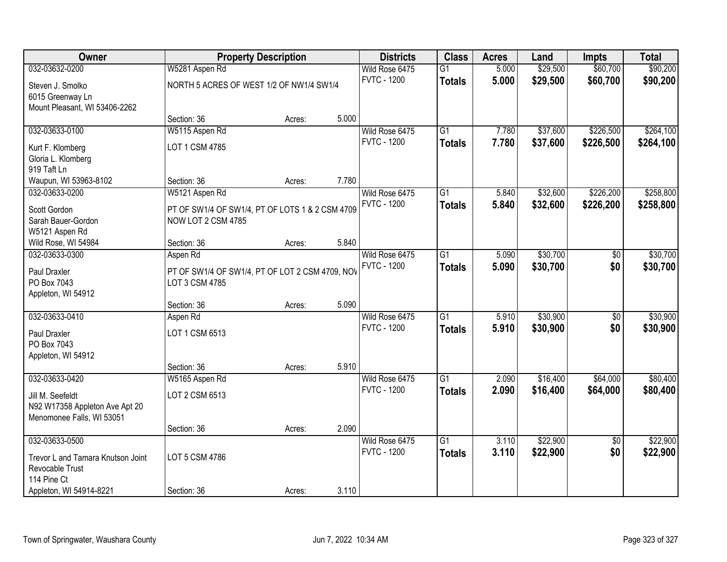| <b>Owner</b>                      | <b>Property Description</b>                                       |        | <b>Districts</b> | <b>Class</b>       | <b>Acres</b>    | Land  | <b>Impts</b> | <b>Total</b>    |           |
|-----------------------------------|-------------------------------------------------------------------|--------|------------------|--------------------|-----------------|-------|--------------|-----------------|-----------|
| 032-03632-0200                    | W5281 Aspen Rd                                                    |        |                  | Wild Rose 6475     | $\overline{G1}$ | 5.000 | \$29,500     | \$60,700        | \$90,200  |
| Steven J. Smolko                  | NORTH 5 ACRES OF WEST 1/2 OF NW1/4 SW1/4                          |        |                  | <b>FVTC - 1200</b> | <b>Totals</b>   | 5.000 | \$29,500     | \$60,700        | \$90,200  |
| 6015 Greenway Ln                  |                                                                   |        |                  |                    |                 |       |              |                 |           |
| Mount Pleasant, WI 53406-2262     |                                                                   |        |                  |                    |                 |       |              |                 |           |
|                                   | Section: 36                                                       | Acres: | 5.000            |                    |                 |       |              |                 |           |
| 032-03633-0100                    | W5115 Aspen Rd                                                    |        |                  | Wild Rose 6475     | $\overline{G1}$ | 7.780 | \$37,600     | \$226,500       | \$264,100 |
| Kurt F. Klomberg                  | LOT 1 CSM 4785                                                    |        |                  | <b>FVTC - 1200</b> | <b>Totals</b>   | 7.780 | \$37,600     | \$226,500       | \$264,100 |
| Gloria L. Klomberg                |                                                                   |        |                  |                    |                 |       |              |                 |           |
| 919 Taft Ln                       |                                                                   |        |                  |                    |                 |       |              |                 |           |
| Waupun, WI 53963-8102             | Section: 36                                                       | Acres: | 7.780            |                    |                 |       |              |                 |           |
| 032-03633-0200                    | W5121 Aspen Rd                                                    |        |                  | Wild Rose 6475     | G1              | 5.840 | \$32,600     | \$226,200       | \$258,800 |
| Scott Gordon                      | PT OF SW1/4 OF SW1/4, PT OF LOTS 1 & 2 CSM 4709                   |        |                  | <b>FVTC - 1200</b> | <b>Totals</b>   | 5.840 | \$32,600     | \$226,200       | \$258,800 |
| Sarah Bauer-Gordon                | NOW LOT 2 CSM 4785                                                |        |                  |                    |                 |       |              |                 |           |
| W5121 Aspen Rd                    |                                                                   |        |                  |                    |                 |       |              |                 |           |
| Wild Rose, WI 54984               | Section: 36                                                       | Acres: | 5.840            |                    |                 |       |              |                 |           |
| 032-03633-0300                    | Aspen Rd                                                          |        |                  | Wild Rose 6475     | $\overline{G1}$ | 5.090 | \$30,700     | \$0             | \$30,700  |
|                                   |                                                                   |        |                  | <b>FVTC - 1200</b> | <b>Totals</b>   | 5.090 | \$30,700     | \$0             | \$30,700  |
| Paul Draxler<br>PO Box 7043       | PT OF SW1/4 OF SW1/4, PT OF LOT 2 CSM 4709, NOV<br>LOT 3 CSM 4785 |        |                  |                    |                 |       |              |                 |           |
| Appleton, WI 54912                |                                                                   |        |                  |                    |                 |       |              |                 |           |
|                                   | Section: 36                                                       | Acres: | 5.090            |                    |                 |       |              |                 |           |
| 032-03633-0410                    | Aspen Rd                                                          |        |                  | Wild Rose 6475     | $\overline{G1}$ | 5.910 | \$30,900     | $\overline{50}$ | \$30,900  |
|                                   |                                                                   |        |                  | <b>FVTC - 1200</b> | <b>Totals</b>   | 5.910 | \$30,900     | \$0             | \$30,900  |
| Paul Draxler                      | LOT 1 CSM 6513                                                    |        |                  |                    |                 |       |              |                 |           |
| PO Box 7043                       |                                                                   |        |                  |                    |                 |       |              |                 |           |
| Appleton, WI 54912                | Section: 36                                                       | Acres: | 5.910            |                    |                 |       |              |                 |           |
| 032-03633-0420                    | W5165 Aspen Rd                                                    |        |                  | Wild Rose 6475     | $\overline{G1}$ | 2.090 | \$16,400     | \$64,000        | \$80,400  |
|                                   |                                                                   |        |                  | <b>FVTC - 1200</b> | <b>Totals</b>   | 2.090 | \$16,400     | \$64,000        | \$80,400  |
| Jill M. Seefeldt                  | LOT 2 CSM 6513                                                    |        |                  |                    |                 |       |              |                 |           |
| N92 W17358 Appleton Ave Apt 20    |                                                                   |        |                  |                    |                 |       |              |                 |           |
| Menomonee Falls, WI 53051         |                                                                   |        | 2.090            |                    |                 |       |              |                 |           |
| 032-03633-0500                    | Section: 36                                                       | Acres: |                  | Wild Rose 6475     | $\overline{G1}$ | 3.110 | \$22,900     | $\overline{50}$ | \$22,900  |
|                                   |                                                                   |        |                  | <b>FVTC - 1200</b> |                 | 3.110 | \$22,900     | \$0             | \$22,900  |
| Trevor L and Tamara Knutson Joint | LOT 5 CSM 4786                                                    |        |                  |                    | <b>Totals</b>   |       |              |                 |           |
| Revocable Trust                   |                                                                   |        |                  |                    |                 |       |              |                 |           |
| 114 Pine Ct                       |                                                                   |        |                  |                    |                 |       |              |                 |           |
| Appleton, WI 54914-8221           | Section: 36                                                       | Acres: | 3.110            |                    |                 |       |              |                 |           |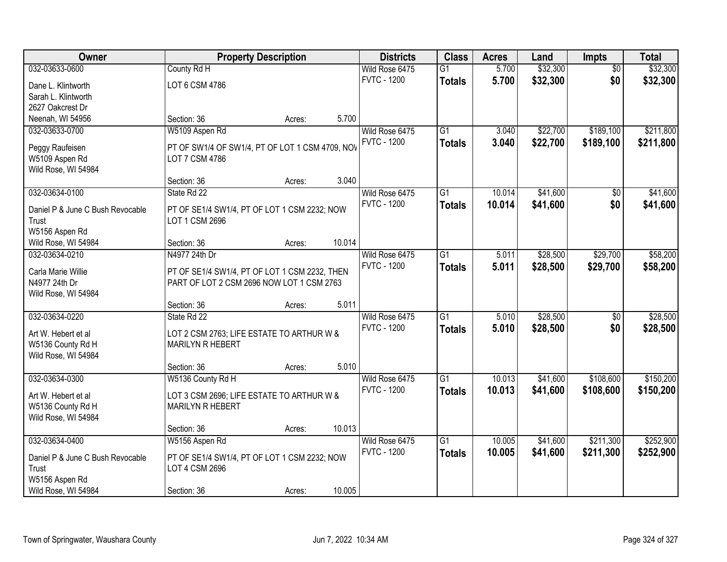| Owner                            |                                                 | <b>Property Description</b> |        | <b>Districts</b>   | <b>Class</b>    | <b>Acres</b> | Land     | <b>Impts</b>    | <b>Total</b> |
|----------------------------------|-------------------------------------------------|-----------------------------|--------|--------------------|-----------------|--------------|----------|-----------------|--------------|
| 032-03633-0600                   | County Rd H                                     |                             |        | Wild Rose 6475     | $\overline{G1}$ | 5.700        | \$32,300 | $\overline{50}$ | \$32,300     |
| Dane L. Klintworth               | LOT 6 CSM 4786                                  |                             |        | <b>FVTC - 1200</b> | <b>Totals</b>   | 5.700        | \$32,300 | \$0             | \$32,300     |
| Sarah L. Klintworth              |                                                 |                             |        |                    |                 |              |          |                 |              |
| 2627 Oakcrest Dr                 |                                                 |                             |        |                    |                 |              |          |                 |              |
| Neenah, WI 54956                 | Section: 36                                     | Acres:                      | 5.700  |                    |                 |              |          |                 |              |
| 032-03633-0700                   | W5109 Aspen Rd                                  |                             |        | Wild Rose 6475     | $\overline{G1}$ | 3.040        | \$22,700 | \$189,100       | \$211,800    |
| Peggy Raufeisen                  | PT OF SW1/4 OF SW1/4, PT OF LOT 1 CSM 4709, NOV |                             |        | <b>FVTC - 1200</b> | <b>Totals</b>   | 3.040        | \$22,700 | \$189,100       | \$211,800    |
| W5109 Aspen Rd                   | LOT 7 CSM 4786                                  |                             |        |                    |                 |              |          |                 |              |
| Wild Rose, WI 54984              |                                                 |                             |        |                    |                 |              |          |                 |              |
|                                  | Section: 36                                     | Acres:                      | 3.040  |                    |                 |              |          |                 |              |
| 032-03634-0100                   | State Rd 22                                     |                             |        | Wild Rose 6475     | $\overline{G1}$ | 10.014       | \$41,600 | \$0             | \$41,600     |
| Daniel P & June C Bush Revocable | PT OF SE1/4 SW1/4, PT OF LOT 1 CSM 2232; NOW    |                             |        | <b>FVTC - 1200</b> | <b>Totals</b>   | 10.014       | \$41,600 | \$0             | \$41,600     |
| Trust                            | LOT 1 CSM 2696                                  |                             |        |                    |                 |              |          |                 |              |
| W5156 Aspen Rd                   |                                                 |                             |        |                    |                 |              |          |                 |              |
| Wild Rose, WI 54984              | Section: 36                                     | Acres:                      | 10.014 |                    |                 |              |          |                 |              |
| 032-03634-0210                   | N4977 24th Dr                                   |                             |        | Wild Rose 6475     | $\overline{G1}$ | 5.011        | \$28,500 | \$29,700        | \$58,200     |
|                                  |                                                 |                             |        | <b>FVTC - 1200</b> | <b>Totals</b>   | 5.011        | \$28,500 | \$29,700        | \$58,200     |
| Carla Marie Willie               | PT OF SE1/4 SW1/4, PT OF LOT 1 CSM 2232, THEN   |                             |        |                    |                 |              |          |                 |              |
| N4977 24th Dr                    | PART OF LOT 2 CSM 2696 NOW LOT 1 CSM 2763       |                             |        |                    |                 |              |          |                 |              |
| Wild Rose, WI 54984              |                                                 |                             |        |                    |                 |              |          |                 |              |
|                                  | Section: 36                                     | Acres:                      | 5.011  |                    | $\overline{G1}$ |              |          |                 |              |
| 032-03634-0220                   | State Rd 22                                     |                             |        | Wild Rose 6475     |                 | 5.010        | \$28,500 | $\overline{50}$ | \$28,500     |
| Art W. Hebert et al              | LOT 2 CSM 2763; LIFE ESTATE TO ARTHUR W &       |                             |        | <b>FVTC - 1200</b> | <b>Totals</b>   | 5.010        | \$28,500 | \$0             | \$28,500     |
| W5136 County Rd H                | MARILYN R HEBERT                                |                             |        |                    |                 |              |          |                 |              |
| Wild Rose, WI 54984              |                                                 |                             |        |                    |                 |              |          |                 |              |
|                                  | Section: 36                                     | Acres:                      | 5.010  |                    |                 |              |          |                 |              |
| 032-03634-0300                   | W5136 County Rd H                               |                             |        | Wild Rose 6475     | $\overline{G1}$ | 10.013       | \$41,600 | \$108,600       | \$150,200    |
| Art W. Hebert et al              | LOT 3 CSM 2696; LIFE ESTATE TO ARTHUR W &       |                             |        | <b>FVTC - 1200</b> | <b>Totals</b>   | 10.013       | \$41,600 | \$108,600       | \$150,200    |
| W5136 County Rd H                | MARILYN R HEBERT                                |                             |        |                    |                 |              |          |                 |              |
| Wild Rose, WI 54984              |                                                 |                             |        |                    |                 |              |          |                 |              |
|                                  | Section: 36                                     | Acres:                      | 10.013 |                    |                 |              |          |                 |              |
| 032-03634-0400                   | W5156 Aspen Rd                                  |                             |        | Wild Rose 6475     | $\overline{G1}$ | 10.005       | \$41,600 | \$211,300       | \$252,900    |
| Daniel P & June C Bush Revocable | PT OF SE1/4 SW1/4, PT OF LOT 1 CSM 2232; NOW    |                             |        | <b>FVTC - 1200</b> | <b>Totals</b>   | 10.005       | \$41,600 | \$211,300       | \$252,900    |
| Trust                            | LOT 4 CSM 2696                                  |                             |        |                    |                 |              |          |                 |              |
| W5156 Aspen Rd                   |                                                 |                             |        |                    |                 |              |          |                 |              |
| Wild Rose, WI 54984              | Section: 36                                     | Acres:                      | 10.005 |                    |                 |              |          |                 |              |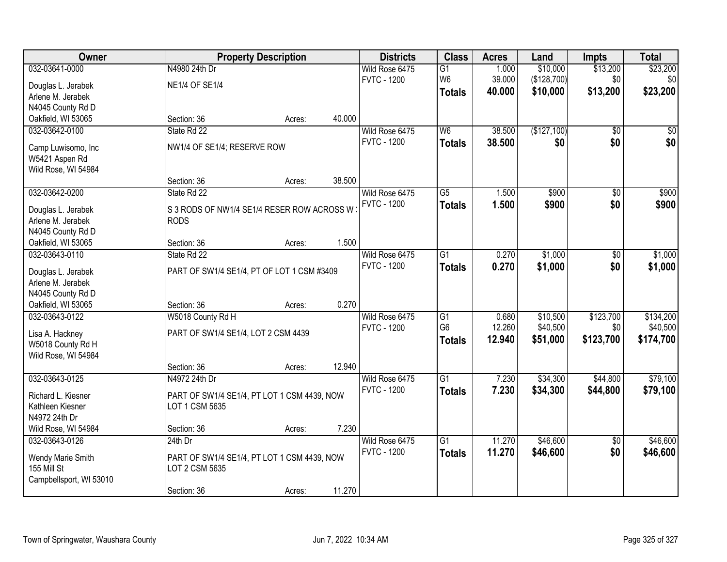| Owner                            |                                             | <b>Property Description</b> |        | <b>Districts</b>                     | <b>Class</b>    | <b>Acres</b> | Land        | <b>Impts</b>    | <b>Total</b> |
|----------------------------------|---------------------------------------------|-----------------------------|--------|--------------------------------------|-----------------|--------------|-------------|-----------------|--------------|
| 032-03641-0000                   | N4980 24th Dr                               |                             |        | Wild Rose 6475                       | G1              | 1.000        | \$10,000    | \$13,200        | \$23,200     |
| Douglas L. Jerabek               | <b>NE1/4 OF SE1/4</b>                       |                             |        | <b>FVTC - 1200</b>                   | W <sub>6</sub>  | 39.000       | (\$128,700) | \$0             | \$0          |
| Arlene M. Jerabek                |                                             |                             |        |                                      | <b>Totals</b>   | 40.000       | \$10,000    | \$13,200        | \$23,200     |
| N4045 County Rd D                |                                             |                             |        |                                      |                 |              |             |                 |              |
| Oakfield, WI 53065               | Section: 36                                 | Acres:                      | 40.000 |                                      |                 |              |             |                 |              |
| 032-03642-0100                   | State Rd 22                                 |                             |        | Wild Rose 6475                       | W6              | 38.500       | (\$127,100) | $\overline{50}$ | \$0          |
|                                  |                                             |                             |        | <b>FVTC - 1200</b>                   | <b>Totals</b>   | 38.500       | \$0         | \$0             | \$0          |
| Camp Luwisomo, Inc               | NW1/4 OF SE1/4; RESERVE ROW                 |                             |        |                                      |                 |              |             |                 |              |
| W5421 Aspen Rd                   |                                             |                             |        |                                      |                 |              |             |                 |              |
| Wild Rose, WI 54984              | Section: 36                                 |                             | 38.500 |                                      |                 |              |             |                 |              |
| 032-03642-0200                   | State Rd 22                                 | Acres:                      |        |                                      | G5              |              | \$900       |                 | \$900        |
|                                  |                                             |                             |        | Wild Rose 6475<br><b>FVTC - 1200</b> |                 | 1.500        |             | \$0             |              |
| Douglas L. Jerabek               | S 3 RODS OF NW1/4 SE1/4 RESER ROW ACROSS W  |                             |        |                                      | <b>Totals</b>   | 1.500        | \$900       | \$0             | \$900        |
| Arlene M. Jerabek                | <b>RODS</b>                                 |                             |        |                                      |                 |              |             |                 |              |
| N4045 County Rd D                |                                             |                             |        |                                      |                 |              |             |                 |              |
| Oakfield, WI 53065               | Section: 36                                 | Acres:                      | 1.500  |                                      |                 |              |             |                 |              |
| 032-03643-0110                   | State Rd 22                                 |                             |        | Wild Rose 6475                       | G1              | 0.270        | \$1,000     | $\sqrt[6]{3}$   | \$1,000      |
| Douglas L. Jerabek               | PART OF SW1/4 SE1/4, PT OF LOT 1 CSM #3409  |                             |        | <b>FVTC - 1200</b>                   | <b>Totals</b>   | 0.270        | \$1,000     | \$0             | \$1,000      |
| Arlene M. Jerabek                |                                             |                             |        |                                      |                 |              |             |                 |              |
| N4045 County Rd D                |                                             |                             |        |                                      |                 |              |             |                 |              |
| Oakfield, WI 53065               | Section: 36                                 | Acres:                      | 0.270  |                                      |                 |              |             |                 |              |
| 032-03643-0122                   | W5018 County Rd H                           |                             |        | Wild Rose 6475                       | $\overline{G1}$ | 0.680        | \$10,500    | \$123,700       | \$134,200    |
|                                  |                                             |                             |        | <b>FVTC - 1200</b>                   | G <sub>6</sub>  | 12.260       | \$40,500    | \$0             | \$40,500     |
| Lisa A. Hackney                  | PART OF SW1/4 SE1/4, LOT 2 CSM 4439         |                             |        |                                      | <b>Totals</b>   | 12.940       | \$51,000    | \$123,700       | \$174,700    |
| W5018 County Rd H                |                                             |                             |        |                                      |                 |              |             |                 |              |
| Wild Rose, WI 54984              |                                             |                             |        |                                      |                 |              |             |                 |              |
|                                  | Section: 36                                 | Acres:                      | 12.940 |                                      |                 |              |             |                 |              |
| 032-03643-0125                   | N4972 24th Dr                               |                             |        | Wild Rose 6475                       | $\overline{G1}$ | 7.230        | \$34,300    | \$44,800        | \$79,100     |
| Richard L. Kiesner               | PART OF SW1/4 SE1/4, PT LOT 1 CSM 4439, NOW |                             |        | <b>FVTC - 1200</b>                   | <b>Totals</b>   | 7.230        | \$34,300    | \$44,800        | \$79,100     |
| Kathleen Kiesner                 | LOT 1 CSM 5635                              |                             |        |                                      |                 |              |             |                 |              |
| N4972 24th Dr                    |                                             |                             |        |                                      |                 |              |             |                 |              |
| Wild Rose, WI 54984              | Section: 36                                 | Acres:                      | 7.230  |                                      |                 |              |             |                 |              |
| 032-03643-0126                   | $24th$ Dr                                   |                             |        | Wild Rose 6475                       | $\overline{G1}$ | 11.270       | \$46,600    | $\overline{50}$ | \$46,600     |
|                                  |                                             |                             |        | <b>FVTC - 1200</b>                   | <b>Totals</b>   | 11.270       | \$46,600    | \$0             | \$46,600     |
| Wendy Marie Smith<br>155 Mill St | PART OF SW1/4 SE1/4, PT LOT 1 CSM 4439, NOW |                             |        |                                      |                 |              |             |                 |              |
|                                  | LOT 2 CSM 5635                              |                             |        |                                      |                 |              |             |                 |              |
| Campbellsport, WI 53010          | Section: 36                                 |                             | 11.270 |                                      |                 |              |             |                 |              |
|                                  |                                             | Acres:                      |        |                                      |                 |              |             |                 |              |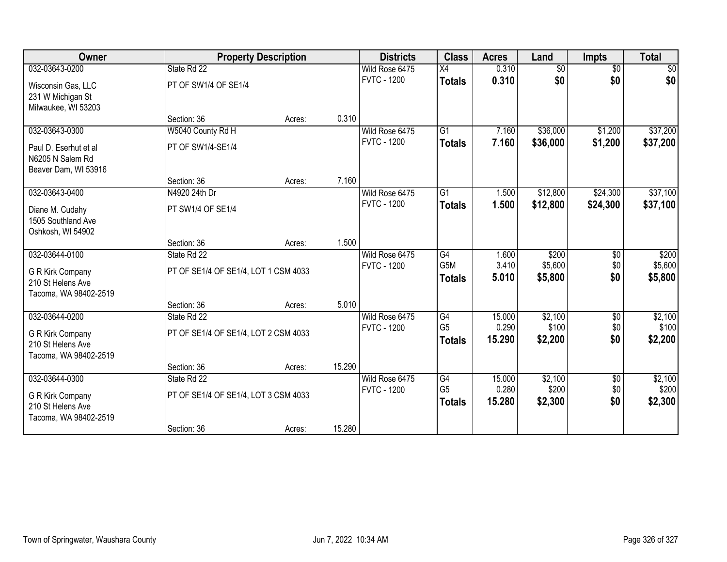| Owner                 |                            | <b>Property Description</b>          |        | <b>Districts</b>                     | <b>Class</b>   | <b>Acres</b>   | Land             | Impts           | <b>Total</b>     |
|-----------------------|----------------------------|--------------------------------------|--------|--------------------------------------|----------------|----------------|------------------|-----------------|------------------|
| 032-03643-0200        | State Rd 22                |                                      |        | Wild Rose 6475                       | X4             | 0.310          | $\overline{50}$  | $\overline{$0}$ | $\sqrt{50}$      |
| Wisconsin Gas, LLC    | PT OF SW1/4 OF SE1/4       |                                      |        | <b>FVTC - 1200</b>                   | <b>Totals</b>  | 0.310          | \$0              | \$0             | \$0              |
| 231 W Michigan St     |                            |                                      |        |                                      |                |                |                  |                 |                  |
| Milwaukee, WI 53203   |                            |                                      |        |                                      |                |                |                  |                 |                  |
|                       | Section: 36                | Acres:                               | 0.310  |                                      |                |                |                  |                 |                  |
| 032-03643-0300        | W5040 County Rd H          |                                      |        | Wild Rose 6475                       | G1             | 7.160          | \$36,000         | \$1,200         | \$37,200         |
| Paul D. Eserhut et al | PT OF SW1/4-SE1/4          |                                      |        | <b>FVTC - 1200</b>                   | <b>Totals</b>  | 7.160          | \$36,000         | \$1,200         | \$37,200         |
| N6205 N Salem Rd      |                            |                                      |        |                                      |                |                |                  |                 |                  |
| Beaver Dam, WI 53916  |                            |                                      |        |                                      |                |                |                  |                 |                  |
|                       | Section: 36                | Acres:                               | 7.160  |                                      |                |                |                  |                 |                  |
| 032-03643-0400        | N4920 24th Dr              |                                      |        | Wild Rose 6475                       | G1             | 1.500          | \$12,800         | \$24,300        | \$37,100         |
| Diane M. Cudahy       | PT SW1/4 OF SE1/4          |                                      |        | <b>FVTC - 1200</b>                   | <b>Totals</b>  | 1.500          | \$12,800         | \$24,300        | \$37,100         |
| 1505 Southland Ave    |                            |                                      |        |                                      |                |                |                  |                 |                  |
| Oshkosh, WI 54902     |                            |                                      |        |                                      |                |                |                  |                 |                  |
|                       | Section: 36                | Acres:                               | 1.500  |                                      |                |                |                  |                 |                  |
| 032-03644-0100        | State Rd 22                |                                      |        | Wild Rose 6475<br><b>FVTC - 1200</b> | G4<br>G5M      | 1.600<br>3.410 | \$200<br>\$5,600 | \$0<br>\$0      | \$200<br>\$5,600 |
| G R Kirk Company      |                            | PT OF SE1/4 OF SE1/4, LOT 1 CSM 4033 |        |                                      | <b>Totals</b>  | 5.010          | \$5,800          | \$0             | \$5,800          |
| 210 St Helens Ave     |                            |                                      |        |                                      |                |                |                  |                 |                  |
| Tacoma, WA 98402-2519 |                            |                                      |        |                                      |                |                |                  |                 |                  |
| 032-03644-0200        | Section: 36<br>State Rd 22 | Acres:                               | 5.010  | Wild Rose 6475                       | G4             | 15.000         | \$2,100          |                 | \$2,100          |
|                       |                            |                                      |        | <b>FVTC - 1200</b>                   | G <sub>5</sub> | 0.290          | \$100            | \$0<br>\$0      | \$100            |
| G R Kirk Company      |                            | PT OF SE1/4 OF SE1/4, LOT 2 CSM 4033 |        |                                      | <b>Totals</b>  | 15.290         | \$2,200          | \$0             | \$2,200          |
| 210 St Helens Ave     |                            |                                      |        |                                      |                |                |                  |                 |                  |
| Tacoma, WA 98402-2519 |                            |                                      | 15.290 |                                      |                |                |                  |                 |                  |
| 032-03644-0300        | Section: 36<br>State Rd 22 | Acres:                               |        | Wild Rose 6475                       | G4             | 15.000         | \$2,100          | $\sqrt{6}$      | \$2,100          |
|                       |                            |                                      |        | <b>FVTC - 1200</b>                   | G <sub>5</sub> | 0.280          | \$200            | \$0             | \$200            |
| G R Kirk Company      |                            | PT OF SE1/4 OF SE1/4, LOT 3 CSM 4033 |        |                                      | <b>Totals</b>  | 15.280         | \$2,300          | \$0             | \$2,300          |
| 210 St Helens Ave     |                            |                                      |        |                                      |                |                |                  |                 |                  |
| Tacoma, WA 98402-2519 | Section: 36                | Acres:                               | 15.280 |                                      |                |                |                  |                 |                  |
|                       |                            |                                      |        |                                      |                |                |                  |                 |                  |